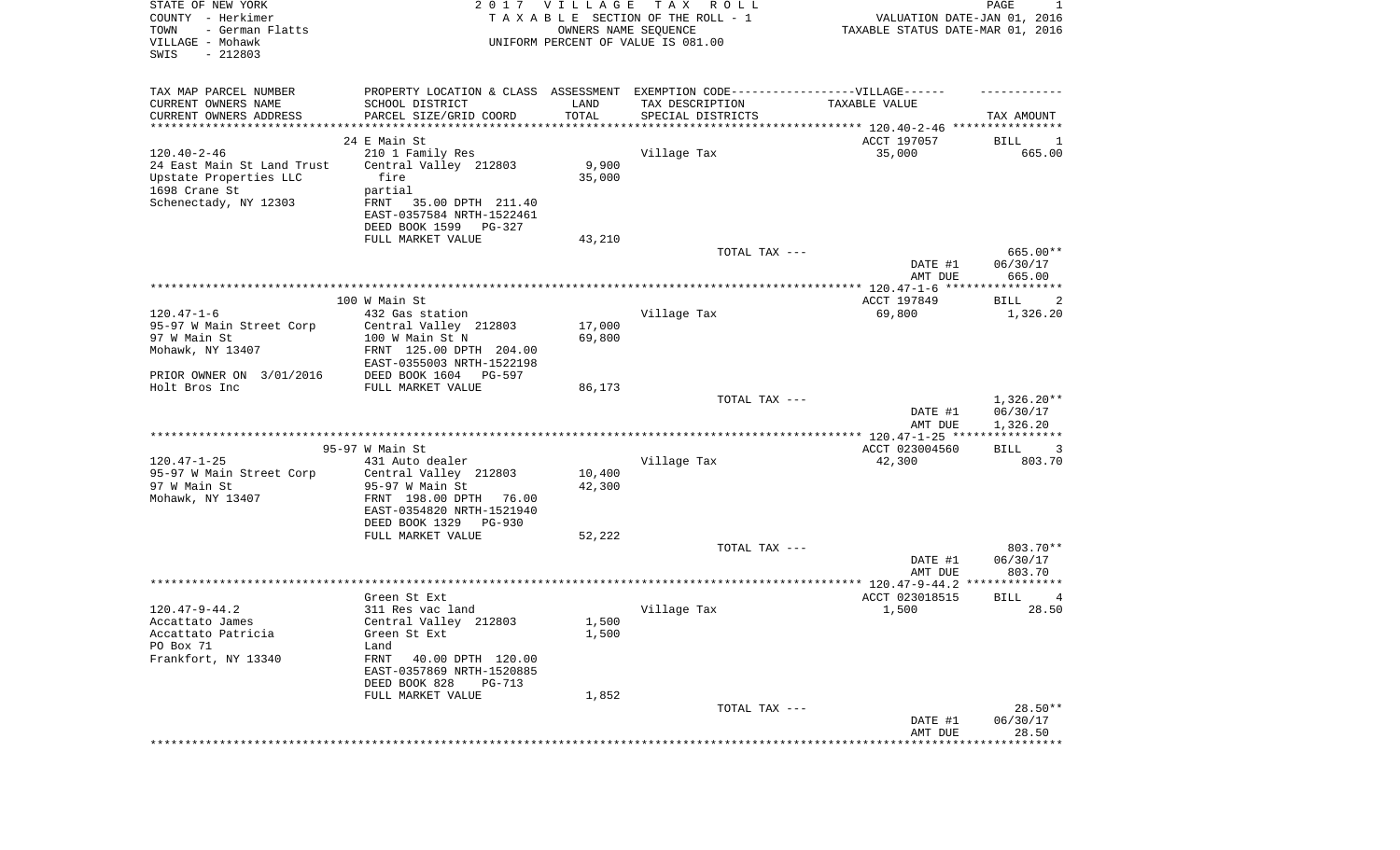| SWIS<br>$-212803$                                                                                                                                            |                                  |
|--------------------------------------------------------------------------------------------------------------------------------------------------------------|----------------------------------|
| TAX MAP PARCEL NUMBER<br>PROPERTY LOCATION & CLASS ASSESSMENT EXEMPTION CODE-----------------VILLAGE------                                                   |                                  |
| CURRENT OWNERS NAME<br>SCHOOL DISTRICT<br>LAND<br>TAX DESCRIPTION<br>TAXABLE VALUE                                                                           |                                  |
| TOTAL<br>CURRENT OWNERS ADDRESS<br>PARCEL SIZE/GRID COORD<br>SPECIAL DISTRICTS<br>*********************<br>***************************** 120.40-2-46 ******* | TAX AMOUNT                       |
| 24 E Main St<br>ACCT 197057                                                                                                                                  | BILL<br>1                        |
| $120.40 - 2 - 46$<br>210 1 Family Res<br>Village Tax<br>35,000                                                                                               | 665.00                           |
| 9,900<br>24 East Main St Land Trust<br>Central Valley 212803                                                                                                 |                                  |
| 35,000<br>Upstate Properties LLC<br>fire                                                                                                                     |                                  |
| 1698 Crane St<br>partial                                                                                                                                     |                                  |
| Schenectady, NY 12303<br>35.00 DPTH 211.40<br>FRNT                                                                                                           |                                  |
| EAST-0357584 NRTH-1522461                                                                                                                                    |                                  |
| DEED BOOK 1599<br>PG-327                                                                                                                                     |                                  |
| FULL MARKET VALUE<br>43,210                                                                                                                                  |                                  |
| TOTAL TAX ---<br>DATE #1                                                                                                                                     | 665.00**<br>06/30/17             |
| AMT DUE                                                                                                                                                      | 665.00                           |
|                                                                                                                                                              |                                  |
| 100 W Main St<br>ACCT 197849                                                                                                                                 | BILL<br>2                        |
| $120.47 - 1 - 6$<br>Village Tax<br>69,800<br>432 Gas station                                                                                                 | 1,326.20                         |
| 17,000<br>95-97 W Main Street Corp<br>Central Valley 212803                                                                                                  |                                  |
| 97 W Main St<br>69,800<br>100 W Main St N                                                                                                                    |                                  |
| Mohawk, NY 13407<br>FRNT 125.00 DPTH 204.00                                                                                                                  |                                  |
| EAST-0355003 NRTH-1522198                                                                                                                                    |                                  |
| PRIOR OWNER ON 3/01/2016<br>DEED BOOK 1604<br>PG-597<br>Holt Bros Inc<br>FULL MARKET VALUE<br>86,173                                                         |                                  |
| TOTAL TAX ---                                                                                                                                                | $1,326.20**$                     |
| DATE #1<br>AMT DUE                                                                                                                                           | 06/30/17<br>1,326.20             |
|                                                                                                                                                              | * * * * * * * * * * *            |
| 95-97 W Main St<br>ACCT 023004560                                                                                                                            | BILL<br>3                        |
| $120.47 - 1 - 25$<br>Village Tax<br>431 Auto dealer<br>42,300                                                                                                | 803.70                           |
| 10,400<br>95-97 W Main Street Corp<br>Central Valley 212803<br>97 W Main St<br>42,300<br>95-97 W Main St                                                     |                                  |
| Mohawk, NY 13407<br>FRNT 198.00 DPTH<br>76.00                                                                                                                |                                  |
| EAST-0354820 NRTH-1521940                                                                                                                                    |                                  |
| DEED BOOK 1329<br>PG-930                                                                                                                                     |                                  |
| FULL MARKET VALUE<br>52,222                                                                                                                                  |                                  |
| TOTAL TAX ---                                                                                                                                                | 803.70**                         |
| DATE #1                                                                                                                                                      | 06/30/17                         |
| AMT DUE                                                                                                                                                      | 803.70                           |
|                                                                                                                                                              | **************                   |
| Green St Ext<br>ACCT 023018515<br>$120.47 - 9 - 44.2$<br>Village Tax<br>1,500<br>311 Res vac land                                                            | <b>BILL</b><br>4<br>28.50        |
| Central Valley 212803<br>1,500<br>Accattato James                                                                                                            |                                  |
| Accattato Patricia<br>Green St Ext<br>1,500                                                                                                                  |                                  |
| PO Box 71<br>Land                                                                                                                                            |                                  |
| Frankfort, NY 13340<br>FRNT<br>40.00 DPTH 120.00                                                                                                             |                                  |
| EAST-0357869 NRTH-1520885                                                                                                                                    |                                  |
| DEED BOOK 828<br><b>PG-713</b>                                                                                                                               |                                  |
| FULL MARKET VALUE<br>1,852                                                                                                                                   |                                  |
| TOTAL TAX ---                                                                                                                                                | $28.50**$                        |
| DATE #1                                                                                                                                                      | 06/30/17                         |
| AMT DUE                                                                                                                                                      | 28.50<br>* * * * * * * * * * * * |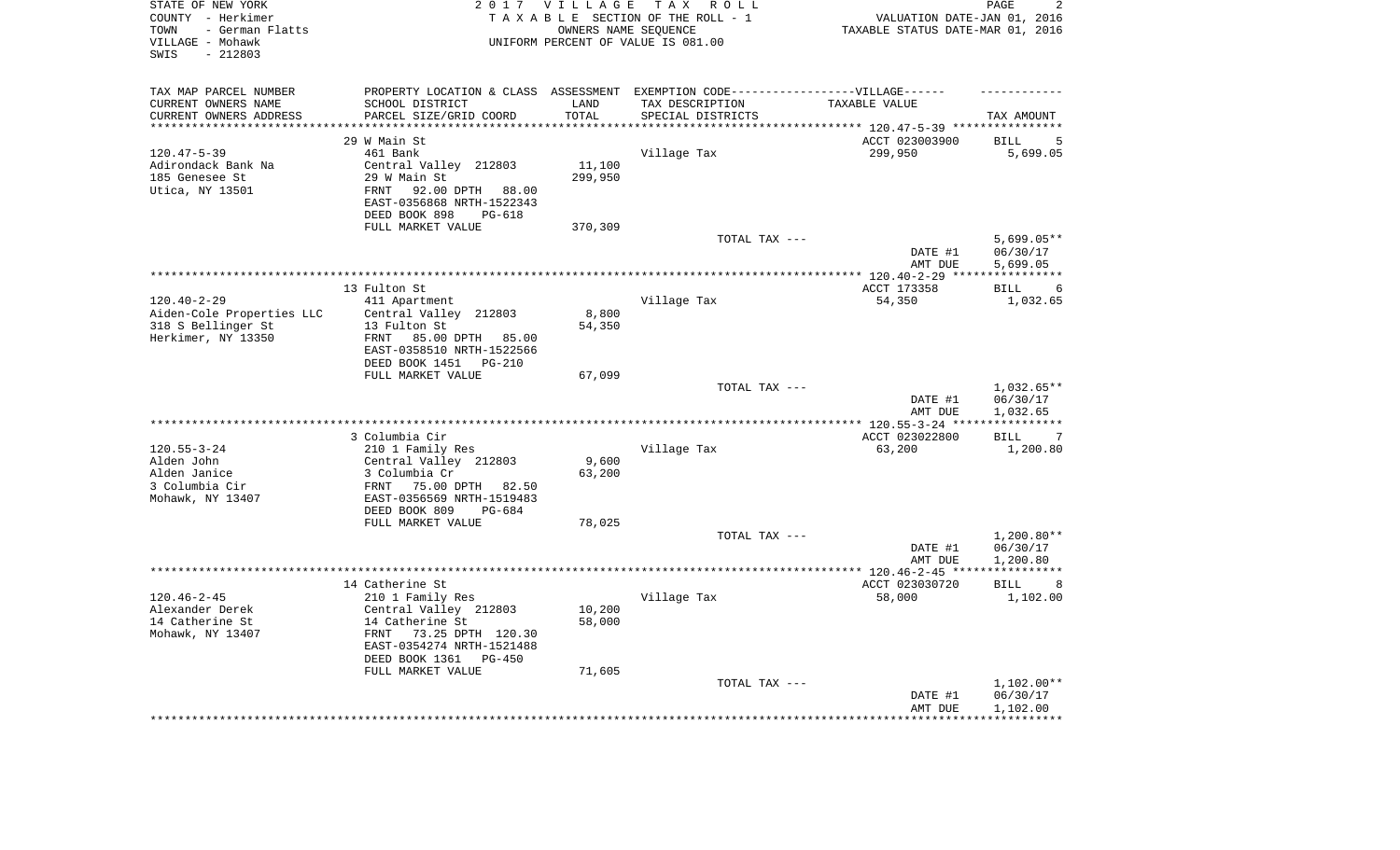| STATE OF NEW YORK<br>COUNTY - Herkimer<br>- German Flatts<br>TOWN<br>VILLAGE - Mohawk<br>$-212803$<br>SWIS |                                                                                   | 2017 VILLAGE<br>OWNERS NAME SEQUENCE | T A X<br>R O L L<br>TAXABLE SECTION OF THE ROLL - 1<br>UNIFORM PERCENT OF VALUE IS 081.00 | VALUATION DATE-JAN 01, 2016<br>TAXABLE STATUS DATE-MAR 01, 2016 | PAGE<br>2             |
|------------------------------------------------------------------------------------------------------------|-----------------------------------------------------------------------------------|--------------------------------------|-------------------------------------------------------------------------------------------|-----------------------------------------------------------------|-----------------------|
| TAX MAP PARCEL NUMBER                                                                                      | PROPERTY LOCATION & CLASS ASSESSMENT EXEMPTION CODE-----------------VILLAGE------ |                                      |                                                                                           |                                                                 |                       |
| CURRENT OWNERS NAME                                                                                        | SCHOOL DISTRICT                                                                   | LAND                                 | TAX DESCRIPTION                                                                           | TAXABLE VALUE                                                   |                       |
| CURRENT OWNERS ADDRESS<br>********************                                                             | PARCEL SIZE/GRID COORD                                                            | TOTAL<br>********                    | SPECIAL DISTRICTS                                                                         |                                                                 | TAX AMOUNT            |
|                                                                                                            |                                                                                   |                                      |                                                                                           |                                                                 |                       |
|                                                                                                            | 29 W Main St                                                                      |                                      |                                                                                           | ACCT 023003900                                                  | <b>BILL</b><br>5      |
| $120.47 - 5 - 39$                                                                                          | 461 Bank                                                                          | 11,100                               | Village Tax                                                                               | 299,950                                                         | 5,699.05              |
| Adirondack Bank Na<br>185 Genesee St                                                                       | Central Valley 212803<br>29 W Main St                                             | 299,950                              |                                                                                           |                                                                 |                       |
| Utica, NY 13501                                                                                            | 92.00 DPTH<br><b>FRNT</b><br>88.00                                                |                                      |                                                                                           |                                                                 |                       |
|                                                                                                            | EAST-0356868 NRTH-1522343                                                         |                                      |                                                                                           |                                                                 |                       |
|                                                                                                            | DEED BOOK 898<br>PG-618<br>FULL MARKET VALUE                                      | 370,309                              |                                                                                           |                                                                 |                       |
|                                                                                                            |                                                                                   |                                      | TOTAL TAX ---                                                                             |                                                                 | $5,699.05**$          |
|                                                                                                            |                                                                                   |                                      |                                                                                           | DATE #1<br>AMT DUE                                              | 06/30/17<br>5,699.05  |
|                                                                                                            |                                                                                   |                                      |                                                                                           | ******* 120.40-2-29 ***                                         | * * * * * * * * * * * |
|                                                                                                            | 13 Fulton St                                                                      |                                      |                                                                                           | ACCT 173358                                                     | <b>BILL</b><br>6      |
| $120.40 - 2 - 29$                                                                                          | 411 Apartment                                                                     |                                      | Village Tax                                                                               | 54,350                                                          | 1,032.65              |
| Aiden-Cole Properties LLC                                                                                  | Central Valley 212803                                                             | 8,800                                |                                                                                           |                                                                 |                       |
| 318 S Bellinger St                                                                                         | 13 Fulton St                                                                      | 54,350                               |                                                                                           |                                                                 |                       |
| Herkimer, NY 13350                                                                                         | 85.00 DPTH 85.00<br>FRNT                                                          |                                      |                                                                                           |                                                                 |                       |
|                                                                                                            | EAST-0358510 NRTH-1522566                                                         |                                      |                                                                                           |                                                                 |                       |
|                                                                                                            | DEED BOOK 1451<br>$PG-210$                                                        |                                      |                                                                                           |                                                                 |                       |
|                                                                                                            | FULL MARKET VALUE                                                                 | 67,099                               |                                                                                           |                                                                 |                       |
|                                                                                                            |                                                                                   |                                      | TOTAL TAX ---                                                                             |                                                                 | 1,032.65**            |
|                                                                                                            |                                                                                   |                                      |                                                                                           | DATE #1                                                         | 06/30/17              |
|                                                                                                            |                                                                                   |                                      |                                                                                           | AMT DUE<br>** $120.55 - 3 - 24$ **                              | 1,032.65              |
|                                                                                                            | 3 Columbia Cir                                                                    |                                      |                                                                                           | ACCT 023022800                                                  | <b>BILL</b><br>-7     |
| $120.55 - 3 - 24$                                                                                          | 210 1 Family Res                                                                  |                                      | Village Tax                                                                               | 63,200                                                          | 1,200.80              |
| Alden John                                                                                                 | Central Valley 212803                                                             | 9,600                                |                                                                                           |                                                                 |                       |
| Alden Janice                                                                                               | 3 Columbia Cr                                                                     | 63,200                               |                                                                                           |                                                                 |                       |
| 3 Columbia Cir                                                                                             | FRNT<br>75.00 DPTH<br>82.50                                                       |                                      |                                                                                           |                                                                 |                       |
| Mohawk, NY 13407                                                                                           | EAST-0356569 NRTH-1519483                                                         |                                      |                                                                                           |                                                                 |                       |
|                                                                                                            | DEED BOOK 809<br>PG-684                                                           |                                      |                                                                                           |                                                                 |                       |
|                                                                                                            | FULL MARKET VALUE                                                                 | 78,025                               |                                                                                           |                                                                 |                       |
|                                                                                                            |                                                                                   |                                      | TOTAL TAX ---                                                                             |                                                                 | $1,200.80**$          |
|                                                                                                            |                                                                                   |                                      |                                                                                           | DATE #1                                                         | 06/30/17              |
|                                                                                                            |                                                                                   |                                      |                                                                                           | AMT DUE                                                         | 1,200.80              |
|                                                                                                            |                                                                                   |                                      |                                                                                           | ************ 120.46-2-45 ****                                   | * * * * * * * * * * * |
|                                                                                                            | 14 Catherine St                                                                   |                                      |                                                                                           | ACCT 023030720                                                  | <b>BILL</b><br>8      |
| $120.46 - 2 - 45$                                                                                          | 210 1 Family Res                                                                  |                                      | Village Tax                                                                               | 58,000                                                          | 1,102.00              |
| Alexander Derek                                                                                            | Central Valley 212803                                                             | 10,200                               |                                                                                           |                                                                 |                       |
| 14 Catherine St                                                                                            | 14 Catherine St<br>FRNT<br>73.25 DPTH 120.30                                      | 58,000                               |                                                                                           |                                                                 |                       |
| Mohawk, NY 13407                                                                                           | EAST-0354274 NRTH-1521488                                                         |                                      |                                                                                           |                                                                 |                       |
|                                                                                                            | DEED BOOK 1361<br>$PG-450$                                                        |                                      |                                                                                           |                                                                 |                       |
|                                                                                                            | FULL MARKET VALUE                                                                 | 71,605                               |                                                                                           |                                                                 |                       |
|                                                                                                            |                                                                                   |                                      | TOTAL TAX ---                                                                             |                                                                 | 1,102.00**            |
|                                                                                                            |                                                                                   |                                      |                                                                                           | DATE #1                                                         | 06/30/17              |
|                                                                                                            |                                                                                   |                                      |                                                                                           | AMT DUE                                                         | 1,102.00              |
|                                                                                                            |                                                                                   |                                      |                                                                                           |                                                                 |                       |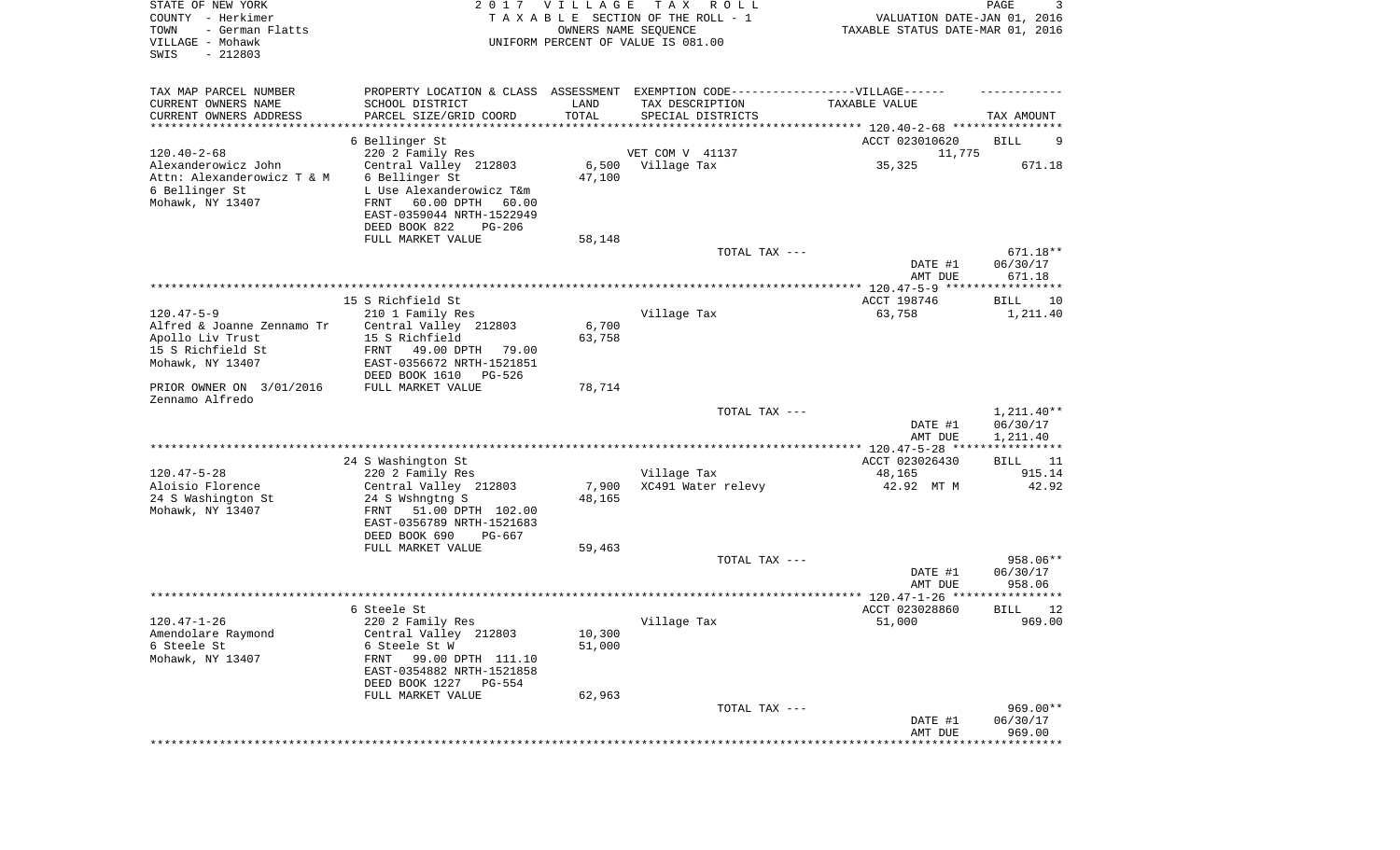| STATE OF NEW YORK<br>COUNTY - Herkimer<br>TOWN<br>- German Flatts<br>VILLAGE - Mohawk<br>SWIS<br>$-212803$ | 2017                                                                            | <b>VILLAGE</b><br>OWNERS NAME SEQUENCE | T A X<br>R O L L<br>TAXABLE SECTION OF THE ROLL - 1<br>UNIFORM PERCENT OF VALUE IS 081.00 | VALUATION DATE-JAN 01, 2016<br>TAXABLE STATUS DATE-MAR 01, 2016   | 3<br>PAGE                           |
|------------------------------------------------------------------------------------------------------------|---------------------------------------------------------------------------------|----------------------------------------|-------------------------------------------------------------------------------------------|-------------------------------------------------------------------|-------------------------------------|
| TAX MAP PARCEL NUMBER                                                                                      |                                                                                 |                                        | PROPERTY LOCATION & CLASS ASSESSMENT EXEMPTION CODE-----------------VILLAGE------         |                                                                   |                                     |
| CURRENT OWNERS NAME                                                                                        | SCHOOL DISTRICT                                                                 | LAND                                   | TAX DESCRIPTION                                                                           | TAXABLE VALUE                                                     |                                     |
| CURRENT OWNERS ADDRESS<br>*********************                                                            | PARCEL SIZE/GRID COORD                                                          | TOTAL                                  | SPECIAL DISTRICTS                                                                         |                                                                   | TAX AMOUNT                          |
|                                                                                                            | 6 Bellinger St                                                                  |                                        |                                                                                           | ACCT 023010620                                                    | BILL<br>9                           |
| $120.40 - 2 - 68$                                                                                          | 220 2 Family Res                                                                |                                        | VET COM V 41137                                                                           | 11,775                                                            |                                     |
| Alexanderowicz John                                                                                        | Central Valley 212803                                                           | 6,500                                  | Village Tax                                                                               | 35,325                                                            | 671.18                              |
| Attn: Alexanderowicz T & M                                                                                 | 6 Bellinger St                                                                  | 47,100                                 |                                                                                           |                                                                   |                                     |
| 6 Bellinger St                                                                                             | L Use Alexanderowicz T&m                                                        |                                        |                                                                                           |                                                                   |                                     |
| Mohawk, NY 13407                                                                                           | 60.00 DPTH 60.00<br>FRNT<br>EAST-0359044 NRTH-1522949                           |                                        |                                                                                           |                                                                   |                                     |
|                                                                                                            | DEED BOOK 822<br><b>PG-206</b>                                                  |                                        |                                                                                           |                                                                   |                                     |
|                                                                                                            | FULL MARKET VALUE                                                               | 58,148                                 |                                                                                           |                                                                   |                                     |
|                                                                                                            |                                                                                 |                                        | TOTAL TAX ---                                                                             |                                                                   | 671.18**                            |
|                                                                                                            |                                                                                 |                                        |                                                                                           | DATE #1                                                           | 06/30/17                            |
|                                                                                                            |                                                                                 |                                        |                                                                                           | AMT DUE                                                           | 671.18                              |
|                                                                                                            | 15 S Richfield St                                                               |                                        |                                                                                           | ACCT 198746                                                       | BILL<br>10                          |
| $120.47 - 5 - 9$                                                                                           | 210 1 Family Res                                                                |                                        | Village Tax                                                                               | 63,758                                                            | 1,211.40                            |
| Alfred & Joanne Zennamo Tr                                                                                 | Central Valley 212803                                                           | 6,700                                  |                                                                                           |                                                                   |                                     |
| Apollo Liv Trust<br>15 S Richfield St                                                                      | 15 S Richfield                                                                  | 63,758                                 |                                                                                           |                                                                   |                                     |
| Mohawk, NY 13407                                                                                           | FRNT<br>49.00 DPTH<br>79.00<br>EAST-0356672 NRTH-1521851                        |                                        |                                                                                           |                                                                   |                                     |
|                                                                                                            | DEED BOOK 1610<br>PG-526                                                        |                                        |                                                                                           |                                                                   |                                     |
| PRIOR OWNER ON 3/01/2016<br>Zennamo Alfredo                                                                | FULL MARKET VALUE                                                               | 78,714                                 |                                                                                           |                                                                   |                                     |
|                                                                                                            |                                                                                 |                                        | TOTAL TAX ---                                                                             | DATE #1                                                           | $1,211.40**$<br>06/30/17            |
|                                                                                                            |                                                                                 |                                        |                                                                                           | AMT DUE                                                           | 1,211.40<br>* * * * * * * * * * *   |
|                                                                                                            | 24 S Washington St                                                              |                                        |                                                                                           | ACCT 023026430                                                    | BILL<br>11                          |
| $120.47 - 5 - 28$                                                                                          | 220 2 Family Res                                                                |                                        | Village Tax                                                                               | 48,165                                                            | 915.14                              |
| Aloisio Florence                                                                                           | Central Valley 212803                                                           | 7,900                                  | XC491 Water relevy                                                                        | 42.92 MT M                                                        | 42.92                               |
| 24 S Washington St                                                                                         | 24 S Wshngtng S                                                                 | 48,165                                 |                                                                                           |                                                                   |                                     |
| Mohawk, NY 13407                                                                                           | FRNT<br>51.00 DPTH 102.00<br>EAST-0356789 NRTH-1521683                          |                                        |                                                                                           |                                                                   |                                     |
|                                                                                                            | DEED BOOK 690<br>PG-667                                                         |                                        |                                                                                           |                                                                   |                                     |
|                                                                                                            | FULL MARKET VALUE                                                               | 59,463                                 |                                                                                           |                                                                   |                                     |
|                                                                                                            |                                                                                 |                                        | TOTAL TAX ---                                                                             |                                                                   | 958.06**                            |
|                                                                                                            |                                                                                 |                                        |                                                                                           | DATE #1                                                           | 06/30/17                            |
|                                                                                                            |                                                                                 |                                        |                                                                                           | AMT DUE<br>****************** 120.47-1-26 *****<br>ACCT 023028860 | 958.06<br>******                    |
| $120.47 - 1 - 26$                                                                                          | 6 Steele St<br>220 2 Family Res                                                 |                                        | Village Tax                                                                               | 51,000                                                            | 12<br>BILL<br>969.00                |
| Amendolare Raymond                                                                                         | Central Valley 212803                                                           | 10,300                                 |                                                                                           |                                                                   |                                     |
| 6 Steele St                                                                                                | 6 Steele St W                                                                   | 51,000                                 |                                                                                           |                                                                   |                                     |
| Mohawk, NY 13407                                                                                           | 99.00 DPTH 111.10<br>FRNT<br>EAST-0354882 NRTH-1521858<br>DEED BOOK 1227 PG-554 |                                        |                                                                                           |                                                                   |                                     |
|                                                                                                            | FULL MARKET VALUE                                                               | 62,963                                 |                                                                                           |                                                                   |                                     |
|                                                                                                            |                                                                                 |                                        | TOTAL TAX ---                                                                             |                                                                   | 969.00**                            |
|                                                                                                            |                                                                                 |                                        |                                                                                           | DATE #1                                                           | 06/30/17                            |
|                                                                                                            |                                                                                 |                                        |                                                                                           | AMT DUE                                                           | 969.00<br>* * * * * * * * * * * * * |
|                                                                                                            |                                                                                 |                                        |                                                                                           |                                                                   |                                     |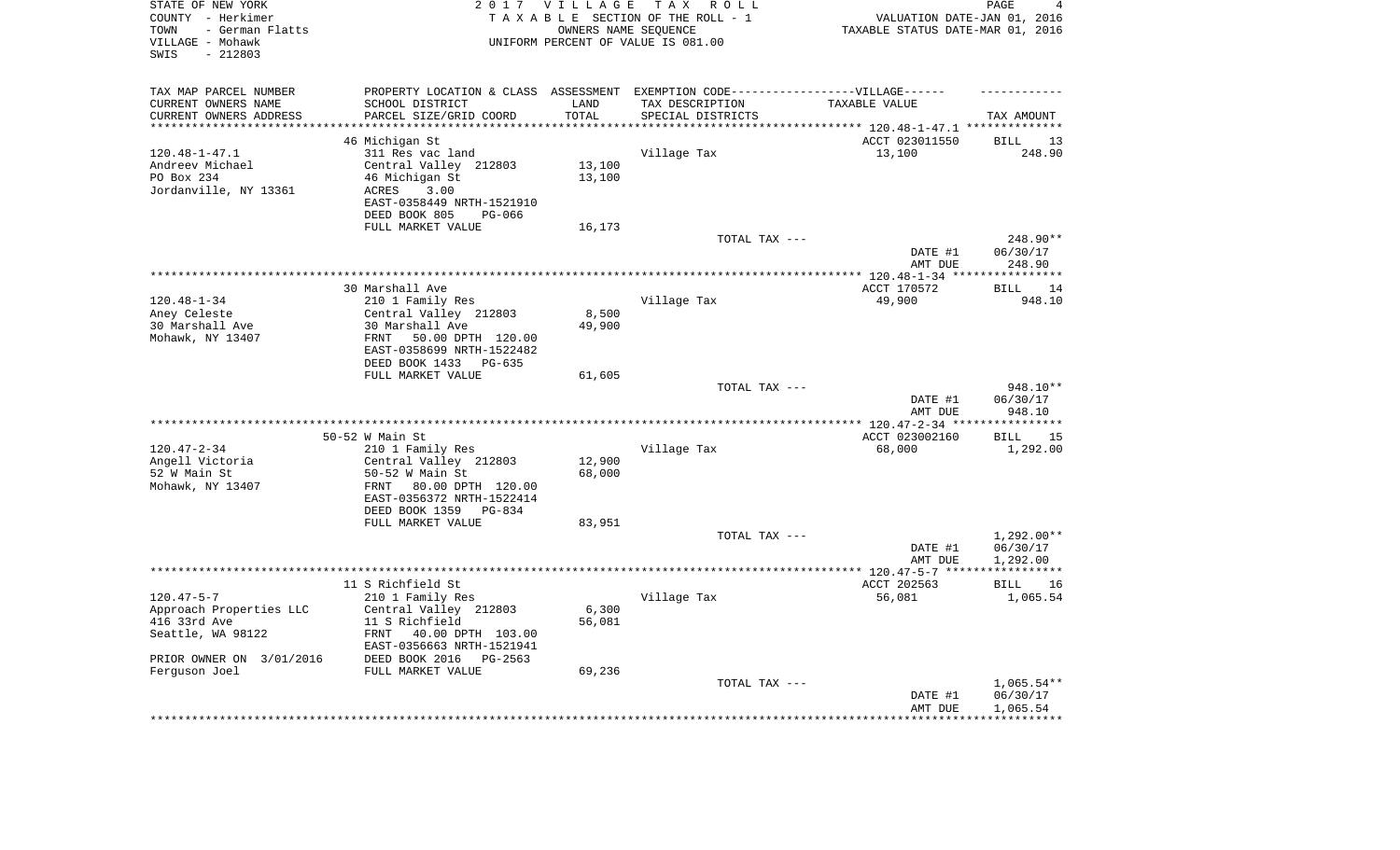| STATE OF NEW YORK<br>COUNTY - Herkimer<br>- German Flatts<br>TOWN<br>VILLAGE - Mohawk<br>SWIS<br>$-212803$ |                                                                                                      | 2017 VILLAGE<br>OWNERS NAME SEQUENCE | TAX ROLL<br>TAXABLE SECTION OF THE ROLL - 1<br>UNIFORM PERCENT OF VALUE IS 081.00 | VALUATION DATE-JAN 01, 2016<br>TAXABLE STATUS DATE-MAR 01, 2016 | PAGE<br>4          |
|------------------------------------------------------------------------------------------------------------|------------------------------------------------------------------------------------------------------|--------------------------------------|-----------------------------------------------------------------------------------|-----------------------------------------------------------------|--------------------|
| TAX MAP PARCEL NUMBER<br>CURRENT OWNERS NAME                                                               | PROPERTY LOCATION & CLASS ASSESSMENT EXEMPTION CODE-----------------VILLAGE------<br>SCHOOL DISTRICT | LAND                                 | TAX DESCRIPTION                                                                   | TAXABLE VALUE                                                   |                    |
| CURRENT OWNERS ADDRESS                                                                                     | PARCEL SIZE/GRID COORD                                                                               | TOTAL                                | SPECIAL DISTRICTS                                                                 |                                                                 | TAX AMOUNT         |
| ***********************                                                                                    |                                                                                                      |                                      |                                                                                   |                                                                 |                    |
|                                                                                                            | 46 Michigan St                                                                                       |                                      |                                                                                   | ACCT 023011550                                                  | <b>BILL</b><br>13  |
| $120.48 - 1 - 47.1$                                                                                        | 311 Res vac land                                                                                     |                                      | Village Tax                                                                       | 13,100                                                          | 248.90             |
| Andreev Michael                                                                                            | Central Valley 212803                                                                                | 13,100                               |                                                                                   |                                                                 |                    |
| PO Box 234                                                                                                 | 46 Michigan St                                                                                       | 13,100                               |                                                                                   |                                                                 |                    |
| Jordanville, NY 13361                                                                                      | 3.00<br>ACRES<br>EAST-0358449 NRTH-1521910                                                           |                                      |                                                                                   |                                                                 |                    |
|                                                                                                            | DEED BOOK 805<br>PG-066                                                                              |                                      |                                                                                   |                                                                 |                    |
|                                                                                                            | FULL MARKET VALUE                                                                                    | 16,173                               |                                                                                   |                                                                 | 248.90**           |
|                                                                                                            |                                                                                                      |                                      | TOTAL TAX ---                                                                     | DATE #1                                                         | 06/30/17           |
|                                                                                                            |                                                                                                      |                                      |                                                                                   | AMT DUE                                                         | 248.90             |
|                                                                                                            |                                                                                                      |                                      |                                                                                   |                                                                 |                    |
|                                                                                                            | 30 Marshall Ave                                                                                      |                                      |                                                                                   | ACCT 170572                                                     | <b>BILL</b><br>14  |
| $120.48 - 1 - 34$                                                                                          | 210 1 Family Res                                                                                     |                                      | Village Tax                                                                       | 49,900                                                          | 948.10             |
| Aney Celeste                                                                                               | Central Valley 212803                                                                                | 8,500                                |                                                                                   |                                                                 |                    |
| 30 Marshall Ave                                                                                            | 30 Marshall Ave                                                                                      | 49,900                               |                                                                                   |                                                                 |                    |
| Mohawk, NY 13407                                                                                           | FRNT 50.00 DPTH 120.00<br>EAST-0358699 NRTH-1522482                                                  |                                      |                                                                                   |                                                                 |                    |
|                                                                                                            | DEED BOOK 1433<br>PG-635                                                                             |                                      |                                                                                   |                                                                 |                    |
|                                                                                                            | FULL MARKET VALUE                                                                                    | 61,605                               |                                                                                   |                                                                 |                    |
|                                                                                                            |                                                                                                      |                                      | TOTAL TAX ---                                                                     |                                                                 | 948.10**           |
|                                                                                                            |                                                                                                      |                                      |                                                                                   | DATE #1<br>AMT DUE                                              | 06/30/17<br>948.10 |
|                                                                                                            |                                                                                                      |                                      |                                                                                   |                                                                 |                    |
|                                                                                                            | 50-52 W Main St                                                                                      |                                      |                                                                                   | ACCT 023002160                                                  | <b>BILL</b><br>15  |
| $120.47 - 2 - 34$                                                                                          | 210 1 Family Res                                                                                     |                                      | Village Tax                                                                       | 68,000                                                          | 1,292.00           |
| Angell Victoria                                                                                            | Central Valley 212803                                                                                | 12,900                               |                                                                                   |                                                                 |                    |
| 52 W Main St                                                                                               | 50-52 W Main St                                                                                      | 68,000                               |                                                                                   |                                                                 |                    |
| Mohawk, NY 13407                                                                                           | FRNT 80.00 DPTH 120.00                                                                               |                                      |                                                                                   |                                                                 |                    |
|                                                                                                            | EAST-0356372 NRTH-1522414                                                                            |                                      |                                                                                   |                                                                 |                    |
|                                                                                                            | DEED BOOK 1359<br>PG-834                                                                             |                                      |                                                                                   |                                                                 |                    |
|                                                                                                            | FULL MARKET VALUE                                                                                    | 83,951                               | TOTAL TAX ---                                                                     |                                                                 | $1,292.00**$       |
|                                                                                                            |                                                                                                      |                                      |                                                                                   | DATE #1                                                         | 06/30/17           |
|                                                                                                            |                                                                                                      |                                      |                                                                                   | AMT DUE                                                         | 1,292.00           |
|                                                                                                            |                                                                                                      |                                      |                                                                                   |                                                                 |                    |
|                                                                                                            | 11 S Richfield St                                                                                    |                                      |                                                                                   | ACCT 202563                                                     | 16<br>BILL         |
| $120.47 - 5 - 7$                                                                                           | 210 1 Family Res                                                                                     |                                      | Village Tax                                                                       | 56,081                                                          | 1,065.54           |
| Approach Properties LLC                                                                                    | Central Valley 212803                                                                                | 6,300                                |                                                                                   |                                                                 |                    |
| 416 33rd Ave                                                                                               | 11 S Richfield                                                                                       | 56,081                               |                                                                                   |                                                                 |                    |
| Seattle, WA 98122                                                                                          | 40.00 DPTH 103.00<br>FRNT                                                                            |                                      |                                                                                   |                                                                 |                    |
|                                                                                                            | EAST-0356663 NRTH-1521941                                                                            |                                      |                                                                                   |                                                                 |                    |
| PRIOR OWNER ON 3/01/2016<br>Ferguson Joel                                                                  | DEED BOOK 2016<br>PG-2563<br>FULL MARKET VALUE                                                       | 69,236                               |                                                                                   |                                                                 |                    |
|                                                                                                            |                                                                                                      |                                      | TOTAL TAX ---                                                                     |                                                                 | $1,065.54**$       |
|                                                                                                            |                                                                                                      |                                      |                                                                                   | DATE #1                                                         | 06/30/17           |
|                                                                                                            |                                                                                                      |                                      |                                                                                   | AMT DUE                                                         | 1,065.54           |
|                                                                                                            |                                                                                                      |                                      |                                                                                   |                                                                 | ************       |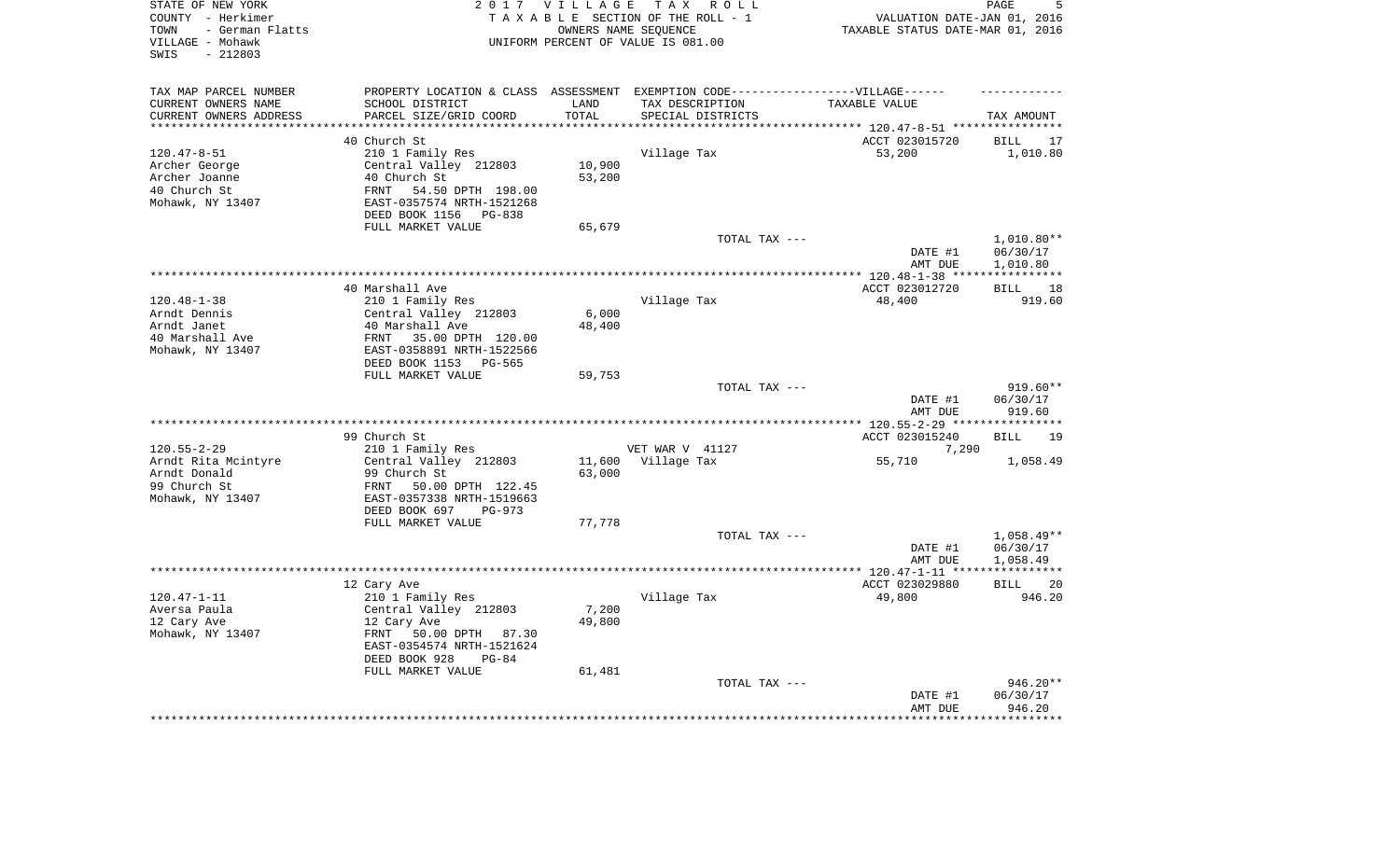| STATE OF NEW YORK<br>COUNTY - Herkimer<br>- German Flatts<br>TOWN<br>VILLAGE - Mohawk<br>SWIS<br>$-212803$ |                                                        | 2017 VILLAGE<br>OWNERS NAME SEQUENCE | T A X<br>R O L L<br>TAXABLE SECTION OF THE ROLL - 1<br>UNIFORM PERCENT OF VALUE IS 081.00 | VALUATION DATE-JAN 01, 2016<br>TAXABLE STATUS DATE-MAR 01, 2016 | PAGE<br>5          |
|------------------------------------------------------------------------------------------------------------|--------------------------------------------------------|--------------------------------------|-------------------------------------------------------------------------------------------|-----------------------------------------------------------------|--------------------|
| TAX MAP PARCEL NUMBER                                                                                      |                                                        |                                      | PROPERTY LOCATION & CLASS ASSESSMENT EXEMPTION CODE-----------------VILLAGE------         |                                                                 |                    |
| CURRENT OWNERS NAME                                                                                        | SCHOOL DISTRICT                                        | LAND                                 | TAX DESCRIPTION                                                                           | TAXABLE VALUE                                                   |                    |
| CURRENT OWNERS ADDRESS<br>********************                                                             | PARCEL SIZE/GRID COORD                                 | TOTAL<br>********                    | SPECIAL DISTRICTS                                                                         |                                                                 | TAX AMOUNT         |
|                                                                                                            | 40 Church St                                           |                                      |                                                                                           | ACCT 023015720                                                  | <b>BILL</b><br>17  |
| $120.47 - 8 - 51$                                                                                          | 210 1 Family Res                                       |                                      | Village Tax                                                                               | 53,200                                                          | 1,010.80           |
| Archer George                                                                                              | Central Valley 212803                                  | 10,900                               |                                                                                           |                                                                 |                    |
| Archer Joanne                                                                                              | 40 Church St                                           | 53,200                               |                                                                                           |                                                                 |                    |
| 40 Church St                                                                                               | 54.50 DPTH 198.00<br>FRNT                              |                                      |                                                                                           |                                                                 |                    |
| Mohawk, NY 13407                                                                                           | EAST-0357574 NRTH-1521268                              |                                      |                                                                                           |                                                                 |                    |
|                                                                                                            | DEED BOOK 1156<br>PG-838                               |                                      |                                                                                           |                                                                 |                    |
|                                                                                                            | FULL MARKET VALUE                                      | 65,679                               |                                                                                           |                                                                 |                    |
|                                                                                                            |                                                        |                                      | TOTAL TAX ---                                                                             |                                                                 | 1,010.80**         |
|                                                                                                            |                                                        |                                      |                                                                                           | DATE #1                                                         | 06/30/17           |
|                                                                                                            |                                                        |                                      |                                                                                           | AMT DUE                                                         | 1,010.80           |
|                                                                                                            | ***********                                            |                                      |                                                                                           | ******** 120.48-1-38 ****                                       | ***********        |
|                                                                                                            | 40 Marshall Ave                                        |                                      |                                                                                           | ACCT 023012720                                                  | <b>BILL</b><br>18  |
| $120.48 - 1 - 38$                                                                                          | 210 1 Family Res                                       |                                      | Village Tax                                                                               | 48,400                                                          | 919.60             |
| Arndt Dennis                                                                                               | Central Valley 212803                                  | 6,000                                |                                                                                           |                                                                 |                    |
| Arndt Janet<br>40 Marshall Ave                                                                             | 40 Marshall Ave<br>FRNT<br>35.00 DPTH 120.00           | 48,400                               |                                                                                           |                                                                 |                    |
| Mohawk, NY 13407                                                                                           | EAST-0358891 NRTH-1522566                              |                                      |                                                                                           |                                                                 |                    |
|                                                                                                            | DEED BOOK 1153<br>PG-565                               |                                      |                                                                                           |                                                                 |                    |
|                                                                                                            | FULL MARKET VALUE                                      | 59,753                               |                                                                                           |                                                                 |                    |
|                                                                                                            |                                                        |                                      | TOTAL TAX ---                                                                             |                                                                 | 919.60**           |
|                                                                                                            |                                                        |                                      |                                                                                           | DATE #1<br>AMT DUE                                              | 06/30/17<br>919.60 |
|                                                                                                            |                                                        |                                      | *******************                                                                       | ** 120.55-2-29 ***                                              |                    |
|                                                                                                            | 99 Church St                                           |                                      |                                                                                           | ACCT 023015240                                                  | 19<br><b>BILL</b>  |
| $120.55 - 2 - 29$                                                                                          | 210 1 Family Res                                       |                                      | VET WAR V 41127                                                                           | 7,290                                                           |                    |
| Arndt Rita Mcintyre                                                                                        | Central Valley 212803                                  | 11,600                               | Village Tax                                                                               | 55,710                                                          | 1,058.49           |
| Arndt Donald                                                                                               | 99 Church St                                           | 63,000                               |                                                                                           |                                                                 |                    |
| 99 Church St                                                                                               | FRNT<br>50.00 DPTH 122.45                              |                                      |                                                                                           |                                                                 |                    |
| Mohawk, NY 13407                                                                                           | EAST-0357338 NRTH-1519663<br>DEED BOOK 697<br>$PG-973$ |                                      |                                                                                           |                                                                 |                    |
|                                                                                                            | FULL MARKET VALUE                                      | 77,778                               |                                                                                           |                                                                 |                    |
|                                                                                                            |                                                        |                                      | TOTAL TAX ---                                                                             |                                                                 | $1,058.49**$       |
|                                                                                                            |                                                        |                                      |                                                                                           | DATE #1                                                         | 06/30/17           |
|                                                                                                            |                                                        |                                      |                                                                                           | AMT DUE                                                         | 1,058.49           |
| ********************                                                                                       |                                                        |                                      |                                                                                           | ************* 120.47-1-11 ****                                  | ***********        |
|                                                                                                            | 12 Cary Ave                                            |                                      |                                                                                           | ACCT 023029880                                                  | <b>BILL</b><br>20  |
| $120.47 - 1 - 11$                                                                                          | 210 1 Family Res                                       |                                      | Village Tax                                                                               | 49,800                                                          | 946.20             |
| Aversa Paula                                                                                               | Central Valley 212803                                  | 7,200                                |                                                                                           |                                                                 |                    |
| 12 Cary Ave                                                                                                | 12 Cary Ave                                            | 49,800                               |                                                                                           |                                                                 |                    |
| Mohawk, NY 13407                                                                                           | FRNT<br>50.00 DPTH 87.30                               |                                      |                                                                                           |                                                                 |                    |
|                                                                                                            | EAST-0354574 NRTH-1521624                              |                                      |                                                                                           |                                                                 |                    |
|                                                                                                            | DEED BOOK 928<br>$PG-84$                               |                                      |                                                                                           |                                                                 |                    |
|                                                                                                            | FULL MARKET VALUE                                      | 61,481                               | TOTAL TAX ---                                                                             |                                                                 | 946.20**           |
|                                                                                                            |                                                        |                                      |                                                                                           | DATE #1                                                         | 06/30/17           |
|                                                                                                            |                                                        |                                      |                                                                                           | AMT DUE                                                         | 946.20             |
|                                                                                                            |                                                        |                                      |                                                                                           |                                                                 | ********           |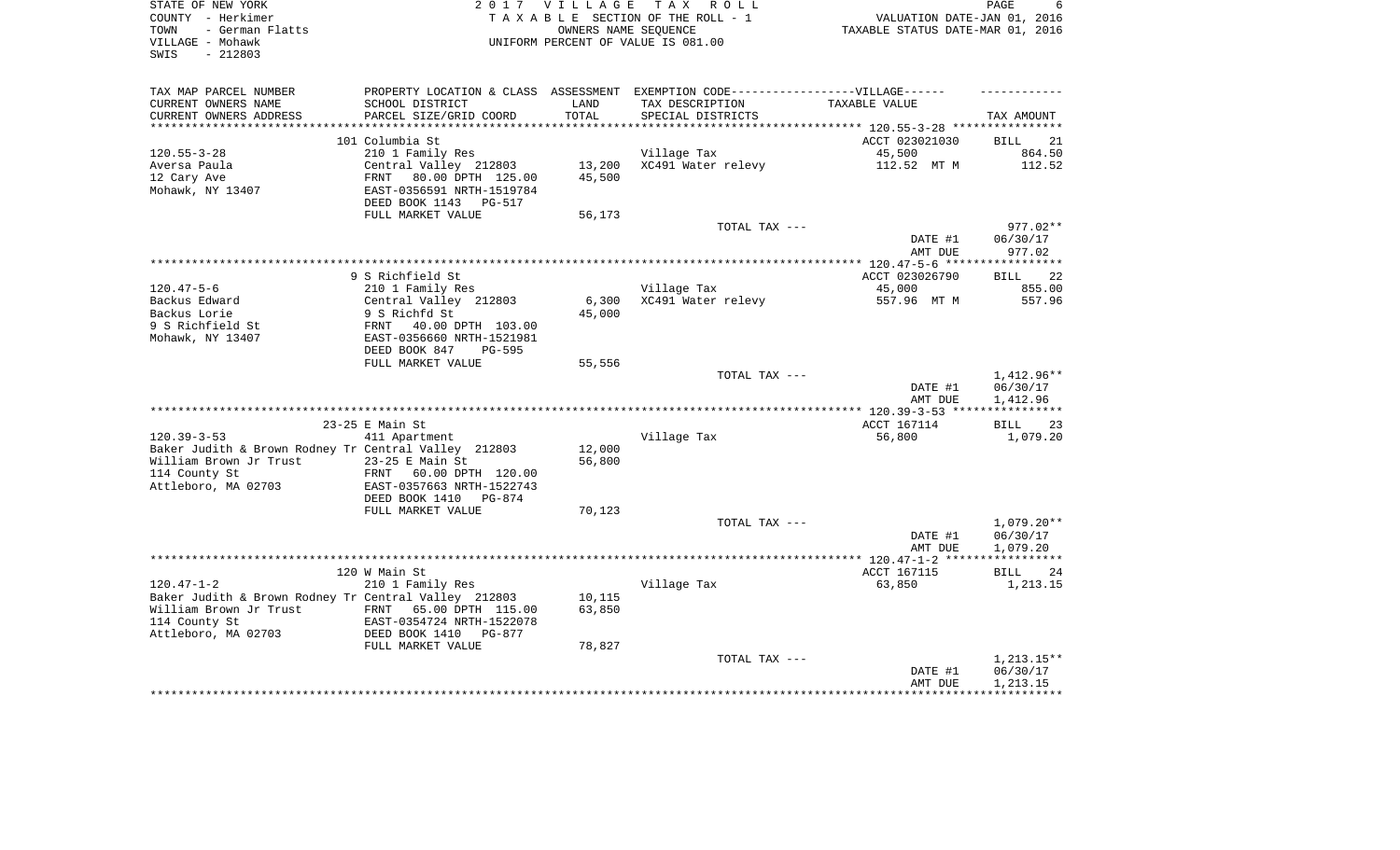| STATE OF NEW YORK<br>COUNTY - Herkimer                           | 2017                                               | <b>VILLAGE</b>                   | T A X<br>ROLL<br>TAXABLE SECTION OF THE ROLL - 1<br>OWNERS NAME SEOUENCE          | VALUATION DATE-JAN 01, 2016 | PAGE<br>6          |
|------------------------------------------------------------------|----------------------------------------------------|----------------------------------|-----------------------------------------------------------------------------------|-----------------------------|--------------------|
| - German Flatts<br>TOWN<br>VILLAGE - Mohawk<br>SWIS<br>$-212803$ | UNIFORM PERCENT OF VALUE IS 081.00                 | TAXABLE STATUS DATE-MAR 01, 2016 |                                                                                   |                             |                    |
| TAX MAP PARCEL NUMBER                                            |                                                    |                                  | PROPERTY LOCATION & CLASS ASSESSMENT EXEMPTION CODE-----------------VILLAGE------ |                             |                    |
| CURRENT OWNERS NAME                                              | SCHOOL DISTRICT                                    | LAND                             | TAX DESCRIPTION                                                                   | TAXABLE VALUE               |                    |
| CURRENT OWNERS ADDRESS                                           | PARCEL SIZE/GRID COORD                             | TOTAL                            | SPECIAL DISTRICTS                                                                 |                             | TAX AMOUNT         |
| **************************                                       |                                                    |                                  |                                                                                   |                             |                    |
|                                                                  | 101 Columbia St                                    |                                  |                                                                                   | ACCT 023021030              | 21<br>BILL         |
| $120.55 - 3 - 28$                                                | 210 1 Family Res                                   |                                  | Village Tax                                                                       | 45,500                      | 864.50             |
| Aversa Paula                                                     | Central Valley 212803                              | 13,200                           | XC491 Water relevy                                                                | 112.52 MT M                 | 112.52             |
| 12 Cary Ave                                                      | FRNT<br>80.00 DPTH 125.00                          | 45,500                           |                                                                                   |                             |                    |
| Mohawk, NY 13407                                                 | EAST-0356591 NRTH-1519784                          |                                  |                                                                                   |                             |                    |
|                                                                  | DEED BOOK 1143 PG-517                              |                                  |                                                                                   |                             |                    |
|                                                                  | FULL MARKET VALUE                                  | 56,173                           |                                                                                   |                             |                    |
|                                                                  |                                                    |                                  | TOTAL TAX ---                                                                     |                             | 977.02**           |
|                                                                  |                                                    |                                  |                                                                                   | DATE #1<br>AMT DUE          | 06/30/17<br>977.02 |
|                                                                  |                                                    |                                  |                                                                                   |                             |                    |
|                                                                  | 9 S Richfield St                                   |                                  |                                                                                   | ACCT 023026790              | 22<br><b>BILL</b>  |
| $120.47 - 5 - 6$                                                 | 210 1 Family Res                                   |                                  | Village Tax                                                                       | 45,000                      | 855.00             |
| Backus Edward                                                    | Central Valley 212803                              | 6,300                            | XC491 Water relevy                                                                | 557.96 MT M                 | 557.96             |
| Backus Lorie                                                     | 9 S Richfd St                                      | 45,000                           |                                                                                   |                             |                    |
| 9 S Richfield St                                                 | FRNT<br>40.00 DPTH 103.00                          |                                  |                                                                                   |                             |                    |
| Mohawk, NY 13407                                                 | EAST-0356660 NRTH-1521981                          |                                  |                                                                                   |                             |                    |
|                                                                  | DEED BOOK 847<br><b>PG-595</b>                     |                                  |                                                                                   |                             |                    |
|                                                                  | FULL MARKET VALUE                                  | 55,556                           |                                                                                   |                             |                    |
|                                                                  |                                                    |                                  | TOTAL TAX ---                                                                     |                             | 1,412.96**         |
|                                                                  |                                                    |                                  |                                                                                   | DATE #1                     | 06/30/17           |
|                                                                  |                                                    |                                  |                                                                                   | AMT DUE                     | 1,412.96           |
|                                                                  |                                                    |                                  |                                                                                   |                             | ***********        |
|                                                                  | 23-25 E Main St                                    |                                  |                                                                                   | ACCT 167114                 | 23<br><b>BILL</b>  |
| $120.39 - 3 - 53$                                                | 411 Apartment                                      |                                  | Village Tax                                                                       | 56,800                      | 1,079.20           |
| Baker Judith & Brown Rodney Tr Central Valley 212803             |                                                    | 12,000                           |                                                                                   |                             |                    |
| William Brown Jr Trust                                           | $23-25$ E Main St                                  | 56,800                           |                                                                                   |                             |                    |
| 114 County St                                                    | 60.00 DPTH 120.00<br>FRNT                          |                                  |                                                                                   |                             |                    |
| Attleboro, MA 02703                                              | EAST-0357663 NRTH-1522743                          |                                  |                                                                                   |                             |                    |
|                                                                  | DEED BOOK 1410<br>PG-874                           |                                  |                                                                                   |                             |                    |
|                                                                  | FULL MARKET VALUE                                  | 70,123                           |                                                                                   |                             |                    |
|                                                                  |                                                    |                                  | TOTAL TAX ---                                                                     |                             | $1,079.20**$       |
|                                                                  |                                                    |                                  |                                                                                   | DATE #1                     | 06/30/17           |
|                                                                  |                                                    |                                  |                                                                                   | AMT DUE                     | 1,079.20           |
|                                                                  |                                                    |                                  |                                                                                   |                             |                    |
|                                                                  | 120 W Main St                                      |                                  |                                                                                   | ACCT 167115                 | 24<br><b>BILL</b>  |
| $120.47 - 1 - 2$                                                 | 210 1 Family Res                                   |                                  | Village Tax                                                                       | 63,850                      | 1,213.15           |
| Baker Judith & Brown Rodney Tr Central Valley 212803             |                                                    | 10,115                           |                                                                                   |                             |                    |
| William Brown Jr Trust                                           | FRNT<br>65.00 DPTH 115.00                          | 63,850                           |                                                                                   |                             |                    |
| 114 County St<br>Attleboro, MA 02703                             | EAST-0354724 NRTH-1522078<br>DEED BOOK 1410 PG-877 |                                  |                                                                                   |                             |                    |
|                                                                  | FULL MARKET VALUE                                  | 78,827                           |                                                                                   |                             |                    |
|                                                                  |                                                    |                                  | TOTAL TAX ---                                                                     |                             | 1,213.15**         |
|                                                                  |                                                    |                                  |                                                                                   | DATE #1                     | 06/30/17           |
|                                                                  |                                                    |                                  |                                                                                   | AMT DUE                     | 1,213.15           |
|                                                                  |                                                    |                                  |                                                                                   |                             |                    |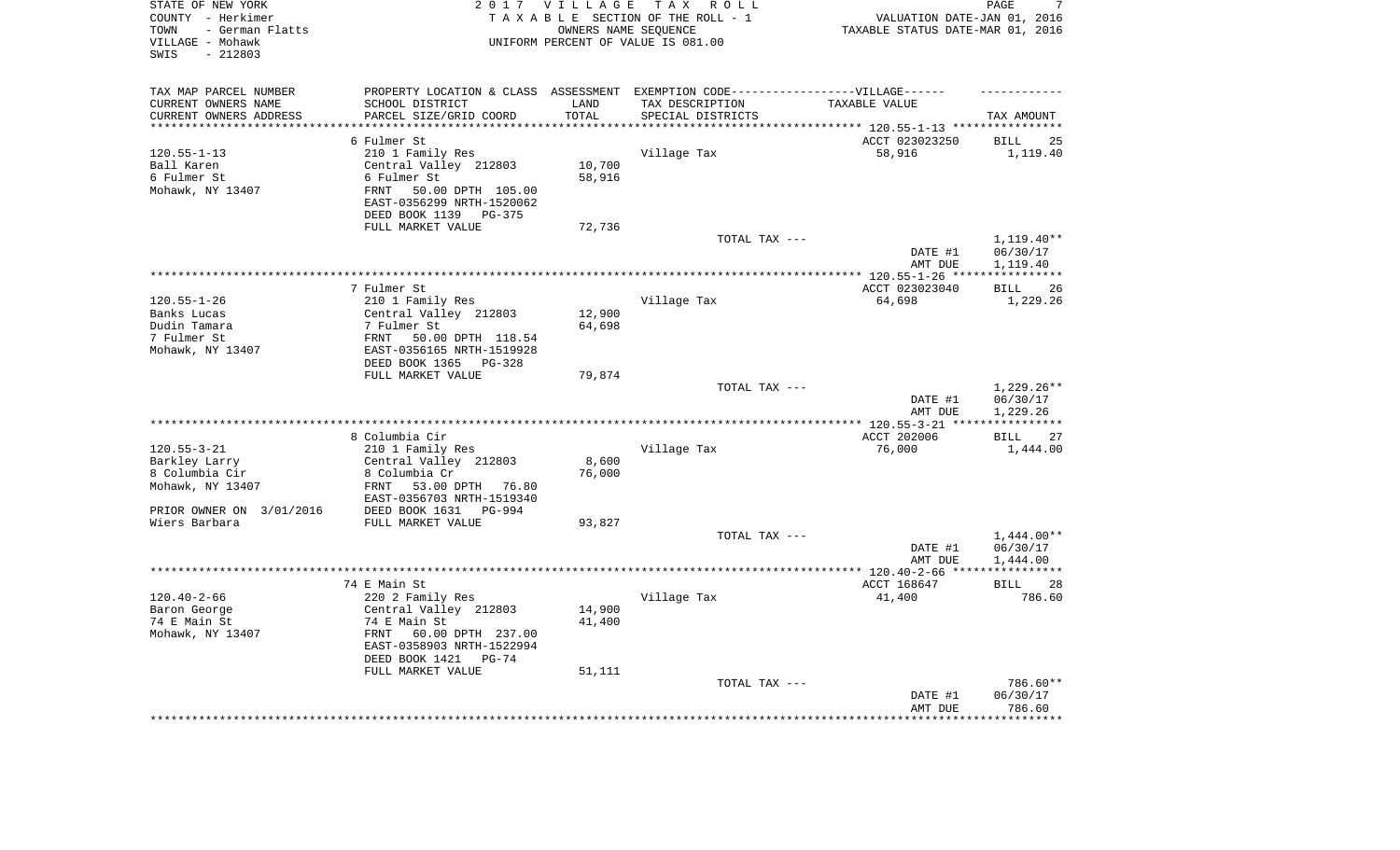| TAX MAP PARCEL NUMBER<br>PROPERTY LOCATION & CLASS ASSESSMENT EXEMPTION CODE-----------------VILLAGE------<br>SCHOOL DISTRICT<br>CURRENT OWNERS NAME<br>LAND<br>TAX DESCRIPTION<br>TAXABLE VALUE<br>CURRENT OWNERS ADDRESS<br>PARCEL SIZE/GRID COORD<br>TOTAL<br>SPECIAL DISTRICTS<br>TAX AMOUNT<br>********************<br>********<br>*************************** 120.55-1-13 ****************<br>ACCT 023023250<br>6 Fulmer St<br><b>BILL</b><br>25<br>$120.55 - 1 - 13$<br>210 1 Family Res<br>Village Tax<br>58,916<br>1,119.40<br>Ball Karen<br>Central Valley 212803<br>10,700<br>6 Fulmer St<br>58,916<br>6 Fulmer St<br>Mohawk, NY 13407<br>50.00 DPTH 105.00<br>FRNT<br>EAST-0356299 NRTH-1520062<br>DEED BOOK 1139<br>PG-375<br>FULL MARKET VALUE<br>72,736<br>TOTAL TAX ---<br>$1,119.40**$<br>DATE #1<br>06/30/17<br>AMT DUE<br>1,119.40<br>******** 120.55-1-26 ***<br>* * * * * * * * * * *<br>7 Fulmer St<br>ACCT 023023040<br>26<br><b>BILL</b><br>$120.55 - 1 - 26$<br>210 1 Family Res<br>Village Tax<br>64,698<br>1,229.26<br>Banks Lucas<br>Central Valley 212803<br>12,900<br>Dudin Tamara<br>7 Fulmer St<br>64,698<br>7 Fulmer St<br>FRNT<br>50.00 DPTH 118.54<br>Mohawk, NY 13407<br>EAST-0356165 NRTH-1519928<br>DEED BOOK 1365<br>PG-328<br>FULL MARKET VALUE<br>79,874<br>1,229.26**<br>TOTAL TAX ---<br>06/30/17<br>DATE #1<br>AMT DUE<br>1,229.26<br>********************<br>*** 120.55-3-21 ***<br>8 Columbia Cir<br>ACCT 202006<br>27<br><b>BILL</b><br>$120.55 - 3 - 21$<br>210 1 Family Res<br>76,000<br>Village Tax<br>1,444.00<br>Barkley Larry<br>Central Valley 212803<br>8,600<br>8 Columbia Cir<br>8 Columbia Cr<br>76,000<br>Mohawk, NY 13407<br>53.00 DPTH<br>FRNT<br>76.80<br>EAST-0356703 NRTH-1519340<br>PRIOR OWNER ON 3/01/2016<br>DEED BOOK 1631 PG-994<br>Wiers Barbara<br>FULL MARKET VALUE<br>93,827<br>$1,444.00**$<br>TOTAL TAX ---<br>DATE #1<br>06/30/17<br>AMT DUE<br>1,444.00<br>************<br>74 E Main St<br>ACCT 168647<br><b>BILL</b><br>28<br>$120.40 - 2 - 66$<br>220 2 Family Res<br>Village Tax<br>41,400<br>786.60<br>14,900<br>Baron George<br>Central Valley 212803<br>74 E Main St<br>74 E Main St<br>41,400<br>60.00 DPTH 237.00<br>Mohawk, NY 13407<br>FRNT<br>EAST-0358903 NRTH-1522994<br>DEED BOOK 1421<br>$PG-74$<br>FULL MARKET VALUE<br>51,111<br>786.60**<br>TOTAL TAX ---<br>06/30/17<br>DATE #1<br>786.60<br>AMT DUE | STATE OF NEW YORK<br>COUNTY - Herkimer<br>- German Flatts<br>TOWN<br>VILLAGE - Mohawk<br>$-212803$<br>SWIS | 2017 VILLAGE | T A X<br>R O L L<br>TAXABLE SECTION OF THE ROLL - 1<br>OWNERS NAME SEQUENCE<br>UNIFORM PERCENT OF VALUE IS 081.00 | VALUATION DATE-JAN 01, 2016<br>TAXABLE STATUS DATE-MAR 01, 2016 | PAGE<br>7 |
|-------------------------------------------------------------------------------------------------------------------------------------------------------------------------------------------------------------------------------------------------------------------------------------------------------------------------------------------------------------------------------------------------------------------------------------------------------------------------------------------------------------------------------------------------------------------------------------------------------------------------------------------------------------------------------------------------------------------------------------------------------------------------------------------------------------------------------------------------------------------------------------------------------------------------------------------------------------------------------------------------------------------------------------------------------------------------------------------------------------------------------------------------------------------------------------------------------------------------------------------------------------------------------------------------------------------------------------------------------------------------------------------------------------------------------------------------------------------------------------------------------------------------------------------------------------------------------------------------------------------------------------------------------------------------------------------------------------------------------------------------------------------------------------------------------------------------------------------------------------------------------------------------------------------------------------------------------------------------------------------------------------------------------------------------------------------------------------------------------------------------------------------------------------------------------------------------------------------------------------------------------------------------------------------------------------------------------------------------------------------------------------------------------|------------------------------------------------------------------------------------------------------------|--------------|-------------------------------------------------------------------------------------------------------------------|-----------------------------------------------------------------|-----------|
|                                                                                                                                                                                                                                                                                                                                                                                                                                                                                                                                                                                                                                                                                                                                                                                                                                                                                                                                                                                                                                                                                                                                                                                                                                                                                                                                                                                                                                                                                                                                                                                                                                                                                                                                                                                                                                                                                                                                                                                                                                                                                                                                                                                                                                                                                                                                                                                                       |                                                                                                            |              |                                                                                                                   |                                                                 |           |
|                                                                                                                                                                                                                                                                                                                                                                                                                                                                                                                                                                                                                                                                                                                                                                                                                                                                                                                                                                                                                                                                                                                                                                                                                                                                                                                                                                                                                                                                                                                                                                                                                                                                                                                                                                                                                                                                                                                                                                                                                                                                                                                                                                                                                                                                                                                                                                                                       |                                                                                                            |              |                                                                                                                   |                                                                 |           |
|                                                                                                                                                                                                                                                                                                                                                                                                                                                                                                                                                                                                                                                                                                                                                                                                                                                                                                                                                                                                                                                                                                                                                                                                                                                                                                                                                                                                                                                                                                                                                                                                                                                                                                                                                                                                                                                                                                                                                                                                                                                                                                                                                                                                                                                                                                                                                                                                       |                                                                                                            |              |                                                                                                                   |                                                                 |           |
|                                                                                                                                                                                                                                                                                                                                                                                                                                                                                                                                                                                                                                                                                                                                                                                                                                                                                                                                                                                                                                                                                                                                                                                                                                                                                                                                                                                                                                                                                                                                                                                                                                                                                                                                                                                                                                                                                                                                                                                                                                                                                                                                                                                                                                                                                                                                                                                                       |                                                                                                            |              |                                                                                                                   |                                                                 |           |
|                                                                                                                                                                                                                                                                                                                                                                                                                                                                                                                                                                                                                                                                                                                                                                                                                                                                                                                                                                                                                                                                                                                                                                                                                                                                                                                                                                                                                                                                                                                                                                                                                                                                                                                                                                                                                                                                                                                                                                                                                                                                                                                                                                                                                                                                                                                                                                                                       |                                                                                                            |              |                                                                                                                   |                                                                 |           |
|                                                                                                                                                                                                                                                                                                                                                                                                                                                                                                                                                                                                                                                                                                                                                                                                                                                                                                                                                                                                                                                                                                                                                                                                                                                                                                                                                                                                                                                                                                                                                                                                                                                                                                                                                                                                                                                                                                                                                                                                                                                                                                                                                                                                                                                                                                                                                                                                       |                                                                                                            |              |                                                                                                                   |                                                                 |           |
|                                                                                                                                                                                                                                                                                                                                                                                                                                                                                                                                                                                                                                                                                                                                                                                                                                                                                                                                                                                                                                                                                                                                                                                                                                                                                                                                                                                                                                                                                                                                                                                                                                                                                                                                                                                                                                                                                                                                                                                                                                                                                                                                                                                                                                                                                                                                                                                                       |                                                                                                            |              |                                                                                                                   |                                                                 |           |
|                                                                                                                                                                                                                                                                                                                                                                                                                                                                                                                                                                                                                                                                                                                                                                                                                                                                                                                                                                                                                                                                                                                                                                                                                                                                                                                                                                                                                                                                                                                                                                                                                                                                                                                                                                                                                                                                                                                                                                                                                                                                                                                                                                                                                                                                                                                                                                                                       |                                                                                                            |              |                                                                                                                   |                                                                 |           |
|                                                                                                                                                                                                                                                                                                                                                                                                                                                                                                                                                                                                                                                                                                                                                                                                                                                                                                                                                                                                                                                                                                                                                                                                                                                                                                                                                                                                                                                                                                                                                                                                                                                                                                                                                                                                                                                                                                                                                                                                                                                                                                                                                                                                                                                                                                                                                                                                       |                                                                                                            |              |                                                                                                                   |                                                                 |           |
|                                                                                                                                                                                                                                                                                                                                                                                                                                                                                                                                                                                                                                                                                                                                                                                                                                                                                                                                                                                                                                                                                                                                                                                                                                                                                                                                                                                                                                                                                                                                                                                                                                                                                                                                                                                                                                                                                                                                                                                                                                                                                                                                                                                                                                                                                                                                                                                                       |                                                                                                            |              |                                                                                                                   |                                                                 |           |
|                                                                                                                                                                                                                                                                                                                                                                                                                                                                                                                                                                                                                                                                                                                                                                                                                                                                                                                                                                                                                                                                                                                                                                                                                                                                                                                                                                                                                                                                                                                                                                                                                                                                                                                                                                                                                                                                                                                                                                                                                                                                                                                                                                                                                                                                                                                                                                                                       |                                                                                                            |              |                                                                                                                   |                                                                 |           |
|                                                                                                                                                                                                                                                                                                                                                                                                                                                                                                                                                                                                                                                                                                                                                                                                                                                                                                                                                                                                                                                                                                                                                                                                                                                                                                                                                                                                                                                                                                                                                                                                                                                                                                                                                                                                                                                                                                                                                                                                                                                                                                                                                                                                                                                                                                                                                                                                       |                                                                                                            |              |                                                                                                                   |                                                                 |           |
|                                                                                                                                                                                                                                                                                                                                                                                                                                                                                                                                                                                                                                                                                                                                                                                                                                                                                                                                                                                                                                                                                                                                                                                                                                                                                                                                                                                                                                                                                                                                                                                                                                                                                                                                                                                                                                                                                                                                                                                                                                                                                                                                                                                                                                                                                                                                                                                                       |                                                                                                            |              |                                                                                                                   |                                                                 |           |
|                                                                                                                                                                                                                                                                                                                                                                                                                                                                                                                                                                                                                                                                                                                                                                                                                                                                                                                                                                                                                                                                                                                                                                                                                                                                                                                                                                                                                                                                                                                                                                                                                                                                                                                                                                                                                                                                                                                                                                                                                                                                                                                                                                                                                                                                                                                                                                                                       |                                                                                                            |              |                                                                                                                   |                                                                 |           |
|                                                                                                                                                                                                                                                                                                                                                                                                                                                                                                                                                                                                                                                                                                                                                                                                                                                                                                                                                                                                                                                                                                                                                                                                                                                                                                                                                                                                                                                                                                                                                                                                                                                                                                                                                                                                                                                                                                                                                                                                                                                                                                                                                                                                                                                                                                                                                                                                       |                                                                                                            |              |                                                                                                                   |                                                                 |           |
|                                                                                                                                                                                                                                                                                                                                                                                                                                                                                                                                                                                                                                                                                                                                                                                                                                                                                                                                                                                                                                                                                                                                                                                                                                                                                                                                                                                                                                                                                                                                                                                                                                                                                                                                                                                                                                                                                                                                                                                                                                                                                                                                                                                                                                                                                                                                                                                                       |                                                                                                            |              |                                                                                                                   |                                                                 |           |
|                                                                                                                                                                                                                                                                                                                                                                                                                                                                                                                                                                                                                                                                                                                                                                                                                                                                                                                                                                                                                                                                                                                                                                                                                                                                                                                                                                                                                                                                                                                                                                                                                                                                                                                                                                                                                                                                                                                                                                                                                                                                                                                                                                                                                                                                                                                                                                                                       |                                                                                                            |              |                                                                                                                   |                                                                 |           |
|                                                                                                                                                                                                                                                                                                                                                                                                                                                                                                                                                                                                                                                                                                                                                                                                                                                                                                                                                                                                                                                                                                                                                                                                                                                                                                                                                                                                                                                                                                                                                                                                                                                                                                                                                                                                                                                                                                                                                                                                                                                                                                                                                                                                                                                                                                                                                                                                       |                                                                                                            |              |                                                                                                                   |                                                                 |           |
|                                                                                                                                                                                                                                                                                                                                                                                                                                                                                                                                                                                                                                                                                                                                                                                                                                                                                                                                                                                                                                                                                                                                                                                                                                                                                                                                                                                                                                                                                                                                                                                                                                                                                                                                                                                                                                                                                                                                                                                                                                                                                                                                                                                                                                                                                                                                                                                                       |                                                                                                            |              |                                                                                                                   |                                                                 |           |
|                                                                                                                                                                                                                                                                                                                                                                                                                                                                                                                                                                                                                                                                                                                                                                                                                                                                                                                                                                                                                                                                                                                                                                                                                                                                                                                                                                                                                                                                                                                                                                                                                                                                                                                                                                                                                                                                                                                                                                                                                                                                                                                                                                                                                                                                                                                                                                                                       |                                                                                                            |              |                                                                                                                   |                                                                 |           |
|                                                                                                                                                                                                                                                                                                                                                                                                                                                                                                                                                                                                                                                                                                                                                                                                                                                                                                                                                                                                                                                                                                                                                                                                                                                                                                                                                                                                                                                                                                                                                                                                                                                                                                                                                                                                                                                                                                                                                                                                                                                                                                                                                                                                                                                                                                                                                                                                       |                                                                                                            |              |                                                                                                                   |                                                                 |           |
|                                                                                                                                                                                                                                                                                                                                                                                                                                                                                                                                                                                                                                                                                                                                                                                                                                                                                                                                                                                                                                                                                                                                                                                                                                                                                                                                                                                                                                                                                                                                                                                                                                                                                                                                                                                                                                                                                                                                                                                                                                                                                                                                                                                                                                                                                                                                                                                                       |                                                                                                            |              |                                                                                                                   |                                                                 |           |
|                                                                                                                                                                                                                                                                                                                                                                                                                                                                                                                                                                                                                                                                                                                                                                                                                                                                                                                                                                                                                                                                                                                                                                                                                                                                                                                                                                                                                                                                                                                                                                                                                                                                                                                                                                                                                                                                                                                                                                                                                                                                                                                                                                                                                                                                                                                                                                                                       |                                                                                                            |              |                                                                                                                   |                                                                 |           |
|                                                                                                                                                                                                                                                                                                                                                                                                                                                                                                                                                                                                                                                                                                                                                                                                                                                                                                                                                                                                                                                                                                                                                                                                                                                                                                                                                                                                                                                                                                                                                                                                                                                                                                                                                                                                                                                                                                                                                                                                                                                                                                                                                                                                                                                                                                                                                                                                       |                                                                                                            |              |                                                                                                                   |                                                                 |           |
|                                                                                                                                                                                                                                                                                                                                                                                                                                                                                                                                                                                                                                                                                                                                                                                                                                                                                                                                                                                                                                                                                                                                                                                                                                                                                                                                                                                                                                                                                                                                                                                                                                                                                                                                                                                                                                                                                                                                                                                                                                                                                                                                                                                                                                                                                                                                                                                                       |                                                                                                            |              |                                                                                                                   |                                                                 |           |
|                                                                                                                                                                                                                                                                                                                                                                                                                                                                                                                                                                                                                                                                                                                                                                                                                                                                                                                                                                                                                                                                                                                                                                                                                                                                                                                                                                                                                                                                                                                                                                                                                                                                                                                                                                                                                                                                                                                                                                                                                                                                                                                                                                                                                                                                                                                                                                                                       |                                                                                                            |              |                                                                                                                   |                                                                 |           |
|                                                                                                                                                                                                                                                                                                                                                                                                                                                                                                                                                                                                                                                                                                                                                                                                                                                                                                                                                                                                                                                                                                                                                                                                                                                                                                                                                                                                                                                                                                                                                                                                                                                                                                                                                                                                                                                                                                                                                                                                                                                                                                                                                                                                                                                                                                                                                                                                       |                                                                                                            |              |                                                                                                                   |                                                                 |           |
|                                                                                                                                                                                                                                                                                                                                                                                                                                                                                                                                                                                                                                                                                                                                                                                                                                                                                                                                                                                                                                                                                                                                                                                                                                                                                                                                                                                                                                                                                                                                                                                                                                                                                                                                                                                                                                                                                                                                                                                                                                                                                                                                                                                                                                                                                                                                                                                                       |                                                                                                            |              |                                                                                                                   |                                                                 |           |
|                                                                                                                                                                                                                                                                                                                                                                                                                                                                                                                                                                                                                                                                                                                                                                                                                                                                                                                                                                                                                                                                                                                                                                                                                                                                                                                                                                                                                                                                                                                                                                                                                                                                                                                                                                                                                                                                                                                                                                                                                                                                                                                                                                                                                                                                                                                                                                                                       |                                                                                                            |              |                                                                                                                   |                                                                 |           |
|                                                                                                                                                                                                                                                                                                                                                                                                                                                                                                                                                                                                                                                                                                                                                                                                                                                                                                                                                                                                                                                                                                                                                                                                                                                                                                                                                                                                                                                                                                                                                                                                                                                                                                                                                                                                                                                                                                                                                                                                                                                                                                                                                                                                                                                                                                                                                                                                       |                                                                                                            |              |                                                                                                                   |                                                                 |           |
|                                                                                                                                                                                                                                                                                                                                                                                                                                                                                                                                                                                                                                                                                                                                                                                                                                                                                                                                                                                                                                                                                                                                                                                                                                                                                                                                                                                                                                                                                                                                                                                                                                                                                                                                                                                                                                                                                                                                                                                                                                                                                                                                                                                                                                                                                                                                                                                                       |                                                                                                            |              |                                                                                                                   |                                                                 |           |
|                                                                                                                                                                                                                                                                                                                                                                                                                                                                                                                                                                                                                                                                                                                                                                                                                                                                                                                                                                                                                                                                                                                                                                                                                                                                                                                                                                                                                                                                                                                                                                                                                                                                                                                                                                                                                                                                                                                                                                                                                                                                                                                                                                                                                                                                                                                                                                                                       |                                                                                                            |              |                                                                                                                   |                                                                 |           |
|                                                                                                                                                                                                                                                                                                                                                                                                                                                                                                                                                                                                                                                                                                                                                                                                                                                                                                                                                                                                                                                                                                                                                                                                                                                                                                                                                                                                                                                                                                                                                                                                                                                                                                                                                                                                                                                                                                                                                                                                                                                                                                                                                                                                                                                                                                                                                                                                       |                                                                                                            |              |                                                                                                                   |                                                                 |           |
|                                                                                                                                                                                                                                                                                                                                                                                                                                                                                                                                                                                                                                                                                                                                                                                                                                                                                                                                                                                                                                                                                                                                                                                                                                                                                                                                                                                                                                                                                                                                                                                                                                                                                                                                                                                                                                                                                                                                                                                                                                                                                                                                                                                                                                                                                                                                                                                                       |                                                                                                            |              |                                                                                                                   |                                                                 |           |
|                                                                                                                                                                                                                                                                                                                                                                                                                                                                                                                                                                                                                                                                                                                                                                                                                                                                                                                                                                                                                                                                                                                                                                                                                                                                                                                                                                                                                                                                                                                                                                                                                                                                                                                                                                                                                                                                                                                                                                                                                                                                                                                                                                                                                                                                                                                                                                                                       |                                                                                                            |              |                                                                                                                   |                                                                 |           |
|                                                                                                                                                                                                                                                                                                                                                                                                                                                                                                                                                                                                                                                                                                                                                                                                                                                                                                                                                                                                                                                                                                                                                                                                                                                                                                                                                                                                                                                                                                                                                                                                                                                                                                                                                                                                                                                                                                                                                                                                                                                                                                                                                                                                                                                                                                                                                                                                       |                                                                                                            |              |                                                                                                                   |                                                                 |           |
|                                                                                                                                                                                                                                                                                                                                                                                                                                                                                                                                                                                                                                                                                                                                                                                                                                                                                                                                                                                                                                                                                                                                                                                                                                                                                                                                                                                                                                                                                                                                                                                                                                                                                                                                                                                                                                                                                                                                                                                                                                                                                                                                                                                                                                                                                                                                                                                                       |                                                                                                            |              |                                                                                                                   |                                                                 |           |
|                                                                                                                                                                                                                                                                                                                                                                                                                                                                                                                                                                                                                                                                                                                                                                                                                                                                                                                                                                                                                                                                                                                                                                                                                                                                                                                                                                                                                                                                                                                                                                                                                                                                                                                                                                                                                                                                                                                                                                                                                                                                                                                                                                                                                                                                                                                                                                                                       |                                                                                                            |              |                                                                                                                   |                                                                 |           |
|                                                                                                                                                                                                                                                                                                                                                                                                                                                                                                                                                                                                                                                                                                                                                                                                                                                                                                                                                                                                                                                                                                                                                                                                                                                                                                                                                                                                                                                                                                                                                                                                                                                                                                                                                                                                                                                                                                                                                                                                                                                                                                                                                                                                                                                                                                                                                                                                       |                                                                                                            |              |                                                                                                                   |                                                                 |           |
|                                                                                                                                                                                                                                                                                                                                                                                                                                                                                                                                                                                                                                                                                                                                                                                                                                                                                                                                                                                                                                                                                                                                                                                                                                                                                                                                                                                                                                                                                                                                                                                                                                                                                                                                                                                                                                                                                                                                                                                                                                                                                                                                                                                                                                                                                                                                                                                                       |                                                                                                            |              |                                                                                                                   |                                                                 |           |
|                                                                                                                                                                                                                                                                                                                                                                                                                                                                                                                                                                                                                                                                                                                                                                                                                                                                                                                                                                                                                                                                                                                                                                                                                                                                                                                                                                                                                                                                                                                                                                                                                                                                                                                                                                                                                                                                                                                                                                                                                                                                                                                                                                                                                                                                                                                                                                                                       |                                                                                                            |              |                                                                                                                   |                                                                 |           |
|                                                                                                                                                                                                                                                                                                                                                                                                                                                                                                                                                                                                                                                                                                                                                                                                                                                                                                                                                                                                                                                                                                                                                                                                                                                                                                                                                                                                                                                                                                                                                                                                                                                                                                                                                                                                                                                                                                                                                                                                                                                                                                                                                                                                                                                                                                                                                                                                       |                                                                                                            |              |                                                                                                                   |                                                                 |           |
|                                                                                                                                                                                                                                                                                                                                                                                                                                                                                                                                                                                                                                                                                                                                                                                                                                                                                                                                                                                                                                                                                                                                                                                                                                                                                                                                                                                                                                                                                                                                                                                                                                                                                                                                                                                                                                                                                                                                                                                                                                                                                                                                                                                                                                                                                                                                                                                                       |                                                                                                            |              |                                                                                                                   |                                                                 |           |
|                                                                                                                                                                                                                                                                                                                                                                                                                                                                                                                                                                                                                                                                                                                                                                                                                                                                                                                                                                                                                                                                                                                                                                                                                                                                                                                                                                                                                                                                                                                                                                                                                                                                                                                                                                                                                                                                                                                                                                                                                                                                                                                                                                                                                                                                                                                                                                                                       |                                                                                                            |              |                                                                                                                   |                                                                 |           |
|                                                                                                                                                                                                                                                                                                                                                                                                                                                                                                                                                                                                                                                                                                                                                                                                                                                                                                                                                                                                                                                                                                                                                                                                                                                                                                                                                                                                                                                                                                                                                                                                                                                                                                                                                                                                                                                                                                                                                                                                                                                                                                                                                                                                                                                                                                                                                                                                       |                                                                                                            |              |                                                                                                                   |                                                                 |           |
|                                                                                                                                                                                                                                                                                                                                                                                                                                                                                                                                                                                                                                                                                                                                                                                                                                                                                                                                                                                                                                                                                                                                                                                                                                                                                                                                                                                                                                                                                                                                                                                                                                                                                                                                                                                                                                                                                                                                                                                                                                                                                                                                                                                                                                                                                                                                                                                                       |                                                                                                            |              |                                                                                                                   |                                                                 |           |
|                                                                                                                                                                                                                                                                                                                                                                                                                                                                                                                                                                                                                                                                                                                                                                                                                                                                                                                                                                                                                                                                                                                                                                                                                                                                                                                                                                                                                                                                                                                                                                                                                                                                                                                                                                                                                                                                                                                                                                                                                                                                                                                                                                                                                                                                                                                                                                                                       |                                                                                                            |              |                                                                                                                   |                                                                 |           |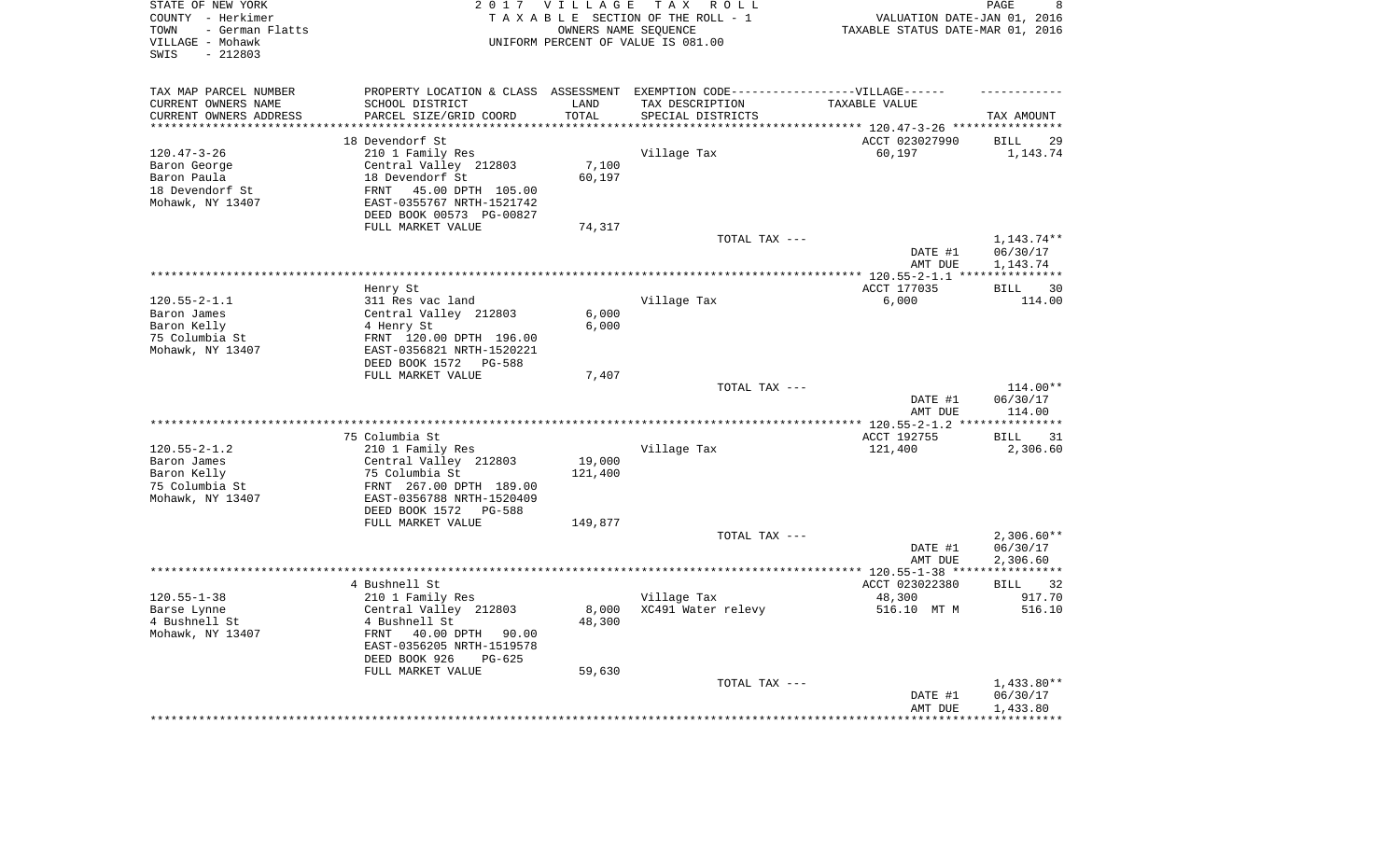| TAX MAP PARCEL NUMBER<br>PROPERTY LOCATION & CLASS ASSESSMENT EXEMPTION CODE-----------------VILLAGE------<br>CURRENT OWNERS NAME<br>SCHOOL DISTRICT<br>LAND<br>TAX DESCRIPTION<br>TAXABLE VALUE<br>CURRENT OWNERS ADDRESS<br>PARCEL SIZE/GRID COORD<br>TOTAL<br>SPECIAL DISTRICTS<br>TAX AMOUNT<br>*********************<br>*************<br>************************<br>ACCT 023027990<br>18 Devendorf St<br><b>BILL</b><br>$120.47 - 3 - 26$<br>210 1 Family Res<br>Village Tax<br>60,197<br>1,143.74<br>Central Valley 212803<br>7,100<br>Baron George<br>18 Devendorf St<br>60,197<br>Baron Paula<br>18 Devendorf St<br>45.00 DPTH 105.00<br>FRNT<br>Mohawk, NY 13407<br>EAST-0355767 NRTH-1521742<br>DEED BOOK 00573 PG-00827<br>FULL MARKET VALUE<br>74,317<br>TOTAL TAX ---<br>1,143.74** | 8<br>VALUATION DATE-JAN 01, 2016<br>TAXABLE STATUS DATE-MAR 01, 2016 |
|---------------------------------------------------------------------------------------------------------------------------------------------------------------------------------------------------------------------------------------------------------------------------------------------------------------------------------------------------------------------------------------------------------------------------------------------------------------------------------------------------------------------------------------------------------------------------------------------------------------------------------------------------------------------------------------------------------------------------------------------------------------------------------------------------|----------------------------------------------------------------------|
|                                                                                                                                                                                                                                                                                                                                                                                                                                                                                                                                                                                                                                                                                                                                                                                                   |                                                                      |
|                                                                                                                                                                                                                                                                                                                                                                                                                                                                                                                                                                                                                                                                                                                                                                                                   |                                                                      |
|                                                                                                                                                                                                                                                                                                                                                                                                                                                                                                                                                                                                                                                                                                                                                                                                   |                                                                      |
|                                                                                                                                                                                                                                                                                                                                                                                                                                                                                                                                                                                                                                                                                                                                                                                                   | 29                                                                   |
|                                                                                                                                                                                                                                                                                                                                                                                                                                                                                                                                                                                                                                                                                                                                                                                                   |                                                                      |
|                                                                                                                                                                                                                                                                                                                                                                                                                                                                                                                                                                                                                                                                                                                                                                                                   |                                                                      |
|                                                                                                                                                                                                                                                                                                                                                                                                                                                                                                                                                                                                                                                                                                                                                                                                   |                                                                      |
|                                                                                                                                                                                                                                                                                                                                                                                                                                                                                                                                                                                                                                                                                                                                                                                                   |                                                                      |
|                                                                                                                                                                                                                                                                                                                                                                                                                                                                                                                                                                                                                                                                                                                                                                                                   |                                                                      |
|                                                                                                                                                                                                                                                                                                                                                                                                                                                                                                                                                                                                                                                                                                                                                                                                   |                                                                      |
|                                                                                                                                                                                                                                                                                                                                                                                                                                                                                                                                                                                                                                                                                                                                                                                                   |                                                                      |
|                                                                                                                                                                                                                                                                                                                                                                                                                                                                                                                                                                                                                                                                                                                                                                                                   |                                                                      |
| DATE #1<br>06/30/17                                                                                                                                                                                                                                                                                                                                                                                                                                                                                                                                                                                                                                                                                                                                                                               |                                                                      |
| AMT DUE<br>1,143.74                                                                                                                                                                                                                                                                                                                                                                                                                                                                                                                                                                                                                                                                                                                                                                               |                                                                      |
| *********** 120.55-2-1.1 ***<br>ACCT 177035                                                                                                                                                                                                                                                                                                                                                                                                                                                                                                                                                                                                                                                                                                                                                       |                                                                      |
| Henry St<br><b>BILL</b><br>$120.55 - 2 - 1.1$<br>311 Res vac land<br>Village Tax<br>6,000<br>114.00                                                                                                                                                                                                                                                                                                                                                                                                                                                                                                                                                                                                                                                                                               | 30                                                                   |
| 6,000<br>Baron James<br>Central Valley 212803                                                                                                                                                                                                                                                                                                                                                                                                                                                                                                                                                                                                                                                                                                                                                     |                                                                      |
| 6,000<br>Baron Kelly<br>4 Henry St                                                                                                                                                                                                                                                                                                                                                                                                                                                                                                                                                                                                                                                                                                                                                                |                                                                      |
| 75 Columbia St<br>FRNT 120.00 DPTH 196.00                                                                                                                                                                                                                                                                                                                                                                                                                                                                                                                                                                                                                                                                                                                                                         |                                                                      |
| Mohawk, NY 13407<br>EAST-0356821 NRTH-1520221                                                                                                                                                                                                                                                                                                                                                                                                                                                                                                                                                                                                                                                                                                                                                     |                                                                      |
| DEED BOOK 1572<br>PG-588                                                                                                                                                                                                                                                                                                                                                                                                                                                                                                                                                                                                                                                                                                                                                                          |                                                                      |
| FULL MARKET VALUE<br>7,407                                                                                                                                                                                                                                                                                                                                                                                                                                                                                                                                                                                                                                                                                                                                                                        |                                                                      |
| TOTAL TAX ---<br>114.00**                                                                                                                                                                                                                                                                                                                                                                                                                                                                                                                                                                                                                                                                                                                                                                         |                                                                      |
| DATE #1<br>06/30/17                                                                                                                                                                                                                                                                                                                                                                                                                                                                                                                                                                                                                                                                                                                                                                               |                                                                      |
| AMT DUE<br>114.00<br>** 120.55-2-1.2 **                                                                                                                                                                                                                                                                                                                                                                                                                                                                                                                                                                                                                                                                                                                                                           |                                                                      |
| 75 Columbia St<br>ACCT 192755<br><b>BILL</b>                                                                                                                                                                                                                                                                                                                                                                                                                                                                                                                                                                                                                                                                                                                                                      | 31                                                                   |
| $120.55 - 2 - 1.2$<br>210 1 Family Res<br>Village Tax<br>121,400<br>2,306.60                                                                                                                                                                                                                                                                                                                                                                                                                                                                                                                                                                                                                                                                                                                      |                                                                      |
| 19,000<br>Baron James<br>Central Valley 212803                                                                                                                                                                                                                                                                                                                                                                                                                                                                                                                                                                                                                                                                                                                                                    |                                                                      |
| Baron Kelly<br>121,400<br>75 Columbia St                                                                                                                                                                                                                                                                                                                                                                                                                                                                                                                                                                                                                                                                                                                                                          |                                                                      |
| 75 Columbia St<br>FRNT 267.00 DPTH 189.00                                                                                                                                                                                                                                                                                                                                                                                                                                                                                                                                                                                                                                                                                                                                                         |                                                                      |
| Mohawk, NY 13407<br>EAST-0356788 NRTH-1520409                                                                                                                                                                                                                                                                                                                                                                                                                                                                                                                                                                                                                                                                                                                                                     |                                                                      |
| DEED BOOK 1572<br>PG-588                                                                                                                                                                                                                                                                                                                                                                                                                                                                                                                                                                                                                                                                                                                                                                          |                                                                      |
| FULL MARKET VALUE<br>149,877                                                                                                                                                                                                                                                                                                                                                                                                                                                                                                                                                                                                                                                                                                                                                                      |                                                                      |
| TOTAL TAX ---<br>$2,306.60**$                                                                                                                                                                                                                                                                                                                                                                                                                                                                                                                                                                                                                                                                                                                                                                     |                                                                      |
| DATE #1<br>06/30/17                                                                                                                                                                                                                                                                                                                                                                                                                                                                                                                                                                                                                                                                                                                                                                               |                                                                      |
| AMT DUE<br>2,306.60<br>* * * * * * * * * * *                                                                                                                                                                                                                                                                                                                                                                                                                                                                                                                                                                                                                                                                                                                                                      |                                                                      |
| 4 Bushnell St<br>ACCT 023022380<br><b>BILL</b>                                                                                                                                                                                                                                                                                                                                                                                                                                                                                                                                                                                                                                                                                                                                                    | 32                                                                   |
| $120.55 - 1 - 38$<br>48,300<br>917.70<br>210 1 Family Res<br>Village Tax                                                                                                                                                                                                                                                                                                                                                                                                                                                                                                                                                                                                                                                                                                                          |                                                                      |
| Barse Lynne<br>8,000<br>XC491 Water relevy<br>516.10 MT M<br>516.10<br>Central Valley 212803                                                                                                                                                                                                                                                                                                                                                                                                                                                                                                                                                                                                                                                                                                      |                                                                      |
| 4 Bushnell St<br>4 Bushnell St<br>48,300                                                                                                                                                                                                                                                                                                                                                                                                                                                                                                                                                                                                                                                                                                                                                          |                                                                      |
| Mohawk, NY 13407<br>FRNT<br>40.00 DPTH 90.00                                                                                                                                                                                                                                                                                                                                                                                                                                                                                                                                                                                                                                                                                                                                                      |                                                                      |
| EAST-0356205 NRTH-1519578                                                                                                                                                                                                                                                                                                                                                                                                                                                                                                                                                                                                                                                                                                                                                                         |                                                                      |
| DEED BOOK 926<br>$PG-625$                                                                                                                                                                                                                                                                                                                                                                                                                                                                                                                                                                                                                                                                                                                                                                         |                                                                      |
| FULL MARKET VALUE<br>59,630                                                                                                                                                                                                                                                                                                                                                                                                                                                                                                                                                                                                                                                                                                                                                                       |                                                                      |
| TOTAL TAX ---<br>1,433.80**                                                                                                                                                                                                                                                                                                                                                                                                                                                                                                                                                                                                                                                                                                                                                                       |                                                                      |
| DATE #1<br>06/30/17<br>AMT DUE<br>1,433.80                                                                                                                                                                                                                                                                                                                                                                                                                                                                                                                                                                                                                                                                                                                                                        |                                                                      |
|                                                                                                                                                                                                                                                                                                                                                                                                                                                                                                                                                                                                                                                                                                                                                                                                   |                                                                      |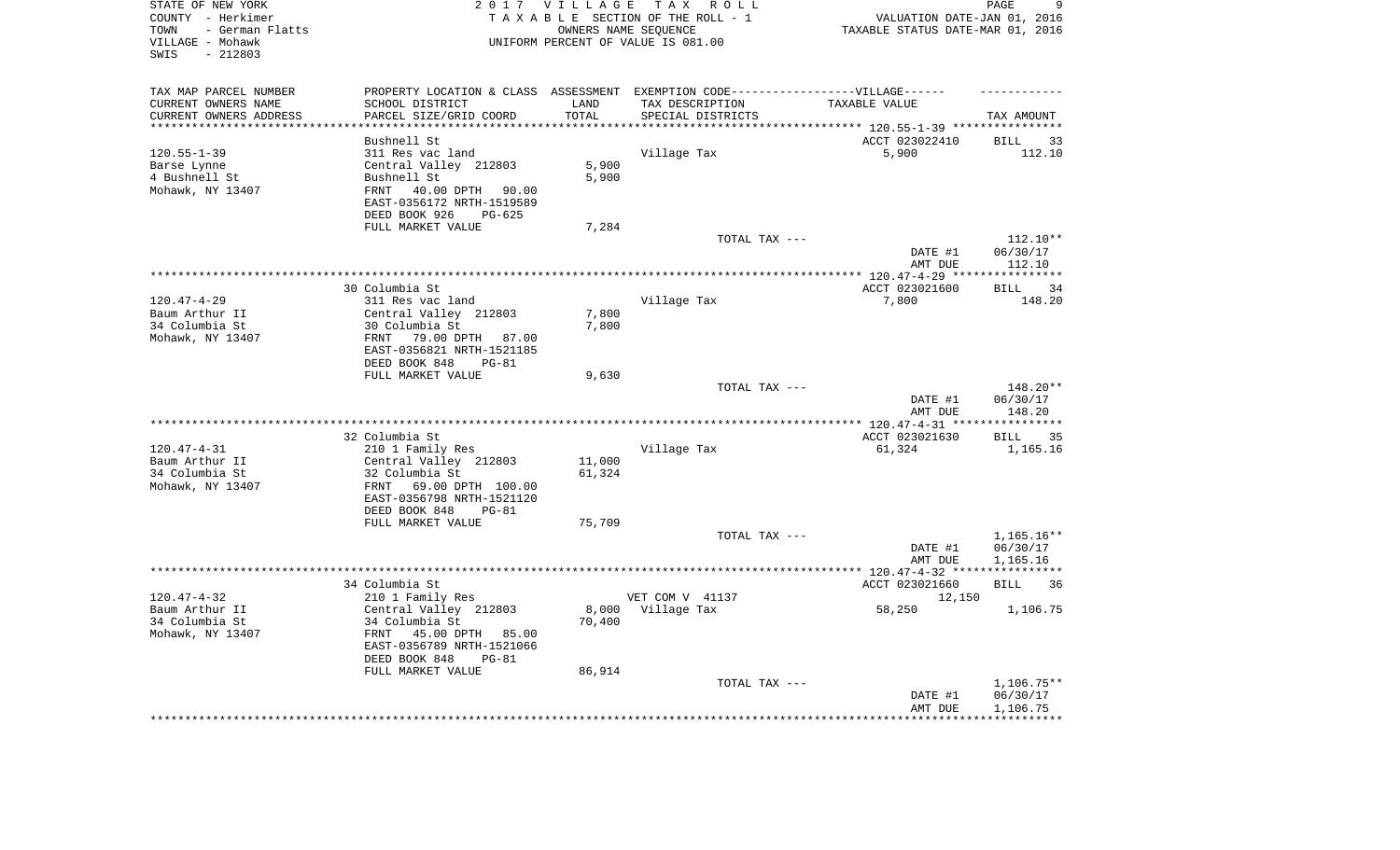| STATE OF NEW YORK<br>COUNTY - Herkimer<br>- German Flatts<br>TOWN<br>VILLAGE - Mohawk<br>$-212803$<br>SWIS |                                                                                                                              | 2017 VILLAGE        | TAX ROLL<br>TAXABLE SECTION OF THE ROLL - 1<br>OWNERS NAME SEQUENCE<br>UNIFORM PERCENT OF VALUE IS 081.00 | VALUATION DATE-JAN 01, 2016<br>TAXABLE STATUS DATE-MAR 01, 2016      | 9<br>PAGE                          |
|------------------------------------------------------------------------------------------------------------|------------------------------------------------------------------------------------------------------------------------------|---------------------|-----------------------------------------------------------------------------------------------------------|----------------------------------------------------------------------|------------------------------------|
| TAX MAP PARCEL NUMBER                                                                                      | PROPERTY LOCATION & CLASS ASSESSMENT EXEMPTION CODE-----------------VILLAGE------                                            |                     |                                                                                                           |                                                                      |                                    |
| CURRENT OWNERS NAME                                                                                        | SCHOOL DISTRICT                                                                                                              | LAND                | TAX DESCRIPTION                                                                                           | TAXABLE VALUE                                                        |                                    |
| CURRENT OWNERS ADDRESS<br>*********************                                                            | PARCEL SIZE/GRID COORD<br>***********************                                                                            | TOTAL<br>********** | SPECIAL DISTRICTS                                                                                         | ************************************** 120.55-1-39 ***************** | TAX AMOUNT                         |
|                                                                                                            | Bushnell St                                                                                                                  |                     |                                                                                                           | ACCT 023022410                                                       | <b>BILL</b><br>33                  |
| $120.55 - 1 - 39$                                                                                          | 311 Res vac land                                                                                                             |                     | Village Tax                                                                                               | 5,900                                                                | 112.10                             |
| Barse Lynne                                                                                                | Central Valley 212803                                                                                                        | 5,900               |                                                                                                           |                                                                      |                                    |
| 4 Bushnell St                                                                                              | Bushnell St                                                                                                                  | 5,900               |                                                                                                           |                                                                      |                                    |
| Mohawk, NY 13407                                                                                           | 40.00 DPTH<br>FRNT<br>90.00<br>EAST-0356172 NRTH-1519589                                                                     |                     |                                                                                                           |                                                                      |                                    |
|                                                                                                            | DEED BOOK 926<br>PG-625                                                                                                      |                     |                                                                                                           |                                                                      |                                    |
|                                                                                                            | FULL MARKET VALUE                                                                                                            | 7,284               |                                                                                                           |                                                                      |                                    |
|                                                                                                            |                                                                                                                              |                     | TOTAL TAX ---                                                                                             |                                                                      | $112.10**$                         |
|                                                                                                            |                                                                                                                              |                     |                                                                                                           | DATE #1                                                              | 06/30/17                           |
|                                                                                                            |                                                                                                                              |                     |                                                                                                           | AMT DUE<br>******** 120.47-4-29 *****************                    | 112.10                             |
|                                                                                                            | 30 Columbia St                                                                                                               |                     |                                                                                                           | ACCT 023021600                                                       | <b>BILL</b><br>34                  |
| $120.47 - 4 - 29$                                                                                          | 311 Res vac land                                                                                                             |                     | Village Tax                                                                                               | 7,800                                                                | 148.20                             |
| Baum Arthur II                                                                                             | Central Valley 212803                                                                                                        | 7,800               |                                                                                                           |                                                                      |                                    |
| 34 Columbia St                                                                                             | 30 Columbia St                                                                                                               | 7,800               |                                                                                                           |                                                                      |                                    |
| Mohawk, NY 13407                                                                                           | FRNT<br>79.00 DPTH 87.00                                                                                                     |                     |                                                                                                           |                                                                      |                                    |
|                                                                                                            | EAST-0356821 NRTH-1521185                                                                                                    |                     |                                                                                                           |                                                                      |                                    |
|                                                                                                            | DEED BOOK 848<br>$PG-81$                                                                                                     |                     |                                                                                                           |                                                                      |                                    |
|                                                                                                            | FULL MARKET VALUE                                                                                                            | 9,630               |                                                                                                           |                                                                      |                                    |
|                                                                                                            |                                                                                                                              |                     | TOTAL TAX ---                                                                                             | DATE #1                                                              | 148.20**<br>06/30/17               |
|                                                                                                            |                                                                                                                              |                     | *********************                                                                                     | AMT DUE<br>*** $120.47 - 4 - 31$ ***                                 | 148.20<br>* * * * * * * * * *      |
|                                                                                                            | 32 Columbia St                                                                                                               |                     |                                                                                                           | ACCT 023021630                                                       | 35<br><b>BILL</b>                  |
| $120.47 - 4 - 31$                                                                                          | 210 1 Family Res                                                                                                             |                     | Village Tax                                                                                               | 61,324                                                               | 1,165.16                           |
| Baum Arthur II                                                                                             | Central Valley 212803                                                                                                        | 11,000              |                                                                                                           |                                                                      |                                    |
| 34 Columbia St                                                                                             | 32 Columbia St                                                                                                               | 61,324              |                                                                                                           |                                                                      |                                    |
| Mohawk, NY 13407                                                                                           | FRNT<br>69.00 DPTH 100.00                                                                                                    |                     |                                                                                                           |                                                                      |                                    |
|                                                                                                            | EAST-0356798 NRTH-1521120                                                                                                    |                     |                                                                                                           |                                                                      |                                    |
|                                                                                                            | DEED BOOK 848<br>$PG-81$                                                                                                     |                     |                                                                                                           |                                                                      |                                    |
|                                                                                                            | FULL MARKET VALUE                                                                                                            | 75,709              |                                                                                                           |                                                                      |                                    |
|                                                                                                            |                                                                                                                              |                     | TOTAL TAX ---                                                                                             |                                                                      | 1,165.16**                         |
|                                                                                                            |                                                                                                                              |                     |                                                                                                           | DATE #1                                                              | 06/30/17                           |
|                                                                                                            |                                                                                                                              |                     |                                                                                                           | AMT DUE<br>************** 120.47-4-32 *****************              | 1,165.16                           |
|                                                                                                            | 34 Columbia St                                                                                                               |                     |                                                                                                           | ACCT 023021660                                                       | <b>BILL</b><br>36                  |
| $120.47 - 4 - 32$                                                                                          | 210 1 Family Res                                                                                                             |                     | VET COM V 41137                                                                                           | 12,150                                                               |                                    |
| Baum Arthur II<br>34 Columbia St<br>Mohawk, NY 13407                                                       | Central Valley 212803<br>34 Columbia St<br>FRNT<br>45.00 DPTH 85.00<br>EAST-0356789 NRTH-1521066<br>DEED BOOK 848<br>$PG-81$ | 8,000<br>70,400     | Village Tax                                                                                               | 58,250                                                               | 1,106.75                           |
|                                                                                                            | FULL MARKET VALUE                                                                                                            | 86,914              |                                                                                                           |                                                                      |                                    |
|                                                                                                            |                                                                                                                              |                     | TOTAL TAX ---                                                                                             | DATE #1<br>AMT DUE                                                   | 1,106.75**<br>06/30/17<br>1,106.75 |
|                                                                                                            |                                                                                                                              |                     |                                                                                                           |                                                                      |                                    |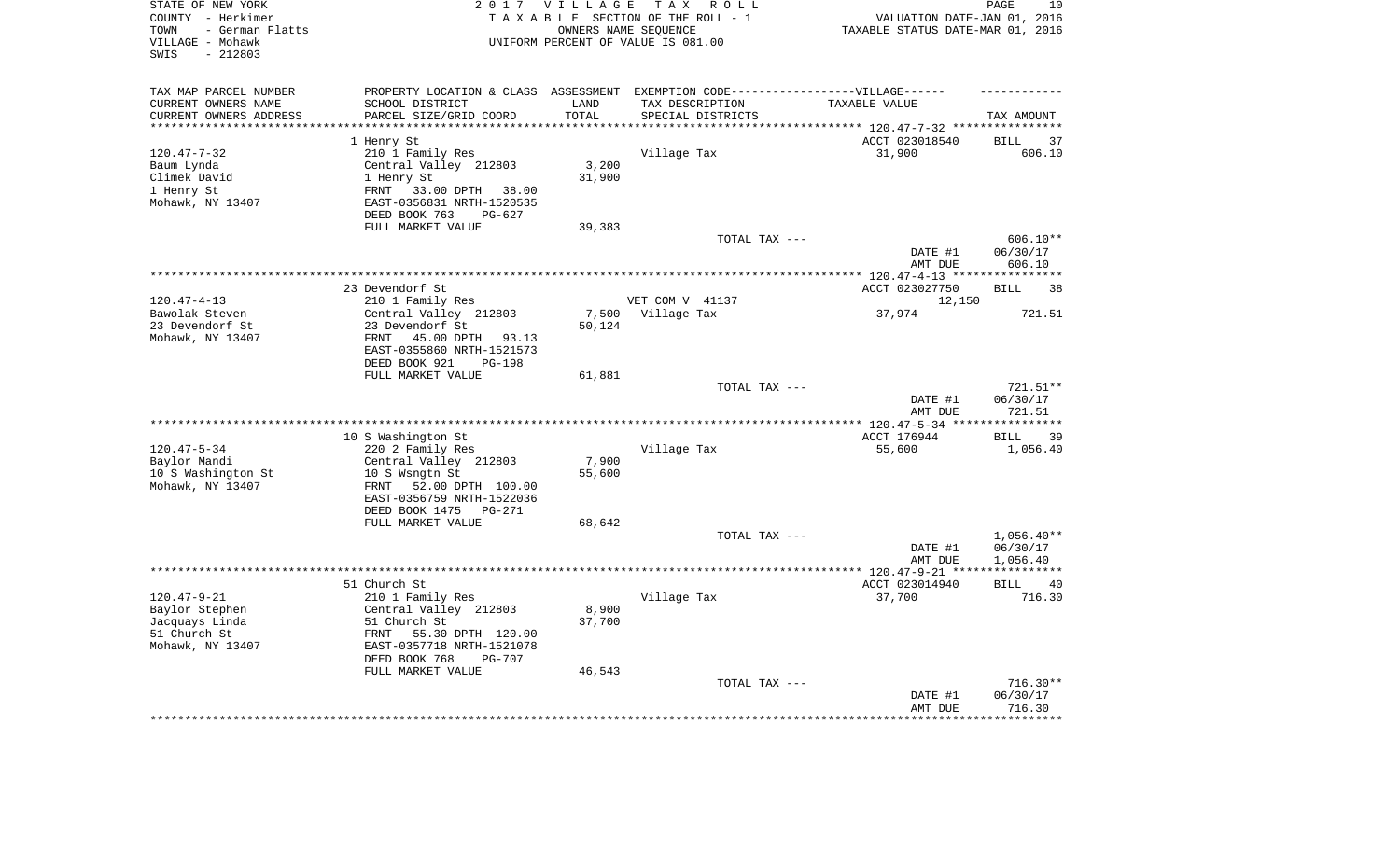| STATE OF NEW YORK<br>COUNTY - Herkimer<br>- German Flatts<br>TOWN<br>VILLAGE - Mohawk<br>$-212803$<br>SWIS |                                                        | 2017 VILLAGE      | T A X<br>R O L L<br>TAXABLE SECTION OF THE ROLL - 1<br>OWNERS NAME SEQUENCE<br>UNIFORM PERCENT OF VALUE IS 081.00 | VALUATION DATE-JAN 01, 2016<br>TAXABLE STATUS DATE-MAR 01, 2016 | PAGE<br>10               |
|------------------------------------------------------------------------------------------------------------|--------------------------------------------------------|-------------------|-------------------------------------------------------------------------------------------------------------------|-----------------------------------------------------------------|--------------------------|
| TAX MAP PARCEL NUMBER                                                                                      |                                                        |                   | PROPERTY LOCATION & CLASS ASSESSMENT EXEMPTION CODE-----------------VILLAGE------                                 |                                                                 |                          |
| CURRENT OWNERS NAME                                                                                        | SCHOOL DISTRICT                                        | LAND              | TAX DESCRIPTION                                                                                                   | TAXABLE VALUE                                                   |                          |
| CURRENT OWNERS ADDRESS<br>********************                                                             | PARCEL SIZE/GRID COORD                                 | TOTAL<br>******** | SPECIAL DISTRICTS                                                                                                 | **************************** 120.47-7-32 ****************       | TAX AMOUNT               |
|                                                                                                            | 1 Henry St                                             |                   |                                                                                                                   | ACCT 023018540                                                  | <b>BILL</b><br>37        |
| $120.47 - 7 - 32$                                                                                          | 210 1 Family Res                                       |                   | Village Tax                                                                                                       | 31,900                                                          | 606.10                   |
| Baum Lynda                                                                                                 | Central Valley 212803                                  | 3,200             |                                                                                                                   |                                                                 |                          |
| Climek David                                                                                               | 1 Henry St                                             | 31,900            |                                                                                                                   |                                                                 |                          |
| 1 Henry St                                                                                                 | FRNT<br>33.00 DPTH<br>38.00                            |                   |                                                                                                                   |                                                                 |                          |
| Mohawk, NY 13407                                                                                           | EAST-0356831 NRTH-1520535                              |                   |                                                                                                                   |                                                                 |                          |
|                                                                                                            | DEED BOOK 763<br>$PG-627$                              |                   |                                                                                                                   |                                                                 |                          |
|                                                                                                            | FULL MARKET VALUE                                      | 39,383            | TOTAL TAX ---                                                                                                     |                                                                 | 606.10**                 |
|                                                                                                            |                                                        |                   |                                                                                                                   | DATE #1                                                         | 06/30/17                 |
|                                                                                                            |                                                        |                   |                                                                                                                   | AMT DUE                                                         | 606.10                   |
|                                                                                                            |                                                        |                   |                                                                                                                   | ************* 120.47-4-13 *****************                     |                          |
|                                                                                                            | 23 Devendorf St                                        |                   |                                                                                                                   | ACCT 023027750                                                  | <b>BILL</b><br>38        |
| $120.47 - 4 - 13$                                                                                          | 210 1 Family Res                                       |                   | VET COM V 41137                                                                                                   | 12,150                                                          |                          |
| Bawolak Steven                                                                                             | Central Valley 212803                                  | 7,500             | Village Tax                                                                                                       | 37,974                                                          | 721.51                   |
| 23 Devendorf St                                                                                            | 23 Devendorf St<br><b>FRNT</b>                         | 50,124            |                                                                                                                   |                                                                 |                          |
| Mohawk, NY 13407                                                                                           | 45.00 DPTH<br>93.13<br>EAST-0355860 NRTH-1521573       |                   |                                                                                                                   |                                                                 |                          |
|                                                                                                            | DEED BOOK 921<br><b>PG-198</b>                         |                   |                                                                                                                   |                                                                 |                          |
|                                                                                                            | FULL MARKET VALUE                                      | 61,881            |                                                                                                                   |                                                                 |                          |
|                                                                                                            |                                                        |                   | TOTAL TAX ---                                                                                                     |                                                                 | 721.51**                 |
|                                                                                                            |                                                        |                   |                                                                                                                   | DATE #1                                                         | 06/30/17                 |
|                                                                                                            |                                                        |                   |                                                                                                                   | AMT DUE                                                         | 721.51                   |
|                                                                                                            | 10 S Washington St                                     |                   |                                                                                                                   | ACCT 176944                                                     | 39<br><b>BILL</b>        |
| $120.47 - 5 - 34$                                                                                          | 220 2 Family Res                                       |                   | Village Tax                                                                                                       | 55,600                                                          | 1,056.40                 |
| Baylor Mandi                                                                                               | Central Valley 212803                                  | 7,900             |                                                                                                                   |                                                                 |                          |
| 10 S Washington St                                                                                         | 10 S Wsngtn St                                         | 55,600            |                                                                                                                   |                                                                 |                          |
| Mohawk, NY 13407                                                                                           | 52.00 DPTH 100.00<br>FRNT                              |                   |                                                                                                                   |                                                                 |                          |
|                                                                                                            | EAST-0356759 NRTH-1522036                              |                   |                                                                                                                   |                                                                 |                          |
|                                                                                                            | DEED BOOK 1475<br><b>PG-271</b>                        |                   |                                                                                                                   |                                                                 |                          |
|                                                                                                            | FULL MARKET VALUE                                      | 68,642            |                                                                                                                   |                                                                 |                          |
|                                                                                                            |                                                        |                   | TOTAL TAX ---                                                                                                     | DATE #1                                                         | $1,056.40**$<br>06/30/17 |
|                                                                                                            |                                                        |                   |                                                                                                                   | AMT DUE                                                         | 1,056.40                 |
|                                                                                                            |                                                        |                   |                                                                                                                   |                                                                 | ***********              |
|                                                                                                            | 51 Church St                                           |                   |                                                                                                                   | ACCT 023014940                                                  | <b>BILL</b><br>40        |
| $120.47 - 9 - 21$                                                                                          | 210 1 Family Res                                       |                   | Village Tax                                                                                                       | 37,700                                                          | 716.30                   |
| Baylor Stephen                                                                                             | Central Valley 212803                                  | 8,900             |                                                                                                                   |                                                                 |                          |
| Jacquays Linda                                                                                             | 51 Church St                                           | 37,700            |                                                                                                                   |                                                                 |                          |
| 51 Church St<br>Mohawk, NY 13407                                                                           | 55.30 DPTH 120.00<br>FRNT<br>EAST-0357718 NRTH-1521078 |                   |                                                                                                                   |                                                                 |                          |
|                                                                                                            | DEED BOOK 768<br><b>PG-707</b>                         |                   |                                                                                                                   |                                                                 |                          |
|                                                                                                            | FULL MARKET VALUE                                      | 46,543            |                                                                                                                   |                                                                 |                          |
|                                                                                                            |                                                        |                   | TOTAL TAX ---                                                                                                     |                                                                 | 716.30**                 |
|                                                                                                            |                                                        |                   |                                                                                                                   | DATE #1                                                         | 06/30/17                 |
|                                                                                                            |                                                        |                   |                                                                                                                   | AMT DUE                                                         | 716.30                   |
|                                                                                                            |                                                        |                   |                                                                                                                   |                                                                 | ********                 |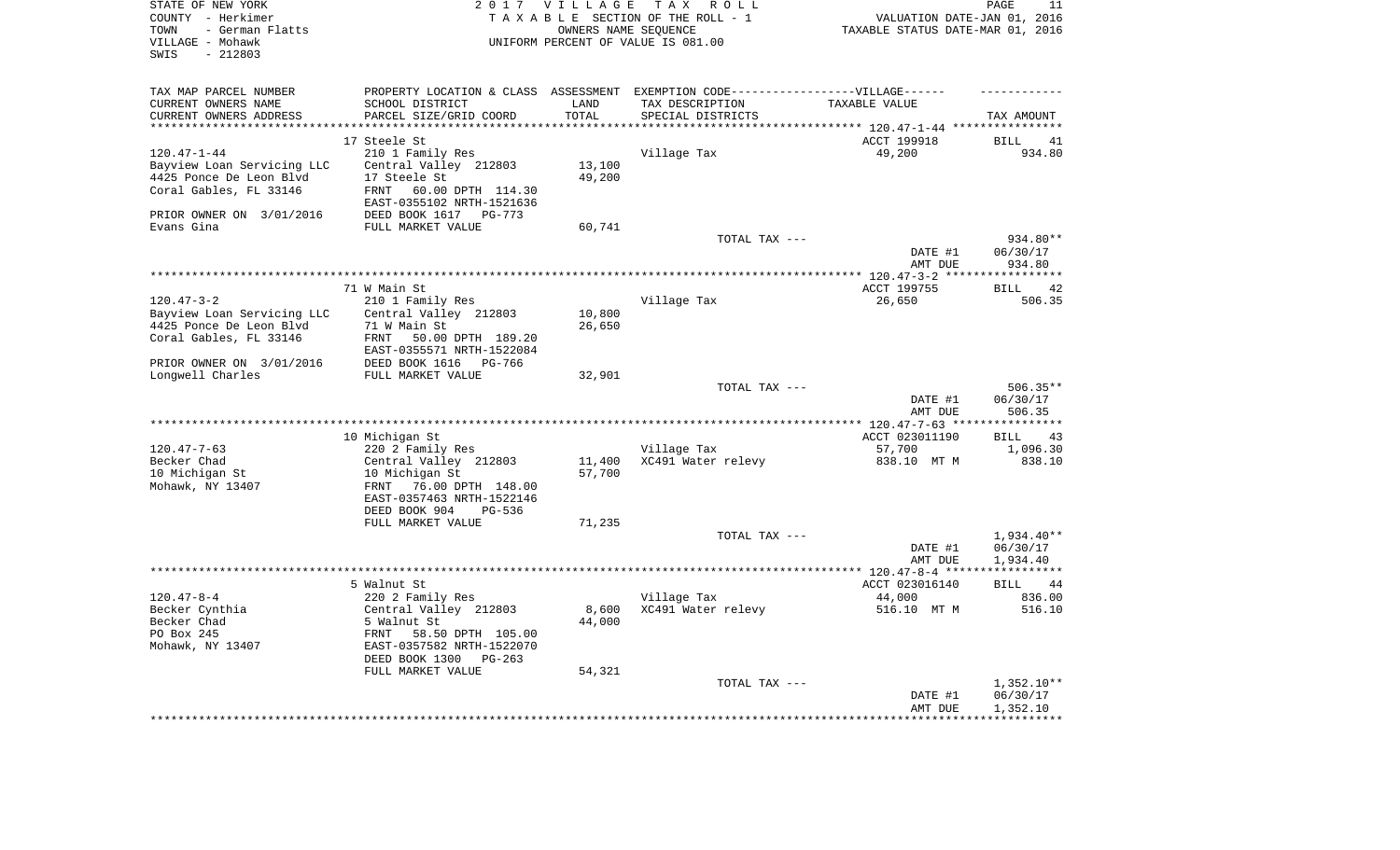| STATE OF NEW YORK<br>COUNTY - Herkimer<br>- German Flatts<br>TOWN<br>VILLAGE - Mohawk<br>$-212803$<br>SWIS |                                                               | 2017 VILLAGE<br>OWNERS NAME SEQUENCE | T A X<br>R O L L<br>TAXABLE SECTION OF THE ROLL - 1<br>UNIFORM PERCENT OF VALUE IS 081.00            | VALUATION DATE-JAN 01, 2016<br>TAXABLE STATUS DATE-MAR 01, 2016 | PAGE<br>11              |
|------------------------------------------------------------------------------------------------------------|---------------------------------------------------------------|--------------------------------------|------------------------------------------------------------------------------------------------------|-----------------------------------------------------------------|-------------------------|
| TAX MAP PARCEL NUMBER<br>CURRENT OWNERS NAME                                                               | SCHOOL DISTRICT                                               | LAND                                 | PROPERTY LOCATION & CLASS ASSESSMENT EXEMPTION CODE-----------------VILLAGE------<br>TAX DESCRIPTION | TAXABLE VALUE                                                   |                         |
| CURRENT OWNERS ADDRESS                                                                                     | PARCEL SIZE/GRID COORD                                        | TOTAL                                | SPECIAL DISTRICTS                                                                                    |                                                                 | TAX AMOUNT              |
| **********************                                                                                     |                                                               |                                      |                                                                                                      |                                                                 |                         |
|                                                                                                            | 17 Steele St                                                  |                                      |                                                                                                      | ACCT 199918                                                     | <b>BILL</b><br>41       |
| $120.47 - 1 - 44$                                                                                          | 210 1 Family Res                                              |                                      | Village Tax                                                                                          | 49,200                                                          | 934.80                  |
| Bayview Loan Servicing LLC                                                                                 | Central Valley 212803                                         | 13,100                               |                                                                                                      |                                                                 |                         |
| 4425 Ponce De Leon Blvd                                                                                    | 17 Steele St                                                  | 49,200                               |                                                                                                      |                                                                 |                         |
| Coral Gables, FL 33146                                                                                     | 60.00 DPTH 114.30<br><b>FRNT</b><br>EAST-0355102 NRTH-1521636 |                                      |                                                                                                      |                                                                 |                         |
| PRIOR OWNER ON 3/01/2016                                                                                   | DEED BOOK 1617<br>$PG-773$                                    |                                      |                                                                                                      |                                                                 |                         |
| Evans Gina                                                                                                 | FULL MARKET VALUE                                             | 60,741                               | TOTAL TAX ---                                                                                        |                                                                 | 934.80**                |
|                                                                                                            |                                                               |                                      |                                                                                                      | DATE #1                                                         | 06/30/17                |
|                                                                                                            |                                                               |                                      |                                                                                                      | AMT DUE                                                         | 934.80                  |
|                                                                                                            |                                                               |                                      |                                                                                                      |                                                                 |                         |
|                                                                                                            | 71 W Main St                                                  |                                      |                                                                                                      | ACCT 199755                                                     | 42<br><b>BILL</b>       |
| $120.47 - 3 - 2$                                                                                           | 210 1 Family Res                                              |                                      | Village Tax                                                                                          | 26,650                                                          | 506.35                  |
| Bayview Loan Servicing LLC                                                                                 | Central Valley 212803                                         | 10,800                               |                                                                                                      |                                                                 |                         |
| 4425 Ponce De Leon Blvd                                                                                    | 71 W Main St                                                  | 26,650                               |                                                                                                      |                                                                 |                         |
| Coral Gables, FL 33146                                                                                     | 50.00 DPTH 189.20<br>FRNT                                     |                                      |                                                                                                      |                                                                 |                         |
|                                                                                                            | EAST-0355571 NRTH-1522084                                     |                                      |                                                                                                      |                                                                 |                         |
| PRIOR OWNER ON 3/01/2016                                                                                   | DEED BOOK 1616<br>PG-766                                      |                                      |                                                                                                      |                                                                 |                         |
| Longwell Charles                                                                                           | FULL MARKET VALUE                                             | 32,901                               | TOTAL TAX ---                                                                                        |                                                                 | $506.35**$              |
|                                                                                                            |                                                               |                                      |                                                                                                      | DATE #1                                                         | 06/30/17                |
|                                                                                                            |                                                               |                                      |                                                                                                      | AMT DUE                                                         | 506.35                  |
|                                                                                                            |                                                               |                                      |                                                                                                      |                                                                 | ***********             |
|                                                                                                            | 10 Michigan St                                                |                                      |                                                                                                      | ACCT 023011190                                                  | 43<br><b>BILL</b>       |
| $120.47 - 7 - 63$                                                                                          | 220 2 Family Res                                              |                                      | Village Tax                                                                                          | 57,700                                                          | 1,096.30                |
| Becker Chad                                                                                                | Central Valley 212803                                         | 11,400                               | XC491 Water relevy                                                                                   | 838.10 MT M                                                     | 838.10                  |
| 10 Michigan St                                                                                             | 10 Michigan St                                                | 57,700                               |                                                                                                      |                                                                 |                         |
| Mohawk, NY 13407                                                                                           | 76.00 DPTH 148.00<br>FRNT                                     |                                      |                                                                                                      |                                                                 |                         |
|                                                                                                            | EAST-0357463 NRTH-1522146<br>DEED BOOK 904<br>PG-536          |                                      |                                                                                                      |                                                                 |                         |
|                                                                                                            | FULL MARKET VALUE                                             | 71,235                               |                                                                                                      |                                                                 |                         |
|                                                                                                            |                                                               |                                      | TOTAL TAX ---                                                                                        |                                                                 | $1.934.40**$            |
|                                                                                                            |                                                               |                                      |                                                                                                      | DATE #1                                                         | 06/30/17                |
|                                                                                                            |                                                               |                                      |                                                                                                      | AMT DUE                                                         | 1,934.40                |
|                                                                                                            |                                                               |                                      |                                                                                                      |                                                                 | * * * * * * * * * * * * |
|                                                                                                            | 5 Walnut St                                                   |                                      |                                                                                                      | ACCT 023016140                                                  | <b>BILL</b><br>44       |
| $120.47 - 8 - 4$                                                                                           | 220 2 Family Res                                              |                                      | Village Tax                                                                                          | 44,000                                                          | 836.00                  |
| Becker Cynthia<br>Becker Chad                                                                              | Central Valley 212803<br>5 Walnut St                          | 8,600<br>44,000                      | XC491 Water relevy                                                                                   | 516.10 MT M                                                     | 516.10                  |
| PO Box 245                                                                                                 | 58.50 DPTH 105.00<br>FRNT                                     |                                      |                                                                                                      |                                                                 |                         |
| Mohawk, NY 13407                                                                                           | EAST-0357582 NRTH-1522070                                     |                                      |                                                                                                      |                                                                 |                         |
|                                                                                                            | DEED BOOK 1300<br>$PG-263$                                    |                                      |                                                                                                      |                                                                 |                         |
|                                                                                                            | FULL MARKET VALUE                                             | 54,321                               |                                                                                                      |                                                                 |                         |
|                                                                                                            |                                                               |                                      | TOTAL TAX ---                                                                                        |                                                                 | $1,352.10**$            |
|                                                                                                            |                                                               |                                      |                                                                                                      | DATE #1                                                         | 06/30/17                |
|                                                                                                            |                                                               |                                      |                                                                                                      | AMT DUE                                                         | 1,352.10                |
|                                                                                                            |                                                               |                                      |                                                                                                      | ******************                                              | ************            |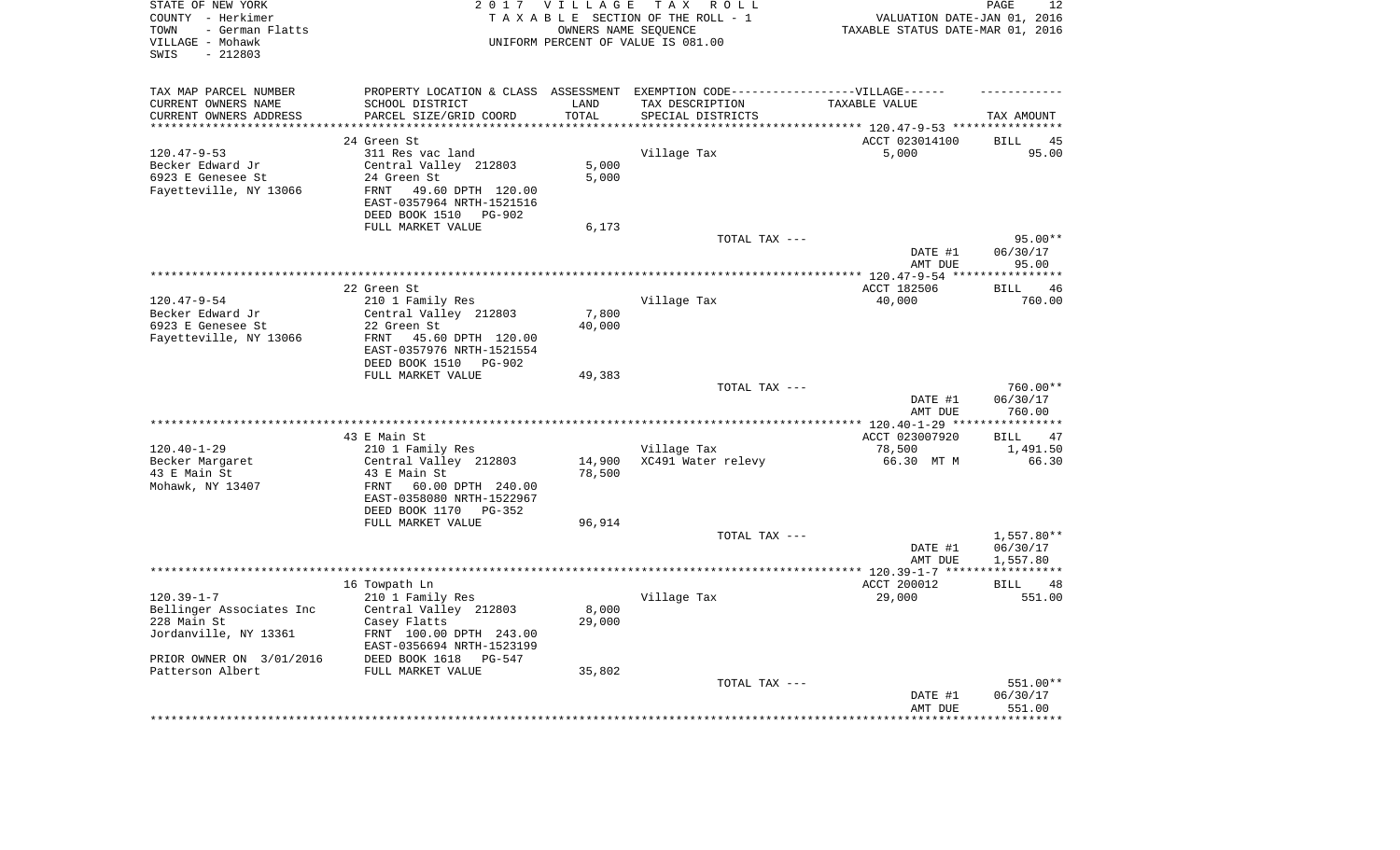| STATE OF NEW YORK<br>COUNTY - Herkimer<br>- German Flatts<br>TOWN<br>VILLAGE - Mohawk<br>$-212803$<br>SWIS | 2 0 1 7                                                       | VILLAGE<br>OWNERS NAME SEQUENCE | TAX ROLL<br>TAXABLE SECTION OF THE ROLL - 1<br>UNIFORM PERCENT OF VALUE IS 081.00 | VALUATION DATE-JAN 01, 2016<br>TAXABLE STATUS DATE-MAR 01, 2016 | 12<br>PAGE                       |
|------------------------------------------------------------------------------------------------------------|---------------------------------------------------------------|---------------------------------|-----------------------------------------------------------------------------------|-----------------------------------------------------------------|----------------------------------|
| TAX MAP PARCEL NUMBER                                                                                      |                                                               |                                 | PROPERTY LOCATION & CLASS ASSESSMENT EXEMPTION CODE----------------VILLAGE------  |                                                                 |                                  |
| CURRENT OWNERS NAME                                                                                        | SCHOOL DISTRICT<br>PARCEL SIZE/GRID COORD                     | LAND<br>TOTAL                   | TAX DESCRIPTION                                                                   | TAXABLE VALUE                                                   |                                  |
| CURRENT OWNERS ADDRESS<br>*********************                                                            | ***************************                                   | *********                       | SPECIAL DISTRICTS                                                                 |                                                                 | TAX AMOUNT                       |
|                                                                                                            | 24 Green St                                                   |                                 |                                                                                   | ACCT 023014100                                                  | <b>BILL</b><br>45                |
| $120.47 - 9 - 53$                                                                                          | 311 Res vac land                                              |                                 | Village Tax                                                                       | 5,000                                                           | 95.00                            |
| Becker Edward Jr                                                                                           | Central Valley 212803                                         | 5,000                           |                                                                                   |                                                                 |                                  |
| 6923 E Genesee St                                                                                          | 24 Green St                                                   | 5,000                           |                                                                                   |                                                                 |                                  |
| Fayetteville, NY 13066                                                                                     | 49.60 DPTH 120.00<br><b>FRNT</b><br>EAST-0357964 NRTH-1521516 |                                 |                                                                                   |                                                                 |                                  |
|                                                                                                            | DEED BOOK 1510<br>PG-902                                      |                                 |                                                                                   |                                                                 |                                  |
|                                                                                                            | FULL MARKET VALUE                                             | 6,173                           |                                                                                   |                                                                 |                                  |
|                                                                                                            |                                                               |                                 | TOTAL TAX ---                                                                     |                                                                 | $95.00**$                        |
|                                                                                                            |                                                               |                                 |                                                                                   | DATE #1<br>AMT DUE                                              | 06/30/17<br>95.00<br>********    |
|                                                                                                            | 22 Green St                                                   |                                 |                                                                                   | ACCT 182506                                                     | 46<br><b>BILL</b>                |
| $120.47 - 9 - 54$                                                                                          | 210 1 Family Res                                              |                                 | Village Tax                                                                       | 40,000                                                          | 760.00                           |
| Becker Edward Jr                                                                                           | Central Valley 212803                                         | 7,800                           |                                                                                   |                                                                 |                                  |
| 6923 E Genesee St                                                                                          | 22 Green St                                                   | 40,000                          |                                                                                   |                                                                 |                                  |
| Fayetteville, NY 13066                                                                                     | FRNT<br>45.60 DPTH 120.00<br>EAST-0357976 NRTH-1521554        |                                 |                                                                                   |                                                                 |                                  |
|                                                                                                            | DEED BOOK 1510<br><b>PG-902</b>                               |                                 |                                                                                   |                                                                 |                                  |
|                                                                                                            | FULL MARKET VALUE                                             | 49,383                          |                                                                                   |                                                                 |                                  |
|                                                                                                            |                                                               |                                 | TOTAL TAX ---                                                                     | DATE #1<br>AMT DUE                                              | $760.00**$<br>06/30/17<br>760.00 |
|                                                                                                            |                                                               |                                 |                                                                                   |                                                                 | **********                       |
|                                                                                                            | 43 E Main St                                                  |                                 |                                                                                   | ACCT 023007920                                                  | 47<br><b>BILL</b>                |
| $120.40 - 1 - 29$                                                                                          | 210 1 Family Res                                              |                                 | Village Tax                                                                       | 78,500                                                          | 1,491.50                         |
| Becker Margaret                                                                                            | Central Valley 212803                                         | 14,900                          | XC491 Water relevy                                                                | 66.30 MT M                                                      | 66.30                            |
| 43 E Main St                                                                                               | 43 E Main St                                                  | 78,500                          |                                                                                   |                                                                 |                                  |
| Mohawk, NY 13407                                                                                           | 60.00 DPTH 240.00<br>FRNT<br>EAST-0358080 NRTH-1522967        |                                 |                                                                                   |                                                                 |                                  |
|                                                                                                            | DEED BOOK 1170<br>$PG-352$                                    |                                 |                                                                                   |                                                                 |                                  |
|                                                                                                            | FULL MARKET VALUE                                             | 96,914                          |                                                                                   |                                                                 |                                  |
|                                                                                                            |                                                               |                                 | TOTAL TAX ---                                                                     | DATE #1                                                         | $1,557.80**$<br>06/30/17         |
|                                                                                                            |                                                               |                                 |                                                                                   | AMT DUE                                                         | 1,557.80                         |
|                                                                                                            |                                                               |                                 |                                                                                   |                                                                 | ***********                      |
|                                                                                                            | 16 Towpath Ln                                                 |                                 |                                                                                   | ACCT 200012                                                     | <b>BILL</b><br>48                |
| $120.39 - 1 - 7$                                                                                           | 210 1 Family Res                                              |                                 | Village Tax                                                                       | 29,000                                                          | 551.00                           |
| Bellinger Associates Inc                                                                                   | Central Valley 212803                                         | 8,000                           |                                                                                   |                                                                 |                                  |
| 228 Main St                                                                                                | Casey Flatts                                                  | 29,000                          |                                                                                   |                                                                 |                                  |
| Jordanville, NY 13361                                                                                      | FRNT 100.00 DPTH 243.00<br>EAST-0356694 NRTH-1523199          |                                 |                                                                                   |                                                                 |                                  |
| PRIOR OWNER ON 3/01/2016                                                                                   | DEED BOOK 1618<br>$PG-547$                                    |                                 |                                                                                   |                                                                 |                                  |
| Patterson Albert                                                                                           | FULL MARKET VALUE                                             | 35,802                          |                                                                                   |                                                                 |                                  |
|                                                                                                            |                                                               |                                 | TOTAL TAX ---                                                                     |                                                                 | 551.00**                         |
|                                                                                                            |                                                               |                                 |                                                                                   | DATE #1<br>AMT DUE                                              | 06/30/17<br>551.00               |
|                                                                                                            |                                                               |                                 |                                                                                   |                                                                 | ***********                      |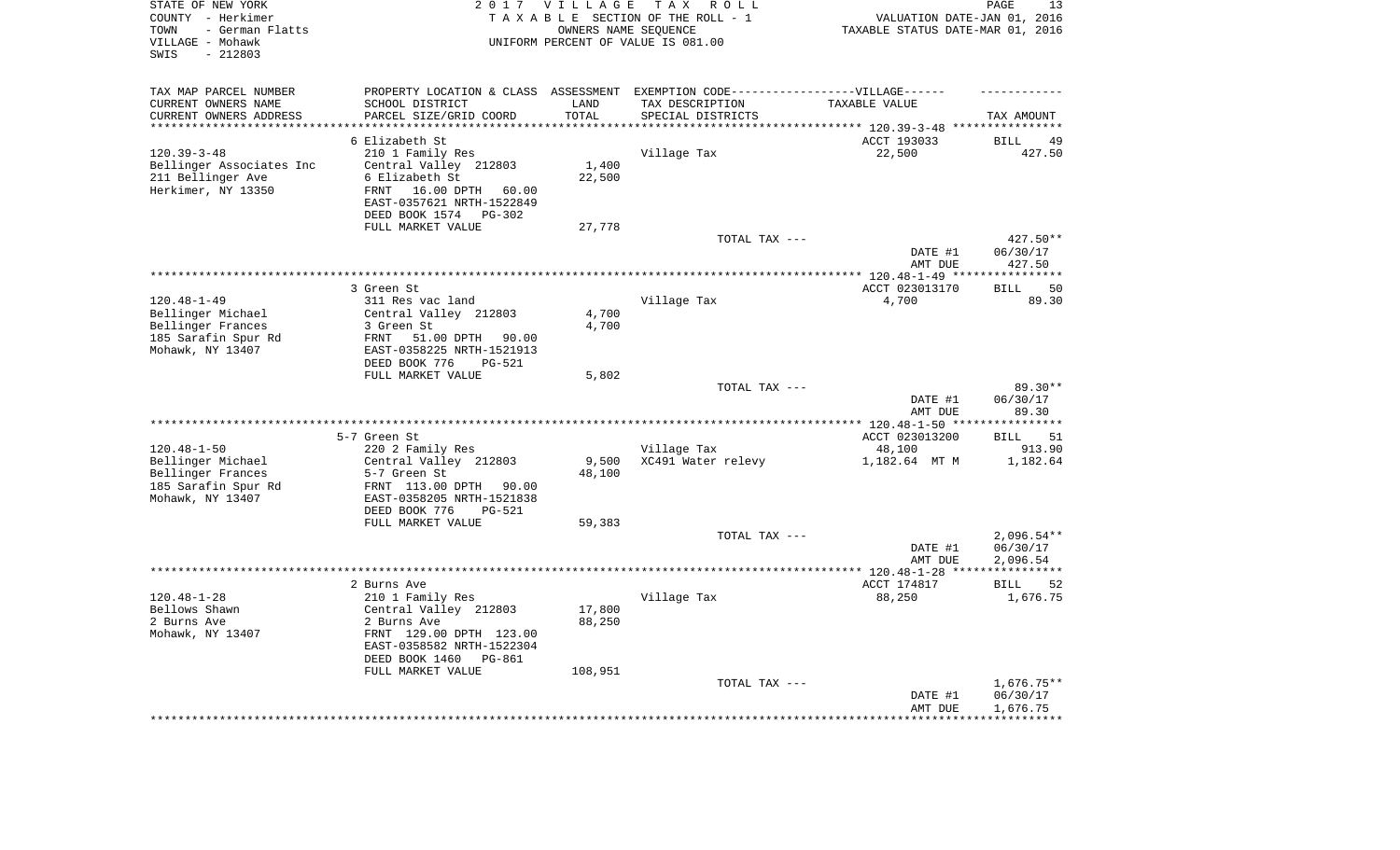| STATE OF NEW YORK<br>COUNTY - Herkimer<br>- German Flatts<br>TOWN<br>VILLAGE - Mohawk<br>$-212803$<br>SWIS |                                                  | 2017 VILLAGE<br>OWNERS NAME SEQUENCE | T A X<br>R O L L<br>TAXABLE SECTION OF THE ROLL - 1<br>UNIFORM PERCENT OF VALUE IS 081.00 | TAXABLE STATUS DATE-MAR 01, 2016                         | PAGE<br>13<br>VALUATION DATE-JAN 01, 2016 |
|------------------------------------------------------------------------------------------------------------|--------------------------------------------------|--------------------------------------|-------------------------------------------------------------------------------------------|----------------------------------------------------------|-------------------------------------------|
| TAX MAP PARCEL NUMBER                                                                                      |                                                  |                                      | PROPERTY LOCATION & CLASS ASSESSMENT EXEMPTION CODE-----------------VILLAGE------         |                                                          |                                           |
| CURRENT OWNERS NAME<br>SCHOOL DISTRICT                                                                     |                                                  | LAND                                 | TAX DESCRIPTION                                                                           | TAXABLE VALUE                                            |                                           |
| CURRENT OWNERS ADDRESS<br>PARCEL SIZE/GRID COORD<br>********************<br>*******************            |                                                  | TOTAL<br>*******                     | SPECIAL DISTRICTS                                                                         | *************************** 120.39-3-48 **************** | TAX AMOUNT                                |
| 6 Elizabeth St                                                                                             |                                                  |                                      |                                                                                           | ACCT 193033                                              | <b>BILL</b><br>49                         |
| $120.39 - 3 - 48$<br>210 1 Family Res                                                                      |                                                  |                                      | Village Tax                                                                               | 22,500                                                   | 427.50                                    |
| Bellinger Associates Inc<br>Central Valley 212803                                                          |                                                  | 1,400                                |                                                                                           |                                                          |                                           |
| 211 Bellinger Ave<br>6 Elizabeth St                                                                        |                                                  | 22,500                               |                                                                                           |                                                          |                                           |
| Herkimer, NY 13350<br>FRNT                                                                                 | 16.00 DPTH<br>60.00<br>EAST-0357621 NRTH-1522849 |                                      |                                                                                           |                                                          |                                           |
| DEED BOOK 1574                                                                                             | PG-302                                           |                                      |                                                                                           |                                                          |                                           |
| FULL MARKET VALUE                                                                                          |                                                  | 27,778                               | TOTAL TAX ---                                                                             |                                                          | 427.50**                                  |
|                                                                                                            |                                                  |                                      |                                                                                           | DATE #1<br>AMT DUE                                       | 06/30/17<br>427.50                        |
|                                                                                                            |                                                  |                                      | *******************************                                                           | ******** 120.48-1-49 ***                                 | *******                                   |
| 3 Green St                                                                                                 |                                                  |                                      |                                                                                           | ACCT 023013170                                           | 50<br><b>BILL</b>                         |
| $120.48 - 1 - 49$<br>311 Res vac land                                                                      |                                                  |                                      | Village Tax                                                                               | 4,700                                                    | 89.30                                     |
| Bellinger Michael<br>Central Valley 212803                                                                 |                                                  | 4,700                                |                                                                                           |                                                          |                                           |
| Bellinger Frances<br>3 Green St                                                                            |                                                  | 4,700                                |                                                                                           |                                                          |                                           |
| 185 Sarafin Spur Rd<br>FRNT                                                                                | 51.00 DPTH 90.00                                 |                                      |                                                                                           |                                                          |                                           |
| Mohawk, NY 13407<br>DEED BOOK 776                                                                          | EAST-0358225 NRTH-1521913<br><b>PG-521</b>       |                                      |                                                                                           |                                                          |                                           |
| FULL MARKET VALUE                                                                                          |                                                  | 5,802                                |                                                                                           |                                                          |                                           |
|                                                                                                            |                                                  |                                      | TOTAL TAX ---                                                                             |                                                          | $89.30**$                                 |
|                                                                                                            |                                                  |                                      |                                                                                           | DATE #1                                                  | 06/30/17                                  |
|                                                                                                            |                                                  |                                      |                                                                                           | AMT DUE<br>$* 120.48 - 1 - 50$ **                        | 89.30                                     |
| 5-7 Green St                                                                                               |                                                  |                                      |                                                                                           | ACCT 023013200                                           | 51<br><b>BILL</b>                         |
| $120.48 - 1 - 50$<br>220 2 Family Res                                                                      |                                                  |                                      | Village Tax                                                                               | 48,100                                                   | 913.90                                    |
| Bellinger Michael<br>Central Valley 212803                                                                 |                                                  | 9,500                                | XC491 Water relevy                                                                        | 1,182.64 MT M                                            | 1,182.64                                  |
| Bellinger Frances<br>5-7 Green St                                                                          |                                                  | 48,100                               |                                                                                           |                                                          |                                           |
| 185 Sarafin Spur Rd<br>FRNT 113.00 DPTH                                                                    | 90.00                                            |                                      |                                                                                           |                                                          |                                           |
| Mohawk, NY 13407                                                                                           | EAST-0358205 NRTH-1521838                        |                                      |                                                                                           |                                                          |                                           |
| DEED BOOK 776<br>FULL MARKET VALUE                                                                         | $PG-521$                                         | 59,383                               |                                                                                           |                                                          |                                           |
|                                                                                                            |                                                  |                                      | TOTAL TAX ---                                                                             |                                                          | $2,096.54**$                              |
|                                                                                                            |                                                  |                                      |                                                                                           | DATE #1                                                  | 06/30/17                                  |
|                                                                                                            |                                                  |                                      |                                                                                           | AMT DUE                                                  | 2,096.54                                  |
|                                                                                                            |                                                  |                                      |                                                                                           | *********** 120.48-1-28 ****                             | * * * * * * * * * * *                     |
| 2 Burns Ave                                                                                                |                                                  |                                      |                                                                                           | ACCT 174817                                              | <b>BILL</b><br>52                         |
| $120.48 - 1 - 28$<br>210 1 Family Res                                                                      |                                                  |                                      | Village Tax                                                                               | 88,250                                                   | 1,676.75                                  |
| Bellows Shawn<br>Central Valley 212803<br>2 Burns Ave<br>2 Burns Ave                                       |                                                  | 17,800<br>88,250                     |                                                                                           |                                                          |                                           |
| Mohawk, NY 13407                                                                                           | FRNT 129.00 DPTH 123.00                          |                                      |                                                                                           |                                                          |                                           |
|                                                                                                            | EAST-0358582 NRTH-1522304                        |                                      |                                                                                           |                                                          |                                           |
| DEED BOOK 1460                                                                                             | $PG-861$                                         |                                      |                                                                                           |                                                          |                                           |
| FULL MARKET VALUE                                                                                          |                                                  | 108,951                              |                                                                                           |                                                          |                                           |
|                                                                                                            |                                                  |                                      | TOTAL TAX ---                                                                             |                                                          | $1,676.75**$                              |
|                                                                                                            |                                                  |                                      |                                                                                           | DATE #1<br>AMT DUE                                       | 06/30/17<br>1,676.75                      |
|                                                                                                            |                                                  |                                      |                                                                                           |                                                          |                                           |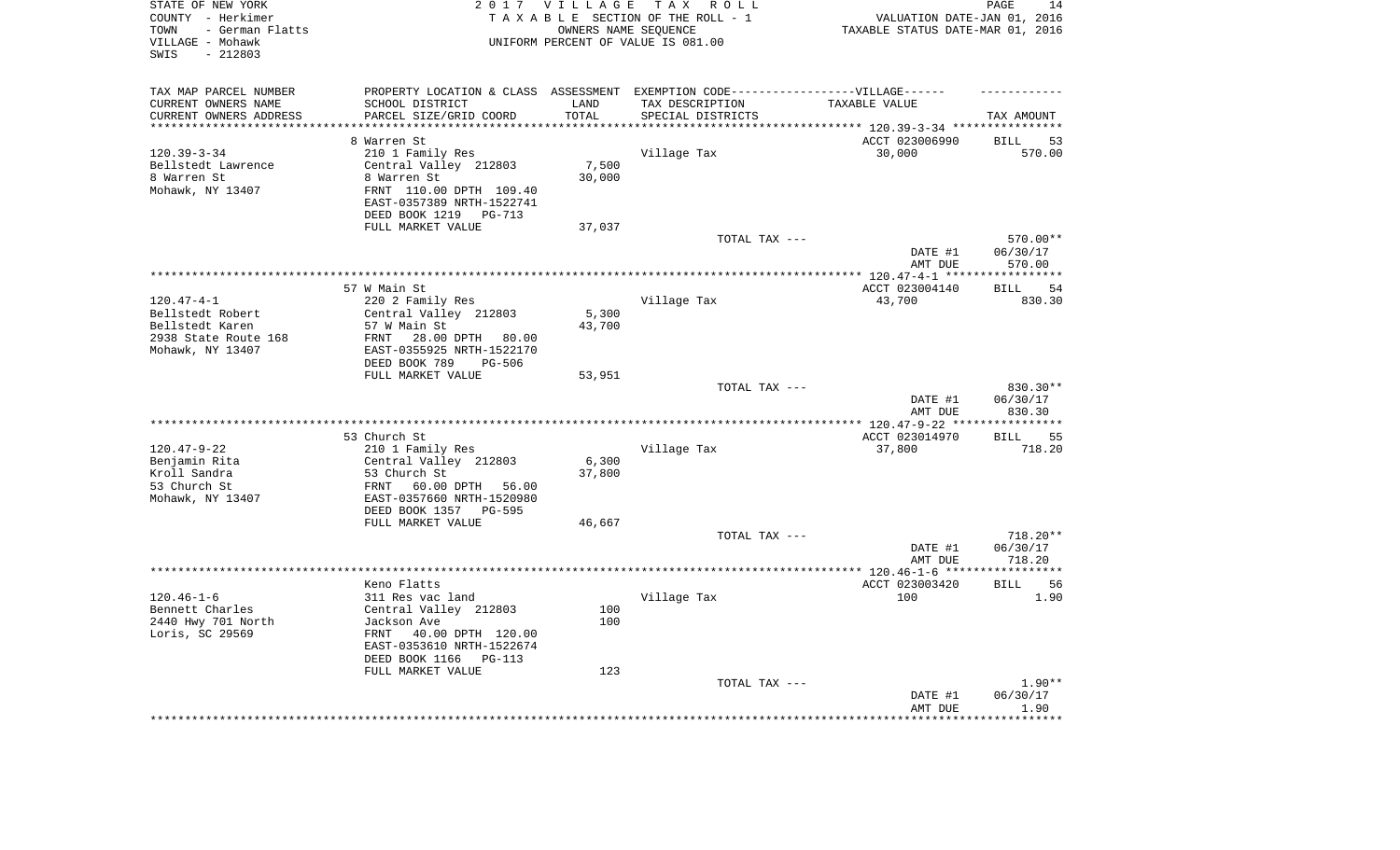| STATE OF NEW YORK<br>COUNTY - Herkimer<br>- German Flatts<br>TOWN<br>VILLAGE - Mohawk<br>$-212803$<br>SWIS |                                                      | 2017 VILLAGE      | TAX ROLL<br>TAXABLE SECTION OF THE ROLL - 1<br>OWNERS NAME SEQUENCE<br>UNIFORM PERCENT OF VALUE IS 081.00 | VALUATION DATE-JAN 01, 2016<br>TAXABLE STATUS DATE-MAR 01, 2016 | PAGE<br>14                |
|------------------------------------------------------------------------------------------------------------|------------------------------------------------------|-------------------|-----------------------------------------------------------------------------------------------------------|-----------------------------------------------------------------|---------------------------|
| TAX MAP PARCEL NUMBER                                                                                      |                                                      |                   | PROPERTY LOCATION & CLASS ASSESSMENT EXEMPTION CODE-----------------VILLAGE------                         |                                                                 |                           |
| CURRENT OWNERS NAME                                                                                        | SCHOOL DISTRICT                                      | LAND              | TAX DESCRIPTION                                                                                           | TAXABLE VALUE                                                   |                           |
| CURRENT OWNERS ADDRESS<br>********************                                                             | PARCEL SIZE/GRID COORD<br>*********************      | TOTAL<br>******** | SPECIAL DISTRICTS                                                                                         | **************************** 120.39-3-34 ****************       | TAX AMOUNT                |
|                                                                                                            | 8 Warren St                                          |                   |                                                                                                           | ACCT 023006990                                                  | <b>BILL</b><br>53         |
| $120.39 - 3 - 34$                                                                                          | 210 1 Family Res                                     |                   | Village Tax                                                                                               | 30,000                                                          | 570.00                    |
| Bellstedt Lawrence                                                                                         | Central Valley 212803                                | 7,500             |                                                                                                           |                                                                 |                           |
| 8 Warren St                                                                                                | 8 Warren St                                          | 30,000            |                                                                                                           |                                                                 |                           |
| Mohawk, NY 13407                                                                                           | FRNT 110.00 DPTH 109.40<br>EAST-0357389 NRTH-1522741 |                   |                                                                                                           |                                                                 |                           |
|                                                                                                            | DEED BOOK 1219<br>PG-713                             |                   |                                                                                                           |                                                                 |                           |
|                                                                                                            | FULL MARKET VALUE                                    | 37,037            |                                                                                                           |                                                                 |                           |
|                                                                                                            |                                                      |                   | TOTAL TAX ---                                                                                             |                                                                 | 570.00**                  |
|                                                                                                            |                                                      |                   |                                                                                                           | DATE #1<br>AMT DUE                                              | 06/30/17<br>570.00        |
|                                                                                                            |                                                      |                   |                                                                                                           | ************ 120.47-4-1 *****                                   | ************              |
|                                                                                                            | 57 W Main St                                         |                   |                                                                                                           | ACCT 023004140                                                  | 54<br><b>BILL</b>         |
| $120.47 - 4 - 1$                                                                                           | 220 2 Family Res                                     |                   | Village Tax                                                                                               | 43,700                                                          | 830.30                    |
| Bellstedt Robert                                                                                           | Central Valley 212803                                | 5,300             |                                                                                                           |                                                                 |                           |
| Bellstedt Karen                                                                                            | 57 W Main St                                         | 43,700            |                                                                                                           |                                                                 |                           |
| 2938 State Route 168                                                                                       | FRNT<br>28.00 DPTH 80.00                             |                   |                                                                                                           |                                                                 |                           |
| Mohawk, NY 13407                                                                                           | EAST-0355925 NRTH-1522170<br>DEED BOOK 789<br>PG-506 |                   |                                                                                                           |                                                                 |                           |
|                                                                                                            | FULL MARKET VALUE                                    | 53,951            |                                                                                                           |                                                                 |                           |
|                                                                                                            |                                                      |                   | TOTAL TAX ---                                                                                             |                                                                 | 830.30**                  |
|                                                                                                            |                                                      |                   |                                                                                                           | DATE #1<br>AMT DUE                                              | 06/30/17<br>830.30        |
|                                                                                                            |                                                      |                   |                                                                                                           | **************** 120.47-9-22 **                                 | * * * * * * * * * *       |
|                                                                                                            | 53 Church St                                         |                   |                                                                                                           | ACCT 023014970                                                  | 55<br><b>BILL</b>         |
| $120.47 - 9 - 22$                                                                                          | 210 1 Family Res                                     |                   | Village Tax                                                                                               | 37,800                                                          | 718.20                    |
| Benjamin Rita                                                                                              | Central Valley 212803                                | 6,300<br>37,800   |                                                                                                           |                                                                 |                           |
| Kroll Sandra<br>53 Church St                                                                               | 53 Church St<br>60.00 DPTH<br>FRNT<br>56.00          |                   |                                                                                                           |                                                                 |                           |
| Mohawk, NY 13407                                                                                           | EAST-0357660 NRTH-1520980                            |                   |                                                                                                           |                                                                 |                           |
|                                                                                                            | DEED BOOK 1357<br><b>PG-595</b>                      |                   |                                                                                                           |                                                                 |                           |
|                                                                                                            | FULL MARKET VALUE                                    | 46,667            |                                                                                                           |                                                                 |                           |
|                                                                                                            |                                                      |                   | TOTAL TAX ---                                                                                             |                                                                 | 718.20**                  |
|                                                                                                            |                                                      |                   |                                                                                                           | DATE #1                                                         | 06/30/17                  |
|                                                                                                            |                                                      |                   |                                                                                                           | AMT DUE                                                         | 718.20                    |
|                                                                                                            |                                                      |                   |                                                                                                           | ***************** 120.46-1-6 ****                               | * * * * * * * * * *       |
| $120.46 - 1 - 6$                                                                                           | Keno Flatts                                          |                   |                                                                                                           | ACCT 023003420<br>100                                           | <b>BILL</b><br>56<br>1.90 |
| Bennett Charles                                                                                            | 311 Res vac land<br>Central Valley 212803            | 100               | Village Tax                                                                                               |                                                                 |                           |
| 2440 Hwy 701 North                                                                                         | Jackson Ave                                          | 100               |                                                                                                           |                                                                 |                           |
| Loris, SC 29569                                                                                            | 40.00 DPTH 120.00<br>FRNT                            |                   |                                                                                                           |                                                                 |                           |
|                                                                                                            | EAST-0353610 NRTH-1522674                            |                   |                                                                                                           |                                                                 |                           |
|                                                                                                            | DEED BOOK 1166<br>$PG-113$                           |                   |                                                                                                           |                                                                 |                           |
|                                                                                                            | FULL MARKET VALUE                                    | 123               |                                                                                                           |                                                                 |                           |
|                                                                                                            |                                                      |                   | TOTAL TAX ---                                                                                             |                                                                 | $1.90**$                  |
|                                                                                                            |                                                      |                   |                                                                                                           | DATE #1                                                         | 06/30/17                  |
|                                                                                                            |                                                      |                   |                                                                                                           | AMT DUE                                                         | 1.90<br>*******           |
|                                                                                                            |                                                      |                   |                                                                                                           |                                                                 |                           |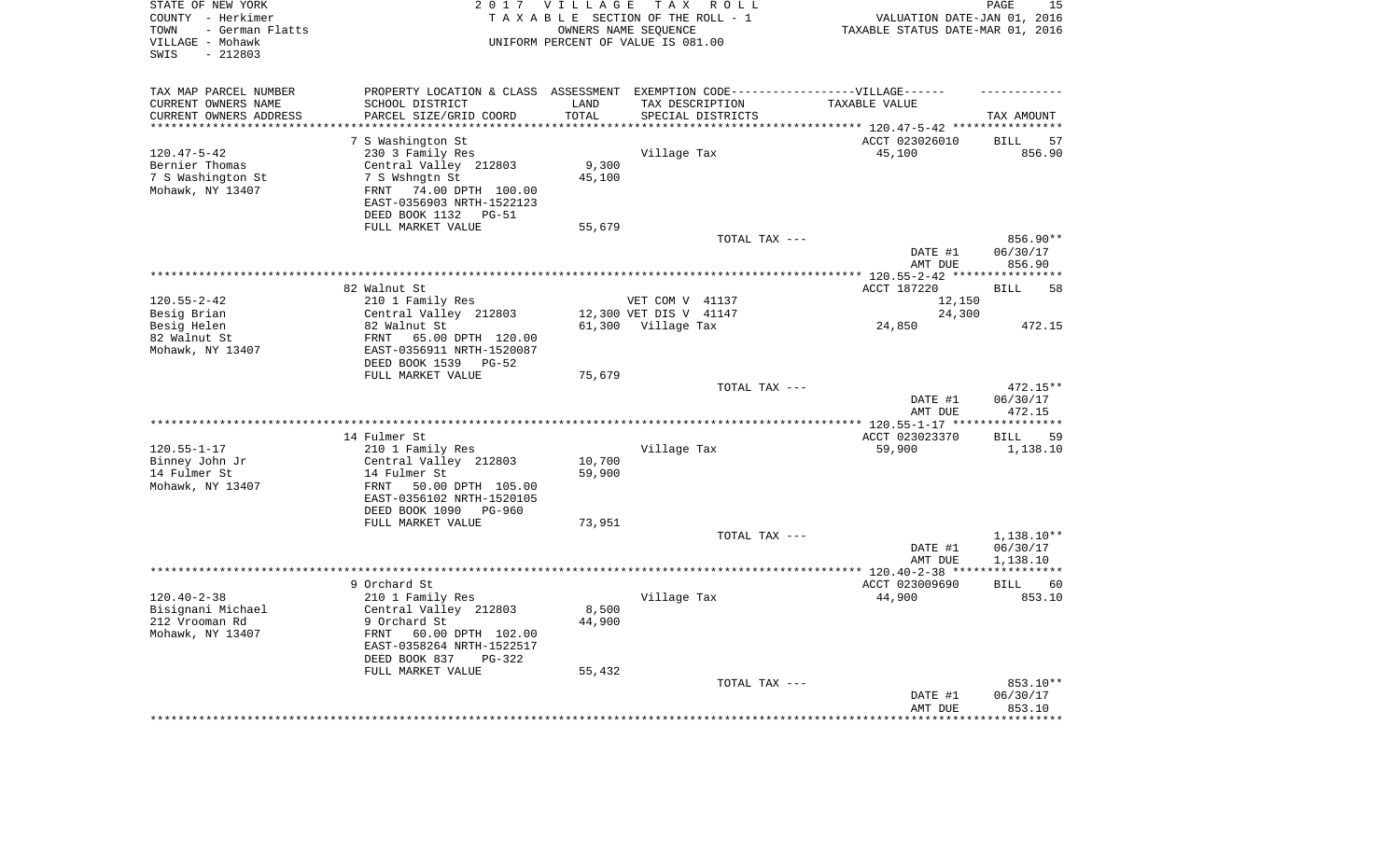| STATE OF NEW YORK<br>COUNTY - Herkimer<br>- German Flatts<br>TOWN<br>VILLAGE - Mohawk<br>$-212803$<br>SWIS |                                                      | 2017 VILLAGE             | T A X<br>R O L L<br>TAXABLE SECTION OF THE ROLL - 1<br>OWNERS NAME SEQUENCE<br>UNIFORM PERCENT OF VALUE IS 081.00 | VALUATION DATE-JAN 01, 2016<br>TAXABLE STATUS DATE-MAR 01, 2016 | PAGE<br>15            |
|------------------------------------------------------------------------------------------------------------|------------------------------------------------------|--------------------------|-------------------------------------------------------------------------------------------------------------------|-----------------------------------------------------------------|-----------------------|
| TAX MAP PARCEL NUMBER                                                                                      |                                                      |                          | PROPERTY LOCATION & CLASS ASSESSMENT EXEMPTION CODE-----------------VILLAGE------                                 |                                                                 |                       |
| CURRENT OWNERS NAME                                                                                        | SCHOOL DISTRICT                                      | LAND                     | TAX DESCRIPTION                                                                                                   | TAXABLE VALUE                                                   |                       |
| CURRENT OWNERS ADDRESS<br>********************                                                             | PARCEL SIZE/GRID COORD<br>*******************        | TOTAL<br>* * * * * * * * | SPECIAL DISTRICTS                                                                                                 |                                                                 | TAX AMOUNT            |
|                                                                                                            |                                                      |                          |                                                                                                                   | ******************************** 120.47-5-42 *****************  |                       |
|                                                                                                            | 7 S Washington St                                    |                          |                                                                                                                   | ACCT 023026010                                                  | <b>BILL</b><br>57     |
| $120.47 - 5 - 42$<br>Bernier Thomas                                                                        | 230 3 Family Res<br>Central Valley 212803            | 9,300                    | Village Tax                                                                                                       | 45,100                                                          | 856.90                |
| 7 S Washington St                                                                                          | 7 S Wshngtn St                                       | 45,100                   |                                                                                                                   |                                                                 |                       |
| Mohawk, NY 13407                                                                                           | 74.00 DPTH 100.00<br>FRNT                            |                          |                                                                                                                   |                                                                 |                       |
|                                                                                                            | EAST-0356903 NRTH-1522123                            |                          |                                                                                                                   |                                                                 |                       |
|                                                                                                            | DEED BOOK 1132<br>$PG-51$                            |                          |                                                                                                                   |                                                                 |                       |
|                                                                                                            | FULL MARKET VALUE                                    | 55,679                   |                                                                                                                   |                                                                 |                       |
|                                                                                                            |                                                      |                          | TOTAL TAX ---                                                                                                     |                                                                 | 856.90**              |
|                                                                                                            |                                                      |                          |                                                                                                                   | DATE #1                                                         | 06/30/17              |
|                                                                                                            |                                                      |                          |                                                                                                                   | AMT DUE                                                         | 856.90                |
|                                                                                                            |                                                      |                          | ***********************                                                                                           | $***$ 120.55-2-42                                               |                       |
|                                                                                                            | 82 Walnut St                                         |                          |                                                                                                                   | ACCT 187220                                                     | <b>BILL</b><br>58     |
| $120.55 - 2 - 42$                                                                                          | 210 1 Family Res                                     |                          | VET COM V 41137                                                                                                   | 12,150                                                          |                       |
| Besig Brian                                                                                                | Central Valley 212803                                |                          | 12,300 VET DIS V 41147                                                                                            | 24,300                                                          |                       |
| Besig Helen                                                                                                | 82 Walnut St                                         |                          | 61,300 Village Tax                                                                                                | 24,850                                                          | 472.15                |
| 82 Walnut St                                                                                               | FRNT<br>65.00 DPTH 120.00                            |                          |                                                                                                                   |                                                                 |                       |
| Mohawk, NY 13407                                                                                           | EAST-0356911 NRTH-1520087<br>DEED BOOK 1539<br>PG-52 |                          |                                                                                                                   |                                                                 |                       |
|                                                                                                            | FULL MARKET VALUE                                    | 75,679                   |                                                                                                                   |                                                                 |                       |
|                                                                                                            |                                                      |                          | TOTAL TAX ---                                                                                                     |                                                                 | 472.15**              |
|                                                                                                            |                                                      |                          |                                                                                                                   | DATE #1                                                         | 06/30/17              |
|                                                                                                            |                                                      |                          |                                                                                                                   | AMT DUE                                                         | 472.15                |
|                                                                                                            |                                                      |                          |                                                                                                                   | $* 120.55 - 1 - 17 **$                                          |                       |
|                                                                                                            | 14 Fulmer St                                         |                          |                                                                                                                   | ACCT 023023370                                                  | 59<br><b>BILL</b>     |
| $120.55 - 1 - 17$                                                                                          | 210 1 Family Res                                     |                          | Village Tax                                                                                                       | 59,900                                                          | 1,138.10              |
| Binney John Jr                                                                                             | Central Valley 212803                                | 10,700                   |                                                                                                                   |                                                                 |                       |
| 14 Fulmer St                                                                                               | 14 Fulmer St                                         | 59,900                   |                                                                                                                   |                                                                 |                       |
| Mohawk, NY 13407                                                                                           | FRNT<br>50.00 DPTH 105.00                            |                          |                                                                                                                   |                                                                 |                       |
|                                                                                                            | EAST-0356102 NRTH-1520105                            |                          |                                                                                                                   |                                                                 |                       |
|                                                                                                            | DEED BOOK 1090<br>PG-960<br>FULL MARKET VALUE        |                          |                                                                                                                   |                                                                 |                       |
|                                                                                                            |                                                      | 73,951                   | TOTAL TAX ---                                                                                                     |                                                                 | 1,138.10**            |
|                                                                                                            |                                                      |                          |                                                                                                                   | DATE #1                                                         | 06/30/17              |
|                                                                                                            |                                                      |                          |                                                                                                                   | AMT DUE                                                         | 1,138.10              |
|                                                                                                            |                                                      |                          |                                                                                                                   | ********* 120.40-2-38 ****                                      | * * * * * * * * * * * |
|                                                                                                            | 9 Orchard St                                         |                          |                                                                                                                   | ACCT 023009690                                                  | <b>BILL</b><br>60     |
| $120.40 - 2 - 38$                                                                                          | 210 1 Family Res                                     |                          | Village Tax                                                                                                       | 44,900                                                          | 853.10                |
| Bisignani Michael                                                                                          | Central Valley 212803                                | 8,500                    |                                                                                                                   |                                                                 |                       |
| 212 Vrooman Rd                                                                                             | 9 Orchard St                                         | 44,900                   |                                                                                                                   |                                                                 |                       |
| Mohawk, NY 13407                                                                                           | FRNT<br>60.00 DPTH 102.00                            |                          |                                                                                                                   |                                                                 |                       |
|                                                                                                            | EAST-0358264 NRTH-1522517                            |                          |                                                                                                                   |                                                                 |                       |
|                                                                                                            | DEED BOOK 837<br>$PG-322$                            |                          |                                                                                                                   |                                                                 |                       |
|                                                                                                            | FULL MARKET VALUE                                    | 55,432                   |                                                                                                                   |                                                                 | 853.10**              |
|                                                                                                            |                                                      |                          | TOTAL TAX ---                                                                                                     | DATE #1                                                         | 06/30/17              |
|                                                                                                            |                                                      |                          |                                                                                                                   | AMT DUE                                                         | 853.10                |
|                                                                                                            |                                                      |                          |                                                                                                                   |                                                                 |                       |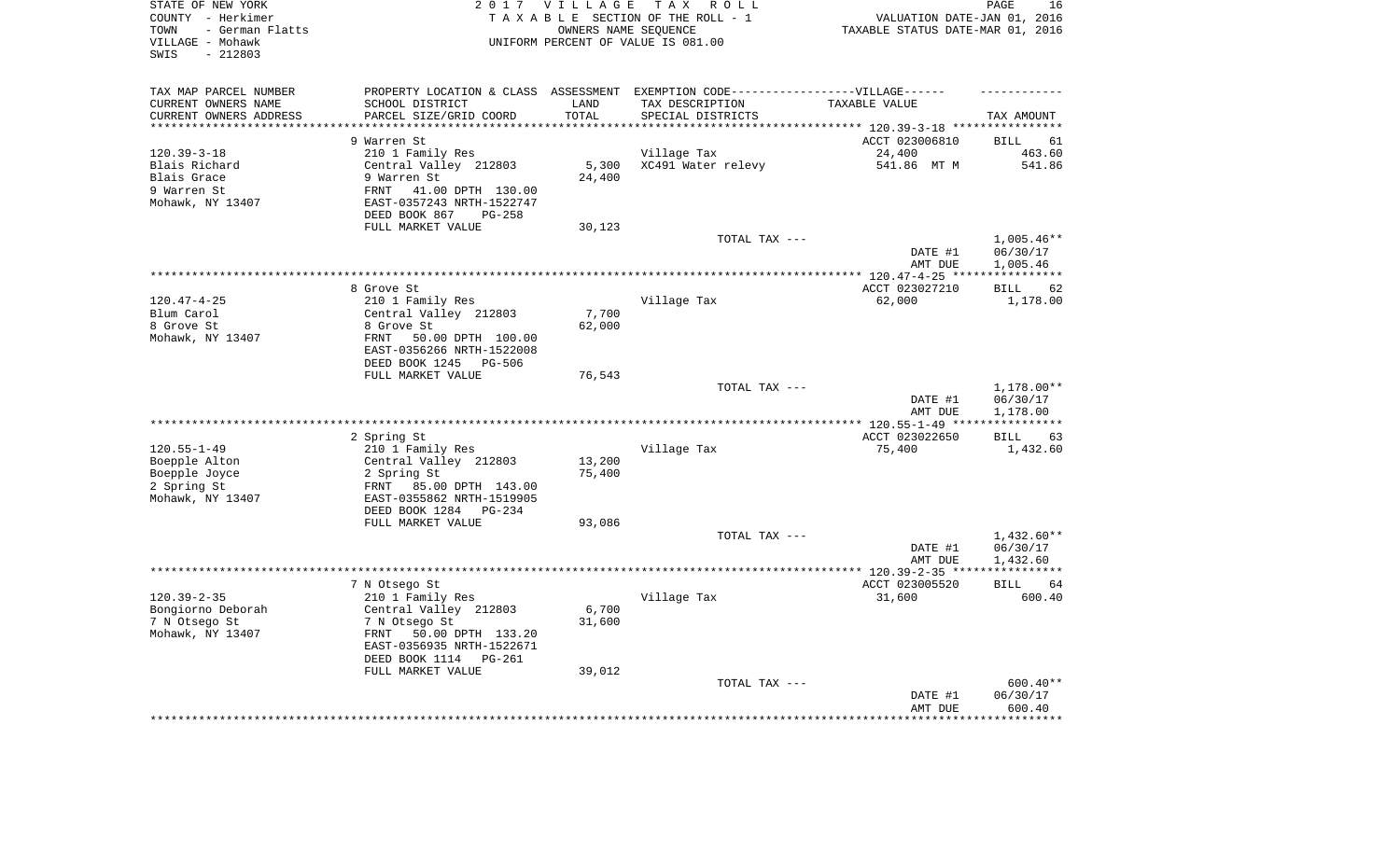| STATE OF NEW YORK<br>COUNTY - Herkimer<br>- German Flatts<br>TOWN<br>VILLAGE - Mohawk<br>$-212803$<br>SWIS |                                                                                                  | 2017 VILLAGE      | T A X<br>R O L L<br>TAXABLE SECTION OF THE ROLL - 1<br>OWNERS NAME SEQUENCE<br>UNIFORM PERCENT OF VALUE IS 081.00 | VALUATION DATE-JAN 01, 2016<br>TAXABLE STATUS DATE-MAR 01, 2016 | PAGE<br>16              |
|------------------------------------------------------------------------------------------------------------|--------------------------------------------------------------------------------------------------|-------------------|-------------------------------------------------------------------------------------------------------------------|-----------------------------------------------------------------|-------------------------|
| TAX MAP PARCEL NUMBER                                                                                      |                                                                                                  |                   | PROPERTY LOCATION & CLASS ASSESSMENT EXEMPTION CODE-----------------VILLAGE------                                 |                                                                 |                         |
| CURRENT OWNERS NAME<br>CURRENT OWNERS ADDRESS                                                              | SCHOOL DISTRICT<br>PARCEL SIZE/GRID COORD                                                        | LAND<br>TOTAL     | TAX DESCRIPTION<br>SPECIAL DISTRICTS                                                                              | TAXABLE VALUE                                                   | TAX AMOUNT              |
| *********************                                                                                      |                                                                                                  | * * * * * * * * * | ************************************* 120.39-3-18 *****************                                               |                                                                 |                         |
|                                                                                                            | 9 Warren St                                                                                      |                   |                                                                                                                   | ACCT 023006810                                                  | <b>BILL</b><br>61       |
| $120.39 - 3 - 18$                                                                                          | 210 1 Family Res                                                                                 |                   | Village Tax                                                                                                       | 24,400                                                          | 463.60                  |
| Blais Richard                                                                                              | Central Valley 212803                                                                            | 5,300             | XC491 Water relevy                                                                                                | 541.86 MT M                                                     | 541.86                  |
| Blais Grace                                                                                                | 9 Warren St                                                                                      | 24,400            |                                                                                                                   |                                                                 |                         |
| 9 Warren St<br>Mohawk, NY 13407                                                                            | 41.00 DPTH 130.00<br>FRNT<br>EAST-0357243 NRTH-1522747                                           |                   |                                                                                                                   |                                                                 |                         |
|                                                                                                            | DEED BOOK 867<br>$PG-258$<br>FULL MARKET VALUE                                                   | 30,123            |                                                                                                                   |                                                                 |                         |
|                                                                                                            |                                                                                                  |                   | TOTAL TAX ---                                                                                                     |                                                                 | $1,005.46**$            |
|                                                                                                            |                                                                                                  |                   |                                                                                                                   | DATE #1<br>AMT DUE                                              | 06/30/17<br>1,005.46    |
|                                                                                                            |                                                                                                  |                   | *******************************                                                                                   | ********* 120.47-4-25 ***                                       | * * * * * * * * * * *   |
|                                                                                                            | 8 Grove St                                                                                       |                   |                                                                                                                   | ACCT 023027210                                                  | <b>BILL</b><br>62       |
| $120.47 - 4 - 25$                                                                                          | 210 1 Family Res                                                                                 |                   | Village Tax                                                                                                       | 62,000                                                          | 1,178.00                |
| Blum Carol<br>8 Grove St                                                                                   | Central Valley 212803<br>8 Grove St                                                              | 7,700<br>62,000   |                                                                                                                   |                                                                 |                         |
| Mohawk, NY 13407                                                                                           | FRNT<br>50.00 DPTH 100.00                                                                        |                   |                                                                                                                   |                                                                 |                         |
|                                                                                                            | EAST-0356266 NRTH-1522008<br>DEED BOOK 1245<br>PG-506                                            |                   |                                                                                                                   |                                                                 |                         |
|                                                                                                            | FULL MARKET VALUE                                                                                | 76,543            |                                                                                                                   |                                                                 |                         |
|                                                                                                            |                                                                                                  |                   | TOTAL TAX ---                                                                                                     | DATE #1                                                         | 1,178.00**<br>06/30/17  |
|                                                                                                            |                                                                                                  |                   | **********************                                                                                            | AMT DUE                                                         | 1,178.00                |
|                                                                                                            | 2 Spring St                                                                                      |                   |                                                                                                                   | ***** 120.55-1-49 **<br>ACCT 023022650                          | <b>BILL</b><br>63       |
| $120.55 - 1 - 49$                                                                                          | 210 1 Family Res                                                                                 |                   | Village Tax                                                                                                       | 75,400                                                          | 1,432.60                |
| Boepple Alton                                                                                              | Central Valley 212803                                                                            | 13,200            |                                                                                                                   |                                                                 |                         |
| Boepple Joyce                                                                                              | 2 Spring St                                                                                      | 75,400            |                                                                                                                   |                                                                 |                         |
| 2 Spring St<br>Mohawk, NY 13407                                                                            | FRNT<br>85.00 DPTH 143.00<br>EAST-0355862 NRTH-1519905                                           |                   |                                                                                                                   |                                                                 |                         |
|                                                                                                            | DEED BOOK 1284<br>$PG-234$                                                                       |                   |                                                                                                                   |                                                                 |                         |
|                                                                                                            | FULL MARKET VALUE                                                                                | 93,086            |                                                                                                                   |                                                                 |                         |
|                                                                                                            |                                                                                                  |                   | TOTAL TAX ---                                                                                                     |                                                                 | $1,432.60**$            |
|                                                                                                            |                                                                                                  |                   |                                                                                                                   | DATE #1                                                         | 06/30/17                |
|                                                                                                            |                                                                                                  |                   |                                                                                                                   | AMT DUE<br>*************** 120.39-2-35 ***                      | 1,432.60<br>*********** |
|                                                                                                            | 7 N Otsego St                                                                                    |                   |                                                                                                                   | ACCT 023005520                                                  | <b>BILL</b><br>64       |
| $120.39 - 2 - 35$                                                                                          | 210 1 Family Res                                                                                 |                   | Village Tax                                                                                                       | 31,600                                                          | 600.40                  |
| Bongiorno Deborah<br>7 N Otsego St<br>Mohawk, NY 13407                                                     | Central Valley 212803<br>7 N Otsego St<br>50.00 DPTH 133.20<br>FRNT<br>EAST-0356935 NRTH-1522671 | 6,700<br>31,600   |                                                                                                                   |                                                                 |                         |
|                                                                                                            | DEED BOOK 1114<br>$PG-261$<br>FULL MARKET VALUE                                                  | 39,012            |                                                                                                                   |                                                                 |                         |
|                                                                                                            |                                                                                                  |                   | TOTAL TAX ---                                                                                                     |                                                                 | $600.40**$              |
|                                                                                                            |                                                                                                  |                   |                                                                                                                   | DATE #1<br>AMT DUE                                              | 06/30/17<br>600.40      |
|                                                                                                            |                                                                                                  |                   |                                                                                                                   |                                                                 | ********                |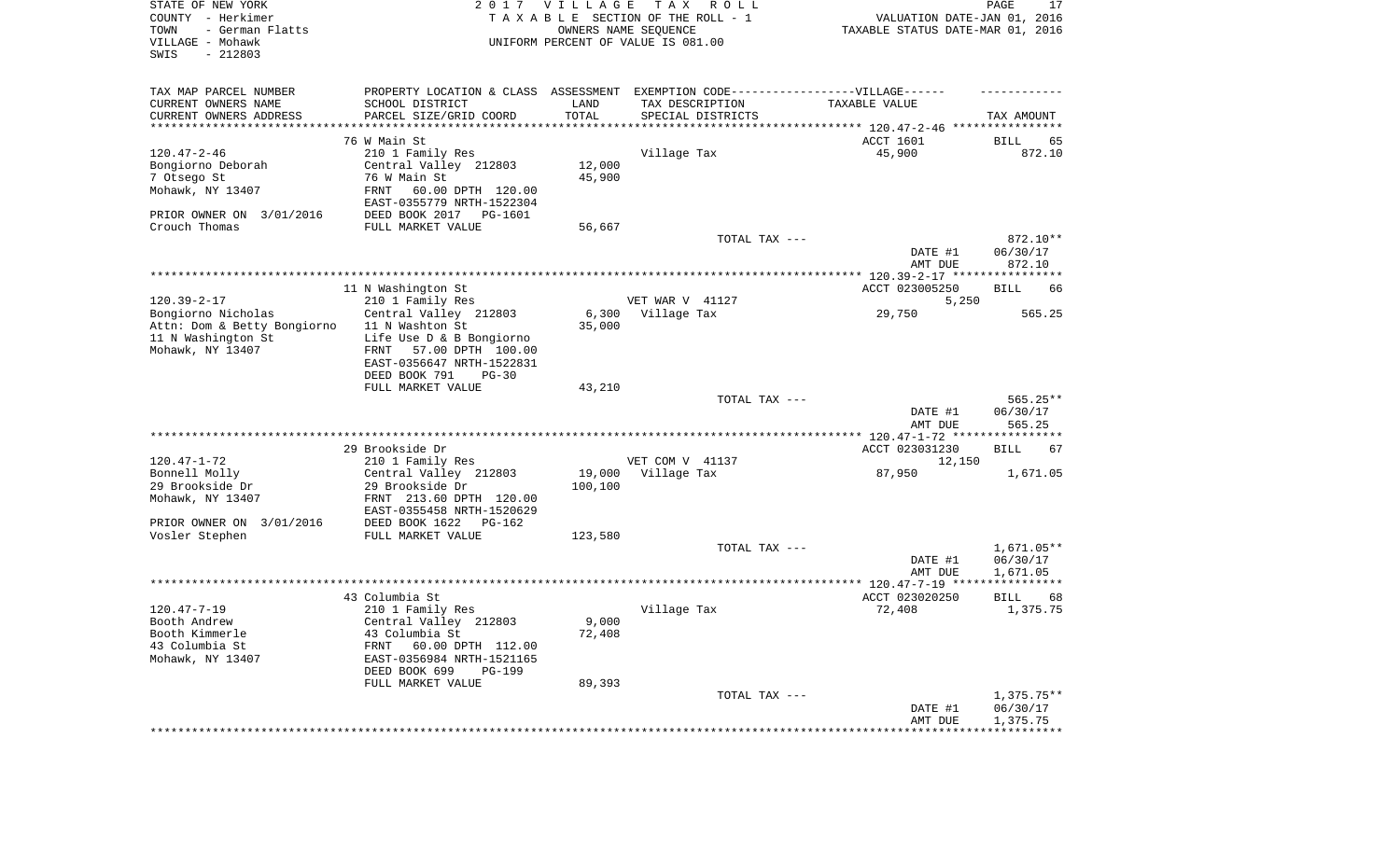| STATE OF NEW YORK<br>COUNTY - Herkimer<br>- German Flatts<br>TOWN<br>VILLAGE - Mohawk<br>SWIS<br>$-212803$ |                                                        | 2017 VILLAGE | T A X<br>R O L L<br>TAXABLE SECTION OF THE ROLL - 1<br>OWNERS NAME SEQUENCE<br>UNIFORM PERCENT OF VALUE IS 081.00 | VALUATION DATE-JAN 01, 2016<br>TAXABLE STATUS DATE-MAR 01, 2016 | PAGE<br>17         |
|------------------------------------------------------------------------------------------------------------|--------------------------------------------------------|--------------|-------------------------------------------------------------------------------------------------------------------|-----------------------------------------------------------------|--------------------|
| TAX MAP PARCEL NUMBER                                                                                      |                                                        |              | PROPERTY LOCATION & CLASS ASSESSMENT EXEMPTION CODE-----------------VILLAGE------                                 |                                                                 |                    |
| CURRENT OWNERS NAME                                                                                        | SCHOOL DISTRICT                                        | LAND         | TAX DESCRIPTION                                                                                                   | TAXABLE VALUE                                                   |                    |
| CURRENT OWNERS ADDRESS<br>**********************                                                           | PARCEL SIZE/GRID COORD                                 | TOTAL        | SPECIAL DISTRICTS                                                                                                 |                                                                 | TAX AMOUNT         |
|                                                                                                            | 76 W Main St                                           |              |                                                                                                                   | ACCT 1601                                                       | BILL<br>65         |
| $120.47 - 2 - 46$                                                                                          | 210 1 Family Res                                       |              | Village Tax                                                                                                       | 45,900                                                          | 872.10             |
| Bongiorno Deborah                                                                                          | Central Valley 212803                                  | 12,000       |                                                                                                                   |                                                                 |                    |
| 7 Otsego St                                                                                                | 76 W Main St                                           | 45,900       |                                                                                                                   |                                                                 |                    |
| Mohawk, NY 13407                                                                                           | FRNT<br>60.00 DPTH 120.00<br>EAST-0355779 NRTH-1522304 |              |                                                                                                                   |                                                                 |                    |
| PRIOR OWNER ON 3/01/2016                                                                                   | DEED BOOK 2017 PG-1601                                 |              |                                                                                                                   |                                                                 |                    |
| Crouch Thomas                                                                                              | FULL MARKET VALUE                                      | 56,667       |                                                                                                                   |                                                                 |                    |
|                                                                                                            |                                                        |              | TOTAL TAX ---                                                                                                     |                                                                 | 872.10**           |
|                                                                                                            |                                                        |              |                                                                                                                   | DATE #1<br>AMT DUE                                              | 06/30/17<br>872.10 |
|                                                                                                            |                                                        |              |                                                                                                                   |                                                                 |                    |
|                                                                                                            | 11 N Washington St                                     |              |                                                                                                                   | ACCT 023005250                                                  | <b>BILL</b><br>66  |
| $120.39 - 2 - 17$                                                                                          | 210 1 Family Res                                       |              | VET WAR V 41127                                                                                                   | 5,250                                                           |                    |
| Bongiorno Nicholas                                                                                         | Central Valley 212803                                  | 6,300        | Village Tax                                                                                                       | 29,750                                                          | 565.25             |
| Attn: Dom & Betty Bongiorno                                                                                | 11 N Washton St                                        | 35,000       |                                                                                                                   |                                                                 |                    |
| 11 N Washington St<br>Mohawk, NY 13407                                                                     | Life Use D & B Bongiorno                               |              |                                                                                                                   |                                                                 |                    |
|                                                                                                            | 57.00 DPTH 100.00<br>FRNT<br>EAST-0356647 NRTH-1522831 |              |                                                                                                                   |                                                                 |                    |
|                                                                                                            | DEED BOOK 791<br>$PG-30$                               |              |                                                                                                                   |                                                                 |                    |
|                                                                                                            | FULL MARKET VALUE                                      | 43,210       |                                                                                                                   |                                                                 |                    |
|                                                                                                            |                                                        |              | TOTAL TAX ---                                                                                                     |                                                                 | $565.25**$         |
|                                                                                                            |                                                        |              |                                                                                                                   | DATE #1<br>AMT DUE                                              | 06/30/17<br>565.25 |
|                                                                                                            | 29 Brookside Dr                                        |              |                                                                                                                   | *************** 120.47-1-72 ****************<br>ACCT 023031230  | <b>BILL</b><br>67  |
| $120.47 - 1 - 72$                                                                                          | 210 1 Family Res                                       |              | VET COM V 41137                                                                                                   | 12,150                                                          |                    |
| Bonnell Molly                                                                                              | Central Valley 212803                                  | 19,000       | Village Tax                                                                                                       | 87,950                                                          | 1,671.05           |
| 29 Brookside Dr                                                                                            | 29 Brookside Dr                                        | 100,100      |                                                                                                                   |                                                                 |                    |
| Mohawk, NY 13407                                                                                           | FRNT 213.60 DPTH 120.00                                |              |                                                                                                                   |                                                                 |                    |
|                                                                                                            | EAST-0355458 NRTH-1520629                              |              |                                                                                                                   |                                                                 |                    |
| PRIOR OWNER ON 3/01/2016<br>Vosler Stephen                                                                 | DEED BOOK 1622<br>PG-162<br>FULL MARKET VALUE          | 123,580      |                                                                                                                   |                                                                 |                    |
|                                                                                                            |                                                        |              | TOTAL TAX ---                                                                                                     |                                                                 | $1,671.05**$       |
|                                                                                                            |                                                        |              |                                                                                                                   | DATE #1                                                         | 06/30/17           |
|                                                                                                            |                                                        |              |                                                                                                                   | AMT DUE                                                         | 1,671.05           |
|                                                                                                            |                                                        |              |                                                                                                                   |                                                                 |                    |
|                                                                                                            | 43 Columbia St                                         |              |                                                                                                                   | ACCT 023020250                                                  | <b>BILL</b><br>68  |
| $120.47 - 7 - 19$<br>Booth Andrew                                                                          | 210 1 Family Res<br>Central Valley 212803              | 9,000        | Village Tax                                                                                                       | 72,408                                                          | 1,375.75           |
| Booth Kimmerle                                                                                             | 43 Columbia St                                         | 72,408       |                                                                                                                   |                                                                 |                    |
| 43 Columbia St                                                                                             | FRNT<br>60.00 DPTH 112.00                              |              |                                                                                                                   |                                                                 |                    |
| Mohawk, NY 13407                                                                                           | EAST-0356984 NRTH-1521165                              |              |                                                                                                                   |                                                                 |                    |
|                                                                                                            | DEED BOOK 699<br>PG-199                                |              |                                                                                                                   |                                                                 |                    |
|                                                                                                            | FULL MARKET VALUE                                      | 89,393       | TOTAL TAX ---                                                                                                     |                                                                 | $1,375.75**$       |
|                                                                                                            |                                                        |              |                                                                                                                   | DATE #1                                                         | 06/30/17           |
|                                                                                                            |                                                        |              |                                                                                                                   | AMT DUE                                                         | 1,375.75           |
|                                                                                                            |                                                        |              |                                                                                                                   |                                                                 |                    |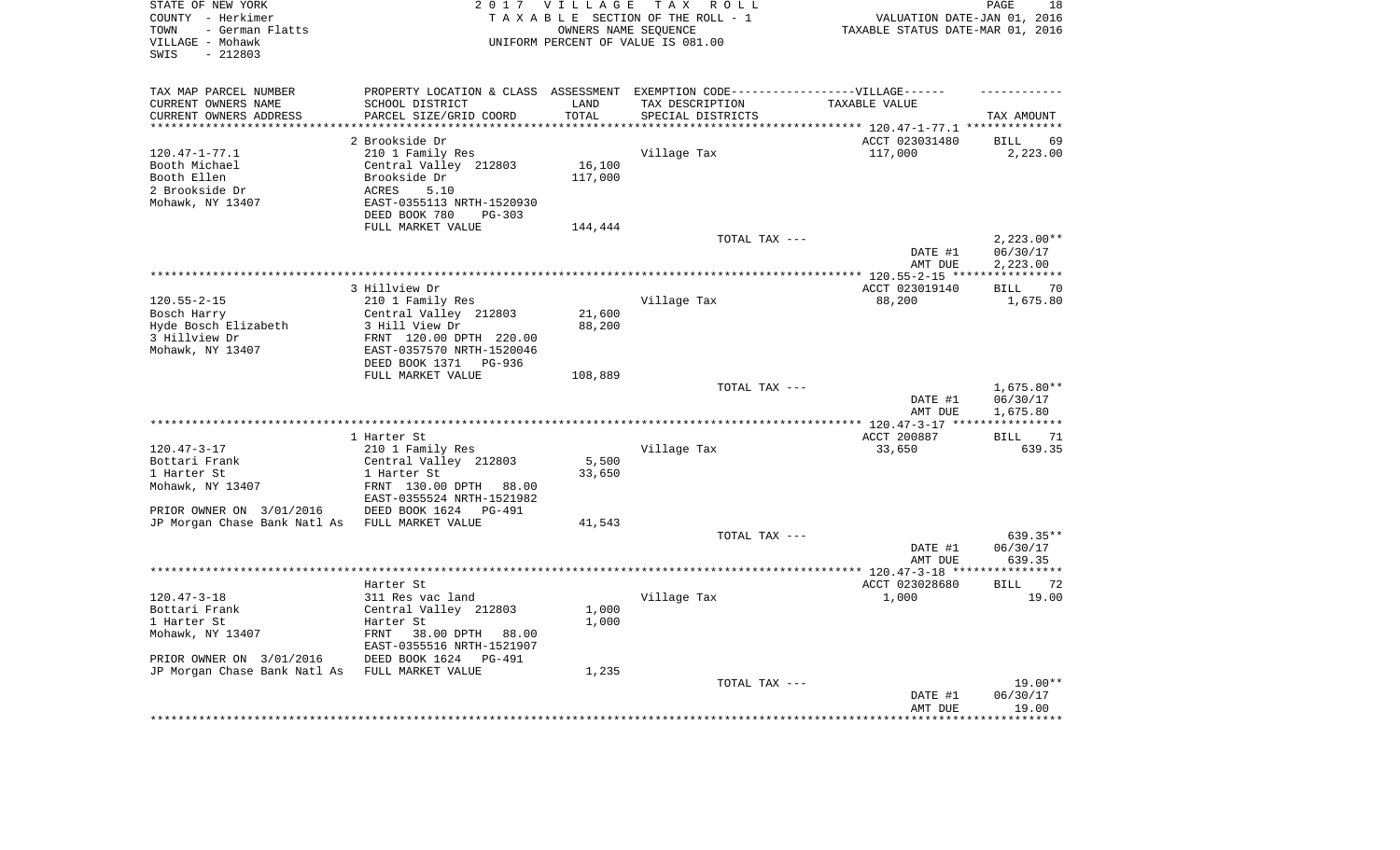| STATE OF NEW YORK<br>COUNTY - Herkimer<br>- German Flatts<br>TOWN<br>VILLAGE - Mohawk<br>$-212803$<br>SWIS |                                                                                   | 2017 VILLAGE        | TAX ROLL<br>TAXABLE SECTION OF THE ROLL - 1<br>OWNERS NAME SEQUENCE<br>UNIFORM PERCENT OF VALUE IS 081.00 | VALUATION DATE-JAN 01, 2016<br>TAXABLE STATUS DATE-MAR 01, 2016 | 18<br>PAGE                    |
|------------------------------------------------------------------------------------------------------------|-----------------------------------------------------------------------------------|---------------------|-----------------------------------------------------------------------------------------------------------|-----------------------------------------------------------------|-------------------------------|
| TAX MAP PARCEL NUMBER                                                                                      | PROPERTY LOCATION & CLASS ASSESSMENT EXEMPTION CODE-----------------VILLAGE------ |                     |                                                                                                           |                                                                 |                               |
| CURRENT OWNERS NAME                                                                                        | SCHOOL DISTRICT                                                                   | LAND                | TAX DESCRIPTION                                                                                           | TAXABLE VALUE                                                   |                               |
| CURRENT OWNERS ADDRESS<br>*********************                                                            | PARCEL SIZE/GRID COORD<br>**********************                                  | TOTAL<br>********** | SPECIAL DISTRICTS                                                                                         |                                                                 | TAX AMOUNT                    |
|                                                                                                            |                                                                                   |                     |                                                                                                           |                                                                 |                               |
| $120.47 - 1 - 77.1$                                                                                        | 2 Brookside Dr<br>210 1 Family Res                                                |                     | Village Tax                                                                                               | ACCT 023031480<br>117,000                                       | <b>BILL</b><br>69<br>2,223.00 |
| Booth Michael                                                                                              | Central Valley 212803                                                             | 16,100              |                                                                                                           |                                                                 |                               |
| Booth Ellen                                                                                                | Brookside Dr                                                                      | 117,000             |                                                                                                           |                                                                 |                               |
| 2 Brookside Dr                                                                                             | ACRES<br>5.10                                                                     |                     |                                                                                                           |                                                                 |                               |
| Mohawk, NY 13407                                                                                           | EAST-0355113 NRTH-1520930                                                         |                     |                                                                                                           |                                                                 |                               |
|                                                                                                            | DEED BOOK 780<br>PG-303                                                           |                     |                                                                                                           |                                                                 |                               |
|                                                                                                            | FULL MARKET VALUE                                                                 | 144,444             |                                                                                                           |                                                                 |                               |
|                                                                                                            |                                                                                   |                     | TOTAL TAX ---                                                                                             |                                                                 | $2,223.00**$                  |
|                                                                                                            |                                                                                   |                     |                                                                                                           | DATE #1                                                         | 06/30/17                      |
|                                                                                                            |                                                                                   |                     |                                                                                                           | AMT DUE                                                         | 2,223.00                      |
|                                                                                                            |                                                                                   |                     |                                                                                                           | *** $120.55 - 2 - 15$ ****                                      | ***********                   |
|                                                                                                            | 3 Hillview Dr                                                                     |                     |                                                                                                           | ACCT 023019140                                                  | <b>BILL</b><br>70             |
| $120.55 - 2 - 15$<br>Bosch Harry                                                                           | 210 1 Family Res<br>Central Valley 212803                                         | 21,600              | Village Tax                                                                                               | 88,200                                                          | 1,675.80                      |
| Hyde Bosch Elizabeth                                                                                       | 3 Hill View Dr                                                                    | 88,200              |                                                                                                           |                                                                 |                               |
| 3 Hillview Dr                                                                                              | FRNT 120.00 DPTH 220.00                                                           |                     |                                                                                                           |                                                                 |                               |
| Mohawk, NY 13407                                                                                           | EAST-0357570 NRTH-1520046                                                         |                     |                                                                                                           |                                                                 |                               |
|                                                                                                            | DEED BOOK 1371<br>PG-936                                                          |                     |                                                                                                           |                                                                 |                               |
|                                                                                                            | FULL MARKET VALUE                                                                 | 108,889             |                                                                                                           |                                                                 |                               |
|                                                                                                            |                                                                                   |                     | TOTAL TAX ---                                                                                             |                                                                 | 1,675.80**                    |
|                                                                                                            |                                                                                   |                     |                                                                                                           | DATE #1                                                         | 06/30/17                      |
|                                                                                                            |                                                                                   |                     | ************************                                                                                  | AMT DUE                                                         | 1,675.80                      |
|                                                                                                            | 1 Harter St                                                                       |                     |                                                                                                           | *** 120.47-3-17 ***<br>ACCT 200887                              | <b>BILL</b><br>71             |
| $120.47 - 3 - 17$                                                                                          | 210 1 Family Res                                                                  |                     | Village Tax                                                                                               | 33,650                                                          | 639.35                        |
| Bottari Frank                                                                                              | Central Valley 212803                                                             | 5,500               |                                                                                                           |                                                                 |                               |
| 1 Harter St                                                                                                | 1 Harter St                                                                       | 33,650              |                                                                                                           |                                                                 |                               |
| Mohawk, NY 13407                                                                                           | FRNT 130.00 DPTH<br>88.00                                                         |                     |                                                                                                           |                                                                 |                               |
|                                                                                                            | EAST-0355524 NRTH-1521982                                                         |                     |                                                                                                           |                                                                 |                               |
| PRIOR OWNER ON 3/01/2016                                                                                   | DEED BOOK 1624 PG-491                                                             |                     |                                                                                                           |                                                                 |                               |
| JP Morgan Chase Bank Natl As                                                                               | FULL MARKET VALUE                                                                 | 41,543              |                                                                                                           |                                                                 |                               |
|                                                                                                            |                                                                                   |                     | TOTAL TAX ---                                                                                             |                                                                 | 639.35**                      |
|                                                                                                            |                                                                                   |                     |                                                                                                           | DATE #1                                                         | 06/30/17                      |
|                                                                                                            |                                                                                   |                     |                                                                                                           | AMT DUE                                                         | 639.35<br>**********          |
|                                                                                                            | Harter St                                                                         |                     |                                                                                                           | **************** 120.47-3-18 *****<br>ACCT 023028680            | <b>BILL</b><br>72             |
| $120.47 - 3 - 18$                                                                                          | 311 Res vac land                                                                  |                     | Village Tax                                                                                               | 1,000                                                           | 19.00                         |
| Bottari Frank                                                                                              | Central Valley 212803                                                             | 1,000               |                                                                                                           |                                                                 |                               |
| 1 Harter St                                                                                                | Harter St                                                                         | 1,000               |                                                                                                           |                                                                 |                               |
| Mohawk, NY 13407                                                                                           | FRNT<br>38.00 DPTH<br>88.00                                                       |                     |                                                                                                           |                                                                 |                               |
|                                                                                                            | EAST-0355516 NRTH-1521907                                                         |                     |                                                                                                           |                                                                 |                               |
| PRIOR OWNER ON 3/01/2016                                                                                   | DEED BOOK 1624<br><b>PG-491</b>                                                   |                     |                                                                                                           |                                                                 |                               |
| JP Morgan Chase Bank Natl As                                                                               | FULL MARKET VALUE                                                                 | 1,235               |                                                                                                           |                                                                 |                               |
|                                                                                                            |                                                                                   |                     | TOTAL TAX ---                                                                                             |                                                                 | $19.00**$                     |
|                                                                                                            |                                                                                   |                     |                                                                                                           | DATE #1                                                         | 06/30/17                      |
|                                                                                                            |                                                                                   |                     |                                                                                                           | AMT DUE                                                         | 19.00<br>*******              |
|                                                                                                            |                                                                                   |                     |                                                                                                           |                                                                 |                               |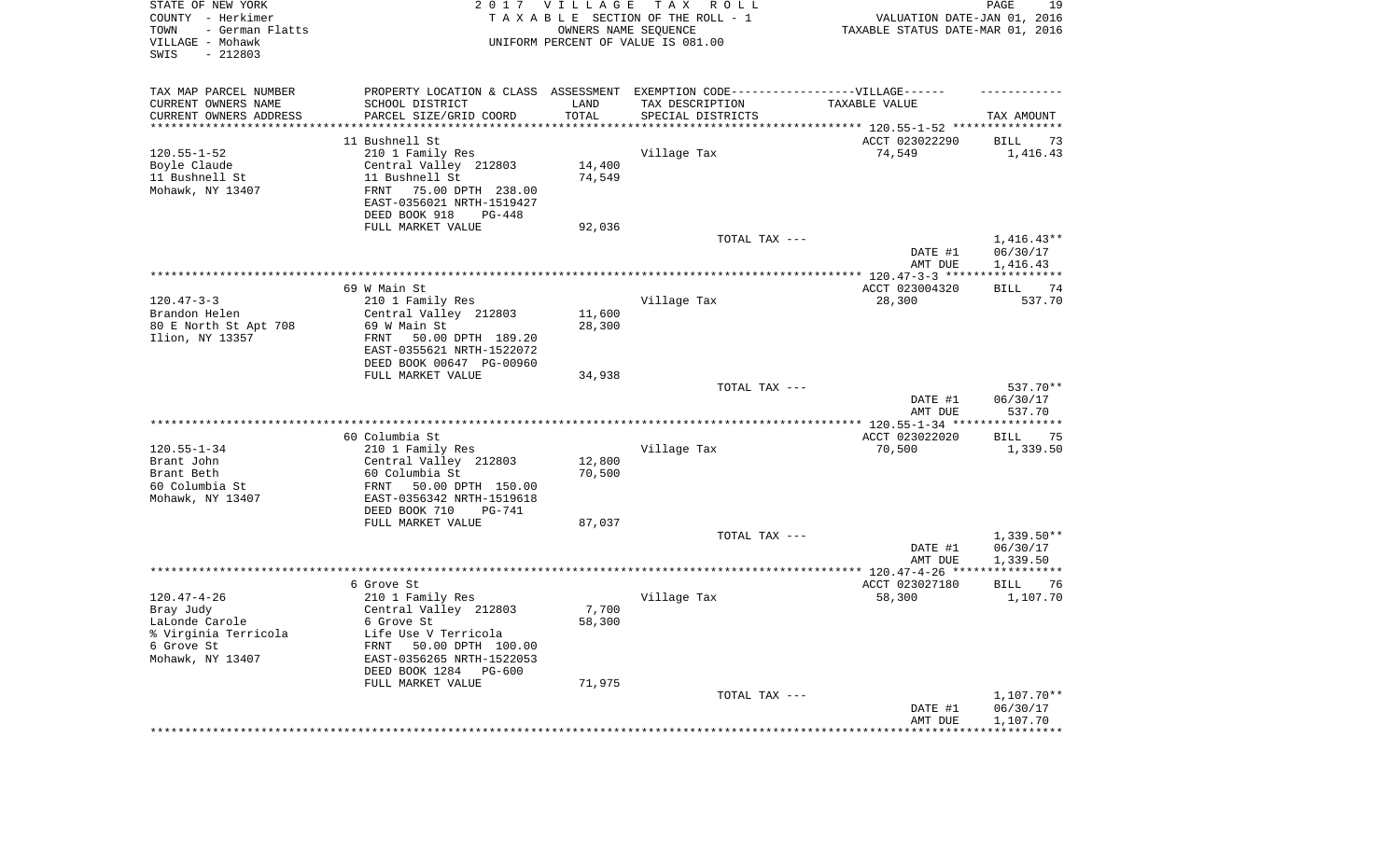| STATE OF NEW YORK<br>COUNTY - Herkimer<br>- German Flatts<br>TOWN<br>VILLAGE - Mohawk<br>SWIS<br>$-212803$ | 2017                                                                                                | <b>VILLAGE</b><br>OWNERS NAME SEQUENCE | T A X<br>R O L L<br>TAXABLE SECTION OF THE ROLL - 1<br>UNIFORM PERCENT OF VALUE IS 081.00 | VALUATION DATE-JAN 01, 2016<br>TAXABLE STATUS DATE-MAR 01, 2016 | PAGE<br>19               |
|------------------------------------------------------------------------------------------------------------|-----------------------------------------------------------------------------------------------------|----------------------------------------|-------------------------------------------------------------------------------------------|-----------------------------------------------------------------|--------------------------|
| TAX MAP PARCEL NUMBER<br>CURRENT OWNERS NAME                                                               | PROPERTY LOCATION & CLASS ASSESSMENT EXEMPTION CODE----------------VILLAGE------<br>SCHOOL DISTRICT | LAND                                   | TAX DESCRIPTION                                                                           | TAXABLE VALUE                                                   |                          |
| CURRENT OWNERS ADDRESS<br>********************                                                             | PARCEL SIZE/GRID COORD                                                                              | TOTAL                                  | SPECIAL DISTRICTS                                                                         |                                                                 | TAX AMOUNT               |
|                                                                                                            | 11 Bushnell St                                                                                      |                                        |                                                                                           | ACCT 023022290                                                  | 73<br>BILL               |
| $120.55 - 1 - 52$                                                                                          | 210 1 Family Res                                                                                    |                                        | Village Tax                                                                               | 74,549                                                          | 1,416.43                 |
| Boyle Claude                                                                                               | Central Valley 212803                                                                               | 14,400                                 |                                                                                           |                                                                 |                          |
| 11 Bushnell St                                                                                             | 11 Bushnell St                                                                                      | 74,549                                 |                                                                                           |                                                                 |                          |
| Mohawk, NY 13407                                                                                           | FRNT<br>75.00 DPTH 238.00<br>EAST-0356021 NRTH-1519427                                              |                                        |                                                                                           |                                                                 |                          |
|                                                                                                            | DEED BOOK 918<br>PG-448<br>FULL MARKET VALUE                                                        | 92,036                                 |                                                                                           |                                                                 |                          |
|                                                                                                            |                                                                                                     |                                        | TOTAL TAX ---                                                                             |                                                                 | $1,416.43**$             |
|                                                                                                            |                                                                                                     |                                        |                                                                                           | DATE #1<br>AMT DUE                                              | 06/30/17<br>1,416.43     |
|                                                                                                            |                                                                                                     |                                        |                                                                                           |                                                                 |                          |
|                                                                                                            | 69 W Main St.                                                                                       |                                        |                                                                                           | ACCT 023004320                                                  | 74<br>BILL               |
| $120.47 - 3 - 3$<br>Brandon Helen                                                                          | 210 1 Family Res<br>Central Valley 212803                                                           | 11,600                                 | Village Tax                                                                               | 28,300                                                          | 537.70                   |
| 80 E North St Apt 708                                                                                      | 69 W Main St                                                                                        | 28,300                                 |                                                                                           |                                                                 |                          |
| Ilion, NY 13357                                                                                            | FRNT<br>50.00 DPTH 189.20                                                                           |                                        |                                                                                           |                                                                 |                          |
|                                                                                                            | EAST-0355621 NRTH-1522072                                                                           |                                        |                                                                                           |                                                                 |                          |
|                                                                                                            | DEED BOOK 00647 PG-00960                                                                            |                                        |                                                                                           |                                                                 |                          |
|                                                                                                            | FULL MARKET VALUE                                                                                   | 34,938                                 |                                                                                           |                                                                 |                          |
|                                                                                                            |                                                                                                     |                                        | TOTAL TAX ---                                                                             | DATE #1                                                         | 537.70**<br>06/30/17     |
|                                                                                                            |                                                                                                     |                                        |                                                                                           | AMT DUE                                                         | 537.70                   |
|                                                                                                            |                                                                                                     |                                        |                                                                                           |                                                                 |                          |
|                                                                                                            | 60 Columbia St                                                                                      |                                        |                                                                                           | ACCT 023022020                                                  | <b>BILL</b><br>75        |
| $120.55 - 1 - 34$                                                                                          | 210 1 Family Res                                                                                    |                                        | Village Tax                                                                               | 70,500                                                          | 1,339.50                 |
| Brant John<br>Brant Beth                                                                                   | Central Valley 212803<br>60 Columbia St                                                             | 12,800<br>70,500                       |                                                                                           |                                                                 |                          |
| 60 Columbia St                                                                                             | 50.00 DPTH 150.00<br>FRNT                                                                           |                                        |                                                                                           |                                                                 |                          |
| Mohawk, NY 13407                                                                                           | EAST-0356342 NRTH-1519618                                                                           |                                        |                                                                                           |                                                                 |                          |
|                                                                                                            | DEED BOOK 710<br><b>PG-741</b>                                                                      |                                        |                                                                                           |                                                                 |                          |
|                                                                                                            | FULL MARKET VALUE                                                                                   | 87,037                                 |                                                                                           |                                                                 |                          |
|                                                                                                            |                                                                                                     |                                        | TOTAL TAX ---                                                                             | DATE #1                                                         | $1,339.50**$<br>06/30/17 |
|                                                                                                            |                                                                                                     |                                        |                                                                                           | AMT DUE                                                         | 1,339.50                 |
|                                                                                                            |                                                                                                     |                                        |                                                                                           |                                                                 |                          |
|                                                                                                            | 6 Grove St                                                                                          |                                        |                                                                                           | ACCT 023027180                                                  | BILL<br>76               |
| $120.47 - 4 - 26$                                                                                          | 210 1 Family Res                                                                                    |                                        | Village Tax                                                                               | 58,300                                                          | 1,107.70                 |
| Bray Judy<br>LaLonde Carole                                                                                | Central Valley 212803<br>6 Grove St                                                                 | 7,700<br>58,300                        |                                                                                           |                                                                 |                          |
| % Virginia Terricola                                                                                       | Life Use V Terricola                                                                                |                                        |                                                                                           |                                                                 |                          |
| 6 Grove St                                                                                                 | FRNT<br>50.00 DPTH 100.00                                                                           |                                        |                                                                                           |                                                                 |                          |
| Mohawk, NY 13407                                                                                           | EAST-0356265 NRTH-1522053                                                                           |                                        |                                                                                           |                                                                 |                          |
|                                                                                                            | DEED BOOK 1284 PG-600                                                                               |                                        |                                                                                           |                                                                 |                          |
|                                                                                                            | FULL MARKET VALUE                                                                                   | 71,975                                 | TOTAL TAX ---                                                                             |                                                                 | $1,107.70**$             |
|                                                                                                            |                                                                                                     |                                        |                                                                                           | DATE #1                                                         | 06/30/17                 |
|                                                                                                            |                                                                                                     |                                        |                                                                                           | AMT DUE                                                         | 1,107.70                 |
|                                                                                                            |                                                                                                     |                                        |                                                                                           | ************************************                            |                          |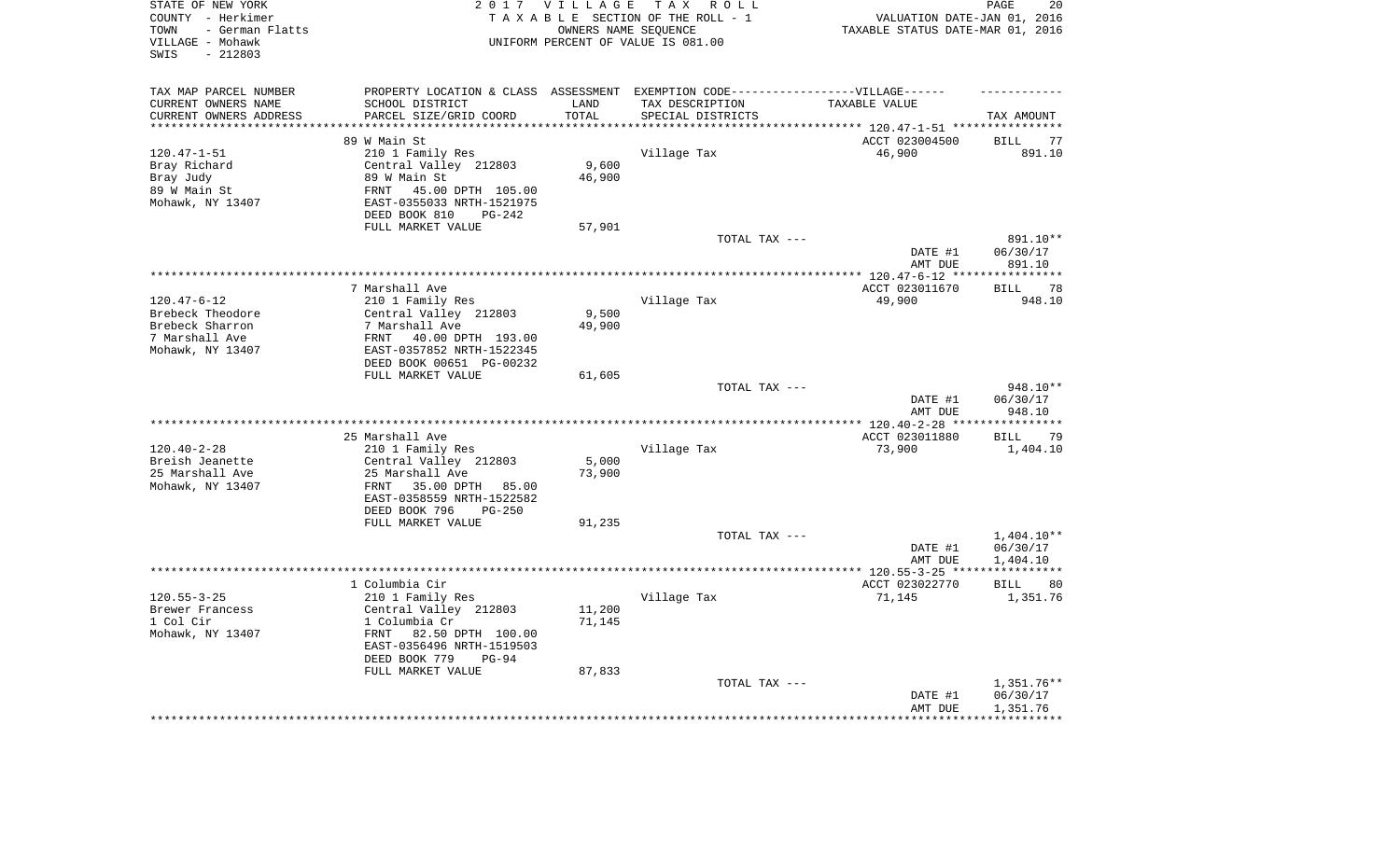| STATE OF NEW YORK<br>COUNTY - Herkimer<br>- German Flatts<br>TOWN<br>VILLAGE - Mohawk<br>SWIS<br>$-212803$ |                                                                                   | 2017 VILLAGE        | TAX ROLL<br>TAXABLE SECTION OF THE ROLL - 1<br>OWNERS NAME SEQUENCE<br>UNIFORM PERCENT OF VALUE IS 081.00 | VALUATION DATE-JAN 01, 2016<br>TAXABLE STATUS DATE-MAR 01, 2016 | PAGE<br>20               |
|------------------------------------------------------------------------------------------------------------|-----------------------------------------------------------------------------------|---------------------|-----------------------------------------------------------------------------------------------------------|-----------------------------------------------------------------|--------------------------|
| TAX MAP PARCEL NUMBER                                                                                      | PROPERTY LOCATION & CLASS ASSESSMENT EXEMPTION CODE-----------------VILLAGE------ |                     |                                                                                                           |                                                                 |                          |
| CURRENT OWNERS NAME                                                                                        | SCHOOL DISTRICT                                                                   | LAND                | TAX DESCRIPTION                                                                                           | TAXABLE VALUE                                                   |                          |
| CURRENT OWNERS ADDRESS<br>********************                                                             | PARCEL SIZE/GRID COORD<br>***********************                                 | TOTAL<br>********** | SPECIAL DISTRICTS                                                                                         |                                                                 | TAX AMOUNT               |
|                                                                                                            | 89 W Main St                                                                      |                     |                                                                                                           | ACCT 023004500                                                  | <b>BILL</b><br>77        |
| $120.47 - 1 - 51$                                                                                          | 210 1 Family Res                                                                  |                     | Village Tax                                                                                               | 46,900                                                          | 891.10                   |
| Bray Richard                                                                                               | Central Valley 212803                                                             | 9,600               |                                                                                                           |                                                                 |                          |
| Bray Judy                                                                                                  | 89 W Main St                                                                      | 46,900              |                                                                                                           |                                                                 |                          |
| 89 W Main St                                                                                               | 45.00 DPTH 105.00<br>FRNT                                                         |                     |                                                                                                           |                                                                 |                          |
| Mohawk, NY 13407                                                                                           | EAST-0355033 NRTH-1521975                                                         |                     |                                                                                                           |                                                                 |                          |
|                                                                                                            | DEED BOOK 810<br>PG-242                                                           |                     |                                                                                                           |                                                                 |                          |
|                                                                                                            | FULL MARKET VALUE                                                                 | 57,901              |                                                                                                           |                                                                 |                          |
|                                                                                                            |                                                                                   |                     | TOTAL TAX ---                                                                                             |                                                                 | 891.10**                 |
|                                                                                                            |                                                                                   |                     |                                                                                                           | DATE #1                                                         | 06/30/17                 |
|                                                                                                            |                                                                                   |                     |                                                                                                           | AMT DUE                                                         | 891.10                   |
|                                                                                                            |                                                                                   |                     | *************************************                                                                     | ******* 120.47-6-12 ****                                        | * * * * * * * * * * * *  |
|                                                                                                            | 7 Marshall Ave                                                                    |                     |                                                                                                           | ACCT 023011670                                                  | 78<br><b>BILL</b>        |
| $120.47 - 6 - 12$<br>Brebeck Theodore                                                                      | 210 1 Family Res<br>Central Valley 212803                                         | 9,500               | Village Tax                                                                                               | 49,900                                                          | 948.10                   |
| Brebeck Sharron                                                                                            | 7 Marshall Ave                                                                    | 49,900              |                                                                                                           |                                                                 |                          |
| 7 Marshall Ave                                                                                             | FRNT<br>40.00 DPTH 193.00                                                         |                     |                                                                                                           |                                                                 |                          |
| Mohawk, NY 13407                                                                                           | EAST-0357852 NRTH-1522345                                                         |                     |                                                                                                           |                                                                 |                          |
|                                                                                                            | DEED BOOK 00651 PG-00232                                                          |                     |                                                                                                           |                                                                 |                          |
|                                                                                                            | FULL MARKET VALUE                                                                 | 61,605              |                                                                                                           |                                                                 |                          |
|                                                                                                            |                                                                                   |                     | TOTAL TAX ---                                                                                             |                                                                 | 948.10**                 |
|                                                                                                            |                                                                                   |                     |                                                                                                           | DATE #1<br>AMT DUE                                              | 06/30/17<br>948.10       |
|                                                                                                            | ***************************                                                       |                     | *********************                                                                                     | *** 120.40-2-28 **                                              |                          |
|                                                                                                            | 25 Marshall Ave                                                                   |                     |                                                                                                           | ACCT 023011880                                                  | <b>BILL</b><br>79        |
| $120.40 - 2 - 28$                                                                                          | 210 1 Family Res                                                                  |                     | Village Tax                                                                                               | 73,900                                                          | 1,404.10                 |
| Breish Jeanette                                                                                            | Central Valley 212803                                                             | 5,000               |                                                                                                           |                                                                 |                          |
| 25 Marshall Ave                                                                                            | 25 Marshall Ave                                                                   | 73,900              |                                                                                                           |                                                                 |                          |
| Mohawk, NY 13407                                                                                           | FRNT<br>35.00 DPTH<br>85.00                                                       |                     |                                                                                                           |                                                                 |                          |
|                                                                                                            | EAST-0358559 NRTH-1522582                                                         |                     |                                                                                                           |                                                                 |                          |
|                                                                                                            | DEED BOOK 796<br>$PG - 250$                                                       |                     |                                                                                                           |                                                                 |                          |
|                                                                                                            | FULL MARKET VALUE                                                                 | 91,235              |                                                                                                           |                                                                 |                          |
|                                                                                                            |                                                                                   |                     | TOTAL TAX ---                                                                                             |                                                                 | $1,404.10**$             |
|                                                                                                            |                                                                                   |                     |                                                                                                           | DATE #1                                                         | 06/30/17                 |
|                                                                                                            |                                                                                   |                     |                                                                                                           | AMT DUE<br>*************** 120.55-3-25 ****                     | 1,404.10<br>************ |
|                                                                                                            | 1 Columbia Cir                                                                    |                     |                                                                                                           | ACCT 023022770                                                  | <b>BILL</b><br>80        |
| $120.55 - 3 - 25$                                                                                          | 210 1 Family Res                                                                  |                     | Village Tax                                                                                               | 71,145                                                          | 1,351.76                 |
| Brewer Francess                                                                                            | Central Valley 212803                                                             | 11,200              |                                                                                                           |                                                                 |                          |
| 1 Col Cir                                                                                                  | 1 Columbia Cr                                                                     | 71,145              |                                                                                                           |                                                                 |                          |
| Mohawk, NY 13407                                                                                           | FRNT<br>82.50 DPTH 100.00                                                         |                     |                                                                                                           |                                                                 |                          |
|                                                                                                            | EAST-0356496 NRTH-1519503                                                         |                     |                                                                                                           |                                                                 |                          |
|                                                                                                            | DEED BOOK 779<br>$PG-94$                                                          |                     |                                                                                                           |                                                                 |                          |
|                                                                                                            | FULL MARKET VALUE                                                                 | 87,833              |                                                                                                           |                                                                 |                          |
|                                                                                                            |                                                                                   |                     | TOTAL TAX ---                                                                                             |                                                                 | 1,351.76**               |
|                                                                                                            |                                                                                   |                     |                                                                                                           | DATE #1                                                         | 06/30/17                 |
|                                                                                                            |                                                                                   |                     |                                                                                                           | AMT DUE                                                         | 1,351.76                 |
|                                                                                                            |                                                                                   |                     |                                                                                                           |                                                                 |                          |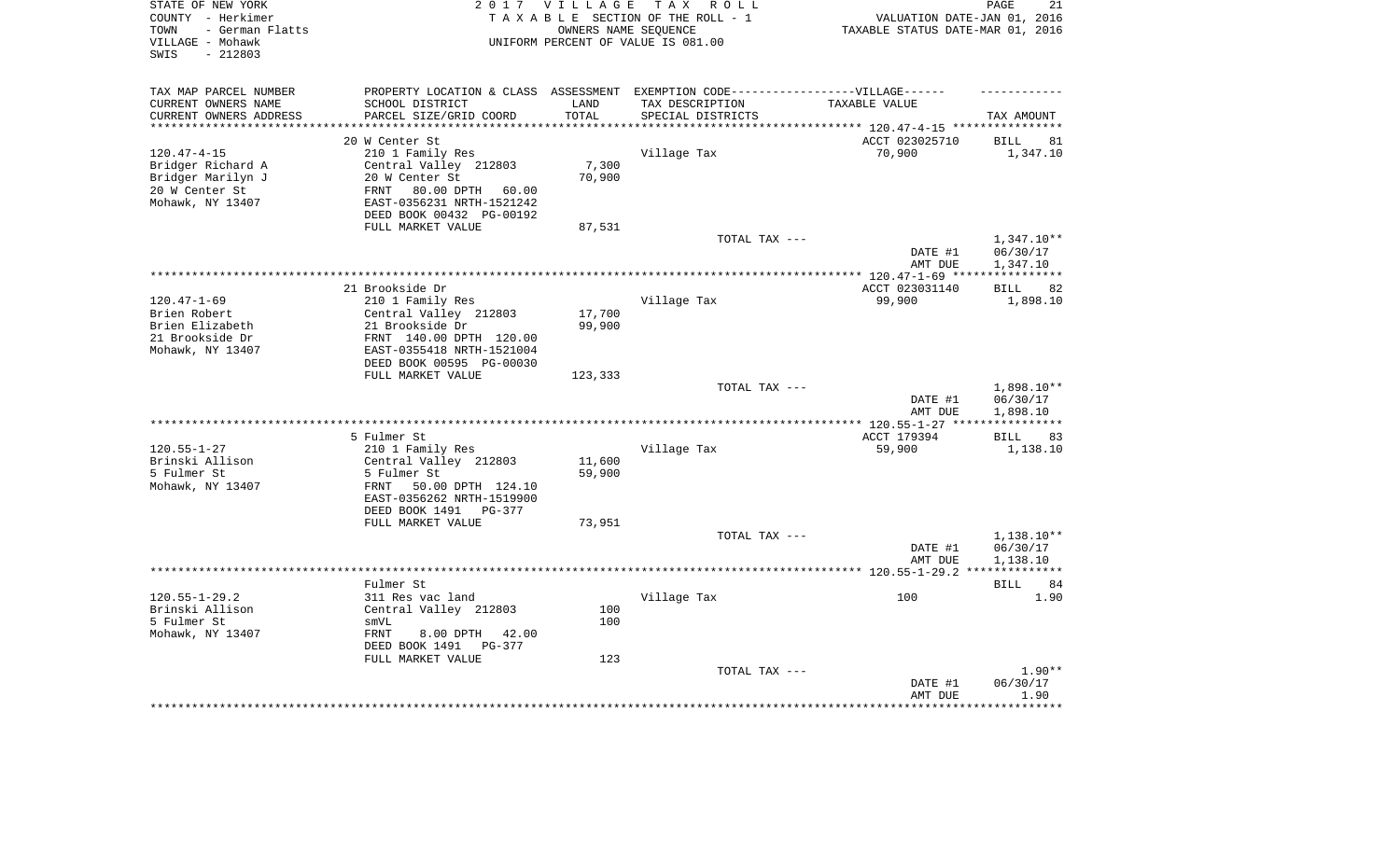| STATE OF NEW YORK<br>COUNTY - Herkimer<br>- German Flatts<br>TOWN<br>VILLAGE - Mohawk<br>$-212803$<br>SWIS |                                                      | 2017 VILLAGE  | TAX ROLL<br>TAXABLE SECTION OF THE ROLL - 1<br>OWNERS NAME SEOUENCE<br>UNIFORM PERCENT OF VALUE IS 081.00 | VALUATION DATE-JAN 01, 2016<br>TAXABLE STATUS DATE-MAR 01, 2016     | PAGE<br>21                        |
|------------------------------------------------------------------------------------------------------------|------------------------------------------------------|---------------|-----------------------------------------------------------------------------------------------------------|---------------------------------------------------------------------|-----------------------------------|
| TAX MAP PARCEL NUMBER                                                                                      |                                                      |               | PROPERTY LOCATION & CLASS ASSESSMENT EXEMPTION CODE-----------------VILLAGE------                         |                                                                     |                                   |
| CURRENT OWNERS NAME<br>CURRENT OWNERS ADDRESS                                                              | SCHOOL DISTRICT<br>PARCEL SIZE/GRID COORD            | LAND<br>TOTAL | TAX DESCRIPTION<br>SPECIAL DISTRICTS                                                                      | TAXABLE VALUE                                                       | TAX AMOUNT                        |
|                                                                                                            | 20 W Center St                                       |               |                                                                                                           | ************************* 120.47-4-15 ***********<br>ACCT 023025710 | <b>BILL</b><br>81                 |
| $120.47 - 4 - 15$                                                                                          | 210 1 Family Res                                     |               | Village Tax                                                                                               | 70,900                                                              | 1,347.10                          |
| Bridger Richard A                                                                                          | Central Valley 212803                                | 7,300         |                                                                                                           |                                                                     |                                   |
| Bridger Marilyn J                                                                                          | 20 W Center St                                       | 70,900        |                                                                                                           |                                                                     |                                   |
| 20 W Center St                                                                                             | 80.00 DPTH 60.00<br>FRNT                             |               |                                                                                                           |                                                                     |                                   |
| Mohawk, NY 13407                                                                                           | EAST-0356231 NRTH-1521242                            |               |                                                                                                           |                                                                     |                                   |
|                                                                                                            | DEED BOOK 00432 PG-00192                             |               |                                                                                                           |                                                                     |                                   |
|                                                                                                            | FULL MARKET VALUE                                    | 87,531        |                                                                                                           |                                                                     |                                   |
|                                                                                                            |                                                      |               | TOTAL TAX ---                                                                                             | DATE #1                                                             | $1,347.10**$<br>06/30/17          |
|                                                                                                            |                                                      |               |                                                                                                           | AMT DUE                                                             | 1,347.10                          |
|                                                                                                            |                                                      |               |                                                                                                           |                                                                     | * * * * * * * * * * * *           |
|                                                                                                            | 21 Brookside Dr                                      |               |                                                                                                           | ACCT 023031140                                                      | 82<br><b>BILL</b>                 |
| $120.47 - 1 - 69$                                                                                          | 210 1 Family Res                                     |               | Village Tax                                                                                               | 99,900                                                              | 1,898.10                          |
| Brien Robert                                                                                               | Central Valley 212803                                | 17,700        |                                                                                                           |                                                                     |                                   |
| Brien Elizabeth                                                                                            | 21 Brookside Dr                                      | 99,900        |                                                                                                           |                                                                     |                                   |
| 21 Brookside Dr<br>Mohawk, NY 13407                                                                        | FRNT 140.00 DPTH 120.00<br>EAST-0355418 NRTH-1521004 |               |                                                                                                           |                                                                     |                                   |
|                                                                                                            | DEED BOOK 00595 PG-00030                             |               |                                                                                                           |                                                                     |                                   |
|                                                                                                            | FULL MARKET VALUE                                    | 123,333       |                                                                                                           |                                                                     |                                   |
|                                                                                                            |                                                      |               | TOTAL TAX ---                                                                                             |                                                                     | 1,898.10**                        |
|                                                                                                            |                                                      |               |                                                                                                           | DATE #1                                                             | 06/30/17                          |
|                                                                                                            |                                                      |               | **************************                                                                                | AMT DUE                                                             | 1,898.10<br>* * * * * * * * * * * |
|                                                                                                            | 5 Fulmer St                                          |               |                                                                                                           | ** 120.55-1-27 ***<br>ACCT 179394                                   | <b>BILL</b><br>83                 |
| $120.55 - 1 - 27$                                                                                          | 210 1 Family Res                                     |               | Village Tax                                                                                               | 59,900                                                              | 1,138.10                          |
| Brinski Allison                                                                                            | Central Valley 212803                                | 11,600        |                                                                                                           |                                                                     |                                   |
| 5 Fulmer St                                                                                                | 5 Fulmer St                                          | 59,900        |                                                                                                           |                                                                     |                                   |
| Mohawk, NY 13407                                                                                           | FRNT<br>50.00 DPTH 124.10                            |               |                                                                                                           |                                                                     |                                   |
|                                                                                                            | EAST-0356262 NRTH-1519900                            |               |                                                                                                           |                                                                     |                                   |
|                                                                                                            | DEED BOOK 1491 PG-377                                |               |                                                                                                           |                                                                     |                                   |
|                                                                                                            | FULL MARKET VALUE                                    | 73,951        | TOTAL TAX ---                                                                                             |                                                                     | 1,138.10**                        |
|                                                                                                            |                                                      |               |                                                                                                           | DATE #1                                                             | 06/30/17                          |
|                                                                                                            |                                                      |               |                                                                                                           | AMT DUE                                                             | 1,138.10                          |
|                                                                                                            |                                                      |               |                                                                                                           |                                                                     | ***********                       |
|                                                                                                            | Fulmer St                                            |               |                                                                                                           |                                                                     | 84<br>BILL                        |
| $120.55 - 1 - 29.2$                                                                                        | 311 Res vac land                                     |               | Village Tax                                                                                               | 100                                                                 | 1.90                              |
| Brinski Allison<br>5 Fulmer St                                                                             | Central Valley 212803<br>smVL                        | 100<br>100    |                                                                                                           |                                                                     |                                   |
| Mohawk, NY 13407                                                                                           | <b>FRNT</b><br>8.00 DPTH<br>42.00                    |               |                                                                                                           |                                                                     |                                   |
|                                                                                                            | DEED BOOK 1491 PG-377                                |               |                                                                                                           |                                                                     |                                   |
|                                                                                                            | FULL MARKET VALUE                                    | 123           |                                                                                                           |                                                                     |                                   |
|                                                                                                            |                                                      |               | TOTAL TAX ---                                                                                             |                                                                     | $1.90**$                          |
|                                                                                                            |                                                      |               |                                                                                                           | DATE #1                                                             | 06/30/17                          |
|                                                                                                            |                                                      |               |                                                                                                           | AMT DUE                                                             | 1.90                              |
|                                                                                                            |                                                      |               |                                                                                                           |                                                                     |                                   |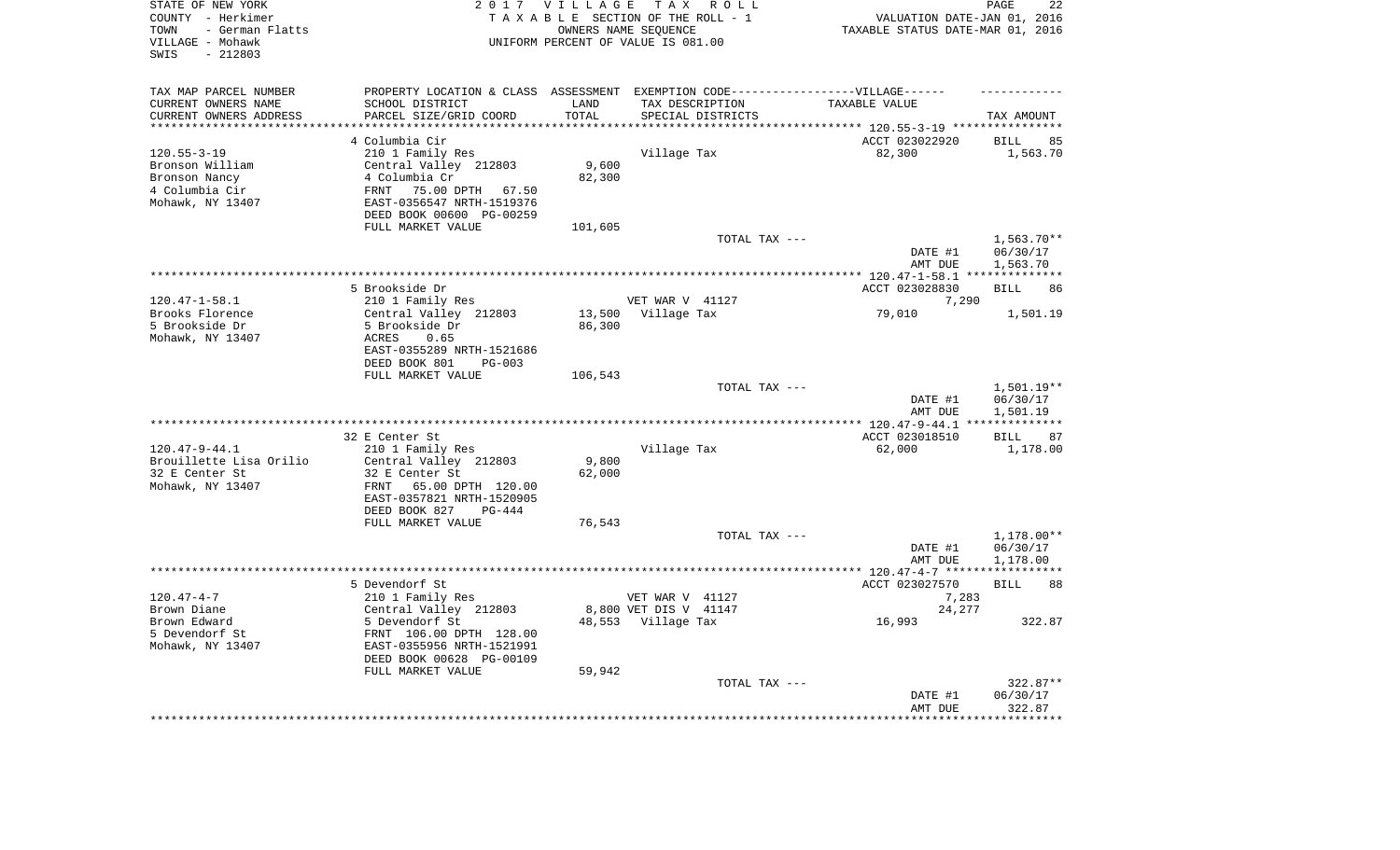| STATE OF NEW YORK<br>COUNTY - Herkimer<br>- German Flatts<br>TOWN<br>VILLAGE - Mohawk<br>SWIS<br>$-212803$ |                                                                                   | 2017 VILLAGE           | TAX ROLL<br>TAXABLE SECTION OF THE ROLL - 1<br>OWNERS NAME SEQUENCE<br>UNIFORM PERCENT OF VALUE IS 081.00 | VALUATION DATE-JAN 01, 2016<br>TAXABLE STATUS DATE-MAR 01, 2016 | PAGE<br>22                    |
|------------------------------------------------------------------------------------------------------------|-----------------------------------------------------------------------------------|------------------------|-----------------------------------------------------------------------------------------------------------|-----------------------------------------------------------------|-------------------------------|
| TAX MAP PARCEL NUMBER                                                                                      | PROPERTY LOCATION & CLASS ASSESSMENT EXEMPTION CODE-----------------VILLAGE------ |                        |                                                                                                           |                                                                 |                               |
| CURRENT OWNERS NAME                                                                                        | SCHOOL DISTRICT                                                                   | LAND                   | TAX DESCRIPTION                                                                                           | TAXABLE VALUE                                                   |                               |
| CURRENT OWNERS ADDRESS<br>*********************                                                            | PARCEL SIZE/GRID COORD<br>************************                                | TOTAL<br>************* | SPECIAL DISTRICTS                                                                                         |                                                                 | TAX AMOUNT                    |
|                                                                                                            | 4 Columbia Cir                                                                    |                        |                                                                                                           | ******************************* 120.55-3-19 *****************   |                               |
| $120.55 - 3 - 19$                                                                                          | 210 1 Family Res                                                                  |                        | Village Tax                                                                                               | ACCT 023022920<br>82,300                                        | <b>BILL</b><br>85<br>1,563.70 |
| Bronson William                                                                                            | Central Valley 212803                                                             | 9,600                  |                                                                                                           |                                                                 |                               |
| Bronson Nancy                                                                                              | 4 Columbia Cr                                                                     | 82,300                 |                                                                                                           |                                                                 |                               |
| 4 Columbia Cir                                                                                             | 75.00 DPTH 67.50<br>FRNT                                                          |                        |                                                                                                           |                                                                 |                               |
| Mohawk, NY 13407                                                                                           | EAST-0356547 NRTH-1519376                                                         |                        |                                                                                                           |                                                                 |                               |
|                                                                                                            | DEED BOOK 00600 PG-00259                                                          |                        |                                                                                                           |                                                                 |                               |
|                                                                                                            | FULL MARKET VALUE                                                                 | 101,605                |                                                                                                           |                                                                 |                               |
|                                                                                                            |                                                                                   |                        | TOTAL TAX ---                                                                                             |                                                                 | 1,563.70**                    |
|                                                                                                            |                                                                                   |                        |                                                                                                           | DATE #1                                                         | 06/30/17                      |
|                                                                                                            |                                                                                   |                        |                                                                                                           | AMT DUE<br>************ 120.47-1-58.1 ***************           | 1,563.70                      |
|                                                                                                            | 5 Brookside Dr                                                                    |                        |                                                                                                           | ACCT 023028830                                                  | <b>BILL</b><br>86             |
| $120.47 - 1 - 58.1$                                                                                        | 210 1 Family Res                                                                  |                        | VET WAR V 41127                                                                                           | 7,290                                                           |                               |
| Brooks Florence                                                                                            | Central Valley 212803                                                             | 13,500                 | Village Tax                                                                                               | 79,010                                                          | 1,501.19                      |
| 5 Brookside Dr                                                                                             | 5 Brookside Dr                                                                    | 86,300                 |                                                                                                           |                                                                 |                               |
| Mohawk, NY 13407                                                                                           | 0.65<br>ACRES                                                                     |                        |                                                                                                           |                                                                 |                               |
|                                                                                                            | EAST-0355289 NRTH-1521686                                                         |                        |                                                                                                           |                                                                 |                               |
|                                                                                                            | DEED BOOK 801<br>$PG-003$                                                         |                        |                                                                                                           |                                                                 |                               |
|                                                                                                            | FULL MARKET VALUE                                                                 | 106,543                | TOTAL TAX ---                                                                                             |                                                                 | 1,501.19**                    |
|                                                                                                            |                                                                                   |                        |                                                                                                           | DATE #1                                                         | 06/30/17                      |
|                                                                                                            |                                                                                   |                        |                                                                                                           | AMT DUE                                                         | 1,501.19                      |
|                                                                                                            |                                                                                   |                        | **********************                                                                                    | ****** 120.47-9-44.1                                            |                               |
|                                                                                                            | 32 E Center St                                                                    |                        |                                                                                                           | ACCT 023018510                                                  | 87<br><b>BILL</b>             |
| $120.47 - 9 - 44.1$                                                                                        | 210 1 Family Res                                                                  |                        | Village Tax                                                                                               | 62,000                                                          | 1,178.00                      |
| Brouillette Lisa Orilio                                                                                    | Central Valley 212803                                                             | 9,800                  |                                                                                                           |                                                                 |                               |
| 32 E Center St                                                                                             | 32 E Center St                                                                    | 62,000                 |                                                                                                           |                                                                 |                               |
| Mohawk, NY 13407                                                                                           | FRNT<br>65.00 DPTH 120.00<br>EAST-0357821 NRTH-1520905                            |                        |                                                                                                           |                                                                 |                               |
|                                                                                                            | DEED BOOK 827<br>PG-444                                                           |                        |                                                                                                           |                                                                 |                               |
|                                                                                                            | FULL MARKET VALUE                                                                 | 76,543                 |                                                                                                           |                                                                 |                               |
|                                                                                                            |                                                                                   |                        | TOTAL TAX ---                                                                                             |                                                                 | 1,178.00**                    |
|                                                                                                            |                                                                                   |                        |                                                                                                           | DATE #1                                                         | 06/30/17                      |
|                                                                                                            |                                                                                   |                        |                                                                                                           | AMT DUE                                                         | 1,178.00                      |
|                                                                                                            |                                                                                   |                        |                                                                                                           |                                                                 |                               |
|                                                                                                            | 5 Devendorf St                                                                    |                        |                                                                                                           | ACCT 023027570                                                  | <b>BILL</b><br>88             |
| $120.47 - 4 - 7$<br>Brown Diane                                                                            | 210 1 Family Res<br>Central Valley 212803                                         |                        | VET WAR V 41127<br>8,800 VET DIS V 41147                                                                  | 7,283<br>24,277                                                 |                               |
| Brown Edward                                                                                               | 5 Devendorf St                                                                    |                        | 48,553 Village Tax                                                                                        | 16,993                                                          | 322.87                        |
| 5 Devendorf St                                                                                             | FRNT 106.00 DPTH 128.00                                                           |                        |                                                                                                           |                                                                 |                               |
| Mohawk, NY 13407                                                                                           | EAST-0355956 NRTH-1521991                                                         |                        |                                                                                                           |                                                                 |                               |
|                                                                                                            | DEED BOOK 00628 PG-00109                                                          |                        |                                                                                                           |                                                                 |                               |
|                                                                                                            | FULL MARKET VALUE                                                                 | 59,942                 |                                                                                                           |                                                                 |                               |
|                                                                                                            |                                                                                   |                        | TOTAL TAX ---                                                                                             |                                                                 | 322.87**                      |
|                                                                                                            |                                                                                   |                        |                                                                                                           | DATE #1                                                         | 06/30/17                      |
|                                                                                                            |                                                                                   |                        |                                                                                                           | AMT DUE                                                         | 322.87                        |
|                                                                                                            |                                                                                   |                        |                                                                                                           |                                                                 |                               |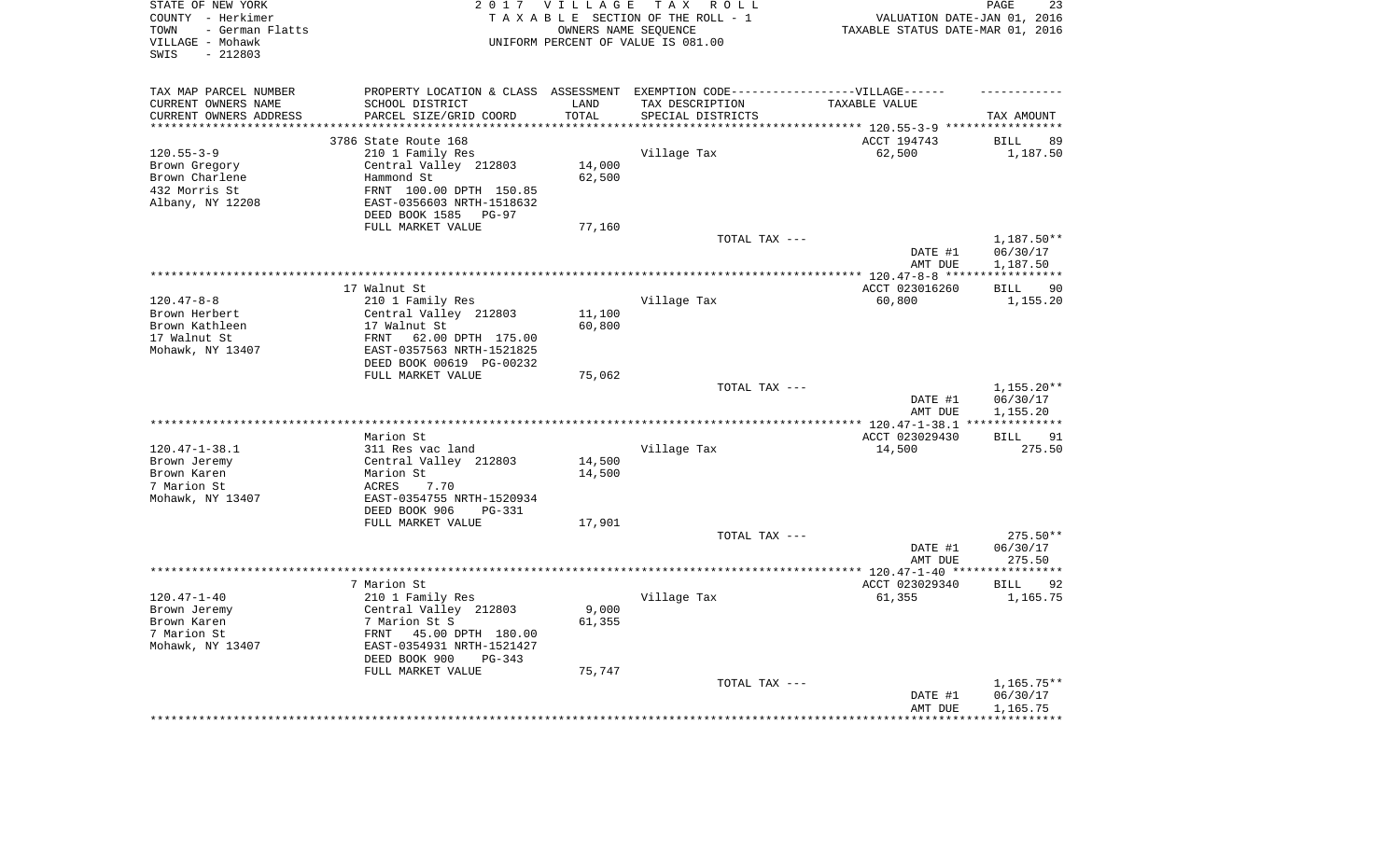| STATE OF NEW YORK<br>COUNTY - Herkimer<br>- German Flatts<br>TOWN<br>VILLAGE - Mohawk<br>$-212803$<br>SWIS |                                                                                   | 2017 VILLAGE<br>OWNERS NAME SEQUENCE | TAX ROLL<br>TAXABLE SECTION OF THE ROLL - 1<br>UNIFORM PERCENT OF VALUE IS 081.00 | VALUATION DATE-JAN 01, 2016<br>TAXABLE STATUS DATE-MAR 01, 2016 | 23<br>PAGE                    |
|------------------------------------------------------------------------------------------------------------|-----------------------------------------------------------------------------------|--------------------------------------|-----------------------------------------------------------------------------------|-----------------------------------------------------------------|-------------------------------|
| TAX MAP PARCEL NUMBER                                                                                      | PROPERTY LOCATION & CLASS ASSESSMENT EXEMPTION CODE-----------------VILLAGE------ |                                      |                                                                                   |                                                                 |                               |
| CURRENT OWNERS NAME                                                                                        | SCHOOL DISTRICT                                                                   | LAND                                 | TAX DESCRIPTION                                                                   | TAXABLE VALUE                                                   |                               |
| CURRENT OWNERS ADDRESS<br>********************                                                             | PARCEL SIZE/GRID COORD<br>************************                                | TOTAL<br>*********                   | SPECIAL DISTRICTS                                                                 | *************************** 120.55-3-9 *****                    | TAX AMOUNT<br>************    |
|                                                                                                            | 3786 State Route 168                                                              |                                      |                                                                                   | ACCT 194743                                                     | <b>BILL</b><br>89             |
| $120.55 - 3 - 9$                                                                                           | 210 1 Family Res                                                                  |                                      | Village Tax                                                                       | 62,500                                                          | 1,187.50                      |
| Brown Gregory                                                                                              | Central Valley 212803                                                             | 14,000                               |                                                                                   |                                                                 |                               |
| Brown Charlene                                                                                             | Hammond St                                                                        | 62,500                               |                                                                                   |                                                                 |                               |
| 432 Morris St                                                                                              | FRNT 100.00 DPTH 150.85                                                           |                                      |                                                                                   |                                                                 |                               |
| Albany, NY 12208                                                                                           | EAST-0356603 NRTH-1518632                                                         |                                      |                                                                                   |                                                                 |                               |
|                                                                                                            | DEED BOOK 1585 PG-97                                                              |                                      |                                                                                   |                                                                 |                               |
|                                                                                                            | FULL MARKET VALUE                                                                 | 77,160                               |                                                                                   |                                                                 |                               |
|                                                                                                            |                                                                                   |                                      | TOTAL TAX ---                                                                     | DATE #1                                                         | 1,187.50**                    |
|                                                                                                            |                                                                                   |                                      |                                                                                   | AMT DUE                                                         | 06/30/17<br>1,187.50          |
|                                                                                                            |                                                                                   |                                      |                                                                                   | ************ 120.47-8-8 *****                                   | * * * * * * * * * * *         |
|                                                                                                            | 17 Walnut St                                                                      |                                      |                                                                                   | ACCT 023016260                                                  | 90<br><b>BILL</b>             |
| $120.47 - 8 - 8$                                                                                           | 210 1 Family Res                                                                  |                                      | Village Tax                                                                       | 60,800                                                          | 1,155.20                      |
| Brown Herbert                                                                                              | Central Valley 212803                                                             | 11,100                               |                                                                                   |                                                                 |                               |
| Brown Kathleen                                                                                             | 17 Walnut St                                                                      | 60,800                               |                                                                                   |                                                                 |                               |
| 17 Walnut St                                                                                               | FRNT<br>62.00 DPTH 175.00                                                         |                                      |                                                                                   |                                                                 |                               |
| Mohawk, NY 13407                                                                                           | EAST-0357563 NRTH-1521825<br>DEED BOOK 00619 PG-00232                             |                                      |                                                                                   |                                                                 |                               |
|                                                                                                            | FULL MARKET VALUE                                                                 | 75,062                               |                                                                                   |                                                                 |                               |
|                                                                                                            |                                                                                   |                                      | TOTAL TAX ---                                                                     |                                                                 | $1,155.20**$                  |
|                                                                                                            |                                                                                   |                                      |                                                                                   | DATE #1<br>AMT DUE                                              | 06/30/17<br>1,155.20          |
|                                                                                                            |                                                                                   |                                      |                                                                                   | *** $120.47 - 1 - 38.1$                                         |                               |
|                                                                                                            | Marion St                                                                         |                                      |                                                                                   | ACCT 023029430                                                  | 91<br>BILL                    |
| $120.47 - 1 - 38.1$                                                                                        | 311 Res vac land                                                                  |                                      | Village Tax                                                                       | 14,500                                                          | 275.50                        |
| Brown Jeremy                                                                                               | Central Valley 212803                                                             | 14,500                               |                                                                                   |                                                                 |                               |
| Brown Karen<br>7 Marion St                                                                                 | Marion St                                                                         | 14,500                               |                                                                                   |                                                                 |                               |
| Mohawk, NY 13407                                                                                           | ACRES<br>7.70<br>EAST-0354755 NRTH-1520934                                        |                                      |                                                                                   |                                                                 |                               |
|                                                                                                            | DEED BOOK 906<br>PG-331                                                           |                                      |                                                                                   |                                                                 |                               |
|                                                                                                            | FULL MARKET VALUE                                                                 | 17,901                               |                                                                                   |                                                                 |                               |
|                                                                                                            |                                                                                   |                                      | TOTAL TAX ---                                                                     |                                                                 | $275.50**$                    |
|                                                                                                            |                                                                                   |                                      |                                                                                   | DATE #1                                                         | 06/30/17                      |
|                                                                                                            |                                                                                   |                                      |                                                                                   | AMT DUE                                                         | 275.50                        |
|                                                                                                            |                                                                                   |                                      |                                                                                   |                                                                 |                               |
| $120.47 - 1 - 40$                                                                                          | 7 Marion St<br>210 1 Family Res                                                   |                                      | Village Tax                                                                       | ACCT 023029340                                                  | <b>BILL</b><br>92<br>1,165.75 |
| Brown Jeremy                                                                                               | Central Valley 212803                                                             | 9,000                                |                                                                                   | 61,355                                                          |                               |
| Brown Karen                                                                                                | 7 Marion St S                                                                     | 61,355                               |                                                                                   |                                                                 |                               |
| 7 Marion St                                                                                                | 45.00 DPTH 180.00<br>FRNT                                                         |                                      |                                                                                   |                                                                 |                               |
| Mohawk, NY 13407                                                                                           | EAST-0354931 NRTH-1521427                                                         |                                      |                                                                                   |                                                                 |                               |
|                                                                                                            | DEED BOOK 900<br>PG-343                                                           |                                      |                                                                                   |                                                                 |                               |
|                                                                                                            | FULL MARKET VALUE                                                                 | 75,747                               |                                                                                   |                                                                 |                               |
|                                                                                                            |                                                                                   |                                      | TOTAL TAX ---                                                                     |                                                                 | $1,165.75**$                  |
|                                                                                                            |                                                                                   |                                      |                                                                                   | DATE #1<br>AMT DUE                                              | 06/30/17<br>1,165.75          |
|                                                                                                            |                                                                                   |                                      |                                                                                   |                                                                 |                               |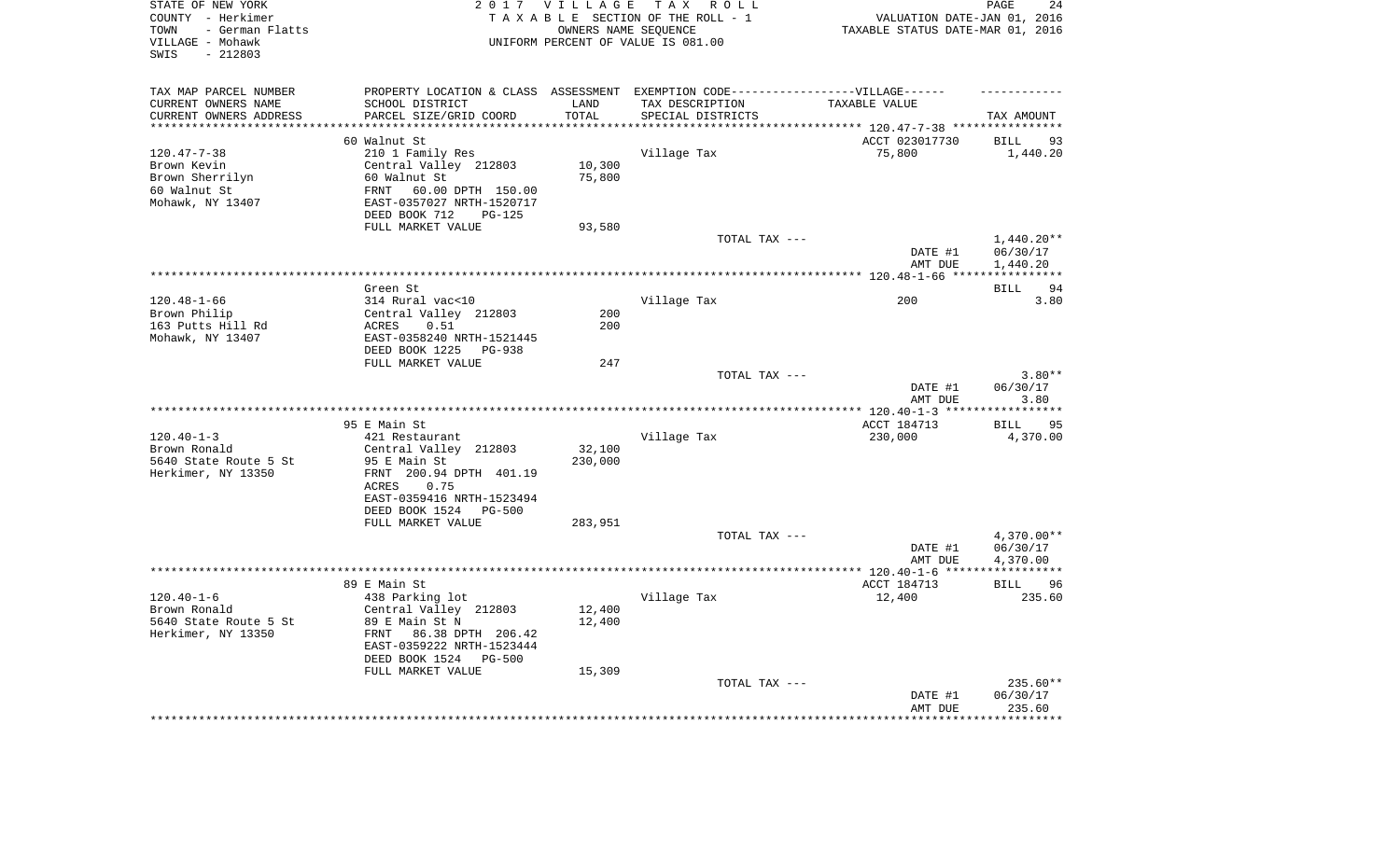| STATE OF NEW YORK<br>COUNTY - Herkimer<br>- German Flatts<br>TOWN<br>VILLAGE - Mohawk<br>SWIS<br>$-212803$ |                                                                                   | 2017 VILLAGE      | TAX ROLL<br>TAXABLE SECTION OF THE ROLL - 1<br>OWNERS NAME SEQUENCE<br>UNIFORM PERCENT OF VALUE IS 081.00 | VALUATION DATE-JAN 01, 2016<br>TAXABLE STATUS DATE-MAR 01, 2016 | PAGE<br>24            |
|------------------------------------------------------------------------------------------------------------|-----------------------------------------------------------------------------------|-------------------|-----------------------------------------------------------------------------------------------------------|-----------------------------------------------------------------|-----------------------|
| TAX MAP PARCEL NUMBER                                                                                      | PROPERTY LOCATION & CLASS ASSESSMENT EXEMPTION CODE-----------------VILLAGE------ |                   |                                                                                                           |                                                                 |                       |
| CURRENT OWNERS NAME                                                                                        | SCHOOL DISTRICT<br>PARCEL SIZE/GRID COORD                                         | LAND<br>TOTAL     | TAX DESCRIPTION                                                                                           | TAXABLE VALUE                                                   |                       |
| CURRENT OWNERS ADDRESS<br>*********************                                                            | ***************************                                                       | ***************   | SPECIAL DISTRICTS                                                                                         |                                                                 | TAX AMOUNT            |
|                                                                                                            | 60 Walnut St                                                                      |                   |                                                                                                           | ACCT 023017730                                                  | <b>BILL</b><br>93     |
| $120.47 - 7 - 38$                                                                                          | 210 1 Family Res                                                                  |                   | Village Tax                                                                                               | 75,800                                                          | 1,440.20              |
| Brown Kevin                                                                                                | Central Valley 212803                                                             | 10,300            |                                                                                                           |                                                                 |                       |
| Brown Sherrilyn                                                                                            | 60 Walnut St                                                                      | 75,800            |                                                                                                           |                                                                 |                       |
| 60 Walnut St                                                                                               | 60.00 DPTH 150.00<br>FRNT                                                         |                   |                                                                                                           |                                                                 |                       |
| Mohawk, NY 13407                                                                                           | EAST-0357027 NRTH-1520717                                                         |                   |                                                                                                           |                                                                 |                       |
|                                                                                                            | DEED BOOK 712<br>PG-125                                                           |                   |                                                                                                           |                                                                 |                       |
|                                                                                                            | FULL MARKET VALUE                                                                 | 93,580            | TOTAL TAX ---                                                                                             |                                                                 | $1,440.20**$          |
|                                                                                                            |                                                                                   |                   |                                                                                                           | DATE #1                                                         | 06/30/17              |
|                                                                                                            |                                                                                   |                   |                                                                                                           | AMT DUE                                                         | 1,440.20              |
|                                                                                                            |                                                                                   |                   |                                                                                                           |                                                                 | ***********           |
|                                                                                                            | Green St                                                                          |                   |                                                                                                           |                                                                 | 94<br><b>BILL</b>     |
| $120.48 - 1 - 66$                                                                                          | 314 Rural vac<10                                                                  |                   | Village Tax                                                                                               | 200                                                             | 3.80                  |
| Brown Philip                                                                                               | Central Valley 212803                                                             | 200               |                                                                                                           |                                                                 |                       |
| 163 Putts Hill Rd                                                                                          | ACRES<br>0.51                                                                     | 200               |                                                                                                           |                                                                 |                       |
| Mohawk, NY 13407                                                                                           | EAST-0358240 NRTH-1521445                                                         |                   |                                                                                                           |                                                                 |                       |
|                                                                                                            | DEED BOOK 1225 PG-938<br>FULL MARKET VALUE                                        | 247               |                                                                                                           |                                                                 |                       |
|                                                                                                            |                                                                                   |                   | TOTAL TAX ---                                                                                             |                                                                 | $3.80**$              |
|                                                                                                            |                                                                                   |                   |                                                                                                           | DATE #1<br>AMT DUE                                              | 06/30/17<br>3.80      |
|                                                                                                            |                                                                                   |                   |                                                                                                           |                                                                 | * * * * * * * * * * * |
|                                                                                                            | 95 E Main St                                                                      |                   |                                                                                                           | ACCT 184713                                                     | <b>BILL</b><br>95     |
| $120.40 - 1 - 3$                                                                                           | 421 Restaurant                                                                    |                   | Village Tax                                                                                               | 230,000                                                         | 4,370.00              |
| Brown Ronald<br>5640 State Route 5 St                                                                      | Central Valley 212803<br>95 E Main St                                             | 32,100<br>230,000 |                                                                                                           |                                                                 |                       |
| Herkimer, NY 13350                                                                                         | FRNT 200.94 DPTH 401.19                                                           |                   |                                                                                                           |                                                                 |                       |
|                                                                                                            | 0.75<br>ACRES                                                                     |                   |                                                                                                           |                                                                 |                       |
|                                                                                                            | EAST-0359416 NRTH-1523494                                                         |                   |                                                                                                           |                                                                 |                       |
|                                                                                                            | DEED BOOK 1524 PG-500                                                             |                   |                                                                                                           |                                                                 |                       |
|                                                                                                            | FULL MARKET VALUE                                                                 | 283,951           |                                                                                                           |                                                                 |                       |
|                                                                                                            |                                                                                   |                   | TOTAL TAX ---                                                                                             |                                                                 | $4,370.00**$          |
|                                                                                                            |                                                                                   |                   |                                                                                                           | DATE #1<br>AMT DUE                                              | 06/30/17<br>4,370.00  |
|                                                                                                            |                                                                                   |                   |                                                                                                           |                                                                 | ************          |
|                                                                                                            | 89 E Main St                                                                      |                   |                                                                                                           | ACCT 184713                                                     | <b>BILL</b><br>96     |
| $120.40 - 1 - 6$                                                                                           | 438 Parking lot                                                                   |                   | Village Tax                                                                                               | 12,400                                                          | 235.60                |
| Brown Ronald<br>5640 State Route 5 St                                                                      | Central Valley 212803<br>89 E Main St N                                           | 12,400<br>12,400  |                                                                                                           |                                                                 |                       |
| Herkimer, NY 13350                                                                                         | FRNT 86.38 DPTH 206.42<br>EAST-0359222 NRTH-1523444<br>DEED BOOK 1524<br>$PG-500$ |                   |                                                                                                           |                                                                 |                       |
|                                                                                                            | FULL MARKET VALUE                                                                 | 15,309            |                                                                                                           |                                                                 |                       |
|                                                                                                            |                                                                                   |                   | TOTAL TAX ---                                                                                             | DATE #1                                                         | 235.60**<br>06/30/17  |
|                                                                                                            |                                                                                   |                   |                                                                                                           | AMT DUE                                                         | 235.60<br>*******     |
|                                                                                                            |                                                                                   |                   |                                                                                                           |                                                                 |                       |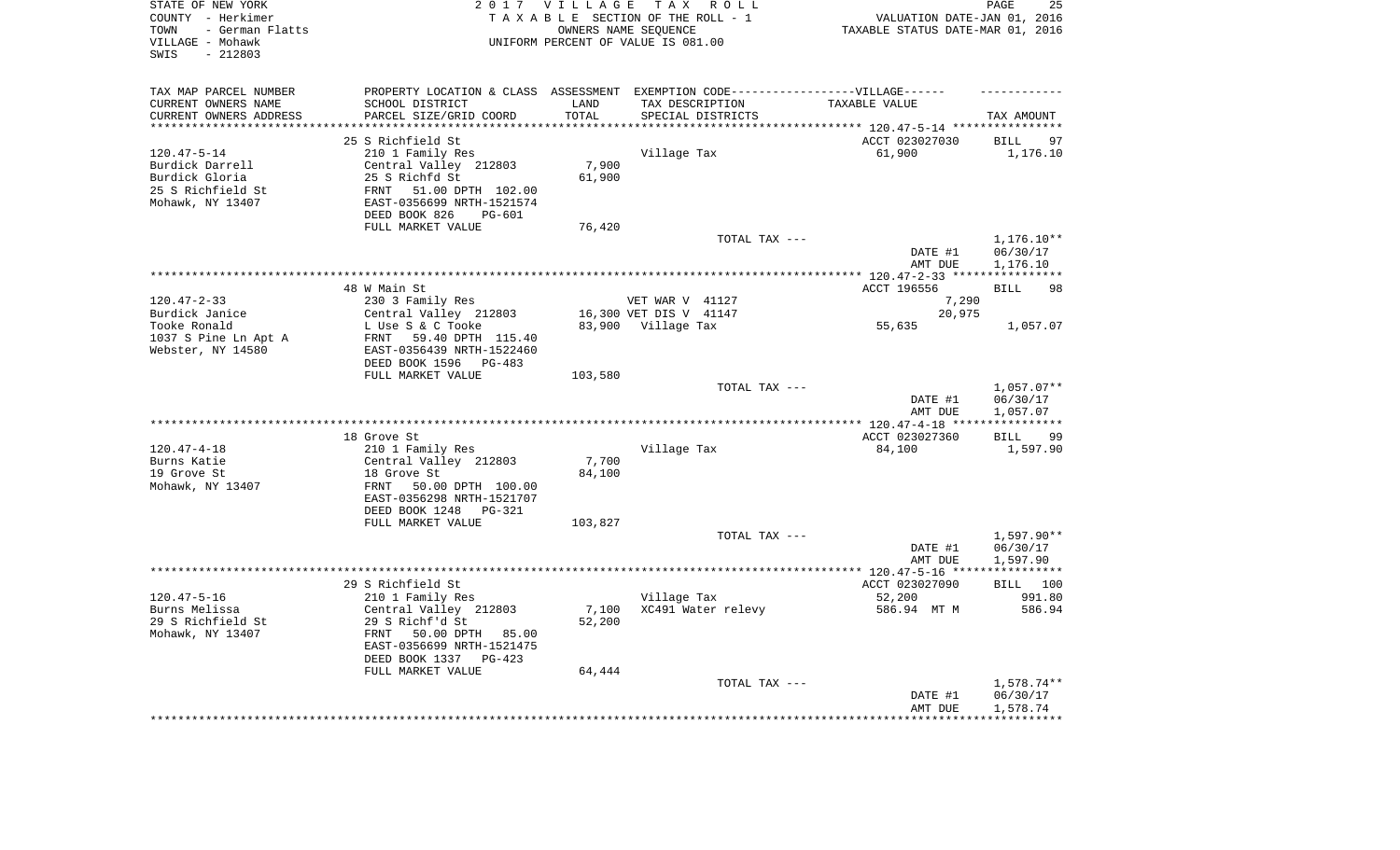| STATE OF NEW YORK<br>COUNTY - Herkimer<br>- German Flatts<br>TOWN<br>VILLAGE - Mohawk<br>$-212803$<br>SWIS |                                                      | 2017 VILLAGE        | TAX ROLL<br>TAXABLE SECTION OF THE ROLL - 1<br>OWNERS NAME SEQUENCE<br>UNIFORM PERCENT OF VALUE IS 081.00 | VALUATION DATE-JAN 01, 2016<br>TAXABLE STATUS DATE-MAR 01, 2016 | PAGE<br>25                    |
|------------------------------------------------------------------------------------------------------------|------------------------------------------------------|---------------------|-----------------------------------------------------------------------------------------------------------|-----------------------------------------------------------------|-------------------------------|
| TAX MAP PARCEL NUMBER                                                                                      |                                                      |                     | PROPERTY LOCATION & CLASS ASSESSMENT EXEMPTION CODE-----------------VILLAGE------                         |                                                                 |                               |
| CURRENT OWNERS NAME                                                                                        | SCHOOL DISTRICT                                      | LAND                | TAX DESCRIPTION                                                                                           | TAXABLE VALUE                                                   |                               |
| CURRENT OWNERS ADDRESS<br>*********************                                                            | PARCEL SIZE/GRID COORD<br>************************** | TOTAL<br>********** | SPECIAL DISTRICTS                                                                                         |                                                                 | TAX AMOUNT                    |
|                                                                                                            |                                                      |                     |                                                                                                           |                                                                 |                               |
| $120.47 - 5 - 14$                                                                                          | 25 S Richfield St<br>210 1 Family Res                |                     | Village Tax                                                                                               | ACCT 023027030<br>61,900                                        | <b>BILL</b><br>97<br>1,176.10 |
| Burdick Darrell                                                                                            | Central Valley 212803                                | 7,900               |                                                                                                           |                                                                 |                               |
| Burdick Gloria                                                                                             | 25 S Richfd St                                       | 61,900              |                                                                                                           |                                                                 |                               |
| 25 S Richfield St                                                                                          | 51.00 DPTH 102.00<br>FRNT                            |                     |                                                                                                           |                                                                 |                               |
| Mohawk, NY 13407                                                                                           | EAST-0356699 NRTH-1521574                            |                     |                                                                                                           |                                                                 |                               |
|                                                                                                            | DEED BOOK 826<br><b>PG-601</b>                       |                     |                                                                                                           |                                                                 |                               |
|                                                                                                            | FULL MARKET VALUE                                    | 76,420              |                                                                                                           |                                                                 |                               |
|                                                                                                            |                                                      |                     | TOTAL TAX ---                                                                                             |                                                                 | $1,176.10**$                  |
|                                                                                                            |                                                      |                     |                                                                                                           | DATE #1<br>AMT DUE                                              | 06/30/17<br>1,176.10          |
|                                                                                                            |                                                      |                     |                                                                                                           |                                                                 |                               |
|                                                                                                            | 48 W Main St                                         |                     |                                                                                                           | ACCT 196556                                                     | 98<br>BILL                    |
| $120.47 - 2 - 33$                                                                                          | 230 3 Family Res                                     |                     | VET WAR V 41127                                                                                           | 7,290                                                           |                               |
| Burdick Janice                                                                                             | Central Valley 212803                                |                     | 16,300 VET DIS V 41147                                                                                    | 20,975                                                          |                               |
| Tooke Ronald                                                                                               | L Use S & C Tooke                                    |                     | 83,900 Village Tax                                                                                        | 55,635                                                          | 1,057.07                      |
| 1037 S Pine Ln Apt A                                                                                       | FRNT 59.40 DPTH 115.40                               |                     |                                                                                                           |                                                                 |                               |
| Webster, NY 14580                                                                                          | EAST-0356439 NRTH-1522460<br>DEED BOOK 1596 PG-483   |                     |                                                                                                           |                                                                 |                               |
|                                                                                                            | FULL MARKET VALUE                                    | 103,580             |                                                                                                           |                                                                 |                               |
|                                                                                                            |                                                      |                     | TOTAL TAX ---                                                                                             |                                                                 | $1,057.07**$                  |
|                                                                                                            |                                                      |                     |                                                                                                           | DATE #1                                                         | 06/30/17                      |
|                                                                                                            |                                                      |                     |                                                                                                           | AMT DUE                                                         | 1,057.07                      |
|                                                                                                            |                                                      |                     |                                                                                                           |                                                                 | * * * * * * * * * * *         |
|                                                                                                            | 18 Grove St                                          |                     |                                                                                                           | ACCT 023027360                                                  | <b>BILL</b><br>-99            |
| $120.47 - 4 - 18$<br>Burns Katie                                                                           | 210 1 Family Res<br>Central Valley 212803            | 7,700               | Village Tax                                                                                               | 84,100                                                          | 1,597.90                      |
| 19 Grove St                                                                                                | 18 Grove St                                          | 84,100              |                                                                                                           |                                                                 |                               |
| Mohawk, NY 13407                                                                                           | FRNT<br>50.00 DPTH 100.00                            |                     |                                                                                                           |                                                                 |                               |
|                                                                                                            | EAST-0356298 NRTH-1521707                            |                     |                                                                                                           |                                                                 |                               |
|                                                                                                            | DEED BOOK 1248 PG-321                                |                     |                                                                                                           |                                                                 |                               |
|                                                                                                            | FULL MARKET VALUE                                    | 103,827             |                                                                                                           |                                                                 |                               |
|                                                                                                            |                                                      |                     | TOTAL TAX ---                                                                                             |                                                                 | 1,597.90**                    |
|                                                                                                            |                                                      |                     |                                                                                                           | DATE #1                                                         | 06/30/17                      |
|                                                                                                            |                                                      |                     |                                                                                                           | AMT DUE                                                         | 1,597.90<br>***********       |
|                                                                                                            | 29 S Richfield St                                    |                     |                                                                                                           | ACCT 023027090                                                  | BILL 100                      |
| $120.47 - 5 - 16$                                                                                          | 210 1 Family Res                                     |                     | Village Tax                                                                                               | 52,200                                                          | 991.80                        |
| Burns Melissa                                                                                              | Central Valley 212803                                | 7,100               | XC491 Water relevy                                                                                        | 586.94 MT M                                                     | 586.94                        |
| 29 S Richfield St                                                                                          | 29 S Richf'd St                                      | 52,200              |                                                                                                           |                                                                 |                               |
| Mohawk, NY 13407                                                                                           | FRNT<br>50.00 DPTH 85.00                             |                     |                                                                                                           |                                                                 |                               |
|                                                                                                            | EAST-0356699 NRTH-1521475                            |                     |                                                                                                           |                                                                 |                               |
|                                                                                                            | DEED BOOK 1337<br>PG-423<br>FULL MARKET VALUE        | 64,444              |                                                                                                           |                                                                 |                               |
|                                                                                                            |                                                      |                     | TOTAL TAX ---                                                                                             |                                                                 | 1,578.74**                    |
|                                                                                                            |                                                      |                     |                                                                                                           | DATE #1                                                         | 06/30/17                      |
|                                                                                                            |                                                      |                     |                                                                                                           | AMT DUE                                                         | 1,578.74                      |
|                                                                                                            |                                                      |                     |                                                                                                           |                                                                 | ***********                   |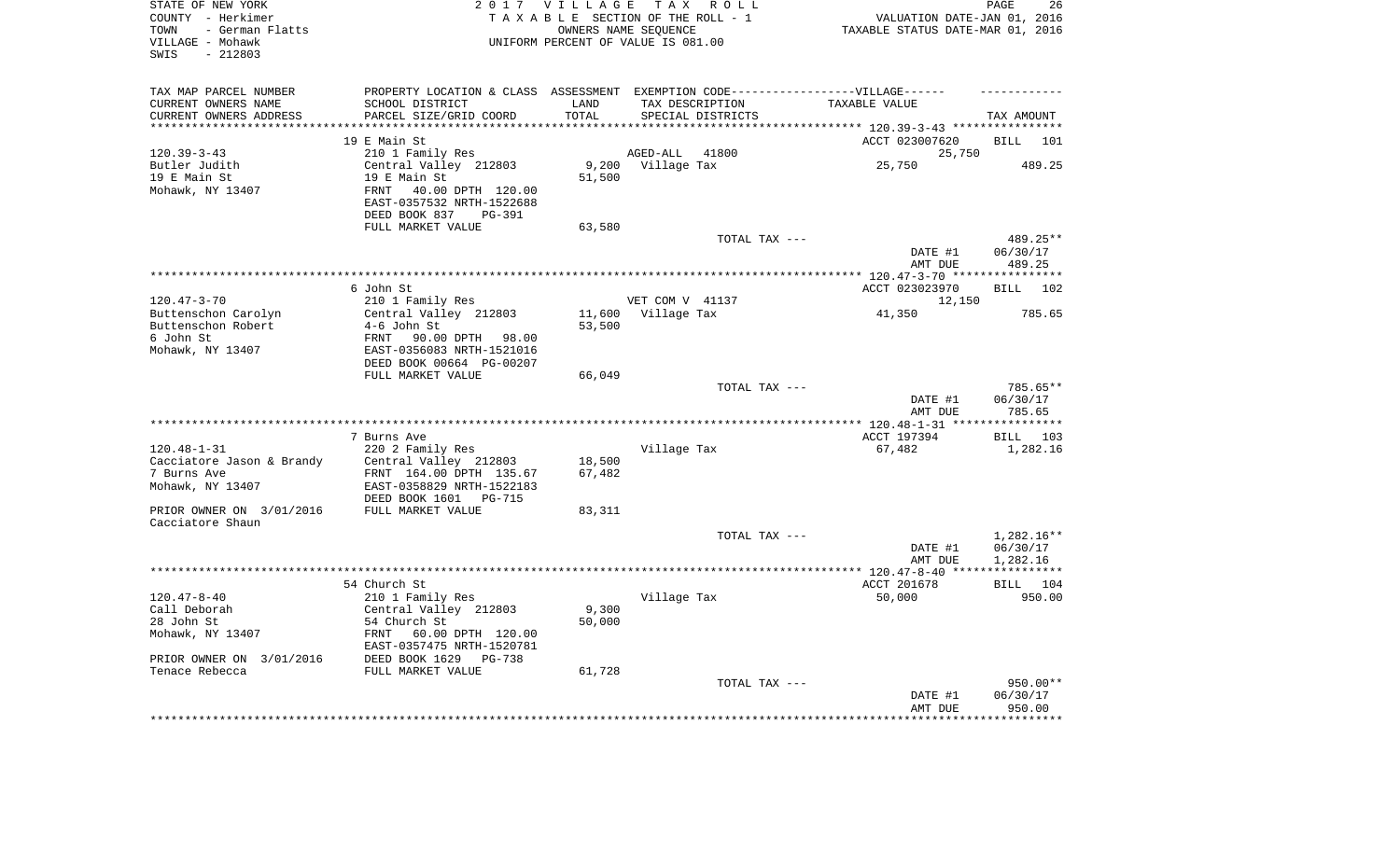| STATE OF NEW YORK<br>COUNTY - Herkimer<br>- German Flatts<br>TOWN<br>VILLAGE - Mohawk<br>$-212803$<br>SWIS |                                                       | 2017 VILLAGE    | TAX ROLL<br>TAXABLE SECTION OF THE ROLL - 1<br>OWNERS NAME SEQUENCE<br>UNIFORM PERCENT OF VALUE IS 081.00 | VALUATION DATE-JAN 01, 2016<br>TAXABLE STATUS DATE-MAR 01, 2016 | PAGE<br>26         |
|------------------------------------------------------------------------------------------------------------|-------------------------------------------------------|-----------------|-----------------------------------------------------------------------------------------------------------|-----------------------------------------------------------------|--------------------|
| TAX MAP PARCEL NUMBER<br>CURRENT OWNERS NAME                                                               | SCHOOL DISTRICT                                       | LAND            | PROPERTY LOCATION & CLASS ASSESSMENT EXEMPTION CODE-----------------VILLAGE------<br>TAX DESCRIPTION      | TAXABLE VALUE                                                   |                    |
| CURRENT OWNERS ADDRESS                                                                                     | PARCEL SIZE/GRID COORD                                | TOTAL           | SPECIAL DISTRICTS                                                                                         |                                                                 | TAX AMOUNT         |
| ***********************                                                                                    | ****************************                          | *************** |                                                                                                           |                                                                 |                    |
|                                                                                                            | 19 E Main St                                          |                 |                                                                                                           | ACCT 023007620                                                  | <b>BILL</b><br>101 |
| $120.39 - 3 - 43$<br>Butler Judith                                                                         | 210 1 Family Res<br>Central Valley 212803             | 9,200           | AGED-ALL<br>41800<br>Village Tax                                                                          | 25,750                                                          | 489.25             |
| 19 E Main St                                                                                               | 19 E Main St                                          | 51,500          |                                                                                                           | 25,750                                                          |                    |
| Mohawk, NY 13407                                                                                           | 40.00 DPTH 120.00<br>FRNT                             |                 |                                                                                                           |                                                                 |                    |
|                                                                                                            | EAST-0357532 NRTH-1522688<br>DEED BOOK 837<br>PG-391  |                 |                                                                                                           |                                                                 |                    |
|                                                                                                            | FULL MARKET VALUE                                     | 63,580          |                                                                                                           |                                                                 |                    |
|                                                                                                            |                                                       |                 | TOTAL TAX ---                                                                                             |                                                                 | 489.25**           |
|                                                                                                            |                                                       |                 |                                                                                                           | DATE #1<br>AMT DUE                                              | 06/30/17<br>489.25 |
|                                                                                                            |                                                       |                 |                                                                                                           |                                                                 |                    |
|                                                                                                            | 6 John St                                             |                 |                                                                                                           | ACCT 023023970                                                  | <b>BILL</b><br>102 |
| $120.47 - 3 - 70$                                                                                          | 210 1 Family Res                                      |                 | VET COM V 41137                                                                                           | 12,150                                                          |                    |
| Buttenschon Carolyn                                                                                        | Central Valley 212803                                 | 11,600          | Village Tax                                                                                               | 41,350                                                          | 785.65             |
| Buttenschon Robert                                                                                         | $4-6$ John St                                         | 53,500          |                                                                                                           |                                                                 |                    |
| 6 John St                                                                                                  | 90.00 DPTH 98.00<br>FRNT                              |                 |                                                                                                           |                                                                 |                    |
| Mohawk, NY 13407                                                                                           | EAST-0356083 NRTH-1521016<br>DEED BOOK 00664 PG-00207 |                 |                                                                                                           |                                                                 |                    |
|                                                                                                            | FULL MARKET VALUE                                     | 66,049          |                                                                                                           |                                                                 |                    |
|                                                                                                            |                                                       |                 | TOTAL TAX ---                                                                                             |                                                                 | 785.65**           |
|                                                                                                            |                                                       |                 |                                                                                                           | DATE #1<br>AMT DUE                                              | 06/30/17<br>785.65 |
|                                                                                                            |                                                       |                 |                                                                                                           |                                                                 | ***********        |
|                                                                                                            | 7 Burns Ave                                           |                 |                                                                                                           | ACCT 197394                                                     | 103<br>BILL        |
| $120.48 - 1 - 31$                                                                                          | 220 2 Family Res                                      |                 | Village Tax                                                                                               | 67,482                                                          | 1,282.16           |
| Cacciatore Jason & Brandy                                                                                  | Central Valley 212803                                 | 18,500          |                                                                                                           |                                                                 |                    |
| 7 Burns Ave<br>Mohawk, NY 13407                                                                            | FRNT 164.00 DPTH 135.67<br>EAST-0358829 NRTH-1522183  | 67,482          |                                                                                                           |                                                                 |                    |
|                                                                                                            | DEED BOOK 1601<br><b>PG-715</b>                       |                 |                                                                                                           |                                                                 |                    |
| PRIOR OWNER ON 3/01/2016                                                                                   | FULL MARKET VALUE                                     | 83,311          |                                                                                                           |                                                                 |                    |
| Cacciatore Shaun                                                                                           |                                                       |                 |                                                                                                           |                                                                 |                    |
|                                                                                                            |                                                       |                 | TOTAL TAX ---                                                                                             |                                                                 | $1,282.16**$       |
|                                                                                                            |                                                       |                 |                                                                                                           | DATE #1                                                         | 06/30/17           |
|                                                                                                            |                                                       |                 |                                                                                                           | AMT DUE                                                         | 1,282.16           |
|                                                                                                            | 54 Church St                                          |                 |                                                                                                           | ACCT 201678                                                     | BILL 104           |
| $120.47 - 8 - 40$                                                                                          | 210 1 Family Res                                      |                 | Village Tax                                                                                               | 50,000                                                          | 950.00             |
| Call Deborah                                                                                               | Central Valley 212803                                 | 9,300           |                                                                                                           |                                                                 |                    |
| 28 John St                                                                                                 | 54 Church St                                          | 50,000          |                                                                                                           |                                                                 |                    |
| Mohawk, NY 13407                                                                                           | FRNT<br>60.00 DPTH 120.00                             |                 |                                                                                                           |                                                                 |                    |
|                                                                                                            | EAST-0357475 NRTH-1520781                             |                 |                                                                                                           |                                                                 |                    |
| PRIOR OWNER ON 3/01/2016<br>Tenace Rebecca                                                                 | DEED BOOK 1629<br>PG-738<br>FULL MARKET VALUE         |                 |                                                                                                           |                                                                 |                    |
|                                                                                                            |                                                       | 61,728          | TOTAL TAX ---                                                                                             |                                                                 | 950.00**           |
|                                                                                                            |                                                       |                 |                                                                                                           | DATE #1                                                         | 06/30/17           |
|                                                                                                            |                                                       |                 |                                                                                                           | AMT DUE                                                         | 950.00             |
|                                                                                                            |                                                       |                 |                                                                                                           |                                                                 | ***********        |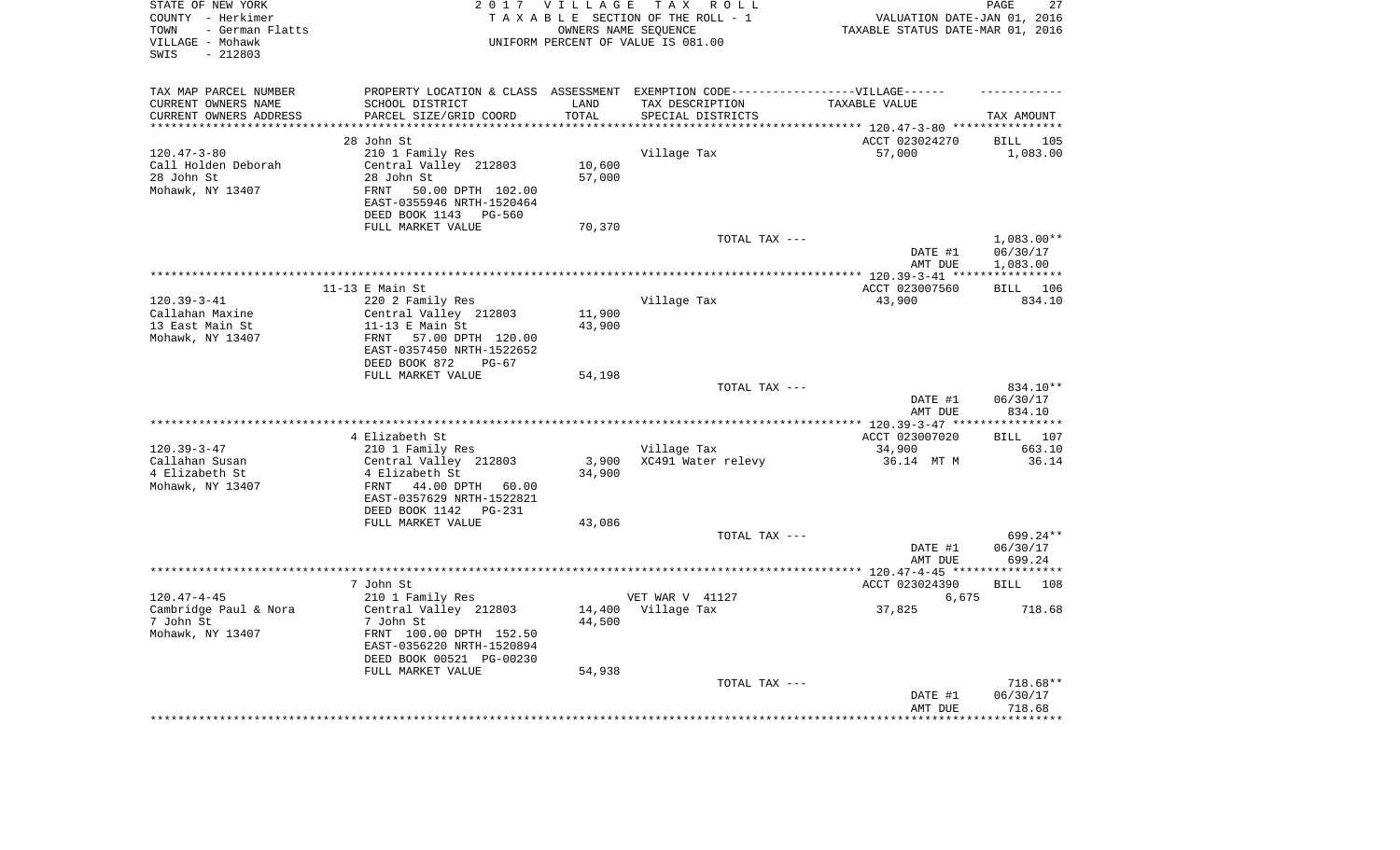| STATE OF NEW YORK<br>COUNTY - Herkimer<br>- German Flatts<br>TOWN<br>VILLAGE - Mohawk<br>$-212803$<br>SWIS |                                                                            | 2017 VILLAGE      | TAX ROLL<br>TAXABLE SECTION OF THE ROLL - 1<br>OWNERS NAME SEQUENCE<br>UNIFORM PERCENT OF VALUE IS 081.00 | VALUATION DATE-JAN 01, 2016<br>TAXABLE STATUS DATE-MAR 01, 2016 | PAGE<br>27               |
|------------------------------------------------------------------------------------------------------------|----------------------------------------------------------------------------|-------------------|-----------------------------------------------------------------------------------------------------------|-----------------------------------------------------------------|--------------------------|
| TAX MAP PARCEL NUMBER                                                                                      |                                                                            |                   | PROPERTY LOCATION & CLASS ASSESSMENT EXEMPTION CODE-----------------VILLAGE------                         |                                                                 |                          |
| CURRENT OWNERS NAME                                                                                        | SCHOOL DISTRICT                                                            | LAND              | TAX DESCRIPTION                                                                                           | TAXABLE VALUE                                                   |                          |
| CURRENT OWNERS ADDRESS<br>********************                                                             | PARCEL SIZE/GRID COORD<br>**********************                           | TOTAL<br>******** | SPECIAL DISTRICTS                                                                                         | **************************** 120.47-3-80 ****************       | TAX AMOUNT               |
|                                                                                                            | 28 John St                                                                 |                   |                                                                                                           | ACCT 023024270                                                  | BILL<br>105              |
| $120.47 - 3 - 80$                                                                                          | 210 1 Family Res                                                           |                   | Village Tax                                                                                               | 57,000                                                          | 1,083.00                 |
| Call Holden Deborah                                                                                        | Central Valley 212803                                                      | 10,600            |                                                                                                           |                                                                 |                          |
| 28 John St                                                                                                 | 28 John St                                                                 | 57,000            |                                                                                                           |                                                                 |                          |
| Mohawk, NY 13407                                                                                           | 50.00 DPTH 102.00<br><b>FRNT</b>                                           |                   |                                                                                                           |                                                                 |                          |
|                                                                                                            | EAST-0355946 NRTH-1520464                                                  |                   |                                                                                                           |                                                                 |                          |
|                                                                                                            | DEED BOOK 1143<br><b>PG-560</b>                                            |                   |                                                                                                           |                                                                 |                          |
|                                                                                                            | FULL MARKET VALUE                                                          | 70,370            |                                                                                                           |                                                                 |                          |
|                                                                                                            |                                                                            |                   | TOTAL TAX ---                                                                                             |                                                                 | $1,083.00**$             |
|                                                                                                            |                                                                            |                   |                                                                                                           | DATE #1                                                         | 06/30/17                 |
|                                                                                                            |                                                                            |                   |                                                                                                           | AMT DUE                                                         | 1,083.00<br>************ |
|                                                                                                            | $11-13$ E Main St                                                          |                   |                                                                                                           | *********** 120.39-3-41 ****<br>ACCT 023007560                  | 106<br>BILL              |
| $120.39 - 3 - 41$                                                                                          | 220 2 Family Res                                                           |                   | Village Tax                                                                                               | 43,900                                                          | 834.10                   |
| Callahan Maxine                                                                                            | Central Valley 212803                                                      | 11,900            |                                                                                                           |                                                                 |                          |
| 13 East Main St                                                                                            | $11-13$ E Main St                                                          | 43,900            |                                                                                                           |                                                                 |                          |
| Mohawk, NY 13407                                                                                           | FRNT<br>57.00 DPTH 120.00                                                  |                   |                                                                                                           |                                                                 |                          |
|                                                                                                            | EAST-0357450 NRTH-1522652                                                  |                   |                                                                                                           |                                                                 |                          |
|                                                                                                            | DEED BOOK 872<br>$PG-67$                                                   |                   |                                                                                                           |                                                                 |                          |
|                                                                                                            | FULL MARKET VALUE                                                          | 54,198            |                                                                                                           |                                                                 |                          |
|                                                                                                            |                                                                            |                   | TOTAL TAX ---                                                                                             |                                                                 | 834.10**                 |
|                                                                                                            |                                                                            |                   |                                                                                                           | DATE #1<br>AMT DUE                                              | 06/30/17<br>834.10       |
|                                                                                                            |                                                                            |                   |                                                                                                           | $**********120.39-3-47**$                                       | **********               |
|                                                                                                            | 4 Elizabeth St                                                             |                   |                                                                                                           | ACCT 023007020                                                  | 107<br>BILL              |
| $120.39 - 3 - 47$                                                                                          | 210 1 Family Res                                                           |                   | Village Tax                                                                                               | 34,900                                                          | 663.10                   |
| Callahan Susan                                                                                             | Central Valley 212803                                                      | 3,900             | XC491 Water relevy                                                                                        | 36.14 MT M                                                      | 36.14                    |
| 4 Elizabeth St                                                                                             | 4 Elizabeth St                                                             | 34,900            |                                                                                                           |                                                                 |                          |
| Mohawk, NY 13407                                                                                           | 44.00 DPTH<br>FRNT<br>60.00                                                |                   |                                                                                                           |                                                                 |                          |
|                                                                                                            | EAST-0357629 NRTH-1522821                                                  |                   |                                                                                                           |                                                                 |                          |
|                                                                                                            | DEED BOOK 1142 PG-231                                                      |                   |                                                                                                           |                                                                 |                          |
|                                                                                                            | FULL MARKET VALUE                                                          | 43,086            | TOTAL TAX ---                                                                                             |                                                                 | 699.24**                 |
|                                                                                                            |                                                                            |                   |                                                                                                           | DATE #1                                                         | 06/30/17                 |
|                                                                                                            |                                                                            |                   |                                                                                                           | AMT DUE                                                         | 699.24                   |
|                                                                                                            |                                                                            |                   |                                                                                                           | *************** 120.47-4-45 *****************                   |                          |
|                                                                                                            | 7 John St                                                                  |                   |                                                                                                           | ACCT 023024390                                                  | <b>BILL</b><br>108       |
| $120.47 - 4 - 45$                                                                                          | 210 1 Family Res                                                           |                   | VET WAR V 41127                                                                                           | 6,675                                                           |                          |
| Cambridge Paul & Nora<br>7 John St<br>Mohawk, NY 13407                                                     | Central Valley 212803<br>7 John St<br>FRNT 100.00 DPTH 152.50              | 44,500            | 14,400 Village Tax                                                                                        | 37,825                                                          | 718.68                   |
|                                                                                                            | EAST-0356220 NRTH-1520894<br>DEED BOOK 00521 PG-00230<br>FULL MARKET VALUE | 54,938            |                                                                                                           |                                                                 |                          |
|                                                                                                            |                                                                            |                   | TOTAL TAX ---                                                                                             |                                                                 | 718.68**                 |
|                                                                                                            |                                                                            |                   |                                                                                                           | DATE #1                                                         | 06/30/17                 |
|                                                                                                            |                                                                            |                   |                                                                                                           | AMT DUE                                                         | 718.68                   |
|                                                                                                            |                                                                            |                   |                                                                                                           |                                                                 | ********                 |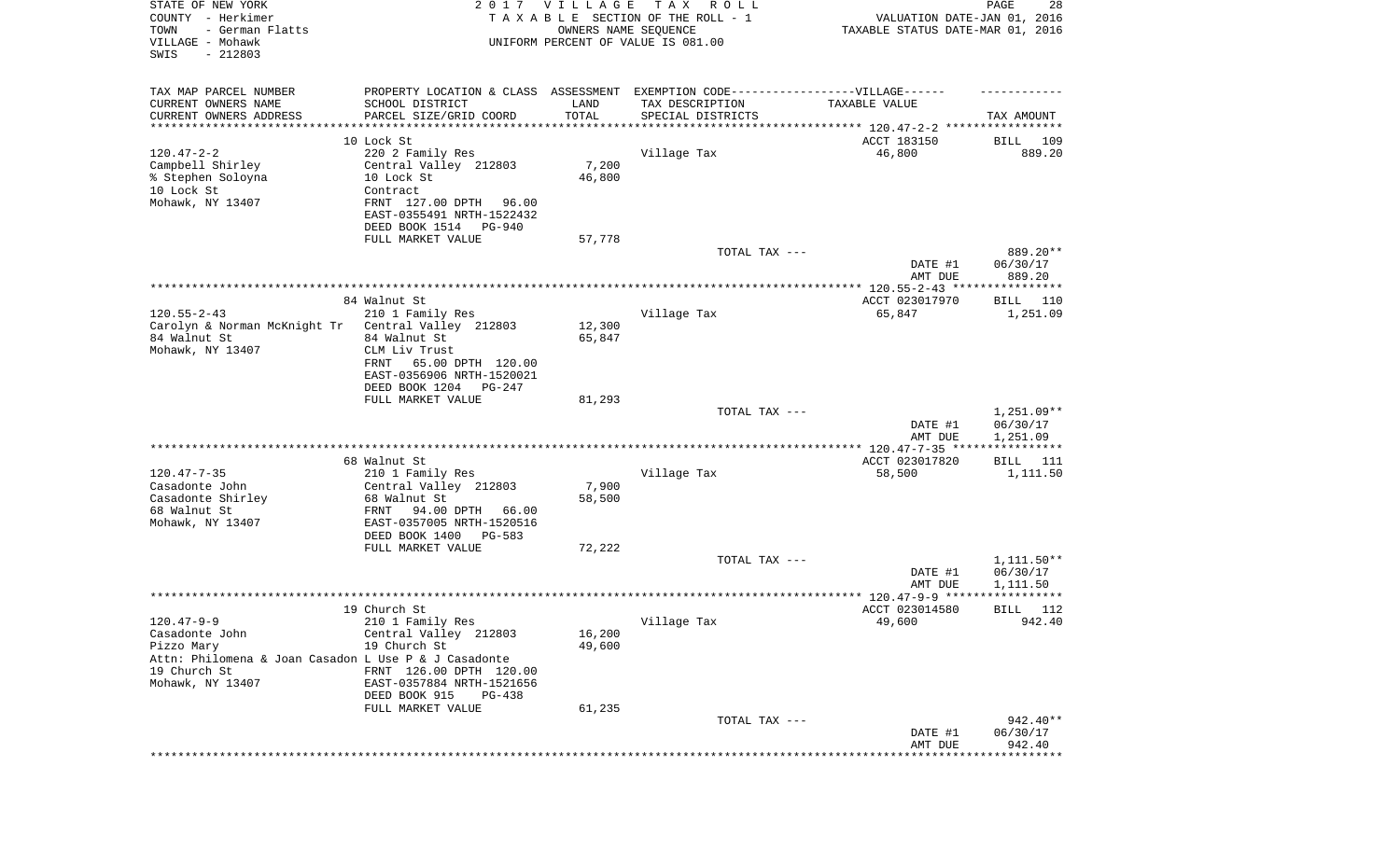| STATE OF NEW YORK<br>COUNTY - Herkimer<br>TOWN<br>- German Flatts<br>VILLAGE - Mohawk<br>SWIS<br>$-212803$                                   |                                                                                                                                                                                          | 2017 VILLAGE<br>OWNERS NAME SEQUENCE | T A X<br>R O L L<br>TAXABLE SECTION OF THE ROLL - 1<br>UNIFORM PERCENT OF VALUE IS 081.00 | VALUATION DATE-JAN 01, 2016<br>TAXABLE STATUS DATE-MAR 01, 2016 | PAGE<br>28                           |
|----------------------------------------------------------------------------------------------------------------------------------------------|------------------------------------------------------------------------------------------------------------------------------------------------------------------------------------------|--------------------------------------|-------------------------------------------------------------------------------------------|-----------------------------------------------------------------|--------------------------------------|
| TAX MAP PARCEL NUMBER<br>CURRENT OWNERS NAME<br>CURRENT OWNERS ADDRESS<br>*********************                                              | PROPERTY LOCATION & CLASS ASSESSMENT EXEMPTION CODE----------------VILLAGE------<br>SCHOOL DISTRICT<br>PARCEL SIZE/GRID COORD<br>******************                                      | LAND<br>TOTAL<br>***********         | TAX DESCRIPTION<br>SPECIAL DISTRICTS                                                      | TAXABLE VALUE                                                   | TAX AMOUNT                           |
|                                                                                                                                              | 10 Lock St                                                                                                                                                                               |                                      |                                                                                           | ACCT 183150                                                     | BILL<br>109                          |
| $120.47 - 2 - 2$<br>Campbell Shirley<br>% Stephen Soloyna<br>10 Lock St<br>Mohawk, NY 13407                                                  | 220 2 Family Res<br>Central Valley 212803<br>10 Lock St<br>Contract<br>FRNT 127.00 DPTH<br>96.00<br>EAST-0355491 NRTH-1522432<br>DEED BOOK 1514 PG-940                                   | 7,200<br>46,800                      | Village Tax                                                                               | 46,800                                                          | 889.20                               |
|                                                                                                                                              | FULL MARKET VALUE                                                                                                                                                                        | 57,778                               |                                                                                           |                                                                 |                                      |
|                                                                                                                                              |                                                                                                                                                                                          |                                      | TOTAL TAX ---                                                                             | DATE #1                                                         | 889.20**<br>06/30/17                 |
|                                                                                                                                              |                                                                                                                                                                                          |                                      |                                                                                           | AMT DUE                                                         | 889.20                               |
|                                                                                                                                              |                                                                                                                                                                                          |                                      |                                                                                           |                                                                 |                                      |
| $120.55 - 2 - 43$                                                                                                                            | 84 Walnut St<br>210 1 Family Res                                                                                                                                                         |                                      | Village Tax                                                                               | ACCT 023017970<br>65,847                                        | BILL 110<br>1,251.09                 |
| Carolyn & Norman McKnight Tr                                                                                                                 | Central Valley 212803                                                                                                                                                                    | 12,300                               |                                                                                           |                                                                 |                                      |
| 84 Walnut St<br>Mohawk, NY 13407                                                                                                             | 84 Walnut St<br>CLM Liv Trust<br>65.00 DPTH 120.00<br>FRNT<br>EAST-0356906 NRTH-1520021                                                                                                  | 65,847                               |                                                                                           |                                                                 |                                      |
|                                                                                                                                              | DEED BOOK 1204<br>PG-247<br>FULL MARKET VALUE                                                                                                                                            | 81,293                               |                                                                                           |                                                                 |                                      |
|                                                                                                                                              |                                                                                                                                                                                          |                                      | TOTAL TAX ---                                                                             | DATE #1<br>AMT DUE                                              | $1,251.09**$<br>06/30/17<br>1,251.09 |
|                                                                                                                                              |                                                                                                                                                                                          |                                      |                                                                                           |                                                                 |                                      |
| $120.47 - 7 - 35$<br>Casadonte John<br>Casadonte Shirley<br>68 Walnut St<br>Mohawk, NY 13407                                                 | 68 Walnut St<br>210 1 Family Res<br>Central Valley 212803<br>68 Walnut St<br>FRNT<br>94.00 DPTH 66.00<br>EAST-0357005 NRTH-1520516                                                       | 7,900<br>58,500                      | Village Tax                                                                               | ACCT 023017820<br>58,500                                        | BILL 111<br>1,111.50                 |
|                                                                                                                                              | DEED BOOK 1400<br>PG-583                                                                                                                                                                 |                                      |                                                                                           |                                                                 |                                      |
|                                                                                                                                              | FULL MARKET VALUE                                                                                                                                                                        | 72,222                               | TOTAL TAX ---                                                                             | DATE #1<br>AMT DUE                                              | $1,111.50**$<br>06/30/17<br>1,111.50 |
|                                                                                                                                              |                                                                                                                                                                                          |                                      |                                                                                           |                                                                 |                                      |
| $120.47 - 9 - 9$<br>Casadonte John<br>Pizzo Mary<br>Attn: Philomena & Joan Casadon L Use P & J Casadonte<br>19 Church St<br>Mohawk, NY 13407 | 19 Church St<br>210 1 Family Res<br>Central Valley 212803<br>19 Church St<br>FRNT 126.00 DPTH 120.00<br>EAST-0357884 NRTH-1521656<br>DEED BOOK 915<br><b>PG-438</b><br>FULL MARKET VALUE | 16,200<br>49,600<br>61,235           | Village Tax                                                                               | ACCT 023014580<br>49,600                                        | BILL 112<br>942.40                   |
|                                                                                                                                              |                                                                                                                                                                                          |                                      | TOTAL TAX ---                                                                             |                                                                 | 942.40**                             |
|                                                                                                                                              |                                                                                                                                                                                          |                                      |                                                                                           | DATE #1<br>AMT DUE                                              | 06/30/17<br>942.40<br>*********      |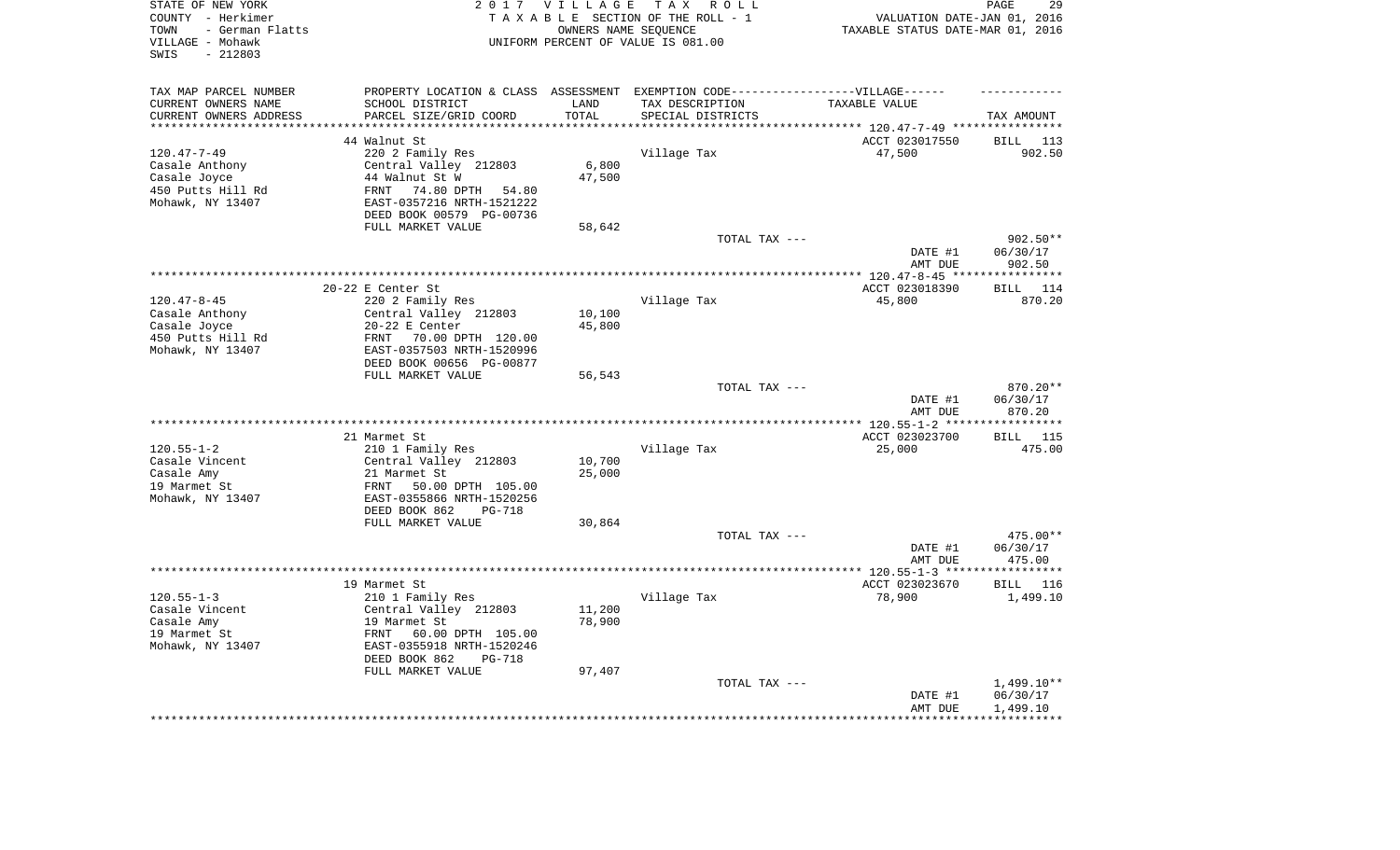| STATE OF NEW YORK<br>COUNTY - Herkimer<br>- German Flatts<br>TOWN<br>VILLAGE - Mohawk<br>$-212803$<br>SWIS |                                                                                   | 2017 VILLAGE         | TAX ROLL<br>TAXABLE SECTION OF THE ROLL - 1<br>OWNERS NAME SEQUENCE<br>UNIFORM PERCENT OF VALUE IS 081.00 | VALUATION DATE-JAN 01, 2016<br>TAXABLE STATUS DATE-MAR 01, 2016 | 29<br>PAGE          |
|------------------------------------------------------------------------------------------------------------|-----------------------------------------------------------------------------------|----------------------|-----------------------------------------------------------------------------------------------------------|-----------------------------------------------------------------|---------------------|
| TAX MAP PARCEL NUMBER                                                                                      | PROPERTY LOCATION & CLASS ASSESSMENT EXEMPTION CODE-----------------VILLAGE------ |                      |                                                                                                           |                                                                 |                     |
| CURRENT OWNERS NAME                                                                                        | SCHOOL DISTRICT                                                                   | LAND                 | TAX DESCRIPTION                                                                                           | TAXABLE VALUE                                                   |                     |
| CURRENT OWNERS ADDRESS<br>*********************                                                            | PARCEL SIZE/GRID COORD<br>***************************                             | TOTAL<br>*********** | SPECIAL DISTRICTS                                                                                         |                                                                 | TAX AMOUNT          |
|                                                                                                            |                                                                                   |                      |                                                                                                           |                                                                 |                     |
| $120.47 - 7 - 49$                                                                                          | 44 Walnut St<br>220 2 Family Res                                                  |                      | Village Tax                                                                                               | ACCT 023017550<br>47,500                                        | BILL 113<br>902.50  |
| Casale Anthony                                                                                             | Central Valley 212803                                                             | 6,800                |                                                                                                           |                                                                 |                     |
| Casale Joyce                                                                                               | 44 Walnut St W                                                                    | 47,500               |                                                                                                           |                                                                 |                     |
| 450 Putts Hill Rd                                                                                          | 74.80 DPTH 54.80<br>FRNT                                                          |                      |                                                                                                           |                                                                 |                     |
| Mohawk, NY 13407                                                                                           | EAST-0357216 NRTH-1521222<br>DEED BOOK 00579 PG-00736                             |                      |                                                                                                           |                                                                 |                     |
|                                                                                                            | FULL MARKET VALUE                                                                 | 58,642               |                                                                                                           |                                                                 |                     |
|                                                                                                            |                                                                                   |                      | TOTAL TAX ---                                                                                             |                                                                 | $902.50**$          |
|                                                                                                            |                                                                                   |                      |                                                                                                           | DATE #1<br>AMT DUE                                              | 06/30/17<br>902.50  |
|                                                                                                            |                                                                                   |                      |                                                                                                           | ************ 120.47-8-45 ****                                   | ************        |
|                                                                                                            | 20-22 E Center St                                                                 |                      |                                                                                                           | ACCT 023018390                                                  | 114<br><b>BILL</b>  |
| $120.47 - 8 - 45$                                                                                          | 220 2 Family Res                                                                  |                      | Village Tax                                                                                               | 45,800                                                          | 870.20              |
| Casale Anthony                                                                                             | Central Valley 212803                                                             | 10,100               |                                                                                                           |                                                                 |                     |
| Casale Joyce                                                                                               | $20-22$ E Center                                                                  | 45,800               |                                                                                                           |                                                                 |                     |
| 450 Putts Hill Rd<br>Mohawk, NY 13407                                                                      | FRNT 70.00 DPTH 120.00                                                            |                      |                                                                                                           |                                                                 |                     |
|                                                                                                            | EAST-0357503 NRTH-1520996<br>DEED BOOK 00656 PG-00877                             |                      |                                                                                                           |                                                                 |                     |
|                                                                                                            | FULL MARKET VALUE                                                                 | 56,543               |                                                                                                           |                                                                 |                     |
|                                                                                                            |                                                                                   |                      | TOTAL TAX ---                                                                                             |                                                                 | 870.20**            |
|                                                                                                            |                                                                                   |                      |                                                                                                           | DATE #1<br>AMT DUE                                              | 06/30/17<br>870.20  |
|                                                                                                            |                                                                                   |                      |                                                                                                           | ***************** 120.55-1-2 ***                                | * * * * * * * * * * |
|                                                                                                            | 21 Marmet St                                                                      |                      |                                                                                                           | ACCT 023023700                                                  | 115<br>BILL         |
| $120.55 - 1 - 2$                                                                                           | 210 1 Family Res                                                                  |                      | Village Tax                                                                                               | 25,000                                                          | 475.00              |
| Casale Vincent                                                                                             | Central Valley 212803                                                             | 10,700               |                                                                                                           |                                                                 |                     |
| Casale Amy                                                                                                 | 21 Marmet St                                                                      | 25,000               |                                                                                                           |                                                                 |                     |
| 19 Marmet St                                                                                               | FRNT<br>50.00 DPTH 105.00<br>EAST-0355866 NRTH-1520256                            |                      |                                                                                                           |                                                                 |                     |
| Mohawk, NY 13407                                                                                           | DEED BOOK 862<br><b>PG-718</b>                                                    |                      |                                                                                                           |                                                                 |                     |
|                                                                                                            | FULL MARKET VALUE                                                                 | 30,864               |                                                                                                           |                                                                 |                     |
|                                                                                                            |                                                                                   |                      | TOTAL TAX ---                                                                                             |                                                                 | 475.00**            |
|                                                                                                            |                                                                                   |                      |                                                                                                           | DATE #1                                                         | 06/30/17            |
|                                                                                                            |                                                                                   |                      |                                                                                                           | AMT DUE                                                         | 475.00              |
|                                                                                                            |                                                                                   |                      |                                                                                                           |                                                                 |                     |
|                                                                                                            | 19 Marmet St                                                                      |                      |                                                                                                           | ACCT 023023670                                                  | BILL 116            |
| $120.55 - 1 - 3$                                                                                           | 210 1 Family Res                                                                  |                      | Village Tax                                                                                               | 78,900                                                          | 1,499.10            |
| Casale Vincent                                                                                             | Central Valley 212803                                                             | 11,200               |                                                                                                           |                                                                 |                     |
| Casale Amy                                                                                                 | 19 Marmet St                                                                      | 78,900               |                                                                                                           |                                                                 |                     |
| 19 Marmet St<br>Mohawk, NY 13407                                                                           | FRNT<br>60.00 DPTH 105.00<br>EAST-0355918 NRTH-1520246                            |                      |                                                                                                           |                                                                 |                     |
|                                                                                                            | DEED BOOK 862<br><b>PG-718</b>                                                    |                      |                                                                                                           |                                                                 |                     |
|                                                                                                            | FULL MARKET VALUE                                                                 | 97,407               |                                                                                                           |                                                                 |                     |
|                                                                                                            |                                                                                   |                      | TOTAL TAX ---                                                                                             |                                                                 | $1,499.10**$        |
|                                                                                                            |                                                                                   |                      |                                                                                                           | DATE #1                                                         | 06/30/17            |
|                                                                                                            |                                                                                   |                      |                                                                                                           | AMT DUE                                                         | 1,499.10            |
|                                                                                                            |                                                                                   |                      |                                                                                                           |                                                                 | ***********         |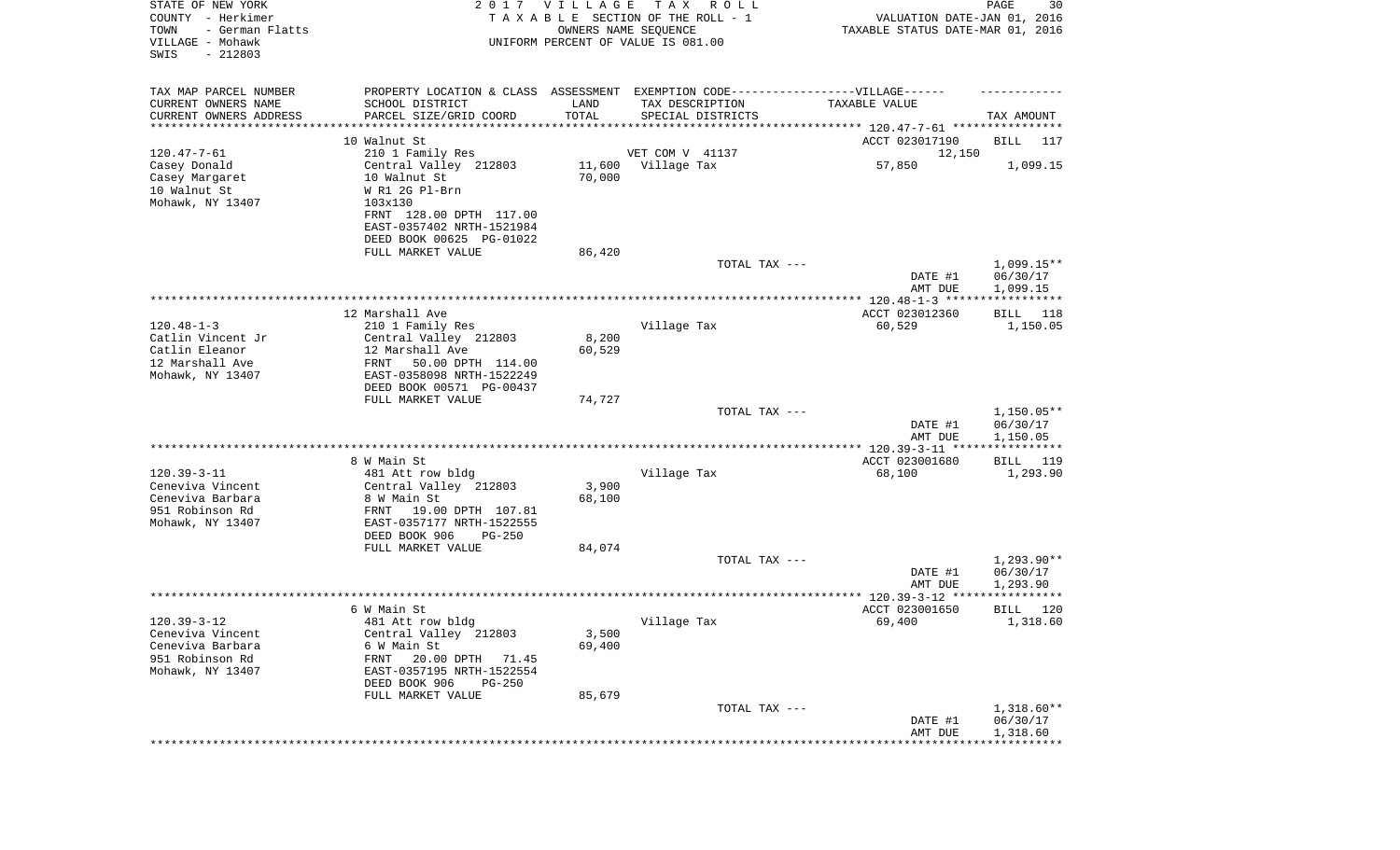| STATE OF NEW YORK<br>COUNTY - Herkimer<br>- German Flatts<br>TOWN<br>VILLAGE - Mohawk<br>SWIS<br>$-212803$ |                                                          | 2017 VILLAGE<br>OWNERS NAME SEQUENCE | T A X<br>R O L L<br>TAXABLE SECTION OF THE ROLL - 1<br>UNIFORM PERCENT OF VALUE IS 081.00 | VALUATION DATE-JAN 01, 2016<br>TAXABLE STATUS DATE-MAR 01, 2016 | $\mathop{\mathtt{PAGE}}$<br>30    |
|------------------------------------------------------------------------------------------------------------|----------------------------------------------------------|--------------------------------------|-------------------------------------------------------------------------------------------|-----------------------------------------------------------------|-----------------------------------|
| TAX MAP PARCEL NUMBER                                                                                      |                                                          |                                      | PROPERTY LOCATION & CLASS ASSESSMENT EXEMPTION CODE-----------------VILLAGE------         |                                                                 |                                   |
| CURRENT OWNERS NAME                                                                                        | SCHOOL DISTRICT                                          | LAND                                 | TAX DESCRIPTION                                                                           | TAXABLE VALUE                                                   |                                   |
| CURRENT OWNERS ADDRESS<br>*******************                                                              | PARCEL SIZE/GRID COORD                                   | TOTAL                                | SPECIAL DISTRICTS<br>********************************* 120.47-7-61 ****************       |                                                                 | TAX AMOUNT                        |
|                                                                                                            | 10 Walnut St                                             |                                      |                                                                                           | ACCT 023017190                                                  | BILL<br>117                       |
| $120.47 - 7 - 61$                                                                                          | 210 1 Family Res                                         |                                      | VET COM V 41137                                                                           | 12,150                                                          |                                   |
| Casey Donald                                                                                               | Central Valley 212803                                    | 11,600                               | Village Tax                                                                               | 57,850                                                          | 1,099.15                          |
| Casey Margaret                                                                                             | 10 Walnut St                                             | 70,000                               |                                                                                           |                                                                 |                                   |
| 10 Walnut St                                                                                               | W R1 2G Pl-Brn                                           |                                      |                                                                                           |                                                                 |                                   |
| Mohawk, NY 13407                                                                                           | 103x130                                                  |                                      |                                                                                           |                                                                 |                                   |
|                                                                                                            | FRNT 128.00 DPTH 117.00                                  |                                      |                                                                                           |                                                                 |                                   |
|                                                                                                            | EAST-0357402 NRTH-1521984<br>DEED BOOK 00625 PG-01022    |                                      |                                                                                           |                                                                 |                                   |
|                                                                                                            | FULL MARKET VALUE                                        | 86,420                               |                                                                                           |                                                                 |                                   |
|                                                                                                            |                                                          |                                      | TOTAL TAX ---                                                                             |                                                                 | $1,099.15**$                      |
|                                                                                                            |                                                          |                                      |                                                                                           | DATE #1                                                         | 06/30/17                          |
|                                                                                                            |                                                          |                                      |                                                                                           | AMT DUE                                                         | 1,099.15                          |
|                                                                                                            |                                                          |                                      |                                                                                           |                                                                 | ***********                       |
|                                                                                                            | 12 Marshall Ave                                          |                                      |                                                                                           | ACCT 023012360                                                  | BILL<br>118                       |
| $120.48 - 1 - 3$                                                                                           | 210 1 Family Res                                         |                                      | Village Tax                                                                               | 60,529                                                          | 1,150.05                          |
| Catlin Vincent Jr<br>Catlin Eleanor                                                                        | Central Valley 212803<br>12 Marshall Ave                 | 8,200<br>60,529                      |                                                                                           |                                                                 |                                   |
| 12 Marshall Ave                                                                                            | 50.00 DPTH 114.00<br>FRNT                                |                                      |                                                                                           |                                                                 |                                   |
| Mohawk, NY 13407                                                                                           | EAST-0358098 NRTH-1522249                                |                                      |                                                                                           |                                                                 |                                   |
|                                                                                                            | DEED BOOK 00571 PG-00437                                 |                                      |                                                                                           |                                                                 |                                   |
|                                                                                                            | FULL MARKET VALUE                                        | 74,727                               |                                                                                           |                                                                 |                                   |
|                                                                                                            |                                                          |                                      | TOTAL TAX ---                                                                             |                                                                 | $1,150.05**$                      |
|                                                                                                            |                                                          |                                      |                                                                                           | DATE #1                                                         | 06/30/17                          |
|                                                                                                            |                                                          |                                      |                                                                                           | AMT DUE                                                         | 1,150.05<br>* * * * * * * * * * * |
|                                                                                                            | 8 W Main St                                              |                                      |                                                                                           | ACCT 023001680                                                  | BILL<br>119                       |
| $120.39 - 3 - 11$                                                                                          | 481 Att row bldg                                         |                                      | Village Tax                                                                               | 68,100                                                          | 1,293.90                          |
| Ceneviva Vincent                                                                                           | Central Valley 212803                                    | 3,900                                |                                                                                           |                                                                 |                                   |
| Ceneviva Barbara                                                                                           | 8 W Main St                                              | 68,100                               |                                                                                           |                                                                 |                                   |
| 951 Robinson Rd                                                                                            | FRNT<br>19.00 DPTH 107.81                                |                                      |                                                                                           |                                                                 |                                   |
| Mohawk, NY 13407                                                                                           | EAST-0357177 NRTH-1522555                                |                                      |                                                                                           |                                                                 |                                   |
|                                                                                                            | DEED BOOK 906<br>$PG-250$                                |                                      |                                                                                           |                                                                 |                                   |
|                                                                                                            | FULL MARKET VALUE                                        | 84,074                               | TOTAL TAX ---                                                                             |                                                                 | $1,293.90**$                      |
|                                                                                                            |                                                          |                                      |                                                                                           | DATE #1                                                         | 06/30/17                          |
|                                                                                                            |                                                          |                                      |                                                                                           | AMT DUE                                                         | 1,293.90                          |
|                                                                                                            |                                                          |                                      |                                                                                           | ****************** 120.39-3-12 ****                             | * * * * * * * * * * *             |
|                                                                                                            | 6 W Main St                                              |                                      |                                                                                           | ACCT 023001650                                                  | 120<br>BILL                       |
| $120.39 - 3 - 12$                                                                                          | 481 Att row bldg                                         |                                      | Village Tax                                                                               | 69,400                                                          | 1,318.60                          |
| Ceneviva Vincent                                                                                           | Central Valley 212803                                    | 3,500                                |                                                                                           |                                                                 |                                   |
| Ceneviva Barbara                                                                                           | 6 W Main St                                              | 69,400                               |                                                                                           |                                                                 |                                   |
| 951 Robinson Rd<br>Mohawk, NY 13407                                                                        | 20.00 DPTH<br>FRNT<br>71.45<br>EAST-0357195 NRTH-1522554 |                                      |                                                                                           |                                                                 |                                   |
|                                                                                                            | DEED BOOK 906<br><b>PG-250</b>                           |                                      |                                                                                           |                                                                 |                                   |
|                                                                                                            | FULL MARKET VALUE                                        | 85,679                               |                                                                                           |                                                                 |                                   |
|                                                                                                            |                                                          |                                      | TOTAL TAX ---                                                                             |                                                                 | $1,318.60**$                      |
|                                                                                                            |                                                          |                                      |                                                                                           | DATE #1                                                         | 06/30/17                          |
|                                                                                                            |                                                          |                                      |                                                                                           | AMT DUE                                                         | 1,318.60                          |
|                                                                                                            |                                                          |                                      |                                                                                           |                                                                 |                                   |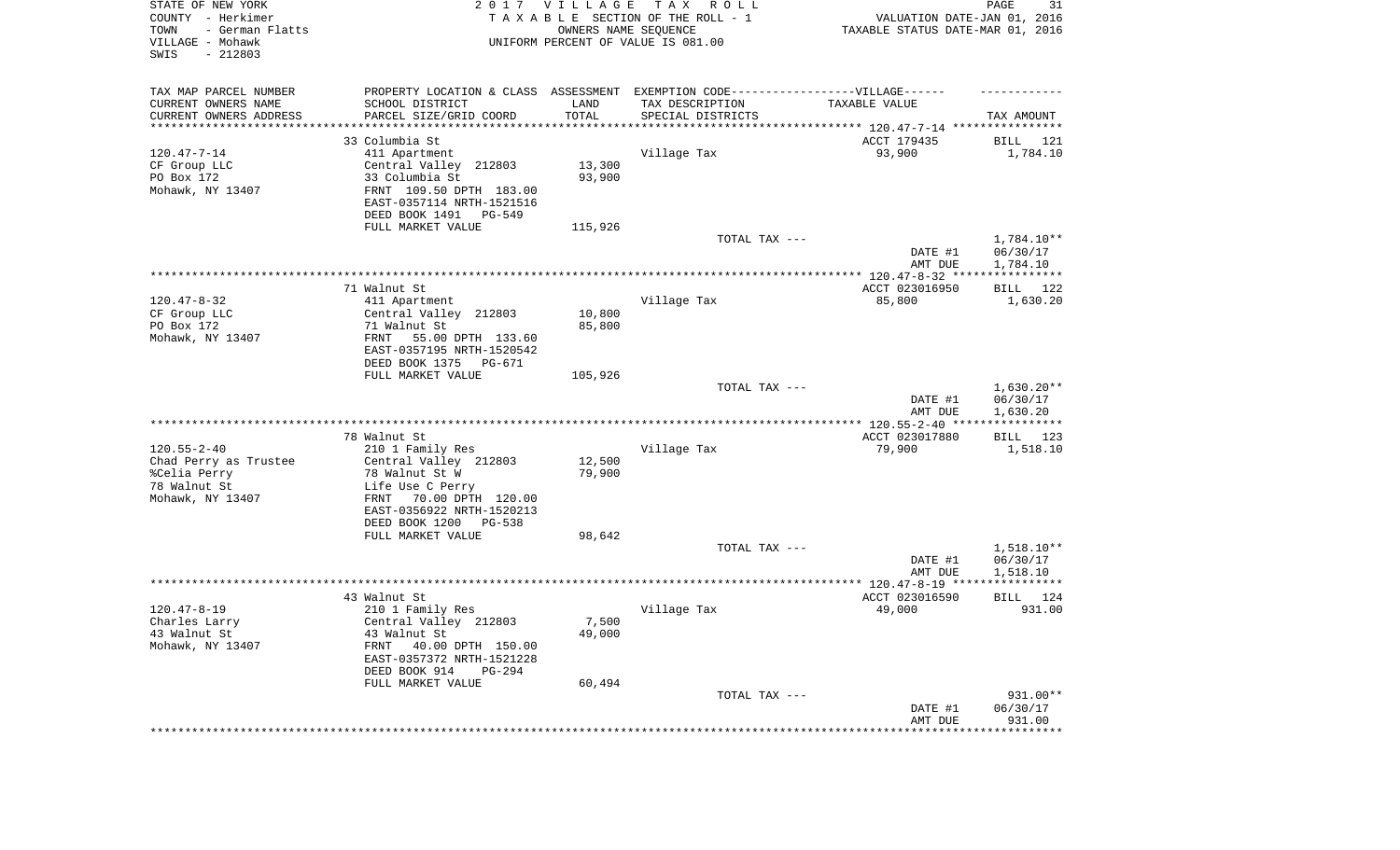| STATE OF NEW YORK<br>COUNTY - Herkimer<br>- German Flatts<br>TOWN<br>VILLAGE - Mohawk<br>SWIS<br>$-212803$ |                                                                                  | 2017 VILLAGE<br>OWNERS NAME SEQUENCE | T A X<br>R O L L<br>TAXABLE SECTION OF THE ROLL - 1<br>UNIFORM PERCENT OF VALUE IS 081.00 | VALUATION DATE-JAN 01, 2016<br>TAXABLE STATUS DATE-MAR 01, 2016 | PAGE<br>31               |
|------------------------------------------------------------------------------------------------------------|----------------------------------------------------------------------------------|--------------------------------------|-------------------------------------------------------------------------------------------|-----------------------------------------------------------------|--------------------------|
| TAX MAP PARCEL NUMBER                                                                                      | PROPERTY LOCATION & CLASS ASSESSMENT EXEMPTION CODE----------------VILLAGE------ |                                      |                                                                                           |                                                                 |                          |
| CURRENT OWNERS NAME                                                                                        | SCHOOL DISTRICT                                                                  | LAND<br>TOTAL                        | TAX DESCRIPTION                                                                           | TAXABLE VALUE                                                   |                          |
| CURRENT OWNERS ADDRESS<br>********************                                                             | PARCEL SIZE/GRID COORD                                                           | * * * * * * * * * * *                | SPECIAL DISTRICTS                                                                         |                                                                 | TAX AMOUNT               |
|                                                                                                            | 33 Columbia St                                                                   |                                      |                                                                                           | ACCT 179435                                                     | 121<br>BILL              |
| $120.47 - 7 - 14$                                                                                          | 411 Apartment                                                                    |                                      | Village Tax                                                                               | 93,900                                                          | 1,784.10                 |
| CF Group LLC                                                                                               | Central Valley 212803                                                            | 13,300                               |                                                                                           |                                                                 |                          |
| PO Box 172<br>Mohawk, NY 13407                                                                             | 33 Columbia St<br>FRNT 109.50 DPTH 183.00                                        | 93,900                               |                                                                                           |                                                                 |                          |
|                                                                                                            | EAST-0357114 NRTH-1521516                                                        |                                      |                                                                                           |                                                                 |                          |
|                                                                                                            | DEED BOOK 1491<br>PG-549                                                         |                                      |                                                                                           |                                                                 |                          |
|                                                                                                            | FULL MARKET VALUE                                                                | 115,926                              |                                                                                           |                                                                 |                          |
|                                                                                                            |                                                                                  |                                      | TOTAL TAX ---                                                                             | DATE #1                                                         | 1,784.10**<br>06/30/17   |
|                                                                                                            |                                                                                  |                                      |                                                                                           | AMT DUE                                                         | 1,784.10                 |
|                                                                                                            | 71 Walnut St                                                                     |                                      |                                                                                           | ACCT 023016950                                                  | BILL 122                 |
| $120.47 - 8 - 32$                                                                                          | 411 Apartment                                                                    |                                      | Village Tax                                                                               | 85,800                                                          | 1,630.20                 |
| CF Group LLC                                                                                               | Central Valley 212803                                                            | 10,800                               |                                                                                           |                                                                 |                          |
| PO Box 172<br>Mohawk, NY 13407                                                                             | 71 Walnut St<br>FRNT<br>55.00 DPTH 133.60                                        | 85,800                               |                                                                                           |                                                                 |                          |
|                                                                                                            | EAST-0357195 NRTH-1520542                                                        |                                      |                                                                                           |                                                                 |                          |
|                                                                                                            | DEED BOOK 1375<br>PG-671                                                         |                                      |                                                                                           |                                                                 |                          |
|                                                                                                            | FULL MARKET VALUE                                                                | 105,926                              |                                                                                           |                                                                 |                          |
|                                                                                                            |                                                                                  |                                      | TOTAL TAX ---                                                                             | DATE #1                                                         | $1,630.20**$<br>06/30/17 |
|                                                                                                            |                                                                                  |                                      |                                                                                           | AMT DUE                                                         | 1,630.20                 |
|                                                                                                            |                                                                                  |                                      |                                                                                           |                                                                 |                          |
|                                                                                                            | 78 Walnut St                                                                     |                                      |                                                                                           | ACCT 023017880                                                  | BILL 123                 |
| $120.55 - 2 - 40$                                                                                          | 210 1 Family Res                                                                 |                                      | Village Tax                                                                               | 79,900                                                          | 1,518.10                 |
| Chad Perry as Trustee<br>%Celia Perry                                                                      | Central Valley 212803<br>78 Walnut St W                                          | 12,500<br>79,900                     |                                                                                           |                                                                 |                          |
| 78 Walnut St                                                                                               | Life Use C Perry                                                                 |                                      |                                                                                           |                                                                 |                          |
| Mohawk, NY 13407                                                                                           | 70.00 DPTH 120.00<br>FRNT                                                        |                                      |                                                                                           |                                                                 |                          |
|                                                                                                            | EAST-0356922 NRTH-1520213                                                        |                                      |                                                                                           |                                                                 |                          |
|                                                                                                            | DEED BOOK 1200<br>PG-538                                                         |                                      |                                                                                           |                                                                 |                          |
|                                                                                                            | FULL MARKET VALUE                                                                | 98,642                               | TOTAL TAX ---                                                                             |                                                                 | $1,518.10**$             |
|                                                                                                            |                                                                                  |                                      |                                                                                           | DATE #1                                                         | 06/30/17                 |
|                                                                                                            |                                                                                  |                                      |                                                                                           | AMT DUE                                                         | 1,518.10                 |
|                                                                                                            |                                                                                  |                                      |                                                                                           |                                                                 |                          |
| $120.47 - 8 - 19$                                                                                          | 43 Walnut St                                                                     |                                      |                                                                                           | ACCT 023016590<br>49,000                                        | BILL<br>124<br>931.00    |
| Charles Larry                                                                                              | 210 1 Family Res<br>Central Valley 212803                                        | 7,500                                | Village Tax                                                                               |                                                                 |                          |
| 43 Walnut St                                                                                               | 43 Walnut St                                                                     | 49,000                               |                                                                                           |                                                                 |                          |
| Mohawk, NY 13407                                                                                           | FRNT<br>40.00 DPTH 150.00                                                        |                                      |                                                                                           |                                                                 |                          |
|                                                                                                            | EAST-0357372 NRTH-1521228                                                        |                                      |                                                                                           |                                                                 |                          |
|                                                                                                            | DEED BOOK 914<br><b>PG-294</b><br>FULL MARKET VALUE                              | 60,494                               |                                                                                           |                                                                 |                          |
|                                                                                                            |                                                                                  |                                      | TOTAL TAX ---                                                                             |                                                                 | 931.00**                 |
|                                                                                                            |                                                                                  |                                      |                                                                                           | DATE #1                                                         | 06/30/17                 |
|                                                                                                            |                                                                                  |                                      |                                                                                           | AMT DUE                                                         | 931.00                   |
|                                                                                                            |                                                                                  |                                      |                                                                                           | *********************                                           | **************           |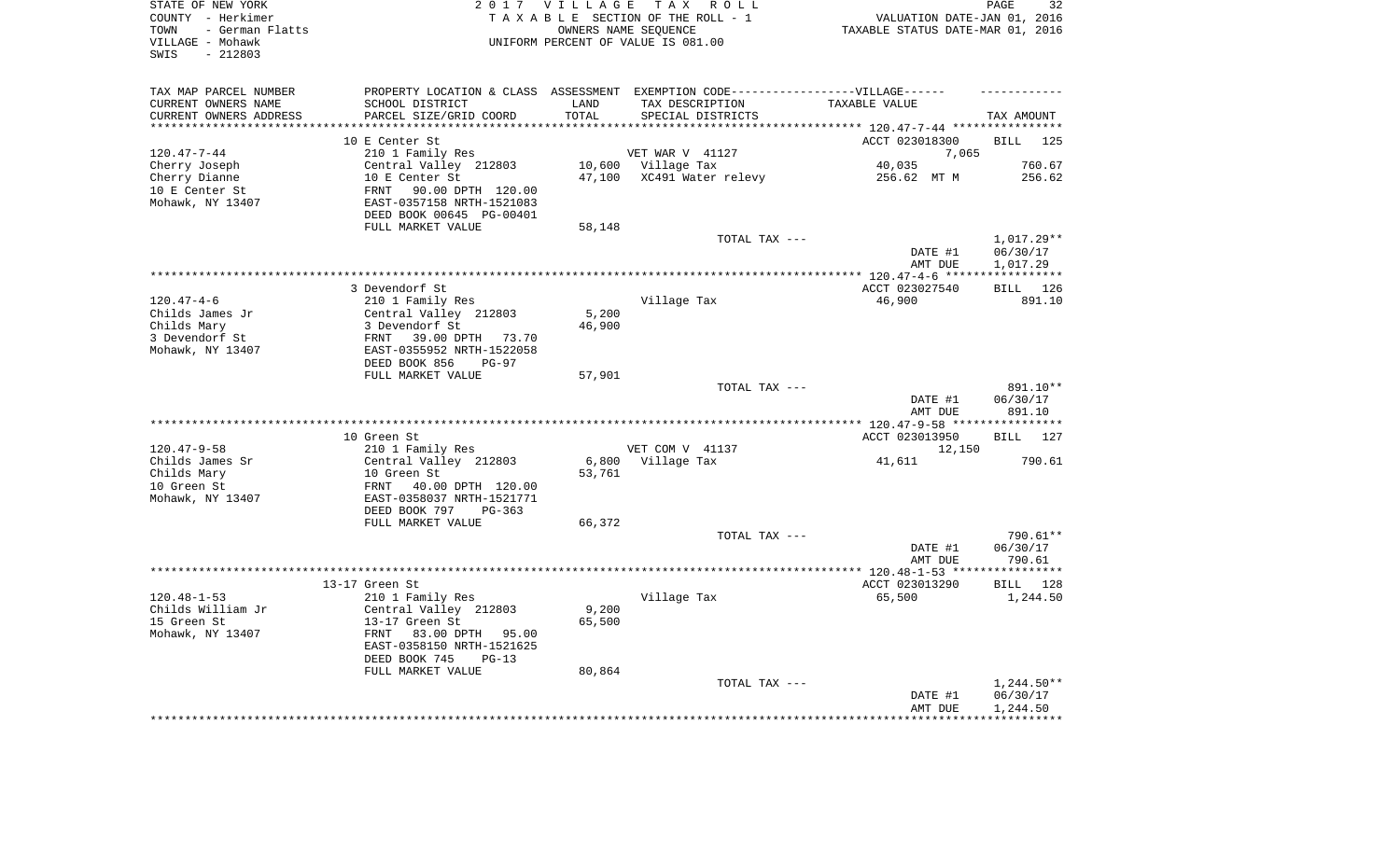| STATE OF NEW YORK<br>COUNTY - Herkimer<br>- German Flatts<br>TOWN<br>VILLAGE - Mohawk<br>$-212803$<br>SWIS |                                                       | 2017 VILLAGE       | TAX ROLL<br>TAXABLE SECTION OF THE ROLL - 1<br>OWNERS NAME SEQUENCE<br>UNIFORM PERCENT OF VALUE IS 081.00 | VALUATION DATE-JAN 01, 2016<br>TAXABLE STATUS DATE-MAR 01, 2016 | PAGE<br>32         |
|------------------------------------------------------------------------------------------------------------|-------------------------------------------------------|--------------------|-----------------------------------------------------------------------------------------------------------|-----------------------------------------------------------------|--------------------|
| TAX MAP PARCEL NUMBER                                                                                      |                                                       |                    | PROPERTY LOCATION & CLASS ASSESSMENT EXEMPTION CODE-----------------VILLAGE------                         |                                                                 |                    |
| CURRENT OWNERS NAME                                                                                        | SCHOOL DISTRICT                                       | LAND               | TAX DESCRIPTION                                                                                           | TAXABLE VALUE                                                   |                    |
| CURRENT OWNERS ADDRESS<br>********************                                                             | PARCEL SIZE/GRID COORD                                | TOTAL<br>********* | SPECIAL DISTRICTS                                                                                         |                                                                 | TAX AMOUNT         |
|                                                                                                            |                                                       |                    |                                                                                                           | **************************** 120.47-7-44 ****************       | 125                |
| $120.47 - 7 - 44$                                                                                          | 10 E Center St<br>210 1 Family Res                    |                    | VET WAR V 41127                                                                                           | ACCT 023018300<br>7,065                                         | <b>BILL</b>        |
| Cherry Joseph                                                                                              | Central Valley 212803                                 |                    | 10,600 Village Tax                                                                                        | 40,035                                                          | 760.67             |
| Cherry Dianne                                                                                              | 10 E Center St                                        | 47,100             | XC491 Water relevy                                                                                        | 256.62 MT M                                                     | 256.62             |
| 10 E Center St                                                                                             | 90.00 DPTH 120.00<br>FRNT                             |                    |                                                                                                           |                                                                 |                    |
| Mohawk, NY 13407                                                                                           | EAST-0357158 NRTH-1521083                             |                    |                                                                                                           |                                                                 |                    |
|                                                                                                            | DEED BOOK 00645 PG-00401                              |                    |                                                                                                           |                                                                 |                    |
|                                                                                                            | FULL MARKET VALUE                                     | 58,148             |                                                                                                           |                                                                 |                    |
|                                                                                                            |                                                       |                    | TOTAL TAX ---                                                                                             |                                                                 | 1,017.29**         |
|                                                                                                            |                                                       |                    |                                                                                                           | DATE #1                                                         | 06/30/17           |
|                                                                                                            |                                                       |                    |                                                                                                           | AMT DUE                                                         | 1,017.29           |
|                                                                                                            |                                                       |                    |                                                                                                           |                                                                 |                    |
|                                                                                                            | 3 Devendorf St                                        |                    |                                                                                                           | ACCT 023027540                                                  | BILL 126           |
| $120.47 - 4 - 6$<br>Childs James Jr                                                                        | 210 1 Family Res<br>Central Valley 212803             | 5,200              | Village Tax                                                                                               | 46,900                                                          | 891.10             |
| Childs Mary                                                                                                | 3 Devendorf St                                        | 46,900             |                                                                                                           |                                                                 |                    |
| 3 Devendorf St                                                                                             | FRNT 39.00 DPTH 73.70                                 |                    |                                                                                                           |                                                                 |                    |
| Mohawk, NY 13407                                                                                           | EAST-0355952 NRTH-1522058                             |                    |                                                                                                           |                                                                 |                    |
|                                                                                                            | DEED BOOK 856<br>$PG-97$                              |                    |                                                                                                           |                                                                 |                    |
|                                                                                                            | FULL MARKET VALUE                                     | 57,901             |                                                                                                           |                                                                 |                    |
|                                                                                                            |                                                       |                    | TOTAL TAX ---                                                                                             |                                                                 | 891.10**           |
|                                                                                                            |                                                       |                    |                                                                                                           | DATE #1<br>AMT DUE                                              | 06/30/17<br>891.10 |
|                                                                                                            |                                                       |                    |                                                                                                           | ******** 120.47-9-58 *****************                          |                    |
|                                                                                                            | 10 Green St                                           |                    |                                                                                                           | ACCT 023013950                                                  | 127<br>BILL        |
| $120.47 - 9 - 58$                                                                                          | 210 1 Family Res                                      |                    | VET COM V 41137                                                                                           | 12,150                                                          |                    |
| Childs James Sr                                                                                            | Central Valley 212803                                 | 6,800              | Village Tax                                                                                               | 41,611                                                          | 790.61             |
| Childs Mary                                                                                                | 10 Green St                                           | 53,761             |                                                                                                           |                                                                 |                    |
| 10 Green St                                                                                                | FRNT<br>40.00 DPTH 120.00                             |                    |                                                                                                           |                                                                 |                    |
| Mohawk, NY 13407                                                                                           | EAST-0358037 NRTH-1521771                             |                    |                                                                                                           |                                                                 |                    |
|                                                                                                            | DEED BOOK 797<br>PG-363                               |                    |                                                                                                           |                                                                 |                    |
|                                                                                                            | FULL MARKET VALUE                                     | 66,372             | TOTAL TAX ---                                                                                             |                                                                 | 790.61**           |
|                                                                                                            |                                                       |                    |                                                                                                           | DATE #1                                                         | 06/30/17           |
|                                                                                                            |                                                       |                    |                                                                                                           | AMT DUE                                                         | 790.61             |
|                                                                                                            |                                                       |                    |                                                                                                           |                                                                 |                    |
|                                                                                                            | 13-17 Green St                                        |                    |                                                                                                           | ACCT 023013290                                                  | BILL 128           |
| $120.48 - 1 - 53$                                                                                          | 210 1 Family Res                                      |                    | Village Tax                                                                                               | 65,500                                                          | 1,244.50           |
| Childs William Jr                                                                                          | Central Valley 212803                                 | 9,200              |                                                                                                           |                                                                 |                    |
| 15 Green St                                                                                                | 13-17 Green St                                        | 65,500             |                                                                                                           |                                                                 |                    |
| Mohawk, NY 13407                                                                                           | 83.00 DPTH 95.00<br>FRNT                              |                    |                                                                                                           |                                                                 |                    |
|                                                                                                            | EAST-0358150 NRTH-1521625<br>DEED BOOK 745<br>$PG-13$ |                    |                                                                                                           |                                                                 |                    |
|                                                                                                            | FULL MARKET VALUE                                     | 80,864             |                                                                                                           |                                                                 |                    |
|                                                                                                            |                                                       |                    | TOTAL TAX ---                                                                                             |                                                                 | 1,244.50**         |
|                                                                                                            |                                                       |                    |                                                                                                           | DATE #1                                                         | 06/30/17           |
|                                                                                                            |                                                       |                    |                                                                                                           | AMT DUE                                                         | 1,244.50           |
|                                                                                                            |                                                       |                    |                                                                                                           |                                                                 |                    |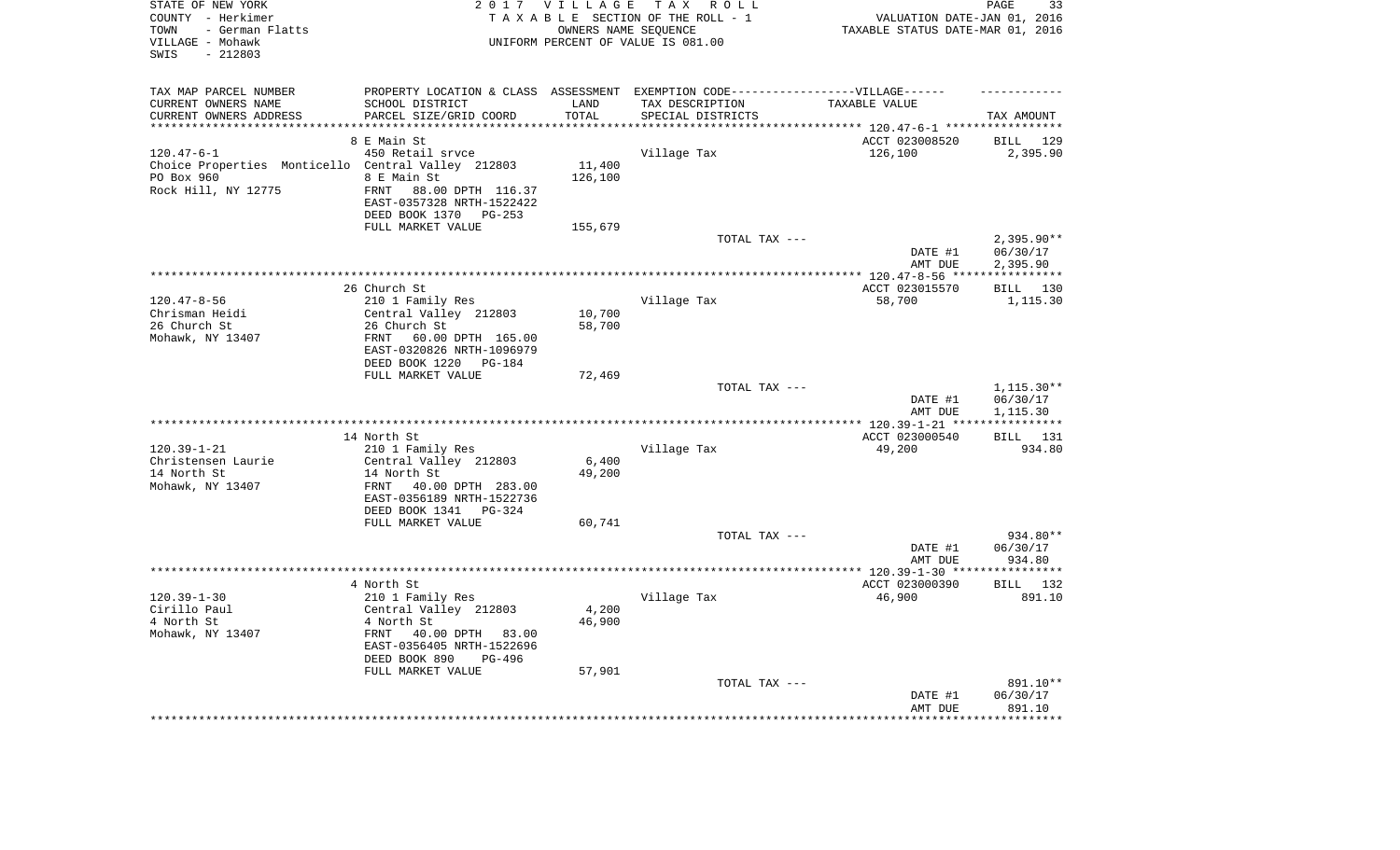| STATE OF NEW YORK<br>COUNTY - Herkimer<br>- German Flatts<br>TOWN<br>VILLAGE - Mohawk<br>$-212803$<br>SWIS |                                                                                   | 2017 VILLAGE<br>OWNERS NAME SEQUENCE | TAX ROLL<br>TAXABLE SECTION OF THE ROLL - 1<br>UNIFORM PERCENT OF VALUE IS 081.00 | VALUATION DATE-JAN 01, 2016<br>TAXABLE STATUS DATE-MAR 01, 2016 | 33<br>PAGE              |
|------------------------------------------------------------------------------------------------------------|-----------------------------------------------------------------------------------|--------------------------------------|-----------------------------------------------------------------------------------|-----------------------------------------------------------------|-------------------------|
| TAX MAP PARCEL NUMBER                                                                                      | PROPERTY LOCATION & CLASS ASSESSMENT EXEMPTION CODE-----------------VILLAGE------ |                                      |                                                                                   |                                                                 |                         |
| CURRENT OWNERS NAME<br>CURRENT OWNERS ADDRESS                                                              | SCHOOL DISTRICT<br>PARCEL SIZE/GRID COORD                                         | LAND<br>TOTAL                        | TAX DESCRIPTION<br>SPECIAL DISTRICTS                                              | TAXABLE VALUE                                                   |                         |
| **********************                                                                                     |                                                                                   |                                      |                                                                                   |                                                                 | TAX AMOUNT              |
|                                                                                                            | 8 E Main St                                                                       |                                      |                                                                                   | ACCT 023008520                                                  | BILL 129                |
| $120.47 - 6 - 1$                                                                                           | 450 Retail srvce                                                                  |                                      | Village Tax                                                                       | 126,100                                                         | 2,395.90                |
| Choice Properties Monticello Central Valley 212803                                                         |                                                                                   | 11,400                               |                                                                                   |                                                                 |                         |
| PO Box 960                                                                                                 | 8 E Main St                                                                       | 126,100                              |                                                                                   |                                                                 |                         |
| Rock Hill, NY 12775                                                                                        | 88.00 DPTH 116.37<br>FRNT                                                         |                                      |                                                                                   |                                                                 |                         |
|                                                                                                            | EAST-0357328 NRTH-1522422                                                         |                                      |                                                                                   |                                                                 |                         |
|                                                                                                            | DEED BOOK 1370 PG-253                                                             |                                      |                                                                                   |                                                                 |                         |
|                                                                                                            | FULL MARKET VALUE                                                                 | 155,679                              |                                                                                   |                                                                 |                         |
|                                                                                                            |                                                                                   |                                      | TOTAL TAX ---                                                                     |                                                                 | $2,395.90**$            |
|                                                                                                            |                                                                                   |                                      |                                                                                   | DATE #1                                                         | 06/30/17                |
|                                                                                                            |                                                                                   |                                      |                                                                                   | AMT DUE                                                         | 2,395.90                |
|                                                                                                            |                                                                                   |                                      |                                                                                   |                                                                 |                         |
|                                                                                                            | 26 Church St                                                                      |                                      |                                                                                   | ACCT 023015570                                                  | BILL 130                |
| $120.47 - 8 - 56$<br>Chrisman Heidi                                                                        | 210 1 Family Res                                                                  | 10,700                               | Village Tax                                                                       | 58,700                                                          | 1,115.30                |
| 26 Church St                                                                                               | Central Valley 212803<br>26 Church St                                             | 58,700                               |                                                                                   |                                                                 |                         |
| Mohawk, NY 13407                                                                                           | FRNT<br>60.00 DPTH 165.00                                                         |                                      |                                                                                   |                                                                 |                         |
|                                                                                                            | EAST-0320826 NRTH-1096979                                                         |                                      |                                                                                   |                                                                 |                         |
|                                                                                                            | DEED BOOK 1220<br>PG-184                                                          |                                      |                                                                                   |                                                                 |                         |
|                                                                                                            | FULL MARKET VALUE                                                                 | 72,469                               |                                                                                   |                                                                 |                         |
|                                                                                                            |                                                                                   |                                      | TOTAL TAX ---                                                                     |                                                                 | 1,115.30**              |
|                                                                                                            |                                                                                   |                                      |                                                                                   | DATE #1                                                         | 06/30/17                |
|                                                                                                            |                                                                                   |                                      |                                                                                   | AMT DUE                                                         | 1,115.30<br>*********** |
|                                                                                                            | 14 North St                                                                       |                                      |                                                                                   |                                                                 | BILL 131                |
| $120.39 - 1 - 21$                                                                                          | 210 1 Family Res                                                                  |                                      | Village Tax                                                                       | ACCT 023000540<br>49,200                                        | 934.80                  |
| Christensen Laurie                                                                                         | Central Valley 212803                                                             | 6,400                                |                                                                                   |                                                                 |                         |
| 14 North St                                                                                                | 14 North St                                                                       | 49,200                               |                                                                                   |                                                                 |                         |
| Mohawk, NY 13407                                                                                           | 40.00 DPTH 283.00<br>FRNT                                                         |                                      |                                                                                   |                                                                 |                         |
|                                                                                                            | EAST-0356189 NRTH-1522736                                                         |                                      |                                                                                   |                                                                 |                         |
|                                                                                                            | DEED BOOK 1341 PG-324                                                             |                                      |                                                                                   |                                                                 |                         |
|                                                                                                            | FULL MARKET VALUE                                                                 | 60,741                               |                                                                                   |                                                                 |                         |
|                                                                                                            |                                                                                   |                                      | TOTAL TAX ---                                                                     |                                                                 | 934.80**                |
|                                                                                                            |                                                                                   |                                      |                                                                                   | DATE #1                                                         | 06/30/17                |
|                                                                                                            |                                                                                   |                                      |                                                                                   | AMT DUE                                                         | 934.80                  |
|                                                                                                            |                                                                                   |                                      |                                                                                   |                                                                 |                         |
| $120.39 - 1 - 30$                                                                                          | 4 North St                                                                        |                                      |                                                                                   | ACCT 023000390                                                  | BILL 132                |
| Cirillo Paul                                                                                               | 210 1 Family Res<br>Central Valley 212803                                         | 4,200                                | Village Tax                                                                       | 46,900                                                          | 891.10                  |
| 4 North St                                                                                                 | 4 North St                                                                        | 46,900                               |                                                                                   |                                                                 |                         |
| Mohawk, NY 13407                                                                                           | FRNT<br>40.00 DPTH 83.00                                                          |                                      |                                                                                   |                                                                 |                         |
|                                                                                                            | EAST-0356405 NRTH-1522696                                                         |                                      |                                                                                   |                                                                 |                         |
|                                                                                                            | DEED BOOK 890<br>PG-496                                                           |                                      |                                                                                   |                                                                 |                         |
|                                                                                                            | FULL MARKET VALUE                                                                 | 57,901                               |                                                                                   |                                                                 |                         |
|                                                                                                            |                                                                                   |                                      | TOTAL TAX ---                                                                     |                                                                 | 891.10**                |
|                                                                                                            |                                                                                   |                                      |                                                                                   | DATE #1                                                         | 06/30/17                |
|                                                                                                            |                                                                                   |                                      |                                                                                   | AMT DUE                                                         | 891.10                  |
|                                                                                                            |                                                                                   |                                      |                                                                                   | *****************************                                   |                         |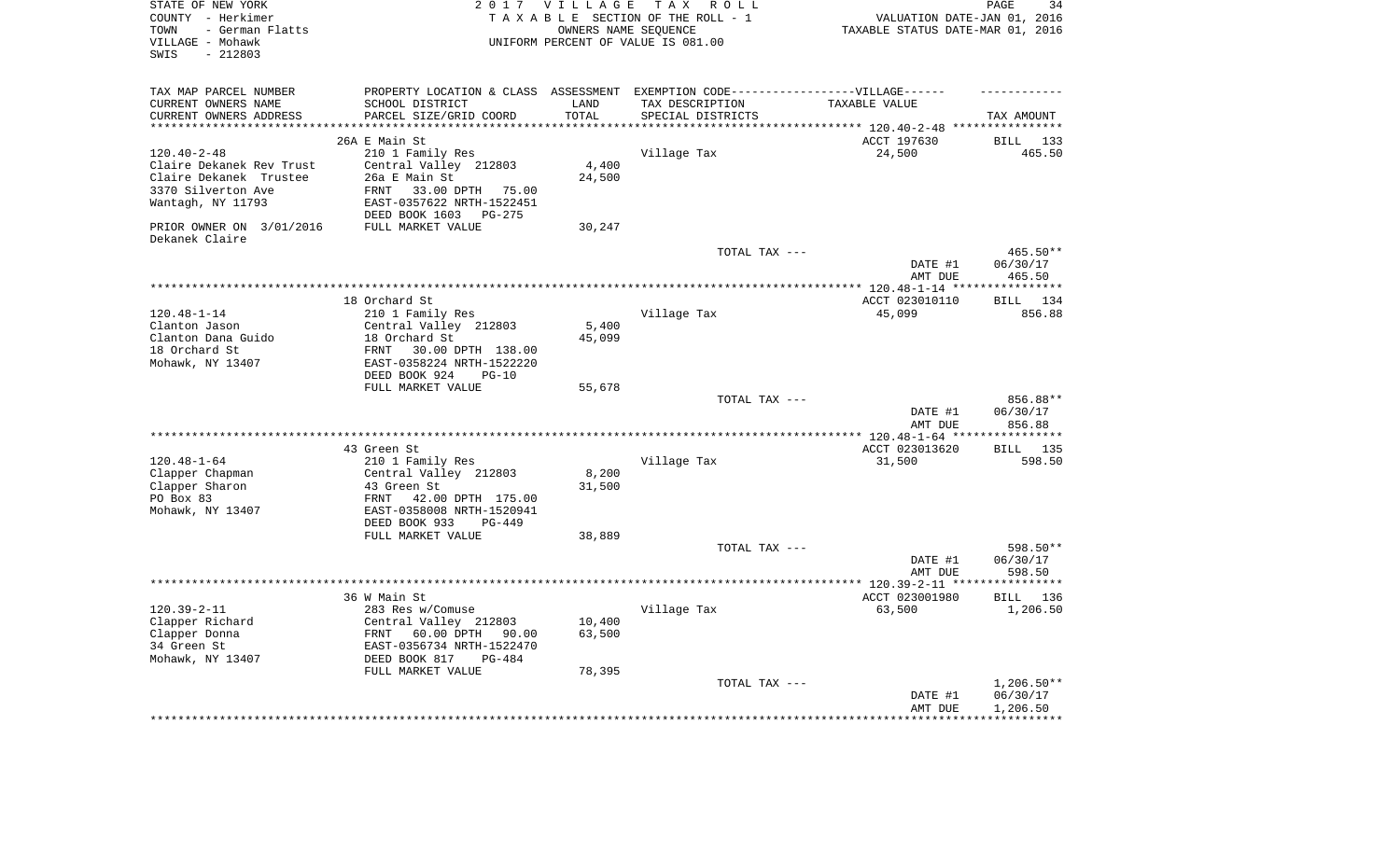| TAX MAP PARCEL NUMBER<br>PROPERTY LOCATION & CLASS ASSESSMENT EXEMPTION CODE----------------VILLAGE------<br>SCHOOL DISTRICT<br>CURRENT OWNERS NAME<br>LAND<br>TAX DESCRIPTION<br>TAXABLE VALUE<br>PARCEL SIZE/GRID COORD<br>TOTAL<br>CURRENT OWNERS ADDRESS<br>SPECIAL DISTRICTS<br>TAX AMOUNT<br>**********************<br>****************************<br>***********<br>26A E Main St<br>ACCT 197630<br>BILL 133<br>$120.40 - 2 - 48$<br>210 1 Family Res<br>Village Tax<br>24,500<br>465.50<br>Central Valley 212803<br>4,400<br>Claire Dekanek Rev Trust<br>Claire Dekanek Trustee<br>26a E Main St<br>24,500<br>33.00 DPTH<br>3370 Silverton Ave<br>FRNT<br>75.00<br>Wantagh, NY 11793<br>EAST-0357622 NRTH-1522451<br>DEED BOOK 1603<br>PG-275<br>PRIOR OWNER ON 3/01/2016<br>FULL MARKET VALUE<br>30,247<br>Dekanek Claire<br>TOTAL TAX ---<br>$465.50**$<br>DATE #1<br>06/30/17<br>465.50<br>AMT DUE<br>***********<br>18 Orchard St<br>ACCT 023010110<br>134<br>BILL<br>$120.48 - 1 - 14$<br>210 1 Family Res<br>Village Tax<br>45,099<br>856.88<br>Clanton Jason<br>Central Valley 212803<br>5,400<br>Clanton Dana Guido<br>18 Orchard St<br>45,099<br>18 Orchard St<br>30.00 DPTH 138.00<br>FRNT<br>Mohawk, NY 13407<br>EAST-0358224 NRTH-1522220<br>DEED BOOK 924<br>$PG-10$<br>FULL MARKET VALUE<br>55,678<br>856.88**<br>TOTAL TAX ---<br>DATE #1<br>06/30/17<br>856.88<br>AMT DUE<br>43 Green St<br>ACCT 023013620<br>BILL 135<br>$120.48 - 1 - 64$<br>210 1 Family Res<br>Village Tax<br>31,500<br>598.50<br>Clapper Chapman<br>Central Valley 212803<br>8,200<br>Clapper Sharon<br>43 Green St<br>31,500<br>PO Box 83<br><b>FRNT</b><br>42.00 DPTH 175.00<br>Mohawk, NY 13407<br>EAST-0358008 NRTH-1520941<br>DEED BOOK 933<br>$PG-449$<br>FULL MARKET VALUE<br>38,889<br>598.50**<br>TOTAL TAX ---<br>DATE #1<br>06/30/17<br>598.50<br>AMT DUE<br>***** 120.39-2-11 ***<br>* * * * * * * * *<br>36 W Main St<br>ACCT 023001980<br><b>BILL</b> 136<br>$120.39 - 2 - 11$<br>283 Res w/Comuse<br>Village Tax<br>63,500<br>1,206.50<br>Clapper Richard<br>Central Valley 212803<br>10,400<br>Clapper Donna<br>60.00 DPTH<br>63,500<br>FRNT<br>90.00<br>34 Green St<br>EAST-0356734 NRTH-1522470<br>Mohawk, NY 13407<br>DEED BOOK 817<br>$PG-484$<br>FULL MARKET VALUE<br>78,395<br>$1,206.50**$<br>TOTAL TAX ---<br>06/30/17<br>DATE #1<br>1,206.50<br>AMT DUE<br>************<br>****************** | STATE OF NEW YORK<br>COUNTY - Herkimer<br>- German Flatts<br>TOWN<br>VILLAGE - Mohawk<br>$-212803$<br>SWIS | 2 0 1 7 | <b>VILLAGE</b><br>OWNERS NAME SEQUENCE | TAX ROLL<br>TAXABLE SECTION OF THE ROLL - 1<br>UNIFORM PERCENT OF VALUE IS 081.00 | VALUATION DATE-JAN 01, 2016<br>TAXABLE STATUS DATE-MAR 01, 2016 | 34<br>PAGE |
|----------------------------------------------------------------------------------------------------------------------------------------------------------------------------------------------------------------------------------------------------------------------------------------------------------------------------------------------------------------------------------------------------------------------------------------------------------------------------------------------------------------------------------------------------------------------------------------------------------------------------------------------------------------------------------------------------------------------------------------------------------------------------------------------------------------------------------------------------------------------------------------------------------------------------------------------------------------------------------------------------------------------------------------------------------------------------------------------------------------------------------------------------------------------------------------------------------------------------------------------------------------------------------------------------------------------------------------------------------------------------------------------------------------------------------------------------------------------------------------------------------------------------------------------------------------------------------------------------------------------------------------------------------------------------------------------------------------------------------------------------------------------------------------------------------------------------------------------------------------------------------------------------------------------------------------------------------------------------------------------------------------------------------------------------------------------------------------------------------------------------------------------------------------------------------------------------------------------------------------------------------------------------------------------------------------------------------------------------------------------------------------------------------------------|------------------------------------------------------------------------------------------------------------|---------|----------------------------------------|-----------------------------------------------------------------------------------|-----------------------------------------------------------------|------------|
|                                                                                                                                                                                                                                                                                                                                                                                                                                                                                                                                                                                                                                                                                                                                                                                                                                                                                                                                                                                                                                                                                                                                                                                                                                                                                                                                                                                                                                                                                                                                                                                                                                                                                                                                                                                                                                                                                                                                                                                                                                                                                                                                                                                                                                                                                                                                                                                                                      |                                                                                                            |         |                                        |                                                                                   |                                                                 |            |
|                                                                                                                                                                                                                                                                                                                                                                                                                                                                                                                                                                                                                                                                                                                                                                                                                                                                                                                                                                                                                                                                                                                                                                                                                                                                                                                                                                                                                                                                                                                                                                                                                                                                                                                                                                                                                                                                                                                                                                                                                                                                                                                                                                                                                                                                                                                                                                                                                      |                                                                                                            |         |                                        |                                                                                   |                                                                 |            |
|                                                                                                                                                                                                                                                                                                                                                                                                                                                                                                                                                                                                                                                                                                                                                                                                                                                                                                                                                                                                                                                                                                                                                                                                                                                                                                                                                                                                                                                                                                                                                                                                                                                                                                                                                                                                                                                                                                                                                                                                                                                                                                                                                                                                                                                                                                                                                                                                                      |                                                                                                            |         |                                        |                                                                                   |                                                                 |            |
|                                                                                                                                                                                                                                                                                                                                                                                                                                                                                                                                                                                                                                                                                                                                                                                                                                                                                                                                                                                                                                                                                                                                                                                                                                                                                                                                                                                                                                                                                                                                                                                                                                                                                                                                                                                                                                                                                                                                                                                                                                                                                                                                                                                                                                                                                                                                                                                                                      |                                                                                                            |         |                                        |                                                                                   |                                                                 |            |
|                                                                                                                                                                                                                                                                                                                                                                                                                                                                                                                                                                                                                                                                                                                                                                                                                                                                                                                                                                                                                                                                                                                                                                                                                                                                                                                                                                                                                                                                                                                                                                                                                                                                                                                                                                                                                                                                                                                                                                                                                                                                                                                                                                                                                                                                                                                                                                                                                      |                                                                                                            |         |                                        |                                                                                   |                                                                 |            |
|                                                                                                                                                                                                                                                                                                                                                                                                                                                                                                                                                                                                                                                                                                                                                                                                                                                                                                                                                                                                                                                                                                                                                                                                                                                                                                                                                                                                                                                                                                                                                                                                                                                                                                                                                                                                                                                                                                                                                                                                                                                                                                                                                                                                                                                                                                                                                                                                                      |                                                                                                            |         |                                        |                                                                                   |                                                                 |            |
|                                                                                                                                                                                                                                                                                                                                                                                                                                                                                                                                                                                                                                                                                                                                                                                                                                                                                                                                                                                                                                                                                                                                                                                                                                                                                                                                                                                                                                                                                                                                                                                                                                                                                                                                                                                                                                                                                                                                                                                                                                                                                                                                                                                                                                                                                                                                                                                                                      |                                                                                                            |         |                                        |                                                                                   |                                                                 |            |
|                                                                                                                                                                                                                                                                                                                                                                                                                                                                                                                                                                                                                                                                                                                                                                                                                                                                                                                                                                                                                                                                                                                                                                                                                                                                                                                                                                                                                                                                                                                                                                                                                                                                                                                                                                                                                                                                                                                                                                                                                                                                                                                                                                                                                                                                                                                                                                                                                      |                                                                                                            |         |                                        |                                                                                   |                                                                 |            |
|                                                                                                                                                                                                                                                                                                                                                                                                                                                                                                                                                                                                                                                                                                                                                                                                                                                                                                                                                                                                                                                                                                                                                                                                                                                                                                                                                                                                                                                                                                                                                                                                                                                                                                                                                                                                                                                                                                                                                                                                                                                                                                                                                                                                                                                                                                                                                                                                                      |                                                                                                            |         |                                        |                                                                                   |                                                                 |            |
|                                                                                                                                                                                                                                                                                                                                                                                                                                                                                                                                                                                                                                                                                                                                                                                                                                                                                                                                                                                                                                                                                                                                                                                                                                                                                                                                                                                                                                                                                                                                                                                                                                                                                                                                                                                                                                                                                                                                                                                                                                                                                                                                                                                                                                                                                                                                                                                                                      |                                                                                                            |         |                                        |                                                                                   |                                                                 |            |
|                                                                                                                                                                                                                                                                                                                                                                                                                                                                                                                                                                                                                                                                                                                                                                                                                                                                                                                                                                                                                                                                                                                                                                                                                                                                                                                                                                                                                                                                                                                                                                                                                                                                                                                                                                                                                                                                                                                                                                                                                                                                                                                                                                                                                                                                                                                                                                                                                      |                                                                                                            |         |                                        |                                                                                   |                                                                 |            |
|                                                                                                                                                                                                                                                                                                                                                                                                                                                                                                                                                                                                                                                                                                                                                                                                                                                                                                                                                                                                                                                                                                                                                                                                                                                                                                                                                                                                                                                                                                                                                                                                                                                                                                                                                                                                                                                                                                                                                                                                                                                                                                                                                                                                                                                                                                                                                                                                                      |                                                                                                            |         |                                        |                                                                                   |                                                                 |            |
|                                                                                                                                                                                                                                                                                                                                                                                                                                                                                                                                                                                                                                                                                                                                                                                                                                                                                                                                                                                                                                                                                                                                                                                                                                                                                                                                                                                                                                                                                                                                                                                                                                                                                                                                                                                                                                                                                                                                                                                                                                                                                                                                                                                                                                                                                                                                                                                                                      |                                                                                                            |         |                                        |                                                                                   |                                                                 |            |
|                                                                                                                                                                                                                                                                                                                                                                                                                                                                                                                                                                                                                                                                                                                                                                                                                                                                                                                                                                                                                                                                                                                                                                                                                                                                                                                                                                                                                                                                                                                                                                                                                                                                                                                                                                                                                                                                                                                                                                                                                                                                                                                                                                                                                                                                                                                                                                                                                      |                                                                                                            |         |                                        |                                                                                   |                                                                 |            |
|                                                                                                                                                                                                                                                                                                                                                                                                                                                                                                                                                                                                                                                                                                                                                                                                                                                                                                                                                                                                                                                                                                                                                                                                                                                                                                                                                                                                                                                                                                                                                                                                                                                                                                                                                                                                                                                                                                                                                                                                                                                                                                                                                                                                                                                                                                                                                                                                                      |                                                                                                            |         |                                        |                                                                                   |                                                                 |            |
|                                                                                                                                                                                                                                                                                                                                                                                                                                                                                                                                                                                                                                                                                                                                                                                                                                                                                                                                                                                                                                                                                                                                                                                                                                                                                                                                                                                                                                                                                                                                                                                                                                                                                                                                                                                                                                                                                                                                                                                                                                                                                                                                                                                                                                                                                                                                                                                                                      |                                                                                                            |         |                                        |                                                                                   |                                                                 |            |
|                                                                                                                                                                                                                                                                                                                                                                                                                                                                                                                                                                                                                                                                                                                                                                                                                                                                                                                                                                                                                                                                                                                                                                                                                                                                                                                                                                                                                                                                                                                                                                                                                                                                                                                                                                                                                                                                                                                                                                                                                                                                                                                                                                                                                                                                                                                                                                                                                      |                                                                                                            |         |                                        |                                                                                   |                                                                 |            |
|                                                                                                                                                                                                                                                                                                                                                                                                                                                                                                                                                                                                                                                                                                                                                                                                                                                                                                                                                                                                                                                                                                                                                                                                                                                                                                                                                                                                                                                                                                                                                                                                                                                                                                                                                                                                                                                                                                                                                                                                                                                                                                                                                                                                                                                                                                                                                                                                                      |                                                                                                            |         |                                        |                                                                                   |                                                                 |            |
|                                                                                                                                                                                                                                                                                                                                                                                                                                                                                                                                                                                                                                                                                                                                                                                                                                                                                                                                                                                                                                                                                                                                                                                                                                                                                                                                                                                                                                                                                                                                                                                                                                                                                                                                                                                                                                                                                                                                                                                                                                                                                                                                                                                                                                                                                                                                                                                                                      |                                                                                                            |         |                                        |                                                                                   |                                                                 |            |
|                                                                                                                                                                                                                                                                                                                                                                                                                                                                                                                                                                                                                                                                                                                                                                                                                                                                                                                                                                                                                                                                                                                                                                                                                                                                                                                                                                                                                                                                                                                                                                                                                                                                                                                                                                                                                                                                                                                                                                                                                                                                                                                                                                                                                                                                                                                                                                                                                      |                                                                                                            |         |                                        |                                                                                   |                                                                 |            |
|                                                                                                                                                                                                                                                                                                                                                                                                                                                                                                                                                                                                                                                                                                                                                                                                                                                                                                                                                                                                                                                                                                                                                                                                                                                                                                                                                                                                                                                                                                                                                                                                                                                                                                                                                                                                                                                                                                                                                                                                                                                                                                                                                                                                                                                                                                                                                                                                                      |                                                                                                            |         |                                        |                                                                                   |                                                                 |            |
|                                                                                                                                                                                                                                                                                                                                                                                                                                                                                                                                                                                                                                                                                                                                                                                                                                                                                                                                                                                                                                                                                                                                                                                                                                                                                                                                                                                                                                                                                                                                                                                                                                                                                                                                                                                                                                                                                                                                                                                                                                                                                                                                                                                                                                                                                                                                                                                                                      |                                                                                                            |         |                                        |                                                                                   |                                                                 |            |
|                                                                                                                                                                                                                                                                                                                                                                                                                                                                                                                                                                                                                                                                                                                                                                                                                                                                                                                                                                                                                                                                                                                                                                                                                                                                                                                                                                                                                                                                                                                                                                                                                                                                                                                                                                                                                                                                                                                                                                                                                                                                                                                                                                                                                                                                                                                                                                                                                      |                                                                                                            |         |                                        |                                                                                   |                                                                 |            |
|                                                                                                                                                                                                                                                                                                                                                                                                                                                                                                                                                                                                                                                                                                                                                                                                                                                                                                                                                                                                                                                                                                                                                                                                                                                                                                                                                                                                                                                                                                                                                                                                                                                                                                                                                                                                                                                                                                                                                                                                                                                                                                                                                                                                                                                                                                                                                                                                                      |                                                                                                            |         |                                        |                                                                                   |                                                                 |            |
|                                                                                                                                                                                                                                                                                                                                                                                                                                                                                                                                                                                                                                                                                                                                                                                                                                                                                                                                                                                                                                                                                                                                                                                                                                                                                                                                                                                                                                                                                                                                                                                                                                                                                                                                                                                                                                                                                                                                                                                                                                                                                                                                                                                                                                                                                                                                                                                                                      |                                                                                                            |         |                                        |                                                                                   |                                                                 |            |
|                                                                                                                                                                                                                                                                                                                                                                                                                                                                                                                                                                                                                                                                                                                                                                                                                                                                                                                                                                                                                                                                                                                                                                                                                                                                                                                                                                                                                                                                                                                                                                                                                                                                                                                                                                                                                                                                                                                                                                                                                                                                                                                                                                                                                                                                                                                                                                                                                      |                                                                                                            |         |                                        |                                                                                   |                                                                 |            |
|                                                                                                                                                                                                                                                                                                                                                                                                                                                                                                                                                                                                                                                                                                                                                                                                                                                                                                                                                                                                                                                                                                                                                                                                                                                                                                                                                                                                                                                                                                                                                                                                                                                                                                                                                                                                                                                                                                                                                                                                                                                                                                                                                                                                                                                                                                                                                                                                                      |                                                                                                            |         |                                        |                                                                                   |                                                                 |            |
|                                                                                                                                                                                                                                                                                                                                                                                                                                                                                                                                                                                                                                                                                                                                                                                                                                                                                                                                                                                                                                                                                                                                                                                                                                                                                                                                                                                                                                                                                                                                                                                                                                                                                                                                                                                                                                                                                                                                                                                                                                                                                                                                                                                                                                                                                                                                                                                                                      |                                                                                                            |         |                                        |                                                                                   |                                                                 |            |
|                                                                                                                                                                                                                                                                                                                                                                                                                                                                                                                                                                                                                                                                                                                                                                                                                                                                                                                                                                                                                                                                                                                                                                                                                                                                                                                                                                                                                                                                                                                                                                                                                                                                                                                                                                                                                                                                                                                                                                                                                                                                                                                                                                                                                                                                                                                                                                                                                      |                                                                                                            |         |                                        |                                                                                   |                                                                 |            |
|                                                                                                                                                                                                                                                                                                                                                                                                                                                                                                                                                                                                                                                                                                                                                                                                                                                                                                                                                                                                                                                                                                                                                                                                                                                                                                                                                                                                                                                                                                                                                                                                                                                                                                                                                                                                                                                                                                                                                                                                                                                                                                                                                                                                                                                                                                                                                                                                                      |                                                                                                            |         |                                        |                                                                                   |                                                                 |            |
|                                                                                                                                                                                                                                                                                                                                                                                                                                                                                                                                                                                                                                                                                                                                                                                                                                                                                                                                                                                                                                                                                                                                                                                                                                                                                                                                                                                                                                                                                                                                                                                                                                                                                                                                                                                                                                                                                                                                                                                                                                                                                                                                                                                                                                                                                                                                                                                                                      |                                                                                                            |         |                                        |                                                                                   |                                                                 |            |
|                                                                                                                                                                                                                                                                                                                                                                                                                                                                                                                                                                                                                                                                                                                                                                                                                                                                                                                                                                                                                                                                                                                                                                                                                                                                                                                                                                                                                                                                                                                                                                                                                                                                                                                                                                                                                                                                                                                                                                                                                                                                                                                                                                                                                                                                                                                                                                                                                      |                                                                                                            |         |                                        |                                                                                   |                                                                 |            |
|                                                                                                                                                                                                                                                                                                                                                                                                                                                                                                                                                                                                                                                                                                                                                                                                                                                                                                                                                                                                                                                                                                                                                                                                                                                                                                                                                                                                                                                                                                                                                                                                                                                                                                                                                                                                                                                                                                                                                                                                                                                                                                                                                                                                                                                                                                                                                                                                                      |                                                                                                            |         |                                        |                                                                                   |                                                                 |            |
|                                                                                                                                                                                                                                                                                                                                                                                                                                                                                                                                                                                                                                                                                                                                                                                                                                                                                                                                                                                                                                                                                                                                                                                                                                                                                                                                                                                                                                                                                                                                                                                                                                                                                                                                                                                                                                                                                                                                                                                                                                                                                                                                                                                                                                                                                                                                                                                                                      |                                                                                                            |         |                                        |                                                                                   |                                                                 |            |
|                                                                                                                                                                                                                                                                                                                                                                                                                                                                                                                                                                                                                                                                                                                                                                                                                                                                                                                                                                                                                                                                                                                                                                                                                                                                                                                                                                                                                                                                                                                                                                                                                                                                                                                                                                                                                                                                                                                                                                                                                                                                                                                                                                                                                                                                                                                                                                                                                      |                                                                                                            |         |                                        |                                                                                   |                                                                 |            |
|                                                                                                                                                                                                                                                                                                                                                                                                                                                                                                                                                                                                                                                                                                                                                                                                                                                                                                                                                                                                                                                                                                                                                                                                                                                                                                                                                                                                                                                                                                                                                                                                                                                                                                                                                                                                                                                                                                                                                                                                                                                                                                                                                                                                                                                                                                                                                                                                                      |                                                                                                            |         |                                        |                                                                                   |                                                                 |            |
|                                                                                                                                                                                                                                                                                                                                                                                                                                                                                                                                                                                                                                                                                                                                                                                                                                                                                                                                                                                                                                                                                                                                                                                                                                                                                                                                                                                                                                                                                                                                                                                                                                                                                                                                                                                                                                                                                                                                                                                                                                                                                                                                                                                                                                                                                                                                                                                                                      |                                                                                                            |         |                                        |                                                                                   |                                                                 |            |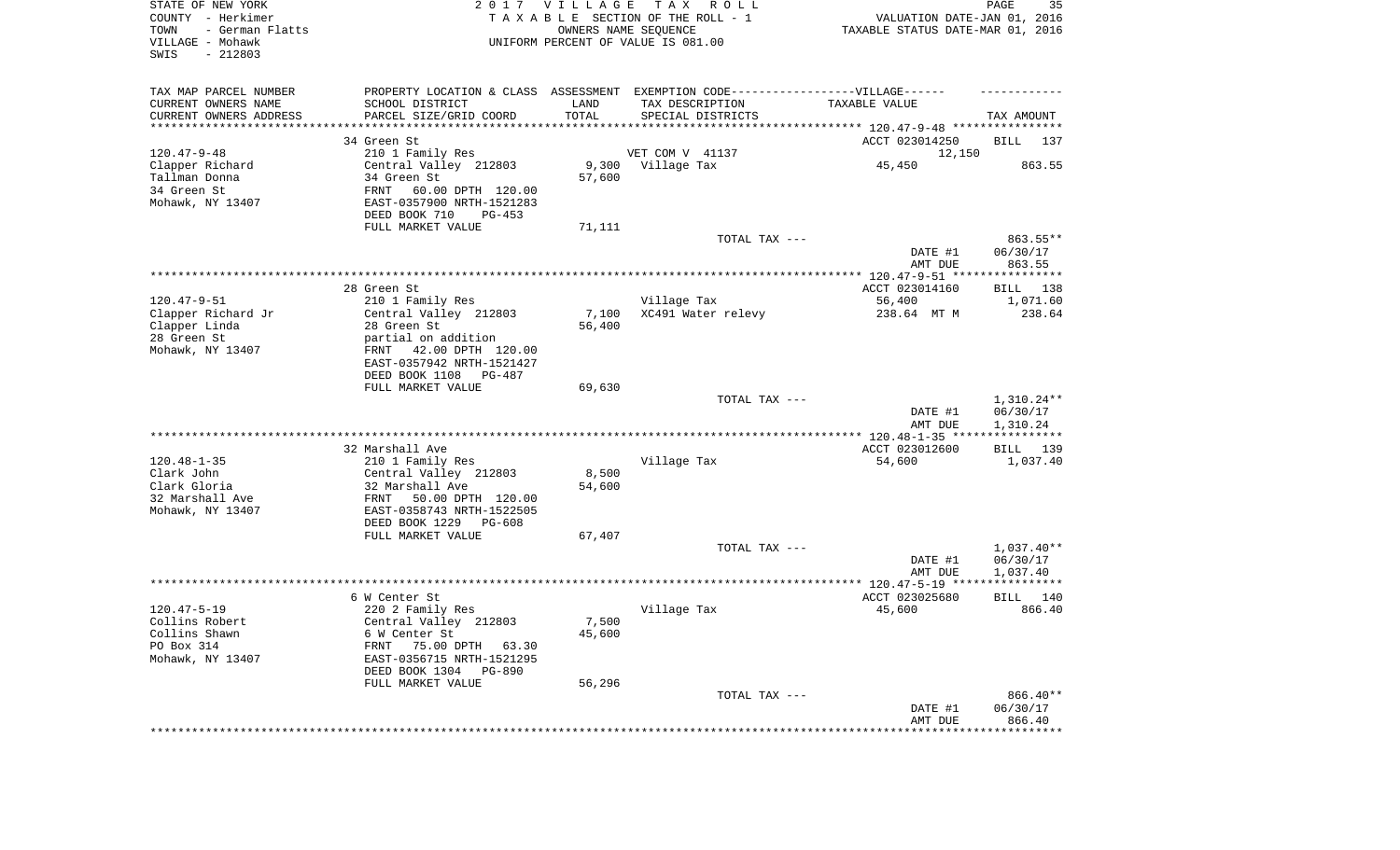| STATE OF NEW YORK<br>COUNTY - Herkimer<br>TOWN<br>- German Flatts<br>VILLAGE - Mohawk<br>SWIS<br>$-212803$ |                                                                                   | 2017 VILLAGE | T A X<br>R O L L<br>TAXABLE SECTION OF THE ROLL - 1<br>OWNERS NAME SEQUENCE<br>UNIFORM PERCENT OF VALUE IS 081.00 | VALUATION DATE-JAN 01, 2016<br>TAXABLE STATUS DATE-MAR 01, 2016 | PAGE<br>35         |
|------------------------------------------------------------------------------------------------------------|-----------------------------------------------------------------------------------|--------------|-------------------------------------------------------------------------------------------------------------------|-----------------------------------------------------------------|--------------------|
| TAX MAP PARCEL NUMBER                                                                                      | PROPERTY LOCATION & CLASS ASSESSMENT EXEMPTION CODE-----------------VILLAGE------ |              |                                                                                                                   |                                                                 |                    |
| CURRENT OWNERS NAME                                                                                        | SCHOOL DISTRICT                                                                   | LAND         | TAX DESCRIPTION                                                                                                   | TAXABLE VALUE                                                   |                    |
| CURRENT OWNERS ADDRESS<br>********************                                                             | PARCEL SIZE/GRID COORD<br>****************                                        | TOTAL        | SPECIAL DISTRICTS                                                                                                 |                                                                 | TAX AMOUNT         |
|                                                                                                            | 34 Green St                                                                       |              |                                                                                                                   | ACCT 023014250                                                  | BILL<br>137        |
| $120.47 - 9 - 48$                                                                                          | 210 1 Family Res                                                                  |              | VET COM V 41137                                                                                                   | 12,150                                                          |                    |
| Clapper Richard                                                                                            | Central Valley 212803                                                             | 9,300        | Village Tax                                                                                                       | 45,450                                                          | 863.55             |
| Tallman Donna                                                                                              | 34 Green St                                                                       | 57,600       |                                                                                                                   |                                                                 |                    |
| 34 Green St                                                                                                | FRNT<br>60.00 DPTH 120.00                                                         |              |                                                                                                                   |                                                                 |                    |
| Mohawk, NY 13407                                                                                           | EAST-0357900 NRTH-1521283                                                         |              |                                                                                                                   |                                                                 |                    |
|                                                                                                            | DEED BOOK 710<br>PG-453                                                           |              |                                                                                                                   |                                                                 |                    |
|                                                                                                            | FULL MARKET VALUE                                                                 | 71,111       |                                                                                                                   |                                                                 |                    |
|                                                                                                            |                                                                                   |              | TOTAL TAX ---                                                                                                     |                                                                 | 863.55**           |
|                                                                                                            |                                                                                   |              |                                                                                                                   | DATE #1                                                         | 06/30/17           |
|                                                                                                            |                                                                                   |              |                                                                                                                   | AMT DUE                                                         | 863.55             |
|                                                                                                            | 28 Green St                                                                       |              |                                                                                                                   | ACCT 023014160                                                  | BILL 138           |
| $120.47 - 9 - 51$                                                                                          | 210 1 Family Res                                                                  |              | Village Tax                                                                                                       | 56,400                                                          | 1,071.60           |
| Clapper Richard Jr                                                                                         | Central Valley 212803                                                             | 7,100        | XC491 Water relevy                                                                                                | 238.64 MT M                                                     | 238.64             |
| Clapper Linda                                                                                              | 28 Green St                                                                       | 56,400       |                                                                                                                   |                                                                 |                    |
| 28 Green St                                                                                                | partial on addition                                                               |              |                                                                                                                   |                                                                 |                    |
| Mohawk, NY 13407                                                                                           | FRNT 42.00 DPTH 120.00                                                            |              |                                                                                                                   |                                                                 |                    |
|                                                                                                            | EAST-0357942 NRTH-1521427                                                         |              |                                                                                                                   |                                                                 |                    |
|                                                                                                            | DEED BOOK 1108<br>PG-487                                                          |              |                                                                                                                   |                                                                 |                    |
|                                                                                                            | FULL MARKET VALUE                                                                 | 69,630       | TOTAL TAX ---                                                                                                     |                                                                 | $1,310.24**$       |
|                                                                                                            |                                                                                   |              |                                                                                                                   | DATE #1                                                         | 06/30/17           |
|                                                                                                            |                                                                                   |              |                                                                                                                   | AMT DUE                                                         | 1,310.24           |
|                                                                                                            |                                                                                   |              |                                                                                                                   | ************** 120.48-1-35 ****                                 | ************       |
|                                                                                                            | 32 Marshall Ave                                                                   |              |                                                                                                                   | ACCT 023012600                                                  | <b>BILL</b><br>139 |
| $120.48 - 1 - 35$                                                                                          | 210 1 Family Res                                                                  |              | Village Tax                                                                                                       | 54,600                                                          | 1,037.40           |
| Clark John                                                                                                 | Central Valley 212803                                                             | 8,500        |                                                                                                                   |                                                                 |                    |
| Clark Gloria                                                                                               | 32 Marshall Ave                                                                   | 54,600       |                                                                                                                   |                                                                 |                    |
| 32 Marshall Ave                                                                                            | FRNT<br>50.00 DPTH 120.00                                                         |              |                                                                                                                   |                                                                 |                    |
| Mohawk, NY 13407                                                                                           | EAST-0358743 NRTH-1522505                                                         |              |                                                                                                                   |                                                                 |                    |
|                                                                                                            | DEED BOOK 1229<br>PG-608<br>FULL MARKET VALUE                                     | 67,407       |                                                                                                                   |                                                                 |                    |
|                                                                                                            |                                                                                   |              | TOTAL TAX ---                                                                                                     |                                                                 | $1,037.40**$       |
|                                                                                                            |                                                                                   |              |                                                                                                                   | DATE #1                                                         | 06/30/17           |
|                                                                                                            |                                                                                   |              |                                                                                                                   | AMT DUE                                                         | 1,037.40           |
|                                                                                                            |                                                                                   |              |                                                                                                                   |                                                                 |                    |
|                                                                                                            | 6 W Center St                                                                     |              |                                                                                                                   | ACCT 023025680                                                  | 140<br>BILL        |
| $120.47 - 5 - 19$                                                                                          | 220 2 Family Res                                                                  |              | Village Tax                                                                                                       | 45,600                                                          | 866.40             |
| Collins Robert                                                                                             | Central Valley 212803                                                             | 7,500        |                                                                                                                   |                                                                 |                    |
| Collins Shawn                                                                                              | 6 W Center St                                                                     | 45,600       |                                                                                                                   |                                                                 |                    |
| PO Box 314                                                                                                 | 75.00 DPTH 63.30<br>FRNT                                                          |              |                                                                                                                   |                                                                 |                    |
| Mohawk, NY 13407                                                                                           | EAST-0356715 NRTH-1521295<br>DEED BOOK 1304 PG-890                                |              |                                                                                                                   |                                                                 |                    |
|                                                                                                            | FULL MARKET VALUE                                                                 | 56,296       |                                                                                                                   |                                                                 |                    |
|                                                                                                            |                                                                                   |              | TOTAL TAX ---                                                                                                     |                                                                 | 866.40**           |
|                                                                                                            |                                                                                   |              |                                                                                                                   | DATE #1                                                         | 06/30/17           |
|                                                                                                            |                                                                                   |              |                                                                                                                   | AMT DUE                                                         | 866.40             |
|                                                                                                            |                                                                                   |              |                                                                                                                   |                                                                 |                    |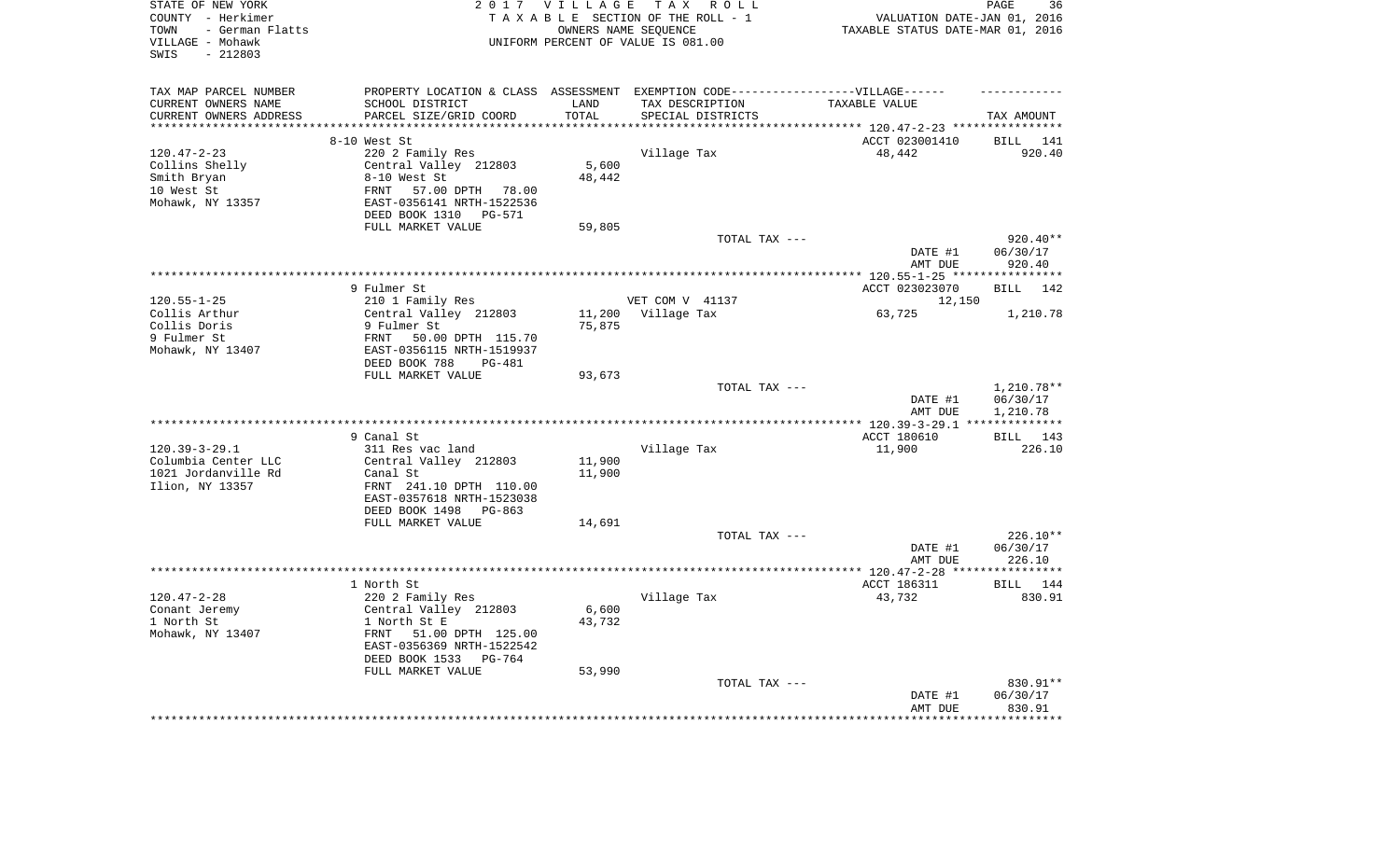| TAX MAP PARCEL NUMBER<br>PROPERTY LOCATION & CLASS ASSESSMENT EXEMPTION CODE----------------VILLAGE------<br>CURRENT OWNERS NAME<br>SCHOOL DISTRICT<br>LAND<br>TAX DESCRIPTION<br>TAXABLE VALUE<br>PARCEL SIZE/GRID COORD<br>CURRENT OWNERS ADDRESS<br>TOTAL<br>SPECIAL DISTRICTS<br>TAX AMOUNT<br>*********************<br>****************************<br>***********<br>8-10 West St<br>ACCT 023001410<br>BILL 141<br>$120.47 - 2 - 23$<br>220 2 Family Res<br>Village Tax<br>48,442<br>920.40<br>5,600<br>Collins Shelly<br>Central Valley 212803<br>Smith Bryan<br>8-10 West St<br>48,442<br>10 West St<br>57.00 DPTH 78.00<br>FRNT<br>Mohawk, NY 13357<br>EAST-0356141 NRTH-1522536<br>DEED BOOK 1310 PG-571<br>FULL MARKET VALUE<br>59,805<br>TOTAL TAX ---<br>$920.40**$<br>DATE #1<br>06/30/17<br>920.40<br>AMT DUE<br>9 Fulmer St<br>ACCT 023023070<br><b>BILL</b><br>142<br>$120.55 - 1 - 25$<br>210 1 Family Res<br>VET COM V 41137<br>12,150<br>Collis Arthur<br>Central Valley 212803<br>11,200<br>Village Tax<br>63,725<br>1,210.78<br>Collis Doris<br>75,875<br>9 Fulmer St<br>9 Fulmer St<br>FRNT<br>50.00 DPTH 115.70<br>Mohawk, NY 13407<br>EAST-0356115 NRTH-1519937<br>DEED BOOK 788<br><b>PG-481</b><br>FULL MARKET VALUE<br>93,673<br>TOTAL TAX ---<br>1,210.78**<br>DATE #1<br>06/30/17<br>AMT DUE<br>1,210.78<br>* * * * * * * * * * *<br>9 Canal St<br>ACCT 180610<br>BILL 143<br>$120.39 - 3 - 29.1$<br>311 Res vac land<br>Village Tax<br>11,900<br>226.10<br>Columbia Center LLC<br>Central Valley 212803<br>11,900<br>1021 Jordanville Rd<br>11,900<br>Canal St<br>Ilion, NY 13357<br>FRNT 241.10 DPTH 110.00<br>EAST-0357618 NRTH-1523038<br>DEED BOOK 1498 PG-863<br>FULL MARKET VALUE<br>14,691<br>226.10**<br>TOTAL TAX ---<br>DATE #1<br>06/30/17<br>226.10<br>AMT DUE<br>1 North St<br>ACCT 186311<br>BILL 144<br>$120.47 - 2 - 28$<br>Village Tax<br>220 2 Family Res<br>43,732<br>830.91<br>Conant Jeremy<br>Central Valley 212803<br>6,600<br>1 North St<br>1 North St E<br>43,732<br>Mohawk, NY 13407<br>FRNT<br>51.00 DPTH 125.00<br>EAST-0356369 NRTH-1522542<br>DEED BOOK 1533<br>PG-764<br>FULL MARKET VALUE<br>53,990<br>TOTAL TAX ---<br>830.91**<br>06/30/17<br>DATE #1<br>AMT DUE<br>830.91<br>* * * * * * * * * | STATE OF NEW YORK<br>COUNTY - Herkimer<br>- German Flatts<br>TOWN<br>VILLAGE - Mohawk<br>$-212803$<br>SWIS | 2017 VILLAGE<br>OWNERS NAME SEQUENCE | TAX ROLL<br>TAXABLE SECTION OF THE ROLL - 1<br>UNIFORM PERCENT OF VALUE IS 081.00 | VALUATION DATE-JAN 01, 2016<br>TAXABLE STATUS DATE-MAR 01, 2016 | PAGE<br>36 |
|------------------------------------------------------------------------------------------------------------------------------------------------------------------------------------------------------------------------------------------------------------------------------------------------------------------------------------------------------------------------------------------------------------------------------------------------------------------------------------------------------------------------------------------------------------------------------------------------------------------------------------------------------------------------------------------------------------------------------------------------------------------------------------------------------------------------------------------------------------------------------------------------------------------------------------------------------------------------------------------------------------------------------------------------------------------------------------------------------------------------------------------------------------------------------------------------------------------------------------------------------------------------------------------------------------------------------------------------------------------------------------------------------------------------------------------------------------------------------------------------------------------------------------------------------------------------------------------------------------------------------------------------------------------------------------------------------------------------------------------------------------------------------------------------------------------------------------------------------------------------------------------------------------------------------------------------------------------------------------------------------------------------------------------------------------------------------------------------------------------------------------------------------------------------------------------------------------------------------------------------------------------|------------------------------------------------------------------------------------------------------------|--------------------------------------|-----------------------------------------------------------------------------------|-----------------------------------------------------------------|------------|
|                                                                                                                                                                                                                                                                                                                                                                                                                                                                                                                                                                                                                                                                                                                                                                                                                                                                                                                                                                                                                                                                                                                                                                                                                                                                                                                                                                                                                                                                                                                                                                                                                                                                                                                                                                                                                                                                                                                                                                                                                                                                                                                                                                                                                                                                  |                                                                                                            |                                      |                                                                                   |                                                                 |            |
|                                                                                                                                                                                                                                                                                                                                                                                                                                                                                                                                                                                                                                                                                                                                                                                                                                                                                                                                                                                                                                                                                                                                                                                                                                                                                                                                                                                                                                                                                                                                                                                                                                                                                                                                                                                                                                                                                                                                                                                                                                                                                                                                                                                                                                                                  |                                                                                                            |                                      |                                                                                   |                                                                 |            |
|                                                                                                                                                                                                                                                                                                                                                                                                                                                                                                                                                                                                                                                                                                                                                                                                                                                                                                                                                                                                                                                                                                                                                                                                                                                                                                                                                                                                                                                                                                                                                                                                                                                                                                                                                                                                                                                                                                                                                                                                                                                                                                                                                                                                                                                                  |                                                                                                            |                                      |                                                                                   |                                                                 |            |
|                                                                                                                                                                                                                                                                                                                                                                                                                                                                                                                                                                                                                                                                                                                                                                                                                                                                                                                                                                                                                                                                                                                                                                                                                                                                                                                                                                                                                                                                                                                                                                                                                                                                                                                                                                                                                                                                                                                                                                                                                                                                                                                                                                                                                                                                  |                                                                                                            |                                      |                                                                                   |                                                                 |            |
|                                                                                                                                                                                                                                                                                                                                                                                                                                                                                                                                                                                                                                                                                                                                                                                                                                                                                                                                                                                                                                                                                                                                                                                                                                                                                                                                                                                                                                                                                                                                                                                                                                                                                                                                                                                                                                                                                                                                                                                                                                                                                                                                                                                                                                                                  |                                                                                                            |                                      |                                                                                   |                                                                 |            |
|                                                                                                                                                                                                                                                                                                                                                                                                                                                                                                                                                                                                                                                                                                                                                                                                                                                                                                                                                                                                                                                                                                                                                                                                                                                                                                                                                                                                                                                                                                                                                                                                                                                                                                                                                                                                                                                                                                                                                                                                                                                                                                                                                                                                                                                                  |                                                                                                            |                                      |                                                                                   |                                                                 |            |
|                                                                                                                                                                                                                                                                                                                                                                                                                                                                                                                                                                                                                                                                                                                                                                                                                                                                                                                                                                                                                                                                                                                                                                                                                                                                                                                                                                                                                                                                                                                                                                                                                                                                                                                                                                                                                                                                                                                                                                                                                                                                                                                                                                                                                                                                  |                                                                                                            |                                      |                                                                                   |                                                                 |            |
|                                                                                                                                                                                                                                                                                                                                                                                                                                                                                                                                                                                                                                                                                                                                                                                                                                                                                                                                                                                                                                                                                                                                                                                                                                                                                                                                                                                                                                                                                                                                                                                                                                                                                                                                                                                                                                                                                                                                                                                                                                                                                                                                                                                                                                                                  |                                                                                                            |                                      |                                                                                   |                                                                 |            |
|                                                                                                                                                                                                                                                                                                                                                                                                                                                                                                                                                                                                                                                                                                                                                                                                                                                                                                                                                                                                                                                                                                                                                                                                                                                                                                                                                                                                                                                                                                                                                                                                                                                                                                                                                                                                                                                                                                                                                                                                                                                                                                                                                                                                                                                                  |                                                                                                            |                                      |                                                                                   |                                                                 |            |
|                                                                                                                                                                                                                                                                                                                                                                                                                                                                                                                                                                                                                                                                                                                                                                                                                                                                                                                                                                                                                                                                                                                                                                                                                                                                                                                                                                                                                                                                                                                                                                                                                                                                                                                                                                                                                                                                                                                                                                                                                                                                                                                                                                                                                                                                  |                                                                                                            |                                      |                                                                                   |                                                                 |            |
|                                                                                                                                                                                                                                                                                                                                                                                                                                                                                                                                                                                                                                                                                                                                                                                                                                                                                                                                                                                                                                                                                                                                                                                                                                                                                                                                                                                                                                                                                                                                                                                                                                                                                                                                                                                                                                                                                                                                                                                                                                                                                                                                                                                                                                                                  |                                                                                                            |                                      |                                                                                   |                                                                 |            |
|                                                                                                                                                                                                                                                                                                                                                                                                                                                                                                                                                                                                                                                                                                                                                                                                                                                                                                                                                                                                                                                                                                                                                                                                                                                                                                                                                                                                                                                                                                                                                                                                                                                                                                                                                                                                                                                                                                                                                                                                                                                                                                                                                                                                                                                                  |                                                                                                            |                                      |                                                                                   |                                                                 |            |
|                                                                                                                                                                                                                                                                                                                                                                                                                                                                                                                                                                                                                                                                                                                                                                                                                                                                                                                                                                                                                                                                                                                                                                                                                                                                                                                                                                                                                                                                                                                                                                                                                                                                                                                                                                                                                                                                                                                                                                                                                                                                                                                                                                                                                                                                  |                                                                                                            |                                      |                                                                                   |                                                                 |            |
|                                                                                                                                                                                                                                                                                                                                                                                                                                                                                                                                                                                                                                                                                                                                                                                                                                                                                                                                                                                                                                                                                                                                                                                                                                                                                                                                                                                                                                                                                                                                                                                                                                                                                                                                                                                                                                                                                                                                                                                                                                                                                                                                                                                                                                                                  |                                                                                                            |                                      |                                                                                   |                                                                 |            |
|                                                                                                                                                                                                                                                                                                                                                                                                                                                                                                                                                                                                                                                                                                                                                                                                                                                                                                                                                                                                                                                                                                                                                                                                                                                                                                                                                                                                                                                                                                                                                                                                                                                                                                                                                                                                                                                                                                                                                                                                                                                                                                                                                                                                                                                                  |                                                                                                            |                                      |                                                                                   |                                                                 |            |
|                                                                                                                                                                                                                                                                                                                                                                                                                                                                                                                                                                                                                                                                                                                                                                                                                                                                                                                                                                                                                                                                                                                                                                                                                                                                                                                                                                                                                                                                                                                                                                                                                                                                                                                                                                                                                                                                                                                                                                                                                                                                                                                                                                                                                                                                  |                                                                                                            |                                      |                                                                                   |                                                                 |            |
|                                                                                                                                                                                                                                                                                                                                                                                                                                                                                                                                                                                                                                                                                                                                                                                                                                                                                                                                                                                                                                                                                                                                                                                                                                                                                                                                                                                                                                                                                                                                                                                                                                                                                                                                                                                                                                                                                                                                                                                                                                                                                                                                                                                                                                                                  |                                                                                                            |                                      |                                                                                   |                                                                 |            |
|                                                                                                                                                                                                                                                                                                                                                                                                                                                                                                                                                                                                                                                                                                                                                                                                                                                                                                                                                                                                                                                                                                                                                                                                                                                                                                                                                                                                                                                                                                                                                                                                                                                                                                                                                                                                                                                                                                                                                                                                                                                                                                                                                                                                                                                                  |                                                                                                            |                                      |                                                                                   |                                                                 |            |
|                                                                                                                                                                                                                                                                                                                                                                                                                                                                                                                                                                                                                                                                                                                                                                                                                                                                                                                                                                                                                                                                                                                                                                                                                                                                                                                                                                                                                                                                                                                                                                                                                                                                                                                                                                                                                                                                                                                                                                                                                                                                                                                                                                                                                                                                  |                                                                                                            |                                      |                                                                                   |                                                                 |            |
|                                                                                                                                                                                                                                                                                                                                                                                                                                                                                                                                                                                                                                                                                                                                                                                                                                                                                                                                                                                                                                                                                                                                                                                                                                                                                                                                                                                                                                                                                                                                                                                                                                                                                                                                                                                                                                                                                                                                                                                                                                                                                                                                                                                                                                                                  |                                                                                                            |                                      |                                                                                   |                                                                 |            |
|                                                                                                                                                                                                                                                                                                                                                                                                                                                                                                                                                                                                                                                                                                                                                                                                                                                                                                                                                                                                                                                                                                                                                                                                                                                                                                                                                                                                                                                                                                                                                                                                                                                                                                                                                                                                                                                                                                                                                                                                                                                                                                                                                                                                                                                                  |                                                                                                            |                                      |                                                                                   |                                                                 |            |
|                                                                                                                                                                                                                                                                                                                                                                                                                                                                                                                                                                                                                                                                                                                                                                                                                                                                                                                                                                                                                                                                                                                                                                                                                                                                                                                                                                                                                                                                                                                                                                                                                                                                                                                                                                                                                                                                                                                                                                                                                                                                                                                                                                                                                                                                  |                                                                                                            |                                      |                                                                                   |                                                                 |            |
|                                                                                                                                                                                                                                                                                                                                                                                                                                                                                                                                                                                                                                                                                                                                                                                                                                                                                                                                                                                                                                                                                                                                                                                                                                                                                                                                                                                                                                                                                                                                                                                                                                                                                                                                                                                                                                                                                                                                                                                                                                                                                                                                                                                                                                                                  |                                                                                                            |                                      |                                                                                   |                                                                 |            |
|                                                                                                                                                                                                                                                                                                                                                                                                                                                                                                                                                                                                                                                                                                                                                                                                                                                                                                                                                                                                                                                                                                                                                                                                                                                                                                                                                                                                                                                                                                                                                                                                                                                                                                                                                                                                                                                                                                                                                                                                                                                                                                                                                                                                                                                                  |                                                                                                            |                                      |                                                                                   |                                                                 |            |
|                                                                                                                                                                                                                                                                                                                                                                                                                                                                                                                                                                                                                                                                                                                                                                                                                                                                                                                                                                                                                                                                                                                                                                                                                                                                                                                                                                                                                                                                                                                                                                                                                                                                                                                                                                                                                                                                                                                                                                                                                                                                                                                                                                                                                                                                  |                                                                                                            |                                      |                                                                                   |                                                                 |            |
|                                                                                                                                                                                                                                                                                                                                                                                                                                                                                                                                                                                                                                                                                                                                                                                                                                                                                                                                                                                                                                                                                                                                                                                                                                                                                                                                                                                                                                                                                                                                                                                                                                                                                                                                                                                                                                                                                                                                                                                                                                                                                                                                                                                                                                                                  |                                                                                                            |                                      |                                                                                   |                                                                 |            |
|                                                                                                                                                                                                                                                                                                                                                                                                                                                                                                                                                                                                                                                                                                                                                                                                                                                                                                                                                                                                                                                                                                                                                                                                                                                                                                                                                                                                                                                                                                                                                                                                                                                                                                                                                                                                                                                                                                                                                                                                                                                                                                                                                                                                                                                                  |                                                                                                            |                                      |                                                                                   |                                                                 |            |
|                                                                                                                                                                                                                                                                                                                                                                                                                                                                                                                                                                                                                                                                                                                                                                                                                                                                                                                                                                                                                                                                                                                                                                                                                                                                                                                                                                                                                                                                                                                                                                                                                                                                                                                                                                                                                                                                                                                                                                                                                                                                                                                                                                                                                                                                  |                                                                                                            |                                      |                                                                                   |                                                                 |            |
|                                                                                                                                                                                                                                                                                                                                                                                                                                                                                                                                                                                                                                                                                                                                                                                                                                                                                                                                                                                                                                                                                                                                                                                                                                                                                                                                                                                                                                                                                                                                                                                                                                                                                                                                                                                                                                                                                                                                                                                                                                                                                                                                                                                                                                                                  |                                                                                                            |                                      |                                                                                   |                                                                 |            |
|                                                                                                                                                                                                                                                                                                                                                                                                                                                                                                                                                                                                                                                                                                                                                                                                                                                                                                                                                                                                                                                                                                                                                                                                                                                                                                                                                                                                                                                                                                                                                                                                                                                                                                                                                                                                                                                                                                                                                                                                                                                                                                                                                                                                                                                                  |                                                                                                            |                                      |                                                                                   |                                                                 |            |
|                                                                                                                                                                                                                                                                                                                                                                                                                                                                                                                                                                                                                                                                                                                                                                                                                                                                                                                                                                                                                                                                                                                                                                                                                                                                                                                                                                                                                                                                                                                                                                                                                                                                                                                                                                                                                                                                                                                                                                                                                                                                                                                                                                                                                                                                  |                                                                                                            |                                      |                                                                                   |                                                                 |            |
|                                                                                                                                                                                                                                                                                                                                                                                                                                                                                                                                                                                                                                                                                                                                                                                                                                                                                                                                                                                                                                                                                                                                                                                                                                                                                                                                                                                                                                                                                                                                                                                                                                                                                                                                                                                                                                                                                                                                                                                                                                                                                                                                                                                                                                                                  |                                                                                                            |                                      |                                                                                   |                                                                 |            |
|                                                                                                                                                                                                                                                                                                                                                                                                                                                                                                                                                                                                                                                                                                                                                                                                                                                                                                                                                                                                                                                                                                                                                                                                                                                                                                                                                                                                                                                                                                                                                                                                                                                                                                                                                                                                                                                                                                                                                                                                                                                                                                                                                                                                                                                                  |                                                                                                            |                                      |                                                                                   |                                                                 |            |
|                                                                                                                                                                                                                                                                                                                                                                                                                                                                                                                                                                                                                                                                                                                                                                                                                                                                                                                                                                                                                                                                                                                                                                                                                                                                                                                                                                                                                                                                                                                                                                                                                                                                                                                                                                                                                                                                                                                                                                                                                                                                                                                                                                                                                                                                  |                                                                                                            |                                      |                                                                                   |                                                                 |            |
|                                                                                                                                                                                                                                                                                                                                                                                                                                                                                                                                                                                                                                                                                                                                                                                                                                                                                                                                                                                                                                                                                                                                                                                                                                                                                                                                                                                                                                                                                                                                                                                                                                                                                                                                                                                                                                                                                                                                                                                                                                                                                                                                                                                                                                                                  |                                                                                                            |                                      |                                                                                   |                                                                 |            |
|                                                                                                                                                                                                                                                                                                                                                                                                                                                                                                                                                                                                                                                                                                                                                                                                                                                                                                                                                                                                                                                                                                                                                                                                                                                                                                                                                                                                                                                                                                                                                                                                                                                                                                                                                                                                                                                                                                                                                                                                                                                                                                                                                                                                                                                                  |                                                                                                            |                                      |                                                                                   |                                                                 |            |
|                                                                                                                                                                                                                                                                                                                                                                                                                                                                                                                                                                                                                                                                                                                                                                                                                                                                                                                                                                                                                                                                                                                                                                                                                                                                                                                                                                                                                                                                                                                                                                                                                                                                                                                                                                                                                                                                                                                                                                                                                                                                                                                                                                                                                                                                  |                                                                                                            |                                      |                                                                                   |                                                                 |            |
|                                                                                                                                                                                                                                                                                                                                                                                                                                                                                                                                                                                                                                                                                                                                                                                                                                                                                                                                                                                                                                                                                                                                                                                                                                                                                                                                                                                                                                                                                                                                                                                                                                                                                                                                                                                                                                                                                                                                                                                                                                                                                                                                                                                                                                                                  |                                                                                                            |                                      |                                                                                   |                                                                 |            |
|                                                                                                                                                                                                                                                                                                                                                                                                                                                                                                                                                                                                                                                                                                                                                                                                                                                                                                                                                                                                                                                                                                                                                                                                                                                                                                                                                                                                                                                                                                                                                                                                                                                                                                                                                                                                                                                                                                                                                                                                                                                                                                                                                                                                                                                                  |                                                                                                            |                                      |                                                                                   |                                                                 |            |
|                                                                                                                                                                                                                                                                                                                                                                                                                                                                                                                                                                                                                                                                                                                                                                                                                                                                                                                                                                                                                                                                                                                                                                                                                                                                                                                                                                                                                                                                                                                                                                                                                                                                                                                                                                                                                                                                                                                                                                                                                                                                                                                                                                                                                                                                  |                                                                                                            |                                      |                                                                                   |                                                                 |            |
|                                                                                                                                                                                                                                                                                                                                                                                                                                                                                                                                                                                                                                                                                                                                                                                                                                                                                                                                                                                                                                                                                                                                                                                                                                                                                                                                                                                                                                                                                                                                                                                                                                                                                                                                                                                                                                                                                                                                                                                                                                                                                                                                                                                                                                                                  |                                                                                                            |                                      |                                                                                   |                                                                 |            |
|                                                                                                                                                                                                                                                                                                                                                                                                                                                                                                                                                                                                                                                                                                                                                                                                                                                                                                                                                                                                                                                                                                                                                                                                                                                                                                                                                                                                                                                                                                                                                                                                                                                                                                                                                                                                                                                                                                                                                                                                                                                                                                                                                                                                                                                                  |                                                                                                            |                                      |                                                                                   |                                                                 |            |
|                                                                                                                                                                                                                                                                                                                                                                                                                                                                                                                                                                                                                                                                                                                                                                                                                                                                                                                                                                                                                                                                                                                                                                                                                                                                                                                                                                                                                                                                                                                                                                                                                                                                                                                                                                                                                                                                                                                                                                                                                                                                                                                                                                                                                                                                  |                                                                                                            |                                      |                                                                                   |                                                                 |            |
|                                                                                                                                                                                                                                                                                                                                                                                                                                                                                                                                                                                                                                                                                                                                                                                                                                                                                                                                                                                                                                                                                                                                                                                                                                                                                                                                                                                                                                                                                                                                                                                                                                                                                                                                                                                                                                                                                                                                                                                                                                                                                                                                                                                                                                                                  |                                                                                                            |                                      |                                                                                   |                                                                 |            |
|                                                                                                                                                                                                                                                                                                                                                                                                                                                                                                                                                                                                                                                                                                                                                                                                                                                                                                                                                                                                                                                                                                                                                                                                                                                                                                                                                                                                                                                                                                                                                                                                                                                                                                                                                                                                                                                                                                                                                                                                                                                                                                                                                                                                                                                                  |                                                                                                            |                                      |                                                                                   |                                                                 |            |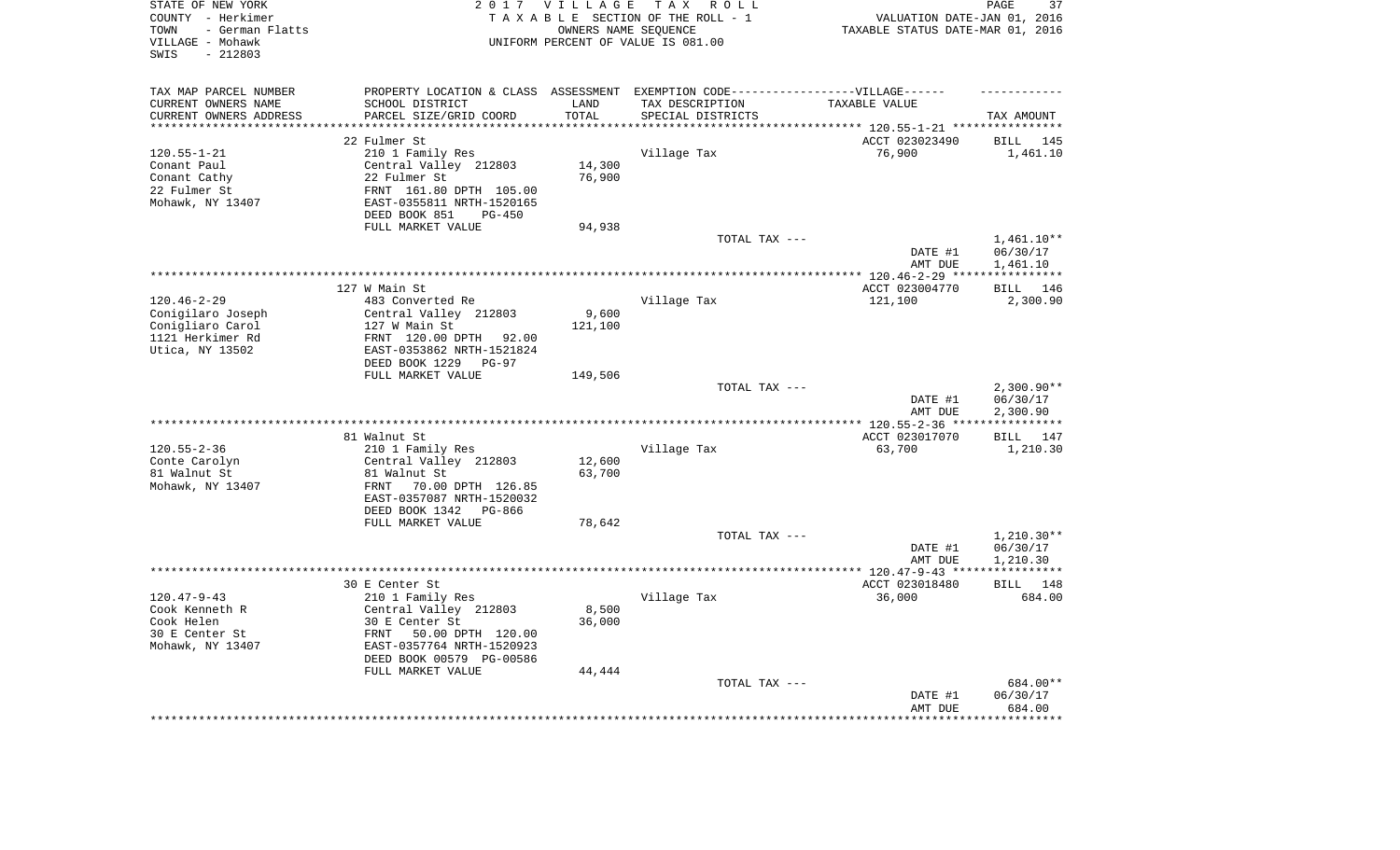| STATE OF NEW YORK<br>COUNTY - Herkimer<br>- German Flatts<br>TOWN<br>VILLAGE - Mohawk<br>$-212803$<br>SWIS | 2 0 1 7                                                | <b>VILLAGE</b><br>OWNERS NAME SEQUENCE | TAX ROLL<br>TAXABLE SECTION OF THE ROLL - 1<br>UNIFORM PERCENT OF VALUE IS 081.00 | VALUATION DATE-JAN 01, 2016<br>TAXABLE STATUS DATE-MAR 01, 2016 | 37<br>PAGE               |
|------------------------------------------------------------------------------------------------------------|--------------------------------------------------------|----------------------------------------|-----------------------------------------------------------------------------------|-----------------------------------------------------------------|--------------------------|
| TAX MAP PARCEL NUMBER                                                                                      |                                                        |                                        | PROPERTY LOCATION & CLASS ASSESSMENT EXEMPTION CODE-----------------VILLAGE------ |                                                                 |                          |
| CURRENT OWNERS NAME                                                                                        | SCHOOL DISTRICT                                        | LAND                                   | TAX DESCRIPTION                                                                   | TAXABLE VALUE                                                   |                          |
| CURRENT OWNERS ADDRESS<br>*********************                                                            | PARCEL SIZE/GRID COORD<br>***************************  | TOTAL<br>**********                    | SPECIAL DISTRICTS                                                                 |                                                                 | TAX AMOUNT               |
|                                                                                                            | 22 Fulmer St                                           |                                        |                                                                                   | ACCT 023023490                                                  | BILL 145                 |
| $120.55 - 1 - 21$                                                                                          | 210 1 Family Res                                       |                                        | Village Tax                                                                       | 76,900                                                          | 1,461.10                 |
| Conant Paul                                                                                                | Central Valley 212803                                  | 14,300                                 |                                                                                   |                                                                 |                          |
| Conant Cathy                                                                                               | 22 Fulmer St                                           | 76,900                                 |                                                                                   |                                                                 |                          |
| 22 Fulmer St                                                                                               | FRNT 161.80 DPTH 105.00                                |                                        |                                                                                   |                                                                 |                          |
| Mohawk, NY 13407                                                                                           | EAST-0355811 NRTH-1520165                              |                                        |                                                                                   |                                                                 |                          |
|                                                                                                            | DEED BOOK 851<br>$PG-450$                              |                                        |                                                                                   |                                                                 |                          |
|                                                                                                            | FULL MARKET VALUE                                      | 94,938                                 |                                                                                   |                                                                 |                          |
|                                                                                                            |                                                        |                                        | TOTAL TAX ---                                                                     |                                                                 | $1,461.10**$             |
|                                                                                                            |                                                        |                                        |                                                                                   | DATE #1                                                         | 06/30/17                 |
|                                                                                                            |                                                        |                                        |                                                                                   | AMT DUE                                                         | 1,461.10<br>***********  |
|                                                                                                            | 127 W Main St                                          |                                        |                                                                                   | ACCT 023004770                                                  | 146<br>BILL              |
| $120.46 - 2 - 29$                                                                                          | 483 Converted Re                                       |                                        | Village Tax                                                                       | 121,100                                                         | 2,300.90                 |
| Conigilaro Joseph                                                                                          | Central Valley 212803                                  | 9,600                                  |                                                                                   |                                                                 |                          |
| Conigliaro Carol                                                                                           | 127 W Main St                                          | 121,100                                |                                                                                   |                                                                 |                          |
| 1121 Herkimer Rd                                                                                           | FRNT 120.00 DPTH 92.00                                 |                                        |                                                                                   |                                                                 |                          |
| Utica, NY 13502                                                                                            | EAST-0353862 NRTH-1521824                              |                                        |                                                                                   |                                                                 |                          |
|                                                                                                            | DEED BOOK 1229<br>$PG-97$                              |                                        |                                                                                   |                                                                 |                          |
|                                                                                                            | FULL MARKET VALUE                                      | 149,506                                |                                                                                   |                                                                 |                          |
|                                                                                                            |                                                        |                                        | TOTAL TAX ---                                                                     | DATE #1                                                         | $2,300.90**$<br>06/30/17 |
|                                                                                                            |                                                        |                                        |                                                                                   | AMT DUE                                                         | 2,300.90                 |
|                                                                                                            |                                                        |                                        |                                                                                   |                                                                 | * * * * * * * * * * *    |
|                                                                                                            | 81 Walnut St                                           |                                        |                                                                                   | ACCT 023017070                                                  | BILL 147                 |
| $120.55 - 2 - 36$                                                                                          | 210 1 Family Res                                       |                                        | Village Tax                                                                       | 63,700                                                          | 1,210.30                 |
| Conte Carolyn                                                                                              | Central Valley 212803                                  | 12,600                                 |                                                                                   |                                                                 |                          |
| 81 Walnut St                                                                                               | 81 Walnut St                                           | 63,700                                 |                                                                                   |                                                                 |                          |
| Mohawk, NY 13407                                                                                           | 70.00 DPTH 126.85<br>FRNT                              |                                        |                                                                                   |                                                                 |                          |
|                                                                                                            | EAST-0357087 NRTH-1520032<br>DEED BOOK 1342 PG-866     |                                        |                                                                                   |                                                                 |                          |
|                                                                                                            | FULL MARKET VALUE                                      | 78,642                                 |                                                                                   |                                                                 |                          |
|                                                                                                            |                                                        |                                        | TOTAL TAX ---                                                                     |                                                                 | $1,210.30**$             |
|                                                                                                            |                                                        |                                        |                                                                                   | DATE #1                                                         | 06/30/17                 |
|                                                                                                            |                                                        |                                        |                                                                                   | AMT DUE                                                         | 1,210.30                 |
|                                                                                                            |                                                        |                                        |                                                                                   |                                                                 | ***********              |
|                                                                                                            | 30 E Center St                                         |                                        |                                                                                   | ACCT 023018480                                                  | BILL 148                 |
| $120.47 - 9 - 43$                                                                                          | 210 1 Family Res                                       |                                        | Village Tax                                                                       | 36,000                                                          | 684.00                   |
| Cook Kenneth R                                                                                             | Central Valley 212803                                  | 8,500                                  |                                                                                   |                                                                 |                          |
| Cook Helen                                                                                                 | 30 E Center St                                         | 36,000                                 |                                                                                   |                                                                 |                          |
| 30 E Center St<br>Mohawk, NY 13407                                                                         | 50.00 DPTH 120.00<br>FRNT<br>EAST-0357764 NRTH-1520923 |                                        |                                                                                   |                                                                 |                          |
|                                                                                                            | DEED BOOK 00579 PG-00586                               |                                        |                                                                                   |                                                                 |                          |
|                                                                                                            | FULL MARKET VALUE                                      | 44,444                                 |                                                                                   |                                                                 |                          |
|                                                                                                            |                                                        |                                        | TOTAL TAX ---                                                                     |                                                                 | 684.00**                 |
|                                                                                                            |                                                        |                                        |                                                                                   | DATE #1                                                         | 06/30/17                 |
|                                                                                                            |                                                        |                                        |                                                                                   | AMT DUE                                                         | 684.00                   |
|                                                                                                            |                                                        |                                        |                                                                                   | ****************                                                | ************             |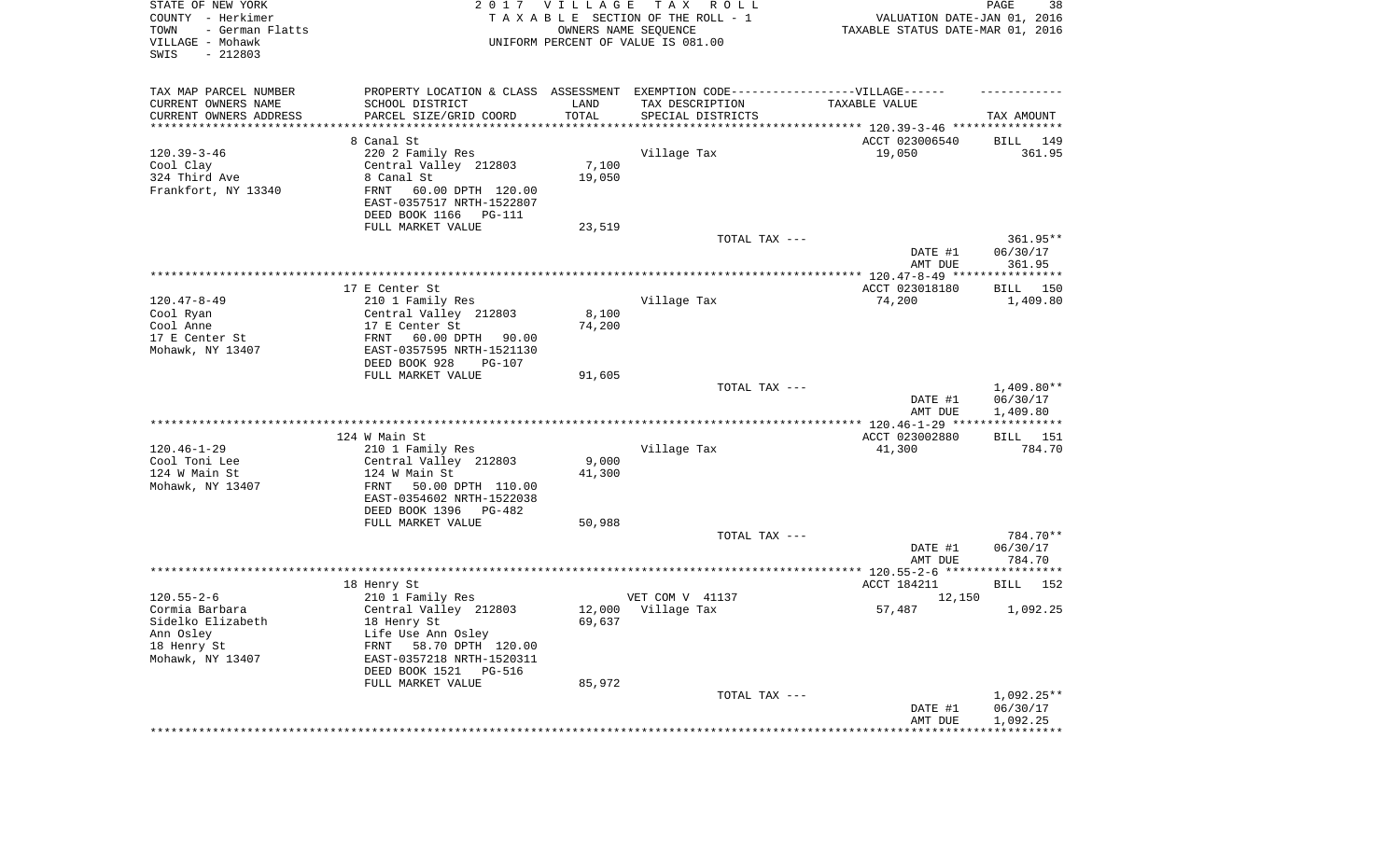| STATE OF NEW YORK<br>COUNTY - Herkimer<br>- German Flatts<br>TOWN<br>VILLAGE - Mohawk<br>SWIS<br>$-212803$ | 2 0 1 7                                                                           | <b>VILLAGE</b><br>OWNERS NAME SEQUENCE | T A X<br>R O L L<br>TAXABLE SECTION OF THE ROLL - 1<br>UNIFORM PERCENT OF VALUE IS 081.00 | VALUATION DATE-JAN 01, 2016<br>TAXABLE STATUS DATE-MAR 01, 2016 | PAGE<br>38               |
|------------------------------------------------------------------------------------------------------------|-----------------------------------------------------------------------------------|----------------------------------------|-------------------------------------------------------------------------------------------|-----------------------------------------------------------------|--------------------------|
| TAX MAP PARCEL NUMBER                                                                                      | PROPERTY LOCATION & CLASS ASSESSMENT EXEMPTION CODE-----------------VILLAGE------ |                                        |                                                                                           |                                                                 |                          |
| CURRENT OWNERS NAME                                                                                        | SCHOOL DISTRICT                                                                   | LAND                                   | TAX DESCRIPTION                                                                           | TAXABLE VALUE                                                   |                          |
| CURRENT OWNERS ADDRESS<br>*********************                                                            | PARCEL SIZE/GRID COORD                                                            | TOTAL                                  | SPECIAL DISTRICTS                                                                         |                                                                 | TAX AMOUNT               |
|                                                                                                            | 8 Canal St                                                                        |                                        |                                                                                           | ACCT 023006540                                                  | 149<br>BILL              |
| $120.39 - 3 - 46$                                                                                          | 220 2 Family Res                                                                  |                                        | Village Tax                                                                               | 19,050                                                          | 361.95                   |
| Cool Clay                                                                                                  | Central Valley 212803                                                             | 7,100                                  |                                                                                           |                                                                 |                          |
| 324 Third Ave                                                                                              | 8 Canal St                                                                        | 19,050                                 |                                                                                           |                                                                 |                          |
| Frankfort, NY 13340                                                                                        | FRNT<br>60.00 DPTH 120.00<br>EAST-0357517 NRTH-1522807                            |                                        |                                                                                           |                                                                 |                          |
|                                                                                                            | DEED BOOK 1166<br>PG-111                                                          |                                        |                                                                                           |                                                                 |                          |
|                                                                                                            | FULL MARKET VALUE                                                                 | 23,519                                 |                                                                                           |                                                                 |                          |
|                                                                                                            |                                                                                   |                                        | TOTAL TAX ---                                                                             |                                                                 | 361.95**                 |
|                                                                                                            |                                                                                   |                                        |                                                                                           | DATE #1                                                         | 06/30/17                 |
|                                                                                                            |                                                                                   |                                        |                                                                                           | AMT DUE                                                         | 361.95                   |
|                                                                                                            | 17 E Center St                                                                    |                                        |                                                                                           | ACCT 023018180                                                  | BILL 150                 |
| $120.47 - 8 - 49$                                                                                          | 210 1 Family Res                                                                  |                                        | Village Tax                                                                               | 74,200                                                          | 1,409.80                 |
| Cool Ryan                                                                                                  | Central Valley 212803<br>17 E Center St                                           | 8,100                                  |                                                                                           |                                                                 |                          |
| Cool Anne<br>17 E Center St                                                                                | FRNT<br>60.00 DPTH<br>90.00                                                       | 74,200                                 |                                                                                           |                                                                 |                          |
| Mohawk, NY 13407                                                                                           | EAST-0357595 NRTH-1521130                                                         |                                        |                                                                                           |                                                                 |                          |
|                                                                                                            | DEED BOOK 928<br><b>PG-107</b>                                                    |                                        |                                                                                           |                                                                 |                          |
|                                                                                                            | FULL MARKET VALUE                                                                 | 91,605                                 |                                                                                           |                                                                 |                          |
|                                                                                                            |                                                                                   |                                        | TOTAL TAX ---                                                                             | DATE #1                                                         | $1,409.80**$<br>06/30/17 |
|                                                                                                            |                                                                                   |                                        |                                                                                           | AMT DUE                                                         | 1,409.80                 |
|                                                                                                            |                                                                                   |                                        |                                                                                           |                                                                 |                          |
|                                                                                                            | 124 W Main St                                                                     |                                        |                                                                                           | ACCT 023002880                                                  | BILL 151                 |
| $120.46 - 1 - 29$<br>Cool Toni Lee                                                                         | 210 1 Family Res<br>Central Valley 212803                                         | 9,000                                  | Village Tax                                                                               | 41,300                                                          | 784.70                   |
| 124 W Main St                                                                                              | 124 W Main St                                                                     | 41,300                                 |                                                                                           |                                                                 |                          |
| Mohawk, NY 13407                                                                                           | 50.00 DPTH 110.00<br>FRNT                                                         |                                        |                                                                                           |                                                                 |                          |
|                                                                                                            | EAST-0354602 NRTH-1522038                                                         |                                        |                                                                                           |                                                                 |                          |
|                                                                                                            | DEED BOOK 1396<br>PG-482                                                          |                                        |                                                                                           |                                                                 |                          |
|                                                                                                            | FULL MARKET VALUE                                                                 | 50,988                                 | TOTAL TAX ---                                                                             |                                                                 | 784.70**                 |
|                                                                                                            |                                                                                   |                                        |                                                                                           | DATE #1                                                         | 06/30/17                 |
|                                                                                                            |                                                                                   |                                        |                                                                                           | AMT DUE                                                         | 784.70                   |
|                                                                                                            |                                                                                   |                                        |                                                                                           |                                                                 |                          |
| $120.55 - 2 - 6$                                                                                           | 18 Henry St<br>210 1 Family Res                                                   |                                        | VET COM V 41137                                                                           | ACCT 184211<br>12,150                                           | BILL 152                 |
| Cormia Barbara                                                                                             | Central Valley 212803                                                             | 12,000                                 | Village Tax                                                                               | 57,487                                                          | 1,092.25                 |
| Sidelko Elizabeth                                                                                          | 18 Henry St                                                                       | 69,637                                 |                                                                                           |                                                                 |                          |
| Ann Osley                                                                                                  | Life Use Ann Osley                                                                |                                        |                                                                                           |                                                                 |                          |
| 18 Henry St<br>Mohawk, NY 13407                                                                            | FRNT 58.70 DPTH 120.00<br>EAST-0357218 NRTH-1520311                               |                                        |                                                                                           |                                                                 |                          |
|                                                                                                            | DEED BOOK 1521<br>PG-516                                                          |                                        |                                                                                           |                                                                 |                          |
|                                                                                                            | FULL MARKET VALUE                                                                 | 85,972                                 |                                                                                           |                                                                 |                          |
|                                                                                                            |                                                                                   |                                        | TOTAL TAX ---                                                                             |                                                                 | $1,092.25**$             |
|                                                                                                            |                                                                                   |                                        |                                                                                           | DATE #1<br>AMT DUE                                              | 06/30/17                 |
|                                                                                                            |                                                                                   |                                        |                                                                                           | **********************************                              | 1,092.25                 |
|                                                                                                            |                                                                                   |                                        |                                                                                           |                                                                 |                          |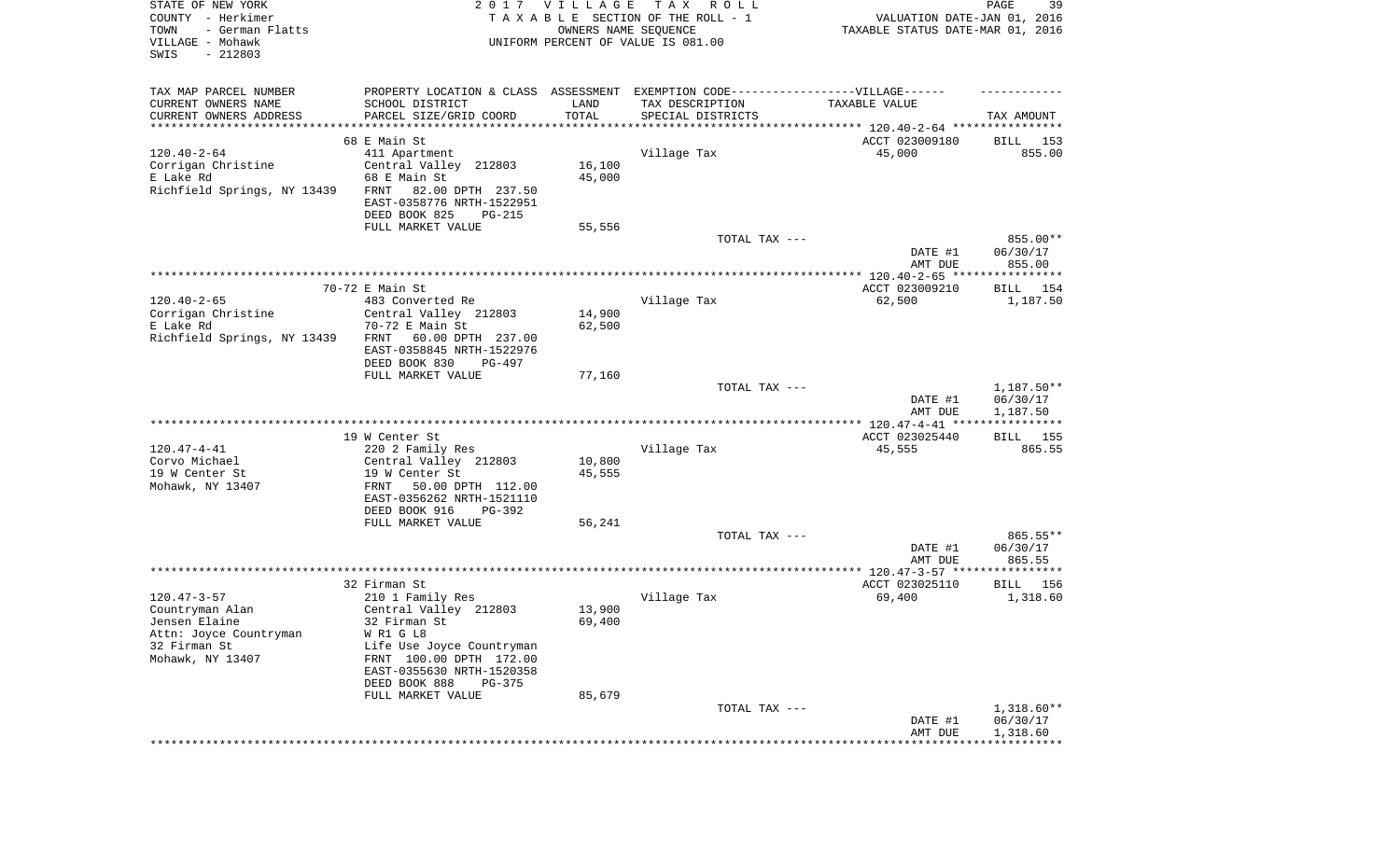| STATE OF NEW YORK<br>COUNTY - Herkimer<br>TOWN<br>- German Flatts<br>VILLAGE - Mohawk<br>SWIS<br>$-212803$ | 2017                                                                             | <b>VILLAGE</b><br>OWNERS NAME SEQUENCE | T A X<br>R O L L<br>TAXABLE SECTION OF THE ROLL - 1<br>UNIFORM PERCENT OF VALUE IS 081.00 | VALUATION DATE-JAN 01, 2016<br>TAXABLE STATUS DATE-MAR 01, 2016     | 39<br>PAGE                     |
|------------------------------------------------------------------------------------------------------------|----------------------------------------------------------------------------------|----------------------------------------|-------------------------------------------------------------------------------------------|---------------------------------------------------------------------|--------------------------------|
| TAX MAP PARCEL NUMBER                                                                                      | PROPERTY LOCATION & CLASS ASSESSMENT EXEMPTION CODE----------------VILLAGE------ |                                        |                                                                                           |                                                                     |                                |
| CURRENT OWNERS NAME                                                                                        | SCHOOL DISTRICT                                                                  | LAND                                   | TAX DESCRIPTION                                                                           | TAXABLE VALUE                                                       |                                |
| CURRENT OWNERS ADDRESS<br>*********************                                                            | PARCEL SIZE/GRID COORD                                                           | TOTAL<br>* * * * * * * * * * *         | SPECIAL DISTRICTS                                                                         | ************************************* 120.40-2-64 ***************** | TAX AMOUNT                     |
|                                                                                                            | 68 E Main St                                                                     |                                        |                                                                                           | ACCT 023009180                                                      | BILL<br>153                    |
| $120.40 - 2 - 64$                                                                                          | 411 Apartment                                                                    |                                        | Village Tax                                                                               | 45,000                                                              | 855.00                         |
| Corrigan Christine                                                                                         | Central Valley 212803                                                            | 16,100                                 |                                                                                           |                                                                     |                                |
| E Lake Rd                                                                                                  | 68 E Main St                                                                     | 45,000                                 |                                                                                           |                                                                     |                                |
| Richfield Springs, NY 13439                                                                                | FRNT<br>82.00 DPTH 237.50                                                        |                                        |                                                                                           |                                                                     |                                |
|                                                                                                            | EAST-0358776 NRTH-1522951                                                        |                                        |                                                                                           |                                                                     |                                |
|                                                                                                            | DEED BOOK 825<br>PG-215                                                          |                                        |                                                                                           |                                                                     |                                |
|                                                                                                            | FULL MARKET VALUE                                                                | 55,556                                 |                                                                                           |                                                                     |                                |
|                                                                                                            |                                                                                  |                                        | TOTAL TAX ---                                                                             | DATE #1<br>AMT DUE                                                  | 855.00**<br>06/30/17<br>855.00 |
|                                                                                                            |                                                                                  |                                        |                                                                                           |                                                                     |                                |
|                                                                                                            | 70-72 E Main St                                                                  |                                        |                                                                                           | ACCT 023009210                                                      | BILL<br>154                    |
| $120.40 - 2 - 65$                                                                                          | 483 Converted Re                                                                 |                                        | Village Tax                                                                               | 62,500                                                              | 1,187.50                       |
| Corrigan Christine                                                                                         | Central Valley 212803                                                            | 14,900                                 |                                                                                           |                                                                     |                                |
| E Lake Rd                                                                                                  | 70-72 E Main St                                                                  | 62,500                                 |                                                                                           |                                                                     |                                |
| Richfield Springs, NY 13439                                                                                | 60.00 DPTH 237.00<br>FRNT                                                        |                                        |                                                                                           |                                                                     |                                |
|                                                                                                            | EAST-0358845 NRTH-1522976<br>DEED BOOK 830<br>PG-497                             |                                        |                                                                                           |                                                                     |                                |
|                                                                                                            | FULL MARKET VALUE                                                                | 77,160                                 |                                                                                           |                                                                     |                                |
|                                                                                                            |                                                                                  |                                        | TOTAL TAX ---                                                                             |                                                                     | 1,187.50**                     |
|                                                                                                            |                                                                                  |                                        |                                                                                           | DATE #1                                                             | 06/30/17                       |
|                                                                                                            |                                                                                  |                                        |                                                                                           | AMT DUE                                                             | 1,187.50                       |
|                                                                                                            |                                                                                  |                                        |                                                                                           |                                                                     |                                |
|                                                                                                            | 19 W Center St                                                                   |                                        |                                                                                           | ACCT 023025440                                                      | BILL 155                       |
| $120.47 - 4 - 41$                                                                                          | 220 2 Family Res                                                                 |                                        | Village Tax                                                                               | 45,555                                                              | 865.55                         |
| Corvo Michael<br>19 W Center St                                                                            | Central Valley 212803<br>19 W Center St                                          | 10,800<br>45,555                       |                                                                                           |                                                                     |                                |
| Mohawk, NY 13407                                                                                           | 50.00 DPTH 112.00<br>FRNT                                                        |                                        |                                                                                           |                                                                     |                                |
|                                                                                                            | EAST-0356262 NRTH-1521110                                                        |                                        |                                                                                           |                                                                     |                                |
|                                                                                                            | DEED BOOK 916<br>PG-392                                                          |                                        |                                                                                           |                                                                     |                                |
|                                                                                                            | FULL MARKET VALUE                                                                | 56,241                                 |                                                                                           |                                                                     |                                |
|                                                                                                            |                                                                                  |                                        | TOTAL TAX ---                                                                             |                                                                     | 865.55**                       |
|                                                                                                            |                                                                                  |                                        |                                                                                           | DATE #1                                                             | 06/30/17                       |
|                                                                                                            |                                                                                  |                                        |                                                                                           | AMT DUE                                                             | 865.55                         |
|                                                                                                            | 32 Firman St                                                                     |                                        |                                                                                           | ACCT 023025110                                                      |                                |
| $120.47 - 3 - 57$                                                                                          | 210 1 Family Res                                                                 |                                        | Village Tax                                                                               | 69,400                                                              | BILL<br>156<br>1,318.60        |
| Countryman Alan                                                                                            | Central Valley 212803                                                            | 13,900                                 |                                                                                           |                                                                     |                                |
| Jensen Elaine                                                                                              | 32 Firman St                                                                     | 69,400                                 |                                                                                           |                                                                     |                                |
| Attn: Joyce Countryman                                                                                     | WR1 GL8                                                                          |                                        |                                                                                           |                                                                     |                                |
| 32 Firman St                                                                                               | Life Use Joyce Countryman                                                        |                                        |                                                                                           |                                                                     |                                |
| Mohawk, NY 13407                                                                                           | FRNT 100.00 DPTH 172.00                                                          |                                        |                                                                                           |                                                                     |                                |
|                                                                                                            | EAST-0355630 NRTH-1520358                                                        |                                        |                                                                                           |                                                                     |                                |
|                                                                                                            | DEED BOOK 888<br>PG-375                                                          |                                        |                                                                                           |                                                                     |                                |
|                                                                                                            | FULL MARKET VALUE                                                                | 85,679                                 |                                                                                           |                                                                     |                                |
|                                                                                                            |                                                                                  |                                        | TOTAL TAX ---                                                                             | DATE #1                                                             | $1,318.60**$<br>06/30/17       |
|                                                                                                            |                                                                                  |                                        |                                                                                           | AMT DUE                                                             | 1,318.60                       |
|                                                                                                            |                                                                                  |                                        |                                                                                           |                                                                     |                                |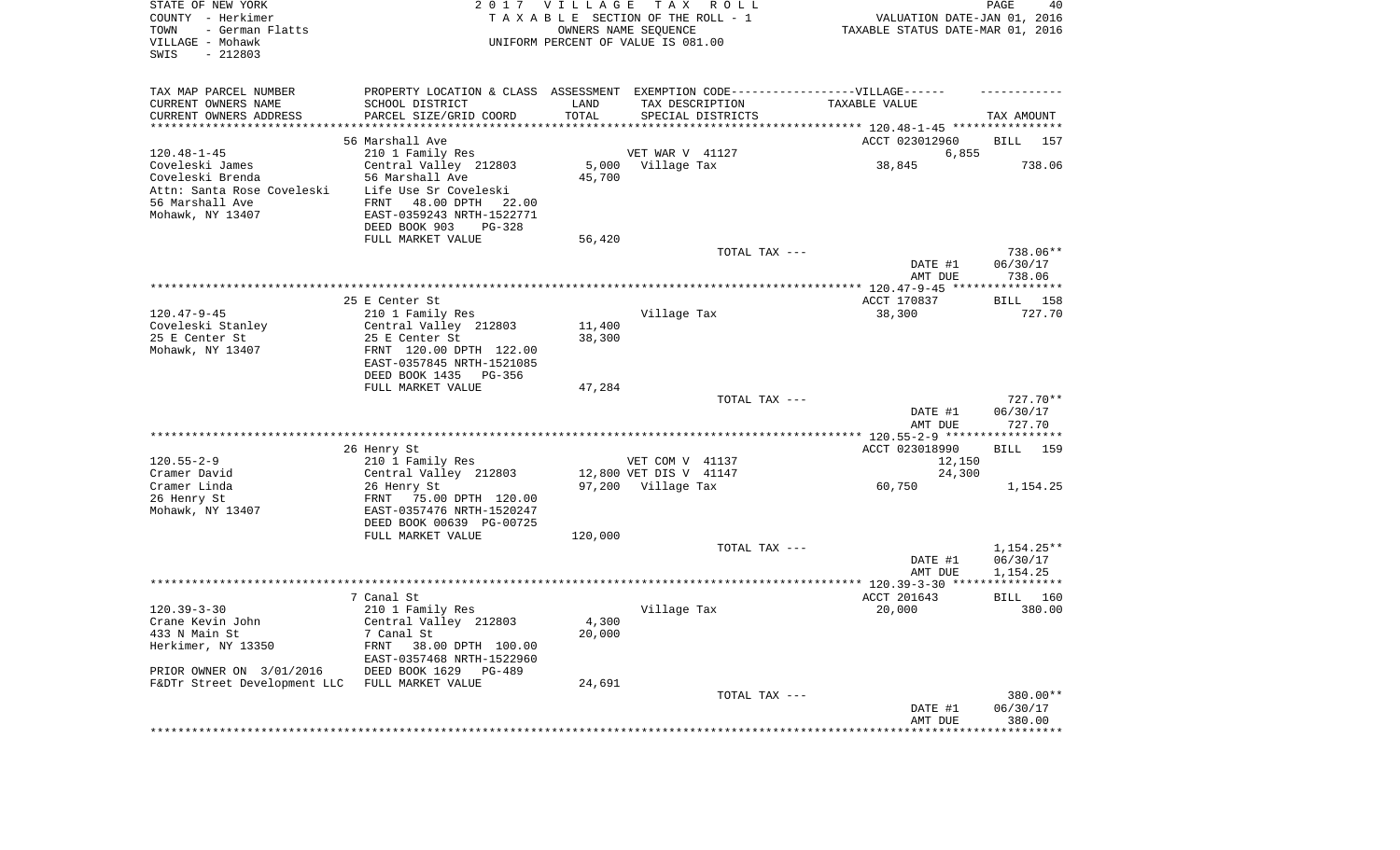| STATE OF NEW YORK<br>COUNTY - Herkimer<br>TOWN<br>- German Flatts<br>VILLAGE - Mohawk<br>SWIS<br>$-212803$ |                                                                                  | 2017 VILLAGE | T A X<br>R O L L<br>TAXABLE SECTION OF THE ROLL - 1<br>OWNERS NAME SEQUENCE<br>UNIFORM PERCENT OF VALUE IS 081.00 | VALUATION DATE-JAN 01, 2016<br>TAXABLE STATUS DATE-MAR 01, 2016 | PAGE<br>40         |
|------------------------------------------------------------------------------------------------------------|----------------------------------------------------------------------------------|--------------|-------------------------------------------------------------------------------------------------------------------|-----------------------------------------------------------------|--------------------|
| TAX MAP PARCEL NUMBER                                                                                      | PROPERTY LOCATION & CLASS ASSESSMENT EXEMPTION CODE----------------VILLAGE------ |              |                                                                                                                   |                                                                 |                    |
| CURRENT OWNERS NAME                                                                                        | SCHOOL DISTRICT                                                                  | LAND         | TAX DESCRIPTION                                                                                                   | TAXABLE VALUE                                                   |                    |
| CURRENT OWNERS ADDRESS<br>*********************                                                            | PARCEL SIZE/GRID COORD                                                           | TOTAL        | SPECIAL DISTRICTS                                                                                                 |                                                                 | TAX AMOUNT         |
|                                                                                                            | 56 Marshall Ave                                                                  |              |                                                                                                                   |                                                                 |                    |
| $120.48 - 1 - 45$                                                                                          | 210 1 Family Res                                                                 |              | VET WAR V 41127                                                                                                   | ACCT 023012960<br>6,855                                         | BILL<br>157        |
| Coveleski James                                                                                            | Central Valley 212803                                                            | 5,000        | Village Tax                                                                                                       | 38,845                                                          | 738.06             |
| Coveleski Brenda                                                                                           | 56 Marshall Ave                                                                  | 45,700       |                                                                                                                   |                                                                 |                    |
| Attn: Santa Rose Coveleski                                                                                 | Life Use Sr Coveleski                                                            |              |                                                                                                                   |                                                                 |                    |
| 56 Marshall Ave                                                                                            | FRNT<br>48.00 DPTH 22.00                                                         |              |                                                                                                                   |                                                                 |                    |
| Mohawk, NY 13407                                                                                           | EAST-0359243 NRTH-1522771                                                        |              |                                                                                                                   |                                                                 |                    |
|                                                                                                            | DEED BOOK 903<br>PG-328                                                          |              |                                                                                                                   |                                                                 |                    |
|                                                                                                            | FULL MARKET VALUE                                                                | 56,420       |                                                                                                                   |                                                                 |                    |
|                                                                                                            |                                                                                  |              | TOTAL TAX ---                                                                                                     |                                                                 | 738.06**           |
|                                                                                                            |                                                                                  |              |                                                                                                                   | DATE #1<br>AMT DUE                                              | 06/30/17<br>738.06 |
|                                                                                                            |                                                                                  |              |                                                                                                                   |                                                                 |                    |
|                                                                                                            | 25 E Center St                                                                   |              |                                                                                                                   | ACCT 170837                                                     | BILL 158           |
| $120.47 - 9 - 45$                                                                                          | 210 1 Family Res                                                                 |              | Village Tax                                                                                                       | 38,300                                                          | 727.70             |
| Coveleski Stanley                                                                                          | Central Valley 212803                                                            | 11,400       |                                                                                                                   |                                                                 |                    |
| 25 E Center St                                                                                             | 25 E Center St                                                                   | 38,300       |                                                                                                                   |                                                                 |                    |
| Mohawk, NY 13407                                                                                           | FRNT 120.00 DPTH 122.00                                                          |              |                                                                                                                   |                                                                 |                    |
|                                                                                                            | EAST-0357845 NRTH-1521085                                                        |              |                                                                                                                   |                                                                 |                    |
|                                                                                                            | DEED BOOK 1435<br>PG-356<br>FULL MARKET VALUE                                    |              |                                                                                                                   |                                                                 |                    |
|                                                                                                            |                                                                                  | 47,284       | TOTAL TAX ---                                                                                                     |                                                                 | 727.70**           |
|                                                                                                            |                                                                                  |              |                                                                                                                   | DATE #1                                                         | 06/30/17           |
|                                                                                                            |                                                                                  |              |                                                                                                                   | AMT DUE                                                         | 727.70             |
|                                                                                                            |                                                                                  |              |                                                                                                                   | **************** 120.55-2-9 *****************                   |                    |
|                                                                                                            | 26 Henry St                                                                      |              |                                                                                                                   | ACCT 023018990                                                  | BILL<br>159        |
| $120.55 - 2 - 9$                                                                                           | 210 1 Family Res                                                                 |              | VET COM V 41137                                                                                                   | 12,150                                                          |                    |
| Cramer David                                                                                               | Central Valley 212803                                                            |              | 12,800 VET DIS V 41147                                                                                            | 24,300                                                          |                    |
| Cramer Linda<br>26 Henry St                                                                                | 26 Henry St<br>FRNT<br>75.00 DPTH 120.00                                         |              | 97,200 Village Tax                                                                                                | 60,750                                                          | 1,154.25           |
| Mohawk, NY 13407                                                                                           | EAST-0357476 NRTH-1520247                                                        |              |                                                                                                                   |                                                                 |                    |
|                                                                                                            | DEED BOOK 00639 PG-00725                                                         |              |                                                                                                                   |                                                                 |                    |
|                                                                                                            | FULL MARKET VALUE                                                                | 120,000      |                                                                                                                   |                                                                 |                    |
|                                                                                                            |                                                                                  |              | TOTAL TAX ---                                                                                                     |                                                                 | $1,154.25**$       |
|                                                                                                            |                                                                                  |              |                                                                                                                   | DATE #1                                                         | 06/30/17           |
|                                                                                                            |                                                                                  |              |                                                                                                                   | AMT DUE                                                         | 1,154.25           |
|                                                                                                            |                                                                                  |              |                                                                                                                   |                                                                 |                    |
| $120.39 - 3 - 30$                                                                                          | 7 Canal St<br>210 1 Family Res                                                   |              |                                                                                                                   | ACCT 201643                                                     | 160<br>BILL        |
| Crane Kevin John                                                                                           | Central Valley 212803                                                            | 4,300        | Village Tax                                                                                                       | 20,000                                                          | 380.00             |
| 433 N Main St                                                                                              | 7 Canal St                                                                       | 20,000       |                                                                                                                   |                                                                 |                    |
| Herkimer, NY 13350                                                                                         | FRNT<br>38.00 DPTH 100.00                                                        |              |                                                                                                                   |                                                                 |                    |
|                                                                                                            | EAST-0357468 NRTH-1522960                                                        |              |                                                                                                                   |                                                                 |                    |
| PRIOR OWNER ON 3/01/2016                                                                                   | DEED BOOK 1629 PG-489                                                            |              |                                                                                                                   |                                                                 |                    |
| F&DTr Street Development LLC                                                                               | FULL MARKET VALUE                                                                | 24,691       |                                                                                                                   |                                                                 |                    |
|                                                                                                            |                                                                                  |              | TOTAL TAX ---                                                                                                     |                                                                 | 380.00**           |
|                                                                                                            |                                                                                  |              |                                                                                                                   | DATE #1                                                         | 06/30/17           |
|                                                                                                            |                                                                                  |              |                                                                                                                   | AMT DUE                                                         | 380.00             |
|                                                                                                            |                                                                                  |              |                                                                                                                   |                                                                 |                    |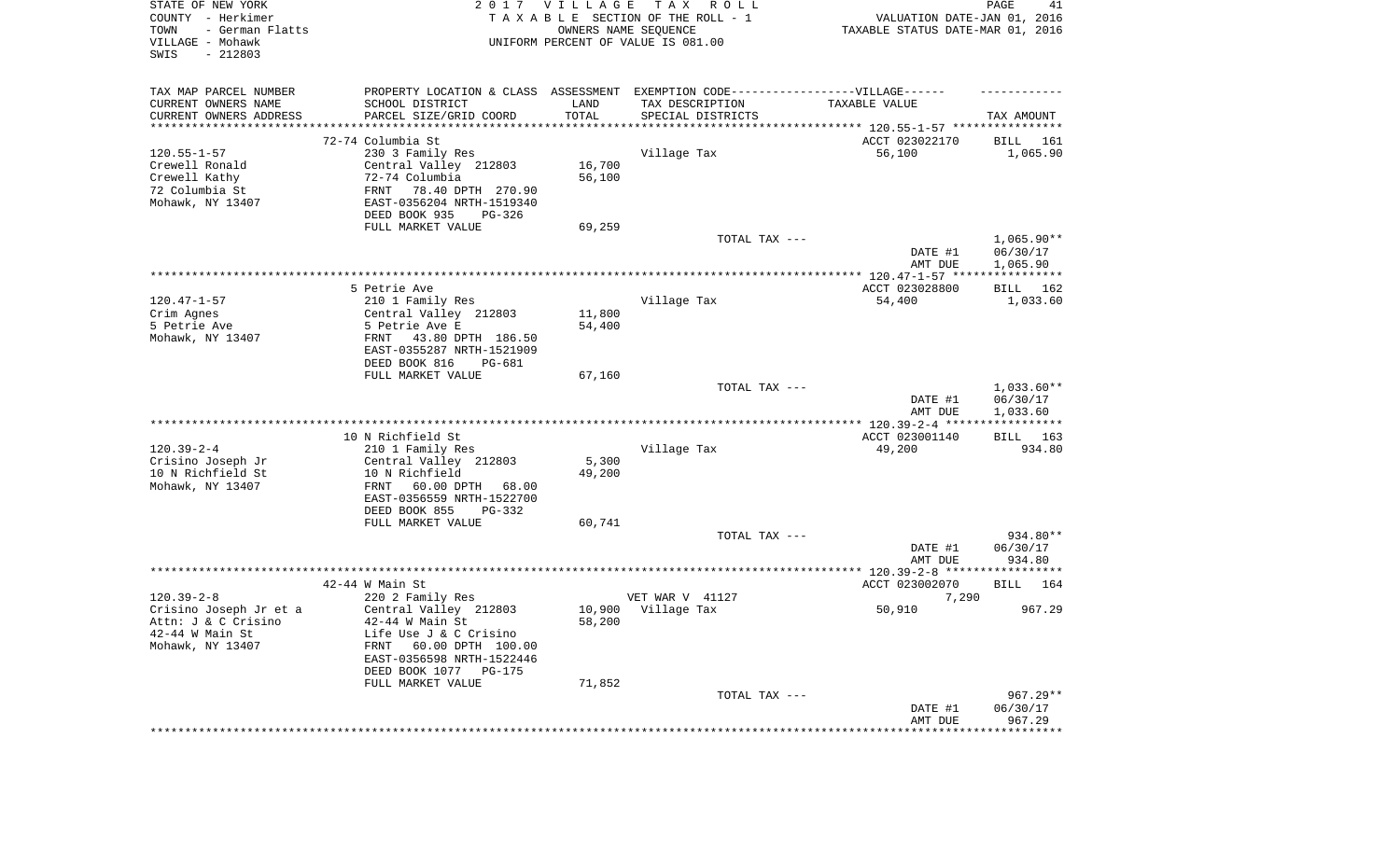| STATE OF NEW YORK<br>COUNTY - Herkimer<br>TOWN<br>- German Flatts<br>VILLAGE - Mohawk<br>SWIS<br>$-212803$ |                                                                                   | 2017 VILLAGE<br>OWNERS NAME SEQUENCE | TAX ROLL<br>TAXABLE SECTION OF THE ROLL - 1<br>UNIFORM PERCENT OF VALUE IS 081.00 | VALUATION DATE-JAN 01, 2016<br>TAXABLE STATUS DATE-MAR 01, 2016 | PAGE<br>41         |
|------------------------------------------------------------------------------------------------------------|-----------------------------------------------------------------------------------|--------------------------------------|-----------------------------------------------------------------------------------|-----------------------------------------------------------------|--------------------|
| TAX MAP PARCEL NUMBER                                                                                      | PROPERTY LOCATION & CLASS ASSESSMENT EXEMPTION CODE-----------------VILLAGE------ |                                      |                                                                                   |                                                                 |                    |
| CURRENT OWNERS NAME                                                                                        | SCHOOL DISTRICT                                                                   | LAND<br>TOTAL                        | TAX DESCRIPTION                                                                   | TAXABLE VALUE                                                   |                    |
| CURRENT OWNERS ADDRESS<br>***********************                                                          | PARCEL SIZE/GRID COORD<br>************************                                |                                      | SPECIAL DISTRICTS                                                                 |                                                                 | TAX AMOUNT         |
|                                                                                                            | 72-74 Columbia St                                                                 |                                      |                                                                                   | ACCT 023022170                                                  | BILL<br>161        |
| $120.55 - 1 - 57$                                                                                          | 230 3 Family Res                                                                  |                                      | Village Tax                                                                       | 56,100                                                          | 1,065.90           |
| Crewell Ronald                                                                                             | Central Valley 212803                                                             | 16,700                               |                                                                                   |                                                                 |                    |
| Crewell Kathy                                                                                              | 72-74 Columbia                                                                    | 56,100                               |                                                                                   |                                                                 |                    |
| 72 Columbia St<br>Mohawk, NY 13407                                                                         | FRNT<br>78.40 DPTH 270.90<br>EAST-0356204 NRTH-1519340                            |                                      |                                                                                   |                                                                 |                    |
|                                                                                                            | DEED BOOK 935<br>PG-326                                                           |                                      |                                                                                   |                                                                 |                    |
|                                                                                                            | FULL MARKET VALUE                                                                 | 69,259                               |                                                                                   |                                                                 |                    |
|                                                                                                            |                                                                                   |                                      | TOTAL TAX ---                                                                     |                                                                 | $1,065.90**$       |
|                                                                                                            |                                                                                   |                                      |                                                                                   | DATE #1                                                         | 06/30/17           |
|                                                                                                            |                                                                                   |                                      |                                                                                   | AMT DUE                                                         | 1,065.90           |
|                                                                                                            | 5 Petrie Ave                                                                      |                                      |                                                                                   | ACCT 023028800                                                  | 162<br>BILL        |
| $120.47 - 1 - 57$                                                                                          | 210 1 Family Res                                                                  |                                      | Village Tax                                                                       | 54,400                                                          | 1,033.60           |
| Crim Agnes                                                                                                 | Central Valley 212803                                                             | 11,800                               |                                                                                   |                                                                 |                    |
| 5 Petrie Ave                                                                                               | 5 Petrie Ave E                                                                    | 54,400                               |                                                                                   |                                                                 |                    |
| Mohawk, NY 13407                                                                                           | FRNT<br>43.80 DPTH 186.50<br>EAST-0355287 NRTH-1521909                            |                                      |                                                                                   |                                                                 |                    |
|                                                                                                            | DEED BOOK 816<br>PG-681                                                           |                                      |                                                                                   |                                                                 |                    |
|                                                                                                            | FULL MARKET VALUE                                                                 | 67,160                               |                                                                                   |                                                                 |                    |
|                                                                                                            |                                                                                   |                                      | TOTAL TAX ---                                                                     |                                                                 | $1,033.60**$       |
|                                                                                                            |                                                                                   |                                      |                                                                                   | DATE #1                                                         | 06/30/17           |
|                                                                                                            |                                                                                   |                                      |                                                                                   | AMT DUE                                                         | 1,033.60           |
|                                                                                                            | 10 N Richfield St                                                                 |                                      |                                                                                   | ACCT 023001140                                                  | BILL 163           |
| $120.39 - 2 - 4$                                                                                           | 210 1 Family Res                                                                  |                                      | Village Tax                                                                       | 49,200                                                          | 934.80             |
| Crisino Joseph Jr                                                                                          | Central Valley 212803                                                             | 5,300                                |                                                                                   |                                                                 |                    |
| 10 N Richfield St                                                                                          | 10 N Richfield                                                                    | 49,200                               |                                                                                   |                                                                 |                    |
| Mohawk, NY 13407                                                                                           | FRNT<br>60.00 DPTH<br>68.00<br>EAST-0356559 NRTH-1522700                          |                                      |                                                                                   |                                                                 |                    |
|                                                                                                            | DEED BOOK 855<br>PG-332                                                           |                                      |                                                                                   |                                                                 |                    |
|                                                                                                            | FULL MARKET VALUE                                                                 | 60,741                               |                                                                                   |                                                                 |                    |
|                                                                                                            |                                                                                   |                                      | TOTAL TAX ---                                                                     |                                                                 | 934.80**           |
|                                                                                                            |                                                                                   |                                      |                                                                                   | DATE #1                                                         | 06/30/17           |
|                                                                                                            |                                                                                   |                                      |                                                                                   | AMT DUE                                                         | 934.80             |
|                                                                                                            | $42-44$ W Main St                                                                 |                                      |                                                                                   | ACCT 023002070                                                  | 164<br>BILL        |
| $120.39 - 2 - 8$                                                                                           | 220 2 Family Res                                                                  |                                      | VET WAR V 41127                                                                   | 7,290                                                           |                    |
| Crisino Joseph Jr et a                                                                                     | Central Valley 212803                                                             | 10,900                               | Village Tax                                                                       | 50,910                                                          | 967.29             |
| Attn: J & C Crisino                                                                                        | 42-44 W Main St                                                                   | 58,200                               |                                                                                   |                                                                 |                    |
| $42-44$ W Main St<br>Mohawk, NY 13407                                                                      | Life Use J & C Crisino<br>60.00 DPTH 100.00<br>FRNT                               |                                      |                                                                                   |                                                                 |                    |
|                                                                                                            | EAST-0356598 NRTH-1522446                                                         |                                      |                                                                                   |                                                                 |                    |
|                                                                                                            | DEED BOOK 1077 PG-175                                                             |                                      |                                                                                   |                                                                 |                    |
|                                                                                                            | FULL MARKET VALUE                                                                 | 71,852                               |                                                                                   |                                                                 |                    |
|                                                                                                            |                                                                                   |                                      | TOTAL TAX ---                                                                     |                                                                 | $967.29**$         |
|                                                                                                            |                                                                                   |                                      |                                                                                   | DATE #1<br>AMT DUE                                              | 06/30/17<br>967.29 |
|                                                                                                            |                                                                                   |                                      |                                                                                   | **********************************                              |                    |
|                                                                                                            |                                                                                   |                                      |                                                                                   |                                                                 |                    |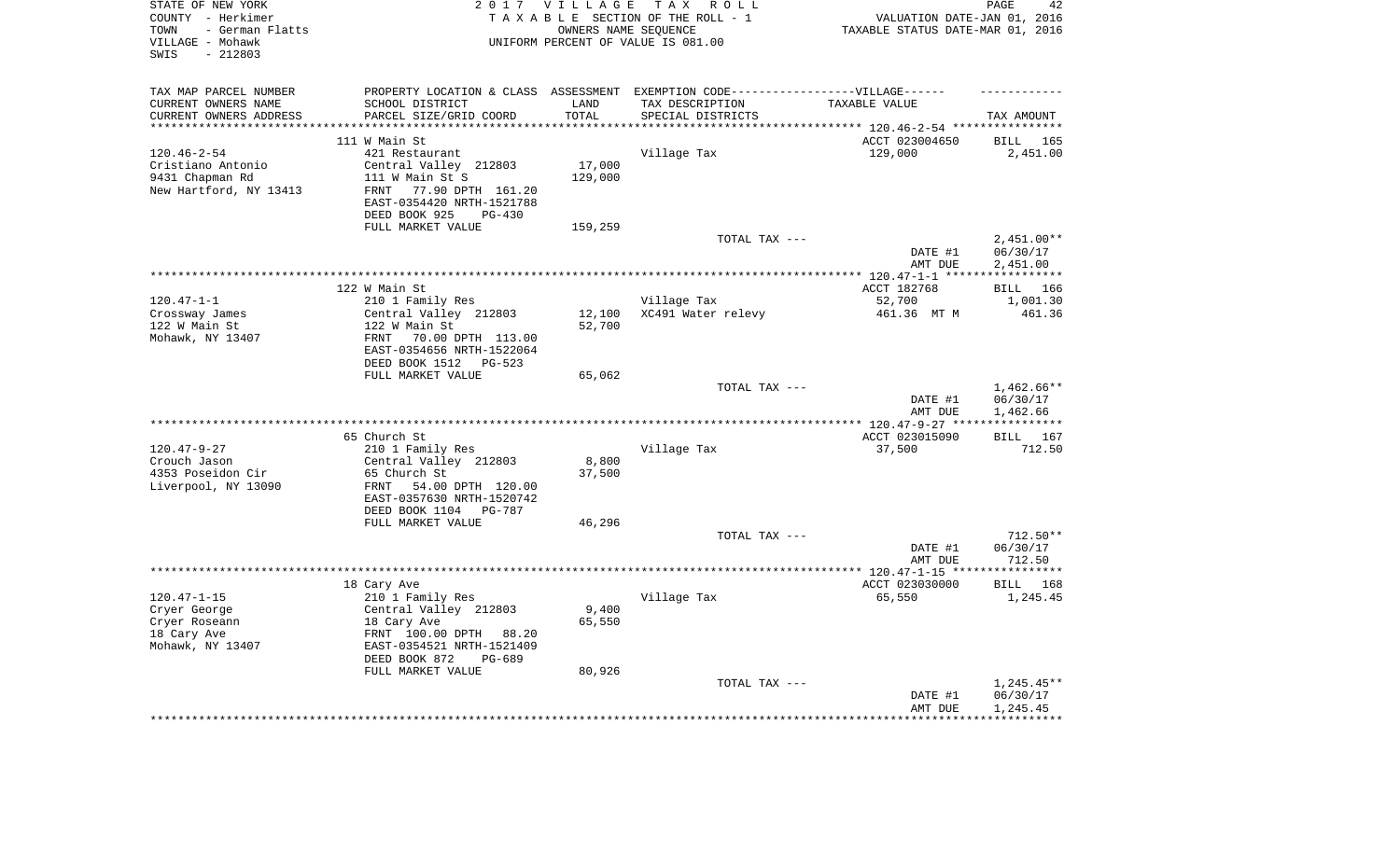| STATE OF NEW YORK<br>COUNTY - Herkimer<br>- German Flatts<br>TOWN<br>VILLAGE - Mohawk<br>$-212803$<br>SWIS |                                                                                                      | 2017 VILLAGE<br>OWNERS NAME SEQUENCE | TAX ROLL<br>TAXABLE SECTION OF THE ROLL - 1<br>UNIFORM PERCENT OF VALUE IS 081.00 | VALUATION DATE-JAN 01, 2016<br>TAXABLE STATUS DATE-MAR 01, 2016 | 42<br>PAGE            |
|------------------------------------------------------------------------------------------------------------|------------------------------------------------------------------------------------------------------|--------------------------------------|-----------------------------------------------------------------------------------|-----------------------------------------------------------------|-----------------------|
| TAX MAP PARCEL NUMBER<br>CURRENT OWNERS NAME                                                               | PROPERTY LOCATION & CLASS ASSESSMENT EXEMPTION CODE-----------------VILLAGE------<br>SCHOOL DISTRICT | LAND                                 | TAX DESCRIPTION                                                                   | TAXABLE VALUE                                                   |                       |
| CURRENT OWNERS ADDRESS                                                                                     | PARCEL SIZE/GRID COORD                                                                               | TOTAL                                | SPECIAL DISTRICTS                                                                 |                                                                 | TAX AMOUNT            |
| **********************                                                                                     |                                                                                                      |                                      |                                                                                   |                                                                 |                       |
|                                                                                                            | 111 W Main St                                                                                        |                                      |                                                                                   | ACCT 023004650                                                  | BILL 165              |
| $120.46 - 2 - 54$                                                                                          | 421 Restaurant                                                                                       |                                      | Village Tax                                                                       | 129,000                                                         | 2,451.00              |
| Cristiano Antonio                                                                                          | Central Valley 212803                                                                                | 17,000                               |                                                                                   |                                                                 |                       |
| 9431 Chapman Rd                                                                                            | 111 W Main St S                                                                                      | 129,000                              |                                                                                   |                                                                 |                       |
| New Hartford, NY 13413                                                                                     | 77.90 DPTH 161.20<br><b>FRNT</b>                                                                     |                                      |                                                                                   |                                                                 |                       |
|                                                                                                            | EAST-0354420 NRTH-1521788                                                                            |                                      |                                                                                   |                                                                 |                       |
|                                                                                                            | DEED BOOK 925<br>$PG-430$                                                                            |                                      |                                                                                   |                                                                 |                       |
|                                                                                                            | FULL MARKET VALUE                                                                                    | 159,259                              |                                                                                   |                                                                 |                       |
|                                                                                                            |                                                                                                      |                                      | TOTAL TAX ---                                                                     |                                                                 | $2,451.00**$          |
|                                                                                                            |                                                                                                      |                                      |                                                                                   | DATE #1<br>AMT DUE                                              | 06/30/17<br>2,451.00  |
|                                                                                                            |                                                                                                      |                                      |                                                                                   |                                                                 |                       |
|                                                                                                            | 122 W Main St                                                                                        |                                      |                                                                                   | ACCT 182768                                                     | BILL 166              |
| $120.47 - 1 - 1$                                                                                           | 210 1 Family Res                                                                                     |                                      | Village Tax                                                                       | 52,700                                                          | 1,001.30              |
| Crossway James                                                                                             | Central Valley 212803                                                                                | 12,100                               | XC491 Water relevy                                                                | 461.36 MT M                                                     | 461.36                |
| 122 W Main St                                                                                              | 122 W Main St                                                                                        | 52,700                               |                                                                                   |                                                                 |                       |
| Mohawk, NY 13407                                                                                           | 70.00 DPTH 113.00<br>FRNT                                                                            |                                      |                                                                                   |                                                                 |                       |
|                                                                                                            | EAST-0354656 NRTH-1522064                                                                            |                                      |                                                                                   |                                                                 |                       |
|                                                                                                            | DEED BOOK 1512<br>PG-523                                                                             |                                      |                                                                                   |                                                                 |                       |
|                                                                                                            | FULL MARKET VALUE                                                                                    | 65,062                               |                                                                                   |                                                                 |                       |
|                                                                                                            |                                                                                                      |                                      | TOTAL TAX ---                                                                     |                                                                 | 1,462.66**            |
|                                                                                                            |                                                                                                      |                                      |                                                                                   | DATE #1<br>AMT DUE                                              | 06/30/17<br>1,462.66  |
|                                                                                                            |                                                                                                      |                                      |                                                                                   |                                                                 | * * * * * * * * * * * |
|                                                                                                            | 65 Church St                                                                                         |                                      |                                                                                   | ACCT 023015090                                                  | BILL 167              |
| $120.47 - 9 - 27$                                                                                          | 210 1 Family Res                                                                                     |                                      | Village Tax                                                                       | 37,500                                                          | 712.50                |
| Crouch Jason                                                                                               | Central Valley 212803                                                                                | 8,800                                |                                                                                   |                                                                 |                       |
| 4353 Poseidon Cir                                                                                          | 65 Church St                                                                                         | 37,500                               |                                                                                   |                                                                 |                       |
| Liverpool, NY 13090                                                                                        | 54.00 DPTH 120.00<br>FRNT                                                                            |                                      |                                                                                   |                                                                 |                       |
|                                                                                                            | EAST-0357630 NRTH-1520742                                                                            |                                      |                                                                                   |                                                                 |                       |
|                                                                                                            | DEED BOOK 1104 PG-787                                                                                |                                      |                                                                                   |                                                                 |                       |
|                                                                                                            | FULL MARKET VALUE                                                                                    | 46,296                               |                                                                                   |                                                                 |                       |
|                                                                                                            |                                                                                                      |                                      | TOTAL TAX ---                                                                     |                                                                 | $712.50**$            |
|                                                                                                            |                                                                                                      |                                      |                                                                                   | DATE #1<br>AMT DUE                                              | 06/30/17<br>712.50    |
|                                                                                                            |                                                                                                      |                                      |                                                                                   |                                                                 |                       |
|                                                                                                            | 18 Cary Ave                                                                                          |                                      |                                                                                   | ACCT 023030000                                                  | BILL 168              |
| $120.47 - 1 - 15$                                                                                          | 210 1 Family Res                                                                                     |                                      | Village Tax                                                                       | 65,550                                                          | 1,245.45              |
| Cryer George                                                                                               | Central Valley 212803                                                                                | 9,400                                |                                                                                   |                                                                 |                       |
| Cryer Roseann                                                                                              | 18 Cary Ave                                                                                          | 65,550                               |                                                                                   |                                                                 |                       |
| 18 Cary Ave                                                                                                | FRNT 100.00 DPTH<br>88.20                                                                            |                                      |                                                                                   |                                                                 |                       |
| Mohawk, NY 13407                                                                                           | EAST-0354521 NRTH-1521409                                                                            |                                      |                                                                                   |                                                                 |                       |
|                                                                                                            | DEED BOOK 872<br>$PG-689$                                                                            |                                      |                                                                                   |                                                                 |                       |
|                                                                                                            | FULL MARKET VALUE                                                                                    | 80,926                               |                                                                                   |                                                                 |                       |
|                                                                                                            |                                                                                                      |                                      | TOTAL TAX ---                                                                     |                                                                 | $1,245.45**$          |
|                                                                                                            |                                                                                                      |                                      |                                                                                   | DATE #1<br>AMT DUE                                              | 06/30/17<br>1,245.45  |
|                                                                                                            |                                                                                                      |                                      |                                                                                   | ******************                                              | ************          |
|                                                                                                            |                                                                                                      |                                      |                                                                                   |                                                                 |                       |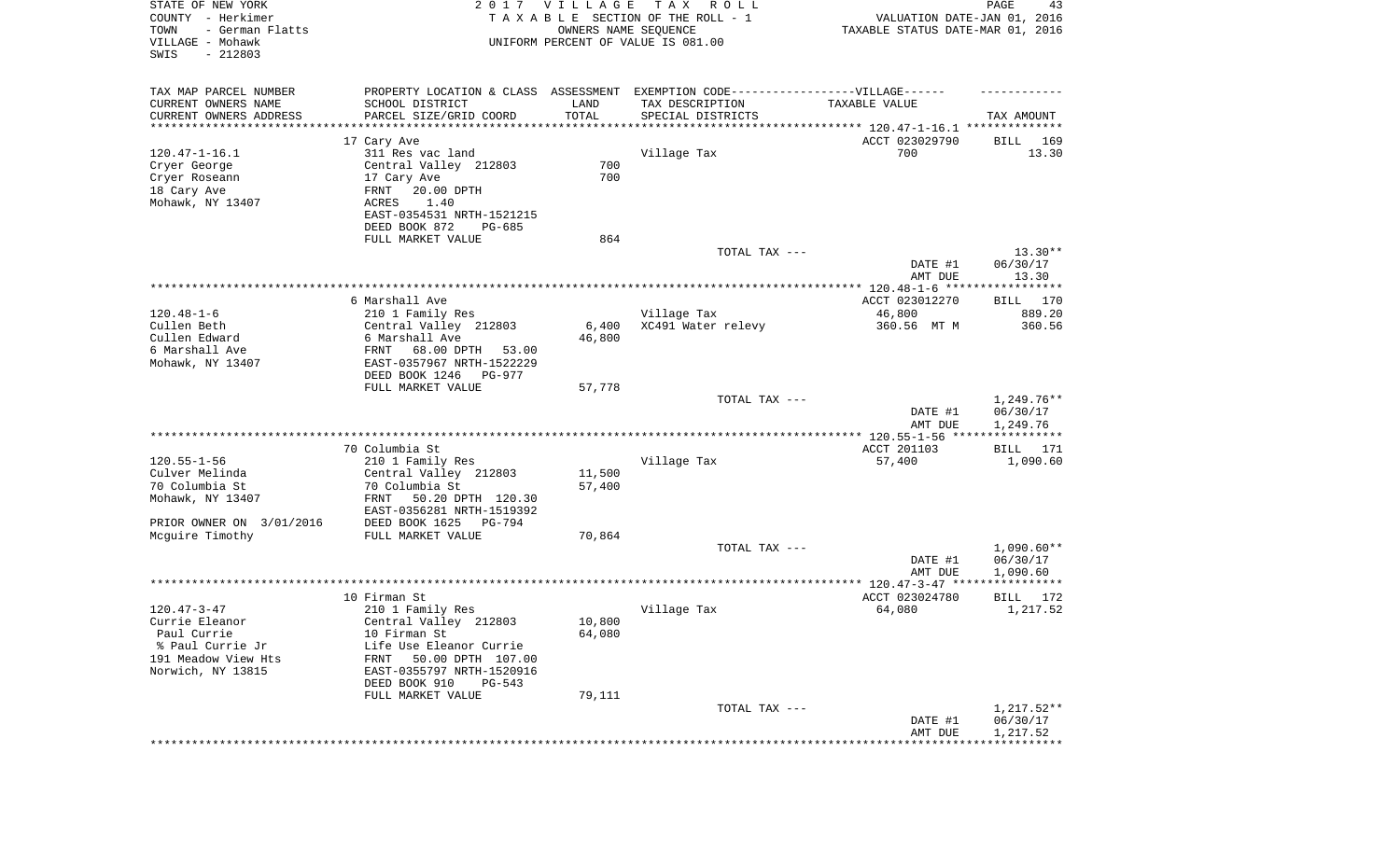| STATE OF NEW YORK<br>COUNTY - Herkimer<br>TOWN<br>- German Flatts<br>VILLAGE - Mohawk<br>SWIS<br>$-212803$ |                                                                                   | 2017 VILLAGE<br>OWNERS NAME SEQUENCE | TAX ROLL<br>TAXABLE SECTION OF THE ROLL - 1<br>UNIFORM PERCENT OF VALUE IS 081.00 | VALUATION DATE-JAN 01, 2016<br>TAXABLE STATUS DATE-MAR 01, 2016 | PAGE<br>43              |
|------------------------------------------------------------------------------------------------------------|-----------------------------------------------------------------------------------|--------------------------------------|-----------------------------------------------------------------------------------|-----------------------------------------------------------------|-------------------------|
| TAX MAP PARCEL NUMBER                                                                                      | PROPERTY LOCATION & CLASS ASSESSMENT EXEMPTION CODE-----------------VILLAGE------ |                                      |                                                                                   |                                                                 |                         |
| CURRENT OWNERS NAME                                                                                        | SCHOOL DISTRICT                                                                   | LAND                                 | TAX DESCRIPTION                                                                   | TAXABLE VALUE                                                   |                         |
| CURRENT OWNERS ADDRESS<br>**********************                                                           | PARCEL SIZE/GRID COORD<br>************************                                | TOTAL<br>***********                 | SPECIAL DISTRICTS                                                                 |                                                                 | TAX AMOUNT              |
|                                                                                                            | 17 Cary Ave                                                                       |                                      |                                                                                   | ACCT 023029790                                                  | BILL<br>169             |
| $120.47 - 1 - 16.1$                                                                                        | 311 Res vac land                                                                  |                                      | Village Tax                                                                       | 700                                                             | 13.30                   |
| Cryer George                                                                                               | Central Valley 212803                                                             | 700                                  |                                                                                   |                                                                 |                         |
| Cryer Roseann                                                                                              | 17 Cary Ave                                                                       | 700                                  |                                                                                   |                                                                 |                         |
| 18 Cary Ave                                                                                                | FRNT<br>20.00 DPTH                                                                |                                      |                                                                                   |                                                                 |                         |
| Mohawk, NY 13407                                                                                           | ACRES<br>1.40                                                                     |                                      |                                                                                   |                                                                 |                         |
|                                                                                                            | EAST-0354531 NRTH-1521215                                                         |                                      |                                                                                   |                                                                 |                         |
|                                                                                                            | DEED BOOK 872<br>PG-685<br>FULL MARKET VALUE                                      | 864                                  |                                                                                   |                                                                 |                         |
|                                                                                                            |                                                                                   |                                      | TOTAL TAX ---                                                                     |                                                                 | $13.30**$               |
|                                                                                                            |                                                                                   |                                      |                                                                                   | DATE #1                                                         | 06/30/17                |
|                                                                                                            |                                                                                   |                                      |                                                                                   | AMT DUE                                                         | 13.30                   |
|                                                                                                            |                                                                                   |                                      |                                                                                   |                                                                 |                         |
| $120.48 - 1 - 6$                                                                                           | 6 Marshall Ave                                                                    |                                      |                                                                                   | ACCT 023012270                                                  | BILL 170                |
| Cullen Beth                                                                                                | 210 1 Family Res<br>Central Valley 212803                                         | 6,400                                | Village Tax<br>XC491 Water relevy                                                 | 46,800<br>360.56 MT M                                           | 889.20<br>360.56        |
| Cullen Edward                                                                                              | 6 Marshall Ave                                                                    | 46,800                               |                                                                                   |                                                                 |                         |
| 6 Marshall Ave                                                                                             | 68.00 DPTH<br>FRNT<br>53.00                                                       |                                      |                                                                                   |                                                                 |                         |
| Mohawk, NY 13407                                                                                           | EAST-0357967 NRTH-1522229                                                         |                                      |                                                                                   |                                                                 |                         |
|                                                                                                            | DEED BOOK 1246<br>PG-977                                                          |                                      |                                                                                   |                                                                 |                         |
|                                                                                                            | FULL MARKET VALUE                                                                 | 57,778                               |                                                                                   |                                                                 | 1,249.76**              |
|                                                                                                            |                                                                                   |                                      | TOTAL TAX ---                                                                     | DATE #1                                                         | 06/30/17                |
|                                                                                                            |                                                                                   |                                      |                                                                                   | AMT DUE                                                         | 1,249.76                |
|                                                                                                            |                                                                                   |                                      |                                                                                   | *************** 120.55-1-56 ****                                | * * * * * * * * * * * * |
|                                                                                                            | 70 Columbia St                                                                    |                                      |                                                                                   | ACCT 201103                                                     | <b>BILL</b><br>171      |
| $120.55 - 1 - 56$                                                                                          | 210 1 Family Res                                                                  |                                      | Village Tax                                                                       | 57,400                                                          | 1,090.60                |
| Culver Melinda<br>70 Columbia St                                                                           | Central Valley 212803<br>70 Columbia St                                           | 11,500<br>57,400                     |                                                                                   |                                                                 |                         |
| Mohawk, NY 13407                                                                                           | FRNT<br>50.20 DPTH 120.30                                                         |                                      |                                                                                   |                                                                 |                         |
|                                                                                                            | EAST-0356281 NRTH-1519392                                                         |                                      |                                                                                   |                                                                 |                         |
| PRIOR OWNER ON 3/01/2016                                                                                   | DEED BOOK 1625<br>PG-794                                                          |                                      |                                                                                   |                                                                 |                         |
| Mcguire Timothy                                                                                            | FULL MARKET VALUE                                                                 | 70,864                               |                                                                                   |                                                                 |                         |
|                                                                                                            |                                                                                   |                                      | TOTAL TAX ---                                                                     |                                                                 | $1,090.60**$            |
|                                                                                                            |                                                                                   |                                      |                                                                                   | DATE #1<br>AMT DUE                                              | 06/30/17<br>1,090.60    |
|                                                                                                            |                                                                                   |                                      |                                                                                   |                                                                 |                         |
|                                                                                                            | 10 Firman St                                                                      |                                      |                                                                                   | ACCT 023024780                                                  | BILL<br>172             |
| $120.47 - 3 - 47$                                                                                          | 210 1 Family Res                                                                  |                                      | Village Tax                                                                       | 64,080                                                          | 1,217.52                |
| Currie Eleanor                                                                                             | Central Valley 212803                                                             | 10,800                               |                                                                                   |                                                                 |                         |
| Paul Currie                                                                                                | 10 Firman St                                                                      | 64,080                               |                                                                                   |                                                                 |                         |
| % Paul Currie Jr<br>191 Meadow View Hts                                                                    | Life Use Eleanor Currie<br>50.00 DPTH 107.00                                      |                                      |                                                                                   |                                                                 |                         |
| Norwich, NY 13815                                                                                          | FRNT<br>EAST-0355797 NRTH-1520916                                                 |                                      |                                                                                   |                                                                 |                         |
|                                                                                                            | DEED BOOK 910<br>$PG-543$                                                         |                                      |                                                                                   |                                                                 |                         |
|                                                                                                            | FULL MARKET VALUE                                                                 | 79,111                               |                                                                                   |                                                                 |                         |
|                                                                                                            |                                                                                   |                                      | TOTAL TAX ---                                                                     |                                                                 | $1,217.52**$            |
|                                                                                                            |                                                                                   |                                      |                                                                                   | DATE #1                                                         | 06/30/17                |
|                                                                                                            |                                                                                   |                                      |                                                                                   | AMT DUE                                                         | 1,217.52                |
|                                                                                                            |                                                                                   |                                      |                                                                                   |                                                                 |                         |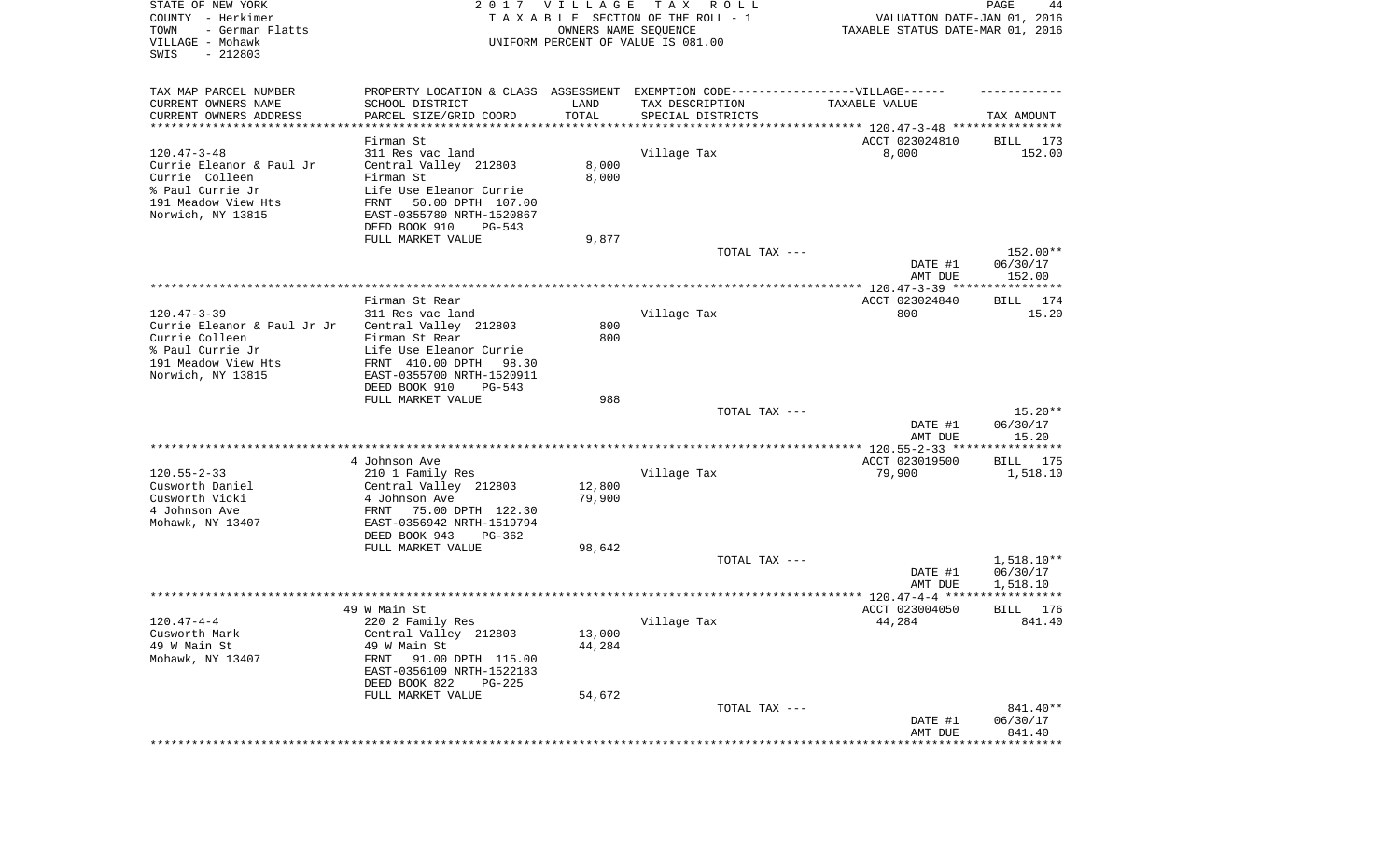| STATE OF NEW YORK<br>COUNTY - Herkimer<br>TOWN<br>- German Flatts<br>VILLAGE - Mohawk<br>SWIS<br>$-212803$ |                                                                                  | 2017 VILLAGE<br>OWNERS NAME SEQUENCE | TAX ROLL<br>TAXABLE SECTION OF THE ROLL - 1<br>UNIFORM PERCENT OF VALUE IS 081.00 | VALUATION DATE-JAN 01, 2016<br>TAXABLE STATUS DATE-MAR 01, 2016 | PAGE<br>44            |
|------------------------------------------------------------------------------------------------------------|----------------------------------------------------------------------------------|--------------------------------------|-----------------------------------------------------------------------------------|-----------------------------------------------------------------|-----------------------|
| TAX MAP PARCEL NUMBER                                                                                      | PROPERTY LOCATION & CLASS ASSESSMENT EXEMPTION CODE----------------VILLAGE------ |                                      |                                                                                   |                                                                 |                       |
| CURRENT OWNERS NAME                                                                                        | SCHOOL DISTRICT                                                                  | LAND                                 | TAX DESCRIPTION                                                                   | TAXABLE VALUE                                                   |                       |
| CURRENT OWNERS ADDRESS<br>***********************                                                          | PARCEL SIZE/GRID COORD<br>***********************                                | TOTAL<br>***********                 | SPECIAL DISTRICTS                                                                 | ********************************* 120.47-3-48 ****************  | TAX AMOUNT            |
|                                                                                                            | Firman St                                                                        |                                      |                                                                                   | ACCT 023024810                                                  | 173<br>BILL           |
| $120.47 - 3 - 48$                                                                                          | 311 Res vac land                                                                 |                                      | Village Tax                                                                       | 8,000                                                           | 152.00                |
| Currie Eleanor & Paul Jr                                                                                   | Central Valley 212803                                                            | 8,000                                |                                                                                   |                                                                 |                       |
| Currie Colleen                                                                                             | Firman St                                                                        | 8,000                                |                                                                                   |                                                                 |                       |
| % Paul Currie Jr                                                                                           | Life Use Eleanor Currie                                                          |                                      |                                                                                   |                                                                 |                       |
| 191 Meadow View Hts                                                                                        | 50.00 DPTH 107.00<br>FRNT                                                        |                                      |                                                                                   |                                                                 |                       |
| Norwich, NY 13815                                                                                          | EAST-0355780 NRTH-1520867                                                        |                                      |                                                                                   |                                                                 |                       |
|                                                                                                            | DEED BOOK 910<br>PG-543                                                          |                                      |                                                                                   |                                                                 |                       |
|                                                                                                            | FULL MARKET VALUE                                                                | 9,877                                | TOTAL TAX ---                                                                     |                                                                 | 152.00**              |
|                                                                                                            |                                                                                  |                                      |                                                                                   | DATE #1                                                         | 06/30/17              |
|                                                                                                            |                                                                                  |                                      |                                                                                   | AMT DUE                                                         | 152.00                |
|                                                                                                            |                                                                                  |                                      |                                                                                   |                                                                 |                       |
|                                                                                                            | Firman St Rear                                                                   |                                      |                                                                                   | ACCT 023024840                                                  | BILL 174              |
| $120.47 - 3 - 39$                                                                                          | 311 Res vac land                                                                 |                                      | Village Tax                                                                       | 800                                                             | 15.20                 |
| Currie Eleanor & Paul Jr Jr                                                                                | Central Valley 212803                                                            | 800                                  |                                                                                   |                                                                 |                       |
| Currie Colleen<br>% Paul Currie Jr                                                                         | Firman St Rear                                                                   | 800                                  |                                                                                   |                                                                 |                       |
| 191 Meadow View Hts                                                                                        | Life Use Eleanor Currie<br>FRNT 410.00 DPTH<br>98.30                             |                                      |                                                                                   |                                                                 |                       |
| Norwich, NY 13815                                                                                          | EAST-0355700 NRTH-1520911                                                        |                                      |                                                                                   |                                                                 |                       |
|                                                                                                            | DEED BOOK 910<br>$PG-543$                                                        |                                      |                                                                                   |                                                                 |                       |
|                                                                                                            | FULL MARKET VALUE                                                                | 988                                  |                                                                                   |                                                                 |                       |
|                                                                                                            |                                                                                  |                                      | TOTAL TAX ---                                                                     |                                                                 | $15.20**$             |
|                                                                                                            |                                                                                  |                                      |                                                                                   | DATE #1                                                         | 06/30/17              |
|                                                                                                            |                                                                                  |                                      |                                                                                   | AMT DUE                                                         | 15.20                 |
|                                                                                                            | 4 Johnson Ave                                                                    |                                      |                                                                                   | ACCT 023019500                                                  | BILL 175              |
| $120.55 - 2 - 33$                                                                                          | 210 1 Family Res                                                                 |                                      | Village Tax                                                                       | 79,900                                                          | 1,518.10              |
| Cusworth Daniel                                                                                            | Central Valley 212803                                                            | 12,800                               |                                                                                   |                                                                 |                       |
| Cusworth Vicki                                                                                             | 4 Johnson Ave                                                                    | 79,900                               |                                                                                   |                                                                 |                       |
| 4 Johnson Ave                                                                                              | FRNT<br>75.00 DPTH 122.30                                                        |                                      |                                                                                   |                                                                 |                       |
| Mohawk, NY 13407                                                                                           | EAST-0356942 NRTH-1519794                                                        |                                      |                                                                                   |                                                                 |                       |
|                                                                                                            | DEED BOOK 943<br>PG-362                                                          |                                      |                                                                                   |                                                                 |                       |
|                                                                                                            | FULL MARKET VALUE                                                                | 98,642                               | TOTAL TAX ---                                                                     |                                                                 | $1,518.10**$          |
|                                                                                                            |                                                                                  |                                      |                                                                                   | DATE #1                                                         | 06/30/17              |
|                                                                                                            |                                                                                  |                                      |                                                                                   | AMT DUE                                                         | 1,518.10              |
|                                                                                                            |                                                                                  |                                      |                                                                                   |                                                                 |                       |
|                                                                                                            | 49 W Main St                                                                     |                                      |                                                                                   | ACCT 023004050                                                  | 176<br>BILL           |
| $120.47 - 4 - 4$                                                                                           | 220 2 Family Res                                                                 |                                      | Village Tax                                                                       | 44,284                                                          | 841.40                |
| Cusworth Mark                                                                                              | Central Valley 212803                                                            | 13,000                               |                                                                                   |                                                                 |                       |
| 49 W Main St                                                                                               | 49 W Main St                                                                     | 44,284                               |                                                                                   |                                                                 |                       |
| Mohawk, NY 13407                                                                                           | 91.00 DPTH 115.00<br>FRNT<br>EAST-0356109 NRTH-1522183                           |                                      |                                                                                   |                                                                 |                       |
|                                                                                                            | DEED BOOK 822<br>$PG-225$                                                        |                                      |                                                                                   |                                                                 |                       |
|                                                                                                            | FULL MARKET VALUE                                                                | 54,672                               |                                                                                   |                                                                 |                       |
|                                                                                                            |                                                                                  |                                      | TOTAL TAX ---                                                                     |                                                                 | 841.40**              |
|                                                                                                            |                                                                                  |                                      |                                                                                   | DATE #1                                                         | 06/30/17              |
|                                                                                                            |                                                                                  |                                      |                                                                                   | AMT DUE                                                         | 841.40                |
|                                                                                                            |                                                                                  |                                      |                                                                                   |                                                                 | * * * * * * * * * * * |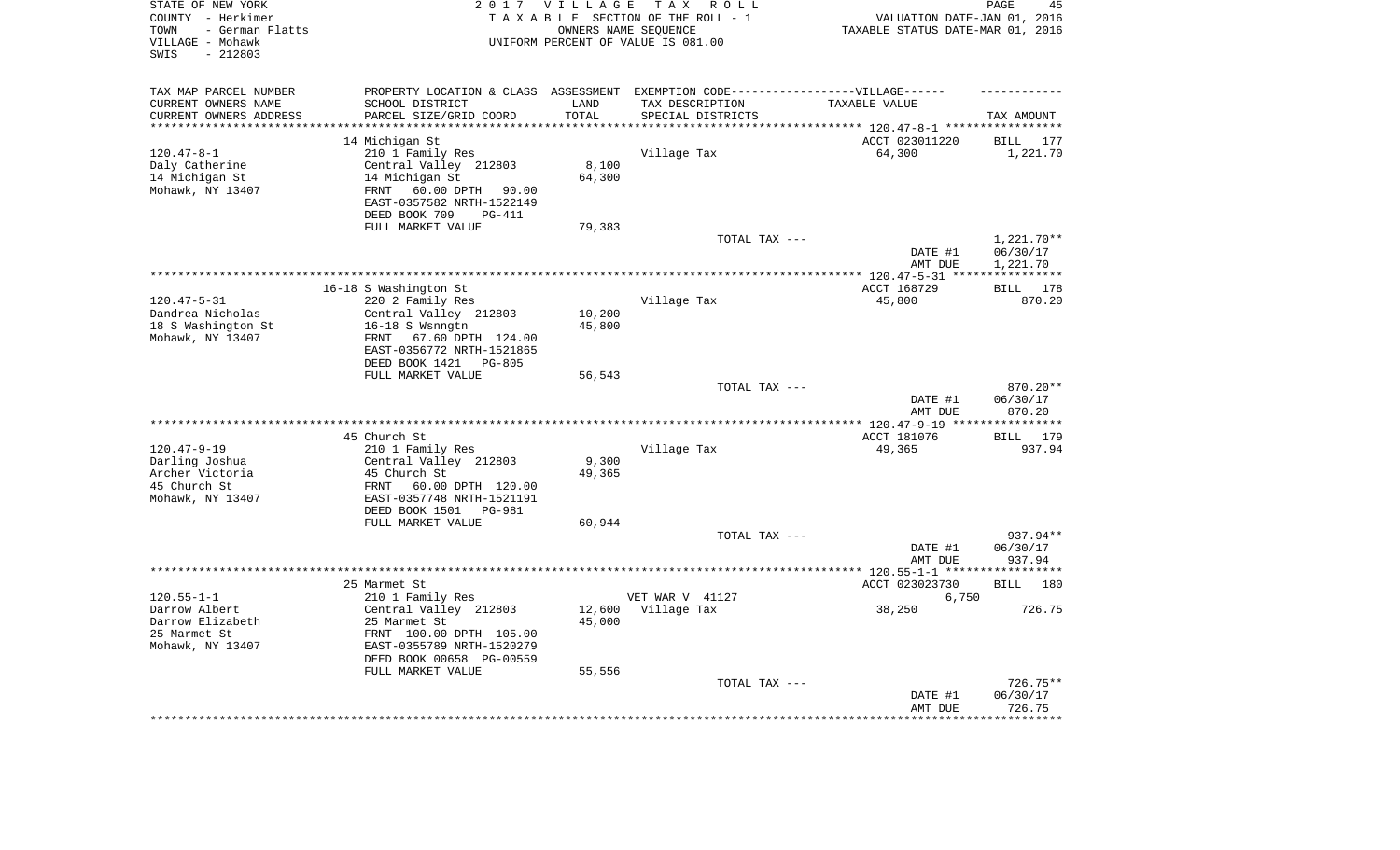| STATE OF NEW YORK<br>COUNTY - Herkimer<br>- German Flatts<br>TOWN<br>VILLAGE - Mohawk<br>$-212803$<br>SWIS |                                                | 2017 VILLAGE      | T A X<br>R O L L<br>TAXABLE SECTION OF THE ROLL - 1<br>OWNERS NAME SEQUENCE<br>UNIFORM PERCENT OF VALUE IS 081.00 | VALUATION DATE-JAN 01, 2016<br>TAXABLE STATUS DATE-MAR 01, 2016 | PAGE<br>45                            |
|------------------------------------------------------------------------------------------------------------|------------------------------------------------|-------------------|-------------------------------------------------------------------------------------------------------------------|-----------------------------------------------------------------|---------------------------------------|
| TAX MAP PARCEL NUMBER                                                                                      |                                                |                   | PROPERTY LOCATION & CLASS ASSESSMENT EXEMPTION CODE-----------------VILLAGE------                                 |                                                                 |                                       |
| CURRENT OWNERS NAME                                                                                        | SCHOOL DISTRICT                                | LAND              | TAX DESCRIPTION                                                                                                   | TAXABLE VALUE                                                   |                                       |
| CURRENT OWNERS ADDRESS<br>********************                                                             | PARCEL SIZE/GRID COORD<br>******************** | TOTAL<br>******** | SPECIAL DISTRICTS                                                                                                 |                                                                 | TAX AMOUNT<br>* * * * * * * * * * * * |
|                                                                                                            |                                                |                   |                                                                                                                   | ************************** 120.47-8-1 *****<br>ACCT 023011220   | <b>BILL</b><br>177                    |
| $120.47 - 8 - 1$                                                                                           | 14 Michigan St<br>210 1 Family Res             |                   | Village Tax                                                                                                       | 64,300                                                          | 1,221.70                              |
| Daly Catherine                                                                                             | Central Valley 212803                          | 8,100             |                                                                                                                   |                                                                 |                                       |
| 14 Michigan St                                                                                             | 14 Michigan St                                 | 64,300            |                                                                                                                   |                                                                 |                                       |
| Mohawk, NY 13407                                                                                           | 60.00 DPTH<br>FRNT<br>90.00                    |                   |                                                                                                                   |                                                                 |                                       |
|                                                                                                            | EAST-0357582 NRTH-1522149                      |                   |                                                                                                                   |                                                                 |                                       |
|                                                                                                            | DEED BOOK 709<br><b>PG-411</b>                 |                   |                                                                                                                   |                                                                 |                                       |
|                                                                                                            | FULL MARKET VALUE                              | 79,383            |                                                                                                                   |                                                                 |                                       |
|                                                                                                            |                                                |                   | TOTAL TAX ---                                                                                                     |                                                                 | 1,221.70**                            |
|                                                                                                            |                                                |                   |                                                                                                                   | DATE #1                                                         | 06/30/17                              |
|                                                                                                            |                                                |                   |                                                                                                                   | AMT DUE                                                         | 1,221.70                              |
|                                                                                                            | 16-18 S Washington St                          |                   |                                                                                                                   | ***** 120.47-5-31 **<br>ACCT 168729                             | 178<br><b>BILL</b>                    |
| $120.47 - 5 - 31$                                                                                          | 220 2 Family Res                               |                   | Village Tax                                                                                                       | 45,800                                                          | 870.20                                |
| Dandrea Nicholas                                                                                           | Central Valley 212803                          | 10,200            |                                                                                                                   |                                                                 |                                       |
| 18 S Washington St                                                                                         | 16-18 S Wsnngtn                                | 45,800            |                                                                                                                   |                                                                 |                                       |
| Mohawk, NY 13407                                                                                           | FRNT 67.60 DPTH 124.00                         |                   |                                                                                                                   |                                                                 |                                       |
|                                                                                                            | EAST-0356772 NRTH-1521865                      |                   |                                                                                                                   |                                                                 |                                       |
|                                                                                                            | DEED BOOK 1421<br>PG-805                       |                   |                                                                                                                   |                                                                 |                                       |
|                                                                                                            | FULL MARKET VALUE                              | 56,543            |                                                                                                                   |                                                                 |                                       |
|                                                                                                            |                                                |                   | TOTAL TAX ---                                                                                                     |                                                                 | 870.20**                              |
|                                                                                                            |                                                |                   |                                                                                                                   | DATE #1<br>AMT DUE                                              | 06/30/17<br>870.20                    |
|                                                                                                            |                                                |                   |                                                                                                                   | $* 120.47 - 9 - 19 **$                                          | *********                             |
|                                                                                                            | 45 Church St                                   |                   |                                                                                                                   | ACCT 181076                                                     | 179<br>BILL                           |
| $120.47 - 9 - 19$                                                                                          | 210 1 Family Res                               |                   | Village Tax                                                                                                       | 49,365                                                          | 937.94                                |
| Darling Joshua                                                                                             | Central Valley 212803                          | 9,300             |                                                                                                                   |                                                                 |                                       |
| Archer Victoria                                                                                            | 45 Church St                                   | 49,365            |                                                                                                                   |                                                                 |                                       |
| 45 Church St                                                                                               | FRNT<br>60.00 DPTH 120.00                      |                   |                                                                                                                   |                                                                 |                                       |
| Mohawk, NY 13407                                                                                           | EAST-0357748 NRTH-1521191                      |                   |                                                                                                                   |                                                                 |                                       |
|                                                                                                            | DEED BOOK 1501<br>PG-981                       |                   |                                                                                                                   |                                                                 |                                       |
|                                                                                                            | FULL MARKET VALUE                              | 60,944            | TOTAL TAX ---                                                                                                     |                                                                 | 937.94**                              |
|                                                                                                            |                                                |                   |                                                                                                                   | DATE #1                                                         | 06/30/17                              |
|                                                                                                            |                                                |                   |                                                                                                                   | AMT DUE                                                         | 937.94                                |
| *******************                                                                                        |                                                |                   |                                                                                                                   | ********** 120.55-1-1 ***                                       | * * * * * * * * *                     |
|                                                                                                            | 25 Marmet St                                   |                   |                                                                                                                   | ACCT 023023730                                                  | <b>BILL</b><br>180                    |
| $120.55 - 1 - 1$                                                                                           | 210 1 Family Res                               |                   | VET WAR V 41127                                                                                                   | 6,750                                                           |                                       |
| Darrow Albert                                                                                              | Central Valley 212803                          | 12,600            | Village Tax                                                                                                       | 38,250                                                          | 726.75                                |
| Darrow Elizabeth                                                                                           | 25 Marmet St                                   | 45,000            |                                                                                                                   |                                                                 |                                       |
| 25 Marmet St                                                                                               | FRNT 100.00 DPTH 105.00                        |                   |                                                                                                                   |                                                                 |                                       |
| Mohawk, NY 13407                                                                                           | EAST-0355789 NRTH-1520279                      |                   |                                                                                                                   |                                                                 |                                       |
|                                                                                                            | DEED BOOK 00658 PG-00559<br>FULL MARKET VALUE  | 55,556            |                                                                                                                   |                                                                 |                                       |
|                                                                                                            |                                                |                   | TOTAL TAX ---                                                                                                     |                                                                 | 726.75**                              |
|                                                                                                            |                                                |                   |                                                                                                                   | DATE #1                                                         | 06/30/17                              |
|                                                                                                            |                                                |                   |                                                                                                                   | AMT DUE                                                         | 726.75                                |
|                                                                                                            |                                                |                   |                                                                                                                   |                                                                 |                                       |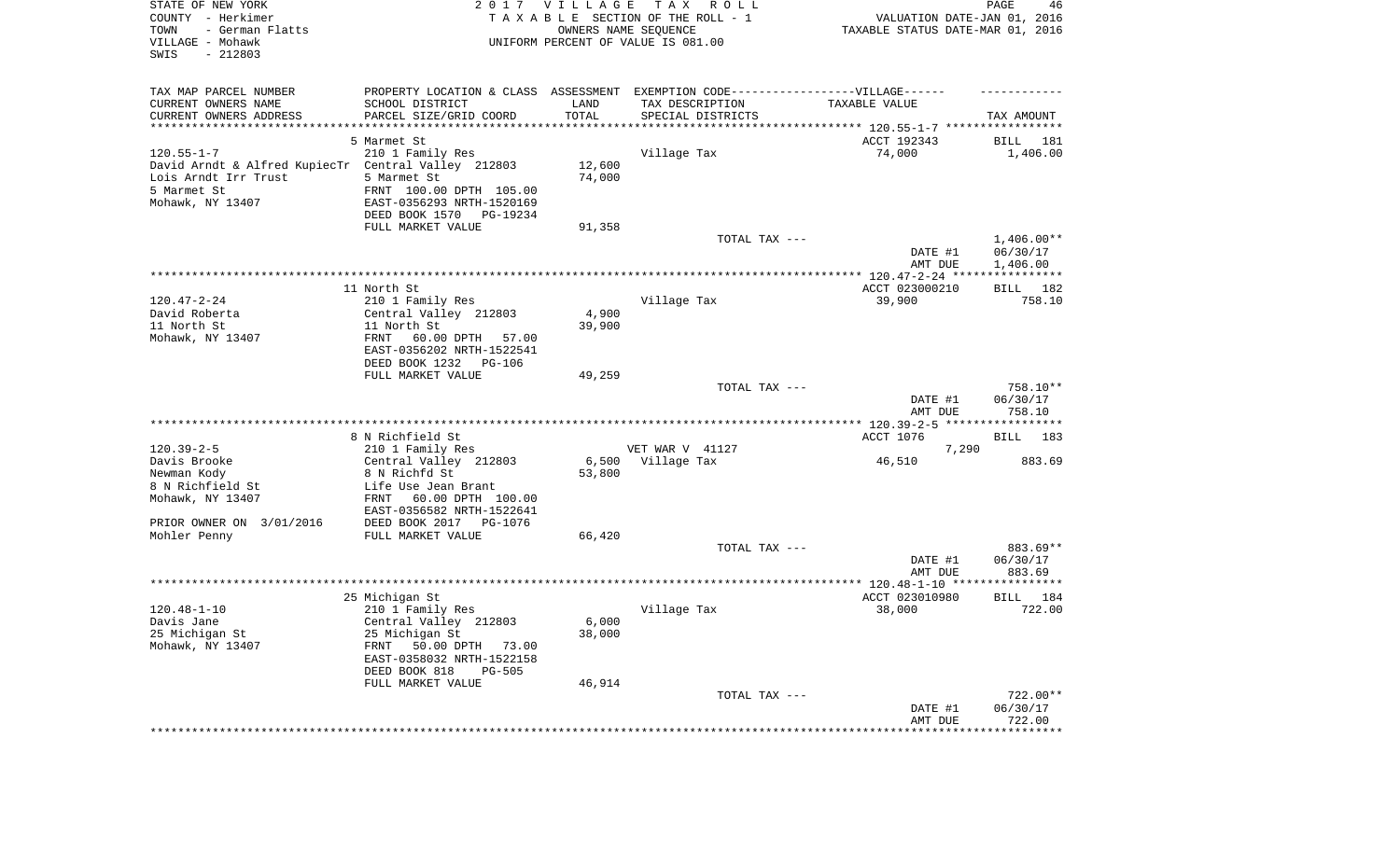| STATE OF NEW YORK<br>COUNTY - Herkimer<br>- German Flatts<br>TOWN<br>VILLAGE - Mohawk<br>SWIS<br>$-212803$ |                                                       | 2017 VILLAGE<br>OWNERS NAME SEQUENCE | T A X<br>R O L L<br>TAXABLE SECTION OF THE ROLL - 1<br>UNIFORM PERCENT OF VALUE IS 081.00 | VALUATION DATE-JAN 01, 2016<br>TAXABLE STATUS DATE-MAR 01, 2016 | PAGE<br>46            |
|------------------------------------------------------------------------------------------------------------|-------------------------------------------------------|--------------------------------------|-------------------------------------------------------------------------------------------|-----------------------------------------------------------------|-----------------------|
| TAX MAP PARCEL NUMBER                                                                                      |                                                       |                                      | PROPERTY LOCATION & CLASS ASSESSMENT EXEMPTION CODE----------------VILLAGE------          |                                                                 |                       |
| CURRENT OWNERS NAME<br>CURRENT OWNERS ADDRESS                                                              | SCHOOL DISTRICT<br>PARCEL SIZE/GRID COORD             | LAND<br>TOTAL                        | TAX DESCRIPTION<br>SPECIAL DISTRICTS                                                      | TAXABLE VALUE                                                   | TAX AMOUNT            |
| **********************                                                                                     |                                                       |                                      |                                                                                           |                                                                 |                       |
|                                                                                                            | 5 Marmet St                                           |                                      |                                                                                           | ACCT 192343                                                     | 181<br>BILL           |
| $120.55 - 1 - 7$                                                                                           | 210 1 Family Res                                      |                                      | Village Tax                                                                               | 74,000                                                          | 1,406.00              |
| David Arndt & Alfred KupiecTr Central Valley 212803                                                        |                                                       | 12,600                               |                                                                                           |                                                                 |                       |
| Lois Arndt Irr Trust                                                                                       | 5 Marmet St                                           | 74,000                               |                                                                                           |                                                                 |                       |
| 5 Marmet St<br>Mohawk, NY 13407                                                                            | FRNT 100.00 DPTH 105.00<br>EAST-0356293 NRTH-1520169  |                                      |                                                                                           |                                                                 |                       |
|                                                                                                            | DEED BOOK 1570<br>PG-19234                            |                                      |                                                                                           |                                                                 |                       |
|                                                                                                            | FULL MARKET VALUE                                     | 91,358                               |                                                                                           |                                                                 |                       |
|                                                                                                            |                                                       |                                      | TOTAL TAX ---                                                                             |                                                                 | $1,406.00**$          |
|                                                                                                            |                                                       |                                      |                                                                                           | DATE #1                                                         | 06/30/17              |
|                                                                                                            |                                                       |                                      |                                                                                           | AMT DUE                                                         | 1,406.00              |
|                                                                                                            | 11 North St                                           |                                      |                                                                                           | ACCT 023000210                                                  | BILL 182              |
| $120.47 - 2 - 24$                                                                                          | 210 1 Family Res                                      |                                      | Village Tax                                                                               | 39,900                                                          | 758.10                |
| David Roberta                                                                                              | Central Valley 212803                                 | 4,900                                |                                                                                           |                                                                 |                       |
| 11 North St                                                                                                | 11 North St                                           | 39,900                               |                                                                                           |                                                                 |                       |
| Mohawk, NY 13407                                                                                           | FRNT<br>60.00 DPTH<br>57.00                           |                                      |                                                                                           |                                                                 |                       |
|                                                                                                            | EAST-0356202 NRTH-1522541<br>DEED BOOK 1232<br>PG-106 |                                      |                                                                                           |                                                                 |                       |
|                                                                                                            | FULL MARKET VALUE                                     | 49,259                               |                                                                                           |                                                                 |                       |
|                                                                                                            |                                                       |                                      | TOTAL TAX ---                                                                             |                                                                 | 758.10**              |
|                                                                                                            |                                                       |                                      |                                                                                           | DATE #1                                                         | 06/30/17              |
|                                                                                                            |                                                       |                                      |                                                                                           | AMT DUE                                                         | 758.10                |
|                                                                                                            |                                                       |                                      |                                                                                           |                                                                 |                       |
| $120.39 - 2 - 5$                                                                                           | 8 N Richfield St<br>210 1 Family Res                  |                                      | VET WAR V 41127                                                                           | ACCT 1076<br>7,290                                              | BILL<br>183           |
| Davis Brooke                                                                                               | Central Valley 212803                                 | 6,500                                | Village Tax                                                                               | 46,510                                                          | 883.69                |
| Newman Kody                                                                                                | 8 N Richfd St                                         | 53,800                               |                                                                                           |                                                                 |                       |
| 8 N Richfield St                                                                                           | Life Use Jean Brant                                   |                                      |                                                                                           |                                                                 |                       |
| Mohawk, NY 13407                                                                                           | 60.00 DPTH 100.00<br>FRNT                             |                                      |                                                                                           |                                                                 |                       |
|                                                                                                            | EAST-0356582 NRTH-1522641                             |                                      |                                                                                           |                                                                 |                       |
| PRIOR OWNER ON 3/01/2016<br>Mohler Penny                                                                   | DEED BOOK 2017<br>PG-1076<br>FULL MARKET VALUE        | 66,420                               |                                                                                           |                                                                 |                       |
|                                                                                                            |                                                       |                                      | TOTAL TAX ---                                                                             |                                                                 | 883.69**              |
|                                                                                                            |                                                       |                                      |                                                                                           | DATE #1                                                         | 06/30/17              |
|                                                                                                            |                                                       |                                      |                                                                                           | AMT DUE                                                         | 883.69                |
|                                                                                                            |                                                       |                                      |                                                                                           |                                                                 |                       |
| $120.48 - 1 - 10$                                                                                          | 25 Michigan St<br>210 1 Family Res                    |                                      |                                                                                           | ACCT 023010980<br>38,000                                        | 184<br>BILL<br>722.00 |
| Davis Jane                                                                                                 | Central Valley 212803                                 | $6,000$                              | Village Tax                                                                               |                                                                 |                       |
| 25 Michigan St                                                                                             | 25 Michigan St                                        | 38,000                               |                                                                                           |                                                                 |                       |
| Mohawk, NY 13407                                                                                           | 50.00 DPTH 73.00<br>FRNT                              |                                      |                                                                                           |                                                                 |                       |
|                                                                                                            | EAST-0358032 NRTH-1522158                             |                                      |                                                                                           |                                                                 |                       |
|                                                                                                            | DEED BOOK 818<br><b>PG-505</b>                        |                                      |                                                                                           |                                                                 |                       |
|                                                                                                            | FULL MARKET VALUE                                     | 46,914                               | TOTAL TAX ---                                                                             |                                                                 | 722.00**              |
|                                                                                                            |                                                       |                                      |                                                                                           | DATE #1                                                         | 06/30/17              |
|                                                                                                            |                                                       |                                      |                                                                                           | AMT DUE                                                         | 722.00                |
|                                                                                                            |                                                       |                                      |                                                                                           | *****************                                               | **************        |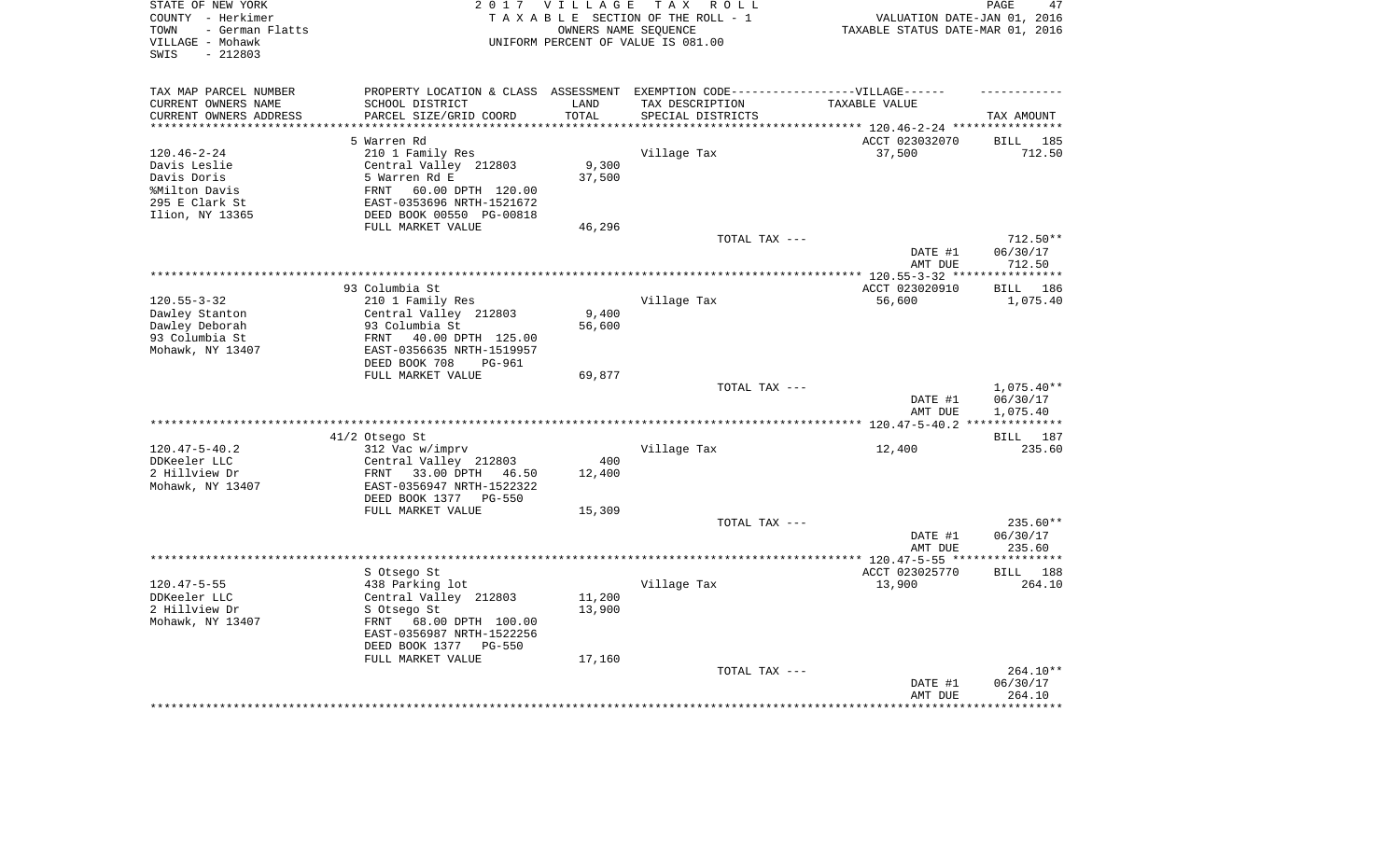| STATE OF NEW YORK       |                                                                                   | 2017 VILLAGE | TAX ROLL                           |                                           | PAGE<br>47                   |
|-------------------------|-----------------------------------------------------------------------------------|--------------|------------------------------------|-------------------------------------------|------------------------------|
| COUNTY - Herkimer       |                                                                                   |              | TAXABLE SECTION OF THE ROLL - 1    | VALUATION DATE-JAN 01, 2016               |                              |
| - German Flatts<br>TOWN |                                                                                   |              | OWNERS NAME SEOUENCE               | TAXABLE STATUS DATE-MAR 01, 2016          |                              |
| VILLAGE - Mohawk        |                                                                                   |              | UNIFORM PERCENT OF VALUE IS 081.00 |                                           |                              |
| $-212803$<br>SWIS       |                                                                                   |              |                                    |                                           |                              |
|                         |                                                                                   |              |                                    |                                           |                              |
| TAX MAP PARCEL NUMBER   | PROPERTY LOCATION & CLASS ASSESSMENT EXEMPTION CODE-----------------VILLAGE------ |              |                                    |                                           |                              |
| CURRENT OWNERS NAME     | SCHOOL DISTRICT                                                                   | LAND         | TAX DESCRIPTION                    | TAXABLE VALUE                             |                              |
| CURRENT OWNERS ADDRESS  | PARCEL SIZE/GRID COORD                                                            | TOTAL        | SPECIAL DISTRICTS                  |                                           | TAX AMOUNT                   |
|                         |                                                                                   |              |                                    | *********** 120.46-2-24 ***************** |                              |
| $120.46 - 2 - 24$       | 5 Warren Rd<br>210 1 Family Res                                                   |              |                                    | ACCT 023032070                            | <b>BILL</b><br>185<br>712.50 |
| Davis Leslie            | Central Valley 212803                                                             | 9,300        | Village Tax                        | 37,500                                    |                              |
| Davis Doris             | 5 Warren Rd E                                                                     | 37,500       |                                    |                                           |                              |
| %Milton Davis           | FRNT<br>60.00 DPTH 120.00                                                         |              |                                    |                                           |                              |
| 295 E Clark St          | EAST-0353696 NRTH-1521672                                                         |              |                                    |                                           |                              |
| Ilion, NY 13365         | DEED BOOK 00550 PG-00818                                                          |              |                                    |                                           |                              |
|                         | FULL MARKET VALUE                                                                 | 46,296       |                                    |                                           |                              |
|                         |                                                                                   |              | TOTAL TAX ---                      |                                           | 712.50**                     |
|                         |                                                                                   |              |                                    | DATE #1                                   | 06/30/17                     |
|                         |                                                                                   |              |                                    | AMT DUE                                   | 712.50                       |
|                         |                                                                                   |              | ********************************** | *********** 120.55-3-32 **                | **********                   |
|                         | 93 Columbia St                                                                    |              |                                    | ACCT 023020910                            | BILL 186                     |
| $120.55 - 3 - 32$       | 210 1 Family Res                                                                  |              | Village Tax                        | 56,600                                    | 1,075.40                     |
| Dawley Stanton          | Central Valley 212803                                                             | 9,400        |                                    |                                           |                              |
| Dawley Deborah          | 93 Columbia St                                                                    | 56,600       |                                    |                                           |                              |
| 93 Columbia St          | 40.00 DPTH 125.00<br>FRNT                                                         |              |                                    |                                           |                              |
| Mohawk, NY 13407        | EAST-0356635 NRTH-1519957                                                         |              |                                    |                                           |                              |
|                         | DEED BOOK 708<br>PG-961                                                           |              |                                    |                                           |                              |
|                         | FULL MARKET VALUE                                                                 | 69,877       |                                    |                                           |                              |
|                         |                                                                                   |              | TOTAL TAX ---                      |                                           | $1,075.40**$                 |
|                         |                                                                                   |              |                                    | DATE #1                                   | 06/30/17                     |
|                         |                                                                                   |              | ***********************            | AMT DUE                                   | 1,075.40<br>***********      |
|                         | 41/2 Otsego St                                                                    |              |                                    | ** $120.47 - 5 - 40.2$ *                  | BILL 187                     |
| $120.47 - 5 - 40.2$     | 312 Vac w/imprv                                                                   |              | Village Tax                        | 12,400                                    | 235.60                       |
| DDKeeler LLC            | Central Valley 212803                                                             | 400          |                                    |                                           |                              |
| 2 Hillview Dr           | 33.00 DPTH<br>FRNT<br>46.50                                                       | 12,400       |                                    |                                           |                              |
| Mohawk, NY 13407        | EAST-0356947 NRTH-1522322                                                         |              |                                    |                                           |                              |
|                         | DEED BOOK 1377<br>$PG-550$                                                        |              |                                    |                                           |                              |
|                         | FULL MARKET VALUE                                                                 | 15,309       |                                    |                                           |                              |
|                         |                                                                                   |              | TOTAL TAX ---                      |                                           | 235.60**                     |
|                         |                                                                                   |              |                                    | DATE #1                                   | 06/30/17                     |
|                         |                                                                                   |              |                                    | AMT DUE                                   | 235.60                       |
|                         |                                                                                   |              |                                    |                                           |                              |
|                         | S Otsego St                                                                       |              |                                    | ACCT 023025770                            | BILL 188                     |
| $120.47 - 5 - 55$       | 438 Parking lot                                                                   |              | Village Tax                        | 13,900                                    | 264.10                       |
| DDKeeler LLC            | Central Valley 212803                                                             | 11,200       |                                    |                                           |                              |
| 2 Hillview Dr           | S Otsego St                                                                       | 13,900       |                                    |                                           |                              |
| Mohawk, NY 13407        | 68.00 DPTH 100.00<br>FRNT                                                         |              |                                    |                                           |                              |
|                         | EAST-0356987 NRTH-1522256                                                         |              |                                    |                                           |                              |
|                         | DEED BOOK 1377 PG-550                                                             |              |                                    |                                           |                              |
|                         | FULL MARKET VALUE                                                                 | 17,160       |                                    |                                           |                              |
|                         |                                                                                   |              | TOTAL TAX ---                      |                                           | 264.10**                     |
|                         |                                                                                   |              |                                    | DATE #1                                   | 06/30/17                     |
|                         |                                                                                   |              |                                    | AMT DUE                                   | 264.10                       |
|                         |                                                                                   |              |                                    |                                           |                              |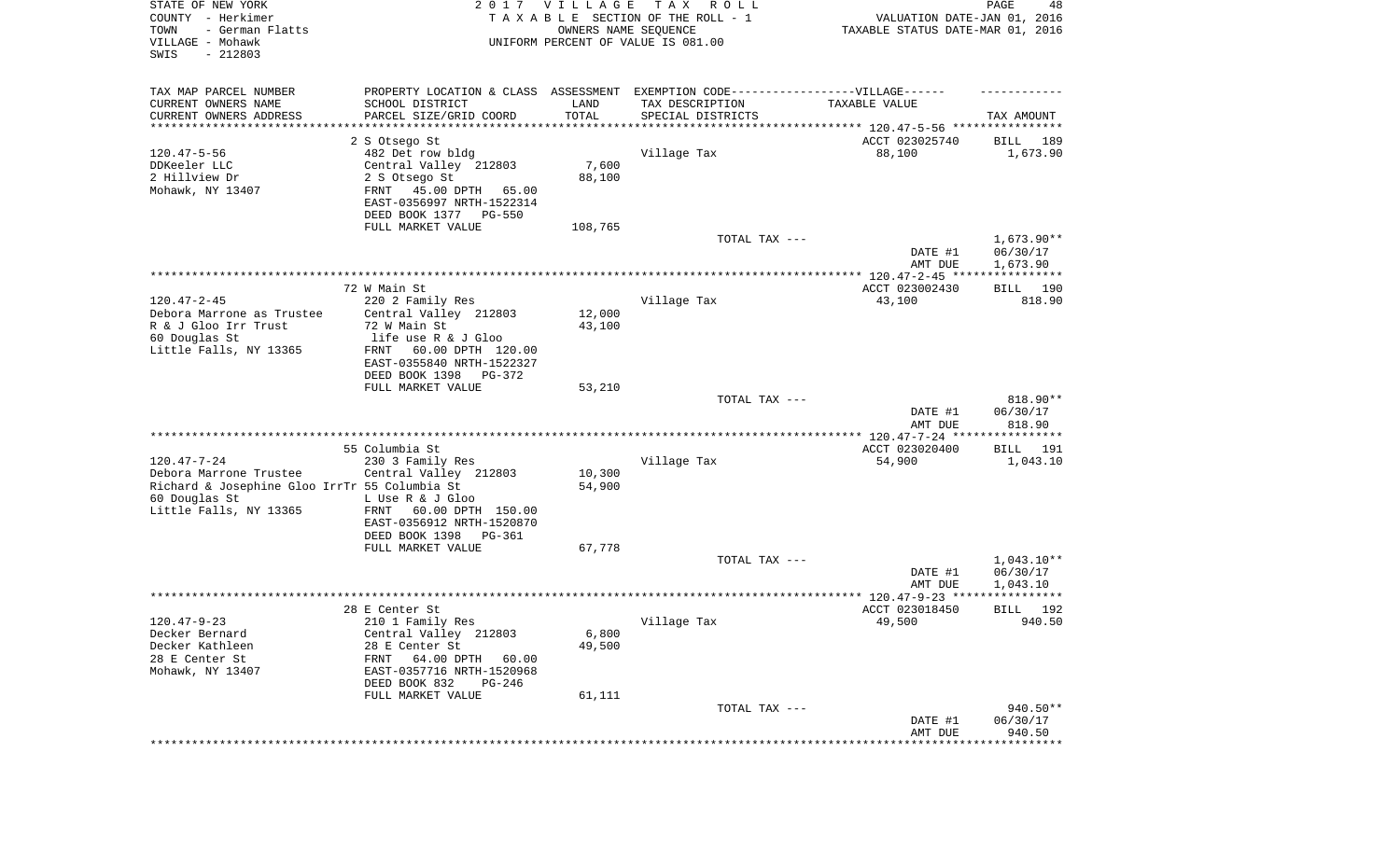| STATE OF NEW YORK<br>COUNTY - Herkimer<br>- German Flatts<br>TOWN<br>VILLAGE - Mohawk<br>$-212803$<br>SWIS |                                                       | 2017 VILLAGE<br>OWNERS NAME SEQUENCE | T A X<br>R O L L<br>TAXABLE SECTION OF THE ROLL - 1<br>UNIFORM PERCENT OF VALUE IS 081.00 | VALUATION DATE-JAN 01, 2016<br>TAXABLE STATUS DATE-MAR 01, 2016 | PAGE<br>48            |
|------------------------------------------------------------------------------------------------------------|-------------------------------------------------------|--------------------------------------|-------------------------------------------------------------------------------------------|-----------------------------------------------------------------|-----------------------|
| TAX MAP PARCEL NUMBER                                                                                      |                                                       |                                      | PROPERTY LOCATION & CLASS ASSESSMENT EXEMPTION CODE----------------VILLAGE------          |                                                                 |                       |
| CURRENT OWNERS NAME                                                                                        | SCHOOL DISTRICT                                       | LAND                                 | TAX DESCRIPTION                                                                           | TAXABLE VALUE                                                   |                       |
| CURRENT OWNERS ADDRESS<br>********************                                                             | PARCEL SIZE/GRID COORD                                | TOTAL                                | SPECIAL DISTRICTS<br>********************************* 120.47-5-56 ****************       |                                                                 | TAX AMOUNT            |
|                                                                                                            | 2 S Otsego St                                         |                                      |                                                                                           | ACCT 023025740                                                  | 189<br>BILL           |
| $120.47 - 5 - 56$                                                                                          | 482 Det row bldg                                      |                                      | Village Tax                                                                               | 88,100                                                          | 1,673.90              |
| DDKeeler LLC                                                                                               | Central Valley 212803                                 | 7,600                                |                                                                                           |                                                                 |                       |
| 2 Hillview Dr                                                                                              | 2 S Otsego St                                         | 88,100                               |                                                                                           |                                                                 |                       |
| Mohawk, NY 13407                                                                                           | FRNT<br>45.00 DPTH<br>65.00                           |                                      |                                                                                           |                                                                 |                       |
|                                                                                                            | EAST-0356997 NRTH-1522314                             |                                      |                                                                                           |                                                                 |                       |
|                                                                                                            | DEED BOOK 1377 PG-550                                 |                                      |                                                                                           |                                                                 |                       |
|                                                                                                            | FULL MARKET VALUE                                     | 108,765                              | TOTAL TAX ---                                                                             |                                                                 | $1,673.90**$          |
|                                                                                                            |                                                       |                                      |                                                                                           | DATE #1<br>AMT DUE                                              | 06/30/17<br>1,673.90  |
|                                                                                                            |                                                       |                                      |                                                                                           |                                                                 |                       |
|                                                                                                            | 72 W Main St                                          |                                      |                                                                                           | ACCT 023002430                                                  | 190<br>BILL           |
| $120.47 - 2 - 45$                                                                                          | 220 2 Family Res                                      |                                      | Village Tax                                                                               | 43,100                                                          | 818.90                |
| Debora Marrone as Trustee                                                                                  | Central Valley 212803                                 | 12,000                               |                                                                                           |                                                                 |                       |
| R & J Gloo Irr Trust<br>60 Douglas St                                                                      | 72 W Main St<br>life use R & J Gloo                   | 43,100                               |                                                                                           |                                                                 |                       |
| Little Falls, NY 13365                                                                                     | 60.00 DPTH 120.00<br>FRNT                             |                                      |                                                                                           |                                                                 |                       |
|                                                                                                            | EAST-0355840 NRTH-1522327                             |                                      |                                                                                           |                                                                 |                       |
|                                                                                                            | DEED BOOK 1398<br>PG-372                              |                                      |                                                                                           |                                                                 |                       |
|                                                                                                            | FULL MARKET VALUE                                     | 53,210                               |                                                                                           |                                                                 |                       |
|                                                                                                            |                                                       |                                      | TOTAL TAX ---                                                                             |                                                                 | 818.90**              |
|                                                                                                            |                                                       |                                      |                                                                                           | DATE #1                                                         | 06/30/17<br>818.90    |
|                                                                                                            |                                                       |                                      |                                                                                           | AMT DUE<br>*********** 120.47-7-24 *****************            |                       |
|                                                                                                            | 55 Columbia St                                        |                                      |                                                                                           | ACCT 023020400                                                  | 191<br>BILL           |
| $120.47 - 7 - 24$                                                                                          | 230 3 Family Res                                      |                                      | Village Tax                                                                               | 54,900                                                          | 1,043.10              |
| Debora Marrone Trustee                                                                                     | Central Valley 212803                                 | 10,300                               |                                                                                           |                                                                 |                       |
| Richard & Josephine Gloo IrrTr 55 Columbia St                                                              |                                                       | 54,900                               |                                                                                           |                                                                 |                       |
| 60 Douglas St                                                                                              | L Use R & J Gloo                                      |                                      |                                                                                           |                                                                 |                       |
| Little Falls, NY 13365                                                                                     | FRNT<br>60.00 DPTH 150.00                             |                                      |                                                                                           |                                                                 |                       |
|                                                                                                            | EAST-0356912 NRTH-1520870<br>DEED BOOK 1398<br>PG-361 |                                      |                                                                                           |                                                                 |                       |
|                                                                                                            | FULL MARKET VALUE                                     | 67,778                               |                                                                                           |                                                                 |                       |
|                                                                                                            |                                                       |                                      | TOTAL TAX ---                                                                             |                                                                 | $1,043.10**$          |
|                                                                                                            |                                                       |                                      |                                                                                           | DATE #1                                                         | 06/30/17              |
|                                                                                                            |                                                       |                                      |                                                                                           | AMT DUE                                                         | 1,043.10              |
|                                                                                                            |                                                       |                                      |                                                                                           |                                                                 | *****                 |
| $120.47 - 9 - 23$                                                                                          | 28 E Center St<br>210 1 Family Res                    |                                      |                                                                                           | ACCT 023018450<br>49,500                                        | 192<br>BILL<br>940.50 |
| Decker Bernard                                                                                             | Central Valley 212803                                 | 6,800                                | Village Tax                                                                               |                                                                 |                       |
| Decker Kathleen                                                                                            | 28 E Center St                                        | 49,500                               |                                                                                           |                                                                 |                       |
| 28 E Center St                                                                                             | FRNT<br>64.00 DPTH<br>60.00                           |                                      |                                                                                           |                                                                 |                       |
| Mohawk, NY 13407                                                                                           | EAST-0357716 NRTH-1520968                             |                                      |                                                                                           |                                                                 |                       |
|                                                                                                            | DEED BOOK 832<br>PG-246                               |                                      |                                                                                           |                                                                 |                       |
|                                                                                                            | FULL MARKET VALUE                                     | 61,111                               |                                                                                           |                                                                 |                       |
|                                                                                                            |                                                       |                                      | TOTAL TAX ---                                                                             |                                                                 | 940.50**              |
|                                                                                                            |                                                       |                                      |                                                                                           | DATE #1<br>AMT DUE                                              | 06/30/17<br>940.50    |
|                                                                                                            |                                                       |                                      |                                                                                           |                                                                 |                       |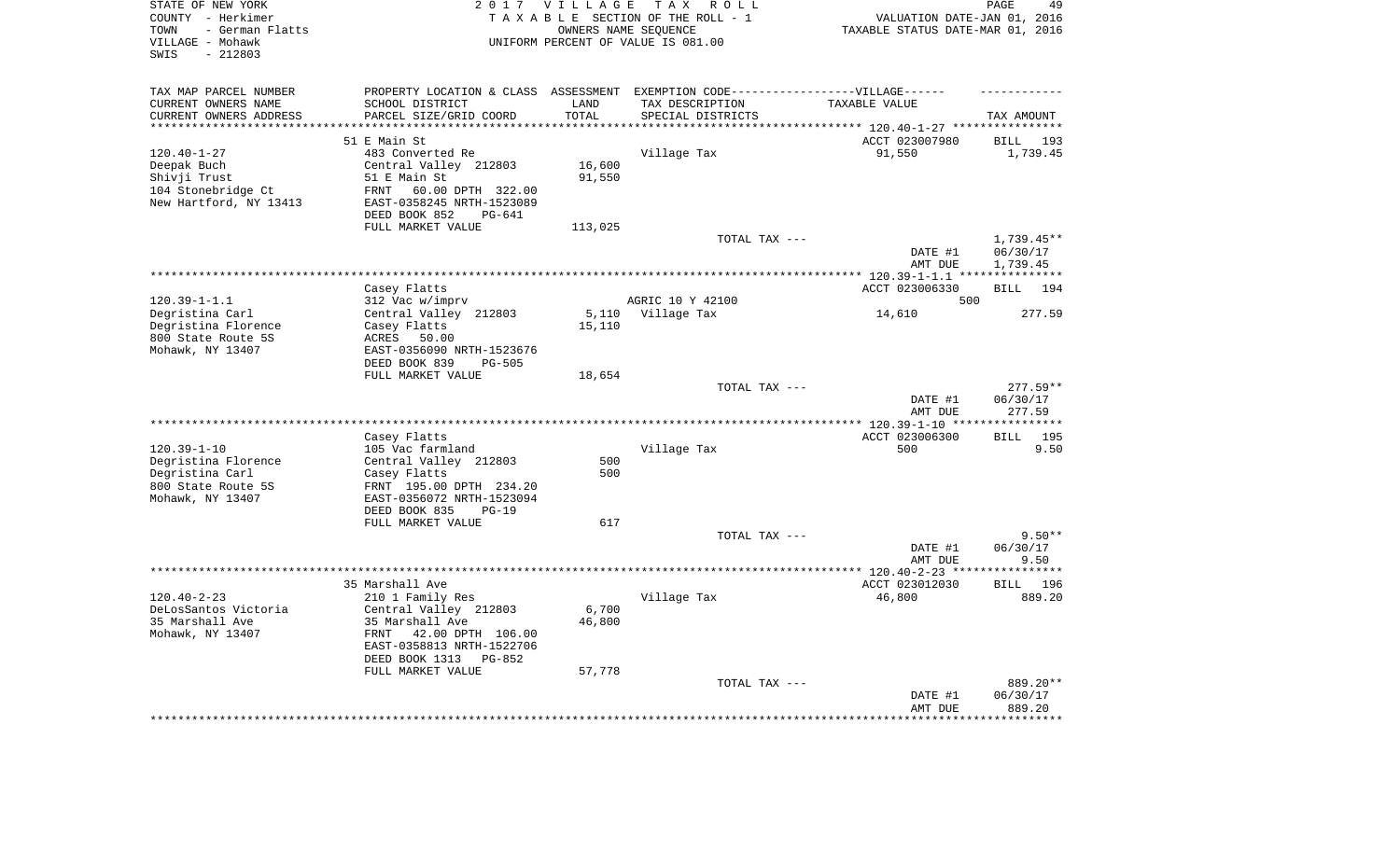| STATE OF NEW YORK<br>COUNTY - Herkimer<br>- German Flatts<br>TOWN<br>VILLAGE - Mohawk<br>$-212803$<br>SWIS |                                  | 2017 VILLAGE     | T A X<br>R O L L<br>TAXABLE SECTION OF THE ROLL - 1<br>OWNERS NAME SEQUENCE<br>UNIFORM PERCENT OF VALUE IS 081.00 | VALUATION DATE-JAN 01, 2016<br>TAXABLE STATUS DATE-MAR 01, 2016 | PAGE<br>49                     |
|------------------------------------------------------------------------------------------------------------|----------------------------------|------------------|-------------------------------------------------------------------------------------------------------------------|-----------------------------------------------------------------|--------------------------------|
| TAX MAP PARCEL NUMBER                                                                                      |                                  |                  | PROPERTY LOCATION & CLASS ASSESSMENT EXEMPTION CODE-----------------VILLAGE------                                 |                                                                 |                                |
| CURRENT OWNERS NAME                                                                                        | SCHOOL DISTRICT                  | LAND             | TAX DESCRIPTION                                                                                                   | TAXABLE VALUE                                                   |                                |
| CURRENT OWNERS ADDRESS<br>********************                                                             | PARCEL SIZE/GRID COORD           | TOTAL<br>******* | SPECIAL DISTRICTS                                                                                                 |                                                                 | TAX AMOUNT                     |
|                                                                                                            |                                  |                  |                                                                                                                   |                                                                 |                                |
| $120.40 - 1 - 27$                                                                                          | 51 E Main St<br>483 Converted Re |                  | Village Tax                                                                                                       | ACCT 023007980<br>91,550                                        | <b>BILL</b><br>193<br>1,739.45 |
| Deepak Buch                                                                                                | Central Valley 212803            | 16,600           |                                                                                                                   |                                                                 |                                |
| Shivji Trust                                                                                               | 51 E Main St                     | 91,550           |                                                                                                                   |                                                                 |                                |
| 104 Stonebridge Ct                                                                                         | 60.00 DPTH 322.00<br>FRNT        |                  |                                                                                                                   |                                                                 |                                |
| New Hartford, NY 13413                                                                                     | EAST-0358245 NRTH-1523089        |                  |                                                                                                                   |                                                                 |                                |
|                                                                                                            | DEED BOOK 852<br>PG-641          |                  |                                                                                                                   |                                                                 |                                |
|                                                                                                            | FULL MARKET VALUE                | 113,025          |                                                                                                                   |                                                                 |                                |
|                                                                                                            |                                  |                  | TOTAL TAX ---                                                                                                     |                                                                 | 1,739.45**                     |
|                                                                                                            |                                  |                  |                                                                                                                   | DATE #1<br>AMT DUE                                              | 06/30/17<br>1,739.45           |
|                                                                                                            |                                  |                  |                                                                                                                   | ***** 120.39-1-1.1 ****************                             |                                |
|                                                                                                            | Casey Flatts                     |                  |                                                                                                                   | ACCT 023006330                                                  | <b>BILL</b><br>194             |
| $120.39 - 1 - 1.1$                                                                                         | 312 Vac w/imprv                  |                  | AGRIC 10 Y 42100                                                                                                  | 500                                                             |                                |
| Degristina Carl                                                                                            | Central Valley 212803            | 5,110            | Village Tax                                                                                                       | 14,610                                                          | 277.59                         |
| Degristina Florence                                                                                        | Casey Flatts                     | 15,110           |                                                                                                                   |                                                                 |                                |
| 800 State Route 5S                                                                                         | ACRES 50.00                      |                  |                                                                                                                   |                                                                 |                                |
| Mohawk, NY 13407                                                                                           | EAST-0356090 NRTH-1523676        |                  |                                                                                                                   |                                                                 |                                |
|                                                                                                            | DEED BOOK 839<br><b>PG-505</b>   |                  |                                                                                                                   |                                                                 |                                |
|                                                                                                            | FULL MARKET VALUE                | 18,654           | TOTAL TAX ---                                                                                                     |                                                                 | $277.59**$                     |
|                                                                                                            |                                  |                  |                                                                                                                   | DATE #1                                                         | 06/30/17                       |
|                                                                                                            |                                  |                  |                                                                                                                   | AMT DUE<br>$* 120.39 - 1 - 10 * *$                              | 277.59                         |
|                                                                                                            | Casey Flatts                     |                  |                                                                                                                   | ACCT 023006300                                                  | 195<br><b>BILL</b>             |
| $120.39 - 1 - 10$                                                                                          | 105 Vac farmland                 |                  | Village Tax                                                                                                       | 500                                                             | 9.50                           |
| Degristina Florence                                                                                        | Central Valley 212803            | 500              |                                                                                                                   |                                                                 |                                |
| Degristina Carl                                                                                            | Casey Flatts                     | 500              |                                                                                                                   |                                                                 |                                |
| 800 State Route 5S                                                                                         | FRNT 195.00 DPTH 234.20          |                  |                                                                                                                   |                                                                 |                                |
| Mohawk, NY 13407                                                                                           | EAST-0356072 NRTH-1523094        |                  |                                                                                                                   |                                                                 |                                |
|                                                                                                            | DEED BOOK 835<br>$PG-19$         |                  |                                                                                                                   |                                                                 |                                |
|                                                                                                            | FULL MARKET VALUE                | 617              |                                                                                                                   |                                                                 |                                |
|                                                                                                            |                                  |                  | TOTAL TAX ---                                                                                                     |                                                                 | $9.50**$                       |
|                                                                                                            |                                  |                  |                                                                                                                   | DATE #1                                                         | 06/30/17                       |
|                                                                                                            |                                  |                  |                                                                                                                   | AMT DUE                                                         | 9.50<br>*******                |
|                                                                                                            | 35 Marshall Ave                  |                  |                                                                                                                   | ********* 120.40-2-23 ***<br>ACCT 023012030                     | BILL 196                       |
| $120.40 - 2 - 23$                                                                                          | 210 1 Family Res                 |                  | Village Tax                                                                                                       | 46,800                                                          | 889.20                         |
| DeLosSantos Victoria                                                                                       | Central Valley 212803            | 6,700            |                                                                                                                   |                                                                 |                                |
| 35 Marshall Ave                                                                                            | 35 Marshall Ave                  | 46,800           |                                                                                                                   |                                                                 |                                |
| Mohawk, NY 13407                                                                                           | FRNT<br>42.00 DPTH 106.00        |                  |                                                                                                                   |                                                                 |                                |
|                                                                                                            | EAST-0358813 NRTH-1522706        |                  |                                                                                                                   |                                                                 |                                |
|                                                                                                            | DEED BOOK 1313<br>$PG-852$       |                  |                                                                                                                   |                                                                 |                                |
|                                                                                                            | FULL MARKET VALUE                | 57,778           |                                                                                                                   |                                                                 |                                |
|                                                                                                            |                                  |                  | TOTAL TAX ---                                                                                                     |                                                                 | 889.20**                       |
|                                                                                                            |                                  |                  |                                                                                                                   | DATE #1                                                         | 06/30/17                       |
|                                                                                                            |                                  |                  |                                                                                                                   | AMT DUE                                                         | 889.20                         |
|                                                                                                            |                                  |                  |                                                                                                                   |                                                                 |                                |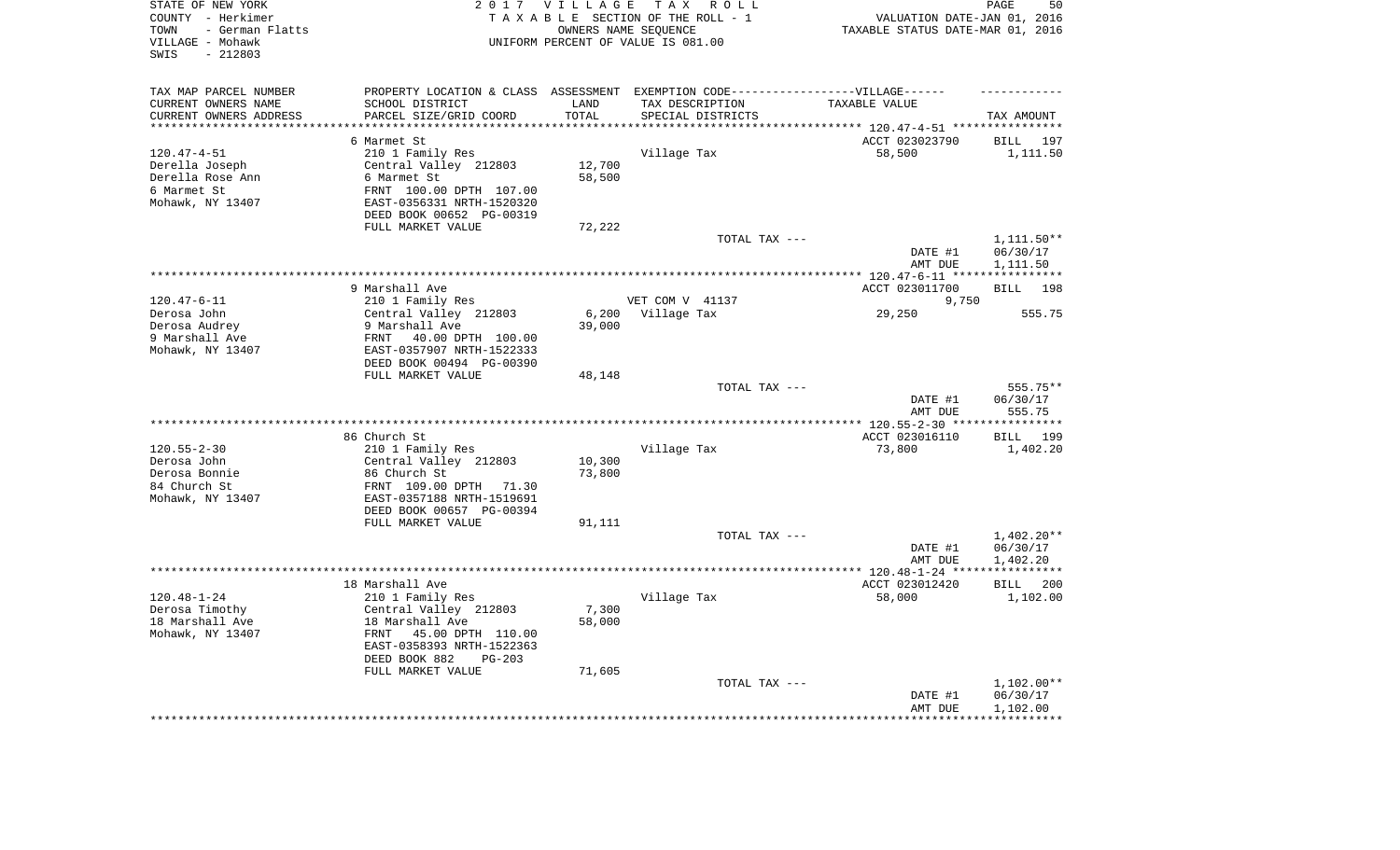| STATE OF NEW YORK<br>COUNTY - Herkimer<br>- German Flatts<br>TOWN<br>VILLAGE - Mohawk<br>$-212803$<br>SWIS |                                                       | 2017 VILLAGE<br>OWNERS NAME SEQUENCE | TAX ROLL<br>TAXABLE SECTION OF THE ROLL - 1<br>UNIFORM PERCENT OF VALUE IS 081.00 | VALUATION DATE-JAN 01, 2016<br>TAXABLE STATUS DATE-MAR 01, 2016 | PAGE<br>50               |
|------------------------------------------------------------------------------------------------------------|-------------------------------------------------------|--------------------------------------|-----------------------------------------------------------------------------------|-----------------------------------------------------------------|--------------------------|
| TAX MAP PARCEL NUMBER                                                                                      |                                                       |                                      | PROPERTY LOCATION & CLASS ASSESSMENT EXEMPTION CODE-----------------VILLAGE------ |                                                                 |                          |
| CURRENT OWNERS NAME                                                                                        | SCHOOL DISTRICT                                       | LAND                                 | TAX DESCRIPTION                                                                   | TAXABLE VALUE                                                   |                          |
| CURRENT OWNERS ADDRESS<br>*********************                                                            | PARCEL SIZE/GRID COORD<br>**************************  | TOTAL<br>**********                  | SPECIAL DISTRICTS                                                                 |                                                                 | TAX AMOUNT               |
|                                                                                                            | 6 Marmet St                                           |                                      |                                                                                   | ACCT 023023790                                                  | BILL 197                 |
| $120.47 - 4 - 51$                                                                                          | 210 1 Family Res                                      |                                      | Village Tax                                                                       | 58,500                                                          | 1,111.50                 |
| Derella Joseph                                                                                             | Central Valley 212803                                 | 12,700                               |                                                                                   |                                                                 |                          |
| Derella Rose Ann                                                                                           | 6 Marmet St                                           | 58,500                               |                                                                                   |                                                                 |                          |
| 6 Marmet St                                                                                                | FRNT 100.00 DPTH 107.00                               |                                      |                                                                                   |                                                                 |                          |
| Mohawk, NY 13407                                                                                           | EAST-0356331 NRTH-1520320<br>DEED BOOK 00652 PG-00319 |                                      |                                                                                   |                                                                 |                          |
|                                                                                                            | FULL MARKET VALUE                                     | 72,222                               |                                                                                   |                                                                 |                          |
|                                                                                                            |                                                       |                                      | TOTAL TAX ---                                                                     |                                                                 | 1,111.50**               |
|                                                                                                            |                                                       |                                      |                                                                                   | DATE #1<br>AMT DUE                                              | 06/30/17<br>1,111.50     |
|                                                                                                            |                                                       |                                      |                                                                                   |                                                                 |                          |
|                                                                                                            | 9 Marshall Ave                                        |                                      |                                                                                   | ACCT 023011700                                                  | <b>BILL</b><br>198       |
| $120.47 - 6 - 11$                                                                                          | 210 1 Family Res                                      |                                      | VET COM V 41137                                                                   | 9,750                                                           |                          |
| Derosa John<br>Derosa Audrey                                                                               | Central Valley 212803<br>9 Marshall Ave               | 6,200<br>39,000                      | Village Tax                                                                       | 29,250                                                          | 555.75                   |
| 9 Marshall Ave                                                                                             | 40.00 DPTH 100.00<br>FRNT                             |                                      |                                                                                   |                                                                 |                          |
| Mohawk, NY 13407                                                                                           | EAST-0357907 NRTH-1522333<br>DEED BOOK 00494 PG-00390 |                                      |                                                                                   |                                                                 |                          |
|                                                                                                            | FULL MARKET VALUE                                     | 48,148                               |                                                                                   |                                                                 |                          |
|                                                                                                            |                                                       |                                      | TOTAL TAX ---                                                                     |                                                                 | 555.75**                 |
|                                                                                                            |                                                       |                                      |                                                                                   | DATE #1<br>AMT DUE                                              | 06/30/17<br>555.75       |
|                                                                                                            |                                                       |                                      |                                                                                   |                                                                 | * * * * * * * * * * *    |
|                                                                                                            | 86 Church St                                          |                                      |                                                                                   | ACCT 023016110                                                  | 199<br>BILL              |
| $120.55 - 2 - 30$                                                                                          | 210 1 Family Res                                      |                                      | Village Tax                                                                       | 73,800                                                          | 1,402.20                 |
| Derosa John                                                                                                | Central Valley 212803                                 | 10,300                               |                                                                                   |                                                                 |                          |
| Derosa Bonnie<br>84 Church St                                                                              | 86 Church St                                          | 73,800                               |                                                                                   |                                                                 |                          |
| Mohawk, NY 13407                                                                                           | FRNT 109.00 DPTH 71.30<br>EAST-0357188 NRTH-1519691   |                                      |                                                                                   |                                                                 |                          |
|                                                                                                            | DEED BOOK 00657 PG-00394                              |                                      |                                                                                   |                                                                 |                          |
|                                                                                                            | FULL MARKET VALUE                                     | 91,111                               |                                                                                   |                                                                 |                          |
|                                                                                                            |                                                       |                                      | TOTAL TAX ---                                                                     |                                                                 | $1,402.20**$             |
|                                                                                                            |                                                       |                                      |                                                                                   | DATE #1                                                         | 06/30/17                 |
|                                                                                                            |                                                       |                                      |                                                                                   | AMT DUE                                                         | 1,402.20                 |
|                                                                                                            |                                                       |                                      |                                                                                   |                                                                 | ************             |
|                                                                                                            | 18 Marshall Ave                                       |                                      |                                                                                   | ACCT 023012420                                                  | BILL<br>200              |
| $120.48 - 1 - 24$                                                                                          | 210 1 Family Res                                      | 7,300                                | Village Tax                                                                       | 58,000                                                          | 1,102.00                 |
| Derosa Timothy<br>18 Marshall Ave                                                                          | Central Valley 212803<br>18 Marshall Ave              | 58,000                               |                                                                                   |                                                                 |                          |
| Mohawk, NY 13407                                                                                           | 45.00 DPTH 110.00<br>FRNT                             |                                      |                                                                                   |                                                                 |                          |
|                                                                                                            | EAST-0358393 NRTH-1522363                             |                                      |                                                                                   |                                                                 |                          |
|                                                                                                            | DEED BOOK 882<br>$PG-203$                             |                                      |                                                                                   |                                                                 |                          |
|                                                                                                            | FULL MARKET VALUE                                     | 71,605                               |                                                                                   |                                                                 |                          |
|                                                                                                            |                                                       |                                      | TOTAL TAX ---                                                                     |                                                                 | $1,102.00**$             |
|                                                                                                            |                                                       |                                      |                                                                                   | DATE #1                                                         | 06/30/17                 |
|                                                                                                            |                                                       |                                      |                                                                                   | AMT DUE                                                         | 1,102.00<br>************ |
|                                                                                                            |                                                       |                                      |                                                                                   |                                                                 |                          |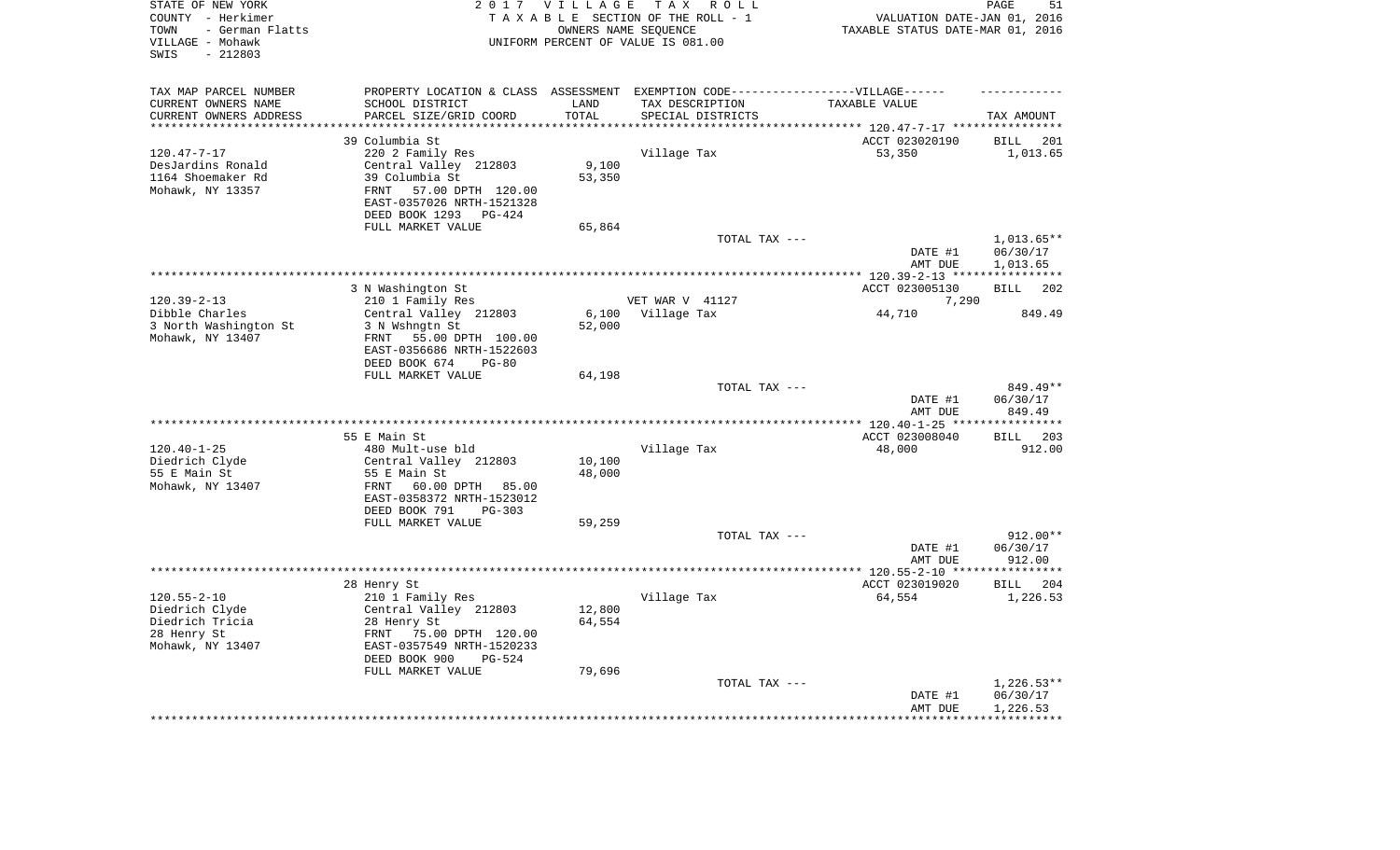| STATE OF NEW YORK<br>COUNTY - Herkimer<br>- German Flatts<br>TOWN<br>VILLAGE - Mohawk<br>$-212803$<br>SWIS |                                                                                   | 2017 VILLAGE      | T A X<br>R O L L<br>TAXABLE SECTION OF THE ROLL - 1<br>OWNERS NAME SEQUENCE<br>UNIFORM PERCENT OF VALUE IS 081.00 | VALUATION DATE-JAN 01, 2016<br>TAXABLE STATUS DATE-MAR 01, 2016 | PAGE<br>51                     |
|------------------------------------------------------------------------------------------------------------|-----------------------------------------------------------------------------------|-------------------|-------------------------------------------------------------------------------------------------------------------|-----------------------------------------------------------------|--------------------------------|
| TAX MAP PARCEL NUMBER                                                                                      | PROPERTY LOCATION & CLASS ASSESSMENT EXEMPTION CODE-----------------VILLAGE------ |                   |                                                                                                                   |                                                                 |                                |
| CURRENT OWNERS NAME                                                                                        | SCHOOL DISTRICT                                                                   | LAND              | TAX DESCRIPTION                                                                                                   | TAXABLE VALUE                                                   |                                |
| CURRENT OWNERS ADDRESS<br>********************                                                             | PARCEL SIZE/GRID COORD<br>*******************                                     | TOTAL<br>******** | SPECIAL DISTRICTS                                                                                                 |                                                                 | TAX AMOUNT                     |
|                                                                                                            |                                                                                   |                   |                                                                                                                   |                                                                 |                                |
|                                                                                                            | 39 Columbia St                                                                    |                   |                                                                                                                   | ACCT 023020190                                                  | <b>BILL</b><br>201             |
| $120.47 - 7 - 17$<br>DesJardins Ronald                                                                     | 220 2 Family Res<br>Central Valley 212803                                         | 9,100             | Village Tax                                                                                                       | 53,350                                                          | 1,013.65                       |
| 1164 Shoemaker Rd                                                                                          | 39 Columbia St                                                                    | 53,350            |                                                                                                                   |                                                                 |                                |
| Mohawk, NY 13357                                                                                           | 57.00 DPTH 120.00<br><b>FRNT</b>                                                  |                   |                                                                                                                   |                                                                 |                                |
|                                                                                                            | EAST-0357026 NRTH-1521328                                                         |                   |                                                                                                                   |                                                                 |                                |
|                                                                                                            | DEED BOOK 1293<br>PG-424                                                          |                   |                                                                                                                   |                                                                 |                                |
|                                                                                                            | FULL MARKET VALUE                                                                 | 65,864            |                                                                                                                   |                                                                 |                                |
|                                                                                                            |                                                                                   |                   | TOTAL TAX ---                                                                                                     |                                                                 | 1,013.65**                     |
|                                                                                                            |                                                                                   |                   |                                                                                                                   | DATE #1                                                         | 06/30/17                       |
|                                                                                                            |                                                                                   |                   |                                                                                                                   | AMT DUE                                                         | 1,013.65                       |
|                                                                                                            |                                                                                   |                   |                                                                                                                   | ************ 120.39-2-13 *****************                      |                                |
|                                                                                                            | 3 N Washington St                                                                 |                   |                                                                                                                   | ACCT 023005130                                                  | 202<br><b>BILL</b>             |
| $120.39 - 2 - 13$<br>Dibble Charles                                                                        | 210 1 Family Res<br>Central Valley 212803                                         |                   | VET WAR V 41127<br>Village Tax                                                                                    | 7,290<br>44,710                                                 |                                |
| 3 North Washington St                                                                                      | 3 N Wshngtn St                                                                    | 6,100<br>52,000   |                                                                                                                   |                                                                 | 849.49                         |
| Mohawk, NY 13407                                                                                           | 55.00 DPTH 100.00<br>FRNT                                                         |                   |                                                                                                                   |                                                                 |                                |
|                                                                                                            | EAST-0356686 NRTH-1522603                                                         |                   |                                                                                                                   |                                                                 |                                |
|                                                                                                            | DEED BOOK 674<br>$PG-80$                                                          |                   |                                                                                                                   |                                                                 |                                |
|                                                                                                            | FULL MARKET VALUE                                                                 | 64,198            |                                                                                                                   |                                                                 |                                |
|                                                                                                            |                                                                                   |                   | TOTAL TAX ---                                                                                                     |                                                                 | 849.49**                       |
|                                                                                                            |                                                                                   |                   |                                                                                                                   | DATE #1                                                         | 06/30/17                       |
|                                                                                                            |                                                                                   |                   |                                                                                                                   | AMT DUE                                                         | 849.49<br>*********            |
|                                                                                                            | 55 E Main St                                                                      |                   |                                                                                                                   | ** $120.40 - 1 - 25$ **<br>ACCT 023008040                       | 203<br>BILL                    |
| $120.40 - 1 - 25$                                                                                          | 480 Mult-use bld                                                                  |                   | Village Tax                                                                                                       | 48,000                                                          | 912.00                         |
| Diedrich Clyde                                                                                             | Central Valley 212803                                                             | 10,100            |                                                                                                                   |                                                                 |                                |
| 55 E Main St                                                                                               | 55 E Main St                                                                      | 48,000            |                                                                                                                   |                                                                 |                                |
| Mohawk, NY 13407                                                                                           | FRNT<br>60.00 DPTH<br>85.00                                                       |                   |                                                                                                                   |                                                                 |                                |
|                                                                                                            | EAST-0358372 NRTH-1523012                                                         |                   |                                                                                                                   |                                                                 |                                |
|                                                                                                            | DEED BOOK 791<br>$PG-303$                                                         |                   |                                                                                                                   |                                                                 |                                |
|                                                                                                            | FULL MARKET VALUE                                                                 | 59,259            |                                                                                                                   |                                                                 |                                |
|                                                                                                            |                                                                                   |                   | TOTAL TAX ---                                                                                                     |                                                                 | 912.00**                       |
|                                                                                                            |                                                                                   |                   |                                                                                                                   | DATE #1                                                         | 06/30/17                       |
|                                                                                                            |                                                                                   |                   |                                                                                                                   | AMT DUE                                                         | 912.00                         |
|                                                                                                            |                                                                                   |                   |                                                                                                                   | ************ 120.55-2-10 ****                                   | *********                      |
| $120.55 - 2 - 10$                                                                                          | 28 Henry St<br>210 1 Family Res                                                   |                   | Village Tax                                                                                                       | ACCT 023019020<br>64,554                                        | <b>BILL</b><br>204<br>1,226.53 |
| Diedrich Clyde                                                                                             | Central Valley 212803                                                             | 12,800            |                                                                                                                   |                                                                 |                                |
| Diedrich Tricia                                                                                            | 28 Henry St                                                                       | 64,554            |                                                                                                                   |                                                                 |                                |
| 28 Henry St                                                                                                | FRNT 75.00 DPTH 120.00                                                            |                   |                                                                                                                   |                                                                 |                                |
| Mohawk, NY 13407                                                                                           | EAST-0357549 NRTH-1520233                                                         |                   |                                                                                                                   |                                                                 |                                |
|                                                                                                            | DEED BOOK 900<br><b>PG-524</b>                                                    |                   |                                                                                                                   |                                                                 |                                |
|                                                                                                            | FULL MARKET VALUE                                                                 | 79,696            |                                                                                                                   |                                                                 |                                |
|                                                                                                            |                                                                                   |                   | TOTAL TAX ---                                                                                                     |                                                                 | $1,226.53**$                   |
|                                                                                                            |                                                                                   |                   |                                                                                                                   | DATE #1                                                         | 06/30/17                       |
|                                                                                                            |                                                                                   |                   |                                                                                                                   | AMT DUE                                                         | 1,226.53                       |
|                                                                                                            |                                                                                   |                   |                                                                                                                   |                                                                 |                                |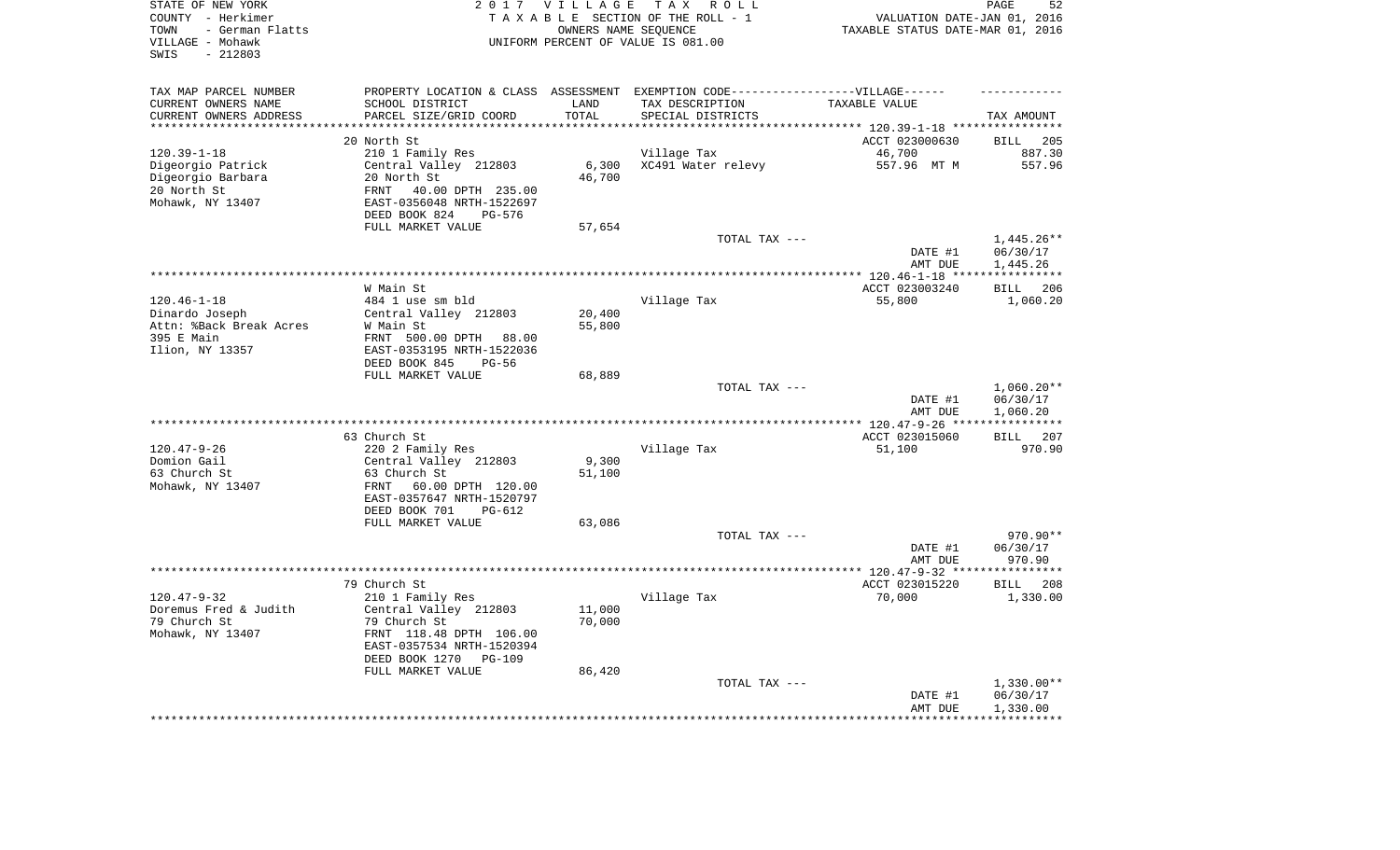| STATE OF NEW YORK<br>COUNTY - Herkimer<br>- German Flatts<br>TOWN<br>VILLAGE - Mohawk<br>$-212803$<br>SWIS |                                                        | 2017 VILLAGE       | TAX ROLL<br>TAXABLE SECTION OF THE ROLL - 1<br>OWNERS NAME SEQUENCE<br>UNIFORM PERCENT OF VALUE IS 081.00 | VALUATION DATE-JAN 01, 2016<br>TAXABLE STATUS DATE-MAR 01, 2016 | PAGE<br>52                        |
|------------------------------------------------------------------------------------------------------------|--------------------------------------------------------|--------------------|-----------------------------------------------------------------------------------------------------------|-----------------------------------------------------------------|-----------------------------------|
| TAX MAP PARCEL NUMBER                                                                                      |                                                        |                    | PROPERTY LOCATION & CLASS ASSESSMENT EXEMPTION CODE-----------------VILLAGE------                         |                                                                 |                                   |
| CURRENT OWNERS NAME                                                                                        | SCHOOL DISTRICT                                        | LAND               | TAX DESCRIPTION                                                                                           | TAXABLE VALUE                                                   |                                   |
| CURRENT OWNERS ADDRESS<br>********************                                                             | PARCEL SIZE/GRID COORD<br>********************         | TOTAL<br>********* | SPECIAL DISTRICTS                                                                                         |                                                                 | TAX AMOUNT                        |
|                                                                                                            | 20 North St                                            |                    |                                                                                                           |                                                                 |                                   |
| $120.39 - 1 - 18$                                                                                          | 210 1 Family Res                                       |                    | Village Tax                                                                                               | ACCT 023000630<br>46,700                                        | <b>BILL</b><br>205<br>887.30      |
| Digeorgio Patrick                                                                                          | Central Valley 212803                                  | 6,300              | XC491 Water relevy                                                                                        | 557.96 MT M                                                     | 557.96                            |
| Digeorgio Barbara                                                                                          | 20 North St                                            | 46,700             |                                                                                                           |                                                                 |                                   |
| 20 North St                                                                                                | 40.00 DPTH 235.00<br>FRNT                              |                    |                                                                                                           |                                                                 |                                   |
| Mohawk, NY 13407                                                                                           | EAST-0356048 NRTH-1522697                              |                    |                                                                                                           |                                                                 |                                   |
|                                                                                                            | DEED BOOK 824<br>PG-576                                |                    |                                                                                                           |                                                                 |                                   |
|                                                                                                            | FULL MARKET VALUE                                      | 57,654             |                                                                                                           |                                                                 |                                   |
|                                                                                                            |                                                        |                    | TOTAL TAX ---                                                                                             |                                                                 | $1,445.26**$                      |
|                                                                                                            |                                                        |                    |                                                                                                           | DATE #1                                                         | 06/30/17                          |
|                                                                                                            |                                                        |                    |                                                                                                           | AMT DUE<br>********* 120.46-1-18 ***                            | 1,445.26<br>* * * * * * * * * * * |
|                                                                                                            | W Main St                                              |                    |                                                                                                           | ACCT 023003240                                                  | 206<br><b>BILL</b>                |
| $120.46 - 1 - 18$                                                                                          | 484 1 use sm bld                                       |                    | Village Tax                                                                                               | 55,800                                                          | 1,060.20                          |
| Dinardo Joseph                                                                                             | Central Valley 212803                                  | 20,400             |                                                                                                           |                                                                 |                                   |
| Attn: %Back Break Acres                                                                                    | W Main St                                              | 55,800             |                                                                                                           |                                                                 |                                   |
| 395 E Main                                                                                                 | FRNT 500.00 DPTH 88.00                                 |                    |                                                                                                           |                                                                 |                                   |
| Ilion, NY 13357                                                                                            | EAST-0353195 NRTH-1522036                              |                    |                                                                                                           |                                                                 |                                   |
|                                                                                                            | DEED BOOK 845<br>$PG-56$                               |                    |                                                                                                           |                                                                 |                                   |
|                                                                                                            | FULL MARKET VALUE                                      | 68,889             | TOTAL TAX ---                                                                                             |                                                                 | $1,060.20**$                      |
|                                                                                                            |                                                        |                    |                                                                                                           | DATE #1                                                         | 06/30/17                          |
|                                                                                                            |                                                        |                    |                                                                                                           | AMT DUE                                                         | 1,060.20                          |
|                                                                                                            | ***********                                            |                    |                                                                                                           | **** 120.47-9-26 **                                             | * * * * * * * * * * *             |
|                                                                                                            | 63 Church St                                           |                    |                                                                                                           | ACCT 023015060                                                  | 207<br>BILL                       |
| $120.47 - 9 - 26$                                                                                          | 220 2 Family Res                                       |                    | Village Tax                                                                                               | 51,100                                                          | 970.90                            |
| Domion Gail                                                                                                | Central Valley 212803                                  | 9,300              |                                                                                                           |                                                                 |                                   |
| 63 Church St                                                                                               | 63 Church St                                           | 51,100             |                                                                                                           |                                                                 |                                   |
| Mohawk, NY 13407                                                                                           | FRNT<br>60.00 DPTH 120.00<br>EAST-0357647 NRTH-1520797 |                    |                                                                                                           |                                                                 |                                   |
|                                                                                                            | DEED BOOK 701<br>$PG-612$                              |                    |                                                                                                           |                                                                 |                                   |
|                                                                                                            | FULL MARKET VALUE                                      | 63,086             |                                                                                                           |                                                                 |                                   |
|                                                                                                            |                                                        |                    | TOTAL TAX ---                                                                                             |                                                                 | 970.90**                          |
|                                                                                                            |                                                        |                    |                                                                                                           | DATE #1                                                         | 06/30/17                          |
|                                                                                                            |                                                        |                    |                                                                                                           | AMT DUE                                                         | 970.90                            |
|                                                                                                            |                                                        |                    |                                                                                                           | ************* 120.47-9-32 ****                                  | **********                        |
| $120.47 - 9 - 32$                                                                                          | 79 Church St<br>210 1 Family Res                       |                    | Village Tax                                                                                               | ACCT 023015220<br>70,000                                        | <b>BILL</b><br>208<br>1,330.00    |
| Doremus Fred & Judith                                                                                      | Central Valley 212803                                  | 11,000             |                                                                                                           |                                                                 |                                   |
| 79 Church St                                                                                               | 79 Church St                                           | 70,000             |                                                                                                           |                                                                 |                                   |
| Mohawk, NY 13407                                                                                           | FRNT 118.48 DPTH 106.00                                |                    |                                                                                                           |                                                                 |                                   |
|                                                                                                            | EAST-0357534 NRTH-1520394                              |                    |                                                                                                           |                                                                 |                                   |
|                                                                                                            | DEED BOOK 1270<br>$PG-109$                             |                    |                                                                                                           |                                                                 |                                   |
|                                                                                                            | FULL MARKET VALUE                                      | 86,420             |                                                                                                           |                                                                 |                                   |
|                                                                                                            |                                                        |                    | TOTAL TAX ---                                                                                             |                                                                 | $1,330.00**$                      |
|                                                                                                            |                                                        |                    |                                                                                                           | DATE #1<br>AMT DUE                                              | 06/30/17<br>1,330.00              |
|                                                                                                            |                                                        |                    |                                                                                                           |                                                                 | ********                          |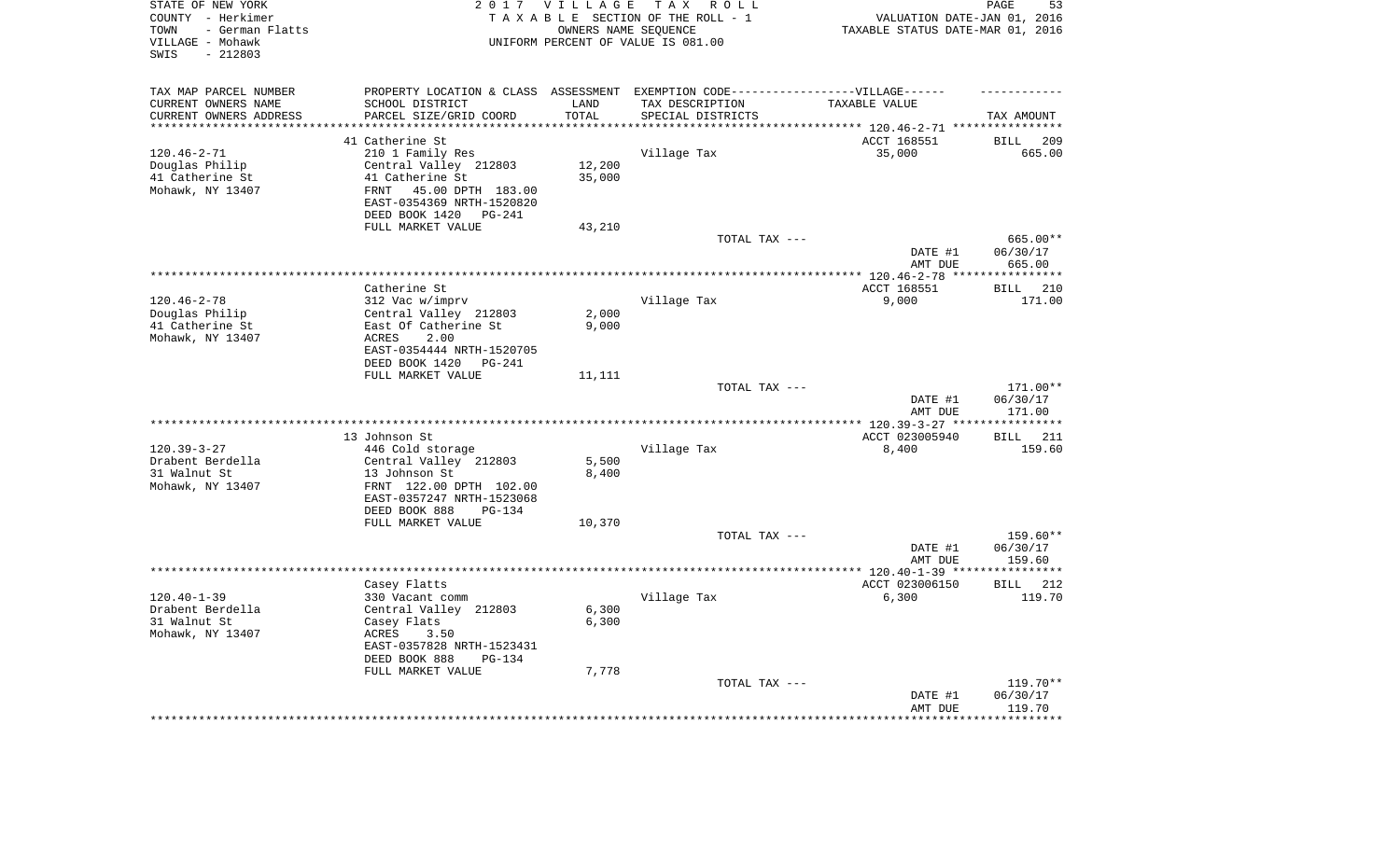| STATE OF NEW YORK<br>COUNTY - Herkimer<br>- German Flatts<br>TOWN<br>VILLAGE - Mohawk<br>SWIS<br>$-212803$ |                                                                                   | 2017 VILLAGE       | TAX ROLL<br>TAXABLE SECTION OF THE ROLL - 1<br>OWNERS NAME SEQUENCE<br>UNIFORM PERCENT OF VALUE IS 081.00 | VALUATION DATE-JAN 01, 2016<br>TAXABLE STATUS DATE-MAR 01, 2016 | PAGE<br>53            |
|------------------------------------------------------------------------------------------------------------|-----------------------------------------------------------------------------------|--------------------|-----------------------------------------------------------------------------------------------------------|-----------------------------------------------------------------|-----------------------|
| TAX MAP PARCEL NUMBER                                                                                      | PROPERTY LOCATION & CLASS ASSESSMENT EXEMPTION CODE-----------------VILLAGE------ |                    |                                                                                                           |                                                                 |                       |
| CURRENT OWNERS NAME                                                                                        | SCHOOL DISTRICT                                                                   | LAND               | TAX DESCRIPTION                                                                                           | TAXABLE VALUE                                                   |                       |
| CURRENT OWNERS ADDRESS<br>********************                                                             | PARCEL SIZE/GRID COORD<br>***********************                                 | TOTAL<br>********* | SPECIAL DISTRICTS                                                                                         |                                                                 | TAX AMOUNT            |
|                                                                                                            | 41 Catherine St                                                                   |                    |                                                                                                           | ACCT 168551                                                     | <b>BILL</b><br>209    |
| $120.46 - 2 - 71$                                                                                          | 210 1 Family Res                                                                  |                    | Village Tax                                                                                               | 35,000                                                          | 665.00                |
| Douglas Philip                                                                                             | Central Valley 212803                                                             | 12,200             |                                                                                                           |                                                                 |                       |
| 41 Catherine St                                                                                            | 41 Catherine St                                                                   | 35,000             |                                                                                                           |                                                                 |                       |
| Mohawk, NY 13407                                                                                           | 45.00 DPTH 183.00<br>FRNT                                                         |                    |                                                                                                           |                                                                 |                       |
|                                                                                                            | EAST-0354369 NRTH-1520820                                                         |                    |                                                                                                           |                                                                 |                       |
|                                                                                                            | DEED BOOK 1420<br><b>PG-241</b>                                                   |                    |                                                                                                           |                                                                 |                       |
|                                                                                                            | FULL MARKET VALUE                                                                 | 43,210             |                                                                                                           |                                                                 |                       |
|                                                                                                            |                                                                                   |                    | TOTAL TAX ---                                                                                             |                                                                 | 665.00**              |
|                                                                                                            |                                                                                   |                    |                                                                                                           | DATE #1                                                         | 06/30/17              |
|                                                                                                            |                                                                                   |                    | **************************************                                                                    | AMT DUE<br>*** 120.46-2-78 ***                                  | 665.00<br>*********** |
|                                                                                                            | Catherine St                                                                      |                    |                                                                                                           | ACCT 168551                                                     | 210<br><b>BILL</b>    |
| $120.46 - 2 - 78$                                                                                          | 312 Vac w/imprv                                                                   |                    | Village Tax                                                                                               | 9,000                                                           | 171.00                |
| Douglas Philip                                                                                             | Central Valley 212803                                                             | 2,000              |                                                                                                           |                                                                 |                       |
| 41 Catherine St                                                                                            | East Of Catherine St                                                              | 9,000              |                                                                                                           |                                                                 |                       |
| Mohawk, NY 13407                                                                                           | ACRES<br>2.00                                                                     |                    |                                                                                                           |                                                                 |                       |
|                                                                                                            | EAST-0354444 NRTH-1520705                                                         |                    |                                                                                                           |                                                                 |                       |
|                                                                                                            | DEED BOOK 1420<br>PG-241                                                          |                    |                                                                                                           |                                                                 |                       |
|                                                                                                            | FULL MARKET VALUE                                                                 | 11,111             | TOTAL TAX ---                                                                                             |                                                                 | 171.00**              |
|                                                                                                            |                                                                                   |                    |                                                                                                           | DATE #1                                                         | 06/30/17              |
|                                                                                                            |                                                                                   |                    |                                                                                                           | AMT DUE                                                         | 171.00                |
|                                                                                                            | *****************************                                                     |                    | **********************                                                                                    | $** 120.39 - 3 - 27 **$                                         | **********            |
|                                                                                                            | 13 Johnson St                                                                     |                    |                                                                                                           | ACCT 023005940                                                  | 211<br>BILL           |
| $120.39 - 3 - 27$                                                                                          | 446 Cold storage                                                                  |                    | Village Tax                                                                                               | 8,400                                                           | 159.60                |
| Drabent Berdella                                                                                           | Central Valley 212803                                                             | 5,500              |                                                                                                           |                                                                 |                       |
| 31 Walnut St                                                                                               | 13 Johnson St<br>FRNT 122.00 DPTH 102.00                                          | 8,400              |                                                                                                           |                                                                 |                       |
| Mohawk, NY 13407                                                                                           | EAST-0357247 NRTH-1523068                                                         |                    |                                                                                                           |                                                                 |                       |
|                                                                                                            | DEED BOOK 888<br>$PG-134$                                                         |                    |                                                                                                           |                                                                 |                       |
|                                                                                                            | FULL MARKET VALUE                                                                 | 10,370             |                                                                                                           |                                                                 |                       |
|                                                                                                            |                                                                                   |                    | TOTAL TAX ---                                                                                             |                                                                 | 159.60**              |
|                                                                                                            |                                                                                   |                    |                                                                                                           | DATE #1                                                         | 06/30/17              |
|                                                                                                            |                                                                                   |                    |                                                                                                           | AMT DUE                                                         | 159.60                |
|                                                                                                            |                                                                                   |                    |                                                                                                           | ************ 120.40-1-39 *****                                  | **********            |
|                                                                                                            | Casey Flatts                                                                      |                    |                                                                                                           | ACCT 023006150                                                  | BILL<br>212           |
| $120.40 - 1 - 39$<br>Drabent Berdella                                                                      | 330 Vacant comm<br>Central Valley 212803                                          | 6,300              | Village Tax                                                                                               | 6,300                                                           | 119.70                |
| 31 Walnut St                                                                                               | Casey Flats                                                                       | 6,300              |                                                                                                           |                                                                 |                       |
| Mohawk, NY 13407                                                                                           | ACRES<br>3.50                                                                     |                    |                                                                                                           |                                                                 |                       |
|                                                                                                            | EAST-0357828 NRTH-1523431                                                         |                    |                                                                                                           |                                                                 |                       |
|                                                                                                            | DEED BOOK 888<br>$PG-134$                                                         |                    |                                                                                                           |                                                                 |                       |
|                                                                                                            | FULL MARKET VALUE                                                                 | 7,778              |                                                                                                           |                                                                 |                       |
|                                                                                                            |                                                                                   |                    | TOTAL TAX ---                                                                                             |                                                                 | $119.70**$            |
|                                                                                                            |                                                                                   |                    |                                                                                                           | DATE #1                                                         | 06/30/17              |
|                                                                                                            |                                                                                   |                    |                                                                                                           | AMT DUE                                                         | 119.70<br>*******     |
|                                                                                                            |                                                                                   |                    |                                                                                                           |                                                                 |                       |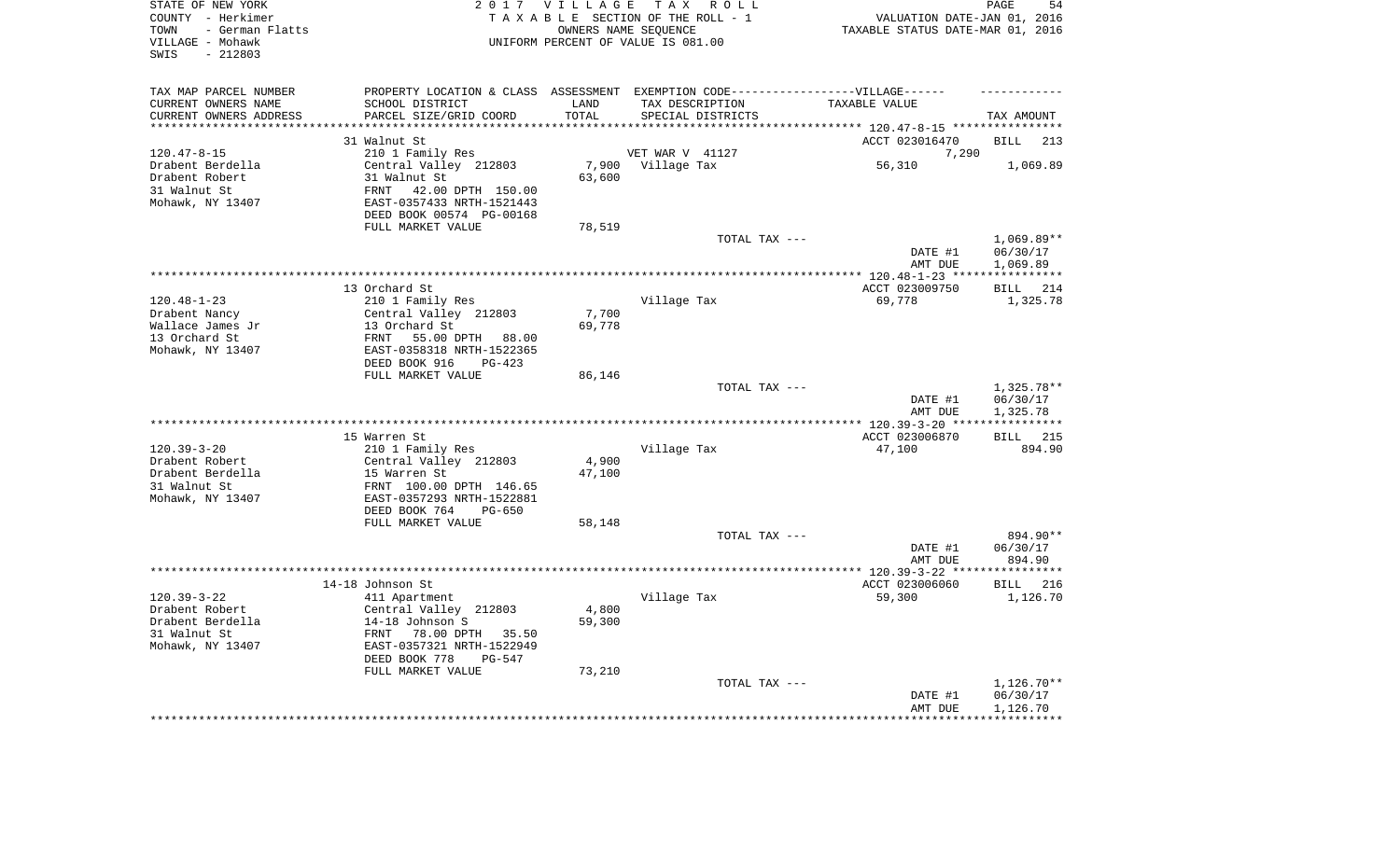| STATE OF NEW YORK<br>COUNTY - Herkimer<br>- German Flatts<br>TOWN<br>VILLAGE - Mohawk<br>$-212803$<br>SWIS |                                                       | 2017 VILLAGE    | TAX ROLL<br>TAXABLE SECTION OF THE ROLL - 1<br>OWNERS NAME SEQUENCE<br>UNIFORM PERCENT OF VALUE IS 081.00 | VALUATION DATE-JAN 01, 2016<br>TAXABLE STATUS DATE-MAR 01, 2016 | PAGE<br>54               |
|------------------------------------------------------------------------------------------------------------|-------------------------------------------------------|-----------------|-----------------------------------------------------------------------------------------------------------|-----------------------------------------------------------------|--------------------------|
| TAX MAP PARCEL NUMBER<br>CURRENT OWNERS NAME                                                               | SCHOOL DISTRICT                                       | LAND            | PROPERTY LOCATION & CLASS ASSESSMENT EXEMPTION CODE-----------------VILLAGE------<br>TAX DESCRIPTION      | TAXABLE VALUE                                                   |                          |
| CURRENT OWNERS ADDRESS                                                                                     | PARCEL SIZE/GRID COORD                                | TOTAL           | SPECIAL DISTRICTS                                                                                         |                                                                 | TAX AMOUNT               |
| *********************                                                                                      | ***************************                           | ***********     |                                                                                                           |                                                                 |                          |
|                                                                                                            | 31 Walnut St                                          |                 |                                                                                                           | ACCT 023016470                                                  | <b>BILL</b><br>213       |
| $120.47 - 8 - 15$<br>Drabent Berdella                                                                      | 210 1 Family Res<br>Central Valley 212803             |                 | VET WAR V 41127<br>Village Tax                                                                            | 7,290                                                           | 1,069.89                 |
| Drabent Robert                                                                                             | 31 Walnut St                                          | 7,900<br>63,600 |                                                                                                           | 56,310                                                          |                          |
| 31 Walnut St                                                                                               | 42.00 DPTH 150.00<br><b>FRNT</b>                      |                 |                                                                                                           |                                                                 |                          |
| Mohawk, NY 13407                                                                                           | EAST-0357433 NRTH-1521443<br>DEED BOOK 00574 PG-00168 |                 |                                                                                                           |                                                                 |                          |
|                                                                                                            | FULL MARKET VALUE                                     | 78,519          |                                                                                                           |                                                                 |                          |
|                                                                                                            |                                                       |                 | TOTAL TAX ---                                                                                             |                                                                 | $1,069.89**$             |
|                                                                                                            |                                                       |                 |                                                                                                           | DATE #1                                                         | 06/30/17                 |
|                                                                                                            |                                                       |                 |                                                                                                           | AMT DUE                                                         | 1,069.89                 |
|                                                                                                            |                                                       |                 |                                                                                                           |                                                                 |                          |
|                                                                                                            | 13 Orchard St                                         |                 |                                                                                                           | ACCT 023009750                                                  | <b>BILL</b><br>214       |
| $120.48 - 1 - 23$                                                                                          | 210 1 Family Res                                      | 7,700           | Village Tax                                                                                               | 69,778                                                          | 1,325.78                 |
| Drabent Nancy<br>Wallace James Jr                                                                          | Central Valley 212803<br>13 Orchard St                | 69,778          |                                                                                                           |                                                                 |                          |
| 13 Orchard St                                                                                              | FRNT<br>55.00 DPTH 88.00                              |                 |                                                                                                           |                                                                 |                          |
| Mohawk, NY 13407                                                                                           | EAST-0358318 NRTH-1522365                             |                 |                                                                                                           |                                                                 |                          |
|                                                                                                            | DEED BOOK 916<br>$PG-423$<br>FULL MARKET VALUE        | 86,146          |                                                                                                           |                                                                 |                          |
|                                                                                                            |                                                       |                 | TOTAL TAX ---                                                                                             |                                                                 | 1,325.78**               |
|                                                                                                            |                                                       |                 |                                                                                                           | DATE #1<br>AMT DUE                                              | 06/30/17<br>1,325.78     |
|                                                                                                            |                                                       |                 |                                                                                                           |                                                                 | ***********              |
|                                                                                                            | 15 Warren St                                          |                 |                                                                                                           | ACCT 023006870                                                  | 215<br>BILL              |
| $120.39 - 3 - 20$                                                                                          | 210 1 Family Res                                      |                 | Village Tax                                                                                               | 47,100                                                          | 894.90                   |
| Drabent Robert                                                                                             | Central Valley 212803                                 | 4,900           |                                                                                                           |                                                                 |                          |
| Drabent Berdella                                                                                           | 15 Warren St                                          | 47,100          |                                                                                                           |                                                                 |                          |
| 31 Walnut St                                                                                               | FRNT 100.00 DPTH 146.65                               |                 |                                                                                                           |                                                                 |                          |
| Mohawk, NY 13407                                                                                           | EAST-0357293 NRTH-1522881<br>DEED BOOK 764            |                 |                                                                                                           |                                                                 |                          |
|                                                                                                            | $PG-650$<br>FULL MARKET VALUE                         | 58,148          |                                                                                                           |                                                                 |                          |
|                                                                                                            |                                                       |                 | TOTAL TAX ---                                                                                             |                                                                 | 894.90**                 |
|                                                                                                            |                                                       |                 |                                                                                                           | DATE #1                                                         | 06/30/17                 |
|                                                                                                            |                                                       |                 |                                                                                                           | AMT DUE                                                         | 894.90                   |
|                                                                                                            |                                                       |                 |                                                                                                           |                                                                 |                          |
|                                                                                                            | 14-18 Johnson St                                      |                 |                                                                                                           | ACCT 023006060                                                  | <b>BILL</b><br>216       |
| $120.39 - 3 - 22$                                                                                          | 411 Apartment                                         |                 | Village Tax                                                                                               | 59,300                                                          | 1,126.70                 |
| Drabent Robert<br>Drabent Berdella                                                                         | Central Valley 212803<br>14-18 Johnson S              | 4,800<br>59,300 |                                                                                                           |                                                                 |                          |
| 31 Walnut St                                                                                               | FRNT<br>78.00 DPTH 35.50                              |                 |                                                                                                           |                                                                 |                          |
| Mohawk, NY 13407                                                                                           | EAST-0357321 NRTH-1522949                             |                 |                                                                                                           |                                                                 |                          |
|                                                                                                            | DEED BOOK 778<br>$PG-547$                             |                 |                                                                                                           |                                                                 |                          |
|                                                                                                            | FULL MARKET VALUE                                     | 73,210          |                                                                                                           |                                                                 |                          |
|                                                                                                            |                                                       |                 | TOTAL TAX ---                                                                                             |                                                                 | 1,126.70**               |
|                                                                                                            |                                                       |                 |                                                                                                           | DATE #1                                                         | 06/30/17                 |
|                                                                                                            |                                                       |                 |                                                                                                           | AMT DUE<br>*************                                        | 1,126.70<br>************ |
|                                                                                                            |                                                       |                 |                                                                                                           |                                                                 |                          |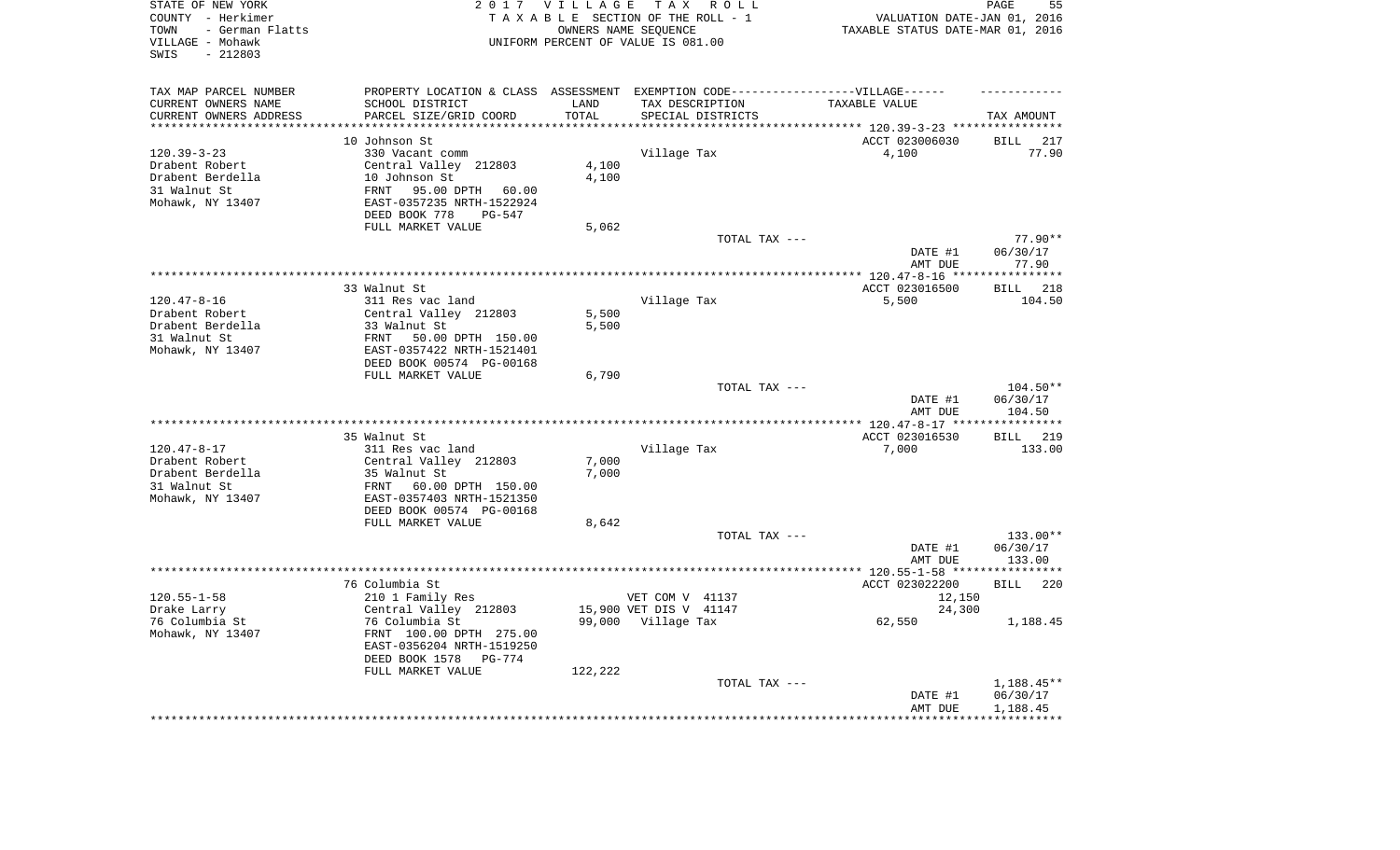| STATE OF NEW YORK<br>COUNTY - Herkimer<br>- German Flatts<br>TOWN<br>VILLAGE - Mohawk<br>$-212803$<br>SWIS |                   | 2017 VILLAGE               | TAX ROLL<br>TAXABLE SECTION OF THE ROLL - 1<br>OWNERS NAME SEQUENCE<br>UNIFORM PERCENT OF VALUE IS 081.00 |               | VALUATION DATE-JAN 01, 2016<br>TAXABLE STATUS DATE-MAR 01, 2016                   | PAGE                          | 55            |
|------------------------------------------------------------------------------------------------------------|-------------------|----------------------------|-----------------------------------------------------------------------------------------------------------|---------------|-----------------------------------------------------------------------------------|-------------------------------|---------------|
| TAX MAP PARCEL NUMBER                                                                                      |                   |                            |                                                                                                           |               | PROPERTY LOCATION & CLASS ASSESSMENT EXEMPTION CODE-----------------VILLAGE------ |                               |               |
| CURRENT OWNERS NAME<br>SCHOOL DISTRICT                                                                     |                   | LAND                       | TAX DESCRIPTION                                                                                           |               | TAXABLE VALUE                                                                     |                               |               |
| CURRENT OWNERS ADDRESS<br>PARCEL SIZE/GRID COORD<br>********************                                   |                   | TOTAL<br>* * * * * * * * * | SPECIAL DISTRICTS                                                                                         |               |                                                                                   | TAX AMOUNT                    |               |
|                                                                                                            |                   |                            |                                                                                                           |               | ******************************** 120.39-3-23 *****************                    |                               |               |
| 10 Johnson St                                                                                              |                   |                            |                                                                                                           |               | ACCT 023006030                                                                    | <b>BILL</b>                   | 217           |
| $120.39 - 3 - 23$<br>330 Vacant comm<br>Drabent Robert<br>Central Valley 212803                            |                   | 4,100                      | Village Tax                                                                                               |               | 4,100                                                                             |                               | 77.90         |
| Drabent Berdella<br>10 Johnson St                                                                          |                   | 4,100                      |                                                                                                           |               |                                                                                   |                               |               |
| 31 Walnut St<br>FRNT                                                                                       | 95.00 DPTH 60.00  |                            |                                                                                                           |               |                                                                                   |                               |               |
| Mohawk, NY 13407<br>EAST-0357235 NRTH-1522924                                                              |                   |                            |                                                                                                           |               |                                                                                   |                               |               |
| DEED BOOK 778                                                                                              | $PG-547$          |                            |                                                                                                           |               |                                                                                   |                               |               |
| FULL MARKET VALUE                                                                                          |                   | 5,062                      |                                                                                                           |               |                                                                                   |                               |               |
|                                                                                                            |                   |                            |                                                                                                           | TOTAL TAX --- |                                                                                   |                               | $77.90**$     |
|                                                                                                            |                   |                            |                                                                                                           |               | DATE #1                                                                           | 06/30/17                      |               |
|                                                                                                            |                   |                            |                                                                                                           |               | AMT DUE                                                                           |                               | 77.90         |
|                                                                                                            |                   |                            |                                                                                                           |               | *********** 120.47-8-16 ***                                                       | * * * * * * * * * * *         |               |
| 33 Walnut St<br>$120.47 - 8 - 16$<br>311 Res vac land                                                      |                   |                            | Village Tax                                                                                               |               | ACCT 023016500<br>5,500                                                           | <b>BILL</b>                   | 218<br>104.50 |
| Drabent Robert<br>Central Valley 212803                                                                    |                   | 5,500                      |                                                                                                           |               |                                                                                   |                               |               |
| Drabent Berdella<br>33 Walnut St                                                                           |                   | 5,500                      |                                                                                                           |               |                                                                                   |                               |               |
| 31 Walnut St<br>FRNT                                                                                       | 50.00 DPTH 150.00 |                            |                                                                                                           |               |                                                                                   |                               |               |
| Mohawk, NY 13407<br>EAST-0357422 NRTH-1521401                                                              |                   |                            |                                                                                                           |               |                                                                                   |                               |               |
| DEED BOOK 00574 PG-00168                                                                                   |                   |                            |                                                                                                           |               |                                                                                   |                               |               |
| FULL MARKET VALUE                                                                                          |                   | 6,790                      |                                                                                                           |               |                                                                                   |                               |               |
|                                                                                                            |                   |                            |                                                                                                           | TOTAL TAX --- |                                                                                   |                               | 104.50**      |
|                                                                                                            |                   |                            |                                                                                                           |               | DATE #1                                                                           | 06/30/17                      |               |
|                                                                                                            |                   |                            | ********************                                                                                      |               | AMT DUE<br>*** $120.47 - 8 - 17$ **                                               | 104.50<br>* * * * * * * * * * |               |
| 35 Walnut St                                                                                               |                   |                            |                                                                                                           |               | ACCT 023016530                                                                    | <b>BILL</b> 219               |               |
| $120.47 - 8 - 17$<br>311 Res vac land                                                                      |                   |                            | Village Tax                                                                                               |               | 7,000                                                                             |                               | 133.00        |
| Drabent Robert<br>Central Valley 212803                                                                    |                   | 7,000                      |                                                                                                           |               |                                                                                   |                               |               |
| Drabent Berdella<br>35 Walnut St                                                                           |                   | 7,000                      |                                                                                                           |               |                                                                                   |                               |               |
| 31 Walnut St<br>FRNT                                                                                       | 60.00 DPTH 150.00 |                            |                                                                                                           |               |                                                                                   |                               |               |
| Mohawk, NY 13407<br>EAST-0357403 NRTH-1521350                                                              |                   |                            |                                                                                                           |               |                                                                                   |                               |               |
| DEED BOOK 00574 PG-00168                                                                                   |                   |                            |                                                                                                           |               |                                                                                   |                               |               |
| FULL MARKET VALUE                                                                                          |                   | 8,642                      |                                                                                                           |               |                                                                                   |                               |               |
|                                                                                                            |                   |                            |                                                                                                           | TOTAL TAX --- |                                                                                   |                               | 133.00**      |
|                                                                                                            |                   |                            |                                                                                                           |               | DATE #1                                                                           | 06/30/17                      |               |
|                                                                                                            |                   |                            |                                                                                                           |               | AMT DUE                                                                           | 133.00                        |               |
| 76 Columbia St                                                                                             |                   |                            |                                                                                                           |               | ACCT 023022200                                                                    | <b>BILL</b>                   | 220           |
| $120.55 - 1 - 58$<br>210 1 Family Res                                                                      |                   |                            | VET COM V 41137                                                                                           |               | 12,150                                                                            |                               |               |
| Drake Larry<br>Central Valley 212803                                                                       |                   |                            | 15,900 VET DIS V 41147                                                                                    |               | 24,300                                                                            |                               |               |
| 76 Columbia St<br>76 Columbia St                                                                           |                   |                            | 99,000 Village Tax                                                                                        |               | 62,550                                                                            |                               | 1,188.45      |
| Mohawk, NY 13407<br>FRNT 100.00 DPTH 275.00                                                                |                   |                            |                                                                                                           |               |                                                                                   |                               |               |
| EAST-0356204 NRTH-1519250                                                                                  |                   |                            |                                                                                                           |               |                                                                                   |                               |               |
| DEED BOOK 1578                                                                                             | PG-774            |                            |                                                                                                           |               |                                                                                   |                               |               |
| FULL MARKET VALUE                                                                                          |                   | 122,222                    |                                                                                                           |               |                                                                                   |                               |               |
|                                                                                                            |                   |                            |                                                                                                           | TOTAL TAX --- |                                                                                   | 1,188.45**                    |               |
|                                                                                                            |                   |                            |                                                                                                           |               | DATE #1<br>AMT DUE                                                                | 06/30/17<br>1,188.45          |               |
|                                                                                                            |                   |                            |                                                                                                           |               |                                                                                   |                               |               |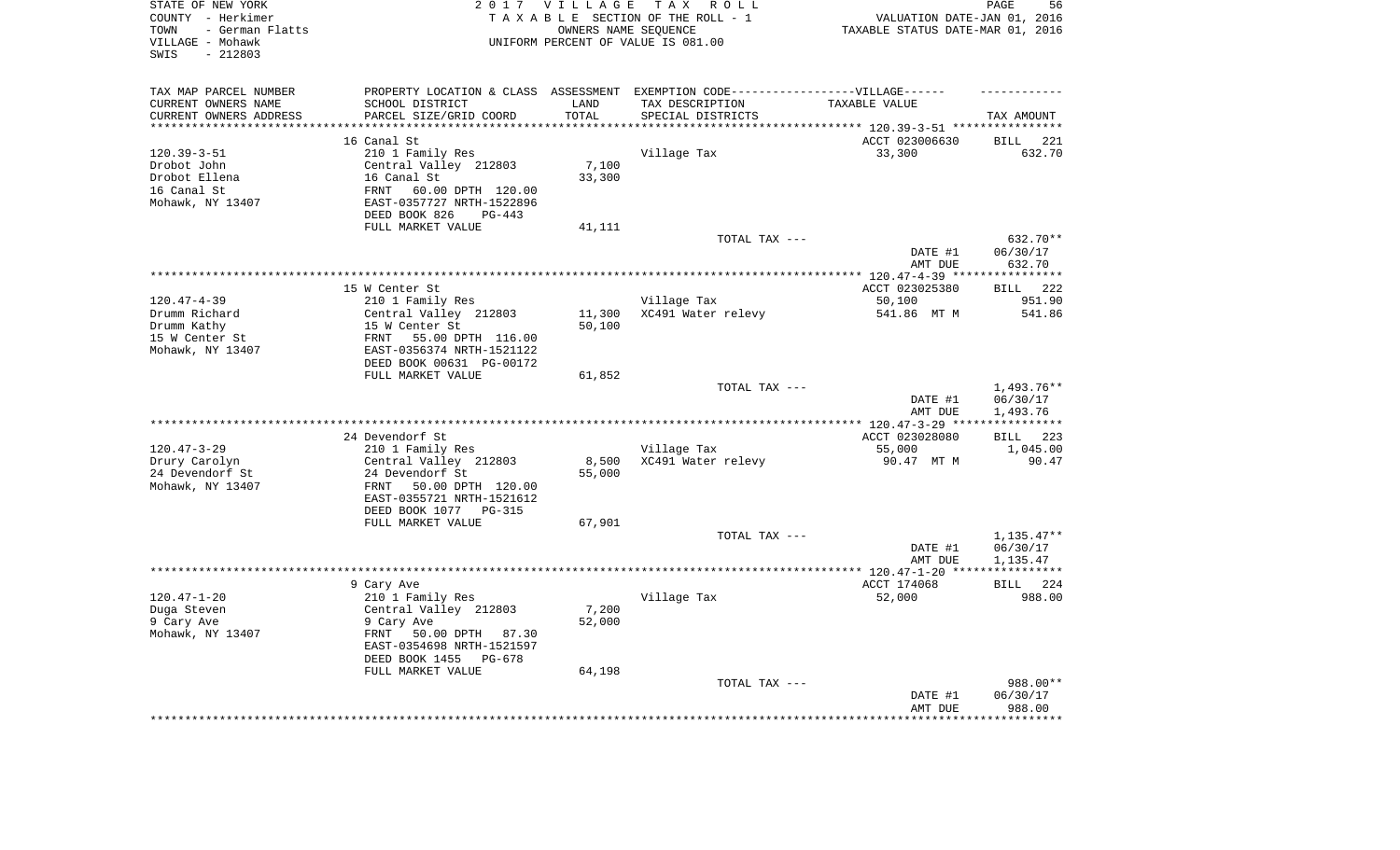| TAX MAP PARCEL NUMBER<br>PROPERTY LOCATION & CLASS ASSESSMENT EXEMPTION CODE----------------VILLAGE------<br>CURRENT OWNERS NAME<br>SCHOOL DISTRICT<br>TAX DESCRIPTION<br>LAND<br>TAXABLE VALUE<br>PARCEL SIZE/GRID COORD<br>TOTAL<br>CURRENT OWNERS ADDRESS<br>SPECIAL DISTRICTS<br>TAX AMOUNT<br>**********************<br>****************************<br>***********<br>16 Canal St<br>ACCT 023006630<br><b>BILL</b><br>221<br>210 1 Family Res<br>$120.39 - 3 - 51$<br>Village Tax<br>33,300<br>632.70<br>Central Valley 212803<br>7,100<br>Drobot John<br>Drobot Ellena<br>16 Canal St<br>33,300<br>16 Canal St<br>60.00 DPTH 120.00<br><b>FRNT</b><br>Mohawk, NY 13407<br>EAST-0357727 NRTH-1522896<br>DEED BOOK 826<br>$PG-443$<br>FULL MARKET VALUE<br>41,111<br>TOTAL TAX ---<br>632.70**<br>DATE #1<br>06/30/17<br>AMT DUE<br>632.70<br>222<br>15 W Center St<br>ACCT 023025380<br><b>BILL</b><br>$120.47 - 4 - 39$<br>210 1 Family Res<br>Village Tax<br>50,100<br>951.90<br>Drumm Richard<br>Central Valley 212803<br>11,300<br>XC491 Water relevy<br>541.86 MT M<br>541.86<br>50,100<br>Drumm Kathy<br>15 W Center St<br>15 W Center St<br>FRNT<br>55.00 DPTH 116.00<br>Mohawk, NY 13407<br>EAST-0356374 NRTH-1521122<br>DEED BOOK 00631 PG-00172<br>FULL MARKET VALUE<br>61,852<br>$1,493.76**$<br>TOTAL TAX ---<br>06/30/17<br>DATE #1<br>1,493.76<br>AMT DUE<br>* * * * * * * * * * *<br>24 Devendorf St<br>BILL 223<br>ACCT 023028080<br>$120.47 - 3 - 29$<br>210 1 Family Res<br>Village Tax<br>55,000<br>1,045.00<br>Drury Carolyn<br>Central Valley 212803<br>8,500<br>XC491 Water relevy<br>90.47 MT M<br>90.47<br>24 Devendorf St<br>24 Devendorf St<br>55,000<br>Mohawk, NY 13407<br>50.00 DPTH 120.00<br>FRNT<br>EAST-0355721 NRTH-1521612<br>DEED BOOK 1077<br>PG-315<br>FULL MARKET VALUE<br>67,901<br>$1,135.47**$<br>TOTAL TAX ---<br>DATE #1<br>06/30/17<br>AMT DUE<br>1,135.47<br>************<br>9 Cary Ave<br>ACCT 174068<br>224<br>BILL<br>$120.47 - 1 - 20$<br>210 1 Family Res<br>Village Tax<br>52,000<br>988.00<br>7,200<br>Duga Steven<br>Central Valley 212803<br>9 Cary Ave<br>9 Cary Ave<br>52,000<br>Mohawk, NY 13407<br>FRNT<br>50.00 DPTH<br>87.30<br>EAST-0354698 NRTH-1521597<br>DEED BOOK 1455<br>PG-678<br>FULL MARKET VALUE<br>64,198<br>988.00**<br>TOTAL TAX ---<br>DATE #1<br>06/30/17<br>988.00<br>AMT DUE<br>************<br>***************** | STATE OF NEW YORK<br>COUNTY - Herkimer<br>- German Flatts<br>TOWN<br>VILLAGE - Mohawk<br>$-212803$<br>SWIS | 2 0 1 7 | VILLAGE<br>OWNERS NAME SEQUENCE | TAX ROLL<br>TAXABLE SECTION OF THE ROLL - 1<br>UNIFORM PERCENT OF VALUE IS 081.00 | VALUATION DATE-JAN 01, 2016<br>TAXABLE STATUS DATE-MAR 01, 2016 | 56<br>PAGE |
|-------------------------------------------------------------------------------------------------------------------------------------------------------------------------------------------------------------------------------------------------------------------------------------------------------------------------------------------------------------------------------------------------------------------------------------------------------------------------------------------------------------------------------------------------------------------------------------------------------------------------------------------------------------------------------------------------------------------------------------------------------------------------------------------------------------------------------------------------------------------------------------------------------------------------------------------------------------------------------------------------------------------------------------------------------------------------------------------------------------------------------------------------------------------------------------------------------------------------------------------------------------------------------------------------------------------------------------------------------------------------------------------------------------------------------------------------------------------------------------------------------------------------------------------------------------------------------------------------------------------------------------------------------------------------------------------------------------------------------------------------------------------------------------------------------------------------------------------------------------------------------------------------------------------------------------------------------------------------------------------------------------------------------------------------------------------------------------------------------------------------------------------------------------------------------------------------------------------------------------------------------------------------------------------------------------------------------------------------------------------------------------------------------|------------------------------------------------------------------------------------------------------------|---------|---------------------------------|-----------------------------------------------------------------------------------|-----------------------------------------------------------------|------------|
|                                                                                                                                                                                                                                                                                                                                                                                                                                                                                                                                                                                                                                                                                                                                                                                                                                                                                                                                                                                                                                                                                                                                                                                                                                                                                                                                                                                                                                                                                                                                                                                                                                                                                                                                                                                                                                                                                                                                                                                                                                                                                                                                                                                                                                                                                                                                                                                                       |                                                                                                            |         |                                 |                                                                                   |                                                                 |            |
|                                                                                                                                                                                                                                                                                                                                                                                                                                                                                                                                                                                                                                                                                                                                                                                                                                                                                                                                                                                                                                                                                                                                                                                                                                                                                                                                                                                                                                                                                                                                                                                                                                                                                                                                                                                                                                                                                                                                                                                                                                                                                                                                                                                                                                                                                                                                                                                                       |                                                                                                            |         |                                 |                                                                                   |                                                                 |            |
|                                                                                                                                                                                                                                                                                                                                                                                                                                                                                                                                                                                                                                                                                                                                                                                                                                                                                                                                                                                                                                                                                                                                                                                                                                                                                                                                                                                                                                                                                                                                                                                                                                                                                                                                                                                                                                                                                                                                                                                                                                                                                                                                                                                                                                                                                                                                                                                                       |                                                                                                            |         |                                 |                                                                                   |                                                                 |            |
|                                                                                                                                                                                                                                                                                                                                                                                                                                                                                                                                                                                                                                                                                                                                                                                                                                                                                                                                                                                                                                                                                                                                                                                                                                                                                                                                                                                                                                                                                                                                                                                                                                                                                                                                                                                                                                                                                                                                                                                                                                                                                                                                                                                                                                                                                                                                                                                                       |                                                                                                            |         |                                 |                                                                                   |                                                                 |            |
|                                                                                                                                                                                                                                                                                                                                                                                                                                                                                                                                                                                                                                                                                                                                                                                                                                                                                                                                                                                                                                                                                                                                                                                                                                                                                                                                                                                                                                                                                                                                                                                                                                                                                                                                                                                                                                                                                                                                                                                                                                                                                                                                                                                                                                                                                                                                                                                                       |                                                                                                            |         |                                 |                                                                                   |                                                                 |            |
|                                                                                                                                                                                                                                                                                                                                                                                                                                                                                                                                                                                                                                                                                                                                                                                                                                                                                                                                                                                                                                                                                                                                                                                                                                                                                                                                                                                                                                                                                                                                                                                                                                                                                                                                                                                                                                                                                                                                                                                                                                                                                                                                                                                                                                                                                                                                                                                                       |                                                                                                            |         |                                 |                                                                                   |                                                                 |            |
|                                                                                                                                                                                                                                                                                                                                                                                                                                                                                                                                                                                                                                                                                                                                                                                                                                                                                                                                                                                                                                                                                                                                                                                                                                                                                                                                                                                                                                                                                                                                                                                                                                                                                                                                                                                                                                                                                                                                                                                                                                                                                                                                                                                                                                                                                                                                                                                                       |                                                                                                            |         |                                 |                                                                                   |                                                                 |            |
|                                                                                                                                                                                                                                                                                                                                                                                                                                                                                                                                                                                                                                                                                                                                                                                                                                                                                                                                                                                                                                                                                                                                                                                                                                                                                                                                                                                                                                                                                                                                                                                                                                                                                                                                                                                                                                                                                                                                                                                                                                                                                                                                                                                                                                                                                                                                                                                                       |                                                                                                            |         |                                 |                                                                                   |                                                                 |            |
|                                                                                                                                                                                                                                                                                                                                                                                                                                                                                                                                                                                                                                                                                                                                                                                                                                                                                                                                                                                                                                                                                                                                                                                                                                                                                                                                                                                                                                                                                                                                                                                                                                                                                                                                                                                                                                                                                                                                                                                                                                                                                                                                                                                                                                                                                                                                                                                                       |                                                                                                            |         |                                 |                                                                                   |                                                                 |            |
|                                                                                                                                                                                                                                                                                                                                                                                                                                                                                                                                                                                                                                                                                                                                                                                                                                                                                                                                                                                                                                                                                                                                                                                                                                                                                                                                                                                                                                                                                                                                                                                                                                                                                                                                                                                                                                                                                                                                                                                                                                                                                                                                                                                                                                                                                                                                                                                                       |                                                                                                            |         |                                 |                                                                                   |                                                                 |            |
|                                                                                                                                                                                                                                                                                                                                                                                                                                                                                                                                                                                                                                                                                                                                                                                                                                                                                                                                                                                                                                                                                                                                                                                                                                                                                                                                                                                                                                                                                                                                                                                                                                                                                                                                                                                                                                                                                                                                                                                                                                                                                                                                                                                                                                                                                                                                                                                                       |                                                                                                            |         |                                 |                                                                                   |                                                                 |            |
|                                                                                                                                                                                                                                                                                                                                                                                                                                                                                                                                                                                                                                                                                                                                                                                                                                                                                                                                                                                                                                                                                                                                                                                                                                                                                                                                                                                                                                                                                                                                                                                                                                                                                                                                                                                                                                                                                                                                                                                                                                                                                                                                                                                                                                                                                                                                                                                                       |                                                                                                            |         |                                 |                                                                                   |                                                                 |            |
|                                                                                                                                                                                                                                                                                                                                                                                                                                                                                                                                                                                                                                                                                                                                                                                                                                                                                                                                                                                                                                                                                                                                                                                                                                                                                                                                                                                                                                                                                                                                                                                                                                                                                                                                                                                                                                                                                                                                                                                                                                                                                                                                                                                                                                                                                                                                                                                                       |                                                                                                            |         |                                 |                                                                                   |                                                                 |            |
|                                                                                                                                                                                                                                                                                                                                                                                                                                                                                                                                                                                                                                                                                                                                                                                                                                                                                                                                                                                                                                                                                                                                                                                                                                                                                                                                                                                                                                                                                                                                                                                                                                                                                                                                                                                                                                                                                                                                                                                                                                                                                                                                                                                                                                                                                                                                                                                                       |                                                                                                            |         |                                 |                                                                                   |                                                                 |            |
|                                                                                                                                                                                                                                                                                                                                                                                                                                                                                                                                                                                                                                                                                                                                                                                                                                                                                                                                                                                                                                                                                                                                                                                                                                                                                                                                                                                                                                                                                                                                                                                                                                                                                                                                                                                                                                                                                                                                                                                                                                                                                                                                                                                                                                                                                                                                                                                                       |                                                                                                            |         |                                 |                                                                                   |                                                                 |            |
|                                                                                                                                                                                                                                                                                                                                                                                                                                                                                                                                                                                                                                                                                                                                                                                                                                                                                                                                                                                                                                                                                                                                                                                                                                                                                                                                                                                                                                                                                                                                                                                                                                                                                                                                                                                                                                                                                                                                                                                                                                                                                                                                                                                                                                                                                                                                                                                                       |                                                                                                            |         |                                 |                                                                                   |                                                                 |            |
|                                                                                                                                                                                                                                                                                                                                                                                                                                                                                                                                                                                                                                                                                                                                                                                                                                                                                                                                                                                                                                                                                                                                                                                                                                                                                                                                                                                                                                                                                                                                                                                                                                                                                                                                                                                                                                                                                                                                                                                                                                                                                                                                                                                                                                                                                                                                                                                                       |                                                                                                            |         |                                 |                                                                                   |                                                                 |            |
|                                                                                                                                                                                                                                                                                                                                                                                                                                                                                                                                                                                                                                                                                                                                                                                                                                                                                                                                                                                                                                                                                                                                                                                                                                                                                                                                                                                                                                                                                                                                                                                                                                                                                                                                                                                                                                                                                                                                                                                                                                                                                                                                                                                                                                                                                                                                                                                                       |                                                                                                            |         |                                 |                                                                                   |                                                                 |            |
|                                                                                                                                                                                                                                                                                                                                                                                                                                                                                                                                                                                                                                                                                                                                                                                                                                                                                                                                                                                                                                                                                                                                                                                                                                                                                                                                                                                                                                                                                                                                                                                                                                                                                                                                                                                                                                                                                                                                                                                                                                                                                                                                                                                                                                                                                                                                                                                                       |                                                                                                            |         |                                 |                                                                                   |                                                                 |            |
|                                                                                                                                                                                                                                                                                                                                                                                                                                                                                                                                                                                                                                                                                                                                                                                                                                                                                                                                                                                                                                                                                                                                                                                                                                                                                                                                                                                                                                                                                                                                                                                                                                                                                                                                                                                                                                                                                                                                                                                                                                                                                                                                                                                                                                                                                                                                                                                                       |                                                                                                            |         |                                 |                                                                                   |                                                                 |            |
|                                                                                                                                                                                                                                                                                                                                                                                                                                                                                                                                                                                                                                                                                                                                                                                                                                                                                                                                                                                                                                                                                                                                                                                                                                                                                                                                                                                                                                                                                                                                                                                                                                                                                                                                                                                                                                                                                                                                                                                                                                                                                                                                                                                                                                                                                                                                                                                                       |                                                                                                            |         |                                 |                                                                                   |                                                                 |            |
|                                                                                                                                                                                                                                                                                                                                                                                                                                                                                                                                                                                                                                                                                                                                                                                                                                                                                                                                                                                                                                                                                                                                                                                                                                                                                                                                                                                                                                                                                                                                                                                                                                                                                                                                                                                                                                                                                                                                                                                                                                                                                                                                                                                                                                                                                                                                                                                                       |                                                                                                            |         |                                 |                                                                                   |                                                                 |            |
|                                                                                                                                                                                                                                                                                                                                                                                                                                                                                                                                                                                                                                                                                                                                                                                                                                                                                                                                                                                                                                                                                                                                                                                                                                                                                                                                                                                                                                                                                                                                                                                                                                                                                                                                                                                                                                                                                                                                                                                                                                                                                                                                                                                                                                                                                                                                                                                                       |                                                                                                            |         |                                 |                                                                                   |                                                                 |            |
|                                                                                                                                                                                                                                                                                                                                                                                                                                                                                                                                                                                                                                                                                                                                                                                                                                                                                                                                                                                                                                                                                                                                                                                                                                                                                                                                                                                                                                                                                                                                                                                                                                                                                                                                                                                                                                                                                                                                                                                                                                                                                                                                                                                                                                                                                                                                                                                                       |                                                                                                            |         |                                 |                                                                                   |                                                                 |            |
|                                                                                                                                                                                                                                                                                                                                                                                                                                                                                                                                                                                                                                                                                                                                                                                                                                                                                                                                                                                                                                                                                                                                                                                                                                                                                                                                                                                                                                                                                                                                                                                                                                                                                                                                                                                                                                                                                                                                                                                                                                                                                                                                                                                                                                                                                                                                                                                                       |                                                                                                            |         |                                 |                                                                                   |                                                                 |            |
|                                                                                                                                                                                                                                                                                                                                                                                                                                                                                                                                                                                                                                                                                                                                                                                                                                                                                                                                                                                                                                                                                                                                                                                                                                                                                                                                                                                                                                                                                                                                                                                                                                                                                                                                                                                                                                                                                                                                                                                                                                                                                                                                                                                                                                                                                                                                                                                                       |                                                                                                            |         |                                 |                                                                                   |                                                                 |            |
|                                                                                                                                                                                                                                                                                                                                                                                                                                                                                                                                                                                                                                                                                                                                                                                                                                                                                                                                                                                                                                                                                                                                                                                                                                                                                                                                                                                                                                                                                                                                                                                                                                                                                                                                                                                                                                                                                                                                                                                                                                                                                                                                                                                                                                                                                                                                                                                                       |                                                                                                            |         |                                 |                                                                                   |                                                                 |            |
|                                                                                                                                                                                                                                                                                                                                                                                                                                                                                                                                                                                                                                                                                                                                                                                                                                                                                                                                                                                                                                                                                                                                                                                                                                                                                                                                                                                                                                                                                                                                                                                                                                                                                                                                                                                                                                                                                                                                                                                                                                                                                                                                                                                                                                                                                                                                                                                                       |                                                                                                            |         |                                 |                                                                                   |                                                                 |            |
|                                                                                                                                                                                                                                                                                                                                                                                                                                                                                                                                                                                                                                                                                                                                                                                                                                                                                                                                                                                                                                                                                                                                                                                                                                                                                                                                                                                                                                                                                                                                                                                                                                                                                                                                                                                                                                                                                                                                                                                                                                                                                                                                                                                                                                                                                                                                                                                                       |                                                                                                            |         |                                 |                                                                                   |                                                                 |            |
|                                                                                                                                                                                                                                                                                                                                                                                                                                                                                                                                                                                                                                                                                                                                                                                                                                                                                                                                                                                                                                                                                                                                                                                                                                                                                                                                                                                                                                                                                                                                                                                                                                                                                                                                                                                                                                                                                                                                                                                                                                                                                                                                                                                                                                                                                                                                                                                                       |                                                                                                            |         |                                 |                                                                                   |                                                                 |            |
|                                                                                                                                                                                                                                                                                                                                                                                                                                                                                                                                                                                                                                                                                                                                                                                                                                                                                                                                                                                                                                                                                                                                                                                                                                                                                                                                                                                                                                                                                                                                                                                                                                                                                                                                                                                                                                                                                                                                                                                                                                                                                                                                                                                                                                                                                                                                                                                                       |                                                                                                            |         |                                 |                                                                                   |                                                                 |            |
|                                                                                                                                                                                                                                                                                                                                                                                                                                                                                                                                                                                                                                                                                                                                                                                                                                                                                                                                                                                                                                                                                                                                                                                                                                                                                                                                                                                                                                                                                                                                                                                                                                                                                                                                                                                                                                                                                                                                                                                                                                                                                                                                                                                                                                                                                                                                                                                                       |                                                                                                            |         |                                 |                                                                                   |                                                                 |            |
|                                                                                                                                                                                                                                                                                                                                                                                                                                                                                                                                                                                                                                                                                                                                                                                                                                                                                                                                                                                                                                                                                                                                                                                                                                                                                                                                                                                                                                                                                                                                                                                                                                                                                                                                                                                                                                                                                                                                                                                                                                                                                                                                                                                                                                                                                                                                                                                                       |                                                                                                            |         |                                 |                                                                                   |                                                                 |            |
|                                                                                                                                                                                                                                                                                                                                                                                                                                                                                                                                                                                                                                                                                                                                                                                                                                                                                                                                                                                                                                                                                                                                                                                                                                                                                                                                                                                                                                                                                                                                                                                                                                                                                                                                                                                                                                                                                                                                                                                                                                                                                                                                                                                                                                                                                                                                                                                                       |                                                                                                            |         |                                 |                                                                                   |                                                                 |            |
|                                                                                                                                                                                                                                                                                                                                                                                                                                                                                                                                                                                                                                                                                                                                                                                                                                                                                                                                                                                                                                                                                                                                                                                                                                                                                                                                                                                                                                                                                                                                                                                                                                                                                                                                                                                                                                                                                                                                                                                                                                                                                                                                                                                                                                                                                                                                                                                                       |                                                                                                            |         |                                 |                                                                                   |                                                                 |            |
|                                                                                                                                                                                                                                                                                                                                                                                                                                                                                                                                                                                                                                                                                                                                                                                                                                                                                                                                                                                                                                                                                                                                                                                                                                                                                                                                                                                                                                                                                                                                                                                                                                                                                                                                                                                                                                                                                                                                                                                                                                                                                                                                                                                                                                                                                                                                                                                                       |                                                                                                            |         |                                 |                                                                                   |                                                                 |            |
|                                                                                                                                                                                                                                                                                                                                                                                                                                                                                                                                                                                                                                                                                                                                                                                                                                                                                                                                                                                                                                                                                                                                                                                                                                                                                                                                                                                                                                                                                                                                                                                                                                                                                                                                                                                                                                                                                                                                                                                                                                                                                                                                                                                                                                                                                                                                                                                                       |                                                                                                            |         |                                 |                                                                                   |                                                                 |            |
|                                                                                                                                                                                                                                                                                                                                                                                                                                                                                                                                                                                                                                                                                                                                                                                                                                                                                                                                                                                                                                                                                                                                                                                                                                                                                                                                                                                                                                                                                                                                                                                                                                                                                                                                                                                                                                                                                                                                                                                                                                                                                                                                                                                                                                                                                                                                                                                                       |                                                                                                            |         |                                 |                                                                                   |                                                                 |            |
|                                                                                                                                                                                                                                                                                                                                                                                                                                                                                                                                                                                                                                                                                                                                                                                                                                                                                                                                                                                                                                                                                                                                                                                                                                                                                                                                                                                                                                                                                                                                                                                                                                                                                                                                                                                                                                                                                                                                                                                                                                                                                                                                                                                                                                                                                                                                                                                                       |                                                                                                            |         |                                 |                                                                                   |                                                                 |            |
|                                                                                                                                                                                                                                                                                                                                                                                                                                                                                                                                                                                                                                                                                                                                                                                                                                                                                                                                                                                                                                                                                                                                                                                                                                                                                                                                                                                                                                                                                                                                                                                                                                                                                                                                                                                                                                                                                                                                                                                                                                                                                                                                                                                                                                                                                                                                                                                                       |                                                                                                            |         |                                 |                                                                                   |                                                                 |            |
|                                                                                                                                                                                                                                                                                                                                                                                                                                                                                                                                                                                                                                                                                                                                                                                                                                                                                                                                                                                                                                                                                                                                                                                                                                                                                                                                                                                                                                                                                                                                                                                                                                                                                                                                                                                                                                                                                                                                                                                                                                                                                                                                                                                                                                                                                                                                                                                                       |                                                                                                            |         |                                 |                                                                                   |                                                                 |            |
|                                                                                                                                                                                                                                                                                                                                                                                                                                                                                                                                                                                                                                                                                                                                                                                                                                                                                                                                                                                                                                                                                                                                                                                                                                                                                                                                                                                                                                                                                                                                                                                                                                                                                                                                                                                                                                                                                                                                                                                                                                                                                                                                                                                                                                                                                                                                                                                                       |                                                                                                            |         |                                 |                                                                                   |                                                                 |            |
|                                                                                                                                                                                                                                                                                                                                                                                                                                                                                                                                                                                                                                                                                                                                                                                                                                                                                                                                                                                                                                                                                                                                                                                                                                                                                                                                                                                                                                                                                                                                                                                                                                                                                                                                                                                                                                                                                                                                                                                                                                                                                                                                                                                                                                                                                                                                                                                                       |                                                                                                            |         |                                 |                                                                                   |                                                                 |            |
|                                                                                                                                                                                                                                                                                                                                                                                                                                                                                                                                                                                                                                                                                                                                                                                                                                                                                                                                                                                                                                                                                                                                                                                                                                                                                                                                                                                                                                                                                                                                                                                                                                                                                                                                                                                                                                                                                                                                                                                                                                                                                                                                                                                                                                                                                                                                                                                                       |                                                                                                            |         |                                 |                                                                                   |                                                                 |            |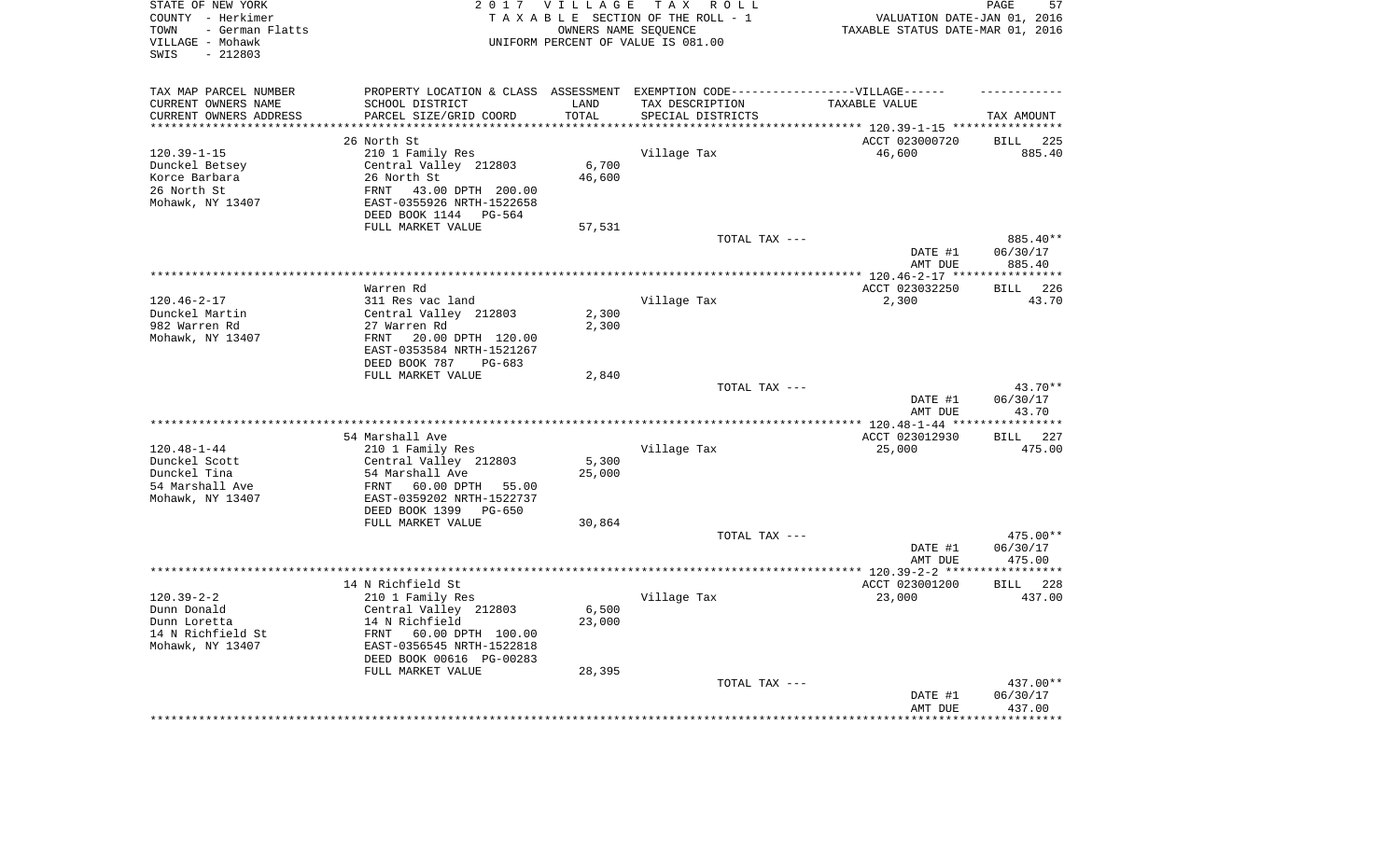| STATE OF NEW YORK<br>COUNTY - Herkimer<br>- German Flatts<br>TOWN<br>VILLAGE - Mohawk<br>$-212803$<br>SWIS | 2 0 1 7                                                                           | <b>VILLAGE</b><br>OWNERS NAME SEQUENCE | TAX ROLL<br>TAXABLE SECTION OF THE ROLL - 1<br>UNIFORM PERCENT OF VALUE IS 081.00 | VALUATION DATE-JAN 01, 2016<br>TAXABLE STATUS DATE-MAR 01, 2016 | PAGE<br>57            |
|------------------------------------------------------------------------------------------------------------|-----------------------------------------------------------------------------------|----------------------------------------|-----------------------------------------------------------------------------------|-----------------------------------------------------------------|-----------------------|
| TAX MAP PARCEL NUMBER                                                                                      | PROPERTY LOCATION & CLASS ASSESSMENT EXEMPTION CODE-----------------VILLAGE------ |                                        |                                                                                   |                                                                 |                       |
| CURRENT OWNERS NAME                                                                                        | SCHOOL DISTRICT                                                                   | LAND                                   | TAX DESCRIPTION                                                                   | TAXABLE VALUE                                                   |                       |
| CURRENT OWNERS ADDRESS                                                                                     | PARCEL SIZE/GRID COORD<br>***************************                             | TOTAL<br>**************                | SPECIAL DISTRICTS                                                                 |                                                                 | TAX AMOUNT            |
| **********************                                                                                     |                                                                                   |                                        |                                                                                   |                                                                 |                       |
|                                                                                                            | 26 North St                                                                       |                                        |                                                                                   | ACCT 023000720                                                  | <b>BILL</b><br>225    |
| $120.39 - 1 - 15$                                                                                          | 210 1 Family Res<br>Central Valley 212803                                         | 6,700                                  | Village Tax                                                                       | 46,600                                                          | 885.40                |
| Dunckel Betsey<br>Korce Barbara                                                                            | 26 North St                                                                       | 46,600                                 |                                                                                   |                                                                 |                       |
| 26 North St                                                                                                | 43.00 DPTH 200.00<br>FRNT                                                         |                                        |                                                                                   |                                                                 |                       |
| Mohawk, NY 13407                                                                                           | EAST-0355926 NRTH-1522658<br>DEED BOOK 1144 PG-564                                |                                        |                                                                                   |                                                                 |                       |
|                                                                                                            | FULL MARKET VALUE                                                                 | 57,531                                 |                                                                                   |                                                                 |                       |
|                                                                                                            |                                                                                   |                                        | TOTAL TAX ---                                                                     |                                                                 | 885.40**              |
|                                                                                                            |                                                                                   |                                        |                                                                                   | DATE #1<br>AMT DUE                                              | 06/30/17<br>885.40    |
|                                                                                                            |                                                                                   |                                        |                                                                                   |                                                                 |                       |
|                                                                                                            | Warren Rd                                                                         |                                        |                                                                                   | ACCT 023032250                                                  | 226<br><b>BILL</b>    |
| $120.46 - 2 - 17$                                                                                          | 311 Res vac land                                                                  |                                        | Village Tax                                                                       | 2,300                                                           | 43.70                 |
| Dunckel Martin                                                                                             | Central Valley 212803                                                             | 2,300                                  |                                                                                   |                                                                 |                       |
| 982 Warren Rd                                                                                              | 27 Warren Rd                                                                      | 2,300                                  |                                                                                   |                                                                 |                       |
| Mohawk, NY 13407                                                                                           | FRNT<br>20.00 DPTH 120.00                                                         |                                        |                                                                                   |                                                                 |                       |
|                                                                                                            | EAST-0353584 NRTH-1521267<br>DEED BOOK 787<br>PG-683                              |                                        |                                                                                   |                                                                 |                       |
|                                                                                                            | FULL MARKET VALUE                                                                 | 2,840                                  |                                                                                   |                                                                 |                       |
|                                                                                                            |                                                                                   |                                        | TOTAL TAX ---                                                                     |                                                                 | 43.70**               |
|                                                                                                            |                                                                                   |                                        |                                                                                   | DATE #1                                                         | 06/30/17              |
|                                                                                                            |                                                                                   |                                        |                                                                                   | AMT DUE                                                         | 43.70                 |
|                                                                                                            |                                                                                   |                                        |                                                                                   |                                                                 | * * * * * * * * * * * |
|                                                                                                            | 54 Marshall Ave                                                                   |                                        |                                                                                   | ACCT 023012930                                                  | BILL 227              |
| $120.48 - 1 - 44$<br>Dunckel Scott                                                                         | 210 1 Family Res                                                                  |                                        | Village Tax                                                                       | 25,000                                                          | 475.00                |
| Dunckel Tina                                                                                               | Central Valley 212803<br>54 Marshall Ave                                          | 5,300<br>25,000                        |                                                                                   |                                                                 |                       |
| 54 Marshall Ave                                                                                            | 60.00 DPTH<br>FRNT<br>55.00                                                       |                                        |                                                                                   |                                                                 |                       |
| Mohawk, NY 13407                                                                                           | EAST-0359202 NRTH-1522737                                                         |                                        |                                                                                   |                                                                 |                       |
|                                                                                                            | DEED BOOK 1399<br>$PG-650$                                                        |                                        |                                                                                   |                                                                 |                       |
|                                                                                                            | FULL MARKET VALUE                                                                 | 30,864                                 |                                                                                   |                                                                 |                       |
|                                                                                                            |                                                                                   |                                        | TOTAL TAX ---                                                                     |                                                                 | 475.00**              |
|                                                                                                            |                                                                                   |                                        |                                                                                   | DATE #1                                                         | 06/30/17              |
| ********************                                                                                       |                                                                                   |                                        |                                                                                   | AMT DUE                                                         | 475.00<br>*********** |
|                                                                                                            | 14 N Richfield St                                                                 |                                        |                                                                                   | ACCT 023001200                                                  | BILL 228              |
| $120.39 - 2 - 2$                                                                                           | 210 1 Family Res                                                                  |                                        | Village Tax                                                                       | 23,000                                                          | 437.00                |
| Dunn Donald                                                                                                | Central Valley 212803                                                             | 6,500                                  |                                                                                   |                                                                 |                       |
| Dunn Loretta                                                                                               | 14 N Richfield                                                                    | 23,000                                 |                                                                                   |                                                                 |                       |
| 14 N Richfield St                                                                                          | 60.00 DPTH 100.00<br>FRNT                                                         |                                        |                                                                                   |                                                                 |                       |
| Mohawk, NY 13407                                                                                           | EAST-0356545 NRTH-1522818                                                         |                                        |                                                                                   |                                                                 |                       |
|                                                                                                            | DEED BOOK 00616 PG-00283                                                          |                                        |                                                                                   |                                                                 |                       |
|                                                                                                            | FULL MARKET VALUE                                                                 | 28,395                                 |                                                                                   |                                                                 |                       |
|                                                                                                            |                                                                                   |                                        | TOTAL TAX ---                                                                     |                                                                 | 437.00**              |
|                                                                                                            |                                                                                   |                                        |                                                                                   | DATE #1<br>AMT DUE                                              | 06/30/17<br>437.00    |
|                                                                                                            |                                                                                   |                                        |                                                                                   |                                                                 | ***********           |
|                                                                                                            |                                                                                   |                                        |                                                                                   |                                                                 |                       |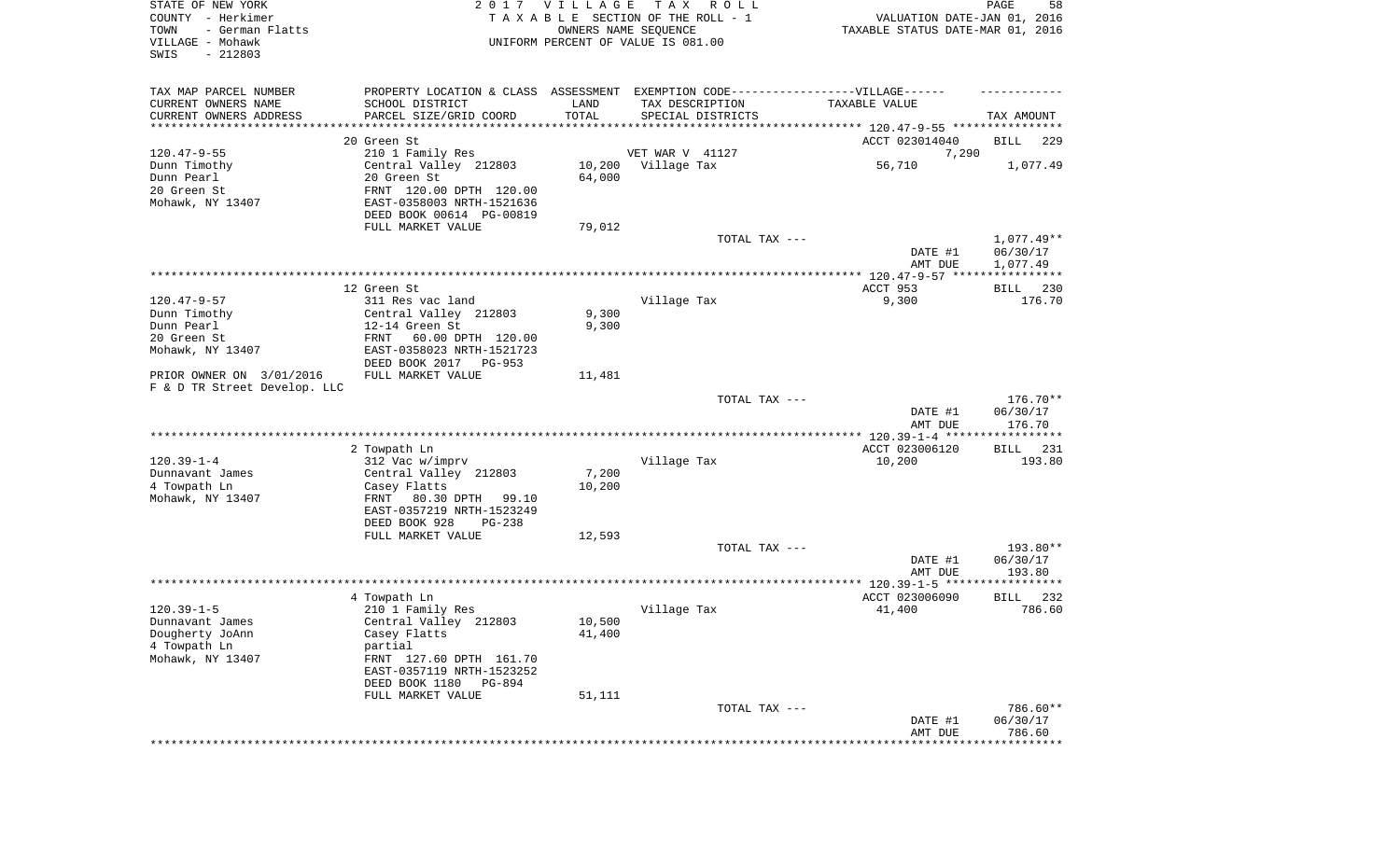| STATE OF NEW YORK<br>COUNTY - Herkimer<br>TOWN<br>- German Flatts<br>VILLAGE - Mohawk<br>SWIS<br>$-212803$ |                                                                                                      | 2017 VILLAGE<br>OWNERS NAME SEQUENCE | T A X<br>R O L L<br>TAXABLE SECTION OF THE ROLL - 1<br>UNIFORM PERCENT OF VALUE IS 081.00 | VALUATION DATE-JAN 01, 2016<br>TAXABLE STATUS DATE-MAR 01, 2016 | PAGE<br>58               |
|------------------------------------------------------------------------------------------------------------|------------------------------------------------------------------------------------------------------|--------------------------------------|-------------------------------------------------------------------------------------------|-----------------------------------------------------------------|--------------------------|
| TAX MAP PARCEL NUMBER<br>CURRENT OWNERS NAME                                                               | PROPERTY LOCATION & CLASS ASSESSMENT EXEMPTION CODE-----------------VILLAGE------<br>SCHOOL DISTRICT | LAND                                 | TAX DESCRIPTION                                                                           | TAXABLE VALUE                                                   |                          |
| CURRENT OWNERS ADDRESS                                                                                     | PARCEL SIZE/GRID COORD                                                                               | TOTAL                                | SPECIAL DISTRICTS                                                                         |                                                                 | TAX AMOUNT               |
| ********************                                                                                       | ******************                                                                                   |                                      |                                                                                           |                                                                 |                          |
|                                                                                                            | 20 Green St                                                                                          |                                      | VET WAR V 41127                                                                           | ACCT 023014040                                                  | 229<br>BILL              |
| $120.47 - 9 - 55$<br>Dunn Timothy                                                                          | 210 1 Family Res<br>Central Valley 212803                                                            | 10,200                               | Village Tax                                                                               | 7,290<br>56,710                                                 | 1,077.49                 |
| Dunn Pearl                                                                                                 | 20 Green St                                                                                          | 64,000                               |                                                                                           |                                                                 |                          |
| 20 Green St                                                                                                | FRNT 120.00 DPTH 120.00                                                                              |                                      |                                                                                           |                                                                 |                          |
| Mohawk, NY 13407                                                                                           | EAST-0358003 NRTH-1521636                                                                            |                                      |                                                                                           |                                                                 |                          |
|                                                                                                            | DEED BOOK 00614 PG-00819                                                                             |                                      |                                                                                           |                                                                 |                          |
|                                                                                                            | FULL MARKET VALUE                                                                                    | 79,012                               |                                                                                           |                                                                 |                          |
|                                                                                                            |                                                                                                      |                                      | TOTAL TAX ---                                                                             | DATE #1                                                         | $1,077.49**$<br>06/30/17 |
|                                                                                                            |                                                                                                      |                                      |                                                                                           | AMT DUE                                                         | 1,077.49                 |
|                                                                                                            | 12 Green St                                                                                          |                                      |                                                                                           | ACCT 953                                                        | 230<br>BILL              |
| $120.47 - 9 - 57$                                                                                          | 311 Res vac land                                                                                     |                                      | Village Tax                                                                               | 9,300                                                           | 176.70                   |
| Dunn Timothy                                                                                               | Central Valley 212803                                                                                | 9,300                                |                                                                                           |                                                                 |                          |
| Dunn Pearl                                                                                                 | 12-14 Green St                                                                                       | 9,300                                |                                                                                           |                                                                 |                          |
| 20 Green St                                                                                                | 60.00 DPTH 120.00<br>FRNT<br>EAST-0358023 NRTH-1521723                                               |                                      |                                                                                           |                                                                 |                          |
| Mohawk, NY 13407                                                                                           | DEED BOOK 2017 PG-953                                                                                |                                      |                                                                                           |                                                                 |                          |
| PRIOR OWNER ON 3/01/2016<br>F & D TR Street Develop. LLC                                                   | FULL MARKET VALUE                                                                                    | 11,481                               |                                                                                           |                                                                 |                          |
|                                                                                                            |                                                                                                      |                                      | TOTAL TAX ---                                                                             |                                                                 | 176.70**                 |
|                                                                                                            |                                                                                                      |                                      |                                                                                           | DATE #1<br>AMT DUE                                              | 06/30/17<br>176.70       |
|                                                                                                            |                                                                                                      |                                      |                                                                                           | ************* 120.39-1-4 ******************                     |                          |
| $120.39 - 1 - 4$                                                                                           | 2 Towpath Ln<br>312 Vac w/imprv                                                                      |                                      | Village Tax                                                                               | ACCT 023006120                                                  | 231<br>BILL<br>193.80    |
| Dunnavant James                                                                                            | Central Valley 212803                                                                                | 7,200                                |                                                                                           | 10,200                                                          |                          |
| 4 Towpath Ln                                                                                               | Casey Flatts                                                                                         | 10,200                               |                                                                                           |                                                                 |                          |
| Mohawk, NY 13407                                                                                           | FRNT<br>80.30 DPTH<br>99.10                                                                          |                                      |                                                                                           |                                                                 |                          |
|                                                                                                            | EAST-0357219 NRTH-1523249                                                                            |                                      |                                                                                           |                                                                 |                          |
|                                                                                                            | DEED BOOK 928<br>PG-238                                                                              |                                      |                                                                                           |                                                                 |                          |
|                                                                                                            | FULL MARKET VALUE                                                                                    | 12,593                               | TOTAL TAX ---                                                                             |                                                                 | 193.80**                 |
|                                                                                                            |                                                                                                      |                                      |                                                                                           | DATE #1                                                         | 06/30/17                 |
|                                                                                                            |                                                                                                      |                                      |                                                                                           | AMT DUE                                                         | 193.80                   |
|                                                                                                            |                                                                                                      |                                      |                                                                                           |                                                                 |                          |
|                                                                                                            | 4 Towpath Ln                                                                                         |                                      |                                                                                           | ACCT 023006090                                                  | 232<br>BILL              |
| $120.39 - 1 - 5$                                                                                           | 210 1 Family Res                                                                                     |                                      | Village Tax                                                                               | 41,400                                                          | 786.60                   |
| Dunnavant James<br>Dougherty JoAnn                                                                         | Central Valley 212803<br>Casey Flatts                                                                | 10,500<br>41,400                     |                                                                                           |                                                                 |                          |
| 4 Towpath Ln                                                                                               | partial                                                                                              |                                      |                                                                                           |                                                                 |                          |
| Mohawk, NY 13407                                                                                           | FRNT 127.60 DPTH 161.70                                                                              |                                      |                                                                                           |                                                                 |                          |
|                                                                                                            | EAST-0357119 NRTH-1523252                                                                            |                                      |                                                                                           |                                                                 |                          |
|                                                                                                            | DEED BOOK 1180<br>PG-894                                                                             |                                      |                                                                                           |                                                                 |                          |
|                                                                                                            | FULL MARKET VALUE                                                                                    | 51,111                               | TOTAL TAX ---                                                                             |                                                                 | 786.60**                 |
|                                                                                                            |                                                                                                      |                                      |                                                                                           | DATE #1                                                         | 06/30/17                 |
|                                                                                                            |                                                                                                      |                                      |                                                                                           | AMT DUE                                                         | 786.60                   |
|                                                                                                            |                                                                                                      |                                      |                                                                                           |                                                                 | ************             |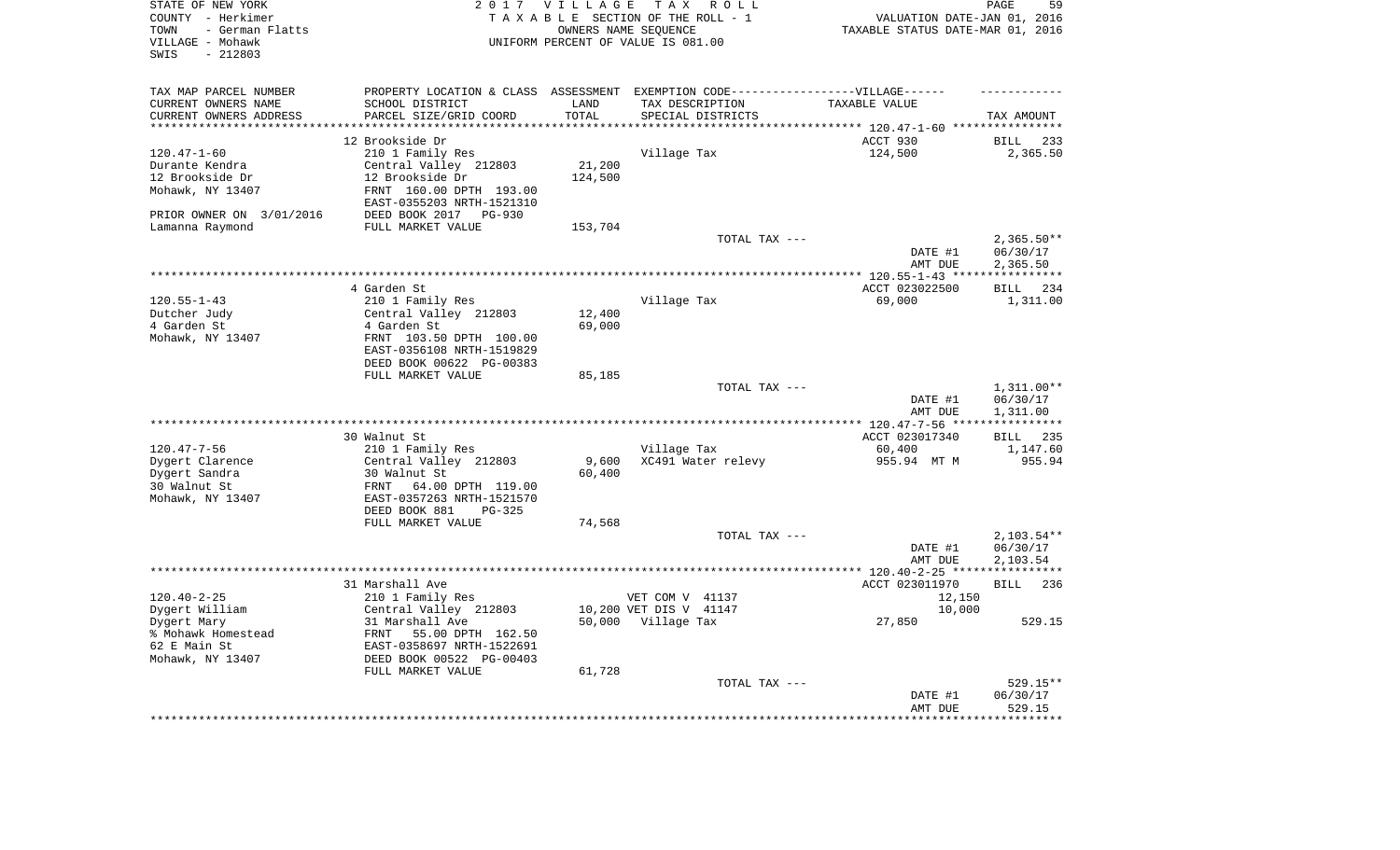| STATE OF NEW YORK<br>COUNTY - Herkimer<br>- German Flatts<br>TOWN<br>VILLAGE - Mohawk<br>$-212803$<br>SWIS |                                                        | 2017 VILLAGE       | T A X<br>R O L L<br>TAXABLE SECTION OF THE ROLL - 1<br>OWNERS NAME SEQUENCE<br>UNIFORM PERCENT OF VALUE IS 081.00 | VALUATION DATE-JAN 01, 2016<br>TAXABLE STATUS DATE-MAR 01, 2016 | PAGE<br>59                           |
|------------------------------------------------------------------------------------------------------------|--------------------------------------------------------|--------------------|-------------------------------------------------------------------------------------------------------------------|-----------------------------------------------------------------|--------------------------------------|
| TAX MAP PARCEL NUMBER                                                                                      |                                                        |                    | PROPERTY LOCATION & CLASS ASSESSMENT EXEMPTION CODE-----------------VILLAGE------                                 |                                                                 |                                      |
| CURRENT OWNERS NAME                                                                                        | SCHOOL DISTRICT                                        | LAND               | TAX DESCRIPTION                                                                                                   | TAXABLE VALUE                                                   |                                      |
| CURRENT OWNERS ADDRESS<br>********************                                                             | PARCEL SIZE/GRID COORD                                 | TOTAL<br>********* | SPECIAL DISTRICTS                                                                                                 | *************************** 120.47-1-60 ****************        | TAX AMOUNT                           |
|                                                                                                            | 12 Brookside Dr                                        |                    |                                                                                                                   | ACCT 930                                                        | <b>BILL</b><br>233                   |
| $120.47 - 1 - 60$                                                                                          | 210 1 Family Res                                       |                    | Village Tax                                                                                                       | 124,500                                                         | 2,365.50                             |
| Durante Kendra                                                                                             | Central Valley 212803                                  | 21,200             |                                                                                                                   |                                                                 |                                      |
| 12 Brookside Dr                                                                                            | 12 Brookside Dr                                        | 124,500            |                                                                                                                   |                                                                 |                                      |
| Mohawk, NY 13407                                                                                           | FRNT 160.00 DPTH 193.00<br>EAST-0355203 NRTH-1521310   |                    |                                                                                                                   |                                                                 |                                      |
| PRIOR OWNER ON 3/01/2016                                                                                   | DEED BOOK 2017<br>$PG-930$                             |                    |                                                                                                                   |                                                                 |                                      |
| Lamanna Raymond                                                                                            | FULL MARKET VALUE                                      | 153,704            |                                                                                                                   |                                                                 |                                      |
|                                                                                                            |                                                        |                    | TOTAL TAX ---                                                                                                     | DATE #1<br>AMT DUE                                              | $2,365.50**$<br>06/30/17<br>2,365.50 |
|                                                                                                            |                                                        |                    |                                                                                                                   | ************* 120.55-1-43 *****************                     |                                      |
|                                                                                                            | 4 Garden St                                            |                    |                                                                                                                   | ACCT 023022500                                                  | 234<br><b>BILL</b>                   |
| $120.55 - 1 - 43$                                                                                          | 210 1 Family Res                                       |                    | Village Tax                                                                                                       | 69,000                                                          | 1,311.00                             |
| Dutcher Judy                                                                                               | Central Valley 212803                                  | 12,400             |                                                                                                                   |                                                                 |                                      |
| 4 Garden St<br>Mohawk, NY 13407                                                                            | 4 Garden St<br>FRNT 103.50 DPTH 100.00                 | 69,000             |                                                                                                                   |                                                                 |                                      |
|                                                                                                            | EAST-0356108 NRTH-1519829<br>DEED BOOK 00622 PG-00383  |                    |                                                                                                                   |                                                                 |                                      |
|                                                                                                            | FULL MARKET VALUE                                      | 85,185             |                                                                                                                   |                                                                 |                                      |
|                                                                                                            |                                                        |                    | TOTAL TAX ---                                                                                                     |                                                                 | $1,311.00**$                         |
|                                                                                                            |                                                        |                    |                                                                                                                   | DATE #1<br>AMT DUE                                              | 06/30/17<br>1,311.00                 |
|                                                                                                            |                                                        |                    |                                                                                                                   | ********* 120.47-7-56 **                                        | * * * * * * * * * * *                |
|                                                                                                            | 30 Walnut St                                           |                    |                                                                                                                   | ACCT 023017340                                                  | <b>BILL</b> 235                      |
| $120.47 - 7 - 56$<br>Dygert Clarence                                                                       | 210 1 Family Res<br>Central Valley 212803              | 9,600              | Village Tax<br>XC491 Water relevy                                                                                 | 60,400<br>955.94 MT M                                           | 1,147.60<br>955.94                   |
| Dygert Sandra                                                                                              | 30 Walnut St                                           | 60,400             |                                                                                                                   |                                                                 |                                      |
| 30 Walnut St<br>Mohawk, NY 13407                                                                           | 64.00 DPTH 119.00<br>FRNT<br>EAST-0357263 NRTH-1521570 |                    |                                                                                                                   |                                                                 |                                      |
|                                                                                                            | DEED BOOK 881<br>$PG-325$                              |                    |                                                                                                                   |                                                                 |                                      |
|                                                                                                            | FULL MARKET VALUE                                      | 74,568             |                                                                                                                   |                                                                 |                                      |
|                                                                                                            |                                                        |                    | TOTAL TAX ---                                                                                                     |                                                                 | $2,103.54**$<br>06/30/17             |
|                                                                                                            |                                                        |                    |                                                                                                                   | DATE #1<br>AMT DUE                                              | 2,103.54                             |
|                                                                                                            |                                                        |                    |                                                                                                                   |                                                                 |                                      |
|                                                                                                            | 31 Marshall Ave                                        |                    |                                                                                                                   | ACCT 023011970                                                  | <b>BILL</b><br>236                   |
| $120.40 - 2 - 25$                                                                                          | 210 1 Family Res                                       |                    | VET COM V 41137                                                                                                   | 12,150                                                          |                                      |
| Dygert William                                                                                             | Central Valley 212803                                  |                    | 10,200 VET DIS V 41147                                                                                            | 10,000                                                          |                                      |
| Dygert Mary<br>% Mohawk Homestead                                                                          | 31 Marshall Ave<br>FRNT<br>55.00 DPTH 162.50           |                    | 50,000 Village Tax                                                                                                | 27,850                                                          | 529.15                               |
| 62 E Main St<br>Mohawk, NY 13407                                                                           | EAST-0358697 NRTH-1522691<br>DEED BOOK 00522 PG-00403  |                    |                                                                                                                   |                                                                 |                                      |
|                                                                                                            | FULL MARKET VALUE                                      | 61,728             |                                                                                                                   |                                                                 |                                      |
|                                                                                                            |                                                        |                    | TOTAL TAX ---                                                                                                     |                                                                 | 529.15**                             |
|                                                                                                            |                                                        |                    |                                                                                                                   | DATE #1                                                         | 06/30/17                             |
|                                                                                                            |                                                        |                    |                                                                                                                   | AMT DUE                                                         | 529.15                               |
|                                                                                                            |                                                        |                    |                                                                                                                   |                                                                 |                                      |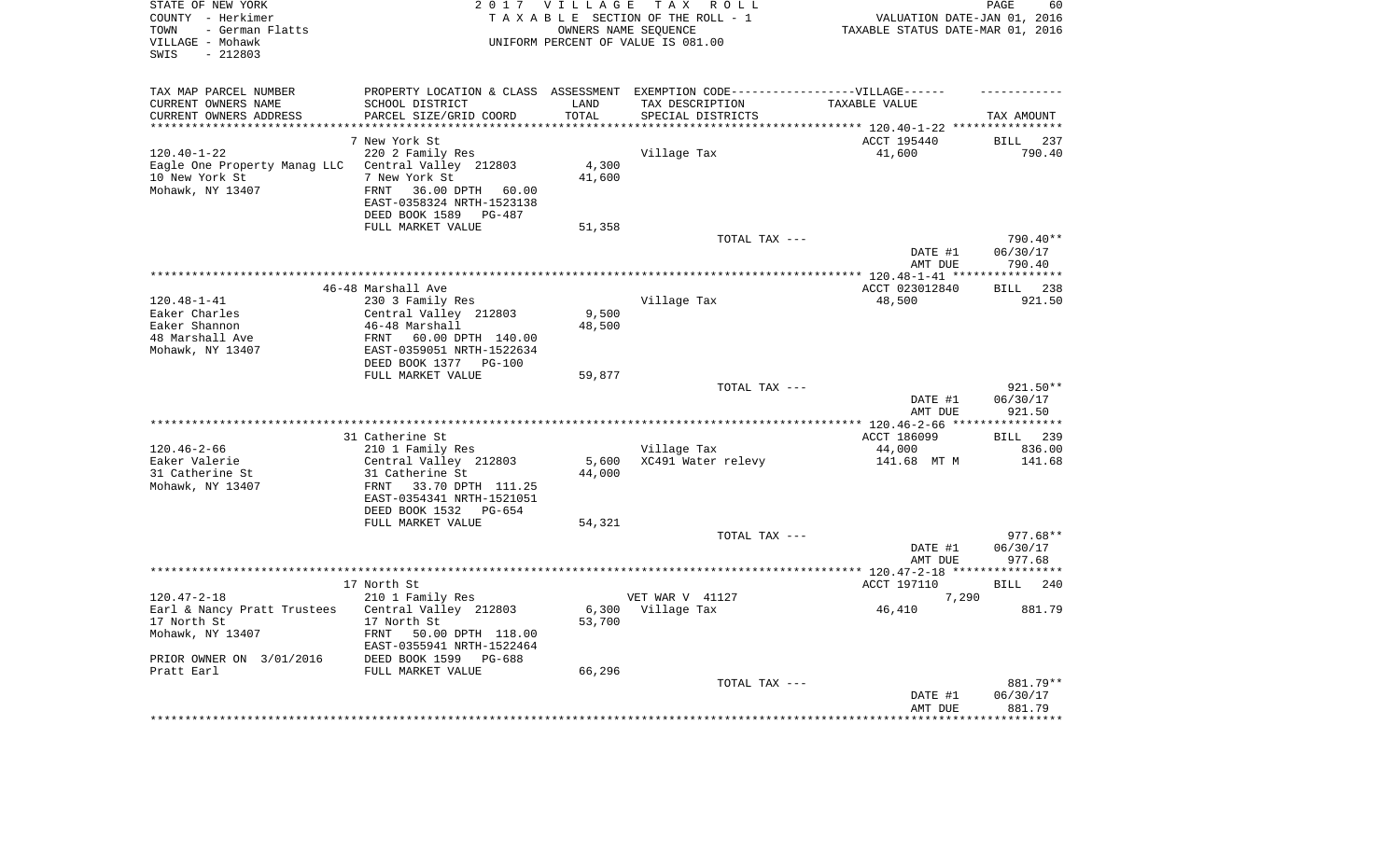| STATE OF NEW YORK<br>COUNTY - Herkimer<br>- German Flatts<br>TOWN<br>VILLAGE - Mohawk<br>$-212803$<br>SWIS |                                                         | 2017 VILLAGE<br>OWNERS NAME SEQUENCE | TAX ROLL<br>TAXABLE SECTION OF THE ROLL - 1<br>UNIFORM PERCENT OF VALUE IS 081.00 | VALUATION DATE-JAN 01, 2016<br>TAXABLE STATUS DATE-MAR 01, 2016 | 60<br>PAGE             |
|------------------------------------------------------------------------------------------------------------|---------------------------------------------------------|--------------------------------------|-----------------------------------------------------------------------------------|-----------------------------------------------------------------|------------------------|
| TAX MAP PARCEL NUMBER                                                                                      |                                                         |                                      | PROPERTY LOCATION & CLASS ASSESSMENT EXEMPTION CODE-----------------VILLAGE------ |                                                                 |                        |
| CURRENT OWNERS NAME                                                                                        | SCHOOL DISTRICT                                         | LAND                                 | TAX DESCRIPTION                                                                   | TAXABLE VALUE                                                   |                        |
| CURRENT OWNERS ADDRESS<br>**********************                                                           | PARCEL SIZE/GRID COORD<br>***************************** | TOTAL<br>****************            | SPECIAL DISTRICTS                                                                 |                                                                 | TAX AMOUNT             |
|                                                                                                            |                                                         |                                      |                                                                                   |                                                                 |                        |
|                                                                                                            | 7 New York St                                           |                                      |                                                                                   | ACCT 195440                                                     | BILL<br>237            |
| $120.40 - 1 - 22$<br>Eagle One Property Manag LLC                                                          | 220 2 Family Res<br>Central Valley 212803               | 4,300                                | Village Tax                                                                       | 41,600                                                          | 790.40                 |
| 10 New York St                                                                                             | 7 New York St                                           | 41,600                               |                                                                                   |                                                                 |                        |
| Mohawk, NY 13407                                                                                           | 36.00 DPTH 60.00<br>FRNT                                |                                      |                                                                                   |                                                                 |                        |
|                                                                                                            | EAST-0358324 NRTH-1523138                               |                                      |                                                                                   |                                                                 |                        |
|                                                                                                            | DEED BOOK 1589<br>PG-487                                |                                      |                                                                                   |                                                                 |                        |
|                                                                                                            | FULL MARKET VALUE                                       | 51,358                               |                                                                                   |                                                                 |                        |
|                                                                                                            |                                                         |                                      | TOTAL TAX ---                                                                     |                                                                 | 790.40**               |
|                                                                                                            |                                                         |                                      |                                                                                   | DATE #1                                                         | 06/30/17               |
|                                                                                                            |                                                         |                                      |                                                                                   | AMT DUE                                                         | 790.40<br>************ |
|                                                                                                            | 46-48 Marshall Ave                                      |                                      |                                                                                   | ACCT 023012840                                                  | 238<br><b>BILL</b>     |
| $120.48 - 1 - 41$                                                                                          | 230 3 Family Res                                        |                                      | Village Tax                                                                       | 48,500                                                          | 921.50                 |
| Eaker Charles                                                                                              | Central Valley 212803                                   | 9,500                                |                                                                                   |                                                                 |                        |
| Eaker Shannon                                                                                              | 46-48 Marshall                                          | 48,500                               |                                                                                   |                                                                 |                        |
| 48 Marshall Ave                                                                                            | 60.00 DPTH 140.00<br>FRNT                               |                                      |                                                                                   |                                                                 |                        |
| Mohawk, NY 13407                                                                                           | EAST-0359051 NRTH-1522634                               |                                      |                                                                                   |                                                                 |                        |
|                                                                                                            | DEED BOOK 1377 PG-100                                   |                                      |                                                                                   |                                                                 |                        |
|                                                                                                            | FULL MARKET VALUE                                       | 59,877                               |                                                                                   |                                                                 |                        |
|                                                                                                            |                                                         |                                      | TOTAL TAX ---                                                                     | DATE #1                                                         | 921.50**<br>06/30/17   |
|                                                                                                            |                                                         |                                      |                                                                                   | AMT DUE                                                         | 921.50                 |
|                                                                                                            | **************************                              |                                      | **********************                                                            | *** 120.46-2-66 **                                              | * * * * * * * * * *    |
|                                                                                                            | 31 Catherine St                                         |                                      |                                                                                   | ACCT 186099                                                     | BILL 239               |
| $120.46 - 2 - 66$<br>Eaker Valerie                                                                         | 210 1 Family Res<br>Central Valley 212803               | 5,600                                | Village Tax<br>XC491 Water relevy                                                 | 44,000<br>141.68 MT M                                           | 836.00<br>141.68       |
| 31 Catherine St                                                                                            | 31 Catherine St                                         | 44,000                               |                                                                                   |                                                                 |                        |
| Mohawk, NY 13407                                                                                           | FRNT 33.70 DPTH 111.25                                  |                                      |                                                                                   |                                                                 |                        |
|                                                                                                            | EAST-0354341 NRTH-1521051                               |                                      |                                                                                   |                                                                 |                        |
|                                                                                                            | DEED BOOK 1532 PG-654                                   |                                      |                                                                                   |                                                                 |                        |
|                                                                                                            | FULL MARKET VALUE                                       | 54,321                               |                                                                                   |                                                                 |                        |
|                                                                                                            |                                                         |                                      | TOTAL TAX ---                                                                     |                                                                 | 977.68**               |
|                                                                                                            |                                                         |                                      |                                                                                   | DATE #1                                                         | 06/30/17               |
|                                                                                                            |                                                         |                                      |                                                                                   | AMT DUE<br>**************** 120.47-2-18 ******                  | 977.68<br>**********   |
|                                                                                                            | 17 North St                                             |                                      |                                                                                   | ACCT 197110                                                     | 240<br>BILL            |
| $120.47 - 2 - 18$                                                                                          | 210 1 Family Res                                        |                                      | VET WAR V 41127                                                                   | 7,290                                                           |                        |
| Earl & Nancy Pratt Trustees                                                                                | Central Valley 212803                                   |                                      | 6,300 Village Tax                                                                 | 46,410                                                          | 881.79                 |
| 17 North St                                                                                                | 17 North St                                             | 53,700                               |                                                                                   |                                                                 |                        |
| Mohawk, NY 13407                                                                                           | FRNT<br>50.00 DPTH 118.00                               |                                      |                                                                                   |                                                                 |                        |
|                                                                                                            | EAST-0355941 NRTH-1522464                               |                                      |                                                                                   |                                                                 |                        |
| PRIOR OWNER ON 3/01/2016                                                                                   | DEED BOOK 1599<br>$PG-688$                              |                                      |                                                                                   |                                                                 |                        |
| Pratt Earl                                                                                                 | FULL MARKET VALUE                                       | 66,296                               | TOTAL TAX ---                                                                     |                                                                 | 881.79**               |
|                                                                                                            |                                                         |                                      |                                                                                   | DATE #1                                                         | 06/30/17               |
|                                                                                                            |                                                         |                                      |                                                                                   | AMT DUE                                                         | 881.79                 |
|                                                                                                            |                                                         |                                      |                                                                                   |                                                                 | ********               |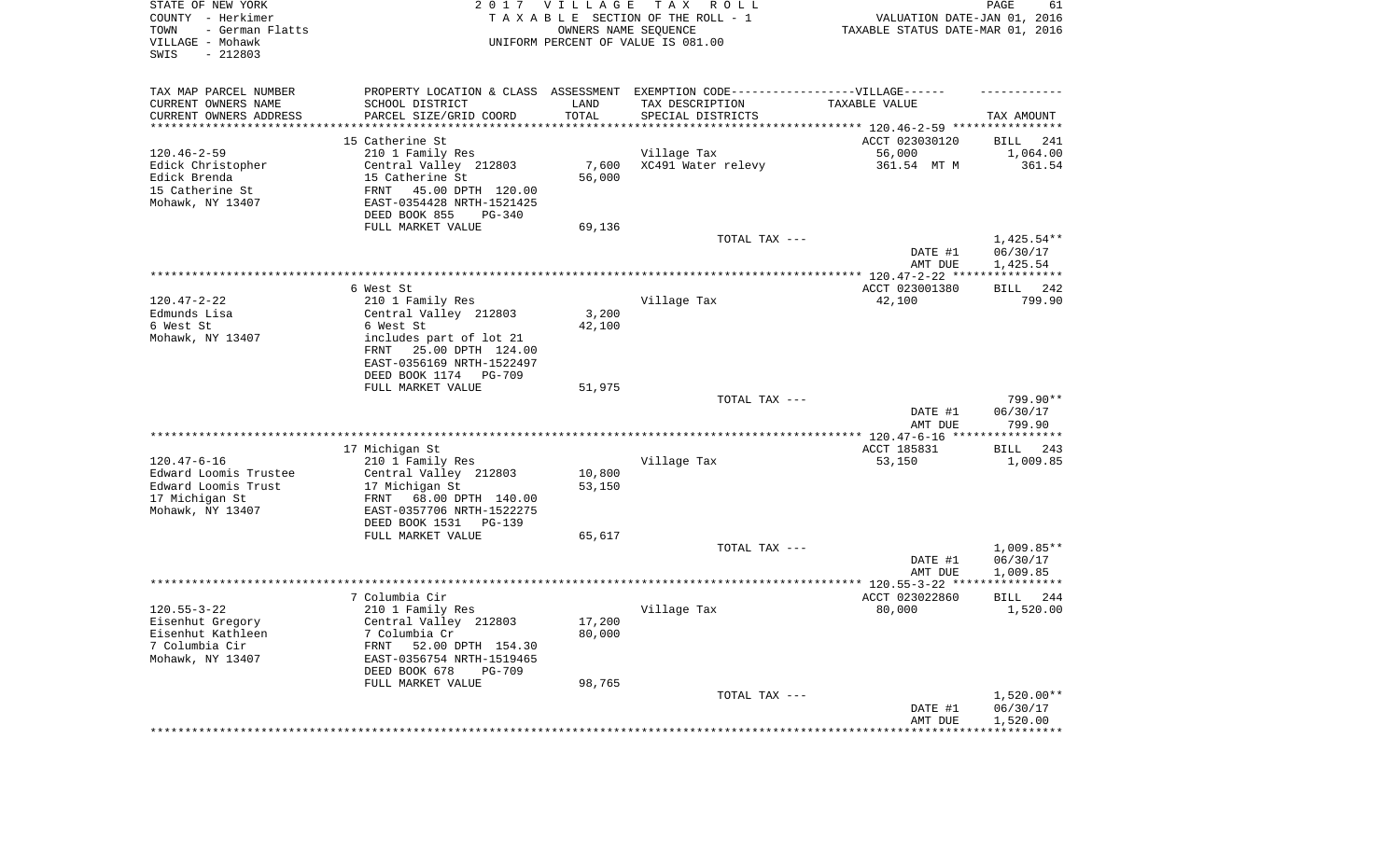| STATE OF NEW YORK<br>COUNTY - Herkimer<br>TOWN<br>- German Flatts<br>VILLAGE - Mohawk<br>SWIS<br>$-212803$ |                                                       | 2017 VILLAGE<br>OWNERS NAME SEQUENCE | TAX ROLL<br>TAXABLE SECTION OF THE ROLL - 1<br>UNIFORM PERCENT OF VALUE IS 081.00 | VALUATION DATE-JAN 01, 2016<br>TAXABLE STATUS DATE-MAR 01, 2016 | PAGE<br>61           |
|------------------------------------------------------------------------------------------------------------|-------------------------------------------------------|--------------------------------------|-----------------------------------------------------------------------------------|-----------------------------------------------------------------|----------------------|
| TAX MAP PARCEL NUMBER                                                                                      |                                                       |                                      | PROPERTY LOCATION & CLASS ASSESSMENT EXEMPTION CODE----------------VILLAGE------  |                                                                 |                      |
| CURRENT OWNERS NAME                                                                                        | SCHOOL DISTRICT                                       | LAND                                 | TAX DESCRIPTION                                                                   | TAXABLE VALUE                                                   |                      |
| CURRENT OWNERS ADDRESS<br>*********************                                                            | PARCEL SIZE/GRID COORD<br>***********************     | TOTAL<br>***********                 | SPECIAL DISTRICTS                                                                 |                                                                 | TAX AMOUNT           |
|                                                                                                            | 15 Catherine St                                       |                                      |                                                                                   | ACCT 023030120                                                  | BILL<br>241          |
| $120.46 - 2 - 59$                                                                                          | 210 1 Family Res                                      |                                      | Village Tax                                                                       | 56,000                                                          | 1,064.00             |
| Edick Christopher                                                                                          | Central Valley 212803                                 | 7,600                                | XC491 Water relevy                                                                | 361.54 MT M                                                     | 361.54               |
| Edick Brenda                                                                                               | 15 Catherine St                                       | 56,000                               |                                                                                   |                                                                 |                      |
| 15 Catherine St                                                                                            | FRNT<br>45.00 DPTH 120.00                             |                                      |                                                                                   |                                                                 |                      |
| Mohawk, NY 13407                                                                                           | EAST-0354428 NRTH-1521425                             |                                      |                                                                                   |                                                                 |                      |
|                                                                                                            | DEED BOOK 855<br>PG-340<br>FULL MARKET VALUE          | 69,136                               |                                                                                   |                                                                 |                      |
|                                                                                                            |                                                       |                                      | TOTAL TAX ---                                                                     |                                                                 | $1,425.54**$         |
|                                                                                                            |                                                       |                                      |                                                                                   | DATE #1<br>AMT DUE                                              | 06/30/17<br>1,425.54 |
|                                                                                                            |                                                       |                                      |                                                                                   |                                                                 |                      |
|                                                                                                            | 6 West St                                             |                                      |                                                                                   | ACCT 023001380                                                  | 242<br>BILL          |
| $120.47 - 2 - 22$                                                                                          | 210 1 Family Res                                      |                                      | Village Tax                                                                       | 42,100                                                          | 799.90               |
| Edmunds Lisa                                                                                               | Central Valley 212803                                 | 3,200                                |                                                                                   |                                                                 |                      |
| 6 West St<br>Mohawk, NY 13407                                                                              | 6 West St<br>includes part of lot 21                  | 42,100                               |                                                                                   |                                                                 |                      |
|                                                                                                            | FRNT<br>25.00 DPTH 124.00                             |                                      |                                                                                   |                                                                 |                      |
|                                                                                                            | EAST-0356169 NRTH-1522497                             |                                      |                                                                                   |                                                                 |                      |
|                                                                                                            | DEED BOOK 1174 PG-709                                 |                                      |                                                                                   |                                                                 |                      |
|                                                                                                            | FULL MARKET VALUE                                     | 51,975                               |                                                                                   |                                                                 |                      |
|                                                                                                            |                                                       |                                      | TOTAL TAX ---                                                                     | DATE #1                                                         | 799.90**<br>06/30/17 |
|                                                                                                            |                                                       |                                      |                                                                                   | AMT DUE<br>************* 120.47-6-16 *****************          | 799.90               |
|                                                                                                            | 17 Michigan St                                        |                                      |                                                                                   | ACCT 185831                                                     | BILL<br>243          |
| $120.47 - 6 - 16$                                                                                          | 210 1 Family Res                                      |                                      | Village Tax                                                                       | 53,150                                                          | 1,009.85             |
| Edward Loomis Trustee                                                                                      | Central Valley 212803                                 | 10,800                               |                                                                                   |                                                                 |                      |
| Edward Loomis Trust                                                                                        | 17 Michigan St                                        | 53,150                               |                                                                                   |                                                                 |                      |
| 17 Michigan St                                                                                             | FRNT<br>68.00 DPTH 140.00                             |                                      |                                                                                   |                                                                 |                      |
| Mohawk, NY 13407                                                                                           | EAST-0357706 NRTH-1522275<br>DEED BOOK 1531<br>PG-139 |                                      |                                                                                   |                                                                 |                      |
|                                                                                                            | FULL MARKET VALUE                                     | 65,617                               |                                                                                   |                                                                 |                      |
|                                                                                                            |                                                       |                                      | TOTAL TAX ---                                                                     |                                                                 | $1,009.85**$         |
|                                                                                                            |                                                       |                                      |                                                                                   | DATE #1                                                         | 06/30/17             |
|                                                                                                            |                                                       |                                      |                                                                                   | AMT DUE                                                         | 1,009.85             |
|                                                                                                            | 7 Columbia Cir                                        |                                      |                                                                                   | ACCT 023022860                                                  | 244<br>BILL          |
| $120.55 - 3 - 22$                                                                                          | 210 1 Family Res                                      |                                      | Village Tax                                                                       | 80,000                                                          | 1,520.00             |
| Eisenhut Gregory                                                                                           | Central Valley 212803                                 | 17,200                               |                                                                                   |                                                                 |                      |
| Eisenhut Kathleen                                                                                          | 7 Columbia Cr                                         | 80,000                               |                                                                                   |                                                                 |                      |
| 7 Columbia Cir                                                                                             | FRNT<br>52.00 DPTH 154.30                             |                                      |                                                                                   |                                                                 |                      |
| Mohawk, NY 13407                                                                                           | EAST-0356754 NRTH-1519465                             |                                      |                                                                                   |                                                                 |                      |
|                                                                                                            | DEED BOOK 678<br><b>PG-709</b><br>FULL MARKET VALUE   |                                      |                                                                                   |                                                                 |                      |
|                                                                                                            |                                                       | 98,765                               | TOTAL TAX ---                                                                     |                                                                 | $1,520.00**$         |
|                                                                                                            |                                                       |                                      |                                                                                   | DATE #1                                                         | 06/30/17             |
|                                                                                                            |                                                       |                                      |                                                                                   | AMT DUE                                                         | 1,520.00             |
|                                                                                                            |                                                       |                                      |                                                                                   | *************************************                           |                      |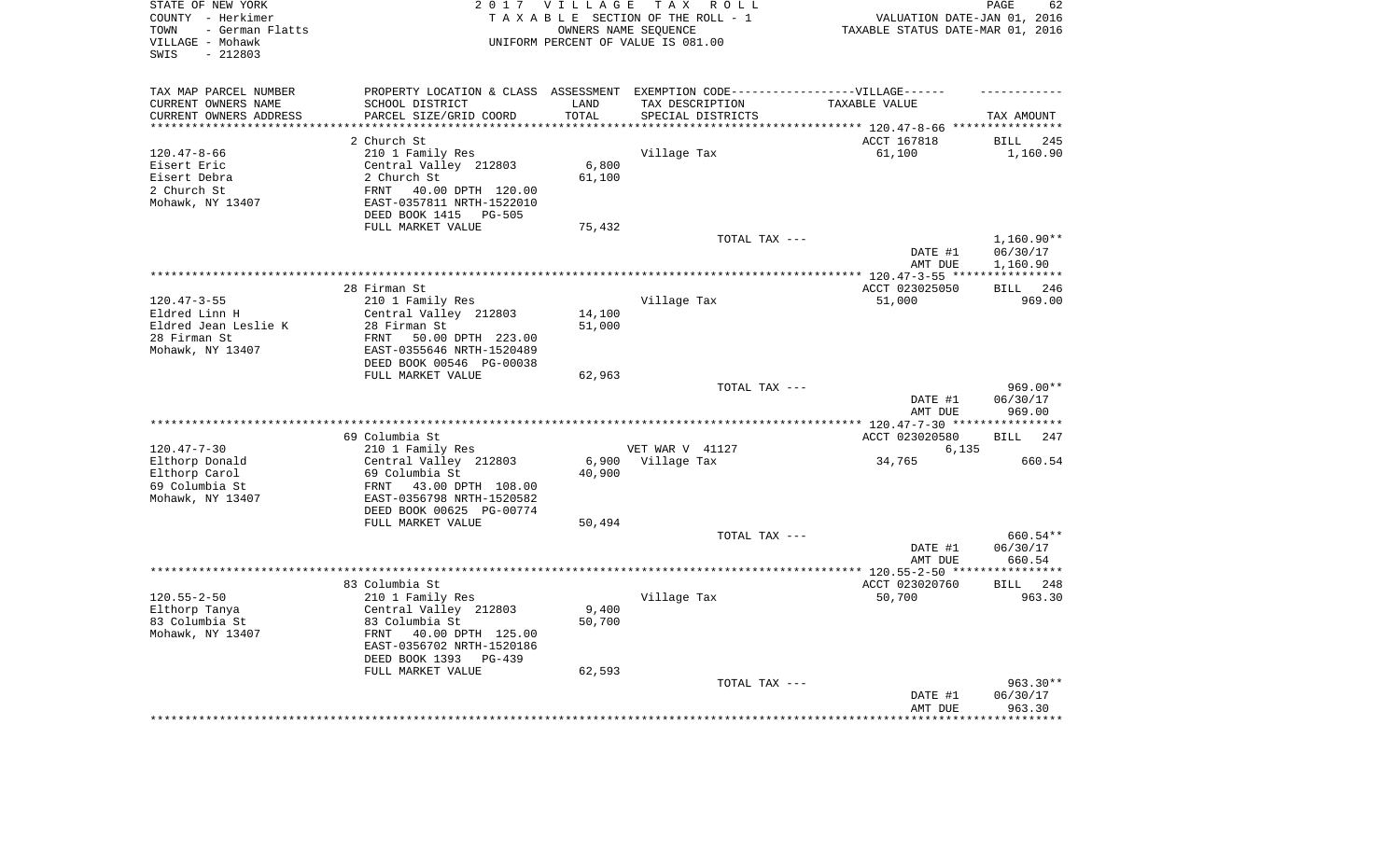| STATE OF NEW YORK<br>COUNTY - Herkimer<br>- German Flatts<br>TOWN<br>VILLAGE - Mohawk<br>$-212803$<br>SWIS |                                                                                   | 2017 VILLAGE               | TAX ROLL<br>TAXABLE SECTION OF THE ROLL - 1<br>OWNERS NAME SEQUENCE<br>UNIFORM PERCENT OF VALUE IS 081.00 | VALUATION DATE-JAN 01, 2016<br>TAXABLE STATUS DATE-MAR 01, 2016          | PAGE<br>62         |
|------------------------------------------------------------------------------------------------------------|-----------------------------------------------------------------------------------|----------------------------|-----------------------------------------------------------------------------------------------------------|--------------------------------------------------------------------------|--------------------|
| TAX MAP PARCEL NUMBER                                                                                      | PROPERTY LOCATION & CLASS ASSESSMENT EXEMPTION CODE-----------------VILLAGE------ |                            |                                                                                                           |                                                                          |                    |
| CURRENT OWNERS NAME                                                                                        | SCHOOL DISTRICT                                                                   | LAND                       | TAX DESCRIPTION                                                                                           | TAXABLE VALUE                                                            |                    |
| CURRENT OWNERS ADDRESS<br>********************                                                             | PARCEL SIZE/GRID COORD                                                            | TOTAL<br>* * * * * * * * * | SPECIAL DISTRICTS                                                                                         |                                                                          | TAX AMOUNT         |
|                                                                                                            | 2 Church St                                                                       |                            |                                                                                                           | **************************** 120.47-8-66 ****************<br>ACCT 167818 | <b>BILL</b><br>245 |
| $120.47 - 8 - 66$                                                                                          | 210 1 Family Res                                                                  |                            | Village Tax                                                                                               | 61,100                                                                   | 1,160.90           |
| Eisert Eric                                                                                                | Central Valley 212803                                                             | 6,800                      |                                                                                                           |                                                                          |                    |
| Eisert Debra                                                                                               | 2 Church St                                                                       | 61,100                     |                                                                                                           |                                                                          |                    |
| 2 Church St                                                                                                | 40.00 DPTH 120.00<br>FRNT                                                         |                            |                                                                                                           |                                                                          |                    |
| Mohawk, NY 13407                                                                                           | EAST-0357811 NRTH-1522010                                                         |                            |                                                                                                           |                                                                          |                    |
|                                                                                                            | DEED BOOK 1415 PG-505                                                             |                            |                                                                                                           |                                                                          |                    |
|                                                                                                            | FULL MARKET VALUE                                                                 | 75,432                     |                                                                                                           |                                                                          |                    |
|                                                                                                            |                                                                                   |                            | TOTAL TAX ---                                                                                             |                                                                          | $1,160.90**$       |
|                                                                                                            |                                                                                   |                            |                                                                                                           | DATE #1                                                                  | 06/30/17           |
|                                                                                                            |                                                                                   |                            |                                                                                                           | AMT DUE                                                                  | 1,160.90           |
|                                                                                                            |                                                                                   |                            |                                                                                                           | ******** 120.47-3-55 ****                                                | ***********        |
|                                                                                                            | 28 Firman St                                                                      |                            |                                                                                                           | ACCT 023025050                                                           | 246<br><b>BILL</b> |
| $120.47 - 3 - 55$<br>Eldred Linn H                                                                         | 210 1 Family Res                                                                  |                            | Village Tax                                                                                               | 51,000                                                                   | 969.00             |
| Eldred Jean Leslie K                                                                                       | Central Valley 212803<br>28 Firman St                                             | 14,100<br>51,000           |                                                                                                           |                                                                          |                    |
| 28 Firman St                                                                                               | FRNT<br>50.00 DPTH 223.00                                                         |                            |                                                                                                           |                                                                          |                    |
| Mohawk, NY 13407                                                                                           | EAST-0355646 NRTH-1520489                                                         |                            |                                                                                                           |                                                                          |                    |
|                                                                                                            | DEED BOOK 00546 PG-00038                                                          |                            |                                                                                                           |                                                                          |                    |
|                                                                                                            | FULL MARKET VALUE                                                                 | 62,963                     |                                                                                                           |                                                                          |                    |
|                                                                                                            |                                                                                   |                            | TOTAL TAX ---                                                                                             |                                                                          | 969.00**           |
|                                                                                                            |                                                                                   |                            |                                                                                                           | DATE #1<br>AMT DUE                                                       | 06/30/17<br>969.00 |
|                                                                                                            |                                                                                   |                            | *******************                                                                                       | *** 120.47-7-30 **                                                       |                    |
|                                                                                                            | 69 Columbia St                                                                    |                            |                                                                                                           | ACCT 023020580                                                           | 247<br>BILL        |
| $120.47 - 7 - 30$                                                                                          | 210 1 Family Res                                                                  |                            | VET WAR V 41127                                                                                           | 6,135                                                                    |                    |
| Elthorp Donald                                                                                             | Central Valley 212803                                                             | 6,900                      | Village Tax                                                                                               | 34,765                                                                   | 660.54             |
| Elthorp Carol<br>69 Columbia St                                                                            | 69 Columbia St<br>43.00 DPTH 108.00<br>FRNT                                       | 40,900                     |                                                                                                           |                                                                          |                    |
| Mohawk, NY 13407                                                                                           | EAST-0356798 NRTH-1520582                                                         |                            |                                                                                                           |                                                                          |                    |
|                                                                                                            | DEED BOOK 00625 PG-00774                                                          |                            |                                                                                                           |                                                                          |                    |
|                                                                                                            | FULL MARKET VALUE                                                                 | 50,494                     |                                                                                                           |                                                                          |                    |
|                                                                                                            |                                                                                   |                            | TOTAL TAX ---                                                                                             |                                                                          | 660.54**           |
|                                                                                                            |                                                                                   |                            |                                                                                                           | DATE #1                                                                  | 06/30/17           |
|                                                                                                            |                                                                                   |                            |                                                                                                           | AMT DUE                                                                  | 660.54             |
|                                                                                                            |                                                                                   |                            |                                                                                                           |                                                                          |                    |
|                                                                                                            | 83 Columbia St                                                                    |                            |                                                                                                           | ACCT 023020760                                                           | BILL<br>248        |
| $120.55 - 2 - 50$                                                                                          | 210 1 Family Res                                                                  |                            | Village Tax                                                                                               | 50,700                                                                   | 963.30             |
| Elthorp Tanya                                                                                              | Central Valley 212803                                                             | 9,400                      |                                                                                                           |                                                                          |                    |
| 83 Columbia St                                                                                             | 83 Columbia St                                                                    | 50,700                     |                                                                                                           |                                                                          |                    |
| Mohawk, NY 13407                                                                                           | FRNT<br>40.00 DPTH 125.00                                                         |                            |                                                                                                           |                                                                          |                    |
|                                                                                                            | EAST-0356702 NRTH-1520186                                                         |                            |                                                                                                           |                                                                          |                    |
|                                                                                                            | DEED BOOK 1393<br>PG-439<br>FULL MARKET VALUE                                     | 62,593                     |                                                                                                           |                                                                          |                    |
|                                                                                                            |                                                                                   |                            | TOTAL TAX ---                                                                                             |                                                                          | 963.30**           |
|                                                                                                            |                                                                                   |                            |                                                                                                           | DATE #1                                                                  | 06/30/17           |
|                                                                                                            |                                                                                   |                            |                                                                                                           | AMT DUE                                                                  | 963.30             |
|                                                                                                            |                                                                                   |                            |                                                                                                           |                                                                          | * * * * * * * *    |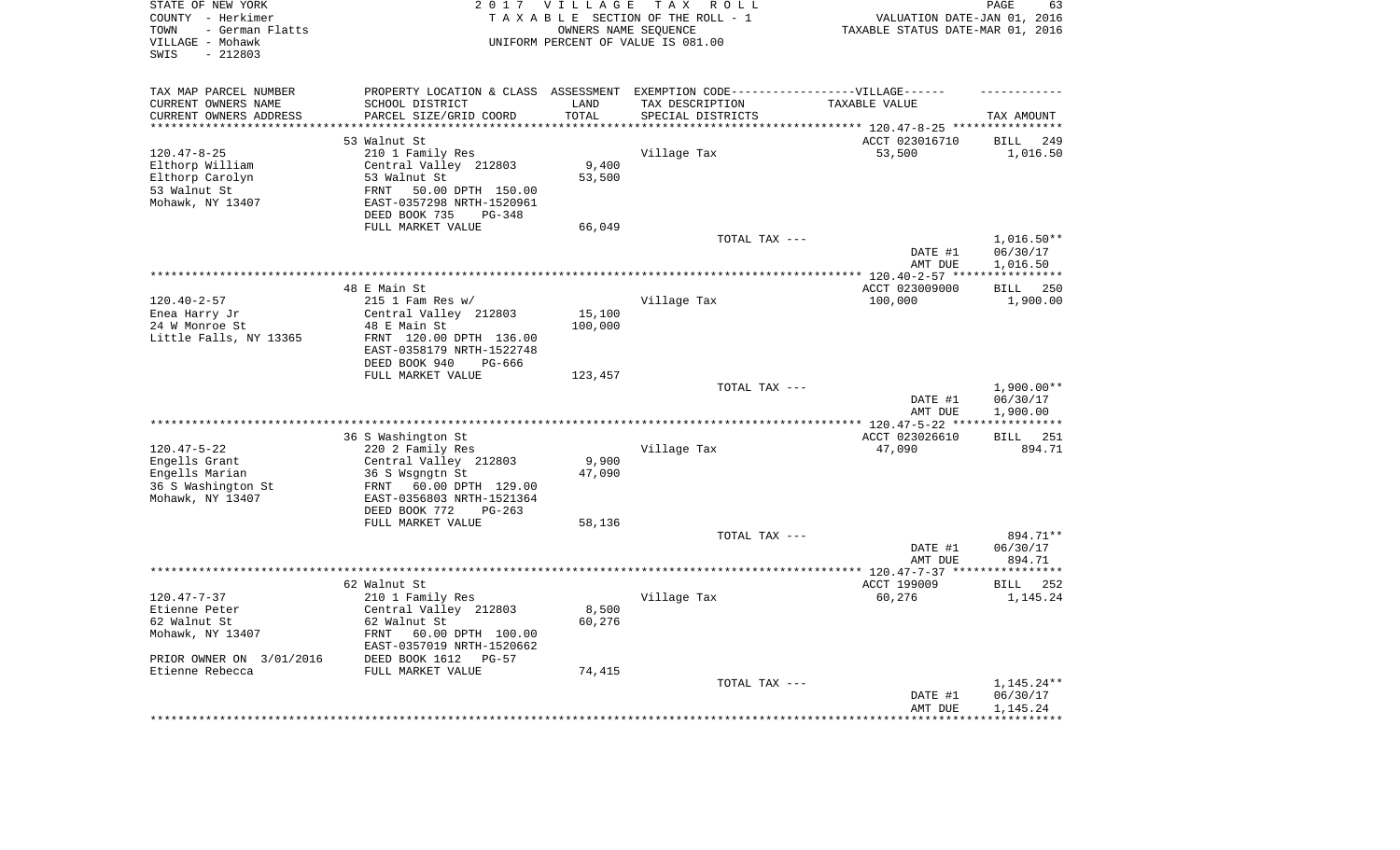| STATE OF NEW YORK<br>COUNTY - Herkimer<br>- German Flatts<br>TOWN<br>VILLAGE - Mohawk<br>$-212803$<br>SWIS | 2 0 1 7                                                | VILLAGE<br>OWNERS NAME SEQUENCE | TAX ROLL<br>TAXABLE SECTION OF THE ROLL - 1<br>UNIFORM PERCENT OF VALUE IS 081.00 | VALUATION DATE-JAN 01, 2016<br>TAXABLE STATUS DATE-MAR 01, 2016 | 63<br>PAGE                     |
|------------------------------------------------------------------------------------------------------------|--------------------------------------------------------|---------------------------------|-----------------------------------------------------------------------------------|-----------------------------------------------------------------|--------------------------------|
| TAX MAP PARCEL NUMBER                                                                                      |                                                        |                                 | PROPERTY LOCATION & CLASS ASSESSMENT EXEMPTION CODE----------------VILLAGE------  |                                                                 |                                |
| CURRENT OWNERS NAME                                                                                        | SCHOOL DISTRICT                                        | LAND                            | TAX DESCRIPTION                                                                   | TAXABLE VALUE                                                   |                                |
| CURRENT OWNERS ADDRESS                                                                                     | PARCEL SIZE/GRID COORD<br>**************************** | TOTAL<br>***************        | SPECIAL DISTRICTS                                                                 |                                                                 | TAX AMOUNT                     |
| **********************                                                                                     |                                                        |                                 |                                                                                   |                                                                 |                                |
|                                                                                                            | 53 Walnut St                                           |                                 |                                                                                   | ACCT 023016710                                                  | <b>BILL</b><br>249             |
| $120.47 - 8 - 25$                                                                                          | 210 1 Family Res<br>Central Valley 212803              | 9,400                           | Village Tax                                                                       | 53,500                                                          | 1,016.50                       |
| Elthorp William<br>Elthorp Carolyn                                                                         | 53 Walnut St                                           | 53,500                          |                                                                                   |                                                                 |                                |
| 53 Walnut St                                                                                               | 50.00 DPTH 150.00<br>FRNT                              |                                 |                                                                                   |                                                                 |                                |
| Mohawk, NY 13407                                                                                           | EAST-0357298 NRTH-1520961                              |                                 |                                                                                   |                                                                 |                                |
|                                                                                                            | DEED BOOK 735<br>$PG-348$                              |                                 |                                                                                   |                                                                 |                                |
|                                                                                                            | FULL MARKET VALUE                                      | 66,049                          |                                                                                   |                                                                 |                                |
|                                                                                                            |                                                        |                                 | TOTAL TAX ---                                                                     |                                                                 | $1,016.50**$                   |
|                                                                                                            |                                                        |                                 |                                                                                   | DATE #1                                                         | 06/30/17                       |
|                                                                                                            |                                                        |                                 |                                                                                   | AMT DUE                                                         | 1,016.50                       |
|                                                                                                            |                                                        |                                 |                                                                                   |                                                                 | ************                   |
|                                                                                                            | 48 E Main St                                           |                                 |                                                                                   | ACCT 023009000                                                  | 250<br><b>BILL</b>             |
| $120.40 - 2 - 57$                                                                                          | $215$ 1 Fam Res w/                                     |                                 | Village Tax                                                                       | 100,000                                                         | 1,900.00                       |
| Enea Harry Jr<br>24 W Monroe St                                                                            | Central Valley 212803<br>48 E Main St                  | 15,100<br>100,000               |                                                                                   |                                                                 |                                |
| Little Falls, NY 13365                                                                                     | FRNT 120.00 DPTH 136.00                                |                                 |                                                                                   |                                                                 |                                |
|                                                                                                            | EAST-0358179 NRTH-1522748                              |                                 |                                                                                   |                                                                 |                                |
|                                                                                                            | DEED BOOK 940<br>PG-666                                |                                 |                                                                                   |                                                                 |                                |
|                                                                                                            | FULL MARKET VALUE                                      | 123,457                         |                                                                                   |                                                                 |                                |
|                                                                                                            |                                                        |                                 | TOTAL TAX ---                                                                     |                                                                 | $1,900.00**$                   |
|                                                                                                            |                                                        |                                 |                                                                                   | DATE #1                                                         | 06/30/17                       |
|                                                                                                            |                                                        |                                 |                                                                                   | AMT DUE                                                         | 1,900.00                       |
|                                                                                                            |                                                        |                                 |                                                                                   |                                                                 | * * * * * * * * * * *          |
|                                                                                                            | 36 S Washington St                                     |                                 |                                                                                   | ACCT 023026610                                                  | 251<br><b>BILL</b>             |
| $120.47 - 5 - 22$<br>Engells Grant                                                                         | 220 2 Family Res<br>Central Valley 212803              | 9,900                           | Village Tax                                                                       | 47,090                                                          | 894.71                         |
| Engells Marian                                                                                             | 36 S Wsgngtn St                                        | 47,090                          |                                                                                   |                                                                 |                                |
| 36 S Washington St                                                                                         | 60.00 DPTH 129.00<br>FRNT                              |                                 |                                                                                   |                                                                 |                                |
| Mohawk, NY 13407                                                                                           | EAST-0356803 NRTH-1521364                              |                                 |                                                                                   |                                                                 |                                |
|                                                                                                            | DEED BOOK 772<br>$PG-263$                              |                                 |                                                                                   |                                                                 |                                |
|                                                                                                            | FULL MARKET VALUE                                      | 58,136                          |                                                                                   |                                                                 |                                |
|                                                                                                            |                                                        |                                 | TOTAL TAX ---                                                                     |                                                                 | 894.71**                       |
|                                                                                                            |                                                        |                                 |                                                                                   | DATE #1                                                         | 06/30/17                       |
|                                                                                                            |                                                        |                                 |                                                                                   | AMT DUE                                                         | 894.71                         |
|                                                                                                            |                                                        |                                 |                                                                                   |                                                                 |                                |
| $120.47 - 7 - 37$                                                                                          | 62 Walnut St<br>210 1 Family Res                       |                                 | Village Tax                                                                       | ACCT 199009<br>60,276                                           | 252<br><b>BILL</b><br>1,145.24 |
| Etienne Peter                                                                                              | Central Valley 212803                                  | 8,500                           |                                                                                   |                                                                 |                                |
| 62 Walnut St                                                                                               | 62 Walnut St                                           | 60,276                          |                                                                                   |                                                                 |                                |
| Mohawk, NY 13407                                                                                           | FRNT<br>60.00 DPTH 100.00                              |                                 |                                                                                   |                                                                 |                                |
|                                                                                                            | EAST-0357019 NRTH-1520662                              |                                 |                                                                                   |                                                                 |                                |
| PRIOR OWNER ON 3/01/2016                                                                                   | DEED BOOK 1612<br>$PG-57$                              |                                 |                                                                                   |                                                                 |                                |
| Etienne Rebecca                                                                                            | FULL MARKET VALUE                                      | 74,415                          |                                                                                   |                                                                 |                                |
|                                                                                                            |                                                        |                                 | TOTAL TAX ---                                                                     |                                                                 | $1,145.24**$                   |
|                                                                                                            |                                                        |                                 |                                                                                   | DATE #1                                                         | 06/30/17                       |
|                                                                                                            |                                                        |                                 |                                                                                   | AMT DUE<br>*****************                                    | 1,145.24<br>************       |
|                                                                                                            |                                                        |                                 |                                                                                   |                                                                 |                                |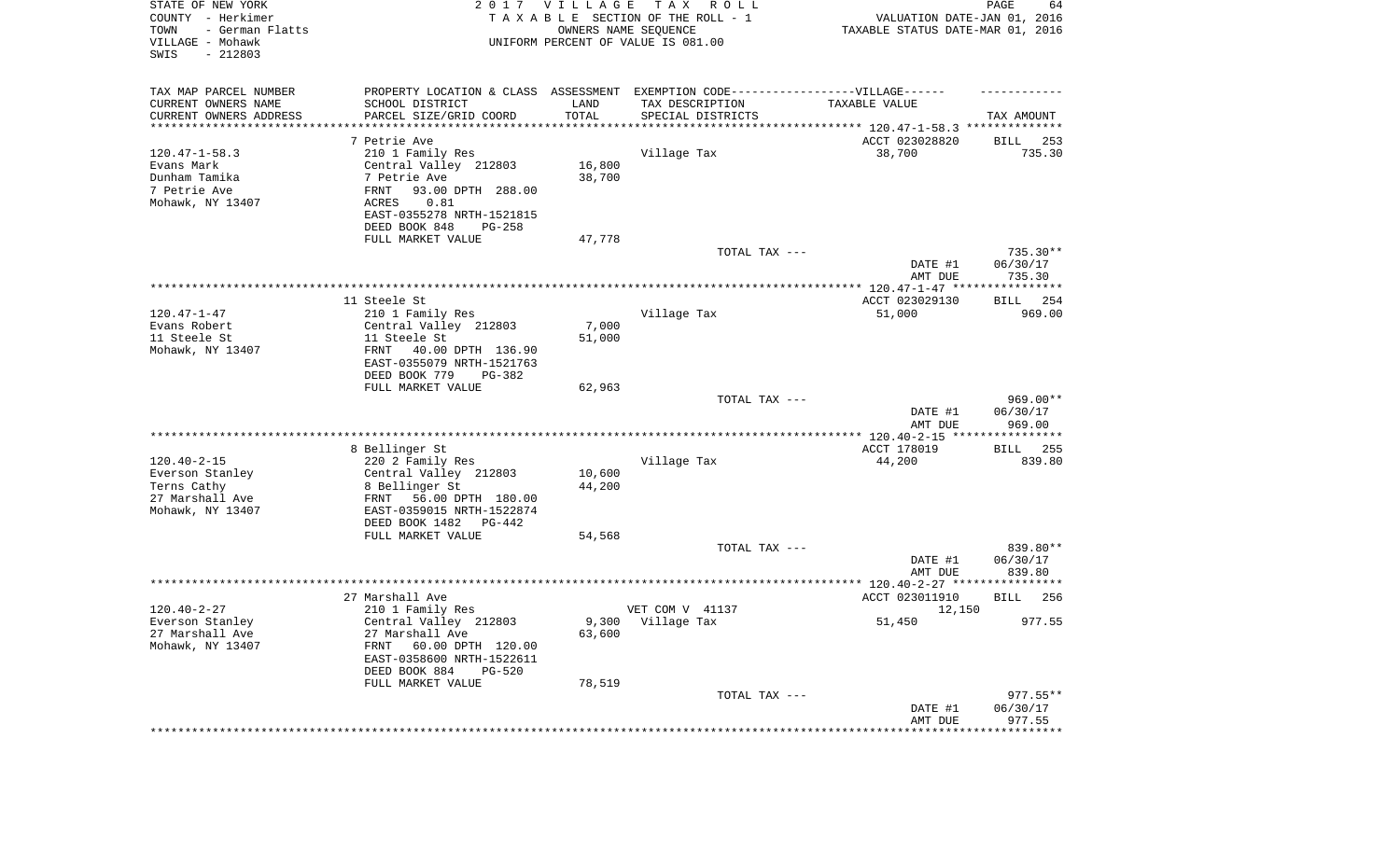| STATE OF NEW YORK<br>COUNTY - Herkimer<br>TOWN<br>- German Flatts<br>VILLAGE - Mohawk<br>SWIS<br>$-212803$ |                                                                                  | 2017 VILLAGE<br>OWNERS NAME SEQUENCE | T A X<br>R O L L<br>TAXABLE SECTION OF THE ROLL - 1<br>UNIFORM PERCENT OF VALUE IS 081.00 | VALUATION DATE-JAN 01, 2016<br>TAXABLE STATUS DATE-MAR 01, 2016 | PAGE<br>64            |
|------------------------------------------------------------------------------------------------------------|----------------------------------------------------------------------------------|--------------------------------------|-------------------------------------------------------------------------------------------|-----------------------------------------------------------------|-----------------------|
| TAX MAP PARCEL NUMBER                                                                                      | PROPERTY LOCATION & CLASS ASSESSMENT EXEMPTION CODE----------------VILLAGE------ |                                      |                                                                                           |                                                                 |                       |
| CURRENT OWNERS NAME                                                                                        | SCHOOL DISTRICT                                                                  | LAND                                 | TAX DESCRIPTION                                                                           | TAXABLE VALUE                                                   |                       |
| CURRENT OWNERS ADDRESS                                                                                     | PARCEL SIZE/GRID COORD<br>******************                                     | TOTAL<br>**********                  | SPECIAL DISTRICTS                                                                         |                                                                 | TAX AMOUNT            |
| *********************                                                                                      |                                                                                  |                                      |                                                                                           | ********************************** 120.47-1-58.3 ************** |                       |
| $120.47 - 1 - 58.3$                                                                                        | 7 Petrie Ave                                                                     |                                      | Village Tax                                                                               | ACCT 023028820<br>38,700                                        | BILL<br>253<br>735.30 |
| Evans Mark                                                                                                 | 210 1 Family Res<br>Central Valley 212803                                        | 16,800                               |                                                                                           |                                                                 |                       |
| Dunham Tamika                                                                                              | 7 Petrie Ave                                                                     | 38,700                               |                                                                                           |                                                                 |                       |
| 7 Petrie Ave                                                                                               | FRNT<br>93.00 DPTH 288.00                                                        |                                      |                                                                                           |                                                                 |                       |
| Mohawk, NY 13407                                                                                           | 0.81<br>ACRES                                                                    |                                      |                                                                                           |                                                                 |                       |
|                                                                                                            | EAST-0355278 NRTH-1521815                                                        |                                      |                                                                                           |                                                                 |                       |
|                                                                                                            | DEED BOOK 848<br>$PG-258$                                                        |                                      |                                                                                           |                                                                 |                       |
|                                                                                                            | FULL MARKET VALUE                                                                | 47,778                               |                                                                                           |                                                                 |                       |
|                                                                                                            |                                                                                  |                                      | TOTAL TAX ---                                                                             |                                                                 | 735.30**              |
|                                                                                                            |                                                                                  |                                      |                                                                                           | DATE #1<br>AMT DUE                                              | 06/30/17<br>735.30    |
|                                                                                                            | 11 Steele St                                                                     |                                      |                                                                                           | ACCT 023029130                                                  | BILL 254              |
| $120.47 - 1 - 47$                                                                                          | 210 1 Family Res                                                                 |                                      | Village Tax                                                                               | 51,000                                                          | 969.00                |
| Evans Robert                                                                                               | Central Valley 212803                                                            | 7,000                                |                                                                                           |                                                                 |                       |
| 11 Steele St                                                                                               | 11 Steele St                                                                     | 51,000                               |                                                                                           |                                                                 |                       |
| Mohawk, NY 13407                                                                                           | FRNT<br>40.00 DPTH 136.90                                                        |                                      |                                                                                           |                                                                 |                       |
|                                                                                                            | EAST-0355079 NRTH-1521763                                                        |                                      |                                                                                           |                                                                 |                       |
|                                                                                                            | DEED BOOK 779<br>PG-382                                                          |                                      |                                                                                           |                                                                 |                       |
|                                                                                                            | FULL MARKET VALUE                                                                | 62,963                               | TOTAL TAX ---                                                                             |                                                                 | 969.00**              |
|                                                                                                            |                                                                                  |                                      |                                                                                           | DATE #1<br>AMT DUE                                              | 06/30/17<br>969.00    |
|                                                                                                            |                                                                                  |                                      |                                                                                           | **************** 120.40-2-15 *****************                  |                       |
|                                                                                                            | 8 Bellinger St                                                                   |                                      |                                                                                           | ACCT 178019                                                     | 255<br>BILL           |
| $120.40 - 2 - 15$                                                                                          | 220 2 Family Res                                                                 |                                      | Village Tax                                                                               | 44,200                                                          | 839.80                |
| Everson Stanley                                                                                            | Central Valley 212803                                                            | 10,600                               |                                                                                           |                                                                 |                       |
| Terns Cathy                                                                                                | 8 Bellinger St                                                                   | 44,200                               |                                                                                           |                                                                 |                       |
| 27 Marshall Ave                                                                                            | FRNT<br>56.00 DPTH 180.00                                                        |                                      |                                                                                           |                                                                 |                       |
| Mohawk, NY 13407                                                                                           | EAST-0359015 NRTH-1522874                                                        |                                      |                                                                                           |                                                                 |                       |
|                                                                                                            | DEED BOOK 1482<br>PG-442<br>FULL MARKET VALUE                                    | 54,568                               |                                                                                           |                                                                 |                       |
|                                                                                                            |                                                                                  |                                      | TOTAL TAX ---                                                                             |                                                                 | 839.80**              |
|                                                                                                            |                                                                                  |                                      |                                                                                           | DATE #1                                                         | 06/30/17              |
|                                                                                                            |                                                                                  |                                      |                                                                                           | AMT DUE                                                         | 839.80                |
|                                                                                                            |                                                                                  |                                      |                                                                                           |                                                                 |                       |
|                                                                                                            | 27 Marshall Ave                                                                  |                                      |                                                                                           | ACCT 023011910                                                  | 256<br>BILL           |
| $120.40 - 2 - 27$                                                                                          | 210 1 Family Res                                                                 |                                      | VET COM V 41137                                                                           | 12,150                                                          |                       |
| Everson Stanley                                                                                            | Central Valley 212803                                                            |                                      | 9,300 Village Tax                                                                         | 51,450                                                          | 977.55                |
| 27 Marshall Ave                                                                                            | 27 Marshall Ave                                                                  | 63,600                               |                                                                                           |                                                                 |                       |
| Mohawk, NY 13407                                                                                           | FRNT<br>60.00 DPTH 120.00<br>EAST-0358600 NRTH-1522611                           |                                      |                                                                                           |                                                                 |                       |
|                                                                                                            | DEED BOOK 884<br>$PG-520$                                                        |                                      |                                                                                           |                                                                 |                       |
|                                                                                                            | FULL MARKET VALUE                                                                | 78,519                               |                                                                                           |                                                                 |                       |
|                                                                                                            |                                                                                  |                                      | TOTAL TAX ---                                                                             |                                                                 | $977.55**$            |
|                                                                                                            |                                                                                  |                                      |                                                                                           | DATE #1                                                         | 06/30/17              |
|                                                                                                            |                                                                                  |                                      |                                                                                           | AMT DUE                                                         | 977.55                |
|                                                                                                            |                                                                                  |                                      |                                                                                           | ***********************************                             |                       |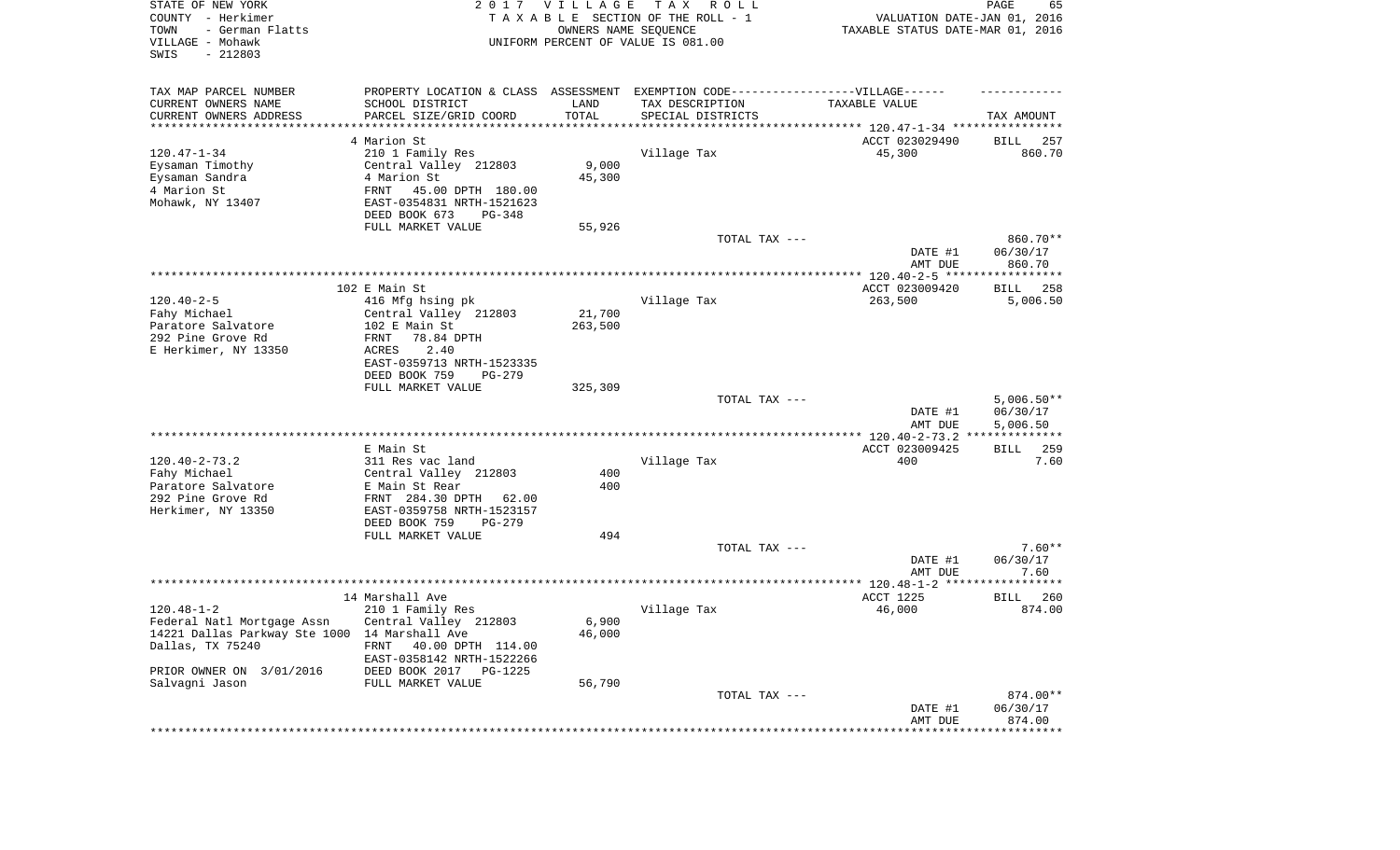| STATE OF NEW YORK<br>COUNTY - Herkimer<br>TOWN<br>- German Flatts<br>VILLAGE - Mohawk<br>SWIS<br>$-212803$ |                                                                                  | 2017 VILLAGE<br>OWNERS NAME SEQUENCE | TAX ROLL<br>TAXABLE SECTION OF THE ROLL - 1<br>UNIFORM PERCENT OF VALUE IS 081.00 | VALUATION DATE-JAN 01, 2016<br>TAXABLE STATUS DATE-MAR 01, 2016 | PAGE<br>65                                  |
|------------------------------------------------------------------------------------------------------------|----------------------------------------------------------------------------------|--------------------------------------|-----------------------------------------------------------------------------------|-----------------------------------------------------------------|---------------------------------------------|
| TAX MAP PARCEL NUMBER                                                                                      | PROPERTY LOCATION & CLASS ASSESSMENT EXEMPTION CODE----------------VILLAGE------ |                                      |                                                                                   |                                                                 |                                             |
| CURRENT OWNERS NAME                                                                                        | SCHOOL DISTRICT                                                                  | LAND                                 | TAX DESCRIPTION                                                                   | TAXABLE VALUE                                                   |                                             |
| CURRENT OWNERS ADDRESS<br>*********************                                                            | PARCEL SIZE/GRID COORD<br>******************                                     | TOTAL<br>* * * * * * * * * * *       | SPECIAL DISTRICTS                                                                 |                                                                 | TAX AMOUNT                                  |
|                                                                                                            | 4 Marion St                                                                      |                                      |                                                                                   | ACCT 023029490                                                  | 257<br>BILL                                 |
| $120.47 - 1 - 34$                                                                                          | 210 1 Family Res                                                                 |                                      | Village Tax                                                                       | 45,300                                                          | 860.70                                      |
| Eysaman Timothy                                                                                            | Central Valley 212803                                                            | 9,000                                |                                                                                   |                                                                 |                                             |
| Eysaman Sandra                                                                                             | 4 Marion St                                                                      | 45,300                               |                                                                                   |                                                                 |                                             |
| 4 Marion St<br>Mohawk, NY 13407                                                                            | FRNT<br>45.00 DPTH 180.00                                                        |                                      |                                                                                   |                                                                 |                                             |
|                                                                                                            | EAST-0354831 NRTH-1521623<br>DEED BOOK 673<br>PG-348                             |                                      |                                                                                   |                                                                 |                                             |
|                                                                                                            | FULL MARKET VALUE                                                                | 55,926                               |                                                                                   |                                                                 |                                             |
|                                                                                                            |                                                                                  |                                      | TOTAL TAX ---                                                                     |                                                                 | 860.70**                                    |
|                                                                                                            |                                                                                  |                                      |                                                                                   | DATE #1                                                         | 06/30/17                                    |
|                                                                                                            |                                                                                  |                                      |                                                                                   | AMT DUE                                                         | 860.70                                      |
|                                                                                                            | 102 E Main St                                                                    |                                      |                                                                                   | ACCT 023009420                                                  | BILL<br>258                                 |
| $120.40 - 2 - 5$                                                                                           | 416 Mfg hsing pk                                                                 |                                      | Village Tax                                                                       | 263,500                                                         | 5,006.50                                    |
| Fahy Michael                                                                                               | Central Valley 212803                                                            | 21,700                               |                                                                                   |                                                                 |                                             |
| Paratore Salvatore                                                                                         | 102 E Main St                                                                    | 263,500                              |                                                                                   |                                                                 |                                             |
| 292 Pine Grove Rd                                                                                          | FRNT<br>78.84 DPTH                                                               |                                      |                                                                                   |                                                                 |                                             |
| E Herkimer, NY 13350                                                                                       | ACRES<br>2.40                                                                    |                                      |                                                                                   |                                                                 |                                             |
|                                                                                                            | EAST-0359713 NRTH-1523335<br>DEED BOOK 759<br>$PG-279$                           |                                      |                                                                                   |                                                                 |                                             |
|                                                                                                            | FULL MARKET VALUE                                                                | 325,309                              |                                                                                   |                                                                 |                                             |
|                                                                                                            |                                                                                  |                                      | TOTAL TAX ---                                                                     |                                                                 | $5,006.50**$                                |
|                                                                                                            |                                                                                  |                                      |                                                                                   | DATE #1                                                         | 06/30/17                                    |
|                                                                                                            |                                                                                  |                                      |                                                                                   | AMT DUE                                                         | 5,006.50                                    |
|                                                                                                            | E Main St                                                                        |                                      |                                                                                   | ************* 120.40-2-73.2 **<br>ACCT 023009425                | * * * * * * * * * * *<br><b>BILL</b><br>259 |
| $120.40 - 2 - 73.2$                                                                                        | 311 Res vac land                                                                 |                                      | Village Tax                                                                       | 400                                                             | 7.60                                        |
| Fahy Michael                                                                                               | Central Valley 212803                                                            | 400                                  |                                                                                   |                                                                 |                                             |
| Paratore Salvatore                                                                                         | E Main St Rear                                                                   | 400                                  |                                                                                   |                                                                 |                                             |
| 292 Pine Grove Rd                                                                                          | FRNT 284.30 DPTH<br>62.00                                                        |                                      |                                                                                   |                                                                 |                                             |
| Herkimer, NY 13350                                                                                         | EAST-0359758 NRTH-1523157                                                        |                                      |                                                                                   |                                                                 |                                             |
|                                                                                                            | DEED BOOK 759<br>PG-279<br>FULL MARKET VALUE                                     | 494                                  |                                                                                   |                                                                 |                                             |
|                                                                                                            |                                                                                  |                                      | TOTAL TAX ---                                                                     |                                                                 | $7.60**$                                    |
|                                                                                                            |                                                                                  |                                      |                                                                                   | DATE #1                                                         | 06/30/17                                    |
|                                                                                                            |                                                                                  |                                      |                                                                                   | AMT DUE                                                         | 7.60                                        |
|                                                                                                            |                                                                                  |                                      |                                                                                   |                                                                 | **********                                  |
| $120.48 - 1 - 2$                                                                                           | 14 Marshall Ave<br>210 1 Family Res                                              |                                      |                                                                                   | ACCT 1225                                                       | 260<br>BILL                                 |
| Federal Natl Mortgage Assn                                                                                 | Central Valley 212803                                                            | 6,900                                | Village Tax                                                                       | 46,000                                                          | 874.00                                      |
| 14221 Dallas Parkway Ste 1000 14 Marshall Ave                                                              |                                                                                  | 46,000                               |                                                                                   |                                                                 |                                             |
| Dallas, TX 75240                                                                                           | FRNT<br>40.00 DPTH 114.00                                                        |                                      |                                                                                   |                                                                 |                                             |
|                                                                                                            | EAST-0358142 NRTH-1522266                                                        |                                      |                                                                                   |                                                                 |                                             |
| PRIOR OWNER ON 3/01/2016                                                                                   | DEED BOOK 2017 PG-1225                                                           |                                      |                                                                                   |                                                                 |                                             |
| Salvagni Jason                                                                                             | FULL MARKET VALUE                                                                | 56,790                               | TOTAL TAX ---                                                                     |                                                                 | 874.00**                                    |
|                                                                                                            |                                                                                  |                                      |                                                                                   | DATE #1                                                         | 06/30/17                                    |
|                                                                                                            |                                                                                  |                                      |                                                                                   | AMT DUE                                                         | 874.00                                      |
|                                                                                                            |                                                                                  |                                      |                                                                                   | *************************************                           |                                             |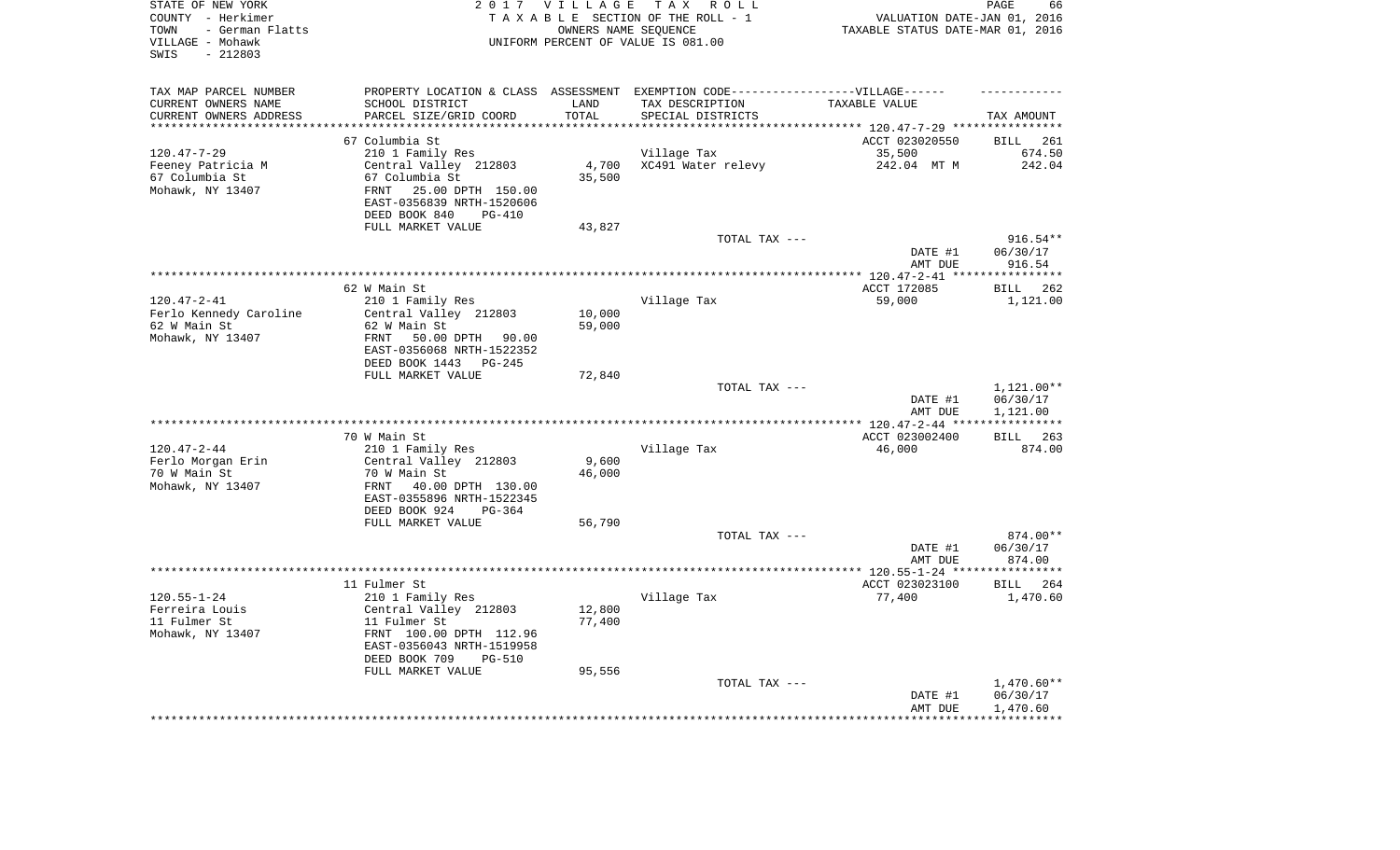| STATE OF NEW YORK<br>COUNTY - Herkimer<br>- German Flatts<br>TOWN<br>VILLAGE - Mohawk<br>$-212803$<br>SWIS |                                                        | 2017 VILLAGE     | TAX ROLL<br>TAXABLE SECTION OF THE ROLL - 1<br>OWNERS NAME SEQUENCE<br>UNIFORM PERCENT OF VALUE IS 081.00 | VALUATION DATE-JAN 01, 2016<br>TAXABLE STATUS DATE-MAR 01, 2016 | PAGE<br>66               |
|------------------------------------------------------------------------------------------------------------|--------------------------------------------------------|------------------|-----------------------------------------------------------------------------------------------------------|-----------------------------------------------------------------|--------------------------|
| TAX MAP PARCEL NUMBER<br>CURRENT OWNERS NAME                                                               | SCHOOL DISTRICT                                        | LAND             | PROPERTY LOCATION & CLASS ASSESSMENT EXEMPTION CODE-----------------VILLAGE------<br>TAX DESCRIPTION      | TAXABLE VALUE                                                   |                          |
| CURRENT OWNERS ADDRESS                                                                                     | PARCEL SIZE/GRID COORD                                 | TOTAL            | SPECIAL DISTRICTS                                                                                         |                                                                 | TAX AMOUNT               |
| **********************                                                                                     |                                                        |                  |                                                                                                           |                                                                 |                          |
|                                                                                                            | 67 Columbia St                                         |                  |                                                                                                           | ACCT 023020550                                                  | <b>BILL</b><br>261       |
| $120.47 - 7 - 29$<br>Feeney Patricia M                                                                     | 210 1 Family Res<br>Central Valley 212803              | 4,700            | Village Tax<br>XC491 Water relevy                                                                         | 35,500<br>242.04 MT M                                           | 674.50<br>242.04         |
| 67 Columbia St                                                                                             | 67 Columbia St                                         | 35,500           |                                                                                                           |                                                                 |                          |
| Mohawk, NY 13407                                                                                           | 25.00 DPTH 150.00<br>FRNT                              |                  |                                                                                                           |                                                                 |                          |
|                                                                                                            | EAST-0356839 NRTH-1520606                              |                  |                                                                                                           |                                                                 |                          |
|                                                                                                            | DEED BOOK 840<br>$PG-410$                              |                  |                                                                                                           |                                                                 |                          |
|                                                                                                            | FULL MARKET VALUE                                      | 43,827           |                                                                                                           |                                                                 |                          |
|                                                                                                            |                                                        |                  | TOTAL TAX ---                                                                                             |                                                                 | 916.54**                 |
|                                                                                                            |                                                        |                  |                                                                                                           | DATE #1                                                         | 06/30/17                 |
|                                                                                                            |                                                        |                  |                                                                                                           | AMT DUE                                                         | 916.54                   |
|                                                                                                            | 62 W Main St                                           |                  |                                                                                                           | ACCT 172085                                                     | 262<br>BILL              |
| $120.47 - 2 - 41$                                                                                          | 210 1 Family Res                                       |                  | Village Tax                                                                                               | 59,000                                                          | 1,121.00                 |
| Ferlo Kennedy Caroline                                                                                     | Central Valley 212803                                  | 10,000           |                                                                                                           |                                                                 |                          |
| 62 W Main St                                                                                               | 62 W Main St                                           | 59,000           |                                                                                                           |                                                                 |                          |
| Mohawk, NY 13407                                                                                           | FRNT<br>50.00 DPTH 90.00                               |                  |                                                                                                           |                                                                 |                          |
|                                                                                                            | EAST-0356068 NRTH-1522352                              |                  |                                                                                                           |                                                                 |                          |
|                                                                                                            | DEED BOOK 1443 PG-245                                  |                  |                                                                                                           |                                                                 |                          |
|                                                                                                            | FULL MARKET VALUE                                      | 72,840           |                                                                                                           |                                                                 |                          |
|                                                                                                            |                                                        |                  | TOTAL TAX ---                                                                                             | DATE #1                                                         | 1,121.00**<br>06/30/17   |
|                                                                                                            |                                                        |                  |                                                                                                           | AMT DUE                                                         | 1,121.00                 |
|                                                                                                            |                                                        |                  |                                                                                                           |                                                                 | ***********              |
|                                                                                                            | 70 W Main St                                           |                  |                                                                                                           | ACCT 023002400                                                  | 263<br><b>BILL</b>       |
| $120.47 - 2 - 44$                                                                                          | 210 1 Family Res                                       |                  | Village Tax                                                                                               | 46,000                                                          | 874.00                   |
| Ferlo Morgan Erin                                                                                          | Central Valley 212803                                  | 9,600            |                                                                                                           |                                                                 |                          |
| 70 W Main St                                                                                               | 70 W Main St                                           | 46,000           |                                                                                                           |                                                                 |                          |
| Mohawk, NY 13407                                                                                           | 40.00 DPTH 130.00<br>FRNT                              |                  |                                                                                                           |                                                                 |                          |
|                                                                                                            | EAST-0355896 NRTH-1522345<br>DEED BOOK 924<br>$PG-364$ |                  |                                                                                                           |                                                                 |                          |
|                                                                                                            | FULL MARKET VALUE                                      | 56,790           |                                                                                                           |                                                                 |                          |
|                                                                                                            |                                                        |                  | TOTAL TAX ---                                                                                             |                                                                 | 874.00**                 |
|                                                                                                            |                                                        |                  |                                                                                                           | DATE #1                                                         | 06/30/17                 |
|                                                                                                            |                                                        |                  |                                                                                                           | AMT DUE                                                         | 874.00                   |
|                                                                                                            |                                                        |                  |                                                                                                           |                                                                 |                          |
|                                                                                                            | 11 Fulmer St                                           |                  |                                                                                                           | ACCT 023023100                                                  | <b>BILL</b><br>264       |
| $120.55 - 1 - 24$                                                                                          | 210 1 Family Res                                       |                  | Village Tax                                                                                               | 77,400                                                          | 1,470.60                 |
| Ferreira Louis<br>11 Fulmer St                                                                             | Central Valley 212803<br>11 Fulmer St                  | 12,800<br>77,400 |                                                                                                           |                                                                 |                          |
| Mohawk, NY 13407                                                                                           | FRNT 100.00 DPTH 112.96                                |                  |                                                                                                           |                                                                 |                          |
|                                                                                                            | EAST-0356043 NRTH-1519958                              |                  |                                                                                                           |                                                                 |                          |
|                                                                                                            | DEED BOOK 709<br><b>PG-510</b>                         |                  |                                                                                                           |                                                                 |                          |
|                                                                                                            | FULL MARKET VALUE                                      | 95,556           |                                                                                                           |                                                                 |                          |
|                                                                                                            |                                                        |                  | TOTAL TAX ---                                                                                             |                                                                 | $1,470.60**$             |
|                                                                                                            |                                                        |                  |                                                                                                           | DATE #1                                                         | 06/30/17                 |
|                                                                                                            |                                                        |                  |                                                                                                           | AMT DUE<br>*****************                                    | 1,470.60<br>************ |
|                                                                                                            |                                                        |                  |                                                                                                           |                                                                 |                          |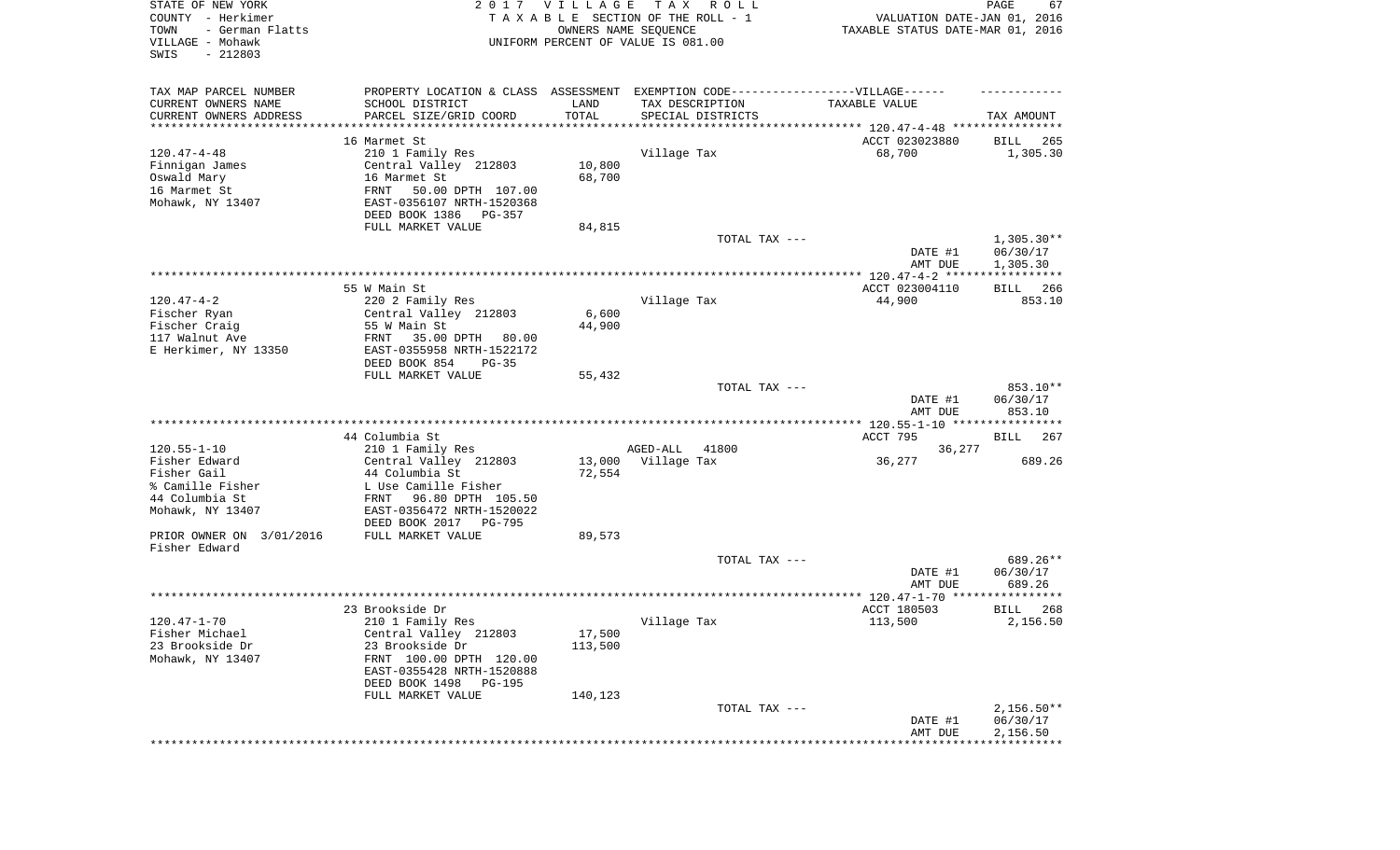| STATE OF NEW YORK<br>COUNTY - Herkimer<br>TOWN<br>- German Flatts<br>VILLAGE - Mohawk<br>SWIS<br>$-212803$ |                                                                                                      | 2017 VILLAGE<br>OWNERS NAME SEQUENCE | T A X<br>R O L L<br>TAXABLE SECTION OF THE ROLL - 1<br>UNIFORM PERCENT OF VALUE IS 081.00 | VALUATION DATE-JAN 01, 2016<br>TAXABLE STATUS DATE-MAR 01, 2016 | PAGE<br>67                           |
|------------------------------------------------------------------------------------------------------------|------------------------------------------------------------------------------------------------------|--------------------------------------|-------------------------------------------------------------------------------------------|-----------------------------------------------------------------|--------------------------------------|
| TAX MAP PARCEL NUMBER<br>CURRENT OWNERS NAME                                                               | PROPERTY LOCATION & CLASS ASSESSMENT EXEMPTION CODE-----------------VILLAGE------<br>SCHOOL DISTRICT | LAND                                 | TAX DESCRIPTION                                                                           | TAXABLE VALUE                                                   |                                      |
| CURRENT OWNERS ADDRESS<br>*********************                                                            | PARCEL SIZE/GRID COORD<br>***********************                                                    | TOTAL                                | SPECIAL DISTRICTS                                                                         |                                                                 | TAX AMOUNT                           |
|                                                                                                            | 16 Marmet St                                                                                         |                                      |                                                                                           |                                                                 |                                      |
| $120.47 - 4 - 48$                                                                                          | 210 1 Family Res                                                                                     |                                      | Village Tax                                                                               | ACCT 023023880<br>68,700                                        | 265<br>BILL<br>1,305.30              |
| Finnigan James                                                                                             | Central Valley 212803                                                                                | 10,800                               |                                                                                           |                                                                 |                                      |
| Oswald Mary                                                                                                | 16 Marmet St                                                                                         | 68,700                               |                                                                                           |                                                                 |                                      |
| 16 Marmet St                                                                                               | FRNT<br>50.00 DPTH 107.00                                                                            |                                      |                                                                                           |                                                                 |                                      |
| Mohawk, NY 13407                                                                                           | EAST-0356107 NRTH-1520368                                                                            |                                      |                                                                                           |                                                                 |                                      |
|                                                                                                            | DEED BOOK 1386 PG-357                                                                                |                                      |                                                                                           |                                                                 |                                      |
|                                                                                                            | FULL MARKET VALUE                                                                                    | 84,815                               |                                                                                           |                                                                 |                                      |
|                                                                                                            |                                                                                                      |                                      | TOTAL TAX ---                                                                             | DATE #1<br>AMT DUE                                              | $1,305.30**$<br>06/30/17<br>1,305.30 |
|                                                                                                            |                                                                                                      |                                      |                                                                                           |                                                                 |                                      |
|                                                                                                            | 55 W Main St                                                                                         |                                      |                                                                                           | ACCT 023004110                                                  | 266<br>BILL                          |
| $120.47 - 4 - 2$                                                                                           | 220 2 Family Res                                                                                     |                                      | Village Tax                                                                               | 44,900                                                          | 853.10                               |
| Fischer Ryan                                                                                               | Central Valley 212803                                                                                | 6,600                                |                                                                                           |                                                                 |                                      |
| Fischer Craig                                                                                              | 55 W Main St                                                                                         | 44,900                               |                                                                                           |                                                                 |                                      |
| 117 Walnut Ave                                                                                             | 35.00 DPTH<br>FRNT<br>80.00                                                                          |                                      |                                                                                           |                                                                 |                                      |
| E Herkimer, NY 13350                                                                                       | EAST-0355958 NRTH-1522172<br>DEED BOOK 854<br>$PG-35$                                                |                                      |                                                                                           |                                                                 |                                      |
|                                                                                                            | FULL MARKET VALUE                                                                                    | 55,432                               |                                                                                           |                                                                 |                                      |
|                                                                                                            |                                                                                                      |                                      | TOTAL TAX ---                                                                             | DATE #1                                                         | 853.10**<br>06/30/17                 |
|                                                                                                            |                                                                                                      |                                      |                                                                                           | AMT DUE                                                         | 853.10                               |
| $120.55 - 1 - 10$                                                                                          | 44 Columbia St<br>210 1 Family Res                                                                   |                                      | AGED-ALL<br>41800                                                                         | ACCT 795<br>36,277                                              | BILL<br>267                          |
| Fisher Edward                                                                                              | Central Valley 212803                                                                                | 13,000                               | Village Tax                                                                               | 36,277                                                          | 689.26                               |
| Fisher Gail                                                                                                | 44 Columbia St                                                                                       | 72,554                               |                                                                                           |                                                                 |                                      |
| % Camille Fisher                                                                                           | L Use Camille Fisher                                                                                 |                                      |                                                                                           |                                                                 |                                      |
| 44 Columbia St                                                                                             | FRNT 96.80 DPTH 105.50                                                                               |                                      |                                                                                           |                                                                 |                                      |
| Mohawk, NY 13407                                                                                           | EAST-0356472 NRTH-1520022                                                                            |                                      |                                                                                           |                                                                 |                                      |
| PRIOR OWNER ON 3/01/2016                                                                                   | DEED BOOK 2017 PG-795<br>FULL MARKET VALUE                                                           | 89,573                               |                                                                                           |                                                                 |                                      |
| Fisher Edward                                                                                              |                                                                                                      |                                      |                                                                                           |                                                                 |                                      |
|                                                                                                            |                                                                                                      |                                      | TOTAL TAX ---                                                                             |                                                                 | 689.26**                             |
|                                                                                                            |                                                                                                      |                                      |                                                                                           | DATE #1                                                         | 06/30/17                             |
|                                                                                                            |                                                                                                      |                                      |                                                                                           | AMT DUE                                                         | 689.26                               |
|                                                                                                            |                                                                                                      |                                      |                                                                                           |                                                                 | * * * * * *                          |
|                                                                                                            | 23 Brookside Dr<br>210 1 Family Res                                                                  |                                      |                                                                                           | ACCT 180503<br>113,500                                          | BILL<br>268<br>2,156.50              |
| 120.47-1-70<br>Fisher Michael                                                                              | Central Valley 212803                                                                                | 17,500                               | Village Tax                                                                               |                                                                 |                                      |
| 23 Brookside Dr                                                                                            | 23 Brookside Dr                                                                                      | 113,500                              |                                                                                           |                                                                 |                                      |
| Mohawk, NY 13407                                                                                           | FRNT 100.00 DPTH 120.00                                                                              |                                      |                                                                                           |                                                                 |                                      |
|                                                                                                            | EAST-0355428 NRTH-1520888                                                                            |                                      |                                                                                           |                                                                 |                                      |
|                                                                                                            | DEED BOOK 1498 PG-195                                                                                |                                      |                                                                                           |                                                                 |                                      |
|                                                                                                            | FULL MARKET VALUE                                                                                    | 140,123                              | TOTAL TAX ---                                                                             |                                                                 | $2,156.50**$                         |
|                                                                                                            |                                                                                                      |                                      |                                                                                           | DATE #1                                                         | 06/30/17                             |
|                                                                                                            |                                                                                                      |                                      |                                                                                           | AMT DUE                                                         | 2,156.50                             |
|                                                                                                            |                                                                                                      |                                      |                                                                                           |                                                                 |                                      |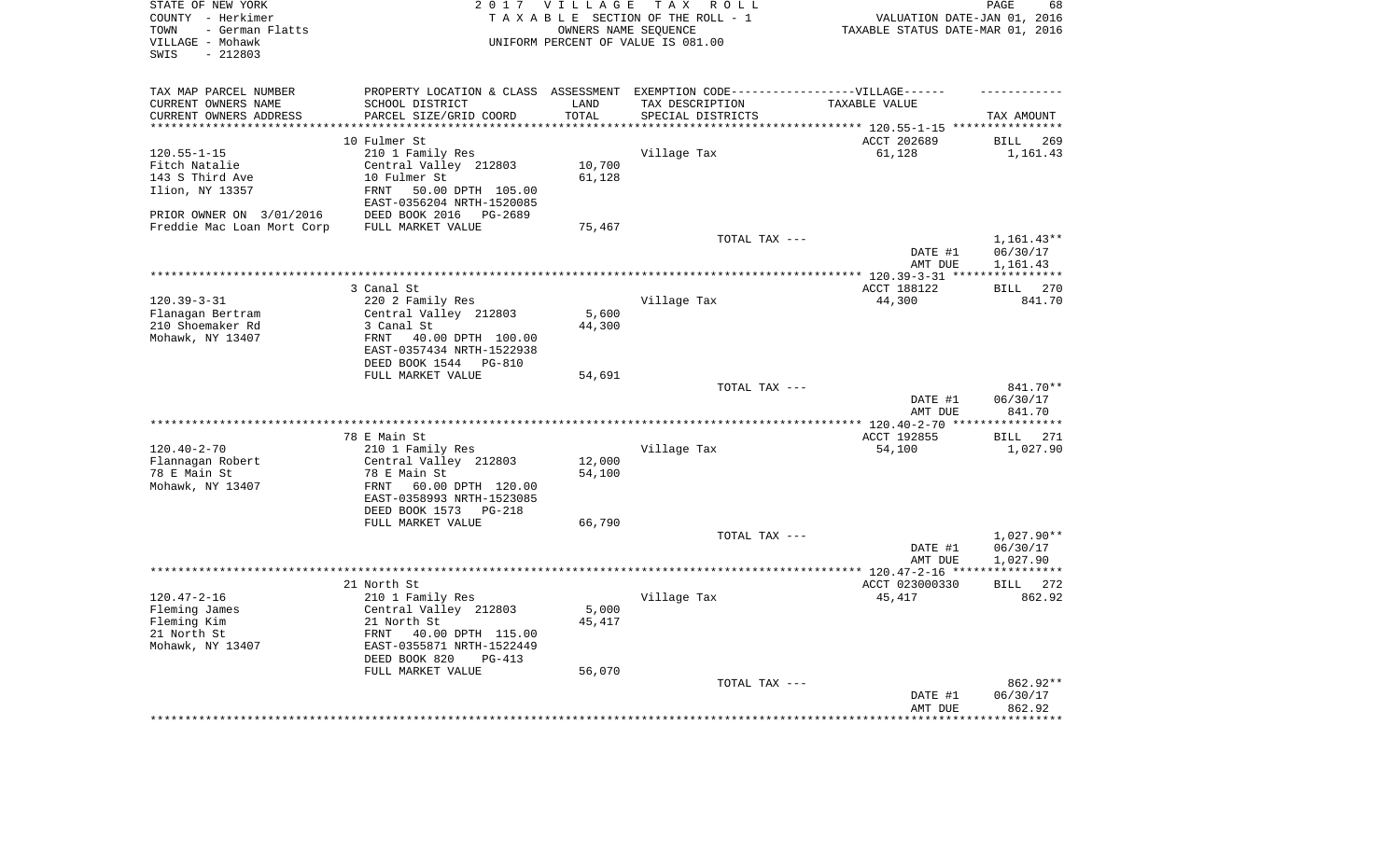| STATE OF NEW YORK<br>COUNTY - Herkimer<br>- German Flatts<br>TOWN<br>VILLAGE - Mohawk<br>$-212803$<br>SWIS |                                                                                   | 2017 VILLAGE  | T A X<br>R O L L<br>TAXABLE SECTION OF THE ROLL - 1<br>OWNERS NAME SEQUENCE<br>UNIFORM PERCENT OF VALUE IS 081.00 | VALUATION DATE-JAN 01, 2016<br>TAXABLE STATUS DATE-MAR 01, 2016 | PAGE<br>68                     |
|------------------------------------------------------------------------------------------------------------|-----------------------------------------------------------------------------------|---------------|-------------------------------------------------------------------------------------------------------------------|-----------------------------------------------------------------|--------------------------------|
| TAX MAP PARCEL NUMBER                                                                                      | PROPERTY LOCATION & CLASS ASSESSMENT EXEMPTION CODE-----------------VILLAGE------ |               |                                                                                                                   |                                                                 |                                |
| CURRENT OWNERS NAME                                                                                        | SCHOOL DISTRICT<br>PARCEL SIZE/GRID COORD                                         | LAND<br>TOTAL | TAX DESCRIPTION                                                                                                   | TAXABLE VALUE                                                   |                                |
| CURRENT OWNERS ADDRESS<br>********************                                                             |                                                                                   | ********      | SPECIAL DISTRICTS                                                                                                 | *************************** 120.55-1-15 ****************        | TAX AMOUNT                     |
|                                                                                                            | 10 Fulmer St                                                                      |               |                                                                                                                   | ACCT 202689                                                     | <b>BILL</b><br>269             |
| $120.55 - 1 - 15$                                                                                          | 210 1 Family Res                                                                  |               | Village Tax                                                                                                       | 61,128                                                          | 1,161.43                       |
| Fitch Natalie                                                                                              | Central Valley 212803                                                             | 10,700        |                                                                                                                   |                                                                 |                                |
| 143 S Third Ave                                                                                            | 10 Fulmer St                                                                      | 61,128        |                                                                                                                   |                                                                 |                                |
| Ilion, NY 13357                                                                                            | <b>FRNT</b><br>50.00 DPTH 105.00<br>EAST-0356204 NRTH-1520085                     |               |                                                                                                                   |                                                                 |                                |
| PRIOR OWNER ON 3/01/2016                                                                                   | DEED BOOK 2016<br>PG-2689                                                         |               |                                                                                                                   |                                                                 |                                |
| Freddie Mac Loan Mort Corp                                                                                 | FULL MARKET VALUE                                                                 | 75,467        |                                                                                                                   |                                                                 |                                |
|                                                                                                            |                                                                                   |               | TOTAL TAX ---                                                                                                     |                                                                 | $1,161.43**$                   |
|                                                                                                            |                                                                                   |               |                                                                                                                   | DATE #1                                                         | 06/30/17                       |
|                                                                                                            |                                                                                   |               | ************************************                                                                              | AMT DUE<br>******* 120.39-3-31 ***                              | 1,161.43<br>***********        |
|                                                                                                            | 3 Canal St                                                                        |               |                                                                                                                   | ACCT 188122                                                     | 270<br><b>BILL</b>             |
| $120.39 - 3 - 31$                                                                                          | 220 2 Family Res                                                                  |               | Village Tax                                                                                                       | 44,300                                                          | 841.70                         |
| Flanagan Bertram                                                                                           | Central Valley 212803                                                             | 5,600         |                                                                                                                   |                                                                 |                                |
| 210 Shoemaker Rd                                                                                           | 3 Canal St                                                                        | 44,300        |                                                                                                                   |                                                                 |                                |
| Mohawk, NY 13407                                                                                           | FRNT<br>40.00 DPTH 100.00                                                         |               |                                                                                                                   |                                                                 |                                |
|                                                                                                            | EAST-0357434 NRTH-1522938                                                         |               |                                                                                                                   |                                                                 |                                |
|                                                                                                            | DEED BOOK 1544<br>PG-810                                                          |               |                                                                                                                   |                                                                 |                                |
|                                                                                                            | FULL MARKET VALUE                                                                 | 54,691        |                                                                                                                   |                                                                 |                                |
|                                                                                                            |                                                                                   |               | TOTAL TAX ---                                                                                                     | DATE #1<br>AMT DUE                                              | 841.70**<br>06/30/17<br>841.70 |
|                                                                                                            |                                                                                   |               |                                                                                                                   | ** 120.40-2-70 **                                               | *********                      |
|                                                                                                            | 78 E Main St                                                                      |               |                                                                                                                   | ACCT 192855                                                     | 271<br>BILL                    |
| $120.40 - 2 - 70$                                                                                          | 210 1 Family Res                                                                  |               | Village Tax                                                                                                       | 54,100                                                          | 1,027.90                       |
| Flannagan Robert                                                                                           | Central Valley 212803                                                             | 12,000        |                                                                                                                   |                                                                 |                                |
| 78 E Main St                                                                                               | 78 E Main St                                                                      | 54,100        |                                                                                                                   |                                                                 |                                |
| Mohawk, NY 13407                                                                                           | FRNT<br>60.00 DPTH 120.00<br>EAST-0358993 NRTH-1523085                            |               |                                                                                                                   |                                                                 |                                |
|                                                                                                            | DEED BOOK 1573<br>PG-218                                                          |               |                                                                                                                   |                                                                 |                                |
|                                                                                                            | FULL MARKET VALUE                                                                 | 66,790        |                                                                                                                   |                                                                 |                                |
|                                                                                                            |                                                                                   |               | TOTAL TAX ---                                                                                                     |                                                                 | $1,027.90**$                   |
|                                                                                                            |                                                                                   |               |                                                                                                                   | DATE #1                                                         | 06/30/17                       |
|                                                                                                            |                                                                                   |               |                                                                                                                   | AMT DUE                                                         | 1,027.90                       |
|                                                                                                            |                                                                                   |               |                                                                                                                   | ************ 120.47-2-16 ****                                   | * * * * * * * * * * *          |
|                                                                                                            | 21 North St                                                                       |               |                                                                                                                   | ACCT 023000330                                                  | 272<br><b>BILL</b>             |
| $120.47 - 2 - 16$<br>Fleming James                                                                         | 210 1 Family Res<br>Central Valley 212803                                         | 5,000         | Village Tax                                                                                                       | 45,417                                                          | 862.92                         |
| Fleming Kim                                                                                                | 21 North St                                                                       | 45,417        |                                                                                                                   |                                                                 |                                |
| 21 North St                                                                                                | FRNT<br>40.00 DPTH 115.00                                                         |               |                                                                                                                   |                                                                 |                                |
| Mohawk, NY 13407                                                                                           | EAST-0355871 NRTH-1522449                                                         |               |                                                                                                                   |                                                                 |                                |
|                                                                                                            | DEED BOOK 820<br>$PG-413$                                                         |               |                                                                                                                   |                                                                 |                                |
|                                                                                                            | FULL MARKET VALUE                                                                 | 56,070        |                                                                                                                   |                                                                 |                                |
|                                                                                                            |                                                                                   |               | TOTAL TAX ---                                                                                                     |                                                                 | 862.92**                       |
|                                                                                                            |                                                                                   |               |                                                                                                                   | DATE #1                                                         | 06/30/17                       |
|                                                                                                            |                                                                                   |               |                                                                                                                   | AMT DUE                                                         | 862.92<br>********             |
|                                                                                                            |                                                                                   |               |                                                                                                                   |                                                                 |                                |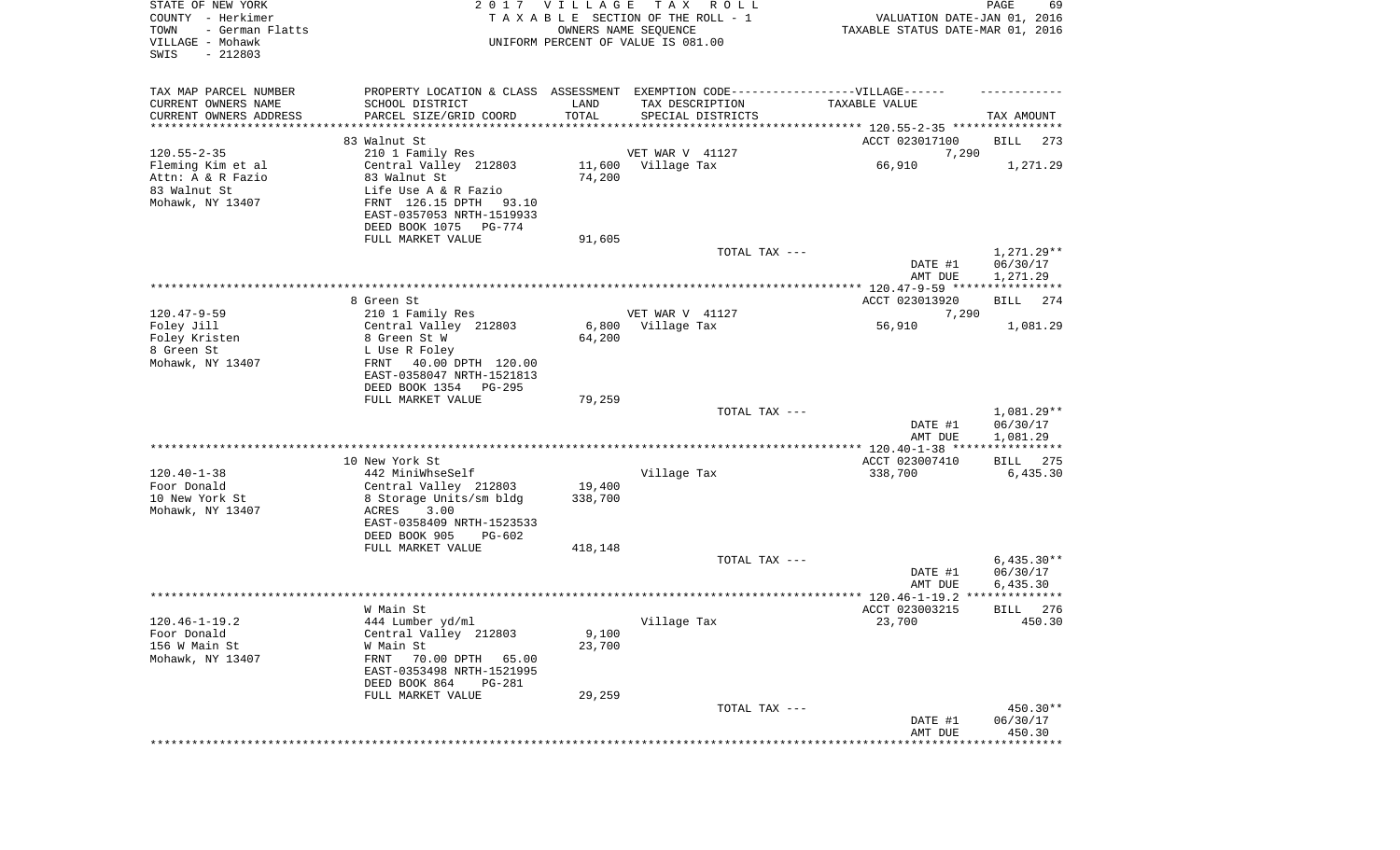| STATE OF NEW YORK<br>COUNTY - Herkimer<br>TOWN<br>- German Flatts<br>VILLAGE - Mohawk<br>SWIS<br>$-212803$ |                                                                                   | 2017 VILLAGE    | TAX ROLL<br>TAXABLE SECTION OF THE ROLL - 1<br>OWNERS NAME SEQUENCE<br>UNIFORM PERCENT OF VALUE IS 081.00 | VALUATION DATE-JAN 01, 2016<br>TAXABLE STATUS DATE-MAR 01, 2016 | PAGE<br>69               |
|------------------------------------------------------------------------------------------------------------|-----------------------------------------------------------------------------------|-----------------|-----------------------------------------------------------------------------------------------------------|-----------------------------------------------------------------|--------------------------|
| TAX MAP PARCEL NUMBER                                                                                      | PROPERTY LOCATION & CLASS ASSESSMENT EXEMPTION CODE-----------------VILLAGE------ |                 |                                                                                                           |                                                                 |                          |
| CURRENT OWNERS NAME<br>CURRENT OWNERS ADDRESS                                                              | SCHOOL DISTRICT<br>PARCEL SIZE/GRID COORD                                         | LAND<br>TOTAL   | TAX DESCRIPTION<br>SPECIAL DISTRICTS                                                                      | TAXABLE VALUE                                                   | TAX AMOUNT               |
| ********************                                                                                       |                                                                                   |                 |                                                                                                           |                                                                 |                          |
|                                                                                                            | 83 Walnut St                                                                      |                 |                                                                                                           | ACCT 023017100                                                  | BILL<br>273              |
| $120.55 - 2 - 35$                                                                                          | 210 1 Family Res                                                                  |                 | VET WAR V 41127                                                                                           | 7,290                                                           |                          |
| Fleming Kim et al                                                                                          | Central Valley 212803                                                             | 11,600          | Village Tax                                                                                               | 66,910                                                          | 1,271.29                 |
| Attn: A & R Fazio<br>83 Walnut St                                                                          | 83 Walnut St<br>Life Use A & R Fazio                                              | 74,200          |                                                                                                           |                                                                 |                          |
| Mohawk, NY 13407                                                                                           | FRNT 126.15 DPTH 93.10                                                            |                 |                                                                                                           |                                                                 |                          |
|                                                                                                            | EAST-0357053 NRTH-1519933                                                         |                 |                                                                                                           |                                                                 |                          |
|                                                                                                            | DEED BOOK 1075<br>PG-774                                                          |                 |                                                                                                           |                                                                 |                          |
|                                                                                                            | FULL MARKET VALUE                                                                 | 91,605          |                                                                                                           |                                                                 |                          |
|                                                                                                            |                                                                                   |                 | TOTAL TAX ---                                                                                             | DATE #1                                                         | $1,271.29**$<br>06/30/17 |
|                                                                                                            |                                                                                   |                 |                                                                                                           | AMT DUE                                                         | 1,271.29                 |
|                                                                                                            |                                                                                   |                 |                                                                                                           |                                                                 |                          |
|                                                                                                            | 8 Green St                                                                        |                 |                                                                                                           | ACCT 023013920                                                  | 274<br>BILL              |
| $120.47 - 9 - 59$<br>Foley Jill                                                                            | 210 1 Family Res<br>Central Valley 212803                                         | 6,800           | VET WAR V 41127<br>Village Tax                                                                            | 7,290<br>56,910                                                 | 1,081.29                 |
| Foley Kristen                                                                                              | 8 Green St W                                                                      | 64,200          |                                                                                                           |                                                                 |                          |
| 8 Green St                                                                                                 | L Use R Foley                                                                     |                 |                                                                                                           |                                                                 |                          |
| Mohawk, NY 13407                                                                                           | FRNT 40.00 DPTH 120.00                                                            |                 |                                                                                                           |                                                                 |                          |
|                                                                                                            | EAST-0358047 NRTH-1521813<br>DEED BOOK 1354<br>PG-295                             |                 |                                                                                                           |                                                                 |                          |
|                                                                                                            | FULL MARKET VALUE                                                                 | 79,259          |                                                                                                           |                                                                 |                          |
|                                                                                                            |                                                                                   |                 | TOTAL TAX ---                                                                                             |                                                                 | $1,081.29**$             |
|                                                                                                            |                                                                                   |                 |                                                                                                           | DATE #1                                                         | 06/30/17                 |
|                                                                                                            |                                                                                   |                 |                                                                                                           | AMT DUE                                                         | 1,081.29<br>***********  |
|                                                                                                            | 10 New York St                                                                    |                 |                                                                                                           | ACCT 023007410                                                  | 275<br>BILL              |
| $120.40 - 1 - 38$                                                                                          | 442 MiniWhseSelf                                                                  |                 | Village Tax                                                                                               | 338,700                                                         | 6,435.30                 |
| Foor Donald                                                                                                | Central Valley 212803                                                             | 19,400          |                                                                                                           |                                                                 |                          |
| 10 New York St                                                                                             | 8 Storage Units/sm bldg<br>ACRES<br>3.00                                          | 338,700         |                                                                                                           |                                                                 |                          |
| Mohawk, NY 13407                                                                                           | EAST-0358409 NRTH-1523533                                                         |                 |                                                                                                           |                                                                 |                          |
|                                                                                                            | DEED BOOK 905<br>PG-602                                                           |                 |                                                                                                           |                                                                 |                          |
|                                                                                                            | FULL MARKET VALUE                                                                 | 418,148         |                                                                                                           |                                                                 |                          |
|                                                                                                            |                                                                                   |                 | TOTAL TAX ---                                                                                             |                                                                 | $6,435.30**$             |
|                                                                                                            |                                                                                   |                 |                                                                                                           | DATE #1<br>AMT DUE                                              | 06/30/17<br>6,435.30     |
|                                                                                                            |                                                                                   |                 |                                                                                                           |                                                                 | ******                   |
|                                                                                                            | W Main St                                                                         |                 |                                                                                                           | ACCT 023003215                                                  | 276<br>BILL              |
| $120.46 - 1 - 19.2$<br>Foor Donald                                                                         | 444 Lumber yd/ml                                                                  |                 | Village Tax                                                                                               | 23,700                                                          | 450.30                   |
| 156 W Main St                                                                                              | Central Valley 212803<br>W Main St                                                | 9,100<br>23,700 |                                                                                                           |                                                                 |                          |
| Mohawk, NY 13407                                                                                           | 70.00 DPTH<br>65.00<br>FRNT                                                       |                 |                                                                                                           |                                                                 |                          |
|                                                                                                            | EAST-0353498 NRTH-1521995                                                         |                 |                                                                                                           |                                                                 |                          |
|                                                                                                            | DEED BOOK 864<br>PG-281                                                           |                 |                                                                                                           |                                                                 |                          |
|                                                                                                            | FULL MARKET VALUE                                                                 | 29,259          | TOTAL TAX ---                                                                                             |                                                                 | 450.30**                 |
|                                                                                                            |                                                                                   |                 |                                                                                                           | DATE #1                                                         | 06/30/17                 |
|                                                                                                            |                                                                                   |                 |                                                                                                           | AMT DUE                                                         | 450.30                   |
|                                                                                                            |                                                                                   |                 |                                                                                                           |                                                                 | *********                |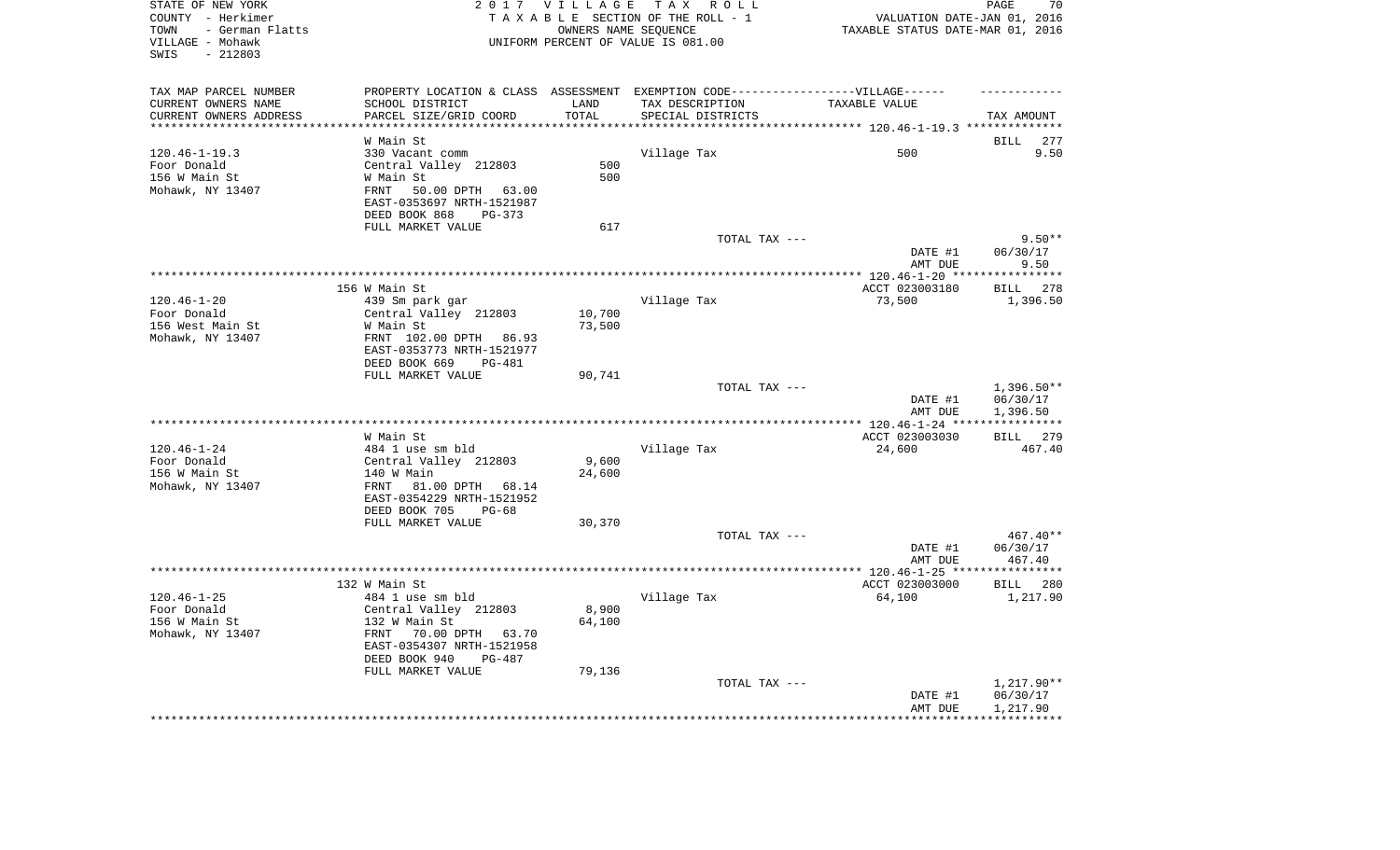| STATE OF NEW YORK<br>COUNTY - Herkimer<br>- German Flatts<br>TOWN<br>VILLAGE - Mohawk<br>$-212803$<br>SWIS | 2 0 1 7                                                                           | VILLAGE | TAX ROLL<br>TAXABLE SECTION OF THE ROLL - 1<br>OWNERS NAME SEQUENCE<br>UNIFORM PERCENT OF VALUE IS 081.00 | VALUATION DATE-JAN 01, 2016<br>TAXABLE STATUS DATE-MAR 01, 2016 | 70<br>PAGE                        |
|------------------------------------------------------------------------------------------------------------|-----------------------------------------------------------------------------------|---------|-----------------------------------------------------------------------------------------------------------|-----------------------------------------------------------------|-----------------------------------|
| TAX MAP PARCEL NUMBER                                                                                      | PROPERTY LOCATION & CLASS ASSESSMENT EXEMPTION CODE-----------------VILLAGE------ |         |                                                                                                           |                                                                 |                                   |
| CURRENT OWNERS NAME                                                                                        | SCHOOL DISTRICT                                                                   | LAND    | TAX DESCRIPTION                                                                                           | TAXABLE VALUE                                                   |                                   |
| CURRENT OWNERS ADDRESS<br>**********************                                                           | PARCEL SIZE/GRID COORD                                                            | TOTAL   | SPECIAL DISTRICTS                                                                                         |                                                                 | TAX AMOUNT                        |
|                                                                                                            |                                                                                   |         |                                                                                                           |                                                                 |                                   |
| $120.46 - 1 - 19.3$                                                                                        | W Main St<br>330 Vacant comm                                                      |         | Village Tax                                                                                               | 500                                                             | BILL<br>277<br>9.50               |
| Foor Donald                                                                                                | Central Valley 212803                                                             | 500     |                                                                                                           |                                                                 |                                   |
| 156 W Main St                                                                                              | W Main St                                                                         | 500     |                                                                                                           |                                                                 |                                   |
| Mohawk, NY 13407                                                                                           | FRNT<br>50.00 DPTH<br>63.00                                                       |         |                                                                                                           |                                                                 |                                   |
|                                                                                                            | EAST-0353697 NRTH-1521987                                                         |         |                                                                                                           |                                                                 |                                   |
|                                                                                                            | DEED BOOK 868<br>$PG-373$<br>FULL MARKET VALUE                                    | 617     |                                                                                                           |                                                                 |                                   |
|                                                                                                            |                                                                                   |         | TOTAL TAX ---                                                                                             |                                                                 | $9.50**$                          |
|                                                                                                            |                                                                                   |         |                                                                                                           | DATE #1                                                         | 06/30/17                          |
|                                                                                                            |                                                                                   |         |                                                                                                           | AMT DUE                                                         | 9.50                              |
|                                                                                                            |                                                                                   |         |                                                                                                           | *********** 120.46-1-20 ****                                    | **********                        |
|                                                                                                            | 156 W Main St                                                                     |         |                                                                                                           | ACCT 023003180                                                  | 278<br>BILL                       |
| $120.46 - 1 - 20$<br>Foor Donald                                                                           | 439 Sm park gar<br>Central Valley 212803                                          | 10,700  | Village Tax                                                                                               | 73,500                                                          | 1,396.50                          |
| 156 West Main St                                                                                           | W Main St                                                                         | 73,500  |                                                                                                           |                                                                 |                                   |
| Mohawk, NY 13407                                                                                           | FRNT 102.00 DPTH 86.93                                                            |         |                                                                                                           |                                                                 |                                   |
|                                                                                                            | EAST-0353773 NRTH-1521977                                                         |         |                                                                                                           |                                                                 |                                   |
|                                                                                                            | DEED BOOK 669<br>PG-481                                                           |         |                                                                                                           |                                                                 |                                   |
|                                                                                                            | FULL MARKET VALUE                                                                 | 90,741  |                                                                                                           |                                                                 |                                   |
|                                                                                                            |                                                                                   |         | TOTAL TAX ---                                                                                             | DATE #1                                                         | $1,396.50**$<br>06/30/17          |
|                                                                                                            |                                                                                   |         |                                                                                                           | AMT DUE                                                         | 1,396.50                          |
|                                                                                                            | W Main St                                                                         |         |                                                                                                           | $***$ 120.46-1-24 ***                                           | * * * * * * * * * * *<br>BILL 279 |
| $120.46 - 1 - 24$                                                                                          | 484 1 use sm bld                                                                  |         | Village Tax                                                                                               | ACCT 023003030<br>24,600                                        | 467.40                            |
| Foor Donald                                                                                                | Central Valley 212803                                                             | 9,600   |                                                                                                           |                                                                 |                                   |
| 156 W Main St                                                                                              | 140 W Main                                                                        | 24,600  |                                                                                                           |                                                                 |                                   |
| Mohawk, NY 13407                                                                                           | FRNT<br>81.00 DPTH 68.14                                                          |         |                                                                                                           |                                                                 |                                   |
|                                                                                                            | EAST-0354229 NRTH-1521952                                                         |         |                                                                                                           |                                                                 |                                   |
|                                                                                                            | DEED BOOK 705<br>$PG-68$                                                          |         |                                                                                                           |                                                                 |                                   |
|                                                                                                            | FULL MARKET VALUE                                                                 | 30,370  |                                                                                                           |                                                                 |                                   |
|                                                                                                            |                                                                                   |         | TOTAL TAX ---                                                                                             |                                                                 | $467.40**$                        |
|                                                                                                            |                                                                                   |         |                                                                                                           | DATE #1<br>AMT DUE                                              | 06/30/17<br>467.40                |
|                                                                                                            |                                                                                   |         |                                                                                                           |                                                                 |                                   |
|                                                                                                            | 132 W Main St                                                                     |         |                                                                                                           | ACCT 023003000                                                  | BILL 280                          |
| $120.46 - 1 - 25$                                                                                          | 484 1 use sm bld                                                                  |         | Village Tax                                                                                               | 64,100                                                          | 1,217.90                          |
| Foor Donald                                                                                                | Central Valley 212803                                                             | 8,900   |                                                                                                           |                                                                 |                                   |
| 156 W Main St                                                                                              | 132 W Main St                                                                     | 64,100  |                                                                                                           |                                                                 |                                   |
| Mohawk, NY 13407                                                                                           | FRNT 70.00 DPTH 63.70                                                             |         |                                                                                                           |                                                                 |                                   |
|                                                                                                            | EAST-0354307 NRTH-1521958<br>$PG-487$                                             |         |                                                                                                           |                                                                 |                                   |
|                                                                                                            | DEED BOOK 940<br>FULL MARKET VALUE                                                | 79,136  |                                                                                                           |                                                                 |                                   |
|                                                                                                            |                                                                                   |         | TOTAL TAX ---                                                                                             |                                                                 | 1,217.90**                        |
|                                                                                                            |                                                                                   |         |                                                                                                           | DATE #1                                                         | 06/30/17                          |
|                                                                                                            |                                                                                   |         |                                                                                                           | AMT DUE                                                         | 1,217.90                          |
|                                                                                                            |                                                                                   |         |                                                                                                           |                                                                 |                                   |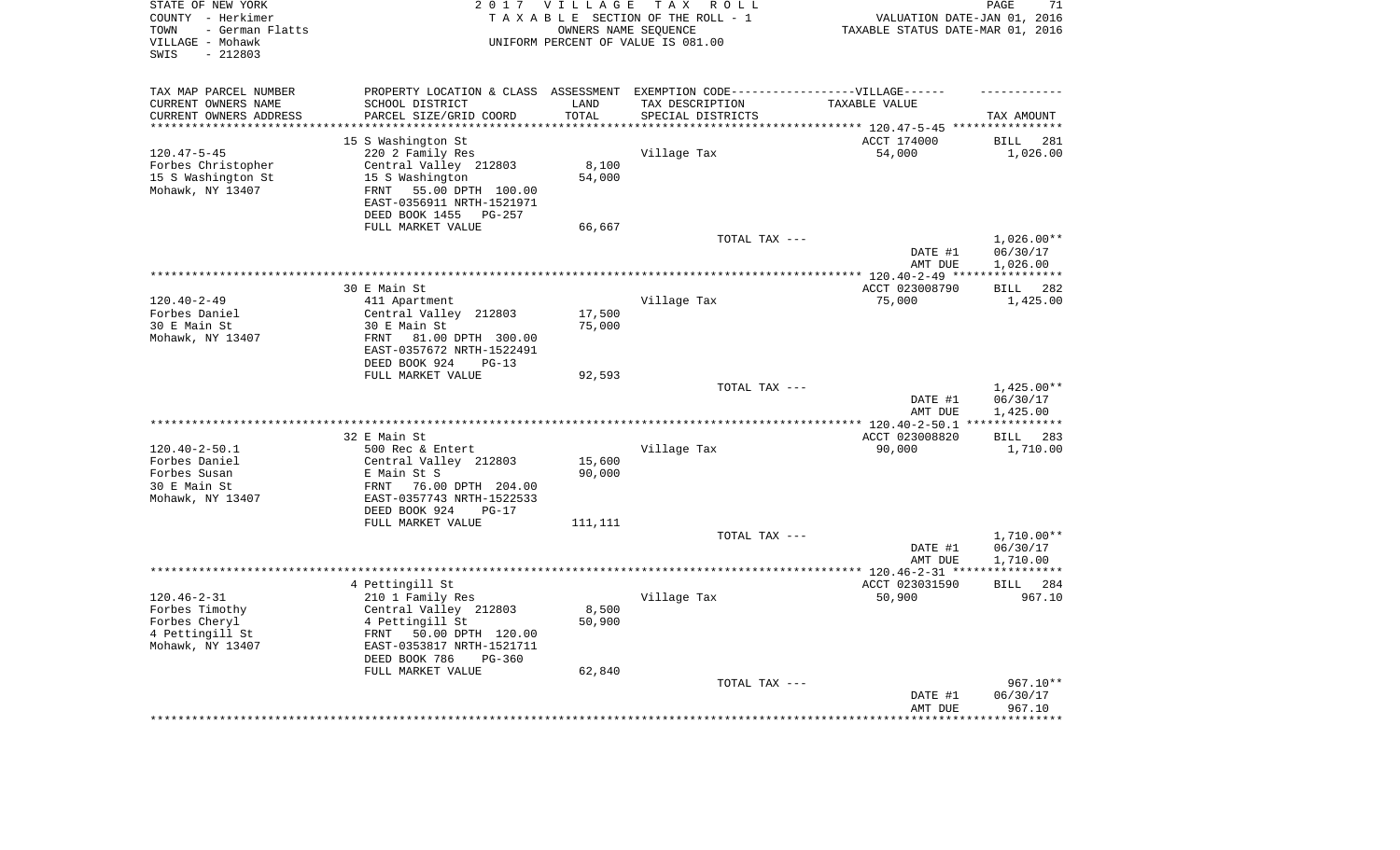| STATE OF NEW YORK<br>COUNTY - Herkimer<br>- German Flatts<br>TOWN<br>VILLAGE - Mohawk<br>$-212803$<br>SWIS | 2 0 1 7                                                                           | <b>VILLAGE</b><br>OWNERS NAME SEQUENCE | TAX ROLL<br>TAXABLE SECTION OF THE ROLL - 1<br>UNIFORM PERCENT OF VALUE IS 081.00 | VALUATION DATE-JAN 01, 2016<br>TAXABLE STATUS DATE-MAR 01, 2016 | PAGE<br>71                                  |
|------------------------------------------------------------------------------------------------------------|-----------------------------------------------------------------------------------|----------------------------------------|-----------------------------------------------------------------------------------|-----------------------------------------------------------------|---------------------------------------------|
| TAX MAP PARCEL NUMBER                                                                                      | PROPERTY LOCATION & CLASS ASSESSMENT EXEMPTION CODE-----------------VILLAGE------ |                                        |                                                                                   |                                                                 |                                             |
| CURRENT OWNERS NAME                                                                                        | SCHOOL DISTRICT                                                                   | LAND                                   | TAX DESCRIPTION                                                                   | TAXABLE VALUE                                                   |                                             |
| CURRENT OWNERS ADDRESS<br>*********************                                                            | PARCEL SIZE/GRID COORD<br>***********************                                 | TOTAL<br>**********                    | SPECIAL DISTRICTS                                                                 |                                                                 | TAX AMOUNT                                  |
|                                                                                                            | 15 S Washington St                                                                |                                        |                                                                                   | ACCT 174000                                                     | <b>BILL</b><br>281                          |
| $120.47 - 5 - 45$                                                                                          | 220 2 Family Res                                                                  |                                        | Village Tax                                                                       | 54,000                                                          | 1,026.00                                    |
| Forbes Christopher                                                                                         | Central Valley 212803                                                             | 8,100                                  |                                                                                   |                                                                 |                                             |
| 15 S Washington St                                                                                         | 15 S Washington                                                                   | 54,000                                 |                                                                                   |                                                                 |                                             |
| Mohawk, NY 13407                                                                                           | 55.00 DPTH 100.00<br>FRNT                                                         |                                        |                                                                                   |                                                                 |                                             |
|                                                                                                            | EAST-0356911 NRTH-1521971                                                         |                                        |                                                                                   |                                                                 |                                             |
|                                                                                                            | DEED BOOK 1455<br><b>PG-257</b>                                                   |                                        |                                                                                   |                                                                 |                                             |
|                                                                                                            | FULL MARKET VALUE                                                                 | 66,667                                 |                                                                                   |                                                                 |                                             |
|                                                                                                            |                                                                                   |                                        | TOTAL TAX ---                                                                     |                                                                 | $1,026.00**$                                |
|                                                                                                            |                                                                                   |                                        |                                                                                   | DATE #1                                                         | 06/30/17                                    |
|                                                                                                            |                                                                                   |                                        | *************************************                                             | AMT DUE                                                         | 1,026.00                                    |
|                                                                                                            |                                                                                   |                                        |                                                                                   | ******* 120.40-2-49 ****<br>ACCT 023008790                      | * * * * * * * * * * *<br>282<br><b>BILL</b> |
| $120.40 - 2 - 49$                                                                                          | 30 E Main St<br>411 Apartment                                                     |                                        | Village Tax                                                                       | 75,000                                                          | 1,425.00                                    |
| Forbes Daniel                                                                                              | Central Valley 212803                                                             | 17,500                                 |                                                                                   |                                                                 |                                             |
| 30 E Main St                                                                                               | 30 E Main St                                                                      | 75,000                                 |                                                                                   |                                                                 |                                             |
| Mohawk, NY 13407                                                                                           | 81.00 DPTH 300.00<br>FRNT                                                         |                                        |                                                                                   |                                                                 |                                             |
|                                                                                                            | EAST-0357672 NRTH-1522491                                                         |                                        |                                                                                   |                                                                 |                                             |
|                                                                                                            | DEED BOOK 924<br>$PG-13$                                                          |                                        |                                                                                   |                                                                 |                                             |
|                                                                                                            | FULL MARKET VALUE                                                                 | 92,593                                 |                                                                                   |                                                                 |                                             |
|                                                                                                            |                                                                                   |                                        | TOTAL TAX ---                                                                     |                                                                 | $1,425.00**$                                |
|                                                                                                            |                                                                                   |                                        |                                                                                   | DATE #1                                                         | 06/30/17                                    |
|                                                                                                            |                                                                                   |                                        | ***********************                                                           | AMT DUE<br>*** $120.40 - 2 - 50.1$                              | 1,425.00                                    |
|                                                                                                            | 32 E Main St                                                                      |                                        |                                                                                   | ACCT 023008820                                                  | 283<br><b>BILL</b>                          |
| $120.40 - 2 - 50.1$                                                                                        | 500 Rec & Entert                                                                  |                                        | Village Tax                                                                       | 90,000                                                          | 1,710.00                                    |
| Forbes Daniel                                                                                              | Central Valley 212803                                                             | 15,600                                 |                                                                                   |                                                                 |                                             |
| Forbes Susan                                                                                               | E Main St S                                                                       | 90,000                                 |                                                                                   |                                                                 |                                             |
| 30 E Main St                                                                                               | FRNT<br>76.00 DPTH 204.00                                                         |                                        |                                                                                   |                                                                 |                                             |
| Mohawk, NY 13407                                                                                           | EAST-0357743 NRTH-1522533                                                         |                                        |                                                                                   |                                                                 |                                             |
|                                                                                                            | DEED BOOK 924<br>$PG-17$                                                          |                                        |                                                                                   |                                                                 |                                             |
|                                                                                                            | FULL MARKET VALUE                                                                 | 111,111                                |                                                                                   |                                                                 |                                             |
|                                                                                                            |                                                                                   |                                        | TOTAL TAX ---                                                                     |                                                                 | $1,710.00**$                                |
|                                                                                                            |                                                                                   |                                        |                                                                                   | DATE #1                                                         | 06/30/17                                    |
| **********************                                                                                     |                                                                                   |                                        |                                                                                   | AMT DUE<br>**************** 120.46-2-31 ****                    | 1,710.00<br>************                    |
|                                                                                                            | 4 Pettingill St                                                                   |                                        |                                                                                   | ACCT 023031590                                                  | BILL 284                                    |
| $120.46 - 2 - 31$                                                                                          | 210 1 Family Res                                                                  |                                        | Village Tax                                                                       | 50,900                                                          | 967.10                                      |
| Forbes Timothy                                                                                             | Central Valley 212803                                                             | 8,500                                  |                                                                                   |                                                                 |                                             |
| Forbes Cheryl                                                                                              | 4 Pettingill St                                                                   | 50,900                                 |                                                                                   |                                                                 |                                             |
| 4 Pettingill St                                                                                            | 50.00 DPTH 120.00<br>FRNT                                                         |                                        |                                                                                   |                                                                 |                                             |
| Mohawk, NY 13407                                                                                           | EAST-0353817 NRTH-1521711                                                         |                                        |                                                                                   |                                                                 |                                             |
|                                                                                                            | DEED BOOK 786<br>$PG-360$                                                         |                                        |                                                                                   |                                                                 |                                             |
|                                                                                                            | FULL MARKET VALUE                                                                 | 62,840                                 |                                                                                   |                                                                 |                                             |
|                                                                                                            |                                                                                   |                                        | TOTAL TAX ---                                                                     | DATE #1                                                         | 967.10**<br>06/30/17                        |
|                                                                                                            |                                                                                   |                                        |                                                                                   | AMT DUE                                                         | 967.10                                      |
|                                                                                                            |                                                                                   |                                        |                                                                                   |                                                                 | ********                                    |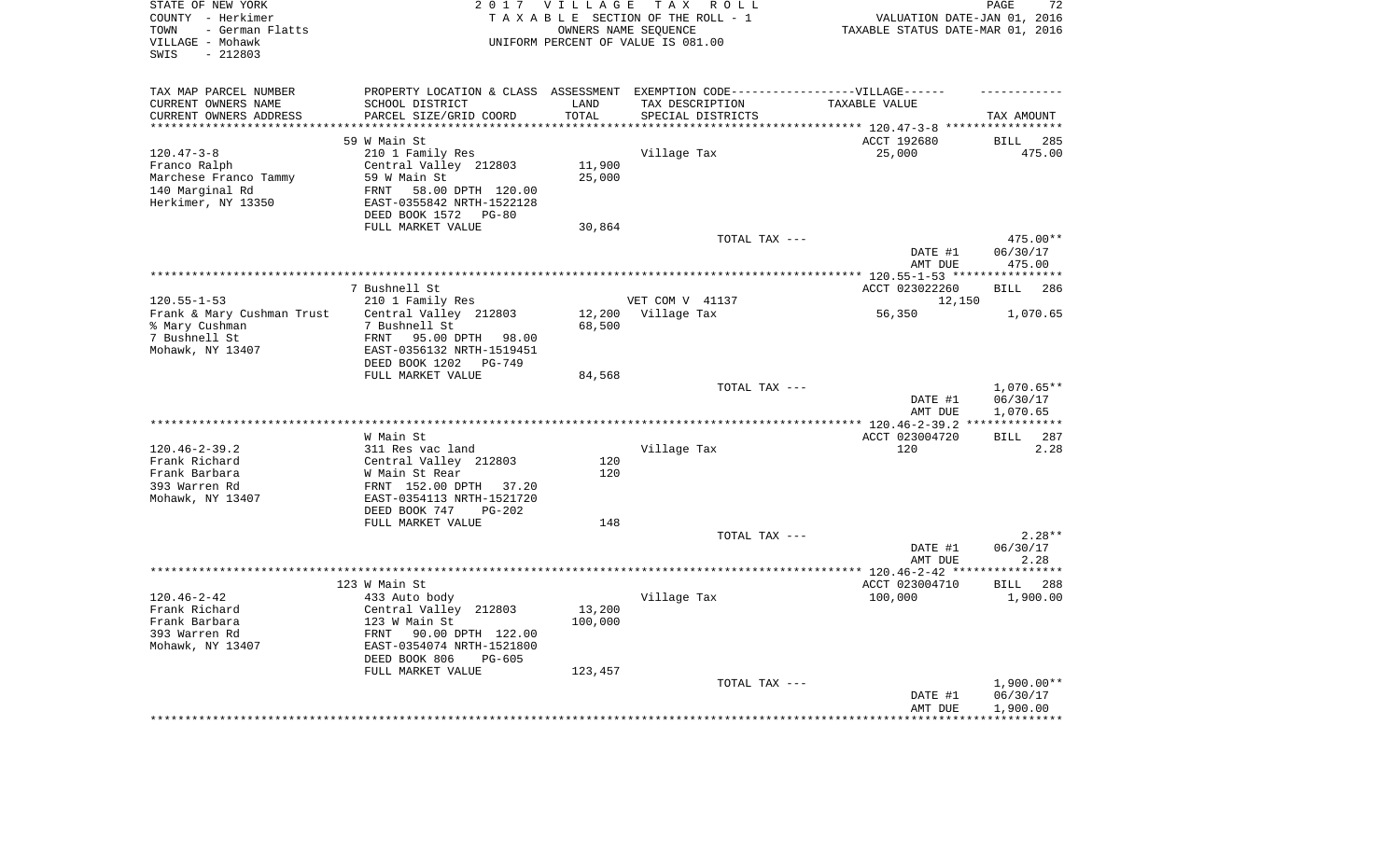| STATE OF NEW YORK<br>COUNTY - Herkimer<br>- German Flatts<br>TOWN<br>VILLAGE - Mohawk<br>$-212803$<br>SWIS |                                                        | 2017 VILLAGE<br>OWNERS NAME SEQUENCE | TAX ROLL<br>TAXABLE SECTION OF THE ROLL - 1<br>UNIFORM PERCENT OF VALUE IS 081.00 | VALUATION DATE-JAN 01, 2016<br>TAXABLE STATUS DATE-MAR 01, 2016 | 72<br>PAGE                           |
|------------------------------------------------------------------------------------------------------------|--------------------------------------------------------|--------------------------------------|-----------------------------------------------------------------------------------|-----------------------------------------------------------------|--------------------------------------|
| TAX MAP PARCEL NUMBER                                                                                      |                                                        |                                      | PROPERTY LOCATION & CLASS ASSESSMENT EXEMPTION CODE-----------------VILLAGE------ |                                                                 |                                      |
| CURRENT OWNERS NAME                                                                                        | SCHOOL DISTRICT                                        | LAND                                 | TAX DESCRIPTION                                                                   | TAXABLE VALUE                                                   |                                      |
| CURRENT OWNERS ADDRESS<br>**********************                                                           | PARCEL SIZE/GRID COORD<br>**************************** | TOTAL<br>***************             | SPECIAL DISTRICTS                                                                 |                                                                 | TAX AMOUNT                           |
|                                                                                                            | 59 W Main St                                           |                                      |                                                                                   | ACCT 192680                                                     | BILL<br>285                          |
| $120.47 - 3 - 8$                                                                                           | 210 1 Family Res                                       |                                      | Village Tax                                                                       | 25,000                                                          | 475.00                               |
| Franco Ralph                                                                                               | Central Valley 212803                                  | 11,900                               |                                                                                   |                                                                 |                                      |
| Marchese Franco Tammy                                                                                      | 59 W Main St                                           | 25,000                               |                                                                                   |                                                                 |                                      |
| 140 Marginal Rd                                                                                            | 58.00 DPTH 120.00<br>FRNT                              |                                      |                                                                                   |                                                                 |                                      |
| Herkimer, NY 13350                                                                                         | EAST-0355842 NRTH-1522128<br>DEED BOOK 1572 PG-80      |                                      |                                                                                   |                                                                 |                                      |
|                                                                                                            | FULL MARKET VALUE                                      | 30,864                               |                                                                                   |                                                                 |                                      |
|                                                                                                            |                                                        |                                      | TOTAL TAX ---                                                                     |                                                                 | 475.00**                             |
|                                                                                                            |                                                        |                                      |                                                                                   | DATE #1<br>AMT DUE                                              | 06/30/17<br>475.00                   |
|                                                                                                            |                                                        |                                      |                                                                                   |                                                                 |                                      |
|                                                                                                            | 7 Bushnell St                                          |                                      |                                                                                   | ACCT 023022260                                                  | 286<br><b>BILL</b>                   |
| $120.55 - 1 - 53$                                                                                          | 210 1 Family Res                                       |                                      | VET COM V 41137                                                                   | 12,150                                                          |                                      |
| Frank & Mary Cushman Trust                                                                                 | Central Valley 212803                                  | 12,200                               | Village Tax                                                                       | 56,350                                                          | 1,070.65                             |
| % Mary Cushman<br>7 Bushnell St                                                                            | 7 Bushnell St<br>FRNT 95.00 DPTH 98.00                 | 68,500                               |                                                                                   |                                                                 |                                      |
| Mohawk, NY 13407                                                                                           | EAST-0356132 NRTH-1519451                              |                                      |                                                                                   |                                                                 |                                      |
|                                                                                                            | DEED BOOK 1202 PG-749                                  |                                      |                                                                                   |                                                                 |                                      |
|                                                                                                            | FULL MARKET VALUE                                      | 84,568                               |                                                                                   |                                                                 |                                      |
|                                                                                                            |                                                        |                                      | TOTAL TAX ---                                                                     | DATE #1<br>AMT DUE                                              | $1,070.65**$<br>06/30/17<br>1,070.65 |
|                                                                                                            |                                                        |                                      |                                                                                   |                                                                 | ***********                          |
|                                                                                                            | W Main St                                              |                                      |                                                                                   | ACCT 023004720                                                  | 287<br>BILL                          |
| $120.46 - 2 - 39.2$                                                                                        | 311 Res vac land                                       |                                      | Village Tax                                                                       | 120                                                             | 2.28                                 |
| Frank Richard                                                                                              | Central Valley 212803                                  | 120                                  |                                                                                   |                                                                 |                                      |
| Frank Barbara                                                                                              | W Main St Rear                                         | 120                                  |                                                                                   |                                                                 |                                      |
| 393 Warren Rd                                                                                              | FRNT 152.00 DPTH 37.20                                 |                                      |                                                                                   |                                                                 |                                      |
| Mohawk, NY 13407                                                                                           | EAST-0354113 NRTH-1521720                              |                                      |                                                                                   |                                                                 |                                      |
|                                                                                                            | DEED BOOK 747<br>$PG-202$                              |                                      |                                                                                   |                                                                 |                                      |
|                                                                                                            | FULL MARKET VALUE                                      | 148                                  |                                                                                   |                                                                 | $2.28**$                             |
|                                                                                                            |                                                        |                                      | TOTAL TAX ---                                                                     | DATE #1                                                         | 06/30/17                             |
|                                                                                                            |                                                        |                                      |                                                                                   | AMT DUE                                                         | 2.28                                 |
|                                                                                                            |                                                        |                                      |                                                                                   |                                                                 |                                      |
|                                                                                                            | 123 W Main St                                          |                                      |                                                                                   | ACCT 023004710                                                  | BILL<br>288                          |
| $120.46 - 2 - 42$                                                                                          | 433 Auto body                                          |                                      | Village Tax                                                                       | 100,000                                                         | 1,900.00                             |
| Frank Richard                                                                                              | Central Valley 212803                                  | 13,200                               |                                                                                   |                                                                 |                                      |
| Frank Barbara                                                                                              | 123 W Main St                                          | 100,000                              |                                                                                   |                                                                 |                                      |
| 393 Warren Rd                                                                                              | 90.00 DPTH 122.00<br>FRNT                              |                                      |                                                                                   |                                                                 |                                      |
| Mohawk, NY 13407                                                                                           | EAST-0354074 NRTH-1521800                              |                                      |                                                                                   |                                                                 |                                      |
|                                                                                                            | DEED BOOK 806<br>PG-605<br>FULL MARKET VALUE           | 123,457                              |                                                                                   |                                                                 |                                      |
|                                                                                                            |                                                        |                                      | TOTAL TAX ---                                                                     |                                                                 | $1,900.00**$                         |
|                                                                                                            |                                                        |                                      |                                                                                   | DATE #1                                                         | 06/30/17                             |
|                                                                                                            |                                                        |                                      |                                                                                   | AMT DUE                                                         | 1,900.00                             |
|                                                                                                            |                                                        |                                      |                                                                                   | *****************                                               | ************                         |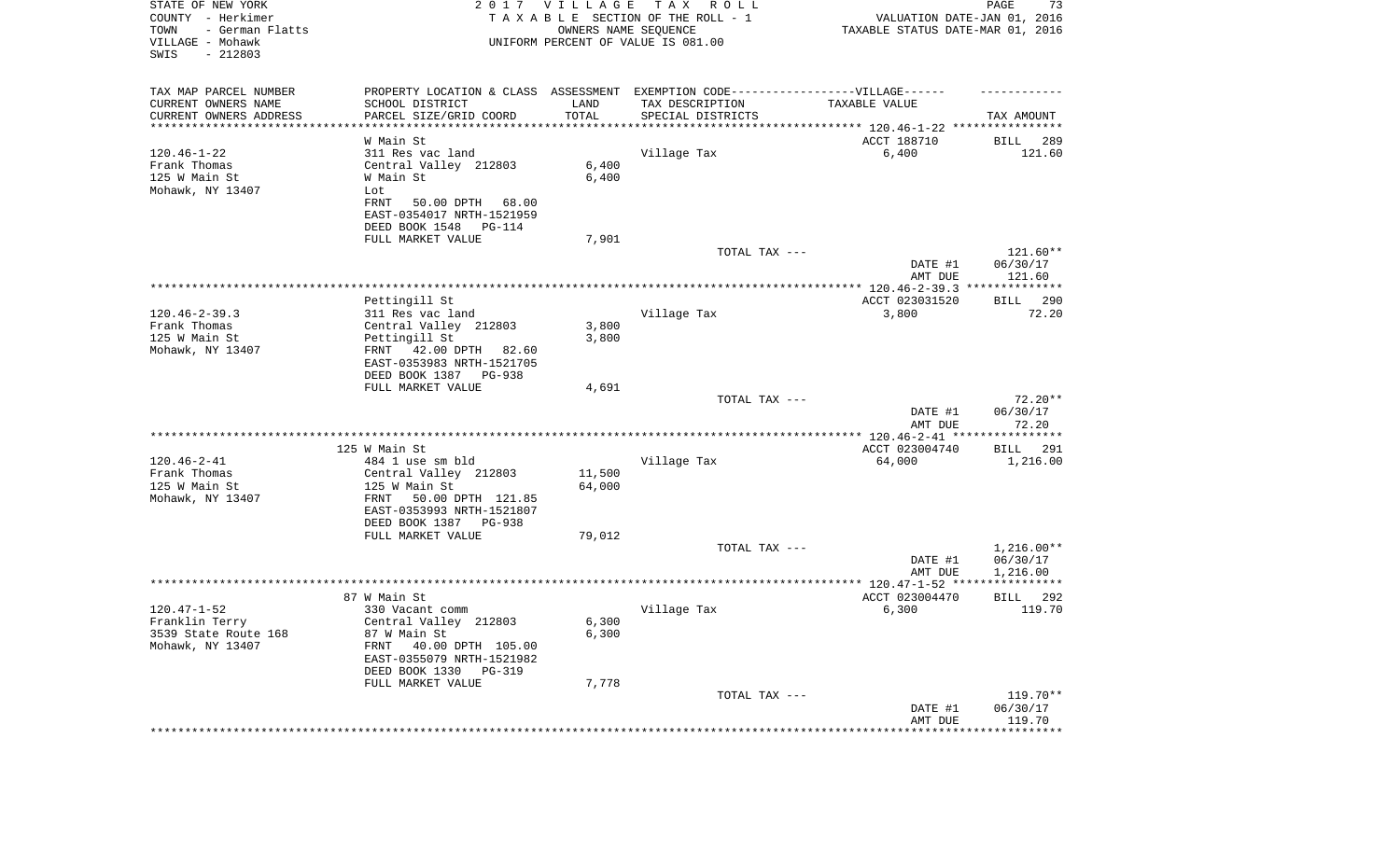| STATE OF NEW YORK<br>COUNTY - Herkimer<br>TOWN<br>- German Flatts<br>VILLAGE - Mohawk<br>SWIS<br>$-212803$ |                                                                                                      | 2017 VILLAGE<br>OWNERS NAME SEQUENCE | T A X<br>R O L L<br>TAXABLE SECTION OF THE ROLL - 1<br>UNIFORM PERCENT OF VALUE IS 081.00 | VALUATION DATE-JAN 01, 2016<br>TAXABLE STATUS DATE-MAR 01, 2016 | PAGE<br>73               |
|------------------------------------------------------------------------------------------------------------|------------------------------------------------------------------------------------------------------|--------------------------------------|-------------------------------------------------------------------------------------------|-----------------------------------------------------------------|--------------------------|
| TAX MAP PARCEL NUMBER<br>CURRENT OWNERS NAME                                                               | PROPERTY LOCATION & CLASS ASSESSMENT EXEMPTION CODE-----------------VILLAGE------<br>SCHOOL DISTRICT | LAND                                 | TAX DESCRIPTION                                                                           | TAXABLE VALUE                                                   |                          |
| CURRENT OWNERS ADDRESS<br>*********************                                                            | PARCEL SIZE/GRID COORD                                                                               | TOTAL                                | SPECIAL DISTRICTS                                                                         | ********************************* 120.46-1-22 ****************  | TAX AMOUNT               |
|                                                                                                            | W Main St                                                                                            |                                      |                                                                                           | ACCT 188710                                                     | BILL<br>289              |
| $120.46 - 1 - 22$                                                                                          | 311 Res vac land                                                                                     |                                      | Village Tax                                                                               | 6,400                                                           | 121.60                   |
| Frank Thomas                                                                                               | Central Valley 212803                                                                                | 6,400                                |                                                                                           |                                                                 |                          |
| 125 W Main St                                                                                              | W Main St                                                                                            | 6,400                                |                                                                                           |                                                                 |                          |
| Mohawk, NY 13407                                                                                           | Lot<br><b>FRNT</b><br>50.00 DPTH<br>68.00                                                            |                                      |                                                                                           |                                                                 |                          |
|                                                                                                            | EAST-0354017 NRTH-1521959                                                                            |                                      |                                                                                           |                                                                 |                          |
|                                                                                                            | DEED BOOK 1548<br>PG-114                                                                             |                                      |                                                                                           |                                                                 |                          |
|                                                                                                            | FULL MARKET VALUE                                                                                    | 7,901                                |                                                                                           |                                                                 |                          |
|                                                                                                            |                                                                                                      |                                      | TOTAL TAX ---                                                                             |                                                                 | 121.60**                 |
|                                                                                                            |                                                                                                      |                                      |                                                                                           | DATE #1<br>AMT DUE                                              | 06/30/17<br>121.60       |
|                                                                                                            |                                                                                                      |                                      |                                                                                           |                                                                 |                          |
|                                                                                                            | Pettingill St                                                                                        |                                      |                                                                                           | ACCT 023031520                                                  | BILL 290                 |
| $120.46 - 2 - 39.3$                                                                                        | 311 Res vac land                                                                                     |                                      | Village Tax                                                                               | 3,800                                                           | 72.20                    |
| Frank Thomas<br>125 W Main St                                                                              | Central Valley 212803<br>Pettingill St                                                               | 3,800<br>3,800                       |                                                                                           |                                                                 |                          |
| Mohawk, NY 13407                                                                                           | 42.00 DPTH<br>FRNT<br>82.60                                                                          |                                      |                                                                                           |                                                                 |                          |
|                                                                                                            | EAST-0353983 NRTH-1521705                                                                            |                                      |                                                                                           |                                                                 |                          |
|                                                                                                            | DEED BOOK 1387<br>PG-938                                                                             |                                      |                                                                                           |                                                                 |                          |
|                                                                                                            | FULL MARKET VALUE                                                                                    | 4,691                                | TOTAL TAX ---                                                                             |                                                                 | $72.20**$                |
|                                                                                                            |                                                                                                      |                                      |                                                                                           | DATE #1                                                         | 06/30/17                 |
|                                                                                                            |                                                                                                      |                                      |                                                                                           | AMT DUE<br>*************** 120.46-2-41 *****************        | 72.20                    |
|                                                                                                            | 125 W Main St                                                                                        |                                      |                                                                                           | ACCT 023004740                                                  | 291<br>BILL              |
| $120.46 - 2 - 41$                                                                                          | 484 1 use sm bld                                                                                     |                                      | Village Tax                                                                               | 64,000                                                          | 1,216.00                 |
| Frank Thomas                                                                                               | Central Valley 212803                                                                                | 11,500                               |                                                                                           |                                                                 |                          |
| 125 W Main St<br>Mohawk, NY 13407                                                                          | 125 W Main St<br>FRNT<br>50.00 DPTH 121.85                                                           | 64,000                               |                                                                                           |                                                                 |                          |
|                                                                                                            | EAST-0353993 NRTH-1521807                                                                            |                                      |                                                                                           |                                                                 |                          |
|                                                                                                            | DEED BOOK 1387<br>PG-938                                                                             |                                      |                                                                                           |                                                                 |                          |
|                                                                                                            | FULL MARKET VALUE                                                                                    | 79,012                               |                                                                                           |                                                                 |                          |
|                                                                                                            |                                                                                                      |                                      | TOTAL TAX ---                                                                             | DATE #1                                                         | $1,216.00**$<br>06/30/17 |
|                                                                                                            |                                                                                                      |                                      |                                                                                           | AMT DUE                                                         | 1,216.00                 |
|                                                                                                            |                                                                                                      |                                      |                                                                                           |                                                                 |                          |
|                                                                                                            | 87 W Main St                                                                                         |                                      |                                                                                           | ACCT 023004470                                                  | 292<br><b>BILL</b>       |
| $120.47 - 1 - 52$                                                                                          | 330 Vacant comm                                                                                      |                                      | Village Tax                                                                               | 6,300                                                           | 119.70                   |
| Franklin Terry<br>3539 State Route 168                                                                     | Central Valley 212803<br>87 W Main St                                                                | 6,300<br>6,300                       |                                                                                           |                                                                 |                          |
| Mohawk, NY 13407                                                                                           | 40.00 DPTH 105.00<br>FRNT                                                                            |                                      |                                                                                           |                                                                 |                          |
|                                                                                                            | EAST-0355079 NRTH-1521982                                                                            |                                      |                                                                                           |                                                                 |                          |
|                                                                                                            | DEED BOOK 1330<br>PG-319                                                                             |                                      |                                                                                           |                                                                 |                          |
|                                                                                                            | FULL MARKET VALUE                                                                                    | 7,778                                |                                                                                           |                                                                 |                          |
|                                                                                                            |                                                                                                      |                                      | TOTAL TAX ---                                                                             | DATE #1                                                         | $119.70**$<br>06/30/17   |
|                                                                                                            |                                                                                                      |                                      |                                                                                           | AMT DUE                                                         | 119.70                   |
|                                                                                                            |                                                                                                      |                                      |                                                                                           | ******************                                              | **************           |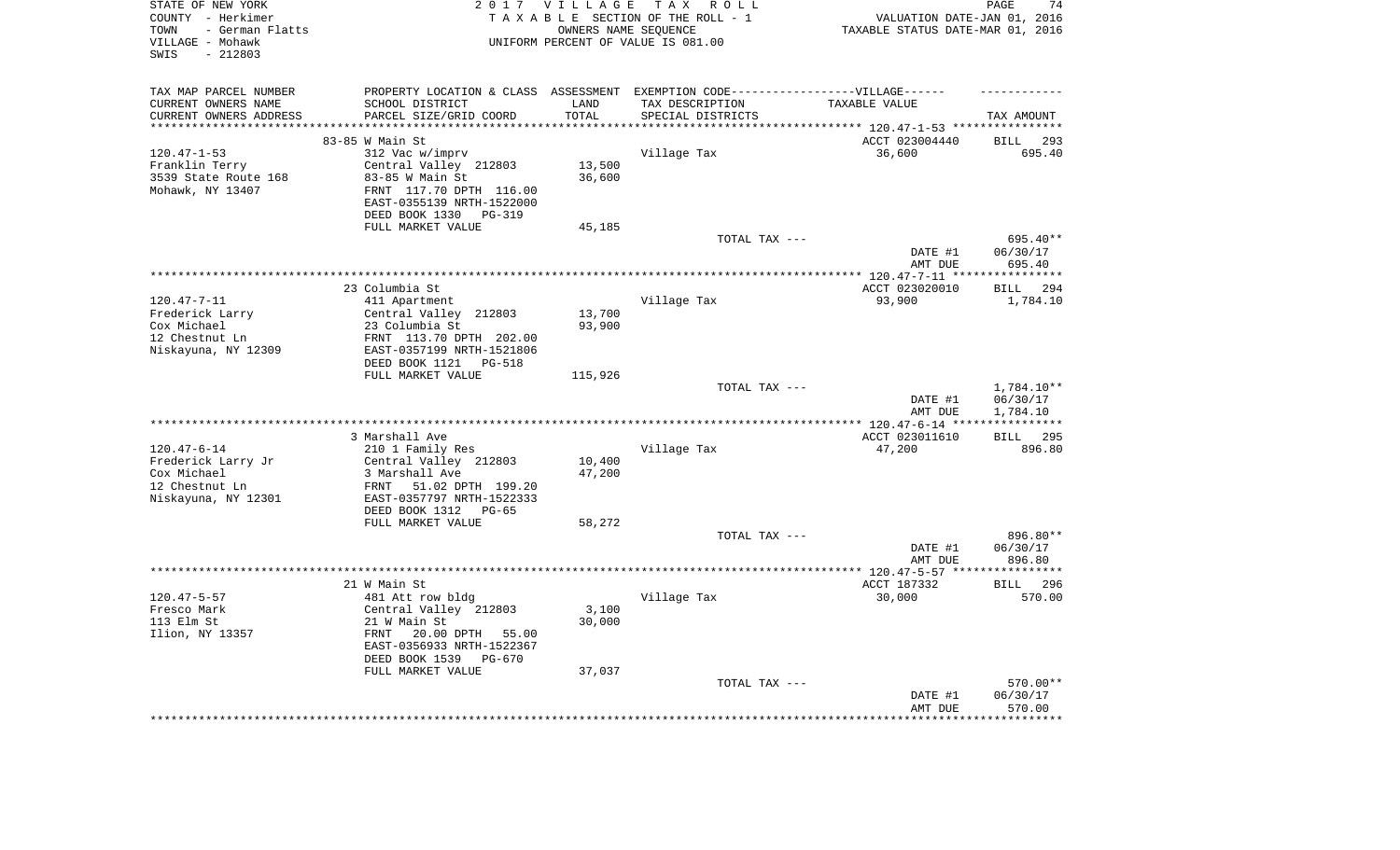| STATE OF NEW YORK<br>COUNTY - Herkimer<br>- German Flatts<br>TOWN<br>VILLAGE - Mohawk<br>$-212803$<br>SWIS | 2 0 1 7                                                                           | VILLAGE                | TAX ROLL<br>TAXABLE SECTION OF THE ROLL - 1<br>OWNERS NAME SEQUENCE<br>UNIFORM PERCENT OF VALUE IS 081.00 | VALUATION DATE-JAN 01, 2016<br>TAXABLE STATUS DATE-MAR 01, 2016    | PAGE<br>74                   |
|------------------------------------------------------------------------------------------------------------|-----------------------------------------------------------------------------------|------------------------|-----------------------------------------------------------------------------------------------------------|--------------------------------------------------------------------|------------------------------|
| TAX MAP PARCEL NUMBER                                                                                      | PROPERTY LOCATION & CLASS ASSESSMENT EXEMPTION CODE-----------------VILLAGE------ |                        |                                                                                                           |                                                                    |                              |
| CURRENT OWNERS NAME                                                                                        | SCHOOL DISTRICT                                                                   | LAND                   | TAX DESCRIPTION                                                                                           | TAXABLE VALUE                                                      |                              |
| CURRENT OWNERS ADDRESS<br>**********************                                                           | PARCEL SIZE/GRID COORD<br>****************************                            | TOTAL<br>************* | SPECIAL DISTRICTS                                                                                         | .************************************ 120.47-1-53 **************** | TAX AMOUNT                   |
|                                                                                                            | 83-85 W Main St                                                                   |                        |                                                                                                           | ACCT 023004440                                                     | <b>BILL</b><br>293           |
| $120.47 - 1 - 53$                                                                                          | 312 Vac w/imprv                                                                   |                        | Village Tax                                                                                               | 36,600                                                             | 695.40                       |
| Franklin Terry                                                                                             | Central Valley 212803                                                             | 13,500                 |                                                                                                           |                                                                    |                              |
| 3539 State Route 168                                                                                       | 83-85 W Main St                                                                   | 36,600                 |                                                                                                           |                                                                    |                              |
| Mohawk, NY 13407                                                                                           | FRNT 117.70 DPTH 116.00                                                           |                        |                                                                                                           |                                                                    |                              |
|                                                                                                            | EAST-0355139 NRTH-1522000                                                         |                        |                                                                                                           |                                                                    |                              |
|                                                                                                            | DEED BOOK 1330<br><b>PG-319</b>                                                   |                        |                                                                                                           |                                                                    |                              |
|                                                                                                            | FULL MARKET VALUE                                                                 | 45,185                 |                                                                                                           |                                                                    |                              |
|                                                                                                            |                                                                                   |                        | TOTAL TAX ---                                                                                             |                                                                    | 695.40**                     |
|                                                                                                            |                                                                                   |                        |                                                                                                           | DATE #1                                                            | 06/30/17                     |
|                                                                                                            |                                                                                   |                        |                                                                                                           | AMT DUE                                                            | 695.40                       |
|                                                                                                            |                                                                                   |                        |                                                                                                           | *********** 120.47-7-11 ****                                       | ***********                  |
|                                                                                                            | 23 Columbia St                                                                    |                        |                                                                                                           | ACCT 023020010                                                     | 294<br><b>BILL</b>           |
| $120.47 - 7 - 11$                                                                                          | 411 Apartment<br>Central Valley 212803                                            | 13,700                 | Village Tax                                                                                               | 93,900                                                             | 1,784.10                     |
| Frederick Larry<br>Cox Michael                                                                             | 23 Columbia St                                                                    | 93,900                 |                                                                                                           |                                                                    |                              |
| 12 Chestnut Ln                                                                                             | FRNT 113.70 DPTH 202.00                                                           |                        |                                                                                                           |                                                                    |                              |
| Niskayuna, NY 12309                                                                                        | EAST-0357199 NRTH-1521806                                                         |                        |                                                                                                           |                                                                    |                              |
|                                                                                                            | DEED BOOK 1121<br>PG-518                                                          |                        |                                                                                                           |                                                                    |                              |
|                                                                                                            | FULL MARKET VALUE                                                                 | 115,926                |                                                                                                           |                                                                    |                              |
|                                                                                                            |                                                                                   |                        | TOTAL TAX ---                                                                                             | DATE #1                                                            | 1,784.10**<br>06/30/17       |
|                                                                                                            |                                                                                   |                        |                                                                                                           | AMT DUE                                                            | 1,784.10                     |
|                                                                                                            | 3 Marshall Ave                                                                    |                        |                                                                                                           | ** 120.47-6-14 **<br>ACCT 023011610                                | 295<br>BILL                  |
| $120.47 - 6 - 14$                                                                                          | 210 1 Family Res                                                                  |                        | Village Tax                                                                                               | 47,200                                                             | 896.80                       |
| Frederick Larry Jr                                                                                         | Central Valley 212803                                                             | 10,400                 |                                                                                                           |                                                                    |                              |
| Cox Michael                                                                                                | 3 Marshall Ave                                                                    | 47,200                 |                                                                                                           |                                                                    |                              |
| 12 Chestnut Ln                                                                                             | FRNT<br>51.02 DPTH 199.20                                                         |                        |                                                                                                           |                                                                    |                              |
| Niskayuna, NY 12301                                                                                        | EAST-0357797 NRTH-1522333                                                         |                        |                                                                                                           |                                                                    |                              |
|                                                                                                            | DEED BOOK 1312<br>$PG-65$                                                         |                        |                                                                                                           |                                                                    |                              |
|                                                                                                            | FULL MARKET VALUE                                                                 | 58,272                 |                                                                                                           |                                                                    |                              |
|                                                                                                            |                                                                                   |                        | TOTAL TAX ---                                                                                             |                                                                    | 896.80**                     |
|                                                                                                            |                                                                                   |                        |                                                                                                           | DATE #1                                                            | 06/30/17                     |
|                                                                                                            |                                                                                   |                        |                                                                                                           | AMT DUE                                                            | 896.80<br>*********          |
|                                                                                                            | 21 W Main St                                                                      |                        |                                                                                                           | *************** 120.47-5-57 ****<br>ACCT 187332                    |                              |
| $120.47 - 5 - 57$                                                                                          | 481 Att row bldg                                                                  |                        | Village Tax                                                                                               | 30,000                                                             | <b>BILL</b><br>296<br>570.00 |
| Fresco Mark                                                                                                | Central Valley 212803                                                             | 3,100                  |                                                                                                           |                                                                    |                              |
| 113 Elm St                                                                                                 | 21 W Main St                                                                      | 30,000                 |                                                                                                           |                                                                    |                              |
| Ilion, NY 13357                                                                                            | FRNT<br>20.00 DPTH<br>55.00                                                       |                        |                                                                                                           |                                                                    |                              |
|                                                                                                            | EAST-0356933 NRTH-1522367                                                         |                        |                                                                                                           |                                                                    |                              |
|                                                                                                            | DEED BOOK 1539<br>$PG-670$                                                        |                        |                                                                                                           |                                                                    |                              |
|                                                                                                            | FULL MARKET VALUE                                                                 | 37,037                 |                                                                                                           |                                                                    |                              |
|                                                                                                            |                                                                                   |                        | TOTAL TAX ---                                                                                             |                                                                    | 570.00**                     |
|                                                                                                            |                                                                                   |                        |                                                                                                           | DATE #1                                                            | 06/30/17                     |
|                                                                                                            |                                                                                   |                        |                                                                                                           | AMT DUE                                                            | 570.00<br>*******            |
|                                                                                                            |                                                                                   |                        |                                                                                                           |                                                                    |                              |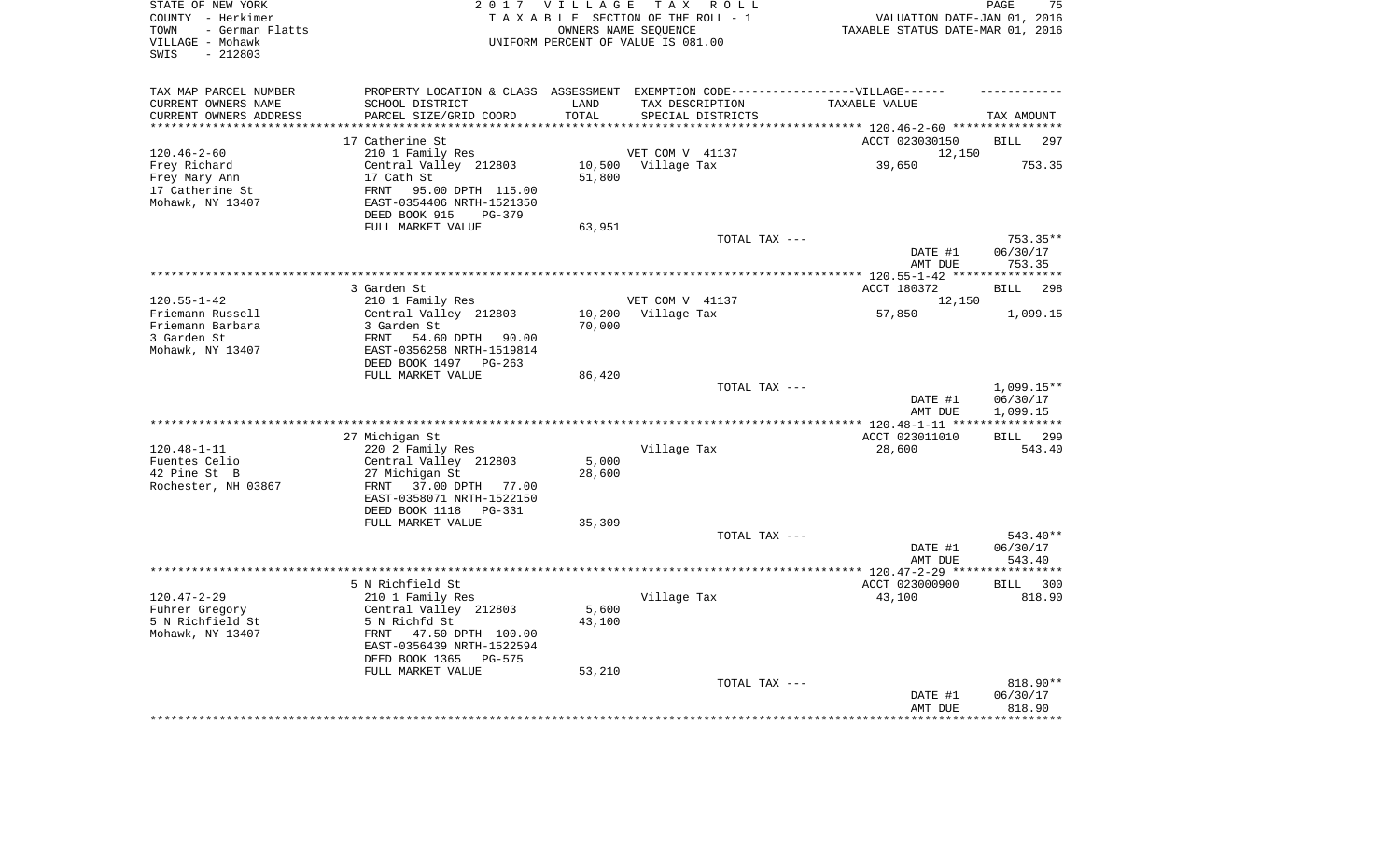| TAX MAP PARCEL NUMBER<br>PROPERTY LOCATION & CLASS ASSESSMENT EXEMPTION CODE-----------------VILLAGE------<br>CURRENT OWNERS NAME<br>SCHOOL DISTRICT<br>LAND<br>TAX DESCRIPTION<br>TAXABLE VALUE<br>CURRENT OWNERS ADDRESS<br>PARCEL SIZE/GRID COORD<br>TOTAL<br>SPECIAL DISTRICTS<br>TAX AMOUNT<br>*********************<br>***************************<br>**************<br>ACCT 023030150<br>17 Catherine St<br><b>BILL</b><br>297<br>$120.46 - 2 - 60$<br>210 1 Family Res<br>VET COM V 41137<br>12,150<br>Central Valley 212803<br>Frey Richard<br>10,500 Village Tax<br>39,650<br>753.35<br>17 Cath St<br>51,800<br>Frey Mary Ann<br>17 Catherine St<br>FRNT<br>95.00 DPTH 115.00<br>Mohawk, NY 13407<br>EAST-0354406 NRTH-1521350<br>DEED BOOK 915<br>PG-379<br>FULL MARKET VALUE<br>63,951<br>TOTAL TAX ---<br>753.35**<br>DATE #1<br>06/30/17<br>AMT DUE<br>753.35<br>*********** 120.55-1-42 *****************<br>3 Garden St<br>ACCT 180372<br><b>BILL</b><br>298<br>$120.55 - 1 - 42$<br>210 1 Family Res<br>VET COM V 41137<br>12,150<br>Central Valley 212803<br>Friemann Russell<br>10,200<br>Village Tax<br>57,850<br>1,099.15<br>Friemann Barbara<br>3 Garden St<br>70,000<br>3 Garden St<br>FRNT<br>54.60 DPTH 90.00<br>Mohawk, NY 13407<br>EAST-0356258 NRTH-1519814<br>DEED BOOK 1497 PG-263<br>FULL MARKET VALUE<br>86,420<br>TOTAL TAX ---<br>$1,099.15**$<br>DATE #1<br>06/30/17<br>1,099.15<br>AMT DUE<br>** 120.48-1-11 **<br>* * * * * * * * * * *<br>27 Michigan St<br>ACCT 023011010<br>299<br>BILL<br>$120.48 - 1 - 11$<br>220 2 Family Res<br>Village Tax<br>28,600<br>543.40<br>Fuentes Celio<br>Central Valley 212803<br>5,000<br>42 Pine St B<br>28,600<br>27 Michigan St<br>Rochester, NH 03867<br>FRNT<br>37.00 DPTH 77.00<br>EAST-0358071 NRTH-1522150<br>DEED BOOK 1118 PG-331<br>FULL MARKET VALUE<br>35,309<br>543.40**<br>TOTAL TAX ---<br>06/30/17<br>DATE #1<br>543.40<br>AMT DUE<br>**************** 120.47-2-29 *****<br>**********<br>5 N Richfield St<br>ACCT 023000900<br>BILL 300<br>$120.47 - 2 - 29$<br>210 1 Family Res<br>Village Tax<br>43,100<br>818.90<br>5,600<br>Fuhrer Gregory<br>Central Valley 212803<br>5 N Richfield St<br>5 N Richfd St<br>43,100<br>47.50 DPTH 100.00<br>Mohawk, NY 13407<br>FRNT<br>EAST-0356439 NRTH-1522594<br>DEED BOOK 1365<br><b>PG-575</b><br>FULL MARKET VALUE<br>53,210<br>TOTAL TAX ---<br>818.90**<br>06/30/17<br>DATE #1<br>818.90<br>AMT DUE<br>****** | STATE OF NEW YORK<br>COUNTY - Herkimer<br>- German Flatts<br>TOWN<br>VILLAGE - Mohawk<br>$-212803$<br>SWIS | 2017 VILLAGE | TAX ROLL<br>TAXABLE SECTION OF THE ROLL - 1<br>OWNERS NAME SEQUENCE<br>UNIFORM PERCENT OF VALUE IS 081.00 | VALUATION DATE-JAN 01, 2016<br>TAXABLE STATUS DATE-MAR 01, 2016 | PAGE<br>75 |
|-----------------------------------------------------------------------------------------------------------------------------------------------------------------------------------------------------------------------------------------------------------------------------------------------------------------------------------------------------------------------------------------------------------------------------------------------------------------------------------------------------------------------------------------------------------------------------------------------------------------------------------------------------------------------------------------------------------------------------------------------------------------------------------------------------------------------------------------------------------------------------------------------------------------------------------------------------------------------------------------------------------------------------------------------------------------------------------------------------------------------------------------------------------------------------------------------------------------------------------------------------------------------------------------------------------------------------------------------------------------------------------------------------------------------------------------------------------------------------------------------------------------------------------------------------------------------------------------------------------------------------------------------------------------------------------------------------------------------------------------------------------------------------------------------------------------------------------------------------------------------------------------------------------------------------------------------------------------------------------------------------------------------------------------------------------------------------------------------------------------------------------------------------------------------------------------------------------------------------------------------------------------------------------------------------------------------------------------------------------------------------------------------------------------------------------------------------|------------------------------------------------------------------------------------------------------------|--------------|-----------------------------------------------------------------------------------------------------------|-----------------------------------------------------------------|------------|
|                                                                                                                                                                                                                                                                                                                                                                                                                                                                                                                                                                                                                                                                                                                                                                                                                                                                                                                                                                                                                                                                                                                                                                                                                                                                                                                                                                                                                                                                                                                                                                                                                                                                                                                                                                                                                                                                                                                                                                                                                                                                                                                                                                                                                                                                                                                                                                                                                                                     |                                                                                                            |              |                                                                                                           |                                                                 |            |
|                                                                                                                                                                                                                                                                                                                                                                                                                                                                                                                                                                                                                                                                                                                                                                                                                                                                                                                                                                                                                                                                                                                                                                                                                                                                                                                                                                                                                                                                                                                                                                                                                                                                                                                                                                                                                                                                                                                                                                                                                                                                                                                                                                                                                                                                                                                                                                                                                                                     |                                                                                                            |              |                                                                                                           |                                                                 |            |
|                                                                                                                                                                                                                                                                                                                                                                                                                                                                                                                                                                                                                                                                                                                                                                                                                                                                                                                                                                                                                                                                                                                                                                                                                                                                                                                                                                                                                                                                                                                                                                                                                                                                                                                                                                                                                                                                                                                                                                                                                                                                                                                                                                                                                                                                                                                                                                                                                                                     |                                                                                                            |              |                                                                                                           |                                                                 |            |
|                                                                                                                                                                                                                                                                                                                                                                                                                                                                                                                                                                                                                                                                                                                                                                                                                                                                                                                                                                                                                                                                                                                                                                                                                                                                                                                                                                                                                                                                                                                                                                                                                                                                                                                                                                                                                                                                                                                                                                                                                                                                                                                                                                                                                                                                                                                                                                                                                                                     |                                                                                                            |              |                                                                                                           |                                                                 |            |
|                                                                                                                                                                                                                                                                                                                                                                                                                                                                                                                                                                                                                                                                                                                                                                                                                                                                                                                                                                                                                                                                                                                                                                                                                                                                                                                                                                                                                                                                                                                                                                                                                                                                                                                                                                                                                                                                                                                                                                                                                                                                                                                                                                                                                                                                                                                                                                                                                                                     |                                                                                                            |              |                                                                                                           |                                                                 |            |
|                                                                                                                                                                                                                                                                                                                                                                                                                                                                                                                                                                                                                                                                                                                                                                                                                                                                                                                                                                                                                                                                                                                                                                                                                                                                                                                                                                                                                                                                                                                                                                                                                                                                                                                                                                                                                                                                                                                                                                                                                                                                                                                                                                                                                                                                                                                                                                                                                                                     |                                                                                                            |              |                                                                                                           |                                                                 |            |
|                                                                                                                                                                                                                                                                                                                                                                                                                                                                                                                                                                                                                                                                                                                                                                                                                                                                                                                                                                                                                                                                                                                                                                                                                                                                                                                                                                                                                                                                                                                                                                                                                                                                                                                                                                                                                                                                                                                                                                                                                                                                                                                                                                                                                                                                                                                                                                                                                                                     |                                                                                                            |              |                                                                                                           |                                                                 |            |
|                                                                                                                                                                                                                                                                                                                                                                                                                                                                                                                                                                                                                                                                                                                                                                                                                                                                                                                                                                                                                                                                                                                                                                                                                                                                                                                                                                                                                                                                                                                                                                                                                                                                                                                                                                                                                                                                                                                                                                                                                                                                                                                                                                                                                                                                                                                                                                                                                                                     |                                                                                                            |              |                                                                                                           |                                                                 |            |
|                                                                                                                                                                                                                                                                                                                                                                                                                                                                                                                                                                                                                                                                                                                                                                                                                                                                                                                                                                                                                                                                                                                                                                                                                                                                                                                                                                                                                                                                                                                                                                                                                                                                                                                                                                                                                                                                                                                                                                                                                                                                                                                                                                                                                                                                                                                                                                                                                                                     |                                                                                                            |              |                                                                                                           |                                                                 |            |
|                                                                                                                                                                                                                                                                                                                                                                                                                                                                                                                                                                                                                                                                                                                                                                                                                                                                                                                                                                                                                                                                                                                                                                                                                                                                                                                                                                                                                                                                                                                                                                                                                                                                                                                                                                                                                                                                                                                                                                                                                                                                                                                                                                                                                                                                                                                                                                                                                                                     |                                                                                                            |              |                                                                                                           |                                                                 |            |
|                                                                                                                                                                                                                                                                                                                                                                                                                                                                                                                                                                                                                                                                                                                                                                                                                                                                                                                                                                                                                                                                                                                                                                                                                                                                                                                                                                                                                                                                                                                                                                                                                                                                                                                                                                                                                                                                                                                                                                                                                                                                                                                                                                                                                                                                                                                                                                                                                                                     |                                                                                                            |              |                                                                                                           |                                                                 |            |
|                                                                                                                                                                                                                                                                                                                                                                                                                                                                                                                                                                                                                                                                                                                                                                                                                                                                                                                                                                                                                                                                                                                                                                                                                                                                                                                                                                                                                                                                                                                                                                                                                                                                                                                                                                                                                                                                                                                                                                                                                                                                                                                                                                                                                                                                                                                                                                                                                                                     |                                                                                                            |              |                                                                                                           |                                                                 |            |
|                                                                                                                                                                                                                                                                                                                                                                                                                                                                                                                                                                                                                                                                                                                                                                                                                                                                                                                                                                                                                                                                                                                                                                                                                                                                                                                                                                                                                                                                                                                                                                                                                                                                                                                                                                                                                                                                                                                                                                                                                                                                                                                                                                                                                                                                                                                                                                                                                                                     |                                                                                                            |              |                                                                                                           |                                                                 |            |
|                                                                                                                                                                                                                                                                                                                                                                                                                                                                                                                                                                                                                                                                                                                                                                                                                                                                                                                                                                                                                                                                                                                                                                                                                                                                                                                                                                                                                                                                                                                                                                                                                                                                                                                                                                                                                                                                                                                                                                                                                                                                                                                                                                                                                                                                                                                                                                                                                                                     |                                                                                                            |              |                                                                                                           |                                                                 |            |
|                                                                                                                                                                                                                                                                                                                                                                                                                                                                                                                                                                                                                                                                                                                                                                                                                                                                                                                                                                                                                                                                                                                                                                                                                                                                                                                                                                                                                                                                                                                                                                                                                                                                                                                                                                                                                                                                                                                                                                                                                                                                                                                                                                                                                                                                                                                                                                                                                                                     |                                                                                                            |              |                                                                                                           |                                                                 |            |
|                                                                                                                                                                                                                                                                                                                                                                                                                                                                                                                                                                                                                                                                                                                                                                                                                                                                                                                                                                                                                                                                                                                                                                                                                                                                                                                                                                                                                                                                                                                                                                                                                                                                                                                                                                                                                                                                                                                                                                                                                                                                                                                                                                                                                                                                                                                                                                                                                                                     |                                                                                                            |              |                                                                                                           |                                                                 |            |
|                                                                                                                                                                                                                                                                                                                                                                                                                                                                                                                                                                                                                                                                                                                                                                                                                                                                                                                                                                                                                                                                                                                                                                                                                                                                                                                                                                                                                                                                                                                                                                                                                                                                                                                                                                                                                                                                                                                                                                                                                                                                                                                                                                                                                                                                                                                                                                                                                                                     |                                                                                                            |              |                                                                                                           |                                                                 |            |
|                                                                                                                                                                                                                                                                                                                                                                                                                                                                                                                                                                                                                                                                                                                                                                                                                                                                                                                                                                                                                                                                                                                                                                                                                                                                                                                                                                                                                                                                                                                                                                                                                                                                                                                                                                                                                                                                                                                                                                                                                                                                                                                                                                                                                                                                                                                                                                                                                                                     |                                                                                                            |              |                                                                                                           |                                                                 |            |
|                                                                                                                                                                                                                                                                                                                                                                                                                                                                                                                                                                                                                                                                                                                                                                                                                                                                                                                                                                                                                                                                                                                                                                                                                                                                                                                                                                                                                                                                                                                                                                                                                                                                                                                                                                                                                                                                                                                                                                                                                                                                                                                                                                                                                                                                                                                                                                                                                                                     |                                                                                                            |              |                                                                                                           |                                                                 |            |
|                                                                                                                                                                                                                                                                                                                                                                                                                                                                                                                                                                                                                                                                                                                                                                                                                                                                                                                                                                                                                                                                                                                                                                                                                                                                                                                                                                                                                                                                                                                                                                                                                                                                                                                                                                                                                                                                                                                                                                                                                                                                                                                                                                                                                                                                                                                                                                                                                                                     |                                                                                                            |              |                                                                                                           |                                                                 |            |
|                                                                                                                                                                                                                                                                                                                                                                                                                                                                                                                                                                                                                                                                                                                                                                                                                                                                                                                                                                                                                                                                                                                                                                                                                                                                                                                                                                                                                                                                                                                                                                                                                                                                                                                                                                                                                                                                                                                                                                                                                                                                                                                                                                                                                                                                                                                                                                                                                                                     |                                                                                                            |              |                                                                                                           |                                                                 |            |
|                                                                                                                                                                                                                                                                                                                                                                                                                                                                                                                                                                                                                                                                                                                                                                                                                                                                                                                                                                                                                                                                                                                                                                                                                                                                                                                                                                                                                                                                                                                                                                                                                                                                                                                                                                                                                                                                                                                                                                                                                                                                                                                                                                                                                                                                                                                                                                                                                                                     |                                                                                                            |              |                                                                                                           |                                                                 |            |
|                                                                                                                                                                                                                                                                                                                                                                                                                                                                                                                                                                                                                                                                                                                                                                                                                                                                                                                                                                                                                                                                                                                                                                                                                                                                                                                                                                                                                                                                                                                                                                                                                                                                                                                                                                                                                                                                                                                                                                                                                                                                                                                                                                                                                                                                                                                                                                                                                                                     |                                                                                                            |              |                                                                                                           |                                                                 |            |
|                                                                                                                                                                                                                                                                                                                                                                                                                                                                                                                                                                                                                                                                                                                                                                                                                                                                                                                                                                                                                                                                                                                                                                                                                                                                                                                                                                                                                                                                                                                                                                                                                                                                                                                                                                                                                                                                                                                                                                                                                                                                                                                                                                                                                                                                                                                                                                                                                                                     |                                                                                                            |              |                                                                                                           |                                                                 |            |
|                                                                                                                                                                                                                                                                                                                                                                                                                                                                                                                                                                                                                                                                                                                                                                                                                                                                                                                                                                                                                                                                                                                                                                                                                                                                                                                                                                                                                                                                                                                                                                                                                                                                                                                                                                                                                                                                                                                                                                                                                                                                                                                                                                                                                                                                                                                                                                                                                                                     |                                                                                                            |              |                                                                                                           |                                                                 |            |
|                                                                                                                                                                                                                                                                                                                                                                                                                                                                                                                                                                                                                                                                                                                                                                                                                                                                                                                                                                                                                                                                                                                                                                                                                                                                                                                                                                                                                                                                                                                                                                                                                                                                                                                                                                                                                                                                                                                                                                                                                                                                                                                                                                                                                                                                                                                                                                                                                                                     |                                                                                                            |              |                                                                                                           |                                                                 |            |
|                                                                                                                                                                                                                                                                                                                                                                                                                                                                                                                                                                                                                                                                                                                                                                                                                                                                                                                                                                                                                                                                                                                                                                                                                                                                                                                                                                                                                                                                                                                                                                                                                                                                                                                                                                                                                                                                                                                                                                                                                                                                                                                                                                                                                                                                                                                                                                                                                                                     |                                                                                                            |              |                                                                                                           |                                                                 |            |
|                                                                                                                                                                                                                                                                                                                                                                                                                                                                                                                                                                                                                                                                                                                                                                                                                                                                                                                                                                                                                                                                                                                                                                                                                                                                                                                                                                                                                                                                                                                                                                                                                                                                                                                                                                                                                                                                                                                                                                                                                                                                                                                                                                                                                                                                                                                                                                                                                                                     |                                                                                                            |              |                                                                                                           |                                                                 |            |
|                                                                                                                                                                                                                                                                                                                                                                                                                                                                                                                                                                                                                                                                                                                                                                                                                                                                                                                                                                                                                                                                                                                                                                                                                                                                                                                                                                                                                                                                                                                                                                                                                                                                                                                                                                                                                                                                                                                                                                                                                                                                                                                                                                                                                                                                                                                                                                                                                                                     |                                                                                                            |              |                                                                                                           |                                                                 |            |
|                                                                                                                                                                                                                                                                                                                                                                                                                                                                                                                                                                                                                                                                                                                                                                                                                                                                                                                                                                                                                                                                                                                                                                                                                                                                                                                                                                                                                                                                                                                                                                                                                                                                                                                                                                                                                                                                                                                                                                                                                                                                                                                                                                                                                                                                                                                                                                                                                                                     |                                                                                                            |              |                                                                                                           |                                                                 |            |
|                                                                                                                                                                                                                                                                                                                                                                                                                                                                                                                                                                                                                                                                                                                                                                                                                                                                                                                                                                                                                                                                                                                                                                                                                                                                                                                                                                                                                                                                                                                                                                                                                                                                                                                                                                                                                                                                                                                                                                                                                                                                                                                                                                                                                                                                                                                                                                                                                                                     |                                                                                                            |              |                                                                                                           |                                                                 |            |
|                                                                                                                                                                                                                                                                                                                                                                                                                                                                                                                                                                                                                                                                                                                                                                                                                                                                                                                                                                                                                                                                                                                                                                                                                                                                                                                                                                                                                                                                                                                                                                                                                                                                                                                                                                                                                                                                                                                                                                                                                                                                                                                                                                                                                                                                                                                                                                                                                                                     |                                                                                                            |              |                                                                                                           |                                                                 |            |
|                                                                                                                                                                                                                                                                                                                                                                                                                                                                                                                                                                                                                                                                                                                                                                                                                                                                                                                                                                                                                                                                                                                                                                                                                                                                                                                                                                                                                                                                                                                                                                                                                                                                                                                                                                                                                                                                                                                                                                                                                                                                                                                                                                                                                                                                                                                                                                                                                                                     |                                                                                                            |              |                                                                                                           |                                                                 |            |
|                                                                                                                                                                                                                                                                                                                                                                                                                                                                                                                                                                                                                                                                                                                                                                                                                                                                                                                                                                                                                                                                                                                                                                                                                                                                                                                                                                                                                                                                                                                                                                                                                                                                                                                                                                                                                                                                                                                                                                                                                                                                                                                                                                                                                                                                                                                                                                                                                                                     |                                                                                                            |              |                                                                                                           |                                                                 |            |
|                                                                                                                                                                                                                                                                                                                                                                                                                                                                                                                                                                                                                                                                                                                                                                                                                                                                                                                                                                                                                                                                                                                                                                                                                                                                                                                                                                                                                                                                                                                                                                                                                                                                                                                                                                                                                                                                                                                                                                                                                                                                                                                                                                                                                                                                                                                                                                                                                                                     |                                                                                                            |              |                                                                                                           |                                                                 |            |
|                                                                                                                                                                                                                                                                                                                                                                                                                                                                                                                                                                                                                                                                                                                                                                                                                                                                                                                                                                                                                                                                                                                                                                                                                                                                                                                                                                                                                                                                                                                                                                                                                                                                                                                                                                                                                                                                                                                                                                                                                                                                                                                                                                                                                                                                                                                                                                                                                                                     |                                                                                                            |              |                                                                                                           |                                                                 |            |
|                                                                                                                                                                                                                                                                                                                                                                                                                                                                                                                                                                                                                                                                                                                                                                                                                                                                                                                                                                                                                                                                                                                                                                                                                                                                                                                                                                                                                                                                                                                                                                                                                                                                                                                                                                                                                                                                                                                                                                                                                                                                                                                                                                                                                                                                                                                                                                                                                                                     |                                                                                                            |              |                                                                                                           |                                                                 |            |
|                                                                                                                                                                                                                                                                                                                                                                                                                                                                                                                                                                                                                                                                                                                                                                                                                                                                                                                                                                                                                                                                                                                                                                                                                                                                                                                                                                                                                                                                                                                                                                                                                                                                                                                                                                                                                                                                                                                                                                                                                                                                                                                                                                                                                                                                                                                                                                                                                                                     |                                                                                                            |              |                                                                                                           |                                                                 |            |
|                                                                                                                                                                                                                                                                                                                                                                                                                                                                                                                                                                                                                                                                                                                                                                                                                                                                                                                                                                                                                                                                                                                                                                                                                                                                                                                                                                                                                                                                                                                                                                                                                                                                                                                                                                                                                                                                                                                                                                                                                                                                                                                                                                                                                                                                                                                                                                                                                                                     |                                                                                                            |              |                                                                                                           |                                                                 |            |
|                                                                                                                                                                                                                                                                                                                                                                                                                                                                                                                                                                                                                                                                                                                                                                                                                                                                                                                                                                                                                                                                                                                                                                                                                                                                                                                                                                                                                                                                                                                                                                                                                                                                                                                                                                                                                                                                                                                                                                                                                                                                                                                                                                                                                                                                                                                                                                                                                                                     |                                                                                                            |              |                                                                                                           |                                                                 |            |
|                                                                                                                                                                                                                                                                                                                                                                                                                                                                                                                                                                                                                                                                                                                                                                                                                                                                                                                                                                                                                                                                                                                                                                                                                                                                                                                                                                                                                                                                                                                                                                                                                                                                                                                                                                                                                                                                                                                                                                                                                                                                                                                                                                                                                                                                                                                                                                                                                                                     |                                                                                                            |              |                                                                                                           |                                                                 |            |
|                                                                                                                                                                                                                                                                                                                                                                                                                                                                                                                                                                                                                                                                                                                                                                                                                                                                                                                                                                                                                                                                                                                                                                                                                                                                                                                                                                                                                                                                                                                                                                                                                                                                                                                                                                                                                                                                                                                                                                                                                                                                                                                                                                                                                                                                                                                                                                                                                                                     |                                                                                                            |              |                                                                                                           |                                                                 |            |
|                                                                                                                                                                                                                                                                                                                                                                                                                                                                                                                                                                                                                                                                                                                                                                                                                                                                                                                                                                                                                                                                                                                                                                                                                                                                                                                                                                                                                                                                                                                                                                                                                                                                                                                                                                                                                                                                                                                                                                                                                                                                                                                                                                                                                                                                                                                                                                                                                                                     |                                                                                                            |              |                                                                                                           |                                                                 |            |
|                                                                                                                                                                                                                                                                                                                                                                                                                                                                                                                                                                                                                                                                                                                                                                                                                                                                                                                                                                                                                                                                                                                                                                                                                                                                                                                                                                                                                                                                                                                                                                                                                                                                                                                                                                                                                                                                                                                                                                                                                                                                                                                                                                                                                                                                                                                                                                                                                                                     |                                                                                                            |              |                                                                                                           |                                                                 |            |
|                                                                                                                                                                                                                                                                                                                                                                                                                                                                                                                                                                                                                                                                                                                                                                                                                                                                                                                                                                                                                                                                                                                                                                                                                                                                                                                                                                                                                                                                                                                                                                                                                                                                                                                                                                                                                                                                                                                                                                                                                                                                                                                                                                                                                                                                                                                                                                                                                                                     |                                                                                                            |              |                                                                                                           |                                                                 |            |
|                                                                                                                                                                                                                                                                                                                                                                                                                                                                                                                                                                                                                                                                                                                                                                                                                                                                                                                                                                                                                                                                                                                                                                                                                                                                                                                                                                                                                                                                                                                                                                                                                                                                                                                                                                                                                                                                                                                                                                                                                                                                                                                                                                                                                                                                                                                                                                                                                                                     |                                                                                                            |              |                                                                                                           |                                                                 |            |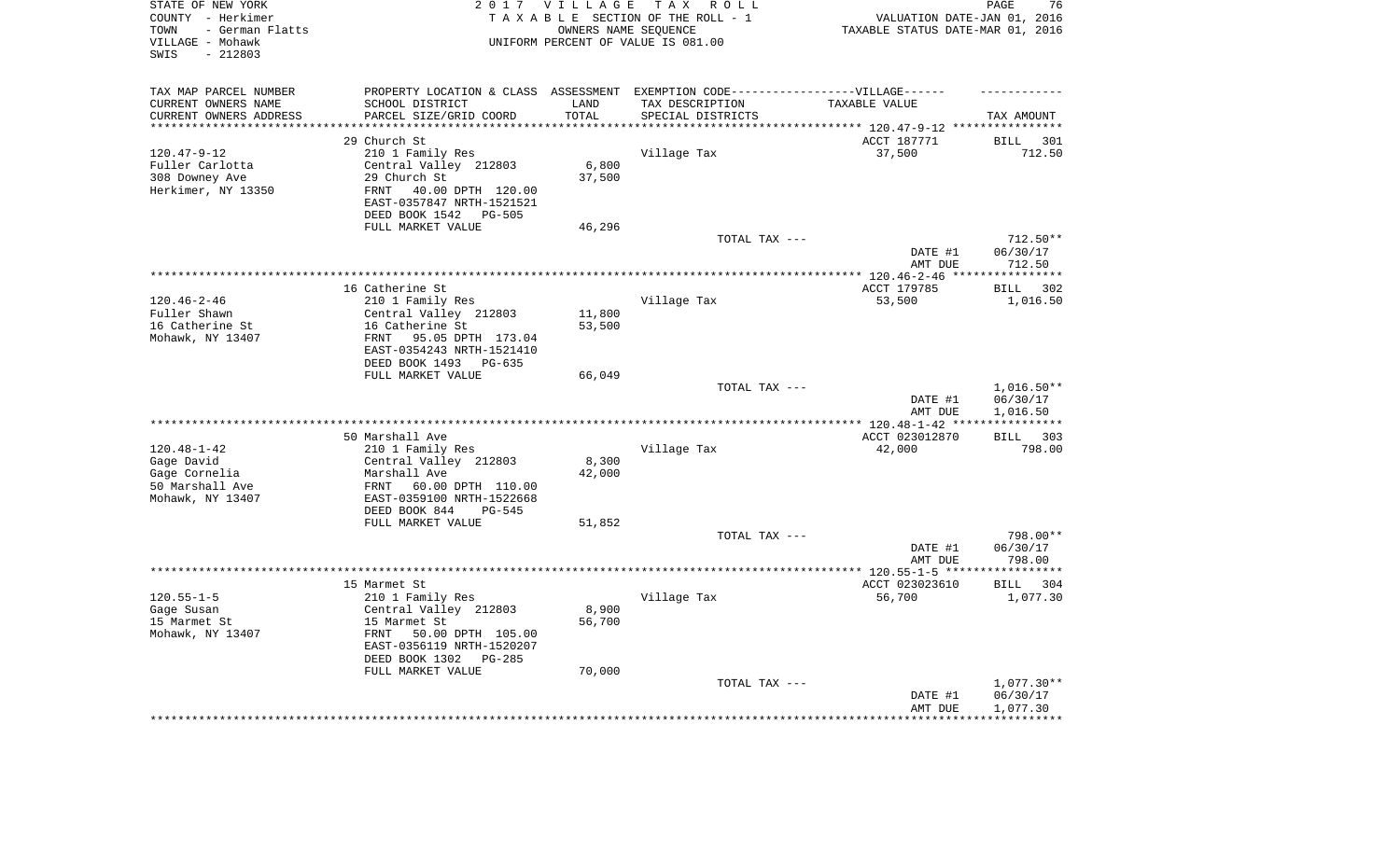| STATE OF NEW YORK<br>COUNTY - Herkimer<br>- German Flatts<br>TOWN<br>VILLAGE - Mohawk<br>$-212803$<br>SWIS |                                                                                   | 2017 VILLAGE<br>OWNERS NAME SEQUENCE | TAX ROLL<br>TAXABLE SECTION OF THE ROLL - 1<br>UNIFORM PERCENT OF VALUE IS 081.00 | VALUATION DATE-JAN 01, 2016<br>TAXABLE STATUS DATE-MAR 01, 2016 | 76<br>PAGE             |
|------------------------------------------------------------------------------------------------------------|-----------------------------------------------------------------------------------|--------------------------------------|-----------------------------------------------------------------------------------|-----------------------------------------------------------------|------------------------|
| TAX MAP PARCEL NUMBER                                                                                      | PROPERTY LOCATION & CLASS ASSESSMENT EXEMPTION CODE-----------------VILLAGE------ |                                      |                                                                                   |                                                                 |                        |
| CURRENT OWNERS NAME                                                                                        | SCHOOL DISTRICT                                                                   | LAND<br>TOTAL                        | TAX DESCRIPTION                                                                   | TAXABLE VALUE                                                   |                        |
| CURRENT OWNERS ADDRESS<br>*********************                                                            | PARCEL SIZE/GRID COORD<br>**************************                              | *********                            | SPECIAL DISTRICTS                                                                 |                                                                 | TAX AMOUNT             |
|                                                                                                            | 29 Church St                                                                      |                                      |                                                                                   | ACCT 187771                                                     | <b>BILL</b><br>301     |
| $120.47 - 9 - 12$                                                                                          | 210 1 Family Res                                                                  |                                      | Village Tax                                                                       | 37,500                                                          | 712.50                 |
| Fuller Carlotta                                                                                            | Central Valley 212803                                                             | 6,800                                |                                                                                   |                                                                 |                        |
| 308 Downey Ave                                                                                             | 29 Church St                                                                      | 37,500                               |                                                                                   |                                                                 |                        |
| Herkimer, NY 13350                                                                                         | 40.00 DPTH 120.00<br><b>FRNT</b>                                                  |                                      |                                                                                   |                                                                 |                        |
|                                                                                                            | EAST-0357847 NRTH-1521521<br>DEED BOOK 1542<br>PG-505                             |                                      |                                                                                   |                                                                 |                        |
|                                                                                                            | FULL MARKET VALUE                                                                 | 46,296                               |                                                                                   |                                                                 |                        |
|                                                                                                            |                                                                                   |                                      | TOTAL TAX ---                                                                     |                                                                 | $712.50**$             |
|                                                                                                            |                                                                                   |                                      |                                                                                   | DATE #1<br>AMT DUE                                              | 06/30/17<br>712.50     |
|                                                                                                            |                                                                                   |                                      |                                                                                   | ******* 120.46-2-46 **                                          | **********             |
|                                                                                                            | 16 Catherine St                                                                   |                                      |                                                                                   | ACCT 179785                                                     | 302<br><b>BILL</b>     |
| $120.46 - 2 - 46$                                                                                          | 210 1 Family Res                                                                  |                                      | Village Tax                                                                       | 53,500                                                          | 1,016.50               |
| Fuller Shawn                                                                                               | Central Valley 212803                                                             | 11,800                               |                                                                                   |                                                                 |                        |
| 16 Catherine St                                                                                            | 16 Catherine St                                                                   | 53,500                               |                                                                                   |                                                                 |                        |
| Mohawk, NY 13407                                                                                           | FRNT<br>95.05 DPTH 173.04                                                         |                                      |                                                                                   |                                                                 |                        |
|                                                                                                            | EAST-0354243 NRTH-1521410                                                         |                                      |                                                                                   |                                                                 |                        |
|                                                                                                            | DEED BOOK 1493<br>PG-635                                                          |                                      |                                                                                   |                                                                 |                        |
|                                                                                                            | FULL MARKET VALUE                                                                 | 66,049                               | TOTAL TAX ---                                                                     |                                                                 | $1,016.50**$           |
|                                                                                                            |                                                                                   |                                      |                                                                                   | DATE #1<br>AMT DUE                                              | 06/30/17<br>1,016.50   |
|                                                                                                            |                                                                                   |                                      |                                                                                   | ******* 120.48-1-42 **                                          | ***********            |
|                                                                                                            | 50 Marshall Ave                                                                   |                                      |                                                                                   | ACCT 023012870                                                  | 303<br>BILL            |
| $120.48 - 1 - 42$                                                                                          | 210 1 Family Res                                                                  |                                      | Village Tax                                                                       | 42,000                                                          | 798.00                 |
| Gage David                                                                                                 | Central Valley 212803                                                             | 8,300                                |                                                                                   |                                                                 |                        |
| Gage Cornelia                                                                                              | Marshall Ave                                                                      | 42,000                               |                                                                                   |                                                                 |                        |
| 50 Marshall Ave                                                                                            | FRNT<br>60.00 DPTH 110.00                                                         |                                      |                                                                                   |                                                                 |                        |
| Mohawk, NY 13407                                                                                           | EAST-0359100 NRTH-1522668                                                         |                                      |                                                                                   |                                                                 |                        |
|                                                                                                            | DEED BOOK 844<br>$PG-545$                                                         |                                      |                                                                                   |                                                                 |                        |
|                                                                                                            | FULL MARKET VALUE                                                                 | 51,852                               |                                                                                   |                                                                 |                        |
|                                                                                                            |                                                                                   |                                      | TOTAL TAX ---                                                                     | DATE #1                                                         | 798.00**<br>06/30/17   |
|                                                                                                            |                                                                                   |                                      |                                                                                   | AMT DUE                                                         | 798.00                 |
|                                                                                                            |                                                                                   |                                      |                                                                                   |                                                                 | ***********            |
|                                                                                                            | 15 Marmet St                                                                      |                                      |                                                                                   | ACCT 023023610                                                  | <b>BILL</b><br>304     |
| $120.55 - 1 - 5$                                                                                           | 210 1 Family Res                                                                  |                                      | Village Tax                                                                       | 56,700                                                          | 1,077.30               |
| Gage Susan                                                                                                 | Central Valley 212803                                                             | 8,900                                |                                                                                   |                                                                 |                        |
| 15 Marmet St                                                                                               | 15 Marmet St                                                                      | 56,700                               |                                                                                   |                                                                 |                        |
| Mohawk, NY 13407                                                                                           | FRNT<br>50.00 DPTH 105.00                                                         |                                      |                                                                                   |                                                                 |                        |
|                                                                                                            | EAST-0356119 NRTH-1520207                                                         |                                      |                                                                                   |                                                                 |                        |
|                                                                                                            | DEED BOOK 1302<br>$PG-285$                                                        |                                      |                                                                                   |                                                                 |                        |
|                                                                                                            | FULL MARKET VALUE                                                                 | 70,000                               |                                                                                   |                                                                 |                        |
|                                                                                                            |                                                                                   |                                      | TOTAL TAX ---                                                                     | DATE #1                                                         | 1,077.30**<br>06/30/17 |
|                                                                                                            |                                                                                   |                                      |                                                                                   | AMT DUE                                                         | 1,077.30               |
|                                                                                                            |                                                                                   |                                      |                                                                                   |                                                                 | **********             |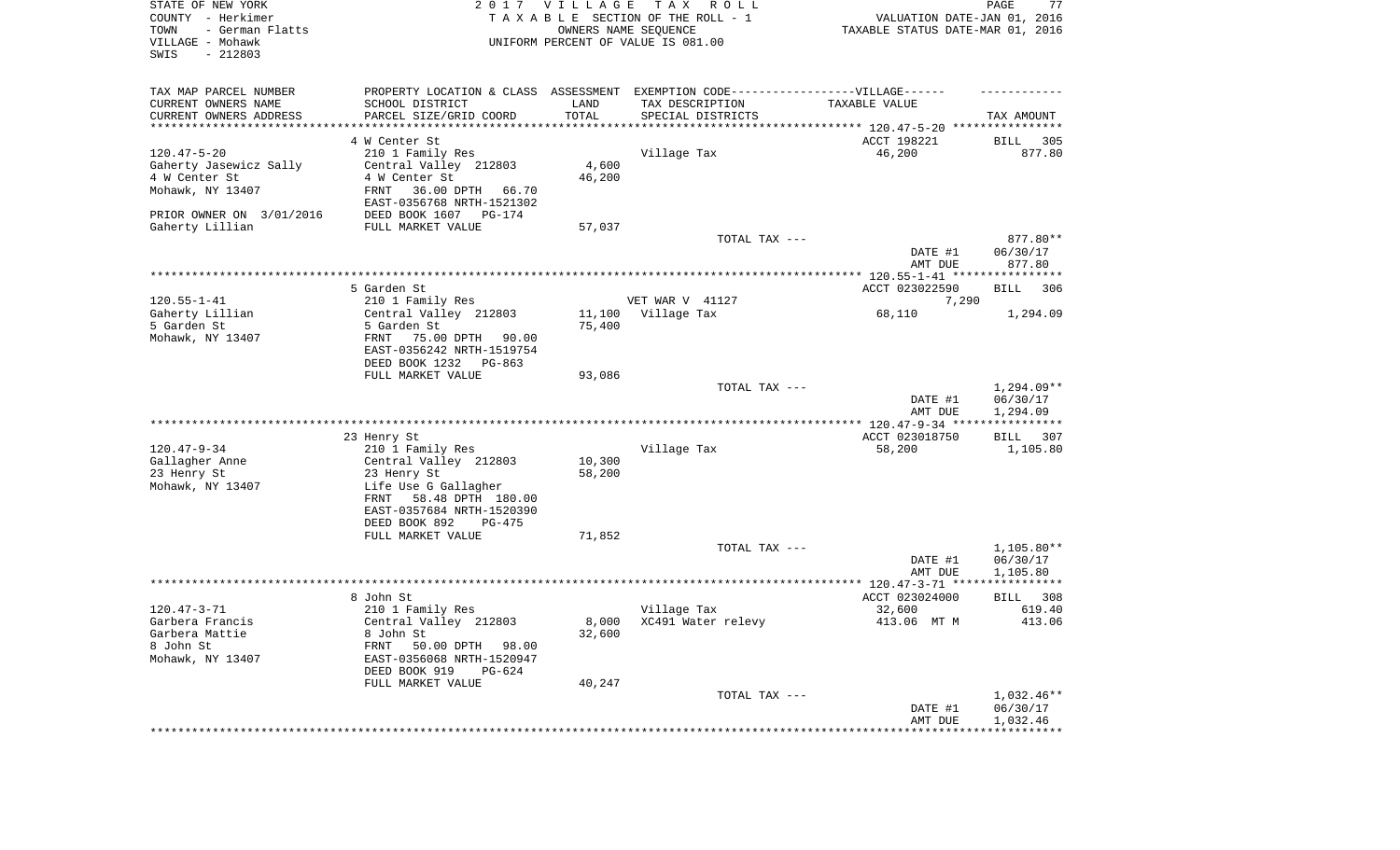| STATE OF NEW YORK<br>COUNTY - Herkimer<br>- German Flatts<br>TOWN<br>VILLAGE - Mohawk<br>SWIS<br>$-212803$ |                                                                                   | 2017 VILLAGE | T A X<br>R O L L<br>TAXABLE SECTION OF THE ROLL - 1<br>OWNERS NAME SEQUENCE<br>UNIFORM PERCENT OF VALUE IS 081.00 | VALUATION DATE-JAN 01, 2016<br>TAXABLE STATUS DATE-MAR 01, 2016 | PAGE<br>77           |
|------------------------------------------------------------------------------------------------------------|-----------------------------------------------------------------------------------|--------------|-------------------------------------------------------------------------------------------------------------------|-----------------------------------------------------------------|----------------------|
| TAX MAP PARCEL NUMBER                                                                                      | PROPERTY LOCATION & CLASS ASSESSMENT EXEMPTION CODE-----------------VILLAGE------ |              |                                                                                                                   |                                                                 |                      |
| CURRENT OWNERS NAME                                                                                        | SCHOOL DISTRICT                                                                   | LAND         | TAX DESCRIPTION                                                                                                   | TAXABLE VALUE                                                   |                      |
| CURRENT OWNERS ADDRESS<br>**********************                                                           | PARCEL SIZE/GRID COORD                                                            | TOTAL        | SPECIAL DISTRICTS                                                                                                 |                                                                 | TAX AMOUNT           |
|                                                                                                            | 4 W Center St                                                                     |              |                                                                                                                   | ACCT 198221                                                     | 305<br>BILL          |
| $120.47 - 5 - 20$                                                                                          | 210 1 Family Res                                                                  |              | Village Tax                                                                                                       | 46,200                                                          | 877.80               |
| Gaherty Jasewicz Sally                                                                                     | Central Valley 212803                                                             | 4,600        |                                                                                                                   |                                                                 |                      |
| 4 W Center St                                                                                              | 4 W Center St                                                                     | 46,200       |                                                                                                                   |                                                                 |                      |
| Mohawk, NY 13407                                                                                           | FRNT<br>36.00 DPTH 66.70                                                          |              |                                                                                                                   |                                                                 |                      |
|                                                                                                            | EAST-0356768 NRTH-1521302                                                         |              |                                                                                                                   |                                                                 |                      |
| PRIOR OWNER ON 3/01/2016                                                                                   | DEED BOOK 1607<br>PG-174                                                          |              |                                                                                                                   |                                                                 |                      |
| Gaherty Lillian                                                                                            | FULL MARKET VALUE                                                                 | 57,037       |                                                                                                                   |                                                                 |                      |
|                                                                                                            |                                                                                   |              | TOTAL TAX ---                                                                                                     |                                                                 | 877.80**<br>06/30/17 |
|                                                                                                            |                                                                                   |              |                                                                                                                   | DATE #1<br>AMT DUE                                              | 877.80               |
|                                                                                                            |                                                                                   |              |                                                                                                                   |                                                                 |                      |
|                                                                                                            | 5 Garden St                                                                       |              |                                                                                                                   | ACCT 023022590                                                  | BILL<br>306          |
| $120.55 - 1 - 41$                                                                                          | 210 1 Family Res                                                                  |              | VET WAR V 41127                                                                                                   | 7,290                                                           |                      |
| Gaherty Lillian                                                                                            | Central Valley 212803                                                             | 11,100       | Village Tax                                                                                                       | 68,110                                                          | 1,294.09             |
| 5 Garden St                                                                                                | 5 Garden St                                                                       | 75,400       |                                                                                                                   |                                                                 |                      |
| Mohawk, NY 13407                                                                                           | 75.00 DPTH<br>FRNT<br>90.00                                                       |              |                                                                                                                   |                                                                 |                      |
|                                                                                                            | EAST-0356242 NRTH-1519754<br>DEED BOOK 1232<br>PG-863                             |              |                                                                                                                   |                                                                 |                      |
|                                                                                                            | FULL MARKET VALUE                                                                 | 93,086       |                                                                                                                   |                                                                 |                      |
|                                                                                                            |                                                                                   |              | TOTAL TAX ---                                                                                                     |                                                                 | 1,294.09**           |
|                                                                                                            |                                                                                   |              |                                                                                                                   | DATE #1                                                         | 06/30/17             |
|                                                                                                            |                                                                                   |              |                                                                                                                   | AMT DUE                                                         | 1,294.09             |
|                                                                                                            |                                                                                   |              |                                                                                                                   |                                                                 |                      |
|                                                                                                            | 23 Henry St                                                                       |              |                                                                                                                   | ACCT 023018750                                                  | BILL<br>307          |
| $120.47 - 9 - 34$                                                                                          | 210 1 Family Res<br>Central Valley 212803                                         | 10,300       | Village Tax                                                                                                       | 58,200                                                          | 1,105.80             |
| Gallagher Anne<br>23 Henry St                                                                              | 23 Henry St                                                                       | 58,200       |                                                                                                                   |                                                                 |                      |
| Mohawk, NY 13407                                                                                           | Life Use G Gallagher                                                              |              |                                                                                                                   |                                                                 |                      |
|                                                                                                            | FRNT<br>58.48 DPTH 180.00                                                         |              |                                                                                                                   |                                                                 |                      |
|                                                                                                            | EAST-0357684 NRTH-1520390                                                         |              |                                                                                                                   |                                                                 |                      |
|                                                                                                            | DEED BOOK 892<br>PG-475                                                           |              |                                                                                                                   |                                                                 |                      |
|                                                                                                            | FULL MARKET VALUE                                                                 | 71,852       |                                                                                                                   |                                                                 |                      |
|                                                                                                            |                                                                                   |              | TOTAL TAX ---                                                                                                     |                                                                 | $1,105.80**$         |
|                                                                                                            |                                                                                   |              |                                                                                                                   | DATE #1<br>AMT DUE                                              | 06/30/17<br>1,105.80 |
|                                                                                                            |                                                                                   |              |                                                                                                                   |                                                                 |                      |
|                                                                                                            | 8 John St                                                                         |              |                                                                                                                   | ACCT 023024000                                                  | 308<br>BILL          |
| $120.47 - 3 - 71$                                                                                          | 210 1 Family Res                                                                  |              | Village Tax                                                                                                       | 32,600                                                          | 619.40               |
| Garbera Francis                                                                                            | Central Valley 212803                                                             |              | 8,000 XC491 Water relevy                                                                                          | 413.06 MT M                                                     | 413.06               |
| Garbera Mattie                                                                                             | 8 John St                                                                         | 32,600       |                                                                                                                   |                                                                 |                      |
| 8 John St                                                                                                  | FRNT<br>50.00 DPTH 98.00                                                          |              |                                                                                                                   |                                                                 |                      |
| Mohawk, NY 13407                                                                                           | EAST-0356068 NRTH-1520947                                                         |              |                                                                                                                   |                                                                 |                      |
|                                                                                                            | DEED BOOK 919<br>$PG-624$<br>FULL MARKET VALUE                                    | 40,247       |                                                                                                                   |                                                                 |                      |
|                                                                                                            |                                                                                   |              | TOTAL TAX ---                                                                                                     |                                                                 | $1,032.46**$         |
|                                                                                                            |                                                                                   |              |                                                                                                                   | DATE #1                                                         | 06/30/17             |
|                                                                                                            |                                                                                   |              |                                                                                                                   | AMT DUE                                                         | 1,032.46             |
|                                                                                                            |                                                                                   |              |                                                                                                                   |                                                                 |                      |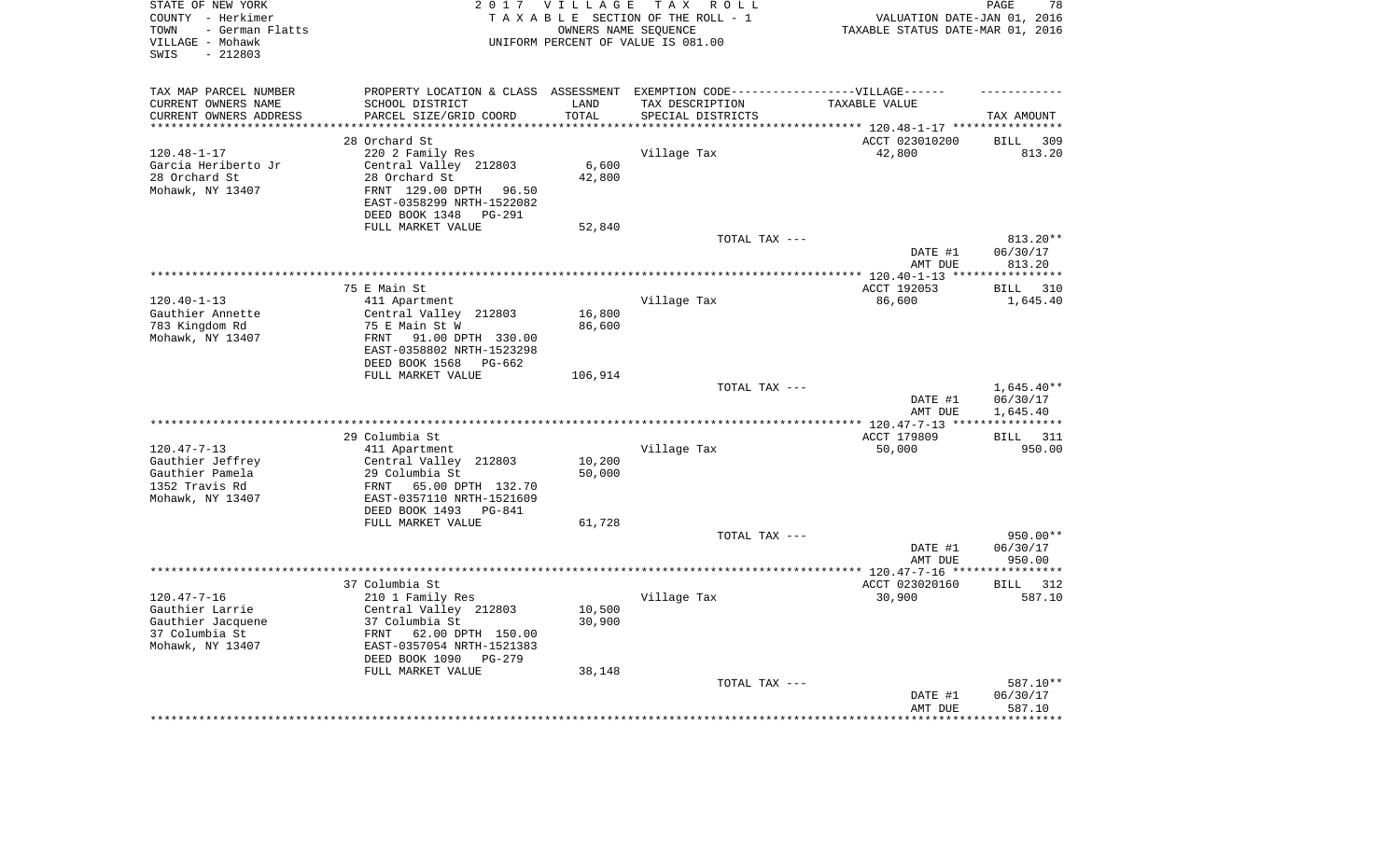| STATE OF NEW YORK<br>COUNTY - Herkimer<br>- German Flatts<br>TOWN<br>VILLAGE - Mohawk<br>$-212803$<br>SWIS | 2 0 1 7                                                                           | VILLAGE<br>OWNERS NAME SEQUENCE | TAX ROLL<br>TAXABLE SECTION OF THE ROLL - 1<br>UNIFORM PERCENT OF VALUE IS 081.00 | VALUATION DATE-JAN 01, 2016<br>TAXABLE STATUS DATE-MAR 01, 2016 | 78<br>PAGE              |
|------------------------------------------------------------------------------------------------------------|-----------------------------------------------------------------------------------|---------------------------------|-----------------------------------------------------------------------------------|-----------------------------------------------------------------|-------------------------|
| TAX MAP PARCEL NUMBER                                                                                      | PROPERTY LOCATION & CLASS ASSESSMENT EXEMPTION CODE-----------------VILLAGE------ |                                 |                                                                                   |                                                                 |                         |
| CURRENT OWNERS NAME                                                                                        | SCHOOL DISTRICT                                                                   | LAND                            | TAX DESCRIPTION                                                                   | TAXABLE VALUE                                                   |                         |
| CURRENT OWNERS ADDRESS<br>*********************                                                            | PARCEL SIZE/GRID COORD<br>***********************                                 | TOTAL<br>*********              | SPECIAL DISTRICTS                                                                 |                                                                 | TAX AMOUNT              |
|                                                                                                            | 28 Orchard St                                                                     |                                 |                                                                                   | ACCT 023010200                                                  | <b>BILL</b><br>309      |
| $120.48 - 1 - 17$                                                                                          | 220 2 Family Res                                                                  |                                 | Village Tax                                                                       | 42,800                                                          | 813.20                  |
| Garcia Heriberto Jr                                                                                        | Central Valley 212803                                                             | 6,600                           |                                                                                   |                                                                 |                         |
| 28 Orchard St                                                                                              | 28 Orchard St                                                                     | 42,800                          |                                                                                   |                                                                 |                         |
| Mohawk, NY 13407                                                                                           | FRNT 129.00 DPTH<br>96.50                                                         |                                 |                                                                                   |                                                                 |                         |
|                                                                                                            | EAST-0358299 NRTH-1522082<br>DEED BOOK 1348<br>PG-291                             |                                 |                                                                                   |                                                                 |                         |
|                                                                                                            | FULL MARKET VALUE                                                                 | 52,840                          |                                                                                   |                                                                 |                         |
|                                                                                                            |                                                                                   |                                 | TOTAL TAX ---                                                                     |                                                                 | $813.20**$              |
|                                                                                                            |                                                                                   |                                 |                                                                                   | DATE #1<br>AMT DUE                                              | 06/30/17<br>813.20      |
|                                                                                                            |                                                                                   |                                 |                                                                                   |                                                                 | * * * * * * * * * * * * |
|                                                                                                            | 75 E Main St                                                                      |                                 |                                                                                   | ACCT 192053                                                     | 310<br><b>BILL</b>      |
| $120.40 - 1 - 13$                                                                                          | 411 Apartment                                                                     |                                 | Village Tax                                                                       | 86,600                                                          | 1,645.40                |
| Gauthier Annette                                                                                           | Central Valley 212803                                                             | 16,800                          |                                                                                   |                                                                 |                         |
| 783 Kingdom Rd                                                                                             | 75 E Main St W                                                                    | 86,600                          |                                                                                   |                                                                 |                         |
| Mohawk, NY 13407                                                                                           | 91.00 DPTH 330.00<br>FRNT                                                         |                                 |                                                                                   |                                                                 |                         |
|                                                                                                            | EAST-0358802 NRTH-1523298<br>DEED BOOK 1568<br>PG-662                             |                                 |                                                                                   |                                                                 |                         |
|                                                                                                            | FULL MARKET VALUE                                                                 | 106,914                         |                                                                                   |                                                                 |                         |
|                                                                                                            |                                                                                   |                                 | TOTAL TAX ---                                                                     |                                                                 | $1,645.40**$            |
|                                                                                                            |                                                                                   |                                 |                                                                                   | DATE #1<br>AMT DUE                                              | 06/30/17<br>1,645.40    |
|                                                                                                            |                                                                                   |                                 |                                                                                   |                                                                 | * * * * * * * * * * *   |
|                                                                                                            | 29 Columbia St                                                                    |                                 |                                                                                   | ACCT 179809                                                     | 311<br><b>BILL</b>      |
| $120.47 - 7 - 13$                                                                                          | 411 Apartment                                                                     |                                 | Village Tax                                                                       | 50,000                                                          | 950.00                  |
| Gauthier Jeffrey                                                                                           | Central Valley 212803                                                             | 10,200                          |                                                                                   |                                                                 |                         |
| Gauthier Pamela                                                                                            | 29 Columbia St                                                                    | 50,000                          |                                                                                   |                                                                 |                         |
| 1352 Travis Rd                                                                                             | FRNT<br>65.00 DPTH 132.70                                                         |                                 |                                                                                   |                                                                 |                         |
| Mohawk, NY 13407                                                                                           | EAST-0357110 NRTH-1521609<br>DEED BOOK 1493<br><b>PG-841</b>                      |                                 |                                                                                   |                                                                 |                         |
|                                                                                                            | FULL MARKET VALUE                                                                 | 61,728                          |                                                                                   |                                                                 |                         |
|                                                                                                            |                                                                                   |                                 | TOTAL TAX ---                                                                     |                                                                 | 950.00**                |
|                                                                                                            |                                                                                   |                                 |                                                                                   | DATE #1                                                         | 06/30/17                |
|                                                                                                            |                                                                                   |                                 |                                                                                   | AMT DUE                                                         | 950.00                  |
|                                                                                                            |                                                                                   |                                 |                                                                                   |                                                                 | ************            |
|                                                                                                            | 37 Columbia St                                                                    |                                 |                                                                                   | ACCT 023020160                                                  | 312<br>BILL             |
| $120.47 - 7 - 16$                                                                                          | 210 1 Family Res                                                                  |                                 | Village Tax                                                                       | 30,900                                                          | 587.10                  |
| Gauthier Larrie                                                                                            | Central Valley 212803                                                             | 10,500                          |                                                                                   |                                                                 |                         |
| Gauthier Jacquene<br>37 Columbia St                                                                        | 37 Columbia St                                                                    | 30,900                          |                                                                                   |                                                                 |                         |
| Mohawk, NY 13407                                                                                           | 62.00 DPTH 150.00<br>FRNT<br>EAST-0357054 NRTH-1521383                            |                                 |                                                                                   |                                                                 |                         |
|                                                                                                            | DEED BOOK 1090<br>$PG-279$                                                        |                                 |                                                                                   |                                                                 |                         |
|                                                                                                            | FULL MARKET VALUE                                                                 | 38,148                          |                                                                                   |                                                                 |                         |
|                                                                                                            |                                                                                   |                                 | TOTAL TAX ---                                                                     |                                                                 | 587.10**                |
|                                                                                                            |                                                                                   |                                 |                                                                                   | DATE #1                                                         | 06/30/17                |
|                                                                                                            |                                                                                   |                                 |                                                                                   | AMT DUE                                                         | 587.10                  |
|                                                                                                            |                                                                                   |                                 |                                                                                   |                                                                 | ***********             |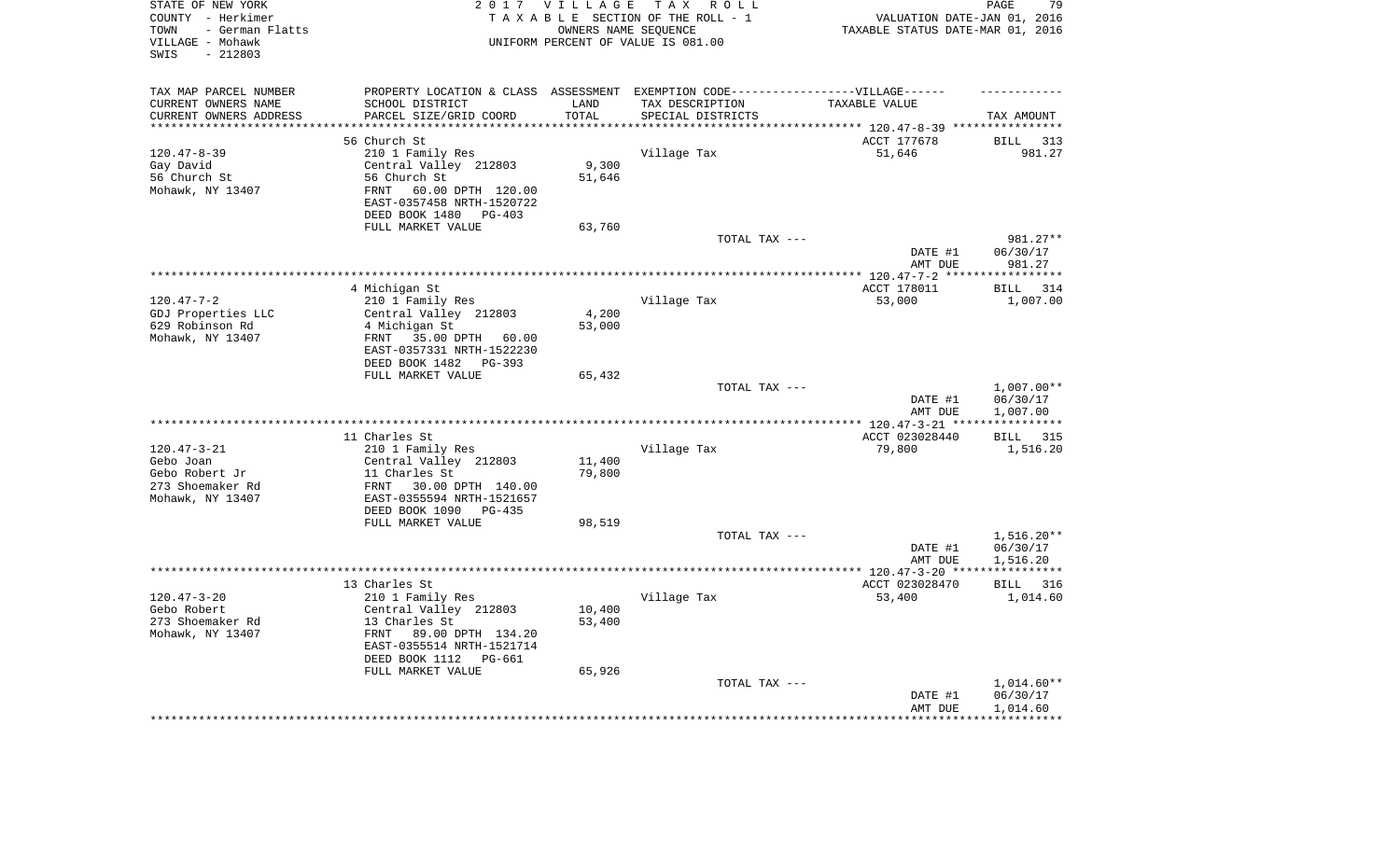| STATE OF NEW YORK<br>COUNTY - Herkimer<br>- German Flatts<br>TOWN<br>VILLAGE - Mohawk<br>$-212803$<br>SWIS |                                                                     | 2017 VILLAGE<br>OWNERS NAME SEQUENCE | T A X<br>R O L L<br>TAXABLE SECTION OF THE ROLL - 1<br>UNIFORM PERCENT OF VALUE IS 081.00            | VALUATION DATE-JAN 01, 2016<br>TAXABLE STATUS DATE-MAR 01, 2016 | PAGE<br>79                         |
|------------------------------------------------------------------------------------------------------------|---------------------------------------------------------------------|--------------------------------------|------------------------------------------------------------------------------------------------------|-----------------------------------------------------------------|------------------------------------|
| TAX MAP PARCEL NUMBER<br>CURRENT OWNERS NAME                                                               | SCHOOL DISTRICT                                                     | LAND                                 | PROPERTY LOCATION & CLASS ASSESSMENT EXEMPTION CODE-----------------VILLAGE------<br>TAX DESCRIPTION | TAXABLE VALUE                                                   |                                    |
| CURRENT OWNERS ADDRESS                                                                                     | PARCEL SIZE/GRID COORD                                              | TOTAL                                | SPECIAL DISTRICTS                                                                                    |                                                                 | TAX AMOUNT                         |
| *********************                                                                                      | ***********************                                             | *********                            | ************************************** 120.47-8-39 *****************                                 |                                                                 |                                    |
|                                                                                                            | 56 Church St                                                        |                                      |                                                                                                      | ACCT 177678                                                     | <b>BILL</b><br>313                 |
| $120.47 - 8 - 39$                                                                                          | 210 1 Family Res                                                    |                                      | Village Tax                                                                                          | 51,646                                                          | 981.27                             |
| Gay David                                                                                                  | Central Valley 212803                                               | 9,300                                |                                                                                                      |                                                                 |                                    |
| 56 Church St                                                                                               | 56 Church St                                                        | 51,646                               |                                                                                                      |                                                                 |                                    |
| Mohawk, NY 13407                                                                                           | 60.00 DPTH 120.00<br><b>FRNT</b><br>EAST-0357458 NRTH-1520722       |                                      |                                                                                                      |                                                                 |                                    |
|                                                                                                            | DEED BOOK 1480<br>$PG-403$                                          |                                      |                                                                                                      |                                                                 |                                    |
|                                                                                                            | FULL MARKET VALUE                                                   | 63,760                               | TOTAL TAX ---                                                                                        |                                                                 | 981.27**                           |
|                                                                                                            |                                                                     |                                      |                                                                                                      | DATE #1                                                         | 06/30/17                           |
|                                                                                                            |                                                                     |                                      |                                                                                                      | AMT DUE                                                         | 981.27                             |
|                                                                                                            |                                                                     |                                      |                                                                                                      |                                                                 | * * * * * * * * * * *              |
|                                                                                                            | 4 Michigan St                                                       |                                      |                                                                                                      | ACCT 178011                                                     | 314<br><b>BILL</b>                 |
| $120.47 - 7 - 2$                                                                                           | 210 1 Family Res                                                    |                                      | Village Tax                                                                                          | 53,000                                                          | 1,007.00                           |
| GDJ Properties LLC                                                                                         | Central Valley 212803                                               | 4,200                                |                                                                                                      |                                                                 |                                    |
| 629 Robinson Rd<br>Mohawk, NY 13407                                                                        | 4 Michigan St<br>FRNT<br>35.00 DPTH 60.00                           | 53,000                               |                                                                                                      |                                                                 |                                    |
|                                                                                                            | EAST-0357331 NRTH-1522230                                           |                                      |                                                                                                      |                                                                 |                                    |
|                                                                                                            | DEED BOOK 1482<br>PG-393<br>FULL MARKET VALUE                       | 65,432                               |                                                                                                      |                                                                 |                                    |
|                                                                                                            |                                                                     |                                      | TOTAL TAX ---                                                                                        |                                                                 | $1,007.00**$                       |
|                                                                                                            |                                                                     |                                      |                                                                                                      | DATE #1<br>AMT DUE                                              | 06/30/17<br>1,007.00               |
|                                                                                                            |                                                                     |                                      |                                                                                                      |                                                                 | ***********                        |
|                                                                                                            | 11 Charles St                                                       |                                      |                                                                                                      | ACCT 023028440                                                  | 315<br>BILL                        |
| $120.47 - 3 - 21$                                                                                          | 210 1 Family Res                                                    |                                      | Village Tax                                                                                          | 79,800                                                          | 1,516.20                           |
| Gebo Joan                                                                                                  | Central Valley 212803                                               | 11,400                               |                                                                                                      |                                                                 |                                    |
| Gebo Robert Jr                                                                                             | 11 Charles St                                                       | 79,800                               |                                                                                                      |                                                                 |                                    |
| 273 Shoemaker Rd<br>Mohawk, NY 13407                                                                       | 30.00 DPTH 140.00<br>FRNT<br>EAST-0355594 NRTH-1521657              |                                      |                                                                                                      |                                                                 |                                    |
|                                                                                                            | DEED BOOK 1090<br>PG-435                                            |                                      |                                                                                                      |                                                                 |                                    |
|                                                                                                            | FULL MARKET VALUE                                                   | 98,519                               |                                                                                                      |                                                                 |                                    |
|                                                                                                            |                                                                     |                                      | TOTAL TAX ---                                                                                        |                                                                 | $1,516.20**$                       |
|                                                                                                            |                                                                     |                                      |                                                                                                      | DATE #1<br>AMT DUE                                              | 06/30/17<br>1,516.20               |
|                                                                                                            |                                                                     |                                      |                                                                                                      |                                                                 | ***********                        |
|                                                                                                            | 13 Charles St                                                       |                                      |                                                                                                      | ACCT 023028470                                                  | 316<br>BILL                        |
| $120.47 - 3 - 20$                                                                                          | 210 1 Family Res                                                    |                                      | Village Tax                                                                                          | 53,400                                                          | 1,014.60                           |
| Gebo Robert<br>273 Shoemaker Rd<br>Mohawk, NY 13407                                                        | Central Valley 212803<br>13 Charles St<br>89.00 DPTH 134.20<br>FRNT | 10,400<br>53,400                     |                                                                                                      |                                                                 |                                    |
|                                                                                                            | EAST-0355514 NRTH-1521714<br>DEED BOOK 1112<br>PG-661               |                                      |                                                                                                      |                                                                 |                                    |
|                                                                                                            | FULL MARKET VALUE                                                   | 65,926                               |                                                                                                      |                                                                 |                                    |
|                                                                                                            |                                                                     |                                      | TOTAL TAX ---                                                                                        | DATE #1<br>AMT DUE                                              | 1,014.60**<br>06/30/17<br>1,014.60 |
|                                                                                                            |                                                                     |                                      |                                                                                                      |                                                                 | **********                         |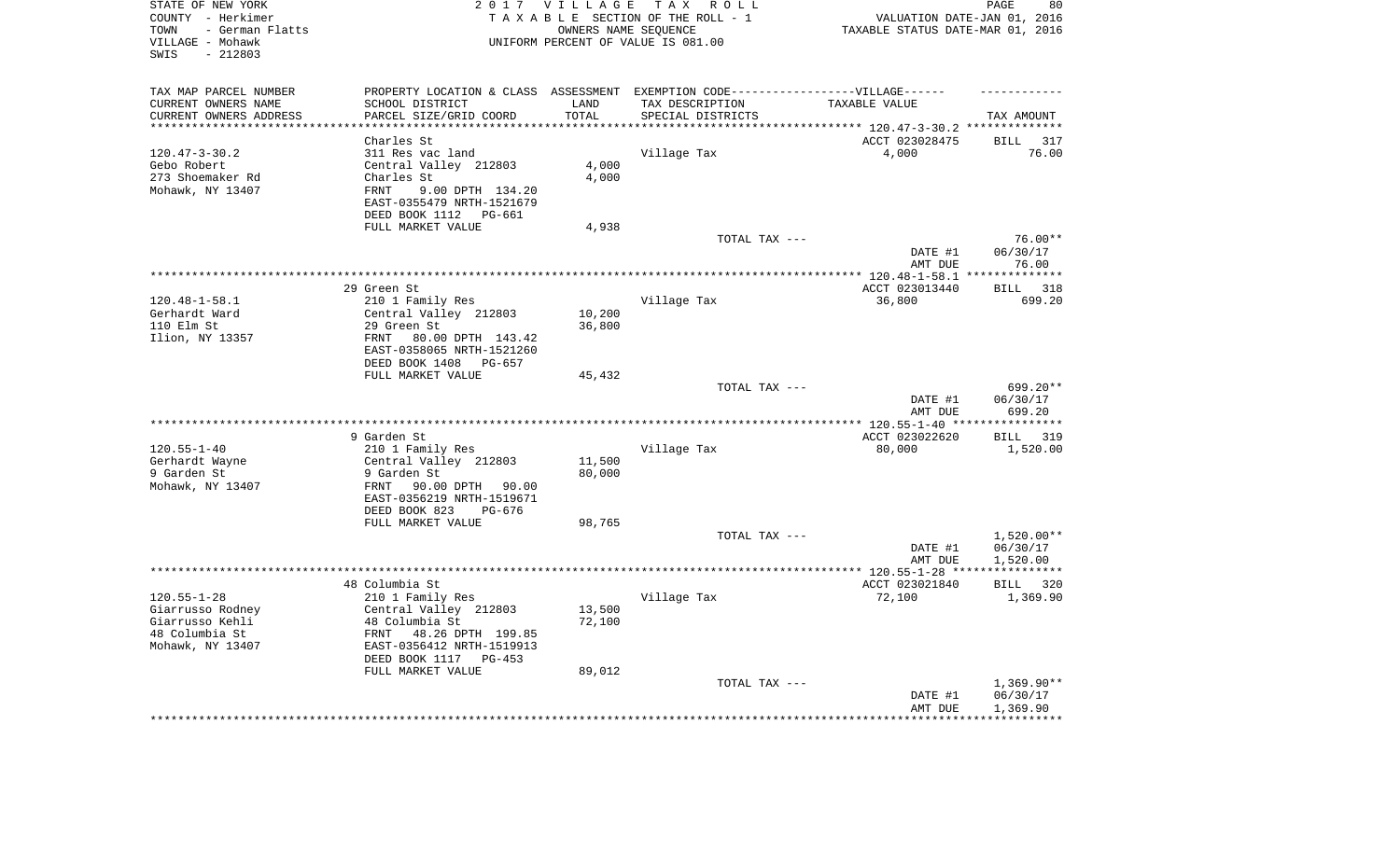| STATE OF NEW YORK<br>COUNTY - Herkimer<br>- German Flatts<br>TOWN<br>VILLAGE - Mohawk<br>$-212803$<br>SWIS | 2 0 1 7                                                                           | <b>VILLAGE</b>         | T A X<br>R O L L<br>TAXABLE SECTION OF THE ROLL - 1<br>OWNERS NAME SEQUENCE<br>UNIFORM PERCENT OF VALUE IS 081.00 | VALUATION DATE-JAN 01, 2016<br>TAXABLE STATUS DATE-MAR 01, 2016 | 80<br>PAGE                        |
|------------------------------------------------------------------------------------------------------------|-----------------------------------------------------------------------------------|------------------------|-------------------------------------------------------------------------------------------------------------------|-----------------------------------------------------------------|-----------------------------------|
| TAX MAP PARCEL NUMBER                                                                                      | PROPERTY LOCATION & CLASS ASSESSMENT EXEMPTION CODE-----------------VILLAGE------ |                        |                                                                                                                   |                                                                 |                                   |
| CURRENT OWNERS NAME                                                                                        | SCHOOL DISTRICT                                                                   | LAND                   | TAX DESCRIPTION                                                                                                   | TAXABLE VALUE                                                   |                                   |
| CURRENT OWNERS ADDRESS<br>**********************                                                           | PARCEL SIZE/GRID COORD<br>***********************                                 | TOTAL<br>************* | SPECIAL DISTRICTS                                                                                                 |                                                                 | TAX AMOUNT                        |
|                                                                                                            | Charles St                                                                        |                        |                                                                                                                   | ACCT 023028475                                                  | BILL<br>317                       |
| $120.47 - 3 - 30.2$                                                                                        | 311 Res vac land                                                                  |                        | Village Tax                                                                                                       | 4,000                                                           | 76.00                             |
| Gebo Robert                                                                                                | Central Valley 212803                                                             | 4,000                  |                                                                                                                   |                                                                 |                                   |
| 273 Shoemaker Rd                                                                                           | Charles St                                                                        | 4,000                  |                                                                                                                   |                                                                 |                                   |
| Mohawk, NY 13407                                                                                           | <b>FRNT</b><br>9.00 DPTH 134.20                                                   |                        |                                                                                                                   |                                                                 |                                   |
|                                                                                                            | EAST-0355479 NRTH-1521679<br>DEED BOOK 1112<br>PG-661                             |                        |                                                                                                                   |                                                                 |                                   |
|                                                                                                            | FULL MARKET VALUE                                                                 | 4,938                  |                                                                                                                   |                                                                 |                                   |
|                                                                                                            |                                                                                   |                        | TOTAL TAX ---                                                                                                     |                                                                 | $76.00**$                         |
|                                                                                                            |                                                                                   |                        |                                                                                                                   | DATE #1<br>AMT DUE                                              | 06/30/17<br>76.00                 |
|                                                                                                            | .                                                                                 |                        |                                                                                                                   | ********** 120.48-1-58.1                                        | **************                    |
|                                                                                                            | 29 Green St                                                                       |                        |                                                                                                                   | ACCT 023013440                                                  | 318<br><b>BILL</b>                |
| $120.48 - 1 - 58.1$                                                                                        | 210 1 Family Res                                                                  |                        | Village Tax                                                                                                       | 36,800                                                          | 699.20                            |
| Gerhardt Ward                                                                                              | Central Valley 212803                                                             | 10,200                 |                                                                                                                   |                                                                 |                                   |
| 110 Elm St                                                                                                 | 29 Green St                                                                       | 36,800                 |                                                                                                                   |                                                                 |                                   |
| Ilion, NY 13357                                                                                            | FRNT<br>80.00 DPTH 143.42                                                         |                        |                                                                                                                   |                                                                 |                                   |
|                                                                                                            | EAST-0358065 NRTH-1521260                                                         |                        |                                                                                                                   |                                                                 |                                   |
|                                                                                                            | DEED BOOK 1408<br>PG-657                                                          |                        |                                                                                                                   |                                                                 |                                   |
|                                                                                                            | FULL MARKET VALUE                                                                 | 45,432                 |                                                                                                                   |                                                                 |                                   |
|                                                                                                            |                                                                                   |                        | TOTAL TAX ---                                                                                                     | DATE #1                                                         | 699.20**<br>06/30/17              |
|                                                                                                            |                                                                                   |                        |                                                                                                                   | AMT DUE<br>** $120.55 - 1 - 40$ **                              | 699.20<br>*********               |
|                                                                                                            | 9 Garden St                                                                       |                        |                                                                                                                   | ACCT 023022620                                                  | 319<br>BILL                       |
| $120.55 - 1 - 40$                                                                                          | 210 1 Family Res                                                                  |                        | Village Tax                                                                                                       | 80,000                                                          | 1,520.00                          |
| Gerhardt Wayne                                                                                             | Central Valley 212803                                                             | 11,500                 |                                                                                                                   |                                                                 |                                   |
| 9 Garden St                                                                                                | 9 Garden St                                                                       | 80,000                 |                                                                                                                   |                                                                 |                                   |
| Mohawk, NY 13407                                                                                           | FRNT<br>90.00 DPTH<br>90.00                                                       |                        |                                                                                                                   |                                                                 |                                   |
|                                                                                                            | EAST-0356219 NRTH-1519671                                                         |                        |                                                                                                                   |                                                                 |                                   |
|                                                                                                            | DEED BOOK 823<br>$PG-676$                                                         |                        |                                                                                                                   |                                                                 |                                   |
|                                                                                                            | FULL MARKET VALUE                                                                 | 98,765                 |                                                                                                                   |                                                                 |                                   |
|                                                                                                            |                                                                                   |                        | TOTAL TAX ---                                                                                                     |                                                                 | $1,520.00**$                      |
|                                                                                                            |                                                                                   |                        |                                                                                                                   | DATE #1                                                         | 06/30/17                          |
|                                                                                                            |                                                                                   |                        |                                                                                                                   | AMT DUE<br>***************** 120.55-1-28 ****                   | 1,520.00<br>* * * * * * * * * * * |
|                                                                                                            | 48 Columbia St                                                                    |                        |                                                                                                                   | ACCT 023021840                                                  | BILL 320                          |
| $120.55 - 1 - 28$                                                                                          | 210 1 Family Res                                                                  |                        | Village Tax                                                                                                       | 72,100                                                          | 1,369.90                          |
| Giarrusso Rodney                                                                                           | Central Valley 212803                                                             | 13,500                 |                                                                                                                   |                                                                 |                                   |
| Giarrusso Kehli                                                                                            | 48 Columbia St                                                                    | 72,100                 |                                                                                                                   |                                                                 |                                   |
| 48 Columbia St                                                                                             | FRNT<br>48.26 DPTH 199.85                                                         |                        |                                                                                                                   |                                                                 |                                   |
| Mohawk, NY 13407                                                                                           | EAST-0356412 NRTH-1519913                                                         |                        |                                                                                                                   |                                                                 |                                   |
|                                                                                                            | DEED BOOK 1117<br>$PG-453$                                                        |                        |                                                                                                                   |                                                                 |                                   |
|                                                                                                            | FULL MARKET VALUE                                                                 | 89,012                 |                                                                                                                   |                                                                 |                                   |
|                                                                                                            |                                                                                   |                        | TOTAL TAX ---                                                                                                     | DATE #1                                                         | $1,369.90**$<br>06/30/17          |
|                                                                                                            |                                                                                   |                        |                                                                                                                   | AMT DUE                                                         | 1,369.90                          |
|                                                                                                            |                                                                                   |                        |                                                                                                                   |                                                                 |                                   |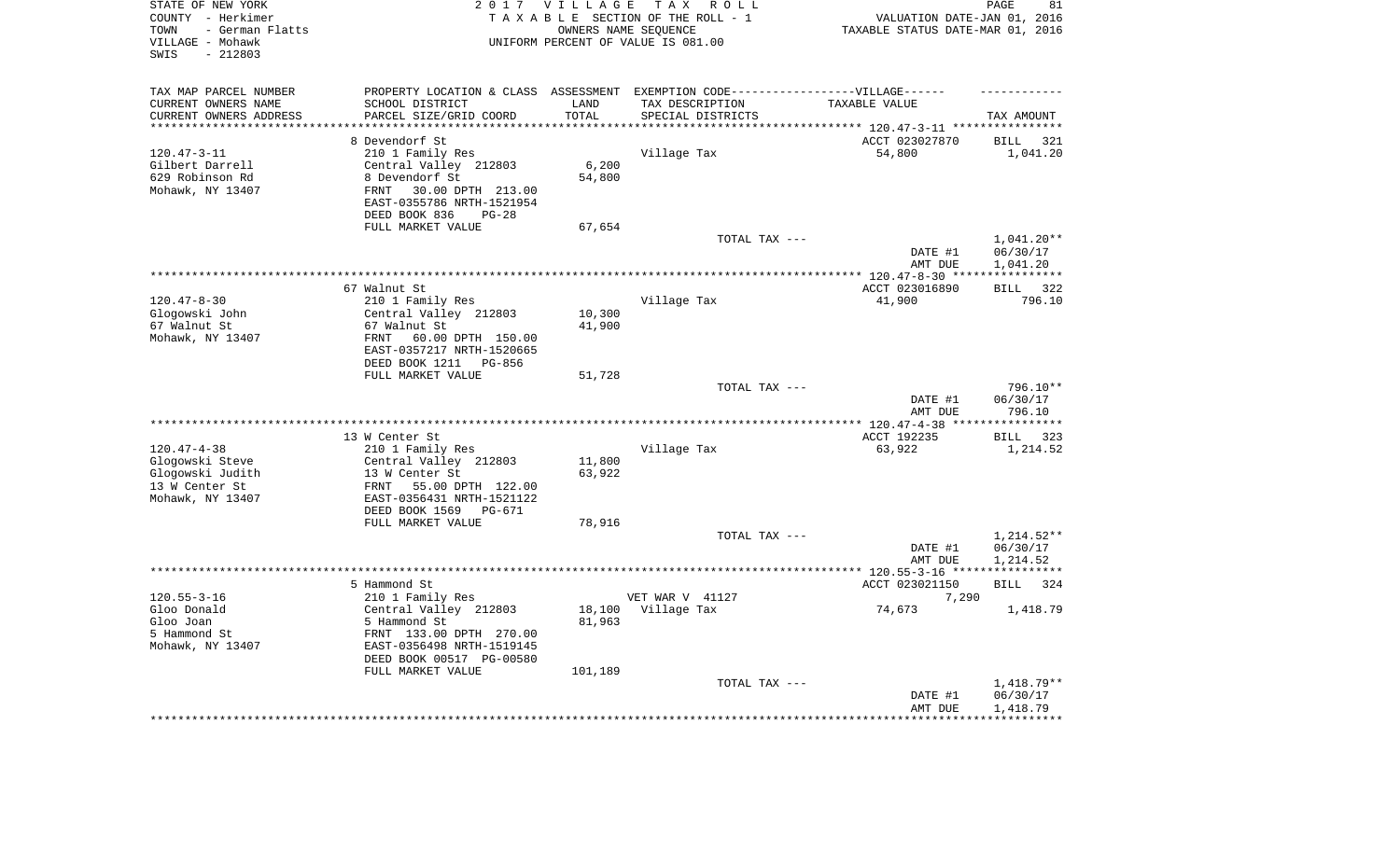| STATE OF NEW YORK<br>COUNTY - Herkimer<br>- German Flatts<br>TOWN<br>VILLAGE - Mohawk<br>$-212803$<br>SWIS |                                                        | 2017 VILLAGE             | T A X<br>R O L L<br>TAXABLE SECTION OF THE ROLL - 1<br>OWNERS NAME SEQUENCE<br>UNIFORM PERCENT OF VALUE IS 081.00 | VALUATION DATE-JAN 01, 2016<br>TAXABLE STATUS DATE-MAR 01, 2016 | PAGE<br>81               |
|------------------------------------------------------------------------------------------------------------|--------------------------------------------------------|--------------------------|-------------------------------------------------------------------------------------------------------------------|-----------------------------------------------------------------|--------------------------|
| TAX MAP PARCEL NUMBER                                                                                      |                                                        |                          | PROPERTY LOCATION & CLASS ASSESSMENT EXEMPTION CODE-----------------VILLAGE------                                 |                                                                 |                          |
| CURRENT OWNERS NAME                                                                                        | SCHOOL DISTRICT                                        | LAND                     | TAX DESCRIPTION                                                                                                   | TAXABLE VALUE                                                   |                          |
| CURRENT OWNERS ADDRESS<br>********************                                                             | PARCEL SIZE/GRID COORD                                 | TOTAL<br>* * * * * * * * | SPECIAL DISTRICTS                                                                                                 | *************************** 120.47-3-11 ****************        | TAX AMOUNT               |
|                                                                                                            | 8 Devendorf St                                         |                          |                                                                                                                   | ACCT 023027870                                                  | <b>BILL</b><br>321       |
| $120.47 - 3 - 11$                                                                                          | 210 1 Family Res                                       |                          | Village Tax                                                                                                       | 54,800                                                          | 1,041.20                 |
| Gilbert Darrell                                                                                            | Central Valley 212803                                  | 6,200                    |                                                                                                                   |                                                                 |                          |
| 629 Robinson Rd                                                                                            | 8 Devendorf St                                         | 54,800                   |                                                                                                                   |                                                                 |                          |
| Mohawk, NY 13407                                                                                           | 30.00 DPTH 213.00<br>FRNT                              |                          |                                                                                                                   |                                                                 |                          |
|                                                                                                            | EAST-0355786 NRTH-1521954                              |                          |                                                                                                                   |                                                                 |                          |
|                                                                                                            | DEED BOOK 836<br>$PG-28$                               |                          |                                                                                                                   |                                                                 |                          |
|                                                                                                            | FULL MARKET VALUE                                      | 67,654                   | TOTAL TAX ---                                                                                                     |                                                                 | 1,041.20**               |
|                                                                                                            |                                                        |                          |                                                                                                                   | DATE #1                                                         | 06/30/17                 |
|                                                                                                            |                                                        |                          |                                                                                                                   | AMT DUE                                                         | 1,041.20                 |
|                                                                                                            |                                                        |                          | *******************************                                                                                   | ******** 120.47-8-30 ***                                        | ***********              |
|                                                                                                            | 67 Walnut St                                           |                          |                                                                                                                   | ACCT 023016890                                                  | 322<br><b>BILL</b>       |
| $120.47 - 8 - 30$                                                                                          | 210 1 Family Res                                       |                          | Village Tax                                                                                                       | 41,900                                                          | 796.10                   |
| Glogowski John                                                                                             | Central Valley 212803                                  | 10,300                   |                                                                                                                   |                                                                 |                          |
| 67 Walnut St                                                                                               | 67 Walnut St                                           | 41,900                   |                                                                                                                   |                                                                 |                          |
| Mohawk, NY 13407                                                                                           | FRNT<br>60.00 DPTH 150.00<br>EAST-0357217 NRTH-1520665 |                          |                                                                                                                   |                                                                 |                          |
|                                                                                                            | DEED BOOK 1211<br>PG-856                               |                          |                                                                                                                   |                                                                 |                          |
|                                                                                                            | FULL MARKET VALUE                                      | 51,728                   |                                                                                                                   |                                                                 |                          |
|                                                                                                            |                                                        |                          | TOTAL TAX ---                                                                                                     |                                                                 | 796.10**                 |
|                                                                                                            |                                                        |                          |                                                                                                                   | DATE #1                                                         | 06/30/17                 |
|                                                                                                            |                                                        |                          |                                                                                                                   | AMT DUE                                                         | 796.10                   |
|                                                                                                            |                                                        |                          |                                                                                                                   | * $120.47 - 4 - 38$ **                                          | *********                |
|                                                                                                            | 13 W Center St                                         |                          |                                                                                                                   | ACCT 192235                                                     | 323<br>BILL              |
| $120.47 - 4 - 38$<br>Glogowski Steve                                                                       | 210 1 Family Res<br>Central Valley 212803              | 11,800                   | Village Tax                                                                                                       | 63,922                                                          | 1,214.52                 |
| Glogowski Judith                                                                                           | 13 W Center St                                         | 63,922                   |                                                                                                                   |                                                                 |                          |
| 13 W Center St                                                                                             | FRNT<br>55.00 DPTH 122.00                              |                          |                                                                                                                   |                                                                 |                          |
| Mohawk, NY 13407                                                                                           | EAST-0356431 NRTH-1521122                              |                          |                                                                                                                   |                                                                 |                          |
|                                                                                                            | DEED BOOK 1569<br>PG-671                               |                          |                                                                                                                   |                                                                 |                          |
|                                                                                                            | FULL MARKET VALUE                                      | 78,916                   |                                                                                                                   |                                                                 |                          |
|                                                                                                            |                                                        |                          | TOTAL TAX ---                                                                                                     |                                                                 | 1,214.52**               |
|                                                                                                            |                                                        |                          |                                                                                                                   | DATE #1                                                         | 06/30/17                 |
| ********************                                                                                       |                                                        |                          |                                                                                                                   | AMT DUE<br>*********** 120.55-3-16 ****                         | 1,214.52<br>************ |
|                                                                                                            | 5 Hammond St                                           |                          |                                                                                                                   | ACCT 023021150                                                  | <b>BILL</b><br>324       |
| $120.55 - 3 - 16$                                                                                          | 210 1 Family Res                                       |                          | VET WAR V 41127                                                                                                   | 7,290                                                           |                          |
| Gloo Donald                                                                                                | Central Valley 212803                                  | 18,100                   | Village Tax                                                                                                       | 74,673                                                          | 1,418.79                 |
| Gloo Joan                                                                                                  | 5 Hammond St                                           | 81,963                   |                                                                                                                   |                                                                 |                          |
| 5 Hammond St                                                                                               | FRNT 133.00 DPTH 270.00                                |                          |                                                                                                                   |                                                                 |                          |
| Mohawk, NY 13407                                                                                           | EAST-0356498 NRTH-1519145                              |                          |                                                                                                                   |                                                                 |                          |
|                                                                                                            | DEED BOOK 00517 PG-00580                               |                          |                                                                                                                   |                                                                 |                          |
|                                                                                                            | FULL MARKET VALUE                                      | 101,189                  | TOTAL TAX ---                                                                                                     |                                                                 | 1,418.79**               |
|                                                                                                            |                                                        |                          |                                                                                                                   | DATE #1                                                         | 06/30/17                 |
|                                                                                                            |                                                        |                          |                                                                                                                   | AMT DUE                                                         | 1,418.79                 |
|                                                                                                            |                                                        |                          |                                                                                                                   |                                                                 |                          |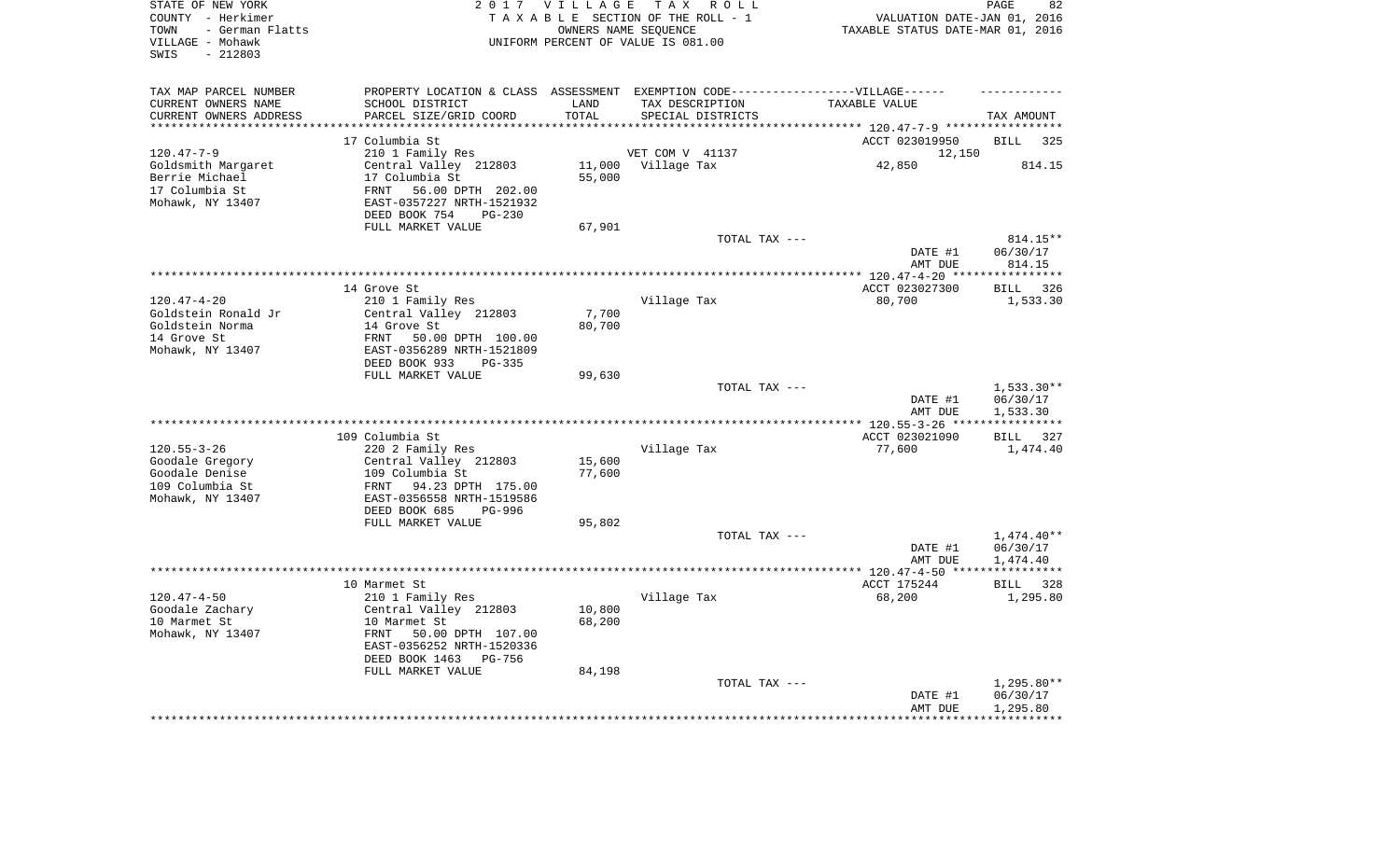| STATE OF NEW YORK<br>COUNTY - Herkimer<br>- German Flatts<br>TOWN<br>VILLAGE - Mohawk<br>$-212803$<br>SWIS | 2017 VILLAGE<br>TAXABLE SECTION OF THE ROLL - 1<br>UNIFORM PERCENT OF VALUE IS 081.00 | TAX ROLL<br>OWNERS NAME SEQUENCE                                                  | VALUATION DATE-JAN 01, 2016<br>TAXABLE STATUS DATE-MAR 01, 2016            | PAGE<br>82           |
|------------------------------------------------------------------------------------------------------------|---------------------------------------------------------------------------------------|-----------------------------------------------------------------------------------|----------------------------------------------------------------------------|----------------------|
| TAX MAP PARCEL NUMBER                                                                                      |                                                                                       | PROPERTY LOCATION & CLASS ASSESSMENT EXEMPTION CODE-----------------VILLAGE------ |                                                                            |                      |
| CURRENT OWNERS NAME<br>SCHOOL DISTRICT                                                                     | LAND                                                                                  | TAX DESCRIPTION                                                                   | TAXABLE VALUE                                                              |                      |
| CURRENT OWNERS ADDRESS<br>PARCEL SIZE/GRID COORD<br>********************                                   | TOTAL<br>******                                                                       | SPECIAL DISTRICTS                                                                 |                                                                            | TAX AMOUNT           |
| 17 Columbia St                                                                                             |                                                                                       |                                                                                   | *************************** 120.47-7-9 *****************<br>ACCT 023019950 | <b>BILL</b><br>325   |
| $120.47 - 7 - 9$<br>210 1 Family Res                                                                       |                                                                                       | VET COM V 41137                                                                   | 12,150                                                                     |                      |
| Goldsmith Margaret<br>Central Valley 212803                                                                | 11,000                                                                                | Village Tax                                                                       | 42,850                                                                     | 814.15               |
| Berrie Michael<br>17 Columbia St                                                                           | 55,000                                                                                |                                                                                   |                                                                            |                      |
| 17 Columbia St<br><b>FRNT</b><br>56.00 DPTH 202.00                                                         |                                                                                       |                                                                                   |                                                                            |                      |
| Mohawk, NY 13407<br>EAST-0357227 NRTH-1521932                                                              |                                                                                       |                                                                                   |                                                                            |                      |
| DEED BOOK 754                                                                                              | $PG-230$                                                                              |                                                                                   |                                                                            |                      |
| FULL MARKET VALUE                                                                                          | 67,901                                                                                |                                                                                   |                                                                            |                      |
|                                                                                                            |                                                                                       | TOTAL TAX ---                                                                     |                                                                            | 814.15**             |
|                                                                                                            |                                                                                       |                                                                                   | DATE #1                                                                    | 06/30/17<br>814.15   |
|                                                                                                            |                                                                                       |                                                                                   | AMT DUE<br>********* 120.47-4-20 ***                                       | ***********          |
| 14 Grove St                                                                                                |                                                                                       |                                                                                   | ACCT 023027300                                                             | 326<br><b>BILL</b>   |
| $120.47 - 4 - 20$<br>210 1 Family Res                                                                      |                                                                                       | Village Tax                                                                       | 80,700                                                                     | 1,533.30             |
| Central Valley 212803<br>Goldstein Ronald Jr                                                               | 7,700                                                                                 |                                                                                   |                                                                            |                      |
| Goldstein Norma<br>14 Grove St                                                                             | 80,700                                                                                |                                                                                   |                                                                            |                      |
| 14 Grove St<br>FRNT<br>50.00 DPTH 100.00                                                                   |                                                                                       |                                                                                   |                                                                            |                      |
| Mohawk, NY 13407<br>EAST-0356289 NRTH-1521809                                                              |                                                                                       |                                                                                   |                                                                            |                      |
| DEED BOOK 933<br>FULL MARKET VALUE                                                                         | $PG-335$<br>99,630                                                                    |                                                                                   |                                                                            |                      |
|                                                                                                            |                                                                                       | TOTAL TAX ---                                                                     |                                                                            | $1,533.30**$         |
|                                                                                                            |                                                                                       |                                                                                   | DATE #1                                                                    | 06/30/17             |
|                                                                                                            |                                                                                       |                                                                                   | AMT DUE                                                                    | 1,533.30             |
| *************************                                                                                  |                                                                                       |                                                                                   | $* 120.55 - 3 - 26$ **                                                     |                      |
| 109 Columbia St                                                                                            |                                                                                       |                                                                                   | ACCT 023021090                                                             | <b>BILL</b><br>327   |
| $120.55 - 3 - 26$<br>220 2 Family Res                                                                      |                                                                                       | Village Tax                                                                       | 77,600                                                                     | 1,474.40             |
| Goodale Gregory<br>Central Valley 212803                                                                   | 15,600                                                                                |                                                                                   |                                                                            |                      |
| Goodale Denise<br>109 Columbia St<br>109 Columbia St<br>FRNT<br>94.23 DPTH 175.00                          | 77,600                                                                                |                                                                                   |                                                                            |                      |
| Mohawk, NY 13407<br>EAST-0356558 NRTH-1519586                                                              |                                                                                       |                                                                                   |                                                                            |                      |
| DEED BOOK 685                                                                                              | $PG-996$                                                                              |                                                                                   |                                                                            |                      |
| FULL MARKET VALUE                                                                                          | 95,802                                                                                |                                                                                   |                                                                            |                      |
|                                                                                                            |                                                                                       | TOTAL TAX ---                                                                     |                                                                            | $1,474.40**$         |
|                                                                                                            |                                                                                       |                                                                                   | DATE #1                                                                    | 06/30/17             |
|                                                                                                            |                                                                                       |                                                                                   | AMT DUE                                                                    | 1,474.40             |
|                                                                                                            |                                                                                       |                                                                                   | ************** 120.47-4-50 *****                                           | ***********          |
| 10 Marmet St<br>$120.47 - 4 - 50$<br>210 1 Family Res                                                      |                                                                                       | Village Tax                                                                       | ACCT 175244<br>68,200                                                      | BILL 328<br>1,295.80 |
| Goodale Zachary<br>Central Valley 212803                                                                   | 10,800                                                                                |                                                                                   |                                                                            |                      |
| 10 Marmet St<br>10 Marmet St                                                                               | 68,200                                                                                |                                                                                   |                                                                            |                      |
| Mohawk, NY 13407<br>FRNT<br>50.00 DPTH 107.00                                                              |                                                                                       |                                                                                   |                                                                            |                      |
| EAST-0356252 NRTH-1520336                                                                                  |                                                                                       |                                                                                   |                                                                            |                      |
| DEED BOOK 1463                                                                                             | PG-756                                                                                |                                                                                   |                                                                            |                      |
| FULL MARKET VALUE                                                                                          | 84,198                                                                                |                                                                                   |                                                                            |                      |
|                                                                                                            |                                                                                       | TOTAL TAX ---                                                                     |                                                                            | 1,295.80**           |
|                                                                                                            |                                                                                       |                                                                                   | DATE #1<br>AMT DUE                                                         | 06/30/17<br>1,295.80 |
|                                                                                                            |                                                                                       |                                                                                   |                                                                            |                      |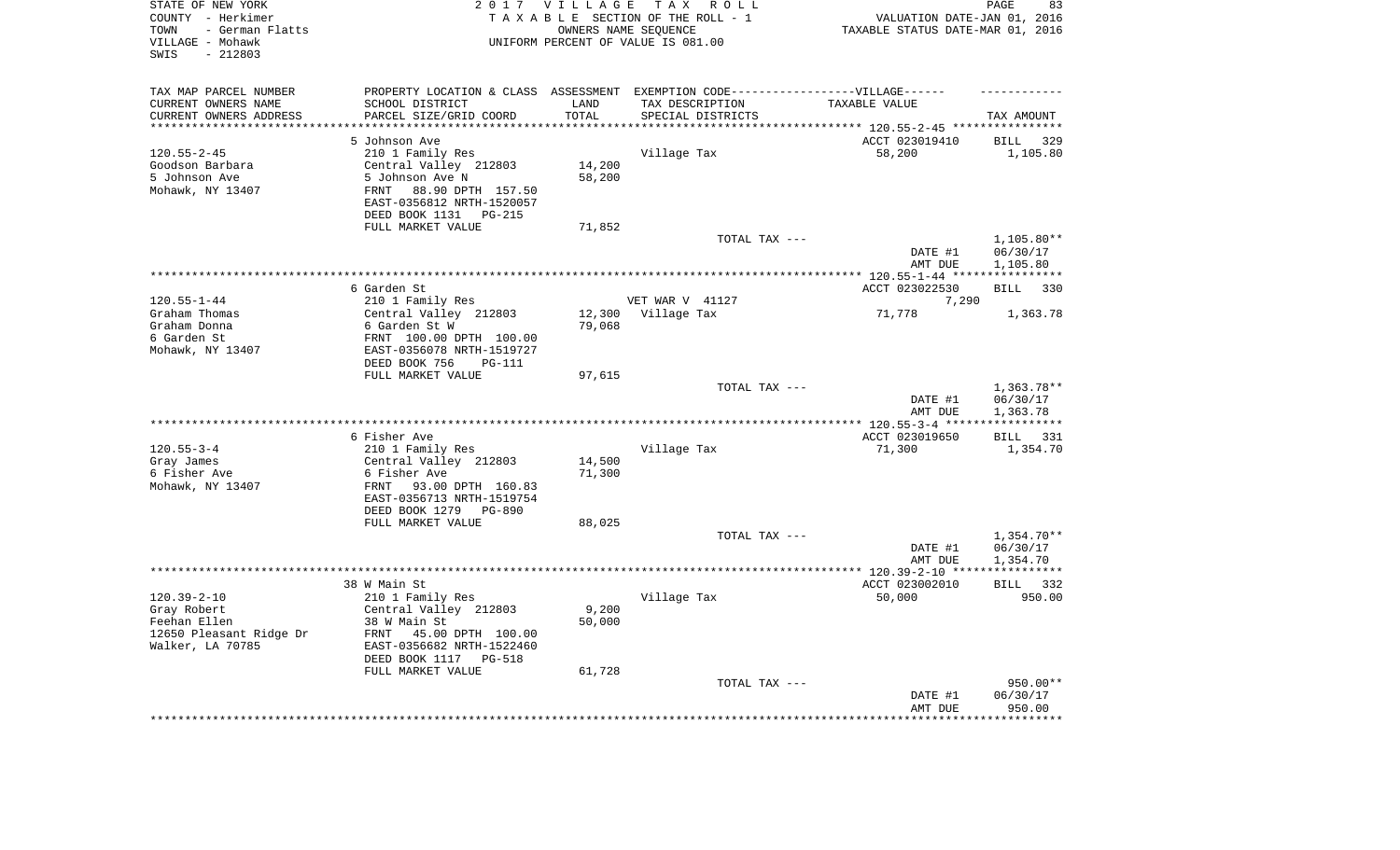| STATE OF NEW YORK<br>COUNTY - Herkimer<br>- German Flatts<br>TOWN<br>VILLAGE - Mohawk<br>$-212803$<br>SWIS |                                                             | 2017 VILLAGE<br>OWNERS NAME SEQUENCE | T A X<br>R O L L<br>TAXABLE SECTION OF THE ROLL - 1<br>UNIFORM PERCENT OF VALUE IS 081.00 | VALUATION DATE-JAN 01, 2016<br>TAXABLE STATUS DATE-MAR 01, 2016 | PAGE<br>83                      |
|------------------------------------------------------------------------------------------------------------|-------------------------------------------------------------|--------------------------------------|-------------------------------------------------------------------------------------------|-----------------------------------------------------------------|---------------------------------|
| TAX MAP PARCEL NUMBER                                                                                      |                                                             |                                      | PROPERTY LOCATION & CLASS ASSESSMENT EXEMPTION CODE-----------------VILLAGE------         |                                                                 |                                 |
| CURRENT OWNERS NAME                                                                                        | SCHOOL DISTRICT                                             | LAND                                 | TAX DESCRIPTION                                                                           | TAXABLE VALUE                                                   |                                 |
| CURRENT OWNERS ADDRESS<br>*********************                                                            | PARCEL SIZE/GRID COORD<br>***********************           | TOTAL<br>*********                   | SPECIAL DISTRICTS                                                                         |                                                                 | TAX AMOUNT                      |
|                                                                                                            |                                                             |                                      |                                                                                           | *********************************55-2-45 *****************      |                                 |
|                                                                                                            | 5 Johnson Ave                                               |                                      |                                                                                           | ACCT 023019410                                                  | <b>BILL</b><br>329              |
| $120.55 - 2 - 45$<br>Goodson Barbara                                                                       | 210 1 Family Res<br>Central Valley 212803                   | 14,200                               | Village Tax                                                                               | 58,200                                                          | 1,105.80                        |
| 5 Johnson Ave                                                                                              | 5 Johnson Ave N                                             | 58,200                               |                                                                                           |                                                                 |                                 |
| Mohawk, NY 13407                                                                                           | 88.90 DPTH 157.50<br><b>FRNT</b>                            |                                      |                                                                                           |                                                                 |                                 |
|                                                                                                            | EAST-0356812 NRTH-1520057                                   |                                      |                                                                                           |                                                                 |                                 |
|                                                                                                            | DEED BOOK 1131<br>$PG-215$<br>FULL MARKET VALUE             | 71,852                               |                                                                                           |                                                                 |                                 |
|                                                                                                            |                                                             |                                      | TOTAL TAX ---                                                                             |                                                                 | 1,105.80**                      |
|                                                                                                            |                                                             |                                      |                                                                                           | DATE #1                                                         | 06/30/17                        |
|                                                                                                            |                                                             |                                      |                                                                                           | AMT DUE                                                         | 1,105.80                        |
|                                                                                                            | 6 Garden St                                                 |                                      |                                                                                           | ACCT 023022530                                                  | <b>BILL</b><br>330              |
| $120.55 - 1 - 44$                                                                                          | 210 1 Family Res                                            |                                      | VET WAR V 41127                                                                           | 7,290                                                           |                                 |
| Graham Thomas                                                                                              | Central Valley 212803                                       | 12,300                               | Village Tax                                                                               | 71,778                                                          | 1,363.78                        |
| Graham Donna                                                                                               | 6 Garden St W                                               | 79,068                               |                                                                                           |                                                                 |                                 |
| 6 Garden St                                                                                                | FRNT 100.00 DPTH 100.00                                     |                                      |                                                                                           |                                                                 |                                 |
| Mohawk, NY 13407                                                                                           | EAST-0356078 NRTH-1519727<br>DEED BOOK 756<br><b>PG-111</b> |                                      |                                                                                           |                                                                 |                                 |
|                                                                                                            | FULL MARKET VALUE                                           | 97,615                               |                                                                                           |                                                                 |                                 |
|                                                                                                            |                                                             |                                      | TOTAL TAX ---                                                                             |                                                                 | 1,363.78**                      |
|                                                                                                            |                                                             |                                      |                                                                                           | DATE #1                                                         | 06/30/17                        |
|                                                                                                            |                                                             |                                      |                                                                                           | AMT DUE                                                         | 1,363.78<br>* * * * * * * * * * |
|                                                                                                            | 6 Fisher Ave                                                |                                      |                                                                                           | ACCT 023019650                                                  | 331<br>BILL                     |
| $120.55 - 3 - 4$                                                                                           | 210 1 Family Res                                            |                                      | Village Tax                                                                               | 71,300                                                          | 1,354.70                        |
| Gray James                                                                                                 | Central Valley 212803                                       | 14,500                               |                                                                                           |                                                                 |                                 |
| 6 Fisher Ave                                                                                               | 6 Fisher Ave                                                | 71,300                               |                                                                                           |                                                                 |                                 |
| Mohawk, NY 13407                                                                                           | 93.00 DPTH 160.83<br>FRNT                                   |                                      |                                                                                           |                                                                 |                                 |
|                                                                                                            | EAST-0356713 NRTH-1519754                                   |                                      |                                                                                           |                                                                 |                                 |
|                                                                                                            | DEED BOOK 1279<br><b>PG-890</b>                             |                                      |                                                                                           |                                                                 |                                 |
|                                                                                                            | FULL MARKET VALUE                                           | 88,025                               |                                                                                           |                                                                 |                                 |
|                                                                                                            |                                                             |                                      | TOTAL TAX ---                                                                             |                                                                 | $1,354.70**$                    |
|                                                                                                            |                                                             |                                      |                                                                                           | DATE #1<br>AMT DUE                                              | 06/30/17<br>1,354.70            |
|                                                                                                            |                                                             |                                      |                                                                                           |                                                                 | ************                    |
|                                                                                                            | 38 W Main St                                                |                                      |                                                                                           | ACCT 023002010                                                  | BILL 332                        |
| $120.39 - 2 - 10$                                                                                          | 210 1 Family Res                                            |                                      | Village Tax                                                                               | 50,000                                                          | 950.00                          |
| Gray Robert                                                                                                | Central Valley 212803                                       | 9,200                                |                                                                                           |                                                                 |                                 |
| Feehan Ellen                                                                                               | 38 W Main St                                                | 50,000                               |                                                                                           |                                                                 |                                 |
| 12650 Pleasant Ridge Dr                                                                                    | 45.00 DPTH 100.00<br>FRNT                                   |                                      |                                                                                           |                                                                 |                                 |
| Walker, LA 70785                                                                                           | EAST-0356682 NRTH-1522460                                   |                                      |                                                                                           |                                                                 |                                 |
|                                                                                                            | DEED BOOK 1117<br><b>PG-518</b>                             |                                      |                                                                                           |                                                                 |                                 |
|                                                                                                            | FULL MARKET VALUE                                           | 61,728                               |                                                                                           |                                                                 | 950.00**                        |
|                                                                                                            |                                                             |                                      | TOTAL TAX ---                                                                             | DATE #1                                                         | 06/30/17                        |
|                                                                                                            |                                                             |                                      |                                                                                           | AMT DUE                                                         | 950.00                          |
|                                                                                                            |                                                             |                                      |                                                                                           | ************                                                    | *********                       |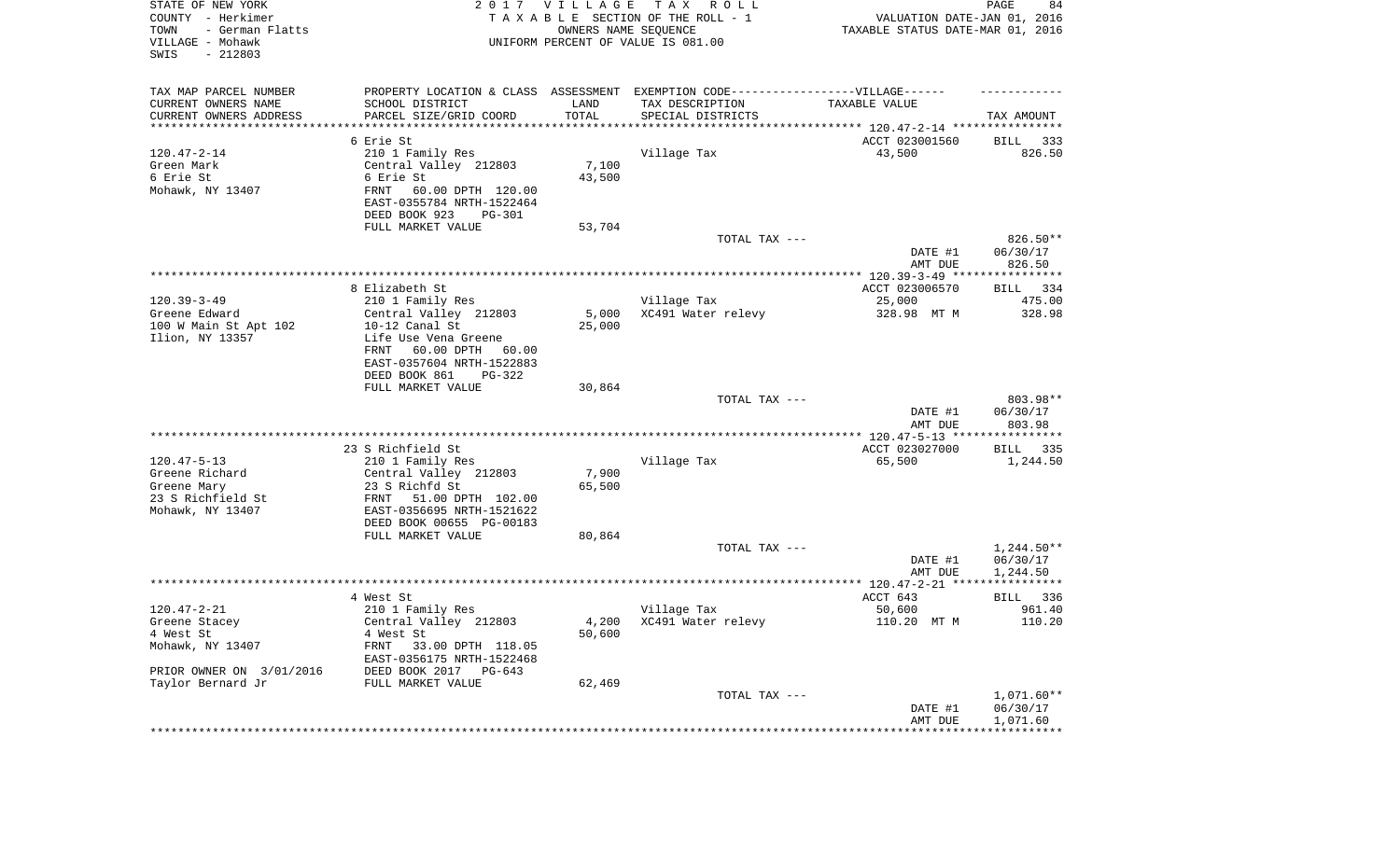| STATE OF NEW YORK<br>COUNTY - Herkimer<br>TOWN<br>- German Flatts<br>VILLAGE - Mohawk<br>SWIS<br>$-212803$ |                                                                                   | 2017 VILLAGE    | T A X<br>R O L L<br>TAXABLE SECTION OF THE ROLL - 1<br>OWNERS NAME SEQUENCE<br>UNIFORM PERCENT OF VALUE IS 081.00 | VALUATION DATE-JAN 01, 2016<br>TAXABLE STATUS DATE-MAR 01, 2016 | PAGE<br>84            |
|------------------------------------------------------------------------------------------------------------|-----------------------------------------------------------------------------------|-----------------|-------------------------------------------------------------------------------------------------------------------|-----------------------------------------------------------------|-----------------------|
| TAX MAP PARCEL NUMBER                                                                                      | PROPERTY LOCATION & CLASS ASSESSMENT EXEMPTION CODE-----------------VILLAGE------ |                 |                                                                                                                   |                                                                 |                       |
| CURRENT OWNERS NAME<br>CURRENT OWNERS ADDRESS                                                              | SCHOOL DISTRICT<br>PARCEL SIZE/GRID COORD                                         | LAND<br>TOTAL   | TAX DESCRIPTION<br>SPECIAL DISTRICTS                                                                              | TAXABLE VALUE                                                   | TAX AMOUNT            |
| **********************                                                                                     |                                                                                   |                 |                                                                                                                   |                                                                 |                       |
|                                                                                                            | 6 Erie St                                                                         |                 |                                                                                                                   | ACCT 023001560                                                  | BILL<br>333           |
| $120.47 - 2 - 14$                                                                                          | 210 1 Family Res                                                                  |                 | Village Tax                                                                                                       | 43,500                                                          | 826.50                |
| Green Mark                                                                                                 | Central Valley 212803                                                             | 7,100           |                                                                                                                   |                                                                 |                       |
| 6 Erie St                                                                                                  | 6 Erie St                                                                         | 43,500          |                                                                                                                   |                                                                 |                       |
| Mohawk, NY 13407                                                                                           | FRNT<br>60.00 DPTH 120.00                                                         |                 |                                                                                                                   |                                                                 |                       |
|                                                                                                            | EAST-0355784 NRTH-1522464<br>DEED BOOK 923<br><b>PG-301</b>                       |                 |                                                                                                                   |                                                                 |                       |
|                                                                                                            | FULL MARKET VALUE                                                                 | 53,704          |                                                                                                                   |                                                                 |                       |
|                                                                                                            |                                                                                   |                 | TOTAL TAX ---                                                                                                     |                                                                 | 826.50**              |
|                                                                                                            |                                                                                   |                 |                                                                                                                   | DATE #1                                                         | 06/30/17              |
|                                                                                                            |                                                                                   |                 |                                                                                                                   | AMT DUE                                                         | 826.50                |
|                                                                                                            |                                                                                   |                 |                                                                                                                   |                                                                 |                       |
| $120.39 - 3 - 49$                                                                                          | 8 Elizabeth St<br>210 1 Family Res                                                |                 | Village Tax                                                                                                       | ACCT 023006570<br>25,000                                        | BILL<br>334<br>475.00 |
| Greene Edward                                                                                              | Central Valley 212803                                                             | 5,000           | XC491 Water relevy                                                                                                | 328.98 MT M                                                     | 328.98                |
| 100 W Main St Apt 102                                                                                      | 10-12 Canal St                                                                    | 25,000          |                                                                                                                   |                                                                 |                       |
| Ilion, NY 13357                                                                                            | Life Use Vena Greene                                                              |                 |                                                                                                                   |                                                                 |                       |
|                                                                                                            | 60.00 DPTH<br>FRNT<br>60.00                                                       |                 |                                                                                                                   |                                                                 |                       |
|                                                                                                            | EAST-0357604 NRTH-1522883                                                         |                 |                                                                                                                   |                                                                 |                       |
|                                                                                                            | DEED BOOK 861<br>PG-322<br>FULL MARKET VALUE                                      | 30,864          |                                                                                                                   |                                                                 |                       |
|                                                                                                            |                                                                                   |                 | TOTAL TAX ---                                                                                                     |                                                                 | 803.98**              |
|                                                                                                            |                                                                                   |                 |                                                                                                                   | DATE #1<br>AMT DUE                                              | 06/30/17<br>803.98    |
|                                                                                                            |                                                                                   |                 |                                                                                                                   | ***************** 120.47-5-13 *****************                 |                       |
|                                                                                                            | 23 S Richfield St                                                                 |                 |                                                                                                                   | ACCT 023027000                                                  | BILL<br>335           |
| $120.47 - 5 - 13$                                                                                          | 210 1 Family Res                                                                  |                 | Village Tax                                                                                                       | 65,500                                                          | 1,244.50              |
| Greene Richard<br>Greene Mary                                                                              | Central Valley 212803<br>23 S Richfd St                                           | 7,900<br>65,500 |                                                                                                                   |                                                                 |                       |
| 23 S Richfield St                                                                                          | FRNT<br>51.00 DPTH 102.00                                                         |                 |                                                                                                                   |                                                                 |                       |
| Mohawk, NY 13407                                                                                           | EAST-0356695 NRTH-1521622                                                         |                 |                                                                                                                   |                                                                 |                       |
|                                                                                                            | DEED BOOK 00655 PG-00183                                                          |                 |                                                                                                                   |                                                                 |                       |
|                                                                                                            | FULL MARKET VALUE                                                                 | 80,864          |                                                                                                                   |                                                                 |                       |
|                                                                                                            |                                                                                   |                 | TOTAL TAX ---                                                                                                     |                                                                 | $1,244.50**$          |
|                                                                                                            |                                                                                   |                 |                                                                                                                   | DATE #1<br>AMT DUE                                              | 06/30/17<br>1,244.50  |
|                                                                                                            |                                                                                   |                 |                                                                                                                   |                                                                 |                       |
|                                                                                                            | 4 West St                                                                         |                 |                                                                                                                   | ACCT 643                                                        | 336<br>BILL           |
| $120.47 - 2 - 21$                                                                                          | 210 1 Family Res                                                                  |                 | Village Tax                                                                                                       | 50,600                                                          | 961.40                |
| Greene Stacey                                                                                              | Central Valley 212803                                                             |                 | 4,200 XC491 Water relevy                                                                                          | 110.20 MT M                                                     | 110.20                |
| 4 West St<br>Mohawk, NY 13407                                                                              | 4 West St<br>FRNT<br>33.00 DPTH 118.05                                            | 50,600          |                                                                                                                   |                                                                 |                       |
|                                                                                                            | EAST-0356175 NRTH-1522468                                                         |                 |                                                                                                                   |                                                                 |                       |
| PRIOR OWNER ON 3/01/2016                                                                                   | DEED BOOK 2017 PG-643                                                             |                 |                                                                                                                   |                                                                 |                       |
| Taylor Bernard Jr                                                                                          | FULL MARKET VALUE                                                                 | 62,469          |                                                                                                                   |                                                                 |                       |
|                                                                                                            |                                                                                   |                 | TOTAL TAX ---                                                                                                     |                                                                 | $1,071.60**$          |
|                                                                                                            |                                                                                   |                 |                                                                                                                   | DATE #1                                                         | 06/30/17              |
|                                                                                                            |                                                                                   |                 |                                                                                                                   | AMT DUE                                                         | 1,071.60              |
|                                                                                                            |                                                                                   |                 |                                                                                                                   |                                                                 |                       |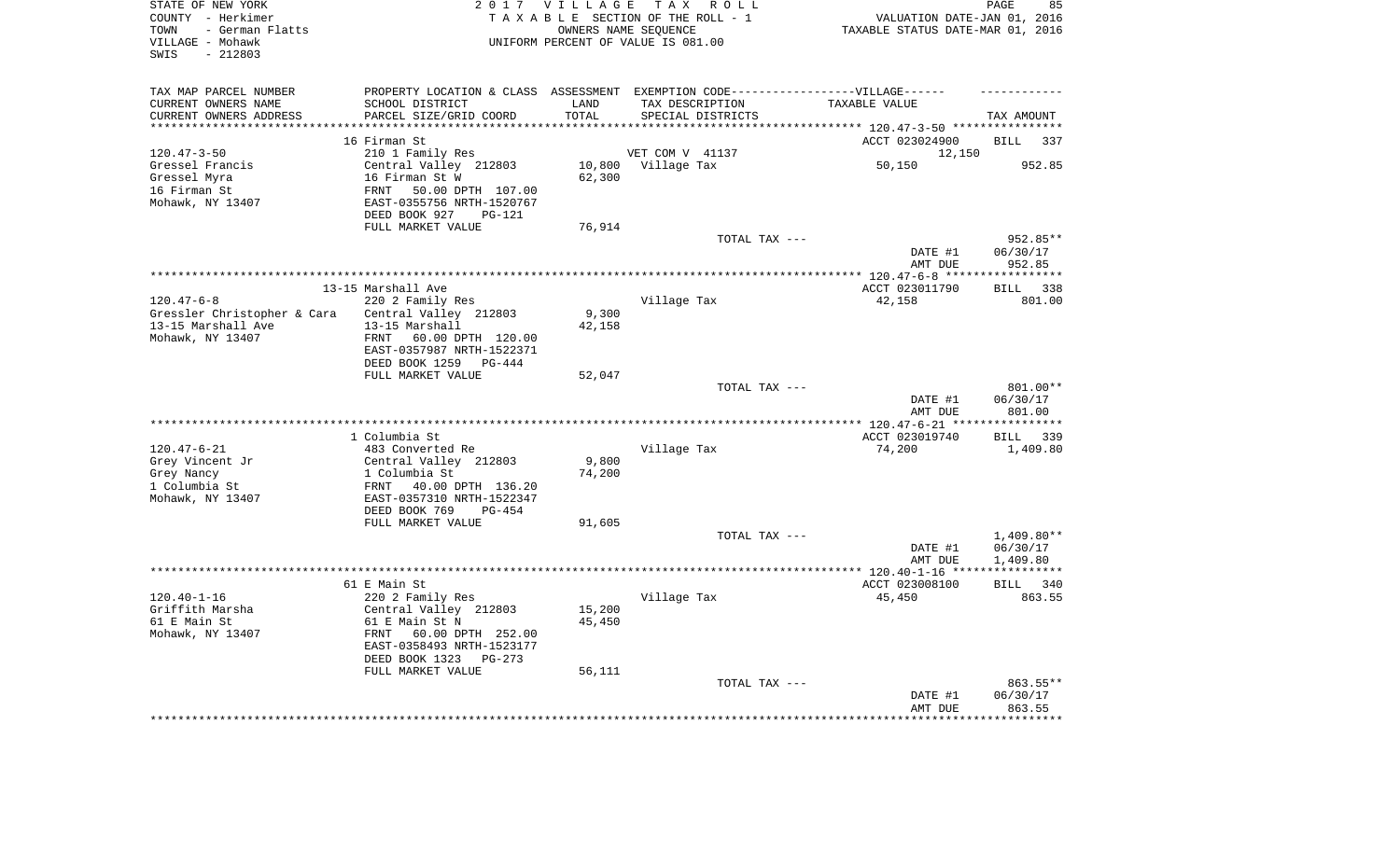| STATE OF NEW YORK<br>COUNTY - Herkimer<br>- German Flatts<br>TOWN<br>VILLAGE - Mohawk<br>$-212803$<br>SWIS |                                                        | 2017 VILLAGE | TAX ROLL<br>TAXABLE SECTION OF THE ROLL - 1<br>OWNERS NAME SEQUENCE<br>UNIFORM PERCENT OF VALUE IS 081.00 | VALUATION DATE-JAN 01, 2016<br>TAXABLE STATUS DATE-MAR 01, 2016 | PAGE<br>85             |
|------------------------------------------------------------------------------------------------------------|--------------------------------------------------------|--------------|-----------------------------------------------------------------------------------------------------------|-----------------------------------------------------------------|------------------------|
| TAX MAP PARCEL NUMBER                                                                                      |                                                        |              | PROPERTY LOCATION & CLASS ASSESSMENT EXEMPTION CODE-----------------VILLAGE------                         |                                                                 |                        |
| CURRENT OWNERS NAME                                                                                        | SCHOOL DISTRICT                                        | LAND         | TAX DESCRIPTION                                                                                           | TAXABLE VALUE                                                   |                        |
| CURRENT OWNERS ADDRESS<br>**********************                                                           | PARCEL SIZE/GRID COORD                                 | TOTAL        | SPECIAL DISTRICTS                                                                                         |                                                                 | TAX AMOUNT             |
|                                                                                                            | 16 Firman St                                           |              |                                                                                                           | ACCT 023024900                                                  | 337<br><b>BILL</b>     |
| $120.47 - 3 - 50$                                                                                          | 210 1 Family Res                                       |              | VET COM V 41137                                                                                           | 12,150                                                          |                        |
| Gressel Francis                                                                                            | Central Valley 212803                                  | 10,800       | Village Tax                                                                                               | 50,150                                                          | 952.85                 |
| Gressel Myra                                                                                               | 16 Firman St W                                         | 62,300       |                                                                                                           |                                                                 |                        |
| 16 Firman St                                                                                               | 50.00 DPTH 107.00<br>FRNT                              |              |                                                                                                           |                                                                 |                        |
| Mohawk, NY 13407                                                                                           | EAST-0355756 NRTH-1520767                              |              |                                                                                                           |                                                                 |                        |
|                                                                                                            | DEED BOOK 927<br>PG-121                                |              |                                                                                                           |                                                                 |                        |
|                                                                                                            | FULL MARKET VALUE                                      | 76,914       |                                                                                                           |                                                                 |                        |
|                                                                                                            |                                                        |              | TOTAL TAX ---                                                                                             |                                                                 | 952.85**               |
|                                                                                                            |                                                        |              |                                                                                                           | DATE #1                                                         | 06/30/17               |
|                                                                                                            |                                                        |              |                                                                                                           | AMT DUE                                                         | 952.85<br>************ |
|                                                                                                            | 13-15 Marshall Ave                                     |              |                                                                                                           | ACCT 023011790                                                  | 338<br><b>BILL</b>     |
| $120.47 - 6 - 8$                                                                                           | 220 2 Family Res                                       |              | Village Tax                                                                                               | 42,158                                                          | 801.00                 |
| Gressler Christopher & Cara                                                                                | Central Valley 212803                                  | 9,300        |                                                                                                           |                                                                 |                        |
| 13-15 Marshall Ave                                                                                         | 13-15 Marshall                                         | 42,158       |                                                                                                           |                                                                 |                        |
| Mohawk, NY 13407                                                                                           | FRNT 60.00 DPTH 120.00                                 |              |                                                                                                           |                                                                 |                        |
|                                                                                                            | EAST-0357987 NRTH-1522371                              |              |                                                                                                           |                                                                 |                        |
|                                                                                                            | DEED BOOK 1259<br>PG-444                               |              |                                                                                                           |                                                                 |                        |
|                                                                                                            | FULL MARKET VALUE                                      | 52,047       | TOTAL TAX ---                                                                                             |                                                                 | 801.00**               |
|                                                                                                            |                                                        |              |                                                                                                           | DATE #1                                                         | 06/30/17               |
|                                                                                                            |                                                        |              |                                                                                                           | AMT DUE                                                         | 801.00                 |
|                                                                                                            |                                                        |              |                                                                                                           |                                                                 | * * * * * * * * * * *  |
|                                                                                                            | 1 Columbia St                                          |              |                                                                                                           | ACCT 023019740                                                  | 339<br>BILL            |
| $120.47 - 6 - 21$                                                                                          | 483 Converted Re                                       |              | Village Tax                                                                                               | 74,200                                                          | 1,409.80               |
| Grey Vincent Jr                                                                                            | Central Valley 212803                                  | 9,800        |                                                                                                           |                                                                 |                        |
| Grey Nancy<br>1 Columbia St                                                                                | 1 Columbia St                                          | 74,200       |                                                                                                           |                                                                 |                        |
| Mohawk, NY 13407                                                                                           | 40.00 DPTH 136.20<br>FRNT<br>EAST-0357310 NRTH-1522347 |              |                                                                                                           |                                                                 |                        |
|                                                                                                            | DEED BOOK 769<br>$PG-454$                              |              |                                                                                                           |                                                                 |                        |
|                                                                                                            | FULL MARKET VALUE                                      | 91,605       |                                                                                                           |                                                                 |                        |
|                                                                                                            |                                                        |              | TOTAL TAX ---                                                                                             |                                                                 | $1,409.80**$           |
|                                                                                                            |                                                        |              |                                                                                                           | DATE #1                                                         | 06/30/17               |
|                                                                                                            |                                                        |              |                                                                                                           | AMT DUE                                                         | 1,409.80               |
|                                                                                                            |                                                        |              |                                                                                                           |                                                                 | ************           |
|                                                                                                            | 61 E Main St                                           |              |                                                                                                           | ACCT 023008100                                                  | 340<br>BILL            |
| $120.40 - 1 - 16$<br>Griffith Marsha                                                                       | 220 2 Family Res<br>Central Valley 212803              | 15,200       | Village Tax                                                                                               | 45,450                                                          | 863.55                 |
| 61 E Main St                                                                                               | 61 E Main St N                                         | 45,450       |                                                                                                           |                                                                 |                        |
| Mohawk, NY 13407                                                                                           | FRNT<br>60.00 DPTH 252.00                              |              |                                                                                                           |                                                                 |                        |
|                                                                                                            | EAST-0358493 NRTH-1523177                              |              |                                                                                                           |                                                                 |                        |
|                                                                                                            | DEED BOOK 1323<br>$PG-273$                             |              |                                                                                                           |                                                                 |                        |
|                                                                                                            | FULL MARKET VALUE                                      | 56,111       |                                                                                                           |                                                                 |                        |
|                                                                                                            |                                                        |              | TOTAL TAX ---                                                                                             |                                                                 | 863.55**               |
|                                                                                                            |                                                        |              |                                                                                                           | DATE #1                                                         | 06/30/17<br>863.55     |
|                                                                                                            |                                                        |              |                                                                                                           | AMT DUE<br>***************                                      | ************           |
|                                                                                                            |                                                        |              |                                                                                                           |                                                                 |                        |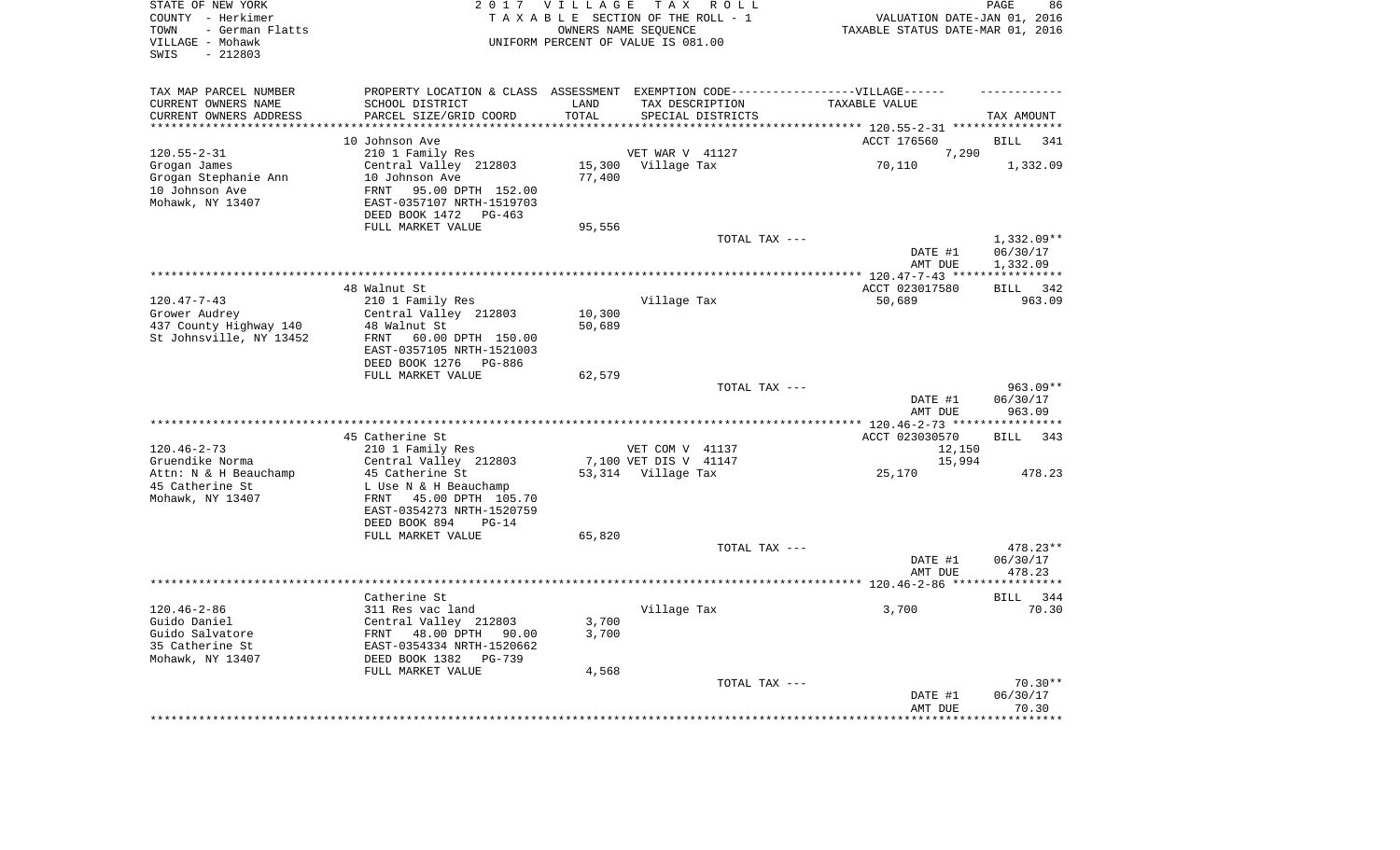| STATE OF NEW YORK<br>COUNTY - Herkimer<br>- German Flatts<br>TOWN<br>VILLAGE - Mohawk<br>$-212803$<br>SWIS |                                                                                   | 2017 VILLAGE      | TAX ROLL<br>TAXABLE SECTION OF THE ROLL - 1<br>OWNERS NAME SEQUENCE<br>UNIFORM PERCENT OF VALUE IS 081.00 | VALUATION DATE-JAN 01, 2016<br>TAXABLE STATUS DATE-MAR 01, 2016 | PAGE<br>86                  |
|------------------------------------------------------------------------------------------------------------|-----------------------------------------------------------------------------------|-------------------|-----------------------------------------------------------------------------------------------------------|-----------------------------------------------------------------|-----------------------------|
| TAX MAP PARCEL NUMBER                                                                                      | PROPERTY LOCATION & CLASS ASSESSMENT EXEMPTION CODE-----------------VILLAGE------ |                   |                                                                                                           |                                                                 |                             |
| CURRENT OWNERS NAME<br>CURRENT OWNERS ADDRESS                                                              | SCHOOL DISTRICT<br>PARCEL SIZE/GRID COORD                                         | LAND<br>TOTAL     | TAX DESCRIPTION<br>SPECIAL DISTRICTS                                                                      | TAXABLE VALUE                                                   | TAX AMOUNT                  |
| *********************                                                                                      | ***********************                                                           | * * * * * * * * * |                                                                                                           | **************************** 120.55-2-31 ****************       |                             |
|                                                                                                            | 10 Johnson Ave                                                                    |                   |                                                                                                           | ACCT 176560                                                     | <b>BILL</b><br>341          |
| $120.55 - 2 - 31$                                                                                          | 210 1 Family Res                                                                  |                   | VET WAR V 41127                                                                                           | 7,290                                                           |                             |
| Grogan James                                                                                               | Central Valley 212803                                                             | 15,300            | Village Tax                                                                                               | 70,110                                                          | 1,332.09                    |
| Grogan Stephanie Ann                                                                                       | 10 Johnson Ave                                                                    | 77,400            |                                                                                                           |                                                                 |                             |
| 10 Johnson Ave                                                                                             | FRNT<br>95.00 DPTH 152.00                                                         |                   |                                                                                                           |                                                                 |                             |
| Mohawk, NY 13407                                                                                           | EAST-0357107 NRTH-1519703                                                         |                   |                                                                                                           |                                                                 |                             |
|                                                                                                            | DEED BOOK 1472<br>$PG-463$                                                        |                   |                                                                                                           |                                                                 |                             |
|                                                                                                            | FULL MARKET VALUE                                                                 | 95,556            |                                                                                                           |                                                                 |                             |
|                                                                                                            |                                                                                   |                   | TOTAL TAX ---                                                                                             |                                                                 | 1,332.09**                  |
|                                                                                                            |                                                                                   |                   |                                                                                                           | DATE #1                                                         | 06/30/17                    |
|                                                                                                            |                                                                                   |                   |                                                                                                           | AMT DUE                                                         | 1,332.09                    |
|                                                                                                            | 48 Walnut St                                                                      |                   |                                                                                                           | ****** 120.47-7-43 *****************<br>ACCT 023017580          | <b>BILL</b><br>342          |
| $120.47 - 7 - 43$                                                                                          | 210 1 Family Res                                                                  |                   | Village Tax                                                                                               | 50,689                                                          | 963.09                      |
| Grower Audrey                                                                                              | Central Valley 212803                                                             | 10,300            |                                                                                                           |                                                                 |                             |
| 437 County Highway 140                                                                                     | 48 Walnut St                                                                      | 50,689            |                                                                                                           |                                                                 |                             |
| St Johnsville, NY 13452                                                                                    | FRNT<br>60.00 DPTH 150.00                                                         |                   |                                                                                                           |                                                                 |                             |
|                                                                                                            | EAST-0357105 NRTH-1521003                                                         |                   |                                                                                                           |                                                                 |                             |
|                                                                                                            | DEED BOOK 1276<br>PG-886                                                          |                   |                                                                                                           |                                                                 |                             |
|                                                                                                            | FULL MARKET VALUE                                                                 | 62,579            |                                                                                                           |                                                                 |                             |
|                                                                                                            |                                                                                   |                   | TOTAL TAX ---                                                                                             |                                                                 | 963.09**                    |
|                                                                                                            |                                                                                   |                   |                                                                                                           | DATE #1                                                         | 06/30/17                    |
|                                                                                                            |                                                                                   |                   |                                                                                                           | AMT DUE                                                         | 963.09                      |
|                                                                                                            |                                                                                   |                   |                                                                                                           | ***** 120.46-2-73 ****                                          | **********                  |
| $120.46 - 2 - 73$                                                                                          | 45 Catherine St                                                                   |                   |                                                                                                           | ACCT 023030570                                                  | <b>BILL</b><br>343          |
| Gruendike Norma                                                                                            | 210 1 Family Res<br>Central Valley 212803                                         |                   | VET COM V 41137<br>7,100 VET DIS V 41147                                                                  | 12,150<br>15,994                                                |                             |
| Attn: N & H Beauchamp                                                                                      | 45 Catherine St                                                                   |                   | 53,314 Village Tax                                                                                        | 25,170                                                          | 478.23                      |
| 45 Catherine St                                                                                            | L Use N & H Beauchamp                                                             |                   |                                                                                                           |                                                                 |                             |
| Mohawk, NY 13407                                                                                           | FRNT 45.00 DPTH 105.70                                                            |                   |                                                                                                           |                                                                 |                             |
|                                                                                                            | EAST-0354273 NRTH-1520759                                                         |                   |                                                                                                           |                                                                 |                             |
|                                                                                                            | DEED BOOK 894<br>$PG-14$                                                          |                   |                                                                                                           |                                                                 |                             |
|                                                                                                            | FULL MARKET VALUE                                                                 | 65,820            |                                                                                                           |                                                                 |                             |
|                                                                                                            |                                                                                   |                   | TOTAL TAX ---                                                                                             |                                                                 | 478.23**                    |
|                                                                                                            |                                                                                   |                   |                                                                                                           | DATE #1                                                         | 06/30/17                    |
|                                                                                                            |                                                                                   |                   |                                                                                                           | AMT DUE                                                         | 478.23                      |
|                                                                                                            |                                                                                   |                   | ************************                                                                                  | ********** 120.46-2-86 **                                       |                             |
| $120.46 - 2 - 86$                                                                                          | Catherine St<br>311 Res vac land                                                  |                   | Village Tax                                                                                               | 3,700                                                           | <b>BILL</b><br>344<br>70.30 |
| Guido Daniel                                                                                               | Central Valley 212803                                                             | 3,700             |                                                                                                           |                                                                 |                             |
| Guido Salvatore                                                                                            | 48.00 DPTH<br>FRNT<br>90.00                                                       | 3,700             |                                                                                                           |                                                                 |                             |
| 35 Catherine St                                                                                            | EAST-0354334 NRTH-1520662                                                         |                   |                                                                                                           |                                                                 |                             |
| Mohawk, NY 13407                                                                                           | DEED BOOK 1382<br>$PG-739$                                                        |                   |                                                                                                           |                                                                 |                             |
|                                                                                                            | FULL MARKET VALUE                                                                 | 4,568             |                                                                                                           |                                                                 |                             |
|                                                                                                            |                                                                                   |                   | TOTAL TAX ---                                                                                             |                                                                 | $70.30**$                   |
|                                                                                                            |                                                                                   |                   |                                                                                                           | DATE #1                                                         | 06/30/17                    |
|                                                                                                            |                                                                                   |                   |                                                                                                           | AMT DUE                                                         | 70.30                       |
|                                                                                                            |                                                                                   |                   |                                                                                                           |                                                                 | ******                      |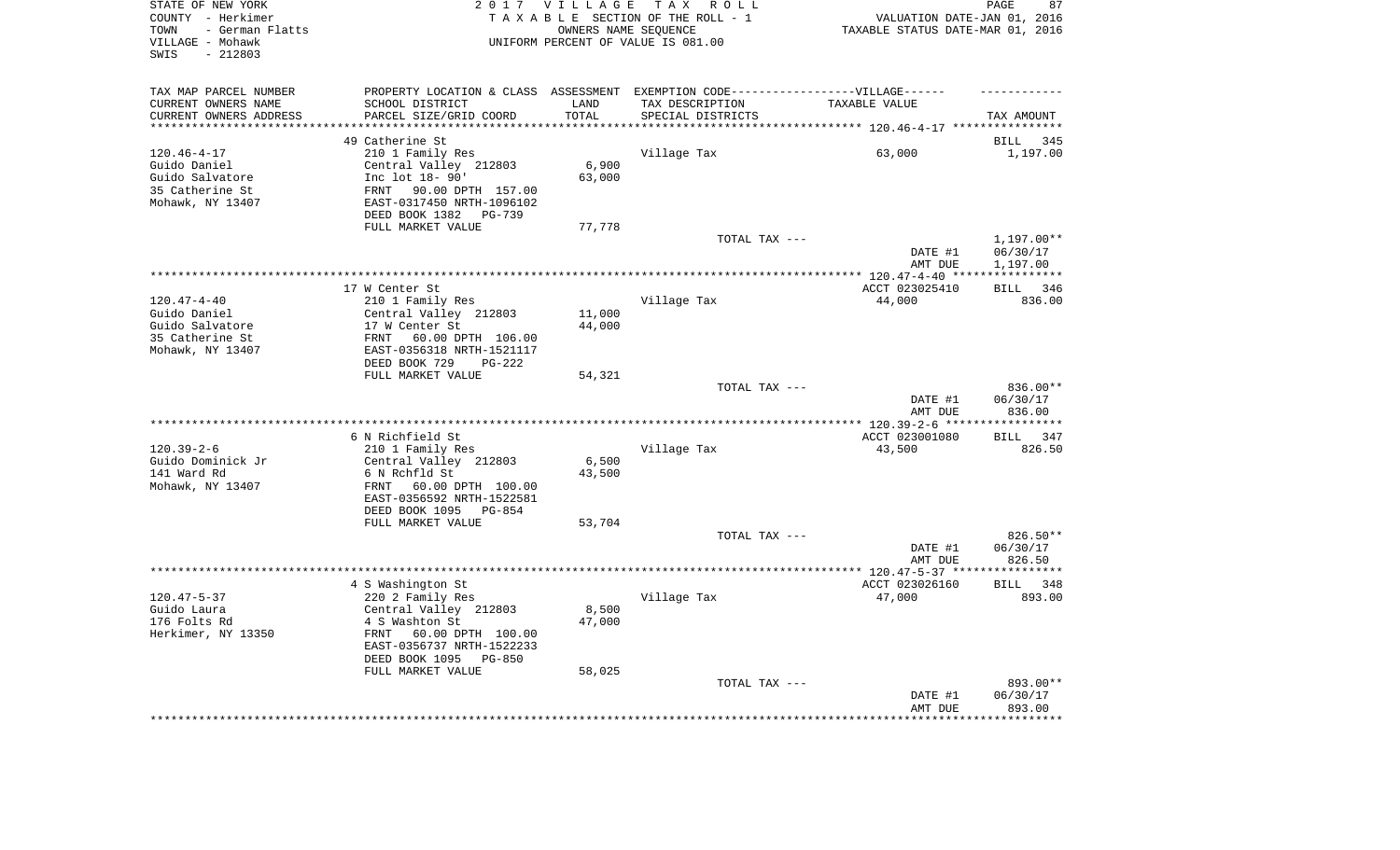| STATE OF NEW YORK<br>COUNTY - Herkimer<br>- German Flatts<br>TOWN<br>VILLAGE - Mohawk<br>$-212803$<br>SWIS | 2 0 1 7                                                                           | <b>VILLAGE</b><br>OWNERS NAME SEQUENCE | T A X<br>R O L L<br>TAXABLE SECTION OF THE ROLL - 1<br>UNIFORM PERCENT OF VALUE IS 081.00 | VALUATION DATE-JAN 01, 2016<br>TAXABLE STATUS DATE-MAR 01, 2016 | 87<br>PAGE                     |
|------------------------------------------------------------------------------------------------------------|-----------------------------------------------------------------------------------|----------------------------------------|-------------------------------------------------------------------------------------------|-----------------------------------------------------------------|--------------------------------|
| TAX MAP PARCEL NUMBER                                                                                      | PROPERTY LOCATION & CLASS ASSESSMENT EXEMPTION CODE-----------------VILLAGE------ |                                        |                                                                                           |                                                                 |                                |
| CURRENT OWNERS NAME                                                                                        | SCHOOL DISTRICT                                                                   | LAND                                   | TAX DESCRIPTION                                                                           | TAXABLE VALUE                                                   |                                |
| CURRENT OWNERS ADDRESS<br>********************                                                             | PARCEL SIZE/GRID COORD<br>**********************                                  | TOTAL<br>*********                     | SPECIAL DISTRICTS                                                                         |                                                                 | TAX AMOUNT                     |
|                                                                                                            | 49 Catherine St                                                                   |                                        |                                                                                           |                                                                 | <b>BILL</b><br>345             |
| $120.46 - 4 - 17$                                                                                          | 210 1 Family Res                                                                  |                                        | Village Tax                                                                               | 63,000                                                          | 1,197.00                       |
| Guido Daniel                                                                                               | Central Valley 212803                                                             | 6,900                                  |                                                                                           |                                                                 |                                |
| Guido Salvatore                                                                                            | Inc lot 18- 90'                                                                   | 63,000                                 |                                                                                           |                                                                 |                                |
| 35 Catherine St                                                                                            | 90.00 DPTH 157.00<br>FRNT                                                         |                                        |                                                                                           |                                                                 |                                |
| Mohawk, NY 13407                                                                                           | EAST-0317450 NRTH-1096102                                                         |                                        |                                                                                           |                                                                 |                                |
|                                                                                                            | DEED BOOK 1382<br>PG-739                                                          |                                        |                                                                                           |                                                                 |                                |
|                                                                                                            | FULL MARKET VALUE                                                                 | 77,778                                 |                                                                                           |                                                                 |                                |
|                                                                                                            |                                                                                   |                                        | TOTAL TAX ---                                                                             |                                                                 | 1,197.00**                     |
|                                                                                                            |                                                                                   |                                        |                                                                                           | DATE #1                                                         | 06/30/17                       |
|                                                                                                            |                                                                                   |                                        | **************************************                                                    | AMT DUE                                                         | 1,197.00<br>***********        |
|                                                                                                            | 17 W Center St                                                                    |                                        |                                                                                           | ******* 120.47-4-40 ****<br>ACCT 023025410                      | 346<br><b>BILL</b>             |
| $120.47 - 4 - 40$                                                                                          | 210 1 Family Res                                                                  |                                        | Village Tax                                                                               | 44,000                                                          | 836.00                         |
| Guido Daniel                                                                                               | Central Valley 212803                                                             | 11,000                                 |                                                                                           |                                                                 |                                |
| Guido Salvatore                                                                                            | 17 W Center St                                                                    | 44,000                                 |                                                                                           |                                                                 |                                |
| 35 Catherine St                                                                                            | 60.00 DPTH 106.00<br>FRNT                                                         |                                        |                                                                                           |                                                                 |                                |
| Mohawk, NY 13407                                                                                           | EAST-0356318 NRTH-1521117                                                         |                                        |                                                                                           |                                                                 |                                |
|                                                                                                            | DEED BOOK 729<br>$PG-222$                                                         |                                        |                                                                                           |                                                                 |                                |
|                                                                                                            | FULL MARKET VALUE                                                                 | 54,321                                 |                                                                                           |                                                                 |                                |
|                                                                                                            |                                                                                   |                                        | TOTAL TAX ---                                                                             | DATE #1<br>AMT DUE                                              | 836.00**<br>06/30/17<br>836.00 |
|                                                                                                            |                                                                                   |                                        |                                                                                           | *** 120.39-2-6 ***                                              |                                |
|                                                                                                            | 6 N Richfield St                                                                  |                                        |                                                                                           | ACCT 023001080                                                  | 347<br><b>BILL</b>             |
| $120.39 - 2 - 6$                                                                                           | 210 1 Family Res                                                                  |                                        | Village Tax                                                                               | 43,500                                                          | 826.50                         |
| Guido Dominick Jr                                                                                          | Central Valley 212803                                                             | 6,500                                  |                                                                                           |                                                                 |                                |
| 141 Ward Rd                                                                                                | 6 N Rchfld St                                                                     | 43,500                                 |                                                                                           |                                                                 |                                |
| Mohawk, NY 13407                                                                                           | FRNT<br>60.00 DPTH 100.00                                                         |                                        |                                                                                           |                                                                 |                                |
|                                                                                                            | EAST-0356592 NRTH-1522581                                                         |                                        |                                                                                           |                                                                 |                                |
|                                                                                                            | DEED BOOK 1095<br>PG-854                                                          |                                        |                                                                                           |                                                                 |                                |
|                                                                                                            | FULL MARKET VALUE                                                                 | 53,704                                 |                                                                                           |                                                                 |                                |
|                                                                                                            |                                                                                   |                                        | TOTAL TAX ---                                                                             |                                                                 | 826.50**                       |
|                                                                                                            |                                                                                   |                                        |                                                                                           | DATE #1<br>AMT DUE                                              | 06/30/17<br>826.50             |
| ********************                                                                                       |                                                                                   |                                        |                                                                                           | ************ 120.47-5-37 ****                                   | * * * * * * * * * *            |
|                                                                                                            | 4 S Washington St                                                                 |                                        |                                                                                           | ACCT 023026160                                                  | <b>BILL</b><br>348             |
| $120.47 - 5 - 37$                                                                                          | 220 2 Family Res                                                                  |                                        | Village Tax                                                                               | 47,000                                                          | 893.00                         |
| Guido Laura                                                                                                | Central Valley 212803                                                             | 8,500                                  |                                                                                           |                                                                 |                                |
| 176 Folts Rd                                                                                               | 4 S Washton St                                                                    | 47,000                                 |                                                                                           |                                                                 |                                |
| Herkimer, NY 13350                                                                                         | FRNT<br>60.00 DPTH 100.00                                                         |                                        |                                                                                           |                                                                 |                                |
|                                                                                                            | EAST-0356737 NRTH-1522233                                                         |                                        |                                                                                           |                                                                 |                                |
|                                                                                                            | DEED BOOK 1095<br><b>PG-850</b>                                                   |                                        |                                                                                           |                                                                 |                                |
|                                                                                                            | FULL MARKET VALUE                                                                 | 58,025                                 | TOTAL TAX ---                                                                             |                                                                 | 893.00**                       |
|                                                                                                            |                                                                                   |                                        |                                                                                           | DATE #1                                                         | 06/30/17                       |
|                                                                                                            |                                                                                   |                                        |                                                                                           | AMT DUE                                                         | 893.00                         |
|                                                                                                            |                                                                                   |                                        |                                                                                           |                                                                 | ********                       |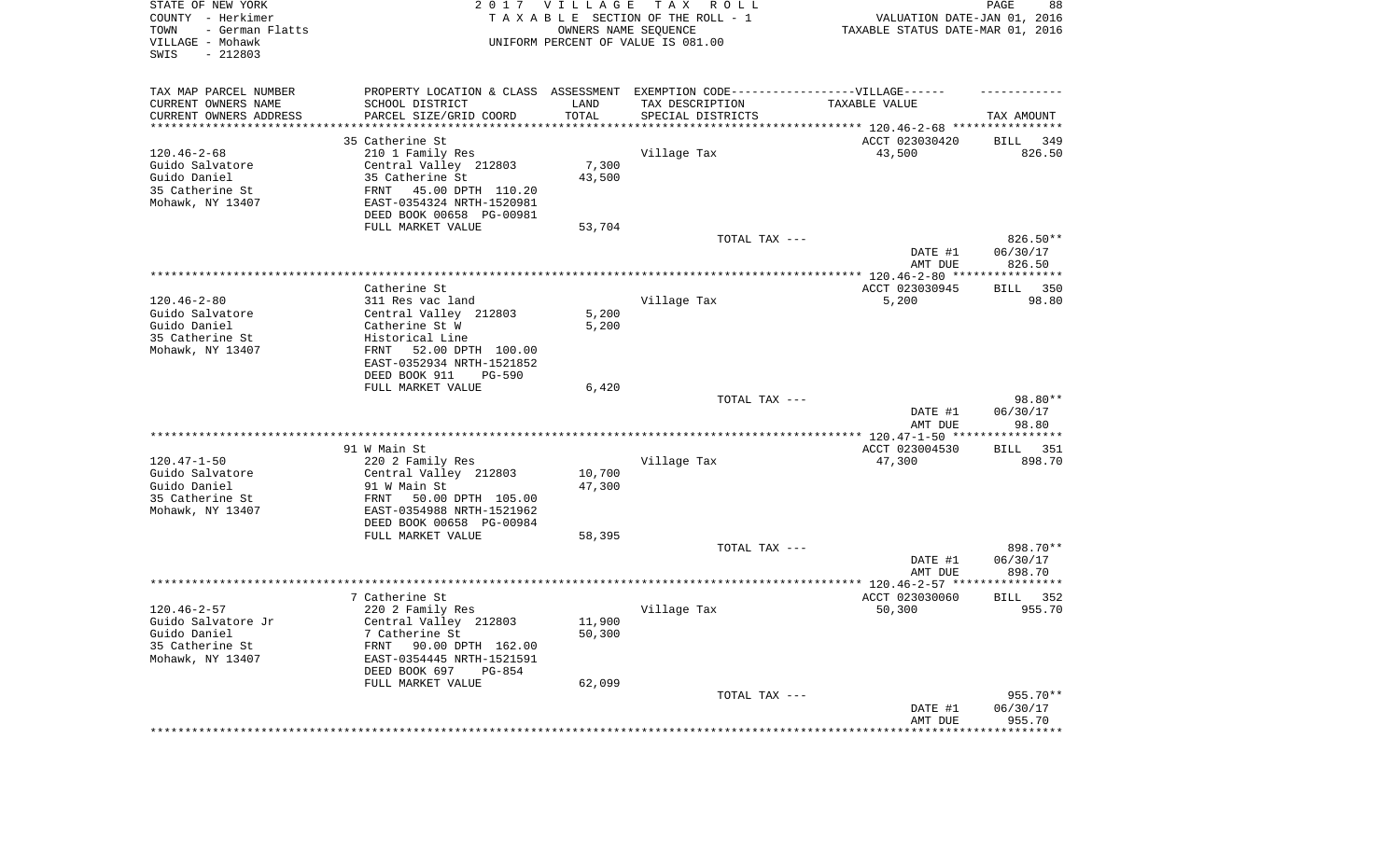| STATE OF NEW YORK<br>COUNTY - Herkimer<br>- German Flatts<br>TOWN<br>VILLAGE - Mohawk<br>SWIS<br>$-212803$ |                                                        | 2017 VILLAGE<br>OWNERS NAME SEQUENCE | T A X<br>R O L L<br>TAXABLE SECTION OF THE ROLL - 1<br>UNIFORM PERCENT OF VALUE IS 081.00 | VALUATION DATE-JAN 01, 2016<br>TAXABLE STATUS DATE-MAR 01, 2016 | PAGE<br>88                     |
|------------------------------------------------------------------------------------------------------------|--------------------------------------------------------|--------------------------------------|-------------------------------------------------------------------------------------------|-----------------------------------------------------------------|--------------------------------|
| TAX MAP PARCEL NUMBER                                                                                      |                                                        |                                      | PROPERTY LOCATION & CLASS ASSESSMENT EXEMPTION CODE----------------VILLAGE------          |                                                                 |                                |
| CURRENT OWNERS NAME                                                                                        | SCHOOL DISTRICT                                        | LAND                                 | TAX DESCRIPTION                                                                           | TAXABLE VALUE                                                   |                                |
| CURRENT OWNERS ADDRESS<br>********************                                                             | PARCEL SIZE/GRID COORD                                 | TOTAL                                | SPECIAL DISTRICTS                                                                         |                                                                 | TAX AMOUNT                     |
|                                                                                                            | 35 Catherine St                                        |                                      |                                                                                           | ACCT 023030420                                                  | 349<br>BILL                    |
| $120.46 - 2 - 68$                                                                                          | 210 1 Family Res                                       |                                      | Village Tax                                                                               | 43,500                                                          | 826.50                         |
| Guido Salvatore                                                                                            | Central Valley 212803                                  | 7,300                                |                                                                                           |                                                                 |                                |
| Guido Daniel                                                                                               | 35 Catherine St                                        | 43,500                               |                                                                                           |                                                                 |                                |
| 35 Catherine St<br>Mohawk, NY 13407                                                                        | FRNT<br>45.00 DPTH 110.20<br>EAST-0354324 NRTH-1520981 |                                      |                                                                                           |                                                                 |                                |
|                                                                                                            | DEED BOOK 00658 PG-00981                               |                                      |                                                                                           |                                                                 |                                |
|                                                                                                            | FULL MARKET VALUE                                      | 53,704                               |                                                                                           |                                                                 |                                |
|                                                                                                            |                                                        |                                      | TOTAL TAX ---                                                                             | DATE #1<br>AMT DUE                                              | 826.50**<br>06/30/17<br>826.50 |
|                                                                                                            |                                                        |                                      |                                                                                           |                                                                 |                                |
|                                                                                                            | Catherine St                                           |                                      |                                                                                           | ACCT 023030945                                                  | BILL<br>350                    |
| $120.46 - 2 - 80$                                                                                          | 311 Res vac land                                       |                                      | Village Tax                                                                               | 5,200                                                           | 98.80                          |
| Guido Salvatore                                                                                            | Central Valley 212803                                  | 5,200                                |                                                                                           |                                                                 |                                |
| Guido Daniel<br>35 Catherine St                                                                            | Catherine St W<br>Historical Line                      | 5,200                                |                                                                                           |                                                                 |                                |
| Mohawk, NY 13407                                                                                           | 52.00 DPTH 100.00<br>FRNT                              |                                      |                                                                                           |                                                                 |                                |
|                                                                                                            | EAST-0352934 NRTH-1521852                              |                                      |                                                                                           |                                                                 |                                |
|                                                                                                            | DEED BOOK 911<br><b>PG-590</b>                         |                                      |                                                                                           |                                                                 |                                |
|                                                                                                            | FULL MARKET VALUE                                      | 6,420                                | TOTAL TAX ---                                                                             |                                                                 | 98.80**                        |
|                                                                                                            |                                                        |                                      |                                                                                           | DATE #1<br>AMT DUE                                              | 06/30/17<br>98.80              |
|                                                                                                            |                                                        |                                      |                                                                                           | *************** 120.47-1-50 *****************                   |                                |
|                                                                                                            | 91 W Main St                                           |                                      |                                                                                           | ACCT 023004530                                                  | 351<br>BILL                    |
| $120.47 - 1 - 50$                                                                                          | 220 2 Family Res                                       |                                      | Village Tax                                                                               | 47,300                                                          | 898.70                         |
| Guido Salvatore                                                                                            | Central Valley 212803<br>91 W Main St                  | 10,700                               |                                                                                           |                                                                 |                                |
| Guido Daniel<br>35 Catherine St                                                                            | 50.00 DPTH 105.00<br>FRNT                              | 47,300                               |                                                                                           |                                                                 |                                |
| Mohawk, NY 13407                                                                                           | EAST-0354988 NRTH-1521962                              |                                      |                                                                                           |                                                                 |                                |
|                                                                                                            | DEED BOOK 00658 PG-00984                               |                                      |                                                                                           |                                                                 |                                |
|                                                                                                            | FULL MARKET VALUE                                      | 58,395                               |                                                                                           |                                                                 |                                |
|                                                                                                            |                                                        |                                      | TOTAL TAX ---                                                                             | DATE #1                                                         | 898.70**<br>06/30/17           |
|                                                                                                            |                                                        |                                      |                                                                                           | AMT DUE                                                         | 898.70                         |
|                                                                                                            |                                                        |                                      |                                                                                           |                                                                 |                                |
|                                                                                                            | 7 Catherine St                                         |                                      |                                                                                           | ACCT 023030060                                                  | BILL<br>352                    |
| $120.46 - 2 - 57$                                                                                          | 220 2 Family Res                                       |                                      | Village Tax                                                                               | 50,300                                                          | 955.70                         |
| Guido Salvatore Jr<br>Guido Daniel                                                                         | Central Valley 212803<br>7 Catherine St                | 11,900<br>50,300                     |                                                                                           |                                                                 |                                |
| 35 Catherine St                                                                                            | FRNT<br>90.00 DPTH 162.00                              |                                      |                                                                                           |                                                                 |                                |
| Mohawk, NY 13407                                                                                           | EAST-0354445 NRTH-1521591                              |                                      |                                                                                           |                                                                 |                                |
|                                                                                                            | DEED BOOK 697<br>PG-854                                |                                      |                                                                                           |                                                                 |                                |
|                                                                                                            | FULL MARKET VALUE                                      | 62,099                               | TOTAL TAX ---                                                                             |                                                                 | 955.70**                       |
|                                                                                                            |                                                        |                                      |                                                                                           | DATE #1                                                         | 06/30/17                       |
|                                                                                                            |                                                        |                                      |                                                                                           | AMT DUE                                                         | 955.70                         |
|                                                                                                            |                                                        |                                      |                                                                                           | *********************                                           | **************                 |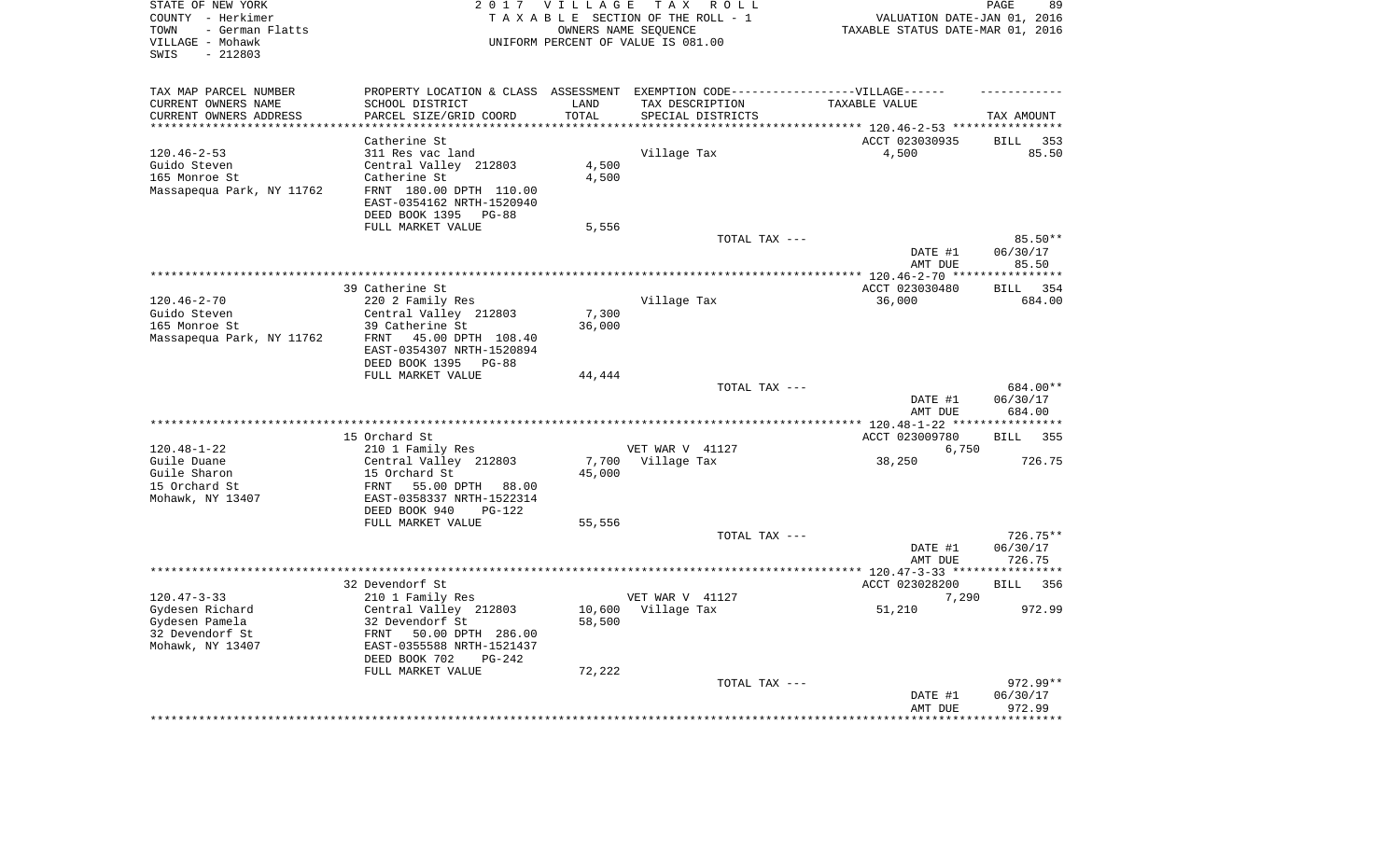| STATE OF NEW YORK<br>COUNTY - Herkimer<br>- German Flatts<br>TOWN<br>VILLAGE - Mohawk<br>$-212803$<br>SWIS |                                                                                   | 2017 VILLAGE        | TAX ROLL<br>TAXABLE SECTION OF THE ROLL - 1<br>OWNERS NAME SEQUENCE<br>UNIFORM PERCENT OF VALUE IS 081.00 | VALUATION DATE-JAN 01, 2016<br>TAXABLE STATUS DATE-MAR 01, 2016      | 89<br>PAGE                     |
|------------------------------------------------------------------------------------------------------------|-----------------------------------------------------------------------------------|---------------------|-----------------------------------------------------------------------------------------------------------|----------------------------------------------------------------------|--------------------------------|
| TAX MAP PARCEL NUMBER                                                                                      | PROPERTY LOCATION & CLASS ASSESSMENT EXEMPTION CODE-----------------VILLAGE------ |                     |                                                                                                           |                                                                      |                                |
| CURRENT OWNERS NAME                                                                                        | SCHOOL DISTRICT                                                                   | LAND                | TAX DESCRIPTION                                                                                           | TAXABLE VALUE                                                        |                                |
| CURRENT OWNERS ADDRESS<br>**********************                                                           | PARCEL SIZE/GRID COORD<br>**********************                                  | TOTAL<br>********** | SPECIAL DISTRICTS                                                                                         |                                                                      | TAX AMOUNT                     |
|                                                                                                            |                                                                                   |                     |                                                                                                           | ************************************** 120.46-2-53 ***************** |                                |
|                                                                                                            | Catherine St                                                                      |                     |                                                                                                           | ACCT 023030935                                                       | <b>BILL</b><br>353             |
| $120.46 - 2 - 53$<br>Guido Steven                                                                          | 311 Res vac land<br>Central Valley 212803                                         | 4,500               | Village Tax                                                                                               | 4,500                                                                | 85.50                          |
| 165 Monroe St                                                                                              | Catherine St                                                                      | 4,500               |                                                                                                           |                                                                      |                                |
| Massapequa Park, NY 11762                                                                                  | FRNT 180.00 DPTH 110.00                                                           |                     |                                                                                                           |                                                                      |                                |
|                                                                                                            | EAST-0354162 NRTH-1520940<br>DEED BOOK 1395 PG-88                                 |                     |                                                                                                           |                                                                      |                                |
|                                                                                                            | FULL MARKET VALUE                                                                 | 5,556               |                                                                                                           |                                                                      |                                |
|                                                                                                            |                                                                                   |                     | TOTAL TAX ---                                                                                             |                                                                      | 85.50**                        |
|                                                                                                            |                                                                                   |                     |                                                                                                           | DATE #1<br>AMT DUE                                                   | 06/30/17<br>85.50              |
|                                                                                                            |                                                                                   |                     |                                                                                                           | ******* 120.46-2-70 ***                                              | *******                        |
|                                                                                                            | 39 Catherine St                                                                   |                     |                                                                                                           | ACCT 023030480                                                       | 354<br><b>BILL</b>             |
| $120.46 - 2 - 70$                                                                                          | 220 2 Family Res                                                                  |                     | Village Tax                                                                                               | 36,000                                                               | 684.00                         |
| Guido Steven                                                                                               | Central Valley 212803                                                             | 7,300               |                                                                                                           |                                                                      |                                |
| 165 Monroe St                                                                                              | 39 Catherine St                                                                   | 36,000              |                                                                                                           |                                                                      |                                |
| Massapequa Park, NY 11762                                                                                  | 45.00 DPTH 108.40<br>FRNT<br>EAST-0354307 NRTH-1520894                            |                     |                                                                                                           |                                                                      |                                |
|                                                                                                            | DEED BOOK 1395 PG-88                                                              |                     |                                                                                                           |                                                                      |                                |
|                                                                                                            | FULL MARKET VALUE                                                                 | 44,444              |                                                                                                           |                                                                      |                                |
|                                                                                                            |                                                                                   |                     | TOTAL TAX ---                                                                                             | DATE #1<br>AMT DUE                                                   | 684.00**<br>06/30/17<br>684.00 |
|                                                                                                            |                                                                                   |                     | ********************                                                                                      | *** 120.48-1-22 ***                                                  |                                |
|                                                                                                            | 15 Orchard St                                                                     |                     |                                                                                                           | ACCT 023009780                                                       | <b>BILL</b><br>355             |
| $120.48 - 1 - 22$                                                                                          | 210 1 Family Res                                                                  |                     | VET WAR V 41127                                                                                           | 6,750                                                                |                                |
| Guile Duane                                                                                                | Central Valley 212803                                                             | 7,700               | Village Tax                                                                                               | 38,250                                                               | 726.75                         |
| Guile Sharon                                                                                               | 15 Orchard St                                                                     | 45,000              |                                                                                                           |                                                                      |                                |
| 15 Orchard St                                                                                              | FRNT<br>55.00 DPTH<br>88.00                                                       |                     |                                                                                                           |                                                                      |                                |
| Mohawk, NY 13407                                                                                           | EAST-0358337 NRTH-1522314                                                         |                     |                                                                                                           |                                                                      |                                |
|                                                                                                            | DEED BOOK 940<br>$PG-122$<br>FULL MARKET VALUE                                    |                     |                                                                                                           |                                                                      |                                |
|                                                                                                            |                                                                                   | 55,556              | TOTAL TAX ---                                                                                             |                                                                      | 726.75**                       |
|                                                                                                            |                                                                                   |                     |                                                                                                           | DATE #1                                                              | 06/30/17                       |
|                                                                                                            |                                                                                   |                     |                                                                                                           | AMT DUE                                                              | 726.75                         |
|                                                                                                            |                                                                                   |                     |                                                                                                           | ************ 120.47-3-33 *****************                           |                                |
|                                                                                                            | 32 Devendorf St                                                                   |                     |                                                                                                           | ACCT 023028200                                                       | <b>BILL</b><br>356             |
| $120.47 - 3 - 33$                                                                                          | 210 1 Family Res                                                                  |                     | VET WAR V 41127                                                                                           | 7,290                                                                |                                |
| Gydesen Richard                                                                                            | Central Valley 212803                                                             | 10,600              | Village Tax                                                                                               | 51,210                                                               | 972.99                         |
| Gydesen Pamela                                                                                             | 32 Devendorf St                                                                   | 58,500              |                                                                                                           |                                                                      |                                |
| 32 Devendorf St                                                                                            | FRNT 50.00 DPTH 286.00                                                            |                     |                                                                                                           |                                                                      |                                |
| Mohawk, NY 13407                                                                                           | EAST-0355588 NRTH-1521437<br>$PG-242$                                             |                     |                                                                                                           |                                                                      |                                |
|                                                                                                            | DEED BOOK 702<br>FULL MARKET VALUE                                                | 72,222              |                                                                                                           |                                                                      |                                |
|                                                                                                            |                                                                                   |                     | TOTAL TAX ---                                                                                             |                                                                      | 972.99**                       |
|                                                                                                            |                                                                                   |                     |                                                                                                           | DATE #1                                                              | 06/30/17                       |
|                                                                                                            |                                                                                   |                     |                                                                                                           | AMT DUE                                                              | 972.99                         |
|                                                                                                            |                                                                                   |                     |                                                                                                           |                                                                      | ********                       |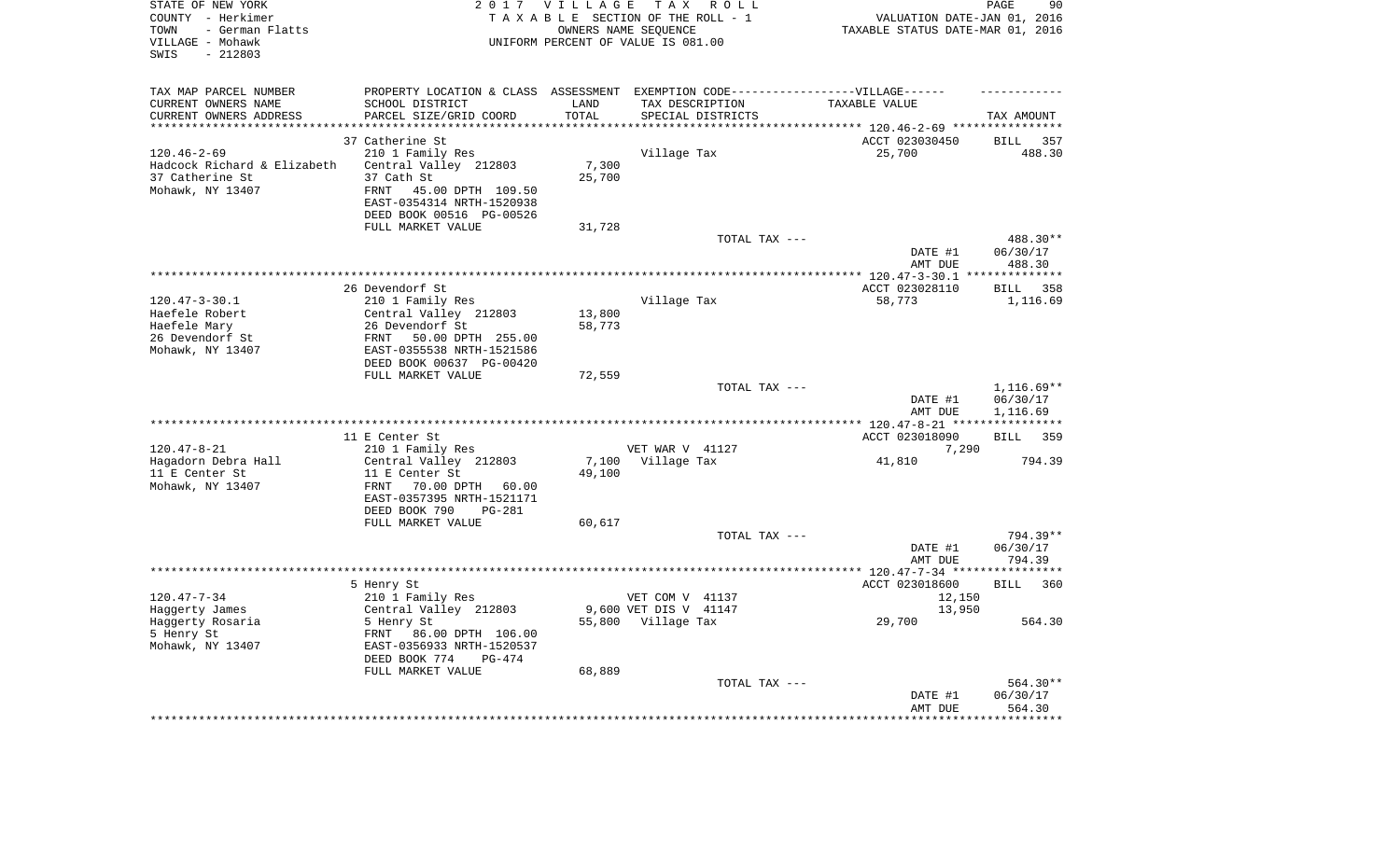| STATE OF NEW YORK<br>COUNTY - Herkimer<br>- German Flatts<br>TOWN<br>VILLAGE - Mohawk<br>$-212803$<br>SWIS |                                                       | 2017 VILLAGE      | T A X<br>R O L L<br>TAXABLE SECTION OF THE ROLL - 1<br>OWNERS NAME SEQUENCE<br>UNIFORM PERCENT OF VALUE IS 081.00 | VALUATION DATE-JAN 01, 2016<br>TAXABLE STATUS DATE-MAR 01, 2016 | PAGE<br>90                   |
|------------------------------------------------------------------------------------------------------------|-------------------------------------------------------|-------------------|-------------------------------------------------------------------------------------------------------------------|-----------------------------------------------------------------|------------------------------|
| TAX MAP PARCEL NUMBER                                                                                      |                                                       |                   | PROPERTY LOCATION & CLASS ASSESSMENT EXEMPTION CODE-----------------VILLAGE------                                 |                                                                 |                              |
| CURRENT OWNERS NAME                                                                                        | SCHOOL DISTRICT                                       | LAND              | TAX DESCRIPTION                                                                                                   | TAXABLE VALUE                                                   |                              |
| CURRENT OWNERS ADDRESS<br>********************                                                             | PARCEL SIZE/GRID COORD<br>********************        | TOTAL<br>******** | SPECIAL DISTRICTS                                                                                                 |                                                                 | TAX AMOUNT<br>************   |
|                                                                                                            | 37 Catherine St                                       |                   |                                                                                                                   | ************************** 120.46-2-69 ****                     |                              |
| $120.46 - 2 - 69$                                                                                          | 210 1 Family Res                                      |                   | Village Tax                                                                                                       | ACCT 023030450<br>25,700                                        | <b>BILL</b><br>357<br>488.30 |
| Hadcock Richard & Elizabeth                                                                                | Central Valley 212803                                 | 7,300             |                                                                                                                   |                                                                 |                              |
| 37 Catherine St                                                                                            | 37 Cath St                                            | 25,700            |                                                                                                                   |                                                                 |                              |
| Mohawk, NY 13407                                                                                           | FRNT<br>45.00 DPTH 109.50                             |                   |                                                                                                                   |                                                                 |                              |
|                                                                                                            | EAST-0354314 NRTH-1520938                             |                   |                                                                                                                   |                                                                 |                              |
|                                                                                                            | DEED BOOK 00516 PG-00526                              |                   |                                                                                                                   |                                                                 |                              |
|                                                                                                            | FULL MARKET VALUE                                     | 31,728            |                                                                                                                   |                                                                 |                              |
|                                                                                                            |                                                       |                   | TOTAL TAX ---                                                                                                     |                                                                 | 488.30**                     |
|                                                                                                            |                                                       |                   |                                                                                                                   | DATE #1                                                         | 06/30/17                     |
|                                                                                                            |                                                       |                   |                                                                                                                   | AMT DUE<br>*********** 120.47-3-30.1 ***************            | 488.30                       |
|                                                                                                            | 26 Devendorf St                                       |                   |                                                                                                                   | ACCT 023028110                                                  | BILL 358                     |
| $120.47 - 3 - 30.1$                                                                                        | 210 1 Family Res                                      |                   | Village Tax                                                                                                       | 58,773                                                          | 1,116.69                     |
| Haefele Robert                                                                                             | Central Valley 212803                                 | 13,800            |                                                                                                                   |                                                                 |                              |
| Haefele Mary                                                                                               | 26 Devendorf St                                       | 58,773            |                                                                                                                   |                                                                 |                              |
| 26 Devendorf St                                                                                            | FRNT<br>50.00 DPTH 255.00                             |                   |                                                                                                                   |                                                                 |                              |
| Mohawk, NY 13407                                                                                           | EAST-0355538 NRTH-1521586                             |                   |                                                                                                                   |                                                                 |                              |
|                                                                                                            | DEED BOOK 00637 PG-00420                              |                   |                                                                                                                   |                                                                 |                              |
|                                                                                                            | FULL MARKET VALUE                                     | 72,559            | TOTAL TAX ---                                                                                                     |                                                                 | $1,116.69**$                 |
|                                                                                                            |                                                       |                   |                                                                                                                   | DATE #1<br>AMT DUE                                              | 06/30/17<br>1,116.69         |
|                                                                                                            |                                                       |                   |                                                                                                                   | ******* 120.47-8-21 ****                                        |                              |
|                                                                                                            | 11 E Center St                                        |                   |                                                                                                                   | ACCT 023018090                                                  | 359<br>BILL                  |
| $120.47 - 8 - 21$                                                                                          | 210 1 Family Res                                      |                   | VET WAR V 41127                                                                                                   | 7,290                                                           |                              |
| Hagadorn Debra Hall                                                                                        | Central Valley 212803                                 | 7,100             | Village Tax                                                                                                       | 41,810                                                          | 794.39                       |
| 11 E Center St                                                                                             | 11 E Center St                                        | 49,100            |                                                                                                                   |                                                                 |                              |
| Mohawk, NY 13407                                                                                           | 70.00 DPTH 60.00<br>FRNT<br>EAST-0357395 NRTH-1521171 |                   |                                                                                                                   |                                                                 |                              |
|                                                                                                            | DEED BOOK 790<br>PG-281                               |                   |                                                                                                                   |                                                                 |                              |
|                                                                                                            | FULL MARKET VALUE                                     | 60,617            |                                                                                                                   |                                                                 |                              |
|                                                                                                            |                                                       |                   | TOTAL TAX ---                                                                                                     |                                                                 | 794.39**                     |
|                                                                                                            |                                                       |                   |                                                                                                                   | DATE #1                                                         | 06/30/17                     |
|                                                                                                            |                                                       |                   |                                                                                                                   | AMT DUE                                                         | 794.39                       |
|                                                                                                            |                                                       |                   |                                                                                                                   |                                                                 |                              |
|                                                                                                            | 5 Henry St                                            |                   |                                                                                                                   | ACCT 023018600                                                  | <b>BILL</b><br>360           |
| $120.47 - 7 - 34$<br>Haggerty James                                                                        | 210 1 Family Res<br>Central Valley 212803             |                   | VET COM V 41137<br>9,600 VET DIS V 41147                                                                          | 12,150<br>13,950                                                |                              |
| Haggerty Rosaria                                                                                           | 5 Henry St                                            |                   | 55,800 Village Tax                                                                                                | 29,700                                                          | 564.30                       |
| 5 Henry St                                                                                                 | FRNT 86.00 DPTH 106.00                                |                   |                                                                                                                   |                                                                 |                              |
| Mohawk, NY 13407                                                                                           | EAST-0356933 NRTH-1520537                             |                   |                                                                                                                   |                                                                 |                              |
|                                                                                                            | DEED BOOK 774<br>$PG-474$                             |                   |                                                                                                                   |                                                                 |                              |
|                                                                                                            | FULL MARKET VALUE                                     | 68,889            |                                                                                                                   |                                                                 |                              |
|                                                                                                            |                                                       |                   | TOTAL TAX ---                                                                                                     |                                                                 | 564.30**                     |
|                                                                                                            |                                                       |                   |                                                                                                                   | DATE #1<br>AMT DUE                                              | 06/30/17<br>564.30           |
|                                                                                                            |                                                       |                   |                                                                                                                   |                                                                 |                              |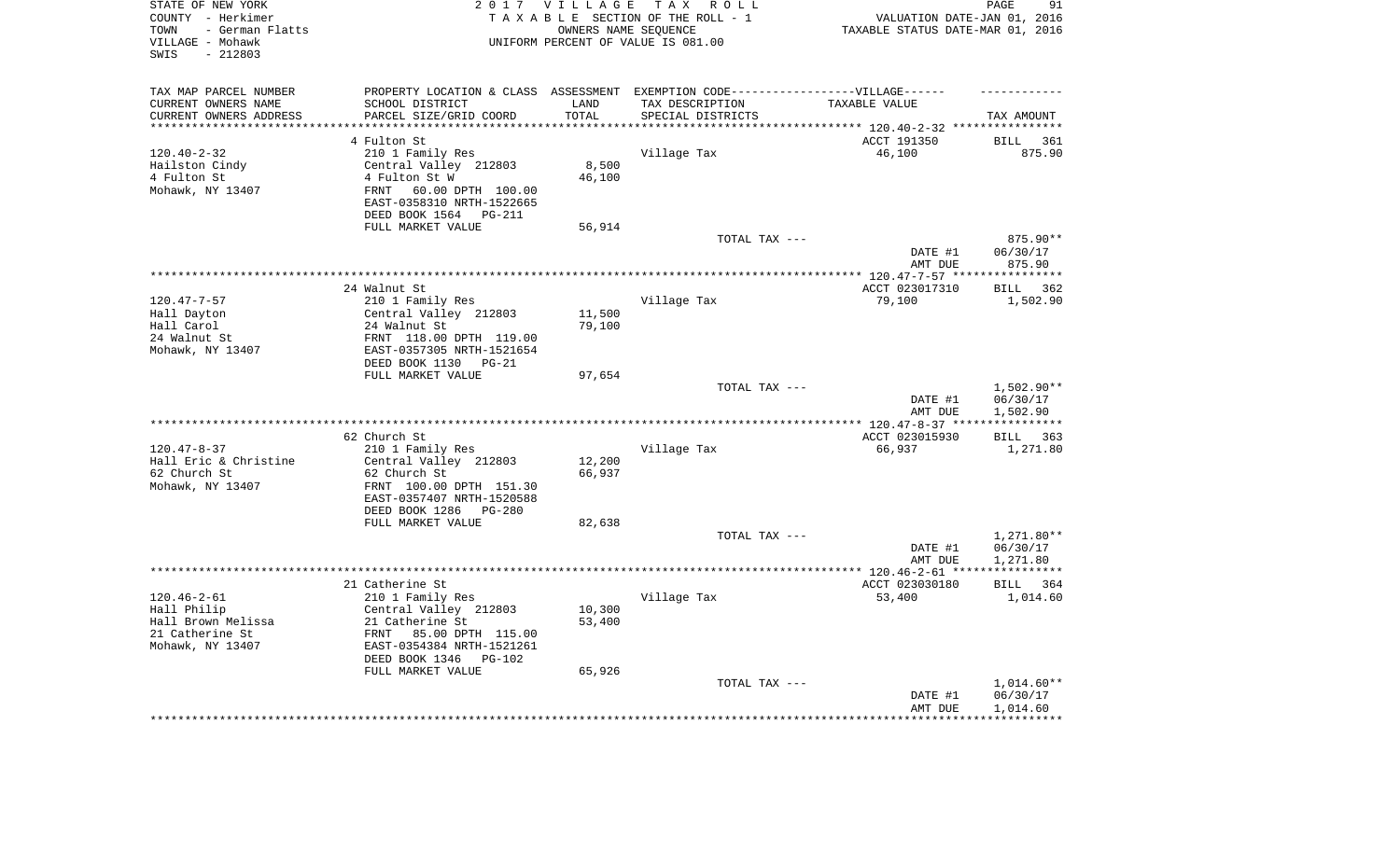| STATE OF NEW YORK<br>COUNTY - Herkimer<br>- German Flatts<br>TOWN<br>VILLAGE - Mohawk<br>$-212803$<br>SWIS |                                                                                   | 2017 VILLAGE<br>OWNERS NAME SEQUENCE | TAX ROLL<br>TAXABLE SECTION OF THE ROLL - 1<br>UNIFORM PERCENT OF VALUE IS 081.00 | VALUATION DATE-JAN 01, 2016<br>TAXABLE STATUS DATE-MAR 01, 2016 | 91<br>PAGE              |
|------------------------------------------------------------------------------------------------------------|-----------------------------------------------------------------------------------|--------------------------------------|-----------------------------------------------------------------------------------|-----------------------------------------------------------------|-------------------------|
| TAX MAP PARCEL NUMBER                                                                                      | PROPERTY LOCATION & CLASS ASSESSMENT EXEMPTION CODE-----------------VILLAGE------ |                                      |                                                                                   |                                                                 |                         |
| CURRENT OWNERS NAME                                                                                        | SCHOOL DISTRICT                                                                   | LAND                                 | TAX DESCRIPTION                                                                   | TAXABLE VALUE                                                   |                         |
| CURRENT OWNERS ADDRESS<br>*********************                                                            | PARCEL SIZE/GRID COORD<br>*************************                               | TOTAL<br>***********                 | SPECIAL DISTRICTS                                                                 |                                                                 | TAX AMOUNT              |
|                                                                                                            | 4 Fulton St                                                                       |                                      |                                                                                   | ACCT 191350                                                     | BILL<br>361             |
| $120.40 - 2 - 32$                                                                                          | 210 1 Family Res                                                                  |                                      | Village Tax                                                                       | 46,100                                                          | 875.90                  |
| Hailston Cindy                                                                                             | Central Valley 212803                                                             | 8,500                                |                                                                                   |                                                                 |                         |
| 4 Fulton St                                                                                                | 4 Fulton St W                                                                     | 46,100                               |                                                                                   |                                                                 |                         |
| Mohawk, NY 13407                                                                                           | 60.00 DPTH 100.00<br>FRNT                                                         |                                      |                                                                                   |                                                                 |                         |
|                                                                                                            | EAST-0358310 NRTH-1522665                                                         |                                      |                                                                                   |                                                                 |                         |
|                                                                                                            | DEED BOOK 1564 PG-211                                                             |                                      |                                                                                   |                                                                 |                         |
|                                                                                                            | FULL MARKET VALUE                                                                 | 56,914                               |                                                                                   |                                                                 |                         |
|                                                                                                            |                                                                                   |                                      | TOTAL TAX ---                                                                     |                                                                 | 875.90**                |
|                                                                                                            |                                                                                   |                                      |                                                                                   | DATE #1                                                         | 06/30/17<br>875.90      |
|                                                                                                            |                                                                                   |                                      |                                                                                   | AMT DUE<br>************ 120.47-7-57 ****                        | ************            |
|                                                                                                            | 24 Walnut St                                                                      |                                      |                                                                                   | ACCT 023017310                                                  | 362<br><b>BILL</b>      |
| $120.47 - 7 - 57$                                                                                          | 210 1 Family Res                                                                  |                                      | Village Tax                                                                       | 79,100                                                          | 1,502.90                |
| Hall Dayton                                                                                                | Central Valley 212803                                                             | 11,500                               |                                                                                   |                                                                 |                         |
| Hall Carol                                                                                                 | 24 Walnut St                                                                      | 79,100                               |                                                                                   |                                                                 |                         |
| 24 Walnut St                                                                                               | FRNT 118.00 DPTH 119.00                                                           |                                      |                                                                                   |                                                                 |                         |
| Mohawk, NY 13407                                                                                           | EAST-0357305 NRTH-1521654                                                         |                                      |                                                                                   |                                                                 |                         |
|                                                                                                            | DEED BOOK 1130<br>PG-21                                                           |                                      |                                                                                   |                                                                 |                         |
|                                                                                                            | FULL MARKET VALUE                                                                 | 97,654                               | TOTAL TAX ---                                                                     |                                                                 | 1,502.90**              |
|                                                                                                            |                                                                                   |                                      |                                                                                   | DATE #1                                                         | 06/30/17                |
|                                                                                                            |                                                                                   |                                      |                                                                                   | AMT DUE                                                         | 1,502.90                |
|                                                                                                            |                                                                                   |                                      |                                                                                   |                                                                 | * * * * * * * * * * *   |
|                                                                                                            | 62 Church St                                                                      |                                      |                                                                                   | ACCT 023015930                                                  | BILL 363                |
| $120.47 - 8 - 37$                                                                                          | 210 1 Family Res                                                                  |                                      | Village Tax                                                                       | 66,937                                                          | 1,271.80                |
| Hall Eric & Christine                                                                                      | Central Valley 212803                                                             | 12,200                               |                                                                                   |                                                                 |                         |
| 62 Church St                                                                                               | 62 Church St                                                                      | 66,937                               |                                                                                   |                                                                 |                         |
| Mohawk, NY 13407                                                                                           | FRNT 100.00 DPTH 151.30<br>EAST-0357407 NRTH-1520588                              |                                      |                                                                                   |                                                                 |                         |
|                                                                                                            | DEED BOOK 1286 PG-280                                                             |                                      |                                                                                   |                                                                 |                         |
|                                                                                                            | FULL MARKET VALUE                                                                 | 82,638                               |                                                                                   |                                                                 |                         |
|                                                                                                            |                                                                                   |                                      | TOTAL TAX ---                                                                     |                                                                 | 1,271.80**              |
|                                                                                                            |                                                                                   |                                      |                                                                                   | DATE #1                                                         | 06/30/17                |
|                                                                                                            |                                                                                   |                                      |                                                                                   | AMT DUE                                                         | 1,271.80                |
|                                                                                                            |                                                                                   |                                      |                                                                                   |                                                                 |                         |
|                                                                                                            | 21 Catherine St                                                                   |                                      |                                                                                   | ACCT 023030180                                                  | BILL 364                |
| $120.46 - 2 - 61$                                                                                          | 210 1 Family Res                                                                  |                                      | Village Tax                                                                       | 53,400                                                          | 1,014.60                |
| Hall Philip<br>Hall Brown Melissa                                                                          | Central Valley 212803<br>21 Catherine St                                          | 10,300<br>53,400                     |                                                                                   |                                                                 |                         |
| 21 Catherine St                                                                                            | FRNT 85.00 DPTH 115.00                                                            |                                      |                                                                                   |                                                                 |                         |
| Mohawk, NY 13407                                                                                           | EAST-0354384 NRTH-1521261                                                         |                                      |                                                                                   |                                                                 |                         |
|                                                                                                            | DEED BOOK 1346<br>PG-102                                                          |                                      |                                                                                   |                                                                 |                         |
|                                                                                                            | FULL MARKET VALUE                                                                 | 65,926                               |                                                                                   |                                                                 |                         |
|                                                                                                            |                                                                                   |                                      | TOTAL TAX ---                                                                     |                                                                 | 1,014.60**              |
|                                                                                                            |                                                                                   |                                      |                                                                                   | DATE #1                                                         | 06/30/17                |
|                                                                                                            |                                                                                   |                                      |                                                                                   | AMT DUE                                                         | 1,014.60<br>*********** |
|                                                                                                            |                                                                                   |                                      |                                                                                   |                                                                 |                         |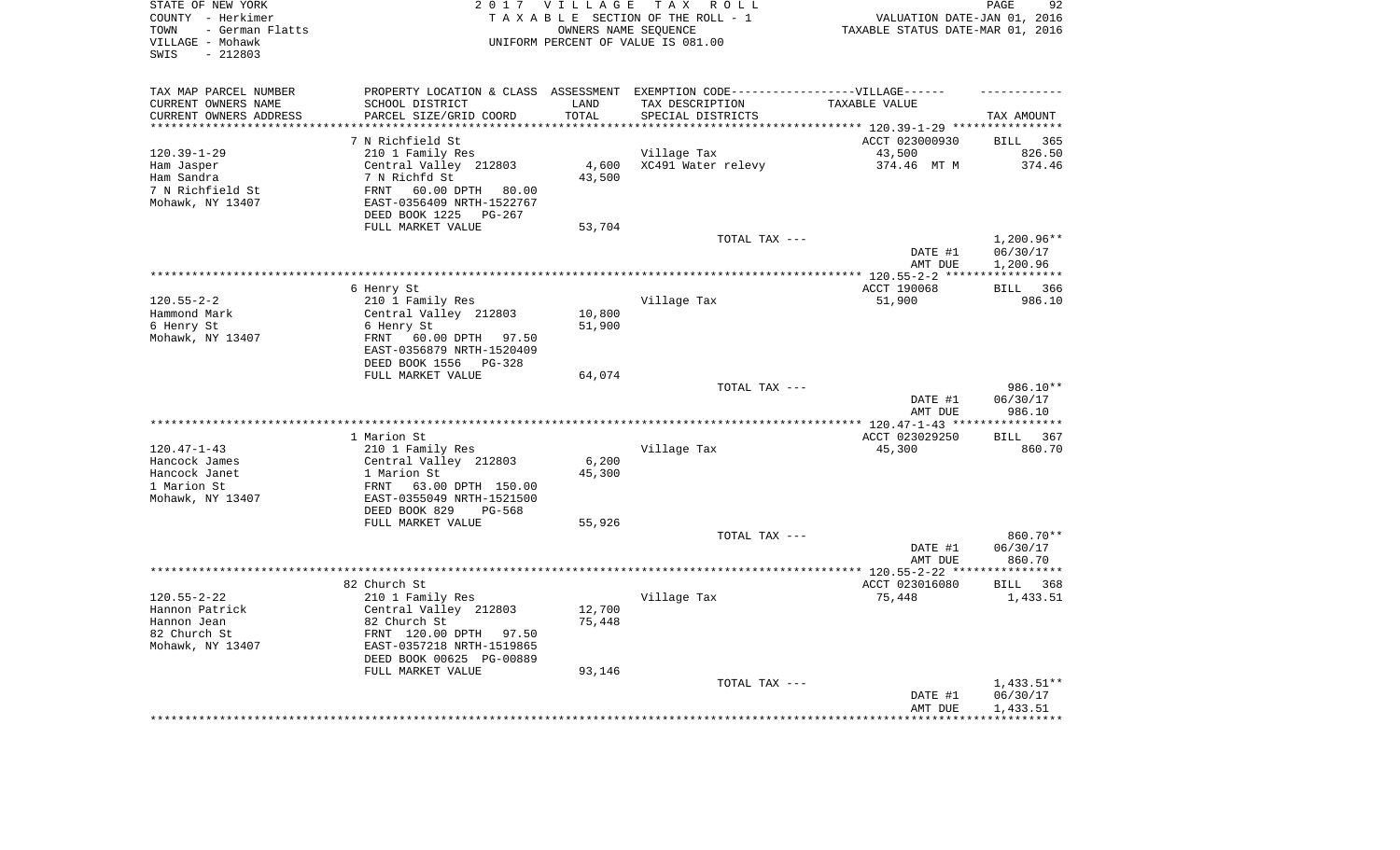| STATE OF NEW YORK<br>COUNTY - Herkimer<br>- German Flatts<br>TOWN<br>VILLAGE - Mohawk<br>$-212803$<br>SWIS |                                                    | 2017 VILLAGE     | TAX ROLL<br>TAXABLE SECTION OF THE ROLL - 1<br>OWNERS NAME SEQUENCE<br>UNIFORM PERCENT OF VALUE IS 081.00 | VALUATION DATE-JAN 01, 2016<br>TAXABLE STATUS DATE-MAR 01, 2016 | 92<br>PAGE                            |
|------------------------------------------------------------------------------------------------------------|----------------------------------------------------|------------------|-----------------------------------------------------------------------------------------------------------|-----------------------------------------------------------------|---------------------------------------|
| TAX MAP PARCEL NUMBER                                                                                      |                                                    |                  | PROPERTY LOCATION & CLASS ASSESSMENT EXEMPTION CODE-----------------VILLAGE------                         |                                                                 |                                       |
| CURRENT OWNERS NAME                                                                                        | SCHOOL DISTRICT                                    | LAND             | TAX DESCRIPTION                                                                                           | TAXABLE VALUE                                                   |                                       |
| CURRENT OWNERS ADDRESS<br>********************                                                             | PARCEL SIZE/GRID COORD                             | TOTAL<br>******* | SPECIAL DISTRICTS                                                                                         | ******************************* 120.39-1-29 ****                | TAX AMOUNT<br>* * * * * * * * * * * * |
|                                                                                                            | 7 N Richfield St                                   |                  |                                                                                                           | ACCT 023000930                                                  | <b>BILL</b><br>365                    |
| $120.39 - 1 - 29$                                                                                          | 210 1 Family Res                                   |                  | Village Tax                                                                                               | 43,500                                                          | 826.50                                |
| Ham Jasper                                                                                                 | Central Valley 212803                              | 4,600            | XC491 Water relevy                                                                                        | 374.46 MT M                                                     | 374.46                                |
| Ham Sandra                                                                                                 | 7 N Richfd St                                      | 43,500           |                                                                                                           |                                                                 |                                       |
| 7 N Richfield St                                                                                           | 60.00 DPTH<br>FRNT<br>80.00                        |                  |                                                                                                           |                                                                 |                                       |
| Mohawk, NY 13407                                                                                           | EAST-0356409 NRTH-1522767                          |                  |                                                                                                           |                                                                 |                                       |
|                                                                                                            | DEED BOOK 1225<br>PG-267                           |                  |                                                                                                           |                                                                 |                                       |
|                                                                                                            | FULL MARKET VALUE                                  | 53,704           |                                                                                                           |                                                                 |                                       |
|                                                                                                            |                                                    |                  | TOTAL TAX ---                                                                                             |                                                                 | 1,200.96**                            |
|                                                                                                            |                                                    |                  |                                                                                                           | DATE #1                                                         | 06/30/17                              |
|                                                                                                            |                                                    |                  |                                                                                                           | AMT DUE<br>******* 120.55-2-2<br>***                            | 1,200.96<br>* * * * * * * * * * *     |
|                                                                                                            | 6 Henry St                                         |                  |                                                                                                           | ACCT 190068                                                     | <b>BILL</b><br>366                    |
| $120.55 - 2 - 2$                                                                                           | 210 1 Family Res                                   |                  | Village Tax                                                                                               | 51,900                                                          | 986.10                                |
| Hammond Mark                                                                                               | Central Valley 212803                              | 10,800           |                                                                                                           |                                                                 |                                       |
| 6 Henry St                                                                                                 | 6 Henry St                                         | 51,900           |                                                                                                           |                                                                 |                                       |
| Mohawk, NY 13407                                                                                           | FRNT<br>60.00 DPTH 97.50                           |                  |                                                                                                           |                                                                 |                                       |
|                                                                                                            | EAST-0356879 NRTH-1520409<br>DEED BOOK 1556 PG-328 |                  |                                                                                                           |                                                                 |                                       |
|                                                                                                            | FULL MARKET VALUE                                  | 64,074           |                                                                                                           |                                                                 |                                       |
|                                                                                                            |                                                    |                  | TOTAL TAX ---                                                                                             |                                                                 | 986.10**                              |
|                                                                                                            |                                                    |                  |                                                                                                           | DATE #1<br>AMT DUE                                              | 06/30/17<br>986.10                    |
|                                                                                                            |                                                    |                  |                                                                                                           | ** $120.47 - 1 - 43$ **                                         | **********                            |
|                                                                                                            | 1 Marion St                                        |                  |                                                                                                           | ACCT 023029250                                                  | <b>BILL</b><br>367                    |
| $120.47 - 1 - 43$                                                                                          | 210 1 Family Res                                   |                  | Village Tax                                                                                               | 45,300                                                          | 860.70                                |
| Hancock James                                                                                              | Central Valley 212803                              | 6,200            |                                                                                                           |                                                                 |                                       |
| Hancock Janet<br>1 Marion St                                                                               | 1 Marion St<br>FRNT<br>63.00 DPTH 150.00           | 45,300           |                                                                                                           |                                                                 |                                       |
| Mohawk, NY 13407                                                                                           | EAST-0355049 NRTH-1521500                          |                  |                                                                                                           |                                                                 |                                       |
|                                                                                                            | DEED BOOK 829<br>PG-568                            |                  |                                                                                                           |                                                                 |                                       |
|                                                                                                            | FULL MARKET VALUE                                  | 55,926           |                                                                                                           |                                                                 |                                       |
|                                                                                                            |                                                    |                  | TOTAL TAX ---                                                                                             |                                                                 | 860.70**                              |
|                                                                                                            |                                                    |                  |                                                                                                           | DATE #1                                                         | 06/30/17                              |
|                                                                                                            |                                                    |                  |                                                                                                           | AMT DUE                                                         | 860.70                                |
| ******************                                                                                         |                                                    |                  |                                                                                                           | ************** 120.55-2-22 *****                                | **********                            |
| $120.55 - 2 - 22$                                                                                          | 82 Church St<br>210 1 Family Res                   |                  | Village Tax                                                                                               | ACCT 023016080<br>75,448                                        | BILL 368<br>1,433.51                  |
| Hannon Patrick                                                                                             | Central Valley 212803                              | 12,700           |                                                                                                           |                                                                 |                                       |
| Hannon Jean                                                                                                | 82 Church St                                       | 75,448           |                                                                                                           |                                                                 |                                       |
| 82 Church St                                                                                               | FRNT 120.00 DPTH 97.50                             |                  |                                                                                                           |                                                                 |                                       |
| Mohawk, NY 13407                                                                                           | EAST-0357218 NRTH-1519865                          |                  |                                                                                                           |                                                                 |                                       |
|                                                                                                            | DEED BOOK 00625 PG-00889                           |                  |                                                                                                           |                                                                 |                                       |
|                                                                                                            | FULL MARKET VALUE                                  | 93,146           |                                                                                                           |                                                                 |                                       |
|                                                                                                            |                                                    |                  | TOTAL TAX ---                                                                                             | DATE #1                                                         | 1,433.51**<br>06/30/17                |
|                                                                                                            |                                                    |                  |                                                                                                           | AMT DUE                                                         | 1,433.51                              |
|                                                                                                            |                                                    |                  |                                                                                                           |                                                                 |                                       |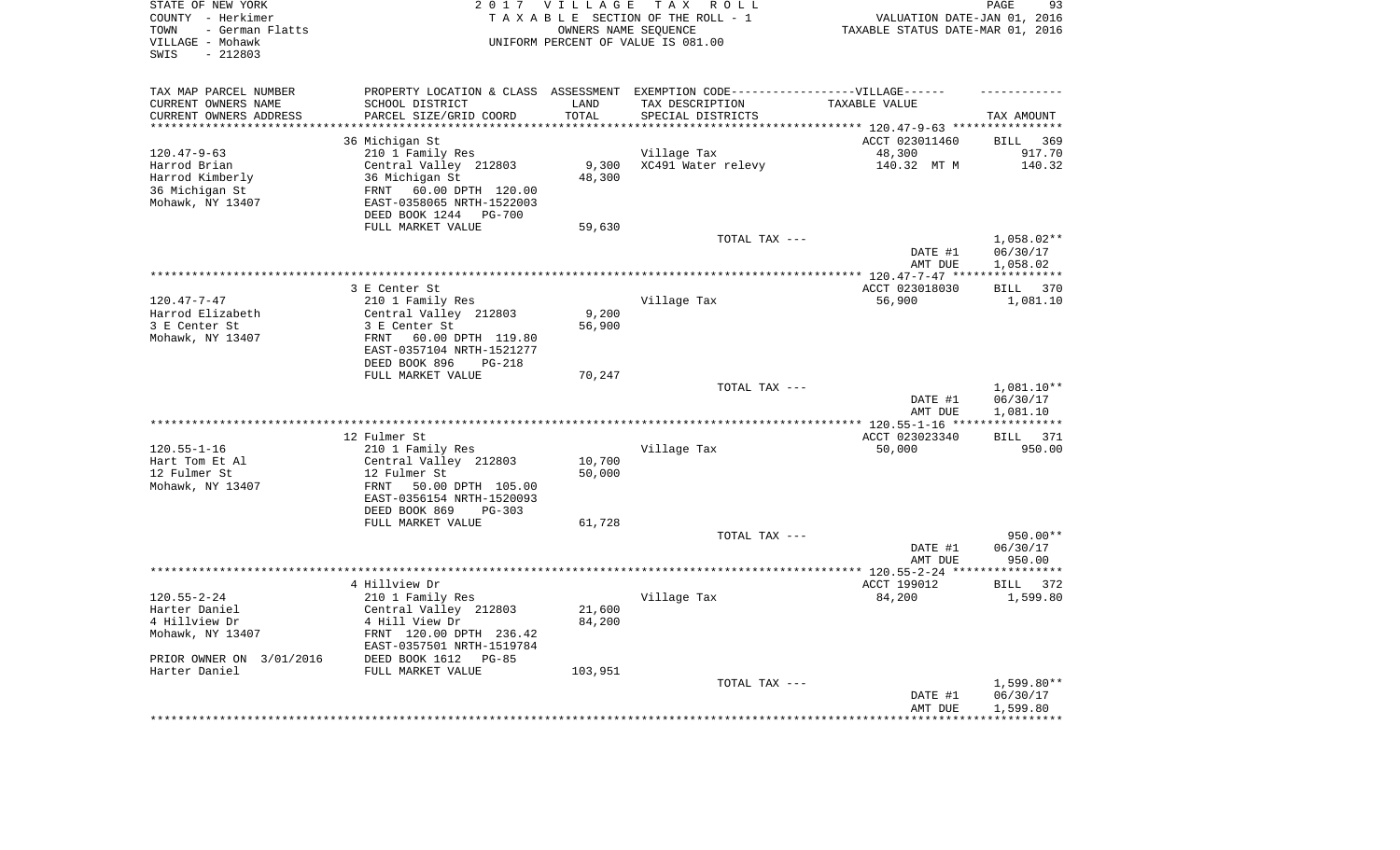| STATE OF NEW YORK<br>COUNTY - Herkimer<br>- German Flatts<br>TOWN<br>VILLAGE - Mohawk<br>$-212803$<br>SWIS |                                                        | 2017 VILLAGE | TAX ROLL<br>TAXABLE SECTION OF THE ROLL - 1<br>OWNERS NAME SEQUENCE<br>UNIFORM PERCENT OF VALUE IS 081.00 | VALUATION DATE-JAN 01, 2016<br>TAXABLE STATUS DATE-MAR 01, 2016 | PAGE<br>93                   |
|------------------------------------------------------------------------------------------------------------|--------------------------------------------------------|--------------|-----------------------------------------------------------------------------------------------------------|-----------------------------------------------------------------|------------------------------|
| TAX MAP PARCEL NUMBER<br>CURRENT OWNERS NAME                                                               | SCHOOL DISTRICT                                        | LAND         | PROPERTY LOCATION & CLASS ASSESSMENT EXEMPTION CODE-----------------VILLAGE------<br>TAX DESCRIPTION      | TAXABLE VALUE                                                   |                              |
| CURRENT OWNERS ADDRESS                                                                                     | PARCEL SIZE/GRID COORD                                 | TOTAL        | SPECIAL DISTRICTS                                                                                         |                                                                 | TAX AMOUNT                   |
| **********************                                                                                     |                                                        |              |                                                                                                           |                                                                 |                              |
| $120.47 - 9 - 63$                                                                                          | 36 Michigan St                                         |              |                                                                                                           | ACCT 023011460                                                  | 369<br><b>BILL</b><br>917.70 |
| Harrod Brian                                                                                               | 210 1 Family Res<br>Central Valley 212803              | 9,300        | Village Tax<br>XC491 Water relevy                                                                         | 48,300<br>140.32 MT M                                           | 140.32                       |
| Harrod Kimberly                                                                                            | 36 Michigan St                                         | 48,300       |                                                                                                           |                                                                 |                              |
| 36 Michigan St                                                                                             | 60.00 DPTH 120.00<br>FRNT                              |              |                                                                                                           |                                                                 |                              |
| Mohawk, NY 13407                                                                                           | EAST-0358065 NRTH-1522003                              |              |                                                                                                           |                                                                 |                              |
|                                                                                                            | DEED BOOK 1244<br><b>PG-700</b>                        |              |                                                                                                           |                                                                 |                              |
|                                                                                                            | FULL MARKET VALUE                                      | 59,630       |                                                                                                           |                                                                 |                              |
|                                                                                                            |                                                        |              | TOTAL TAX ---                                                                                             |                                                                 | 1,058.02**                   |
|                                                                                                            |                                                        |              |                                                                                                           | DATE #1                                                         | 06/30/17                     |
|                                                                                                            |                                                        |              |                                                                                                           | AMT DUE                                                         | 1,058.02                     |
|                                                                                                            | 3 E Center St                                          |              |                                                                                                           | ACCT 023018030                                                  | <b>BILL</b><br>370           |
| $120.47 - 7 - 47$                                                                                          | 210 1 Family Res                                       |              | Village Tax                                                                                               | 56,900                                                          | 1,081.10                     |
| Harrod Elizabeth                                                                                           | Central Valley 212803                                  | 9,200        |                                                                                                           |                                                                 |                              |
| 3 E Center St                                                                                              | 3 E Center St                                          | 56,900       |                                                                                                           |                                                                 |                              |
| Mohawk, NY 13407                                                                                           | 60.00 DPTH 119.80<br>FRNT                              |              |                                                                                                           |                                                                 |                              |
|                                                                                                            | EAST-0357104 NRTH-1521277                              |              |                                                                                                           |                                                                 |                              |
|                                                                                                            | DEED BOOK 896<br>$PG-218$                              |              |                                                                                                           |                                                                 |                              |
|                                                                                                            | FULL MARKET VALUE                                      | 70,247       |                                                                                                           |                                                                 |                              |
|                                                                                                            |                                                        |              | TOTAL TAX ---                                                                                             | DATE #1                                                         | 1,081.10**<br>06/30/17       |
|                                                                                                            |                                                        |              |                                                                                                           | AMT DUE                                                         | 1,081.10                     |
|                                                                                                            |                                                        |              |                                                                                                           |                                                                 | ***********                  |
|                                                                                                            | 12 Fulmer St                                           |              |                                                                                                           | ACCT 023023340                                                  | <b>BILL</b><br>371           |
| $120.55 - 1 - 16$                                                                                          | 210 1 Family Res                                       |              | Village Tax                                                                                               | 50,000                                                          | 950.00                       |
| Hart Tom Et Al                                                                                             | Central Valley 212803                                  | 10,700       |                                                                                                           |                                                                 |                              |
| 12 Fulmer St                                                                                               | 12 Fulmer St                                           | 50,000       |                                                                                                           |                                                                 |                              |
| Mohawk, NY 13407                                                                                           | 50.00 DPTH 105.00<br>FRNT                              |              |                                                                                                           |                                                                 |                              |
|                                                                                                            | EAST-0356154 NRTH-1520093<br>DEED BOOK 869<br>$PG-303$ |              |                                                                                                           |                                                                 |                              |
|                                                                                                            | FULL MARKET VALUE                                      | 61,728       |                                                                                                           |                                                                 |                              |
|                                                                                                            |                                                        |              | TOTAL TAX ---                                                                                             |                                                                 | 950.00**                     |
|                                                                                                            |                                                        |              |                                                                                                           | DATE #1                                                         | 06/30/17                     |
|                                                                                                            |                                                        |              |                                                                                                           | AMT DUE                                                         | 950.00                       |
|                                                                                                            |                                                        |              |                                                                                                           |                                                                 |                              |
|                                                                                                            | 4 Hillview Dr                                          |              |                                                                                                           | ACCT 199012                                                     | BILL 372                     |
| $120.55 - 2 - 24$                                                                                          | 210 1 Family Res                                       |              | Village Tax                                                                                               | 84,200                                                          | 1,599.80                     |
| Harter Daniel                                                                                              | Central Valley 212803                                  | 21,600       |                                                                                                           |                                                                 |                              |
| 4 Hillview Dr<br>Mohawk, NY 13407                                                                          | 4 Hill View Dr<br>FRNT 120.00 DPTH 236.42              | 84,200       |                                                                                                           |                                                                 |                              |
|                                                                                                            | EAST-0357501 NRTH-1519784                              |              |                                                                                                           |                                                                 |                              |
| PRIOR OWNER ON 3/01/2016                                                                                   | DEED BOOK 1612<br>$PG-85$                              |              |                                                                                                           |                                                                 |                              |
| Harter Daniel                                                                                              | FULL MARKET VALUE                                      | 103,951      |                                                                                                           |                                                                 |                              |
|                                                                                                            |                                                        |              | TOTAL TAX ---                                                                                             |                                                                 | 1,599.80**                   |
|                                                                                                            |                                                        |              |                                                                                                           | DATE #1                                                         | 06/30/17                     |
|                                                                                                            |                                                        |              |                                                                                                           | AMT DUE                                                         | 1,599.80                     |
|                                                                                                            |                                                        |              |                                                                                                           | *****************                                               | ************                 |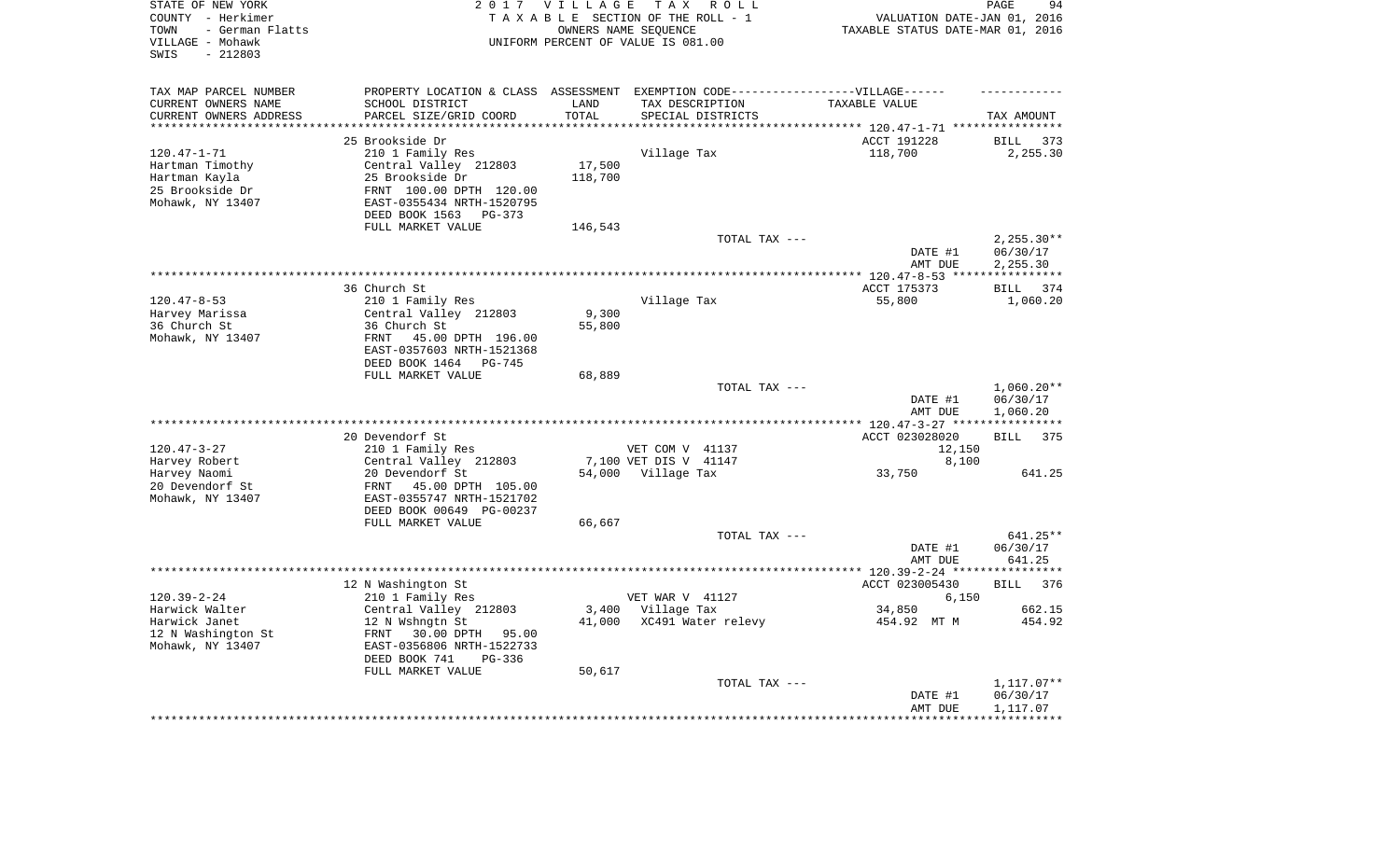| STATE OF NEW YORK<br>COUNTY - Herkimer<br>- German Flatts<br>TOWN<br>VILLAGE - Mohawk<br>$-212803$<br>SWIS |                                                | 2017 VILLAGE       | T A X<br>R O L L<br>TAXABLE SECTION OF THE ROLL - 1<br>OWNERS NAME SEQUENCE<br>UNIFORM PERCENT OF VALUE IS 081.00 | VALUATION DATE-JAN 01, 2016<br>TAXABLE STATUS DATE-MAR 01, 2016 | PAGE<br>94              |
|------------------------------------------------------------------------------------------------------------|------------------------------------------------|--------------------|-------------------------------------------------------------------------------------------------------------------|-----------------------------------------------------------------|-------------------------|
| TAX MAP PARCEL NUMBER                                                                                      |                                                |                    | PROPERTY LOCATION & CLASS ASSESSMENT EXEMPTION CODE-----------------VILLAGE------                                 |                                                                 |                         |
| CURRENT OWNERS NAME                                                                                        | SCHOOL DISTRICT                                | LAND               | TAX DESCRIPTION                                                                                                   | TAXABLE VALUE                                                   |                         |
| CURRENT OWNERS ADDRESS<br>*******************                                                              | PARCEL SIZE/GRID COORD                         | TOTAL<br>********* | SPECIAL DISTRICTS                                                                                                 |                                                                 | TAX AMOUNT              |
|                                                                                                            | 25 Brookside Dr                                |                    |                                                                                                                   | ACCT 191228                                                     | <b>BILL</b><br>373      |
| $120.47 - 1 - 71$                                                                                          | 210 1 Family Res                               |                    | Village Tax                                                                                                       | 118,700                                                         | 2,255.30                |
| Hartman Timothy                                                                                            | Central Valley 212803                          | 17,500             |                                                                                                                   |                                                                 |                         |
| Hartman Kayla                                                                                              | 25 Brookside Dr                                | 118,700            |                                                                                                                   |                                                                 |                         |
| 25 Brookside Dr                                                                                            | FRNT 100.00 DPTH 120.00                        |                    |                                                                                                                   |                                                                 |                         |
| Mohawk, NY 13407                                                                                           | EAST-0355434 NRTH-1520795                      |                    |                                                                                                                   |                                                                 |                         |
|                                                                                                            | DEED BOOK 1563<br>$PG-373$                     |                    |                                                                                                                   |                                                                 |                         |
|                                                                                                            | FULL MARKET VALUE                              | 146,543            | TOTAL TAX ---                                                                                                     |                                                                 | $2,255.30**$            |
|                                                                                                            |                                                |                    |                                                                                                                   | DATE #1                                                         | 06/30/17                |
|                                                                                                            |                                                |                    |                                                                                                                   | AMT DUE                                                         | 2,255.30                |
|                                                                                                            |                                                |                    |                                                                                                                   | *********** 120.47-8-53 ****                                    | * * * * * * * * * * * * |
|                                                                                                            | 36 Church St                                   |                    |                                                                                                                   | ACCT 175373                                                     | BILL 374                |
| $120.47 - 8 - 53$                                                                                          | 210 1 Family Res                               |                    | Village Tax                                                                                                       | 55,800                                                          | 1,060.20                |
| Harvey Marissa<br>36 Church St                                                                             | Central Valley 212803<br>36 Church St          | 9,300<br>55,800    |                                                                                                                   |                                                                 |                         |
| Mohawk, NY 13407                                                                                           | FRNT<br>45.00 DPTH 196.00                      |                    |                                                                                                                   |                                                                 |                         |
|                                                                                                            | EAST-0357603 NRTH-1521368                      |                    |                                                                                                                   |                                                                 |                         |
|                                                                                                            | DEED BOOK 1464<br>PG-745                       |                    |                                                                                                                   |                                                                 |                         |
|                                                                                                            | FULL MARKET VALUE                              | 68,889             |                                                                                                                   |                                                                 |                         |
|                                                                                                            |                                                |                    | TOTAL TAX ---                                                                                                     |                                                                 | $1,060.20**$            |
|                                                                                                            |                                                |                    |                                                                                                                   | DATE #1<br>AMT DUE                                              | 06/30/17<br>1,060.20    |
|                                                                                                            |                                                |                    |                                                                                                                   | ******* 120.47-3-27 ****                                        |                         |
|                                                                                                            | 20 Devendorf St                                |                    |                                                                                                                   | ACCT 023028020                                                  | 375<br><b>BILL</b>      |
| $120.47 - 3 - 27$                                                                                          | 210 1 Family Res                               |                    | VET COM V 41137                                                                                                   | 12,150                                                          |                         |
| Harvey Robert                                                                                              | Central Valley 212803                          |                    | 7,100 VET DIS V 41147                                                                                             | 8,100                                                           |                         |
| Harvey Naomi                                                                                               | 20 Devendorf St<br>FRNT                        |                    | 54,000 Village Tax                                                                                                | 33,750                                                          | 641.25                  |
| 20 Devendorf St<br>Mohawk, NY 13407                                                                        | 45.00 DPTH 105.00<br>EAST-0355747 NRTH-1521702 |                    |                                                                                                                   |                                                                 |                         |
|                                                                                                            | DEED BOOK 00649 PG-00237                       |                    |                                                                                                                   |                                                                 |                         |
|                                                                                                            | FULL MARKET VALUE                              | 66,667             |                                                                                                                   |                                                                 |                         |
|                                                                                                            |                                                |                    | TOTAL TAX ---                                                                                                     |                                                                 | 641.25**                |
|                                                                                                            |                                                |                    |                                                                                                                   | DATE #1                                                         | 06/30/17                |
|                                                                                                            |                                                |                    |                                                                                                                   | AMT DUE                                                         | 641.25                  |
|                                                                                                            | 12 N Washington St                             |                    |                                                                                                                   | ACCT 023005430                                                  | <b>BILL</b><br>376      |
| $120.39 - 2 - 24$                                                                                          | 210 1 Family Res                               |                    | VET WAR V 41127                                                                                                   | 6,150                                                           |                         |
| Harwick Walter                                                                                             | Central Valley 212803                          |                    | 3,400 Village Tax                                                                                                 | 34,850                                                          | 662.15                  |
| Harwick Janet                                                                                              | 12 N Wshngtn St                                | 41,000             | XC491 Water relevy                                                                                                | 454.92 MT M                                                     | 454.92                  |
| 12 N Washington St                                                                                         | 30.00 DPTH 95.00<br>FRNT                       |                    |                                                                                                                   |                                                                 |                         |
| Mohawk, NY 13407                                                                                           | EAST-0356806 NRTH-1522733                      |                    |                                                                                                                   |                                                                 |                         |
|                                                                                                            | DEED BOOK 741<br>$PG-336$<br>FULL MARKET VALUE | 50,617             |                                                                                                                   |                                                                 |                         |
|                                                                                                            |                                                |                    | TOTAL TAX ---                                                                                                     |                                                                 | 1,117.07**              |
|                                                                                                            |                                                |                    |                                                                                                                   | DATE #1                                                         | 06/30/17                |
|                                                                                                            |                                                |                    |                                                                                                                   | AMT DUE                                                         | 1,117.07                |
|                                                                                                            |                                                |                    |                                                                                                                   |                                                                 |                         |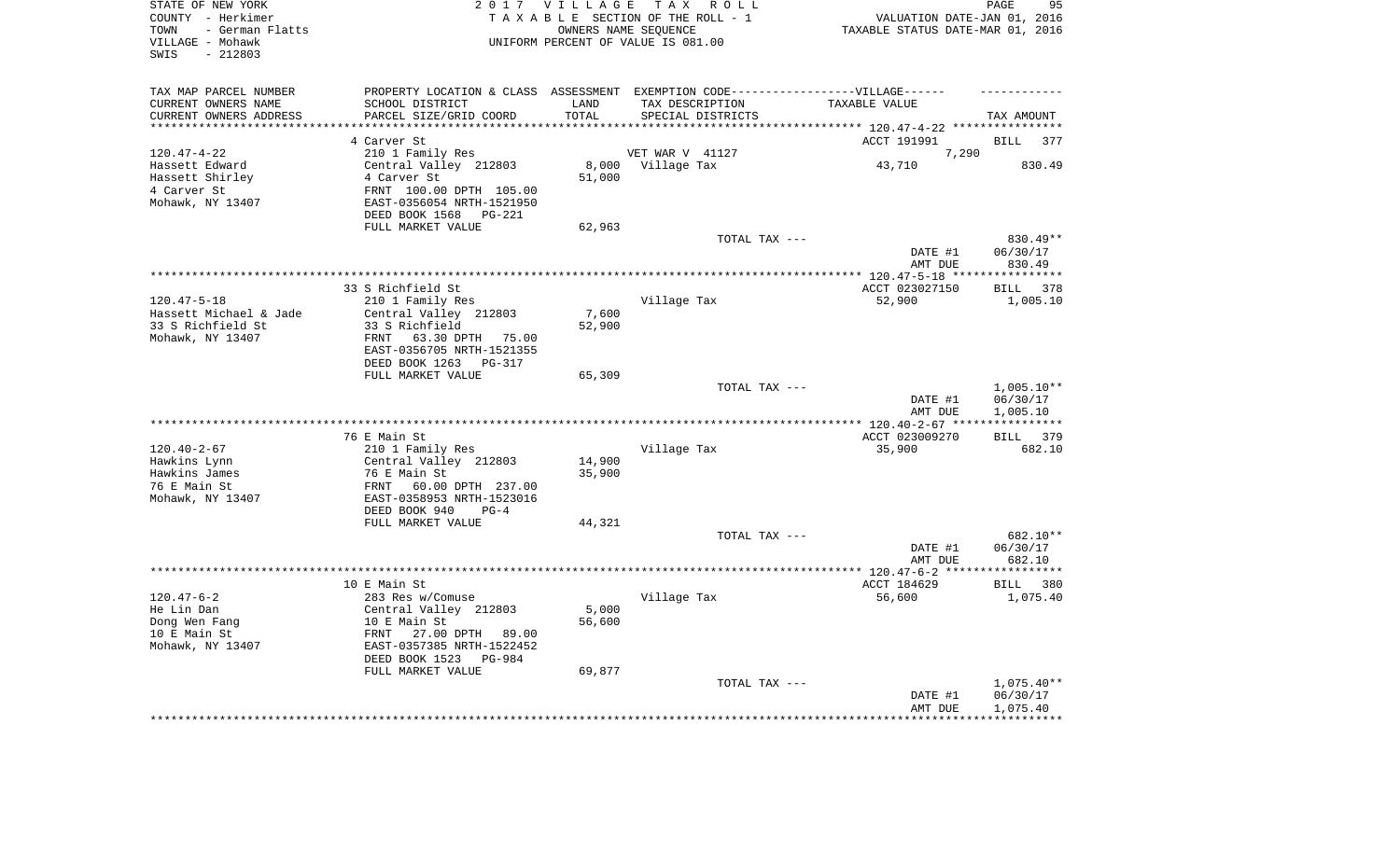| TAX MAP PARCEL NUMBER<br>PROPERTY LOCATION & CLASS ASSESSMENT EXEMPTION CODE-----------------VILLAGE------<br>CURRENT OWNERS NAME<br>SCHOOL DISTRICT<br>LAND<br>TAX DESCRIPTION<br>TAXABLE VALUE<br>TOTAL<br>CURRENT OWNERS ADDRESS<br>PARCEL SIZE/GRID COORD<br>SPECIAL DISTRICTS<br>TAX AMOUNT<br>*********************<br>**************************<br>***************<br>4 Carver St<br>ACCT 191991<br><b>BILL</b><br>377<br>7,290<br>$120.47 - 4 - 22$<br>210 1 Family Res<br>VET WAR V 41127<br>8,000<br>Village Tax<br>830.49<br>Hassett Edward<br>Central Valley 212803<br>43,710<br>Hassett Shirley<br>4 Carver St<br>51,000<br>FRNT 100.00 DPTH 105.00<br>4 Carver St<br>Mohawk, NY 13407<br>EAST-0356054 NRTH-1521950<br>DEED BOOK 1568<br>$PG-221$<br>FULL MARKET VALUE<br>62,963<br>TOTAL TAX ---<br>830.49**<br>DATE #1<br>06/30/17<br>AMT DUE<br>830.49<br>********** 120.47-5-18 *****<br>**********<br>33 S Richfield St<br>ACCT 023027150<br>378<br><b>BILL</b><br>$120.47 - 5 - 18$<br>52,900<br>210 1 Family Res<br>Village Tax<br>1,005.10<br>Hassett Michael & Jade<br>Central Valley 212803<br>7,600<br>33 S Richfield St<br>33 S Richfield<br>52,900<br>Mohawk, NY 13407<br>FRNT<br>63.30 DPTH 75.00<br>EAST-0356705 NRTH-1521355<br>DEED BOOK 1263<br>PG-317<br>FULL MARKET VALUE<br>65,309<br>TOTAL TAX ---<br>$1,005.10**$<br>DATE #1<br>06/30/17<br>AMT DUE<br>1,005.10<br>* * * * * * * * * * *<br>76 E Main St<br>ACCT 023009270<br>379<br>BILL<br>$120.40 - 2 - 67$<br>Village Tax<br>35,900<br>210 1 Family Res<br>682.10<br>Hawkins Lynn<br>Central Valley 212803<br>14,900<br>Hawkins James<br>76 E Main St<br>35,900<br>76 E Main St<br>FRNT<br>60.00 DPTH 237.00<br>Mohawk, NY 13407<br>EAST-0358953 NRTH-1523016<br>DEED BOOK 940<br>$PG-4$<br>FULL MARKET VALUE<br>44,321<br>682.10**<br>TOTAL TAX ---<br>DATE #1<br>06/30/17<br>AMT DUE<br>682.10<br>*******************<br>10 E Main St<br>ACCT 184629<br><b>BILL</b><br>380<br>$120.47 - 6 - 2$<br>283 Res w/Comuse<br>Village Tax<br>56,600<br>1,075.40<br>He Lin Dan<br>Central Valley 212803<br>5,000<br>10 E Main St<br>Dong Wen Fang<br>56,600<br>27.00 DPTH 89.00<br>10 E Main St<br>FRNT<br>Mohawk, NY 13407<br>EAST-0357385 NRTH-1522452<br>DEED BOOK 1523<br>PG-984<br>FULL MARKET VALUE<br>69,877<br>TOTAL TAX ---<br>$1,075.40**$<br>06/30/17<br>DATE #1<br>AMT DUE<br>1,075.40<br>******** | STATE OF NEW YORK<br>COUNTY - Herkimer<br>- German Flatts<br>TOWN<br>VILLAGE - Mohawk<br>$-212803$<br>SWIS | 2017 VILLAGE | TAX ROLL<br>TAXABLE SECTION OF THE ROLL - 1<br>OWNERS NAME SEQUENCE<br>UNIFORM PERCENT OF VALUE IS 081.00 | VALUATION DATE-JAN 01, 2016<br>TAXABLE STATUS DATE-MAR 01, 2016 | PAGE<br>95 |
|--------------------------------------------------------------------------------------------------------------------------------------------------------------------------------------------------------------------------------------------------------------------------------------------------------------------------------------------------------------------------------------------------------------------------------------------------------------------------------------------------------------------------------------------------------------------------------------------------------------------------------------------------------------------------------------------------------------------------------------------------------------------------------------------------------------------------------------------------------------------------------------------------------------------------------------------------------------------------------------------------------------------------------------------------------------------------------------------------------------------------------------------------------------------------------------------------------------------------------------------------------------------------------------------------------------------------------------------------------------------------------------------------------------------------------------------------------------------------------------------------------------------------------------------------------------------------------------------------------------------------------------------------------------------------------------------------------------------------------------------------------------------------------------------------------------------------------------------------------------------------------------------------------------------------------------------------------------------------------------------------------------------------------------------------------------------------------------------------------------------------------------------------------------------------------------------------------------------------------------------------------------------------------------------------------------------------------------------------------------------------------------------------|------------------------------------------------------------------------------------------------------------|--------------|-----------------------------------------------------------------------------------------------------------|-----------------------------------------------------------------|------------|
|                                                                                                                                                                                                                                                                                                                                                                                                                                                                                                                                                                                                                                                                                                                                                                                                                                                                                                                                                                                                                                                                                                                                                                                                                                                                                                                                                                                                                                                                                                                                                                                                                                                                                                                                                                                                                                                                                                                                                                                                                                                                                                                                                                                                                                                                                                                                                                                                  |                                                                                                            |              |                                                                                                           |                                                                 |            |
|                                                                                                                                                                                                                                                                                                                                                                                                                                                                                                                                                                                                                                                                                                                                                                                                                                                                                                                                                                                                                                                                                                                                                                                                                                                                                                                                                                                                                                                                                                                                                                                                                                                                                                                                                                                                                                                                                                                                                                                                                                                                                                                                                                                                                                                                                                                                                                                                  |                                                                                                            |              |                                                                                                           |                                                                 |            |
|                                                                                                                                                                                                                                                                                                                                                                                                                                                                                                                                                                                                                                                                                                                                                                                                                                                                                                                                                                                                                                                                                                                                                                                                                                                                                                                                                                                                                                                                                                                                                                                                                                                                                                                                                                                                                                                                                                                                                                                                                                                                                                                                                                                                                                                                                                                                                                                                  |                                                                                                            |              |                                                                                                           |                                                                 |            |
|                                                                                                                                                                                                                                                                                                                                                                                                                                                                                                                                                                                                                                                                                                                                                                                                                                                                                                                                                                                                                                                                                                                                                                                                                                                                                                                                                                                                                                                                                                                                                                                                                                                                                                                                                                                                                                                                                                                                                                                                                                                                                                                                                                                                                                                                                                                                                                                                  |                                                                                                            |              |                                                                                                           |                                                                 |            |
|                                                                                                                                                                                                                                                                                                                                                                                                                                                                                                                                                                                                                                                                                                                                                                                                                                                                                                                                                                                                                                                                                                                                                                                                                                                                                                                                                                                                                                                                                                                                                                                                                                                                                                                                                                                                                                                                                                                                                                                                                                                                                                                                                                                                                                                                                                                                                                                                  |                                                                                                            |              |                                                                                                           |                                                                 |            |
|                                                                                                                                                                                                                                                                                                                                                                                                                                                                                                                                                                                                                                                                                                                                                                                                                                                                                                                                                                                                                                                                                                                                                                                                                                                                                                                                                                                                                                                                                                                                                                                                                                                                                                                                                                                                                                                                                                                                                                                                                                                                                                                                                                                                                                                                                                                                                                                                  |                                                                                                            |              |                                                                                                           |                                                                 |            |
|                                                                                                                                                                                                                                                                                                                                                                                                                                                                                                                                                                                                                                                                                                                                                                                                                                                                                                                                                                                                                                                                                                                                                                                                                                                                                                                                                                                                                                                                                                                                                                                                                                                                                                                                                                                                                                                                                                                                                                                                                                                                                                                                                                                                                                                                                                                                                                                                  |                                                                                                            |              |                                                                                                           |                                                                 |            |
|                                                                                                                                                                                                                                                                                                                                                                                                                                                                                                                                                                                                                                                                                                                                                                                                                                                                                                                                                                                                                                                                                                                                                                                                                                                                                                                                                                                                                                                                                                                                                                                                                                                                                                                                                                                                                                                                                                                                                                                                                                                                                                                                                                                                                                                                                                                                                                                                  |                                                                                                            |              |                                                                                                           |                                                                 |            |
|                                                                                                                                                                                                                                                                                                                                                                                                                                                                                                                                                                                                                                                                                                                                                                                                                                                                                                                                                                                                                                                                                                                                                                                                                                                                                                                                                                                                                                                                                                                                                                                                                                                                                                                                                                                                                                                                                                                                                                                                                                                                                                                                                                                                                                                                                                                                                                                                  |                                                                                                            |              |                                                                                                           |                                                                 |            |
|                                                                                                                                                                                                                                                                                                                                                                                                                                                                                                                                                                                                                                                                                                                                                                                                                                                                                                                                                                                                                                                                                                                                                                                                                                                                                                                                                                                                                                                                                                                                                                                                                                                                                                                                                                                                                                                                                                                                                                                                                                                                                                                                                                                                                                                                                                                                                                                                  |                                                                                                            |              |                                                                                                           |                                                                 |            |
|                                                                                                                                                                                                                                                                                                                                                                                                                                                                                                                                                                                                                                                                                                                                                                                                                                                                                                                                                                                                                                                                                                                                                                                                                                                                                                                                                                                                                                                                                                                                                                                                                                                                                                                                                                                                                                                                                                                                                                                                                                                                                                                                                                                                                                                                                                                                                                                                  |                                                                                                            |              |                                                                                                           |                                                                 |            |
|                                                                                                                                                                                                                                                                                                                                                                                                                                                                                                                                                                                                                                                                                                                                                                                                                                                                                                                                                                                                                                                                                                                                                                                                                                                                                                                                                                                                                                                                                                                                                                                                                                                                                                                                                                                                                                                                                                                                                                                                                                                                                                                                                                                                                                                                                                                                                                                                  |                                                                                                            |              |                                                                                                           |                                                                 |            |
|                                                                                                                                                                                                                                                                                                                                                                                                                                                                                                                                                                                                                                                                                                                                                                                                                                                                                                                                                                                                                                                                                                                                                                                                                                                                                                                                                                                                                                                                                                                                                                                                                                                                                                                                                                                                                                                                                                                                                                                                                                                                                                                                                                                                                                                                                                                                                                                                  |                                                                                                            |              |                                                                                                           |                                                                 |            |
|                                                                                                                                                                                                                                                                                                                                                                                                                                                                                                                                                                                                                                                                                                                                                                                                                                                                                                                                                                                                                                                                                                                                                                                                                                                                                                                                                                                                                                                                                                                                                                                                                                                                                                                                                                                                                                                                                                                                                                                                                                                                                                                                                                                                                                                                                                                                                                                                  |                                                                                                            |              |                                                                                                           |                                                                 |            |
|                                                                                                                                                                                                                                                                                                                                                                                                                                                                                                                                                                                                                                                                                                                                                                                                                                                                                                                                                                                                                                                                                                                                                                                                                                                                                                                                                                                                                                                                                                                                                                                                                                                                                                                                                                                                                                                                                                                                                                                                                                                                                                                                                                                                                                                                                                                                                                                                  |                                                                                                            |              |                                                                                                           |                                                                 |            |
|                                                                                                                                                                                                                                                                                                                                                                                                                                                                                                                                                                                                                                                                                                                                                                                                                                                                                                                                                                                                                                                                                                                                                                                                                                                                                                                                                                                                                                                                                                                                                                                                                                                                                                                                                                                                                                                                                                                                                                                                                                                                                                                                                                                                                                                                                                                                                                                                  |                                                                                                            |              |                                                                                                           |                                                                 |            |
|                                                                                                                                                                                                                                                                                                                                                                                                                                                                                                                                                                                                                                                                                                                                                                                                                                                                                                                                                                                                                                                                                                                                                                                                                                                                                                                                                                                                                                                                                                                                                                                                                                                                                                                                                                                                                                                                                                                                                                                                                                                                                                                                                                                                                                                                                                                                                                                                  |                                                                                                            |              |                                                                                                           |                                                                 |            |
|                                                                                                                                                                                                                                                                                                                                                                                                                                                                                                                                                                                                                                                                                                                                                                                                                                                                                                                                                                                                                                                                                                                                                                                                                                                                                                                                                                                                                                                                                                                                                                                                                                                                                                                                                                                                                                                                                                                                                                                                                                                                                                                                                                                                                                                                                                                                                                                                  |                                                                                                            |              |                                                                                                           |                                                                 |            |
|                                                                                                                                                                                                                                                                                                                                                                                                                                                                                                                                                                                                                                                                                                                                                                                                                                                                                                                                                                                                                                                                                                                                                                                                                                                                                                                                                                                                                                                                                                                                                                                                                                                                                                                                                                                                                                                                                                                                                                                                                                                                                                                                                                                                                                                                                                                                                                                                  |                                                                                                            |              |                                                                                                           |                                                                 |            |
|                                                                                                                                                                                                                                                                                                                                                                                                                                                                                                                                                                                                                                                                                                                                                                                                                                                                                                                                                                                                                                                                                                                                                                                                                                                                                                                                                                                                                                                                                                                                                                                                                                                                                                                                                                                                                                                                                                                                                                                                                                                                                                                                                                                                                                                                                                                                                                                                  |                                                                                                            |              |                                                                                                           |                                                                 |            |
|                                                                                                                                                                                                                                                                                                                                                                                                                                                                                                                                                                                                                                                                                                                                                                                                                                                                                                                                                                                                                                                                                                                                                                                                                                                                                                                                                                                                                                                                                                                                                                                                                                                                                                                                                                                                                                                                                                                                                                                                                                                                                                                                                                                                                                                                                                                                                                                                  |                                                                                                            |              |                                                                                                           |                                                                 |            |
|                                                                                                                                                                                                                                                                                                                                                                                                                                                                                                                                                                                                                                                                                                                                                                                                                                                                                                                                                                                                                                                                                                                                                                                                                                                                                                                                                                                                                                                                                                                                                                                                                                                                                                                                                                                                                                                                                                                                                                                                                                                                                                                                                                                                                                                                                                                                                                                                  |                                                                                                            |              |                                                                                                           |                                                                 |            |
|                                                                                                                                                                                                                                                                                                                                                                                                                                                                                                                                                                                                                                                                                                                                                                                                                                                                                                                                                                                                                                                                                                                                                                                                                                                                                                                                                                                                                                                                                                                                                                                                                                                                                                                                                                                                                                                                                                                                                                                                                                                                                                                                                                                                                                                                                                                                                                                                  |                                                                                                            |              |                                                                                                           |                                                                 |            |
|                                                                                                                                                                                                                                                                                                                                                                                                                                                                                                                                                                                                                                                                                                                                                                                                                                                                                                                                                                                                                                                                                                                                                                                                                                                                                                                                                                                                                                                                                                                                                                                                                                                                                                                                                                                                                                                                                                                                                                                                                                                                                                                                                                                                                                                                                                                                                                                                  |                                                                                                            |              |                                                                                                           |                                                                 |            |
|                                                                                                                                                                                                                                                                                                                                                                                                                                                                                                                                                                                                                                                                                                                                                                                                                                                                                                                                                                                                                                                                                                                                                                                                                                                                                                                                                                                                                                                                                                                                                                                                                                                                                                                                                                                                                                                                                                                                                                                                                                                                                                                                                                                                                                                                                                                                                                                                  |                                                                                                            |              |                                                                                                           |                                                                 |            |
|                                                                                                                                                                                                                                                                                                                                                                                                                                                                                                                                                                                                                                                                                                                                                                                                                                                                                                                                                                                                                                                                                                                                                                                                                                                                                                                                                                                                                                                                                                                                                                                                                                                                                                                                                                                                                                                                                                                                                                                                                                                                                                                                                                                                                                                                                                                                                                                                  |                                                                                                            |              |                                                                                                           |                                                                 |            |
|                                                                                                                                                                                                                                                                                                                                                                                                                                                                                                                                                                                                                                                                                                                                                                                                                                                                                                                                                                                                                                                                                                                                                                                                                                                                                                                                                                                                                                                                                                                                                                                                                                                                                                                                                                                                                                                                                                                                                                                                                                                                                                                                                                                                                                                                                                                                                                                                  |                                                                                                            |              |                                                                                                           |                                                                 |            |
|                                                                                                                                                                                                                                                                                                                                                                                                                                                                                                                                                                                                                                                                                                                                                                                                                                                                                                                                                                                                                                                                                                                                                                                                                                                                                                                                                                                                                                                                                                                                                                                                                                                                                                                                                                                                                                                                                                                                                                                                                                                                                                                                                                                                                                                                                                                                                                                                  |                                                                                                            |              |                                                                                                           |                                                                 |            |
|                                                                                                                                                                                                                                                                                                                                                                                                                                                                                                                                                                                                                                                                                                                                                                                                                                                                                                                                                                                                                                                                                                                                                                                                                                                                                                                                                                                                                                                                                                                                                                                                                                                                                                                                                                                                                                                                                                                                                                                                                                                                                                                                                                                                                                                                                                                                                                                                  |                                                                                                            |              |                                                                                                           |                                                                 |            |
|                                                                                                                                                                                                                                                                                                                                                                                                                                                                                                                                                                                                                                                                                                                                                                                                                                                                                                                                                                                                                                                                                                                                                                                                                                                                                                                                                                                                                                                                                                                                                                                                                                                                                                                                                                                                                                                                                                                                                                                                                                                                                                                                                                                                                                                                                                                                                                                                  |                                                                                                            |              |                                                                                                           |                                                                 |            |
|                                                                                                                                                                                                                                                                                                                                                                                                                                                                                                                                                                                                                                                                                                                                                                                                                                                                                                                                                                                                                                                                                                                                                                                                                                                                                                                                                                                                                                                                                                                                                                                                                                                                                                                                                                                                                                                                                                                                                                                                                                                                                                                                                                                                                                                                                                                                                                                                  |                                                                                                            |              |                                                                                                           |                                                                 |            |
|                                                                                                                                                                                                                                                                                                                                                                                                                                                                                                                                                                                                                                                                                                                                                                                                                                                                                                                                                                                                                                                                                                                                                                                                                                                                                                                                                                                                                                                                                                                                                                                                                                                                                                                                                                                                                                                                                                                                                                                                                                                                                                                                                                                                                                                                                                                                                                                                  |                                                                                                            |              |                                                                                                           |                                                                 |            |
|                                                                                                                                                                                                                                                                                                                                                                                                                                                                                                                                                                                                                                                                                                                                                                                                                                                                                                                                                                                                                                                                                                                                                                                                                                                                                                                                                                                                                                                                                                                                                                                                                                                                                                                                                                                                                                                                                                                                                                                                                                                                                                                                                                                                                                                                                                                                                                                                  |                                                                                                            |              |                                                                                                           |                                                                 |            |
|                                                                                                                                                                                                                                                                                                                                                                                                                                                                                                                                                                                                                                                                                                                                                                                                                                                                                                                                                                                                                                                                                                                                                                                                                                                                                                                                                                                                                                                                                                                                                                                                                                                                                                                                                                                                                                                                                                                                                                                                                                                                                                                                                                                                                                                                                                                                                                                                  |                                                                                                            |              |                                                                                                           |                                                                 |            |
|                                                                                                                                                                                                                                                                                                                                                                                                                                                                                                                                                                                                                                                                                                                                                                                                                                                                                                                                                                                                                                                                                                                                                                                                                                                                                                                                                                                                                                                                                                                                                                                                                                                                                                                                                                                                                                                                                                                                                                                                                                                                                                                                                                                                                                                                                                                                                                                                  |                                                                                                            |              |                                                                                                           |                                                                 |            |
|                                                                                                                                                                                                                                                                                                                                                                                                                                                                                                                                                                                                                                                                                                                                                                                                                                                                                                                                                                                                                                                                                                                                                                                                                                                                                                                                                                                                                                                                                                                                                                                                                                                                                                                                                                                                                                                                                                                                                                                                                                                                                                                                                                                                                                                                                                                                                                                                  |                                                                                                            |              |                                                                                                           |                                                                 |            |
|                                                                                                                                                                                                                                                                                                                                                                                                                                                                                                                                                                                                                                                                                                                                                                                                                                                                                                                                                                                                                                                                                                                                                                                                                                                                                                                                                                                                                                                                                                                                                                                                                                                                                                                                                                                                                                                                                                                                                                                                                                                                                                                                                                                                                                                                                                                                                                                                  |                                                                                                            |              |                                                                                                           |                                                                 |            |
|                                                                                                                                                                                                                                                                                                                                                                                                                                                                                                                                                                                                                                                                                                                                                                                                                                                                                                                                                                                                                                                                                                                                                                                                                                                                                                                                                                                                                                                                                                                                                                                                                                                                                                                                                                                                                                                                                                                                                                                                                                                                                                                                                                                                                                                                                                                                                                                                  |                                                                                                            |              |                                                                                                           |                                                                 |            |
|                                                                                                                                                                                                                                                                                                                                                                                                                                                                                                                                                                                                                                                                                                                                                                                                                                                                                                                                                                                                                                                                                                                                                                                                                                                                                                                                                                                                                                                                                                                                                                                                                                                                                                                                                                                                                                                                                                                                                                                                                                                                                                                                                                                                                                                                                                                                                                                                  |                                                                                                            |              |                                                                                                           |                                                                 |            |
|                                                                                                                                                                                                                                                                                                                                                                                                                                                                                                                                                                                                                                                                                                                                                                                                                                                                                                                                                                                                                                                                                                                                                                                                                                                                                                                                                                                                                                                                                                                                                                                                                                                                                                                                                                                                                                                                                                                                                                                                                                                                                                                                                                                                                                                                                                                                                                                                  |                                                                                                            |              |                                                                                                           |                                                                 |            |
|                                                                                                                                                                                                                                                                                                                                                                                                                                                                                                                                                                                                                                                                                                                                                                                                                                                                                                                                                                                                                                                                                                                                                                                                                                                                                                                                                                                                                                                                                                                                                                                                                                                                                                                                                                                                                                                                                                                                                                                                                                                                                                                                                                                                                                                                                                                                                                                                  |                                                                                                            |              |                                                                                                           |                                                                 |            |
|                                                                                                                                                                                                                                                                                                                                                                                                                                                                                                                                                                                                                                                                                                                                                                                                                                                                                                                                                                                                                                                                                                                                                                                                                                                                                                                                                                                                                                                                                                                                                                                                                                                                                                                                                                                                                                                                                                                                                                                                                                                                                                                                                                                                                                                                                                                                                                                                  |                                                                                                            |              |                                                                                                           |                                                                 |            |
|                                                                                                                                                                                                                                                                                                                                                                                                                                                                                                                                                                                                                                                                                                                                                                                                                                                                                                                                                                                                                                                                                                                                                                                                                                                                                                                                                                                                                                                                                                                                                                                                                                                                                                                                                                                                                                                                                                                                                                                                                                                                                                                                                                                                                                                                                                                                                                                                  |                                                                                                            |              |                                                                                                           |                                                                 |            |
|                                                                                                                                                                                                                                                                                                                                                                                                                                                                                                                                                                                                                                                                                                                                                                                                                                                                                                                                                                                                                                                                                                                                                                                                                                                                                                                                                                                                                                                                                                                                                                                                                                                                                                                                                                                                                                                                                                                                                                                                                                                                                                                                                                                                                                                                                                                                                                                                  |                                                                                                            |              |                                                                                                           |                                                                 |            |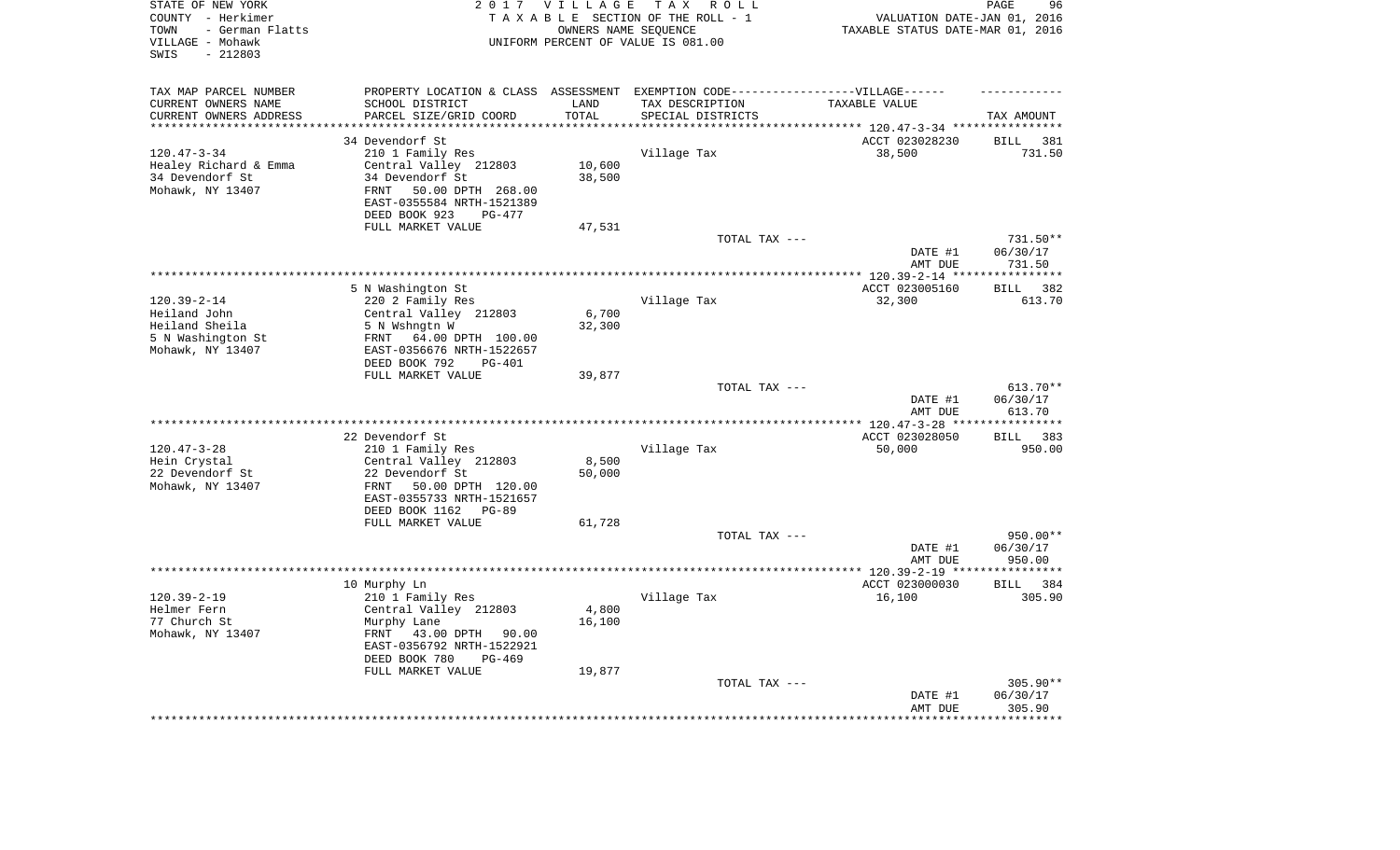| STATE OF NEW YORK<br>COUNTY - Herkimer<br>- German Flatts<br>TOWN<br>VILLAGE - Mohawk<br>$-212803$<br>SWIS | 2 0 1 7                                                                           | <b>VILLAGE</b><br>OWNERS NAME SEQUENCE | T A X<br>R O L L<br>TAXABLE SECTION OF THE ROLL - 1<br>UNIFORM PERCENT OF VALUE IS 081.00 | VALUATION DATE-JAN 01, 2016<br>TAXABLE STATUS DATE-MAR 01, 2016 | 96<br>PAGE         |
|------------------------------------------------------------------------------------------------------------|-----------------------------------------------------------------------------------|----------------------------------------|-------------------------------------------------------------------------------------------|-----------------------------------------------------------------|--------------------|
| TAX MAP PARCEL NUMBER                                                                                      | PROPERTY LOCATION & CLASS ASSESSMENT EXEMPTION CODE-----------------VILLAGE------ |                                        |                                                                                           |                                                                 |                    |
| CURRENT OWNERS NAME                                                                                        | SCHOOL DISTRICT                                                                   | LAND                                   | TAX DESCRIPTION                                                                           | TAXABLE VALUE                                                   |                    |
| CURRENT OWNERS ADDRESS<br>*********************                                                            | PARCEL SIZE/GRID COORD<br>************************                                | TOTAL<br>*********                     | SPECIAL DISTRICTS                                                                         |                                                                 | TAX AMOUNT         |
|                                                                                                            |                                                                                   |                                        |                                                                                           |                                                                 |                    |
|                                                                                                            | 34 Devendorf St                                                                   |                                        |                                                                                           | ACCT 023028230                                                  | <b>BILL</b><br>381 |
| $120.47 - 3 - 34$<br>Healey Richard & Emma                                                                 | 210 1 Family Res<br>Central Valley 212803                                         | 10,600                                 | Village Tax                                                                               | 38,500                                                          | 731.50             |
| 34 Devendorf St                                                                                            | 34 Devendorf St                                                                   | 38,500                                 |                                                                                           |                                                                 |                    |
| Mohawk, NY 13407                                                                                           | 50.00 DPTH 268.00<br><b>FRNT</b>                                                  |                                        |                                                                                           |                                                                 |                    |
|                                                                                                            | EAST-0355584 NRTH-1521389<br>DEED BOOK 923<br>$PG-477$                            |                                        |                                                                                           |                                                                 |                    |
|                                                                                                            | FULL MARKET VALUE                                                                 | 47,531                                 |                                                                                           |                                                                 |                    |
|                                                                                                            |                                                                                   |                                        | TOTAL TAX ---                                                                             |                                                                 | 731.50**           |
|                                                                                                            |                                                                                   |                                        |                                                                                           | DATE #1                                                         | 06/30/17           |
|                                                                                                            |                                                                                   |                                        |                                                                                           | AMT DUE                                                         | 731.50             |
|                                                                                                            |                                                                                   |                                        |                                                                                           |                                                                 | ************       |
|                                                                                                            | 5 N Washington St                                                                 |                                        |                                                                                           | ACCT 023005160                                                  | 382<br><b>BILL</b> |
| $120.39 - 2 - 14$                                                                                          | 220 2 Family Res                                                                  |                                        | Village Tax                                                                               | 32,300                                                          | 613.70             |
| Heiland John                                                                                               | Central Valley 212803                                                             | 6,700                                  |                                                                                           |                                                                 |                    |
| Heiland Sheila                                                                                             | 5 N Wshngtn W                                                                     | 32,300                                 |                                                                                           |                                                                 |                    |
| 5 N Washington St                                                                                          | 64.00 DPTH 100.00<br>FRNT                                                         |                                        |                                                                                           |                                                                 |                    |
| Mohawk, NY 13407                                                                                           | EAST-0356676 NRTH-1522657<br>DEED BOOK 792<br><b>PG-401</b>                       |                                        |                                                                                           |                                                                 |                    |
|                                                                                                            | FULL MARKET VALUE                                                                 | 39,877                                 |                                                                                           |                                                                 |                    |
|                                                                                                            |                                                                                   |                                        | TOTAL TAX ---                                                                             |                                                                 | $613.70**$         |
|                                                                                                            |                                                                                   |                                        |                                                                                           | DATE #1<br>AMT DUE                                              | 06/30/17<br>613.70 |
|                                                                                                            |                                                                                   |                                        |                                                                                           |                                                                 | **********         |
|                                                                                                            | 22 Devendorf St                                                                   |                                        |                                                                                           | ACCT 023028050                                                  | 383<br><b>BILL</b> |
| $120.47 - 3 - 28$                                                                                          | 210 1 Family Res                                                                  |                                        | Village Tax                                                                               | 50,000                                                          | 950.00             |
| Hein Crystal                                                                                               | Central Valley 212803                                                             | 8,500                                  |                                                                                           |                                                                 |                    |
| 22 Devendorf St                                                                                            | 22 Devendorf St                                                                   | 50,000                                 |                                                                                           |                                                                 |                    |
| Mohawk, NY 13407                                                                                           | FRNT<br>50.00 DPTH 120.00                                                         |                                        |                                                                                           |                                                                 |                    |
|                                                                                                            | EAST-0355733 NRTH-1521657<br>DEED BOOK 1162<br>$PG-89$                            |                                        |                                                                                           |                                                                 |                    |
|                                                                                                            | FULL MARKET VALUE                                                                 | 61,728                                 |                                                                                           |                                                                 |                    |
|                                                                                                            |                                                                                   |                                        | TOTAL TAX ---                                                                             |                                                                 | 950.00**           |
|                                                                                                            |                                                                                   |                                        |                                                                                           | DATE #1                                                         | 06/30/17           |
|                                                                                                            |                                                                                   |                                        |                                                                                           | AMT DUE                                                         | 950.00             |
|                                                                                                            |                                                                                   |                                        |                                                                                           |                                                                 | ************       |
|                                                                                                            | 10 Murphy Ln                                                                      |                                        |                                                                                           | ACCT 023000030                                                  | 384<br><b>BILL</b> |
| $120.39 - 2 - 19$                                                                                          | 210 1 Family Res                                                                  |                                        | Village Tax                                                                               | 16,100                                                          | 305.90             |
| Helmer Fern                                                                                                | Central Valley 212803                                                             | 4,800                                  |                                                                                           |                                                                 |                    |
| 77 Church St                                                                                               | Murphy Lane<br>43.00 DPTH                                                         | 16,100                                 |                                                                                           |                                                                 |                    |
| Mohawk, NY 13407                                                                                           | FRNT<br>90.00<br>EAST-0356792 NRTH-1522921                                        |                                        |                                                                                           |                                                                 |                    |
|                                                                                                            | DEED BOOK 780<br>$PG-469$                                                         |                                        |                                                                                           |                                                                 |                    |
|                                                                                                            | FULL MARKET VALUE                                                                 | 19,877                                 |                                                                                           |                                                                 |                    |
|                                                                                                            |                                                                                   |                                        | TOTAL TAX ---                                                                             |                                                                 | 305.90**           |
|                                                                                                            |                                                                                   |                                        |                                                                                           | DATE #1                                                         | 06/30/17           |
|                                                                                                            |                                                                                   |                                        |                                                                                           | AMT DUE                                                         | 305.90             |
|                                                                                                            |                                                                                   |                                        |                                                                                           | *************                                                   | ************       |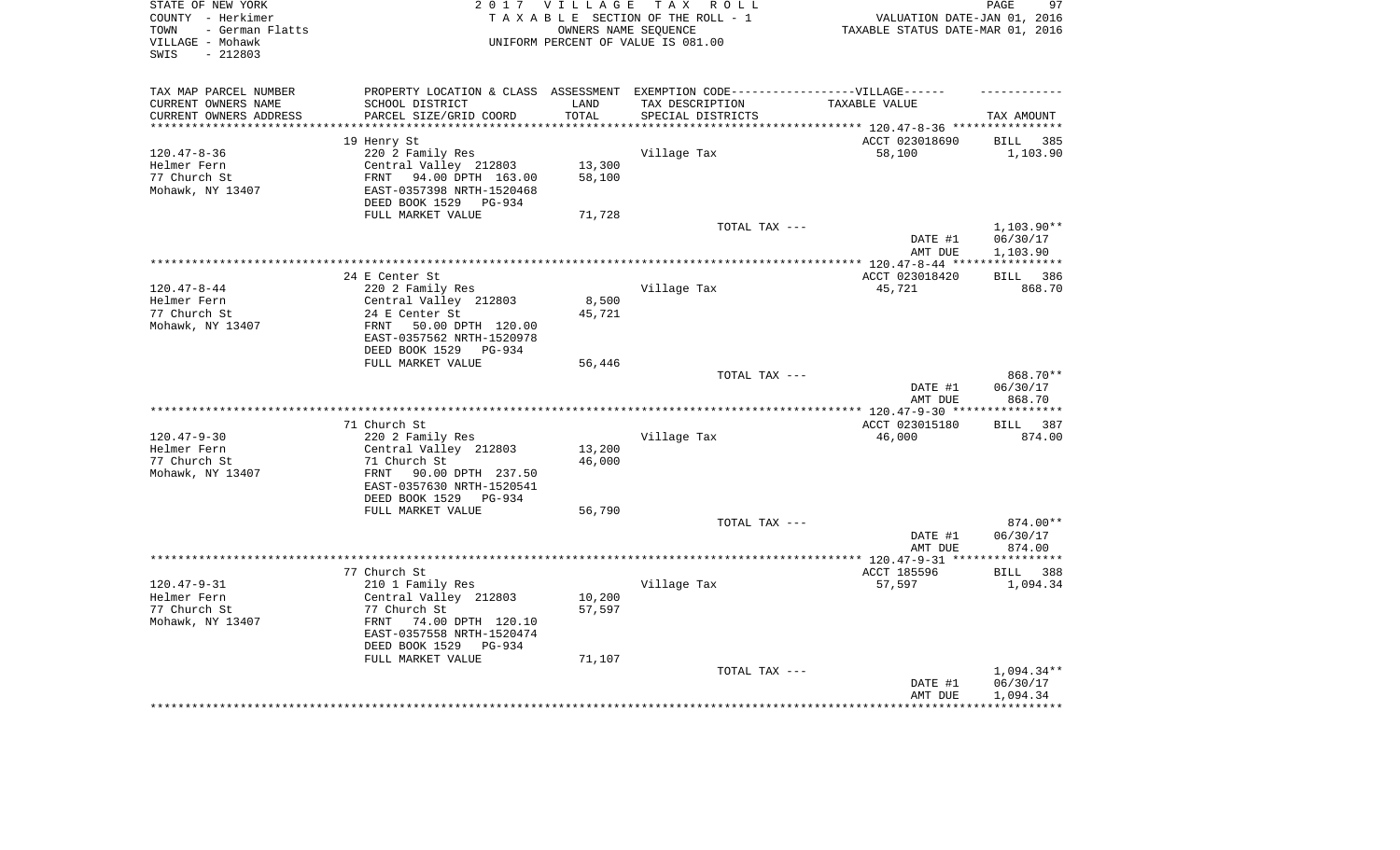| STATE OF NEW YORK<br>COUNTY - Herkimer<br>- German Flatts<br>TOWN<br>VILLAGE - Mohawk<br>$-212803$<br>SWIS |                                                        | 2017 VILLAGE     | TAX ROLL<br>TAXABLE SECTION OF THE ROLL - 1<br>OWNERS NAME SEOUENCE<br>UNIFORM PERCENT OF VALUE IS 081.00 | VALUATION DATE-JAN 01, 2016<br>TAXABLE STATUS DATE-MAR 01, 2016 | PAGE<br>97             |
|------------------------------------------------------------------------------------------------------------|--------------------------------------------------------|------------------|-----------------------------------------------------------------------------------------------------------|-----------------------------------------------------------------|------------------------|
|                                                                                                            |                                                        |                  |                                                                                                           |                                                                 |                        |
| TAX MAP PARCEL NUMBER                                                                                      |                                                        |                  | PROPERTY LOCATION & CLASS ASSESSMENT EXEMPTION CODE-----------------VILLAGE------                         |                                                                 |                        |
| CURRENT OWNERS NAME                                                                                        | SCHOOL DISTRICT                                        | LAND             | TAX DESCRIPTION                                                                                           | TAXABLE VALUE                                                   |                        |
| CURRENT OWNERS ADDRESS                                                                                     | PARCEL SIZE/GRID COORD                                 | TOTAL<br>******* | SPECIAL DISTRICTS                                                                                         |                                                                 | TAX AMOUNT             |
|                                                                                                            | 19 Henry St                                            |                  |                                                                                                           | ********* 120.47-8-36 ***********<br>ACCT 023018690             | 385<br>BILL            |
| $120.47 - 8 - 36$                                                                                          | 220 2 Family Res                                       |                  | Village Tax                                                                                               | 58,100                                                          | 1,103.90               |
| Helmer Fern                                                                                                | Central Valley 212803                                  | 13,300           |                                                                                                           |                                                                 |                        |
| 77 Church St                                                                                               | 94.00 DPTH 163.00<br>FRNT                              | 58,100           |                                                                                                           |                                                                 |                        |
| Mohawk, NY 13407                                                                                           | EAST-0357398 NRTH-1520468                              |                  |                                                                                                           |                                                                 |                        |
|                                                                                                            | DEED BOOK 1529 PG-934                                  |                  |                                                                                                           |                                                                 |                        |
|                                                                                                            | FULL MARKET VALUE                                      | 71,728           |                                                                                                           |                                                                 |                        |
|                                                                                                            |                                                        |                  | TOTAL TAX ---                                                                                             | DATE #1                                                         | 1,103.90**<br>06/30/17 |
|                                                                                                            |                                                        |                  |                                                                                                           | AMT DUE                                                         | 1,103.90               |
|                                                                                                            |                                                        |                  |                                                                                                           |                                                                 | ************           |
|                                                                                                            | 24 E Center St                                         |                  |                                                                                                           | ACCT 023018420                                                  | BILL 386               |
| $120.47 - 8 - 44$                                                                                          | 220 2 Family Res                                       |                  | Village Tax                                                                                               | 45,721                                                          | 868.70                 |
| Helmer Fern<br>77 Church St                                                                                | Central Valley 212803<br>24 E Center St                | 8,500            |                                                                                                           |                                                                 |                        |
| Mohawk, NY 13407                                                                                           | FRNT 50.00 DPTH 120.00                                 | 45,721           |                                                                                                           |                                                                 |                        |
|                                                                                                            | EAST-0357562 NRTH-1520978                              |                  |                                                                                                           |                                                                 |                        |
|                                                                                                            | DEED BOOK 1529 PG-934                                  |                  |                                                                                                           |                                                                 |                        |
|                                                                                                            | FULL MARKET VALUE                                      | 56,446           |                                                                                                           |                                                                 |                        |
|                                                                                                            |                                                        |                  | TOTAL TAX ---                                                                                             |                                                                 | 868.70**               |
|                                                                                                            |                                                        |                  |                                                                                                           | DATE #1<br>AMT DUE                                              | 06/30/17<br>868.70     |
|                                                                                                            |                                                        |                  |                                                                                                           |                                                                 |                        |
|                                                                                                            | 71 Church St                                           |                  |                                                                                                           | ACCT 023015180                                                  | BILL 387               |
| $120.47 - 9 - 30$                                                                                          | 220 2 Family Res                                       |                  | Village Tax                                                                                               | 46,000                                                          | 874.00                 |
| Helmer Fern                                                                                                | Central Valley 212803                                  | 13,200           |                                                                                                           |                                                                 |                        |
| 77 Church St                                                                                               | 71 Church St                                           | 46,000           |                                                                                                           |                                                                 |                        |
| Mohawk, NY 13407                                                                                           | 90.00 DPTH 237.50<br>FRNT<br>EAST-0357630 NRTH-1520541 |                  |                                                                                                           |                                                                 |                        |
|                                                                                                            | DEED BOOK 1529<br>PG-934                               |                  |                                                                                                           |                                                                 |                        |
|                                                                                                            | FULL MARKET VALUE                                      | 56,790           |                                                                                                           |                                                                 |                        |
|                                                                                                            |                                                        |                  | TOTAL TAX ---                                                                                             |                                                                 | 874.00**               |
|                                                                                                            |                                                        |                  |                                                                                                           | DATE #1                                                         | 06/30/17               |
|                                                                                                            |                                                        |                  | ************************                                                                                  | AMT DUE                                                         | 874.00                 |
|                                                                                                            | 77 Church St                                           |                  |                                                                                                           | **** 120.47-9-31 **<br>ACCT 185596                              | *********<br>BILL 388  |
| $120.47 - 9 - 31$                                                                                          | 210 1 Family Res                                       |                  | Village Tax                                                                                               | 57,597                                                          | 1,094.34               |
| Helmer Fern                                                                                                | Central Valley 212803                                  | 10,200           |                                                                                                           |                                                                 |                        |
| 77 Church St                                                                                               | 77 Church St                                           | 57,597           |                                                                                                           |                                                                 |                        |
| Mohawk, NY 13407                                                                                           | 74.00 DPTH 120.10<br>FRNT                              |                  |                                                                                                           |                                                                 |                        |
|                                                                                                            | EAST-0357558 NRTH-1520474                              |                  |                                                                                                           |                                                                 |                        |
|                                                                                                            | DEED BOOK 1529<br>PG-934<br>FULL MARKET VALUE          |                  |                                                                                                           |                                                                 |                        |
|                                                                                                            |                                                        | 71,107           | TOTAL TAX ---                                                                                             |                                                                 | 1,094.34**             |
|                                                                                                            |                                                        |                  |                                                                                                           | DATE #1                                                         | 06/30/17               |
|                                                                                                            |                                                        |                  |                                                                                                           | AMT DUE                                                         | 1,094.34               |
|                                                                                                            |                                                        |                  |                                                                                                           |                                                                 |                        |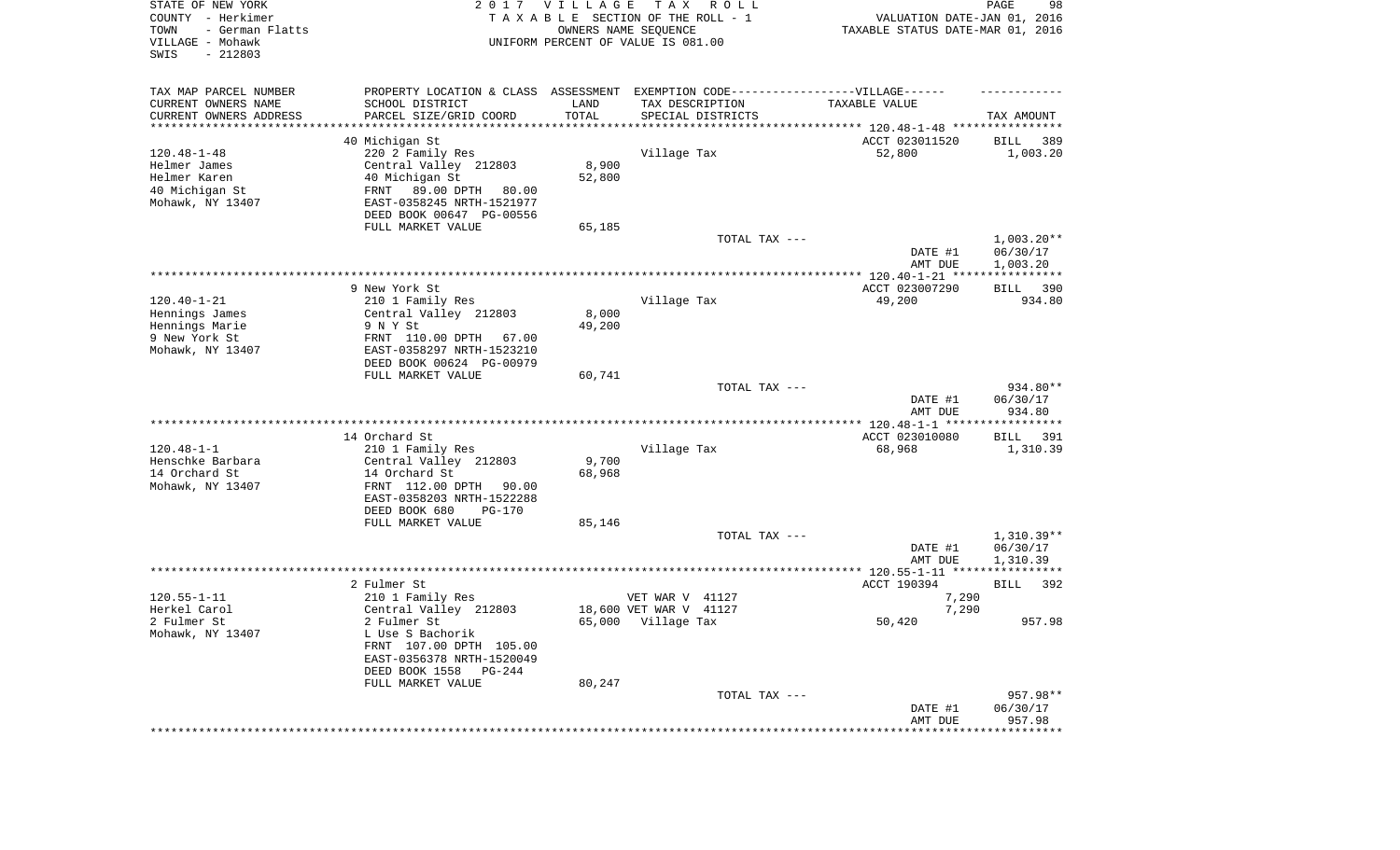| STATE OF NEW YORK<br>COUNTY - Herkimer<br>TOWN<br>- German Flatts<br>VILLAGE - Mohawk<br>SWIS<br>$-212803$ |                                                                                   | 2017 VILLAGE<br>OWNERS NAME SEQUENCE | T A X<br>R O L L<br>TAXABLE SECTION OF THE ROLL - 1<br>UNIFORM PERCENT OF VALUE IS 081.00 | VALUATION DATE-JAN 01, 2016<br>TAXABLE STATUS DATE-MAR 01, 2016 | PAGE<br>98           |
|------------------------------------------------------------------------------------------------------------|-----------------------------------------------------------------------------------|--------------------------------------|-------------------------------------------------------------------------------------------|-----------------------------------------------------------------|----------------------|
| TAX MAP PARCEL NUMBER                                                                                      | PROPERTY LOCATION & CLASS ASSESSMENT EXEMPTION CODE-----------------VILLAGE------ |                                      |                                                                                           |                                                                 |                      |
| CURRENT OWNERS NAME                                                                                        | SCHOOL DISTRICT                                                                   | LAND                                 | TAX DESCRIPTION                                                                           | TAXABLE VALUE                                                   |                      |
| CURRENT OWNERS ADDRESS<br>*********************                                                            | PARCEL SIZE/GRID COORD                                                            | TOTAL                                | SPECIAL DISTRICTS                                                                         |                                                                 | TAX AMOUNT           |
|                                                                                                            | 40 Michigan St                                                                    |                                      |                                                                                           | ACCT 023011520                                                  | 389<br>BILL          |
| $120.48 - 1 - 48$                                                                                          | 220 2 Family Res                                                                  |                                      | Village Tax                                                                               | 52,800                                                          | 1,003.20             |
| Helmer James                                                                                               | Central Valley 212803                                                             | 8,900                                |                                                                                           |                                                                 |                      |
| Helmer Karen                                                                                               | 40 Michigan St                                                                    | 52,800                               |                                                                                           |                                                                 |                      |
| 40 Michigan St                                                                                             | FRNT 89.00 DPTH 80.00                                                             |                                      |                                                                                           |                                                                 |                      |
| Mohawk, NY 13407                                                                                           | EAST-0358245 NRTH-1521977                                                         |                                      |                                                                                           |                                                                 |                      |
|                                                                                                            | DEED BOOK 00647 PG-00556                                                          |                                      |                                                                                           |                                                                 |                      |
|                                                                                                            | FULL MARKET VALUE                                                                 | 65,185                               | TOTAL TAX ---                                                                             |                                                                 | $1,003.20**$         |
|                                                                                                            |                                                                                   |                                      |                                                                                           | DATE #1<br>AMT DUE                                              | 06/30/17<br>1,003.20 |
|                                                                                                            |                                                                                   |                                      |                                                                                           |                                                                 |                      |
|                                                                                                            | 9 New York St                                                                     |                                      |                                                                                           | ACCT 023007290                                                  | 390<br>BILL          |
| $120.40 - 1 - 21$                                                                                          | 210 1 Family Res                                                                  |                                      | Village Tax                                                                               | 49,200                                                          | 934.80               |
| Hennings James<br>Hennings Marie                                                                           | Central Valley 212803<br>9 N Y St                                                 | 8,000<br>49,200                      |                                                                                           |                                                                 |                      |
| 9 New York St                                                                                              | FRNT 110.00 DPTH<br>67.00                                                         |                                      |                                                                                           |                                                                 |                      |
| Mohawk, NY 13407                                                                                           | EAST-0358297 NRTH-1523210                                                         |                                      |                                                                                           |                                                                 |                      |
|                                                                                                            | DEED BOOK 00624 PG-00979                                                          |                                      |                                                                                           |                                                                 |                      |
|                                                                                                            | FULL MARKET VALUE                                                                 | 60,741                               |                                                                                           |                                                                 |                      |
|                                                                                                            |                                                                                   |                                      | TOTAL TAX ---                                                                             | DATE #1                                                         | 934.80**<br>06/30/17 |
|                                                                                                            |                                                                                   |                                      |                                                                                           | AMT DUE                                                         | 934.80               |
|                                                                                                            |                                                                                   |                                      |                                                                                           |                                                                 |                      |
|                                                                                                            | 14 Orchard St                                                                     |                                      |                                                                                           | ACCT 023010080                                                  | <b>BILL</b><br>- 391 |
| $120.48 - 1 - 1$                                                                                           | 210 1 Family Res                                                                  |                                      | Village Tax                                                                               | 68,968                                                          | 1,310.39             |
| Henschke Barbara                                                                                           | Central Valley 212803                                                             | 9,700                                |                                                                                           |                                                                 |                      |
| 14 Orchard St<br>Mohawk, NY 13407                                                                          | 14 Orchard St<br>FRNT 112.00 DPTH 90.00                                           | 68,968                               |                                                                                           |                                                                 |                      |
|                                                                                                            | EAST-0358203 NRTH-1522288                                                         |                                      |                                                                                           |                                                                 |                      |
|                                                                                                            | DEED BOOK 680<br><b>PG-170</b>                                                    |                                      |                                                                                           |                                                                 |                      |
|                                                                                                            | FULL MARKET VALUE                                                                 | 85,146                               |                                                                                           |                                                                 |                      |
|                                                                                                            |                                                                                   |                                      | TOTAL TAX ---                                                                             |                                                                 | $1,310.39**$         |
|                                                                                                            |                                                                                   |                                      |                                                                                           | DATE #1                                                         | 06/30/17             |
|                                                                                                            |                                                                                   |                                      |                                                                                           | AMT DUE                                                         | 1,310.39             |
|                                                                                                            | 2 Fulmer St                                                                       |                                      |                                                                                           | ACCT 190394                                                     | 392<br>BILL          |
| $120.55 - 1 - 11$                                                                                          | 210 1 Family Res                                                                  |                                      | VET WAR V 41127                                                                           | 7,290                                                           |                      |
| Herkel Carol                                                                                               | Central Valley 212803                                                             |                                      | 18,600 VET WAR V 41127                                                                    | 7,290                                                           |                      |
| 2 Fulmer St                                                                                                | 2 Fulmer St                                                                       |                                      | 65,000 Village Tax                                                                        | 50,420                                                          | 957.98               |
| Mohawk, NY 13407                                                                                           | L Use S Bachorik<br>FRNT 107.00 DPTH 105.00                                       |                                      |                                                                                           |                                                                 |                      |
|                                                                                                            | EAST-0356378 NRTH-1520049                                                         |                                      |                                                                                           |                                                                 |                      |
|                                                                                                            | DEED BOOK 1558<br>PG-244                                                          |                                      |                                                                                           |                                                                 |                      |
|                                                                                                            | FULL MARKET VALUE                                                                 | 80,247                               |                                                                                           |                                                                 |                      |
|                                                                                                            |                                                                                   |                                      | TOTAL TAX ---                                                                             |                                                                 | 957.98**             |
|                                                                                                            |                                                                                   |                                      |                                                                                           | DATE #1                                                         | 06/30/17             |
|                                                                                                            |                                                                                   |                                      |                                                                                           | AMT DUE                                                         | 957.98               |
|                                                                                                            |                                                                                   |                                      |                                                                                           |                                                                 |                      |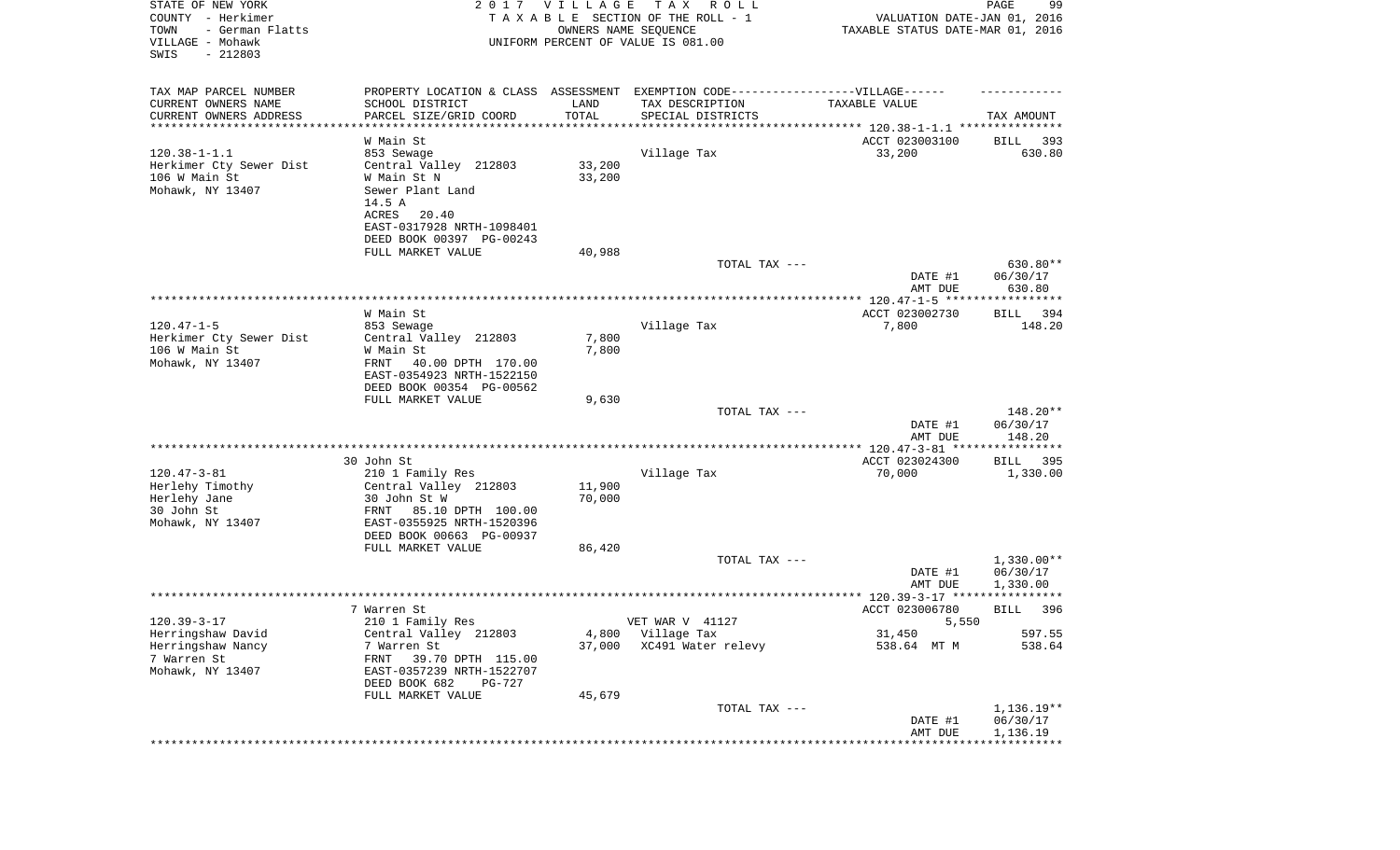| STATE OF NEW YORK<br>COUNTY - Herkimer<br>- German Flatts<br>TOWN<br>VILLAGE - Mohawk<br>SWIS<br>$-212803$ |                                                                                  | 2017 VILLAGE<br>OWNERS NAME SEQUENCE | T A X<br>R O L L<br>TAXABLE SECTION OF THE ROLL - 1<br>UNIFORM PERCENT OF VALUE IS 081.00 | VALUATION DATE-JAN 01, 2016<br>TAXABLE STATUS DATE-MAR 01, 2016 | 99<br>PAGE            |
|------------------------------------------------------------------------------------------------------------|----------------------------------------------------------------------------------|--------------------------------------|-------------------------------------------------------------------------------------------|-----------------------------------------------------------------|-----------------------|
| TAX MAP PARCEL NUMBER                                                                                      | PROPERTY LOCATION & CLASS ASSESSMENT EXEMPTION CODE----------------VILLAGE------ |                                      |                                                                                           |                                                                 |                       |
| CURRENT OWNERS NAME                                                                                        | SCHOOL DISTRICT                                                                  | LAND                                 | TAX DESCRIPTION                                                                           | TAXABLE VALUE                                                   |                       |
| CURRENT OWNERS ADDRESS<br>**********************                                                           | PARCEL SIZE/GRID COORD                                                           | TOTAL                                | SPECIAL DISTRICTS                                                                         |                                                                 | TAX AMOUNT            |
|                                                                                                            | W Main St                                                                        |                                      |                                                                                           | ACCT 023003100                                                  | BILL<br>393           |
| $120.38 - 1 - 1.1$                                                                                         | 853 Sewage                                                                       |                                      | Village Tax                                                                               | 33,200                                                          | 630.80                |
| Herkimer Cty Sewer Dist                                                                                    | Central Valley 212803                                                            | 33,200                               |                                                                                           |                                                                 |                       |
| 106 W Main St                                                                                              | W Main St N                                                                      | 33,200                               |                                                                                           |                                                                 |                       |
| Mohawk, NY 13407                                                                                           | Sewer Plant Land<br>14.5 A                                                       |                                      |                                                                                           |                                                                 |                       |
|                                                                                                            | ACRES<br>20.40                                                                   |                                      |                                                                                           |                                                                 |                       |
|                                                                                                            | EAST-0317928 NRTH-1098401                                                        |                                      |                                                                                           |                                                                 |                       |
|                                                                                                            | DEED BOOK 00397 PG-00243                                                         |                                      |                                                                                           |                                                                 |                       |
|                                                                                                            | FULL MARKET VALUE                                                                | 40,988                               | TOTAL TAX ---                                                                             |                                                                 | 630.80**              |
|                                                                                                            |                                                                                  |                                      |                                                                                           | DATE #1                                                         | 06/30/17              |
|                                                                                                            |                                                                                  |                                      |                                                                                           | AMT DUE                                                         | 630.80                |
|                                                                                                            |                                                                                  |                                      |                                                                                           |                                                                 |                       |
| $120.47 - 1 - 5$                                                                                           | W Main St<br>853 Sewage                                                          |                                      | Village Tax                                                                               | ACCT 023002730<br>7,800                                         | 394<br>BILL<br>148.20 |
| Herkimer Cty Sewer Dist                                                                                    | Central Valley 212803                                                            | 7,800                                |                                                                                           |                                                                 |                       |
| 106 W Main St                                                                                              | W Main St                                                                        | 7,800                                |                                                                                           |                                                                 |                       |
| Mohawk, NY 13407                                                                                           | 40.00 DPTH 170.00<br>FRNT                                                        |                                      |                                                                                           |                                                                 |                       |
|                                                                                                            | EAST-0354923 NRTH-1522150<br>DEED BOOK 00354 PG-00562                            |                                      |                                                                                           |                                                                 |                       |
|                                                                                                            | FULL MARKET VALUE                                                                | 9,630                                |                                                                                           |                                                                 |                       |
|                                                                                                            |                                                                                  |                                      | TOTAL TAX ---                                                                             |                                                                 | 148.20**              |
|                                                                                                            |                                                                                  |                                      |                                                                                           | DATE #1                                                         | 06/30/17              |
|                                                                                                            |                                                                                  |                                      |                                                                                           | AMT DUE                                                         | 148.20                |
|                                                                                                            | 30 John St                                                                       |                                      |                                                                                           | ACCT 023024300                                                  | BILL<br>395           |
| $120.47 - 3 - 81$                                                                                          | 210 1 Family Res                                                                 |                                      | Village Tax                                                                               | 70,000                                                          | 1,330.00              |
| Herlehy Timothy                                                                                            | Central Valley 212803                                                            | 11,900                               |                                                                                           |                                                                 |                       |
| Herlehy Jane<br>30 John St                                                                                 | 30 John St W<br>FRNT                                                             | 70,000                               |                                                                                           |                                                                 |                       |
| Mohawk, NY 13407                                                                                           | 85.10 DPTH 100.00<br>EAST-0355925 NRTH-1520396                                   |                                      |                                                                                           |                                                                 |                       |
|                                                                                                            | DEED BOOK 00663 PG-00937                                                         |                                      |                                                                                           |                                                                 |                       |
|                                                                                                            | FULL MARKET VALUE                                                                | 86,420                               |                                                                                           |                                                                 |                       |
|                                                                                                            |                                                                                  |                                      | TOTAL TAX ---                                                                             |                                                                 | $1,330.00**$          |
|                                                                                                            |                                                                                  |                                      |                                                                                           | DATE #1<br>AMT DUE                                              | 06/30/17<br>1,330.00  |
|                                                                                                            |                                                                                  |                                      |                                                                                           |                                                                 | *****                 |
|                                                                                                            | 7 Warren St                                                                      |                                      |                                                                                           | ACCT 023006780                                                  | 396<br>BILL           |
| $120.39 - 3 - 17$                                                                                          | 210 1 Family Res                                                                 |                                      | VET WAR V 41127                                                                           | 5,550                                                           |                       |
| Herringshaw David<br>Herringshaw Nancy                                                                     | Central Valley 212803<br>7 Warren St                                             | 4,800<br>37,000                      | Village Tax<br>XC491 Water relevy                                                         | 31,450<br>538.64 MT M                                           | 597.55<br>538.64      |
| 7 Warren St                                                                                                | 39.70 DPTH 115.00<br>FRNT                                                        |                                      |                                                                                           |                                                                 |                       |
| Mohawk, NY 13407                                                                                           | EAST-0357239 NRTH-1522707                                                        |                                      |                                                                                           |                                                                 |                       |
|                                                                                                            | DEED BOOK 682<br>PG-727                                                          |                                      |                                                                                           |                                                                 |                       |
|                                                                                                            | FULL MARKET VALUE                                                                | 45,679                               | TOTAL TAX ---                                                                             |                                                                 | 1,136.19**            |
|                                                                                                            |                                                                                  |                                      |                                                                                           | DATE #1                                                         | 06/30/17              |
|                                                                                                            |                                                                                  |                                      |                                                                                           | AMT DUE                                                         | 1,136.19              |
|                                                                                                            |                                                                                  |                                      |                                                                                           |                                                                 |                       |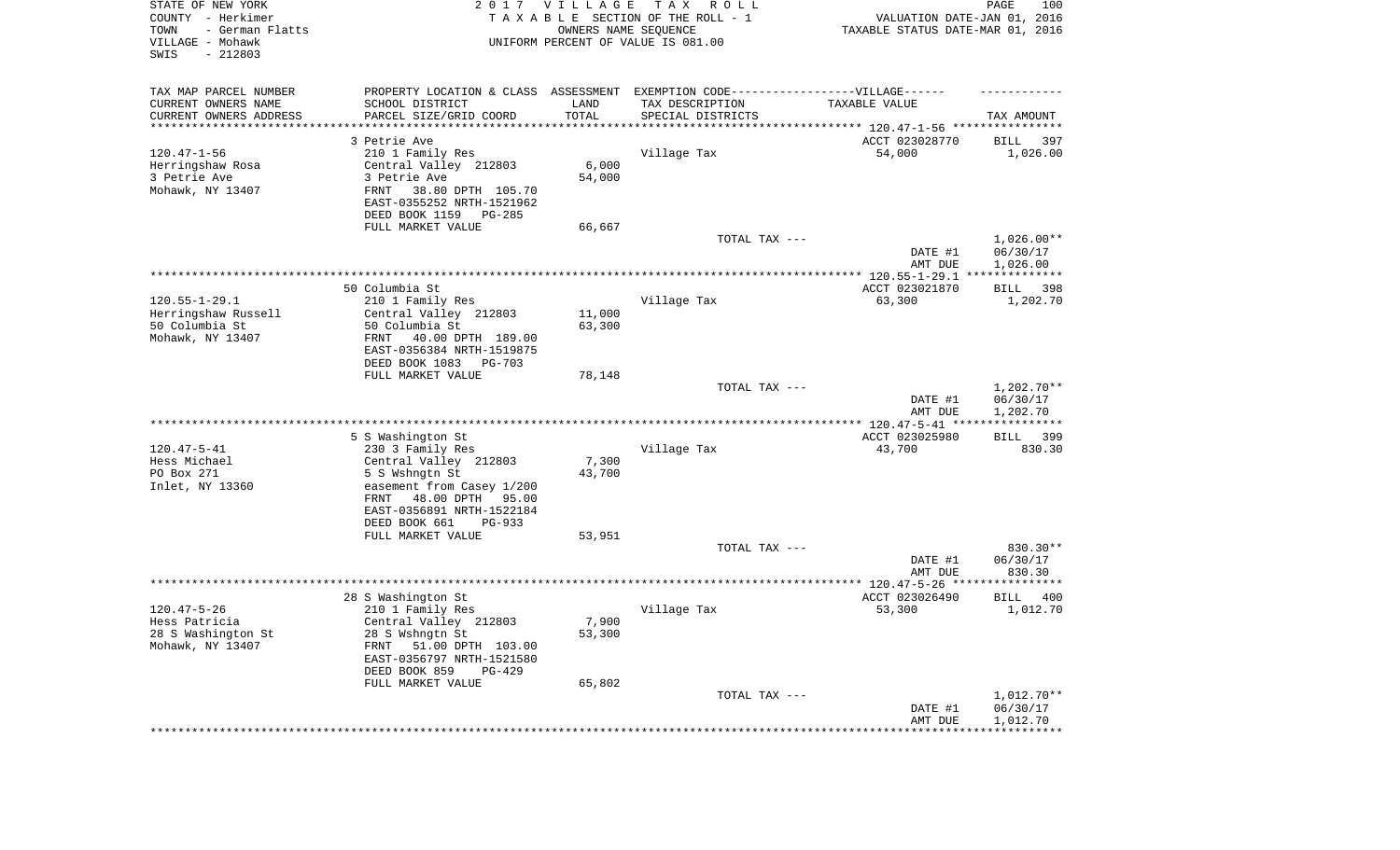| STATE OF NEW YORK<br>COUNTY - Herkimer<br>TOWN<br>- German Flatts<br>VILLAGE - Mohawk<br>SWIS<br>$-212803$ |                                                                                                      | 2017 VILLAGE<br>OWNERS NAME SEQUENCE | T A X<br>R O L L<br>TAXABLE SECTION OF THE ROLL - 1<br>UNIFORM PERCENT OF VALUE IS 081.00 | VALUATION DATE-JAN 01, 2016<br>TAXABLE STATUS DATE-MAR 01, 2016 | 100<br>PAGE              |
|------------------------------------------------------------------------------------------------------------|------------------------------------------------------------------------------------------------------|--------------------------------------|-------------------------------------------------------------------------------------------|-----------------------------------------------------------------|--------------------------|
| TAX MAP PARCEL NUMBER<br>CURRENT OWNERS NAME                                                               | PROPERTY LOCATION & CLASS ASSESSMENT EXEMPTION CODE-----------------VILLAGE------<br>SCHOOL DISTRICT | LAND                                 | TAX DESCRIPTION                                                                           | TAXABLE VALUE                                                   |                          |
| CURRENT OWNERS ADDRESS<br>*********************                                                            | PARCEL SIZE/GRID COORD                                                                               | TOTAL<br>* * * * * * * * * * *       | SPECIAL DISTRICTS                                                                         |                                                                 | TAX AMOUNT               |
|                                                                                                            | 3 Petrie Ave                                                                                         |                                      |                                                                                           | ACCT 023028770                                                  | 397<br>BILL              |
| $120.47 - 1 - 56$                                                                                          | 210 1 Family Res                                                                                     |                                      | Village Tax                                                                               | 54,000                                                          | 1,026.00                 |
| Herringshaw Rosa                                                                                           | Central Valley 212803                                                                                | 6,000                                |                                                                                           |                                                                 |                          |
| 3 Petrie Ave                                                                                               | 3 Petrie Ave                                                                                         | 54,000                               |                                                                                           |                                                                 |                          |
| Mohawk, NY 13407                                                                                           | FRNT<br>38.80 DPTH 105.70<br>EAST-0355252 NRTH-1521962                                               |                                      |                                                                                           |                                                                 |                          |
|                                                                                                            | DEED BOOK 1159<br>PG-285<br>FULL MARKET VALUE                                                        | 66,667                               |                                                                                           |                                                                 |                          |
|                                                                                                            |                                                                                                      |                                      | TOTAL TAX ---                                                                             |                                                                 | $1,026.00**$             |
|                                                                                                            |                                                                                                      |                                      |                                                                                           | DATE #1<br>AMT DUE                                              | 06/30/17<br>1,026.00     |
|                                                                                                            |                                                                                                      |                                      |                                                                                           |                                                                 |                          |
|                                                                                                            | 50 Columbia St                                                                                       |                                      |                                                                                           | ACCT 023021870                                                  | 398<br>BILL              |
| $120.55 - 1 - 29.1$                                                                                        | 210 1 Family Res                                                                                     |                                      | Village Tax                                                                               | 63,300                                                          | 1,202.70                 |
| Herringshaw Russell<br>50 Columbia St                                                                      | Central Valley 212803<br>50 Columbia St                                                              | 11,000<br>63,300                     |                                                                                           |                                                                 |                          |
| Mohawk, NY 13407                                                                                           | 40.00 DPTH 189.00<br>FRNT                                                                            |                                      |                                                                                           |                                                                 |                          |
|                                                                                                            | EAST-0356384 NRTH-1519875                                                                            |                                      |                                                                                           |                                                                 |                          |
|                                                                                                            | DEED BOOK 1083<br>PG-703                                                                             |                                      |                                                                                           |                                                                 |                          |
|                                                                                                            | FULL MARKET VALUE                                                                                    | 78,148                               |                                                                                           |                                                                 |                          |
|                                                                                                            |                                                                                                      |                                      | TOTAL TAX ---                                                                             | DATE #1                                                         | $1,202.70**$<br>06/30/17 |
|                                                                                                            |                                                                                                      |                                      |                                                                                           | AMT DUE                                                         | 1,202.70                 |
|                                                                                                            | 5 S Washington St                                                                                    |                                      |                                                                                           | ACCT 023025980                                                  | <b>BILL</b><br>399       |
| $120.47 - 5 - 41$                                                                                          | 230 3 Family Res                                                                                     |                                      | Village Tax                                                                               | 43,700                                                          | 830.30                   |
| Hess Michael                                                                                               | Central Valley 212803                                                                                | 7,300                                |                                                                                           |                                                                 |                          |
| PO Box 271                                                                                                 | 5 S Wshngtn St                                                                                       | 43,700                               |                                                                                           |                                                                 |                          |
| Inlet, NY 13360                                                                                            | easement from Casey 1/200                                                                            |                                      |                                                                                           |                                                                 |                          |
|                                                                                                            | FRNT<br>48.00 DPTH 95.00<br>EAST-0356891 NRTH-1522184                                                |                                      |                                                                                           |                                                                 |                          |
|                                                                                                            | DEED BOOK 661<br>$PG-933$                                                                            |                                      |                                                                                           |                                                                 |                          |
|                                                                                                            | FULL MARKET VALUE                                                                                    | 53,951                               |                                                                                           |                                                                 |                          |
|                                                                                                            |                                                                                                      |                                      | TOTAL TAX ---                                                                             |                                                                 | 830.30**                 |
|                                                                                                            |                                                                                                      |                                      |                                                                                           | DATE #1                                                         | 06/30/17                 |
|                                                                                                            |                                                                                                      |                                      |                                                                                           | AMT DUE                                                         | 830.30<br>**********     |
|                                                                                                            | 28 S Washington St                                                                                   |                                      |                                                                                           | ACCT 023026490                                                  | BILL<br>400              |
| $120.47 - 5 - 26$                                                                                          | 210 1 Family Res                                                                                     |                                      | Village Tax                                                                               | 53,300                                                          | 1,012.70                 |
| Hess Patricia                                                                                              | Central Valley 212803                                                                                | 7,900                                |                                                                                           |                                                                 |                          |
| 28 S Washington St                                                                                         | 28 S Wshngtn St                                                                                      | 53,300                               |                                                                                           |                                                                 |                          |
| Mohawk, NY 13407                                                                                           | FRNT<br>51.00 DPTH 103.00<br>EAST-0356797 NRTH-1521580                                               |                                      |                                                                                           |                                                                 |                          |
|                                                                                                            | DEED BOOK 859<br>$PG-429$                                                                            |                                      |                                                                                           |                                                                 |                          |
|                                                                                                            | FULL MARKET VALUE                                                                                    | 65,802                               |                                                                                           |                                                                 |                          |
|                                                                                                            |                                                                                                      |                                      | TOTAL TAX ---                                                                             |                                                                 | 1,012.70**               |
|                                                                                                            |                                                                                                      |                                      |                                                                                           | DATE #1                                                         | 06/30/17                 |
|                                                                                                            |                                                                                                      |                                      |                                                                                           | AMT DUE<br>**********************************                   | 1,012.70                 |
|                                                                                                            |                                                                                                      |                                      |                                                                                           |                                                                 |                          |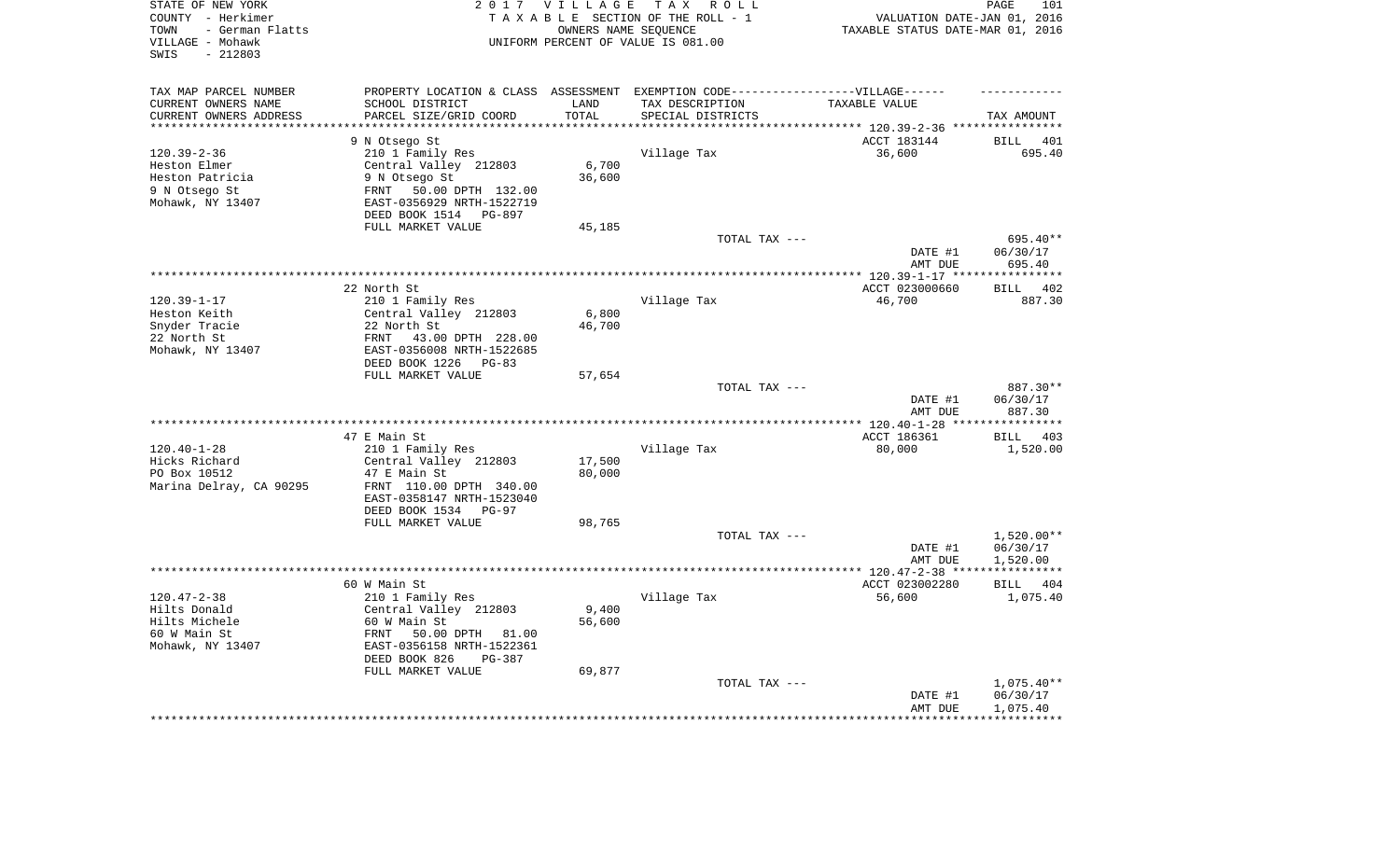| STATE OF NEW YORK<br>COUNTY - Herkimer<br>- German Flatts<br>TOWN<br>VILLAGE - Mohawk<br>$-212803$<br>SWIS |                                                                                   | 2017 VILLAGE       | TAX ROLL<br>TAXABLE SECTION OF THE ROLL - 1<br>OWNERS NAME SEQUENCE<br>UNIFORM PERCENT OF VALUE IS 081.00 | VALUATION DATE-JAN 01, 2016<br>TAXABLE STATUS DATE-MAR 01, 2016 | 101<br>PAGE             |
|------------------------------------------------------------------------------------------------------------|-----------------------------------------------------------------------------------|--------------------|-----------------------------------------------------------------------------------------------------------|-----------------------------------------------------------------|-------------------------|
| TAX MAP PARCEL NUMBER                                                                                      | PROPERTY LOCATION & CLASS ASSESSMENT EXEMPTION CODE-----------------VILLAGE------ |                    |                                                                                                           |                                                                 |                         |
| CURRENT OWNERS NAME                                                                                        | SCHOOL DISTRICT                                                                   | LAND               | TAX DESCRIPTION                                                                                           | TAXABLE VALUE                                                   |                         |
| CURRENT OWNERS ADDRESS<br>********************                                                             | PARCEL SIZE/GRID COORD                                                            | TOTAL<br>********* | SPECIAL DISTRICTS                                                                                         |                                                                 | TAX AMOUNT              |
|                                                                                                            | 9 N Otsego St                                                                     |                    |                                                                                                           | ACCT 183144                                                     | <b>BILL</b><br>401      |
| $120.39 - 2 - 36$                                                                                          | 210 1 Family Res                                                                  |                    | Village Tax                                                                                               | 36,600                                                          | 695.40                  |
| Heston Elmer                                                                                               | Central Valley 212803                                                             | $6\,,700$          |                                                                                                           |                                                                 |                         |
| Heston Patricia                                                                                            | 9 N Otsego St                                                                     | 36,600             |                                                                                                           |                                                                 |                         |
| 9 N Otsego St                                                                                              | 50.00 DPTH 132.00<br>FRNT                                                         |                    |                                                                                                           |                                                                 |                         |
| Mohawk, NY 13407                                                                                           | EAST-0356929 NRTH-1522719                                                         |                    |                                                                                                           |                                                                 |                         |
|                                                                                                            | DEED BOOK 1514 PG-897                                                             |                    |                                                                                                           |                                                                 |                         |
|                                                                                                            | FULL MARKET VALUE                                                                 | 45,185             |                                                                                                           |                                                                 |                         |
|                                                                                                            |                                                                                   |                    | TOTAL TAX ---                                                                                             | DATE #1                                                         | 695.40**<br>06/30/17    |
|                                                                                                            |                                                                                   |                    |                                                                                                           | AMT DUE                                                         | 695.40                  |
|                                                                                                            |                                                                                   |                    |                                                                                                           | ******** 120.39-1-17 ***                                        | * * * * * * * * * * * * |
|                                                                                                            | 22 North St                                                                       |                    |                                                                                                           | ACCT 023000660                                                  | 402<br><b>BILL</b>      |
| $120.39 - 1 - 17$                                                                                          | 210 1 Family Res                                                                  |                    | Village Tax                                                                                               | 46,700                                                          | 887.30                  |
| Heston Keith                                                                                               | Central Valley 212803                                                             | 6,800              |                                                                                                           |                                                                 |                         |
| Snyder Tracie                                                                                              | 22 North St                                                                       | 46,700             |                                                                                                           |                                                                 |                         |
| 22 North St                                                                                                | FRNT<br>43.00 DPTH 228.00                                                         |                    |                                                                                                           |                                                                 |                         |
| Mohawk, NY 13407                                                                                           | EAST-0356008 NRTH-1522685<br>DEED BOOK 1226<br>PG-83                              |                    |                                                                                                           |                                                                 |                         |
|                                                                                                            | FULL MARKET VALUE                                                                 | 57,654             |                                                                                                           |                                                                 |                         |
|                                                                                                            |                                                                                   |                    | TOTAL TAX ---                                                                                             |                                                                 | 887.30**                |
|                                                                                                            |                                                                                   |                    |                                                                                                           | DATE #1<br>AMT DUE                                              | 06/30/17<br>887.30      |
|                                                                                                            |                                                                                   |                    | ********************                                                                                      | *** 120.40-1-28 **                                              |                         |
|                                                                                                            | 47 E Main St                                                                      |                    |                                                                                                           | ACCT 186361                                                     | 403<br><b>BILL</b>      |
| $120.40 - 1 - 28$                                                                                          | 210 1 Family Res                                                                  |                    | Village Tax                                                                                               | 80,000                                                          | 1,520.00                |
| Hicks Richard                                                                                              | Central Valley 212803                                                             | 17,500             |                                                                                                           |                                                                 |                         |
| PO Box 10512                                                                                               | 47 E Main St                                                                      | 80,000             |                                                                                                           |                                                                 |                         |
| Marina Delray, CA 90295                                                                                    | FRNT 110.00 DPTH 340.00<br>EAST-0358147 NRTH-1523040                              |                    |                                                                                                           |                                                                 |                         |
|                                                                                                            | DEED BOOK 1534 PG-97                                                              |                    |                                                                                                           |                                                                 |                         |
|                                                                                                            | FULL MARKET VALUE                                                                 | 98,765             |                                                                                                           |                                                                 |                         |
|                                                                                                            |                                                                                   |                    | TOTAL TAX ---                                                                                             |                                                                 | $1,520.00**$            |
|                                                                                                            |                                                                                   |                    |                                                                                                           | DATE #1                                                         | 06/30/17                |
|                                                                                                            |                                                                                   |                    |                                                                                                           | AMT DUE                                                         | 1,520.00                |
|                                                                                                            |                                                                                   |                    |                                                                                                           |                                                                 |                         |
|                                                                                                            | 60 W Main St                                                                      |                    |                                                                                                           | ACCT 023002280                                                  | BILL<br>404             |
| $120.47 - 2 - 38$<br>Hilts Donald                                                                          | 210 1 Family Res<br>Central Valley 212803                                         | 9,400              | Village Tax                                                                                               | 56,600                                                          | 1,075.40                |
| Hilts Michele                                                                                              | 60 W Main St                                                                      | 56,600             |                                                                                                           |                                                                 |                         |
| 60 W Main St                                                                                               | FRNT<br>50.00 DPTH 81.00                                                          |                    |                                                                                                           |                                                                 |                         |
| Mohawk, NY 13407                                                                                           | EAST-0356158 NRTH-1522361                                                         |                    |                                                                                                           |                                                                 |                         |
|                                                                                                            | DEED BOOK 826<br>PG-387                                                           |                    |                                                                                                           |                                                                 |                         |
|                                                                                                            | FULL MARKET VALUE                                                                 | 69,877             |                                                                                                           |                                                                 |                         |
|                                                                                                            |                                                                                   |                    | TOTAL TAX ---                                                                                             |                                                                 | $1,075.40**$            |
|                                                                                                            |                                                                                   |                    |                                                                                                           | DATE #1                                                         | 06/30/17                |
|                                                                                                            |                                                                                   |                    |                                                                                                           | AMT DUE                                                         | 1,075.40                |
|                                                                                                            |                                                                                   |                    |                                                                                                           |                                                                 |                         |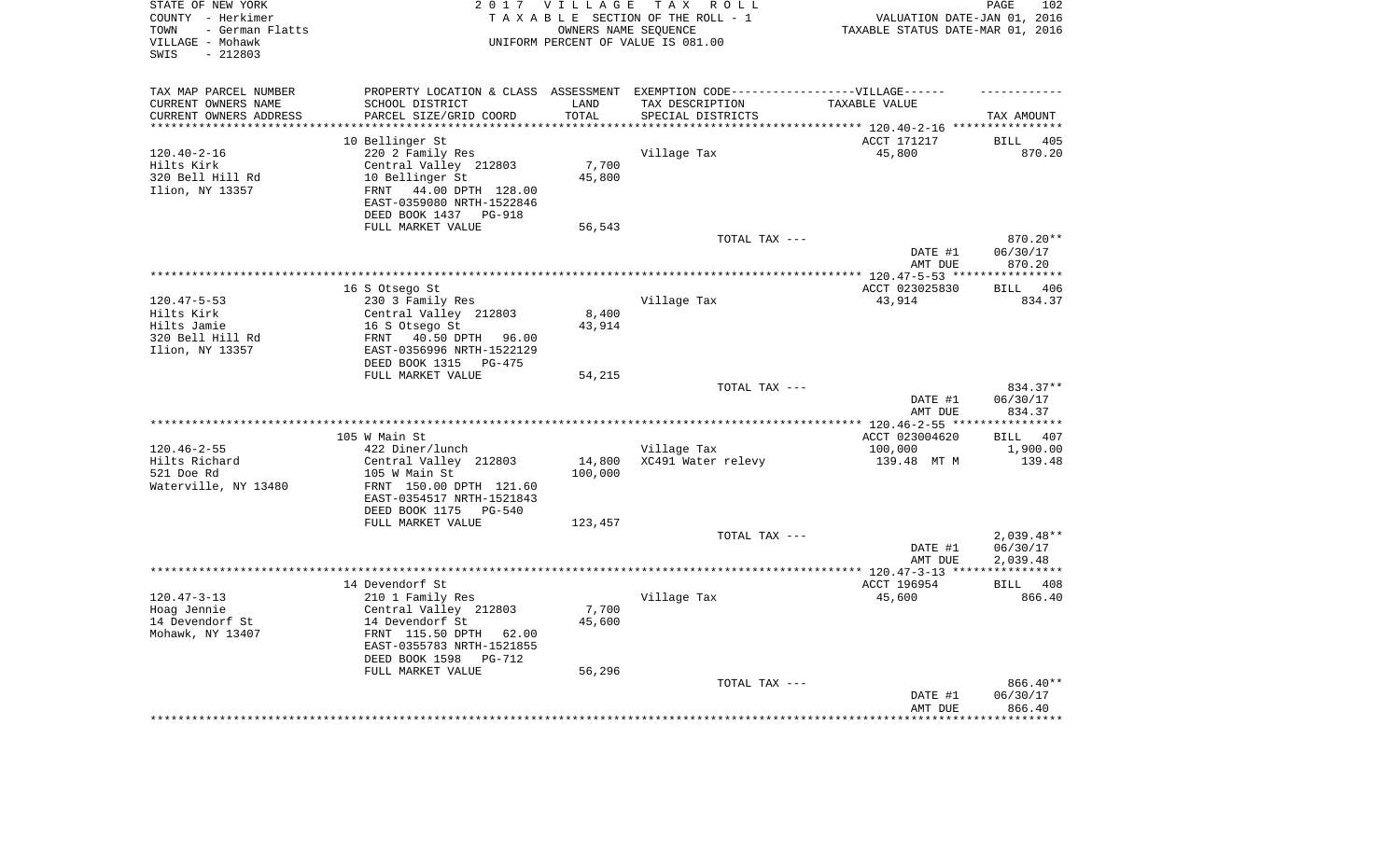| STATE OF NEW YORK<br>COUNTY - Herkimer<br>- German Flatts<br>TOWN<br>VILLAGE - Mohawk<br>SWIS<br>$-212803$ |                                                    | 2017 VILLAGE<br>OWNERS NAME SEQUENCE | TAX ROLL<br>TAXABLE SECTION OF THE ROLL - 1<br>UNIFORM PERCENT OF VALUE IS 081.00 | TAXABLE STATUS DATE-MAR 01, 2016                          | 102<br>PAGE<br>VALUATION DATE-JAN 01, 2016 |
|------------------------------------------------------------------------------------------------------------|----------------------------------------------------|--------------------------------------|-----------------------------------------------------------------------------------|-----------------------------------------------------------|--------------------------------------------|
| TAX MAP PARCEL NUMBER                                                                                      |                                                    |                                      | PROPERTY LOCATION & CLASS ASSESSMENT EXEMPTION CODE-----------------VILLAGE------ |                                                           |                                            |
| CURRENT OWNERS NAME                                                                                        | SCHOOL DISTRICT                                    | LAND                                 | TAX DESCRIPTION                                                                   | TAXABLE VALUE                                             |                                            |
| CURRENT OWNERS ADDRESS<br>*********************                                                            | PARCEL SIZE/GRID COORD<br>************************ | TOTAL<br>***********                 | SPECIAL DISTRICTS                                                                 |                                                           | TAX AMOUNT                                 |
| 10 Bellinger St                                                                                            |                                                    |                                      |                                                                                   | ACCT 171217                                               | <b>BILL</b><br>405                         |
| $120.40 - 2 - 16$                                                                                          | 220 2 Family Res                                   |                                      | Village Tax                                                                       | 45,800                                                    | 870.20                                     |
| Hilts Kirk                                                                                                 | Central Valley 212803                              | 7,700                                |                                                                                   |                                                           |                                            |
| 320 Bell Hill Rd                                                                                           | 10 Bellinger St                                    | 45,800                               |                                                                                   |                                                           |                                            |
| Ilion, NY 13357<br>FRNT                                                                                    | 44.00 DPTH 128.00                                  |                                      |                                                                                   |                                                           |                                            |
|                                                                                                            | EAST-0359080 NRTH-1522846                          |                                      |                                                                                   |                                                           |                                            |
|                                                                                                            | DEED BOOK 1437<br>PG-918                           |                                      |                                                                                   |                                                           |                                            |
|                                                                                                            | FULL MARKET VALUE                                  | 56,543                               |                                                                                   |                                                           |                                            |
|                                                                                                            |                                                    |                                      | TOTAL TAX ---                                                                     |                                                           | 870.20**                                   |
|                                                                                                            |                                                    |                                      |                                                                                   | DATE #1                                                   | 06/30/17                                   |
|                                                                                                            |                                                    |                                      |                                                                                   | AMT DUE                                                   | 870.20                                     |
| 16 S Otsego St                                                                                             |                                                    |                                      |                                                                                   | ******** 120.47-5-53 *****************<br>ACCT 023025830  | 406<br><b>BILL</b>                         |
| $120.47 - 5 - 53$                                                                                          | 230 3 Family Res                                   |                                      | Village Tax                                                                       | 43,914                                                    | 834.37                                     |
| Hilts Kirk                                                                                                 | Central Valley 212803                              | 8,400                                |                                                                                   |                                                           |                                            |
| Hilts Jamie                                                                                                | 16 S Otsego St                                     | 43,914                               |                                                                                   |                                                           |                                            |
| 320 Bell Hill Rd<br>FRNT                                                                                   | 40.50 DPTH 96.00                                   |                                      |                                                                                   |                                                           |                                            |
| Ilion, NY 13357                                                                                            | EAST-0356996 NRTH-1522129                          |                                      |                                                                                   |                                                           |                                            |
|                                                                                                            | DEED BOOK 1315 PG-475                              |                                      |                                                                                   |                                                           |                                            |
|                                                                                                            | FULL MARKET VALUE                                  | 54,215                               |                                                                                   |                                                           |                                            |
|                                                                                                            |                                                    |                                      | TOTAL TAX ---                                                                     |                                                           | 834.37**                                   |
|                                                                                                            |                                                    |                                      |                                                                                   | DATE #1                                                   | 06/30/17                                   |
|                                                                                                            |                                                    |                                      | ***********************                                                           | AMT DUE<br>** 120.46-2-55 **                              | 834.37<br>* * * * * * * * * *              |
| 105 W Main St                                                                                              |                                                    |                                      |                                                                                   | ACCT 023004620                                            | BILL 407                                   |
| $120.46 - 2 - 55$                                                                                          | 422 Diner/lunch                                    |                                      | Village Tax                                                                       | 100,000                                                   | 1,900.00                                   |
| Hilts Richard                                                                                              | Central Valley 212803                              | 14,800                               | XC491 Water relevy                                                                | 139.48 MT M                                               | 139.48                                     |
| 521 Doe Rd                                                                                                 | 105 W Main St                                      | 100,000                              |                                                                                   |                                                           |                                            |
| Waterville, NY 13480                                                                                       | FRNT 150.00 DPTH 121.60                            |                                      |                                                                                   |                                                           |                                            |
|                                                                                                            | EAST-0354517 NRTH-1521843                          |                                      |                                                                                   |                                                           |                                            |
|                                                                                                            | DEED BOOK 1175 PG-540                              |                                      |                                                                                   |                                                           |                                            |
|                                                                                                            | FULL MARKET VALUE                                  | 123,457                              |                                                                                   |                                                           |                                            |
|                                                                                                            |                                                    |                                      | TOTAL TAX ---                                                                     |                                                           | $2,039.48**$                               |
|                                                                                                            |                                                    |                                      |                                                                                   | DATE #1                                                   | 06/30/17                                   |
| ********************                                                                                       |                                                    |                                      |                                                                                   | AMT DUE<br>**************** 120.47-3-13 ***************** | 2,039.48                                   |
| 14 Devendorf St                                                                                            |                                                    |                                      |                                                                                   | ACCT 196954                                               | BILL 408                                   |
| $120.47 - 3 - 13$                                                                                          | 210 1 Family Res                                   |                                      | Village Tax                                                                       | 45,600                                                    | 866.40                                     |
| Hoag Jennie                                                                                                | Central Valley 212803                              | 7,700                                |                                                                                   |                                                           |                                            |
| 14 Devendorf St                                                                                            | 14 Devendorf St                                    | 45,600                               |                                                                                   |                                                           |                                            |
| Mohawk, NY 13407                                                                                           | FRNT 115.50 DPTH 62.00                             |                                      |                                                                                   |                                                           |                                            |
|                                                                                                            | EAST-0355783 NRTH-1521855                          |                                      |                                                                                   |                                                           |                                            |
|                                                                                                            | DEED BOOK 1598<br>$PG-712$                         |                                      |                                                                                   |                                                           |                                            |
|                                                                                                            | FULL MARKET VALUE                                  | 56,296                               |                                                                                   |                                                           |                                            |
|                                                                                                            |                                                    |                                      | TOTAL TAX ---                                                                     |                                                           | 866.40**                                   |
|                                                                                                            |                                                    |                                      |                                                                                   | DATE #1<br>AMT DUE                                        | 06/30/17<br>866.40                         |
|                                                                                                            |                                                    |                                      |                                                                                   |                                                           | ********                                   |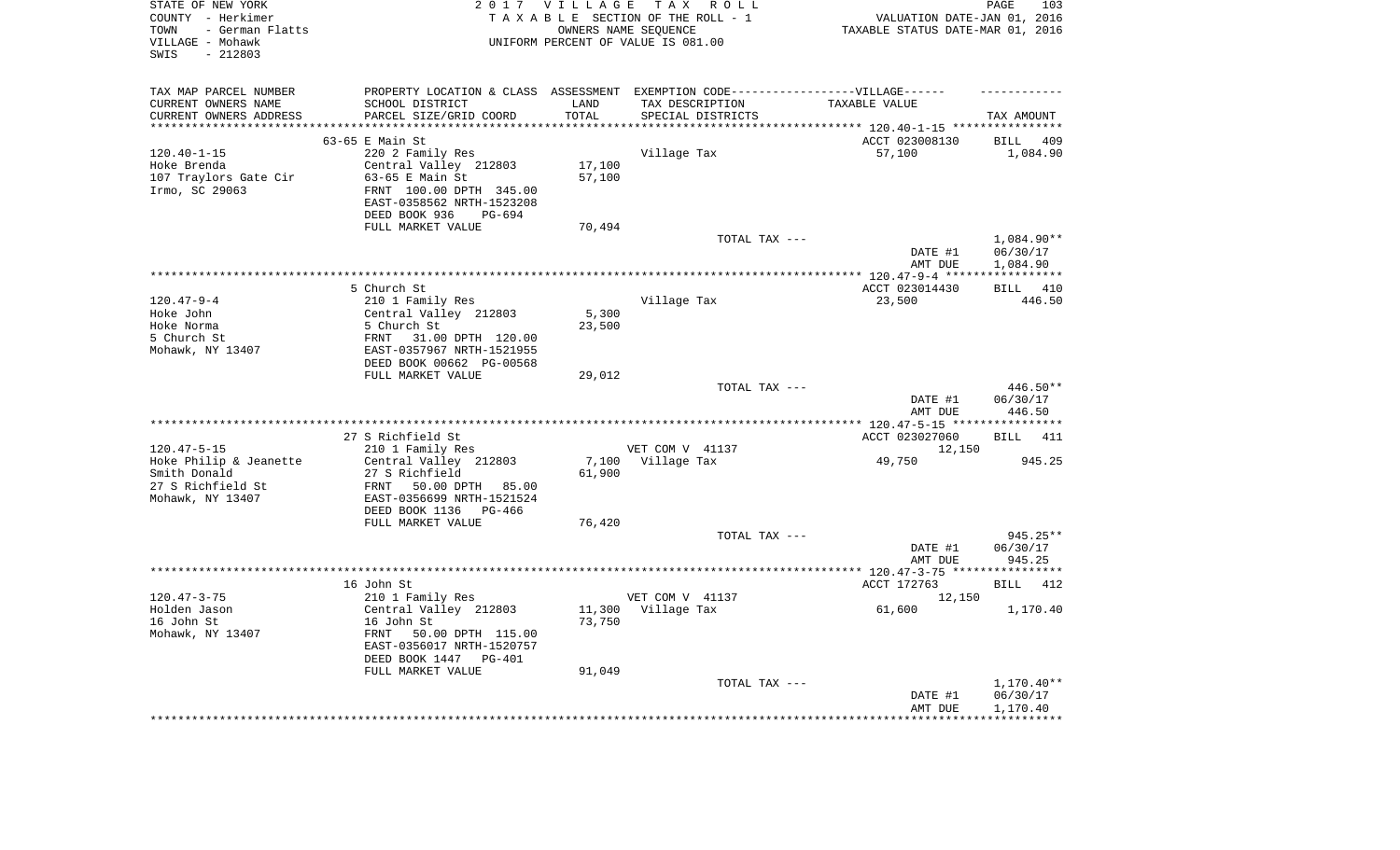| STATE OF NEW YORK<br>COUNTY - Herkimer<br>- German Flatts<br>TOWN<br>VILLAGE - Mohawk<br>$-212803$<br>SWIS |                                                                                   |                      | 2017 VILLAGE TAX ROLL<br>TAXABLE SECTION OF THE ROLL - 1<br>OWNERS NAME SEQUENCE<br>UNIFORM PERCENT OF VALUE IS 081.00 | VALUATION DATE-JAN 01, 2016<br>TAXABLE STATUS DATE-MAR 01, 2016             | PAGE<br>103            |
|------------------------------------------------------------------------------------------------------------|-----------------------------------------------------------------------------------|----------------------|------------------------------------------------------------------------------------------------------------------------|-----------------------------------------------------------------------------|------------------------|
| TAX MAP PARCEL NUMBER                                                                                      | PROPERTY LOCATION & CLASS ASSESSMENT EXEMPTION CODE-----------------VILLAGE------ |                      |                                                                                                                        |                                                                             |                        |
| CURRENT OWNERS NAME                                                                                        | SCHOOL DISTRICT                                                                   | LAND                 | TAX DESCRIPTION                                                                                                        | TAXABLE VALUE                                                               |                        |
| CURRENT OWNERS ADDRESS<br>**********************                                                           | PARCEL SIZE/GRID COORD                                                            | TOTAL<br>*********** | SPECIAL DISTRICTS                                                                                                      |                                                                             | TAX AMOUNT             |
|                                                                                                            | 63-65 E Main St                                                                   |                      |                                                                                                                        | **************************** 120.40-1-15 ****************<br>ACCT 023008130 | <b>BILL</b><br>409     |
| $120.40 - 1 - 15$                                                                                          | 220 2 Family Res                                                                  |                      | Village Tax                                                                                                            | 57,100                                                                      | 1,084.90               |
| Hoke Brenda                                                                                                | Central Valley 212803                                                             | 17,100               |                                                                                                                        |                                                                             |                        |
| 107 Traylors Gate Cir                                                                                      | 63-65 E Main St                                                                   | 57,100               |                                                                                                                        |                                                                             |                        |
| Irmo, SC 29063                                                                                             | FRNT 100.00 DPTH 345.00                                                           |                      |                                                                                                                        |                                                                             |                        |
|                                                                                                            | EAST-0358562 NRTH-1523208                                                         |                      |                                                                                                                        |                                                                             |                        |
|                                                                                                            | DEED BOOK 936<br>PG-694                                                           |                      |                                                                                                                        |                                                                             |                        |
|                                                                                                            | FULL MARKET VALUE                                                                 | 70,494               |                                                                                                                        |                                                                             |                        |
|                                                                                                            |                                                                                   |                      | TOTAL TAX ---                                                                                                          | DATE #1                                                                     | 1,084.90**<br>06/30/17 |
|                                                                                                            |                                                                                   |                      |                                                                                                                        | AMT DUE                                                                     | 1,084.90               |
|                                                                                                            |                                                                                   |                      |                                                                                                                        |                                                                             |                        |
|                                                                                                            | 5 Church St                                                                       |                      |                                                                                                                        | ACCT 023014430                                                              | BILL 410               |
| $120.47 - 9 - 4$                                                                                           | 210 1 Family Res                                                                  |                      | Village Tax                                                                                                            | 23,500                                                                      | 446.50                 |
| Hoke John                                                                                                  | Central Valley 212803                                                             | 5,300                |                                                                                                                        |                                                                             |                        |
| Hoke Norma                                                                                                 | 5 Church St                                                                       | 23,500               |                                                                                                                        |                                                                             |                        |
| 5 Church St<br>Mohawk, NY 13407                                                                            | 31.00 DPTH 120.00<br>FRNT<br>EAST-0357967 NRTH-1521955                            |                      |                                                                                                                        |                                                                             |                        |
|                                                                                                            | DEED BOOK 00662 PG-00568                                                          |                      |                                                                                                                        |                                                                             |                        |
|                                                                                                            | FULL MARKET VALUE                                                                 | 29,012               |                                                                                                                        |                                                                             |                        |
|                                                                                                            |                                                                                   |                      | TOTAL TAX ---                                                                                                          |                                                                             | 446.50**               |
|                                                                                                            |                                                                                   |                      |                                                                                                                        | DATE #1<br>AMT DUE                                                          | 06/30/17<br>446.50     |
|                                                                                                            |                                                                                   |                      |                                                                                                                        | *********** 120.47-5-15 *****************                                   |                        |
|                                                                                                            | 27 S Richfield St                                                                 |                      |                                                                                                                        | ACCT 023027060                                                              | BILL 411               |
| $120.47 - 5 - 15$<br>Hoke Philip & Jeanette                                                                | 210 1 Family Res                                                                  | 7,100                | VET COM V 41137<br>Village Tax                                                                                         | 12,150                                                                      | 945.25                 |
| Smith Donald                                                                                               | Central Valley 212803<br>27 S Richfield                                           | 61,900               |                                                                                                                        | 49,750                                                                      |                        |
| 27 S Richfield St                                                                                          | FRNT 50.00 DPTH 85.00                                                             |                      |                                                                                                                        |                                                                             |                        |
| Mohawk, NY 13407                                                                                           | EAST-0356699 NRTH-1521524                                                         |                      |                                                                                                                        |                                                                             |                        |
|                                                                                                            | DEED BOOK 1136 PG-466                                                             |                      |                                                                                                                        |                                                                             |                        |
|                                                                                                            | FULL MARKET VALUE                                                                 | 76,420               |                                                                                                                        |                                                                             |                        |
|                                                                                                            |                                                                                   |                      | TOTAL TAX ---                                                                                                          |                                                                             | 945.25**               |
|                                                                                                            |                                                                                   |                      |                                                                                                                        | DATE #1                                                                     | 06/30/17               |
|                                                                                                            |                                                                                   |                      |                                                                                                                        | AMT DUE                                                                     | 945.25                 |
|                                                                                                            | 16 John St                                                                        |                      |                                                                                                                        | ACCT 172763                                                                 | <b>BILL</b><br>412     |
| $120.47 - 3 - 75$                                                                                          | 210 1 Family Res                                                                  |                      | VET COM V 41137                                                                                                        | 12,150                                                                      |                        |
| Holden Jason                                                                                               | Central Valley 212803                                                             |                      | 11,300 Village Tax                                                                                                     | 61,600                                                                      | 1,170.40               |
| 16 John St                                                                                                 | 16 John St                                                                        | 73,750               |                                                                                                                        |                                                                             |                        |
| Mohawk, NY 13407                                                                                           | FRNT<br>50.00 DPTH 115.00                                                         |                      |                                                                                                                        |                                                                             |                        |
|                                                                                                            | EAST-0356017 NRTH-1520757                                                         |                      |                                                                                                                        |                                                                             |                        |
|                                                                                                            | DEED BOOK 1447<br><b>PG-401</b><br>FULL MARKET VALUE                              | 91,049               |                                                                                                                        |                                                                             |                        |
|                                                                                                            |                                                                                   |                      | TOTAL TAX ---                                                                                                          |                                                                             | $1,170.40**$           |
|                                                                                                            |                                                                                   |                      |                                                                                                                        | DATE #1                                                                     | 06/30/17               |
|                                                                                                            |                                                                                   |                      |                                                                                                                        | AMT DUE                                                                     | 1,170.40               |
|                                                                                                            |                                                                                   |                      |                                                                                                                        |                                                                             |                        |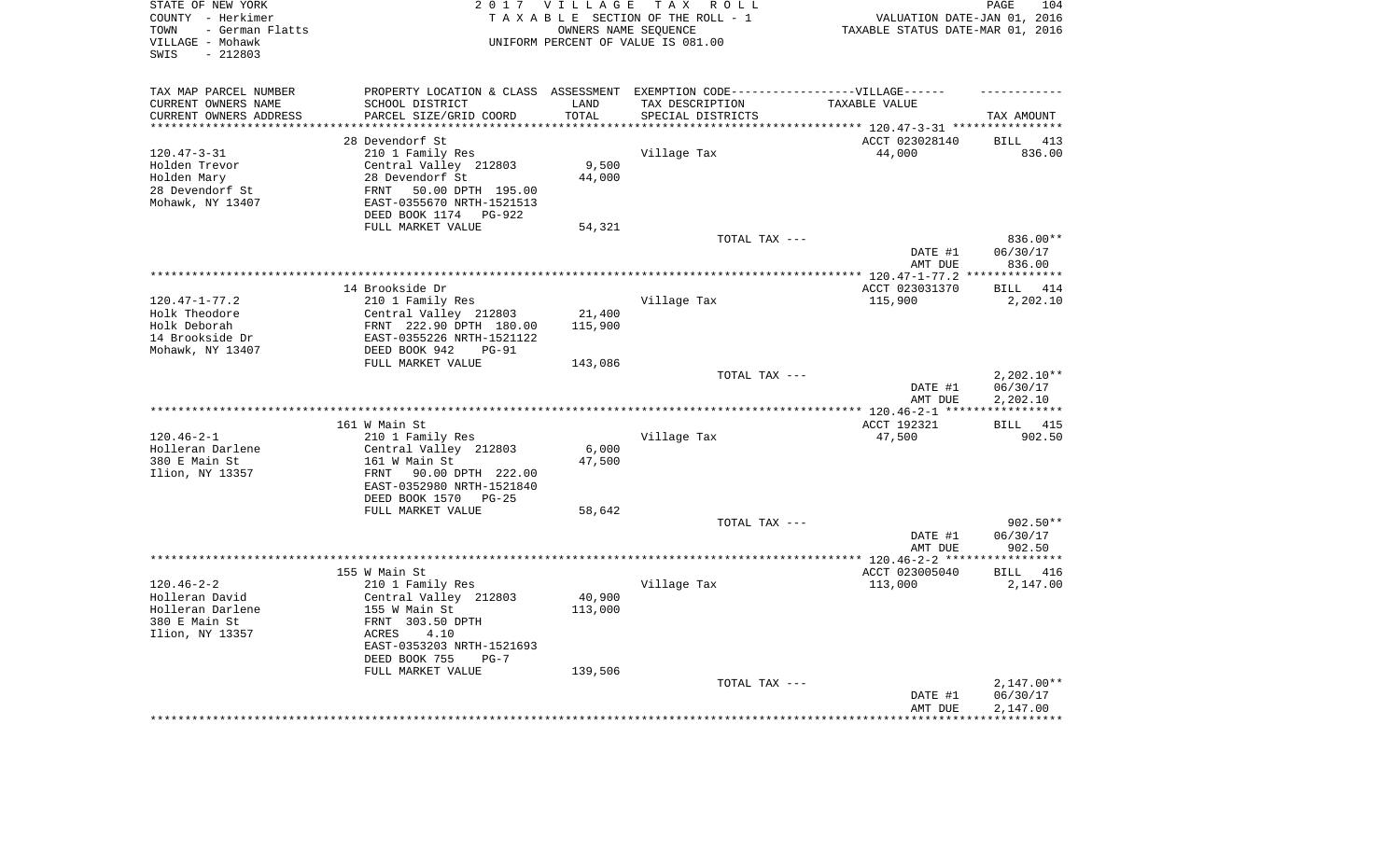| STATE OF NEW YORK<br>COUNTY - Herkimer<br>- German Flatts<br>TOWN<br>VILLAGE - Mohawk<br>$-212803$<br>SWIS |                                                         | 2017 VILLAGE<br>OWNERS NAME SEQUENCE | TAX ROLL<br>TAXABLE SECTION OF THE ROLL - 1<br>UNIFORM PERCENT OF VALUE IS 081.00                    | VALUATION DATE-JAN 01, 2016<br>TAXABLE STATUS DATE-MAR 01, 2016 | PAGE<br>104           |
|------------------------------------------------------------------------------------------------------------|---------------------------------------------------------|--------------------------------------|------------------------------------------------------------------------------------------------------|-----------------------------------------------------------------|-----------------------|
| TAX MAP PARCEL NUMBER<br>CURRENT OWNERS NAME                                                               | SCHOOL DISTRICT                                         | LAND                                 | PROPERTY LOCATION & CLASS ASSESSMENT EXEMPTION CODE-----------------VILLAGE------<br>TAX DESCRIPTION | TAXABLE VALUE                                                   |                       |
| CURRENT OWNERS ADDRESS                                                                                     | PARCEL SIZE/GRID COORD                                  | TOTAL                                | SPECIAL DISTRICTS                                                                                    |                                                                 | TAX AMOUNT            |
| *********************                                                                                      | ***************************                             | **********                           |                                                                                                      |                                                                 |                       |
|                                                                                                            | 28 Devendorf St                                         |                                      |                                                                                                      | ACCT 023028140                                                  | <b>BILL</b><br>413    |
| $120.47 - 3 - 31$<br>Holden Trevor                                                                         | 210 1 Family Res                                        | 9,500                                | Village Tax                                                                                          | 44,000                                                          | 836.00                |
| Holden Mary                                                                                                | Central Valley 212803<br>28 Devendorf St                | 44,000                               |                                                                                                      |                                                                 |                       |
| 28 Devendorf St                                                                                            | 50.00 DPTH 195.00<br>FRNT                               |                                      |                                                                                                      |                                                                 |                       |
| Mohawk, NY 13407                                                                                           | EAST-0355670 NRTH-1521513<br>DEED BOOK 1174<br>$PG-922$ |                                      |                                                                                                      |                                                                 |                       |
|                                                                                                            | FULL MARKET VALUE                                       | 54,321                               |                                                                                                      |                                                                 |                       |
|                                                                                                            |                                                         |                                      | TOTAL TAX ---                                                                                        |                                                                 | 836.00**              |
|                                                                                                            |                                                         |                                      |                                                                                                      | DATE #1<br>AMT DUE                                              | 06/30/17<br>836.00    |
|                                                                                                            |                                                         |                                      |                                                                                                      |                                                                 | ***********           |
|                                                                                                            | 14 Brookside Dr                                         |                                      |                                                                                                      | ACCT 023031370                                                  | 414<br>BILL           |
| $120.47 - 1 - 77.2$                                                                                        | 210 1 Family Res                                        |                                      | Village Tax                                                                                          | 115,900                                                         | 2,202.10              |
| Holk Theodore<br>Holk Deborah                                                                              | Central Valley 212803                                   | 21,400<br>115,900                    |                                                                                                      |                                                                 |                       |
| 14 Brookside Dr                                                                                            | FRNT 222.90 DPTH 180.00<br>EAST-0355226 NRTH-1521122    |                                      |                                                                                                      |                                                                 |                       |
| Mohawk, NY 13407                                                                                           | DEED BOOK 942<br>$PG-91$                                |                                      |                                                                                                      |                                                                 |                       |
|                                                                                                            | FULL MARKET VALUE                                       | 143,086                              |                                                                                                      |                                                                 |                       |
|                                                                                                            |                                                         |                                      | TOTAL TAX ---                                                                                        |                                                                 | $2,202.10**$          |
|                                                                                                            |                                                         |                                      |                                                                                                      | DATE #1<br>AMT DUE                                              | 06/30/17<br>2,202.10  |
|                                                                                                            |                                                         |                                      |                                                                                                      |                                                                 | ************          |
|                                                                                                            | 161 W Main St                                           |                                      |                                                                                                      | ACCT 192321                                                     | 415<br>BILL           |
| $120.46 - 2 - 1$                                                                                           | 210 1 Family Res                                        |                                      | Village Tax                                                                                          | 47,500                                                          | 902.50                |
| Holleran Darlene<br>380 E Main St                                                                          | Central Valley 212803<br>161 W Main St                  | 6,000<br>47,500                      |                                                                                                      |                                                                 |                       |
| Ilion, NY 13357                                                                                            | FRNT<br>90.00 DPTH 222.00                               |                                      |                                                                                                      |                                                                 |                       |
|                                                                                                            | EAST-0352980 NRTH-1521840                               |                                      |                                                                                                      |                                                                 |                       |
|                                                                                                            | DEED BOOK 1570<br>$PG-25$                               |                                      |                                                                                                      |                                                                 |                       |
|                                                                                                            | FULL MARKET VALUE                                       | 58,642                               |                                                                                                      |                                                                 |                       |
|                                                                                                            |                                                         |                                      | TOTAL TAX ---                                                                                        |                                                                 | 902.50**              |
|                                                                                                            |                                                         |                                      |                                                                                                      | DATE #1                                                         | 06/30/17              |
|                                                                                                            |                                                         |                                      |                                                                                                      | AMT DUE                                                         | 902.50<br>*********** |
|                                                                                                            | 155 W Main St                                           |                                      |                                                                                                      | ACCT 023005040                                                  | 416<br>BILL           |
| $120.46 - 2 - 2$                                                                                           | 210 1 Family Res                                        |                                      | Village Tax                                                                                          | 113,000                                                         | 2,147.00              |
| Holleran David                                                                                             | Central Valley 212803                                   | 40,900                               |                                                                                                      |                                                                 |                       |
| Holleran Darlene                                                                                           | 155 W Main St                                           | 113,000                              |                                                                                                      |                                                                 |                       |
| 380 E Main St                                                                                              | FRNT 303.50 DPTH                                        |                                      |                                                                                                      |                                                                 |                       |
| Ilion, NY 13357                                                                                            | ACRES<br>4.10                                           |                                      |                                                                                                      |                                                                 |                       |
|                                                                                                            | EAST-0353203 NRTH-1521693                               |                                      |                                                                                                      |                                                                 |                       |
|                                                                                                            | DEED BOOK 755<br>$PG-7$                                 |                                      |                                                                                                      |                                                                 |                       |
|                                                                                                            | FULL MARKET VALUE                                       | 139,506                              | TOTAL TAX ---                                                                                        |                                                                 | $2,147.00**$          |
|                                                                                                            |                                                         |                                      |                                                                                                      | DATE #1                                                         | 06/30/17              |
|                                                                                                            |                                                         |                                      |                                                                                                      | AMT DUE                                                         | 2,147.00              |
|                                                                                                            |                                                         |                                      |                                                                                                      | **************                                                  | ************          |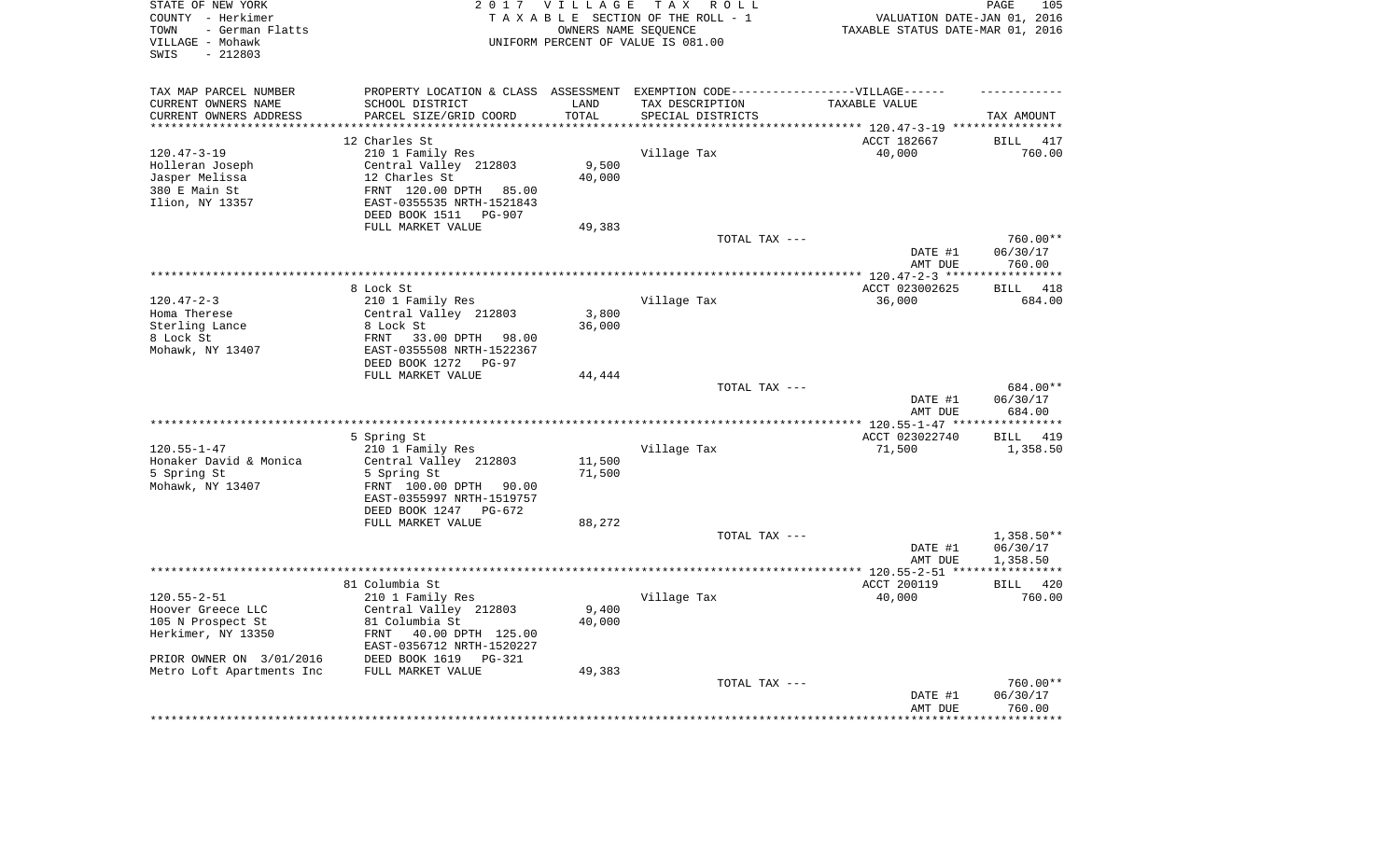| STATE OF NEW YORK<br>COUNTY - Herkimer<br>- German Flatts<br>TOWN<br>VILLAGE - Mohawk<br>$-212803$<br>SWIS |                                               | 2017 VILLAGE<br>OWNERS NAME SEQUENCE | T A X<br>R O L L<br>TAXABLE SECTION OF THE ROLL - 1<br>UNIFORM PERCENT OF VALUE IS 081.00 | VALUATION DATE-JAN 01, 2016<br>TAXABLE STATUS DATE-MAR 01, 2016 | 105<br>PAGE           |
|------------------------------------------------------------------------------------------------------------|-----------------------------------------------|--------------------------------------|-------------------------------------------------------------------------------------------|-----------------------------------------------------------------|-----------------------|
| TAX MAP PARCEL NUMBER                                                                                      |                                               |                                      | PROPERTY LOCATION & CLASS ASSESSMENT EXEMPTION CODE----------------VILLAGE------          |                                                                 |                       |
| CURRENT OWNERS NAME                                                                                        | SCHOOL DISTRICT                               | LAND                                 | TAX DESCRIPTION                                                                           | TAXABLE VALUE                                                   |                       |
| CURRENT OWNERS ADDRESS<br>**********************                                                           | PARCEL SIZE/GRID COORD                        | TOTAL                                | SPECIAL DISTRICTS                                                                         |                                                                 | TAX AMOUNT            |
|                                                                                                            | 12 Charles St                                 |                                      |                                                                                           | ACCT 182667                                                     | <b>BILL</b><br>417    |
| $120.47 - 3 - 19$                                                                                          | 210 1 Family Res                              |                                      | Village Tax                                                                               | 40,000                                                          | 760.00                |
| Holleran Joseph                                                                                            | Central Valley 212803                         | 9,500                                |                                                                                           |                                                                 |                       |
| Jasper Melissa                                                                                             | 12 Charles St                                 | 40,000                               |                                                                                           |                                                                 |                       |
| 380 E Main St                                                                                              | FRNT 120.00 DPTH<br>85.00                     |                                      |                                                                                           |                                                                 |                       |
| Ilion, NY 13357                                                                                            | EAST-0355535 NRTH-1521843                     |                                      |                                                                                           |                                                                 |                       |
|                                                                                                            | DEED BOOK 1511 PG-907                         |                                      |                                                                                           |                                                                 |                       |
|                                                                                                            | FULL MARKET VALUE                             | 49,383                               |                                                                                           |                                                                 |                       |
|                                                                                                            |                                               |                                      | TOTAL TAX ---                                                                             | DATE #1                                                         | 760.00**<br>06/30/17  |
|                                                                                                            |                                               |                                      |                                                                                           | AMT DUE                                                         | 760.00                |
|                                                                                                            |                                               |                                      |                                                                                           |                                                                 |                       |
|                                                                                                            | 8 Lock St                                     |                                      |                                                                                           | ACCT 023002625                                                  | <b>BILL</b><br>418    |
| $120.47 - 2 - 3$                                                                                           | 210 1 Family Res                              |                                      | Village Tax                                                                               | 36,000                                                          | 684.00                |
| Homa Therese                                                                                               | Central Valley 212803                         | 3,800                                |                                                                                           |                                                                 |                       |
| Sterling Lance<br>8 Lock St                                                                                | 8 Lock St<br>FRNT<br>33.00 DPTH 98.00         | 36,000                               |                                                                                           |                                                                 |                       |
| Mohawk, NY 13407                                                                                           | EAST-0355508 NRTH-1522367                     |                                      |                                                                                           |                                                                 |                       |
|                                                                                                            | DEED BOOK 1272 PG-97                          |                                      |                                                                                           |                                                                 |                       |
|                                                                                                            | FULL MARKET VALUE                             | 44,444                               |                                                                                           |                                                                 |                       |
|                                                                                                            |                                               |                                      | TOTAL TAX ---                                                                             |                                                                 | 684.00**              |
|                                                                                                            |                                               |                                      |                                                                                           | DATE #1                                                         | 06/30/17              |
|                                                                                                            |                                               |                                      |                                                                                           | AMT DUE                                                         | 684.00<br>*********** |
|                                                                                                            | 5 Spring St                                   |                                      |                                                                                           | ACCT 023022740                                                  | 419<br><b>BILL</b>    |
| $120.55 - 1 - 47$                                                                                          | 210 1 Family Res                              |                                      | Village Tax                                                                               | 71,500                                                          | 1,358.50              |
| Honaker David & Monica                                                                                     | Central Valley 212803                         | 11,500                               |                                                                                           |                                                                 |                       |
| 5 Spring St                                                                                                | 5 Spring St                                   | 71,500                               |                                                                                           |                                                                 |                       |
| Mohawk, NY 13407                                                                                           | FRNT 100.00 DPTH<br>90.00                     |                                      |                                                                                           |                                                                 |                       |
|                                                                                                            | EAST-0355997 NRTH-1519757                     |                                      |                                                                                           |                                                                 |                       |
|                                                                                                            | DEED BOOK 1247<br>PG-672<br>FULL MARKET VALUE | 88,272                               |                                                                                           |                                                                 |                       |
|                                                                                                            |                                               |                                      | TOTAL TAX ---                                                                             |                                                                 | $1,358.50**$          |
|                                                                                                            |                                               |                                      |                                                                                           | DATE #1                                                         | 06/30/17              |
|                                                                                                            |                                               |                                      |                                                                                           | AMT DUE                                                         | 1,358.50              |
|                                                                                                            |                                               |                                      |                                                                                           |                                                                 | ************          |
| $120.55 - 2 - 51$                                                                                          | 81 Columbia St                                |                                      |                                                                                           | ACCT 200119                                                     | BILL<br>420           |
| Hoover Greece LLC                                                                                          | 210 1 Family Res<br>Central Valley 212803     | 9,400                                | Village Tax                                                                               | 40,000                                                          | 760.00                |
| 105 N Prospect St                                                                                          | 81 Columbia St                                | 40,000                               |                                                                                           |                                                                 |                       |
| Herkimer, NY 13350                                                                                         | FRNT<br>40.00 DPTH 125.00                     |                                      |                                                                                           |                                                                 |                       |
|                                                                                                            | EAST-0356712 NRTH-1520227                     |                                      |                                                                                           |                                                                 |                       |
| PRIOR OWNER ON 3/01/2016                                                                                   | DEED BOOK 1619<br>$PG-321$                    |                                      |                                                                                           |                                                                 |                       |
| Metro Loft Apartments Inc                                                                                  | FULL MARKET VALUE                             | 49,383                               |                                                                                           |                                                                 |                       |
|                                                                                                            |                                               |                                      | TOTAL TAX ---                                                                             | DATE #1                                                         | 760.00**<br>06/30/17  |
|                                                                                                            |                                               |                                      |                                                                                           | AMT DUE                                                         | 760.00                |
|                                                                                                            |                                               |                                      |                                                                                           | ****************                                                | ************          |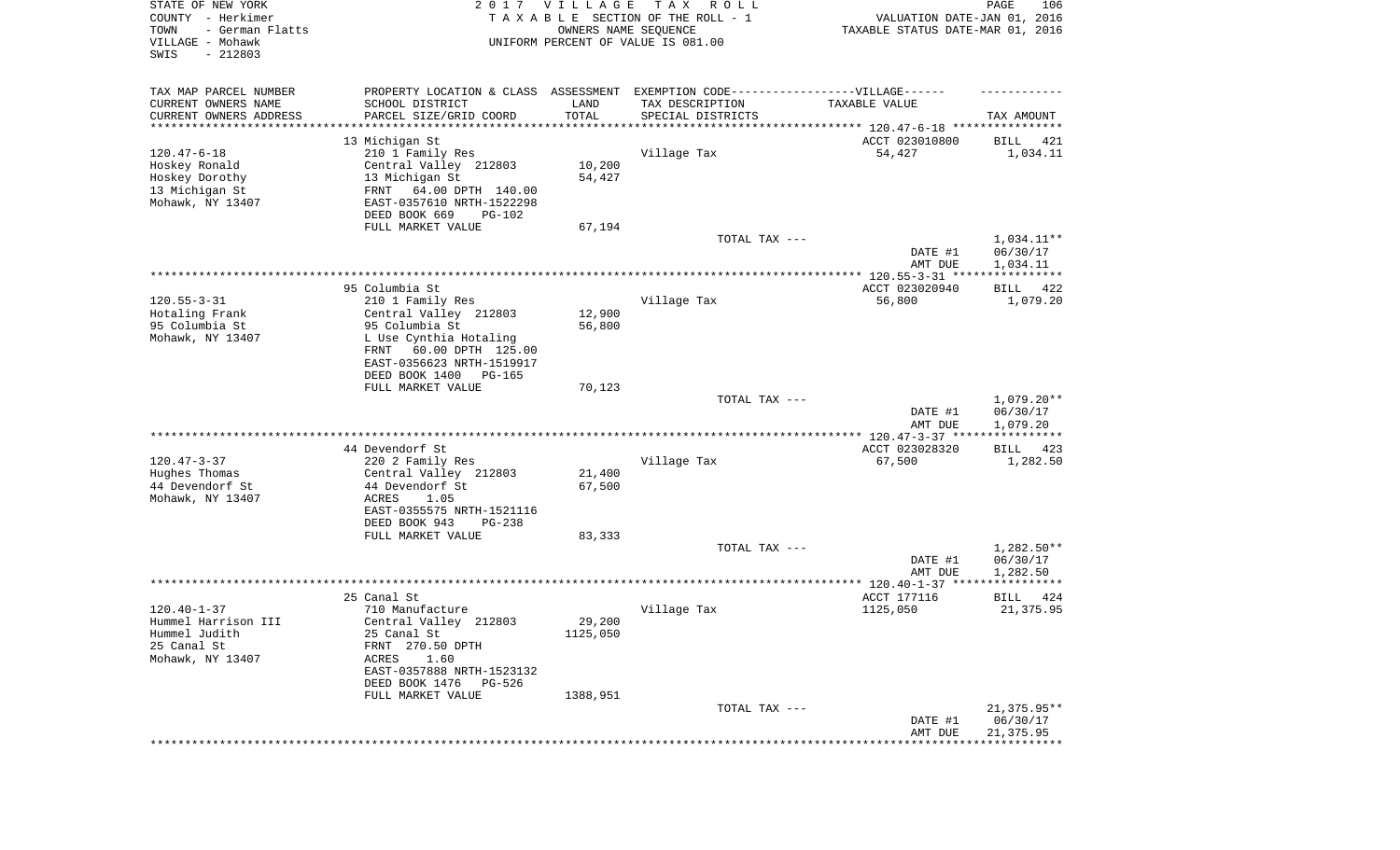| STATE OF NEW YORK<br>COUNTY - Herkimer<br>- German Flatts<br>TOWN<br>VILLAGE - Mohawk<br>SWIS<br>$-212803$ |                                                                                  | 2017 VILLAGE<br>OWNERS NAME SEQUENCE | T A X<br>R O L L<br>TAXABLE SECTION OF THE ROLL - 1<br>UNIFORM PERCENT OF VALUE IS 081.00 | VALUATION DATE-JAN 01, 2016<br>TAXABLE STATUS DATE-MAR 01, 2016 | PAGE<br>106                                   |
|------------------------------------------------------------------------------------------------------------|----------------------------------------------------------------------------------|--------------------------------------|-------------------------------------------------------------------------------------------|-----------------------------------------------------------------|-----------------------------------------------|
| TAX MAP PARCEL NUMBER                                                                                      | PROPERTY LOCATION & CLASS ASSESSMENT EXEMPTION CODE----------------VILLAGE------ |                                      |                                                                                           |                                                                 |                                               |
| CURRENT OWNERS NAME                                                                                        | SCHOOL DISTRICT                                                                  | LAND                                 | TAX DESCRIPTION                                                                           | TAXABLE VALUE                                                   |                                               |
| CURRENT OWNERS ADDRESS<br>********************                                                             | PARCEL SIZE/GRID COORD                                                           | TOTAL                                | SPECIAL DISTRICTS                                                                         |                                                                 | TAX AMOUNT                                    |
|                                                                                                            | 13 Michigan St                                                                   |                                      |                                                                                           | ACCT 023010800                                                  | 421<br>BILL                                   |
| $120.47 - 6 - 18$                                                                                          | 210 1 Family Res                                                                 |                                      | Village Tax                                                                               | 54,427                                                          | 1,034.11                                      |
| Hoskey Ronald                                                                                              | Central Valley 212803                                                            | 10,200                               |                                                                                           |                                                                 |                                               |
| Hoskey Dorothy                                                                                             | 13 Michigan St                                                                   | 54,427                               |                                                                                           |                                                                 |                                               |
| 13 Michigan St                                                                                             | FRNT<br>64.00 DPTH 140.00                                                        |                                      |                                                                                           |                                                                 |                                               |
| Mohawk, NY 13407                                                                                           | EAST-0357610 NRTH-1522298<br>DEED BOOK 669<br>PG-102                             |                                      |                                                                                           |                                                                 |                                               |
|                                                                                                            | FULL MARKET VALUE                                                                | 67,194                               |                                                                                           |                                                                 |                                               |
|                                                                                                            |                                                                                  |                                      | TOTAL TAX ---                                                                             | DATE #1                                                         | 1,034.11**<br>06/30/17                        |
|                                                                                                            |                                                                                  |                                      |                                                                                           | AMT DUE                                                         | 1,034.11                                      |
|                                                                                                            | 95 Columbia St                                                                   |                                      |                                                                                           | ACCT 023020940                                                  | 422<br>BILL                                   |
| $120.55 - 3 - 31$                                                                                          | 210 1 Family Res                                                                 |                                      | Village Tax                                                                               | 56,800                                                          | 1,079.20                                      |
| Hotaling Frank                                                                                             | Central Valley 212803                                                            | 12,900                               |                                                                                           |                                                                 |                                               |
| 95 Columbia St                                                                                             | 95 Columbia St                                                                   | 56,800                               |                                                                                           |                                                                 |                                               |
| Mohawk, NY 13407                                                                                           | L Use Cynthia Hotaling<br>60.00 DPTH 125.00<br>FRNT                              |                                      |                                                                                           |                                                                 |                                               |
|                                                                                                            | EAST-0356623 NRTH-1519917                                                        |                                      |                                                                                           |                                                                 |                                               |
|                                                                                                            | DEED BOOK 1400<br>PG-165                                                         |                                      |                                                                                           |                                                                 |                                               |
|                                                                                                            | FULL MARKET VALUE                                                                | 70,123                               |                                                                                           |                                                                 |                                               |
|                                                                                                            |                                                                                  |                                      | TOTAL TAX ---                                                                             |                                                                 | $1,079.20**$                                  |
|                                                                                                            |                                                                                  |                                      |                                                                                           | DATE #1<br>AMT DUE<br>************* 120.47-3-37 ****            | 06/30/17<br>1,079.20<br>* * * * * * * * * * * |
|                                                                                                            | 44 Devendorf St                                                                  |                                      |                                                                                           | ACCT 023028320                                                  | <b>BILL</b><br>423                            |
| $120.47 - 3 - 37$                                                                                          | 220 2 Family Res                                                                 |                                      | Village Tax                                                                               | 67,500                                                          | 1,282.50                                      |
| Hughes Thomas                                                                                              | Central Valley 212803                                                            | 21,400                               |                                                                                           |                                                                 |                                               |
| 44 Devendorf St                                                                                            | 44 Devendorf St                                                                  | 67,500                               |                                                                                           |                                                                 |                                               |
| Mohawk, NY 13407                                                                                           | ACRES<br>1.05<br>EAST-0355575 NRTH-1521116                                       |                                      |                                                                                           |                                                                 |                                               |
|                                                                                                            | DEED BOOK 943<br>$PG-238$                                                        |                                      |                                                                                           |                                                                 |                                               |
|                                                                                                            | FULL MARKET VALUE                                                                | 83,333                               |                                                                                           |                                                                 |                                               |
|                                                                                                            |                                                                                  |                                      | TOTAL TAX ---                                                                             |                                                                 | $1,282.50**$                                  |
|                                                                                                            |                                                                                  |                                      |                                                                                           | DATE #1                                                         | 06/30/17                                      |
| ************************************                                                                       |                                                                                  |                                      |                                                                                           | AMT DUE                                                         | 1,282.50                                      |
|                                                                                                            | 25 Canal St                                                                      |                                      |                                                                                           | ACCT 177116                                                     | BILL<br>424                                   |
| $120.40 - 1 - 37$                                                                                          | 710 Manufacture                                                                  |                                      | Village Tax                                                                               | 1125,050                                                        | 21,375.95                                     |
| Hummel Harrison III                                                                                        | Central Valley 212803                                                            | 29,200                               |                                                                                           |                                                                 |                                               |
| Hummel Judith                                                                                              | 25 Canal St                                                                      | 1125,050                             |                                                                                           |                                                                 |                                               |
| 25 Canal St<br>Mohawk, NY 13407                                                                            | FRNT 270.50 DPTH<br>ACRES<br>1.60                                                |                                      |                                                                                           |                                                                 |                                               |
|                                                                                                            | EAST-0357888 NRTH-1523132                                                        |                                      |                                                                                           |                                                                 |                                               |
|                                                                                                            | DEED BOOK 1476<br>PG-526                                                         |                                      |                                                                                           |                                                                 |                                               |
|                                                                                                            | FULL MARKET VALUE                                                                | 1388,951                             |                                                                                           |                                                                 |                                               |
|                                                                                                            |                                                                                  |                                      | TOTAL TAX ---                                                                             |                                                                 | 21,375.95**                                   |
|                                                                                                            |                                                                                  |                                      |                                                                                           | DATE #1<br>AMT DUE                                              | 06/30/17<br>21,375.95                         |
|                                                                                                            |                                                                                  |                                      |                                                                                           |                                                                 | * * * * * * * *                               |
|                                                                                                            |                                                                                  |                                      |                                                                                           |                                                                 |                                               |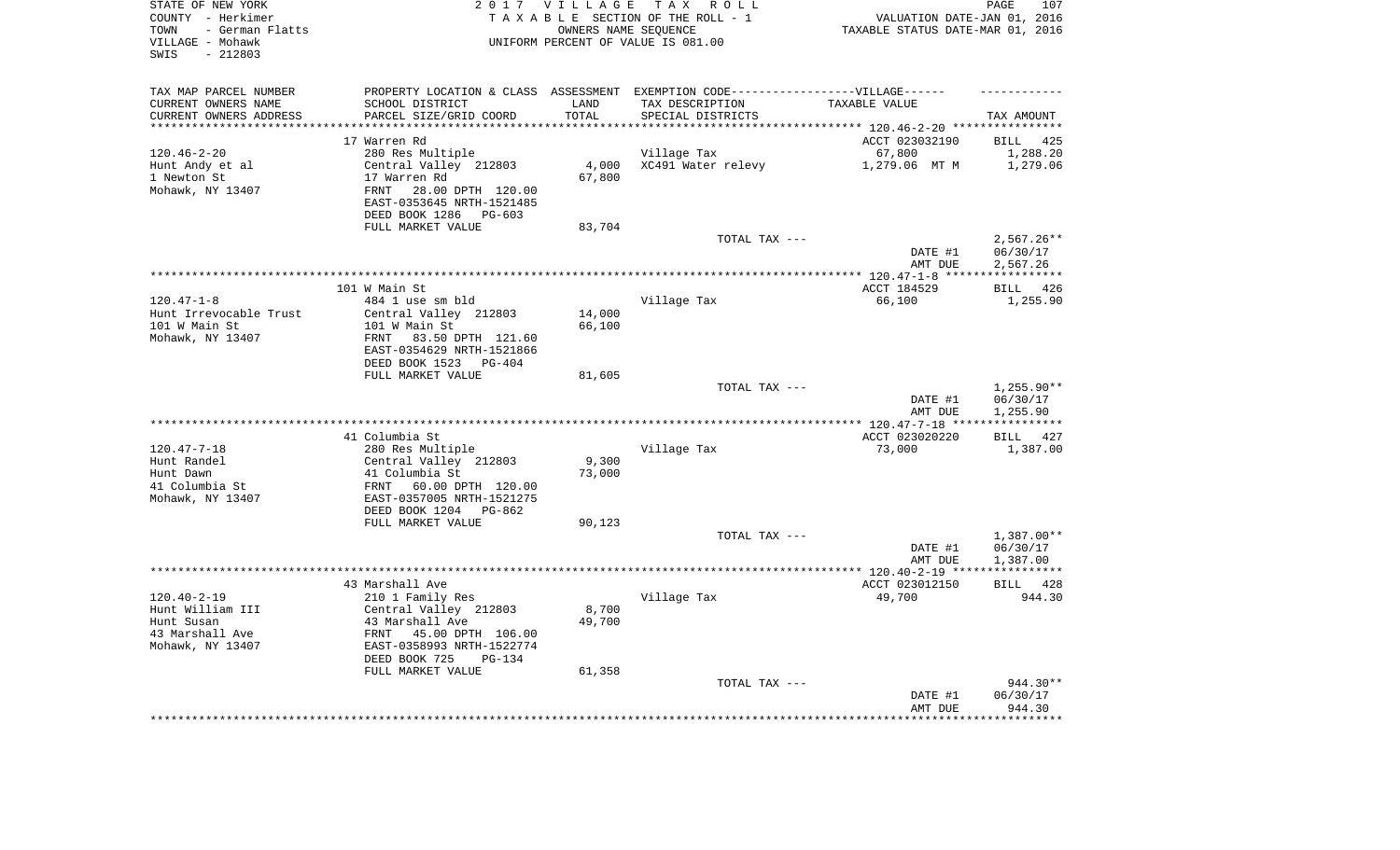| STATE OF NEW YORK<br>COUNTY - Herkimer<br>- German Flatts<br>TOWN<br>VILLAGE - Mohawk<br>$-212803$<br>SWIS |                                                        | 2017 VILLAGE              | TAX ROLL<br>TAXABLE SECTION OF THE ROLL - 1<br>OWNERS NAME SEQUENCE<br>UNIFORM PERCENT OF VALUE IS 081.00 | VALUATION DATE-JAN 01, 2016<br>TAXABLE STATUS DATE-MAR 01, 2016 | PAGE<br>107             |
|------------------------------------------------------------------------------------------------------------|--------------------------------------------------------|---------------------------|-----------------------------------------------------------------------------------------------------------|-----------------------------------------------------------------|-------------------------|
| TAX MAP PARCEL NUMBER<br>CURRENT OWNERS NAME                                                               | SCHOOL DISTRICT                                        | LAND                      | PROPERTY LOCATION & CLASS ASSESSMENT EXEMPTION CODE-----------------VILLAGE------<br>TAX DESCRIPTION      | TAXABLE VALUE                                                   |                         |
| CURRENT OWNERS ADDRESS<br>**********************                                                           | PARCEL SIZE/GRID COORD<br>**************************** | TOTAL<br>**************** | SPECIAL DISTRICTS                                                                                         |                                                                 | TAX AMOUNT              |
|                                                                                                            |                                                        |                           |                                                                                                           |                                                                 |                         |
| $120.46 - 2 - 20$                                                                                          | 17 Warren Rd<br>280 Res Multiple                       |                           | Village Tax                                                                                               | ACCT 023032190<br>67,800                                        | BILL<br>425<br>1,288.20 |
| Hunt Andy et al                                                                                            | Central Valley 212803                                  | 4,000                     | XC491 Water relevy                                                                                        | 1,279.06 MT M                                                   | 1,279.06                |
| 1 Newton St                                                                                                | 17 Warren Rd                                           | 67,800                    |                                                                                                           |                                                                 |                         |
| Mohawk, NY 13407                                                                                           | 28.00 DPTH 120.00<br>FRNT                              |                           |                                                                                                           |                                                                 |                         |
|                                                                                                            | EAST-0353645 NRTH-1521485                              |                           |                                                                                                           |                                                                 |                         |
|                                                                                                            | DEED BOOK 1286<br>PG-603                               |                           |                                                                                                           |                                                                 |                         |
|                                                                                                            | FULL MARKET VALUE                                      | 83,704                    |                                                                                                           |                                                                 |                         |
|                                                                                                            |                                                        |                           | TOTAL TAX ---                                                                                             | DATE #1                                                         | $2,567.26**$            |
|                                                                                                            |                                                        |                           |                                                                                                           | AMT DUE                                                         | 06/30/17<br>2,567.26    |
|                                                                                                            |                                                        |                           |                                                                                                           |                                                                 |                         |
|                                                                                                            | 101 W Main St                                          |                           |                                                                                                           | ACCT 184529                                                     | <b>BILL</b><br>426      |
| $120.47 - 1 - 8$                                                                                           | 484 1 use sm bld                                       |                           | Village Tax                                                                                               | 66,100                                                          | 1,255.90                |
| Hunt Irrevocable Trust                                                                                     | Central Valley 212803                                  | 14,000                    |                                                                                                           |                                                                 |                         |
| 101 W Main St                                                                                              | 101 W Main St                                          | 66,100                    |                                                                                                           |                                                                 |                         |
| Mohawk, NY 13407                                                                                           | FRNT<br>83.50 DPTH 121.60                              |                           |                                                                                                           |                                                                 |                         |
|                                                                                                            | EAST-0354629 NRTH-1521866<br>DEED BOOK 1523 PG-404     |                           |                                                                                                           |                                                                 |                         |
|                                                                                                            | FULL MARKET VALUE                                      | 81,605                    |                                                                                                           |                                                                 |                         |
|                                                                                                            |                                                        |                           | TOTAL TAX ---                                                                                             |                                                                 | $1,255.90**$            |
|                                                                                                            |                                                        |                           |                                                                                                           | DATE #1                                                         | 06/30/17                |
|                                                                                                            |                                                        |                           |                                                                                                           | AMT DUE                                                         | 1,255.90                |
|                                                                                                            |                                                        |                           |                                                                                                           |                                                                 | ***********             |
|                                                                                                            | 41 Columbia St                                         |                           |                                                                                                           | ACCT 023020220                                                  | BILL 427                |
| $120.47 - 7 - 18$                                                                                          | 280 Res Multiple                                       |                           | Village Tax                                                                                               | 73,000                                                          | 1,387.00                |
| Hunt Randel<br>Hunt Dawn                                                                                   | Central Valley 212803<br>41 Columbia St                | 9,300<br>73,000           |                                                                                                           |                                                                 |                         |
| 41 Columbia St                                                                                             | FRNT<br>60.00 DPTH 120.00                              |                           |                                                                                                           |                                                                 |                         |
| Mohawk, NY 13407                                                                                           | EAST-0357005 NRTH-1521275                              |                           |                                                                                                           |                                                                 |                         |
|                                                                                                            | DEED BOOK 1204<br>PG-862                               |                           |                                                                                                           |                                                                 |                         |
|                                                                                                            | FULL MARKET VALUE                                      | 90,123                    |                                                                                                           |                                                                 |                         |
|                                                                                                            |                                                        |                           | TOTAL TAX ---                                                                                             |                                                                 | $1,387.00**$            |
|                                                                                                            |                                                        |                           |                                                                                                           | DATE #1                                                         | 06/30/17                |
|                                                                                                            |                                                        |                           |                                                                                                           | AMT DUE                                                         | 1,387.00                |
|                                                                                                            | 43 Marshall Ave                                        |                           |                                                                                                           | ACCT 023012150                                                  | BILL 428                |
| $120.40 - 2 - 19$                                                                                          | 210 1 Family Res                                       |                           | Village Tax                                                                                               | 49,700                                                          | 944.30                  |
| Hunt William III                                                                                           | Central Valley 212803                                  | 8,700                     |                                                                                                           |                                                                 |                         |
| Hunt Susan                                                                                                 | 43 Marshall Ave                                        | 49,700                    |                                                                                                           |                                                                 |                         |
| 43 Marshall Ave                                                                                            | FRNT 45.00 DPTH 106.00                                 |                           |                                                                                                           |                                                                 |                         |
| Mohawk, NY 13407                                                                                           | EAST-0358993 NRTH-1522774                              |                           |                                                                                                           |                                                                 |                         |
|                                                                                                            | DEED BOOK 725<br>$PG-134$                              |                           |                                                                                                           |                                                                 |                         |
|                                                                                                            | FULL MARKET VALUE                                      | 61,358                    | TOTAL TAX ---                                                                                             |                                                                 | 944.30**                |
|                                                                                                            |                                                        |                           |                                                                                                           | DATE #1                                                         | 06/30/17                |
|                                                                                                            |                                                        |                           |                                                                                                           | AMT DUE                                                         | 944.30                  |
|                                                                                                            |                                                        |                           |                                                                                                           |                                                                 | ***********             |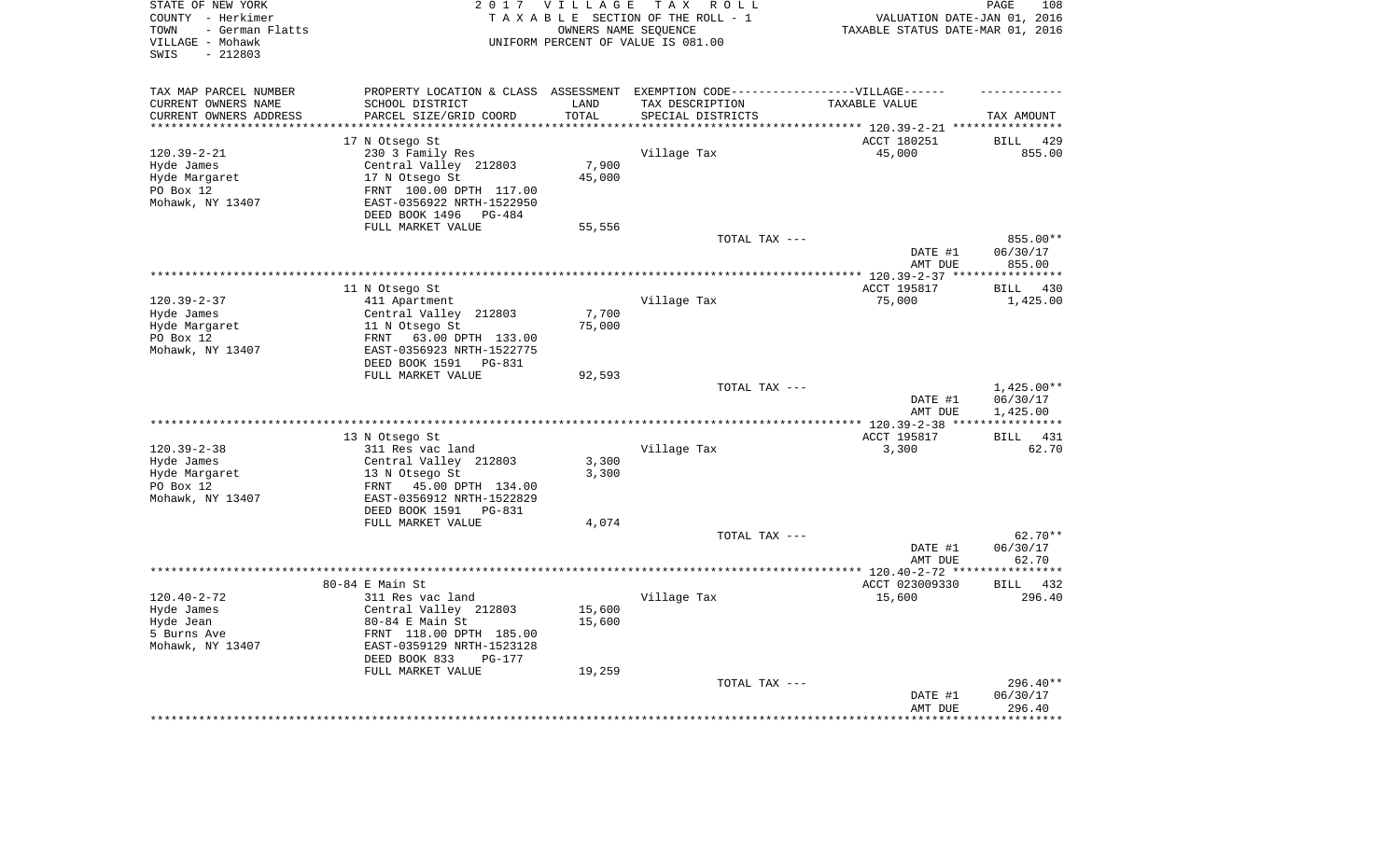| STATE OF NEW YORK<br>COUNTY - Herkimer<br>- German Flatts<br>TOWN<br>VILLAGE - Mohawk<br>$-212803$<br>SWIS | 2 0 1 7                                                                           | VILLAGE               | T A X<br>R O L L<br>TAXABLE SECTION OF THE ROLL - 1<br>OWNERS NAME SEQUENCE<br>UNIFORM PERCENT OF VALUE IS 081.00 | VALUATION DATE-JAN 01, 2016<br>TAXABLE STATUS DATE-MAR 01, 2016 | 108<br>PAGE                  |
|------------------------------------------------------------------------------------------------------------|-----------------------------------------------------------------------------------|-----------------------|-------------------------------------------------------------------------------------------------------------------|-----------------------------------------------------------------|------------------------------|
| TAX MAP PARCEL NUMBER                                                                                      | PROPERTY LOCATION & CLASS ASSESSMENT EXEMPTION CODE-----------------VILLAGE------ |                       |                                                                                                                   |                                                                 |                              |
| CURRENT OWNERS NAME                                                                                        | SCHOOL DISTRICT                                                                   | LAND                  | TAX DESCRIPTION                                                                                                   | TAXABLE VALUE                                                   |                              |
| CURRENT OWNERS ADDRESS<br>*********************                                                            | PARCEL SIZE/GRID COORD<br>***********************                                 | TOTAL<br>************ | SPECIAL DISTRICTS                                                                                                 |                                                                 | TAX AMOUNT                   |
|                                                                                                            | 17 N Otsego St                                                                    |                       |                                                                                                                   | ACCT 180251                                                     | <b>BILL</b><br>429           |
| $120.39 - 2 - 21$                                                                                          | 230 3 Family Res                                                                  |                       | Village Tax                                                                                                       | 45,000                                                          | 855.00                       |
| Hyde James                                                                                                 | Central Valley 212803                                                             | 7,900                 |                                                                                                                   |                                                                 |                              |
| Hyde Margaret                                                                                              | 17 N Otsego St                                                                    | 45,000                |                                                                                                                   |                                                                 |                              |
| PO Box 12                                                                                                  | FRNT 100.00 DPTH 117.00                                                           |                       |                                                                                                                   |                                                                 |                              |
| Mohawk, NY 13407                                                                                           | EAST-0356922 NRTH-1522950                                                         |                       |                                                                                                                   |                                                                 |                              |
|                                                                                                            | DEED BOOK 1496<br>PG-484                                                          |                       |                                                                                                                   |                                                                 |                              |
|                                                                                                            | FULL MARKET VALUE                                                                 | 55,556                |                                                                                                                   |                                                                 |                              |
|                                                                                                            |                                                                                   |                       | TOTAL TAX ---                                                                                                     |                                                                 | 855.00**                     |
|                                                                                                            |                                                                                   |                       |                                                                                                                   | DATE #1                                                         | 06/30/17                     |
|                                                                                                            |                                                                                   |                       |                                                                                                                   | AMT DUE                                                         | 855.00                       |
|                                                                                                            | 11 N Otsego St                                                                    |                       |                                                                                                                   | ******* 120.39-2-37 ****<br>ACCT 195817                         | * * * * * * * * * * *<br>430 |
| $120.39 - 2 - 37$                                                                                          | 411 Apartment                                                                     |                       | Village Tax                                                                                                       | 75,000                                                          | BILL<br>1,425.00             |
| Hyde James                                                                                                 | Central Valley 212803                                                             | 7,700                 |                                                                                                                   |                                                                 |                              |
| Hyde Margaret                                                                                              | 11 N Otsego St                                                                    | 75,000                |                                                                                                                   |                                                                 |                              |
| PO Box 12                                                                                                  | FRNT<br>63.00 DPTH 133.00                                                         |                       |                                                                                                                   |                                                                 |                              |
| Mohawk, NY 13407                                                                                           | EAST-0356923 NRTH-1522775                                                         |                       |                                                                                                                   |                                                                 |                              |
|                                                                                                            | DEED BOOK 1591<br>PG-831                                                          |                       |                                                                                                                   |                                                                 |                              |
|                                                                                                            | FULL MARKET VALUE                                                                 | 92,593                |                                                                                                                   |                                                                 |                              |
|                                                                                                            |                                                                                   |                       | TOTAL TAX ---                                                                                                     | DATE #1                                                         | $1,425.00**$<br>06/30/17     |
|                                                                                                            |                                                                                   |                       |                                                                                                                   | AMT DUE<br>** $120.39 - 2 - 38$                                 | 1,425.00                     |
|                                                                                                            | 13 N Otsego St                                                                    |                       |                                                                                                                   | ACCT 195817                                                     | 431<br><b>BILL</b>           |
| $120.39 - 2 - 38$                                                                                          | 311 Res vac land                                                                  |                       | Village Tax                                                                                                       | 3,300                                                           | 62.70                        |
| Hyde James                                                                                                 | Central Valley 212803                                                             | 3,300                 |                                                                                                                   |                                                                 |                              |
| Hyde Margaret                                                                                              | 13 N Otsego St                                                                    | 3,300                 |                                                                                                                   |                                                                 |                              |
| PO Box 12                                                                                                  | FRNT<br>45.00 DPTH 134.00                                                         |                       |                                                                                                                   |                                                                 |                              |
| Mohawk, NY 13407                                                                                           | EAST-0356912 NRTH-1522829                                                         |                       |                                                                                                                   |                                                                 |                              |
|                                                                                                            | DEED BOOK 1591<br>PG-831                                                          |                       |                                                                                                                   |                                                                 |                              |
|                                                                                                            | FULL MARKET VALUE                                                                 | 4,074                 |                                                                                                                   |                                                                 |                              |
|                                                                                                            |                                                                                   |                       | TOTAL TAX ---                                                                                                     |                                                                 | 62.70**                      |
|                                                                                                            |                                                                                   |                       |                                                                                                                   | DATE #1<br>AMT DUE                                              | 06/30/17<br>62.70            |
|                                                                                                            |                                                                                   |                       |                                                                                                                   | *************** 120.40-2-72 ****                                | ********                     |
|                                                                                                            | 80-84 E Main St                                                                   |                       |                                                                                                                   | ACCT 023009330                                                  | BILL 432                     |
| $120.40 - 2 - 72$                                                                                          | 311 Res vac land                                                                  |                       | Village Tax                                                                                                       | 15,600                                                          | 296.40                       |
| Hyde James                                                                                                 | Central Valley 212803                                                             | 15,600                |                                                                                                                   |                                                                 |                              |
| Hyde Jean                                                                                                  | $80-84$ E Main St                                                                 | 15,600                |                                                                                                                   |                                                                 |                              |
| 5 Burns Ave                                                                                                | FRNT 118.00 DPTH 185.00                                                           |                       |                                                                                                                   |                                                                 |                              |
| Mohawk, NY 13407                                                                                           | EAST-0359129 NRTH-1523128                                                         |                       |                                                                                                                   |                                                                 |                              |
|                                                                                                            | DEED BOOK 833<br>$PG-177$                                                         |                       |                                                                                                                   |                                                                 |                              |
|                                                                                                            | FULL MARKET VALUE                                                                 | 19,259                | TOTAL TAX ---                                                                                                     |                                                                 | $296.40**$                   |
|                                                                                                            |                                                                                   |                       |                                                                                                                   | DATE #1                                                         | 06/30/17                     |
|                                                                                                            |                                                                                   |                       |                                                                                                                   | AMT DUE                                                         | 296.40                       |
|                                                                                                            |                                                                                   |                       |                                                                                                                   |                                                                 | * * * * * * *                |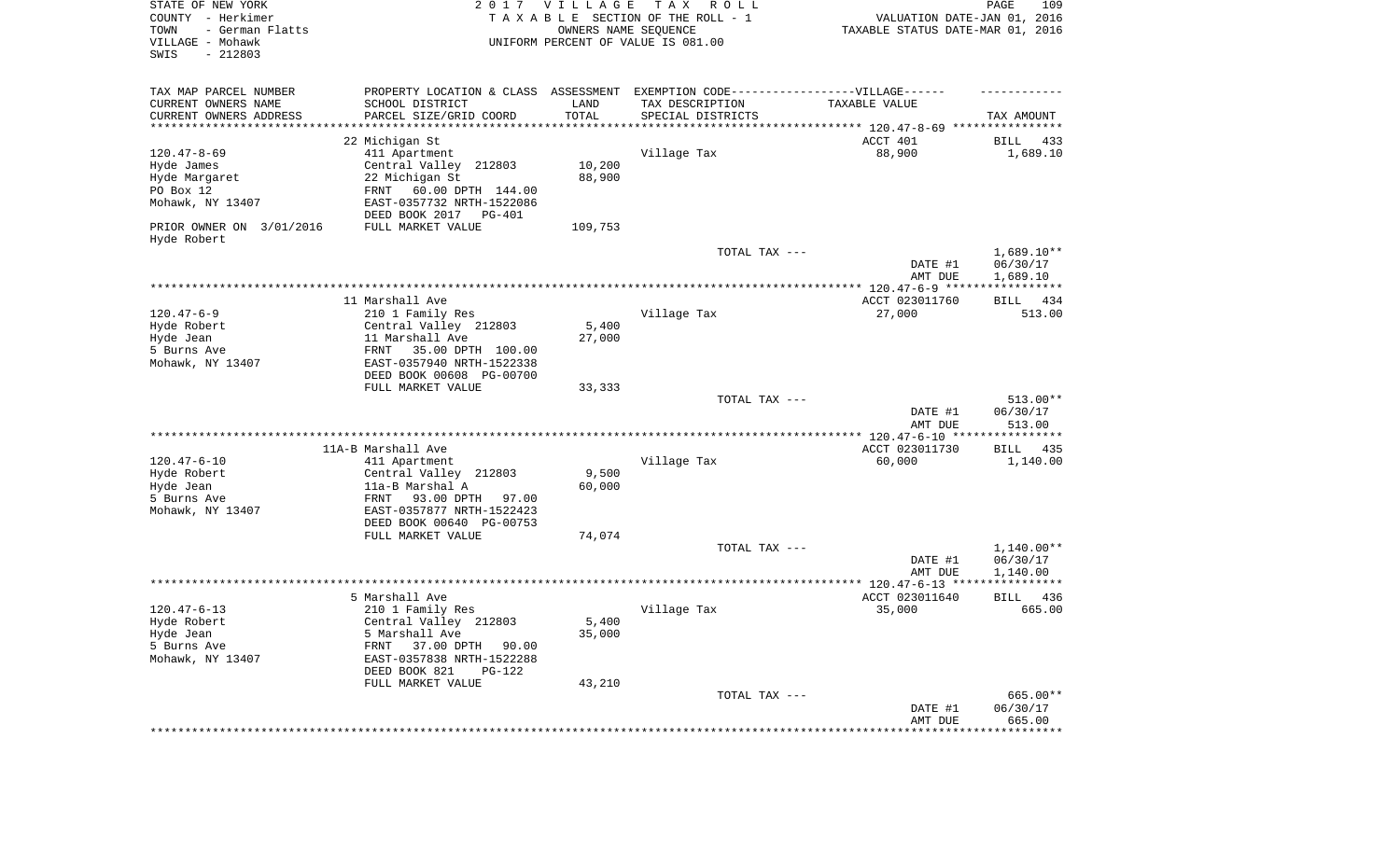| STATE OF NEW YORK<br>COUNTY - Herkimer<br>- German Flatts<br>TOWN<br>VILLAGE - Mohawk<br>SWIS<br>$-212803$ | 2017                                                  | <b>VILLAGE</b><br>OWNERS NAME SEQUENCE | T A X<br>R O L L<br>TAXABLE SECTION OF THE ROLL - 1<br>UNIFORM PERCENT OF VALUE IS 081.00 | VALUATION DATE-JAN 01, 2016<br>TAXABLE STATUS DATE-MAR 01, 2016 | PAGE<br>109            |
|------------------------------------------------------------------------------------------------------------|-------------------------------------------------------|----------------------------------------|-------------------------------------------------------------------------------------------|-----------------------------------------------------------------|------------------------|
| TAX MAP PARCEL NUMBER                                                                                      | PROPERTY LOCATION & CLASS ASSESSMENT                  |                                        | EXEMPTION CODE-----------------VILLAGE------                                              |                                                                 |                        |
| CURRENT OWNERS NAME                                                                                        | SCHOOL DISTRICT                                       | LAND                                   | TAX DESCRIPTION                                                                           | TAXABLE VALUE                                                   |                        |
| CURRENT OWNERS ADDRESS<br>*********************                                                            | PARCEL SIZE/GRID COORD<br>*********************       | TOTAL<br>**************                | SPECIAL DISTRICTS                                                                         |                                                                 | TAX AMOUNT             |
|                                                                                                            | 22 Michigan St                                        |                                        |                                                                                           | ACCT 401                                                        | BILL<br>433            |
| $120.47 - 8 - 69$                                                                                          | 411 Apartment                                         |                                        | Village Tax                                                                               | 88,900                                                          | 1,689.10               |
| Hyde James                                                                                                 | Central Valley 212803                                 | 10,200                                 |                                                                                           |                                                                 |                        |
| Hyde Margaret                                                                                              | 22 Michigan St                                        | 88,900                                 |                                                                                           |                                                                 |                        |
| PO Box 12                                                                                                  | FRNT<br>60.00 DPTH 144.00                             |                                        |                                                                                           |                                                                 |                        |
| Mohawk, NY 13407                                                                                           | EAST-0357732 NRTH-1522086<br>DEED BOOK 2017<br>PG-401 |                                        |                                                                                           |                                                                 |                        |
| PRIOR OWNER ON 3/01/2016<br>Hyde Robert                                                                    | FULL MARKET VALUE                                     | 109,753                                |                                                                                           |                                                                 |                        |
|                                                                                                            |                                                       |                                        | TOTAL TAX ---                                                                             |                                                                 | $1,689.10**$           |
|                                                                                                            |                                                       |                                        |                                                                                           | DATE #1<br>AMT DUE                                              | 06/30/17<br>1,689.10   |
|                                                                                                            |                                                       |                                        |                                                                                           |                                                                 |                        |
| $120.47 - 6 - 9$                                                                                           | 11 Marshall Ave<br>210 1 Family Res                   |                                        | Village Tax                                                                               | ACCT 023011760<br>27,000                                        | BILL 434<br>513.00     |
| Hyde Robert                                                                                                | Central Valley 212803                                 | 5,400                                  |                                                                                           |                                                                 |                        |
| Hyde Jean                                                                                                  | 11 Marshall Ave                                       | 27,000                                 |                                                                                           |                                                                 |                        |
| 5 Burns Ave                                                                                                | 35.00 DPTH 100.00<br>FRNT                             |                                        |                                                                                           |                                                                 |                        |
| Mohawk, NY 13407                                                                                           | EAST-0357940 NRTH-1522338                             |                                        |                                                                                           |                                                                 |                        |
|                                                                                                            | DEED BOOK 00608 PG-00700                              |                                        |                                                                                           |                                                                 |                        |
|                                                                                                            | FULL MARKET VALUE                                     | 33,333                                 | TOTAL TAX ---                                                                             |                                                                 | 513.00**               |
|                                                                                                            |                                                       |                                        |                                                                                           | DATE #1<br>AMT DUE                                              | 06/30/17<br>513.00     |
|                                                                                                            |                                                       |                                        |                                                                                           | **************** 120.47-6-10 *****************                  |                        |
|                                                                                                            | 11A-B Marshall Ave                                    |                                        |                                                                                           | ACCT 023011730                                                  | BILL<br>435            |
| $120.47 - 6 - 10$<br>Hyde Robert                                                                           | 411 Apartment<br>Central Valley 212803                | 9,500                                  | Village Tax                                                                               | 60,000                                                          | 1,140.00               |
| Hyde Jean                                                                                                  | 11a-B Marshal A                                       | 60,000                                 |                                                                                           |                                                                 |                        |
| 5 Burns Ave                                                                                                | 93.00 DPTH<br>FRNT<br>97.00                           |                                        |                                                                                           |                                                                 |                        |
| Mohawk, NY 13407                                                                                           | EAST-0357877 NRTH-1522423                             |                                        |                                                                                           |                                                                 |                        |
|                                                                                                            | DEED BOOK 00640 PG-00753                              |                                        |                                                                                           |                                                                 |                        |
|                                                                                                            | FULL MARKET VALUE                                     | 74,074                                 |                                                                                           |                                                                 |                        |
|                                                                                                            |                                                       |                                        | TOTAL TAX ---                                                                             | DATE #1                                                         | 1,140.00**<br>06/30/17 |
|                                                                                                            |                                                       |                                        |                                                                                           | AMT DUE                                                         | 1,140.00               |
|                                                                                                            |                                                       |                                        |                                                                                           |                                                                 |                        |
|                                                                                                            | 5 Marshall Ave                                        |                                        |                                                                                           | ACCT 023011640                                                  | 436<br>BILL            |
| $120.47 - 6 - 13$                                                                                          | 210 1 Family Res                                      |                                        | Village Tax                                                                               | 35,000                                                          | 665.00                 |
| Hyde Robert<br>Hyde Jean                                                                                   | Central Valley 212803<br>5 Marshall Ave               | $5,400$<br>35,000                      |                                                                                           |                                                                 |                        |
| 5 Burns Ave                                                                                                | FRNT<br>37.00 DPTH 90.00                              |                                        |                                                                                           |                                                                 |                        |
| Mohawk, NY 13407                                                                                           | EAST-0357838 NRTH-1522288                             |                                        |                                                                                           |                                                                 |                        |
|                                                                                                            | DEED BOOK 821<br>PG-122                               |                                        |                                                                                           |                                                                 |                        |
|                                                                                                            | FULL MARKET VALUE                                     | 43,210                                 |                                                                                           |                                                                 |                        |
|                                                                                                            |                                                       |                                        | TOTAL TAX ---                                                                             | DATE #1                                                         | 665.00**<br>06/30/17   |
|                                                                                                            |                                                       |                                        |                                                                                           | AMT DUE                                                         | 665.00                 |
|                                                                                                            |                                                       |                                        |                                                                                           |                                                                 |                        |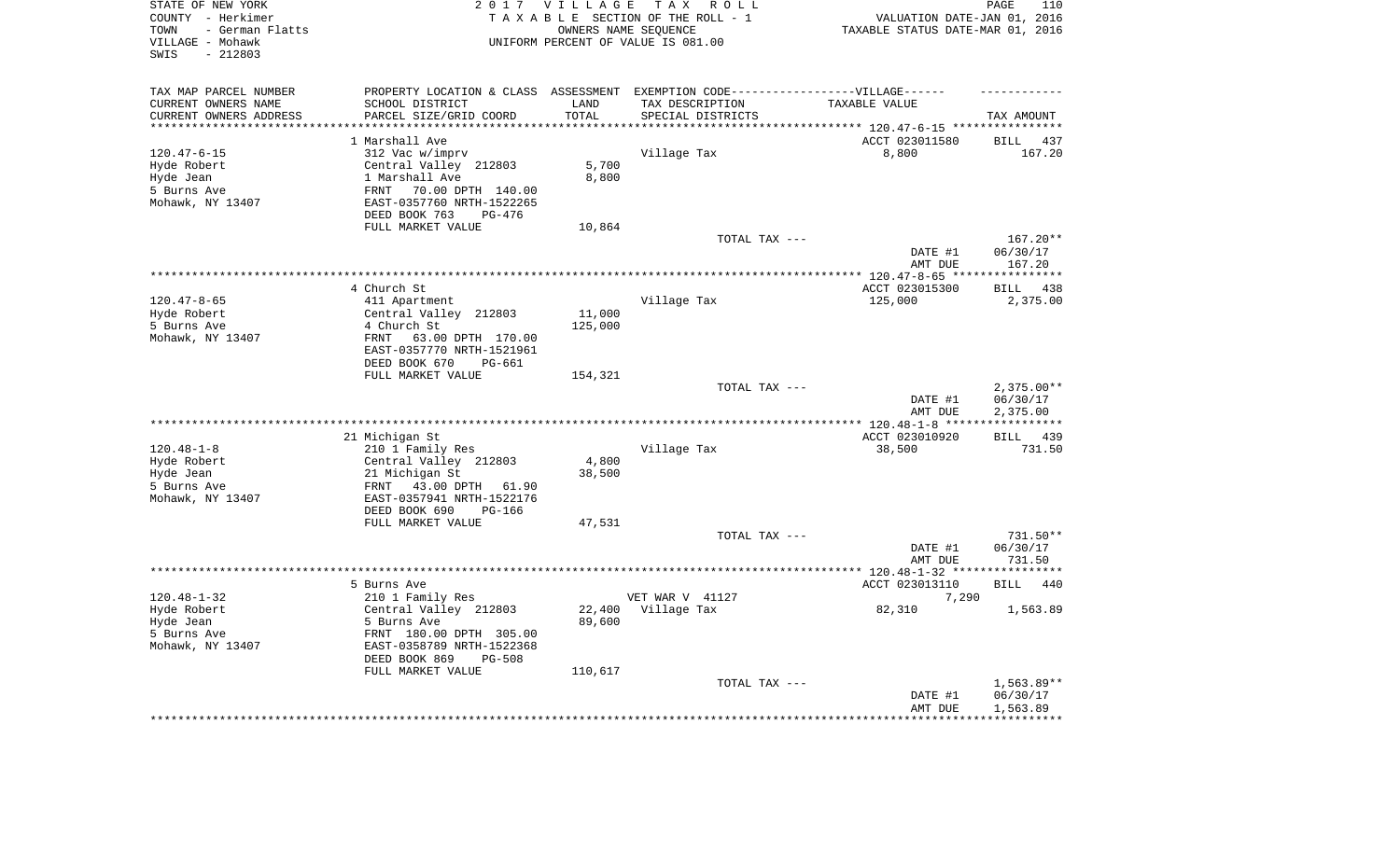| STATE OF NEW YORK<br>COUNTY - Herkimer<br>- German Flatts<br>TOWN<br>VILLAGE - Mohawk<br>$-212803$<br>SWIS |                                                                                   | 2017 VILLAGE      | T A X<br>R O L L<br>TAXABLE SECTION OF THE ROLL - 1<br>OWNERS NAME SEQUENCE<br>UNIFORM PERCENT OF VALUE IS 081.00 | VALUATION DATE-JAN 01, 2016<br>TAXABLE STATUS DATE-MAR 01, 2016 | PAGE<br>110             |
|------------------------------------------------------------------------------------------------------------|-----------------------------------------------------------------------------------|-------------------|-------------------------------------------------------------------------------------------------------------------|-----------------------------------------------------------------|-------------------------|
| TAX MAP PARCEL NUMBER                                                                                      | PROPERTY LOCATION & CLASS ASSESSMENT EXEMPTION CODE-----------------VILLAGE------ |                   |                                                                                                                   |                                                                 |                         |
| CURRENT OWNERS NAME                                                                                        | SCHOOL DISTRICT                                                                   | LAND              | TAX DESCRIPTION                                                                                                   | TAXABLE VALUE                                                   |                         |
| CURRENT OWNERS ADDRESS<br>********************                                                             | PARCEL SIZE/GRID COORD                                                            | TOTAL<br>******** | SPECIAL DISTRICTS                                                                                                 |                                                                 | TAX AMOUNT              |
|                                                                                                            | 1 Marshall Ave                                                                    |                   |                                                                                                                   | ACCT 023011580                                                  | <b>BILL</b><br>437      |
| $120.47 - 6 - 15$                                                                                          | 312 Vac w/imprv                                                                   |                   | Village Tax                                                                                                       | 8,800                                                           | 167.20                  |
| Hyde Robert                                                                                                | Central Valley 212803                                                             | 5,700             |                                                                                                                   |                                                                 |                         |
| Hyde Jean                                                                                                  | 1 Marshall Ave                                                                    | 8,800             |                                                                                                                   |                                                                 |                         |
| 5 Burns Ave                                                                                                | 70.00 DPTH 140.00<br>FRNT                                                         |                   |                                                                                                                   |                                                                 |                         |
| Mohawk, NY 13407                                                                                           | EAST-0357760 NRTH-1522265                                                         |                   |                                                                                                                   |                                                                 |                         |
|                                                                                                            | DEED BOOK 763<br>PG-476                                                           |                   |                                                                                                                   |                                                                 |                         |
|                                                                                                            | FULL MARKET VALUE                                                                 | 10,864            |                                                                                                                   |                                                                 |                         |
|                                                                                                            |                                                                                   |                   | TOTAL TAX ---                                                                                                     |                                                                 | 167.20**                |
|                                                                                                            |                                                                                   |                   |                                                                                                                   | DATE #1                                                         | 06/30/17                |
|                                                                                                            |                                                                                   |                   |                                                                                                                   | AMT DUE                                                         | 167.20                  |
|                                                                                                            |                                                                                   |                   |                                                                                                                   | *** $120.47 - 8 - 65$ ***                                       | ***********             |
|                                                                                                            | 4 Church St                                                                       |                   |                                                                                                                   | ACCT 023015300                                                  | 438<br><b>BILL</b>      |
| $120.47 - 8 - 65$<br>Hyde Robert                                                                           | 411 Apartment<br>Central Valley 212803                                            | 11,000            | Village Tax                                                                                                       | 125,000                                                         | 2,375.00                |
| 5 Burns Ave                                                                                                | 4 Church St                                                                       | 125,000           |                                                                                                                   |                                                                 |                         |
| Mohawk, NY 13407                                                                                           | FRNT<br>63.00 DPTH 170.00                                                         |                   |                                                                                                                   |                                                                 |                         |
|                                                                                                            | EAST-0357770 NRTH-1521961                                                         |                   |                                                                                                                   |                                                                 |                         |
|                                                                                                            | DEED BOOK 670<br>PG-661                                                           |                   |                                                                                                                   |                                                                 |                         |
|                                                                                                            | FULL MARKET VALUE                                                                 | 154,321           |                                                                                                                   |                                                                 |                         |
|                                                                                                            |                                                                                   |                   | TOTAL TAX ---                                                                                                     |                                                                 | $2,375.00**$            |
|                                                                                                            |                                                                                   |                   |                                                                                                                   | DATE #1                                                         | 06/30/17                |
|                                                                                                            | **************************************                                            |                   |                                                                                                                   | AMT DUE                                                         | 2,375.00<br>*********** |
|                                                                                                            | 21 Michigan St                                                                    |                   |                                                                                                                   | **** 120.48-1-8 ***<br>ACCT 023010920                           | BILL 439                |
| $120.48 - 1 - 8$                                                                                           | 210 1 Family Res                                                                  |                   | Village Tax                                                                                                       | 38,500                                                          | 731.50                  |
| Hyde Robert                                                                                                | Central Valley 212803                                                             | 4,800             |                                                                                                                   |                                                                 |                         |
| Hyde Jean                                                                                                  | 21 Michigan St                                                                    | 38,500            |                                                                                                                   |                                                                 |                         |
| 5 Burns Ave                                                                                                | 43.00 DPTH 61.90<br>FRNT                                                          |                   |                                                                                                                   |                                                                 |                         |
| Mohawk, NY 13407                                                                                           | EAST-0357941 NRTH-1522176                                                         |                   |                                                                                                                   |                                                                 |                         |
|                                                                                                            | DEED BOOK 690<br>PG-166                                                           |                   |                                                                                                                   |                                                                 |                         |
|                                                                                                            | FULL MARKET VALUE                                                                 | 47,531            |                                                                                                                   |                                                                 |                         |
|                                                                                                            |                                                                                   |                   | TOTAL TAX ---                                                                                                     |                                                                 | 731.50**                |
|                                                                                                            |                                                                                   |                   |                                                                                                                   | DATE #1                                                         | 06/30/17                |
|                                                                                                            |                                                                                   |                   |                                                                                                                   | AMT DUE                                                         | 731.50                  |
|                                                                                                            | 5 Burns Ave                                                                       |                   |                                                                                                                   | ACCT 023013110                                                  | <b>BILL</b><br>440      |
| $120.48 - 1 - 32$                                                                                          | 210 1 Family Res                                                                  |                   | VET WAR V 41127                                                                                                   | 7,290                                                           |                         |
| Hyde Robert                                                                                                | Central Valley 212803                                                             | 22,400            | Village Tax                                                                                                       | 82,310                                                          | 1,563.89                |
| Hyde Jean                                                                                                  | 5 Burns Ave                                                                       | 89,600            |                                                                                                                   |                                                                 |                         |
| 5 Burns Ave                                                                                                | FRNT 180.00 DPTH 305.00                                                           |                   |                                                                                                                   |                                                                 |                         |
| Mohawk, NY 13407                                                                                           | EAST-0358789 NRTH-1522368                                                         |                   |                                                                                                                   |                                                                 |                         |
|                                                                                                            | DEED BOOK 869<br><b>PG-508</b>                                                    |                   |                                                                                                                   |                                                                 |                         |
|                                                                                                            | FULL MARKET VALUE                                                                 | 110,617           |                                                                                                                   |                                                                 |                         |
|                                                                                                            |                                                                                   |                   | TOTAL TAX ---                                                                                                     |                                                                 | 1,563.89**              |
|                                                                                                            |                                                                                   |                   |                                                                                                                   | DATE #1                                                         | 06/30/17                |
|                                                                                                            |                                                                                   |                   |                                                                                                                   | AMT DUE                                                         | 1,563.89                |
|                                                                                                            |                                                                                   |                   |                                                                                                                   |                                                                 |                         |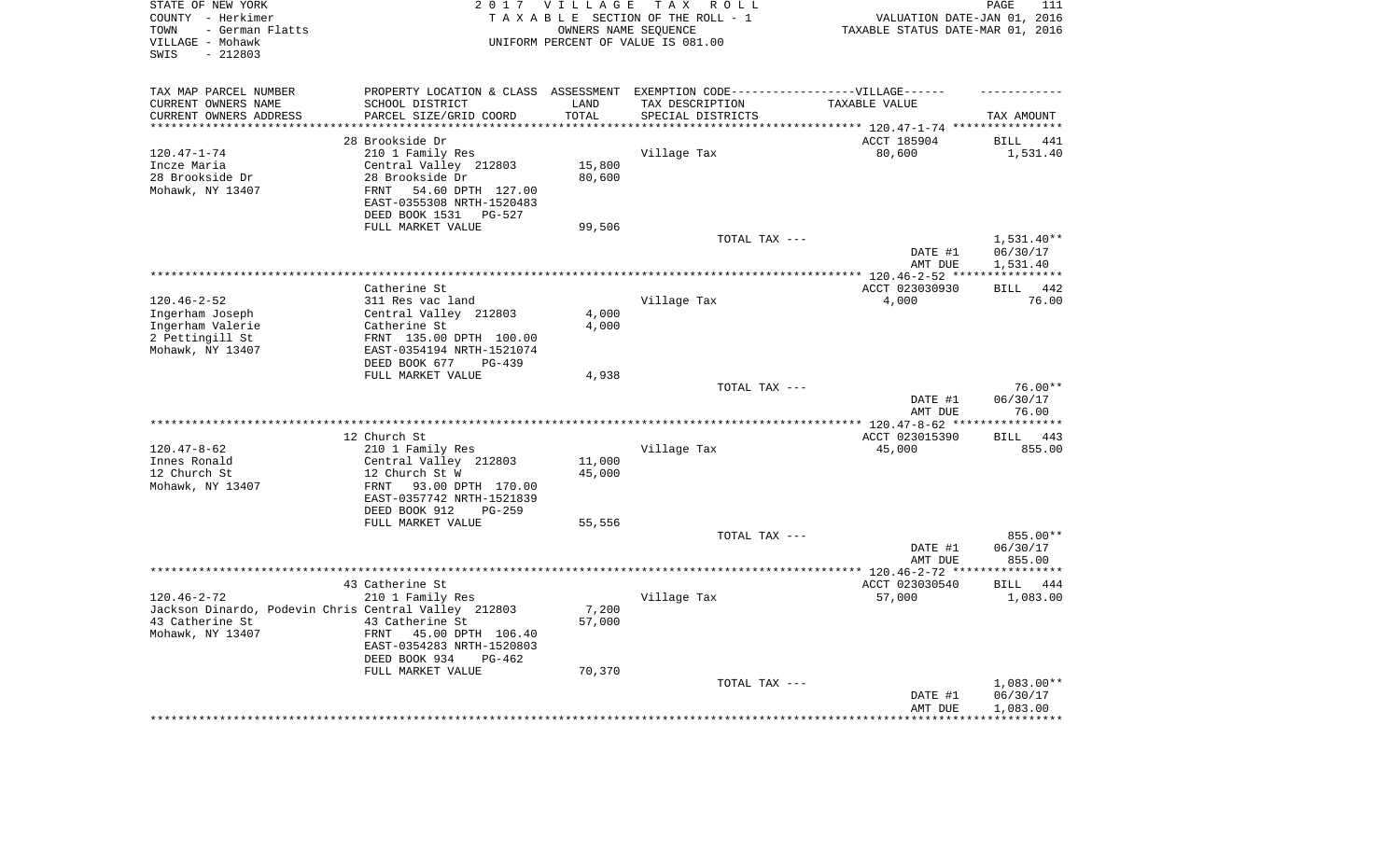| TAX MAP PARCEL NUMBER<br>PROPERTY LOCATION & CLASS ASSESSMENT EXEMPTION CODE-----------------VILLAGE------<br>CURRENT OWNERS NAME<br>SCHOOL DISTRICT<br>LAND<br>TAX DESCRIPTION<br>TAXABLE VALUE<br>PARCEL SIZE/GRID COORD<br>CURRENT OWNERS ADDRESS<br>TOTAL<br>SPECIAL DISTRICTS<br>TAX AMOUNT<br>********************<br>*********<br>***********************<br>28 Brookside Dr<br>ACCT 185904<br><b>BILL</b><br>441<br>$120.47 - 1 - 74$<br>210 1 Family Res<br>Village Tax<br>80,600<br>1,531.40<br>15,800<br>Incze Maria<br>Central Valley 212803<br>28 Brookside Dr<br>28 Brookside Dr<br>80,600<br>Mohawk, NY 13407<br>54.60 DPTH 127.00<br>FRNT<br>EAST-0355308 NRTH-1520483<br>DEED BOOK 1531<br><b>PG-527</b><br>FULL MARKET VALUE<br>99,506<br>TOTAL TAX ---<br>$1,531.40**$<br>DATE #1<br>06/30/17<br>1,531.40<br>AMT DUE<br>******* 120.46-2-52 ****<br>ACCT 023030930<br>442<br>Catherine St<br><b>BILL</b><br>$120.46 - 2 - 52$<br>311 Res vac land<br>Village Tax<br>4,000<br>76.00<br>4,000<br>Ingerham Joseph<br>Central Valley 212803<br>4,000<br>Ingerham Valerie<br>Catherine St<br>2 Pettingill St<br>FRNT 135.00 DPTH 100.00<br>Mohawk, NY 13407<br>EAST-0354194 NRTH-1521074<br>DEED BOOK 677<br>$PG-439$<br>4,938<br>FULL MARKET VALUE<br>TOTAL TAX ---<br>$76.00**$<br>DATE #1<br>06/30/17<br>76.00<br>AMT DUE<br>*********************<br>*********<br>*** $120.47 - 8 - 62$ **<br>12 Church St<br>ACCT 023015390<br>443<br><b>BILL</b><br>$120.47 - 8 - 62$<br>210 1 Family Res<br>Village Tax<br>45,000<br>855.00<br>Innes Ronald<br>Central Valley 212803<br>11,000<br>12 Church St<br>12 Church St W<br>45,000<br>Mohawk, NY 13407<br>FRNT<br>93.00 DPTH 170.00<br>EAST-0357742 NRTH-1521839<br>DEED BOOK 912<br>$PG-259$<br>FULL MARKET VALUE<br>55,556<br>855.00**<br>TOTAL TAX ---<br>DATE #1<br>06/30/17<br>AMT DUE<br>855.00<br>*************** 120.46-2-72 ****<br>***********<br>43 Catherine St<br>ACCT 023030540<br><b>BILL</b><br>444<br>$120.46 - 2 - 72$<br>210 1 Family Res<br>Village Tax<br>57,000<br>1,083.00<br>7,200<br>Jackson Dinardo, Podevin Chris Central Valley 212803<br>43 Catherine St<br>43 Catherine St<br>57,000<br>Mohawk, NY 13407<br>FRNT<br>45.00 DPTH 106.40<br>EAST-0354283 NRTH-1520803<br>DEED BOOK 934<br>$PG-462$<br>FULL MARKET VALUE<br>70,370<br>$1,083.00**$<br>TOTAL TAX ---<br>06/30/17<br>DATE #1<br>1,083.00<br>AMT DUE | STATE OF NEW YORK<br>COUNTY - Herkimer<br>- German Flatts<br>TOWN<br>VILLAGE - Mohawk<br>$-212803$<br>SWIS | 2 0 1 7 | VILLAGE<br>OWNERS NAME SEQUENCE | TAX ROLL<br>TAXABLE SECTION OF THE ROLL - 1<br>UNIFORM PERCENT OF VALUE IS 081.00 | VALUATION DATE-JAN 01, 2016<br>TAXABLE STATUS DATE-MAR 01, 2016 | 111<br>PAGE |
|----------------------------------------------------------------------------------------------------------------------------------------------------------------------------------------------------------------------------------------------------------------------------------------------------------------------------------------------------------------------------------------------------------------------------------------------------------------------------------------------------------------------------------------------------------------------------------------------------------------------------------------------------------------------------------------------------------------------------------------------------------------------------------------------------------------------------------------------------------------------------------------------------------------------------------------------------------------------------------------------------------------------------------------------------------------------------------------------------------------------------------------------------------------------------------------------------------------------------------------------------------------------------------------------------------------------------------------------------------------------------------------------------------------------------------------------------------------------------------------------------------------------------------------------------------------------------------------------------------------------------------------------------------------------------------------------------------------------------------------------------------------------------------------------------------------------------------------------------------------------------------------------------------------------------------------------------------------------------------------------------------------------------------------------------------------------------------------------------------------------------------------------------------------------------------------------------------------------------------------------------------------------------------------------------------------------------------------------------------------------------------------------------------|------------------------------------------------------------------------------------------------------------|---------|---------------------------------|-----------------------------------------------------------------------------------|-----------------------------------------------------------------|-------------|
|                                                                                                                                                                                                                                                                                                                                                                                                                                                                                                                                                                                                                                                                                                                                                                                                                                                                                                                                                                                                                                                                                                                                                                                                                                                                                                                                                                                                                                                                                                                                                                                                                                                                                                                                                                                                                                                                                                                                                                                                                                                                                                                                                                                                                                                                                                                                                                                                          |                                                                                                            |         |                                 |                                                                                   |                                                                 |             |
|                                                                                                                                                                                                                                                                                                                                                                                                                                                                                                                                                                                                                                                                                                                                                                                                                                                                                                                                                                                                                                                                                                                                                                                                                                                                                                                                                                                                                                                                                                                                                                                                                                                                                                                                                                                                                                                                                                                                                                                                                                                                                                                                                                                                                                                                                                                                                                                                          |                                                                                                            |         |                                 |                                                                                   |                                                                 |             |
|                                                                                                                                                                                                                                                                                                                                                                                                                                                                                                                                                                                                                                                                                                                                                                                                                                                                                                                                                                                                                                                                                                                                                                                                                                                                                                                                                                                                                                                                                                                                                                                                                                                                                                                                                                                                                                                                                                                                                                                                                                                                                                                                                                                                                                                                                                                                                                                                          |                                                                                                            |         |                                 |                                                                                   |                                                                 |             |
|                                                                                                                                                                                                                                                                                                                                                                                                                                                                                                                                                                                                                                                                                                                                                                                                                                                                                                                                                                                                                                                                                                                                                                                                                                                                                                                                                                                                                                                                                                                                                                                                                                                                                                                                                                                                                                                                                                                                                                                                                                                                                                                                                                                                                                                                                                                                                                                                          |                                                                                                            |         |                                 |                                                                                   |                                                                 |             |
|                                                                                                                                                                                                                                                                                                                                                                                                                                                                                                                                                                                                                                                                                                                                                                                                                                                                                                                                                                                                                                                                                                                                                                                                                                                                                                                                                                                                                                                                                                                                                                                                                                                                                                                                                                                                                                                                                                                                                                                                                                                                                                                                                                                                                                                                                                                                                                                                          |                                                                                                            |         |                                 |                                                                                   |                                                                 |             |
|                                                                                                                                                                                                                                                                                                                                                                                                                                                                                                                                                                                                                                                                                                                                                                                                                                                                                                                                                                                                                                                                                                                                                                                                                                                                                                                                                                                                                                                                                                                                                                                                                                                                                                                                                                                                                                                                                                                                                                                                                                                                                                                                                                                                                                                                                                                                                                                                          |                                                                                                            |         |                                 |                                                                                   |                                                                 |             |
|                                                                                                                                                                                                                                                                                                                                                                                                                                                                                                                                                                                                                                                                                                                                                                                                                                                                                                                                                                                                                                                                                                                                                                                                                                                                                                                                                                                                                                                                                                                                                                                                                                                                                                                                                                                                                                                                                                                                                                                                                                                                                                                                                                                                                                                                                                                                                                                                          |                                                                                                            |         |                                 |                                                                                   |                                                                 |             |
|                                                                                                                                                                                                                                                                                                                                                                                                                                                                                                                                                                                                                                                                                                                                                                                                                                                                                                                                                                                                                                                                                                                                                                                                                                                                                                                                                                                                                                                                                                                                                                                                                                                                                                                                                                                                                                                                                                                                                                                                                                                                                                                                                                                                                                                                                                                                                                                                          |                                                                                                            |         |                                 |                                                                                   |                                                                 |             |
|                                                                                                                                                                                                                                                                                                                                                                                                                                                                                                                                                                                                                                                                                                                                                                                                                                                                                                                                                                                                                                                                                                                                                                                                                                                                                                                                                                                                                                                                                                                                                                                                                                                                                                                                                                                                                                                                                                                                                                                                                                                                                                                                                                                                                                                                                                                                                                                                          |                                                                                                            |         |                                 |                                                                                   |                                                                 |             |
|                                                                                                                                                                                                                                                                                                                                                                                                                                                                                                                                                                                                                                                                                                                                                                                                                                                                                                                                                                                                                                                                                                                                                                                                                                                                                                                                                                                                                                                                                                                                                                                                                                                                                                                                                                                                                                                                                                                                                                                                                                                                                                                                                                                                                                                                                                                                                                                                          |                                                                                                            |         |                                 |                                                                                   |                                                                 |             |
|                                                                                                                                                                                                                                                                                                                                                                                                                                                                                                                                                                                                                                                                                                                                                                                                                                                                                                                                                                                                                                                                                                                                                                                                                                                                                                                                                                                                                                                                                                                                                                                                                                                                                                                                                                                                                                                                                                                                                                                                                                                                                                                                                                                                                                                                                                                                                                                                          |                                                                                                            |         |                                 |                                                                                   |                                                                 |             |
|                                                                                                                                                                                                                                                                                                                                                                                                                                                                                                                                                                                                                                                                                                                                                                                                                                                                                                                                                                                                                                                                                                                                                                                                                                                                                                                                                                                                                                                                                                                                                                                                                                                                                                                                                                                                                                                                                                                                                                                                                                                                                                                                                                                                                                                                                                                                                                                                          |                                                                                                            |         |                                 |                                                                                   |                                                                 |             |
|                                                                                                                                                                                                                                                                                                                                                                                                                                                                                                                                                                                                                                                                                                                                                                                                                                                                                                                                                                                                                                                                                                                                                                                                                                                                                                                                                                                                                                                                                                                                                                                                                                                                                                                                                                                                                                                                                                                                                                                                                                                                                                                                                                                                                                                                                                                                                                                                          |                                                                                                            |         |                                 |                                                                                   |                                                                 |             |
|                                                                                                                                                                                                                                                                                                                                                                                                                                                                                                                                                                                                                                                                                                                                                                                                                                                                                                                                                                                                                                                                                                                                                                                                                                                                                                                                                                                                                                                                                                                                                                                                                                                                                                                                                                                                                                                                                                                                                                                                                                                                                                                                                                                                                                                                                                                                                                                                          |                                                                                                            |         |                                 |                                                                                   |                                                                 |             |
|                                                                                                                                                                                                                                                                                                                                                                                                                                                                                                                                                                                                                                                                                                                                                                                                                                                                                                                                                                                                                                                                                                                                                                                                                                                                                                                                                                                                                                                                                                                                                                                                                                                                                                                                                                                                                                                                                                                                                                                                                                                                                                                                                                                                                                                                                                                                                                                                          |                                                                                                            |         |                                 |                                                                                   |                                                                 |             |
|                                                                                                                                                                                                                                                                                                                                                                                                                                                                                                                                                                                                                                                                                                                                                                                                                                                                                                                                                                                                                                                                                                                                                                                                                                                                                                                                                                                                                                                                                                                                                                                                                                                                                                                                                                                                                                                                                                                                                                                                                                                                                                                                                                                                                                                                                                                                                                                                          |                                                                                                            |         |                                 |                                                                                   |                                                                 |             |
|                                                                                                                                                                                                                                                                                                                                                                                                                                                                                                                                                                                                                                                                                                                                                                                                                                                                                                                                                                                                                                                                                                                                                                                                                                                                                                                                                                                                                                                                                                                                                                                                                                                                                                                                                                                                                                                                                                                                                                                                                                                                                                                                                                                                                                                                                                                                                                                                          |                                                                                                            |         |                                 |                                                                                   |                                                                 |             |
|                                                                                                                                                                                                                                                                                                                                                                                                                                                                                                                                                                                                                                                                                                                                                                                                                                                                                                                                                                                                                                                                                                                                                                                                                                                                                                                                                                                                                                                                                                                                                                                                                                                                                                                                                                                                                                                                                                                                                                                                                                                                                                                                                                                                                                                                                                                                                                                                          |                                                                                                            |         |                                 |                                                                                   |                                                                 |             |
|                                                                                                                                                                                                                                                                                                                                                                                                                                                                                                                                                                                                                                                                                                                                                                                                                                                                                                                                                                                                                                                                                                                                                                                                                                                                                                                                                                                                                                                                                                                                                                                                                                                                                                                                                                                                                                                                                                                                                                                                                                                                                                                                                                                                                                                                                                                                                                                                          |                                                                                                            |         |                                 |                                                                                   |                                                                 |             |
|                                                                                                                                                                                                                                                                                                                                                                                                                                                                                                                                                                                                                                                                                                                                                                                                                                                                                                                                                                                                                                                                                                                                                                                                                                                                                                                                                                                                                                                                                                                                                                                                                                                                                                                                                                                                                                                                                                                                                                                                                                                                                                                                                                                                                                                                                                                                                                                                          |                                                                                                            |         |                                 |                                                                                   |                                                                 |             |
|                                                                                                                                                                                                                                                                                                                                                                                                                                                                                                                                                                                                                                                                                                                                                                                                                                                                                                                                                                                                                                                                                                                                                                                                                                                                                                                                                                                                                                                                                                                                                                                                                                                                                                                                                                                                                                                                                                                                                                                                                                                                                                                                                                                                                                                                                                                                                                                                          |                                                                                                            |         |                                 |                                                                                   |                                                                 |             |
|                                                                                                                                                                                                                                                                                                                                                                                                                                                                                                                                                                                                                                                                                                                                                                                                                                                                                                                                                                                                                                                                                                                                                                                                                                                                                                                                                                                                                                                                                                                                                                                                                                                                                                                                                                                                                                                                                                                                                                                                                                                                                                                                                                                                                                                                                                                                                                                                          |                                                                                                            |         |                                 |                                                                                   |                                                                 |             |
|                                                                                                                                                                                                                                                                                                                                                                                                                                                                                                                                                                                                                                                                                                                                                                                                                                                                                                                                                                                                                                                                                                                                                                                                                                                                                                                                                                                                                                                                                                                                                                                                                                                                                                                                                                                                                                                                                                                                                                                                                                                                                                                                                                                                                                                                                                                                                                                                          |                                                                                                            |         |                                 |                                                                                   |                                                                 |             |
|                                                                                                                                                                                                                                                                                                                                                                                                                                                                                                                                                                                                                                                                                                                                                                                                                                                                                                                                                                                                                                                                                                                                                                                                                                                                                                                                                                                                                                                                                                                                                                                                                                                                                                                                                                                                                                                                                                                                                                                                                                                                                                                                                                                                                                                                                                                                                                                                          |                                                                                                            |         |                                 |                                                                                   |                                                                 |             |
|                                                                                                                                                                                                                                                                                                                                                                                                                                                                                                                                                                                                                                                                                                                                                                                                                                                                                                                                                                                                                                                                                                                                                                                                                                                                                                                                                                                                                                                                                                                                                                                                                                                                                                                                                                                                                                                                                                                                                                                                                                                                                                                                                                                                                                                                                                                                                                                                          |                                                                                                            |         |                                 |                                                                                   |                                                                 |             |
|                                                                                                                                                                                                                                                                                                                                                                                                                                                                                                                                                                                                                                                                                                                                                                                                                                                                                                                                                                                                                                                                                                                                                                                                                                                                                                                                                                                                                                                                                                                                                                                                                                                                                                                                                                                                                                                                                                                                                                                                                                                                                                                                                                                                                                                                                                                                                                                                          |                                                                                                            |         |                                 |                                                                                   |                                                                 |             |
|                                                                                                                                                                                                                                                                                                                                                                                                                                                                                                                                                                                                                                                                                                                                                                                                                                                                                                                                                                                                                                                                                                                                                                                                                                                                                                                                                                                                                                                                                                                                                                                                                                                                                                                                                                                                                                                                                                                                                                                                                                                                                                                                                                                                                                                                                                                                                                                                          |                                                                                                            |         |                                 |                                                                                   |                                                                 |             |
|                                                                                                                                                                                                                                                                                                                                                                                                                                                                                                                                                                                                                                                                                                                                                                                                                                                                                                                                                                                                                                                                                                                                                                                                                                                                                                                                                                                                                                                                                                                                                                                                                                                                                                                                                                                                                                                                                                                                                                                                                                                                                                                                                                                                                                                                                                                                                                                                          |                                                                                                            |         |                                 |                                                                                   |                                                                 |             |
|                                                                                                                                                                                                                                                                                                                                                                                                                                                                                                                                                                                                                                                                                                                                                                                                                                                                                                                                                                                                                                                                                                                                                                                                                                                                                                                                                                                                                                                                                                                                                                                                                                                                                                                                                                                                                                                                                                                                                                                                                                                                                                                                                                                                                                                                                                                                                                                                          |                                                                                                            |         |                                 |                                                                                   |                                                                 |             |
|                                                                                                                                                                                                                                                                                                                                                                                                                                                                                                                                                                                                                                                                                                                                                                                                                                                                                                                                                                                                                                                                                                                                                                                                                                                                                                                                                                                                                                                                                                                                                                                                                                                                                                                                                                                                                                                                                                                                                                                                                                                                                                                                                                                                                                                                                                                                                                                                          |                                                                                                            |         |                                 |                                                                                   |                                                                 |             |
|                                                                                                                                                                                                                                                                                                                                                                                                                                                                                                                                                                                                                                                                                                                                                                                                                                                                                                                                                                                                                                                                                                                                                                                                                                                                                                                                                                                                                                                                                                                                                                                                                                                                                                                                                                                                                                                                                                                                                                                                                                                                                                                                                                                                                                                                                                                                                                                                          |                                                                                                            |         |                                 |                                                                                   |                                                                 |             |
|                                                                                                                                                                                                                                                                                                                                                                                                                                                                                                                                                                                                                                                                                                                                                                                                                                                                                                                                                                                                                                                                                                                                                                                                                                                                                                                                                                                                                                                                                                                                                                                                                                                                                                                                                                                                                                                                                                                                                                                                                                                                                                                                                                                                                                                                                                                                                                                                          |                                                                                                            |         |                                 |                                                                                   |                                                                 |             |
|                                                                                                                                                                                                                                                                                                                                                                                                                                                                                                                                                                                                                                                                                                                                                                                                                                                                                                                                                                                                                                                                                                                                                                                                                                                                                                                                                                                                                                                                                                                                                                                                                                                                                                                                                                                                                                                                                                                                                                                                                                                                                                                                                                                                                                                                                                                                                                                                          |                                                                                                            |         |                                 |                                                                                   |                                                                 |             |
|                                                                                                                                                                                                                                                                                                                                                                                                                                                                                                                                                                                                                                                                                                                                                                                                                                                                                                                                                                                                                                                                                                                                                                                                                                                                                                                                                                                                                                                                                                                                                                                                                                                                                                                                                                                                                                                                                                                                                                                                                                                                                                                                                                                                                                                                                                                                                                                                          |                                                                                                            |         |                                 |                                                                                   |                                                                 |             |
|                                                                                                                                                                                                                                                                                                                                                                                                                                                                                                                                                                                                                                                                                                                                                                                                                                                                                                                                                                                                                                                                                                                                                                                                                                                                                                                                                                                                                                                                                                                                                                                                                                                                                                                                                                                                                                                                                                                                                                                                                                                                                                                                                                                                                                                                                                                                                                                                          |                                                                                                            |         |                                 |                                                                                   |                                                                 |             |
|                                                                                                                                                                                                                                                                                                                                                                                                                                                                                                                                                                                                                                                                                                                                                                                                                                                                                                                                                                                                                                                                                                                                                                                                                                                                                                                                                                                                                                                                                                                                                                                                                                                                                                                                                                                                                                                                                                                                                                                                                                                                                                                                                                                                                                                                                                                                                                                                          |                                                                                                            |         |                                 |                                                                                   |                                                                 |             |
|                                                                                                                                                                                                                                                                                                                                                                                                                                                                                                                                                                                                                                                                                                                                                                                                                                                                                                                                                                                                                                                                                                                                                                                                                                                                                                                                                                                                                                                                                                                                                                                                                                                                                                                                                                                                                                                                                                                                                                                                                                                                                                                                                                                                                                                                                                                                                                                                          |                                                                                                            |         |                                 |                                                                                   |                                                                 |             |
|                                                                                                                                                                                                                                                                                                                                                                                                                                                                                                                                                                                                                                                                                                                                                                                                                                                                                                                                                                                                                                                                                                                                                                                                                                                                                                                                                                                                                                                                                                                                                                                                                                                                                                                                                                                                                                                                                                                                                                                                                                                                                                                                                                                                                                                                                                                                                                                                          |                                                                                                            |         |                                 |                                                                                   |                                                                 |             |
|                                                                                                                                                                                                                                                                                                                                                                                                                                                                                                                                                                                                                                                                                                                                                                                                                                                                                                                                                                                                                                                                                                                                                                                                                                                                                                                                                                                                                                                                                                                                                                                                                                                                                                                                                                                                                                                                                                                                                                                                                                                                                                                                                                                                                                                                                                                                                                                                          |                                                                                                            |         |                                 |                                                                                   |                                                                 |             |
|                                                                                                                                                                                                                                                                                                                                                                                                                                                                                                                                                                                                                                                                                                                                                                                                                                                                                                                                                                                                                                                                                                                                                                                                                                                                                                                                                                                                                                                                                                                                                                                                                                                                                                                                                                                                                                                                                                                                                                                                                                                                                                                                                                                                                                                                                                                                                                                                          |                                                                                                            |         |                                 |                                                                                   |                                                                 |             |
|                                                                                                                                                                                                                                                                                                                                                                                                                                                                                                                                                                                                                                                                                                                                                                                                                                                                                                                                                                                                                                                                                                                                                                                                                                                                                                                                                                                                                                                                                                                                                                                                                                                                                                                                                                                                                                                                                                                                                                                                                                                                                                                                                                                                                                                                                                                                                                                                          |                                                                                                            |         |                                 |                                                                                   |                                                                 |             |
|                                                                                                                                                                                                                                                                                                                                                                                                                                                                                                                                                                                                                                                                                                                                                                                                                                                                                                                                                                                                                                                                                                                                                                                                                                                                                                                                                                                                                                                                                                                                                                                                                                                                                                                                                                                                                                                                                                                                                                                                                                                                                                                                                                                                                                                                                                                                                                                                          |                                                                                                            |         |                                 |                                                                                   |                                                                 |             |
|                                                                                                                                                                                                                                                                                                                                                                                                                                                                                                                                                                                                                                                                                                                                                                                                                                                                                                                                                                                                                                                                                                                                                                                                                                                                                                                                                                                                                                                                                                                                                                                                                                                                                                                                                                                                                                                                                                                                                                                                                                                                                                                                                                                                                                                                                                                                                                                                          |                                                                                                            |         |                                 |                                                                                   |                                                                 |             |
|                                                                                                                                                                                                                                                                                                                                                                                                                                                                                                                                                                                                                                                                                                                                                                                                                                                                                                                                                                                                                                                                                                                                                                                                                                                                                                                                                                                                                                                                                                                                                                                                                                                                                                                                                                                                                                                                                                                                                                                                                                                                                                                                                                                                                                                                                                                                                                                                          |                                                                                                            |         |                                 |                                                                                   |                                                                 |             |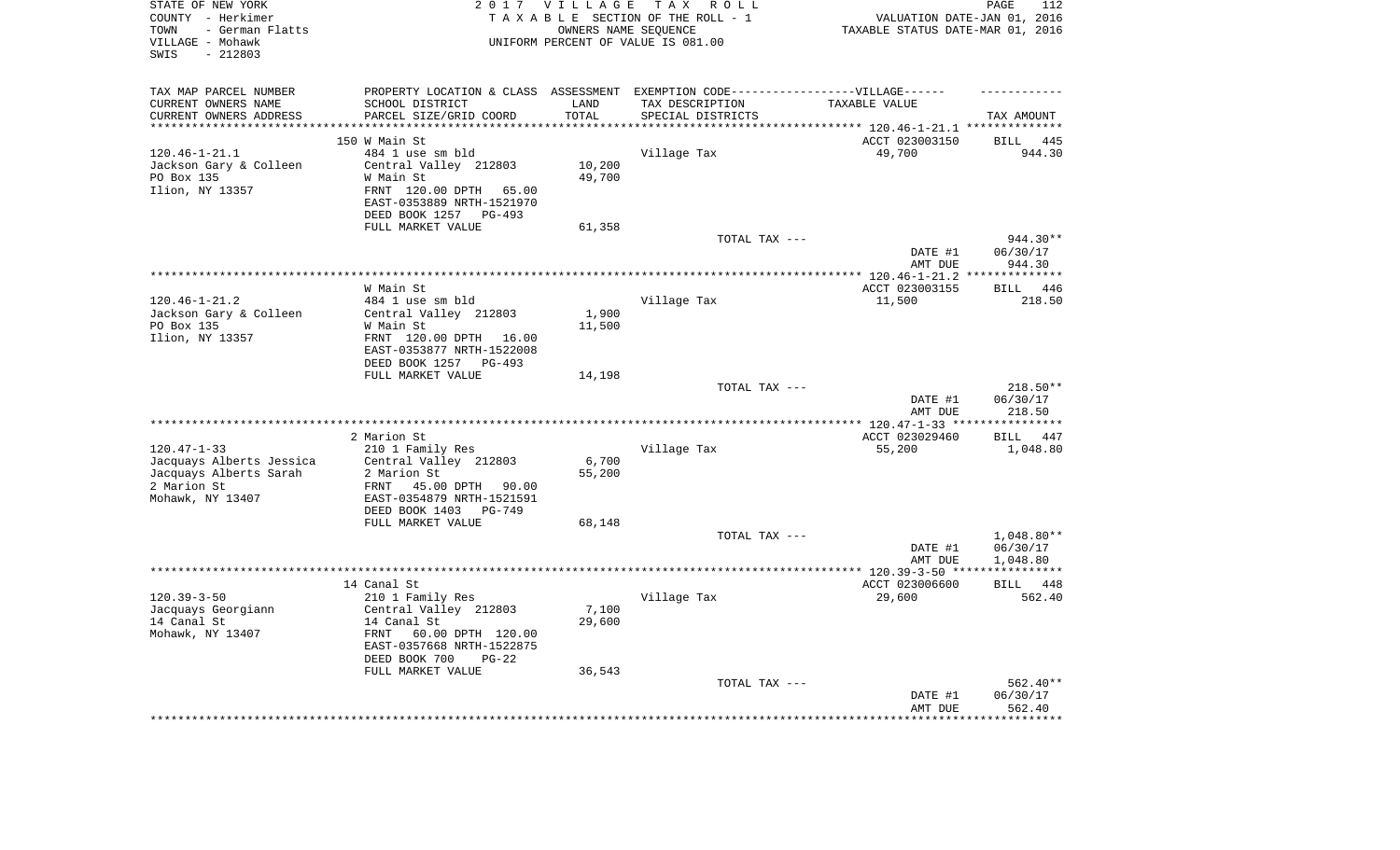| TAX MAP PARCEL NUMBER<br>PROPERTY LOCATION & CLASS ASSESSMENT EXEMPTION CODE-----------------VILLAGE------<br>SCHOOL DISTRICT<br>CURRENT OWNERS NAME<br>LAND<br>TAX DESCRIPTION<br>TAXABLE VALUE<br>PARCEL SIZE/GRID COORD<br>TOTAL<br>CURRENT OWNERS ADDRESS<br>SPECIAL DISTRICTS<br>TAX AMOUNT<br>*********************<br>********<br>150 W Main St<br>ACCT 023003150<br><b>BILL</b><br>445<br>$120.46 - 1 - 21.1$<br>484 1 use sm bld<br>Village Tax<br>49,700<br>944.30<br>Jackson Gary & Colleen<br>Central Valley 212803<br>10,200<br>PO Box 135<br>49,700<br>W Main St<br>Ilion, NY 13357<br>FRNT 120.00 DPTH<br>65.00<br>EAST-0353889 NRTH-1521970<br>DEED BOOK 1257<br>PG-493<br>FULL MARKET VALUE<br>61,358<br>TOTAL TAX ---<br>944.30**<br>DATE #1<br>06/30/17<br>944.30<br>AMT DUE<br>************ 120.46-1-21.2<br>***********<br>ACCT 023003155<br>446<br>W Main St<br><b>BILL</b><br>$120.46 - 1 - 21.2$<br>484 1 use sm bld<br>Village Tax<br>11,500<br>218.50<br>Jackson Gary & Colleen<br>Central Valley 212803<br>1,900<br>PO Box 135<br>11,500<br>W Main St<br>Ilion, NY 13357<br>FRNT 120.00 DPTH 16.00<br>EAST-0353877 NRTH-1522008<br>DEED BOOK 1257 PG-493<br>FULL MARKET VALUE<br>14,198<br>TOTAL TAX ---<br>218.50**<br>DATE #1<br>06/30/17<br>AMT DUE<br>218.50<br>*********************<br>*********<br>*** $120.47 - 1 - 33$ **<br>2 Marion St<br>ACCT 023029460<br>447<br><b>BILL</b><br>$120.47 - 1 - 33$<br>210 1 Family Res<br>Village Tax<br>55,200<br>1,048.80<br>Jacquays Alberts Jessica<br>Central Valley 212803<br>6,700<br>Jacquays Alberts Sarah<br>55,200<br>2 Marion St<br>2 Marion St<br>FRNT<br>45.00 DPTH<br>90.00<br>Mohawk, NY 13407<br>EAST-0354879 NRTH-1521591<br>DEED BOOK 1403 PG-749<br>FULL MARKET VALUE<br>68,148<br>TOTAL TAX ---<br>$1,048.80**$<br>DATE #1<br>06/30/17<br>AMT DUE<br>1,048.80<br>*************** 120.39-3-50 ****<br>***********<br>14 Canal St<br>ACCT 023006600<br><b>BILL</b><br>448<br>$120.39 - 3 - 50$<br>210 1 Family Res<br>Village Tax<br>29,600<br>562.40<br>7,100<br>Jacquays Georgiann<br>Central Valley 212803<br>14 Canal St<br>14 Canal St<br>29,600<br>Mohawk, NY 13407<br>FRNT<br>60.00 DPTH 120.00<br>EAST-0357668 NRTH-1522875<br>DEED BOOK 700<br>$PG-22$<br>FULL MARKET VALUE<br>36,543<br>TOTAL TAX ---<br>562.40**<br>06/30/17<br>DATE #1<br>562.40<br>AMT DUE<br>******** | STATE OF NEW YORK<br>COUNTY - Herkimer<br>- German Flatts<br>TOWN<br>VILLAGE - Mohawk<br>$-212803$<br>SWIS | 2017 VILLAGE | TAX ROLL<br>TAXABLE SECTION OF THE ROLL - 1<br>OWNERS NAME SEQUENCE<br>UNIFORM PERCENT OF VALUE IS 081.00 | VALUATION DATE-JAN 01, 2016<br>TAXABLE STATUS DATE-MAR 01, 2016 | PAGE<br>112 |
|-------------------------------------------------------------------------------------------------------------------------------------------------------------------------------------------------------------------------------------------------------------------------------------------------------------------------------------------------------------------------------------------------------------------------------------------------------------------------------------------------------------------------------------------------------------------------------------------------------------------------------------------------------------------------------------------------------------------------------------------------------------------------------------------------------------------------------------------------------------------------------------------------------------------------------------------------------------------------------------------------------------------------------------------------------------------------------------------------------------------------------------------------------------------------------------------------------------------------------------------------------------------------------------------------------------------------------------------------------------------------------------------------------------------------------------------------------------------------------------------------------------------------------------------------------------------------------------------------------------------------------------------------------------------------------------------------------------------------------------------------------------------------------------------------------------------------------------------------------------------------------------------------------------------------------------------------------------------------------------------------------------------------------------------------------------------------------------------------------------------------------------------------------------------------------------------------------------------------------------------------------------------------------------------------------------------------------------------------------------------------------|------------------------------------------------------------------------------------------------------------|--------------|-----------------------------------------------------------------------------------------------------------|-----------------------------------------------------------------|-------------|
|                                                                                                                                                                                                                                                                                                                                                                                                                                                                                                                                                                                                                                                                                                                                                                                                                                                                                                                                                                                                                                                                                                                                                                                                                                                                                                                                                                                                                                                                                                                                                                                                                                                                                                                                                                                                                                                                                                                                                                                                                                                                                                                                                                                                                                                                                                                                                                               |                                                                                                            |              |                                                                                                           |                                                                 |             |
|                                                                                                                                                                                                                                                                                                                                                                                                                                                                                                                                                                                                                                                                                                                                                                                                                                                                                                                                                                                                                                                                                                                                                                                                                                                                                                                                                                                                                                                                                                                                                                                                                                                                                                                                                                                                                                                                                                                                                                                                                                                                                                                                                                                                                                                                                                                                                                               |                                                                                                            |              |                                                                                                           |                                                                 |             |
|                                                                                                                                                                                                                                                                                                                                                                                                                                                                                                                                                                                                                                                                                                                                                                                                                                                                                                                                                                                                                                                                                                                                                                                                                                                                                                                                                                                                                                                                                                                                                                                                                                                                                                                                                                                                                                                                                                                                                                                                                                                                                                                                                                                                                                                                                                                                                                               |                                                                                                            |              |                                                                                                           |                                                                 |             |
|                                                                                                                                                                                                                                                                                                                                                                                                                                                                                                                                                                                                                                                                                                                                                                                                                                                                                                                                                                                                                                                                                                                                                                                                                                                                                                                                                                                                                                                                                                                                                                                                                                                                                                                                                                                                                                                                                                                                                                                                                                                                                                                                                                                                                                                                                                                                                                               |                                                                                                            |              |                                                                                                           |                                                                 |             |
|                                                                                                                                                                                                                                                                                                                                                                                                                                                                                                                                                                                                                                                                                                                                                                                                                                                                                                                                                                                                                                                                                                                                                                                                                                                                                                                                                                                                                                                                                                                                                                                                                                                                                                                                                                                                                                                                                                                                                                                                                                                                                                                                                                                                                                                                                                                                                                               |                                                                                                            |              |                                                                                                           |                                                                 |             |
|                                                                                                                                                                                                                                                                                                                                                                                                                                                                                                                                                                                                                                                                                                                                                                                                                                                                                                                                                                                                                                                                                                                                                                                                                                                                                                                                                                                                                                                                                                                                                                                                                                                                                                                                                                                                                                                                                                                                                                                                                                                                                                                                                                                                                                                                                                                                                                               |                                                                                                            |              |                                                                                                           |                                                                 |             |
|                                                                                                                                                                                                                                                                                                                                                                                                                                                                                                                                                                                                                                                                                                                                                                                                                                                                                                                                                                                                                                                                                                                                                                                                                                                                                                                                                                                                                                                                                                                                                                                                                                                                                                                                                                                                                                                                                                                                                                                                                                                                                                                                                                                                                                                                                                                                                                               |                                                                                                            |              |                                                                                                           |                                                                 |             |
|                                                                                                                                                                                                                                                                                                                                                                                                                                                                                                                                                                                                                                                                                                                                                                                                                                                                                                                                                                                                                                                                                                                                                                                                                                                                                                                                                                                                                                                                                                                                                                                                                                                                                                                                                                                                                                                                                                                                                                                                                                                                                                                                                                                                                                                                                                                                                                               |                                                                                                            |              |                                                                                                           |                                                                 |             |
|                                                                                                                                                                                                                                                                                                                                                                                                                                                                                                                                                                                                                                                                                                                                                                                                                                                                                                                                                                                                                                                                                                                                                                                                                                                                                                                                                                                                                                                                                                                                                                                                                                                                                                                                                                                                                                                                                                                                                                                                                                                                                                                                                                                                                                                                                                                                                                               |                                                                                                            |              |                                                                                                           |                                                                 |             |
|                                                                                                                                                                                                                                                                                                                                                                                                                                                                                                                                                                                                                                                                                                                                                                                                                                                                                                                                                                                                                                                                                                                                                                                                                                                                                                                                                                                                                                                                                                                                                                                                                                                                                                                                                                                                                                                                                                                                                                                                                                                                                                                                                                                                                                                                                                                                                                               |                                                                                                            |              |                                                                                                           |                                                                 |             |
|                                                                                                                                                                                                                                                                                                                                                                                                                                                                                                                                                                                                                                                                                                                                                                                                                                                                                                                                                                                                                                                                                                                                                                                                                                                                                                                                                                                                                                                                                                                                                                                                                                                                                                                                                                                                                                                                                                                                                                                                                                                                                                                                                                                                                                                                                                                                                                               |                                                                                                            |              |                                                                                                           |                                                                 |             |
|                                                                                                                                                                                                                                                                                                                                                                                                                                                                                                                                                                                                                                                                                                                                                                                                                                                                                                                                                                                                                                                                                                                                                                                                                                                                                                                                                                                                                                                                                                                                                                                                                                                                                                                                                                                                                                                                                                                                                                                                                                                                                                                                                                                                                                                                                                                                                                               |                                                                                                            |              |                                                                                                           |                                                                 |             |
|                                                                                                                                                                                                                                                                                                                                                                                                                                                                                                                                                                                                                                                                                                                                                                                                                                                                                                                                                                                                                                                                                                                                                                                                                                                                                                                                                                                                                                                                                                                                                                                                                                                                                                                                                                                                                                                                                                                                                                                                                                                                                                                                                                                                                                                                                                                                                                               |                                                                                                            |              |                                                                                                           |                                                                 |             |
|                                                                                                                                                                                                                                                                                                                                                                                                                                                                                                                                                                                                                                                                                                                                                                                                                                                                                                                                                                                                                                                                                                                                                                                                                                                                                                                                                                                                                                                                                                                                                                                                                                                                                                                                                                                                                                                                                                                                                                                                                                                                                                                                                                                                                                                                                                                                                                               |                                                                                                            |              |                                                                                                           |                                                                 |             |
|                                                                                                                                                                                                                                                                                                                                                                                                                                                                                                                                                                                                                                                                                                                                                                                                                                                                                                                                                                                                                                                                                                                                                                                                                                                                                                                                                                                                                                                                                                                                                                                                                                                                                                                                                                                                                                                                                                                                                                                                                                                                                                                                                                                                                                                                                                                                                                               |                                                                                                            |              |                                                                                                           |                                                                 |             |
|                                                                                                                                                                                                                                                                                                                                                                                                                                                                                                                                                                                                                                                                                                                                                                                                                                                                                                                                                                                                                                                                                                                                                                                                                                                                                                                                                                                                                                                                                                                                                                                                                                                                                                                                                                                                                                                                                                                                                                                                                                                                                                                                                                                                                                                                                                                                                                               |                                                                                                            |              |                                                                                                           |                                                                 |             |
|                                                                                                                                                                                                                                                                                                                                                                                                                                                                                                                                                                                                                                                                                                                                                                                                                                                                                                                                                                                                                                                                                                                                                                                                                                                                                                                                                                                                                                                                                                                                                                                                                                                                                                                                                                                                                                                                                                                                                                                                                                                                                                                                                                                                                                                                                                                                                                               |                                                                                                            |              |                                                                                                           |                                                                 |             |
|                                                                                                                                                                                                                                                                                                                                                                                                                                                                                                                                                                                                                                                                                                                                                                                                                                                                                                                                                                                                                                                                                                                                                                                                                                                                                                                                                                                                                                                                                                                                                                                                                                                                                                                                                                                                                                                                                                                                                                                                                                                                                                                                                                                                                                                                                                                                                                               |                                                                                                            |              |                                                                                                           |                                                                 |             |
|                                                                                                                                                                                                                                                                                                                                                                                                                                                                                                                                                                                                                                                                                                                                                                                                                                                                                                                                                                                                                                                                                                                                                                                                                                                                                                                                                                                                                                                                                                                                                                                                                                                                                                                                                                                                                                                                                                                                                                                                                                                                                                                                                                                                                                                                                                                                                                               |                                                                                                            |              |                                                                                                           |                                                                 |             |
|                                                                                                                                                                                                                                                                                                                                                                                                                                                                                                                                                                                                                                                                                                                                                                                                                                                                                                                                                                                                                                                                                                                                                                                                                                                                                                                                                                                                                                                                                                                                                                                                                                                                                                                                                                                                                                                                                                                                                                                                                                                                                                                                                                                                                                                                                                                                                                               |                                                                                                            |              |                                                                                                           |                                                                 |             |
|                                                                                                                                                                                                                                                                                                                                                                                                                                                                                                                                                                                                                                                                                                                                                                                                                                                                                                                                                                                                                                                                                                                                                                                                                                                                                                                                                                                                                                                                                                                                                                                                                                                                                                                                                                                                                                                                                                                                                                                                                                                                                                                                                                                                                                                                                                                                                                               |                                                                                                            |              |                                                                                                           |                                                                 |             |
|                                                                                                                                                                                                                                                                                                                                                                                                                                                                                                                                                                                                                                                                                                                                                                                                                                                                                                                                                                                                                                                                                                                                                                                                                                                                                                                                                                                                                                                                                                                                                                                                                                                                                                                                                                                                                                                                                                                                                                                                                                                                                                                                                                                                                                                                                                                                                                               |                                                                                                            |              |                                                                                                           |                                                                 |             |
|                                                                                                                                                                                                                                                                                                                                                                                                                                                                                                                                                                                                                                                                                                                                                                                                                                                                                                                                                                                                                                                                                                                                                                                                                                                                                                                                                                                                                                                                                                                                                                                                                                                                                                                                                                                                                                                                                                                                                                                                                                                                                                                                                                                                                                                                                                                                                                               |                                                                                                            |              |                                                                                                           |                                                                 |             |
|                                                                                                                                                                                                                                                                                                                                                                                                                                                                                                                                                                                                                                                                                                                                                                                                                                                                                                                                                                                                                                                                                                                                                                                                                                                                                                                                                                                                                                                                                                                                                                                                                                                                                                                                                                                                                                                                                                                                                                                                                                                                                                                                                                                                                                                                                                                                                                               |                                                                                                            |              |                                                                                                           |                                                                 |             |
|                                                                                                                                                                                                                                                                                                                                                                                                                                                                                                                                                                                                                                                                                                                                                                                                                                                                                                                                                                                                                                                                                                                                                                                                                                                                                                                                                                                                                                                                                                                                                                                                                                                                                                                                                                                                                                                                                                                                                                                                                                                                                                                                                                                                                                                                                                                                                                               |                                                                                                            |              |                                                                                                           |                                                                 |             |
|                                                                                                                                                                                                                                                                                                                                                                                                                                                                                                                                                                                                                                                                                                                                                                                                                                                                                                                                                                                                                                                                                                                                                                                                                                                                                                                                                                                                                                                                                                                                                                                                                                                                                                                                                                                                                                                                                                                                                                                                                                                                                                                                                                                                                                                                                                                                                                               |                                                                                                            |              |                                                                                                           |                                                                 |             |
|                                                                                                                                                                                                                                                                                                                                                                                                                                                                                                                                                                                                                                                                                                                                                                                                                                                                                                                                                                                                                                                                                                                                                                                                                                                                                                                                                                                                                                                                                                                                                                                                                                                                                                                                                                                                                                                                                                                                                                                                                                                                                                                                                                                                                                                                                                                                                                               |                                                                                                            |              |                                                                                                           |                                                                 |             |
|                                                                                                                                                                                                                                                                                                                                                                                                                                                                                                                                                                                                                                                                                                                                                                                                                                                                                                                                                                                                                                                                                                                                                                                                                                                                                                                                                                                                                                                                                                                                                                                                                                                                                                                                                                                                                                                                                                                                                                                                                                                                                                                                                                                                                                                                                                                                                                               |                                                                                                            |              |                                                                                                           |                                                                 |             |
|                                                                                                                                                                                                                                                                                                                                                                                                                                                                                                                                                                                                                                                                                                                                                                                                                                                                                                                                                                                                                                                                                                                                                                                                                                                                                                                                                                                                                                                                                                                                                                                                                                                                                                                                                                                                                                                                                                                                                                                                                                                                                                                                                                                                                                                                                                                                                                               |                                                                                                            |              |                                                                                                           |                                                                 |             |
|                                                                                                                                                                                                                                                                                                                                                                                                                                                                                                                                                                                                                                                                                                                                                                                                                                                                                                                                                                                                                                                                                                                                                                                                                                                                                                                                                                                                                                                                                                                                                                                                                                                                                                                                                                                                                                                                                                                                                                                                                                                                                                                                                                                                                                                                                                                                                                               |                                                                                                            |              |                                                                                                           |                                                                 |             |
|                                                                                                                                                                                                                                                                                                                                                                                                                                                                                                                                                                                                                                                                                                                                                                                                                                                                                                                                                                                                                                                                                                                                                                                                                                                                                                                                                                                                                                                                                                                                                                                                                                                                                                                                                                                                                                                                                                                                                                                                                                                                                                                                                                                                                                                                                                                                                                               |                                                                                                            |              |                                                                                                           |                                                                 |             |
|                                                                                                                                                                                                                                                                                                                                                                                                                                                                                                                                                                                                                                                                                                                                                                                                                                                                                                                                                                                                                                                                                                                                                                                                                                                                                                                                                                                                                                                                                                                                                                                                                                                                                                                                                                                                                                                                                                                                                                                                                                                                                                                                                                                                                                                                                                                                                                               |                                                                                                            |              |                                                                                                           |                                                                 |             |
|                                                                                                                                                                                                                                                                                                                                                                                                                                                                                                                                                                                                                                                                                                                                                                                                                                                                                                                                                                                                                                                                                                                                                                                                                                                                                                                                                                                                                                                                                                                                                                                                                                                                                                                                                                                                                                                                                                                                                                                                                                                                                                                                                                                                                                                                                                                                                                               |                                                                                                            |              |                                                                                                           |                                                                 |             |
|                                                                                                                                                                                                                                                                                                                                                                                                                                                                                                                                                                                                                                                                                                                                                                                                                                                                                                                                                                                                                                                                                                                                                                                                                                                                                                                                                                                                                                                                                                                                                                                                                                                                                                                                                                                                                                                                                                                                                                                                                                                                                                                                                                                                                                                                                                                                                                               |                                                                                                            |              |                                                                                                           |                                                                 |             |
|                                                                                                                                                                                                                                                                                                                                                                                                                                                                                                                                                                                                                                                                                                                                                                                                                                                                                                                                                                                                                                                                                                                                                                                                                                                                                                                                                                                                                                                                                                                                                                                                                                                                                                                                                                                                                                                                                                                                                                                                                                                                                                                                                                                                                                                                                                                                                                               |                                                                                                            |              |                                                                                                           |                                                                 |             |
|                                                                                                                                                                                                                                                                                                                                                                                                                                                                                                                                                                                                                                                                                                                                                                                                                                                                                                                                                                                                                                                                                                                                                                                                                                                                                                                                                                                                                                                                                                                                                                                                                                                                                                                                                                                                                                                                                                                                                                                                                                                                                                                                                                                                                                                                                                                                                                               |                                                                                                            |              |                                                                                                           |                                                                 |             |
|                                                                                                                                                                                                                                                                                                                                                                                                                                                                                                                                                                                                                                                                                                                                                                                                                                                                                                                                                                                                                                                                                                                                                                                                                                                                                                                                                                                                                                                                                                                                                                                                                                                                                                                                                                                                                                                                                                                                                                                                                                                                                                                                                                                                                                                                                                                                                                               |                                                                                                            |              |                                                                                                           |                                                                 |             |
|                                                                                                                                                                                                                                                                                                                                                                                                                                                                                                                                                                                                                                                                                                                                                                                                                                                                                                                                                                                                                                                                                                                                                                                                                                                                                                                                                                                                                                                                                                                                                                                                                                                                                                                                                                                                                                                                                                                                                                                                                                                                                                                                                                                                                                                                                                                                                                               |                                                                                                            |              |                                                                                                           |                                                                 |             |
|                                                                                                                                                                                                                                                                                                                                                                                                                                                                                                                                                                                                                                                                                                                                                                                                                                                                                                                                                                                                                                                                                                                                                                                                                                                                                                                                                                                                                                                                                                                                                                                                                                                                                                                                                                                                                                                                                                                                                                                                                                                                                                                                                                                                                                                                                                                                                                               |                                                                                                            |              |                                                                                                           |                                                                 |             |
|                                                                                                                                                                                                                                                                                                                                                                                                                                                                                                                                                                                                                                                                                                                                                                                                                                                                                                                                                                                                                                                                                                                                                                                                                                                                                                                                                                                                                                                                                                                                                                                                                                                                                                                                                                                                                                                                                                                                                                                                                                                                                                                                                                                                                                                                                                                                                                               |                                                                                                            |              |                                                                                                           |                                                                 |             |
|                                                                                                                                                                                                                                                                                                                                                                                                                                                                                                                                                                                                                                                                                                                                                                                                                                                                                                                                                                                                                                                                                                                                                                                                                                                                                                                                                                                                                                                                                                                                                                                                                                                                                                                                                                                                                                                                                                                                                                                                                                                                                                                                                                                                                                                                                                                                                                               |                                                                                                            |              |                                                                                                           |                                                                 |             |
|                                                                                                                                                                                                                                                                                                                                                                                                                                                                                                                                                                                                                                                                                                                                                                                                                                                                                                                                                                                                                                                                                                                                                                                                                                                                                                                                                                                                                                                                                                                                                                                                                                                                                                                                                                                                                                                                                                                                                                                                                                                                                                                                                                                                                                                                                                                                                                               |                                                                                                            |              |                                                                                                           |                                                                 |             |
|                                                                                                                                                                                                                                                                                                                                                                                                                                                                                                                                                                                                                                                                                                                                                                                                                                                                                                                                                                                                                                                                                                                                                                                                                                                                                                                                                                                                                                                                                                                                                                                                                                                                                                                                                                                                                                                                                                                                                                                                                                                                                                                                                                                                                                                                                                                                                                               |                                                                                                            |              |                                                                                                           |                                                                 |             |
|                                                                                                                                                                                                                                                                                                                                                                                                                                                                                                                                                                                                                                                                                                                                                                                                                                                                                                                                                                                                                                                                                                                                                                                                                                                                                                                                                                                                                                                                                                                                                                                                                                                                                                                                                                                                                                                                                                                                                                                                                                                                                                                                                                                                                                                                                                                                                                               |                                                                                                            |              |                                                                                                           |                                                                 |             |
|                                                                                                                                                                                                                                                                                                                                                                                                                                                                                                                                                                                                                                                                                                                                                                                                                                                                                                                                                                                                                                                                                                                                                                                                                                                                                                                                                                                                                                                                                                                                                                                                                                                                                                                                                                                                                                                                                                                                                                                                                                                                                                                                                                                                                                                                                                                                                                               |                                                                                                            |              |                                                                                                           |                                                                 |             |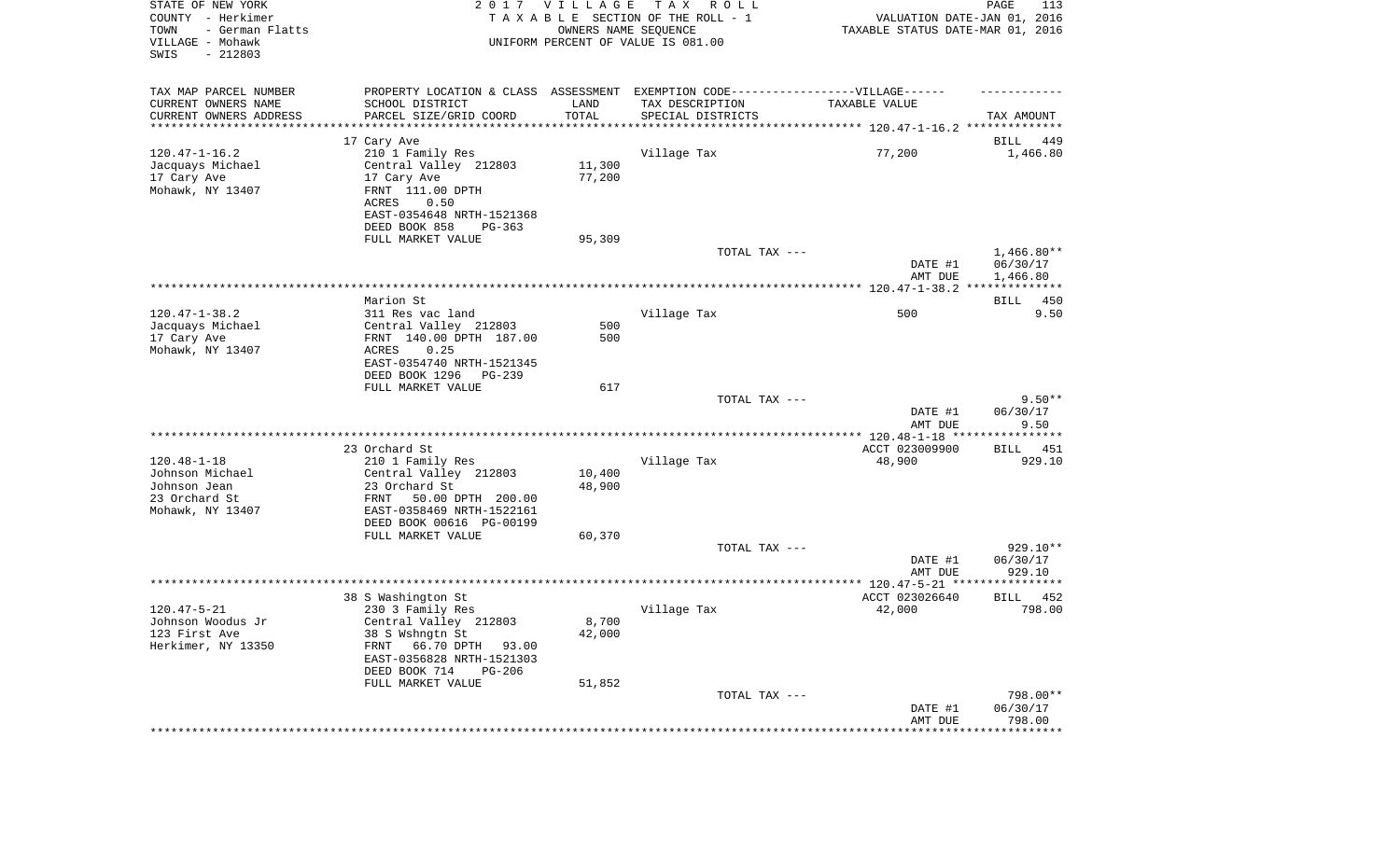| STATE OF NEW YORK<br>COUNTY - Herkimer<br>- German Flatts<br>TOWN<br>VILLAGE - Mohawk<br>SWIS<br>$-212803$ |                                                  | 2017 VILLAGE<br>OWNERS NAME SEQUENCE | T A X<br>R O L L<br>TAXABLE SECTION OF THE ROLL - 1<br>UNIFORM PERCENT OF VALUE IS 081.00 | VALUATION DATE-JAN 01, 2016<br>TAXABLE STATUS DATE-MAR 01, 2016 | PAGE<br>113          |
|------------------------------------------------------------------------------------------------------------|--------------------------------------------------|--------------------------------------|-------------------------------------------------------------------------------------------|-----------------------------------------------------------------|----------------------|
| TAX MAP PARCEL NUMBER                                                                                      |                                                  |                                      | PROPERTY LOCATION & CLASS ASSESSMENT EXEMPTION CODE----------------VILLAGE------          |                                                                 |                      |
| CURRENT OWNERS NAME                                                                                        | SCHOOL DISTRICT                                  | LAND                                 | TAX DESCRIPTION                                                                           | TAXABLE VALUE                                                   |                      |
| CURRENT OWNERS ADDRESS<br>*********************                                                            | PARCEL SIZE/GRID COORD                           | TOTAL                                | SPECIAL DISTRICTS                                                                         |                                                                 | TAX AMOUNT           |
|                                                                                                            | 17 Cary Ave                                      |                                      |                                                                                           |                                                                 | 449<br>BILL          |
| $120.47 - 1 - 16.2$                                                                                        | 210 1 Family Res                                 |                                      | Village Tax                                                                               | 77,200                                                          | 1,466.80             |
| Jacquays Michael                                                                                           | Central Valley 212803                            | 11,300                               |                                                                                           |                                                                 |                      |
| 17 Cary Ave                                                                                                | 17 Cary Ave                                      | 77,200                               |                                                                                           |                                                                 |                      |
| Mohawk, NY 13407                                                                                           | FRNT 111.00 DPTH<br>ACRES<br>0.50                |                                      |                                                                                           |                                                                 |                      |
|                                                                                                            | EAST-0354648 NRTH-1521368                        |                                      |                                                                                           |                                                                 |                      |
|                                                                                                            | DEED BOOK 858<br>$PG-363$                        |                                      |                                                                                           |                                                                 |                      |
|                                                                                                            | FULL MARKET VALUE                                | 95,309                               |                                                                                           |                                                                 |                      |
|                                                                                                            |                                                  |                                      | TOTAL TAX ---                                                                             |                                                                 | $1,466.80**$         |
|                                                                                                            |                                                  |                                      |                                                                                           | DATE #1<br>AMT DUE                                              | 06/30/17<br>1,466.80 |
|                                                                                                            |                                                  |                                      |                                                                                           |                                                                 |                      |
|                                                                                                            | Marion St                                        |                                      |                                                                                           |                                                                 | BILL<br>450          |
| $120.47 - 1 - 38.2$                                                                                        | 311 Res vac land                                 |                                      | Village Tax                                                                               | 500                                                             | 9.50                 |
| Jacquays Michael<br>17 Cary Ave                                                                            | Central Valley 212803<br>FRNT 140.00 DPTH 187.00 | 500<br>500                           |                                                                                           |                                                                 |                      |
| Mohawk, NY 13407                                                                                           | ACRES<br>0.25                                    |                                      |                                                                                           |                                                                 |                      |
|                                                                                                            | EAST-0354740 NRTH-1521345                        |                                      |                                                                                           |                                                                 |                      |
|                                                                                                            | DEED BOOK 1296<br>PG-239                         |                                      |                                                                                           |                                                                 |                      |
|                                                                                                            | FULL MARKET VALUE                                | 617                                  | TOTAL TAX ---                                                                             |                                                                 | $9.50**$             |
|                                                                                                            |                                                  |                                      |                                                                                           | DATE #1<br>AMT DUE                                              | 06/30/17<br>9.50     |
|                                                                                                            |                                                  |                                      |                                                                                           | **************** 120.48-1-18 *****************                  |                      |
|                                                                                                            | 23 Orchard St                                    |                                      |                                                                                           | ACCT 023009900                                                  | BILL<br>451          |
| $120.48 - 1 - 18$                                                                                          | 210 1 Family Res                                 |                                      | Village Tax                                                                               | 48,900                                                          | 929.10               |
| Johnson Michael<br>Johnson Jean                                                                            | Central Valley 212803<br>23 Orchard St           | 10,400<br>48,900                     |                                                                                           |                                                                 |                      |
| 23 Orchard St                                                                                              | 50.00 DPTH 200.00<br>FRNT                        |                                      |                                                                                           |                                                                 |                      |
| Mohawk, NY 13407                                                                                           | EAST-0358469 NRTH-1522161                        |                                      |                                                                                           |                                                                 |                      |
|                                                                                                            | DEED BOOK 00616 PG-00199                         |                                      |                                                                                           |                                                                 |                      |
|                                                                                                            | FULL MARKET VALUE                                | 60,370                               | TOTAL TAX ---                                                                             |                                                                 | 929.10**             |
|                                                                                                            |                                                  |                                      |                                                                                           | DATE #1                                                         | 06/30/17             |
|                                                                                                            |                                                  |                                      |                                                                                           | AMT DUE                                                         | 929.10               |
|                                                                                                            |                                                  |                                      |                                                                                           |                                                                 |                      |
|                                                                                                            | 38 S Washington St                               |                                      |                                                                                           | ACCT 023026640                                                  | 452<br>BILL          |
| $120.47 - 5 - 21$<br>Johnson Woodus Jr                                                                     | 230 3 Family Res<br>Central Valley 212803        | 8,700                                | Village Tax                                                                               | 42,000                                                          | 798.00               |
| 123 First Ave                                                                                              | 38 S Wshngtn St                                  | 42,000                               |                                                                                           |                                                                 |                      |
| Herkimer, NY 13350                                                                                         | FRNT<br>66.70 DPTH 93.00                         |                                      |                                                                                           |                                                                 |                      |
|                                                                                                            | EAST-0356828 NRTH-1521303                        |                                      |                                                                                           |                                                                 |                      |
|                                                                                                            | DEED BOOK 714<br>PG-206                          |                                      |                                                                                           |                                                                 |                      |
|                                                                                                            | FULL MARKET VALUE                                | 51,852                               | TOTAL TAX ---                                                                             |                                                                 | 798.00**             |
|                                                                                                            |                                                  |                                      |                                                                                           | DATE #1                                                         | 06/30/17             |
|                                                                                                            |                                                  |                                      |                                                                                           | AMT DUE                                                         | 798.00               |
|                                                                                                            |                                                  |                                      |                                                                                           | ***********************************                             |                      |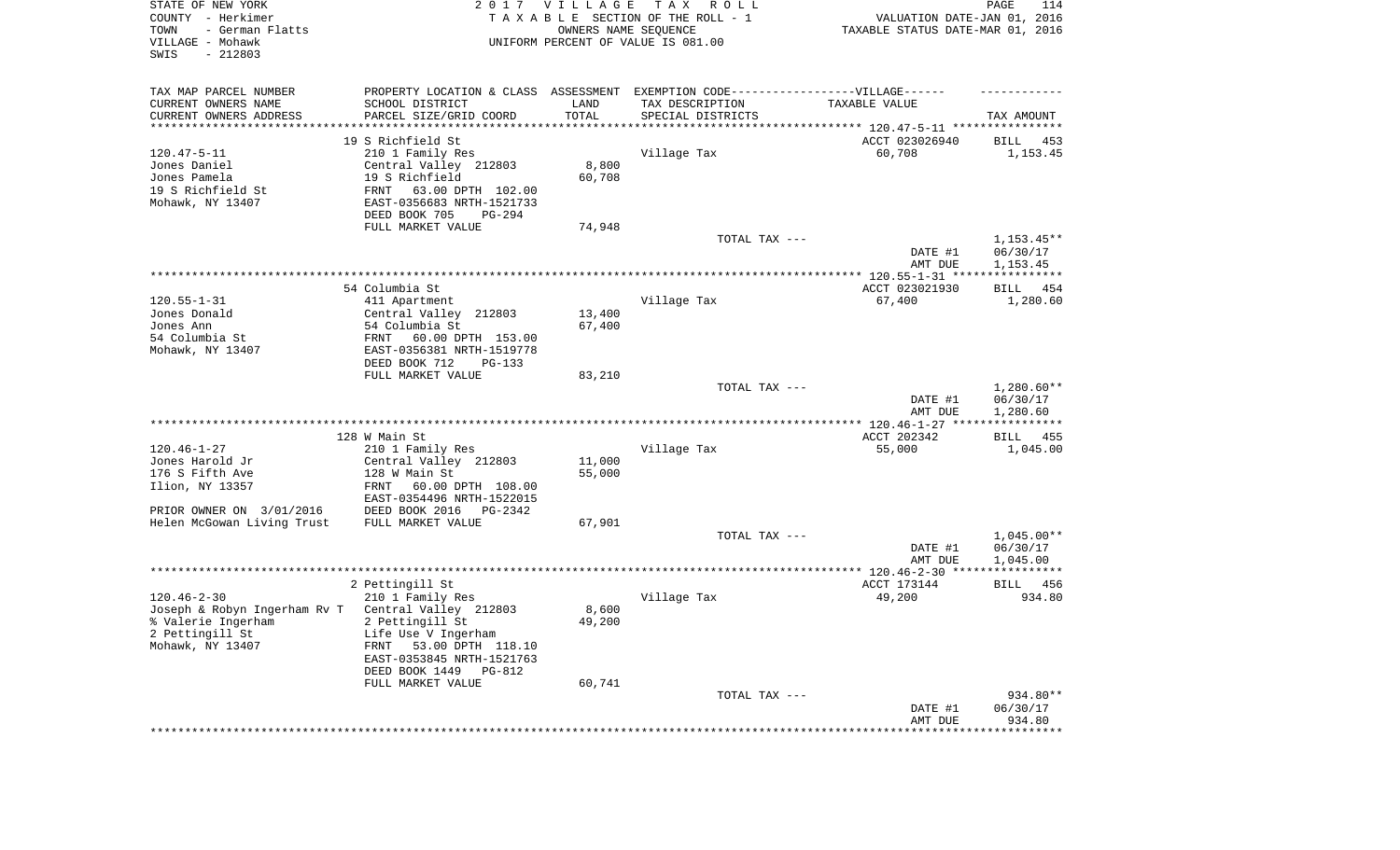| STATE OF NEW YORK<br>COUNTY - Herkimer<br>TOWN<br>- German Flatts<br>VILLAGE - Mohawk<br>SWIS<br>$-212803$ |                                                        | 2017 VILLAGE<br>OWNERS NAME SEQUENCE | T A X<br>R O L L<br>TAXABLE SECTION OF THE ROLL - 1<br>UNIFORM PERCENT OF VALUE IS 081.00 | VALUATION DATE-JAN 01, 2016<br>TAXABLE STATUS DATE-MAR 01, 2016 | PAGE<br>114              |
|------------------------------------------------------------------------------------------------------------|--------------------------------------------------------|--------------------------------------|-------------------------------------------------------------------------------------------|-----------------------------------------------------------------|--------------------------|
| TAX MAP PARCEL NUMBER                                                                                      |                                                        |                                      | PROPERTY LOCATION & CLASS ASSESSMENT EXEMPTION CODE-----------------VILLAGE------         |                                                                 |                          |
| CURRENT OWNERS NAME<br>CURRENT OWNERS ADDRESS                                                              | SCHOOL DISTRICT<br>PARCEL SIZE/GRID COORD              | LAND<br>TOTAL                        | TAX DESCRIPTION<br>SPECIAL DISTRICTS                                                      | TAXABLE VALUE                                                   | TAX AMOUNT               |
| *********************                                                                                      |                                                        |                                      |                                                                                           |                                                                 |                          |
|                                                                                                            | 19 S Richfield St                                      |                                      |                                                                                           | ACCT 023026940                                                  | BILL 453                 |
| $120.47 - 5 - 11$                                                                                          | 210 1 Family Res                                       |                                      | Village Tax                                                                               | 60,708                                                          | 1,153.45                 |
| Jones Daniel                                                                                               | Central Valley 212803                                  | 8,800                                |                                                                                           |                                                                 |                          |
| Jones Pamela                                                                                               | 19 S Richfield                                         | 60,708                               |                                                                                           |                                                                 |                          |
| 19 S Richfield St<br>Mohawk, NY 13407                                                                      | FRNT<br>63.00 DPTH 102.00<br>EAST-0356683 NRTH-1521733 |                                      |                                                                                           |                                                                 |                          |
|                                                                                                            | DEED BOOK 705<br>PG-294                                |                                      |                                                                                           |                                                                 |                          |
|                                                                                                            | FULL MARKET VALUE                                      | 74,948                               | TOTAL TAX ---                                                                             |                                                                 | $1,153.45**$             |
|                                                                                                            |                                                        |                                      |                                                                                           | DATE #1<br>AMT DUE                                              | 06/30/17<br>1,153.45     |
|                                                                                                            |                                                        |                                      |                                                                                           |                                                                 |                          |
|                                                                                                            | 54 Columbia St                                         |                                      |                                                                                           | ACCT 023021930                                                  | BILL<br>454              |
| $120.55 - 1 - 31$                                                                                          | 411 Apartment                                          |                                      | Village Tax                                                                               | 67,400                                                          | 1,280.60                 |
| Jones Donald<br>Jones Ann                                                                                  | Central Valley 212803                                  | 13,400                               |                                                                                           |                                                                 |                          |
| 54 Columbia St                                                                                             | 54 Columbia St<br>60.00 DPTH 153.00<br>FRNT            | 67,400                               |                                                                                           |                                                                 |                          |
| Mohawk, NY 13407                                                                                           | EAST-0356381 NRTH-1519778                              |                                      |                                                                                           |                                                                 |                          |
|                                                                                                            | DEED BOOK 712<br>$PG-133$                              |                                      |                                                                                           |                                                                 |                          |
|                                                                                                            | FULL MARKET VALUE                                      | 83,210                               |                                                                                           |                                                                 |                          |
|                                                                                                            |                                                        |                                      | TOTAL TAX ---                                                                             | DATE #1                                                         | $1,280.60**$<br>06/30/17 |
|                                                                                                            |                                                        |                                      |                                                                                           | AMT DUE                                                         | 1,280.60                 |
|                                                                                                            | 128 W Main St                                          |                                      |                                                                                           | ACCT 202342                                                     | BILL 455                 |
| $120.46 - 1 - 27$                                                                                          | 210 1 Family Res                                       |                                      | Village Tax                                                                               | 55,000                                                          | 1,045.00                 |
| Jones Harold Jr                                                                                            | Central Valley 212803                                  | 11,000                               |                                                                                           |                                                                 |                          |
| 176 S Fifth Ave                                                                                            | 128 W Main St                                          | 55,000                               |                                                                                           |                                                                 |                          |
| Ilion, NY 13357                                                                                            | 60.00 DPTH 108.00<br>FRNT<br>EAST-0354496 NRTH-1522015 |                                      |                                                                                           |                                                                 |                          |
| PRIOR OWNER ON 3/01/2016                                                                                   | DEED BOOK 2016<br>PG-2342                              |                                      |                                                                                           |                                                                 |                          |
| Helen McGowan Living Trust                                                                                 | FULL MARKET VALUE                                      | 67,901                               |                                                                                           |                                                                 |                          |
|                                                                                                            |                                                        |                                      | TOTAL TAX ---                                                                             |                                                                 | $1,045.00**$             |
|                                                                                                            |                                                        |                                      |                                                                                           | DATE #1<br>AMT DUE                                              | 06/30/17<br>1,045.00     |
|                                                                                                            |                                                        |                                      |                                                                                           |                                                                 |                          |
|                                                                                                            | 2 Pettingill St                                        |                                      |                                                                                           | ACCT 173144                                                     | BILL 456                 |
| $120.46 - 2 - 30$                                                                                          | 210 1 Family Res                                       |                                      | Village Tax                                                                               | 49,200                                                          | 934.80                   |
| Joseph & Robyn Ingerham Rv T                                                                               | Central Valley 212803                                  | 8,600                                |                                                                                           |                                                                 |                          |
| % Valerie Ingerham<br>2 Pettingill St                                                                      | 2 Pettingill St<br>Life Use V Ingerham                 | 49,200                               |                                                                                           |                                                                 |                          |
| Mohawk, NY 13407                                                                                           | 53.00 DPTH 118.10<br>FRNT                              |                                      |                                                                                           |                                                                 |                          |
|                                                                                                            | EAST-0353845 NRTH-1521763                              |                                      |                                                                                           |                                                                 |                          |
|                                                                                                            | DEED BOOK 1449 PG-812                                  |                                      |                                                                                           |                                                                 |                          |
|                                                                                                            | FULL MARKET VALUE                                      | 60,741                               |                                                                                           |                                                                 |                          |
|                                                                                                            |                                                        |                                      | TOTAL TAX ---                                                                             | DATE #1                                                         | 934.80**<br>06/30/17     |
|                                                                                                            |                                                        |                                      |                                                                                           | AMT DUE                                                         | 934.80                   |
|                                                                                                            |                                                        |                                      |                                                                                           | ***********************************                             |                          |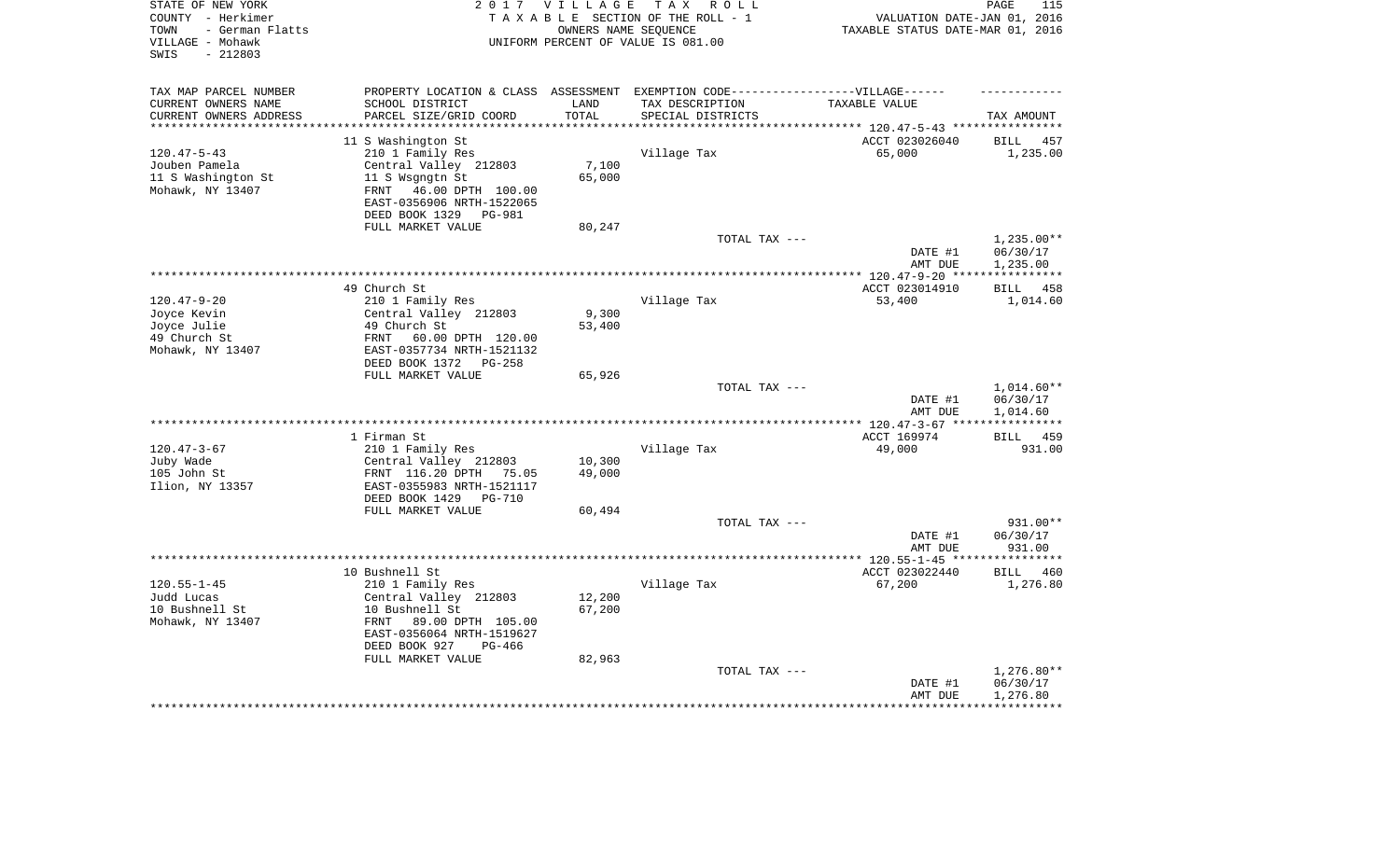| STATE OF NEW YORK<br>COUNTY - Herkimer<br>- German Flatts<br>TOWN<br>VILLAGE - Mohawk<br>$-212803$<br>SWIS |                                                                                                                                                                    | 2017 VILLAGE<br>OWNERS NAME SEOUENCE | TAX ROLL<br>TAXABLE SECTION OF THE ROLL - 1<br>UNIFORM PERCENT OF VALUE IS 081.00 | VALUATION DATE-JAN 01, 2016<br>TAXABLE STATUS DATE-MAR 01, 2016 | PAGE<br>115                                       |
|------------------------------------------------------------------------------------------------------------|--------------------------------------------------------------------------------------------------------------------------------------------------------------------|--------------------------------------|-----------------------------------------------------------------------------------|-----------------------------------------------------------------|---------------------------------------------------|
| TAX MAP PARCEL NUMBER<br>CURRENT OWNERS NAME                                                               | PROPERTY LOCATION & CLASS ASSESSMENT EXEMPTION CODE-----------------VILLAGE------<br>SCHOOL DISTRICT                                                               | LAND                                 | TAX DESCRIPTION                                                                   | TAXABLE VALUE                                                   |                                                   |
| CURRENT OWNERS ADDRESS                                                                                     | PARCEL SIZE/GRID COORD                                                                                                                                             | TOTAL<br>********                    | SPECIAL DISTRICTS                                                                 | *********** 120.47-5-43 ***********                             | TAX AMOUNT                                        |
|                                                                                                            | 11 S Washington St                                                                                                                                                 |                                      |                                                                                   | ACCT 023026040                                                  | <b>BILL</b><br>457                                |
| $120.47 - 5 - 43$<br>Jouben Pamela<br>11 S Washington St<br>Mohawk, NY 13407                               | 210 1 Family Res<br>Central Valley 212803<br>11 S Wsgngtn St<br>FRNT 46.00 DPTH 100.00<br>EAST-0356906 NRTH-1522065<br>DEED BOOK 1329 PG-981                       | 7,100<br>65,000                      | Village Tax                                                                       | 65,000                                                          | 1,235.00                                          |
|                                                                                                            | FULL MARKET VALUE                                                                                                                                                  | 80,247                               | TOTAL TAX ---                                                                     |                                                                 | $1,235.00**$                                      |
|                                                                                                            |                                                                                                                                                                    |                                      |                                                                                   | DATE #1<br>AMT DUE                                              | 06/30/17<br>1,235.00                              |
|                                                                                                            | 49 Church St                                                                                                                                                       |                                      | ***********************************                                               | **************** 120.47-9-20 ***<br>ACCT 023014910              | ***********<br><b>BILL</b><br>458                 |
| $120.47 - 9 - 20$<br>Joyce Kevin<br>Joyce Julie<br>49 Church St<br>Mohawk, NY 13407                        | 210 1 Family Res<br>Central Valley 212803<br>49 Church St<br>FRNT<br>60.00 DPTH 120.00<br>EAST-0357734 NRTH-1521132<br>DEED BOOK 1372 PG-258                       | 9,300<br>53,400                      | Village Tax                                                                       | 53,400                                                          | 1,014.60                                          |
|                                                                                                            | FULL MARKET VALUE                                                                                                                                                  | 65,926                               |                                                                                   |                                                                 |                                                   |
|                                                                                                            |                                                                                                                                                                    |                                      | TOTAL TAX ---                                                                     | DATE #1<br>AMT DUE                                              | 1,014.60**<br>06/30/17<br>1,014.60<br>*********** |
|                                                                                                            | 1 Firman St                                                                                                                                                        |                                      |                                                                                   | ACCT 169974                                                     | <b>BILL</b><br>459                                |
| $120.47 - 3 - 67$<br>Juby Wade<br>105 John St<br>Ilion, NY 13357                                           | 210 1 Family Res<br>Central Valley 212803<br>FRNT 116.20 DPTH 75.05<br>EAST-0355983 NRTH-1521117                                                                   | 10,300<br>49,000                     | Village Tax                                                                       | 49,000                                                          | 931.00                                            |
|                                                                                                            | DEED BOOK 1429<br><b>PG-710</b><br>FULL MARKET VALUE                                                                                                               | 60,494                               |                                                                                   |                                                                 |                                                   |
|                                                                                                            |                                                                                                                                                                    |                                      | TOTAL TAX ---                                                                     | DATE #1<br>AMT DUE                                              | 931.00**<br>06/30/17<br>931.00                    |
|                                                                                                            |                                                                                                                                                                    |                                      |                                                                                   |                                                                 | ***********                                       |
| $120.55 - 1 - 45$<br>Judd Lucas<br>10 Bushnell St<br>Mohawk, NY 13407                                      | 10 Bushnell St<br>210 1 Family Res<br>Central Valley 212803<br>10 Bushnell St<br>89.00 DPTH 105.00<br>FRNT<br>EAST-0356064 NRTH-1519627<br>DEED BOOK 927<br>PG-466 | 12,200<br>67,200                     | Village Tax                                                                       | ACCT 023022440<br>67,200                                        | <b>BILL</b><br>460<br>1,276.80                    |
|                                                                                                            | FULL MARKET VALUE                                                                                                                                                  | 82,963                               | TOTAL TAX ---                                                                     | DATE #1<br>AMT DUE                                              | $1,276.80**$<br>06/30/17<br>1,276.80              |
|                                                                                                            |                                                                                                                                                                    |                                      |                                                                                   |                                                                 |                                                   |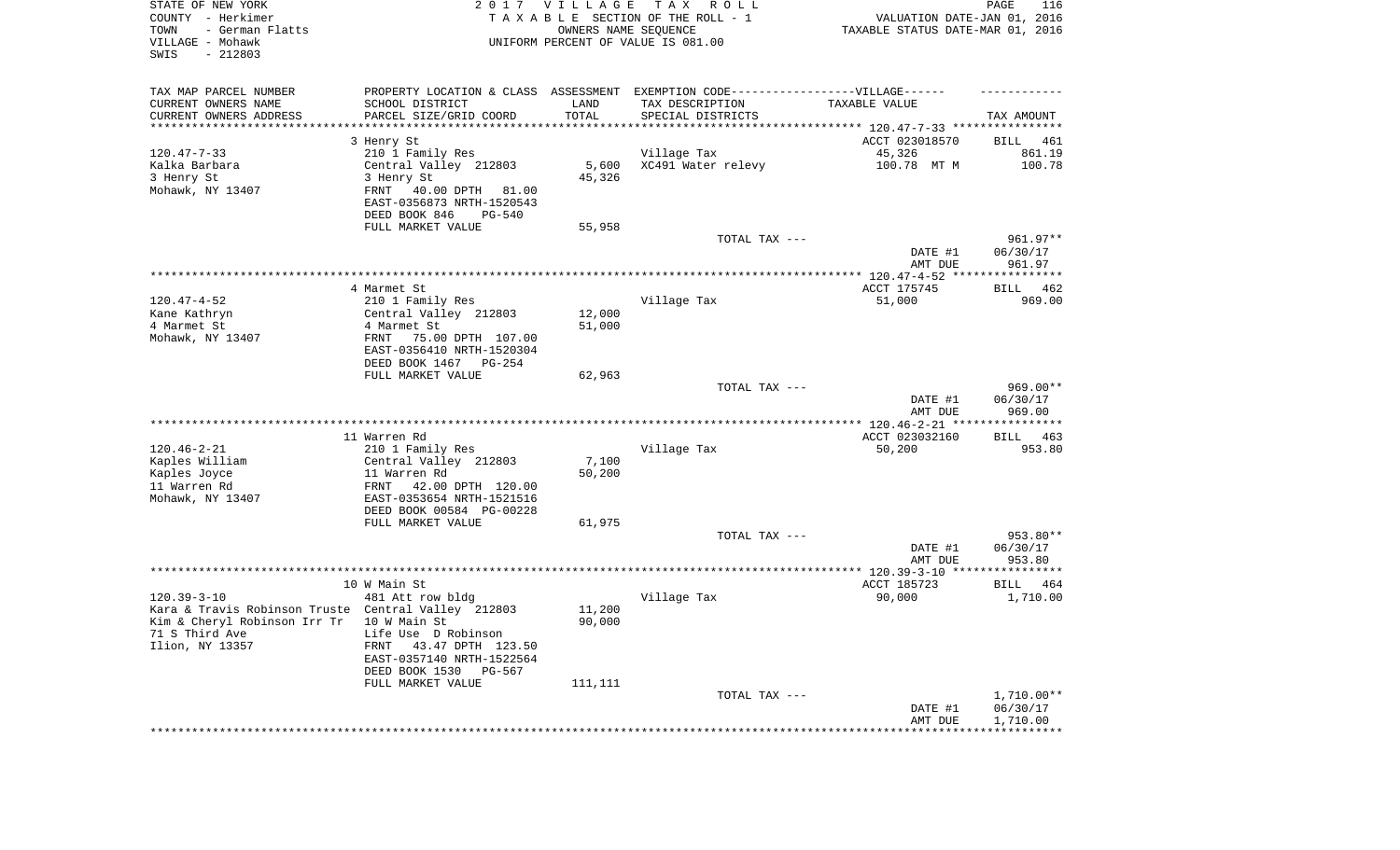| STATE OF NEW YORK<br>COUNTY - Herkimer<br>TOWN<br>- German Flatts<br>VILLAGE - Mohawk<br>SWIS<br>$-212803$ |                                                       | 2017 VILLAGE<br>OWNERS NAME SEQUENCE | T A X<br>R O L L<br>TAXABLE SECTION OF THE ROLL - 1<br>UNIFORM PERCENT OF VALUE IS 081.00 | VALUATION DATE-JAN 01, 2016<br>TAXABLE STATUS DATE-MAR 01, 2016 | PAGE<br>116          |
|------------------------------------------------------------------------------------------------------------|-------------------------------------------------------|--------------------------------------|-------------------------------------------------------------------------------------------|-----------------------------------------------------------------|----------------------|
| TAX MAP PARCEL NUMBER                                                                                      |                                                       |                                      | PROPERTY LOCATION & CLASS ASSESSMENT EXEMPTION CODE-----------------VILLAGE------         |                                                                 |                      |
| CURRENT OWNERS NAME<br>CURRENT OWNERS ADDRESS                                                              | SCHOOL DISTRICT<br>PARCEL SIZE/GRID COORD             | LAND<br>TOTAL                        | TAX DESCRIPTION<br>SPECIAL DISTRICTS                                                      | TAXABLE VALUE                                                   | TAX AMOUNT           |
| **********************                                                                                     |                                                       |                                      |                                                                                           |                                                                 |                      |
|                                                                                                            | 3 Henry St                                            |                                      |                                                                                           | ACCT 023018570                                                  | BILL<br>461          |
| $120.47 - 7 - 33$                                                                                          | 210 1 Family Res                                      |                                      | Village Tax                                                                               | 45,326                                                          | 861.19               |
| Kalka Barbara                                                                                              | Central Valley 212803                                 | 5,600                                | XC491 Water relevy                                                                        | 100.78 MT M                                                     | 100.78               |
| 3 Henry St                                                                                                 | 3 Henry St                                            | 45,326                               |                                                                                           |                                                                 |                      |
| Mohawk, NY 13407                                                                                           | FRNT<br>40.00 DPTH 81.00<br>EAST-0356873 NRTH-1520543 |                                      |                                                                                           |                                                                 |                      |
|                                                                                                            | DEED BOOK 846<br>PG-540                               |                                      |                                                                                           |                                                                 |                      |
|                                                                                                            | FULL MARKET VALUE                                     | 55,958                               |                                                                                           |                                                                 |                      |
|                                                                                                            |                                                       |                                      | TOTAL TAX ---                                                                             | DATE #1                                                         | 961.97**<br>06/30/17 |
|                                                                                                            |                                                       |                                      |                                                                                           | AMT DUE                                                         | 961.97               |
|                                                                                                            | 4 Marmet St                                           |                                      |                                                                                           | ACCT 175745                                                     | 462<br>BILL          |
| $120.47 - 4 - 52$                                                                                          | 210 1 Family Res                                      |                                      | Village Tax                                                                               | 51,000                                                          | 969.00               |
| Kane Kathryn                                                                                               | Central Valley 212803                                 | 12,000                               |                                                                                           |                                                                 |                      |
| 4 Marmet St                                                                                                | 4 Marmet St                                           | 51,000                               |                                                                                           |                                                                 |                      |
| Mohawk, NY 13407                                                                                           | FRNT<br>75.00 DPTH 107.00                             |                                      |                                                                                           |                                                                 |                      |
|                                                                                                            | EAST-0356410 NRTH-1520304<br>DEED BOOK 1467<br>PG-254 |                                      |                                                                                           |                                                                 |                      |
|                                                                                                            | FULL MARKET VALUE                                     | 62,963                               |                                                                                           |                                                                 |                      |
|                                                                                                            |                                                       |                                      | TOTAL TAX ---                                                                             |                                                                 | $969.00**$           |
|                                                                                                            |                                                       |                                      |                                                                                           | DATE #1                                                         | 06/30/17             |
|                                                                                                            |                                                       |                                      |                                                                                           | AMT DUE                                                         | 969.00               |
|                                                                                                            | 11 Warren Rd                                          |                                      |                                                                                           | ACCT 023032160                                                  | BILL 463             |
| $120.46 - 2 - 21$                                                                                          | 210 1 Family Res                                      |                                      | Village Tax                                                                               | 50,200                                                          | 953.80               |
| Kaples William                                                                                             | Central Valley 212803                                 | 7,100                                |                                                                                           |                                                                 |                      |
| Kaples Joyce                                                                                               | 11 Warren Rd                                          | 50,200                               |                                                                                           |                                                                 |                      |
| 11 Warren Rd                                                                                               | FRNT<br>42.00 DPTH 120.00                             |                                      |                                                                                           |                                                                 |                      |
| Mohawk, NY 13407                                                                                           | EAST-0353654 NRTH-1521516<br>DEED BOOK 00584 PG-00228 |                                      |                                                                                           |                                                                 |                      |
|                                                                                                            | FULL MARKET VALUE                                     | 61,975                               |                                                                                           |                                                                 |                      |
|                                                                                                            |                                                       |                                      | TOTAL TAX ---                                                                             |                                                                 | 953.80**             |
|                                                                                                            |                                                       |                                      |                                                                                           | DATE #1                                                         | 06/30/17             |
|                                                                                                            |                                                       |                                      |                                                                                           | AMT DUE                                                         | 953.80               |
|                                                                                                            | 10 W Main St                                          |                                      |                                                                                           | ACCT 185723                                                     | BILL<br>464          |
| $120.39 - 3 - 10$                                                                                          | 481 Att row bldg                                      |                                      | Village Tax                                                                               | 90,000                                                          | 1,710.00             |
| Kara & Travis Robinson Truste Central Valley 212803                                                        |                                                       | 11,200                               |                                                                                           |                                                                 |                      |
| Kim & Cheryl Robinson Irr Tr 10 W Main St                                                                  |                                                       | 90,000                               |                                                                                           |                                                                 |                      |
| 71 S Third Ave                                                                                             | Life Use D Robinson                                   |                                      |                                                                                           |                                                                 |                      |
| Ilion, NY 13357                                                                                            | FRNT 43.47 DPTH 123.50<br>EAST-0357140 NRTH-1522564   |                                      |                                                                                           |                                                                 |                      |
|                                                                                                            | DEED BOOK 1530 PG-567                                 |                                      |                                                                                           |                                                                 |                      |
|                                                                                                            | FULL MARKET VALUE                                     | 111,111                              |                                                                                           |                                                                 |                      |
|                                                                                                            |                                                       |                                      | TOTAL TAX ---                                                                             |                                                                 | 1,710.00**           |
|                                                                                                            |                                                       |                                      |                                                                                           | DATE #1<br>AMT DUE                                              | 06/30/17<br>1,710.00 |
|                                                                                                            |                                                       |                                      |                                                                                           |                                                                 |                      |
|                                                                                                            |                                                       |                                      |                                                                                           |                                                                 |                      |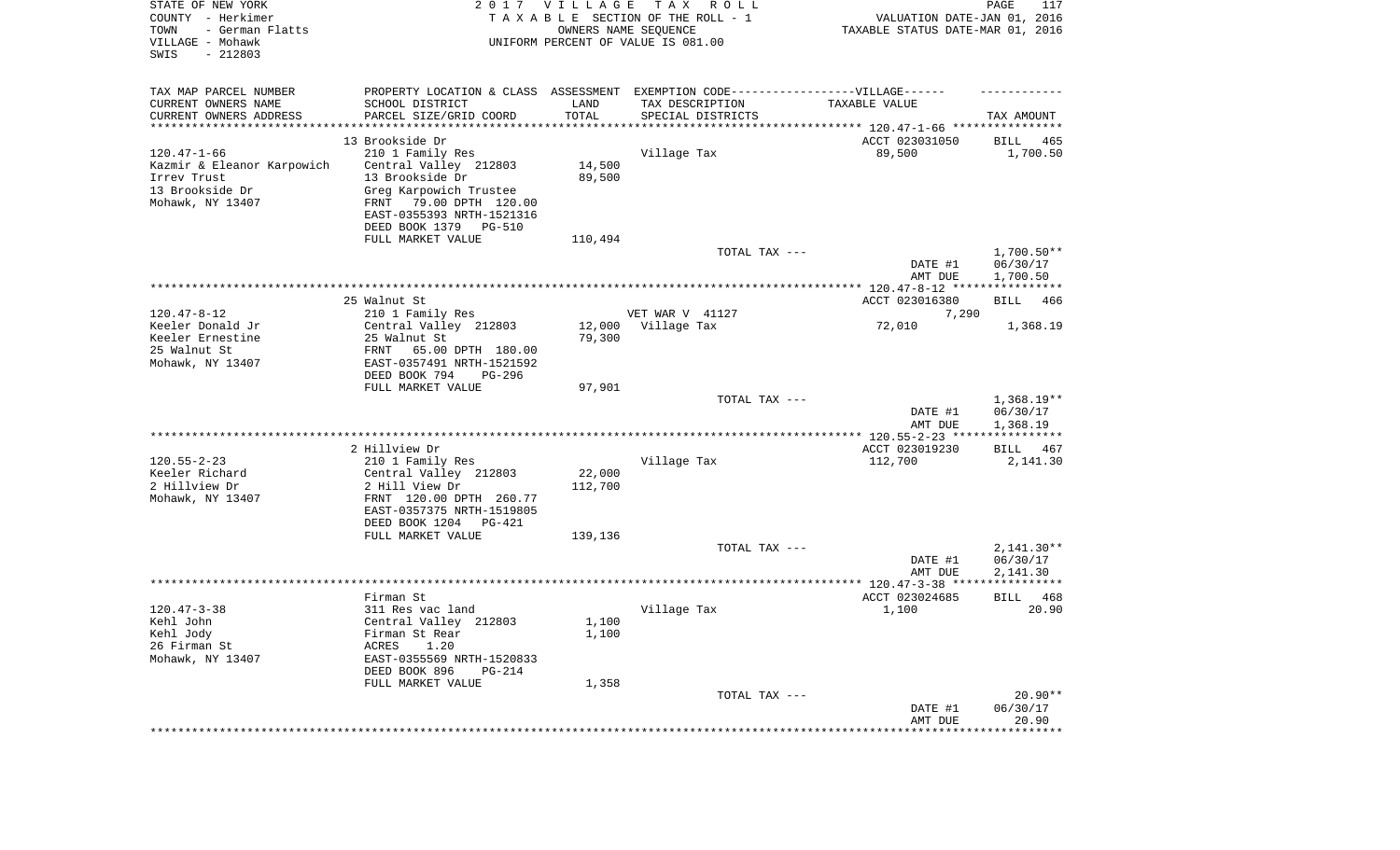| STATE OF NEW YORK<br>COUNTY - Herkimer<br>TOWN<br>- German Flatts<br>VILLAGE - Mohawk<br>SWIS<br>$-212803$ |                                                    | 2017 VILLAGE<br>OWNERS NAME SEQUENCE | T A X<br>R O L L<br>TAXABLE SECTION OF THE ROLL - 1<br>UNIFORM PERCENT OF VALUE IS 081.00 | VALUATION DATE-JAN 01, 2016<br>TAXABLE STATUS DATE-MAR 01, 2016 | PAGE<br>117           |
|------------------------------------------------------------------------------------------------------------|----------------------------------------------------|--------------------------------------|-------------------------------------------------------------------------------------------|-----------------------------------------------------------------|-----------------------|
| TAX MAP PARCEL NUMBER                                                                                      |                                                    |                                      | PROPERTY LOCATION & CLASS ASSESSMENT EXEMPTION CODE----------------VILLAGE------          |                                                                 |                       |
| CURRENT OWNERS NAME                                                                                        | SCHOOL DISTRICT                                    | LAND                                 | TAX DESCRIPTION                                                                           | TAXABLE VALUE                                                   |                       |
| CURRENT OWNERS ADDRESS<br>*********************                                                            | PARCEL SIZE/GRID COORD<br>**********************   | TOTAL                                | SPECIAL DISTRICTS                                                                         |                                                                 | TAX AMOUNT            |
|                                                                                                            | 13 Brookside Dr                                    |                                      |                                                                                           | ACCT 023031050                                                  | BILL<br>465           |
| $120.47 - 1 - 66$                                                                                          | 210 1 Family Res                                   |                                      | Village Tax                                                                               | 89,500                                                          | 1,700.50              |
| Kazmir & Eleanor Karpowich                                                                                 | Central Valley 212803                              | 14,500                               |                                                                                           |                                                                 |                       |
| Irrev Trust<br>13 Brookside Dr                                                                             | 13 Brookside Dr<br>Greg Karpowich Trustee          | 89,500                               |                                                                                           |                                                                 |                       |
| Mohawk, NY 13407                                                                                           | 79.00 DPTH 120.00<br>FRNT                          |                                      |                                                                                           |                                                                 |                       |
|                                                                                                            | EAST-0355393 NRTH-1521316                          |                                      |                                                                                           |                                                                 |                       |
|                                                                                                            | DEED BOOK 1379<br>PG-510                           |                                      |                                                                                           |                                                                 |                       |
|                                                                                                            | FULL MARKET VALUE                                  | 110,494                              | TOTAL TAX ---                                                                             |                                                                 | $1,700.50**$          |
|                                                                                                            |                                                    |                                      |                                                                                           | DATE #1<br>AMT DUE                                              | 06/30/17<br>1,700.50  |
|                                                                                                            |                                                    |                                      |                                                                                           |                                                                 |                       |
|                                                                                                            | 25 Walnut St                                       |                                      |                                                                                           | ACCT 023016380                                                  | BILL<br>466           |
| $120.47 - 8 - 12$<br>Keeler Donald Jr                                                                      | 210 1 Family Res<br>Central Valley 212803          | 12,000                               | VET WAR V 41127<br>Village Tax                                                            | 7,290<br>72,010                                                 | 1,368.19              |
| Keeler Ernestine                                                                                           | 25 Walnut St                                       | 79,300                               |                                                                                           |                                                                 |                       |
| 25 Walnut St                                                                                               | FRNT<br>65.00 DPTH 180.00                          |                                      |                                                                                           |                                                                 |                       |
| Mohawk, NY 13407                                                                                           | EAST-0357491 NRTH-1521592<br>DEED BOOK 794         |                                      |                                                                                           |                                                                 |                       |
|                                                                                                            | PG-296<br>FULL MARKET VALUE                        | 97,901                               |                                                                                           |                                                                 |                       |
|                                                                                                            |                                                    |                                      | TOTAL TAX ---                                                                             |                                                                 | $1,368.19**$          |
|                                                                                                            |                                                    |                                      |                                                                                           | DATE #1<br>AMT DUE                                              | 06/30/17<br>1,368.19  |
|                                                                                                            | 2 Hillview Dr                                      |                                      |                                                                                           | *************** 120.55-2-23 ****************<br>ACCT 023019230  |                       |
| $120.55 - 2 - 23$                                                                                          | 210 1 Family Res                                   |                                      | Village Tax                                                                               | 112,700                                                         | BILL 467<br>2,141.30  |
| Keeler Richard                                                                                             | Central Valley 212803                              | 22,000                               |                                                                                           |                                                                 |                       |
| 2 Hillview Dr                                                                                              | 2 Hill View Dr                                     | 112,700                              |                                                                                           |                                                                 |                       |
| Mohawk, NY 13407                                                                                           | FRNT 120.00 DPTH 260.77                            |                                      |                                                                                           |                                                                 |                       |
|                                                                                                            | EAST-0357375 NRTH-1519805<br>DEED BOOK 1204 PG-421 |                                      |                                                                                           |                                                                 |                       |
|                                                                                                            | FULL MARKET VALUE                                  | 139,136                              |                                                                                           |                                                                 |                       |
|                                                                                                            |                                                    |                                      | TOTAL TAX ---                                                                             |                                                                 | $2,141.30**$          |
|                                                                                                            |                                                    |                                      |                                                                                           | DATE #1                                                         | 06/30/17              |
|                                                                                                            |                                                    |                                      |                                                                                           | AMT DUE                                                         | 2,141.30              |
|                                                                                                            | Firman St                                          |                                      |                                                                                           | ACCT 023024685                                                  | 468<br><b>BILL</b>    |
| $120.47 - 3 - 38$                                                                                          | 311 Res vac land                                   |                                      | Village Tax                                                                               | 1,100                                                           | 20.90                 |
| Kehl John                                                                                                  | Central Valley 212803                              | 1,100                                |                                                                                           |                                                                 |                       |
| Kehl Jody<br>26 Firman St                                                                                  | Firman St Rear<br>ACRES<br>1.20                    | 1,100                                |                                                                                           |                                                                 |                       |
| Mohawk, NY 13407                                                                                           | EAST-0355569 NRTH-1520833                          |                                      |                                                                                           |                                                                 |                       |
|                                                                                                            | DEED BOOK 896<br>PG-214                            |                                      |                                                                                           |                                                                 |                       |
|                                                                                                            | FULL MARKET VALUE                                  | 1,358                                |                                                                                           |                                                                 |                       |
|                                                                                                            |                                                    |                                      | TOTAL TAX ---                                                                             | DATE #1                                                         | $20.90**$<br>06/30/17 |
|                                                                                                            |                                                    |                                      |                                                                                           | AMT DUE                                                         | 20.90                 |
|                                                                                                            |                                                    |                                      |                                                                                           | *******************                                             | **************        |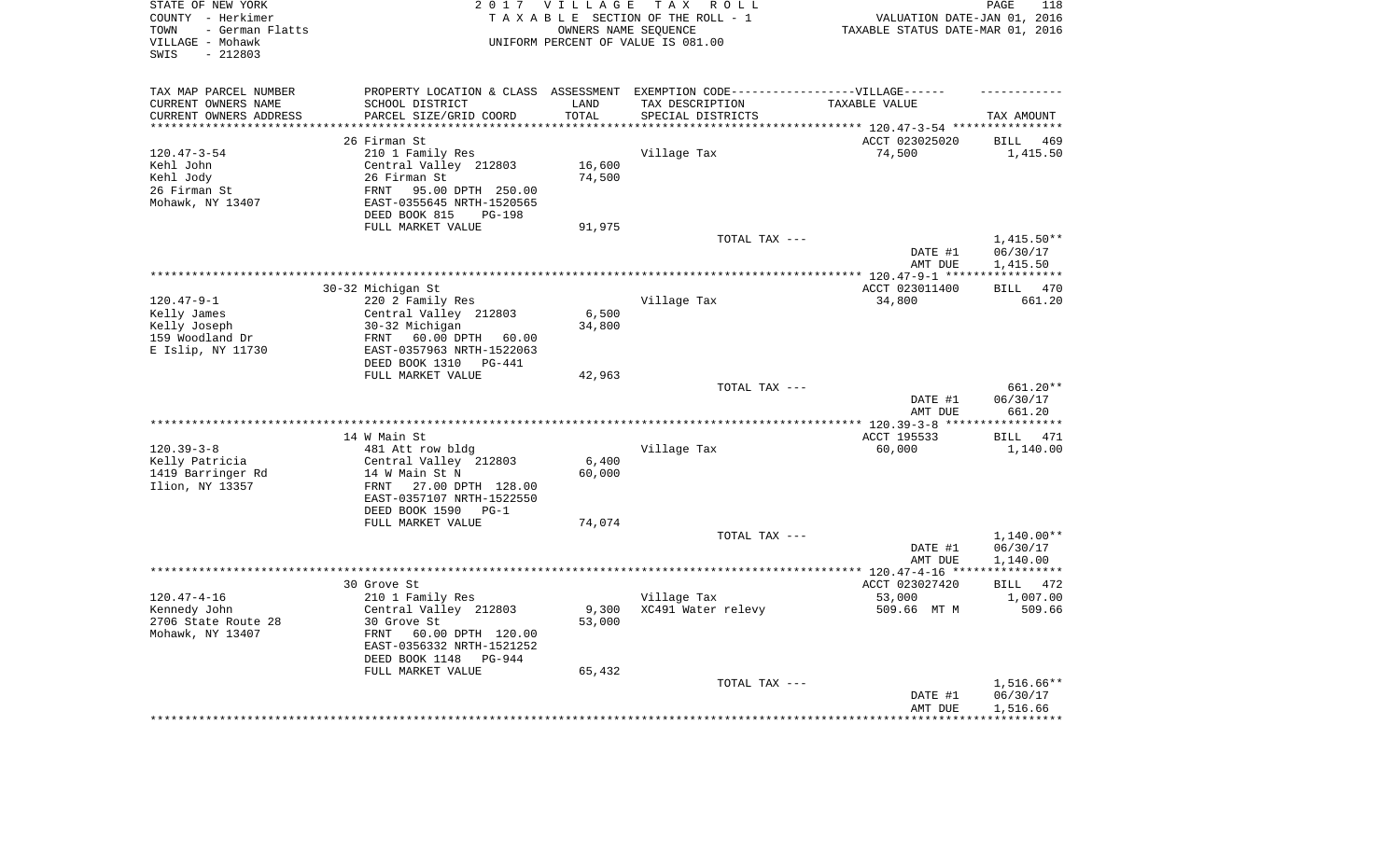| STATE OF NEW YORK<br>COUNTY - Herkimer<br>- German Flatts<br>TOWN<br>VILLAGE - Mohawk<br>$-212803$<br>SWIS |                                                                                   | 2017 VILLAGE<br>OWNERS NAME SEQUENCE | TAX ROLL<br>TAXABLE SECTION OF THE ROLL - 1<br>UNIFORM PERCENT OF VALUE IS 081.00 | VALUATION DATE-JAN 01, 2016<br>TAXABLE STATUS DATE-MAR 01, 2016 | 118<br>PAGE                        |
|------------------------------------------------------------------------------------------------------------|-----------------------------------------------------------------------------------|--------------------------------------|-----------------------------------------------------------------------------------|-----------------------------------------------------------------|------------------------------------|
| TAX MAP PARCEL NUMBER                                                                                      | PROPERTY LOCATION & CLASS ASSESSMENT EXEMPTION CODE-----------------VILLAGE------ |                                      |                                                                                   |                                                                 |                                    |
| CURRENT OWNERS NAME                                                                                        | SCHOOL DISTRICT                                                                   | LAND                                 | TAX DESCRIPTION                                                                   | TAXABLE VALUE                                                   |                                    |
| CURRENT OWNERS ADDRESS                                                                                     | PARCEL SIZE/GRID COORD<br>****************************                            | TOTAL<br>***************             | SPECIAL DISTRICTS                                                                 |                                                                 | TAX AMOUNT                         |
| **********************                                                                                     |                                                                                   |                                      |                                                                                   |                                                                 |                                    |
| $120.47 - 3 - 54$                                                                                          | 26 Firman St<br>210 1 Family Res                                                  |                                      | Village Tax                                                                       | ACCT 023025020                                                  | BILL<br>469                        |
| Kehl John                                                                                                  | Central Valley 212803                                                             | 16,600                               |                                                                                   | 74,500                                                          | 1,415.50                           |
| Kehl Jody                                                                                                  | 26 Firman St                                                                      | 74,500                               |                                                                                   |                                                                 |                                    |
| 26 Firman St                                                                                               | 95.00 DPTH 250.00<br>FRNT                                                         |                                      |                                                                                   |                                                                 |                                    |
| Mohawk, NY 13407                                                                                           | EAST-0355645 NRTH-1520565<br>DEED BOOK 815<br>$PG-198$                            |                                      |                                                                                   |                                                                 |                                    |
|                                                                                                            | FULL MARKET VALUE                                                                 | 91,975                               |                                                                                   |                                                                 |                                    |
|                                                                                                            |                                                                                   |                                      | TOTAL TAX ---                                                                     |                                                                 | $1,415.50**$                       |
|                                                                                                            |                                                                                   |                                      |                                                                                   | DATE #1<br>AMT DUE                                              | 06/30/17<br>1,415.50               |
|                                                                                                            |                                                                                   |                                      |                                                                                   |                                                                 |                                    |
|                                                                                                            | 30-32 Michigan St                                                                 |                                      |                                                                                   | ACCT 023011400                                                  | 470<br><b>BILL</b>                 |
| $120.47 - 9 - 1$                                                                                           | 220 2 Family Res                                                                  |                                      | Village Tax                                                                       | 34,800                                                          | 661.20                             |
| Kelly James                                                                                                | Central Valley 212803                                                             | 6,500                                |                                                                                   |                                                                 |                                    |
| Kelly Joseph                                                                                               | 30-32 Michigan                                                                    | 34,800                               |                                                                                   |                                                                 |                                    |
| 159 Woodland Dr                                                                                            | 60.00 DPTH 60.00<br>FRNT                                                          |                                      |                                                                                   |                                                                 |                                    |
| E Islip, NY 11730                                                                                          | EAST-0357963 NRTH-1522063<br>DEED BOOK 1310<br>PG-441                             |                                      |                                                                                   |                                                                 |                                    |
|                                                                                                            | FULL MARKET VALUE                                                                 | 42,963                               |                                                                                   |                                                                 |                                    |
|                                                                                                            |                                                                                   |                                      | TOTAL TAX ---                                                                     | DATE #1                                                         | 661.20**<br>06/30/17               |
|                                                                                                            |                                                                                   |                                      |                                                                                   | AMT DUE                                                         | 661.20                             |
|                                                                                                            |                                                                                   |                                      |                                                                                   |                                                                 | ***********                        |
|                                                                                                            | 14 W Main St                                                                      |                                      |                                                                                   | ACCT 195533                                                     | 471<br>BILL                        |
| $120.39 - 3 - 8$<br>Kelly Patricia                                                                         | 481 Att row bldg<br>Central Valley 212803                                         | 6,400                                | Village Tax                                                                       | 60,000                                                          | 1,140.00                           |
| 1419 Barringer Rd                                                                                          | 14 W Main St N                                                                    | 60,000                               |                                                                                   |                                                                 |                                    |
| Ilion, NY 13357                                                                                            | 27.00 DPTH 128.00<br>FRNT<br>EAST-0357107 NRTH-1522550                            |                                      |                                                                                   |                                                                 |                                    |
|                                                                                                            | DEED BOOK 1590<br>$PG-1$                                                          |                                      |                                                                                   |                                                                 |                                    |
|                                                                                                            | FULL MARKET VALUE                                                                 | 74,074                               |                                                                                   |                                                                 |                                    |
|                                                                                                            |                                                                                   |                                      | TOTAL TAX ---                                                                     |                                                                 | $1,140.00**$                       |
|                                                                                                            |                                                                                   |                                      |                                                                                   | DATE #1                                                         | 06/30/17                           |
|                                                                                                            |                                                                                   |                                      |                                                                                   | AMT DUE                                                         | 1,140.00                           |
|                                                                                                            | 30 Grove St                                                                       |                                      |                                                                                   | ACCT 023027420                                                  | 472                                |
| $120.47 - 4 - 16$                                                                                          | 210 1 Family Res                                                                  |                                      | Village Tax                                                                       | 53,000                                                          | BILL<br>1,007.00                   |
| Kennedy John                                                                                               | Central Valley 212803                                                             | 9,300                                | XC491 Water relevy                                                                | 509.66 MT M                                                     | 509.66                             |
| 2706 State Route 28                                                                                        | 30 Grove St                                                                       | 53,000                               |                                                                                   |                                                                 |                                    |
| Mohawk, NY 13407                                                                                           | FRNT<br>60.00 DPTH 120.00<br>EAST-0356332 NRTH-1521252                            |                                      |                                                                                   |                                                                 |                                    |
|                                                                                                            | DEED BOOK 1148<br>PG-944                                                          |                                      |                                                                                   |                                                                 |                                    |
|                                                                                                            | FULL MARKET VALUE                                                                 | 65,432                               |                                                                                   |                                                                 |                                    |
|                                                                                                            |                                                                                   |                                      | TOTAL TAX ---                                                                     | DATE #1<br>AMT DUE                                              | 1,516.66**<br>06/30/17<br>1,516.66 |
|                                                                                                            |                                                                                   |                                      |                                                                                   | ********************                                            | ************                       |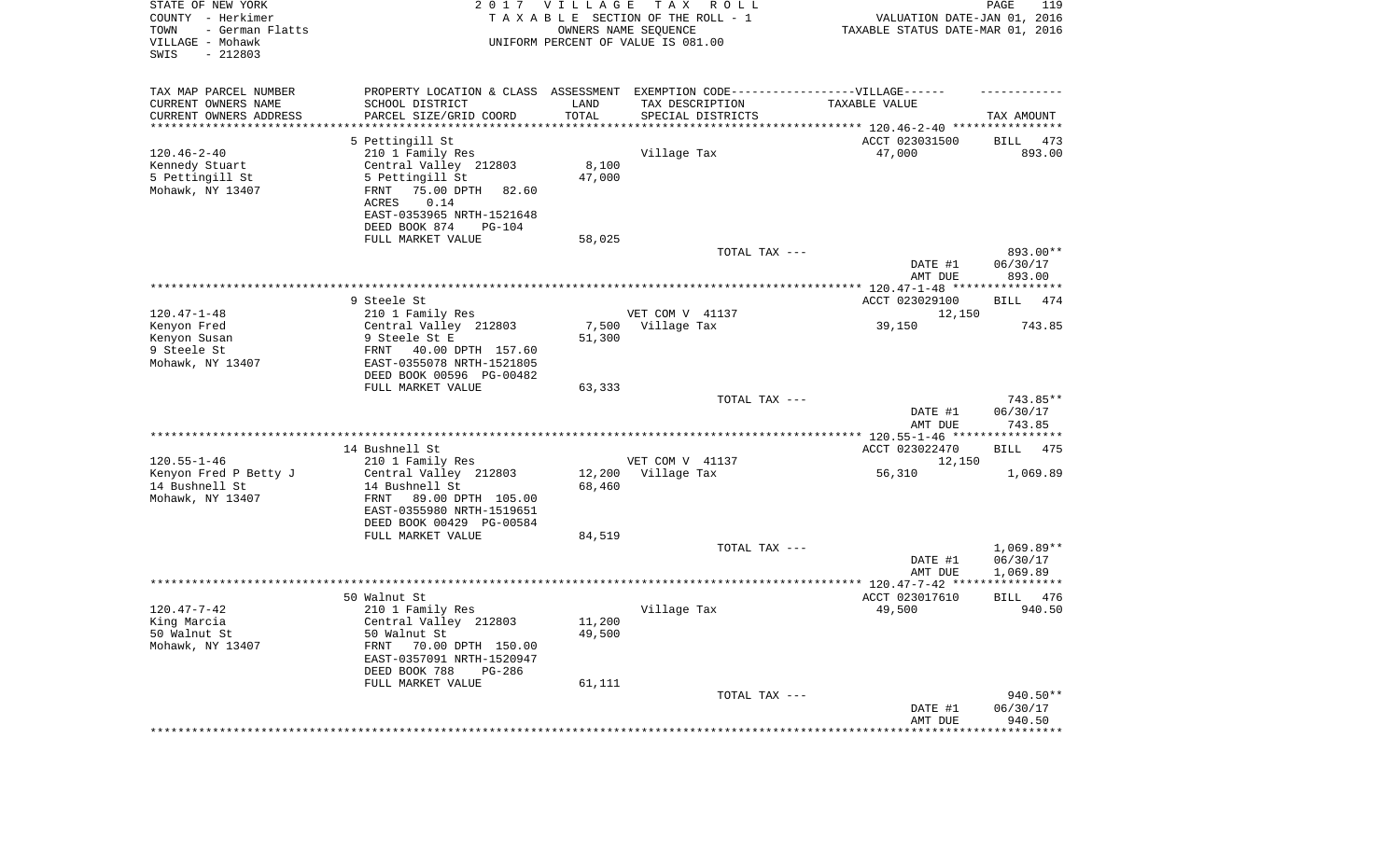| STATE OF NEW YORK<br>COUNTY - Herkimer<br>TOWN<br>- German Flatts<br>VILLAGE - Mohawk<br>$-212803$<br>SWIS |                                              | 2017 VILLAGE | T A X<br>R O L L<br>TAXABLE SECTION OF THE ROLL - 1<br>OWNERS NAME SEQUENCE<br>UNIFORM PERCENT OF VALUE IS 081.00 | VALUATION DATE-JAN 01, 2016<br>TAXABLE STATUS DATE-MAR 01, 2016 | PAGE<br>119        |
|------------------------------------------------------------------------------------------------------------|----------------------------------------------|--------------|-------------------------------------------------------------------------------------------------------------------|-----------------------------------------------------------------|--------------------|
| TAX MAP PARCEL NUMBER                                                                                      |                                              |              | PROPERTY LOCATION & CLASS ASSESSMENT EXEMPTION CODE-----------------VILLAGE------                                 |                                                                 |                    |
| CURRENT OWNERS NAME                                                                                        | SCHOOL DISTRICT                              | LAND         | TAX DESCRIPTION                                                                                                   | TAXABLE VALUE                                                   |                    |
| CURRENT OWNERS ADDRESS<br>*********************                                                            | PARCEL SIZE/GRID COORD                       | TOTAL        | SPECIAL DISTRICTS                                                                                                 |                                                                 | TAX AMOUNT         |
|                                                                                                            | 5 Pettingill St                              |              |                                                                                                                   | ACCT 023031500                                                  | BILL<br>473        |
| $120.46 - 2 - 40$                                                                                          | 210 1 Family Res                             |              | Village Tax                                                                                                       | 47,000                                                          | 893.00             |
| Kennedy Stuart                                                                                             | Central Valley 212803                        | 8,100        |                                                                                                                   |                                                                 |                    |
| 5 Pettingill St                                                                                            | 5 Pettingill St                              | 47,000       |                                                                                                                   |                                                                 |                    |
| Mohawk, NY 13407                                                                                           | 75.00 DPTH<br>FRNT<br>82.60                  |              |                                                                                                                   |                                                                 |                    |
|                                                                                                            | ACRES<br>0.14                                |              |                                                                                                                   |                                                                 |                    |
|                                                                                                            | EAST-0353965 NRTH-1521648                    |              |                                                                                                                   |                                                                 |                    |
|                                                                                                            | DEED BOOK 874<br>PG-104<br>FULL MARKET VALUE | 58,025       |                                                                                                                   |                                                                 |                    |
|                                                                                                            |                                              |              | TOTAL TAX ---                                                                                                     |                                                                 | 893.00**           |
|                                                                                                            |                                              |              |                                                                                                                   | DATE #1<br>AMT DUE                                              | 06/30/17<br>893.00 |
|                                                                                                            |                                              |              |                                                                                                                   |                                                                 |                    |
|                                                                                                            | 9 Steele St                                  |              |                                                                                                                   | ACCT 023029100                                                  | 474<br>BILL        |
| $120.47 - 1 - 48$<br>Kenyon Fred                                                                           | 210 1 Family Res<br>Central Valley 212803    | 7,500        | VET COM V 41137<br>Village Tax                                                                                    | 12,150<br>39,150                                                | 743.85             |
| Kenyon Susan                                                                                               | 9 Steele St E                                | 51,300       |                                                                                                                   |                                                                 |                    |
| 9 Steele St                                                                                                | FRNT<br>40.00 DPTH 157.60                    |              |                                                                                                                   |                                                                 |                    |
| Mohawk, NY 13407                                                                                           | EAST-0355078 NRTH-1521805                    |              |                                                                                                                   |                                                                 |                    |
|                                                                                                            | DEED BOOK 00596 PG-00482                     |              |                                                                                                                   |                                                                 |                    |
|                                                                                                            | FULL MARKET VALUE                            | 63,333       |                                                                                                                   |                                                                 | 743.85**           |
|                                                                                                            |                                              |              | TOTAL TAX ---                                                                                                     | DATE #1<br>AMT DUE                                              | 06/30/17<br>743.85 |
|                                                                                                            |                                              |              |                                                                                                                   | **************** 120.55-1-46 *****************                  |                    |
|                                                                                                            | 14 Bushnell St                               |              |                                                                                                                   | ACCT 023022470                                                  | BILL<br>475        |
| $120.55 - 1 - 46$                                                                                          | 210 1 Family Res                             |              | VET COM V 41137                                                                                                   | 12,150                                                          |                    |
| Kenyon Fred P Betty J                                                                                      | Central Valley 212803                        | 12,200       | Village Tax                                                                                                       | 56,310                                                          | 1,069.89           |
| 14 Bushnell St<br>Mohawk, NY 13407                                                                         | 14 Bushnell St<br>FRNT<br>89.00 DPTH 105.00  | 68,460       |                                                                                                                   |                                                                 |                    |
|                                                                                                            | EAST-0355980 NRTH-1519651                    |              |                                                                                                                   |                                                                 |                    |
|                                                                                                            | DEED BOOK 00429 PG-00584                     |              |                                                                                                                   |                                                                 |                    |
|                                                                                                            | FULL MARKET VALUE                            | 84,519       |                                                                                                                   |                                                                 |                    |
|                                                                                                            |                                              |              | TOTAL TAX ---                                                                                                     |                                                                 | $1,069.89**$       |
|                                                                                                            |                                              |              |                                                                                                                   | DATE #1                                                         | 06/30/17           |
|                                                                                                            |                                              |              |                                                                                                                   | AMT DUE                                                         | 1,069.89           |
|                                                                                                            | 50 Walnut St                                 |              |                                                                                                                   | ACCT 023017610                                                  | 476<br><b>BILL</b> |
| $120.47 - 7 - 42$                                                                                          | 210 1 Family Res                             |              | Village Tax                                                                                                       | 49,500                                                          | 940.50             |
| King Marcia                                                                                                | Central Valley 212803                        | 11,200       |                                                                                                                   |                                                                 |                    |
| 50 Walnut St                                                                                               | 50 Walnut St                                 | 49,500       |                                                                                                                   |                                                                 |                    |
| Mohawk, NY 13407                                                                                           | FRNT<br>70.00 DPTH 150.00                    |              |                                                                                                                   |                                                                 |                    |
|                                                                                                            | EAST-0357091 NRTH-1520947<br>DEED BOOK 788   |              |                                                                                                                   |                                                                 |                    |
|                                                                                                            | PG-286<br>FULL MARKET VALUE                  | 61,111       |                                                                                                                   |                                                                 |                    |
|                                                                                                            |                                              |              | TOTAL TAX ---                                                                                                     |                                                                 | 940.50**           |
|                                                                                                            |                                              |              |                                                                                                                   | DATE #1                                                         | 06/30/17           |
|                                                                                                            |                                              |              |                                                                                                                   | AMT DUE                                                         | 940.50             |
|                                                                                                            |                                              |              | ***************************                                                                                       | *****************                                               | **************     |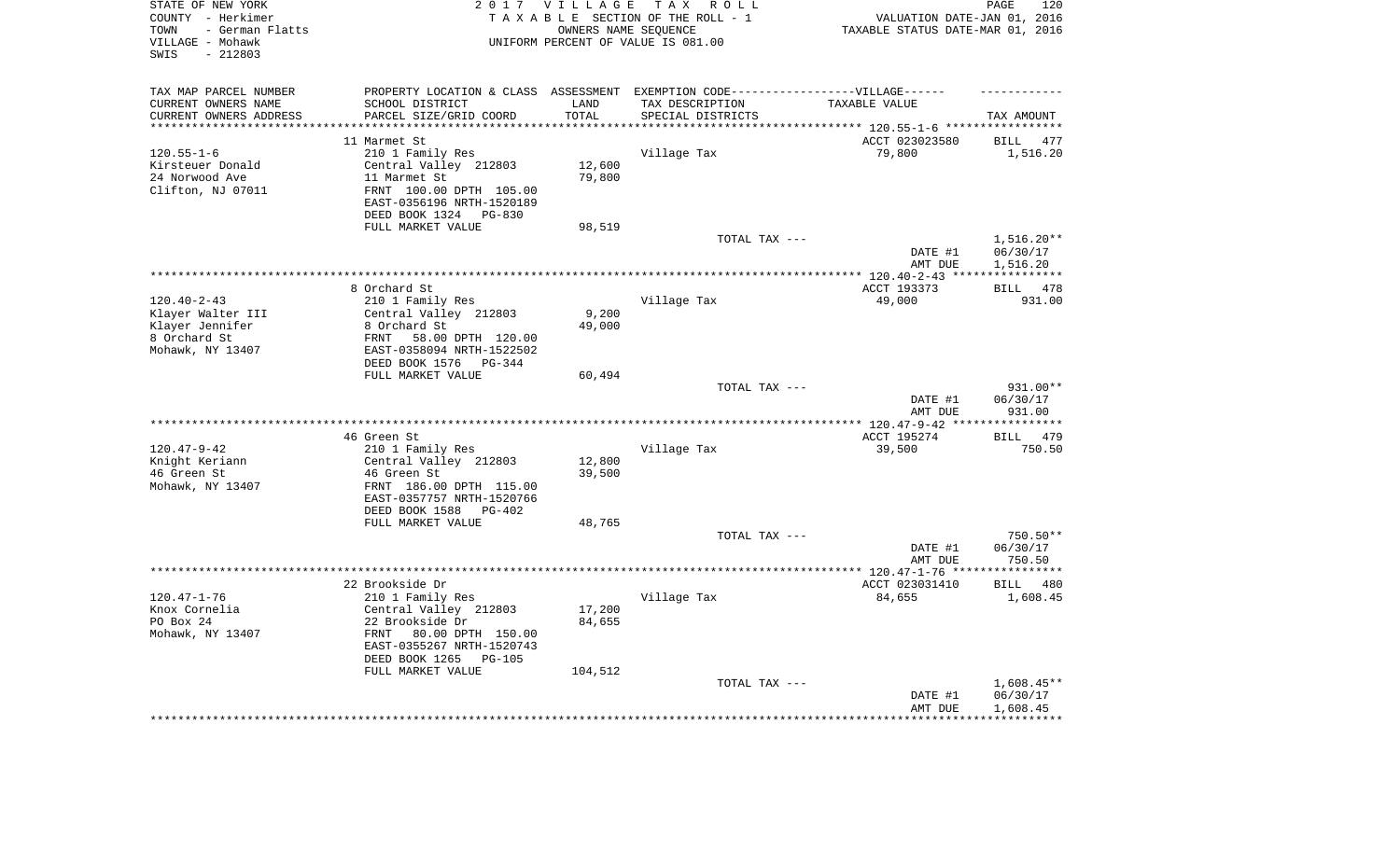| STATE OF NEW YORK<br>COUNTY - Herkimer<br>- German Flatts<br>TOWN<br>VILLAGE - Mohawk<br>$-212803$<br>SWIS |                                                                                   | 2017 VILLAGE       | TAX ROLL<br>TAXABLE SECTION OF THE ROLL - 1<br>OWNERS NAME SEQUENCE<br>UNIFORM PERCENT OF VALUE IS 081.00 | VALUATION DATE-JAN 01, 2016<br>TAXABLE STATUS DATE-MAR 01, 2016 | 120<br>PAGE           |
|------------------------------------------------------------------------------------------------------------|-----------------------------------------------------------------------------------|--------------------|-----------------------------------------------------------------------------------------------------------|-----------------------------------------------------------------|-----------------------|
| TAX MAP PARCEL NUMBER                                                                                      | PROPERTY LOCATION & CLASS ASSESSMENT EXEMPTION CODE-----------------VILLAGE------ |                    |                                                                                                           |                                                                 |                       |
| CURRENT OWNERS NAME                                                                                        | SCHOOL DISTRICT                                                                   | LAND               | TAX DESCRIPTION                                                                                           | TAXABLE VALUE                                                   |                       |
| CURRENT OWNERS ADDRESS<br>********************                                                             | PARCEL SIZE/GRID COORD<br>***********************                                 | TOTAL<br>********* | SPECIAL DISTRICTS                                                                                         |                                                                 | TAX AMOUNT            |
|                                                                                                            |                                                                                   |                    |                                                                                                           |                                                                 |                       |
|                                                                                                            | 11 Marmet St                                                                      |                    |                                                                                                           | ACCT 023023580                                                  | <b>BILL</b><br>477    |
| $120.55 - 1 - 6$<br>Kirsteuer Donald                                                                       | 210 1 Family Res<br>Central Valley 212803                                         | 12,600             | Village Tax                                                                                               | 79,800                                                          | 1,516.20              |
| 24 Norwood Ave                                                                                             | 11 Marmet St                                                                      | 79,800             |                                                                                                           |                                                                 |                       |
| Clifton, NJ 07011                                                                                          | FRNT 100.00 DPTH 105.00                                                           |                    |                                                                                                           |                                                                 |                       |
|                                                                                                            | EAST-0356196 NRTH-1520189<br>DEED BOOK 1324 PG-830                                |                    |                                                                                                           |                                                                 |                       |
|                                                                                                            | FULL MARKET VALUE                                                                 | 98,519             |                                                                                                           |                                                                 |                       |
|                                                                                                            |                                                                                   |                    | TOTAL TAX ---                                                                                             |                                                                 | $1,516.20**$          |
|                                                                                                            |                                                                                   |                    |                                                                                                           | DATE #1<br>AMT DUE                                              | 06/30/17<br>1,516.20  |
|                                                                                                            |                                                                                   |                    | **********************************                                                                        | *** $120.40 - 2 - 43$ ***                                       | * * * * * * * * * * * |
|                                                                                                            | 8 Orchard St                                                                      |                    |                                                                                                           | ACCT 193373                                                     | 478<br><b>BILL</b>    |
| $120.40 - 2 - 43$                                                                                          | 210 1 Family Res                                                                  |                    | Village Tax                                                                                               | 49,000                                                          | 931.00                |
| Klayer Walter III                                                                                          | Central Valley 212803                                                             | 9,200              |                                                                                                           |                                                                 |                       |
| Klayer Jennifer                                                                                            | 8 Orchard St                                                                      | 49,000             |                                                                                                           |                                                                 |                       |
| 8 Orchard St                                                                                               | 58.00 DPTH 120.00<br>FRNT                                                         |                    |                                                                                                           |                                                                 |                       |
| Mohawk, NY 13407                                                                                           | EAST-0358094 NRTH-1522502<br>DEED BOOK 1576<br>PG-344                             |                    |                                                                                                           |                                                                 |                       |
|                                                                                                            | FULL MARKET VALUE                                                                 | 60,494             |                                                                                                           |                                                                 |                       |
|                                                                                                            |                                                                                   |                    | TOTAL TAX ---                                                                                             | DATE #1                                                         | 931.00**<br>06/30/17  |
|                                                                                                            |                                                                                   |                    |                                                                                                           | AMT DUE<br>$***$ 120.47-9-42 **                                 | 931.00                |
|                                                                                                            | 46 Green St                                                                       |                    |                                                                                                           | ACCT 195274                                                     | 479<br><b>BILL</b>    |
| $120.47 - 9 - 42$                                                                                          | 210 1 Family Res                                                                  |                    | Village Tax                                                                                               | 39,500                                                          | 750.50                |
| Knight Keriann                                                                                             | Central Valley 212803                                                             | 12,800             |                                                                                                           |                                                                 |                       |
| 46 Green St                                                                                                | 46 Green St                                                                       | 39,500             |                                                                                                           |                                                                 |                       |
| Mohawk, NY 13407                                                                                           | FRNT 186.00 DPTH 115.00                                                           |                    |                                                                                                           |                                                                 |                       |
|                                                                                                            | EAST-0357757 NRTH-1520766                                                         |                    |                                                                                                           |                                                                 |                       |
|                                                                                                            | DEED BOOK 1588<br>PG-402                                                          |                    |                                                                                                           |                                                                 |                       |
|                                                                                                            | FULL MARKET VALUE                                                                 | 48,765             |                                                                                                           |                                                                 |                       |
|                                                                                                            |                                                                                   |                    | TOTAL TAX ---                                                                                             |                                                                 | 750.50**              |
|                                                                                                            |                                                                                   |                    |                                                                                                           | DATE #1                                                         | 06/30/17              |
| ********************                                                                                       |                                                                                   |                    |                                                                                                           | AMT DUE<br>**************** 120.47-1-76 *****                   | 750.50<br>*********** |
|                                                                                                            | 22 Brookside Dr                                                                   |                    |                                                                                                           | ACCT 023031410                                                  | <b>BILL</b><br>480    |
| $120.47 - 1 - 76$                                                                                          | 210 1 Family Res                                                                  |                    | Village Tax                                                                                               | 84,655                                                          | 1,608.45              |
| Knox Cornelia                                                                                              | Central Valley 212803                                                             | 17,200             |                                                                                                           |                                                                 |                       |
| PO Box 24                                                                                                  | 22 Brookside Dr                                                                   | 84,655             |                                                                                                           |                                                                 |                       |
| Mohawk, NY 13407                                                                                           | FRNT<br>80.00 DPTH 150.00                                                         |                    |                                                                                                           |                                                                 |                       |
|                                                                                                            | EAST-0355267 NRTH-1520743                                                         |                    |                                                                                                           |                                                                 |                       |
|                                                                                                            | DEED BOOK 1265<br>$PG-105$                                                        |                    |                                                                                                           |                                                                 |                       |
|                                                                                                            | FULL MARKET VALUE                                                                 | 104,512            |                                                                                                           |                                                                 |                       |
|                                                                                                            |                                                                                   |                    | TOTAL TAX ---                                                                                             |                                                                 | $1,608.45**$          |
|                                                                                                            |                                                                                   |                    |                                                                                                           | DATE #1<br>AMT DUE                                              | 06/30/17<br>1,608.45  |
|                                                                                                            |                                                                                   |                    |                                                                                                           |                                                                 |                       |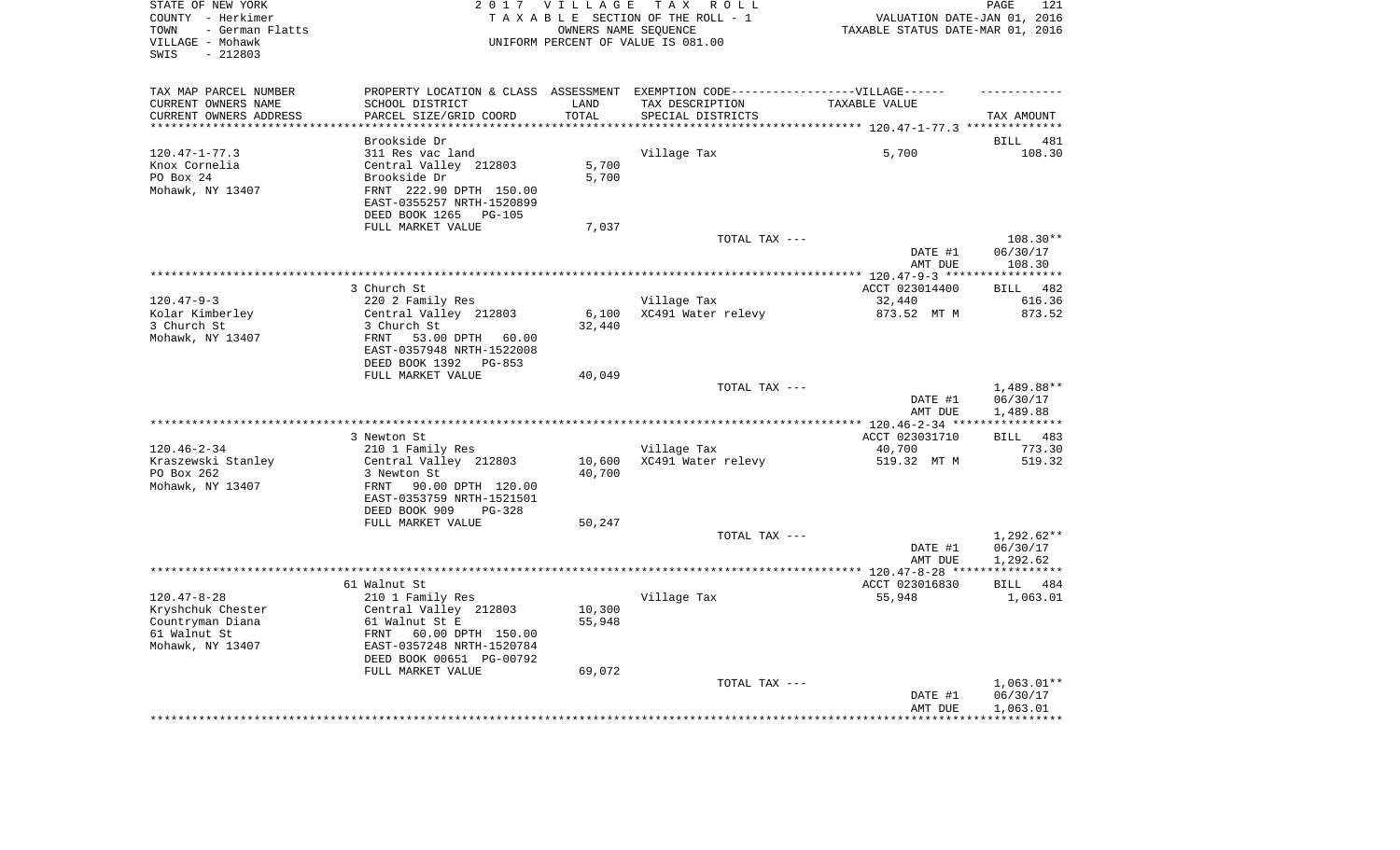| STATE OF NEW YORK<br>COUNTY - Herkimer<br>- German Flatts<br>TOWN<br>VILLAGE - Mohawk<br>$-212803$<br>SWIS |                                                        | 2017 VILLAGE       | TAX ROLL<br>TAXABLE SECTION OF THE ROLL - 1<br>OWNERS NAME SEQUENCE<br>UNIFORM PERCENT OF VALUE IS 081.00 | VALUATION DATE-JAN 01, 2016<br>TAXABLE STATUS DATE-MAR 01, 2016 | PAGE<br>121          |
|------------------------------------------------------------------------------------------------------------|--------------------------------------------------------|--------------------|-----------------------------------------------------------------------------------------------------------|-----------------------------------------------------------------|----------------------|
| TAX MAP PARCEL NUMBER                                                                                      |                                                        |                    | PROPERTY LOCATION & CLASS ASSESSMENT EXEMPTION CODE-----------------VILLAGE------                         |                                                                 |                      |
| CURRENT OWNERS NAME                                                                                        | SCHOOL DISTRICT                                        | LAND               | TAX DESCRIPTION                                                                                           | TAXABLE VALUE                                                   |                      |
| CURRENT OWNERS ADDRESS<br>*********************                                                            | PARCEL SIZE/GRID COORD                                 | TOTAL<br>********* | SPECIAL DISTRICTS                                                                                         |                                                                 | TAX AMOUNT           |
|                                                                                                            | Brookside Dr                                           |                    |                                                                                                           | *************************** 120.47-1-77.3 **************        | <b>BILL</b><br>481   |
| $120.47 - 1 - 77.3$                                                                                        | 311 Res vac land                                       |                    | Village Tax                                                                                               | 5,700                                                           | 108.30               |
| Knox Cornelia                                                                                              | Central Valley 212803                                  | 5,700              |                                                                                                           |                                                                 |                      |
| PO Box 24                                                                                                  | Brookside Dr                                           | 5,700              |                                                                                                           |                                                                 |                      |
| Mohawk, NY 13407                                                                                           | FRNT 222.90 DPTH 150.00<br>EAST-0355257 NRTH-1520899   |                    |                                                                                                           |                                                                 |                      |
|                                                                                                            | DEED BOOK 1265<br><b>PG-105</b>                        |                    |                                                                                                           |                                                                 |                      |
|                                                                                                            | FULL MARKET VALUE                                      | 7,037              | TOTAL TAX ---                                                                                             |                                                                 | 108.30**             |
|                                                                                                            |                                                        |                    |                                                                                                           | DATE #1<br>AMT DUE                                              | 06/30/17<br>108.30   |
|                                                                                                            |                                                        |                    |                                                                                                           | *********** 120.47-9-3 ******************                       |                      |
|                                                                                                            | 3 Church St                                            |                    |                                                                                                           | ACCT 023014400                                                  | <b>BILL</b><br>482   |
| $120.47 - 9 - 3$                                                                                           | 220 2 Family Res                                       |                    | Village Tax                                                                                               | 32,440                                                          | 616.36               |
| Kolar Kimberley<br>3 Church St                                                                             | Central Valley 212803<br>3 Church St                   | 6,100<br>32,440    | XC491 Water relevy                                                                                        | 873.52 MT M                                                     | 873.52               |
| Mohawk, NY 13407                                                                                           | FRNT<br>53.00 DPTH 60.00<br>EAST-0357948 NRTH-1522008  |                    |                                                                                                           |                                                                 |                      |
|                                                                                                            | DEED BOOK 1392 PG-853                                  |                    |                                                                                                           |                                                                 |                      |
|                                                                                                            | FULL MARKET VALUE                                      | 40,049             |                                                                                                           |                                                                 |                      |
|                                                                                                            |                                                        |                    | TOTAL TAX ---                                                                                             |                                                                 | 1,489.88**           |
|                                                                                                            |                                                        |                    |                                                                                                           | DATE #1<br>AMT DUE                                              | 06/30/17<br>1,489.88 |
|                                                                                                            |                                                        |                    |                                                                                                           | ********* 120.46-2-34 **                                        |                      |
|                                                                                                            | 3 Newton St                                            |                    |                                                                                                           | ACCT 023031710                                                  | BILL 483             |
| $120.46 - 2 - 34$                                                                                          | 210 1 Family Res                                       |                    | Village Tax                                                                                               | 40,700                                                          | 773.30               |
| Kraszewski Stanley<br>PO Box 262                                                                           | Central Valley 212803<br>3 Newton St                   | 10,600<br>40,700   | XC491 Water relevy                                                                                        | 519.32 MT M                                                     | 519.32               |
| Mohawk, NY 13407                                                                                           | 90.00 DPTH 120.00<br>FRNT<br>EAST-0353759 NRTH-1521501 |                    |                                                                                                           |                                                                 |                      |
|                                                                                                            | DEED BOOK 909<br>PG-328                                |                    |                                                                                                           |                                                                 |                      |
|                                                                                                            | FULL MARKET VALUE                                      | 50,247             |                                                                                                           |                                                                 |                      |
|                                                                                                            |                                                        |                    | TOTAL TAX ---                                                                                             |                                                                 | $1,292.62**$         |
|                                                                                                            |                                                        |                    |                                                                                                           | DATE #1<br>AMT DUE                                              | 06/30/17<br>1,292.62 |
|                                                                                                            |                                                        |                    |                                                                                                           |                                                                 |                      |
|                                                                                                            | 61 Walnut St                                           |                    |                                                                                                           | ACCT 023016830                                                  | <b>BILL</b><br>484   |
| $120.47 - 8 - 28$                                                                                          | 210 1 Family Res                                       |                    | Village Tax                                                                                               | 55,948                                                          | 1,063.01             |
| Kryshchuk Chester<br>Countryman Diana                                                                      | Central Valley 212803<br>61 Walnut St E                | 10,300<br>55,948   |                                                                                                           |                                                                 |                      |
| 61 Walnut St                                                                                               | 60.00 DPTH 150.00<br>FRNT                              |                    |                                                                                                           |                                                                 |                      |
| Mohawk, NY 13407                                                                                           | EAST-0357248 NRTH-1520784                              |                    |                                                                                                           |                                                                 |                      |
|                                                                                                            | DEED BOOK 00651 PG-00792<br>FULL MARKET VALUE          | 69,072             |                                                                                                           |                                                                 |                      |
|                                                                                                            |                                                        |                    | TOTAL TAX ---                                                                                             |                                                                 | $1,063.01**$         |
|                                                                                                            |                                                        |                    |                                                                                                           | DATE #1                                                         | 06/30/17             |
|                                                                                                            |                                                        |                    |                                                                                                           | AMT DUE                                                         | 1,063.01             |
|                                                                                                            |                                                        |                    |                                                                                                           |                                                                 |                      |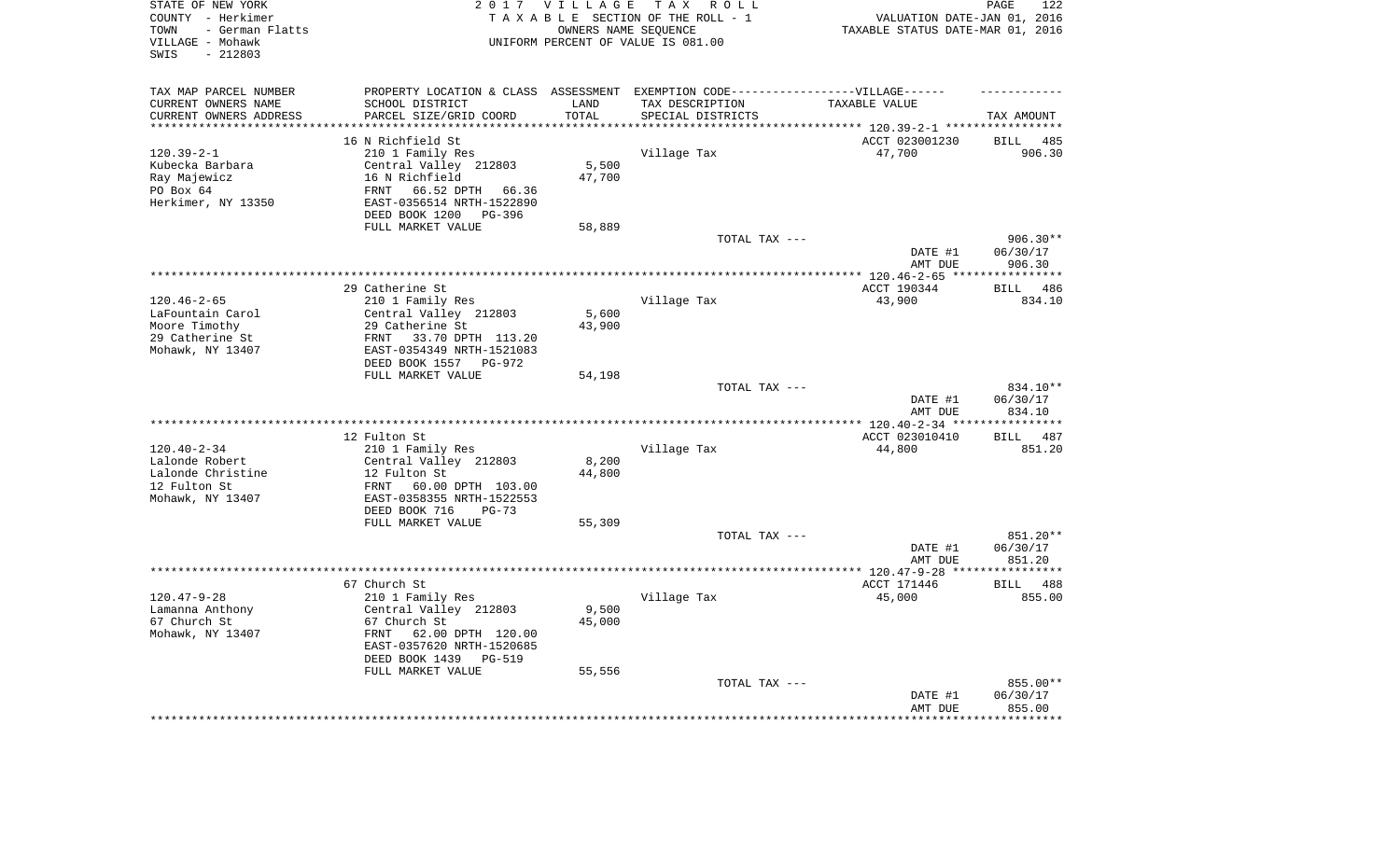| STATE OF NEW YORK<br>COUNTY - Herkimer<br>- German Flatts<br>TOWN<br>VILLAGE - Mohawk<br>$-212803$<br>SWIS | 2 0 1 7                                                                           | <b>VILLAGE</b>      | TAX ROLL<br>TAXABLE SECTION OF THE ROLL - 1<br>OWNERS NAME SEQUENCE<br>UNIFORM PERCENT OF VALUE IS 081.00 | VALUATION DATE-JAN 01, 2016<br>TAXABLE STATUS DATE-MAR 01, 2016    | PAGE<br>122                  |
|------------------------------------------------------------------------------------------------------------|-----------------------------------------------------------------------------------|---------------------|-----------------------------------------------------------------------------------------------------------|--------------------------------------------------------------------|------------------------------|
| TAX MAP PARCEL NUMBER                                                                                      | PROPERTY LOCATION & CLASS ASSESSMENT EXEMPTION CODE-----------------VILLAGE------ |                     |                                                                                                           |                                                                    |                              |
| CURRENT OWNERS NAME                                                                                        | SCHOOL DISTRICT                                                                   | LAND                | TAX DESCRIPTION                                                                                           | TAXABLE VALUE                                                      |                              |
| CURRENT OWNERS ADDRESS<br>*********************                                                            | PARCEL SIZE/GRID COORD<br>**************************                              | TOTAL<br>********** | SPECIAL DISTRICTS                                                                                         | .************************************ 120.39-2-1 ***************** | TAX AMOUNT                   |
|                                                                                                            | 16 N Richfield St                                                                 |                     |                                                                                                           | ACCT 023001230                                                     | <b>BILL</b><br>485           |
| $120.39 - 2 - 1$                                                                                           | 210 1 Family Res                                                                  |                     | Village Tax                                                                                               | 47,700                                                             | 906.30                       |
| Kubecka Barbara                                                                                            | Central Valley 212803                                                             | 5,500               |                                                                                                           |                                                                    |                              |
| Ray Majewicz                                                                                               | 16 N Richfield                                                                    | 47,700              |                                                                                                           |                                                                    |                              |
| PO Box 64                                                                                                  | 66.52 DPTH 66.36<br>FRNT                                                          |                     |                                                                                                           |                                                                    |                              |
| Herkimer, NY 13350                                                                                         | EAST-0356514 NRTH-1522890                                                         |                     |                                                                                                           |                                                                    |                              |
|                                                                                                            | DEED BOOK 1200<br>PG-396                                                          |                     |                                                                                                           |                                                                    |                              |
|                                                                                                            | FULL MARKET VALUE                                                                 | 58,889              |                                                                                                           |                                                                    |                              |
|                                                                                                            |                                                                                   |                     | TOTAL TAX ---                                                                                             |                                                                    | $906.30**$                   |
|                                                                                                            |                                                                                   |                     |                                                                                                           | DATE #1                                                            | 06/30/17                     |
|                                                                                                            |                                                                                   |                     |                                                                                                           | AMT DUE                                                            | 906.30                       |
|                                                                                                            |                                                                                   |                     |                                                                                                           | ********** 120.46-2-65 ****                                        | ***********                  |
| $120.46 - 2 - 65$                                                                                          | 29 Catherine St<br>210 1 Family Res                                               |                     | Village Tax                                                                                               | ACCT 190344<br>43,900                                              | 486<br><b>BILL</b><br>834.10 |
| LaFountain Carol                                                                                           | Central Valley 212803                                                             | 5,600               |                                                                                                           |                                                                    |                              |
| Moore Timothy                                                                                              | 29 Catherine St                                                                   | 43,900              |                                                                                                           |                                                                    |                              |
| 29 Catherine St                                                                                            | 33.70 DPTH 113.20<br>FRNT                                                         |                     |                                                                                                           |                                                                    |                              |
| Mohawk, NY 13407                                                                                           | EAST-0354349 NRTH-1521083                                                         |                     |                                                                                                           |                                                                    |                              |
|                                                                                                            | DEED BOOK 1557<br>PG-972                                                          |                     |                                                                                                           |                                                                    |                              |
|                                                                                                            | FULL MARKET VALUE                                                                 | 54,198              |                                                                                                           |                                                                    |                              |
|                                                                                                            |                                                                                   |                     | TOTAL TAX ---                                                                                             | DATE #1                                                            | 834.10**<br>06/30/17         |
|                                                                                                            |                                                                                   |                     |                                                                                                           | AMT DUE<br>** $120.40 - 2 - 34$ **                                 | 834.10<br>*********          |
|                                                                                                            | 12 Fulton St                                                                      |                     |                                                                                                           | ACCT 023010410                                                     | 487<br>BILL                  |
| $120.40 - 2 - 34$                                                                                          | 210 1 Family Res                                                                  |                     | Village Tax                                                                                               | 44,800                                                             | 851.20                       |
| Lalonde Robert                                                                                             | Central Valley 212803                                                             | 8,200               |                                                                                                           |                                                                    |                              |
| Lalonde Christine                                                                                          | 12 Fulton St                                                                      | 44,800              |                                                                                                           |                                                                    |                              |
| 12 Fulton St                                                                                               | FRNT<br>60.00 DPTH 103.00                                                         |                     |                                                                                                           |                                                                    |                              |
| Mohawk, NY 13407                                                                                           | EAST-0358355 NRTH-1522553                                                         |                     |                                                                                                           |                                                                    |                              |
|                                                                                                            | DEED BOOK 716<br>$PG-73$                                                          |                     |                                                                                                           |                                                                    |                              |
|                                                                                                            | FULL MARKET VALUE                                                                 | 55,309              |                                                                                                           |                                                                    |                              |
|                                                                                                            |                                                                                   |                     | TOTAL TAX ---                                                                                             |                                                                    | 851.20**                     |
|                                                                                                            |                                                                                   |                     |                                                                                                           | DATE #1<br>AMT DUE                                                 | 06/30/17<br>851.20           |
|                                                                                                            |                                                                                   |                     |                                                                                                           | *************** 120.47-9-28 ****                                   | *********                    |
|                                                                                                            | 67 Church St                                                                      |                     |                                                                                                           | ACCT 171446                                                        | <b>BILL</b><br>488           |
| $120.47 - 9 - 28$                                                                                          | 210 1 Family Res                                                                  |                     | Village Tax                                                                                               | 45,000                                                             | 855.00                       |
| Lamanna Anthony                                                                                            | Central Valley 212803                                                             | 9,500               |                                                                                                           |                                                                    |                              |
| 67 Church St                                                                                               | 67 Church St                                                                      | 45,000              |                                                                                                           |                                                                    |                              |
| Mohawk, NY 13407                                                                                           | FRNT<br>62.00 DPTH 120.00                                                         |                     |                                                                                                           |                                                                    |                              |
|                                                                                                            | EAST-0357620 NRTH-1520685                                                         |                     |                                                                                                           |                                                                    |                              |
|                                                                                                            | DEED BOOK 1439<br><b>PG-519</b>                                                   |                     |                                                                                                           |                                                                    |                              |
|                                                                                                            | FULL MARKET VALUE                                                                 | 55,556              |                                                                                                           |                                                                    |                              |
|                                                                                                            |                                                                                   |                     | TOTAL TAX ---                                                                                             | DATE #1                                                            | 855.00**<br>06/30/17         |
|                                                                                                            |                                                                                   |                     |                                                                                                           | AMT DUE                                                            | 855.00                       |
|                                                                                                            |                                                                                   |                     |                                                                                                           |                                                                    | * * * * * * *                |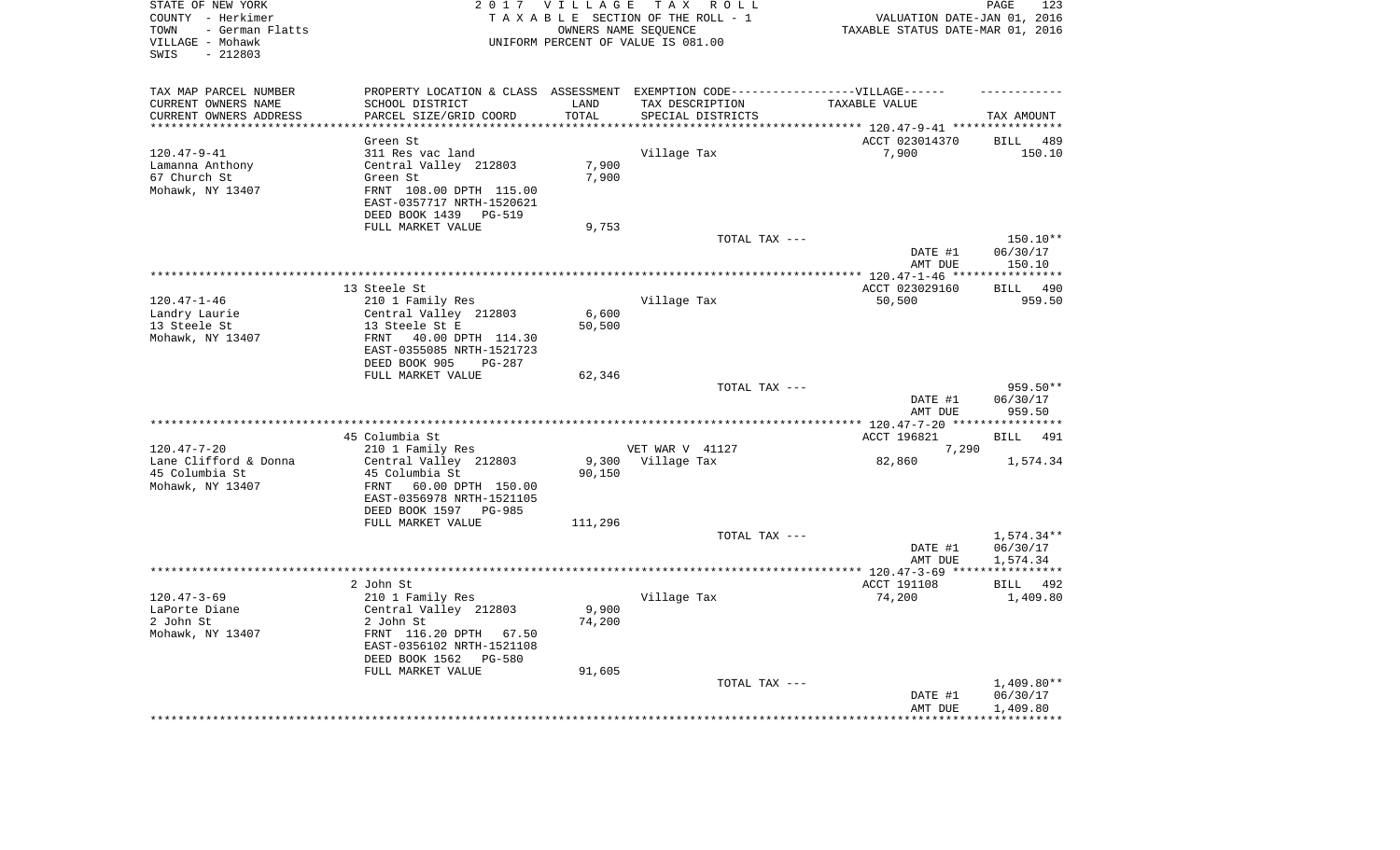| STATE OF NEW YORK<br>COUNTY - Herkimer<br>- German Flatts<br>TOWN<br>VILLAGE - Mohawk<br>$-212803$<br>SWIS |                                                                                   | 2017 VILLAGE      | TAX ROLL<br>TAXABLE SECTION OF THE ROLL - 1<br>OWNERS NAME SEQUENCE<br>UNIFORM PERCENT OF VALUE IS 081.00 | VALUATION DATE-JAN 01, 2016<br>TAXABLE STATUS DATE-MAR 01, 2016 | PAGE<br>123                  |
|------------------------------------------------------------------------------------------------------------|-----------------------------------------------------------------------------------|-------------------|-----------------------------------------------------------------------------------------------------------|-----------------------------------------------------------------|------------------------------|
| TAX MAP PARCEL NUMBER                                                                                      | PROPERTY LOCATION & CLASS ASSESSMENT EXEMPTION CODE-----------------VILLAGE------ |                   |                                                                                                           |                                                                 |                              |
| CURRENT OWNERS NAME                                                                                        | SCHOOL DISTRICT                                                                   | LAND              | TAX DESCRIPTION                                                                                           | TAXABLE VALUE                                                   |                              |
| CURRENT OWNERS ADDRESS<br>*********************                                                            | PARCEL SIZE/GRID COORD<br>*********************                                   | TOTAL<br>******** | SPECIAL DISTRICTS                                                                                         |                                                                 | TAX AMOUNT                   |
|                                                                                                            |                                                                                   |                   |                                                                                                           | ********************************* 120.47-9-41 ***************** |                              |
| $120.47 - 9 - 41$                                                                                          | Green St<br>311 Res vac land                                                      |                   | Village Tax                                                                                               | ACCT 023014370<br>7,900                                         | <b>BILL</b><br>489<br>150.10 |
| Lamanna Anthony                                                                                            | Central Valley 212803                                                             | 7,900             |                                                                                                           |                                                                 |                              |
| 67 Church St                                                                                               | Green St                                                                          | 7,900             |                                                                                                           |                                                                 |                              |
| Mohawk, NY 13407                                                                                           | FRNT 108.00 DPTH 115.00                                                           |                   |                                                                                                           |                                                                 |                              |
|                                                                                                            | EAST-0357717 NRTH-1520621                                                         |                   |                                                                                                           |                                                                 |                              |
|                                                                                                            | DEED BOOK 1439<br>PG-519                                                          |                   |                                                                                                           |                                                                 |                              |
|                                                                                                            | FULL MARKET VALUE                                                                 | 9,753             |                                                                                                           |                                                                 |                              |
|                                                                                                            |                                                                                   |                   | TOTAL TAX ---                                                                                             |                                                                 | 150.10**                     |
|                                                                                                            |                                                                                   |                   |                                                                                                           | DATE #1                                                         | 06/30/17                     |
|                                                                                                            |                                                                                   |                   |                                                                                                           | AMT DUE<br>************ 120.47-1-46 *****************           | 150.10                       |
|                                                                                                            | 13 Steele St                                                                      |                   |                                                                                                           | ACCT 023029160                                                  | 490<br>BILL                  |
| $120.47 - 1 - 46$                                                                                          | 210 1 Family Res                                                                  |                   | Village Tax                                                                                               | 50,500                                                          | 959.50                       |
| Landry Laurie                                                                                              | Central Valley 212803                                                             | 6,600             |                                                                                                           |                                                                 |                              |
| 13 Steele St                                                                                               | 13 Steele St E                                                                    | 50,500            |                                                                                                           |                                                                 |                              |
| Mohawk, NY 13407                                                                                           | FRNT<br>40.00 DPTH 114.30                                                         |                   |                                                                                                           |                                                                 |                              |
|                                                                                                            | EAST-0355085 NRTH-1521723                                                         |                   |                                                                                                           |                                                                 |                              |
|                                                                                                            | DEED BOOK 905<br>PG-287                                                           |                   |                                                                                                           |                                                                 |                              |
|                                                                                                            | FULL MARKET VALUE                                                                 | 62,346            | TOTAL TAX ---                                                                                             |                                                                 | 959.50**                     |
|                                                                                                            |                                                                                   |                   |                                                                                                           | DATE #1                                                         | 06/30/17                     |
|                                                                                                            |                                                                                   |                   | *******************                                                                                       | AMT DUE                                                         | 959.50                       |
|                                                                                                            | 45 Columbia St                                                                    |                   |                                                                                                           | ***** 120.47-7-20 ****<br>ACCT 196821                           | 491<br><b>BILL</b>           |
| $120.47 - 7 - 20$                                                                                          | 210 1 Family Res                                                                  |                   | VET WAR V 41127                                                                                           | 7,290                                                           |                              |
| Lane Clifford & Donna                                                                                      | Central Valley 212803                                                             | 9,300             | Village Tax                                                                                               | 82,860                                                          | 1,574.34                     |
| 45 Columbia St                                                                                             | 45 Columbia St                                                                    | 90,150            |                                                                                                           |                                                                 |                              |
| Mohawk, NY 13407                                                                                           | FRNT<br>60.00 DPTH 150.00                                                         |                   |                                                                                                           |                                                                 |                              |
|                                                                                                            | EAST-0356978 NRTH-1521105                                                         |                   |                                                                                                           |                                                                 |                              |
|                                                                                                            | DEED BOOK 1597 PG-985                                                             |                   |                                                                                                           |                                                                 |                              |
|                                                                                                            | FULL MARKET VALUE                                                                 | 111,296           |                                                                                                           |                                                                 |                              |
|                                                                                                            |                                                                                   |                   | TOTAL TAX ---                                                                                             | DATE #1                                                         | 1,574.34**<br>06/30/17       |
|                                                                                                            |                                                                                   |                   |                                                                                                           | AMT DUE                                                         | 1,574.34                     |
|                                                                                                            |                                                                                   |                   |                                                                                                           |                                                                 |                              |
|                                                                                                            | 2 John St                                                                         |                   |                                                                                                           | ACCT 191108                                                     | BILL<br>492                  |
| $120.47 - 3 - 69$                                                                                          | 210 1 Family Res                                                                  |                   | Village Tax                                                                                               | 74,200                                                          | 1,409.80                     |
| LaPorte Diane                                                                                              | Central Valley 212803                                                             | 9,900             |                                                                                                           |                                                                 |                              |
| 2 John St                                                                                                  | 2 John St                                                                         | 74,200            |                                                                                                           |                                                                 |                              |
| Mohawk, NY 13407                                                                                           | FRNT 116.20 DPTH 67.50                                                            |                   |                                                                                                           |                                                                 |                              |
|                                                                                                            | EAST-0356102 NRTH-1521108<br>$PG - 580$                                           |                   |                                                                                                           |                                                                 |                              |
|                                                                                                            | DEED BOOK 1562<br>FULL MARKET VALUE                                               | 91,605            |                                                                                                           |                                                                 |                              |
|                                                                                                            |                                                                                   |                   | TOTAL TAX ---                                                                                             |                                                                 | $1,409.80**$                 |
|                                                                                                            |                                                                                   |                   |                                                                                                           | DATE #1                                                         | 06/30/17                     |
|                                                                                                            |                                                                                   |                   |                                                                                                           | AMT DUE                                                         | 1,409.80                     |
|                                                                                                            |                                                                                   |                   |                                                                                                           |                                                                 |                              |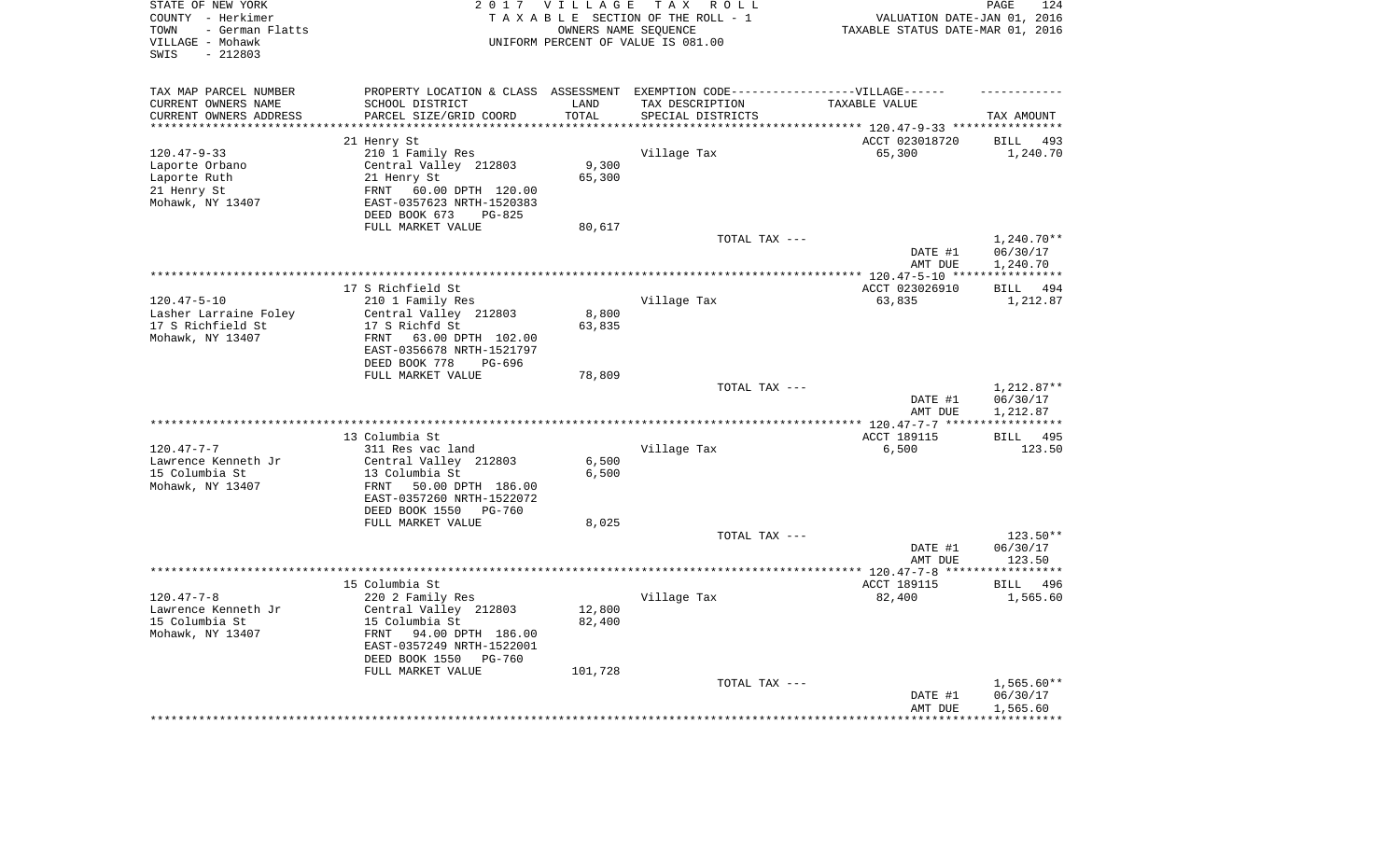| STATE OF NEW YORK<br>COUNTY - Herkimer<br>- German Flatts<br>TOWN<br>VILLAGE - Mohawk<br>$-212803$<br>SWIS |                                                    | 2017 VILLAGE      | TAX ROLL<br>TAXABLE SECTION OF THE ROLL - 1<br>OWNERS NAME SEQUENCE<br>UNIFORM PERCENT OF VALUE IS 081.00 | VALUATION DATE-JAN 01, 2016<br>TAXABLE STATUS DATE-MAR 01, 2016 | PAGE<br>124                    |
|------------------------------------------------------------------------------------------------------------|----------------------------------------------------|-------------------|-----------------------------------------------------------------------------------------------------------|-----------------------------------------------------------------|--------------------------------|
| TAX MAP PARCEL NUMBER                                                                                      |                                                    |                   | PROPERTY LOCATION & CLASS ASSESSMENT EXEMPTION CODE-----------------VILLAGE------                         |                                                                 |                                |
| CURRENT OWNERS NAME                                                                                        | SCHOOL DISTRICT                                    | LAND              | TAX DESCRIPTION                                                                                           | TAXABLE VALUE                                                   |                                |
| CURRENT OWNERS ADDRESS<br>********************                                                             | PARCEL SIZE/GRID COORD<br>************************ | TOTAL<br>******** | SPECIAL DISTRICTS                                                                                         |                                                                 | TAX AMOUNT                     |
|                                                                                                            |                                                    |                   | ************************************* 120.47-9-33 ****************                                        |                                                                 |                                |
| $120.47 - 9 - 33$                                                                                          | 21 Henry St<br>210 1 Family Res                    |                   | Village Tax                                                                                               | ACCT 023018720<br>65,300                                        | <b>BILL</b><br>493<br>1,240.70 |
| Laporte Orbano                                                                                             | Central Valley 212803                              | 9,300             |                                                                                                           |                                                                 |                                |
| Laporte Ruth                                                                                               | 21 Henry St                                        | 65,300            |                                                                                                           |                                                                 |                                |
| 21 Henry St                                                                                                | 60.00 DPTH 120.00<br>FRNT                          |                   |                                                                                                           |                                                                 |                                |
| Mohawk, NY 13407                                                                                           | EAST-0357623 NRTH-1520383                          |                   |                                                                                                           |                                                                 |                                |
|                                                                                                            | DEED BOOK 673<br>PG-825                            |                   |                                                                                                           |                                                                 |                                |
|                                                                                                            | FULL MARKET VALUE                                  | 80,617            |                                                                                                           |                                                                 |                                |
|                                                                                                            |                                                    |                   | TOTAL TAX ---                                                                                             |                                                                 | $1,240.70**$                   |
|                                                                                                            |                                                    |                   |                                                                                                           | DATE #1                                                         | 06/30/17                       |
|                                                                                                            |                                                    |                   |                                                                                                           | AMT DUE                                                         | 1,240.70                       |
|                                                                                                            |                                                    |                   |                                                                                                           | ************ 120.47-5-10 ****                                   | * * * * * * * * * * *          |
|                                                                                                            | 17 S Richfield St                                  |                   |                                                                                                           | ACCT 023026910                                                  | 494<br><b>BILL</b>             |
| $120.47 - 5 - 10$                                                                                          | 210 1 Family Res                                   |                   | Village Tax                                                                                               | 63,835                                                          | 1,212.87                       |
| Lasher Larraine Foley<br>17 S Richfield St                                                                 | Central Valley 212803<br>17 S Richfd St            | 8,800<br>63,835   |                                                                                                           |                                                                 |                                |
| Mohawk, NY 13407                                                                                           | FRNT<br>63.00 DPTH 102.00                          |                   |                                                                                                           |                                                                 |                                |
|                                                                                                            | EAST-0356678 NRTH-1521797                          |                   |                                                                                                           |                                                                 |                                |
|                                                                                                            | DEED BOOK 778<br>PG-696                            |                   |                                                                                                           |                                                                 |                                |
|                                                                                                            | FULL MARKET VALUE                                  | 78,809            |                                                                                                           |                                                                 |                                |
|                                                                                                            |                                                    |                   | TOTAL TAX ---                                                                                             |                                                                 | 1,212.87**                     |
|                                                                                                            |                                                    |                   |                                                                                                           | DATE #1                                                         | 06/30/17                       |
|                                                                                                            |                                                    |                   |                                                                                                           | AMT DUE                                                         | 1,212.87                       |
|                                                                                                            |                                                    |                   |                                                                                                           | ***************** 120.47-7-7 ***                                | ***********                    |
|                                                                                                            | 13 Columbia St                                     |                   |                                                                                                           | ACCT 189115                                                     | 495<br><b>BILL</b>             |
| $120.47 - 7 - 7$<br>Lawrence Kenneth Jr                                                                    | 311 Res vac land<br>Central Valley 212803          | 6,500             | Village Tax                                                                                               | 6,500                                                           | 123.50                         |
| 15 Columbia St                                                                                             | 13 Columbia St                                     | 6,500             |                                                                                                           |                                                                 |                                |
| Mohawk, NY 13407                                                                                           | 50.00 DPTH 186.00<br>FRNT                          |                   |                                                                                                           |                                                                 |                                |
|                                                                                                            | EAST-0357260 NRTH-1522072                          |                   |                                                                                                           |                                                                 |                                |
|                                                                                                            | DEED BOOK 1550<br><b>PG-760</b>                    |                   |                                                                                                           |                                                                 |                                |
|                                                                                                            | FULL MARKET VALUE                                  | 8,025             |                                                                                                           |                                                                 |                                |
|                                                                                                            |                                                    |                   | TOTAL TAX ---                                                                                             |                                                                 | $123.50**$                     |
|                                                                                                            |                                                    |                   |                                                                                                           | DATE #1                                                         | 06/30/17                       |
|                                                                                                            |                                                    |                   |                                                                                                           | AMT DUE                                                         | 123.50                         |
|                                                                                                            |                                                    |                   |                                                                                                           |                                                                 | **********                     |
| $120.47 - 7 - 8$                                                                                           | 15 Columbia St                                     |                   |                                                                                                           | ACCT 189115                                                     | <b>BILL</b><br>496             |
| Lawrence Kenneth Jr                                                                                        | 220 2 Family Res<br>Central Valley 212803          | 12,800            | Village Tax                                                                                               | 82,400                                                          | 1,565.60                       |
| 15 Columbia St                                                                                             | 15 Columbia St                                     | 82,400            |                                                                                                           |                                                                 |                                |
| Mohawk, NY 13407                                                                                           | 94.00 DPTH 186.00<br>FRNT                          |                   |                                                                                                           |                                                                 |                                |
|                                                                                                            | EAST-0357249 NRTH-1522001                          |                   |                                                                                                           |                                                                 |                                |
|                                                                                                            | DEED BOOK 1550<br><b>PG-760</b>                    |                   |                                                                                                           |                                                                 |                                |
|                                                                                                            | FULL MARKET VALUE                                  | 101,728           |                                                                                                           |                                                                 |                                |
|                                                                                                            |                                                    |                   | TOTAL TAX ---                                                                                             |                                                                 | 1,565.60**                     |
|                                                                                                            |                                                    |                   |                                                                                                           | DATE #1                                                         | 06/30/17                       |
|                                                                                                            |                                                    |                   |                                                                                                           | AMT DUE                                                         | 1,565.60                       |
|                                                                                                            |                                                    |                   |                                                                                                           |                                                                 | **********                     |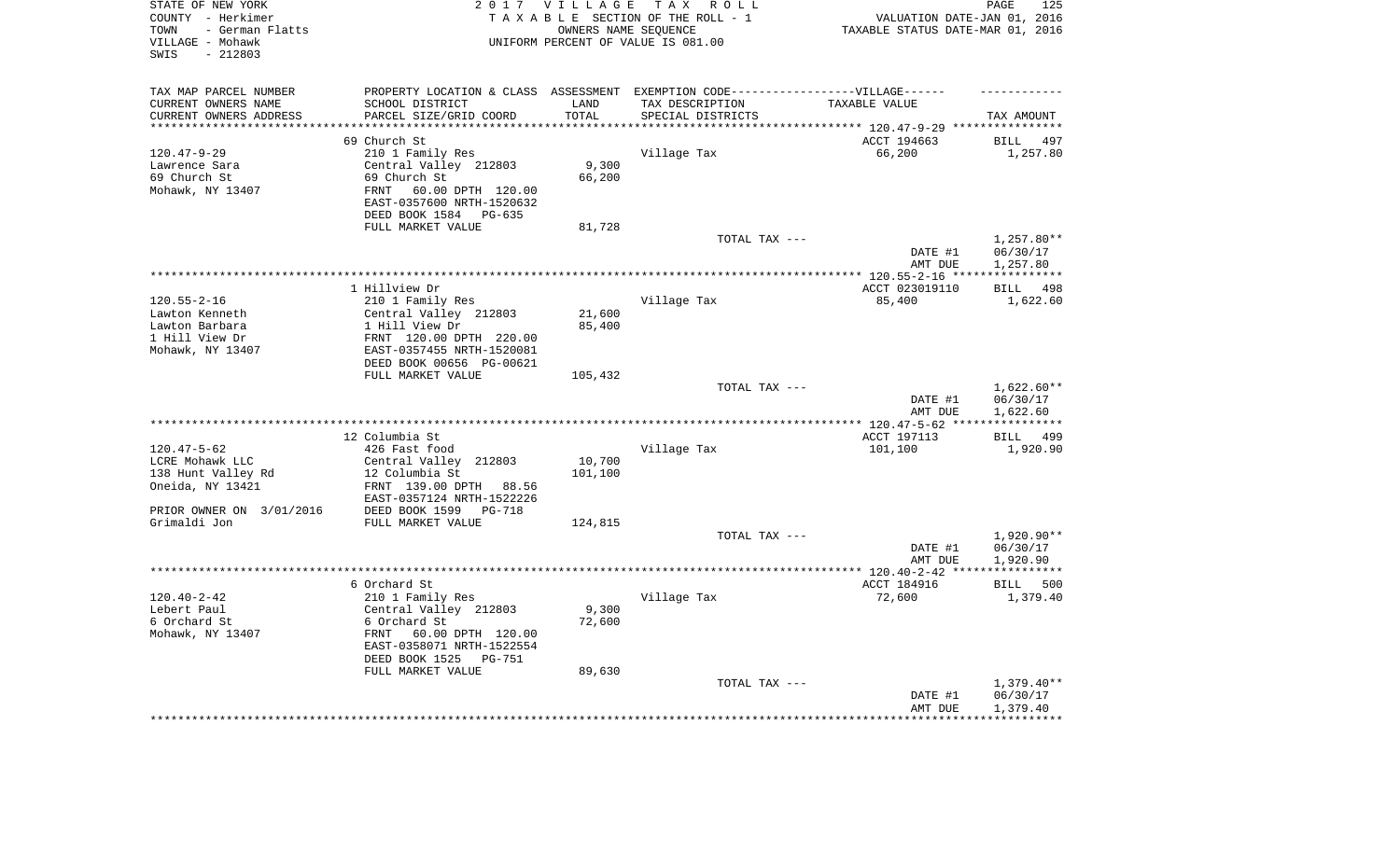| STATE OF NEW YORK<br>COUNTY - Herkimer<br>- German Flatts<br>TOWN<br>VILLAGE - Mohawk<br>$-212803$<br>SWIS |                                                                                   | 2017 VILLAGE        | TAX ROLL<br>TAXABLE SECTION OF THE ROLL - 1<br>OWNERS NAME SEQUENCE<br>UNIFORM PERCENT OF VALUE IS 081.00 | VALUATION DATE-JAN 01, 2016<br>TAXABLE STATUS DATE-MAR 01, 2016                     | 125<br>PAGE                          |
|------------------------------------------------------------------------------------------------------------|-----------------------------------------------------------------------------------|---------------------|-----------------------------------------------------------------------------------------------------------|-------------------------------------------------------------------------------------|--------------------------------------|
| TAX MAP PARCEL NUMBER                                                                                      | PROPERTY LOCATION & CLASS ASSESSMENT EXEMPTION CODE-----------------VILLAGE------ |                     |                                                                                                           |                                                                                     |                                      |
| CURRENT OWNERS NAME                                                                                        | SCHOOL DISTRICT                                                                   | LAND                | TAX DESCRIPTION                                                                                           | TAXABLE VALUE                                                                       |                                      |
| CURRENT OWNERS ADDRESS<br>********************                                                             | PARCEL SIZE/GRID COORD                                                            | TOTAL<br>********** | SPECIAL DISTRICTS                                                                                         |                                                                                     | TAX AMOUNT                           |
|                                                                                                            | 69 Church St                                                                      |                     |                                                                                                           | ************************************** 120.47-9-29 *****************<br>ACCT 194663 | <b>BILL</b><br>497                   |
| $120.47 - 9 - 29$                                                                                          | 210 1 Family Res                                                                  |                     | Village Tax                                                                                               | 66,200                                                                              | 1,257.80                             |
| Lawrence Sara                                                                                              | Central Valley 212803                                                             | 9,300               |                                                                                                           |                                                                                     |                                      |
| 69 Church St                                                                                               | 69 Church St                                                                      | 66,200              |                                                                                                           |                                                                                     |                                      |
| Mohawk, NY 13407                                                                                           | 60.00 DPTH 120.00<br>FRNT                                                         |                     |                                                                                                           |                                                                                     |                                      |
|                                                                                                            | EAST-0357600 NRTH-1520632                                                         |                     |                                                                                                           |                                                                                     |                                      |
|                                                                                                            | DEED BOOK 1584 PG-635                                                             |                     |                                                                                                           |                                                                                     |                                      |
|                                                                                                            | FULL MARKET VALUE                                                                 | 81,728              |                                                                                                           |                                                                                     |                                      |
|                                                                                                            |                                                                                   |                     | TOTAL TAX ---                                                                                             |                                                                                     | 1,257.80**                           |
|                                                                                                            |                                                                                   |                     |                                                                                                           | DATE #1                                                                             | 06/30/17                             |
|                                                                                                            |                                                                                   |                     |                                                                                                           | AMT DUE<br>************ 120.55-2-16 ****                                            | 1,257.80<br>***********              |
|                                                                                                            | 1 Hillview Dr                                                                     |                     |                                                                                                           | ACCT 023019110                                                                      | <b>BILL</b><br>498                   |
| $120.55 - 2 - 16$                                                                                          | 210 1 Family Res                                                                  |                     | Village Tax                                                                                               | 85,400                                                                              | 1,622.60                             |
| Lawton Kenneth                                                                                             | Central Valley 212803                                                             | 21,600              |                                                                                                           |                                                                                     |                                      |
| Lawton Barbara                                                                                             | 1 Hill View Dr                                                                    | 85,400              |                                                                                                           |                                                                                     |                                      |
| 1 Hill View Dr                                                                                             | FRNT 120.00 DPTH 220.00                                                           |                     |                                                                                                           |                                                                                     |                                      |
| Mohawk, NY 13407                                                                                           | EAST-0357455 NRTH-1520081                                                         |                     |                                                                                                           |                                                                                     |                                      |
|                                                                                                            | DEED BOOK 00656 PG-00621                                                          |                     |                                                                                                           |                                                                                     |                                      |
|                                                                                                            | FULL MARKET VALUE                                                                 | 105,432             |                                                                                                           |                                                                                     |                                      |
|                                                                                                            |                                                                                   |                     | TOTAL TAX ---                                                                                             | DATE #1<br>AMT DUE                                                                  | $1,622.60**$<br>06/30/17<br>1,622.60 |
|                                                                                                            |                                                                                   |                     |                                                                                                           | *** 120.47-5-62 ***                                                                 | * * * * * * * * * * *                |
|                                                                                                            | 12 Columbia St                                                                    |                     |                                                                                                           | ACCT 197113                                                                         | 499<br>BILL                          |
| $120.47 - 5 - 62$                                                                                          | 426 Fast food                                                                     |                     | Village Tax                                                                                               | 101,100                                                                             | 1,920.90                             |
| LCRE Mohawk LLC                                                                                            | Central Valley 212803                                                             | 10,700              |                                                                                                           |                                                                                     |                                      |
| 138 Hunt Valley Rd                                                                                         | 12 Columbia St                                                                    | 101,100             |                                                                                                           |                                                                                     |                                      |
| Oneida, NY 13421                                                                                           | FRNT 139.00 DPTH 88.56                                                            |                     |                                                                                                           |                                                                                     |                                      |
|                                                                                                            | EAST-0357124 NRTH-1522226                                                         |                     |                                                                                                           |                                                                                     |                                      |
| PRIOR OWNER ON 3/01/2016<br>Grimaldi Jon                                                                   | DEED BOOK 1599 PG-718<br>FULL MARKET VALUE                                        | 124,815             |                                                                                                           |                                                                                     |                                      |
|                                                                                                            |                                                                                   |                     | TOTAL TAX ---                                                                                             |                                                                                     | $1,920.90**$                         |
|                                                                                                            |                                                                                   |                     |                                                                                                           | DATE #1                                                                             | 06/30/17                             |
|                                                                                                            |                                                                                   |                     |                                                                                                           | AMT DUE                                                                             | 1,920.90                             |
|                                                                                                            |                                                                                   |                     |                                                                                                           |                                                                                     |                                      |
|                                                                                                            | 6 Orchard St                                                                      |                     |                                                                                                           | ACCT 184916                                                                         | BILL<br>500                          |
| $120.40 - 2 - 42$                                                                                          | 210 1 Family Res                                                                  |                     | Village Tax                                                                                               | 72,600                                                                              | 1,379.40                             |
| Lebert Paul                                                                                                | Central Valley 212803                                                             | 9,300               |                                                                                                           |                                                                                     |                                      |
| 6 Orchard St                                                                                               | 6 Orchard St                                                                      | 72,600              |                                                                                                           |                                                                                     |                                      |
| Mohawk, NY 13407                                                                                           | 60.00 DPTH 120.00<br>FRNT<br>EAST-0358071 NRTH-1522554                            |                     |                                                                                                           |                                                                                     |                                      |
|                                                                                                            | DEED BOOK 1525<br><b>PG-751</b>                                                   |                     |                                                                                                           |                                                                                     |                                      |
|                                                                                                            | FULL MARKET VALUE                                                                 | 89,630              |                                                                                                           |                                                                                     |                                      |
|                                                                                                            |                                                                                   |                     | TOTAL TAX ---                                                                                             |                                                                                     | $1,379.40**$                         |
|                                                                                                            |                                                                                   |                     |                                                                                                           | DATE #1                                                                             | 06/30/17                             |
|                                                                                                            |                                                                                   |                     |                                                                                                           | AMT DUE                                                                             | 1,379.40                             |
|                                                                                                            |                                                                                   |                     |                                                                                                           |                                                                                     |                                      |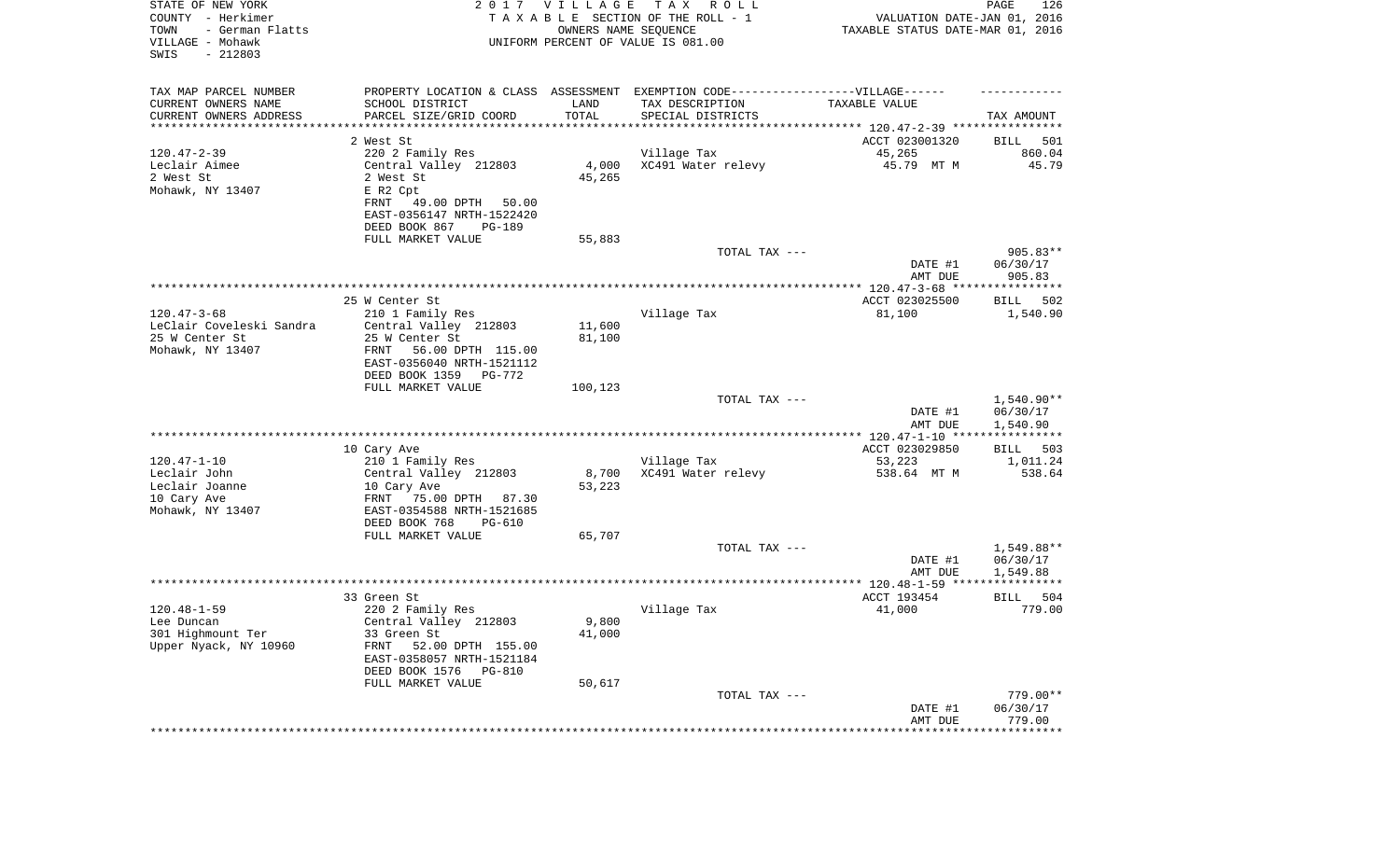| STATE OF NEW YORK<br>COUNTY - Herkimer<br>- German Flatts<br>TOWN<br>VILLAGE - Mohawk<br>SWIS<br>$-212803$ |                                                                                   | 2017 VILLAGE<br>OWNERS NAME SEQUENCE | T A X<br>R O L L<br>TAXABLE SECTION OF THE ROLL - 1<br>UNIFORM PERCENT OF VALUE IS 081.00 | VALUATION DATE-JAN 01, 2016<br>TAXABLE STATUS DATE-MAR 01, 2016 | PAGE<br>126              |
|------------------------------------------------------------------------------------------------------------|-----------------------------------------------------------------------------------|--------------------------------------|-------------------------------------------------------------------------------------------|-----------------------------------------------------------------|--------------------------|
| TAX MAP PARCEL NUMBER                                                                                      | PROPERTY LOCATION & CLASS ASSESSMENT EXEMPTION CODE-----------------VILLAGE------ |                                      |                                                                                           |                                                                 |                          |
| CURRENT OWNERS NAME                                                                                        | SCHOOL DISTRICT                                                                   | LAND                                 | TAX DESCRIPTION                                                                           | TAXABLE VALUE                                                   |                          |
| CURRENT OWNERS ADDRESS<br>*********************                                                            | PARCEL SIZE/GRID COORD                                                            | TOTAL<br>* * * * * * * * * * *       | SPECIAL DISTRICTS                                                                         | ********************************* 120.47-2-39 ****************  | TAX AMOUNT               |
|                                                                                                            | 2 West St                                                                         |                                      |                                                                                           | ACCT 023001320                                                  | BILL<br>501              |
| $120.47 - 2 - 39$                                                                                          | 220 2 Family Res                                                                  |                                      | Village Tax                                                                               | 45,265                                                          | 860.04                   |
| Leclair Aimee                                                                                              | Central Valley 212803                                                             | 4,000                                | XC491 Water relevy                                                                        | 45.79 MT M                                                      | 45.79                    |
| 2 West St                                                                                                  | 2 West St                                                                         | 45,265                               |                                                                                           |                                                                 |                          |
| Mohawk, NY 13407                                                                                           | E R2 Cpt                                                                          |                                      |                                                                                           |                                                                 |                          |
|                                                                                                            | FRNT<br>49.00 DPTH<br>50.00                                                       |                                      |                                                                                           |                                                                 |                          |
|                                                                                                            | EAST-0356147 NRTH-1522420                                                         |                                      |                                                                                           |                                                                 |                          |
|                                                                                                            | DEED BOOK 867<br>PG-189                                                           |                                      |                                                                                           |                                                                 |                          |
|                                                                                                            | FULL MARKET VALUE                                                                 | 55,883                               | TOTAL TAX ---                                                                             |                                                                 | $905.83**$               |
|                                                                                                            |                                                                                   |                                      |                                                                                           | DATE #1                                                         | 06/30/17                 |
|                                                                                                            |                                                                                   |                                      |                                                                                           | AMT DUE                                                         | 905.83                   |
|                                                                                                            |                                                                                   |                                      |                                                                                           |                                                                 |                          |
|                                                                                                            | 25 W Center St                                                                    |                                      |                                                                                           | ACCT 023025500                                                  | BILL<br>502              |
| $120.47 - 3 - 68$                                                                                          | 210 1 Family Res                                                                  |                                      | Village Tax                                                                               | 81,100                                                          | 1,540.90                 |
| LeClair Coveleski Sandra                                                                                   | Central Valley 212803                                                             | 11,600                               |                                                                                           |                                                                 |                          |
| 25 W Center St<br>Mohawk, NY 13407                                                                         | 25 W Center St<br>56.00 DPTH 115.00<br>FRNT                                       | 81,100                               |                                                                                           |                                                                 |                          |
|                                                                                                            | EAST-0356040 NRTH-1521112                                                         |                                      |                                                                                           |                                                                 |                          |
|                                                                                                            | DEED BOOK 1359<br>PG-772                                                          |                                      |                                                                                           |                                                                 |                          |
|                                                                                                            | FULL MARKET VALUE                                                                 | 100,123                              |                                                                                           |                                                                 |                          |
|                                                                                                            |                                                                                   |                                      | TOTAL TAX ---                                                                             |                                                                 | 1,540.90**               |
|                                                                                                            |                                                                                   |                                      |                                                                                           | DATE #1                                                         | 06/30/17                 |
|                                                                                                            |                                                                                   |                                      |                                                                                           | AMT DUE                                                         | 1,540.90                 |
|                                                                                                            | 10 Cary Ave                                                                       |                                      |                                                                                           | ACCT 023029850                                                  | 503<br>BILL              |
| $120.47 - 1 - 10$                                                                                          | 210 1 Family Res                                                                  |                                      | Village Tax                                                                               | 53,223                                                          | 1,011.24                 |
| Leclair John                                                                                               | Central Valley 212803                                                             | 8,700                                | XC491 Water relevy                                                                        | 538.64 MT M                                                     | 538.64                   |
| Leclair Joanne                                                                                             | 10 Cary Ave                                                                       | 53,223                               |                                                                                           |                                                                 |                          |
| 10 Cary Ave                                                                                                | FRNT 75.00 DPTH<br>87.30                                                          |                                      |                                                                                           |                                                                 |                          |
| Mohawk, NY 13407                                                                                           | EAST-0354588 NRTH-1521685                                                         |                                      |                                                                                           |                                                                 |                          |
|                                                                                                            | DEED BOOK 768<br>PG-610<br>FULL MARKET VALUE                                      | 65,707                               |                                                                                           |                                                                 |                          |
|                                                                                                            |                                                                                   |                                      | TOTAL TAX ---                                                                             |                                                                 | 1,549.88**               |
|                                                                                                            |                                                                                   |                                      |                                                                                           | DATE #1                                                         | 06/30/17                 |
|                                                                                                            |                                                                                   |                                      |                                                                                           | AMT DUE                                                         | 1,549.88                 |
|                                                                                                            |                                                                                   |                                      |                                                                                           |                                                                 |                          |
|                                                                                                            | 33 Green St                                                                       |                                      |                                                                                           | ACCT 193454                                                     | 504<br>BILL              |
| $120.48 - 1 - 59$                                                                                          | 220 2 Family Res                                                                  |                                      | Village Tax                                                                               | 41,000                                                          | 779.00                   |
| Lee Duncan<br>301 Highmount Ter                                                                            | Central Valley 212803<br>33 Green St                                              | 9,800<br>41,000                      |                                                                                           |                                                                 |                          |
| Upper Nyack, NY 10960                                                                                      | FRNT<br>52.00 DPTH 155.00                                                         |                                      |                                                                                           |                                                                 |                          |
|                                                                                                            | EAST-0358057 NRTH-1521184                                                         |                                      |                                                                                           |                                                                 |                          |
|                                                                                                            | DEED BOOK 1576<br><b>PG-810</b>                                                   |                                      |                                                                                           |                                                                 |                          |
|                                                                                                            | FULL MARKET VALUE                                                                 | 50,617                               |                                                                                           |                                                                 |                          |
|                                                                                                            |                                                                                   |                                      | TOTAL TAX ---                                                                             |                                                                 | 779.00**                 |
|                                                                                                            |                                                                                   |                                      |                                                                                           | DATE #1                                                         | 06/30/17                 |
|                                                                                                            |                                                                                   |                                      |                                                                                           | AMT DUE                                                         | 779.00<br>************** |
|                                                                                                            |                                                                                   |                                      |                                                                                           |                                                                 |                          |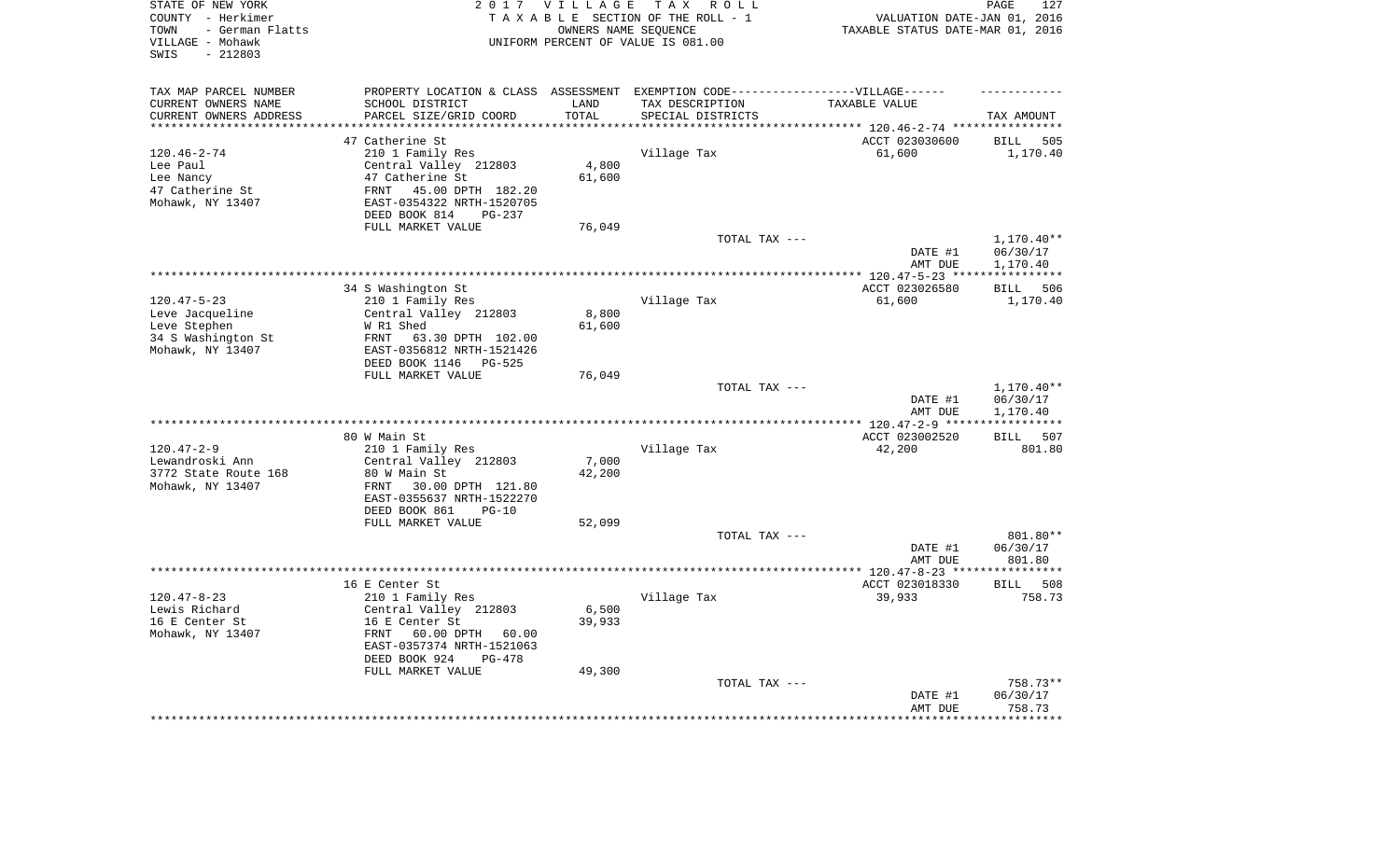| STATE OF NEW YORK<br>COUNTY - Herkimer<br>- German Flatts<br>TOWN<br>VILLAGE - Mohawk<br>$-212803$<br>SWIS | 2 0 1 7                                                                           | VILLAGE             | TAX ROLL<br>TAXABLE SECTION OF THE ROLL - 1<br>OWNERS NAME SEQUENCE<br>UNIFORM PERCENT OF VALUE IS 081.00 | VALUATION DATE-JAN 01, 2016<br>TAXABLE STATUS DATE-MAR 01, 2016 | 127<br>PAGE                    |
|------------------------------------------------------------------------------------------------------------|-----------------------------------------------------------------------------------|---------------------|-----------------------------------------------------------------------------------------------------------|-----------------------------------------------------------------|--------------------------------|
| TAX MAP PARCEL NUMBER                                                                                      | PROPERTY LOCATION & CLASS ASSESSMENT EXEMPTION CODE-----------------VILLAGE------ |                     |                                                                                                           |                                                                 |                                |
| CURRENT OWNERS NAME                                                                                        | SCHOOL DISTRICT                                                                   | LAND                | TAX DESCRIPTION                                                                                           | TAXABLE VALUE                                                   |                                |
| CURRENT OWNERS ADDRESS<br>*********************                                                            | PARCEL SIZE/GRID COORD<br>**************************                              | TOTAL<br>********** | SPECIAL DISTRICTS                                                                                         |                                                                 | TAX AMOUNT                     |
|                                                                                                            | 47 Catherine St                                                                   |                     |                                                                                                           |                                                                 |                                |
| $120.46 - 2 - 74$                                                                                          | 210 1 Family Res                                                                  |                     | Village Tax                                                                                               | ACCT 023030600<br>61,600                                        | <b>BILL</b><br>505<br>1,170.40 |
| Lee Paul                                                                                                   | Central Valley 212803                                                             | 4,800               |                                                                                                           |                                                                 |                                |
| Lee Nancy                                                                                                  | 47 Catherine St                                                                   | 61,600              |                                                                                                           |                                                                 |                                |
| 47 Catherine St                                                                                            | 45.00 DPTH 182.20<br>FRNT                                                         |                     |                                                                                                           |                                                                 |                                |
| Mohawk, NY 13407                                                                                           | EAST-0354322 NRTH-1520705                                                         |                     |                                                                                                           |                                                                 |                                |
|                                                                                                            | DEED BOOK 814<br>PG-237                                                           |                     |                                                                                                           |                                                                 |                                |
|                                                                                                            | FULL MARKET VALUE                                                                 | 76,049              |                                                                                                           |                                                                 |                                |
|                                                                                                            |                                                                                   |                     | TOTAL TAX ---                                                                                             |                                                                 | 1,170.40**                     |
|                                                                                                            |                                                                                   |                     |                                                                                                           | DATE #1                                                         | 06/30/17                       |
|                                                                                                            |                                                                                   |                     |                                                                                                           | AMT DUE                                                         | 1,170.40                       |
|                                                                                                            |                                                                                   |                     |                                                                                                           | ******* 120.47-5-23 ***                                         | * * * * * * * * * * *          |
| $120.47 - 5 - 23$                                                                                          | 34 S Washington St<br>210 1 Family Res                                            |                     | Village Tax                                                                                               | ACCT 023026580<br>61,600                                        | <b>BILL</b><br>506<br>1,170.40 |
| Leve Jacqueline                                                                                            | Central Valley 212803                                                             | 8,800               |                                                                                                           |                                                                 |                                |
| Leve Stephen                                                                                               | W R1 Shed                                                                         | 61,600              |                                                                                                           |                                                                 |                                |
| 34 S Washington St                                                                                         | FRNT<br>63.30 DPTH 102.00                                                         |                     |                                                                                                           |                                                                 |                                |
| Mohawk, NY 13407                                                                                           | EAST-0356812 NRTH-1521426                                                         |                     |                                                                                                           |                                                                 |                                |
|                                                                                                            | DEED BOOK 1146 PG-525                                                             |                     |                                                                                                           |                                                                 |                                |
|                                                                                                            | FULL MARKET VALUE                                                                 | 76,049              |                                                                                                           |                                                                 |                                |
|                                                                                                            |                                                                                   |                     | TOTAL TAX ---                                                                                             |                                                                 | 1,170.40**                     |
|                                                                                                            |                                                                                   |                     |                                                                                                           | DATE #1                                                         | 06/30/17                       |
|                                                                                                            |                                                                                   |                     | *********************                                                                                     | AMT DUE                                                         | 1,170.40                       |
|                                                                                                            | 80 W Main St                                                                      |                     |                                                                                                           | *** $120.47 - 2 - 9$ ***<br>ACCT 023002520                      | 507<br><b>BILL</b>             |
| $120.47 - 2 - 9$                                                                                           | 210 1 Family Res                                                                  |                     | Village Tax                                                                                               | 42,200                                                          | 801.80                         |
| Lewandroski Ann                                                                                            | Central Valley 212803                                                             | 7,000               |                                                                                                           |                                                                 |                                |
| 3772 State Route 168                                                                                       | 80 W Main St                                                                      | 42,200              |                                                                                                           |                                                                 |                                |
| Mohawk, NY 13407                                                                                           | FRNT<br>30.00 DPTH 121.80                                                         |                     |                                                                                                           |                                                                 |                                |
|                                                                                                            | EAST-0355637 NRTH-1522270                                                         |                     |                                                                                                           |                                                                 |                                |
|                                                                                                            | DEED BOOK 861<br>$PG-10$                                                          |                     |                                                                                                           |                                                                 |                                |
|                                                                                                            | FULL MARKET VALUE                                                                 | 52,099              |                                                                                                           |                                                                 |                                |
|                                                                                                            |                                                                                   |                     | TOTAL TAX ---                                                                                             |                                                                 | 801.80**                       |
|                                                                                                            |                                                                                   |                     |                                                                                                           | DATE #1                                                         | 06/30/17                       |
| *******************                                                                                        |                                                                                   |                     |                                                                                                           | AMT DUE<br>**************** 120.47-8-23 ****                    | 801.80<br>**********           |
|                                                                                                            | 16 E Center St                                                                    |                     |                                                                                                           | ACCT 023018330                                                  | <b>BILL</b><br>508             |
| $120.47 - 8 - 23$                                                                                          | 210 1 Family Res                                                                  |                     | Village Tax                                                                                               | 39,933                                                          | 758.73                         |
| Lewis Richard                                                                                              | Central Valley 212803                                                             | 6,500               |                                                                                                           |                                                                 |                                |
| 16 E Center St                                                                                             | 16 E Center St                                                                    | 39,933              |                                                                                                           |                                                                 |                                |
| Mohawk, NY 13407                                                                                           | FRNT<br>60.00 DPTH<br>60.00                                                       |                     |                                                                                                           |                                                                 |                                |
|                                                                                                            | EAST-0357374 NRTH-1521063                                                         |                     |                                                                                                           |                                                                 |                                |
|                                                                                                            | DEED BOOK 924<br>$PG-478$                                                         |                     |                                                                                                           |                                                                 |                                |
|                                                                                                            | FULL MARKET VALUE                                                                 | 49,300              |                                                                                                           |                                                                 |                                |
|                                                                                                            |                                                                                   |                     | TOTAL TAX ---                                                                                             | DATE #1                                                         | 758.73**<br>06/30/17           |
|                                                                                                            |                                                                                   |                     |                                                                                                           | AMT DUE                                                         | 758.73                         |
|                                                                                                            |                                                                                   |                     |                                                                                                           |                                                                 | ********                       |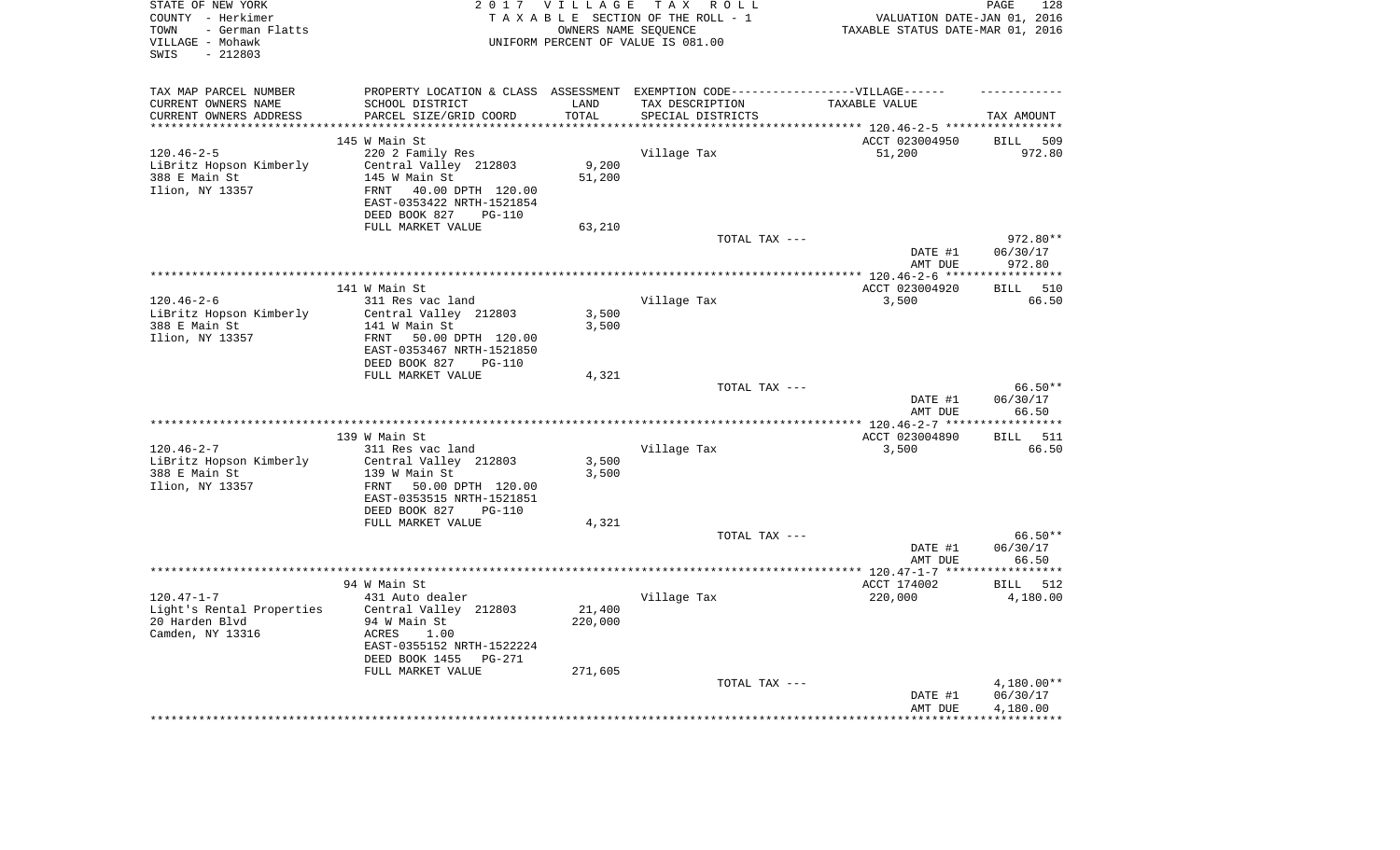| STATE OF NEW YORK<br>COUNTY - Herkimer<br>- German Flatts<br>TOWN<br>VILLAGE - Mohawk<br>SWIS<br>$-212803$ |                                                                                  | 2017 VILLAGE      | TAX ROLL<br>TAXABLE SECTION OF THE ROLL - 1<br>OWNERS NAME SEQUENCE<br>UNIFORM PERCENT OF VALUE IS 081.00 | VALUATION DATE-JAN 01, 2016<br>TAXABLE STATUS DATE-MAR 01, 2016 | 128<br>PAGE                                       |
|------------------------------------------------------------------------------------------------------------|----------------------------------------------------------------------------------|-------------------|-----------------------------------------------------------------------------------------------------------|-----------------------------------------------------------------|---------------------------------------------------|
| TAX MAP PARCEL NUMBER                                                                                      | PROPERTY LOCATION & CLASS ASSESSMENT EXEMPTION CODE----------------VILLAGE------ |                   |                                                                                                           |                                                                 |                                                   |
| CURRENT OWNERS NAME                                                                                        | SCHOOL DISTRICT                                                                  | LAND              | TAX DESCRIPTION                                                                                           | TAXABLE VALUE                                                   |                                                   |
| CURRENT OWNERS ADDRESS                                                                                     | PARCEL SIZE/GRID COORD                                                           | TOTAL             | SPECIAL DISTRICTS                                                                                         |                                                                 | TAX AMOUNT                                        |
| **********************                                                                                     |                                                                                  |                   |                                                                                                           |                                                                 |                                                   |
|                                                                                                            | 145 W Main St                                                                    |                   |                                                                                                           | ACCT 023004950                                                  | 509<br><b>BILL</b>                                |
| $120.46 - 2 - 5$                                                                                           | 220 2 Family Res                                                                 | 9,200             | Village Tax                                                                                               | 51,200                                                          | 972.80                                            |
| LiBritz Hopson Kimberly<br>388 E Main St                                                                   | Central Valley 212803<br>145 W Main St                                           | 51,200            |                                                                                                           |                                                                 |                                                   |
| Ilion, NY 13357                                                                                            | 40.00 DPTH 120.00<br>FRNT                                                        |                   |                                                                                                           |                                                                 |                                                   |
|                                                                                                            | EAST-0353422 NRTH-1521854                                                        |                   |                                                                                                           |                                                                 |                                                   |
|                                                                                                            | DEED BOOK 827<br><b>PG-110</b><br>FULL MARKET VALUE                              |                   |                                                                                                           |                                                                 |                                                   |
|                                                                                                            |                                                                                  | 63,210            | TOTAL TAX ---                                                                                             |                                                                 | 972.80**                                          |
|                                                                                                            |                                                                                  |                   |                                                                                                           | DATE #1                                                         | 06/30/17                                          |
|                                                                                                            |                                                                                  |                   |                                                                                                           | AMT DUE                                                         | 972.80                                            |
|                                                                                                            |                                                                                  |                   |                                                                                                           |                                                                 |                                                   |
|                                                                                                            | 141 W Main St                                                                    |                   |                                                                                                           | ACCT 023004920                                                  | 510<br><b>BILL</b>                                |
| $120.46 - 2 - 6$                                                                                           | 311 Res vac land                                                                 |                   | Village Tax                                                                                               | 3,500                                                           | 66.50                                             |
| LiBritz Hopson Kimberly                                                                                    | Central Valley 212803                                                            | 3,500             |                                                                                                           |                                                                 |                                                   |
| 388 E Main St                                                                                              | 141 W Main St                                                                    | 3,500             |                                                                                                           |                                                                 |                                                   |
| Ilion, NY 13357                                                                                            | FRNT<br>50.00 DPTH 120.00                                                        |                   |                                                                                                           |                                                                 |                                                   |
|                                                                                                            | EAST-0353467 NRTH-1521850                                                        |                   |                                                                                                           |                                                                 |                                                   |
|                                                                                                            | DEED BOOK 827<br><b>PG-110</b>                                                   |                   |                                                                                                           |                                                                 |                                                   |
|                                                                                                            | FULL MARKET VALUE                                                                | 4,321             | TOTAL TAX ---                                                                                             |                                                                 | 66.50**                                           |
|                                                                                                            |                                                                                  |                   |                                                                                                           | DATE #1<br>AMT DUE                                              | 06/30/17<br>66.50                                 |
|                                                                                                            |                                                                                  |                   |                                                                                                           | ***************** 120.46-2-7 ***                                | **********                                        |
|                                                                                                            | 139 W Main St                                                                    |                   |                                                                                                           | ACCT 023004890                                                  | 511<br><b>BILL</b>                                |
| $120.46 - 2 - 7$                                                                                           | 311 Res vac land                                                                 |                   | Village Tax                                                                                               | 3,500                                                           | 66.50                                             |
| LiBritz Hopson Kimberly                                                                                    | Central Valley 212803                                                            | 3,500             |                                                                                                           |                                                                 |                                                   |
| 388 E Main St                                                                                              | 139 W Main St                                                                    | 3,500             |                                                                                                           |                                                                 |                                                   |
| Ilion, NY 13357                                                                                            | FRNT<br>50.00 DPTH 120.00                                                        |                   |                                                                                                           |                                                                 |                                                   |
|                                                                                                            | EAST-0353515 NRTH-1521851                                                        |                   |                                                                                                           |                                                                 |                                                   |
|                                                                                                            | DEED BOOK 827<br><b>PG-110</b>                                                   |                   |                                                                                                           |                                                                 |                                                   |
|                                                                                                            | FULL MARKET VALUE                                                                | 4,321             |                                                                                                           |                                                                 |                                                   |
|                                                                                                            |                                                                                  |                   | TOTAL TAX ---                                                                                             | DATE #1                                                         | $66.50**$<br>06/30/17                             |
|                                                                                                            |                                                                                  |                   |                                                                                                           | AMT DUE                                                         | 66.50                                             |
|                                                                                                            |                                                                                  |                   |                                                                                                           |                                                                 | ***********                                       |
|                                                                                                            | 94 W Main St                                                                     |                   |                                                                                                           | ACCT 174002                                                     | <b>BILL</b><br>512                                |
| $120.47 - 1 - 7$                                                                                           | 431 Auto dealer                                                                  |                   | Village Tax                                                                                               | 220,000                                                         | 4,180.00                                          |
| Light's Rental Properties<br>20 Harden Blvd<br>Camden, NY 13316                                            | Central Valley 212803<br>94 W Main St<br>ACRES<br>1.00                           | 21,400<br>220,000 |                                                                                                           |                                                                 |                                                   |
|                                                                                                            | EAST-0355152 NRTH-1522224<br>DEED BOOK 1455<br>$PG-271$                          |                   |                                                                                                           |                                                                 |                                                   |
|                                                                                                            | FULL MARKET VALUE                                                                | 271,605           |                                                                                                           |                                                                 |                                                   |
|                                                                                                            |                                                                                  |                   | TOTAL TAX ---                                                                                             | DATE #1<br>AMT DUE                                              | 4,180.00**<br>06/30/17<br>4,180.00<br>*********** |
|                                                                                                            |                                                                                  |                   |                                                                                                           |                                                                 |                                                   |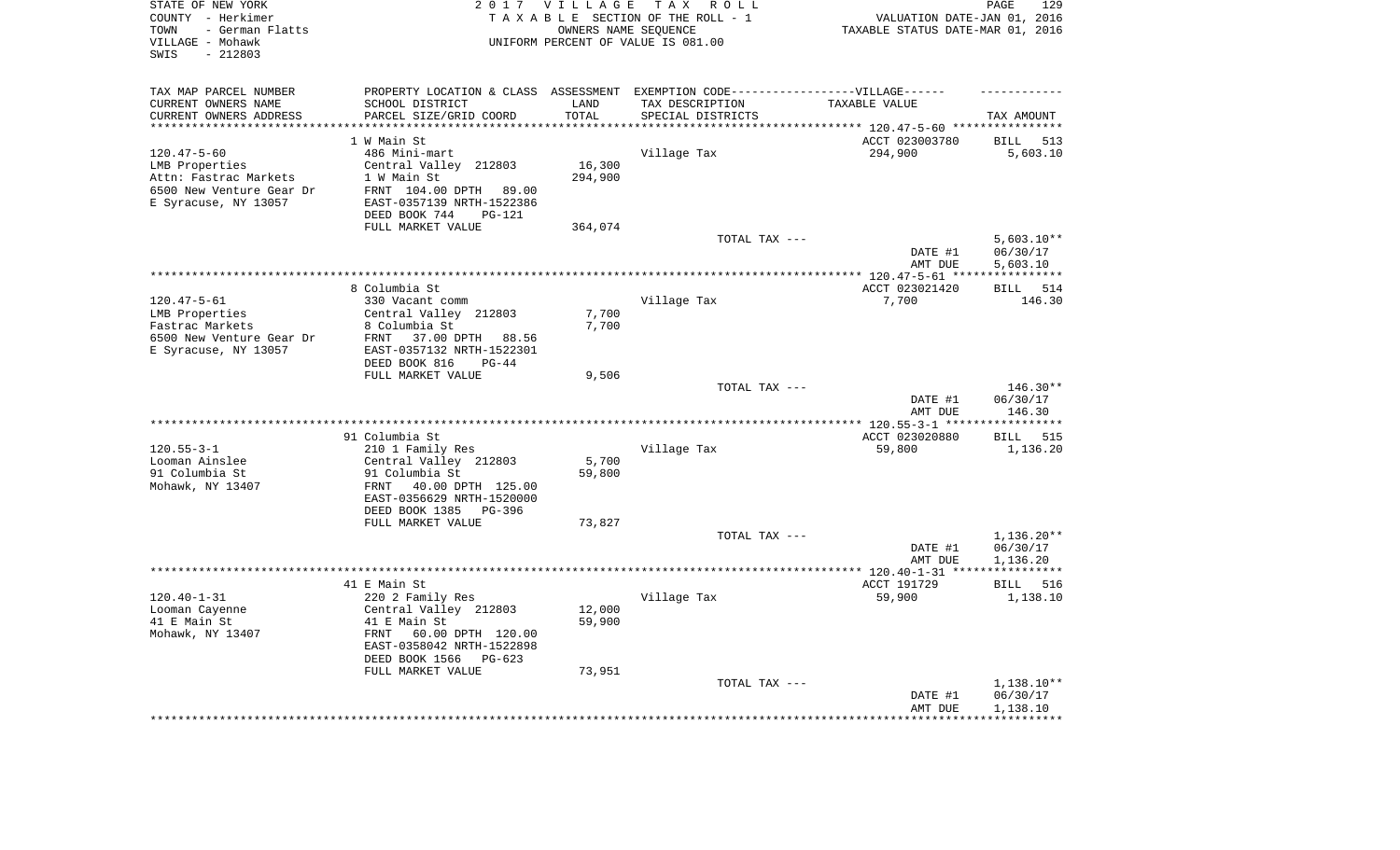| STATE OF NEW YORK<br>COUNTY - Herkimer<br>- German Flatts<br>TOWN<br>VILLAGE - Mohawk<br>$-212803$<br>SWIS | 2 0 1 7                                                                           | VILLAGE            | TAX ROLL<br>TAXABLE SECTION OF THE ROLL - 1<br>OWNERS NAME SEQUENCE<br>UNIFORM PERCENT OF VALUE IS 081.00 | VALUATION DATE-JAN 01, 2016<br>TAXABLE STATUS DATE-MAR 01, 2016 | PAGE<br>129          |
|------------------------------------------------------------------------------------------------------------|-----------------------------------------------------------------------------------|--------------------|-----------------------------------------------------------------------------------------------------------|-----------------------------------------------------------------|----------------------|
| TAX MAP PARCEL NUMBER                                                                                      | PROPERTY LOCATION & CLASS ASSESSMENT EXEMPTION CODE-----------------VILLAGE------ |                    |                                                                                                           |                                                                 |                      |
| CURRENT OWNERS NAME                                                                                        | SCHOOL DISTRICT                                                                   | LAND               | TAX DESCRIPTION                                                                                           | TAXABLE VALUE                                                   |                      |
| CURRENT OWNERS ADDRESS<br>*********************                                                            | PARCEL SIZE/GRID COORD                                                            | TOTAL<br>********* | SPECIAL DISTRICTS                                                                                         |                                                                 | TAX AMOUNT           |
|                                                                                                            | 1 W Main St                                                                       |                    |                                                                                                           | ACCT 023003780                                                  | <b>BILL</b><br>513   |
| $120.47 - 5 - 60$                                                                                          | 486 Mini-mart                                                                     |                    | Village Tax                                                                                               | 294,900                                                         | 5,603.10             |
| LMB Properties                                                                                             | Central Valley 212803                                                             | 16,300             |                                                                                                           |                                                                 |                      |
| Attn: Fastrac Markets                                                                                      | 1 W Main St                                                                       | 294,900            |                                                                                                           |                                                                 |                      |
| 6500 New Venture Gear Dr                                                                                   | FRNT 104.00 DPTH 89.00                                                            |                    |                                                                                                           |                                                                 |                      |
| E Syracuse, NY 13057                                                                                       | EAST-0357139 NRTH-1522386                                                         |                    |                                                                                                           |                                                                 |                      |
|                                                                                                            | DEED BOOK 744<br>$PG-121$                                                         |                    |                                                                                                           |                                                                 |                      |
|                                                                                                            | FULL MARKET VALUE                                                                 | 364,074            |                                                                                                           |                                                                 |                      |
|                                                                                                            |                                                                                   |                    | TOTAL TAX ---                                                                                             |                                                                 | $5,603.10**$         |
|                                                                                                            |                                                                                   |                    |                                                                                                           | DATE #1                                                         | 06/30/17             |
|                                                                                                            |                                                                                   |                    |                                                                                                           | AMT DUE                                                         | 5,603.10             |
|                                                                                                            | ***********                                                                       |                    |                                                                                                           | *********** 120.47-5-61 ****                                    | ***********          |
|                                                                                                            | 8 Columbia St                                                                     |                    |                                                                                                           | ACCT 023021420                                                  | 514<br><b>BILL</b>   |
| $120.47 - 5 - 61$<br>LMB Properties                                                                        | 330 Vacant comm<br>Central Valley 212803                                          | 7,700              | Village Tax                                                                                               | 7,700                                                           | 146.30               |
| Fastrac Markets                                                                                            | 8 Columbia St                                                                     | 7,700              |                                                                                                           |                                                                 |                      |
| 6500 New Venture Gear Dr                                                                                   | 37.00 DPTH 88.56<br>FRNT                                                          |                    |                                                                                                           |                                                                 |                      |
| E Syracuse, NY 13057                                                                                       | EAST-0357132 NRTH-1522301                                                         |                    |                                                                                                           |                                                                 |                      |
|                                                                                                            | DEED BOOK 816<br>$PG-44$                                                          |                    |                                                                                                           |                                                                 |                      |
|                                                                                                            | FULL MARKET VALUE                                                                 | 9,506              |                                                                                                           |                                                                 |                      |
|                                                                                                            |                                                                                   |                    | TOTAL TAX ---                                                                                             |                                                                 | 146.30**             |
|                                                                                                            |                                                                                   |                    |                                                                                                           | DATE #1                                                         | 06/30/17             |
|                                                                                                            |                                                                                   |                    | ************************                                                                                  | AMT DUE                                                         | 146.30<br>********** |
|                                                                                                            | 91 Columbia St                                                                    |                    |                                                                                                           | ********* 120.55-3-1 ****<br>ACCT 023020880                     | <b>BILL</b> 515      |
| $120.55 - 3 - 1$                                                                                           | 210 1 Family Res                                                                  |                    | Village Tax                                                                                               | 59,800                                                          | 1,136.20             |
| Looman Ainslee                                                                                             | Central Valley 212803                                                             | 5,700              |                                                                                                           |                                                                 |                      |
| 91 Columbia St                                                                                             | 91 Columbia St                                                                    | 59,800             |                                                                                                           |                                                                 |                      |
| Mohawk, NY 13407                                                                                           | 40.00 DPTH 125.00<br>FRNT                                                         |                    |                                                                                                           |                                                                 |                      |
|                                                                                                            | EAST-0356629 NRTH-1520000                                                         |                    |                                                                                                           |                                                                 |                      |
|                                                                                                            | DEED BOOK 1385<br>PG-396                                                          |                    |                                                                                                           |                                                                 |                      |
|                                                                                                            | FULL MARKET VALUE                                                                 | 73,827             |                                                                                                           |                                                                 |                      |
|                                                                                                            |                                                                                   |                    | TOTAL TAX ---                                                                                             |                                                                 | $1,136.20**$         |
|                                                                                                            |                                                                                   |                    |                                                                                                           | DATE #1                                                         | 06/30/17             |
|                                                                                                            |                                                                                   |                    |                                                                                                           | AMT DUE                                                         | 1,136.20             |
|                                                                                                            | 41 E Main St                                                                      |                    |                                                                                                           | ACCT 191729                                                     | BILL 516             |
| $120.40 - 1 - 31$                                                                                          | 220 2 Family Res                                                                  |                    | Village Tax                                                                                               | 59,900                                                          | 1,138.10             |
| Looman Cayenne                                                                                             | Central Valley 212803                                                             | 12,000             |                                                                                                           |                                                                 |                      |
| 41 E Main St                                                                                               | 41 E Main St                                                                      | 59,900             |                                                                                                           |                                                                 |                      |
| Mohawk, NY 13407                                                                                           | 60.00 DPTH 120.00<br>FRNT                                                         |                    |                                                                                                           |                                                                 |                      |
|                                                                                                            | EAST-0358042 NRTH-1522898                                                         |                    |                                                                                                           |                                                                 |                      |
|                                                                                                            | DEED BOOK 1566<br>$PG-623$                                                        |                    |                                                                                                           |                                                                 |                      |
|                                                                                                            | FULL MARKET VALUE                                                                 | 73,951             |                                                                                                           |                                                                 |                      |
|                                                                                                            |                                                                                   |                    | TOTAL TAX ---                                                                                             |                                                                 | 1,138.10**           |
|                                                                                                            |                                                                                   |                    |                                                                                                           | DATE #1                                                         | 06/30/17             |
|                                                                                                            |                                                                                   |                    |                                                                                                           | AMT DUE                                                         | 1,138.10             |
|                                                                                                            |                                                                                   |                    |                                                                                                           |                                                                 |                      |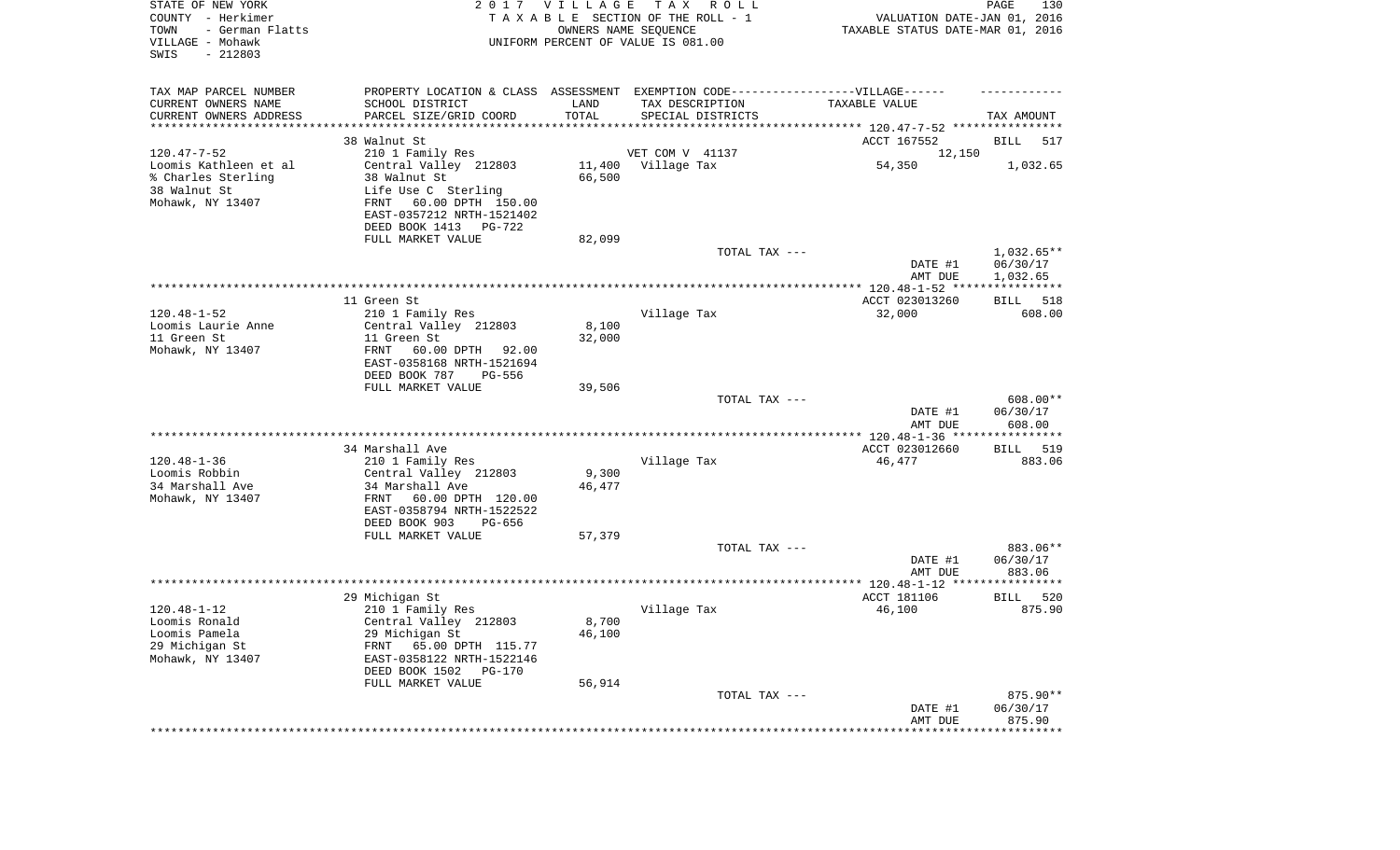| STATE OF NEW YORK<br>COUNTY - Herkimer<br>TOWN<br>- German Flatts<br>VILLAGE - Mohawk<br>SWIS<br>$-212803$ |                                                                                  | 2017 VILLAGE | T A X<br>R O L L<br>TAXABLE SECTION OF THE ROLL - 1<br>OWNERS NAME SEQUENCE<br>UNIFORM PERCENT OF VALUE IS 081.00 | VALUATION DATE-JAN 01, 2016<br>TAXABLE STATUS DATE-MAR 01, 2016 | PAGE<br>130              |
|------------------------------------------------------------------------------------------------------------|----------------------------------------------------------------------------------|--------------|-------------------------------------------------------------------------------------------------------------------|-----------------------------------------------------------------|--------------------------|
| TAX MAP PARCEL NUMBER                                                                                      | PROPERTY LOCATION & CLASS ASSESSMENT EXEMPTION CODE----------------VILLAGE------ |              |                                                                                                                   |                                                                 |                          |
| CURRENT OWNERS NAME                                                                                        | SCHOOL DISTRICT                                                                  | LAND         | TAX DESCRIPTION                                                                                                   | TAXABLE VALUE                                                   |                          |
| CURRENT OWNERS ADDRESS<br>********************                                                             | PARCEL SIZE/GRID COORD                                                           | TOTAL        | SPECIAL DISTRICTS                                                                                                 |                                                                 | TAX AMOUNT               |
|                                                                                                            | 38 Walnut St                                                                     |              |                                                                                                                   | ACCT 167552                                                     | BILL<br>517              |
| $120.47 - 7 - 52$                                                                                          | 210 1 Family Res                                                                 |              | VET COM V 41137                                                                                                   | 12,150                                                          |                          |
| Loomis Kathleen et al                                                                                      | Central Valley 212803                                                            |              | 11,400 Village Tax                                                                                                | 54,350                                                          | 1,032.65                 |
| % Charles Sterling                                                                                         | 38 Walnut St                                                                     | 66,500       |                                                                                                                   |                                                                 |                          |
| 38 Walnut St                                                                                               | Life Use C Sterling                                                              |              |                                                                                                                   |                                                                 |                          |
| Mohawk, NY 13407                                                                                           | 60.00 DPTH 150.00<br>FRNT                                                        |              |                                                                                                                   |                                                                 |                          |
|                                                                                                            | EAST-0357212 NRTH-1521402                                                        |              |                                                                                                                   |                                                                 |                          |
|                                                                                                            | DEED BOOK 1413 PG-722                                                            |              |                                                                                                                   |                                                                 |                          |
|                                                                                                            | FULL MARKET VALUE                                                                | 82,099       |                                                                                                                   |                                                                 |                          |
|                                                                                                            |                                                                                  |              | TOTAL TAX ---                                                                                                     | DATE #1                                                         | $1,032.65**$<br>06/30/17 |
|                                                                                                            |                                                                                  |              |                                                                                                                   | AMT DUE                                                         | 1,032.65                 |
|                                                                                                            |                                                                                  |              |                                                                                                                   |                                                                 |                          |
|                                                                                                            | 11 Green St                                                                      |              |                                                                                                                   | ACCT 023013260                                                  | BILL 518                 |
| $120.48 - 1 - 52$                                                                                          | 210 1 Family Res                                                                 |              | Village Tax                                                                                                       | 32,000                                                          | 608.00                   |
| Loomis Laurie Anne                                                                                         | Central Valley 212803                                                            | 8,100        |                                                                                                                   |                                                                 |                          |
| 11 Green St                                                                                                | 11 Green St                                                                      | 32,000       |                                                                                                                   |                                                                 |                          |
| Mohawk, NY 13407                                                                                           | FRNT<br>60.00 DPTH<br>92.00                                                      |              |                                                                                                                   |                                                                 |                          |
|                                                                                                            | EAST-0358168 NRTH-1521694<br>DEED BOOK 787<br>PG-556                             |              |                                                                                                                   |                                                                 |                          |
|                                                                                                            | FULL MARKET VALUE                                                                | 39,506       |                                                                                                                   |                                                                 |                          |
|                                                                                                            |                                                                                  |              | TOTAL TAX ---                                                                                                     |                                                                 | 608.00**                 |
|                                                                                                            |                                                                                  |              |                                                                                                                   | DATE #1                                                         | 06/30/17                 |
|                                                                                                            |                                                                                  |              |                                                                                                                   | AMT DUE                                                         | 608.00                   |
|                                                                                                            |                                                                                  |              |                                                                                                                   | ************** 120.48-1-36 *****************                    |                          |
|                                                                                                            | 34 Marshall Ave                                                                  |              |                                                                                                                   | ACCT 023012660                                                  | 519<br>BILL              |
| $120.48 - 1 - 36$<br>Loomis Robbin                                                                         | 210 1 Family Res<br>Central Valley 212803                                        | 9,300        | Village Tax                                                                                                       | 46,477                                                          | 883.06                   |
| 34 Marshall Ave                                                                                            | 34 Marshall Ave                                                                  | 46,477       |                                                                                                                   |                                                                 |                          |
| Mohawk, NY 13407                                                                                           | FRNT<br>60.00 DPTH 120.00                                                        |              |                                                                                                                   |                                                                 |                          |
|                                                                                                            | EAST-0358794 NRTH-1522522                                                        |              |                                                                                                                   |                                                                 |                          |
|                                                                                                            | DEED BOOK 903<br>PG-656                                                          |              |                                                                                                                   |                                                                 |                          |
|                                                                                                            | FULL MARKET VALUE                                                                | 57,379       |                                                                                                                   |                                                                 |                          |
|                                                                                                            |                                                                                  |              | TOTAL TAX ---                                                                                                     |                                                                 | 883.06**                 |
|                                                                                                            |                                                                                  |              |                                                                                                                   | DATE #1                                                         | 06/30/17                 |
|                                                                                                            |                                                                                  |              |                                                                                                                   | AMT DUE                                                         | 883.06                   |
|                                                                                                            | 29 Michigan St                                                                   |              |                                                                                                                   | ACCT 181106                                                     | 520<br>BILL              |
| $120.48 - 1 - 12$                                                                                          | 210 1 Family Res                                                                 |              | Village Tax                                                                                                       | 46,100                                                          | 875.90                   |
| Loomis Ronald                                                                                              | Central Valley 212803                                                            | 8,700        |                                                                                                                   |                                                                 |                          |
| Loomis Pamela                                                                                              | 29 Michigan St                                                                   | 46,100       |                                                                                                                   |                                                                 |                          |
| 29 Michigan St                                                                                             | 65.00 DPTH 115.77<br>FRNT                                                        |              |                                                                                                                   |                                                                 |                          |
| Mohawk, NY 13407                                                                                           | EAST-0358122 NRTH-1522146                                                        |              |                                                                                                                   |                                                                 |                          |
|                                                                                                            | DEED BOOK 1502<br><b>PG-170</b>                                                  |              |                                                                                                                   |                                                                 |                          |
|                                                                                                            | FULL MARKET VALUE                                                                | 56,914       | TOTAL TAX ---                                                                                                     |                                                                 | 875.90**                 |
|                                                                                                            |                                                                                  |              |                                                                                                                   | DATE #1                                                         | 06/30/17                 |
|                                                                                                            |                                                                                  |              |                                                                                                                   | AMT DUE                                                         | 875.90                   |
|                                                                                                            |                                                                                  |              |                                                                                                                   | ***********************************                             |                          |
|                                                                                                            |                                                                                  |              |                                                                                                                   |                                                                 |                          |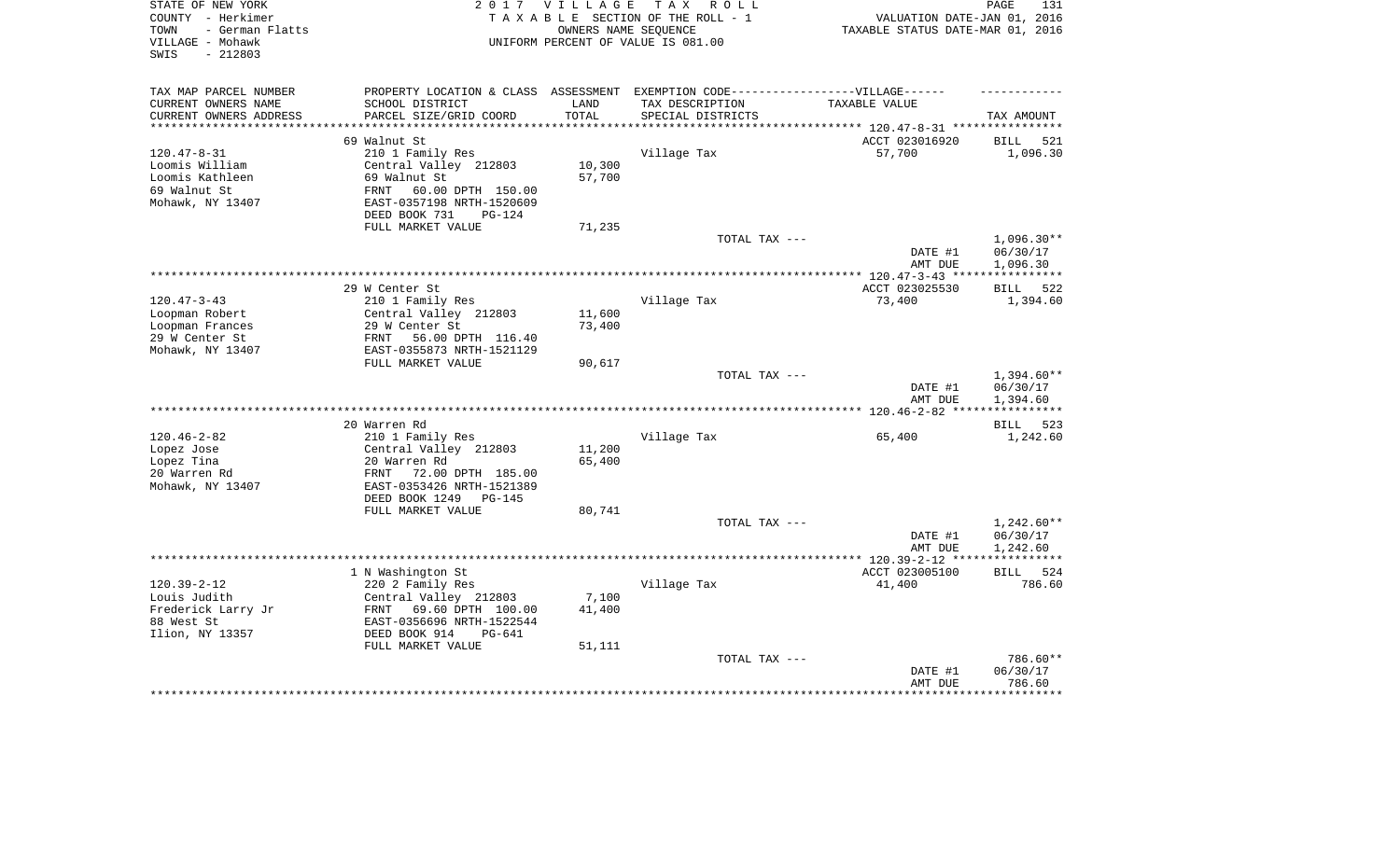| STATE OF NEW YORK<br>COUNTY - Herkimer<br>- German Flatts<br>TOWN<br>VILLAGE - Mohawk<br>$-212803$<br>SWIS |                                                    | 2017 VILLAGE<br>OWNERS NAME SEOUENCE | T A X<br>R O L L<br>TAXABLE SECTION OF THE ROLL - 1<br>UNIFORM PERCENT OF VALUE IS 081.00 | VALUATION DATE-JAN 01, 2016<br>TAXABLE STATUS DATE-MAR 01, 2016 | PAGE<br>131                  |
|------------------------------------------------------------------------------------------------------------|----------------------------------------------------|--------------------------------------|-------------------------------------------------------------------------------------------|-----------------------------------------------------------------|------------------------------|
| TAX MAP PARCEL NUMBER                                                                                      | PROPERTY LOCATION & CLASS                          | ASSESSMENT                           | EXEMPTION CODE------------------VILLAGE------                                             |                                                                 |                              |
| CURRENT OWNERS NAME                                                                                        | SCHOOL DISTRICT                                    | LAND                                 | TAX DESCRIPTION                                                                           | TAXABLE VALUE                                                   |                              |
| CURRENT OWNERS ADDRESS<br>***********************                                                          | PARCEL SIZE/GRID COORD                             | TOTAL                                | SPECIAL DISTRICTS                                                                         |                                                                 | TAX AMOUNT                   |
|                                                                                                            | 69 Walnut St                                       |                                      |                                                                                           | ACCT 023016920                                                  | BILL<br>521                  |
| $120.47 - 8 - 31$                                                                                          | 210 1 Family Res                                   |                                      | Village Tax                                                                               | 57,700                                                          | 1,096.30                     |
| Loomis William                                                                                             | Central Valley 212803                              | 10,300                               |                                                                                           |                                                                 |                              |
| Loomis Kathleen                                                                                            | 69 Walnut St                                       | 57,700                               |                                                                                           |                                                                 |                              |
| 69 Walnut St                                                                                               | 60.00 DPTH 150.00<br>FRNT                          |                                      |                                                                                           |                                                                 |                              |
| Mohawk, NY 13407                                                                                           | EAST-0357198 NRTH-1520609                          |                                      |                                                                                           |                                                                 |                              |
|                                                                                                            | DEED BOOK 731<br>PG-124                            |                                      |                                                                                           |                                                                 |                              |
|                                                                                                            | FULL MARKET VALUE                                  | 71,235                               |                                                                                           |                                                                 |                              |
|                                                                                                            |                                                    |                                      | TOTAL TAX ---                                                                             |                                                                 | $1,096.30**$                 |
|                                                                                                            |                                                    |                                      |                                                                                           | DATE #1<br>AMT DUE                                              | 06/30/17<br>1,096.30<br>**** |
|                                                                                                            | 29 W Center St                                     |                                      |                                                                                           |                                                                 | *****<br>522                 |
| $120.47 - 3 - 43$                                                                                          | 210 1 Family Res                                   |                                      | Village Tax                                                                               | ACCT 023025530<br>73,400                                        | <b>BILL</b><br>1,394.60      |
| Loopman Robert                                                                                             | Central Valley 212803                              | 11,600                               |                                                                                           |                                                                 |                              |
| Loopman Frances                                                                                            | 29 W Center St                                     | 73,400                               |                                                                                           |                                                                 |                              |
| 29 W Center St                                                                                             | 56.00 DPTH 116.40<br>FRNT                          |                                      |                                                                                           |                                                                 |                              |
| Mohawk, NY 13407                                                                                           | EAST-0355873 NRTH-1521129                          |                                      |                                                                                           |                                                                 |                              |
|                                                                                                            | FULL MARKET VALUE                                  | 90,617                               |                                                                                           |                                                                 |                              |
|                                                                                                            |                                                    |                                      | TOTAL TAX ---                                                                             |                                                                 | 1,394.60**                   |
|                                                                                                            |                                                    |                                      |                                                                                           | DATE #1<br>AMT DUE                                              | 06/30/17<br>1,394.60         |
|                                                                                                            |                                                    | *********                            |                                                                                           | ** $120.46 - 2 - 82$                                            |                              |
| $120.46 - 2 - 82$                                                                                          | 20 Warren Rd                                       |                                      |                                                                                           |                                                                 | 523<br><b>BILL</b>           |
| Lopez Jose                                                                                                 | 210 1 Family Res<br>Central Valley 212803          | 11,200                               | Village Tax                                                                               | 65,400                                                          | 1,242.60                     |
| Lopez Tina                                                                                                 | 20 Warren Rd                                       | 65,400                               |                                                                                           |                                                                 |                              |
| 20 Warren Rd                                                                                               | <b>FRNT</b><br>72.00 DPTH 185.00                   |                                      |                                                                                           |                                                                 |                              |
| Mohawk, NY 13407                                                                                           | EAST-0353426 NRTH-1521389                          |                                      |                                                                                           |                                                                 |                              |
|                                                                                                            | DEED BOOK 1249<br>$PG-145$                         |                                      |                                                                                           |                                                                 |                              |
|                                                                                                            | FULL MARKET VALUE                                  | 80,741                               |                                                                                           |                                                                 |                              |
|                                                                                                            |                                                    |                                      | TOTAL TAX ---                                                                             |                                                                 | 1,242.60**                   |
|                                                                                                            |                                                    |                                      |                                                                                           | DATE #1                                                         | 06/30/17                     |
|                                                                                                            |                                                    |                                      |                                                                                           | AMT DUE                                                         | 1,242.60                     |
|                                                                                                            |                                                    |                                      |                                                                                           | *********** 120.39-2-12 **                                      |                              |
|                                                                                                            | 1 N Washington St                                  |                                      |                                                                                           | ACCT 023005100                                                  | <b>BILL</b><br>524           |
| $120.39 - 2 - 12$<br>Louis Judith                                                                          | 220 2 Family Res                                   | 7,100                                | Village Tax                                                                               | 41,400                                                          | 786.60                       |
| Frederick Larry Jr                                                                                         | Central Valley 212803<br>FRNT<br>69.60 DPTH 100.00 | 41,400                               |                                                                                           |                                                                 |                              |
| 88 West St                                                                                                 | EAST-0356696 NRTH-1522544                          |                                      |                                                                                           |                                                                 |                              |
| Ilion, NY 13357                                                                                            | DEED BOOK 914<br>PG-641                            |                                      |                                                                                           |                                                                 |                              |
|                                                                                                            | FULL MARKET VALUE                                  | 51,111                               |                                                                                           |                                                                 |                              |
|                                                                                                            |                                                    |                                      | TOTAL TAX ---                                                                             |                                                                 | 786.60**                     |
|                                                                                                            |                                                    |                                      |                                                                                           | DATE #1                                                         | 06/30/17                     |
|                                                                                                            |                                                    |                                      |                                                                                           | AMT DUE                                                         | 786.60                       |
|                                                                                                            |                                                    |                                      |                                                                                           |                                                                 | ********                     |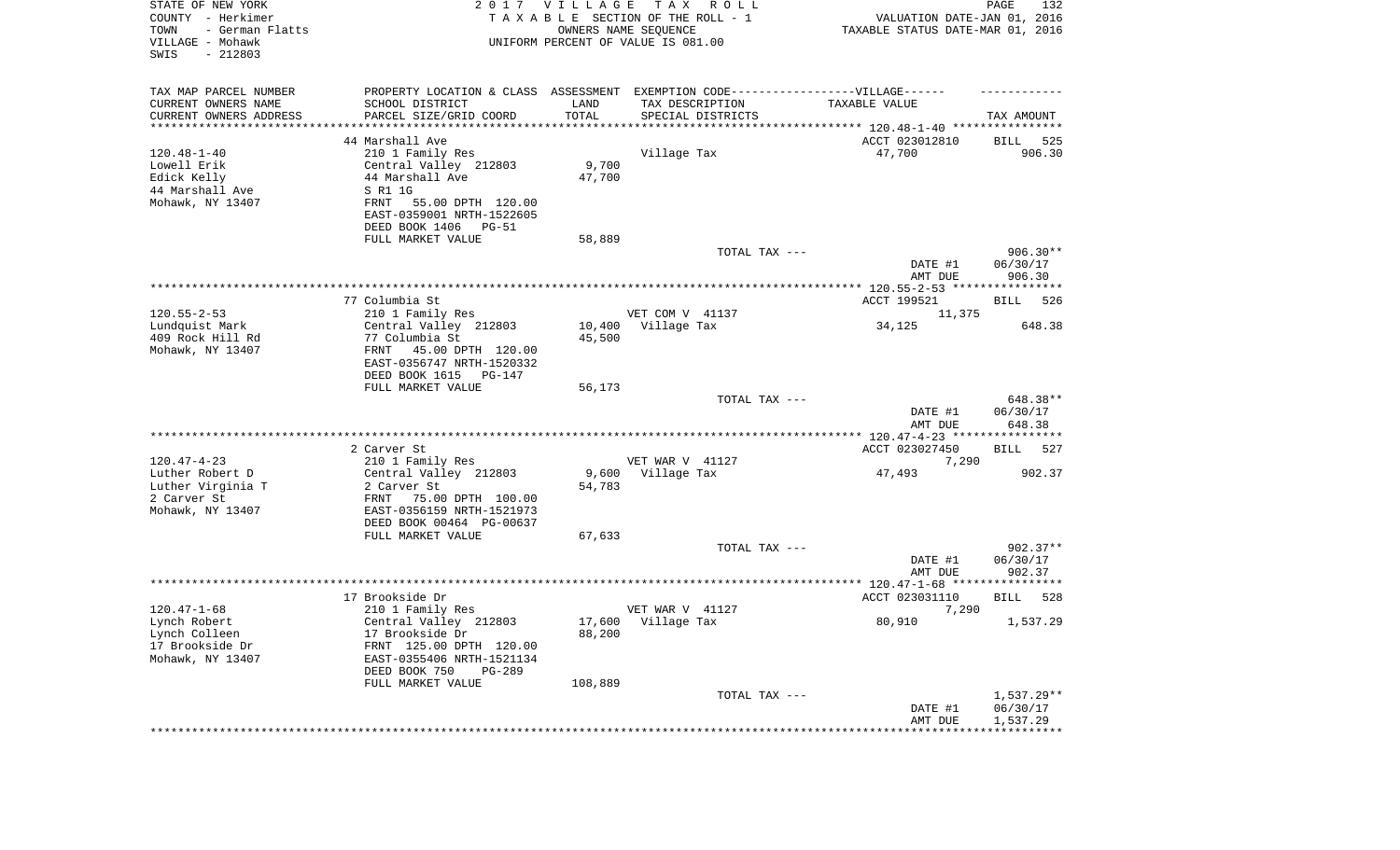| STATE OF NEW YORK<br>COUNTY - Herkimer<br>TOWN<br>- German Flatts<br>VILLAGE - Mohawk<br>SWIS<br>$-212803$ |                                                                                   | 2017 VILLAGE | T A X<br>R O L L<br>TAXABLE SECTION OF THE ROLL - 1<br>OWNERS NAME SEQUENCE<br>UNIFORM PERCENT OF VALUE IS 081.00 | VALUATION DATE-JAN 01, 2016<br>TAXABLE STATUS DATE-MAR 01, 2016             | PAGE<br>132              |
|------------------------------------------------------------------------------------------------------------|-----------------------------------------------------------------------------------|--------------|-------------------------------------------------------------------------------------------------------------------|-----------------------------------------------------------------------------|--------------------------|
| TAX MAP PARCEL NUMBER                                                                                      | PROPERTY LOCATION & CLASS ASSESSMENT EXEMPTION CODE-----------------VILLAGE------ |              |                                                                                                                   |                                                                             |                          |
| CURRENT OWNERS NAME                                                                                        | SCHOOL DISTRICT                                                                   | LAND         | TAX DESCRIPTION                                                                                                   | TAXABLE VALUE                                                               |                          |
| CURRENT OWNERS ADDRESS                                                                                     | PARCEL SIZE/GRID COORD                                                            | TOTAL        | SPECIAL DISTRICTS                                                                                                 |                                                                             | TAX AMOUNT               |
| ********************                                                                                       |                                                                                   |              |                                                                                                                   |                                                                             |                          |
| $120.48 - 1 - 40$                                                                                          | 44 Marshall Ave                                                                   |              | Village Tax                                                                                                       | ACCT 023012810<br>47,700                                                    | 525<br>BILL<br>906.30    |
| Lowell Erik                                                                                                | 210 1 Family Res<br>Central Valley 212803                                         | 9,700        |                                                                                                                   |                                                                             |                          |
| Edick Kelly                                                                                                | 44 Marshall Ave                                                                   | 47,700       |                                                                                                                   |                                                                             |                          |
| 44 Marshall Ave                                                                                            | S R1 1G                                                                           |              |                                                                                                                   |                                                                             |                          |
| Mohawk, NY 13407                                                                                           | 55.00 DPTH 120.00<br>FRNT                                                         |              |                                                                                                                   |                                                                             |                          |
|                                                                                                            | EAST-0359001 NRTH-1522605                                                         |              |                                                                                                                   |                                                                             |                          |
|                                                                                                            | DEED BOOK 1406<br>PG-51                                                           |              |                                                                                                                   |                                                                             |                          |
|                                                                                                            | FULL MARKET VALUE                                                                 | 58,889       |                                                                                                                   |                                                                             |                          |
|                                                                                                            |                                                                                   |              | TOTAL TAX ---                                                                                                     |                                                                             | $906.30**$               |
|                                                                                                            |                                                                                   |              |                                                                                                                   | DATE #1<br>AMT DUE                                                          | 06/30/17<br>906.30       |
|                                                                                                            | 77 Columbia St                                                                    |              |                                                                                                                   | ACCT 199521                                                                 | BILL 526                 |
| $120.55 - 2 - 53$                                                                                          | 210 1 Family Res                                                                  |              | VET COM V 41137                                                                                                   | 11,375                                                                      |                          |
| Lundquist Mark                                                                                             | Central Valley 212803                                                             | 10,400       | Village Tax                                                                                                       | 34,125                                                                      | 648.38                   |
| 409 Rock Hill Rd                                                                                           | 77 Columbia St                                                                    | 45,500       |                                                                                                                   |                                                                             |                          |
| Mohawk, NY 13407                                                                                           | 45.00 DPTH 120.00<br>FRNT<br>EAST-0356747 NRTH-1520332                            |              |                                                                                                                   |                                                                             |                          |
|                                                                                                            | DEED BOOK 1615<br>PG-147                                                          |              |                                                                                                                   |                                                                             |                          |
|                                                                                                            | FULL MARKET VALUE                                                                 | 56,173       |                                                                                                                   |                                                                             |                          |
|                                                                                                            |                                                                                   |              | TOTAL TAX ---                                                                                                     | DATE #1                                                                     | 648.38**<br>06/30/17     |
|                                                                                                            | 2 Carver St                                                                       |              |                                                                                                                   | AMT DUE<br>**************** 120.47-4-23 *****************<br>ACCT 023027450 | 648.38<br>BILL<br>527    |
| $120.47 - 4 - 23$                                                                                          | 210 1 Family Res                                                                  |              | VET WAR V 41127                                                                                                   | 7,290                                                                       |                          |
| Luther Robert D                                                                                            | Central Valley 212803                                                             | 9,600        | Village Tax                                                                                                       | 47,493                                                                      | 902.37                   |
| Luther Virginia T                                                                                          | 2 Carver St                                                                       | 54,783       |                                                                                                                   |                                                                             |                          |
| 2 Carver St                                                                                                | FRNT<br>75.00 DPTH 100.00                                                         |              |                                                                                                                   |                                                                             |                          |
| Mohawk, NY 13407                                                                                           | EAST-0356159 NRTH-1521973                                                         |              |                                                                                                                   |                                                                             |                          |
|                                                                                                            | DEED BOOK 00464 PG-00637                                                          |              |                                                                                                                   |                                                                             |                          |
|                                                                                                            | FULL MARKET VALUE                                                                 | 67,633       |                                                                                                                   |                                                                             |                          |
|                                                                                                            |                                                                                   |              | TOTAL TAX ---                                                                                                     |                                                                             | $902.37**$               |
|                                                                                                            |                                                                                   |              |                                                                                                                   | DATE #1                                                                     | 06/30/17                 |
|                                                                                                            |                                                                                   |              |                                                                                                                   | AMT DUE                                                                     | 902.37                   |
|                                                                                                            | 17 Brookside Dr                                                                   |              |                                                                                                                   | ACCT 023031110                                                              | 528<br>BILL              |
| $120.47 - 1 - 68$                                                                                          | 210 1 Family Res                                                                  |              | VET WAR V 41127                                                                                                   | 7,290                                                                       |                          |
| Lynch Robert                                                                                               | Central Valley 212803                                                             |              | 17,600 Village Tax                                                                                                | 80,910                                                                      | 1,537.29                 |
| Lynch Colleen                                                                                              | 17 Brookside Dr                                                                   | 88,200       |                                                                                                                   |                                                                             |                          |
| 17 Brookside Dr                                                                                            | FRNT 125.00 DPTH 120.00                                                           |              |                                                                                                                   |                                                                             |                          |
| Mohawk, NY 13407                                                                                           | EAST-0355406 NRTH-1521134                                                         |              |                                                                                                                   |                                                                             |                          |
|                                                                                                            | DEED BOOK 750<br>PG-289                                                           |              |                                                                                                                   |                                                                             |                          |
|                                                                                                            | FULL MARKET VALUE                                                                 | 108,889      |                                                                                                                   |                                                                             |                          |
|                                                                                                            |                                                                                   |              | TOTAL TAX ---                                                                                                     | DATE #1                                                                     | $1,537.29**$<br>06/30/17 |
|                                                                                                            |                                                                                   |              |                                                                                                                   | AMT DUE                                                                     | 1,537.29                 |
|                                                                                                            |                                                                                   |              |                                                                                                                   |                                                                             |                          |
|                                                                                                            |                                                                                   |              |                                                                                                                   |                                                                             |                          |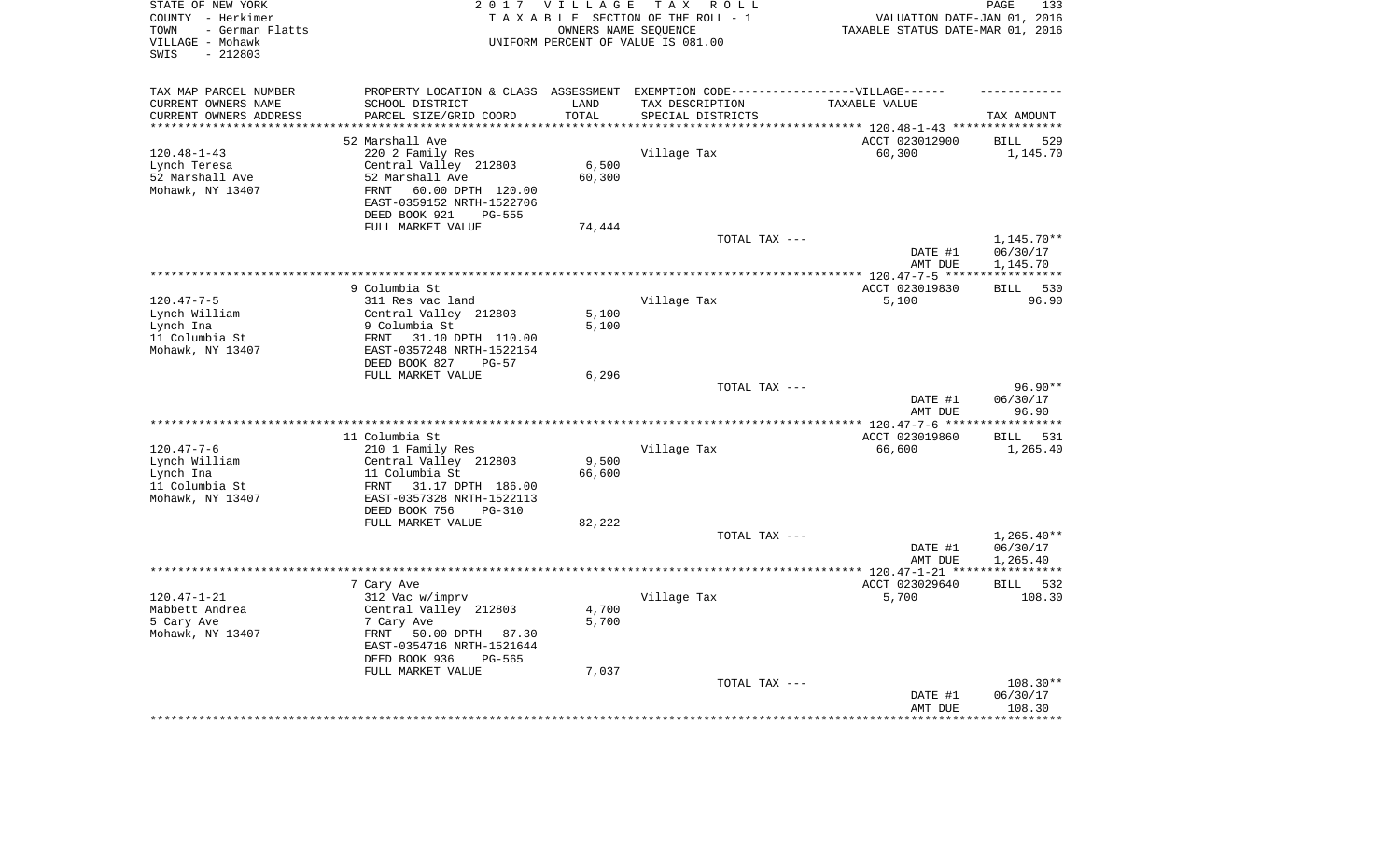| STATE OF NEW YORK<br>COUNTY - Herkimer<br>- German Flatts<br>TOWN<br>VILLAGE - Mohawk<br>$-212803$<br>SWIS |                                                                                   | 2017 VILLAGE        | TAX ROLL<br>TAXABLE SECTION OF THE ROLL - 1<br>OWNERS NAME SEQUENCE<br>UNIFORM PERCENT OF VALUE IS 081.00 | VALUATION DATE-JAN 01, 2016<br>TAXABLE STATUS DATE-MAR 01, 2016      | PAGE<br>133           |
|------------------------------------------------------------------------------------------------------------|-----------------------------------------------------------------------------------|---------------------|-----------------------------------------------------------------------------------------------------------|----------------------------------------------------------------------|-----------------------|
| TAX MAP PARCEL NUMBER                                                                                      | PROPERTY LOCATION & CLASS ASSESSMENT EXEMPTION CODE-----------------VILLAGE------ |                     |                                                                                                           |                                                                      |                       |
| CURRENT OWNERS NAME                                                                                        | SCHOOL DISTRICT                                                                   | LAND                | TAX DESCRIPTION                                                                                           | TAXABLE VALUE                                                        |                       |
| CURRENT OWNERS ADDRESS<br>*********************                                                            | PARCEL SIZE/GRID COORD<br>***********************                                 | TOTAL<br>********** | SPECIAL DISTRICTS                                                                                         |                                                                      | TAX AMOUNT            |
|                                                                                                            |                                                                                   |                     |                                                                                                           | ************************************** 120.48-1-43 ***************** |                       |
|                                                                                                            | 52 Marshall Ave                                                                   |                     |                                                                                                           | ACCT 023012900                                                       | <b>BILL</b><br>529    |
| $120.48 - 1 - 43$                                                                                          | 220 2 Family Res                                                                  | 6,500               | Village Tax                                                                                               | 60,300                                                               | 1,145.70              |
| Lynch Teresa<br>52 Marshall Ave                                                                            | Central Valley 212803<br>52 Marshall Ave                                          | 60,300              |                                                                                                           |                                                                      |                       |
| Mohawk, NY 13407                                                                                           | 60.00 DPTH 120.00<br>FRNT                                                         |                     |                                                                                                           |                                                                      |                       |
|                                                                                                            | EAST-0359152 NRTH-1522706                                                         |                     |                                                                                                           |                                                                      |                       |
|                                                                                                            | DEED BOOK 921<br>PG-555<br>FULL MARKET VALUE                                      | 74,444              |                                                                                                           |                                                                      |                       |
|                                                                                                            |                                                                                   |                     | TOTAL TAX ---                                                                                             |                                                                      | $1,145.70**$          |
|                                                                                                            |                                                                                   |                     |                                                                                                           | DATE #1<br>AMT DUE                                                   | 06/30/17<br>1,145.70  |
|                                                                                                            |                                                                                   |                     | *************************************                                                                     | *** 120.47-7-5 *****                                                 | ***********           |
|                                                                                                            | 9 Columbia St                                                                     |                     |                                                                                                           | ACCT 023019830                                                       | 530<br><b>BILL</b>    |
| $120.47 - 7 - 5$                                                                                           | 311 Res vac land                                                                  |                     | Village Tax                                                                                               | 5,100                                                                | 96.90                 |
| Lynch William                                                                                              | Central Valley 212803                                                             | 5,100               |                                                                                                           |                                                                      |                       |
| Lynch Ina                                                                                                  | 9 Columbia St                                                                     | 5,100               |                                                                                                           |                                                                      |                       |
| 11 Columbia St                                                                                             | 31.10 DPTH 110.00<br>FRNT                                                         |                     |                                                                                                           |                                                                      |                       |
| Mohawk, NY 13407                                                                                           | EAST-0357248 NRTH-1522154<br>DEED BOOK 827<br>$PG-57$                             |                     |                                                                                                           |                                                                      |                       |
|                                                                                                            | FULL MARKET VALUE                                                                 | 6,296               |                                                                                                           |                                                                      |                       |
|                                                                                                            |                                                                                   |                     | TOTAL TAX ---                                                                                             | DATE #1                                                              | $96.90**$<br>06/30/17 |
|                                                                                                            |                                                                                   |                     |                                                                                                           | AMT DUE                                                              | 96.90                 |
|                                                                                                            | ****************************                                                      |                     | ***********************                                                                                   | *** 120.47-7-6 ***                                                   | ********              |
|                                                                                                            | 11 Columbia St                                                                    |                     |                                                                                                           | ACCT 023019860                                                       | 531<br><b>BILL</b>    |
| $120.47 - 7 - 6$<br>Lynch William                                                                          | 210 1 Family Res                                                                  | 9,500               | Village Tax                                                                                               | 66,600                                                               | 1,265.40              |
| Lynch Ina                                                                                                  | Central Valley 212803<br>11 Columbia St                                           | 66,600              |                                                                                                           |                                                                      |                       |
| 11 Columbia St                                                                                             | FRNT<br>31.17 DPTH 186.00                                                         |                     |                                                                                                           |                                                                      |                       |
| Mohawk, NY 13407                                                                                           | EAST-0357328 NRTH-1522113                                                         |                     |                                                                                                           |                                                                      |                       |
|                                                                                                            | DEED BOOK 756<br>$PG-310$                                                         |                     |                                                                                                           |                                                                      |                       |
|                                                                                                            | FULL MARKET VALUE                                                                 | 82,222              |                                                                                                           |                                                                      |                       |
|                                                                                                            |                                                                                   |                     | TOTAL TAX ---                                                                                             |                                                                      | $1,265.40**$          |
|                                                                                                            |                                                                                   |                     |                                                                                                           | DATE #1                                                              | 06/30/17              |
|                                                                                                            |                                                                                   |                     |                                                                                                           | AMT DUE                                                              | 1,265.40              |
|                                                                                                            |                                                                                   |                     |                                                                                                           | **************** 120.47-1-21 *****************                       |                       |
|                                                                                                            | 7 Cary Ave                                                                        |                     |                                                                                                           | ACCT 023029640                                                       | <b>BILL</b><br>532    |
| $120.47 - 1 - 21$                                                                                          | 312 Vac w/imprv                                                                   |                     | Village Tax                                                                                               | 5,700                                                                | 108.30                |
| Mabbett Andrea                                                                                             | Central Valley 212803                                                             | 4,700               |                                                                                                           |                                                                      |                       |
| 5 Cary Ave<br>Mohawk, NY 13407                                                                             | 7 Cary Ave<br>FRNT<br>50.00 DPTH 87.30                                            | 5,700               |                                                                                                           |                                                                      |                       |
|                                                                                                            | EAST-0354716 NRTH-1521644                                                         |                     |                                                                                                           |                                                                      |                       |
|                                                                                                            | DEED BOOK 936<br>PG-565                                                           |                     |                                                                                                           |                                                                      |                       |
|                                                                                                            | FULL MARKET VALUE                                                                 | 7,037               |                                                                                                           |                                                                      |                       |
|                                                                                                            |                                                                                   |                     | TOTAL TAX ---                                                                                             |                                                                      | 108.30**              |
|                                                                                                            |                                                                                   |                     |                                                                                                           | DATE #1                                                              | 06/30/17              |
|                                                                                                            |                                                                                   |                     |                                                                                                           | AMT DUE                                                              | 108.30                |
|                                                                                                            |                                                                                   |                     |                                                                                                           |                                                                      | ********              |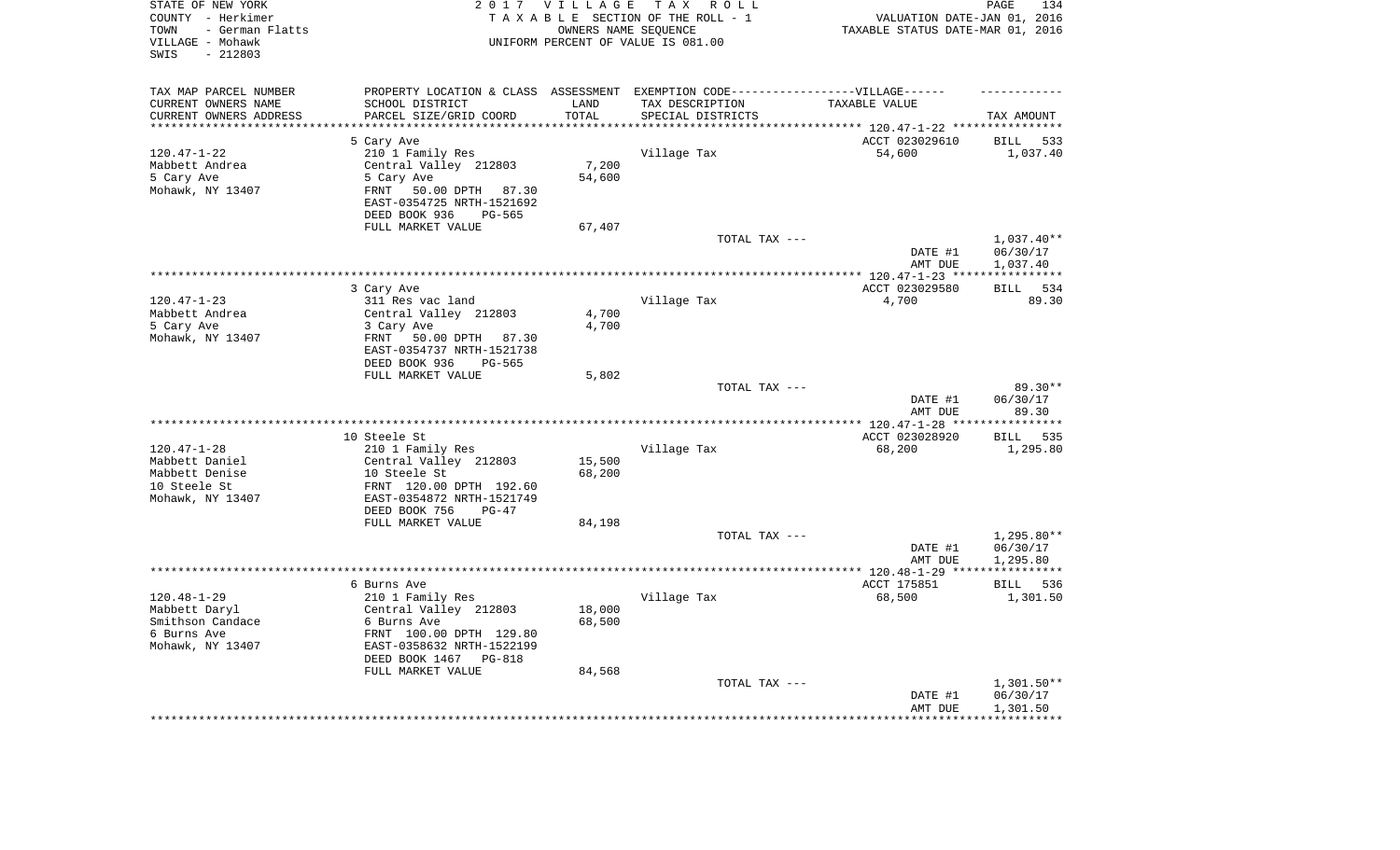| STATE OF NEW YORK<br>COUNTY - Herkimer<br>- German Flatts<br>TOWN<br>VILLAGE - Mohawk<br>$-212803$<br>SWIS |                                                | 2017 VILLAGE       | TAX ROLL<br>TAXABLE SECTION OF THE ROLL - 1<br>OWNERS NAME SEQUENCE<br>UNIFORM PERCENT OF VALUE IS 081.00 | VALUATION DATE-JAN 01, 2016<br>TAXABLE STATUS DATE-MAR 01, 2016 | PAGE<br>134            |
|------------------------------------------------------------------------------------------------------------|------------------------------------------------|--------------------|-----------------------------------------------------------------------------------------------------------|-----------------------------------------------------------------|------------------------|
| TAX MAP PARCEL NUMBER                                                                                      |                                                |                    | PROPERTY LOCATION & CLASS ASSESSMENT EXEMPTION CODE-----------------VILLAGE------                         |                                                                 |                        |
| CURRENT OWNERS NAME                                                                                        | SCHOOL DISTRICT                                | LAND               | TAX DESCRIPTION                                                                                           | TAXABLE VALUE                                                   |                        |
| CURRENT OWNERS ADDRESS<br>********************                                                             | PARCEL SIZE/GRID COORD<br>******************** | TOTAL<br>********* | SPECIAL DISTRICTS                                                                                         |                                                                 | TAX AMOUNT             |
|                                                                                                            |                                                |                    |                                                                                                           |                                                                 |                        |
|                                                                                                            | 5 Cary Ave                                     |                    |                                                                                                           | ACCT 023029610                                                  | <b>BILL</b><br>533     |
| $120.47 - 1 - 22$                                                                                          | 210 1 Family Res                               | 7,200              | Village Tax                                                                                               | 54,600                                                          | 1,037.40               |
| Mabbett Andrea<br>5 Cary Ave                                                                               | Central Valley 212803<br>5 Cary Ave            | 54,600             |                                                                                                           |                                                                 |                        |
| Mohawk, NY 13407                                                                                           | 50.00 DPTH 87.30<br>FRNT                       |                    |                                                                                                           |                                                                 |                        |
|                                                                                                            | EAST-0354725 NRTH-1521692<br>PG-565            |                    |                                                                                                           |                                                                 |                        |
|                                                                                                            | DEED BOOK 936<br>FULL MARKET VALUE             | 67,407             |                                                                                                           |                                                                 |                        |
|                                                                                                            |                                                |                    | TOTAL TAX ---                                                                                             |                                                                 | $1,037.40**$           |
|                                                                                                            |                                                |                    |                                                                                                           | DATE #1<br>AMT DUE                                              | 06/30/17<br>1,037.40   |
|                                                                                                            | *****************                              |                    | ***********************************                                                                       | ********** 120.47-1-23 ****                                     | ***********            |
|                                                                                                            | 3 Cary Ave                                     |                    |                                                                                                           | ACCT 023029580                                                  | 534<br><b>BILL</b>     |
| $120.47 - 1 - 23$                                                                                          | 311 Res vac land                               |                    | Village Tax                                                                                               | 4,700                                                           | 89.30                  |
| Mabbett Andrea                                                                                             | Central Valley 212803                          | 4,700              |                                                                                                           |                                                                 |                        |
| 5 Cary Ave                                                                                                 | 3 Cary Ave                                     | 4,700              |                                                                                                           |                                                                 |                        |
| Mohawk, NY 13407                                                                                           | 50.00 DPTH 87.30<br>FRNT                       |                    |                                                                                                           |                                                                 |                        |
|                                                                                                            | EAST-0354737 NRTH-1521738                      |                    |                                                                                                           |                                                                 |                        |
|                                                                                                            | DEED BOOK 936<br>PG-565                        |                    |                                                                                                           |                                                                 |                        |
|                                                                                                            | FULL MARKET VALUE                              | 5,802              | TOTAL TAX ---                                                                                             |                                                                 | $89.30**$              |
|                                                                                                            |                                                |                    |                                                                                                           | DATE #1                                                         | 06/30/17               |
|                                                                                                            |                                                |                    |                                                                                                           | AMT DUE                                                         | 89.30                  |
|                                                                                                            |                                                |                    |                                                                                                           | *** $120.47 - 1 - 28$ **                                        | * * * * * * * * *      |
|                                                                                                            | 10 Steele St                                   |                    |                                                                                                           | ACCT 023028920                                                  | 535<br>BILL            |
| $120.47 - 1 - 28$                                                                                          | 210 1 Family Res                               |                    | Village Tax                                                                                               | 68,200                                                          | 1,295.80               |
| Mabbett Daniel                                                                                             | Central Valley 212803                          | 15,500             |                                                                                                           |                                                                 |                        |
| Mabbett Denise                                                                                             | 10 Steele St                                   | 68,200             |                                                                                                           |                                                                 |                        |
| 10 Steele St                                                                                               | FRNT 120.00 DPTH 192.60                        |                    |                                                                                                           |                                                                 |                        |
| Mohawk, NY 13407                                                                                           | EAST-0354872 NRTH-1521749                      |                    |                                                                                                           |                                                                 |                        |
|                                                                                                            | DEED BOOK 756<br>$PG-47$<br>FULL MARKET VALUE  |                    |                                                                                                           |                                                                 |                        |
|                                                                                                            |                                                | 84,198             | TOTAL TAX ---                                                                                             |                                                                 | $1,295.80**$           |
|                                                                                                            |                                                |                    |                                                                                                           | DATE #1                                                         | 06/30/17               |
|                                                                                                            |                                                |                    |                                                                                                           | AMT DUE                                                         | 1,295.80               |
| *********************                                                                                      |                                                |                    |                                                                                                           | ************* 120.48-1-29 ****                                  | * * * * * * * * * * *  |
|                                                                                                            | 6 Burns Ave                                    |                    |                                                                                                           | ACCT 175851                                                     | BILL<br>536            |
| $120.48 - 1 - 29$                                                                                          | 210 1 Family Res                               |                    | Village Tax                                                                                               | 68,500                                                          | 1,301.50               |
| Mabbett Daryl                                                                                              | Central Valley 212803                          | 18,000             |                                                                                                           |                                                                 |                        |
| Smithson Candace                                                                                           | 6 Burns Ave                                    | 68,500             |                                                                                                           |                                                                 |                        |
| 6 Burns Ave                                                                                                | FRNT 100.00 DPTH 129.80                        |                    |                                                                                                           |                                                                 |                        |
| Mohawk, NY 13407                                                                                           | EAST-0358632 NRTH-1522199                      |                    |                                                                                                           |                                                                 |                        |
|                                                                                                            | DEED BOOK 1467<br><b>PG-818</b>                |                    |                                                                                                           |                                                                 |                        |
|                                                                                                            | FULL MARKET VALUE                              | 84,568             |                                                                                                           |                                                                 |                        |
|                                                                                                            |                                                |                    | TOTAL TAX ---                                                                                             | DATE #1                                                         | 1,301.50**<br>06/30/17 |
|                                                                                                            |                                                |                    |                                                                                                           | AMT DUE                                                         | 1,301.50               |
|                                                                                                            |                                                |                    |                                                                                                           |                                                                 |                        |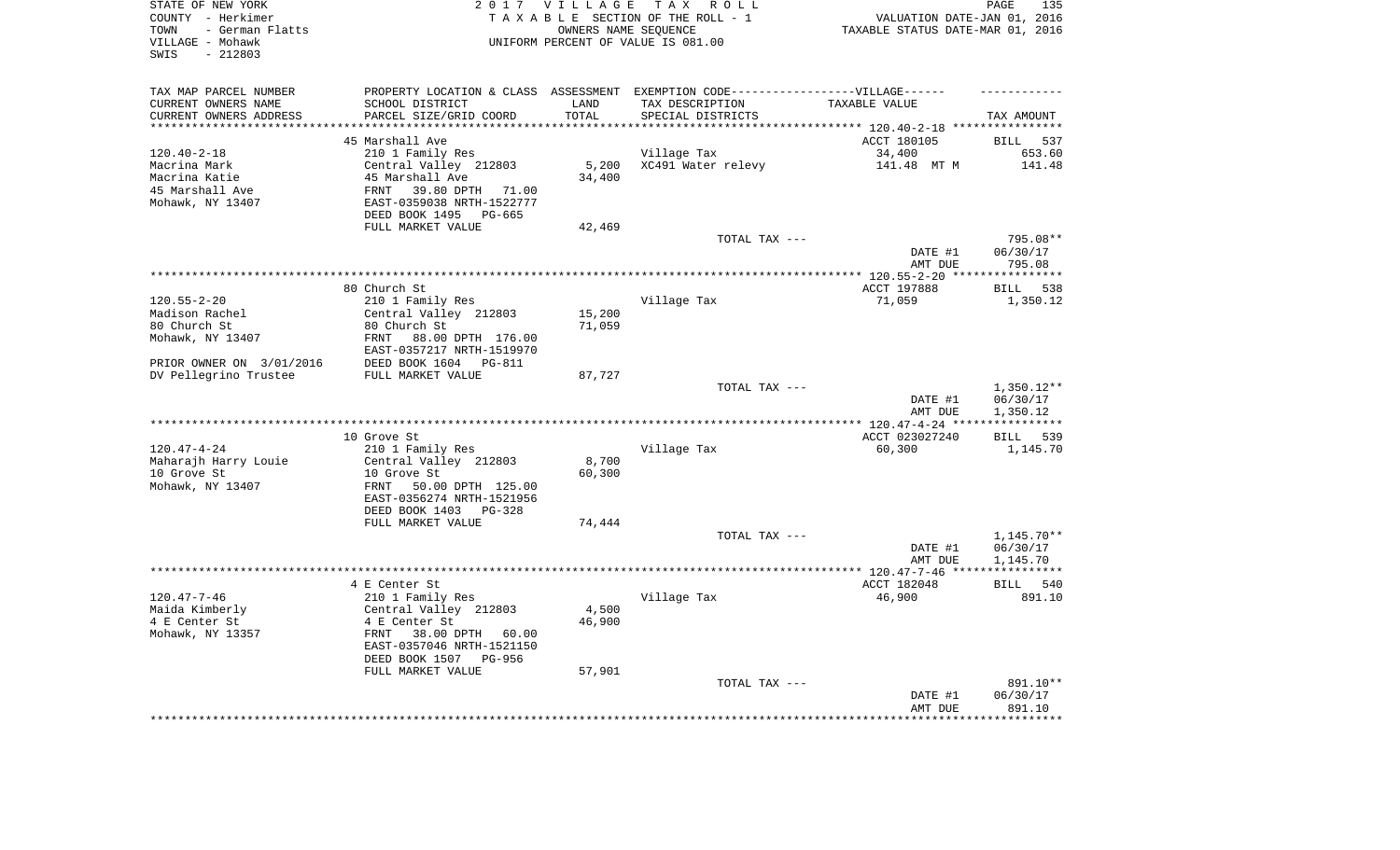| STATE OF NEW YORK<br>COUNTY - Herkimer<br>- German Flatts<br>TOWN<br>VILLAGE - Mohawk<br>$-212803$<br>SWIS |                                                        | 2017 VILLAGE             | TAX ROLL<br>TAXABLE SECTION OF THE ROLL - 1<br>OWNERS NAME SEQUENCE<br>UNIFORM PERCENT OF VALUE IS 081.00 | VALUATION DATE-JAN 01, 2016<br>TAXABLE STATUS DATE-MAR 01, 2016 | PAGE<br>135              |
|------------------------------------------------------------------------------------------------------------|--------------------------------------------------------|--------------------------|-----------------------------------------------------------------------------------------------------------|-----------------------------------------------------------------|--------------------------|
| TAX MAP PARCEL NUMBER                                                                                      |                                                        |                          | PROPERTY LOCATION & CLASS ASSESSMENT EXEMPTION CODE----------------VILLAGE------                          |                                                                 |                          |
| CURRENT OWNERS NAME                                                                                        | SCHOOL DISTRICT                                        | LAND                     | TAX DESCRIPTION                                                                                           | TAXABLE VALUE                                                   |                          |
| CURRENT OWNERS ADDRESS                                                                                     | PARCEL SIZE/GRID COORD<br>**************************   | TOTAL<br>*************** | SPECIAL DISTRICTS                                                                                         |                                                                 | TAX AMOUNT               |
| *********************                                                                                      |                                                        |                          |                                                                                                           |                                                                 |                          |
|                                                                                                            | 45 Marshall Ave                                        |                          |                                                                                                           | ACCT 180105                                                     | <b>BILL</b><br>537       |
| $120.40 - 2 - 18$                                                                                          | 210 1 Family Res                                       |                          | Village Tax                                                                                               | 34,400                                                          | 653.60                   |
| Macrina Mark<br>Macrina Katie                                                                              | Central Valley 212803<br>45 Marshall Ave               | 5,200<br>34,400          | XC491 Water relevy                                                                                        | 141.48 MT M                                                     | 141.48                   |
| 45 Marshall Ave                                                                                            | 39.80 DPTH<br>FRNT<br>71.00                            |                          |                                                                                                           |                                                                 |                          |
| Mohawk, NY 13407                                                                                           | EAST-0359038 NRTH-1522777                              |                          |                                                                                                           |                                                                 |                          |
|                                                                                                            | DEED BOOK 1495<br>PG-665<br>FULL MARKET VALUE          | 42,469                   |                                                                                                           |                                                                 |                          |
|                                                                                                            |                                                        |                          | TOTAL TAX ---                                                                                             |                                                                 | 795.08**                 |
|                                                                                                            |                                                        |                          |                                                                                                           | DATE #1<br>AMT DUE                                              | 06/30/17<br>795.08       |
|                                                                                                            |                                                        |                          |                                                                                                           | ********* 120.55-2-20                                           | **********               |
|                                                                                                            | 80 Church St                                           |                          |                                                                                                           | ACCT 197888                                                     | 538<br><b>BILL</b>       |
| $120.55 - 2 - 20$                                                                                          | 210 1 Family Res                                       |                          | Village Tax                                                                                               | 71,059                                                          | 1,350.12                 |
| Madison Rachel                                                                                             | Central Valley 212803                                  | 15,200                   |                                                                                                           |                                                                 |                          |
| 80 Church St                                                                                               | 80 Church St                                           | 71,059                   |                                                                                                           |                                                                 |                          |
| Mohawk, NY 13407                                                                                           | FRNT<br>88.00 DPTH 176.00                              |                          |                                                                                                           |                                                                 |                          |
|                                                                                                            | EAST-0357217 NRTH-1519970                              |                          |                                                                                                           |                                                                 |                          |
| PRIOR OWNER ON 3/01/2016                                                                                   | DEED BOOK 1604 PG-811                                  |                          |                                                                                                           |                                                                 |                          |
| DV Pellegrino Trustee                                                                                      | FULL MARKET VALUE                                      | 87,727                   |                                                                                                           |                                                                 |                          |
|                                                                                                            |                                                        |                          | TOTAL TAX ---                                                                                             | DATE #1                                                         | $1,350.12**$<br>06/30/17 |
|                                                                                                            |                                                        |                          |                                                                                                           | AMT DUE<br>***** $120.47 - 4 - 24$ **                           | 1,350.12                 |
|                                                                                                            | 10 Grove St                                            |                          |                                                                                                           | ACCT 023027240                                                  | BILL 539                 |
| $120.47 - 4 - 24$                                                                                          | 210 1 Family Res                                       |                          | Village Tax                                                                                               | 60,300                                                          | 1,145.70                 |
| Maharajh Harry Louie                                                                                       | Central Valley 212803                                  | 8,700                    |                                                                                                           |                                                                 |                          |
| 10 Grove St                                                                                                | 10 Grove St                                            | 60,300                   |                                                                                                           |                                                                 |                          |
| Mohawk, NY 13407                                                                                           | FRNT<br>50.00 DPTH 125.00<br>EAST-0356274 NRTH-1521956 |                          |                                                                                                           |                                                                 |                          |
|                                                                                                            | DEED BOOK 1403 PG-328                                  |                          |                                                                                                           |                                                                 |                          |
|                                                                                                            | FULL MARKET VALUE                                      | 74,444                   |                                                                                                           |                                                                 |                          |
|                                                                                                            |                                                        |                          | TOTAL TAX ---                                                                                             |                                                                 | 1,145.70**               |
|                                                                                                            |                                                        |                          |                                                                                                           | DATE #1                                                         | 06/30/17                 |
|                                                                                                            |                                                        |                          |                                                                                                           | AMT DUE                                                         | 1,145.70                 |
|                                                                                                            |                                                        |                          |                                                                                                           |                                                                 | ************             |
|                                                                                                            | 4 E Center St                                          |                          |                                                                                                           | ACCT 182048                                                     | BILL 540                 |
| $120.47 - 7 - 46$                                                                                          | 210 1 Family Res                                       |                          | Village Tax                                                                                               | 46,900                                                          | 891.10                   |
| Maida Kimberly                                                                                             | Central Valley 212803<br>4 E Center St                 | 4,500<br>46,900          |                                                                                                           |                                                                 |                          |
| 4 E Center St<br>Mohawk, NY 13357                                                                          | 38.00 DPTH 60.00<br>FRNT                               |                          |                                                                                                           |                                                                 |                          |
|                                                                                                            | EAST-0357046 NRTH-1521150                              |                          |                                                                                                           |                                                                 |                          |
|                                                                                                            | DEED BOOK 1507<br>PG-956                               |                          |                                                                                                           |                                                                 |                          |
|                                                                                                            | FULL MARKET VALUE                                      | 57,901                   |                                                                                                           |                                                                 |                          |
|                                                                                                            |                                                        |                          | TOTAL TAX ---                                                                                             |                                                                 | 891.10**                 |
|                                                                                                            |                                                        |                          |                                                                                                           | DATE #1                                                         | 06/30/17                 |
|                                                                                                            |                                                        |                          |                                                                                                           | AMT DUE                                                         | 891.10                   |
|                                                                                                            |                                                        |                          |                                                                                                           |                                                                 | *******                  |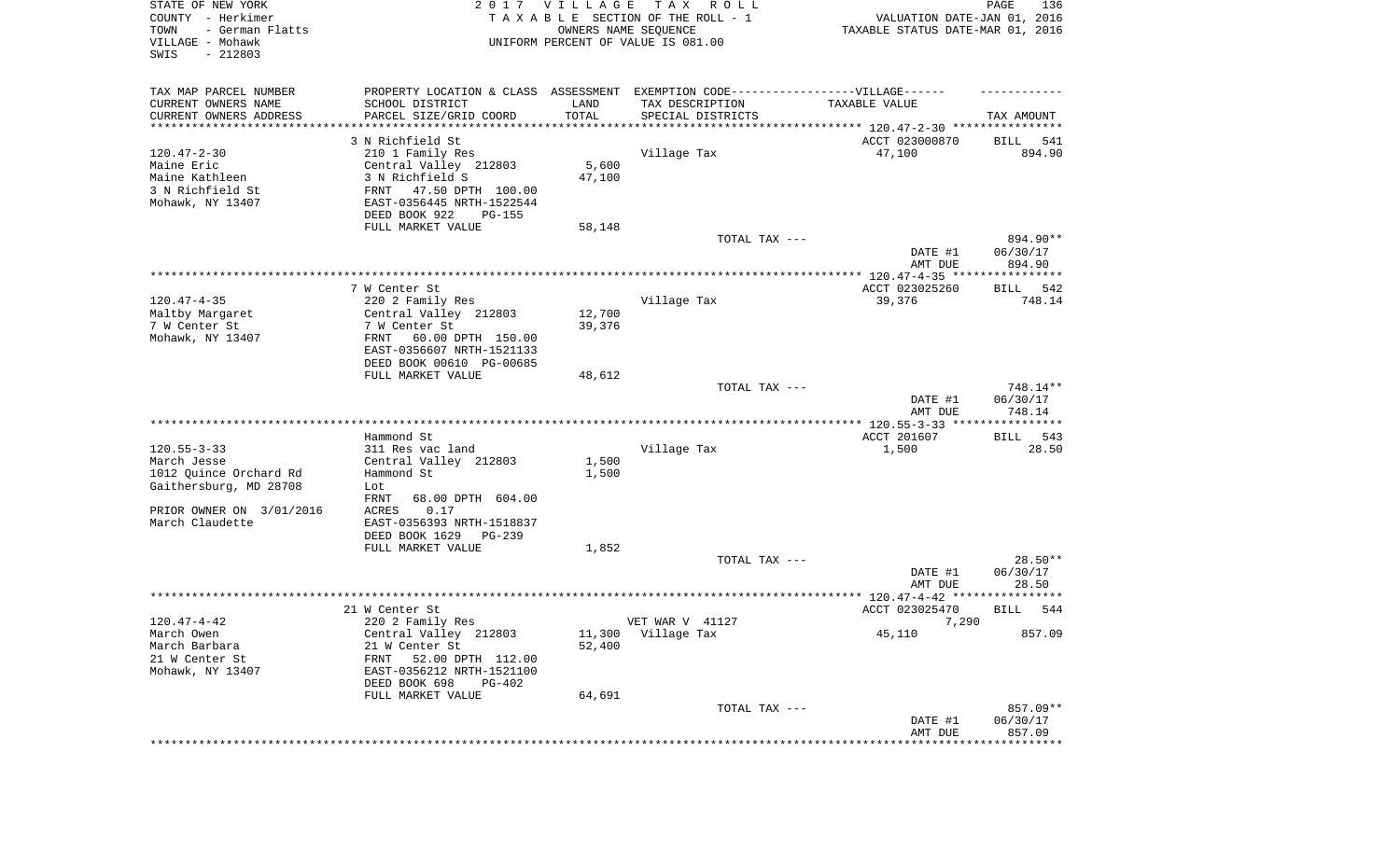| STATE OF NEW YORK<br>COUNTY - Herkimer<br>- German Flatts<br>TOWN<br>VILLAGE - Mohawk<br>SWIS<br>$-212803$ |                                                                                                      | 2017 VILLAGE<br>OWNERS NAME SEQUENCE | T A X<br>R O L L<br>TAXABLE SECTION OF THE ROLL - 1<br>UNIFORM PERCENT OF VALUE IS 081.00 | VALUATION DATE-JAN 01, 2016<br>TAXABLE STATUS DATE-MAR 01, 2016 | PAGE<br>136                    |
|------------------------------------------------------------------------------------------------------------|------------------------------------------------------------------------------------------------------|--------------------------------------|-------------------------------------------------------------------------------------------|-----------------------------------------------------------------|--------------------------------|
| TAX MAP PARCEL NUMBER<br>CURRENT OWNERS NAME                                                               | PROPERTY LOCATION & CLASS ASSESSMENT EXEMPTION CODE-----------------VILLAGE------<br>SCHOOL DISTRICT | LAND                                 | TAX DESCRIPTION                                                                           | TAXABLE VALUE                                                   |                                |
| CURRENT OWNERS ADDRESS<br>********************                                                             | PARCEL SIZE/GRID COORD<br>*******************                                                        | TOTAL                                | SPECIAL DISTRICTS                                                                         |                                                                 | TAX AMOUNT                     |
|                                                                                                            | 3 N Richfield St                                                                                     |                                      |                                                                                           | ACCT 023000870                                                  | 541<br>BILL                    |
| $120.47 - 2 - 30$<br>Maine Eric<br>Maine Kathleen                                                          | 210 1 Family Res<br>Central Valley 212803<br>3 N Richfield S                                         | 5,600<br>47,100                      | Village Tax                                                                               | 47,100                                                          | 894.90                         |
| 3 N Richfield St<br>Mohawk, NY 13407                                                                       | 47.50 DPTH 100.00<br>FRNT<br>EAST-0356445 NRTH-1522544<br>DEED BOOK 922<br>PG-155                    |                                      |                                                                                           |                                                                 |                                |
|                                                                                                            | FULL MARKET VALUE                                                                                    | 58,148                               |                                                                                           |                                                                 |                                |
|                                                                                                            |                                                                                                      |                                      | TOTAL TAX ---                                                                             | DATE #1<br>AMT DUE                                              | 894.90**<br>06/30/17<br>894.90 |
|                                                                                                            |                                                                                                      |                                      |                                                                                           |                                                                 |                                |
|                                                                                                            | 7 W Center St                                                                                        |                                      |                                                                                           | ACCT 023025260                                                  | 542<br>BILL                    |
| $120.47 - 4 - 35$<br>Maltby Margaret                                                                       | 220 2 Family Res<br>Central Valley 212803                                                            | 12,700                               | Village Tax                                                                               | 39,376                                                          | 748.14                         |
| 7 W Center St                                                                                              | 7 W Center St                                                                                        | 39,376                               |                                                                                           |                                                                 |                                |
| Mohawk, NY 13407                                                                                           | 60.00 DPTH 150.00<br>FRNT<br>EAST-0356607 NRTH-1521133<br>DEED BOOK 00610 PG-00685                   |                                      |                                                                                           |                                                                 |                                |
|                                                                                                            | FULL MARKET VALUE                                                                                    | 48,612                               |                                                                                           |                                                                 |                                |
|                                                                                                            |                                                                                                      |                                      | TOTAL TAX ---                                                                             | DATE #1                                                         | 748.14**<br>06/30/17           |
|                                                                                                            | Hammond St                                                                                           |                                      |                                                                                           | AMT DUE<br>ACCT 201607                                          | 748.14<br>BILL<br>543          |
| $120.55 - 3 - 33$                                                                                          | 311 Res vac land                                                                                     |                                      | Village Tax                                                                               | 1,500                                                           | 28.50                          |
| March Jesse<br>1012 Quince Orchard Rd                                                                      | Central Valley 212803<br>Hammond St                                                                  | 1,500<br>1,500                       |                                                                                           |                                                                 |                                |
| Gaithersburg, MD 28708                                                                                     | Lot<br>FRNT<br>68.00 DPTH 604.00                                                                     |                                      |                                                                                           |                                                                 |                                |
| PRIOR OWNER ON 3/01/2016<br>March Claudette                                                                | ACRES<br>0.17<br>EAST-0356393 NRTH-1518837<br>DEED BOOK 1629<br>PG-239                               |                                      |                                                                                           |                                                                 |                                |
|                                                                                                            | FULL MARKET VALUE                                                                                    | 1,852                                |                                                                                           |                                                                 |                                |
|                                                                                                            |                                                                                                      |                                      | TOTAL TAX ---                                                                             | DATE #1                                                         | 28.50**<br>06/30/17            |
|                                                                                                            |                                                                                                      |                                      |                                                                                           | AMT DUE                                                         | 28.50<br>*******               |
|                                                                                                            | 21 W Center St                                                                                       |                                      |                                                                                           | ACCT 023025470                                                  | 544<br>BILL                    |
| 120.47-4-42                                                                                                | 220 2 Family Res                                                                                     |                                      | VET WAR V 41127                                                                           | 7,290                                                           |                                |
| March Owen<br>March Barbara                                                                                | Central Valley 212803<br>21 W Center St                                                              | 11,300<br>52,400                     | Village Tax                                                                               | 45,110                                                          | 857.09                         |
| 21 W Center St<br>Mohawk, NY 13407                                                                         | 52.00 DPTH 112.00<br>FRNT<br>EAST-0356212 NRTH-1521100                                               |                                      |                                                                                           |                                                                 |                                |
|                                                                                                            | DEED BOOK 698<br>PG-402<br>FULL MARKET VALUE                                                         | 64,691                               |                                                                                           |                                                                 |                                |
|                                                                                                            |                                                                                                      |                                      | TOTAL TAX ---                                                                             | DATE #1<br>AMT DUE                                              | 857.09**<br>06/30/17<br>857.09 |
|                                                                                                            |                                                                                                      |                                      |                                                                                           | ****************************                                    |                                |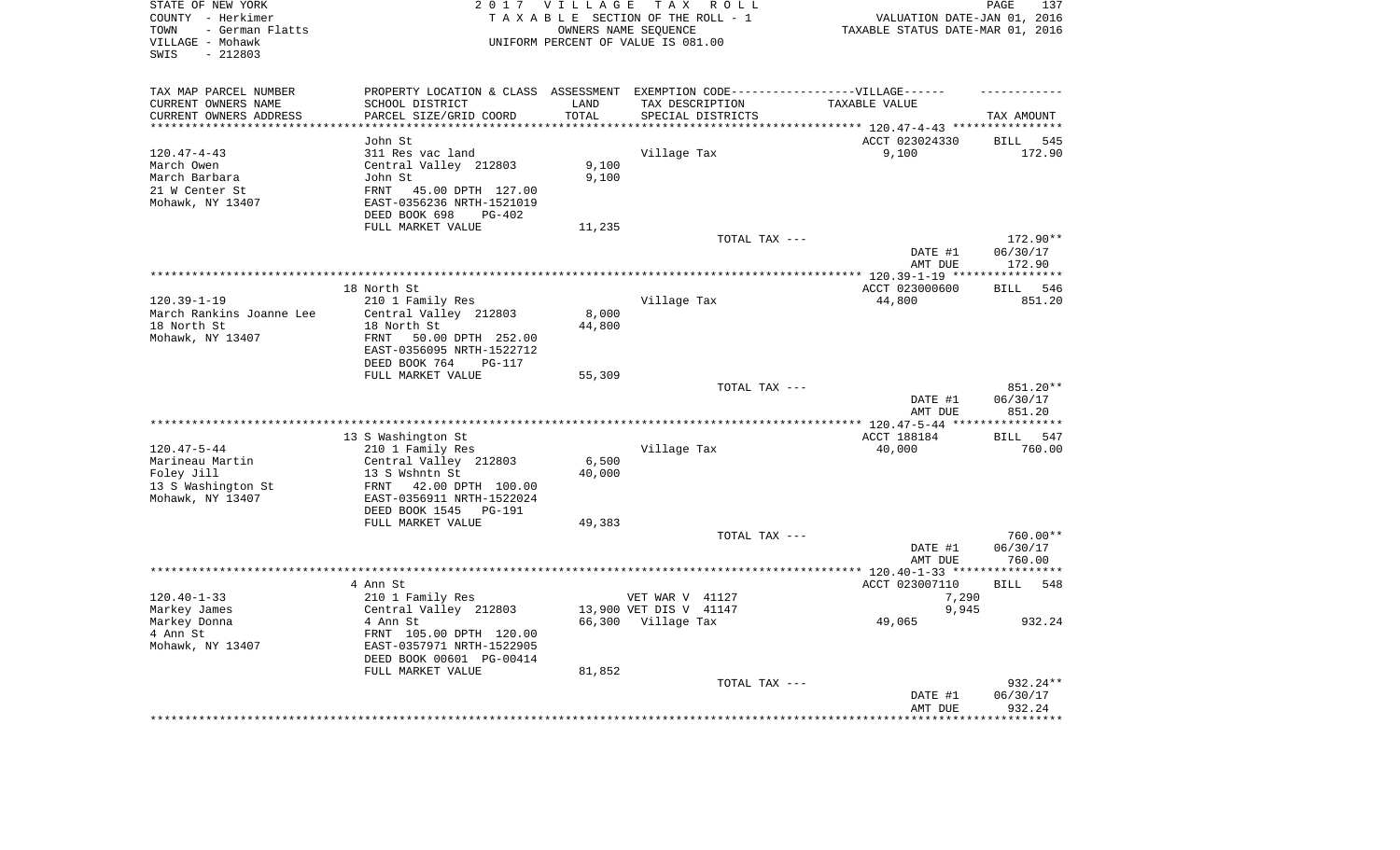| STATE OF NEW YORK<br>COUNTY - Herkimer<br>- German Flatts<br>TOWN<br>VILLAGE - Mohawk<br>$-212803$<br>SWIS | 2 0 1 7                                                                           | VILLAGE | TAX ROLL<br>TAXABLE SECTION OF THE ROLL - 1<br>OWNERS NAME SEQUENCE<br>UNIFORM PERCENT OF VALUE IS 081.00 | VALUATION DATE-JAN 01, 2016<br>TAXABLE STATUS DATE-MAR 01, 2016 | 137<br>PAGE        |
|------------------------------------------------------------------------------------------------------------|-----------------------------------------------------------------------------------|---------|-----------------------------------------------------------------------------------------------------------|-----------------------------------------------------------------|--------------------|
| TAX MAP PARCEL NUMBER                                                                                      | PROPERTY LOCATION & CLASS ASSESSMENT EXEMPTION CODE-----------------VILLAGE------ |         |                                                                                                           |                                                                 |                    |
| CURRENT OWNERS NAME                                                                                        | SCHOOL DISTRICT                                                                   | LAND    | TAX DESCRIPTION                                                                                           | TAXABLE VALUE                                                   |                    |
| CURRENT OWNERS ADDRESS                                                                                     | PARCEL SIZE/GRID COORD                                                            | TOTAL   | SPECIAL DISTRICTS                                                                                         |                                                                 | TAX AMOUNT         |
| ********************                                                                                       |                                                                                   | ******* |                                                                                                           | ************************** 120.47-4-43 *****************        |                    |
|                                                                                                            | John St                                                                           |         |                                                                                                           | ACCT 023024330                                                  | 545<br><b>BILL</b> |
| $120.47 - 4 - 43$                                                                                          | 311 Res vac land                                                                  |         | Village Tax                                                                                               | 9,100                                                           | 172.90             |
| March Owen                                                                                                 | Central Valley 212803                                                             | 9,100   |                                                                                                           |                                                                 |                    |
| March Barbara                                                                                              | John St<br>FRNT                                                                   | 9,100   |                                                                                                           |                                                                 |                    |
| 21 W Center St<br>Mohawk, NY 13407                                                                         | 45.00 DPTH 127.00<br>EAST-0356236 NRTH-1521019                                    |         |                                                                                                           |                                                                 |                    |
|                                                                                                            | DEED BOOK 698<br>$PG-402$                                                         |         |                                                                                                           |                                                                 |                    |
|                                                                                                            | FULL MARKET VALUE                                                                 | 11,235  |                                                                                                           |                                                                 |                    |
|                                                                                                            |                                                                                   |         | TOTAL TAX ---                                                                                             |                                                                 | 172.90**           |
|                                                                                                            |                                                                                   |         |                                                                                                           | DATE #1                                                         | 06/30/17           |
|                                                                                                            |                                                                                   |         |                                                                                                           | AMT DUE                                                         | 172.90             |
|                                                                                                            |                                                                                   |         |                                                                                                           |                                                                 |                    |
|                                                                                                            | 18 North St                                                                       |         |                                                                                                           | ACCT 023000600                                                  | 546<br>BILL        |
| $120.39 - 1 - 19$                                                                                          | 210 1 Family Res                                                                  |         | Village Tax                                                                                               | 44,800                                                          | 851.20             |
| March Rankins Joanne Lee                                                                                   | Central Valley 212803                                                             | 8,000   |                                                                                                           |                                                                 |                    |
| 18 North St                                                                                                | 18 North St                                                                       | 44,800  |                                                                                                           |                                                                 |                    |
| Mohawk, NY 13407                                                                                           | FRNT<br>50.00 DPTH 252.00                                                         |         |                                                                                                           |                                                                 |                    |
|                                                                                                            | EAST-0356095 NRTH-1522712<br>DEED BOOK 764<br>$PG-117$                            |         |                                                                                                           |                                                                 |                    |
|                                                                                                            | FULL MARKET VALUE                                                                 | 55,309  |                                                                                                           |                                                                 |                    |
|                                                                                                            |                                                                                   |         | TOTAL TAX ---                                                                                             |                                                                 | 851.20**           |
|                                                                                                            |                                                                                   |         |                                                                                                           | DATE #1<br>AMT DUE                                              | 06/30/17<br>851.20 |
|                                                                                                            |                                                                                   |         |                                                                                                           |                                                                 |                    |
|                                                                                                            | 13 S Washington St                                                                |         |                                                                                                           | ACCT 188184                                                     | 547<br>BILL        |
| $120.47 - 5 - 44$                                                                                          | 210 1 Family Res                                                                  |         | Village Tax                                                                                               | 40,000                                                          | 760.00             |
| Marineau Martin                                                                                            | Central Valley 212803                                                             | 6,500   |                                                                                                           |                                                                 |                    |
| Foley Jill                                                                                                 | 13 S Wshntn St                                                                    | 40,000  |                                                                                                           |                                                                 |                    |
| 13 S Washington St                                                                                         | 42.00 DPTH 100.00<br>FRNT                                                         |         |                                                                                                           |                                                                 |                    |
| Mohawk, NY 13407                                                                                           | EAST-0356911 NRTH-1522024                                                         |         |                                                                                                           |                                                                 |                    |
|                                                                                                            | DEED BOOK 1545<br>PG-191<br>FULL MARKET VALUE                                     | 49,383  |                                                                                                           |                                                                 |                    |
|                                                                                                            |                                                                                   |         | TOTAL TAX ---                                                                                             |                                                                 | 760.00**           |
|                                                                                                            |                                                                                   |         |                                                                                                           | DATE #1                                                         | 06/30/17           |
|                                                                                                            |                                                                                   |         |                                                                                                           | AMT DUE                                                         | 760.00             |
|                                                                                                            |                                                                                   |         |                                                                                                           |                                                                 |                    |
|                                                                                                            | 4 Ann St                                                                          |         |                                                                                                           | ACCT 023007110                                                  | <b>BILL</b><br>548 |
| $120.40 - 1 - 33$                                                                                          | 210 1 Family Res                                                                  |         | VET WAR V 41127                                                                                           | 7,290                                                           |                    |
| Markey James                                                                                               | Central Valley 212803                                                             |         | 13,900 VET DIS V 41147                                                                                    | 9,945                                                           |                    |
| Markey Donna                                                                                               | 4 Ann St                                                                          |         | 66,300 Village Tax                                                                                        | 49,065                                                          | 932.24             |
| 4 Ann St                                                                                                   | FRNT 105.00 DPTH 120.00                                                           |         |                                                                                                           |                                                                 |                    |
| Mohawk, NY 13407                                                                                           | EAST-0357971 NRTH-1522905                                                         |         |                                                                                                           |                                                                 |                    |
|                                                                                                            | DEED BOOK 00601 PG-00414                                                          |         |                                                                                                           |                                                                 |                    |
|                                                                                                            | FULL MARKET VALUE                                                                 | 81,852  |                                                                                                           |                                                                 |                    |
|                                                                                                            |                                                                                   |         | TOTAL TAX ---                                                                                             |                                                                 | 932.24**           |
|                                                                                                            |                                                                                   |         |                                                                                                           | DATE #1<br>AMT DUE                                              | 06/30/17<br>932.24 |
|                                                                                                            |                                                                                   |         |                                                                                                           |                                                                 | * * * * * * * * *  |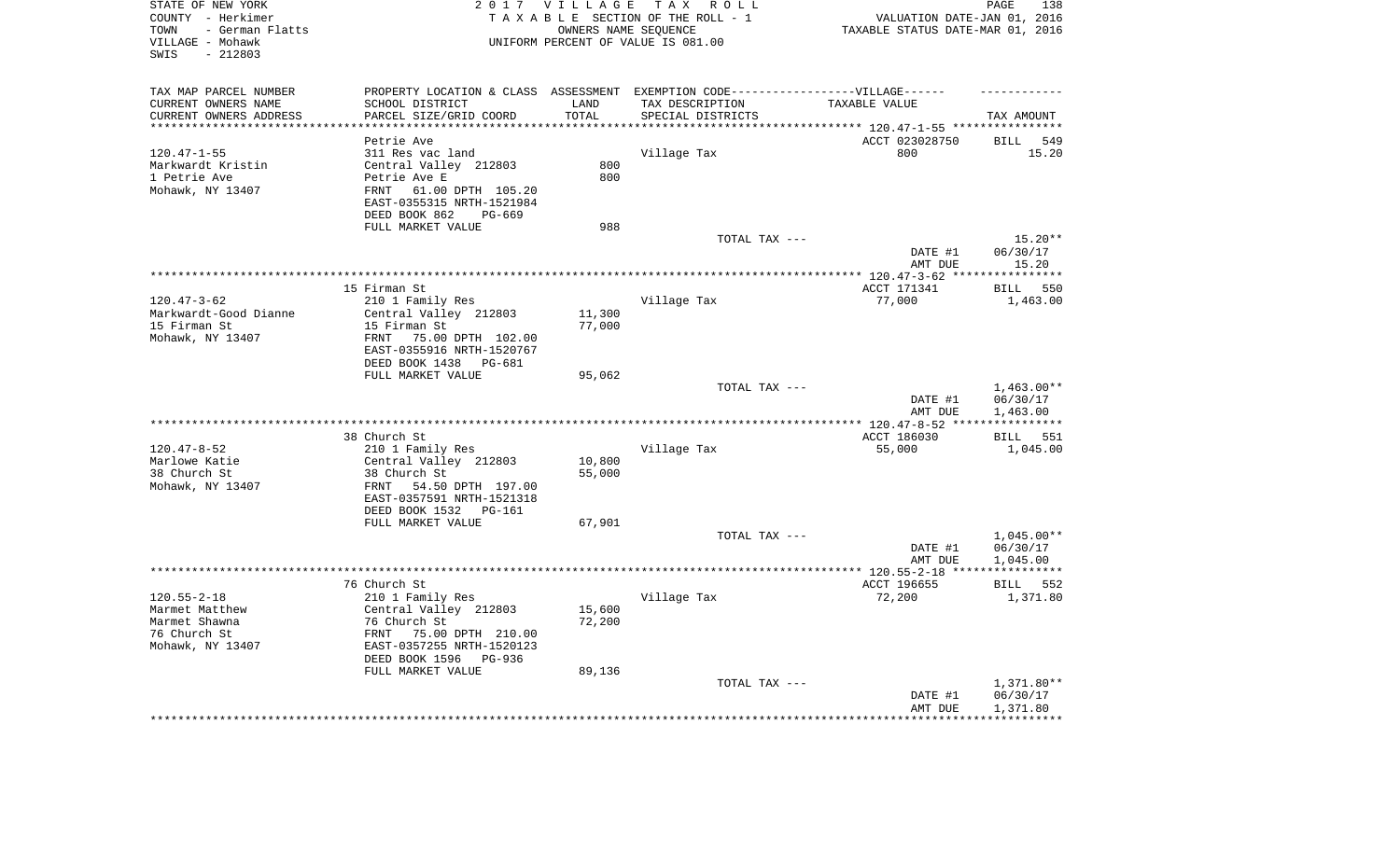| STATE OF NEW YORK<br>COUNTY - Herkimer<br>- German Flatts<br>TOWN<br>VILLAGE - Mohawk<br>$-212803$<br>SWIS | 2 0 1 7                                                                           | VILLAGE                | TAX ROLL<br>TAXABLE SECTION OF THE ROLL - 1<br>OWNERS NAME SEQUENCE<br>UNIFORM PERCENT OF VALUE IS 081.00 | VALUATION DATE-JAN 01, 2016<br>TAXABLE STATUS DATE-MAR 01, 2016 | 138<br>PAGE          |
|------------------------------------------------------------------------------------------------------------|-----------------------------------------------------------------------------------|------------------------|-----------------------------------------------------------------------------------------------------------|-----------------------------------------------------------------|----------------------|
| TAX MAP PARCEL NUMBER                                                                                      | PROPERTY LOCATION & CLASS ASSESSMENT EXEMPTION CODE-----------------VILLAGE------ |                        |                                                                                                           |                                                                 |                      |
| CURRENT OWNERS NAME                                                                                        | SCHOOL DISTRICT                                                                   | LAND                   | TAX DESCRIPTION                                                                                           | TAXABLE VALUE                                                   |                      |
| CURRENT OWNERS ADDRESS<br>**********************                                                           | PARCEL SIZE/GRID COORD<br>**********************                                  | TOTAL<br>************* | SPECIAL DISTRICTS                                                                                         |                                                                 | TAX AMOUNT           |
|                                                                                                            | Petrie Ave                                                                        |                        |                                                                                                           | ACCT 023028750                                                  | <b>BILL</b><br>549   |
| $120.47 - 1 - 55$                                                                                          | 311 Res vac land                                                                  |                        | Village Tax                                                                                               | 800                                                             | 15.20                |
| Markwardt Kristin                                                                                          | Central Valley 212803                                                             | 800                    |                                                                                                           |                                                                 |                      |
| 1 Petrie Ave                                                                                               | Petrie Ave E                                                                      | 800                    |                                                                                                           |                                                                 |                      |
| Mohawk, NY 13407                                                                                           | 61.00 DPTH 105.20<br>FRNT<br>EAST-0355315 NRTH-1521984                            |                        |                                                                                                           |                                                                 |                      |
|                                                                                                            | DEED BOOK 862<br>PG-669                                                           |                        |                                                                                                           |                                                                 |                      |
|                                                                                                            | FULL MARKET VALUE                                                                 | 988                    |                                                                                                           |                                                                 |                      |
|                                                                                                            |                                                                                   |                        | TOTAL TAX ---                                                                                             |                                                                 | $15.20**$            |
|                                                                                                            |                                                                                   |                        |                                                                                                           | DATE #1<br>AMT DUE                                              | 06/30/17<br>15.20    |
|                                                                                                            |                                                                                   |                        |                                                                                                           |                                                                 | ***********          |
|                                                                                                            | 15 Firman St                                                                      |                        |                                                                                                           | ACCT 171341                                                     | 550<br><b>BILL</b>   |
| $120.47 - 3 - 62$                                                                                          | 210 1 Family Res                                                                  |                        | Village Tax                                                                                               | 77,000                                                          | 1,463.00             |
| Markwardt-Good Dianne                                                                                      | Central Valley 212803                                                             | 11,300                 |                                                                                                           |                                                                 |                      |
| 15 Firman St                                                                                               | 15 Firman St                                                                      | 77,000                 |                                                                                                           |                                                                 |                      |
| Mohawk, NY 13407                                                                                           | FRNT<br>75.00 DPTH 102.00                                                         |                        |                                                                                                           |                                                                 |                      |
|                                                                                                            | EAST-0355916 NRTH-1520767<br>DEED BOOK 1438<br>PG-681                             |                        |                                                                                                           |                                                                 |                      |
|                                                                                                            | FULL MARKET VALUE                                                                 | 95,062                 |                                                                                                           |                                                                 |                      |
|                                                                                                            |                                                                                   |                        | TOTAL TAX ---                                                                                             |                                                                 | $1,463.00**$         |
|                                                                                                            |                                                                                   |                        |                                                                                                           | DATE #1<br>AMT DUE                                              | 06/30/17<br>1,463.00 |
|                                                                                                            |                                                                                   |                        | **********************                                                                                    | ************* 120.47-8-52 ****                                  |                      |
|                                                                                                            | 38 Church St                                                                      |                        |                                                                                                           | ACCT 186030                                                     | 551<br><b>BILL</b>   |
| $120.47 - 8 - 52$<br>Marlowe Katie                                                                         | 210 1 Family Res<br>Central Valley 212803                                         | 10,800                 | Village Tax                                                                                               | 55,000                                                          | 1,045.00             |
| 38 Church St                                                                                               | 38 Church St                                                                      | 55,000                 |                                                                                                           |                                                                 |                      |
| Mohawk, NY 13407                                                                                           | 54.50 DPTH 197.00<br>FRNT                                                         |                        |                                                                                                           |                                                                 |                      |
|                                                                                                            | EAST-0357591 NRTH-1521318                                                         |                        |                                                                                                           |                                                                 |                      |
|                                                                                                            | DEED BOOK 1532<br>PG-161                                                          |                        |                                                                                                           |                                                                 |                      |
|                                                                                                            | FULL MARKET VALUE                                                                 | 67,901                 |                                                                                                           |                                                                 |                      |
|                                                                                                            |                                                                                   |                        | TOTAL TAX ---                                                                                             |                                                                 | $1,045.00**$         |
|                                                                                                            |                                                                                   |                        |                                                                                                           | DATE #1<br>AMT DUE                                              | 06/30/17<br>1,045.00 |
|                                                                                                            |                                                                                   |                        |                                                                                                           |                                                                 |                      |
|                                                                                                            | 76 Church St                                                                      |                        |                                                                                                           | ACCT 196655                                                     | BILL 552             |
| $120.55 - 2 - 18$                                                                                          | 210 1 Family Res                                                                  |                        | Village Tax                                                                                               | 72,200                                                          | 1,371.80             |
| Marmet Matthew                                                                                             | Central Valley 212803                                                             | 15,600                 |                                                                                                           |                                                                 |                      |
| Marmet Shawna                                                                                              | 76 Church St                                                                      | 72,200                 |                                                                                                           |                                                                 |                      |
| 76 Church St<br>Mohawk, NY 13407                                                                           | FRNT 75.00 DPTH 210.00<br>EAST-0357255 NRTH-1520123                               |                        |                                                                                                           |                                                                 |                      |
|                                                                                                            | DEED BOOK 1596<br>PG-936                                                          |                        |                                                                                                           |                                                                 |                      |
|                                                                                                            | FULL MARKET VALUE                                                                 | 89,136                 |                                                                                                           |                                                                 |                      |
|                                                                                                            |                                                                                   |                        | TOTAL TAX ---                                                                                             |                                                                 | 1,371.80**           |
|                                                                                                            |                                                                                   |                        |                                                                                                           | DATE #1                                                         | 06/30/17             |
|                                                                                                            |                                                                                   |                        |                                                                                                           | AMT DUE                                                         | 1,371.80             |
|                                                                                                            |                                                                                   |                        |                                                                                                           |                                                                 |                      |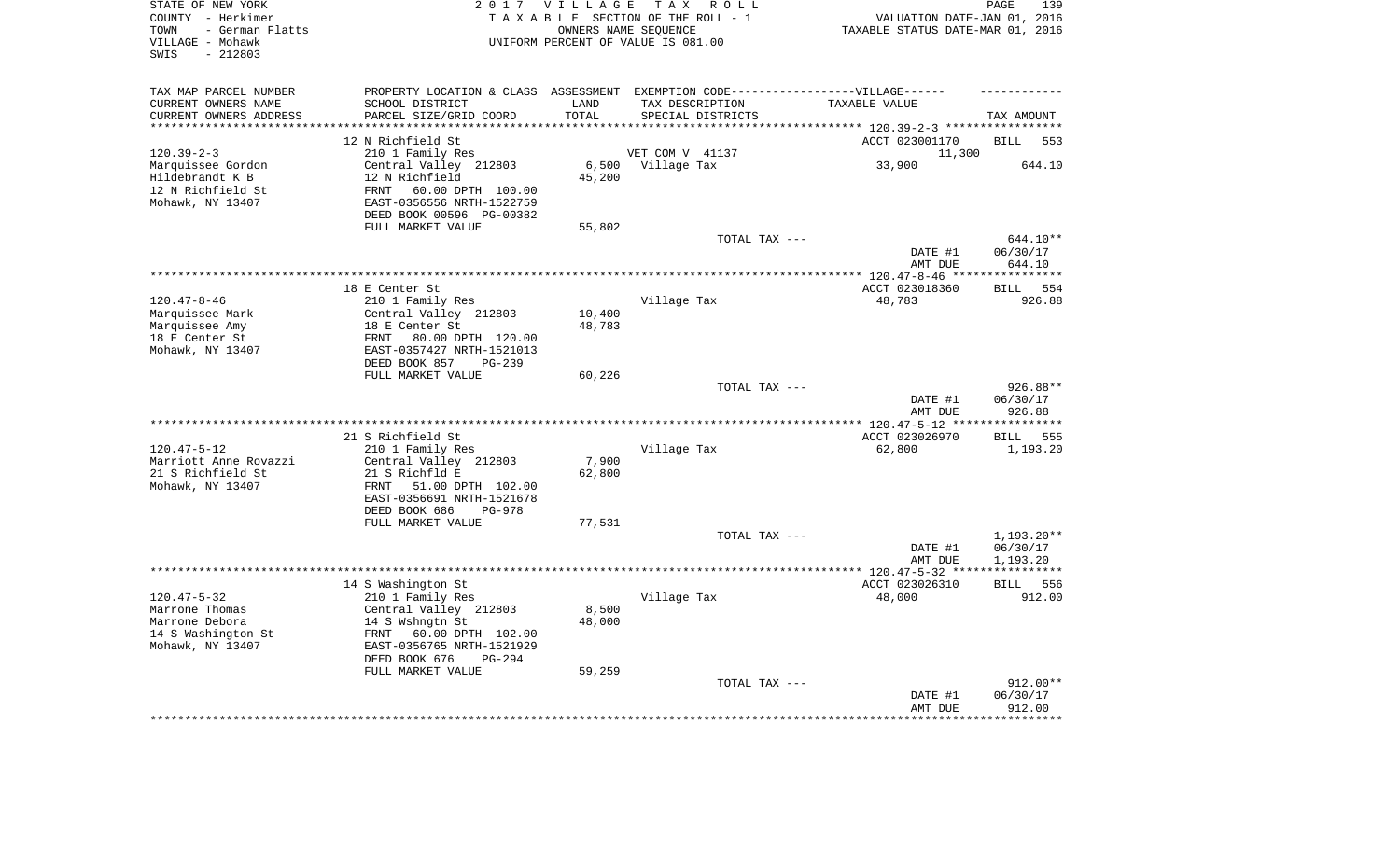| STATE OF NEW YORK<br>COUNTY - Herkimer<br>- German Flatts<br>TOWN<br>VILLAGE - Mohawk<br>$-212803$<br>SWIS |                                                                                   | 2017 VILLAGE               | TAX ROLL<br>TAXABLE SECTION OF THE ROLL - 1<br>OWNERS NAME SEQUENCE<br>UNIFORM PERCENT OF VALUE IS 081.00 | VALUATION DATE-JAN 01, 2016<br>TAXABLE STATUS DATE-MAR 01, 2016 | PAGE<br>139        |
|------------------------------------------------------------------------------------------------------------|-----------------------------------------------------------------------------------|----------------------------|-----------------------------------------------------------------------------------------------------------|-----------------------------------------------------------------|--------------------|
| TAX MAP PARCEL NUMBER                                                                                      | PROPERTY LOCATION & CLASS ASSESSMENT EXEMPTION CODE-----------------VILLAGE------ |                            |                                                                                                           |                                                                 |                    |
| CURRENT OWNERS NAME                                                                                        | SCHOOL DISTRICT                                                                   | LAND                       | TAX DESCRIPTION                                                                                           | TAXABLE VALUE                                                   |                    |
| CURRENT OWNERS ADDRESS<br>********************                                                             | PARCEL SIZE/GRID COORD<br>*********************                                   | TOTAL<br>* * * * * * * * * | SPECIAL DISTRICTS                                                                                         |                                                                 | TAX AMOUNT         |
|                                                                                                            |                                                                                   |                            |                                                                                                           | **************************** 120.39-2-3 *****************       |                    |
|                                                                                                            | 12 N Richfield St                                                                 |                            |                                                                                                           | ACCT 023001170                                                  | <b>BILL</b><br>553 |
| $120.39 - 2 - 3$                                                                                           | 210 1 Family Res                                                                  | 6,500                      | VET COM V 41137                                                                                           | 11,300<br>33,900                                                | 644.10             |
| Marquissee Gordon<br>Hildebrandt K B                                                                       | Central Valley 212803<br>12 N Richfield                                           | 45,200                     | Village Tax                                                                                               |                                                                 |                    |
| 12 N Richfield St                                                                                          | 60.00 DPTH 100.00<br>FRNT                                                         |                            |                                                                                                           |                                                                 |                    |
| Mohawk, NY 13407                                                                                           | EAST-0356556 NRTH-1522759                                                         |                            |                                                                                                           |                                                                 |                    |
|                                                                                                            | DEED BOOK 00596 PG-00382                                                          |                            |                                                                                                           |                                                                 |                    |
|                                                                                                            | FULL MARKET VALUE                                                                 | 55,802                     |                                                                                                           |                                                                 |                    |
|                                                                                                            |                                                                                   |                            | TOTAL TAX ---                                                                                             |                                                                 | 644.10**           |
|                                                                                                            |                                                                                   |                            |                                                                                                           | DATE #1                                                         | 06/30/17           |
|                                                                                                            |                                                                                   |                            |                                                                                                           | AMT DUE                                                         | 644.10             |
|                                                                                                            |                                                                                   |                            |                                                                                                           | *** $120.47 - 8 - 46$ ***                                       | ******             |
|                                                                                                            | 18 E Center St                                                                    |                            |                                                                                                           | ACCT 023018360                                                  | 554<br><b>BILL</b> |
| $120.47 - 8 - 46$                                                                                          | 210 1 Family Res                                                                  |                            | Village Tax                                                                                               | 48,783                                                          | 926.88             |
| Marquissee Mark                                                                                            | Central Valley 212803                                                             | 10,400                     |                                                                                                           |                                                                 |                    |
| Marquissee Amy<br>18 E Center St                                                                           | 18 E Center St<br>80.00 DPTH 120.00<br>FRNT                                       | 48,783                     |                                                                                                           |                                                                 |                    |
| Mohawk, NY 13407                                                                                           | EAST-0357427 NRTH-1521013                                                         |                            |                                                                                                           |                                                                 |                    |
|                                                                                                            | DEED BOOK 857<br>$PG-239$                                                         |                            |                                                                                                           |                                                                 |                    |
|                                                                                                            | FULL MARKET VALUE                                                                 | 60,226                     |                                                                                                           |                                                                 |                    |
|                                                                                                            |                                                                                   |                            | TOTAL TAX ---                                                                                             |                                                                 | 926.88**           |
|                                                                                                            |                                                                                   |                            |                                                                                                           | DATE #1                                                         | 06/30/17           |
|                                                                                                            |                                                                                   |                            |                                                                                                           | AMT DUE                                                         | 926.88             |
|                                                                                                            |                                                                                   |                            |                                                                                                           | ** 120.47-5-12 **                                               | **********         |
|                                                                                                            | 21 S Richfield St                                                                 |                            |                                                                                                           | ACCT 023026970                                                  | <b>BILL</b><br>555 |
| $120.47 - 5 - 12$                                                                                          | 210 1 Family Res                                                                  |                            | Village Tax                                                                                               | 62,800                                                          | 1,193.20           |
| Marriott Anne Rovazzi<br>21 S Richfield St                                                                 | Central Valley 212803<br>21 S Richfld E                                           | 7,900<br>62,800            |                                                                                                           |                                                                 |                    |
| Mohawk, NY 13407                                                                                           | FRNT<br>51.00 DPTH 102.00                                                         |                            |                                                                                                           |                                                                 |                    |
|                                                                                                            | EAST-0356691 NRTH-1521678                                                         |                            |                                                                                                           |                                                                 |                    |
|                                                                                                            | DEED BOOK 686<br><b>PG-978</b>                                                    |                            |                                                                                                           |                                                                 |                    |
|                                                                                                            | FULL MARKET VALUE                                                                 | 77,531                     |                                                                                                           |                                                                 |                    |
|                                                                                                            |                                                                                   |                            | TOTAL TAX ---                                                                                             |                                                                 | 1,193.20**         |
|                                                                                                            |                                                                                   |                            |                                                                                                           | DATE #1                                                         | 06/30/17           |
|                                                                                                            |                                                                                   |                            |                                                                                                           | AMT DUE                                                         | 1,193.20           |
|                                                                                                            |                                                                                   |                            |                                                                                                           | **************** 120.47-5-32 *****************                  |                    |
|                                                                                                            | 14 S Washington St                                                                |                            |                                                                                                           | ACCT 023026310                                                  | BILL 556           |
| $120.47 - 5 - 32$<br>Marrone Thomas                                                                        | 210 1 Family Res<br>Central Valley 212803                                         | 8,500                      | Village Tax                                                                                               | 48,000                                                          | 912.00             |
| Marrone Debora                                                                                             | 14 S Wshngtn St                                                                   | 48,000                     |                                                                                                           |                                                                 |                    |
| 14 S Washington St                                                                                         | 60.00 DPTH 102.00<br>FRNT                                                         |                            |                                                                                                           |                                                                 |                    |
| Mohawk, NY 13407                                                                                           | EAST-0356765 NRTH-1521929                                                         |                            |                                                                                                           |                                                                 |                    |
|                                                                                                            | DEED BOOK 676<br>$PG-294$                                                         |                            |                                                                                                           |                                                                 |                    |
|                                                                                                            | FULL MARKET VALUE                                                                 | 59,259                     |                                                                                                           |                                                                 |                    |
|                                                                                                            |                                                                                   |                            | TOTAL TAX ---                                                                                             |                                                                 | $912.00**$         |
|                                                                                                            |                                                                                   |                            |                                                                                                           | DATE #1                                                         | 06/30/17           |
|                                                                                                            |                                                                                   |                            |                                                                                                           | AMT DUE                                                         | 912.00             |
|                                                                                                            |                                                                                   |                            |                                                                                                           |                                                                 | * * * * * * *      |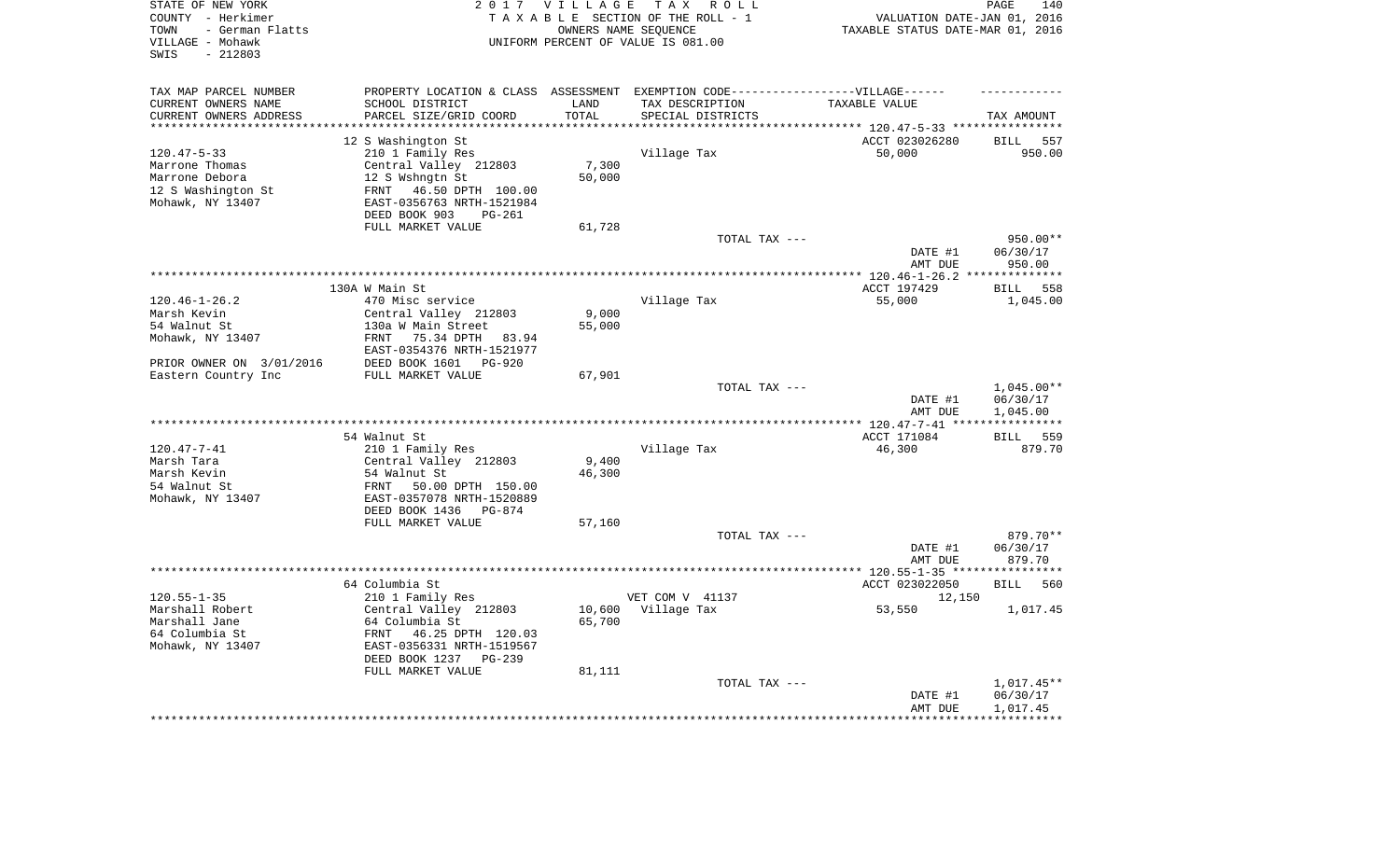| STATE OF NEW YORK<br>COUNTY - Herkimer<br>- German Flatts<br>TOWN<br>VILLAGE - Mohawk<br>$-212803$<br>SWIS |                                                   | 2017 VILLAGE | T A X<br>R O L L<br>TAXABLE SECTION OF THE ROLL - 1<br>OWNERS NAME SEQUENCE<br>UNIFORM PERCENT OF VALUE IS 081.00 | VALUATION DATE-JAN 01, 2016<br>TAXABLE STATUS DATE-MAR 01, 2016 | PAGE<br>140         |
|------------------------------------------------------------------------------------------------------------|---------------------------------------------------|--------------|-------------------------------------------------------------------------------------------------------------------|-----------------------------------------------------------------|---------------------|
| TAX MAP PARCEL NUMBER                                                                                      |                                                   |              | PROPERTY LOCATION & CLASS ASSESSMENT EXEMPTION CODE-----------------VILLAGE------                                 |                                                                 |                     |
| CURRENT OWNERS NAME                                                                                        | SCHOOL DISTRICT                                   | LAND         | TAX DESCRIPTION                                                                                                   | TAXABLE VALUE                                                   |                     |
| CURRENT OWNERS ADDRESS                                                                                     | PARCEL SIZE/GRID COORD                            | TOTAL        | SPECIAL DISTRICTS                                                                                                 |                                                                 | TAX AMOUNT          |
| ********************                                                                                       | *********************                             | *********    |                                                                                                                   |                                                                 |                     |
|                                                                                                            | 12 S Washington St                                |              |                                                                                                                   | ACCT 023026280                                                  | <b>BILL</b><br>557  |
| $120.47 - 5 - 33$<br>Marrone Thomas                                                                        | 210 1 Family Res                                  | 7,300        | Village Tax                                                                                                       | 50,000                                                          | 950.00              |
| Marrone Debora                                                                                             | Central Valley 212803<br>12 S Wshngtn St          | 50,000       |                                                                                                                   |                                                                 |                     |
| 12 S Washington St                                                                                         | 46.50 DPTH 100.00<br>FRNT                         |              |                                                                                                                   |                                                                 |                     |
| Mohawk, NY 13407                                                                                           | EAST-0356763 NRTH-1521984                         |              |                                                                                                                   |                                                                 |                     |
|                                                                                                            | DEED BOOK 903<br><b>PG-261</b>                    |              |                                                                                                                   |                                                                 |                     |
|                                                                                                            | FULL MARKET VALUE                                 | 61,728       |                                                                                                                   |                                                                 |                     |
|                                                                                                            |                                                   |              | TOTAL TAX ---                                                                                                     |                                                                 | 950.00**            |
|                                                                                                            |                                                   |              |                                                                                                                   | DATE #1                                                         | 06/30/17            |
|                                                                                                            |                                                   |              |                                                                                                                   | AMT DUE                                                         | 950.00              |
|                                                                                                            |                                                   |              |                                                                                                                   | ******** $120.46 - 1 - 26.2$                                    | ***********         |
|                                                                                                            | 130A W Main St                                    |              |                                                                                                                   | ACCT 197429                                                     | 558<br>BILL         |
| $120.46 - 1 - 26.2$                                                                                        | 470 Misc service                                  |              | Village Tax                                                                                                       | 55,000                                                          | 1,045.00            |
| Marsh Kevin                                                                                                | Central Valley 212803                             | 9,000        |                                                                                                                   |                                                                 |                     |
| 54 Walnut St<br>Mohawk, NY 13407                                                                           | 130a W Main Street<br>FRNT<br>75.34 DPTH<br>83.94 | 55,000       |                                                                                                                   |                                                                 |                     |
|                                                                                                            | EAST-0354376 NRTH-1521977                         |              |                                                                                                                   |                                                                 |                     |
| PRIOR OWNER ON 3/01/2016                                                                                   | DEED BOOK 1601<br><b>PG-920</b>                   |              |                                                                                                                   |                                                                 |                     |
| Eastern Country Inc                                                                                        | FULL MARKET VALUE                                 | 67,901       |                                                                                                                   |                                                                 |                     |
|                                                                                                            |                                                   |              | TOTAL TAX ---                                                                                                     |                                                                 | $1,045.00**$        |
|                                                                                                            |                                                   |              |                                                                                                                   | DATE #1                                                         | 06/30/17            |
|                                                                                                            |                                                   |              |                                                                                                                   | AMT DUE                                                         | 1,045.00            |
|                                                                                                            |                                                   |              | *********************                                                                                             | *** 120.47-7-41 ***                                             |                     |
|                                                                                                            | 54 Walnut St                                      |              |                                                                                                                   | ACCT 171084                                                     | 559<br>BILL         |
| $120.47 - 7 - 41$                                                                                          | 210 1 Family Res<br>Central Valley 212803         | 9,400        | Village Tax                                                                                                       | 46,300                                                          | 879.70              |
| Marsh Tara<br>Marsh Kevin                                                                                  | 54 Walnut St                                      | 46,300       |                                                                                                                   |                                                                 |                     |
| 54 Walnut St                                                                                               | FRNT<br>50.00 DPTH 150.00                         |              |                                                                                                                   |                                                                 |                     |
| Mohawk, NY 13407                                                                                           | EAST-0357078 NRTH-1520889                         |              |                                                                                                                   |                                                                 |                     |
|                                                                                                            | DEED BOOK 1436<br>PG-874                          |              |                                                                                                                   |                                                                 |                     |
|                                                                                                            | FULL MARKET VALUE                                 | 57,160       |                                                                                                                   |                                                                 |                     |
|                                                                                                            |                                                   |              | TOTAL TAX ---                                                                                                     |                                                                 | 879.70**            |
|                                                                                                            |                                                   |              |                                                                                                                   | DATE #1                                                         | 06/30/17            |
|                                                                                                            |                                                   |              |                                                                                                                   | AMT DUE                                                         | 879.70              |
| *********************                                                                                      |                                                   |              |                                                                                                                   | ************ 120.55-1-35 ****                                   | * * * * * * * * * * |
|                                                                                                            | 64 Columbia St                                    |              |                                                                                                                   | ACCT 023022050                                                  | <b>BILL</b><br>560  |
| $120.55 - 1 - 35$<br>Marshall Robert                                                                       | 210 1 Family Res                                  | 10,600       | VET COM V 41137                                                                                                   | 12,150<br>53,550                                                | 1,017.45            |
| Marshall Jane                                                                                              | Central Valley 212803<br>64 Columbia St           | 65,700       | Village Tax                                                                                                       |                                                                 |                     |
| 64 Columbia St                                                                                             | FRNT<br>46.25 DPTH 120.03                         |              |                                                                                                                   |                                                                 |                     |
| Mohawk, NY 13407                                                                                           | EAST-0356331 NRTH-1519567                         |              |                                                                                                                   |                                                                 |                     |
|                                                                                                            | DEED BOOK 1237<br>$PG-239$                        |              |                                                                                                                   |                                                                 |                     |
|                                                                                                            | FULL MARKET VALUE                                 | 81,111       |                                                                                                                   |                                                                 |                     |
|                                                                                                            |                                                   |              | TOTAL TAX ---                                                                                                     |                                                                 | 1,017.45**          |
|                                                                                                            |                                                   |              |                                                                                                                   | DATE #1                                                         | 06/30/17            |
|                                                                                                            |                                                   |              |                                                                                                                   | AMT DUE                                                         | 1,017.45            |
|                                                                                                            |                                                   |              |                                                                                                                   |                                                                 |                     |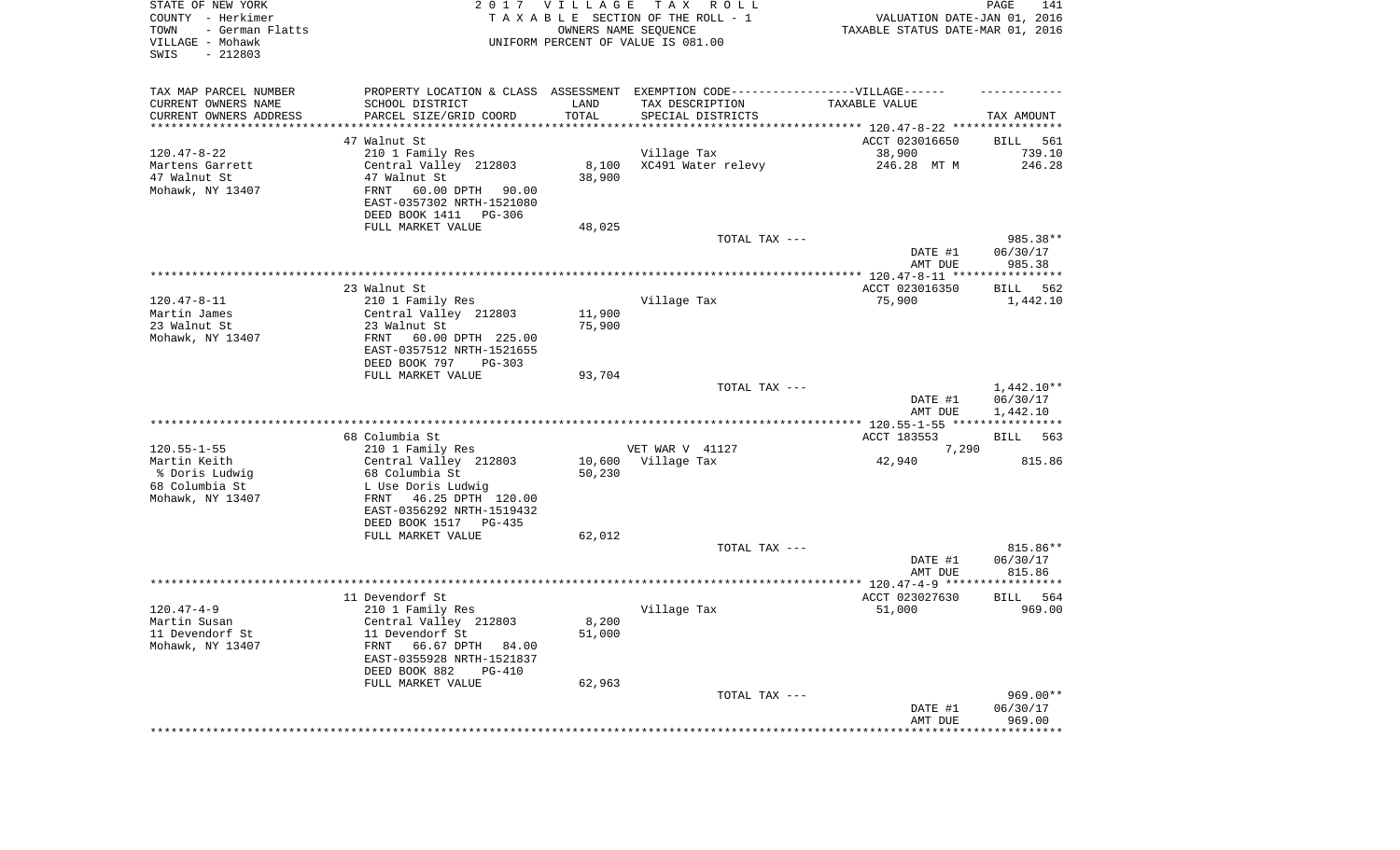| STATE OF NEW YORK<br>COUNTY - Herkimer<br>TOWN<br>- German Flatts<br>VILLAGE - Mohawk<br>SWIS<br>$-212803$ |                                                                                                                                                                                            | 2017 VILLAGE<br>OWNERS NAME SEQUENCE | T A X<br>R O L L<br>TAXABLE SECTION OF THE ROLL - 1<br>UNIFORM PERCENT OF VALUE IS 081.00 | VALUATION DATE-JAN 01, 2016<br>TAXABLE STATUS DATE-MAR 01, 2016 | PAGE<br>141                        |
|------------------------------------------------------------------------------------------------------------|--------------------------------------------------------------------------------------------------------------------------------------------------------------------------------------------|--------------------------------------|-------------------------------------------------------------------------------------------|-----------------------------------------------------------------|------------------------------------|
| TAX MAP PARCEL NUMBER<br>CURRENT OWNERS NAME<br>CURRENT OWNERS ADDRESS<br>**********************           | PROPERTY LOCATION & CLASS ASSESSMENT EXEMPTION CODE-----------------VILLAGE------<br>SCHOOL DISTRICT<br>PARCEL SIZE/GRID COORD                                                             | LAND<br>TOTAL<br>***********         | TAX DESCRIPTION<br>SPECIAL DISTRICTS                                                      | TAXABLE VALUE                                                   | TAX AMOUNT                         |
|                                                                                                            | 47 Walnut St                                                                                                                                                                               |                                      |                                                                                           | ACCT 023016650                                                  | 561<br>BILL                        |
| $120.47 - 8 - 22$<br>Martens Garrett<br>47 Walnut St<br>Mohawk, NY 13407                                   | 210 1 Family Res<br>Central Valley 212803<br>47 Walnut St<br>FRNT<br>60.00 DPTH 90.00<br>EAST-0357302 NRTH-1521080<br>DEED BOOK 1411<br>PG-306                                             | 8,100<br>38,900                      | Village Tax<br>XC491 Water relevy                                                         | 38,900<br>246.28 MT M                                           | 739.10<br>246.28                   |
|                                                                                                            | FULL MARKET VALUE                                                                                                                                                                          | 48,025                               | TOTAL TAX ---                                                                             | DATE #1                                                         | 985.38**<br>06/30/17               |
|                                                                                                            |                                                                                                                                                                                            |                                      |                                                                                           | AMT DUE                                                         | 985.38                             |
| $120.47 - 8 - 11$                                                                                          | 23 Walnut St<br>210 1 Family Res                                                                                                                                                           |                                      | Village Tax                                                                               | ACCT 023016350<br>75,900                                        | 562<br>BILL<br>1,442.10            |
| Martin James<br>23 Walnut St<br>Mohawk, NY 13407                                                           | Central Valley 212803<br>23 Walnut St<br>60.00 DPTH 225.00<br>FRNT<br>EAST-0357512 NRTH-1521655<br>DEED BOOK 797<br>$PG-303$                                                               | 11,900<br>75,900                     |                                                                                           |                                                                 |                                    |
|                                                                                                            | FULL MARKET VALUE                                                                                                                                                                          | 93,704                               | TOTAL TAX ---                                                                             | DATE #1<br>AMT DUE                                              | 1,442.10**<br>06/30/17<br>1,442.10 |
|                                                                                                            | 68 Columbia St                                                                                                                                                                             |                                      |                                                                                           | ACCT 183553                                                     | <b>BILL</b><br>563                 |
| $120.55 - 1 - 55$                                                                                          | 210 1 Family Res                                                                                                                                                                           |                                      | VET WAR V 41127                                                                           | 7,290                                                           |                                    |
| Martin Keith<br>% Doris Ludwig<br>68 Columbia St<br>Mohawk, NY 13407                                       | Central Valley 212803<br>68 Columbia St<br>L Use Doris Ludwig<br>FRNT<br>46.25 DPTH 120.00<br>EAST-0356292 NRTH-1519432<br>DEED BOOK 1517 PG-435                                           | 10,600<br>50,230                     | Village Tax                                                                               | 42,940                                                          | 815.86                             |
|                                                                                                            | FULL MARKET VALUE                                                                                                                                                                          | 62,012                               | TOTAL TAX ---                                                                             | DATE #1<br>AMT DUE                                              | 815.86**<br>06/30/17<br>815.86     |
|                                                                                                            |                                                                                                                                                                                            |                                      |                                                                                           |                                                                 |                                    |
| $120.47 - 4 - 9$<br>Martin Susan<br>11 Devendorf St<br>Mohawk, NY 13407                                    | 11 Devendorf St<br>210 1 Family Res<br>Central Valley 212803<br>11 Devendorf St<br>66.67 DPTH 84.00<br>FRNT<br>EAST-0355928 NRTH-1521837<br>DEED BOOK 882<br>$PG-410$<br>FULL MARKET VALUE | 8,200<br>51,000<br>62,963            | Village Tax                                                                               | ACCT 023027630<br>51,000                                        | 564<br>BILL<br>969.00              |
|                                                                                                            |                                                                                                                                                                                            |                                      | TOTAL TAX ---                                                                             | DATE #1<br>AMT DUE                                              | 969.00**<br>06/30/17<br>969.00     |
|                                                                                                            |                                                                                                                                                                                            |                                      |                                                                                           |                                                                 |                                    |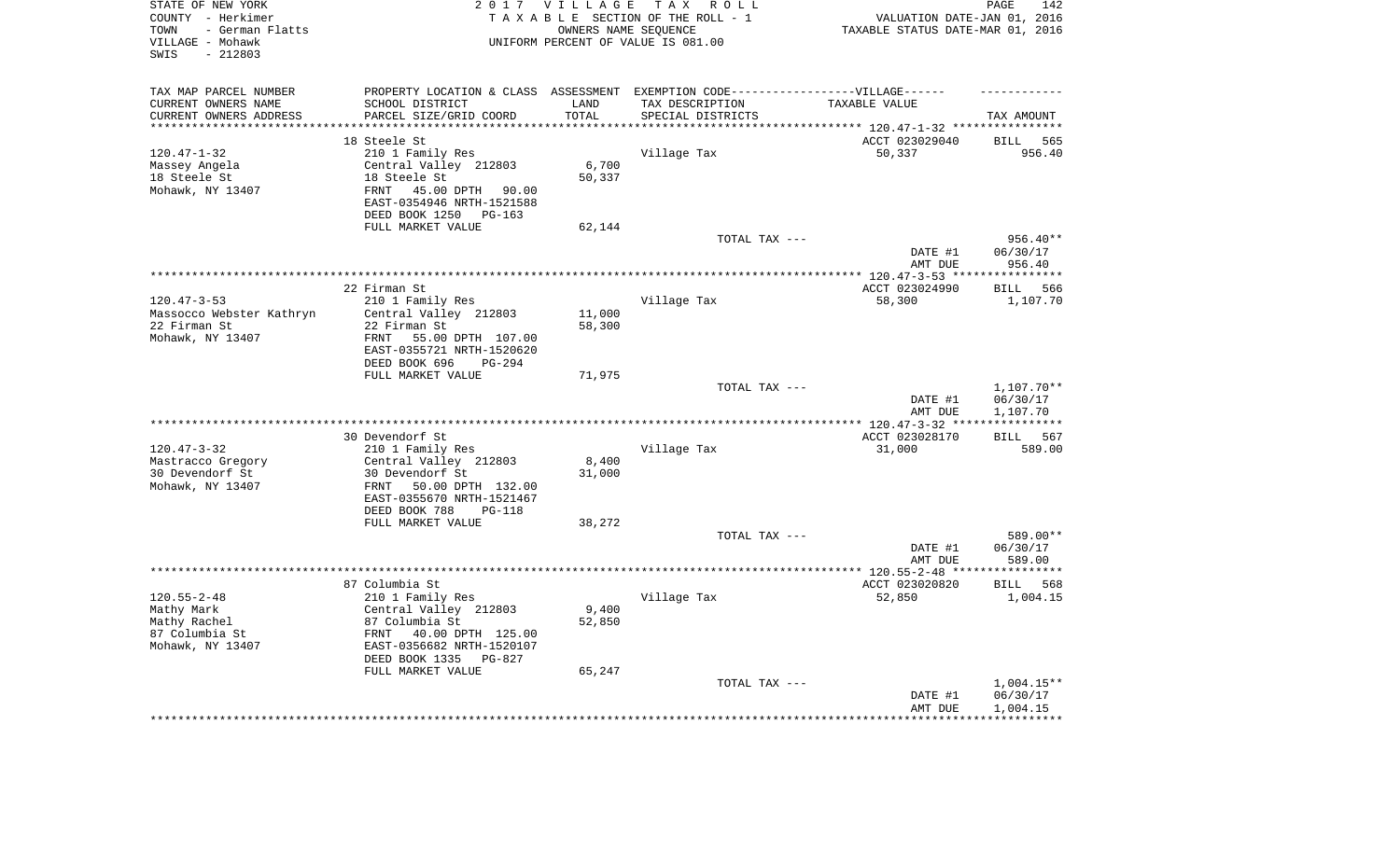| STATE OF NEW YORK<br>COUNTY - Herkimer<br>- German Flatts<br>TOWN<br>VILLAGE - Mohawk<br>$-212803$<br>SWIS |                                                         | 2017 VILLAGE       | TAX ROLL<br>TAXABLE SECTION OF THE ROLL - 1<br>OWNERS NAME SEQUENCE<br>UNIFORM PERCENT OF VALUE IS 081.00 | VALUATION DATE-JAN 01, 2016<br>TAXABLE STATUS DATE-MAR 01, 2016 | PAGE<br>142            |
|------------------------------------------------------------------------------------------------------------|---------------------------------------------------------|--------------------|-----------------------------------------------------------------------------------------------------------|-----------------------------------------------------------------|------------------------|
| TAX MAP PARCEL NUMBER                                                                                      |                                                         |                    | PROPERTY LOCATION & CLASS ASSESSMENT EXEMPTION CODE-----------------VILLAGE------                         |                                                                 |                        |
| CURRENT OWNERS NAME                                                                                        | SCHOOL DISTRICT                                         | LAND               | TAX DESCRIPTION                                                                                           | TAXABLE VALUE                                                   |                        |
| CURRENT OWNERS ADDRESS<br>*********************                                                            | PARCEL SIZE/GRID COORD<br>***********************       | TOTAL<br>********* | SPECIAL DISTRICTS                                                                                         |                                                                 | TAX AMOUNT             |
|                                                                                                            | 18 Steele St                                            |                    |                                                                                                           | ACCT 023029040                                                  | <b>BILL</b><br>565     |
| $120.47 - 1 - 32$                                                                                          | 210 1 Family Res                                        |                    | Village Tax                                                                                               | 50,337                                                          | 956.40                 |
| Massey Angela                                                                                              | Central Valley 212803                                   | 6,700              |                                                                                                           |                                                                 |                        |
| 18 Steele St                                                                                               | 18 Steele St                                            | 50,337             |                                                                                                           |                                                                 |                        |
| Mohawk, NY 13407                                                                                           | 45.00 DPTH<br><b>FRNT</b><br>90.00                      |                    |                                                                                                           |                                                                 |                        |
|                                                                                                            | EAST-0354946 NRTH-1521588<br>DEED BOOK 1250<br>$PG-163$ |                    |                                                                                                           |                                                                 |                        |
|                                                                                                            | FULL MARKET VALUE                                       | 62,144             |                                                                                                           |                                                                 |                        |
|                                                                                                            |                                                         |                    | TOTAL TAX ---                                                                                             |                                                                 | 956.40**               |
|                                                                                                            |                                                         |                    |                                                                                                           | DATE #1<br>AMT DUE                                              | 06/30/17<br>956.40     |
|                                                                                                            |                                                         |                    |                                                                                                           | ************** 120.47-3-53 ***                                  | ***********            |
|                                                                                                            | 22 Firman St                                            |                    |                                                                                                           | ACCT 023024990                                                  | 566<br><b>BILL</b>     |
| $120.47 - 3 - 53$                                                                                          | 210 1 Family Res                                        |                    | Village Tax                                                                                               | 58,300                                                          | 1,107.70               |
| Massocco Webster Kathryn                                                                                   | Central Valley 212803                                   | 11,000             |                                                                                                           |                                                                 |                        |
| 22 Firman St                                                                                               | 22 Firman St                                            | 58,300             |                                                                                                           |                                                                 |                        |
| Mohawk, NY 13407                                                                                           | 55.00 DPTH 107.00<br>FRNT<br>EAST-0355721 NRTH-1520620  |                    |                                                                                                           |                                                                 |                        |
|                                                                                                            | DEED BOOK 696<br>PG-294                                 |                    |                                                                                                           |                                                                 |                        |
|                                                                                                            | FULL MARKET VALUE                                       | 71,975             |                                                                                                           |                                                                 |                        |
|                                                                                                            |                                                         |                    | TOTAL TAX ---                                                                                             | DATE #1                                                         | 1,107.70**<br>06/30/17 |
|                                                                                                            |                                                         |                    |                                                                                                           | AMT DUE                                                         | 1,107.70               |
|                                                                                                            |                                                         |                    |                                                                                                           |                                                                 | ***********            |
|                                                                                                            | 30 Devendorf St                                         |                    |                                                                                                           | ACCT 023028170                                                  | 567<br>BILL            |
| $120.47 - 3 - 32$<br>Mastracco Gregory                                                                     | 210 1 Family Res<br>Central Valley 212803               | 8,400              | Village Tax                                                                                               | 31,000                                                          | 589.00                 |
| 30 Devendorf St                                                                                            | 30 Devendorf St                                         | 31,000             |                                                                                                           |                                                                 |                        |
| Mohawk, NY 13407                                                                                           | 50.00 DPTH 132.00<br>FRNT                               |                    |                                                                                                           |                                                                 |                        |
|                                                                                                            | EAST-0355670 NRTH-1521467                               |                    |                                                                                                           |                                                                 |                        |
|                                                                                                            | DEED BOOK 788<br>$PG-118$                               |                    |                                                                                                           |                                                                 |                        |
|                                                                                                            | FULL MARKET VALUE                                       | 38,272             |                                                                                                           |                                                                 |                        |
|                                                                                                            |                                                         |                    | TOTAL TAX ---                                                                                             |                                                                 | 589.00**               |
|                                                                                                            |                                                         |                    |                                                                                                           | DATE #1                                                         | 06/30/17               |
|                                                                                                            |                                                         |                    |                                                                                                           | AMT DUE                                                         | 589.00<br>***********  |
|                                                                                                            | 87 Columbia St                                          |                    |                                                                                                           | ACCT 023020820                                                  | <b>BILL</b><br>568     |
| $120.55 - 2 - 48$                                                                                          | 210 1 Family Res                                        |                    | Village Tax                                                                                               | 52,850                                                          | 1,004.15               |
| Mathy Mark                                                                                                 | Central Valley 212803                                   | 9,400              |                                                                                                           |                                                                 |                        |
| Mathy Rachel                                                                                               | 87 Columbia St                                          | 52,850             |                                                                                                           |                                                                 |                        |
| 87 Columbia St                                                                                             | FRNT<br>40.00 DPTH 125.00                               |                    |                                                                                                           |                                                                 |                        |
| Mohawk, NY 13407                                                                                           | EAST-0356682 NRTH-1520107                               |                    |                                                                                                           |                                                                 |                        |
|                                                                                                            | DEED BOOK 1335<br>$PG-827$                              |                    |                                                                                                           |                                                                 |                        |
|                                                                                                            | FULL MARKET VALUE                                       | 65,247             |                                                                                                           |                                                                 |                        |
|                                                                                                            |                                                         |                    | TOTAL TAX ---                                                                                             |                                                                 | 1,004.15**             |
|                                                                                                            |                                                         |                    |                                                                                                           | DATE #1                                                         | 06/30/17               |
|                                                                                                            |                                                         |                    |                                                                                                           | AMT DUE                                                         | 1,004.15<br>********** |
|                                                                                                            |                                                         |                    |                                                                                                           |                                                                 |                        |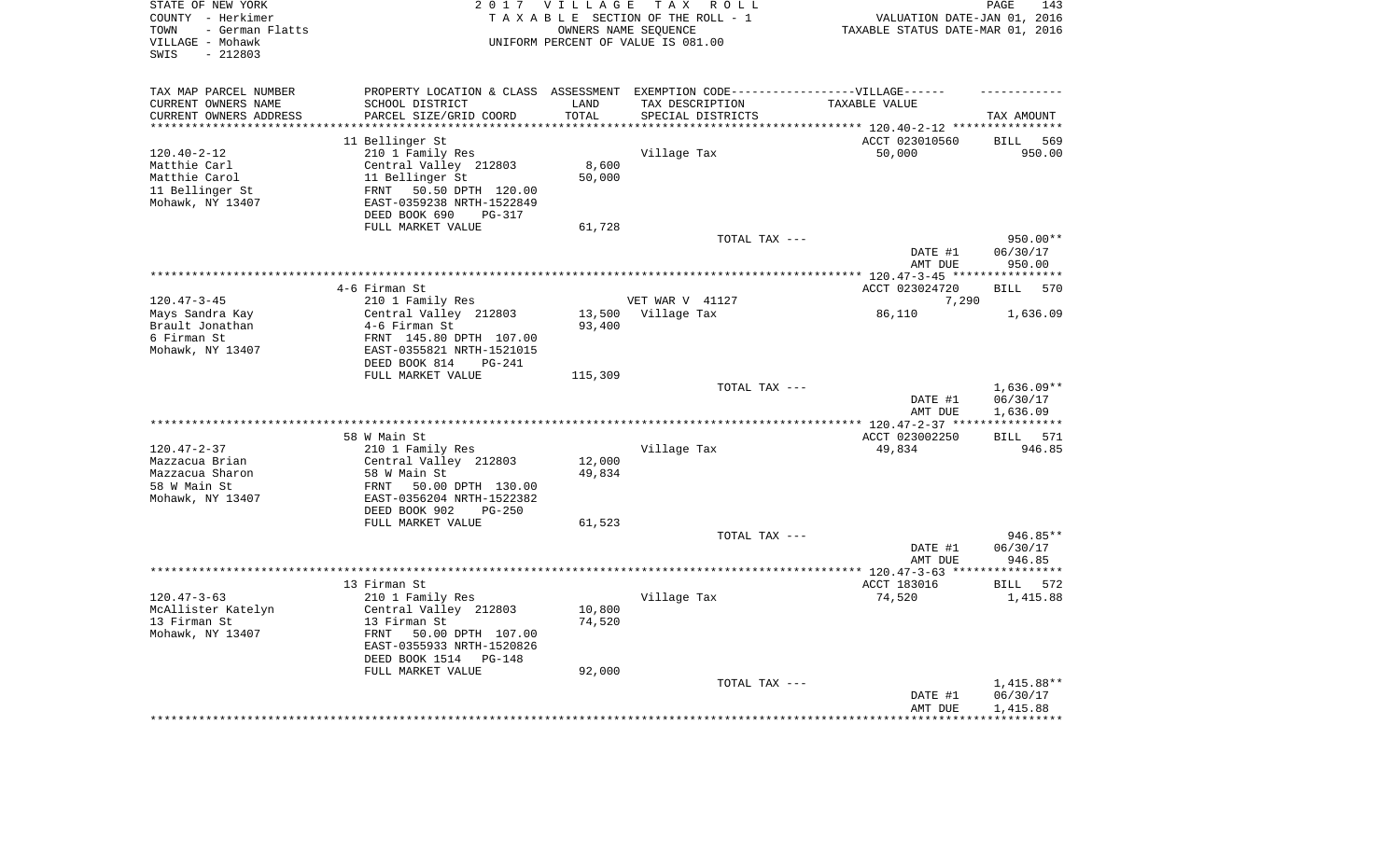| STATE OF NEW YORK<br>COUNTY - Herkimer<br>- German Flatts<br>TOWN<br>VILLAGE - Mohawk<br>$-212803$<br>SWIS |                                                         | 2017 VILLAGE<br>OWNERS NAME SEQUENCE | TAX ROLL<br>TAXABLE SECTION OF THE ROLL - 1<br>UNIFORM PERCENT OF VALUE IS 081.00 | VALUATION DATE-JAN 01, 2016<br>TAXABLE STATUS DATE-MAR 01, 2016 | PAGE<br>143           |
|------------------------------------------------------------------------------------------------------------|---------------------------------------------------------|--------------------------------------|-----------------------------------------------------------------------------------|-----------------------------------------------------------------|-----------------------|
| TAX MAP PARCEL NUMBER                                                                                      |                                                         |                                      | PROPERTY LOCATION & CLASS ASSESSMENT EXEMPTION CODE-----------------VILLAGE------ |                                                                 |                       |
| CURRENT OWNERS NAME                                                                                        | SCHOOL DISTRICT                                         | LAND                                 | TAX DESCRIPTION                                                                   | TAXABLE VALUE                                                   |                       |
| CURRENT OWNERS ADDRESS<br>********************                                                             | PARCEL SIZE/GRID COORD<br>*********************         | TOTAL<br>*********                   | SPECIAL DISTRICTS                                                                 |                                                                 | TAX AMOUNT            |
|                                                                                                            | 11 Bellinger St                                         |                                      |                                                                                   | ACCT 023010560                                                  | <b>BILL</b><br>569    |
| $120.40 - 2 - 12$                                                                                          | 210 1 Family Res                                        |                                      | Village Tax                                                                       | 50,000                                                          | 950.00                |
| Matthie Carl                                                                                               | Central Valley 212803                                   | 8,600                                |                                                                                   |                                                                 |                       |
| Matthie Carol                                                                                              | 11 Bellinger St                                         | 50,000                               |                                                                                   |                                                                 |                       |
| 11 Bellinger St                                                                                            | 50.50 DPTH 120.00<br>FRNT                               |                                      |                                                                                   |                                                                 |                       |
| Mohawk, NY 13407                                                                                           | EAST-0359238 NRTH-1522849                               |                                      |                                                                                   |                                                                 |                       |
|                                                                                                            | DEED BOOK 690<br><b>PG-317</b>                          |                                      |                                                                                   |                                                                 |                       |
|                                                                                                            | FULL MARKET VALUE                                       | 61,728                               |                                                                                   |                                                                 |                       |
|                                                                                                            |                                                         |                                      | TOTAL TAX ---                                                                     |                                                                 | 950.00**              |
|                                                                                                            |                                                         |                                      |                                                                                   | DATE #1                                                         | 06/30/17              |
|                                                                                                            |                                                         |                                      |                                                                                   | AMT DUE                                                         | 950.00                |
|                                                                                                            |                                                         |                                      |                                                                                   | ************ 120.47-3-45 *****************                      |                       |
|                                                                                                            | 4-6 Firman St                                           |                                      |                                                                                   | ACCT 023024720                                                  | 570<br><b>BILL</b>    |
| $120.47 - 3 - 45$                                                                                          | 210 1 Family Res<br>Central Valley 212803               |                                      | VET WAR V 41127<br>Village Tax                                                    | 7,290                                                           |                       |
| Mays Sandra Kay<br>Brault Jonathan                                                                         | 4-6 Firman St                                           | 13,500<br>93,400                     |                                                                                   | 86,110                                                          | 1,636.09              |
| 6 Firman St                                                                                                | FRNT 145.80 DPTH 107.00                                 |                                      |                                                                                   |                                                                 |                       |
| Mohawk, NY 13407                                                                                           | EAST-0355821 NRTH-1521015                               |                                      |                                                                                   |                                                                 |                       |
|                                                                                                            | DEED BOOK 814<br>$PG-241$                               |                                      |                                                                                   |                                                                 |                       |
|                                                                                                            | FULL MARKET VALUE                                       | 115,309                              |                                                                                   |                                                                 |                       |
|                                                                                                            |                                                         |                                      | TOTAL TAX ---                                                                     |                                                                 | $1,636.09**$          |
|                                                                                                            |                                                         |                                      |                                                                                   | DATE #1                                                         | 06/30/17              |
|                                                                                                            |                                                         |                                      |                                                                                   | AMT DUE                                                         | 1,636.09              |
|                                                                                                            |                                                         |                                      |                                                                                   | *** $120.47 - 2 - 37$ **                                        | * * * * * * * * * * * |
|                                                                                                            | 58 W Main St                                            |                                      |                                                                                   | ACCT 023002250                                                  | 571<br>BILL           |
| $120.47 - 2 - 37$                                                                                          | 210 1 Family Res                                        |                                      | Village Tax                                                                       | 49,834                                                          | 946.85                |
| Mazzacua Brian                                                                                             | Central Valley 212803                                   | 12,000                               |                                                                                   |                                                                 |                       |
| Mazzacua Sharon<br>58 W Main St                                                                            | 58 W Main St<br>FRNT<br>50.00 DPTH 130.00               | 49,834                               |                                                                                   |                                                                 |                       |
| Mohawk, NY 13407                                                                                           | EAST-0356204 NRTH-1522382                               |                                      |                                                                                   |                                                                 |                       |
|                                                                                                            | DEED BOOK 902<br>$PG-250$                               |                                      |                                                                                   |                                                                 |                       |
|                                                                                                            | FULL MARKET VALUE                                       | 61,523                               |                                                                                   |                                                                 |                       |
|                                                                                                            |                                                         |                                      | TOTAL TAX ---                                                                     |                                                                 | 946.85**              |
|                                                                                                            |                                                         |                                      |                                                                                   | DATE #1                                                         | 06/30/17              |
|                                                                                                            |                                                         |                                      |                                                                                   | AMT DUE                                                         | 946.85                |
|                                                                                                            |                                                         |                                      |                                                                                   | ************ 120.47-3-63 ***                                    | * * * * * * * * *     |
|                                                                                                            | 13 Firman St                                            |                                      |                                                                                   | ACCT 183016                                                     | BILL<br>572           |
| $120.47 - 3 - 63$                                                                                          | 210 1 Family Res                                        |                                      | Village Tax                                                                       | 74,520                                                          | 1,415.88              |
| McAllister Katelyn                                                                                         | Central Valley 212803                                   | 10,800                               |                                                                                   |                                                                 |                       |
| 13 Firman St                                                                                               | 13 Firman St                                            | 74,520                               |                                                                                   |                                                                 |                       |
| Mohawk, NY 13407                                                                                           | FRNT<br>50.00 DPTH 107.00                               |                                      |                                                                                   |                                                                 |                       |
|                                                                                                            | EAST-0355933 NRTH-1520826<br>DEED BOOK 1514<br>$PG-148$ |                                      |                                                                                   |                                                                 |                       |
|                                                                                                            | FULL MARKET VALUE                                       | 92,000                               |                                                                                   |                                                                 |                       |
|                                                                                                            |                                                         |                                      | TOTAL TAX ---                                                                     |                                                                 | 1,415.88**            |
|                                                                                                            |                                                         |                                      |                                                                                   | DATE #1                                                         | 06/30/17              |
|                                                                                                            |                                                         |                                      |                                                                                   | AMT DUE                                                         | 1,415.88              |
|                                                                                                            |                                                         |                                      |                                                                                   |                                                                 |                       |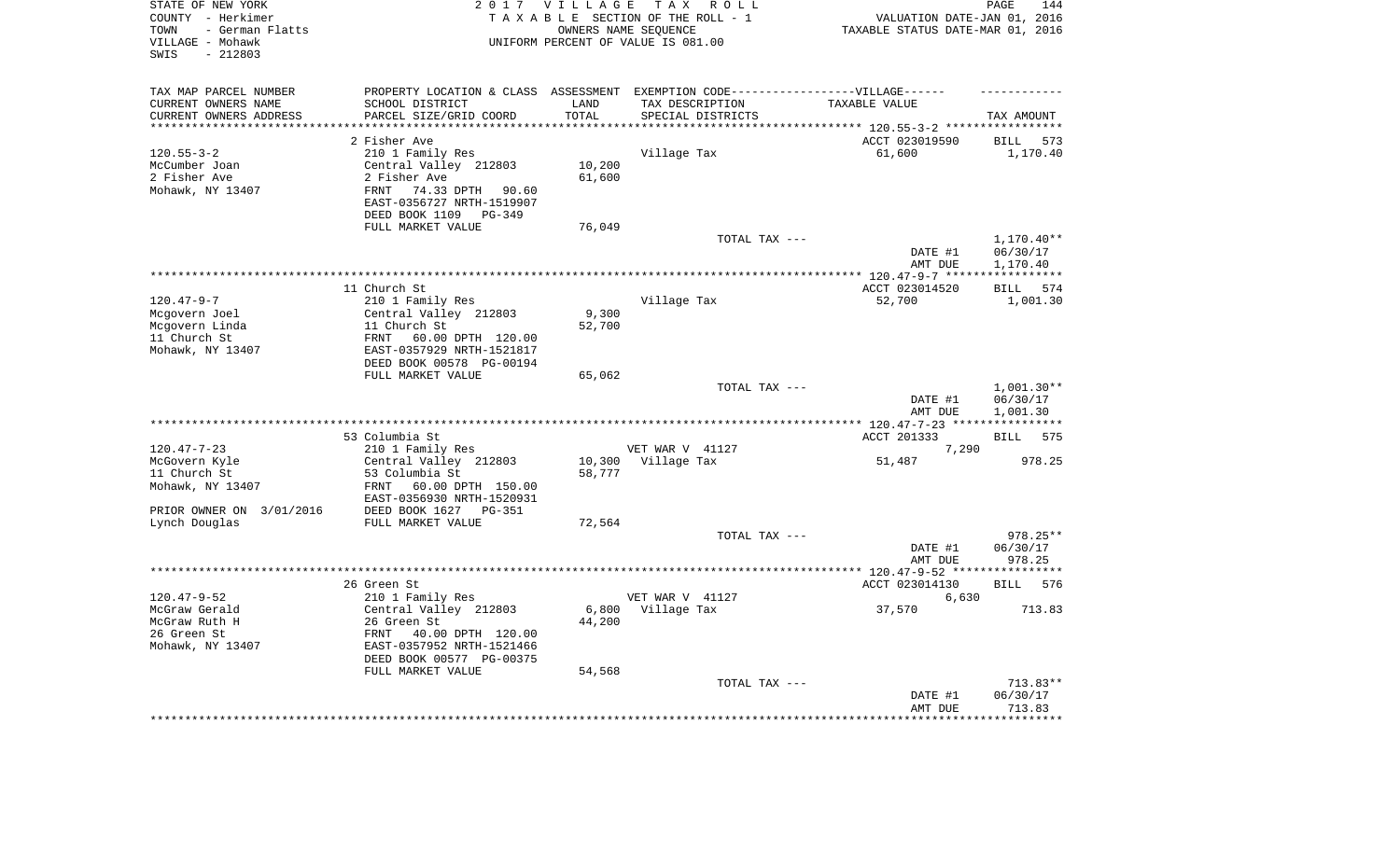| STATE OF NEW YORK<br>COUNTY - Herkimer<br>- German Flatts<br>TOWN<br>VILLAGE - Mohawk<br>$-212803$<br>SWIS |                                                        | 2017 VILLAGE      | T A X<br>R O L L<br>TAXABLE SECTION OF THE ROLL - 1<br>OWNERS NAME SEQUENCE<br>UNIFORM PERCENT OF VALUE IS 081.00 | VALUATION DATE-JAN 01, 2016<br>TAXABLE STATUS DATE-MAR 01, 2016 | PAGE<br>144                |
|------------------------------------------------------------------------------------------------------------|--------------------------------------------------------|-------------------|-------------------------------------------------------------------------------------------------------------------|-----------------------------------------------------------------|----------------------------|
| TAX MAP PARCEL NUMBER                                                                                      |                                                        |                   | PROPERTY LOCATION & CLASS ASSESSMENT EXEMPTION CODE-----------------VILLAGE------                                 |                                                                 |                            |
| CURRENT OWNERS NAME                                                                                        | SCHOOL DISTRICT                                        | LAND              | TAX DESCRIPTION                                                                                                   | TAXABLE VALUE                                                   |                            |
| CURRENT OWNERS ADDRESS<br>********************                                                             | PARCEL SIZE/GRID COORD                                 | TOTAL<br>******** | SPECIAL DISTRICTS                                                                                                 |                                                                 | TAX AMOUNT<br>************ |
|                                                                                                            | 2 Fisher Ave                                           |                   |                                                                                                                   | ************************** 120.55-3-2 *****<br>ACCT 023019590   | <b>BILL</b><br>573         |
| $120.55 - 3 - 2$                                                                                           | 210 1 Family Res                                       |                   | Village Tax                                                                                                       | 61,600                                                          | 1,170.40                   |
| McCumber Joan                                                                                              | Central Valley 212803                                  | 10,200            |                                                                                                                   |                                                                 |                            |
| 2 Fisher Ave                                                                                               | 2 Fisher Ave                                           | 61,600            |                                                                                                                   |                                                                 |                            |
| Mohawk, NY 13407                                                                                           | 74.33 DPTH<br>FRNT<br>90.60                            |                   |                                                                                                                   |                                                                 |                            |
|                                                                                                            | EAST-0356727 NRTH-1519907                              |                   |                                                                                                                   |                                                                 |                            |
|                                                                                                            | DEED BOOK 1109<br>$PG-349$                             |                   |                                                                                                                   |                                                                 |                            |
|                                                                                                            | FULL MARKET VALUE                                      | 76,049            |                                                                                                                   |                                                                 |                            |
|                                                                                                            |                                                        |                   | TOTAL TAX ---                                                                                                     |                                                                 | $1,170.40**$               |
|                                                                                                            |                                                        |                   |                                                                                                                   | DATE #1<br>AMT DUE                                              | 06/30/17<br>1,170.40       |
|                                                                                                            |                                                        |                   |                                                                                                                   |                                                                 | ************               |
|                                                                                                            | 11 Church St                                           |                   |                                                                                                                   | ACCT 023014520                                                  | BILL 574                   |
| $120.47 - 9 - 7$                                                                                           | 210 1 Family Res                                       |                   | Village Tax                                                                                                       | 52,700                                                          | 1,001.30                   |
| Mcgovern Joel                                                                                              | Central Valley 212803                                  | 9,300             |                                                                                                                   |                                                                 |                            |
| Mcgovern Linda                                                                                             | 11 Church St                                           | 52,700            |                                                                                                                   |                                                                 |                            |
| 11 Church St                                                                                               | FRNT<br>60.00 DPTH 120.00                              |                   |                                                                                                                   |                                                                 |                            |
| Mohawk, NY 13407                                                                                           | EAST-0357929 NRTH-1521817<br>DEED BOOK 00578 PG-00194  |                   |                                                                                                                   |                                                                 |                            |
|                                                                                                            | FULL MARKET VALUE                                      | 65,062            |                                                                                                                   |                                                                 |                            |
|                                                                                                            |                                                        |                   | TOTAL TAX ---                                                                                                     |                                                                 | $1,001.30**$               |
|                                                                                                            |                                                        |                   |                                                                                                                   | DATE #1<br>AMT DUE                                              | 06/30/17<br>1,001.30       |
|                                                                                                            |                                                        |                   |                                                                                                                   | ******** 120.47-7-23 ****************                           |                            |
|                                                                                                            | 53 Columbia St                                         |                   |                                                                                                                   | ACCT 201333                                                     | 575<br>BILL                |
| $120.47 - 7 - 23$                                                                                          | 210 1 Family Res                                       |                   | VET WAR V 41127                                                                                                   | 7,290                                                           |                            |
| McGovern Kyle                                                                                              | Central Valley 212803                                  | 10,300            | Village Tax                                                                                                       | 51,487                                                          | 978.25                     |
| 11 Church St                                                                                               | 53 Columbia St                                         | 58,777            |                                                                                                                   |                                                                 |                            |
| Mohawk, NY 13407                                                                                           | 60.00 DPTH 150.00<br>FRNT<br>EAST-0356930 NRTH-1520931 |                   |                                                                                                                   |                                                                 |                            |
| PRIOR OWNER ON 3/01/2016                                                                                   | DEED BOOK 1627 PG-351                                  |                   |                                                                                                                   |                                                                 |                            |
| Lynch Douglas                                                                                              | FULL MARKET VALUE                                      | 72,564            |                                                                                                                   |                                                                 |                            |
|                                                                                                            |                                                        |                   | TOTAL TAX ---                                                                                                     |                                                                 | 978.25**                   |
|                                                                                                            |                                                        |                   |                                                                                                                   | DATE #1                                                         | 06/30/17                   |
|                                                                                                            |                                                        |                   |                                                                                                                   | AMT DUE                                                         | 978.25                     |
|                                                                                                            |                                                        |                   |                                                                                                                   |                                                                 |                            |
| $120.47 - 9 - 52$                                                                                          | 26 Green St<br>210 1 Family Res                        |                   | VET WAR V 41127                                                                                                   | ACCT 023014130<br>6,630                                         | 576<br><b>BILL</b>         |
| McGraw Gerald                                                                                              | Central Valley 212803                                  | 6,800             | Village Tax                                                                                                       | 37,570                                                          | 713.83                     |
| McGraw Ruth H                                                                                              | 26 Green St                                            | 44,200            |                                                                                                                   |                                                                 |                            |
| 26 Green St                                                                                                | 40.00 DPTH 120.00<br>FRNT                              |                   |                                                                                                                   |                                                                 |                            |
| Mohawk, NY 13407                                                                                           | EAST-0357952 NRTH-1521466                              |                   |                                                                                                                   |                                                                 |                            |
|                                                                                                            | DEED BOOK 00577 PG-00375                               |                   |                                                                                                                   |                                                                 |                            |
|                                                                                                            | FULL MARKET VALUE                                      | 54,568            |                                                                                                                   |                                                                 |                            |
|                                                                                                            |                                                        |                   | TOTAL TAX ---                                                                                                     |                                                                 | 713.83**                   |
|                                                                                                            |                                                        |                   |                                                                                                                   | DATE #1<br>AMT DUE                                              | 06/30/17<br>713.83         |
|                                                                                                            |                                                        |                   |                                                                                                                   |                                                                 |                            |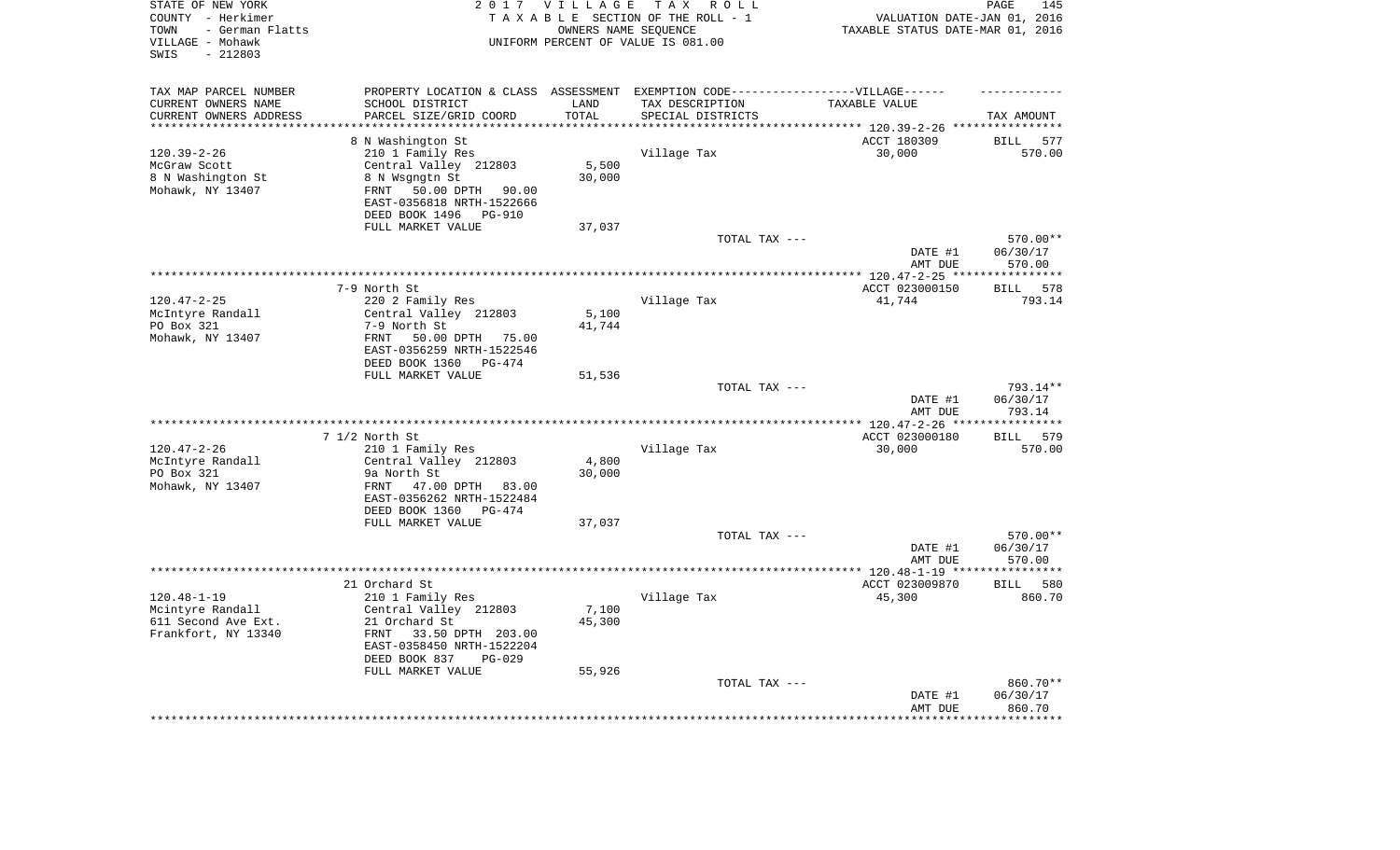| STATE OF NEW YORK<br>COUNTY - Herkimer<br>- German Flatts<br>TOWN<br>VILLAGE - Mohawk<br>$-212803$<br>SWIS |                                 | 2017 VILLAGE<br>OWNERS NAME SEQUENCE | TAX ROLL<br>TAXABLE SECTION OF THE ROLL - 1<br>UNIFORM PERCENT OF VALUE IS 081.00                    | VALUATION DATE-JAN 01, 2016<br>TAXABLE STATUS DATE-MAR 01, 2016 | 145<br>PAGE          |
|------------------------------------------------------------------------------------------------------------|---------------------------------|--------------------------------------|------------------------------------------------------------------------------------------------------|-----------------------------------------------------------------|----------------------|
| TAX MAP PARCEL NUMBER<br>CURRENT OWNERS NAME                                                               | SCHOOL DISTRICT                 | LAND                                 | PROPERTY LOCATION & CLASS ASSESSMENT EXEMPTION CODE-----------------VILLAGE------<br>TAX DESCRIPTION | TAXABLE VALUE                                                   |                      |
| CURRENT OWNERS ADDRESS                                                                                     | PARCEL SIZE/GRID COORD          | TOTAL                                | SPECIAL DISTRICTS                                                                                    |                                                                 | TAX AMOUNT           |
| *********************                                                                                      | ************************        | ***********                          |                                                                                                      |                                                                 |                      |
|                                                                                                            | 8 N Washington St               |                                      |                                                                                                      | ACCT 180309                                                     | 577<br><b>BILL</b>   |
| $120.39 - 2 - 26$                                                                                          | 210 1 Family Res                |                                      | Village Tax                                                                                          | 30,000                                                          | 570.00               |
| McGraw Scott                                                                                               | Central Valley 212803           | 5,500                                |                                                                                                      |                                                                 |                      |
| 8 N Washington St                                                                                          | 8 N Wsgngtn St                  | 30,000                               |                                                                                                      |                                                                 |                      |
| Mohawk, NY 13407                                                                                           | 50.00 DPTH<br>FRNT<br>90.00     |                                      |                                                                                                      |                                                                 |                      |
|                                                                                                            | EAST-0356818 NRTH-1522666       |                                      |                                                                                                      |                                                                 |                      |
|                                                                                                            | DEED BOOK 1496<br><b>PG-910</b> |                                      |                                                                                                      |                                                                 |                      |
|                                                                                                            | FULL MARKET VALUE               | 37,037                               |                                                                                                      |                                                                 |                      |
|                                                                                                            |                                 |                                      | TOTAL TAX ---                                                                                        | DATE #1                                                         | 570.00**<br>06/30/17 |
|                                                                                                            |                                 |                                      |                                                                                                      | AMT DUE                                                         | 570.00               |
|                                                                                                            |                                 |                                      |                                                                                                      |                                                                 |                      |
|                                                                                                            | 7-9 North St                    |                                      |                                                                                                      | ACCT 023000150                                                  | 578<br><b>BILL</b>   |
| $120.47 - 2 - 25$                                                                                          | 220 2 Family Res                |                                      | Village Tax                                                                                          | 41,744                                                          | 793.14               |
| McIntyre Randall                                                                                           | Central Valley 212803           | 5,100                                |                                                                                                      |                                                                 |                      |
| PO Box 321                                                                                                 | 7-9 North St                    | 41,744                               |                                                                                                      |                                                                 |                      |
| Mohawk, NY 13407                                                                                           | 50.00 DPTH 75.00<br>FRNT        |                                      |                                                                                                      |                                                                 |                      |
|                                                                                                            | EAST-0356259 NRTH-1522546       |                                      |                                                                                                      |                                                                 |                      |
|                                                                                                            | DEED BOOK 1360<br>PG-474        |                                      |                                                                                                      |                                                                 |                      |
|                                                                                                            | FULL MARKET VALUE               | 51,536                               |                                                                                                      |                                                                 |                      |
|                                                                                                            |                                 |                                      | TOTAL TAX ---                                                                                        | DATE #1                                                         | 793.14**<br>06/30/17 |
|                                                                                                            |                                 |                                      |                                                                                                      | AMT DUE                                                         | 793.14               |
|                                                                                                            |                                 |                                      |                                                                                                      |                                                                 | **********           |
|                                                                                                            | 7 1/2 North St                  |                                      |                                                                                                      | ACCT 023000180                                                  | 579<br><b>BILL</b>   |
| $120.47 - 2 - 26$                                                                                          | 210 1 Family Res                |                                      | Village Tax                                                                                          | 30,000                                                          | 570.00               |
| McIntyre Randall                                                                                           | Central Valley 212803           | 4,800                                |                                                                                                      |                                                                 |                      |
| PO Box 321                                                                                                 | 9a North St                     | 30,000                               |                                                                                                      |                                                                 |                      |
| Mohawk, NY 13407                                                                                           | 47.00 DPTH<br>FRNT<br>83.00     |                                      |                                                                                                      |                                                                 |                      |
|                                                                                                            | EAST-0356262 NRTH-1522484       |                                      |                                                                                                      |                                                                 |                      |
|                                                                                                            | DEED BOOK 1360<br>PG-474        |                                      |                                                                                                      |                                                                 |                      |
|                                                                                                            | FULL MARKET VALUE               | 37,037                               | TOTAL TAX ---                                                                                        |                                                                 | 570.00**             |
|                                                                                                            |                                 |                                      |                                                                                                      | DATE #1                                                         | 06/30/17             |
|                                                                                                            |                                 |                                      |                                                                                                      | AMT DUE                                                         | 570.00               |
|                                                                                                            |                                 |                                      |                                                                                                      |                                                                 |                      |
|                                                                                                            | 21 Orchard St                   |                                      |                                                                                                      | ACCT 023009870                                                  | 580<br><b>BILL</b>   |
| $120.48 - 1 - 19$                                                                                          | 210 1 Family Res                |                                      | Village Tax                                                                                          | 45,300                                                          | 860.70               |
| Mcintyre Randall                                                                                           | Central Valley 212803           | 7,100                                |                                                                                                      |                                                                 |                      |
| 611 Second Ave Ext.                                                                                        | 21 Orchard St                   | 45,300                               |                                                                                                      |                                                                 |                      |
| Frankfort, NY 13340                                                                                        | FRNT<br>33.50 DPTH 203.00       |                                      |                                                                                                      |                                                                 |                      |
|                                                                                                            | EAST-0358450 NRTH-1522204       |                                      |                                                                                                      |                                                                 |                      |
|                                                                                                            | DEED BOOK 837<br>$PG-029$       |                                      |                                                                                                      |                                                                 |                      |
|                                                                                                            | FULL MARKET VALUE               | 55,926                               | TOTAL TAX ---                                                                                        |                                                                 | 860.70**             |
|                                                                                                            |                                 |                                      |                                                                                                      | DATE #1                                                         | 06/30/17             |
|                                                                                                            |                                 |                                      |                                                                                                      | AMT DUE                                                         | 860.70               |
|                                                                                                            |                                 |                                      |                                                                                                      |                                                                 | ************         |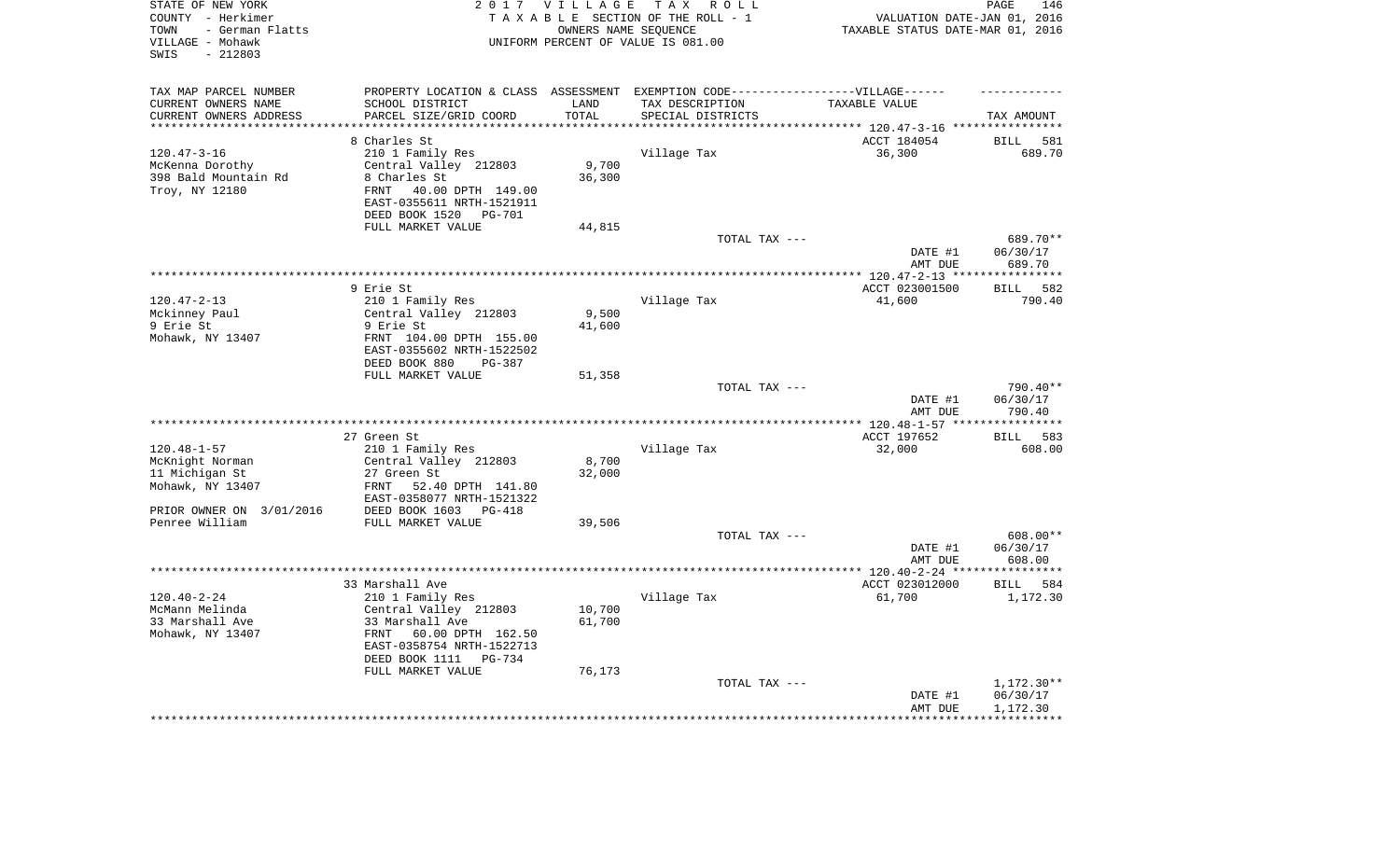| STATE OF NEW YORK<br>COUNTY - Herkimer<br>- German Flatts<br>TOWN<br>VILLAGE - Mohawk<br>$-212803$<br>SWIS |                                                                                   | 2017 VILLAGE<br>OWNERS NAME SEQUENCE | TAX ROLL<br>TAXABLE SECTION OF THE ROLL - 1<br>UNIFORM PERCENT OF VALUE IS 081.00 | VALUATION DATE-JAN 01, 2016<br>TAXABLE STATUS DATE-MAR 01, 2016      | PAGE<br>146            |
|------------------------------------------------------------------------------------------------------------|-----------------------------------------------------------------------------------|--------------------------------------|-----------------------------------------------------------------------------------|----------------------------------------------------------------------|------------------------|
| TAX MAP PARCEL NUMBER                                                                                      | PROPERTY LOCATION & CLASS ASSESSMENT EXEMPTION CODE-----------------VILLAGE------ |                                      |                                                                                   |                                                                      |                        |
| CURRENT OWNERS NAME                                                                                        | SCHOOL DISTRICT                                                                   | LAND                                 | TAX DESCRIPTION                                                                   | TAXABLE VALUE                                                        |                        |
| CURRENT OWNERS ADDRESS<br>*********************                                                            | PARCEL SIZE/GRID COORD<br>***********************                                 | TOTAL<br>**********                  | SPECIAL DISTRICTS                                                                 | ************************************** 120.47-3-16 ***************** | TAX AMOUNT             |
|                                                                                                            | 8 Charles St                                                                      |                                      |                                                                                   | ACCT 184054                                                          | <b>BILL</b><br>581     |
| $120.47 - 3 - 16$                                                                                          | 210 1 Family Res                                                                  |                                      | Village Tax                                                                       | 36,300                                                               | 689.70                 |
| McKenna Dorothy                                                                                            | Central Valley 212803                                                             | 9,700                                |                                                                                   |                                                                      |                        |
| 398 Bald Mountain Rd                                                                                       | 8 Charles St                                                                      | 36,300                               |                                                                                   |                                                                      |                        |
| Troy, NY 12180                                                                                             | 40.00 DPTH 149.00<br>FRNT                                                         |                                      |                                                                                   |                                                                      |                        |
|                                                                                                            | EAST-0355611 NRTH-1521911                                                         |                                      |                                                                                   |                                                                      |                        |
|                                                                                                            | DEED BOOK 1520<br>PG-701                                                          |                                      |                                                                                   |                                                                      |                        |
|                                                                                                            | FULL MARKET VALUE                                                                 | 44,815                               |                                                                                   |                                                                      |                        |
|                                                                                                            |                                                                                   |                                      | TOTAL TAX ---                                                                     |                                                                      | 689.70**               |
|                                                                                                            |                                                                                   |                                      |                                                                                   | DATE #1                                                              | 06/30/17               |
|                                                                                                            |                                                                                   |                                      |                                                                                   | AMT DUE<br>******* 120.47-2-13 ****                                  | 689.70<br>************ |
|                                                                                                            | 9 Erie St                                                                         |                                      |                                                                                   | ACCT 023001500                                                       | 582<br><b>BILL</b>     |
| $120.47 - 2 - 13$                                                                                          | 210 1 Family Res                                                                  |                                      | Village Tax                                                                       | 41,600                                                               | 790.40                 |
| Mckinney Paul                                                                                              | Central Valley 212803                                                             | 9,500                                |                                                                                   |                                                                      |                        |
| 9 Erie St                                                                                                  | 9 Erie St                                                                         | 41,600                               |                                                                                   |                                                                      |                        |
| Mohawk, NY 13407                                                                                           | FRNT 104.00 DPTH 155.00                                                           |                                      |                                                                                   |                                                                      |                        |
|                                                                                                            | EAST-0355602 NRTH-1522502                                                         |                                      |                                                                                   |                                                                      |                        |
|                                                                                                            | DEED BOOK 880<br>$PG-387$                                                         |                                      |                                                                                   |                                                                      |                        |
|                                                                                                            | FULL MARKET VALUE                                                                 | 51,358                               |                                                                                   |                                                                      |                        |
|                                                                                                            |                                                                                   |                                      | TOTAL TAX ---                                                                     | DATE #1                                                              | 790.40**<br>06/30/17   |
|                                                                                                            |                                                                                   |                                      |                                                                                   | AMT DUE                                                              | 790.40                 |
|                                                                                                            |                                                                                   |                                      |                                                                                   | ** $120.48 - 1 - 57$ **                                              | *********              |
|                                                                                                            | 27 Green St                                                                       |                                      |                                                                                   | ACCT 197652                                                          | 583<br><b>BILL</b>     |
| $120.48 - 1 - 57$                                                                                          | 210 1 Family Res                                                                  |                                      | Village Tax                                                                       | 32,000                                                               | 608.00                 |
| McKnight Norman                                                                                            | Central Valley 212803                                                             | 8,700                                |                                                                                   |                                                                      |                        |
| 11 Michigan St                                                                                             | 27 Green St                                                                       | 32,000                               |                                                                                   |                                                                      |                        |
| Mohawk, NY 13407                                                                                           | FRNT<br>52.40 DPTH 141.80                                                         |                                      |                                                                                   |                                                                      |                        |
|                                                                                                            | EAST-0358077 NRTH-1521322                                                         |                                      |                                                                                   |                                                                      |                        |
| PRIOR OWNER ON 3/01/2016<br>Penree William                                                                 | DEED BOOK 1603 PG-418<br>FULL MARKET VALUE                                        | 39,506                               |                                                                                   |                                                                      |                        |
|                                                                                                            |                                                                                   |                                      | TOTAL TAX ---                                                                     |                                                                      | 608.00**               |
|                                                                                                            |                                                                                   |                                      |                                                                                   | DATE #1                                                              | 06/30/17               |
|                                                                                                            |                                                                                   |                                      |                                                                                   | AMT DUE                                                              | 608.00                 |
|                                                                                                            |                                                                                   |                                      |                                                                                   | **************** 120.40-2-24 *****                                   | ***********            |
|                                                                                                            | 33 Marshall Ave                                                                   |                                      |                                                                                   | ACCT 023012000                                                       | <b>BILL</b><br>584     |
| $120.40 - 2 - 24$                                                                                          | 210 1 Family Res                                                                  |                                      | Village Tax                                                                       | 61,700                                                               | 1,172.30               |
| McMann Melinda                                                                                             | Central Valley 212803                                                             | 10,700                               |                                                                                   |                                                                      |                        |
| 33 Marshall Ave                                                                                            | 33 Marshall Ave                                                                   | 61,700                               |                                                                                   |                                                                      |                        |
| Mohawk, NY 13407                                                                                           | FRNT<br>60.00 DPTH 162.50                                                         |                                      |                                                                                   |                                                                      |                        |
|                                                                                                            | EAST-0358754 NRTH-1522713<br>DEED BOOK 1111<br>$PG-734$                           |                                      |                                                                                   |                                                                      |                        |
|                                                                                                            | FULL MARKET VALUE                                                                 | 76,173                               |                                                                                   |                                                                      |                        |
|                                                                                                            |                                                                                   |                                      | TOTAL TAX ---                                                                     |                                                                      | $1,172.30**$           |
|                                                                                                            |                                                                                   |                                      |                                                                                   | DATE #1                                                              | 06/30/17               |
|                                                                                                            |                                                                                   |                                      |                                                                                   | AMT DUE                                                              | 1,172.30               |
|                                                                                                            |                                                                                   |                                      |                                                                                   |                                                                      |                        |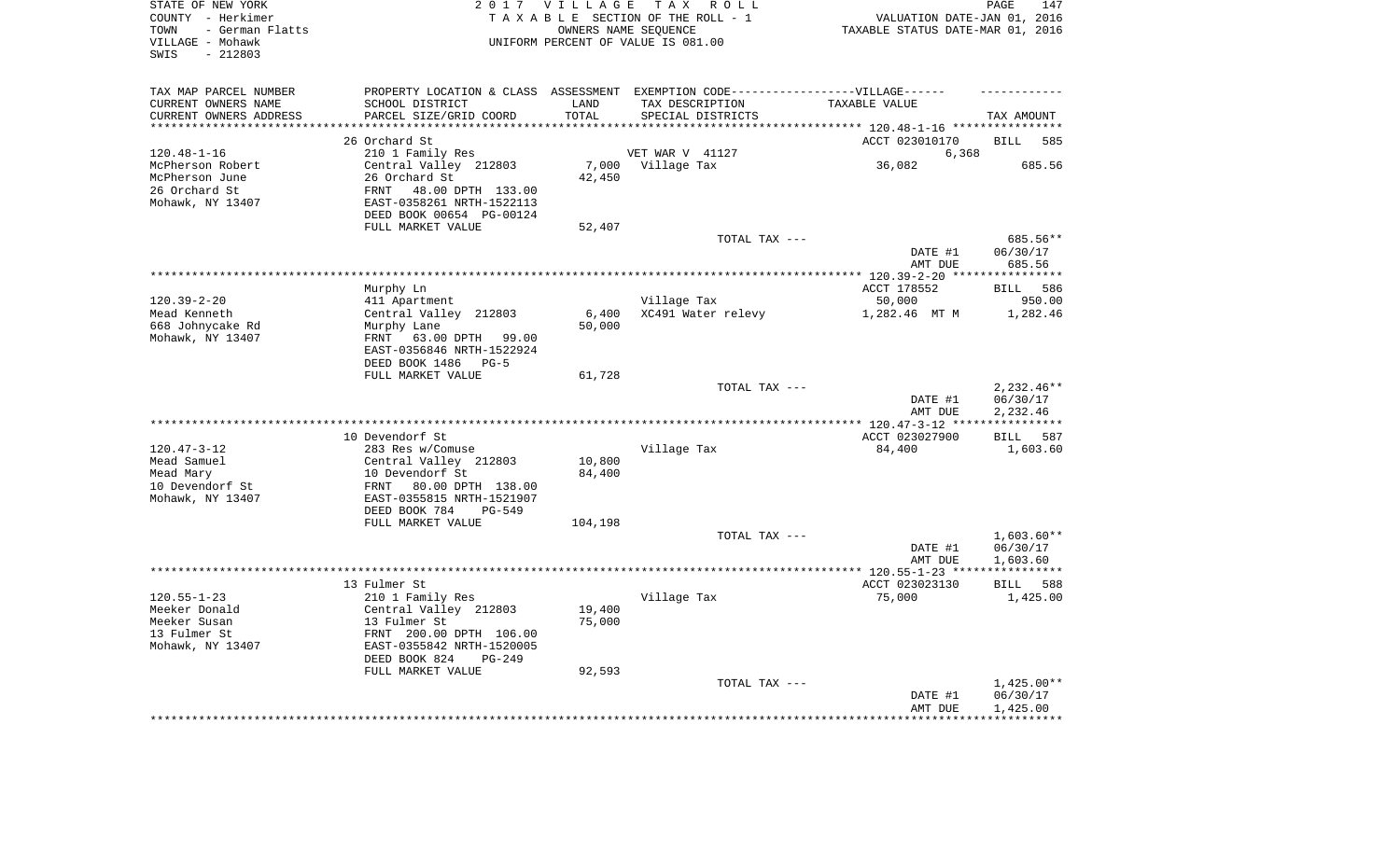| STATE OF NEW YORK<br>COUNTY - Herkimer<br>- German Flatts<br>TOWN<br>VILLAGE - Mohawk<br>$-212803$<br>SWIS |                                                        | 2017 VILLAGE    | TAX ROLL<br>TAXABLE SECTION OF THE ROLL - 1<br>OWNERS NAME SEQUENCE<br>UNIFORM PERCENT OF VALUE IS 081.00 | VALUATION DATE-JAN 01, 2016<br>TAXABLE STATUS DATE-MAR 01, 2016 | PAGE<br>147           |
|------------------------------------------------------------------------------------------------------------|--------------------------------------------------------|-----------------|-----------------------------------------------------------------------------------------------------------|-----------------------------------------------------------------|-----------------------|
| TAX MAP PARCEL NUMBER                                                                                      |                                                        |                 | PROPERTY LOCATION & CLASS ASSESSMENT EXEMPTION CODE-----------------VILLAGE------                         |                                                                 |                       |
| CURRENT OWNERS NAME                                                                                        | SCHOOL DISTRICT                                        | LAND            | TAX DESCRIPTION                                                                                           | TAXABLE VALUE                                                   |                       |
| CURRENT OWNERS ADDRESS<br>**********************                                                           | PARCEL SIZE/GRID COORD                                 | TOTAL           | SPECIAL DISTRICTS                                                                                         |                                                                 | TAX AMOUNT            |
|                                                                                                            | 26 Orchard St                                          |                 |                                                                                                           | ACCT 023010170                                                  | 585<br><b>BILL</b>    |
| $120.48 - 1 - 16$                                                                                          | 210 1 Family Res                                       |                 | VET WAR V 41127                                                                                           | 6,368                                                           |                       |
| McPherson Robert                                                                                           | Central Valley 212803                                  |                 | 7,000 Village Tax                                                                                         | 36,082                                                          | 685.56                |
| McPherson June                                                                                             | 26 Orchard St                                          | 42,450          |                                                                                                           |                                                                 |                       |
| 26 Orchard St                                                                                              | 48.00 DPTH 133.00<br>FRNT                              |                 |                                                                                                           |                                                                 |                       |
| Mohawk, NY 13407                                                                                           | EAST-0358261 NRTH-1522113<br>DEED BOOK 00654 PG-00124  |                 |                                                                                                           |                                                                 |                       |
|                                                                                                            | FULL MARKET VALUE                                      | 52,407          |                                                                                                           |                                                                 |                       |
|                                                                                                            |                                                        |                 | TOTAL TAX ---                                                                                             |                                                                 | 685.56**              |
|                                                                                                            |                                                        |                 |                                                                                                           | DATE #1<br>AMT DUE                                              | 06/30/17<br>685.56    |
|                                                                                                            |                                                        |                 |                                                                                                           |                                                                 | ************          |
|                                                                                                            | Murphy Ln                                              |                 |                                                                                                           | ACCT 178552                                                     | 586<br>BILL           |
| $120.39 - 2 - 20$                                                                                          | 411 Apartment                                          |                 | Village Tax                                                                                               | 50,000                                                          | 950.00                |
| Mead Kenneth<br>668 Johnycake Rd                                                                           | Central Valley 212803<br>Murphy Lane                   | 6,400<br>50,000 | XC491 Water relevy                                                                                        | 1,282.46 MT M                                                   | 1,282.46              |
| Mohawk, NY 13407                                                                                           | FRNT 63.00 DPTH 99.00                                  |                 |                                                                                                           |                                                                 |                       |
|                                                                                                            | EAST-0356846 NRTH-1522924                              |                 |                                                                                                           |                                                                 |                       |
|                                                                                                            | DEED BOOK 1486 PG-5                                    |                 |                                                                                                           |                                                                 |                       |
|                                                                                                            | FULL MARKET VALUE                                      | 61,728          |                                                                                                           |                                                                 |                       |
|                                                                                                            |                                                        |                 | TOTAL TAX ---                                                                                             |                                                                 | $2,232.46**$          |
|                                                                                                            |                                                        |                 |                                                                                                           | DATE #1<br>AMT DUE                                              | 06/30/17<br>2,232.46  |
|                                                                                                            |                                                        |                 |                                                                                                           |                                                                 | * * * * * * * * * * * |
|                                                                                                            | 10 Devendorf St                                        |                 |                                                                                                           | ACCT 023027900                                                  | BILL 587              |
| $120.47 - 3 - 12$                                                                                          | 283 Res w/Comuse                                       |                 | Village Tax                                                                                               | 84,400                                                          | 1,603.60              |
| Mead Samuel                                                                                                | Central Valley 212803                                  | 10,800          |                                                                                                           |                                                                 |                       |
| Mead Mary                                                                                                  | 10 Devendorf St                                        | 84,400          |                                                                                                           |                                                                 |                       |
| 10 Devendorf St                                                                                            | FRNT<br>80.00 DPTH 138.00                              |                 |                                                                                                           |                                                                 |                       |
| Mohawk, NY 13407                                                                                           | EAST-0355815 NRTH-1521907                              |                 |                                                                                                           |                                                                 |                       |
|                                                                                                            | DEED BOOK 784<br>$PG-549$                              |                 |                                                                                                           |                                                                 |                       |
|                                                                                                            | FULL MARKET VALUE                                      | 104,198         | TOTAL TAX ---                                                                                             |                                                                 | $1,603.60**$          |
|                                                                                                            |                                                        |                 |                                                                                                           | DATE #1                                                         | 06/30/17              |
|                                                                                                            |                                                        |                 |                                                                                                           | AMT DUE                                                         | 1,603.60              |
|                                                                                                            |                                                        |                 |                                                                                                           |                                                                 |                       |
|                                                                                                            | 13 Fulmer St                                           |                 |                                                                                                           | ACCT 023023130                                                  | BILL<br>588           |
| $120.55 - 1 - 23$                                                                                          | 210 1 Family Res                                       |                 | Village Tax                                                                                               | 75,000                                                          | 1,425.00              |
| Meeker Donald                                                                                              | Central Valley 212803                                  | 19,400          |                                                                                                           |                                                                 |                       |
| Meeker Susan                                                                                               | 13 Fulmer St                                           | 75,000          |                                                                                                           |                                                                 |                       |
| 13 Fulmer St                                                                                               | FRNT 200.00 DPTH 106.00                                |                 |                                                                                                           |                                                                 |                       |
| Mohawk, NY 13407                                                                                           | EAST-0355842 NRTH-1520005<br>DEED BOOK 824<br>$PG-249$ |                 |                                                                                                           |                                                                 |                       |
|                                                                                                            | FULL MARKET VALUE                                      | 92,593          |                                                                                                           |                                                                 |                       |
|                                                                                                            |                                                        |                 | TOTAL TAX ---                                                                                             |                                                                 | $1,425.00**$          |
|                                                                                                            |                                                        |                 |                                                                                                           | DATE #1                                                         | 06/30/17              |
|                                                                                                            |                                                        |                 |                                                                                                           | AMT DUE                                                         | 1,425.00              |
|                                                                                                            |                                                        |                 |                                                                                                           | ******************                                              | ************          |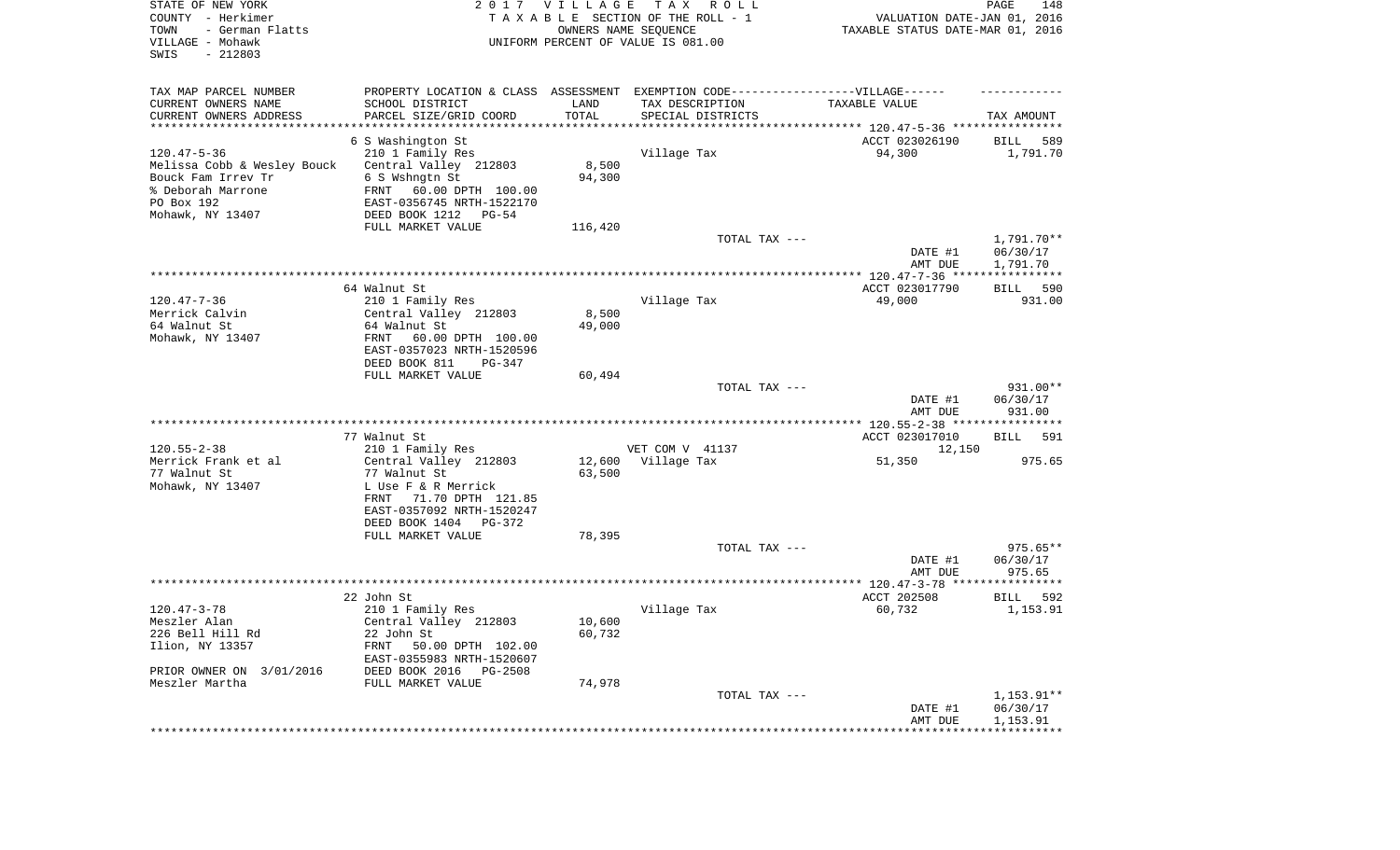| TOWN<br>- German Flatts<br>OWNERS NAME SEQUENCE<br>TAXABLE STATUS DATE-MAR 01, 2016<br>VILLAGE - Mohawk<br>UNIFORM PERCENT OF VALUE IS 081.00<br>SWIS<br>$-212803$   |                        |
|----------------------------------------------------------------------------------------------------------------------------------------------------------------------|------------------------|
| TAX MAP PARCEL NUMBER<br>PROPERTY LOCATION & CLASS ASSESSMENT EXEMPTION CODE-----------------VILLAGE------                                                           |                        |
| CURRENT OWNERS NAME<br>SCHOOL DISTRICT<br>TAX DESCRIPTION<br>LAND<br>TAXABLE VALUE<br>TOTAL<br>CURRENT OWNERS ADDRESS<br>PARCEL SIZE/GRID COORD<br>SPECIAL DISTRICTS | TAX AMOUNT             |
| **********************                                                                                                                                               |                        |
| 6 S Washington St<br>ACCT 023026190                                                                                                                                  | 589<br>BILL            |
| $120.47 - 5 - 36$<br>210 1 Family Res<br>Village Tax<br>94,300                                                                                                       | 1,791.70               |
| Melissa Cobb & Wesley Bouck<br>Central Valley 212803<br>8,500                                                                                                        |                        |
| Bouck Fam Irrev Tr<br>6 S Wshngtn St<br>94,300<br>% Deborah Marrone<br>FRNT<br>60.00 DPTH 100.00                                                                     |                        |
| PO Box 192<br>EAST-0356745 NRTH-1522170                                                                                                                              |                        |
| Mohawk, NY 13407<br>DEED BOOK 1212<br>PG-54                                                                                                                          |                        |
| FULL MARKET VALUE<br>116,420                                                                                                                                         |                        |
| TOTAL TAX ---<br>DATE #1                                                                                                                                             | 1,791.70**<br>06/30/17 |
| AMT DUE                                                                                                                                                              | 1,791.70               |
| 64 Walnut St<br>ACCT 023017790                                                                                                                                       | 590<br>BILL            |
| $120.47 - 7 - 36$<br>Village Tax<br>210 1 Family Res<br>49,000                                                                                                       | 931.00                 |
| 8,500<br>Merrick Calvin<br>Central Valley 212803                                                                                                                     |                        |
| 64 Walnut St<br>64 Walnut St<br>49,000                                                                                                                               |                        |
| Mohawk, NY 13407<br>FRNT<br>60.00 DPTH 100.00                                                                                                                        |                        |
| EAST-0357023 NRTH-1520596<br>DEED BOOK 811<br>PG-347                                                                                                                 |                        |
| FULL MARKET VALUE<br>60,494                                                                                                                                          |                        |
| TOTAL TAX ---                                                                                                                                                        | 931.00**               |
| DATE #1                                                                                                                                                              | 06/30/17               |
| AMT DUE                                                                                                                                                              | 931.00                 |
|                                                                                                                                                                      |                        |
| 77 Walnut St<br>ACCT 023017010<br>$120.55 - 2 - 38$<br>VET COM V 41137                                                                                               | <b>BILL</b><br>591     |
| 210 1 Family Res<br>12,150<br>Merrick Frank et al<br>Central Valley 212803<br>12,600<br>Village Tax<br>51,350                                                        | 975.65                 |
| 63,500<br>77 Walnut St<br>77 Walnut St                                                                                                                               |                        |
| Mohawk, NY 13407<br>L Use F & R Merrick                                                                                                                              |                        |
| FRNT<br>71.70 DPTH 121.85                                                                                                                                            |                        |
| EAST-0357092 NRTH-1520247                                                                                                                                            |                        |
| DEED BOOK 1404<br>PG-372                                                                                                                                             |                        |
| FULL MARKET VALUE<br>78,395<br>TOTAL TAX ---                                                                                                                         | $975.65**$             |
| DATE #1                                                                                                                                                              | 06/30/17               |
| AMT DUE                                                                                                                                                              | 975.65                 |
|                                                                                                                                                                      |                        |
| 22 John St<br>ACCT 202508                                                                                                                                            | BILL<br>592            |
| $120.47 - 3 - 78$<br>210 1 Family Res<br>Village Tax<br>60,732                                                                                                       | 1,153.91               |
| Meszler Alan<br>Central Valley 212803<br>10,600<br>226 Bell Hill Rd<br>60,732<br>22 John St                                                                          |                        |
| Ilion, NY 13357<br>FRNT<br>50.00 DPTH 102.00                                                                                                                         |                        |
| EAST-0355983 NRTH-1520607                                                                                                                                            |                        |
| PRIOR OWNER ON 3/01/2016<br>DEED BOOK 2016<br>PG-2508                                                                                                                |                        |
| Meszler Martha<br>FULL MARKET VALUE<br>74,978                                                                                                                        |                        |
| TOTAL TAX ---<br>DATE #1                                                                                                                                             | 1,153.91**<br>06/30/17 |
| AMT DUE                                                                                                                                                              | 1,153.91               |
| **************************                                                                                                                                           |                        |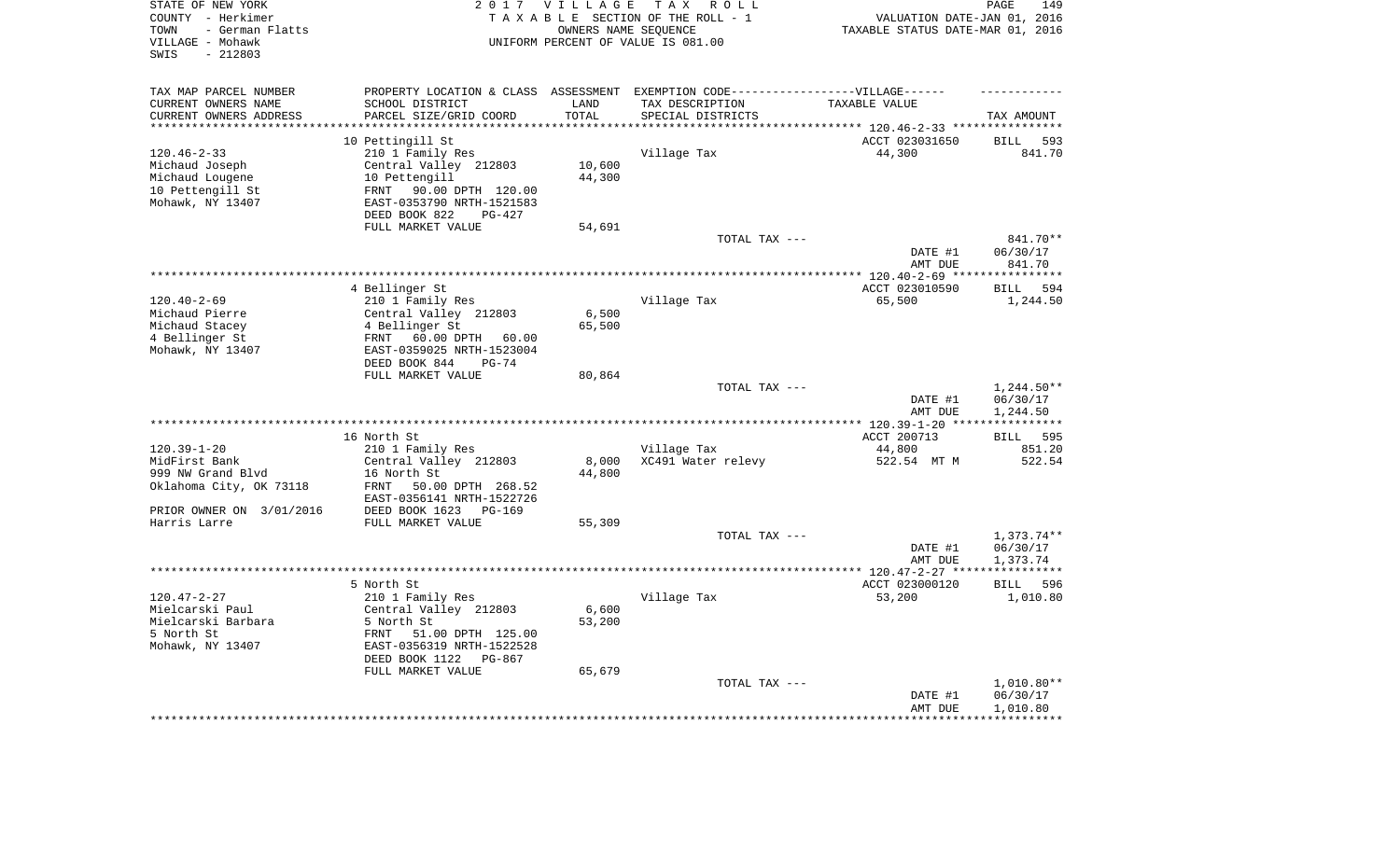| STATE OF NEW YORK<br>COUNTY - Herkimer<br>- German Flatts<br>TOWN<br>VILLAGE - Mohawk<br>$-212803$<br>SWIS |                                           | 2017 VILLAGE       | T A X<br>R O L L<br>TAXABLE SECTION OF THE ROLL - 1<br>OWNERS NAME SEQUENCE<br>UNIFORM PERCENT OF VALUE IS 081.00 | VALUATION DATE-JAN 01, 2016<br>TAXABLE STATUS DATE-MAR 01, 2016 | PAGE<br>149                       |
|------------------------------------------------------------------------------------------------------------|-------------------------------------------|--------------------|-------------------------------------------------------------------------------------------------------------------|-----------------------------------------------------------------|-----------------------------------|
| TAX MAP PARCEL NUMBER                                                                                      |                                           |                    | PROPERTY LOCATION & CLASS ASSESSMENT EXEMPTION CODE-----------------VILLAGE------                                 |                                                                 |                                   |
| CURRENT OWNERS NAME                                                                                        | SCHOOL DISTRICT                           | LAND               | TAX DESCRIPTION                                                                                                   | TAXABLE VALUE                                                   |                                   |
| CURRENT OWNERS ADDRESS<br>********************                                                             | PARCEL SIZE/GRID COORD                    | TOTAL<br>********* | SPECIAL DISTRICTS                                                                                                 | ******************************** 120.46-2-33 *****************  | TAX AMOUNT                        |
|                                                                                                            | 10 Pettingill St                          |                    |                                                                                                                   | ACCT 023031650                                                  | <b>BILL</b><br>593                |
| $120.46 - 2 - 33$                                                                                          | 210 1 Family Res                          |                    | Village Tax                                                                                                       | 44,300                                                          | 841.70                            |
| Michaud Joseph                                                                                             | Central Valley 212803                     | 10,600             |                                                                                                                   |                                                                 |                                   |
| Michaud Lougene                                                                                            | 10 Pettengill                             | 44,300             |                                                                                                                   |                                                                 |                                   |
| 10 Pettengill St                                                                                           | 90.00 DPTH 120.00<br>FRNT                 |                    |                                                                                                                   |                                                                 |                                   |
| Mohawk, NY 13407                                                                                           | EAST-0353790 NRTH-1521583                 |                    |                                                                                                                   |                                                                 |                                   |
|                                                                                                            | DEED BOOK 822<br>PG-427                   |                    |                                                                                                                   |                                                                 |                                   |
|                                                                                                            | FULL MARKET VALUE                         | 54,691             |                                                                                                                   |                                                                 |                                   |
|                                                                                                            |                                           |                    | TOTAL TAX ---                                                                                                     |                                                                 | 841.70**                          |
|                                                                                                            |                                           |                    |                                                                                                                   | DATE #1                                                         | 06/30/17                          |
|                                                                                                            |                                           |                    |                                                                                                                   | AMT DUE                                                         | 841.70                            |
|                                                                                                            | ***********                               |                    |                                                                                                                   | ******** 120.40-2-69 ***                                        | ***********                       |
|                                                                                                            | 4 Bellinger St                            |                    |                                                                                                                   | ACCT 023010590                                                  | 594<br><b>BILL</b>                |
| $120.40 - 2 - 69$<br>Michaud Pierre                                                                        | 210 1 Family Res<br>Central Valley 212803 | 6,500              | Village Tax                                                                                                       | 65,500                                                          | 1,244.50                          |
| Michaud Stacey                                                                                             | 4 Bellinger St                            | 65,500             |                                                                                                                   |                                                                 |                                   |
| 4 Bellinger St                                                                                             | 60.00 DPTH 60.00<br>FRNT                  |                    |                                                                                                                   |                                                                 |                                   |
| Mohawk, NY 13407                                                                                           | EAST-0359025 NRTH-1523004                 |                    |                                                                                                                   |                                                                 |                                   |
|                                                                                                            | DEED BOOK 844<br>$PG-74$                  |                    |                                                                                                                   |                                                                 |                                   |
|                                                                                                            | FULL MARKET VALUE                         | 80,864             |                                                                                                                   |                                                                 |                                   |
|                                                                                                            |                                           |                    | TOTAL TAX ---                                                                                                     |                                                                 | $1,244.50**$                      |
|                                                                                                            |                                           |                    |                                                                                                                   | DATE #1                                                         | 06/30/17                          |
|                                                                                                            |                                           |                    |                                                                                                                   | AMT DUE                                                         | 1,244.50<br>***********           |
|                                                                                                            | 16 North St                               |                    |                                                                                                                   | ** 120.39-1-20 **<br>ACCT 200713                                | 595<br>BILL                       |
| $120.39 - 1 - 20$                                                                                          | 210 1 Family Res                          |                    | Village Tax                                                                                                       | 44,800                                                          | 851.20                            |
| MidFirst Bank                                                                                              | Central Valley 212803                     | 8,000              | XC491 Water relevy                                                                                                | 522.54 MT M                                                     | 522.54                            |
| 999 NW Grand Blvd                                                                                          | 16 North St                               | 44,800             |                                                                                                                   |                                                                 |                                   |
| Oklahoma City, OK 73118                                                                                    | FRNT<br>50.00 DPTH 268.52                 |                    |                                                                                                                   |                                                                 |                                   |
|                                                                                                            | EAST-0356141 NRTH-1522726                 |                    |                                                                                                                   |                                                                 |                                   |
| PRIOR OWNER ON 3/01/2016                                                                                   | DEED BOOK 1623<br>PG-169                  |                    |                                                                                                                   |                                                                 |                                   |
| Harris Larre                                                                                               | FULL MARKET VALUE                         | 55,309             |                                                                                                                   |                                                                 |                                   |
|                                                                                                            |                                           |                    | TOTAL TAX ---                                                                                                     |                                                                 | 1,373.74**                        |
|                                                                                                            |                                           |                    |                                                                                                                   | DATE #1                                                         | 06/30/17                          |
|                                                                                                            |                                           |                    |                                                                                                                   | AMT DUE                                                         | 1,373.74<br>* * * * * * * * * * * |
|                                                                                                            | 5 North St                                |                    |                                                                                                                   | ************* 120.47-2-27 ****<br>ACCT 023000120                |                                   |
| $120.47 - 2 - 27$                                                                                          | 210 1 Family Res                          |                    | Village Tax                                                                                                       | 53,200                                                          | <b>BILL</b><br>596<br>1,010.80    |
| Mielcarski Paul                                                                                            | Central Valley 212803                     | 6,600              |                                                                                                                   |                                                                 |                                   |
| Mielcarski Barbara                                                                                         | 5 North St                                | 53,200             |                                                                                                                   |                                                                 |                                   |
| 5 North St                                                                                                 | FRNT<br>51.00 DPTH 125.00                 |                    |                                                                                                                   |                                                                 |                                   |
| Mohawk, NY 13407                                                                                           | EAST-0356319 NRTH-1522528                 |                    |                                                                                                                   |                                                                 |                                   |
|                                                                                                            | DEED BOOK 1122<br>$PG-867$                |                    |                                                                                                                   |                                                                 |                                   |
|                                                                                                            | FULL MARKET VALUE                         | 65,679             |                                                                                                                   |                                                                 |                                   |
|                                                                                                            |                                           |                    | TOTAL TAX ---                                                                                                     |                                                                 | 1,010.80**                        |
|                                                                                                            |                                           |                    |                                                                                                                   | DATE #1                                                         | 06/30/17                          |
|                                                                                                            |                                           |                    |                                                                                                                   | AMT DUE                                                         | 1,010.80                          |
|                                                                                                            |                                           |                    |                                                                                                                   |                                                                 |                                   |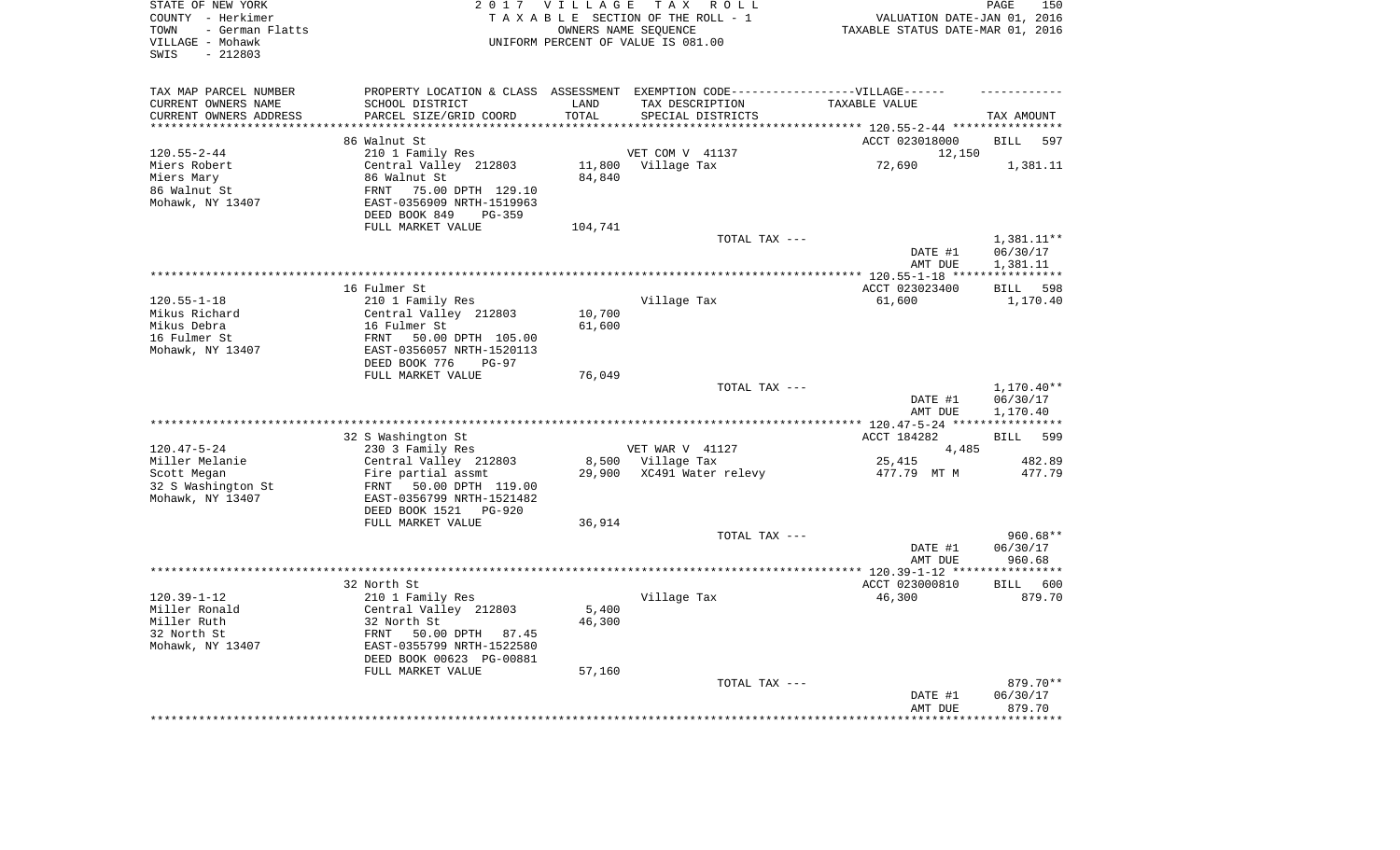| TAX MAP PARCEL NUMBER<br>PROPERTY LOCATION & CLASS ASSESSMENT EXEMPTION CODE-----------------VILLAGE------<br>SCHOOL DISTRICT<br>CURRENT OWNERS NAME<br>LAND<br>TAX DESCRIPTION<br>TAXABLE VALUE<br>PARCEL SIZE/GRID COORD<br>TOTAL<br>CURRENT OWNERS ADDRESS<br>SPECIAL DISTRICTS<br>TAX AMOUNT<br>**********************<br>***************************<br>****************<br>86 Walnut St<br>ACCT 023018000<br>597<br><b>BILL</b><br>$120.55 - 2 - 44$<br>210 1 Family Res<br>VET COM V 41137<br>12,150<br>Central Valley 212803<br>11,800 Village Tax<br>72,690<br>Miers Robert<br>1,381.11<br>Miers Mary<br>86 Walnut St<br>84,840<br>86 Walnut St<br>75.00 DPTH 129.10<br>FRNT<br>Mohawk, NY 13407<br>EAST-0356909 NRTH-1519963<br>DEED BOOK 849<br>PG-359<br>FULL MARKET VALUE<br>104,741<br>TOTAL TAX ---<br>1,381.11**<br>DATE #1<br>06/30/17<br>1,381.11<br>AMT DUE<br>************ 120.55-1-18 ****<br>* * * * * * * * * * *<br>ACCT 023023400<br>598<br>16 Fulmer St<br><b>BILL</b><br>$120.55 - 1 - 18$<br>210 1 Family Res<br>Village Tax<br>61,600<br>1,170.40<br>Mikus Richard<br>Central Valley 212803<br>10,700<br>Mikus Debra<br>16 Fulmer St<br>61,600<br>16 Fulmer St<br>FRNT<br>50.00 DPTH 105.00<br>Mohawk, NY 13407<br>EAST-0356057 NRTH-1520113<br>DEED BOOK 776<br>$PG-97$<br>FULL MARKET VALUE<br>76,049<br>TOTAL TAX ---<br>1,170.40**<br>DATE #1<br>06/30/17<br>1,170.40<br>AMT DUE<br>********* 120.47-5-24 ****<br>***********<br>32 S Washington St<br>ACCT 184282<br>599<br><b>BILL</b><br>VET WAR V 41127<br>$120.47 - 5 - 24$<br>230 3 Family Res<br>4,485<br>Miller Melanie<br>Central Valley 212803<br>8,500 Village Tax<br>25,415<br>482.89<br>29,900<br>XC491 Water relevy<br>477.79 MT M<br>477.79<br>Scott Megan<br>Fire partial assmt<br>32 S Washington St<br>FRNT<br>50.00 DPTH 119.00<br>Mohawk, NY 13407<br>EAST-0356799 NRTH-1521482<br>DEED BOOK 1521 PG-920<br>FULL MARKET VALUE<br>36,914<br>TOTAL TAX ---<br>960.68**<br>DATE #1<br>06/30/17<br>AMT DUE<br>960.68<br>* * * * * * * * * * *<br>32 North St<br>ACCT 023000810<br>BILL 600<br>$120.39 - 1 - 12$<br>210 1 Family Res<br>Village Tax<br>46,300<br>879.70<br>5,400<br>Miller Ronald<br>Central Valley 212803<br>Miller Ruth<br>32 North St<br>46,300<br>32 North St<br>FRNT 50.00 DPTH 87.45<br>Mohawk, NY 13407<br>EAST-0355799 NRTH-1522580<br>DEED BOOK 00623 PG-00881<br>FULL MARKET VALUE<br>57,160<br>TOTAL TAX ---<br>879.70**<br>06/30/17<br>DATE #1<br>879.70<br>AMT DUE<br>******** | STATE OF NEW YORK<br>COUNTY - Herkimer<br>- German Flatts<br>TOWN<br>VILLAGE - Mohawk<br>$-212803$<br>SWIS | 2017 VILLAGE | TAX ROLL<br>TAXABLE SECTION OF THE ROLL - 1<br>OWNERS NAME SEQUENCE<br>UNIFORM PERCENT OF VALUE IS 081.00 | VALUATION DATE-JAN 01, 2016<br>TAXABLE STATUS DATE-MAR 01, 2016 | PAGE<br>150 |
|-------------------------------------------------------------------------------------------------------------------------------------------------------------------------------------------------------------------------------------------------------------------------------------------------------------------------------------------------------------------------------------------------------------------------------------------------------------------------------------------------------------------------------------------------------------------------------------------------------------------------------------------------------------------------------------------------------------------------------------------------------------------------------------------------------------------------------------------------------------------------------------------------------------------------------------------------------------------------------------------------------------------------------------------------------------------------------------------------------------------------------------------------------------------------------------------------------------------------------------------------------------------------------------------------------------------------------------------------------------------------------------------------------------------------------------------------------------------------------------------------------------------------------------------------------------------------------------------------------------------------------------------------------------------------------------------------------------------------------------------------------------------------------------------------------------------------------------------------------------------------------------------------------------------------------------------------------------------------------------------------------------------------------------------------------------------------------------------------------------------------------------------------------------------------------------------------------------------------------------------------------------------------------------------------------------------------------------------------------------------------------------------------------------------------------------------------------------------------------------------------------------|------------------------------------------------------------------------------------------------------------|--------------|-----------------------------------------------------------------------------------------------------------|-----------------------------------------------------------------|-------------|
|                                                                                                                                                                                                                                                                                                                                                                                                                                                                                                                                                                                                                                                                                                                                                                                                                                                                                                                                                                                                                                                                                                                                                                                                                                                                                                                                                                                                                                                                                                                                                                                                                                                                                                                                                                                                                                                                                                                                                                                                                                                                                                                                                                                                                                                                                                                                                                                                                                                                                                             |                                                                                                            |              |                                                                                                           |                                                                 |             |
|                                                                                                                                                                                                                                                                                                                                                                                                                                                                                                                                                                                                                                                                                                                                                                                                                                                                                                                                                                                                                                                                                                                                                                                                                                                                                                                                                                                                                                                                                                                                                                                                                                                                                                                                                                                                                                                                                                                                                                                                                                                                                                                                                                                                                                                                                                                                                                                                                                                                                                             |                                                                                                            |              |                                                                                                           |                                                                 |             |
|                                                                                                                                                                                                                                                                                                                                                                                                                                                                                                                                                                                                                                                                                                                                                                                                                                                                                                                                                                                                                                                                                                                                                                                                                                                                                                                                                                                                                                                                                                                                                                                                                                                                                                                                                                                                                                                                                                                                                                                                                                                                                                                                                                                                                                                                                                                                                                                                                                                                                                             |                                                                                                            |              |                                                                                                           |                                                                 |             |
|                                                                                                                                                                                                                                                                                                                                                                                                                                                                                                                                                                                                                                                                                                                                                                                                                                                                                                                                                                                                                                                                                                                                                                                                                                                                                                                                                                                                                                                                                                                                                                                                                                                                                                                                                                                                                                                                                                                                                                                                                                                                                                                                                                                                                                                                                                                                                                                                                                                                                                             |                                                                                                            |              |                                                                                                           |                                                                 |             |
|                                                                                                                                                                                                                                                                                                                                                                                                                                                                                                                                                                                                                                                                                                                                                                                                                                                                                                                                                                                                                                                                                                                                                                                                                                                                                                                                                                                                                                                                                                                                                                                                                                                                                                                                                                                                                                                                                                                                                                                                                                                                                                                                                                                                                                                                                                                                                                                                                                                                                                             |                                                                                                            |              |                                                                                                           |                                                                 |             |
|                                                                                                                                                                                                                                                                                                                                                                                                                                                                                                                                                                                                                                                                                                                                                                                                                                                                                                                                                                                                                                                                                                                                                                                                                                                                                                                                                                                                                                                                                                                                                                                                                                                                                                                                                                                                                                                                                                                                                                                                                                                                                                                                                                                                                                                                                                                                                                                                                                                                                                             |                                                                                                            |              |                                                                                                           |                                                                 |             |
|                                                                                                                                                                                                                                                                                                                                                                                                                                                                                                                                                                                                                                                                                                                                                                                                                                                                                                                                                                                                                                                                                                                                                                                                                                                                                                                                                                                                                                                                                                                                                                                                                                                                                                                                                                                                                                                                                                                                                                                                                                                                                                                                                                                                                                                                                                                                                                                                                                                                                                             |                                                                                                            |              |                                                                                                           |                                                                 |             |
|                                                                                                                                                                                                                                                                                                                                                                                                                                                                                                                                                                                                                                                                                                                                                                                                                                                                                                                                                                                                                                                                                                                                                                                                                                                                                                                                                                                                                                                                                                                                                                                                                                                                                                                                                                                                                                                                                                                                                                                                                                                                                                                                                                                                                                                                                                                                                                                                                                                                                                             |                                                                                                            |              |                                                                                                           |                                                                 |             |
|                                                                                                                                                                                                                                                                                                                                                                                                                                                                                                                                                                                                                                                                                                                                                                                                                                                                                                                                                                                                                                                                                                                                                                                                                                                                                                                                                                                                                                                                                                                                                                                                                                                                                                                                                                                                                                                                                                                                                                                                                                                                                                                                                                                                                                                                                                                                                                                                                                                                                                             |                                                                                                            |              |                                                                                                           |                                                                 |             |
|                                                                                                                                                                                                                                                                                                                                                                                                                                                                                                                                                                                                                                                                                                                                                                                                                                                                                                                                                                                                                                                                                                                                                                                                                                                                                                                                                                                                                                                                                                                                                                                                                                                                                                                                                                                                                                                                                                                                                                                                                                                                                                                                                                                                                                                                                                                                                                                                                                                                                                             |                                                                                                            |              |                                                                                                           |                                                                 |             |
|                                                                                                                                                                                                                                                                                                                                                                                                                                                                                                                                                                                                                                                                                                                                                                                                                                                                                                                                                                                                                                                                                                                                                                                                                                                                                                                                                                                                                                                                                                                                                                                                                                                                                                                                                                                                                                                                                                                                                                                                                                                                                                                                                                                                                                                                                                                                                                                                                                                                                                             |                                                                                                            |              |                                                                                                           |                                                                 |             |
|                                                                                                                                                                                                                                                                                                                                                                                                                                                                                                                                                                                                                                                                                                                                                                                                                                                                                                                                                                                                                                                                                                                                                                                                                                                                                                                                                                                                                                                                                                                                                                                                                                                                                                                                                                                                                                                                                                                                                                                                                                                                                                                                                                                                                                                                                                                                                                                                                                                                                                             |                                                                                                            |              |                                                                                                           |                                                                 |             |
|                                                                                                                                                                                                                                                                                                                                                                                                                                                                                                                                                                                                                                                                                                                                                                                                                                                                                                                                                                                                                                                                                                                                                                                                                                                                                                                                                                                                                                                                                                                                                                                                                                                                                                                                                                                                                                                                                                                                                                                                                                                                                                                                                                                                                                                                                                                                                                                                                                                                                                             |                                                                                                            |              |                                                                                                           |                                                                 |             |
|                                                                                                                                                                                                                                                                                                                                                                                                                                                                                                                                                                                                                                                                                                                                                                                                                                                                                                                                                                                                                                                                                                                                                                                                                                                                                                                                                                                                                                                                                                                                                                                                                                                                                                                                                                                                                                                                                                                                                                                                                                                                                                                                                                                                                                                                                                                                                                                                                                                                                                             |                                                                                                            |              |                                                                                                           |                                                                 |             |
|                                                                                                                                                                                                                                                                                                                                                                                                                                                                                                                                                                                                                                                                                                                                                                                                                                                                                                                                                                                                                                                                                                                                                                                                                                                                                                                                                                                                                                                                                                                                                                                                                                                                                                                                                                                                                                                                                                                                                                                                                                                                                                                                                                                                                                                                                                                                                                                                                                                                                                             |                                                                                                            |              |                                                                                                           |                                                                 |             |
|                                                                                                                                                                                                                                                                                                                                                                                                                                                                                                                                                                                                                                                                                                                                                                                                                                                                                                                                                                                                                                                                                                                                                                                                                                                                                                                                                                                                                                                                                                                                                                                                                                                                                                                                                                                                                                                                                                                                                                                                                                                                                                                                                                                                                                                                                                                                                                                                                                                                                                             |                                                                                                            |              |                                                                                                           |                                                                 |             |
|                                                                                                                                                                                                                                                                                                                                                                                                                                                                                                                                                                                                                                                                                                                                                                                                                                                                                                                                                                                                                                                                                                                                                                                                                                                                                                                                                                                                                                                                                                                                                                                                                                                                                                                                                                                                                                                                                                                                                                                                                                                                                                                                                                                                                                                                                                                                                                                                                                                                                                             |                                                                                                            |              |                                                                                                           |                                                                 |             |
|                                                                                                                                                                                                                                                                                                                                                                                                                                                                                                                                                                                                                                                                                                                                                                                                                                                                                                                                                                                                                                                                                                                                                                                                                                                                                                                                                                                                                                                                                                                                                                                                                                                                                                                                                                                                                                                                                                                                                                                                                                                                                                                                                                                                                                                                                                                                                                                                                                                                                                             |                                                                                                            |              |                                                                                                           |                                                                 |             |
|                                                                                                                                                                                                                                                                                                                                                                                                                                                                                                                                                                                                                                                                                                                                                                                                                                                                                                                                                                                                                                                                                                                                                                                                                                                                                                                                                                                                                                                                                                                                                                                                                                                                                                                                                                                                                                                                                                                                                                                                                                                                                                                                                                                                                                                                                                                                                                                                                                                                                                             |                                                                                                            |              |                                                                                                           |                                                                 |             |
|                                                                                                                                                                                                                                                                                                                                                                                                                                                                                                                                                                                                                                                                                                                                                                                                                                                                                                                                                                                                                                                                                                                                                                                                                                                                                                                                                                                                                                                                                                                                                                                                                                                                                                                                                                                                                                                                                                                                                                                                                                                                                                                                                                                                                                                                                                                                                                                                                                                                                                             |                                                                                                            |              |                                                                                                           |                                                                 |             |
|                                                                                                                                                                                                                                                                                                                                                                                                                                                                                                                                                                                                                                                                                                                                                                                                                                                                                                                                                                                                                                                                                                                                                                                                                                                                                                                                                                                                                                                                                                                                                                                                                                                                                                                                                                                                                                                                                                                                                                                                                                                                                                                                                                                                                                                                                                                                                                                                                                                                                                             |                                                                                                            |              |                                                                                                           |                                                                 |             |
|                                                                                                                                                                                                                                                                                                                                                                                                                                                                                                                                                                                                                                                                                                                                                                                                                                                                                                                                                                                                                                                                                                                                                                                                                                                                                                                                                                                                                                                                                                                                                                                                                                                                                                                                                                                                                                                                                                                                                                                                                                                                                                                                                                                                                                                                                                                                                                                                                                                                                                             |                                                                                                            |              |                                                                                                           |                                                                 |             |
|                                                                                                                                                                                                                                                                                                                                                                                                                                                                                                                                                                                                                                                                                                                                                                                                                                                                                                                                                                                                                                                                                                                                                                                                                                                                                                                                                                                                                                                                                                                                                                                                                                                                                                                                                                                                                                                                                                                                                                                                                                                                                                                                                                                                                                                                                                                                                                                                                                                                                                             |                                                                                                            |              |                                                                                                           |                                                                 |             |
|                                                                                                                                                                                                                                                                                                                                                                                                                                                                                                                                                                                                                                                                                                                                                                                                                                                                                                                                                                                                                                                                                                                                                                                                                                                                                                                                                                                                                                                                                                                                                                                                                                                                                                                                                                                                                                                                                                                                                                                                                                                                                                                                                                                                                                                                                                                                                                                                                                                                                                             |                                                                                                            |              |                                                                                                           |                                                                 |             |
|                                                                                                                                                                                                                                                                                                                                                                                                                                                                                                                                                                                                                                                                                                                                                                                                                                                                                                                                                                                                                                                                                                                                                                                                                                                                                                                                                                                                                                                                                                                                                                                                                                                                                                                                                                                                                                                                                                                                                                                                                                                                                                                                                                                                                                                                                                                                                                                                                                                                                                             |                                                                                                            |              |                                                                                                           |                                                                 |             |
|                                                                                                                                                                                                                                                                                                                                                                                                                                                                                                                                                                                                                                                                                                                                                                                                                                                                                                                                                                                                                                                                                                                                                                                                                                                                                                                                                                                                                                                                                                                                                                                                                                                                                                                                                                                                                                                                                                                                                                                                                                                                                                                                                                                                                                                                                                                                                                                                                                                                                                             |                                                                                                            |              |                                                                                                           |                                                                 |             |
|                                                                                                                                                                                                                                                                                                                                                                                                                                                                                                                                                                                                                                                                                                                                                                                                                                                                                                                                                                                                                                                                                                                                                                                                                                                                                                                                                                                                                                                                                                                                                                                                                                                                                                                                                                                                                                                                                                                                                                                                                                                                                                                                                                                                                                                                                                                                                                                                                                                                                                             |                                                                                                            |              |                                                                                                           |                                                                 |             |
|                                                                                                                                                                                                                                                                                                                                                                                                                                                                                                                                                                                                                                                                                                                                                                                                                                                                                                                                                                                                                                                                                                                                                                                                                                                                                                                                                                                                                                                                                                                                                                                                                                                                                                                                                                                                                                                                                                                                                                                                                                                                                                                                                                                                                                                                                                                                                                                                                                                                                                             |                                                                                                            |              |                                                                                                           |                                                                 |             |
|                                                                                                                                                                                                                                                                                                                                                                                                                                                                                                                                                                                                                                                                                                                                                                                                                                                                                                                                                                                                                                                                                                                                                                                                                                                                                                                                                                                                                                                                                                                                                                                                                                                                                                                                                                                                                                                                                                                                                                                                                                                                                                                                                                                                                                                                                                                                                                                                                                                                                                             |                                                                                                            |              |                                                                                                           |                                                                 |             |
|                                                                                                                                                                                                                                                                                                                                                                                                                                                                                                                                                                                                                                                                                                                                                                                                                                                                                                                                                                                                                                                                                                                                                                                                                                                                                                                                                                                                                                                                                                                                                                                                                                                                                                                                                                                                                                                                                                                                                                                                                                                                                                                                                                                                                                                                                                                                                                                                                                                                                                             |                                                                                                            |              |                                                                                                           |                                                                 |             |
|                                                                                                                                                                                                                                                                                                                                                                                                                                                                                                                                                                                                                                                                                                                                                                                                                                                                                                                                                                                                                                                                                                                                                                                                                                                                                                                                                                                                                                                                                                                                                                                                                                                                                                                                                                                                                                                                                                                                                                                                                                                                                                                                                                                                                                                                                                                                                                                                                                                                                                             |                                                                                                            |              |                                                                                                           |                                                                 |             |
|                                                                                                                                                                                                                                                                                                                                                                                                                                                                                                                                                                                                                                                                                                                                                                                                                                                                                                                                                                                                                                                                                                                                                                                                                                                                                                                                                                                                                                                                                                                                                                                                                                                                                                                                                                                                                                                                                                                                                                                                                                                                                                                                                                                                                                                                                                                                                                                                                                                                                                             |                                                                                                            |              |                                                                                                           |                                                                 |             |
|                                                                                                                                                                                                                                                                                                                                                                                                                                                                                                                                                                                                                                                                                                                                                                                                                                                                                                                                                                                                                                                                                                                                                                                                                                                                                                                                                                                                                                                                                                                                                                                                                                                                                                                                                                                                                                                                                                                                                                                                                                                                                                                                                                                                                                                                                                                                                                                                                                                                                                             |                                                                                                            |              |                                                                                                           |                                                                 |             |
|                                                                                                                                                                                                                                                                                                                                                                                                                                                                                                                                                                                                                                                                                                                                                                                                                                                                                                                                                                                                                                                                                                                                                                                                                                                                                                                                                                                                                                                                                                                                                                                                                                                                                                                                                                                                                                                                                                                                                                                                                                                                                                                                                                                                                                                                                                                                                                                                                                                                                                             |                                                                                                            |              |                                                                                                           |                                                                 |             |
|                                                                                                                                                                                                                                                                                                                                                                                                                                                                                                                                                                                                                                                                                                                                                                                                                                                                                                                                                                                                                                                                                                                                                                                                                                                                                                                                                                                                                                                                                                                                                                                                                                                                                                                                                                                                                                                                                                                                                                                                                                                                                                                                                                                                                                                                                                                                                                                                                                                                                                             |                                                                                                            |              |                                                                                                           |                                                                 |             |
|                                                                                                                                                                                                                                                                                                                                                                                                                                                                                                                                                                                                                                                                                                                                                                                                                                                                                                                                                                                                                                                                                                                                                                                                                                                                                                                                                                                                                                                                                                                                                                                                                                                                                                                                                                                                                                                                                                                                                                                                                                                                                                                                                                                                                                                                                                                                                                                                                                                                                                             |                                                                                                            |              |                                                                                                           |                                                                 |             |
|                                                                                                                                                                                                                                                                                                                                                                                                                                                                                                                                                                                                                                                                                                                                                                                                                                                                                                                                                                                                                                                                                                                                                                                                                                                                                                                                                                                                                                                                                                                                                                                                                                                                                                                                                                                                                                                                                                                                                                                                                                                                                                                                                                                                                                                                                                                                                                                                                                                                                                             |                                                                                                            |              |                                                                                                           |                                                                 |             |
|                                                                                                                                                                                                                                                                                                                                                                                                                                                                                                                                                                                                                                                                                                                                                                                                                                                                                                                                                                                                                                                                                                                                                                                                                                                                                                                                                                                                                                                                                                                                                                                                                                                                                                                                                                                                                                                                                                                                                                                                                                                                                                                                                                                                                                                                                                                                                                                                                                                                                                             |                                                                                                            |              |                                                                                                           |                                                                 |             |
|                                                                                                                                                                                                                                                                                                                                                                                                                                                                                                                                                                                                                                                                                                                                                                                                                                                                                                                                                                                                                                                                                                                                                                                                                                                                                                                                                                                                                                                                                                                                                                                                                                                                                                                                                                                                                                                                                                                                                                                                                                                                                                                                                                                                                                                                                                                                                                                                                                                                                                             |                                                                                                            |              |                                                                                                           |                                                                 |             |
|                                                                                                                                                                                                                                                                                                                                                                                                                                                                                                                                                                                                                                                                                                                                                                                                                                                                                                                                                                                                                                                                                                                                                                                                                                                                                                                                                                                                                                                                                                                                                                                                                                                                                                                                                                                                                                                                                                                                                                                                                                                                                                                                                                                                                                                                                                                                                                                                                                                                                                             |                                                                                                            |              |                                                                                                           |                                                                 |             |
|                                                                                                                                                                                                                                                                                                                                                                                                                                                                                                                                                                                                                                                                                                                                                                                                                                                                                                                                                                                                                                                                                                                                                                                                                                                                                                                                                                                                                                                                                                                                                                                                                                                                                                                                                                                                                                                                                                                                                                                                                                                                                                                                                                                                                                                                                                                                                                                                                                                                                                             |                                                                                                            |              |                                                                                                           |                                                                 |             |
|                                                                                                                                                                                                                                                                                                                                                                                                                                                                                                                                                                                                                                                                                                                                                                                                                                                                                                                                                                                                                                                                                                                                                                                                                                                                                                                                                                                                                                                                                                                                                                                                                                                                                                                                                                                                                                                                                                                                                                                                                                                                                                                                                                                                                                                                                                                                                                                                                                                                                                             |                                                                                                            |              |                                                                                                           |                                                                 |             |
|                                                                                                                                                                                                                                                                                                                                                                                                                                                                                                                                                                                                                                                                                                                                                                                                                                                                                                                                                                                                                                                                                                                                                                                                                                                                                                                                                                                                                                                                                                                                                                                                                                                                                                                                                                                                                                                                                                                                                                                                                                                                                                                                                                                                                                                                                                                                                                                                                                                                                                             |                                                                                                            |              |                                                                                                           |                                                                 |             |
|                                                                                                                                                                                                                                                                                                                                                                                                                                                                                                                                                                                                                                                                                                                                                                                                                                                                                                                                                                                                                                                                                                                                                                                                                                                                                                                                                                                                                                                                                                                                                                                                                                                                                                                                                                                                                                                                                                                                                                                                                                                                                                                                                                                                                                                                                                                                                                                                                                                                                                             |                                                                                                            |              |                                                                                                           |                                                                 |             |
|                                                                                                                                                                                                                                                                                                                                                                                                                                                                                                                                                                                                                                                                                                                                                                                                                                                                                                                                                                                                                                                                                                                                                                                                                                                                                                                                                                                                                                                                                                                                                                                                                                                                                                                                                                                                                                                                                                                                                                                                                                                                                                                                                                                                                                                                                                                                                                                                                                                                                                             |                                                                                                            |              |                                                                                                           |                                                                 |             |
|                                                                                                                                                                                                                                                                                                                                                                                                                                                                                                                                                                                                                                                                                                                                                                                                                                                                                                                                                                                                                                                                                                                                                                                                                                                                                                                                                                                                                                                                                                                                                                                                                                                                                                                                                                                                                                                                                                                                                                                                                                                                                                                                                                                                                                                                                                                                                                                                                                                                                                             |                                                                                                            |              |                                                                                                           |                                                                 |             |
|                                                                                                                                                                                                                                                                                                                                                                                                                                                                                                                                                                                                                                                                                                                                                                                                                                                                                                                                                                                                                                                                                                                                                                                                                                                                                                                                                                                                                                                                                                                                                                                                                                                                                                                                                                                                                                                                                                                                                                                                                                                                                                                                                                                                                                                                                                                                                                                                                                                                                                             |                                                                                                            |              |                                                                                                           |                                                                 |             |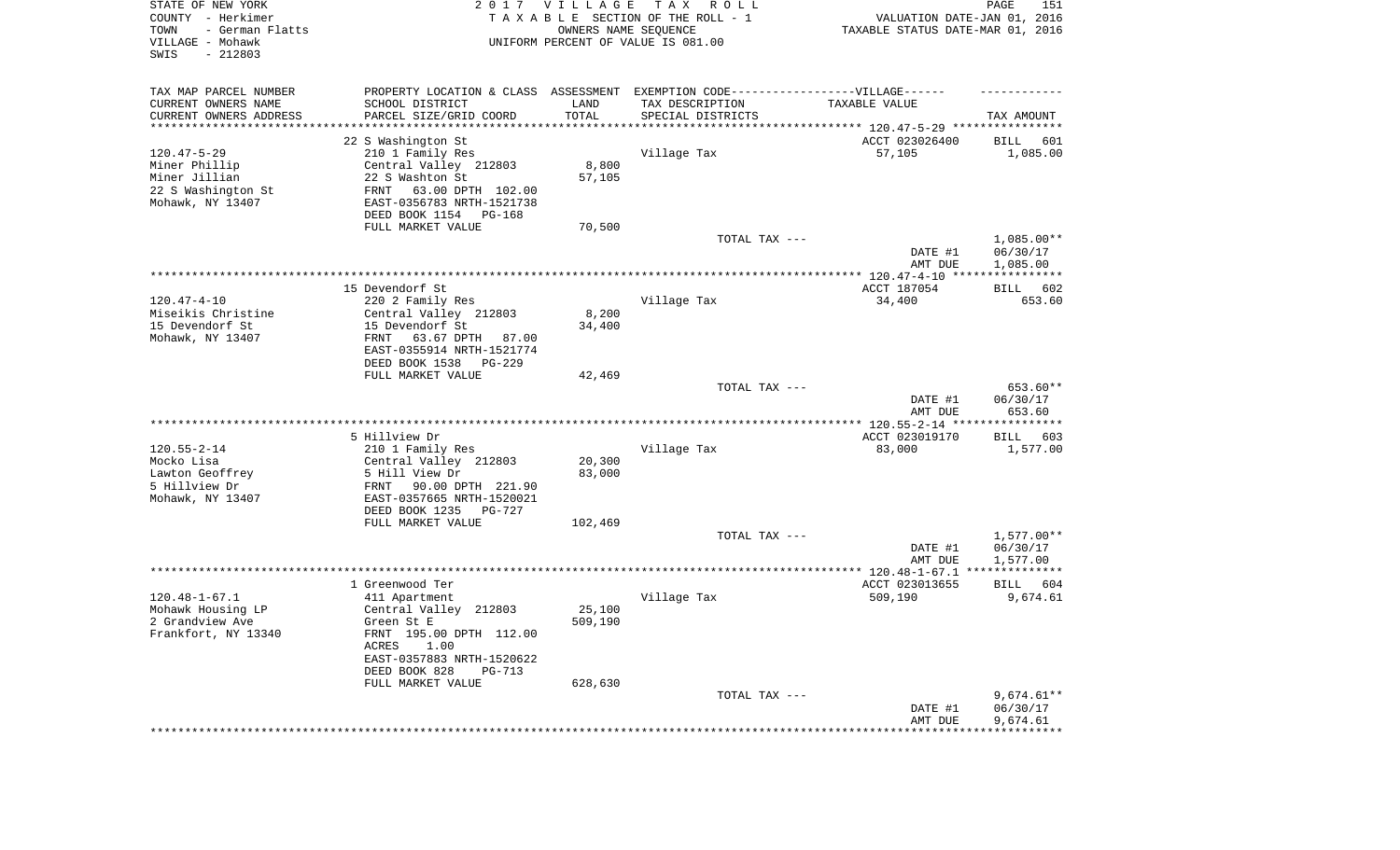| STATE OF NEW YORK<br>COUNTY - Herkimer<br>- German Flatts<br>TOWN<br>VILLAGE - Mohawk<br>SWIS<br>$-212803$ | 2017                                                                              | <b>VILLAGE</b><br>OWNERS NAME SEQUENCE | T A X<br>R O L L<br>TAXABLE SECTION OF THE ROLL - 1<br>UNIFORM PERCENT OF VALUE IS 081.00 | VALUATION DATE-JAN 01, 2016<br>TAXABLE STATUS DATE-MAR 01, 2016 | 151<br>PAGE              |
|------------------------------------------------------------------------------------------------------------|-----------------------------------------------------------------------------------|----------------------------------------|-------------------------------------------------------------------------------------------|-----------------------------------------------------------------|--------------------------|
| TAX MAP PARCEL NUMBER                                                                                      | PROPERTY LOCATION & CLASS ASSESSMENT EXEMPTION CODE-----------------VILLAGE------ |                                        |                                                                                           |                                                                 |                          |
| CURRENT OWNERS NAME                                                                                        | SCHOOL DISTRICT                                                                   | LAND                                   | TAX DESCRIPTION                                                                           | TAXABLE VALUE                                                   |                          |
| CURRENT OWNERS ADDRESS<br>*********************                                                            | PARCEL SIZE/GRID COORD                                                            | TOTAL                                  | SPECIAL DISTRICTS                                                                         |                                                                 | TAX AMOUNT               |
|                                                                                                            | 22 S Washington St                                                                |                                        |                                                                                           | ACCT 023026400                                                  | 601<br>BILL              |
| $120.47 - 5 - 29$                                                                                          | 210 1 Family Res                                                                  |                                        | Village Tax                                                                               | 57,105                                                          | 1,085.00                 |
| Miner Phillip                                                                                              | Central Valley 212803                                                             | 8,800                                  |                                                                                           |                                                                 |                          |
| Miner Jillian                                                                                              | 22 S Washton St                                                                   | 57,105                                 |                                                                                           |                                                                 |                          |
| 22 S Washington St<br>Mohawk, NY 13407                                                                     | FRNT<br>63.00 DPTH 102.00<br>EAST-0356783 NRTH-1521738                            |                                        |                                                                                           |                                                                 |                          |
|                                                                                                            | DEED BOOK 1154<br>PG-168                                                          |                                        |                                                                                           |                                                                 |                          |
|                                                                                                            | FULL MARKET VALUE                                                                 | 70,500                                 |                                                                                           |                                                                 |                          |
|                                                                                                            |                                                                                   |                                        | TOTAL TAX ---                                                                             | DATE #1                                                         | $1,085.00**$<br>06/30/17 |
|                                                                                                            |                                                                                   |                                        |                                                                                           | AMT DUE                                                         | 1,085.00                 |
|                                                                                                            | 15 Devendorf St.                                                                  |                                        |                                                                                           | ACCT 187054                                                     | BILL<br>602              |
| $120.47 - 4 - 10$                                                                                          | 220 2 Family Res                                                                  |                                        | Village Tax                                                                               | 34,400                                                          | 653.60                   |
| Miseikis Christine                                                                                         | Central Valley 212803                                                             | 8,200                                  |                                                                                           |                                                                 |                          |
| 15 Devendorf St<br>Mohawk, NY 13407                                                                        | 15 Devendorf St<br>FRNT<br>63.67 DPTH<br>87.00                                    | 34,400                                 |                                                                                           |                                                                 |                          |
|                                                                                                            | EAST-0355914 NRTH-1521774                                                         |                                        |                                                                                           |                                                                 |                          |
|                                                                                                            | DEED BOOK 1538<br>PG-229                                                          |                                        |                                                                                           |                                                                 |                          |
|                                                                                                            | FULL MARKET VALUE                                                                 | 42,469                                 |                                                                                           |                                                                 |                          |
|                                                                                                            |                                                                                   |                                        | TOTAL TAX ---                                                                             | DATE #1                                                         | 653.60**<br>06/30/17     |
|                                                                                                            |                                                                                   |                                        |                                                                                           | AMT DUE                                                         | 653.60                   |
|                                                                                                            |                                                                                   |                                        |                                                                                           |                                                                 |                          |
|                                                                                                            | 5 Hillview Dr                                                                     |                                        |                                                                                           | ACCT 023019170                                                  | <b>BILL</b><br>603       |
| $120.55 - 2 - 14$<br>Mocko Lisa                                                                            | 210 1 Family Res<br>Central Valley 212803                                         | 20,300                                 | Village Tax                                                                               | 83,000                                                          | 1,577.00                 |
| Lawton Geoffrey                                                                                            | 5 Hill View Dr                                                                    | 83,000                                 |                                                                                           |                                                                 |                          |
| 5 Hillview Dr                                                                                              | 90.00 DPTH 221.90<br>FRNT                                                         |                                        |                                                                                           |                                                                 |                          |
| Mohawk, NY 13407                                                                                           | EAST-0357665 NRTH-1520021                                                         |                                        |                                                                                           |                                                                 |                          |
|                                                                                                            | DEED BOOK 1235<br>PG-727                                                          |                                        |                                                                                           |                                                                 |                          |
|                                                                                                            | FULL MARKET VALUE                                                                 | 102,469                                | TOTAL TAX ---                                                                             |                                                                 | $1,577.00**$             |
|                                                                                                            |                                                                                   |                                        |                                                                                           | DATE #1                                                         | 06/30/17                 |
|                                                                                                            |                                                                                   |                                        |                                                                                           | AMT DUE                                                         | 1,577.00                 |
|                                                                                                            |                                                                                   |                                        |                                                                                           |                                                                 |                          |
| $120.48 - 1 - 67.1$                                                                                        | 1 Greenwood Ter<br>411 Apartment                                                  |                                        | Village Tax                                                                               | ACCT 023013655<br>509,190                                       | BILL 604<br>9,674.61     |
| Mohawk Housing LP                                                                                          | Central Valley 212803                                                             | 25,100                                 |                                                                                           |                                                                 |                          |
| 2 Grandview Ave                                                                                            | Green St E                                                                        | 509,190                                |                                                                                           |                                                                 |                          |
| Frankfort, NY 13340                                                                                        | FRNT 195.00 DPTH 112.00                                                           |                                        |                                                                                           |                                                                 |                          |
|                                                                                                            | ACRES<br>1.00                                                                     |                                        |                                                                                           |                                                                 |                          |
|                                                                                                            | EAST-0357883 NRTH-1520622<br>DEED BOOK 828<br>$PG-713$                            |                                        |                                                                                           |                                                                 |                          |
|                                                                                                            | FULL MARKET VALUE                                                                 | 628,630                                |                                                                                           |                                                                 |                          |
|                                                                                                            |                                                                                   |                                        | TOTAL TAX ---                                                                             |                                                                 | $9,674.61**$             |
|                                                                                                            |                                                                                   |                                        |                                                                                           | DATE #1                                                         | 06/30/17                 |
|                                                                                                            |                                                                                   |                                        |                                                                                           | AMT DUE                                                         | 9,674.61                 |
|                                                                                                            |                                                                                   |                                        |                                                                                           |                                                                 |                          |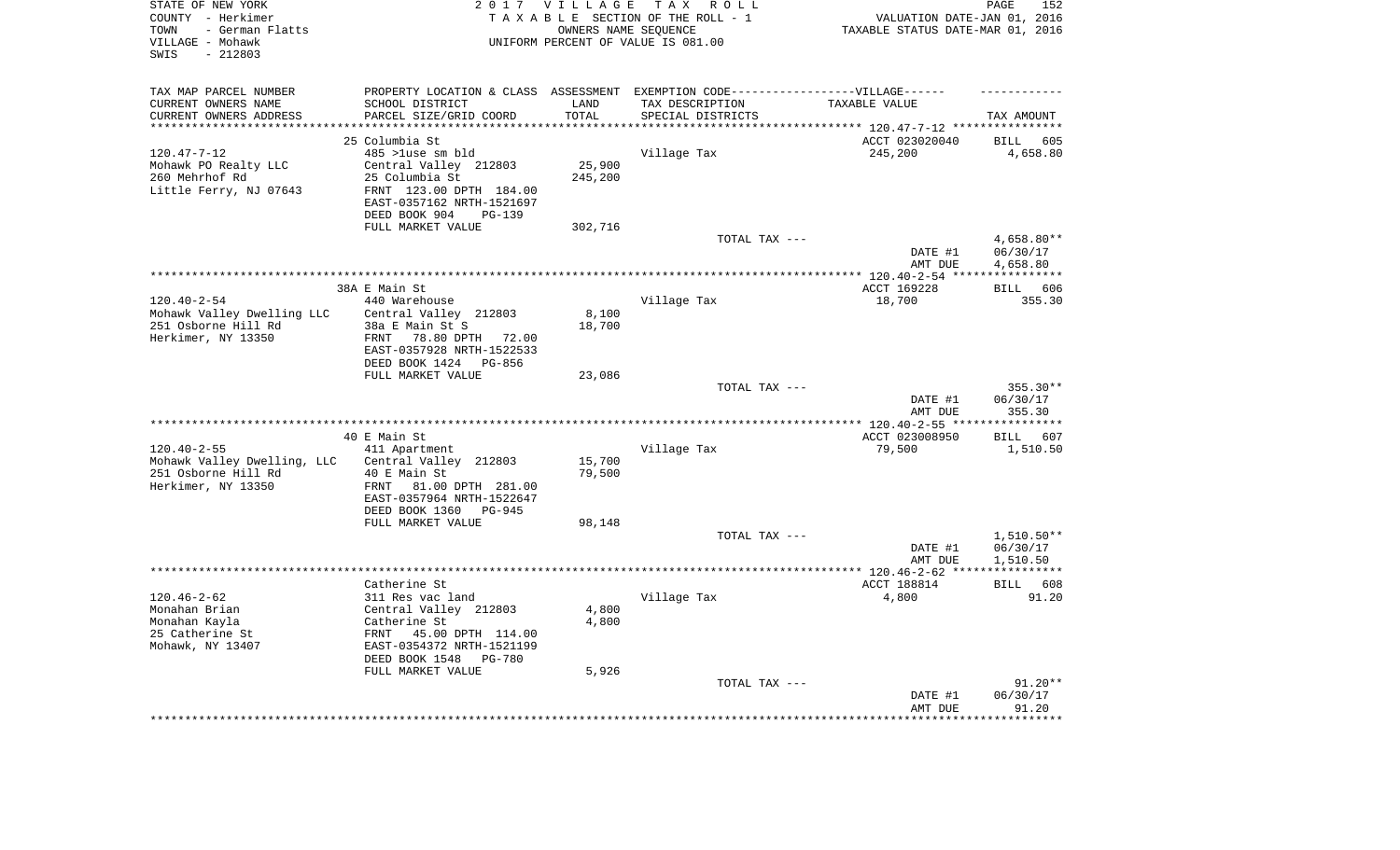| STATE OF NEW YORK<br>COUNTY - Herkimer<br>- German Flatts<br>TOWN<br>VILLAGE - Mohawk<br>$-212803$<br>SWIS | 2 0 1 7                                                                           | <b>VILLAGE</b><br>OWNERS NAME SEQUENCE | TAX ROLL<br>TAXABLE SECTION OF THE ROLL - 1<br>UNIFORM PERCENT OF VALUE IS 081.00 | VALUATION DATE-JAN 01, 2016<br>TAXABLE STATUS DATE-MAR 01, 2016 | PAGE<br>152                     |
|------------------------------------------------------------------------------------------------------------|-----------------------------------------------------------------------------------|----------------------------------------|-----------------------------------------------------------------------------------|-----------------------------------------------------------------|---------------------------------|
| TAX MAP PARCEL NUMBER                                                                                      | PROPERTY LOCATION & CLASS ASSESSMENT EXEMPTION CODE-----------------VILLAGE------ |                                        |                                                                                   |                                                                 |                                 |
| CURRENT OWNERS NAME                                                                                        | SCHOOL DISTRICT                                                                   | LAND                                   | TAX DESCRIPTION                                                                   | TAXABLE VALUE                                                   |                                 |
| CURRENT OWNERS ADDRESS<br>*********************                                                            | PARCEL SIZE/GRID COORD<br>**********************                                  | TOTAL<br>*********                     | SPECIAL DISTRICTS                                                                 |                                                                 | TAX AMOUNT                      |
|                                                                                                            | 25 Columbia St                                                                    |                                        |                                                                                   | ACCT 023020040                                                  | <b>BILL</b><br>605              |
| $120.47 - 7 - 12$                                                                                          | 485 >luse sm bld                                                                  |                                        | Village Tax                                                                       | 245,200                                                         | 4,658.80                        |
| Mohawk PO Realty LLC                                                                                       | Central Valley 212803                                                             | 25,900                                 |                                                                                   |                                                                 |                                 |
| 260 Mehrhof Rd                                                                                             | 25 Columbia St                                                                    | 245,200                                |                                                                                   |                                                                 |                                 |
| Little Ferry, NJ 07643                                                                                     | FRNT 123.00 DPTH 184.00                                                           |                                        |                                                                                   |                                                                 |                                 |
|                                                                                                            | EAST-0357162 NRTH-1521697                                                         |                                        |                                                                                   |                                                                 |                                 |
|                                                                                                            | DEED BOOK 904<br>$PG-139$                                                         |                                        |                                                                                   |                                                                 |                                 |
|                                                                                                            | FULL MARKET VALUE                                                                 | 302,716                                |                                                                                   |                                                                 |                                 |
|                                                                                                            |                                                                                   |                                        | TOTAL TAX ---                                                                     |                                                                 | $4,658.80**$                    |
|                                                                                                            |                                                                                   |                                        |                                                                                   | DATE #1                                                         | 06/30/17                        |
|                                                                                                            |                                                                                   |                                        | **********************************                                                | AMT DUE                                                         | 4,658.80<br>* * * * * * * * * * |
|                                                                                                            | 38A E Main St                                                                     |                                        |                                                                                   | ******* 120.40-2-54 ***<br>ACCT 169228                          | 606<br><b>BILL</b>              |
| $120.40 - 2 - 54$                                                                                          | 440 Warehouse                                                                     |                                        | Village Tax                                                                       | 18,700                                                          | 355.30                          |
| Mohawk Valley Dwelling LLC                                                                                 | Central Valley 212803                                                             | 8,100                                  |                                                                                   |                                                                 |                                 |
| 251 Osborne Hill Rd                                                                                        | 38a E Main St S                                                                   | 18,700                                 |                                                                                   |                                                                 |                                 |
| Herkimer, NY 13350                                                                                         | FRNT<br>78.80 DPTH 72.00                                                          |                                        |                                                                                   |                                                                 |                                 |
|                                                                                                            | EAST-0357928 NRTH-1522533                                                         |                                        |                                                                                   |                                                                 |                                 |
|                                                                                                            | DEED BOOK 1424<br>PG-856                                                          |                                        |                                                                                   |                                                                 |                                 |
|                                                                                                            | FULL MARKET VALUE                                                                 | 23,086                                 |                                                                                   |                                                                 |                                 |
|                                                                                                            |                                                                                   |                                        | TOTAL TAX ---                                                                     | DATE #1                                                         | $355.30**$<br>06/30/17          |
|                                                                                                            |                                                                                   |                                        |                                                                                   | AMT DUE<br>***** 120.40-2-55 **                                 | 355.30<br>* * * * * * * * *     |
|                                                                                                            | 40 E Main St                                                                      |                                        |                                                                                   | ACCT 023008950                                                  | 607<br><b>BILL</b>              |
| $120.40 - 2 - 55$                                                                                          | 411 Apartment                                                                     |                                        | Village Tax                                                                       | 79,500                                                          | 1,510.50                        |
| Mohawk Valley Dwelling, LLC                                                                                | Central Valley 212803                                                             | 15,700                                 |                                                                                   |                                                                 |                                 |
| 251 Osborne Hill Rd                                                                                        | 40 E Main St                                                                      | 79,500                                 |                                                                                   |                                                                 |                                 |
| Herkimer, NY 13350                                                                                         | FRNT<br>81.00 DPTH 281.00                                                         |                                        |                                                                                   |                                                                 |                                 |
|                                                                                                            | EAST-0357964 NRTH-1522647                                                         |                                        |                                                                                   |                                                                 |                                 |
|                                                                                                            | DEED BOOK 1360<br>PG-945                                                          |                                        |                                                                                   |                                                                 |                                 |
|                                                                                                            | FULL MARKET VALUE                                                                 | 98,148                                 |                                                                                   |                                                                 |                                 |
|                                                                                                            |                                                                                   |                                        | TOTAL TAX ---                                                                     |                                                                 | $1,510.50**$                    |
|                                                                                                            |                                                                                   |                                        |                                                                                   | DATE #1<br>AMT DUE                                              | 06/30/17<br>1,510.50            |
|                                                                                                            |                                                                                   |                                        |                                                                                   |                                                                 | ***********                     |
|                                                                                                            | Catherine St                                                                      |                                        |                                                                                   | ACCT 188814                                                     | 608<br><b>BILL</b>              |
| $120.46 - 2 - 62$                                                                                          | 311 Res vac land                                                                  |                                        | Village Tax                                                                       | 4,800                                                           | 91.20                           |
| Monahan Brian                                                                                              | Central Valley 212803                                                             | 4,800                                  |                                                                                   |                                                                 |                                 |
| Monahan Kayla                                                                                              | Catherine St                                                                      | 4,800                                  |                                                                                   |                                                                 |                                 |
| 25 Catherine St                                                                                            | FRNT<br>45.00 DPTH 114.00                                                         |                                        |                                                                                   |                                                                 |                                 |
| Mohawk, NY 13407                                                                                           | EAST-0354372 NRTH-1521199                                                         |                                        |                                                                                   |                                                                 |                                 |
|                                                                                                            | DEED BOOK 1548<br><b>PG-780</b>                                                   |                                        |                                                                                   |                                                                 |                                 |
|                                                                                                            | FULL MARKET VALUE                                                                 | 5,926                                  | TOTAL TAX ---                                                                     |                                                                 | $91.20**$                       |
|                                                                                                            |                                                                                   |                                        |                                                                                   | DATE #1                                                         | 06/30/17                        |
|                                                                                                            |                                                                                   |                                        |                                                                                   | AMT DUE                                                         | 91.20                           |
|                                                                                                            |                                                                                   |                                        |                                                                                   |                                                                 | *******                         |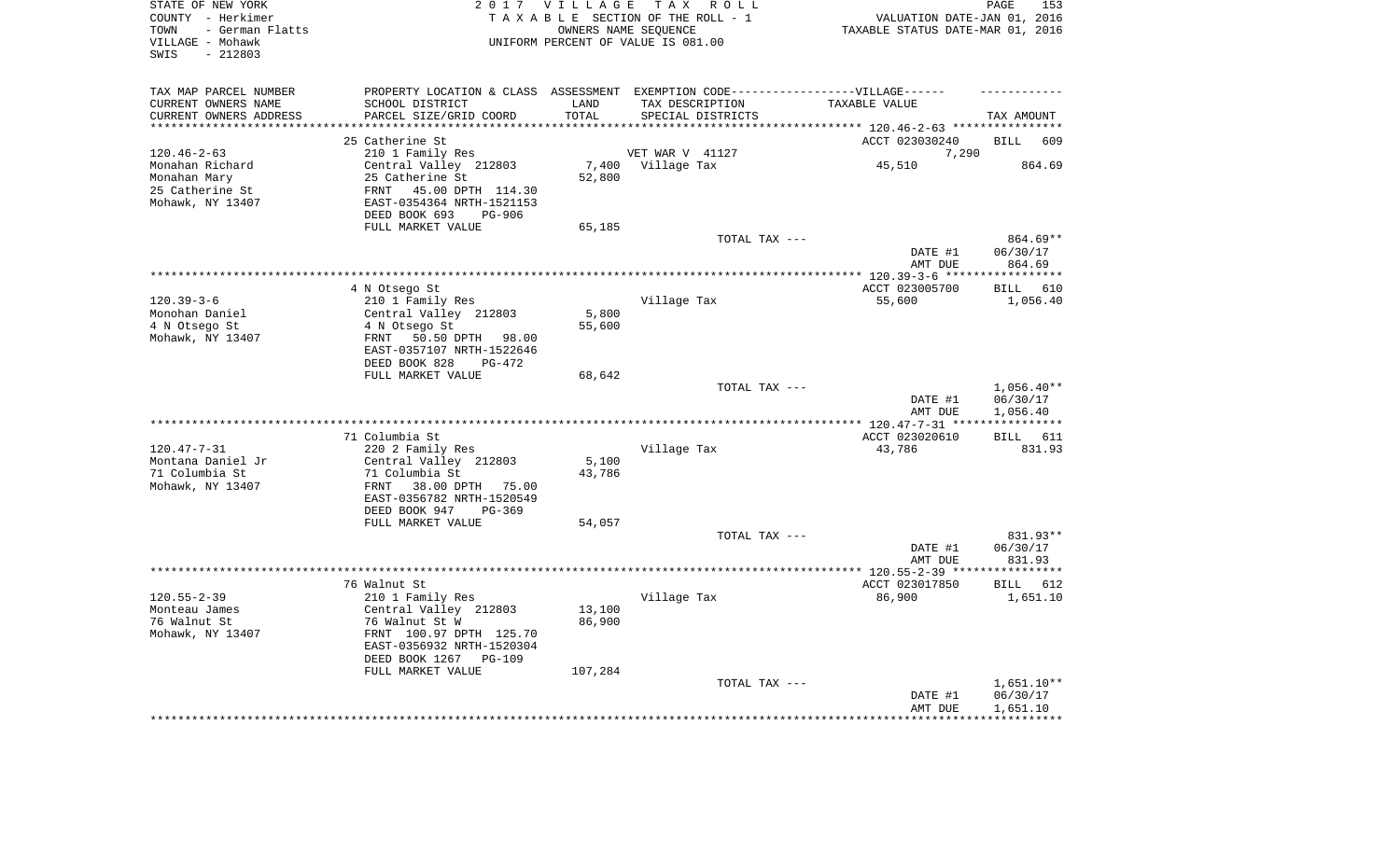| STATE OF NEW YORK<br>COUNTY - Herkimer<br>- German Flatts<br>TOWN<br>VILLAGE - Mohawk<br>SWIS<br>$-212803$ |                                                       | 2017 VILLAGE  | TAX ROLL<br>TAXABLE SECTION OF THE ROLL - 1<br>OWNERS NAME SEQUENCE<br>UNIFORM PERCENT OF VALUE IS 081.00 | VALUATION DATE-JAN 01, 2016<br>TAXABLE STATUS DATE-MAR 01, 2016      | PAGE<br>153          |
|------------------------------------------------------------------------------------------------------------|-------------------------------------------------------|---------------|-----------------------------------------------------------------------------------------------------------|----------------------------------------------------------------------|----------------------|
| TAX MAP PARCEL NUMBER                                                                                      |                                                       |               | PROPERTY LOCATION & CLASS ASSESSMENT EXEMPTION CODE----------------VILLAGE------                          |                                                                      |                      |
| CURRENT OWNERS NAME<br>CURRENT OWNERS ADDRESS                                                              | SCHOOL DISTRICT<br>PARCEL SIZE/GRID COORD             | LAND<br>TOTAL | TAX DESCRIPTION<br>SPECIAL DISTRICTS                                                                      | TAXABLE VALUE                                                        | TAX AMOUNT           |
| *********************                                                                                      | **************************                            | **********    |                                                                                                           | ************************************** 120.46-2-63 ***************** |                      |
|                                                                                                            | 25 Catherine St                                       |               |                                                                                                           | ACCT 023030240                                                       | <b>BILL</b><br>609   |
| $120.46 - 2 - 63$                                                                                          | 210 1 Family Res                                      |               | VET WAR V 41127                                                                                           | 7,290                                                                |                      |
| Monahan Richard                                                                                            | Central Valley 212803                                 | 7,400         | Village Tax                                                                                               | 45,510                                                               | 864.69               |
| Monahan Mary                                                                                               | 25 Catherine St                                       | 52,800        |                                                                                                           |                                                                      |                      |
| 25 Catherine St                                                                                            | 45.00 DPTH 114.30<br>FRNT                             |               |                                                                                                           |                                                                      |                      |
| Mohawk, NY 13407                                                                                           | EAST-0354364 NRTH-1521153                             |               |                                                                                                           |                                                                      |                      |
|                                                                                                            | DEED BOOK 693<br>PG-906                               |               |                                                                                                           |                                                                      |                      |
|                                                                                                            | FULL MARKET VALUE                                     | 65,185        | TOTAL TAX ---                                                                                             |                                                                      | 864.69**             |
|                                                                                                            |                                                       |               |                                                                                                           | DATE #1                                                              | 06/30/17             |
|                                                                                                            |                                                       |               |                                                                                                           | AMT DUE                                                              | 864.69               |
|                                                                                                            |                                                       |               |                                                                                                           | ******** 120.39-3-6 ****                                             | **********           |
|                                                                                                            | 4 N Otsego St                                         |               |                                                                                                           | ACCT 023005700                                                       | <b>BILL</b><br>610   |
| $120.39 - 3 - 6$                                                                                           | 210 1 Family Res                                      |               | Village Tax                                                                                               | 55,600                                                               | 1,056.40             |
| Monohan Daniel                                                                                             | Central Valley 212803                                 | 5,800         |                                                                                                           |                                                                      |                      |
| 4 N Otsego St                                                                                              | 4 N Otsego St                                         | 55,600        |                                                                                                           |                                                                      |                      |
| Mohawk, NY 13407                                                                                           | 50.50 DPTH 98.00<br>FRNT<br>EAST-0357107 NRTH-1522646 |               |                                                                                                           |                                                                      |                      |
|                                                                                                            | DEED BOOK 828<br>$PG-472$                             |               |                                                                                                           |                                                                      |                      |
|                                                                                                            | FULL MARKET VALUE                                     | 68,642        |                                                                                                           |                                                                      |                      |
|                                                                                                            |                                                       |               | TOTAL TAX ---                                                                                             |                                                                      | $1,056.40**$         |
|                                                                                                            |                                                       |               |                                                                                                           | DATE #1                                                              | 06/30/17             |
|                                                                                                            | ******************************                        |               | **********************                                                                                    | AMT DUE                                                              | 1,056.40             |
|                                                                                                            | 71 Columbia St                                        |               |                                                                                                           | **** $120.47 - 7 - 31$ **<br>ACCT 023020610                          | 611                  |
| $120.47 - 7 - 31$                                                                                          | 220 2 Family Res                                      |               | Village Tax                                                                                               | 43,786                                                               | BILL<br>831.93       |
| Montana Daniel Jr                                                                                          | Central Valley 212803                                 | 5,100         |                                                                                                           |                                                                      |                      |
| 71 Columbia St                                                                                             | 71 Columbia St                                        | 43,786        |                                                                                                           |                                                                      |                      |
| Mohawk, NY 13407                                                                                           | FRNT<br>38.00 DPTH<br>75.00                           |               |                                                                                                           |                                                                      |                      |
|                                                                                                            | EAST-0356782 NRTH-1520549                             |               |                                                                                                           |                                                                      |                      |
|                                                                                                            | DEED BOOK 947<br>$PG-369$                             |               |                                                                                                           |                                                                      |                      |
|                                                                                                            | FULL MARKET VALUE                                     | 54,057        |                                                                                                           |                                                                      |                      |
|                                                                                                            |                                                       |               | TOTAL TAX ---                                                                                             | DATE #1                                                              | 831.93**<br>06/30/17 |
|                                                                                                            |                                                       |               |                                                                                                           | AMT DUE                                                              | 831.93               |
|                                                                                                            |                                                       |               |                                                                                                           | *************** 120.55-2-39 *****                                    | **********           |
|                                                                                                            | 76 Walnut St                                          |               |                                                                                                           | ACCT 023017850                                                       | BILL<br>612          |
| $120.55 - 2 - 39$                                                                                          | 210 1 Family Res                                      |               | Village Tax                                                                                               | 86,900                                                               | 1,651.10             |
| Monteau James                                                                                              | Central Valley 212803                                 | 13,100        |                                                                                                           |                                                                      |                      |
| 76 Walnut St                                                                                               | 76 Walnut St W                                        | 86,900        |                                                                                                           |                                                                      |                      |
| Mohawk, NY 13407                                                                                           | FRNT 100.97 DPTH 125.70<br>EAST-0356932 NRTH-1520304  |               |                                                                                                           |                                                                      |                      |
|                                                                                                            | DEED BOOK 1267<br>$PG-109$                            |               |                                                                                                           |                                                                      |                      |
|                                                                                                            | FULL MARKET VALUE                                     | 107,284       |                                                                                                           |                                                                      |                      |
|                                                                                                            |                                                       |               | TOTAL TAX ---                                                                                             |                                                                      | 1,651.10**           |
|                                                                                                            |                                                       |               |                                                                                                           | DATE #1                                                              | 06/30/17             |
|                                                                                                            |                                                       |               |                                                                                                           | AMT DUE                                                              | 1,651.10             |
|                                                                                                            |                                                       |               |                                                                                                           |                                                                      |                      |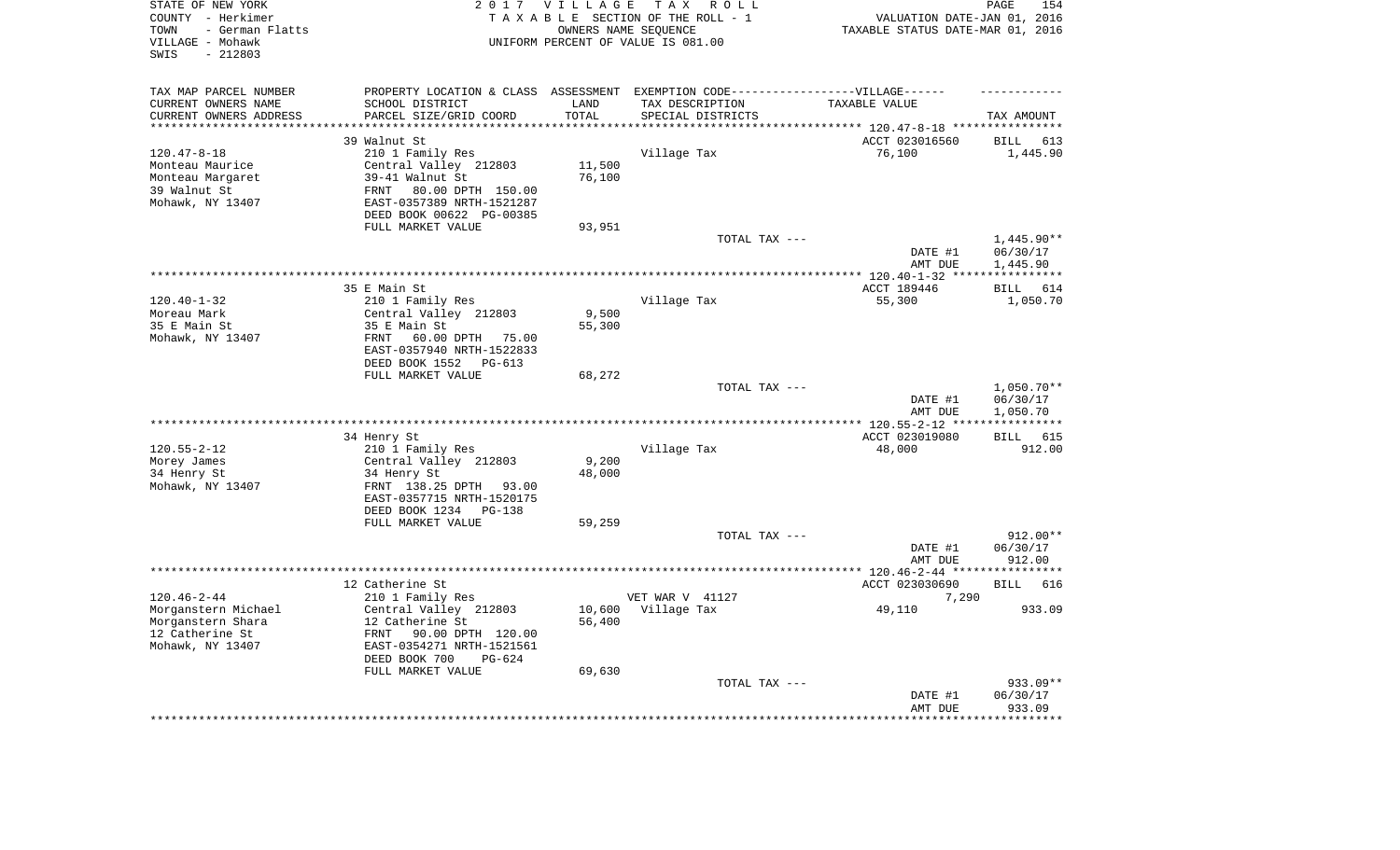| STATE OF NEW YORK<br>COUNTY - Herkimer<br>- German Flatts<br>TOWN<br>VILLAGE - Mohawk<br>$-212803$<br>SWIS |                                                  | 2017 VILLAGE       | T A X<br>R O L L<br>TAXABLE SECTION OF THE ROLL - 1<br>OWNERS NAME SEQUENCE<br>UNIFORM PERCENT OF VALUE IS 081.00 | VALUATION DATE-JAN 01, 2016<br>TAXABLE STATUS DATE-MAR 01, 2016 | PAGE<br>154                       |
|------------------------------------------------------------------------------------------------------------|--------------------------------------------------|--------------------|-------------------------------------------------------------------------------------------------------------------|-----------------------------------------------------------------|-----------------------------------|
| TAX MAP PARCEL NUMBER                                                                                      |                                                  |                    | PROPERTY LOCATION & CLASS ASSESSMENT EXEMPTION CODE-----------------VILLAGE------                                 |                                                                 |                                   |
| CURRENT OWNERS NAME                                                                                        | SCHOOL DISTRICT                                  | LAND               | TAX DESCRIPTION                                                                                                   | TAXABLE VALUE                                                   |                                   |
| CURRENT OWNERS ADDRESS<br>********************                                                             | PARCEL SIZE/GRID COORD<br>********************** | TOTAL<br>********* | SPECIAL DISTRICTS                                                                                                 |                                                                 | TAX AMOUNT                        |
|                                                                                                            |                                                  |                    |                                                                                                                   | **************************** 120.47-8-18 ****************       |                                   |
|                                                                                                            | 39 Walnut St                                     |                    |                                                                                                                   | ACCT 023016560                                                  | <b>BILL</b><br>613                |
| $120.47 - 8 - 18$<br>Monteau Maurice                                                                       | 210 1 Family Res<br>Central Valley 212803        | 11,500             | Village Tax                                                                                                       | 76,100                                                          | 1,445.90                          |
| Monteau Margaret                                                                                           | 39-41 Walnut St                                  | 76,100             |                                                                                                                   |                                                                 |                                   |
| 39 Walnut St                                                                                               | 80.00 DPTH 150.00<br>FRNT                        |                    |                                                                                                                   |                                                                 |                                   |
| Mohawk, NY 13407                                                                                           | EAST-0357389 NRTH-1521287                        |                    |                                                                                                                   |                                                                 |                                   |
|                                                                                                            | DEED BOOK 00622 PG-00385                         |                    |                                                                                                                   |                                                                 |                                   |
|                                                                                                            | FULL MARKET VALUE                                | 93,951             |                                                                                                                   |                                                                 |                                   |
|                                                                                                            |                                                  |                    | TOTAL TAX ---                                                                                                     |                                                                 | $1,445.90**$                      |
|                                                                                                            |                                                  |                    |                                                                                                                   | DATE #1                                                         | 06/30/17                          |
|                                                                                                            |                                                  |                    |                                                                                                                   | AMT DUE                                                         | 1,445.90                          |
|                                                                                                            |                                                  |                    |                                                                                                                   | $**********120.40-1-32***$                                      | * * * * * * * * * * *             |
|                                                                                                            | 35 E Main St                                     |                    |                                                                                                                   | ACCT 189446                                                     | 614<br><b>BILL</b>                |
| $120.40 - 1 - 32$<br>Moreau Mark                                                                           | 210 1 Family Res<br>Central Valley 212803        | 9,500              | Village Tax                                                                                                       | 55,300                                                          | 1,050.70                          |
| 35 E Main St                                                                                               | 35 E Main St                                     | 55,300             |                                                                                                                   |                                                                 |                                   |
| Mohawk, NY 13407                                                                                           | FRNT<br>60.00 DPTH 75.00                         |                    |                                                                                                                   |                                                                 |                                   |
|                                                                                                            | EAST-0357940 NRTH-1522833                        |                    |                                                                                                                   |                                                                 |                                   |
|                                                                                                            | DEED BOOK 1552<br>PG-613                         |                    |                                                                                                                   |                                                                 |                                   |
|                                                                                                            | FULL MARKET VALUE                                | 68,272             |                                                                                                                   |                                                                 |                                   |
|                                                                                                            |                                                  |                    | TOTAL TAX ---                                                                                                     |                                                                 | $1,050.70**$                      |
|                                                                                                            |                                                  |                    |                                                                                                                   | DATE #1                                                         | 06/30/17                          |
|                                                                                                            |                                                  |                    |                                                                                                                   | AMT DUE                                                         | 1,050.70<br>* * * * * * * * * * * |
|                                                                                                            | 34 Henry St                                      |                    |                                                                                                                   | ACCT 023019080                                                  | 615<br>BILL                       |
| $120.55 - 2 - 12$                                                                                          | 210 1 Family Res                                 |                    | Village Tax                                                                                                       | 48,000                                                          | 912.00                            |
| Morey James                                                                                                | Central Valley 212803                            | 9,200              |                                                                                                                   |                                                                 |                                   |
| 34 Henry St                                                                                                | 34 Henry St                                      | 48,000             |                                                                                                                   |                                                                 |                                   |
| Mohawk, NY 13407                                                                                           | FRNT 138.25 DPTH<br>93.00                        |                    |                                                                                                                   |                                                                 |                                   |
|                                                                                                            | EAST-0357715 NRTH-1520175                        |                    |                                                                                                                   |                                                                 |                                   |
|                                                                                                            | DEED BOOK 1234<br>PG-138                         |                    |                                                                                                                   |                                                                 |                                   |
|                                                                                                            | FULL MARKET VALUE                                | 59,259             |                                                                                                                   |                                                                 |                                   |
|                                                                                                            |                                                  |                    | TOTAL TAX ---                                                                                                     |                                                                 | 912.00**                          |
|                                                                                                            |                                                  |                    |                                                                                                                   | DATE #1                                                         | 06/30/17                          |
|                                                                                                            |                                                  |                    |                                                                                                                   | AMT DUE                                                         | 912.00<br>************            |
|                                                                                                            | 12 Catherine St                                  |                    |                                                                                                                   | ************** 120.46-2-44 ****<br>ACCT 023030690               | <b>BILL</b><br>616                |
| $120.46 - 2 - 44$                                                                                          | 210 1 Family Res                                 |                    | VET WAR V 41127                                                                                                   | 7,290                                                           |                                   |
| Morganstern Michael                                                                                        | Central Valley 212803                            | 10,600             | Village Tax                                                                                                       | 49,110                                                          | 933.09                            |
| Morganstern Shara                                                                                          | 12 Catherine St                                  | 56,400             |                                                                                                                   |                                                                 |                                   |
| 12 Catherine St                                                                                            | 90.00 DPTH 120.00<br><b>FRNT</b>                 |                    |                                                                                                                   |                                                                 |                                   |
| Mohawk, NY 13407                                                                                           | EAST-0354271 NRTH-1521561                        |                    |                                                                                                                   |                                                                 |                                   |
|                                                                                                            | DEED BOOK 700<br>$PG-624$                        |                    |                                                                                                                   |                                                                 |                                   |
|                                                                                                            | FULL MARKET VALUE                                | 69,630             |                                                                                                                   |                                                                 |                                   |
|                                                                                                            |                                                  |                    | TOTAL TAX ---                                                                                                     |                                                                 | 933.09**                          |
|                                                                                                            |                                                  |                    |                                                                                                                   | DATE #1                                                         | 06/30/17                          |
|                                                                                                            |                                                  |                    |                                                                                                                   | AMT DUE                                                         | 933.09<br>********                |
|                                                                                                            |                                                  |                    |                                                                                                                   |                                                                 |                                   |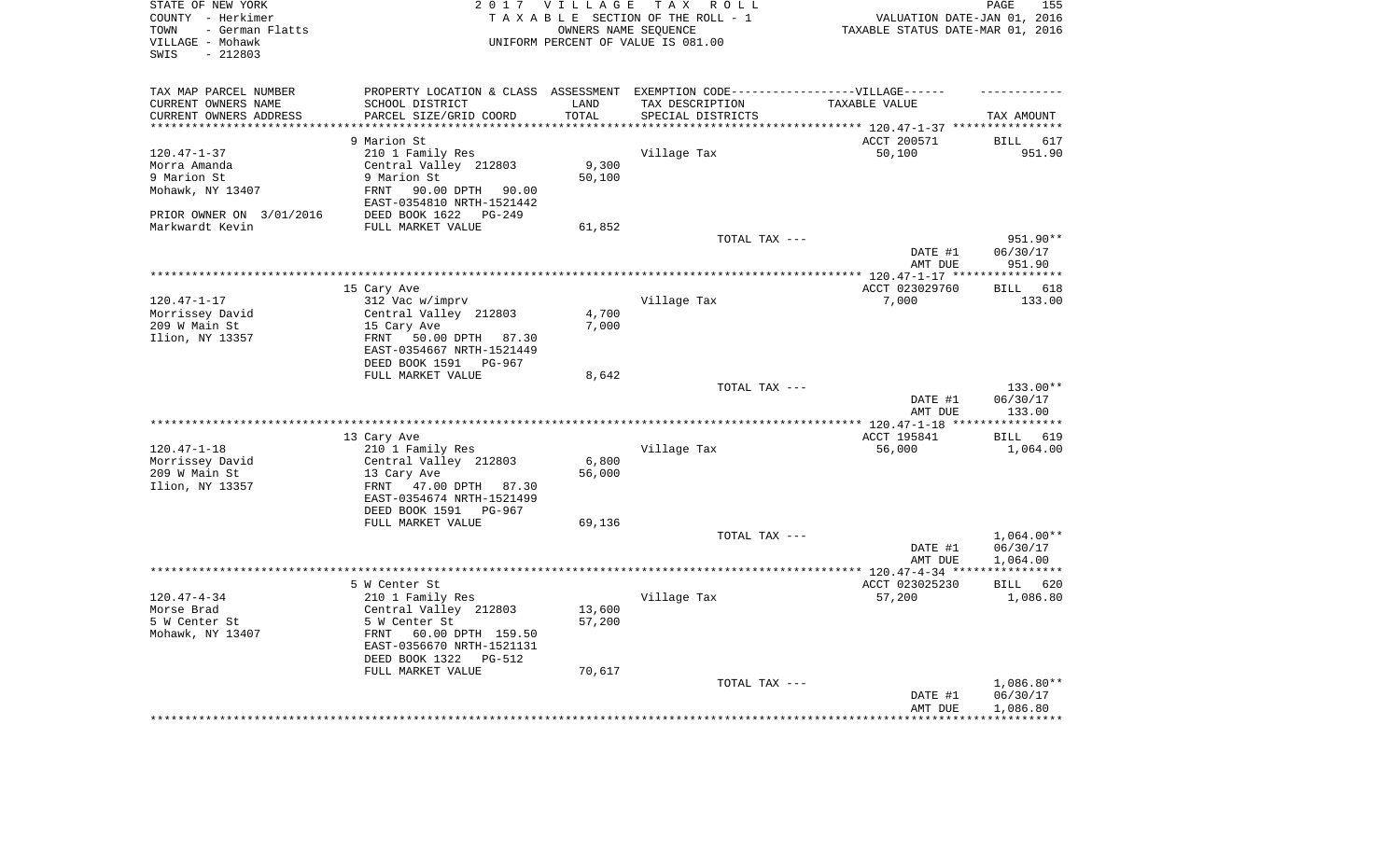| STATE OF NEW YORK<br>COUNTY - Herkimer<br>- German Flatts<br>TOWN<br>VILLAGE - Mohawk<br>SWIS<br>$-212803$ |                                                                                   | 2017 VILLAGE<br>OWNERS NAME SEQUENCE | TAX ROLL<br>TAXABLE SECTION OF THE ROLL - 1<br>UNIFORM PERCENT OF VALUE IS 081.00 | VALUATION DATE-JAN 01, 2016<br>TAXABLE STATUS DATE-MAR 01, 2016 | 155<br>PAGE            |
|------------------------------------------------------------------------------------------------------------|-----------------------------------------------------------------------------------|--------------------------------------|-----------------------------------------------------------------------------------|-----------------------------------------------------------------|------------------------|
| TAX MAP PARCEL NUMBER                                                                                      | PROPERTY LOCATION & CLASS ASSESSMENT EXEMPTION CODE-----------------VILLAGE------ |                                      |                                                                                   |                                                                 |                        |
| CURRENT OWNERS NAME                                                                                        | SCHOOL DISTRICT                                                                   | LAND                                 | TAX DESCRIPTION                                                                   | TAXABLE VALUE                                                   |                        |
| CURRENT OWNERS ADDRESS<br>*********************                                                            | PARCEL SIZE/GRID COORD<br>************************                                | TOTAL<br>***********                 | SPECIAL DISTRICTS                                                                 |                                                                 | TAX AMOUNT             |
|                                                                                                            | 9 Marion St                                                                       |                                      |                                                                                   | ACCT 200571                                                     | BILL<br>617            |
| $120.47 - 1 - 37$                                                                                          | 210 1 Family Res                                                                  |                                      | Village Tax                                                                       | 50,100                                                          | 951.90                 |
| Morra Amanda                                                                                               | Central Valley 212803                                                             | 9,300                                |                                                                                   |                                                                 |                        |
| 9 Marion St                                                                                                | 9 Marion St                                                                       | 50,100                               |                                                                                   |                                                                 |                        |
| Mohawk, NY 13407                                                                                           | 90.00 DPTH<br>FRNT<br>90.00<br>EAST-0354810 NRTH-1521442                          |                                      |                                                                                   |                                                                 |                        |
| PRIOR OWNER ON 3/01/2016                                                                                   | DEED BOOK 1622 PG-249                                                             |                                      |                                                                                   |                                                                 |                        |
| Markwardt Kevin                                                                                            | FULL MARKET VALUE                                                                 | 61,852                               |                                                                                   |                                                                 |                        |
|                                                                                                            |                                                                                   |                                      | TOTAL TAX ---                                                                     | DATE #1                                                         | 951.90**<br>06/30/17   |
|                                                                                                            |                                                                                   |                                      |                                                                                   | AMT DUE                                                         | 951.90<br>************ |
|                                                                                                            | 15 Cary Ave                                                                       |                                      |                                                                                   | *** 120.47-1-17 ****<br>ACCT 023029760                          | 618<br><b>BILL</b>     |
| $120.47 - 1 - 17$                                                                                          | 312 Vac w/imprv                                                                   |                                      | Village Tax                                                                       | 7,000                                                           | 133.00                 |
| Morrissey David                                                                                            | Central Valley 212803                                                             | 4,700                                |                                                                                   |                                                                 |                        |
| 209 W Main St                                                                                              | 15 Cary Ave                                                                       | 7,000                                |                                                                                   |                                                                 |                        |
| Ilion, NY 13357                                                                                            | FRNT<br>50.00 DPTH 87.30                                                          |                                      |                                                                                   |                                                                 |                        |
|                                                                                                            | EAST-0354667 NRTH-1521449<br>DEED BOOK 1591 PG-967                                |                                      |                                                                                   |                                                                 |                        |
|                                                                                                            | FULL MARKET VALUE                                                                 | 8,642                                |                                                                                   |                                                                 |                        |
|                                                                                                            |                                                                                   |                                      | TOTAL TAX ---                                                                     | DATE #1                                                         | 133.00**<br>06/30/17   |
|                                                                                                            |                                                                                   |                                      |                                                                                   | AMT DUE                                                         | 133.00<br>**********   |
|                                                                                                            |                                                                                   |                                      |                                                                                   | **** 120.47-1-18 ***<br>ACCT 195841                             | 619<br><b>BILL</b>     |
| $120.47 - 1 - 18$                                                                                          | 13 Cary Ave<br>210 1 Family Res                                                   |                                      | Village Tax                                                                       | 56,000                                                          | 1,064.00               |
| Morrissey David                                                                                            | Central Valley 212803                                                             | 6,800                                |                                                                                   |                                                                 |                        |
| 209 W Main St                                                                                              | 13 Cary Ave                                                                       | 56,000                               |                                                                                   |                                                                 |                        |
| Ilion, NY 13357                                                                                            | FRNT<br>47.00 DPTH<br>87.30<br>EAST-0354674 NRTH-1521499                          |                                      |                                                                                   |                                                                 |                        |
|                                                                                                            | DEED BOOK 1591 PG-967                                                             |                                      |                                                                                   |                                                                 |                        |
|                                                                                                            | FULL MARKET VALUE                                                                 | 69,136                               |                                                                                   |                                                                 |                        |
|                                                                                                            |                                                                                   |                                      | TOTAL TAX ---                                                                     |                                                                 | $1,064.00**$           |
|                                                                                                            |                                                                                   |                                      |                                                                                   | DATE #1                                                         | 06/30/17               |
| ********************                                                                                       |                                                                                   |                                      |                                                                                   | AMT DUE                                                         | 1,064.00               |
|                                                                                                            | 5 W Center St                                                                     |                                      |                                                                                   | ACCT 023025230                                                  | BILL 620               |
| $120.47 - 4 - 34$                                                                                          | 210 1 Family Res                                                                  |                                      | Village Tax                                                                       | 57,200                                                          | 1,086.80               |
| Morse Brad                                                                                                 | Central Valley 212803                                                             | 13,600                               |                                                                                   |                                                                 |                        |
| 5 W Center St                                                                                              | 5 W Center St                                                                     | 57,200                               |                                                                                   |                                                                 |                        |
| Mohawk, NY 13407                                                                                           | FRNT<br>60.00 DPTH 159.50                                                         |                                      |                                                                                   |                                                                 |                        |
|                                                                                                            | EAST-0356670 NRTH-1521131                                                         |                                      |                                                                                   |                                                                 |                        |
|                                                                                                            | DEED BOOK 1322<br>$PG-512$                                                        |                                      |                                                                                   |                                                                 |                        |
|                                                                                                            | FULL MARKET VALUE                                                                 | 70,617                               |                                                                                   |                                                                 |                        |
|                                                                                                            |                                                                                   |                                      | TOTAL TAX ---                                                                     |                                                                 | $1,086.80**$           |
|                                                                                                            |                                                                                   |                                      |                                                                                   | DATE #1<br>AMT DUE                                              | 06/30/17<br>1,086.80   |
|                                                                                                            |                                                                                   |                                      |                                                                                   |                                                                 | ********               |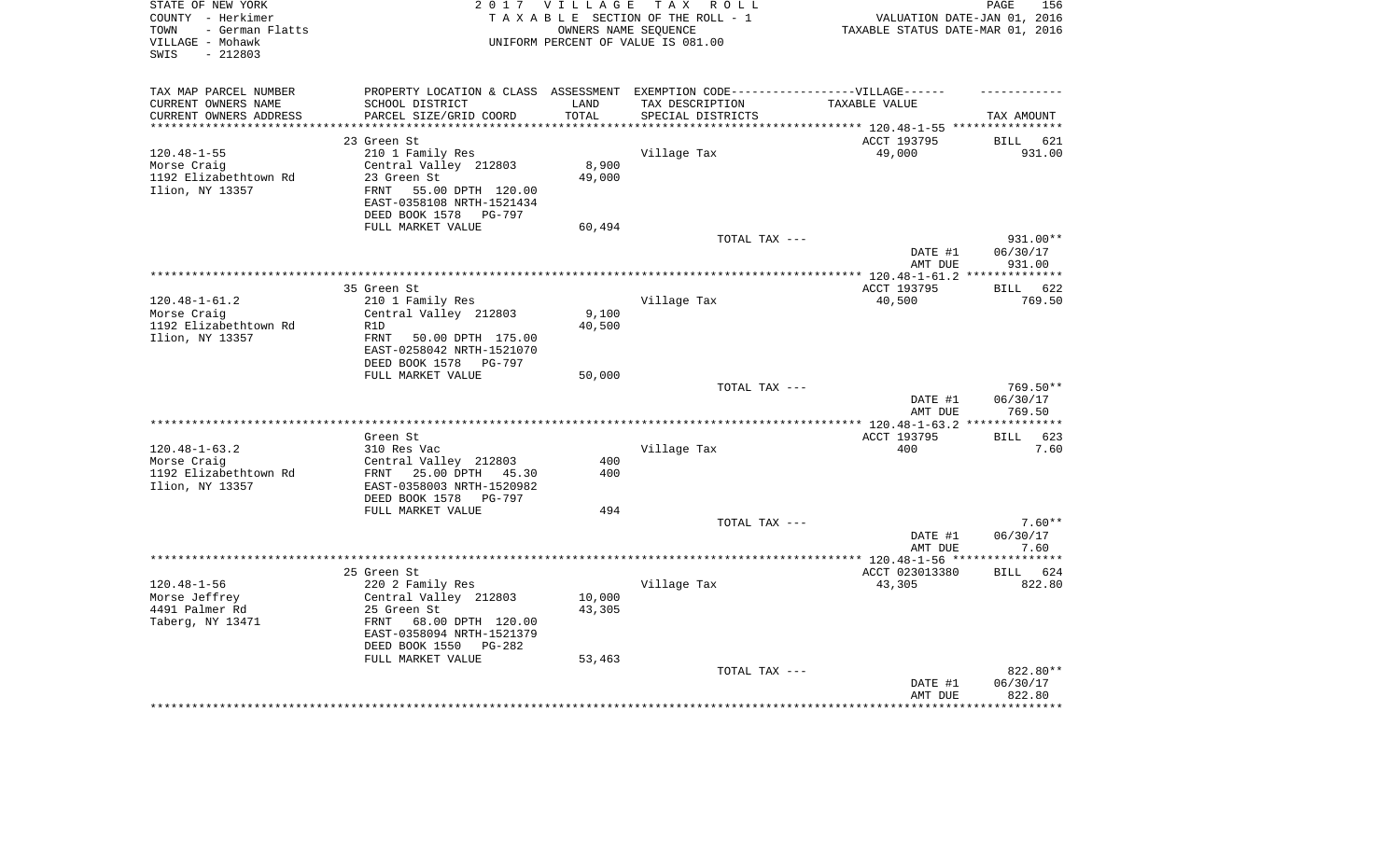| STATE OF NEW YORK<br>COUNTY - Herkimer<br>- German Flatts<br>TOWN |                                                                                  | 2017 VILLAGE       | TAX ROLL<br>TAXABLE SECTION OF THE ROLL - 1<br>OWNERS NAME SEOUENCE | VALUATION DATE-JAN 01, 2016<br>TAXABLE STATUS DATE-MAR 01, 2016         | PAGE<br>156                  |
|-------------------------------------------------------------------|----------------------------------------------------------------------------------|--------------------|---------------------------------------------------------------------|-------------------------------------------------------------------------|------------------------------|
| VILLAGE - Mohawk<br>$-212803$<br>SWIS                             |                                                                                  |                    | UNIFORM PERCENT OF VALUE IS 081.00                                  |                                                                         |                              |
| TAX MAP PARCEL NUMBER                                             | PROPERTY LOCATION & CLASS ASSESSMENT EXEMPTION CODE----------------VILLAGE------ |                    |                                                                     |                                                                         |                              |
| CURRENT OWNERS NAME                                               | SCHOOL DISTRICT                                                                  | LAND               | TAX DESCRIPTION                                                     | TAXABLE VALUE                                                           |                              |
| CURRENT OWNERS ADDRESS                                            | PARCEL SIZE/GRID COORD                                                           | TOTAL<br>********* | SPECIAL DISTRICTS                                                   |                                                                         | TAX AMOUNT                   |
|                                                                   | 23 Green St                                                                      |                    |                                                                     | *************************** 120.48-1-55 ****************<br>ACCT 193795 |                              |
| $120.48 - 1 - 55$                                                 | 210 1 Family Res                                                                 |                    | Village Tax                                                         | 49,000                                                                  | <b>BILL</b><br>621<br>931.00 |
| Morse Craig                                                       | Central Valley 212803                                                            | 8,900              |                                                                     |                                                                         |                              |
| 1192 Elizabethtown Rd                                             | 23 Green St                                                                      | 49,000             |                                                                     |                                                                         |                              |
| Ilion, NY 13357                                                   | FRNT 55.00 DPTH 120.00                                                           |                    |                                                                     |                                                                         |                              |
|                                                                   | EAST-0358108 NRTH-1521434                                                        |                    |                                                                     |                                                                         |                              |
|                                                                   | DEED BOOK 1578 PG-797                                                            |                    |                                                                     |                                                                         |                              |
|                                                                   | FULL MARKET VALUE                                                                | 60,494             |                                                                     |                                                                         |                              |
|                                                                   |                                                                                  |                    | TOTAL TAX ---                                                       | DATE #1                                                                 | 931.00**<br>06/30/17         |
|                                                                   |                                                                                  |                    |                                                                     | AMT DUE                                                                 | 931.00                       |
|                                                                   | ************                                                                     |                    |                                                                     | ***************** 120.48-1-61.2 **                                      | ************                 |
|                                                                   | 35 Green St                                                                      |                    |                                                                     | ACCT 193795                                                             | BILL 622                     |
| $120.48 - 1 - 61.2$                                               | 210 1 Family Res                                                                 |                    | Village Tax                                                         | 40,500                                                                  | 769.50                       |
| Morse Craig                                                       | Central Valley 212803                                                            | 9,100              |                                                                     |                                                                         |                              |
| 1192 Elizabethtown Rd<br>Ilion, NY 13357                          | R1D<br><b>FRNT</b><br>50.00 DPTH 175.00                                          | 40,500             |                                                                     |                                                                         |                              |
|                                                                   | EAST-0258042 NRTH-1521070<br>DEED BOOK 1578 PG-797                               |                    |                                                                     |                                                                         |                              |
|                                                                   | FULL MARKET VALUE                                                                | 50,000             |                                                                     |                                                                         |                              |
|                                                                   |                                                                                  |                    | TOTAL TAX ---                                                       |                                                                         | $769.50**$                   |
|                                                                   |                                                                                  |                    |                                                                     | DATE #1                                                                 | 06/30/17                     |
|                                                                   |                                                                                  |                    |                                                                     | AMT DUE                                                                 | 769.50                       |
|                                                                   |                                                                                  |                    | *****************************                                       | $48 - 1 - 63.2$                                                         | **********                   |
| $120.48 - 1 - 63.2$                                               | Green St<br>310 Res Vac                                                          |                    | Village Tax                                                         | ACCT 193795<br>400                                                      | <b>BILL</b><br>623<br>7.60   |
| Morse Craig                                                       | Central Valley 212803                                                            | 400                |                                                                     |                                                                         |                              |
| 1192 Elizabethtown Rd                                             | FRNT 25.00 DPTH 45.30                                                            | 400                |                                                                     |                                                                         |                              |
| Ilion, NY 13357                                                   | EAST-0358003 NRTH-1520982                                                        |                    |                                                                     |                                                                         |                              |
|                                                                   | DEED BOOK 1578 PG-797                                                            |                    |                                                                     |                                                                         |                              |
|                                                                   | FULL MARKET VALUE                                                                | 494                |                                                                     |                                                                         |                              |
|                                                                   |                                                                                  |                    | TOTAL TAX ---                                                       |                                                                         | $7.60**$                     |
|                                                                   |                                                                                  |                    |                                                                     | DATE #1<br>AMT DUE                                                      | 06/30/17<br>7.60             |
|                                                                   |                                                                                  |                    |                                                                     |                                                                         |                              |
|                                                                   | 25 Green St                                                                      |                    |                                                                     | ACCT 023013380                                                          | BILL 624                     |
| $120.48 - 1 - 56$                                                 | 220 2 Family Res                                                                 |                    | Village Tax                                                         | 43,305                                                                  | 822.80                       |
| Morse Jeffrey                                                     | Central Valley 212803                                                            | 10,000             |                                                                     |                                                                         |                              |
| 4491 Palmer Rd                                                    | 25 Green St                                                                      | 43,305             |                                                                     |                                                                         |                              |
| Taberg, NY 13471                                                  | FRNT<br>68.00 DPTH 120.00<br>EAST-0358094 NRTH-1521379                           |                    |                                                                     |                                                                         |                              |
|                                                                   | DEED BOOK 1550 PG-282                                                            |                    |                                                                     |                                                                         |                              |
|                                                                   | FULL MARKET VALUE                                                                | 53,463             | TOTAL TAX ---                                                       |                                                                         | 822.80**                     |
|                                                                   |                                                                                  |                    |                                                                     | DATE #1                                                                 | 06/30/17                     |
|                                                                   |                                                                                  |                    |                                                                     | AMT DUE                                                                 | 822.80                       |
|                                                                   |                                                                                  |                    |                                                                     |                                                                         |                              |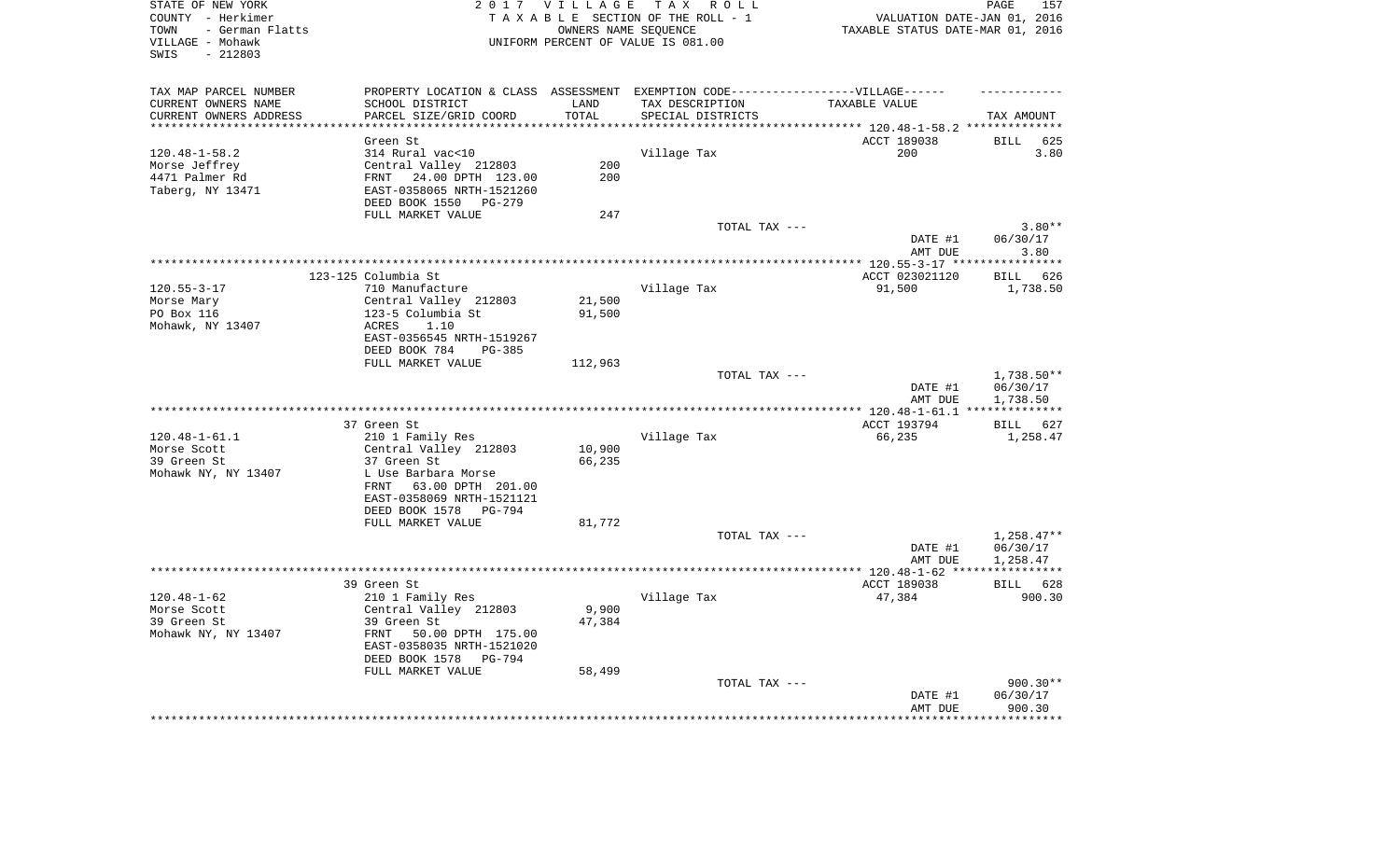| STATE OF NEW YORK       |                                                                                  |         | 2017 VILLAGE TAX ROLL              |                                  | PAGE<br>157       |
|-------------------------|----------------------------------------------------------------------------------|---------|------------------------------------|----------------------------------|-------------------|
| COUNTY - Herkimer       |                                                                                  |         | TAXABLE SECTION OF THE ROLL - 1    | VALUATION DATE-JAN 01, 2016      |                   |
| TOWN<br>- German Flatts |                                                                                  |         | OWNERS NAME SEQUENCE               | TAXABLE STATUS DATE-MAR 01, 2016 |                   |
| VILLAGE - Mohawk        |                                                                                  |         | UNIFORM PERCENT OF VALUE IS 081.00 |                                  |                   |
| SWIS<br>$-212803$       |                                                                                  |         |                                    |                                  |                   |
|                         |                                                                                  |         |                                    |                                  |                   |
| TAX MAP PARCEL NUMBER   | PROPERTY LOCATION & CLASS ASSESSMENT EXEMPTION CODE----------------VILLAGE------ |         |                                    |                                  |                   |
| CURRENT OWNERS NAME     | SCHOOL DISTRICT                                                                  | LAND    | TAX DESCRIPTION                    | TAXABLE VALUE                    |                   |
| CURRENT OWNERS ADDRESS  | PARCEL SIZE/GRID COORD                                                           | TOTAL   | SPECIAL DISTRICTS                  |                                  | TAX AMOUNT        |
| **********************  |                                                                                  |         |                                    |                                  |                   |
|                         | Green St                                                                         |         |                                    | ACCT 189038                      | BILL<br>625       |
| $120.48 - 1 - 58.2$     | 314 Rural vac<10                                                                 |         | Village Tax                        | 200                              | 3.80              |
| Morse Jeffrey           | Central Valley 212803                                                            | 200     |                                    |                                  |                   |
| 4471 Palmer Rd          | FRNT 24.00 DPTH 123.00                                                           | 200     |                                    |                                  |                   |
| Taberg, NY 13471        | EAST-0358065 NRTH-1521260                                                        |         |                                    |                                  |                   |
|                         | DEED BOOK 1550<br>PG-279                                                         |         |                                    |                                  |                   |
|                         | FULL MARKET VALUE                                                                | 247     |                                    |                                  |                   |
|                         |                                                                                  |         | TOTAL TAX ---                      |                                  | $3.80**$          |
|                         |                                                                                  |         |                                    | DATE #1                          | 06/30/17          |
|                         |                                                                                  |         |                                    | AMT DUE                          | 3.80              |
|                         |                                                                                  |         |                                    |                                  |                   |
|                         | 123-125 Columbia St                                                              |         |                                    | ACCT 023021120                   | BILL 626          |
| $120.55 - 3 - 17$       | 710 Manufacture                                                                  |         | Village Tax                        | 91,500                           | 1,738.50          |
| Morse Mary              | Central Valley 212803                                                            | 21,500  |                                    |                                  |                   |
| PO Box 116              | 123-5 Columbia St                                                                | 91,500  |                                    |                                  |                   |
|                         | 1.10                                                                             |         |                                    |                                  |                   |
| Mohawk, NY 13407        | ACRES                                                                            |         |                                    |                                  |                   |
|                         | EAST-0356545 NRTH-1519267                                                        |         |                                    |                                  |                   |
|                         | DEED BOOK 784<br>PG-385<br>FULL MARKET VALUE                                     |         |                                    |                                  |                   |
|                         |                                                                                  | 112,963 |                                    |                                  |                   |
|                         |                                                                                  |         | TOTAL TAX ---                      |                                  | $1,738.50**$      |
|                         |                                                                                  |         |                                    | DATE #1                          | 06/30/17          |
|                         |                                                                                  |         |                                    | AMT DUE                          | 1,738.50          |
|                         |                                                                                  |         |                                    |                                  |                   |
|                         | 37 Green St                                                                      |         |                                    | ACCT 193794                      | BILL 627          |
| $120.48 - 1 - 61.1$     | 210 1 Family Res                                                                 |         | Village Tax                        | 66,235                           | 1,258.47          |
| Morse Scott             | Central Valley 212803                                                            | 10,900  |                                    |                                  |                   |
| 39 Green St             | 37 Green St                                                                      | 66,235  |                                    |                                  |                   |
| Mohawk NY, NY 13407     | L Use Barbara Morse                                                              |         |                                    |                                  |                   |
|                         | FRNT 63.00 DPTH 201.00                                                           |         |                                    |                                  |                   |
|                         | EAST-0358069 NRTH-1521121                                                        |         |                                    |                                  |                   |
|                         | DEED BOOK 1578<br>PG-794                                                         |         |                                    |                                  |                   |
|                         | FULL MARKET VALUE                                                                | 81,772  |                                    |                                  |                   |
|                         |                                                                                  |         | TOTAL TAX ---                      |                                  | $1,258.47**$      |
|                         |                                                                                  |         |                                    | DATE #1                          | 06/30/17          |
|                         |                                                                                  |         |                                    | AMT DUE                          | 1,258.47          |
|                         |                                                                                  |         |                                    |                                  | ***********       |
|                         | 39 Green St                                                                      |         |                                    | ACCT 189038                      | BILL 628          |
| $120.48 - 1 - 62$       | 210 1 Family Res                                                                 |         | Village Tax                        | 47,384                           | 900.30            |
| Morse Scott             | Central Valley 212803                                                            | 9,900   |                                    |                                  |                   |
| 39 Green St             | 39 Green St                                                                      | 47,384  |                                    |                                  |                   |
| Mohawk NY, NY 13407     | FRNT 50.00 DPTH 175.00                                                           |         |                                    |                                  |                   |
|                         | EAST-0358035 NRTH-1521020                                                        |         |                                    |                                  |                   |
|                         | DEED BOOK 1578<br>PG-794                                                         |         |                                    |                                  |                   |
|                         | FULL MARKET VALUE                                                                | 58,499  |                                    |                                  |                   |
|                         |                                                                                  |         | TOTAL TAX ---                      |                                  | $900.30**$        |
|                         |                                                                                  |         |                                    | DATE #1                          | 06/30/17          |
|                         |                                                                                  |         |                                    | AMT DUE                          | 900.30            |
|                         |                                                                                  |         |                                    |                                  | * * * * * * * * * |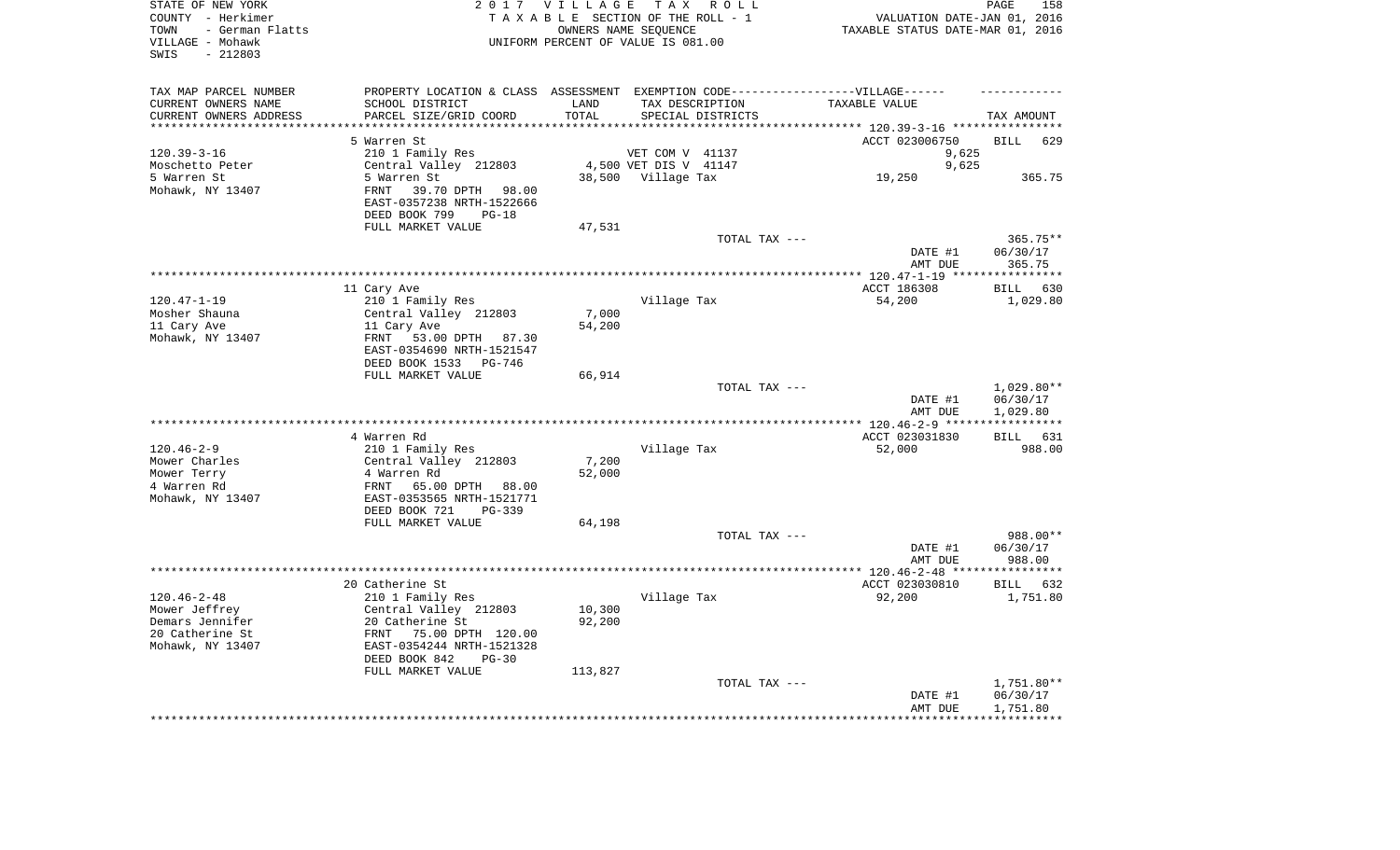| TAX MAP PARCEL NUMBER<br>PROPERTY LOCATION & CLASS ASSESSMENT EXEMPTION CODE----------------VILLAGE------<br>CURRENT OWNERS NAME<br>SCHOOL DISTRICT<br>LAND<br>TAX DESCRIPTION<br>TAXABLE VALUE<br>CURRENT OWNERS ADDRESS<br>PARCEL SIZE/GRID COORD<br>TOTAL<br>SPECIAL DISTRICTS<br>TAX AMOUNT<br>*************************<br>*********************<br>**********<br>************************************** 120.39-3-16 *****************<br>5 Warren St<br>ACCT 023006750<br><b>BILL</b><br>629<br>$120.39 - 3 - 16$<br>210 1 Family Res<br>VET COM V 41137<br>9,625<br>4,500 VET DIS V 41147<br>Moschetto Peter<br>Central Valley 212803<br>9,625<br>5 Warren St<br>38,500 Village Tax<br>5 Warren St<br>19,250<br>365.75<br>Mohawk, NY 13407<br>39.70 DPTH<br>FRNT<br>98.00<br>EAST-0357238 NRTH-1522666<br>DEED BOOK 799<br>$PG-18$<br>FULL MARKET VALUE<br>47,531<br>TOTAL TAX ---<br>365.75**<br>DATE #1<br>06/30/17<br>AMT DUE<br>365.75<br>************ 120.47-1-19 *****************<br>ACCT 186308<br>11 Cary Ave<br>BILL 630<br>$120.47 - 1 - 19$<br>210 1 Family Res<br>Village Tax<br>54,200<br>1,029.80<br>Mosher Shauna<br>Central Valley 212803<br>7,000<br>11 Cary Ave<br>11 Cary Ave<br>54,200<br>Mohawk, NY 13407<br>FRNT 53.00 DPTH 87.30<br>EAST-0354690 NRTH-1521547<br>DEED BOOK 1533 PG-746<br>FULL MARKET VALUE<br>66,914<br>$1,029.80**$<br>TOTAL TAX ---<br>06/30/17<br>DATE #1<br>AMT DUE<br>1,029.80<br>**************** 120.46-2-9 ***<br>***********<br>4 Warren Rd<br>ACCT 023031830<br>BILL 631<br>$120.46 - 2 - 9$<br>210 1 Family Res<br>52,000<br>988.00<br>Village Tax<br>Mower Charles<br>Central Valley 212803<br>7,200<br>Mower Terry<br>4 Warren Rd<br>52,000<br>4 Warren Rd<br>FRNT<br>65.00 DPTH<br>88.00<br>Mohawk, NY 13407<br>EAST-0353565 NRTH-1521771<br>DEED BOOK 721<br>PG-339<br>FULL MARKET VALUE<br>64,198<br>988.00**<br>TOTAL TAX ---<br>DATE #1<br>06/30/17<br>AMT DUE<br>988.00<br>20 Catherine St<br>ACCT 023030810<br>BILL 632<br>$120.46 - 2 - 48$<br>210 1 Family Res<br>Village Tax<br>92,200<br>1,751.80<br>10,300<br>Mower Jeffrey<br>Central Valley 212803<br>Demars Jennifer<br>20 Catherine St<br>92,200<br>20 Catherine St<br>75.00 DPTH 120.00<br>FRNT<br>Mohawk, NY 13407<br>EAST-0354244 NRTH-1521328<br>DEED BOOK 842<br>$PG-30$<br>FULL MARKET VALUE<br>113,827<br>TOTAL TAX ---<br>1,751.80**<br>06/30/17<br>DATE #1<br>AMT DUE<br>1,751.80 | STATE OF NEW YORK<br>COUNTY - Herkimer<br>- German Flatts<br>TOWN<br>VILLAGE - Mohawk<br>$-212803$<br>SWIS | 2017 VILLAGE | TAX ROLL<br>TAXABLE SECTION OF THE ROLL - 1<br>OWNERS NAME SEQUENCE<br>UNIFORM PERCENT OF VALUE IS 081.00 | VALUATION DATE-JAN 01, 2016<br>TAXABLE STATUS DATE-MAR 01, 2016 | PAGE | 158 |
|-------------------------------------------------------------------------------------------------------------------------------------------------------------------------------------------------------------------------------------------------------------------------------------------------------------------------------------------------------------------------------------------------------------------------------------------------------------------------------------------------------------------------------------------------------------------------------------------------------------------------------------------------------------------------------------------------------------------------------------------------------------------------------------------------------------------------------------------------------------------------------------------------------------------------------------------------------------------------------------------------------------------------------------------------------------------------------------------------------------------------------------------------------------------------------------------------------------------------------------------------------------------------------------------------------------------------------------------------------------------------------------------------------------------------------------------------------------------------------------------------------------------------------------------------------------------------------------------------------------------------------------------------------------------------------------------------------------------------------------------------------------------------------------------------------------------------------------------------------------------------------------------------------------------------------------------------------------------------------------------------------------------------------------------------------------------------------------------------------------------------------------------------------------------------------------------------------------------------------------------------------------------------------------------------------------------------------------------------------------------------------------------------------------------------|------------------------------------------------------------------------------------------------------------|--------------|-----------------------------------------------------------------------------------------------------------|-----------------------------------------------------------------|------|-----|
|                                                                                                                                                                                                                                                                                                                                                                                                                                                                                                                                                                                                                                                                                                                                                                                                                                                                                                                                                                                                                                                                                                                                                                                                                                                                                                                                                                                                                                                                                                                                                                                                                                                                                                                                                                                                                                                                                                                                                                                                                                                                                                                                                                                                                                                                                                                                                                                                                         |                                                                                                            |              |                                                                                                           |                                                                 |      |     |
|                                                                                                                                                                                                                                                                                                                                                                                                                                                                                                                                                                                                                                                                                                                                                                                                                                                                                                                                                                                                                                                                                                                                                                                                                                                                                                                                                                                                                                                                                                                                                                                                                                                                                                                                                                                                                                                                                                                                                                                                                                                                                                                                                                                                                                                                                                                                                                                                                         |                                                                                                            |              |                                                                                                           |                                                                 |      |     |
|                                                                                                                                                                                                                                                                                                                                                                                                                                                                                                                                                                                                                                                                                                                                                                                                                                                                                                                                                                                                                                                                                                                                                                                                                                                                                                                                                                                                                                                                                                                                                                                                                                                                                                                                                                                                                                                                                                                                                                                                                                                                                                                                                                                                                                                                                                                                                                                                                         |                                                                                                            |              |                                                                                                           |                                                                 |      |     |
|                                                                                                                                                                                                                                                                                                                                                                                                                                                                                                                                                                                                                                                                                                                                                                                                                                                                                                                                                                                                                                                                                                                                                                                                                                                                                                                                                                                                                                                                                                                                                                                                                                                                                                                                                                                                                                                                                                                                                                                                                                                                                                                                                                                                                                                                                                                                                                                                                         |                                                                                                            |              |                                                                                                           |                                                                 |      |     |
|                                                                                                                                                                                                                                                                                                                                                                                                                                                                                                                                                                                                                                                                                                                                                                                                                                                                                                                                                                                                                                                                                                                                                                                                                                                                                                                                                                                                                                                                                                                                                                                                                                                                                                                                                                                                                                                                                                                                                                                                                                                                                                                                                                                                                                                                                                                                                                                                                         |                                                                                                            |              |                                                                                                           |                                                                 |      |     |
|                                                                                                                                                                                                                                                                                                                                                                                                                                                                                                                                                                                                                                                                                                                                                                                                                                                                                                                                                                                                                                                                                                                                                                                                                                                                                                                                                                                                                                                                                                                                                                                                                                                                                                                                                                                                                                                                                                                                                                                                                                                                                                                                                                                                                                                                                                                                                                                                                         |                                                                                                            |              |                                                                                                           |                                                                 |      |     |
|                                                                                                                                                                                                                                                                                                                                                                                                                                                                                                                                                                                                                                                                                                                                                                                                                                                                                                                                                                                                                                                                                                                                                                                                                                                                                                                                                                                                                                                                                                                                                                                                                                                                                                                                                                                                                                                                                                                                                                                                                                                                                                                                                                                                                                                                                                                                                                                                                         |                                                                                                            |              |                                                                                                           |                                                                 |      |     |
|                                                                                                                                                                                                                                                                                                                                                                                                                                                                                                                                                                                                                                                                                                                                                                                                                                                                                                                                                                                                                                                                                                                                                                                                                                                                                                                                                                                                                                                                                                                                                                                                                                                                                                                                                                                                                                                                                                                                                                                                                                                                                                                                                                                                                                                                                                                                                                                                                         |                                                                                                            |              |                                                                                                           |                                                                 |      |     |
|                                                                                                                                                                                                                                                                                                                                                                                                                                                                                                                                                                                                                                                                                                                                                                                                                                                                                                                                                                                                                                                                                                                                                                                                                                                                                                                                                                                                                                                                                                                                                                                                                                                                                                                                                                                                                                                                                                                                                                                                                                                                                                                                                                                                                                                                                                                                                                                                                         |                                                                                                            |              |                                                                                                           |                                                                 |      |     |
|                                                                                                                                                                                                                                                                                                                                                                                                                                                                                                                                                                                                                                                                                                                                                                                                                                                                                                                                                                                                                                                                                                                                                                                                                                                                                                                                                                                                                                                                                                                                                                                                                                                                                                                                                                                                                                                                                                                                                                                                                                                                                                                                                                                                                                                                                                                                                                                                                         |                                                                                                            |              |                                                                                                           |                                                                 |      |     |
|                                                                                                                                                                                                                                                                                                                                                                                                                                                                                                                                                                                                                                                                                                                                                                                                                                                                                                                                                                                                                                                                                                                                                                                                                                                                                                                                                                                                                                                                                                                                                                                                                                                                                                                                                                                                                                                                                                                                                                                                                                                                                                                                                                                                                                                                                                                                                                                                                         |                                                                                                            |              |                                                                                                           |                                                                 |      |     |
|                                                                                                                                                                                                                                                                                                                                                                                                                                                                                                                                                                                                                                                                                                                                                                                                                                                                                                                                                                                                                                                                                                                                                                                                                                                                                                                                                                                                                                                                                                                                                                                                                                                                                                                                                                                                                                                                                                                                                                                                                                                                                                                                                                                                                                                                                                                                                                                                                         |                                                                                                            |              |                                                                                                           |                                                                 |      |     |
|                                                                                                                                                                                                                                                                                                                                                                                                                                                                                                                                                                                                                                                                                                                                                                                                                                                                                                                                                                                                                                                                                                                                                                                                                                                                                                                                                                                                                                                                                                                                                                                                                                                                                                                                                                                                                                                                                                                                                                                                                                                                                                                                                                                                                                                                                                                                                                                                                         |                                                                                                            |              |                                                                                                           |                                                                 |      |     |
|                                                                                                                                                                                                                                                                                                                                                                                                                                                                                                                                                                                                                                                                                                                                                                                                                                                                                                                                                                                                                                                                                                                                                                                                                                                                                                                                                                                                                                                                                                                                                                                                                                                                                                                                                                                                                                                                                                                                                                                                                                                                                                                                                                                                                                                                                                                                                                                                                         |                                                                                                            |              |                                                                                                           |                                                                 |      |     |
|                                                                                                                                                                                                                                                                                                                                                                                                                                                                                                                                                                                                                                                                                                                                                                                                                                                                                                                                                                                                                                                                                                                                                                                                                                                                                                                                                                                                                                                                                                                                                                                                                                                                                                                                                                                                                                                                                                                                                                                                                                                                                                                                                                                                                                                                                                                                                                                                                         |                                                                                                            |              |                                                                                                           |                                                                 |      |     |
|                                                                                                                                                                                                                                                                                                                                                                                                                                                                                                                                                                                                                                                                                                                                                                                                                                                                                                                                                                                                                                                                                                                                                                                                                                                                                                                                                                                                                                                                                                                                                                                                                                                                                                                                                                                                                                                                                                                                                                                                                                                                                                                                                                                                                                                                                                                                                                                                                         |                                                                                                            |              |                                                                                                           |                                                                 |      |     |
|                                                                                                                                                                                                                                                                                                                                                                                                                                                                                                                                                                                                                                                                                                                                                                                                                                                                                                                                                                                                                                                                                                                                                                                                                                                                                                                                                                                                                                                                                                                                                                                                                                                                                                                                                                                                                                                                                                                                                                                                                                                                                                                                                                                                                                                                                                                                                                                                                         |                                                                                                            |              |                                                                                                           |                                                                 |      |     |
|                                                                                                                                                                                                                                                                                                                                                                                                                                                                                                                                                                                                                                                                                                                                                                                                                                                                                                                                                                                                                                                                                                                                                                                                                                                                                                                                                                                                                                                                                                                                                                                                                                                                                                                                                                                                                                                                                                                                                                                                                                                                                                                                                                                                                                                                                                                                                                                                                         |                                                                                                            |              |                                                                                                           |                                                                 |      |     |
|                                                                                                                                                                                                                                                                                                                                                                                                                                                                                                                                                                                                                                                                                                                                                                                                                                                                                                                                                                                                                                                                                                                                                                                                                                                                                                                                                                                                                                                                                                                                                                                                                                                                                                                                                                                                                                                                                                                                                                                                                                                                                                                                                                                                                                                                                                                                                                                                                         |                                                                                                            |              |                                                                                                           |                                                                 |      |     |
|                                                                                                                                                                                                                                                                                                                                                                                                                                                                                                                                                                                                                                                                                                                                                                                                                                                                                                                                                                                                                                                                                                                                                                                                                                                                                                                                                                                                                                                                                                                                                                                                                                                                                                                                                                                                                                                                                                                                                                                                                                                                                                                                                                                                                                                                                                                                                                                                                         |                                                                                                            |              |                                                                                                           |                                                                 |      |     |
|                                                                                                                                                                                                                                                                                                                                                                                                                                                                                                                                                                                                                                                                                                                                                                                                                                                                                                                                                                                                                                                                                                                                                                                                                                                                                                                                                                                                                                                                                                                                                                                                                                                                                                                                                                                                                                                                                                                                                                                                                                                                                                                                                                                                                                                                                                                                                                                                                         |                                                                                                            |              |                                                                                                           |                                                                 |      |     |
|                                                                                                                                                                                                                                                                                                                                                                                                                                                                                                                                                                                                                                                                                                                                                                                                                                                                                                                                                                                                                                                                                                                                                                                                                                                                                                                                                                                                                                                                                                                                                                                                                                                                                                                                                                                                                                                                                                                                                                                                                                                                                                                                                                                                                                                                                                                                                                                                                         |                                                                                                            |              |                                                                                                           |                                                                 |      |     |
|                                                                                                                                                                                                                                                                                                                                                                                                                                                                                                                                                                                                                                                                                                                                                                                                                                                                                                                                                                                                                                                                                                                                                                                                                                                                                                                                                                                                                                                                                                                                                                                                                                                                                                                                                                                                                                                                                                                                                                                                                                                                                                                                                                                                                                                                                                                                                                                                                         |                                                                                                            |              |                                                                                                           |                                                                 |      |     |
|                                                                                                                                                                                                                                                                                                                                                                                                                                                                                                                                                                                                                                                                                                                                                                                                                                                                                                                                                                                                                                                                                                                                                                                                                                                                                                                                                                                                                                                                                                                                                                                                                                                                                                                                                                                                                                                                                                                                                                                                                                                                                                                                                                                                                                                                                                                                                                                                                         |                                                                                                            |              |                                                                                                           |                                                                 |      |     |
|                                                                                                                                                                                                                                                                                                                                                                                                                                                                                                                                                                                                                                                                                                                                                                                                                                                                                                                                                                                                                                                                                                                                                                                                                                                                                                                                                                                                                                                                                                                                                                                                                                                                                                                                                                                                                                                                                                                                                                                                                                                                                                                                                                                                                                                                                                                                                                                                                         |                                                                                                            |              |                                                                                                           |                                                                 |      |     |
|                                                                                                                                                                                                                                                                                                                                                                                                                                                                                                                                                                                                                                                                                                                                                                                                                                                                                                                                                                                                                                                                                                                                                                                                                                                                                                                                                                                                                                                                                                                                                                                                                                                                                                                                                                                                                                                                                                                                                                                                                                                                                                                                                                                                                                                                                                                                                                                                                         |                                                                                                            |              |                                                                                                           |                                                                 |      |     |
|                                                                                                                                                                                                                                                                                                                                                                                                                                                                                                                                                                                                                                                                                                                                                                                                                                                                                                                                                                                                                                                                                                                                                                                                                                                                                                                                                                                                                                                                                                                                                                                                                                                                                                                                                                                                                                                                                                                                                                                                                                                                                                                                                                                                                                                                                                                                                                                                                         |                                                                                                            |              |                                                                                                           |                                                                 |      |     |
|                                                                                                                                                                                                                                                                                                                                                                                                                                                                                                                                                                                                                                                                                                                                                                                                                                                                                                                                                                                                                                                                                                                                                                                                                                                                                                                                                                                                                                                                                                                                                                                                                                                                                                                                                                                                                                                                                                                                                                                                                                                                                                                                                                                                                                                                                                                                                                                                                         |                                                                                                            |              |                                                                                                           |                                                                 |      |     |
|                                                                                                                                                                                                                                                                                                                                                                                                                                                                                                                                                                                                                                                                                                                                                                                                                                                                                                                                                                                                                                                                                                                                                                                                                                                                                                                                                                                                                                                                                                                                                                                                                                                                                                                                                                                                                                                                                                                                                                                                                                                                                                                                                                                                                                                                                                                                                                                                                         |                                                                                                            |              |                                                                                                           |                                                                 |      |     |
|                                                                                                                                                                                                                                                                                                                                                                                                                                                                                                                                                                                                                                                                                                                                                                                                                                                                                                                                                                                                                                                                                                                                                                                                                                                                                                                                                                                                                                                                                                                                                                                                                                                                                                                                                                                                                                                                                                                                                                                                                                                                                                                                                                                                                                                                                                                                                                                                                         |                                                                                                            |              |                                                                                                           |                                                                 |      |     |
|                                                                                                                                                                                                                                                                                                                                                                                                                                                                                                                                                                                                                                                                                                                                                                                                                                                                                                                                                                                                                                                                                                                                                                                                                                                                                                                                                                                                                                                                                                                                                                                                                                                                                                                                                                                                                                                                                                                                                                                                                                                                                                                                                                                                                                                                                                                                                                                                                         |                                                                                                            |              |                                                                                                           |                                                                 |      |     |
|                                                                                                                                                                                                                                                                                                                                                                                                                                                                                                                                                                                                                                                                                                                                                                                                                                                                                                                                                                                                                                                                                                                                                                                                                                                                                                                                                                                                                                                                                                                                                                                                                                                                                                                                                                                                                                                                                                                                                                                                                                                                                                                                                                                                                                                                                                                                                                                                                         |                                                                                                            |              |                                                                                                           |                                                                 |      |     |
|                                                                                                                                                                                                                                                                                                                                                                                                                                                                                                                                                                                                                                                                                                                                                                                                                                                                                                                                                                                                                                                                                                                                                                                                                                                                                                                                                                                                                                                                                                                                                                                                                                                                                                                                                                                                                                                                                                                                                                                                                                                                                                                                                                                                                                                                                                                                                                                                                         |                                                                                                            |              |                                                                                                           |                                                                 |      |     |
|                                                                                                                                                                                                                                                                                                                                                                                                                                                                                                                                                                                                                                                                                                                                                                                                                                                                                                                                                                                                                                                                                                                                                                                                                                                                                                                                                                                                                                                                                                                                                                                                                                                                                                                                                                                                                                                                                                                                                                                                                                                                                                                                                                                                                                                                                                                                                                                                                         |                                                                                                            |              |                                                                                                           |                                                                 |      |     |
|                                                                                                                                                                                                                                                                                                                                                                                                                                                                                                                                                                                                                                                                                                                                                                                                                                                                                                                                                                                                                                                                                                                                                                                                                                                                                                                                                                                                                                                                                                                                                                                                                                                                                                                                                                                                                                                                                                                                                                                                                                                                                                                                                                                                                                                                                                                                                                                                                         |                                                                                                            |              |                                                                                                           |                                                                 |      |     |
|                                                                                                                                                                                                                                                                                                                                                                                                                                                                                                                                                                                                                                                                                                                                                                                                                                                                                                                                                                                                                                                                                                                                                                                                                                                                                                                                                                                                                                                                                                                                                                                                                                                                                                                                                                                                                                                                                                                                                                                                                                                                                                                                                                                                                                                                                                                                                                                                                         |                                                                                                            |              |                                                                                                           |                                                                 |      |     |
|                                                                                                                                                                                                                                                                                                                                                                                                                                                                                                                                                                                                                                                                                                                                                                                                                                                                                                                                                                                                                                                                                                                                                                                                                                                                                                                                                                                                                                                                                                                                                                                                                                                                                                                                                                                                                                                                                                                                                                                                                                                                                                                                                                                                                                                                                                                                                                                                                         |                                                                                                            |              |                                                                                                           |                                                                 |      |     |
|                                                                                                                                                                                                                                                                                                                                                                                                                                                                                                                                                                                                                                                                                                                                                                                                                                                                                                                                                                                                                                                                                                                                                                                                                                                                                                                                                                                                                                                                                                                                                                                                                                                                                                                                                                                                                                                                                                                                                                                                                                                                                                                                                                                                                                                                                                                                                                                                                         |                                                                                                            |              |                                                                                                           |                                                                 |      |     |
|                                                                                                                                                                                                                                                                                                                                                                                                                                                                                                                                                                                                                                                                                                                                                                                                                                                                                                                                                                                                                                                                                                                                                                                                                                                                                                                                                                                                                                                                                                                                                                                                                                                                                                                                                                                                                                                                                                                                                                                                                                                                                                                                                                                                                                                                                                                                                                                                                         |                                                                                                            |              |                                                                                                           |                                                                 |      |     |
|                                                                                                                                                                                                                                                                                                                                                                                                                                                                                                                                                                                                                                                                                                                                                                                                                                                                                                                                                                                                                                                                                                                                                                                                                                                                                                                                                                                                                                                                                                                                                                                                                                                                                                                                                                                                                                                                                                                                                                                                                                                                                                                                                                                                                                                                                                                                                                                                                         |                                                                                                            |              |                                                                                                           |                                                                 |      |     |
|                                                                                                                                                                                                                                                                                                                                                                                                                                                                                                                                                                                                                                                                                                                                                                                                                                                                                                                                                                                                                                                                                                                                                                                                                                                                                                                                                                                                                                                                                                                                                                                                                                                                                                                                                                                                                                                                                                                                                                                                                                                                                                                                                                                                                                                                                                                                                                                                                         |                                                                                                            |              |                                                                                                           |                                                                 |      |     |
|                                                                                                                                                                                                                                                                                                                                                                                                                                                                                                                                                                                                                                                                                                                                                                                                                                                                                                                                                                                                                                                                                                                                                                                                                                                                                                                                                                                                                                                                                                                                                                                                                                                                                                                                                                                                                                                                                                                                                                                                                                                                                                                                                                                                                                                                                                                                                                                                                         |                                                                                                            |              |                                                                                                           |                                                                 |      |     |
|                                                                                                                                                                                                                                                                                                                                                                                                                                                                                                                                                                                                                                                                                                                                                                                                                                                                                                                                                                                                                                                                                                                                                                                                                                                                                                                                                                                                                                                                                                                                                                                                                                                                                                                                                                                                                                                                                                                                                                                                                                                                                                                                                                                                                                                                                                                                                                                                                         |                                                                                                            |              |                                                                                                           |                                                                 |      |     |
|                                                                                                                                                                                                                                                                                                                                                                                                                                                                                                                                                                                                                                                                                                                                                                                                                                                                                                                                                                                                                                                                                                                                                                                                                                                                                                                                                                                                                                                                                                                                                                                                                                                                                                                                                                                                                                                                                                                                                                                                                                                                                                                                                                                                                                                                                                                                                                                                                         |                                                                                                            |              |                                                                                                           |                                                                 |      |     |
|                                                                                                                                                                                                                                                                                                                                                                                                                                                                                                                                                                                                                                                                                                                                                                                                                                                                                                                                                                                                                                                                                                                                                                                                                                                                                                                                                                                                                                                                                                                                                                                                                                                                                                                                                                                                                                                                                                                                                                                                                                                                                                                                                                                                                                                                                                                                                                                                                         |                                                                                                            |              |                                                                                                           |                                                                 |      |     |
|                                                                                                                                                                                                                                                                                                                                                                                                                                                                                                                                                                                                                                                                                                                                                                                                                                                                                                                                                                                                                                                                                                                                                                                                                                                                                                                                                                                                                                                                                                                                                                                                                                                                                                                                                                                                                                                                                                                                                                                                                                                                                                                                                                                                                                                                                                                                                                                                                         |                                                                                                            |              |                                                                                                           |                                                                 |      |     |
|                                                                                                                                                                                                                                                                                                                                                                                                                                                                                                                                                                                                                                                                                                                                                                                                                                                                                                                                                                                                                                                                                                                                                                                                                                                                                                                                                                                                                                                                                                                                                                                                                                                                                                                                                                                                                                                                                                                                                                                                                                                                                                                                                                                                                                                                                                                                                                                                                         |                                                                                                            |              |                                                                                                           |                                                                 |      |     |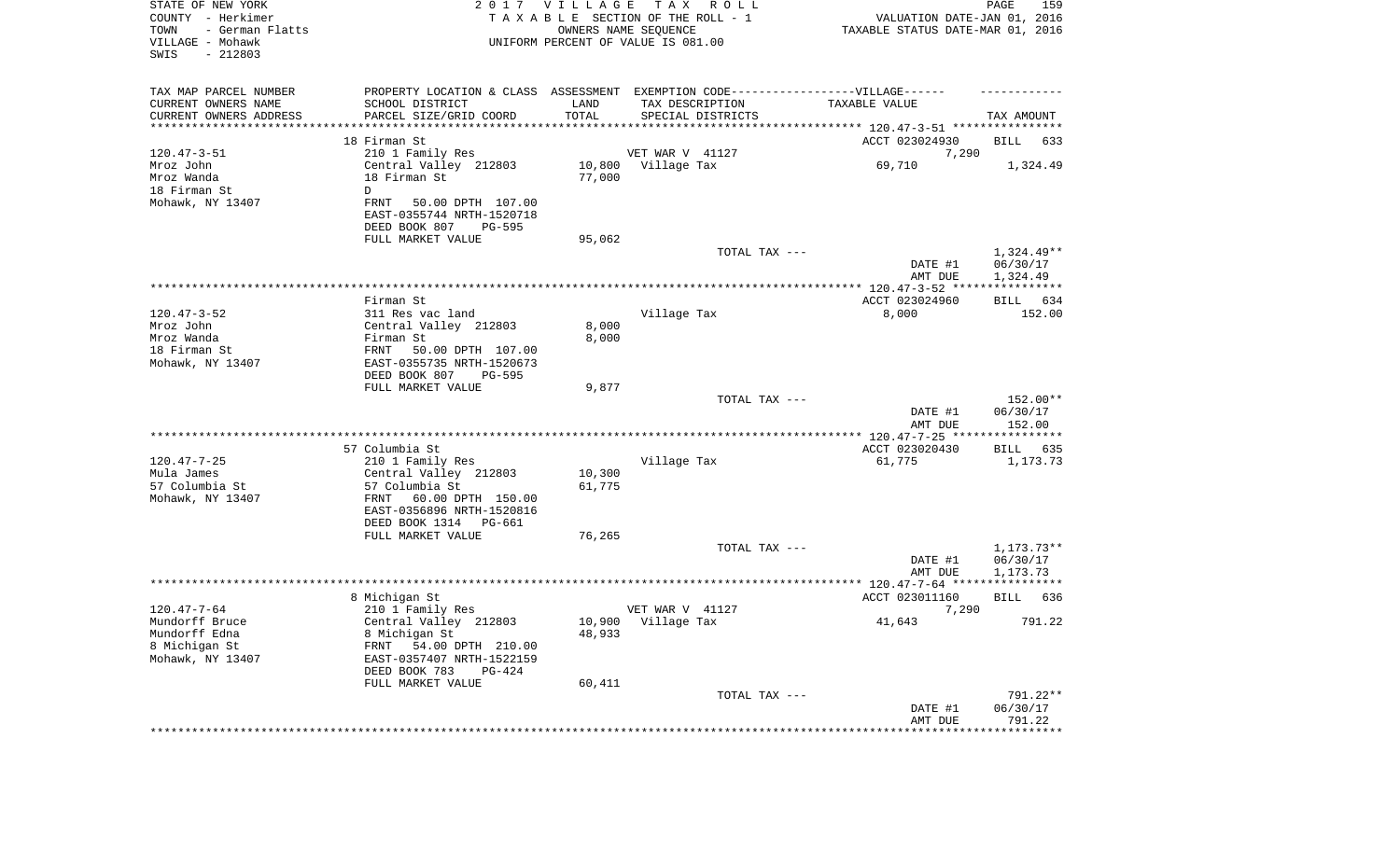| STATE OF NEW YORK<br>COUNTY - Herkimer<br>TOWN<br>- German Flatts<br>VILLAGE - Mohawk<br>SWIS<br>$-212803$ |                                                                                   | 2017 VILLAGE        | T A X<br>R O L L<br>TAXABLE SECTION OF THE ROLL - 1<br>OWNERS NAME SEQUENCE<br>UNIFORM PERCENT OF VALUE IS 081.00 | VALUATION DATE-JAN 01, 2016<br>TAXABLE STATUS DATE-MAR 01, 2016 | PAGE<br>159            |
|------------------------------------------------------------------------------------------------------------|-----------------------------------------------------------------------------------|---------------------|-------------------------------------------------------------------------------------------------------------------|-----------------------------------------------------------------|------------------------|
| TAX MAP PARCEL NUMBER                                                                                      | PROPERTY LOCATION & CLASS ASSESSMENT EXEMPTION CODE-----------------VILLAGE------ |                     |                                                                                                                   |                                                                 |                        |
| CURRENT OWNERS NAME                                                                                        | SCHOOL DISTRICT                                                                   | LAND                | TAX DESCRIPTION                                                                                                   | TAXABLE VALUE                                                   |                        |
| CURRENT OWNERS ADDRESS<br>*******************                                                              | PARCEL SIZE/GRID COORD<br>* * * * * * * * * * * * * * * *                         | TOTAL<br>********** | SPECIAL DISTRICTS                                                                                                 |                                                                 | TAX AMOUNT             |
|                                                                                                            | 18 Firman St                                                                      |                     |                                                                                                                   | ACCT 023024930                                                  | BILL<br>633            |
| $120.47 - 3 - 51$                                                                                          | 210 1 Family Res                                                                  |                     | VET WAR V 41127                                                                                                   | 7,290                                                           |                        |
| Mroz John                                                                                                  | Central Valley 212803                                                             |                     | 10,800 Village Tax                                                                                                | 69,710                                                          | 1,324.49               |
| Mroz Wanda                                                                                                 | 18 Firman St                                                                      | 77,000              |                                                                                                                   |                                                                 |                        |
| 18 Firman St                                                                                               | D                                                                                 |                     |                                                                                                                   |                                                                 |                        |
| Mohawk, NY 13407                                                                                           | FRNT<br>50.00 DPTH 107.00<br>EAST-0355744 NRTH-1520718                            |                     |                                                                                                                   |                                                                 |                        |
|                                                                                                            | DEED BOOK 807<br>PG-595                                                           |                     |                                                                                                                   |                                                                 |                        |
|                                                                                                            | FULL MARKET VALUE                                                                 | 95,062              | TOTAL TAX ---                                                                                                     |                                                                 | $1,324.49**$           |
|                                                                                                            |                                                                                   |                     |                                                                                                                   | DATE #1<br>AMT DUE                                              | 06/30/17<br>1,324.49   |
|                                                                                                            |                                                                                   |                     |                                                                                                                   |                                                                 |                        |
|                                                                                                            | Firman St                                                                         |                     |                                                                                                                   | ACCT 023024960                                                  | BILL 634               |
| $120.47 - 3 - 52$                                                                                          | 311 Res vac land                                                                  |                     | Village Tax                                                                                                       | 8,000                                                           | 152.00                 |
| Mroz John<br>Mroz Wanda                                                                                    | Central Valley 212803<br>Firman St                                                | 8,000               |                                                                                                                   |                                                                 |                        |
| 18 Firman St                                                                                               | FRNT<br>50.00 DPTH 107.00                                                         | 8,000               |                                                                                                                   |                                                                 |                        |
| Mohawk, NY 13407                                                                                           | EAST-0355735 NRTH-1520673<br>DEED BOOK 807<br>PG-595                              |                     |                                                                                                                   |                                                                 |                        |
|                                                                                                            | FULL MARKET VALUE                                                                 | 9,877               |                                                                                                                   |                                                                 |                        |
|                                                                                                            |                                                                                   |                     | TOTAL TAX ---                                                                                                     | DATE #1                                                         | 152.00**<br>06/30/17   |
|                                                                                                            |                                                                                   |                     |                                                                                                                   | AMT DUE<br>*************** 120.47-7-25 *****************        | 152.00                 |
|                                                                                                            | 57 Columbia St                                                                    |                     |                                                                                                                   | ACCT 023020430                                                  | BILL<br>635            |
| $120.47 - 7 - 25$                                                                                          | 210 1 Family Res                                                                  |                     | Village Tax                                                                                                       | 61,775                                                          | 1,173.73               |
| Mula James                                                                                                 | Central Valley 212803                                                             | 10,300              |                                                                                                                   |                                                                 |                        |
| 57 Columbia St<br>Mohawk, NY 13407                                                                         | 57 Columbia St<br>FRNT<br>60.00 DPTH 150.00<br>EAST-0356896 NRTH-1520816          | 61,775              |                                                                                                                   |                                                                 |                        |
|                                                                                                            | DEED BOOK 1314 PG-661                                                             |                     |                                                                                                                   |                                                                 |                        |
|                                                                                                            | FULL MARKET VALUE                                                                 | 76,265              |                                                                                                                   |                                                                 |                        |
|                                                                                                            |                                                                                   |                     | TOTAL TAX ---                                                                                                     | DATE #1                                                         | 1,173.73**<br>06/30/17 |
|                                                                                                            |                                                                                   |                     |                                                                                                                   | AMT DUE                                                         | 1,173.73               |
|                                                                                                            |                                                                                   |                     |                                                                                                                   |                                                                 |                        |
|                                                                                                            | 8 Michigan St                                                                     |                     |                                                                                                                   | ACCT 023011160                                                  | <b>BILL</b><br>636     |
| $120.47 - 7 - 64$                                                                                          | 210 1 Family Res                                                                  |                     | VET WAR V 41127                                                                                                   | 7,290                                                           |                        |
| Mundorff Bruce                                                                                             | Central Valley 212803                                                             |                     | 10,900 Village Tax                                                                                                | 41,643                                                          | 791.22                 |
| Mundorff Edna                                                                                              | 8 Michigan St                                                                     | 48,933              |                                                                                                                   |                                                                 |                        |
| 8 Michigan St<br>Mohawk, NY 13407                                                                          | FRNT<br>54.00 DPTH 210.00<br>EAST-0357407 NRTH-1522159                            |                     |                                                                                                                   |                                                                 |                        |
|                                                                                                            | DEED BOOK 783<br>PG-424                                                           |                     |                                                                                                                   |                                                                 |                        |
|                                                                                                            | FULL MARKET VALUE                                                                 | 60,411              |                                                                                                                   |                                                                 |                        |
|                                                                                                            |                                                                                   |                     | TOTAL TAX ---                                                                                                     |                                                                 | 791.22**               |
|                                                                                                            |                                                                                   |                     |                                                                                                                   | DATE #1<br>AMT DUE                                              | 06/30/17<br>791.22     |
|                                                                                                            |                                                                                   |                     |                                                                                                                   | *********************                                           | **************         |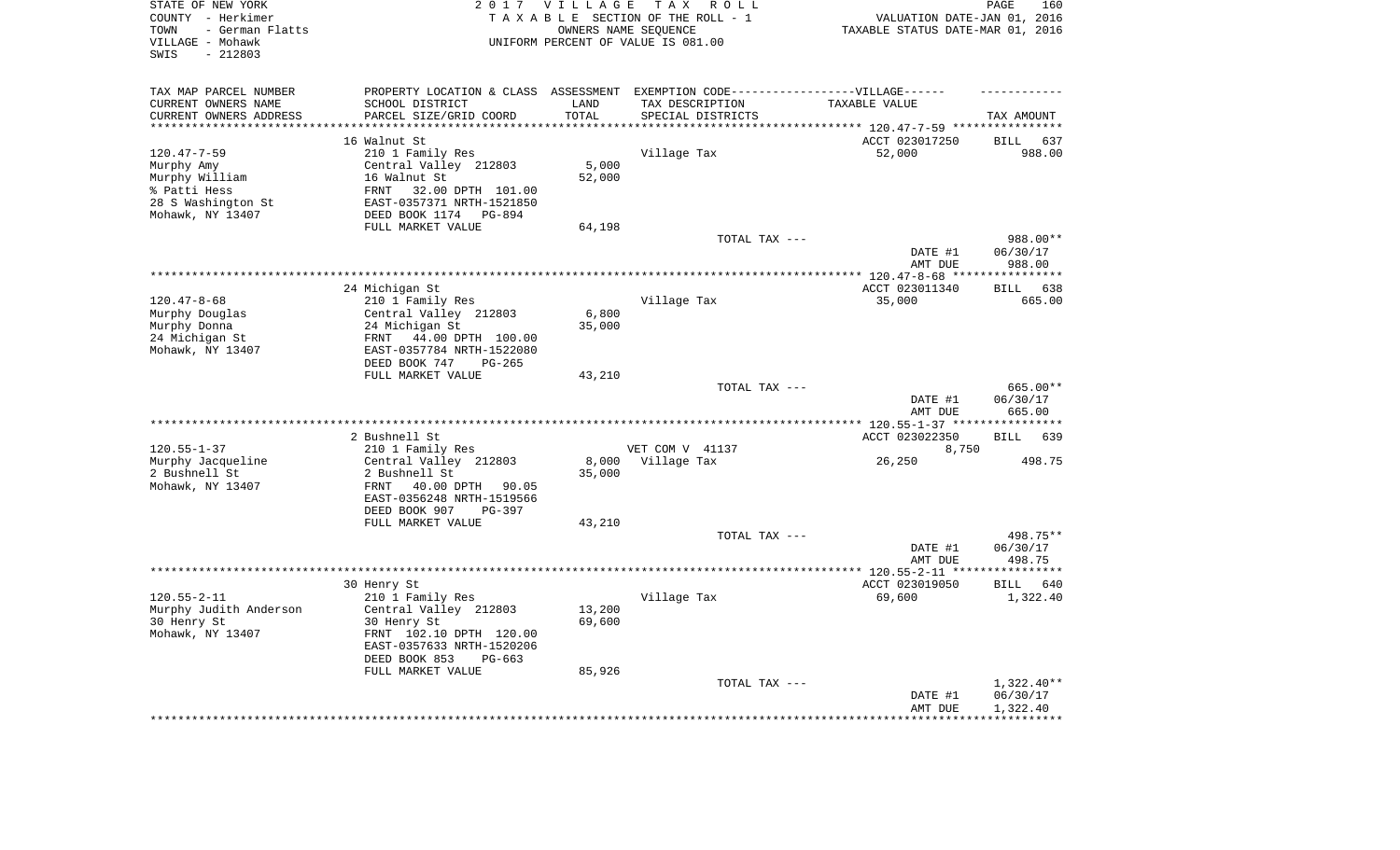| STATE OF NEW YORK<br>COUNTY - Herkimer<br>- German Flatts<br>TOWN<br>VILLAGE - Mohawk<br>$-212803$<br>SWIS | 2 0 1 7                                        | VILLAGE          | T A X<br>R O L L<br>TAXABLE SECTION OF THE ROLL - 1<br>OWNERS NAME SEQUENCE<br>UNIFORM PERCENT OF VALUE IS 081.00 | VALUATION DATE-JAN 01, 2016<br>TAXABLE STATUS DATE-MAR 01, 2016 | PAGE<br>160                    |
|------------------------------------------------------------------------------------------------------------|------------------------------------------------|------------------|-------------------------------------------------------------------------------------------------------------------|-----------------------------------------------------------------|--------------------------------|
| TAX MAP PARCEL NUMBER                                                                                      |                                                |                  | PROPERTY LOCATION & CLASS ASSESSMENT EXEMPTION CODE-----------------VILLAGE------                                 |                                                                 |                                |
| CURRENT OWNERS NAME                                                                                        | SCHOOL DISTRICT                                | LAND             | TAX DESCRIPTION                                                                                                   | TAXABLE VALUE                                                   |                                |
| CURRENT OWNERS ADDRESS<br>********************                                                             | PARCEL SIZE/GRID COORD                         | TOTAL<br>******* | SPECIAL DISTRICTS                                                                                                 | **************************** 120.47-7-59 ****************       | TAX AMOUNT                     |
|                                                                                                            | 16 Walnut St                                   |                  |                                                                                                                   | ACCT 023017250                                                  | <b>BILL</b><br>637             |
| $120.47 - 7 - 59$                                                                                          | 210 1 Family Res                               |                  | Village Tax                                                                                                       | 52,000                                                          | 988.00                         |
| Murphy Amy                                                                                                 | Central Valley 212803                          | 5,000            |                                                                                                                   |                                                                 |                                |
| Murphy William                                                                                             | 16 Walnut St                                   | 52,000           |                                                                                                                   |                                                                 |                                |
| % Patti Hess                                                                                               | 32.00 DPTH 101.00<br>FRNT                      |                  |                                                                                                                   |                                                                 |                                |
| 28 S Washington St                                                                                         | EAST-0357371 NRTH-1521850                      |                  |                                                                                                                   |                                                                 |                                |
| Mohawk, NY 13407                                                                                           | DEED BOOK 1174<br>PG-894                       |                  |                                                                                                                   |                                                                 |                                |
|                                                                                                            | FULL MARKET VALUE                              | 64,198           |                                                                                                                   |                                                                 |                                |
|                                                                                                            |                                                |                  | TOTAL TAX ---                                                                                                     |                                                                 | 988.00**                       |
|                                                                                                            |                                                |                  |                                                                                                                   | DATE #1                                                         | 06/30/17                       |
|                                                                                                            |                                                |                  |                                                                                                                   | AMT DUE                                                         | 988.00<br>***********          |
|                                                                                                            | 24 Michigan St                                 |                  |                                                                                                                   | ******** 120.47-8-68 ***<br>ACCT 023011340                      | 638<br><b>BILL</b>             |
| $120.47 - 8 - 68$                                                                                          | 210 1 Family Res                               |                  | Village Tax                                                                                                       | 35,000                                                          | 665.00                         |
| Murphy Douglas                                                                                             | Central Valley 212803                          | 6,800            |                                                                                                                   |                                                                 |                                |
| Murphy Donna                                                                                               | 24 Michigan St                                 | 35,000           |                                                                                                                   |                                                                 |                                |
| 24 Michigan St                                                                                             | FRNT<br>44.00 DPTH 100.00                      |                  |                                                                                                                   |                                                                 |                                |
| Mohawk, NY 13407                                                                                           | EAST-0357784 NRTH-1522080                      |                  |                                                                                                                   |                                                                 |                                |
|                                                                                                            | DEED BOOK 747<br>$PG-265$                      |                  |                                                                                                                   |                                                                 |                                |
|                                                                                                            | FULL MARKET VALUE                              | 43,210           |                                                                                                                   |                                                                 |                                |
|                                                                                                            |                                                |                  | TOTAL TAX ---                                                                                                     | DATE #1<br>AMT DUE                                              | 665.00**<br>06/30/17<br>665.00 |
|                                                                                                            |                                                |                  |                                                                                                                   | * $120.55 - 1 - 37$ **                                          |                                |
|                                                                                                            | 2 Bushnell St                                  |                  |                                                                                                                   | ACCT 023022350                                                  | <b>BILL</b><br>639             |
| $120.55 - 1 - 37$                                                                                          | 210 1 Family Res                               |                  | VET COM V 41137                                                                                                   | 8,750                                                           |                                |
| Murphy Jacqueline                                                                                          | Central Valley 212803                          | 8,000            | Village Tax                                                                                                       | 26,250                                                          | 498.75                         |
| 2 Bushnell St                                                                                              | 2 Bushnell St                                  | 35,000           |                                                                                                                   |                                                                 |                                |
| Mohawk, NY 13407                                                                                           | FRNT<br>40.00 DPTH<br>90.05                    |                  |                                                                                                                   |                                                                 |                                |
|                                                                                                            | EAST-0356248 NRTH-1519566                      |                  |                                                                                                                   |                                                                 |                                |
|                                                                                                            | DEED BOOK 907<br>$PG-397$                      |                  |                                                                                                                   |                                                                 |                                |
|                                                                                                            | FULL MARKET VALUE                              | 43,210           | TOTAL TAX ---                                                                                                     |                                                                 | 498.75**                       |
|                                                                                                            |                                                |                  |                                                                                                                   | DATE #1                                                         | 06/30/17                       |
|                                                                                                            |                                                |                  |                                                                                                                   | AMT DUE                                                         | 498.75                         |
|                                                                                                            |                                                |                  |                                                                                                                   | *********** 120.55-2-11 ****                                    | * * * * * * * * *              |
|                                                                                                            | 30 Henry St                                    |                  |                                                                                                                   | ACCT 023019050                                                  | <b>BILL</b><br>640             |
| $120.55 - 2 - 11$                                                                                          | 210 1 Family Res                               |                  | Village Tax                                                                                                       | 69,600                                                          | 1,322.40                       |
| Murphy Judith Anderson                                                                                     | Central Valley 212803                          | 13,200           |                                                                                                                   |                                                                 |                                |
| 30 Henry St                                                                                                | 30 Henry St                                    | 69,600           |                                                                                                                   |                                                                 |                                |
| Mohawk, NY 13407                                                                                           | FRNT 102.10 DPTH 120.00                        |                  |                                                                                                                   |                                                                 |                                |
|                                                                                                            | EAST-0357633 NRTH-1520206                      |                  |                                                                                                                   |                                                                 |                                |
|                                                                                                            | DEED BOOK 853<br>$PG-663$<br>FULL MARKET VALUE | 85,926           |                                                                                                                   |                                                                 |                                |
|                                                                                                            |                                                |                  | TOTAL TAX ---                                                                                                     |                                                                 | $1,322.40**$                   |
|                                                                                                            |                                                |                  |                                                                                                                   | DATE #1                                                         | 06/30/17                       |
|                                                                                                            |                                                |                  |                                                                                                                   | AMT DUE                                                         | 1,322.40                       |
|                                                                                                            |                                                |                  |                                                                                                                   |                                                                 |                                |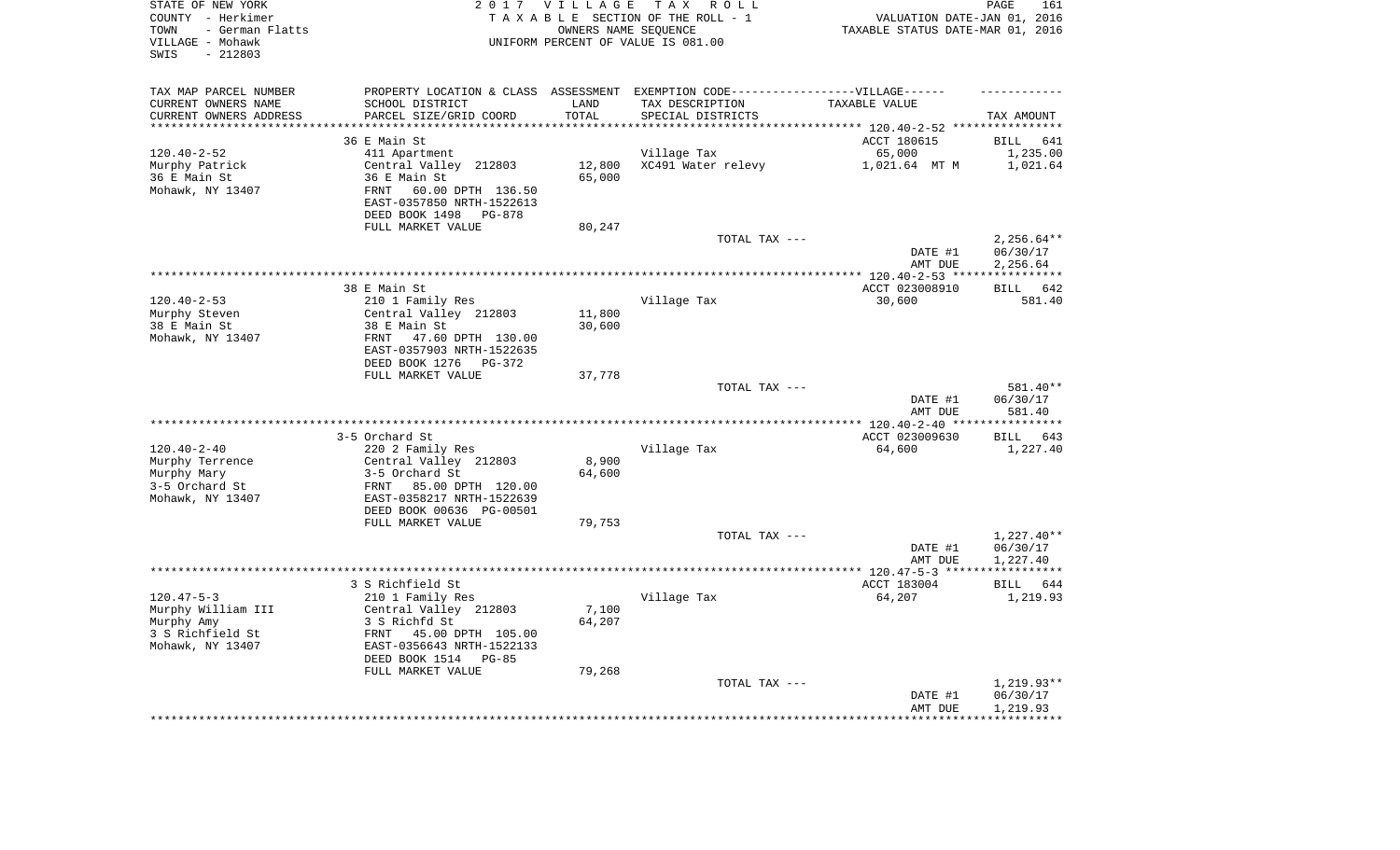| STATE OF NEW YORK<br>COUNTY - Herkimer<br>- German Flatts<br>TOWN<br>VILLAGE - Mohawk<br>$-212803$<br>SWIS |                                                       | 2017 VILLAGE<br>OWNERS NAME SEQUENCE | TAX ROLL<br>TAXABLE SECTION OF THE ROLL - 1<br>UNIFORM PERCENT OF VALUE IS 081.00 | VALUATION DATE-JAN 01, 2016<br>TAXABLE STATUS DATE-MAR 01, 2016 | PAGE<br>161              |
|------------------------------------------------------------------------------------------------------------|-------------------------------------------------------|--------------------------------------|-----------------------------------------------------------------------------------|-----------------------------------------------------------------|--------------------------|
| TAX MAP PARCEL NUMBER                                                                                      |                                                       |                                      | PROPERTY LOCATION & CLASS ASSESSMENT EXEMPTION CODE----------------VILLAGE------  |                                                                 |                          |
| CURRENT OWNERS NAME                                                                                        | SCHOOL DISTRICT                                       | LAND                                 | TAX DESCRIPTION                                                                   | TAXABLE VALUE                                                   |                          |
| CURRENT OWNERS ADDRESS<br>***********************                                                          | PARCEL SIZE/GRID COORD                                | TOTAL                                | SPECIAL DISTRICTS                                                                 |                                                                 | TAX AMOUNT               |
|                                                                                                            | 36 E Main St                                          |                                      |                                                                                   | ACCT 180615                                                     | <b>BILL</b><br>641       |
| $120.40 - 2 - 52$                                                                                          | 411 Apartment                                         |                                      | Village Tax                                                                       | 65,000                                                          | 1,235.00                 |
| Murphy Patrick                                                                                             | Central Valley 212803                                 | 12,800                               | XC491 Water relevy                                                                | 1,021.64 MT M                                                   | 1,021.64                 |
| 36 E Main St                                                                                               | 36 E Main St                                          | 65,000                               |                                                                                   |                                                                 |                          |
| Mohawk, NY 13407                                                                                           | 60.00 DPTH 136.50<br>FRNT                             |                                      |                                                                                   |                                                                 |                          |
|                                                                                                            | EAST-0357850 NRTH-1522613<br>DEED BOOK 1498<br>PG-878 |                                      |                                                                                   |                                                                 |                          |
|                                                                                                            | FULL MARKET VALUE                                     | 80,247                               |                                                                                   |                                                                 |                          |
|                                                                                                            |                                                       |                                      | TOTAL TAX ---                                                                     |                                                                 | $2,256.64**$             |
|                                                                                                            |                                                       |                                      |                                                                                   | DATE #1<br>AMT DUE                                              | 06/30/17<br>2,256.64     |
|                                                                                                            |                                                       |                                      |                                                                                   |                                                                 |                          |
|                                                                                                            | 38 E Main St                                          |                                      |                                                                                   | ACCT 023008910                                                  | <b>BILL</b><br>642       |
| $120.40 - 2 - 53$                                                                                          | 210 1 Family Res                                      |                                      | Village Tax                                                                       | 30,600                                                          | 581.40                   |
| Murphy Steven                                                                                              | Central Valley 212803                                 | 11,800                               |                                                                                   |                                                                 |                          |
| 38 E Main St                                                                                               | 38 E Main St                                          | 30,600                               |                                                                                   |                                                                 |                          |
| Mohawk, NY 13407                                                                                           | 47.60 DPTH 130.00<br>FRNT                             |                                      |                                                                                   |                                                                 |                          |
|                                                                                                            | EAST-0357903 NRTH-1522635                             |                                      |                                                                                   |                                                                 |                          |
|                                                                                                            | DEED BOOK 1276<br>PG-372                              |                                      |                                                                                   |                                                                 |                          |
|                                                                                                            | FULL MARKET VALUE                                     | 37,778                               | TOTAL TAX ---                                                                     |                                                                 | 581.40**                 |
|                                                                                                            |                                                       |                                      |                                                                                   | DATE #1<br>AMT DUE                                              | 06/30/17<br>581.40       |
|                                                                                                            |                                                       |                                      |                                                                                   |                                                                 | ***********              |
|                                                                                                            | 3-5 Orchard St                                        |                                      |                                                                                   | ACCT 023009630                                                  | 643<br>BILL              |
| $120.40 - 2 - 40$                                                                                          | 220 2 Family Res                                      |                                      | Village Tax                                                                       | 64,600                                                          | 1,227.40                 |
| Murphy Terrence                                                                                            | Central Valley 212803                                 | 8,900                                |                                                                                   |                                                                 |                          |
| Murphy Mary                                                                                                | 3-5 Orchard St                                        | 64,600                               |                                                                                   |                                                                 |                          |
| 3-5 Orchard St                                                                                             | 85.00 DPTH 120.00<br>FRNT                             |                                      |                                                                                   |                                                                 |                          |
| Mohawk, NY 13407                                                                                           | EAST-0358217 NRTH-1522639                             |                                      |                                                                                   |                                                                 |                          |
|                                                                                                            | DEED BOOK 00636 PG-00501                              |                                      |                                                                                   |                                                                 |                          |
|                                                                                                            | FULL MARKET VALUE                                     | 79,753                               |                                                                                   |                                                                 |                          |
|                                                                                                            |                                                       |                                      | TOTAL TAX ---                                                                     |                                                                 | $1,227.40**$             |
|                                                                                                            |                                                       |                                      |                                                                                   | DATE #1<br>AMT DUE                                              | 06/30/17<br>1,227.40     |
|                                                                                                            |                                                       |                                      |                                                                                   |                                                                 |                          |
|                                                                                                            | 3 S Richfield St                                      |                                      |                                                                                   | ACCT 183004                                                     | <b>BILL</b><br>644       |
| $120.47 - 5 - 3$                                                                                           | 210 1 Family Res                                      |                                      | Village Tax                                                                       | 64,207                                                          | 1,219.93                 |
| Murphy William III                                                                                         | Central Valley 212803                                 | 7,100                                |                                                                                   |                                                                 |                          |
| Murphy Amy                                                                                                 | 3 S Richfd St                                         | 64,207                               |                                                                                   |                                                                 |                          |
| 3 S Richfield St                                                                                           | FRNT<br>45.00 DPTH 105.00                             |                                      |                                                                                   |                                                                 |                          |
| Mohawk, NY 13407                                                                                           | EAST-0356643 NRTH-1522133                             |                                      |                                                                                   |                                                                 |                          |
|                                                                                                            | DEED BOOK 1514<br>$PG-85$                             |                                      |                                                                                   |                                                                 |                          |
|                                                                                                            | FULL MARKET VALUE                                     | 79,268                               |                                                                                   |                                                                 |                          |
|                                                                                                            |                                                       |                                      | TOTAL TAX ---                                                                     | DATE #1                                                         | $1,219.93**$<br>06/30/17 |
|                                                                                                            |                                                       |                                      |                                                                                   | AMT DUE                                                         | 1,219.93                 |
|                                                                                                            |                                                       |                                      |                                                                                   |                                                                 | ***********              |
|                                                                                                            |                                                       |                                      |                                                                                   |                                                                 |                          |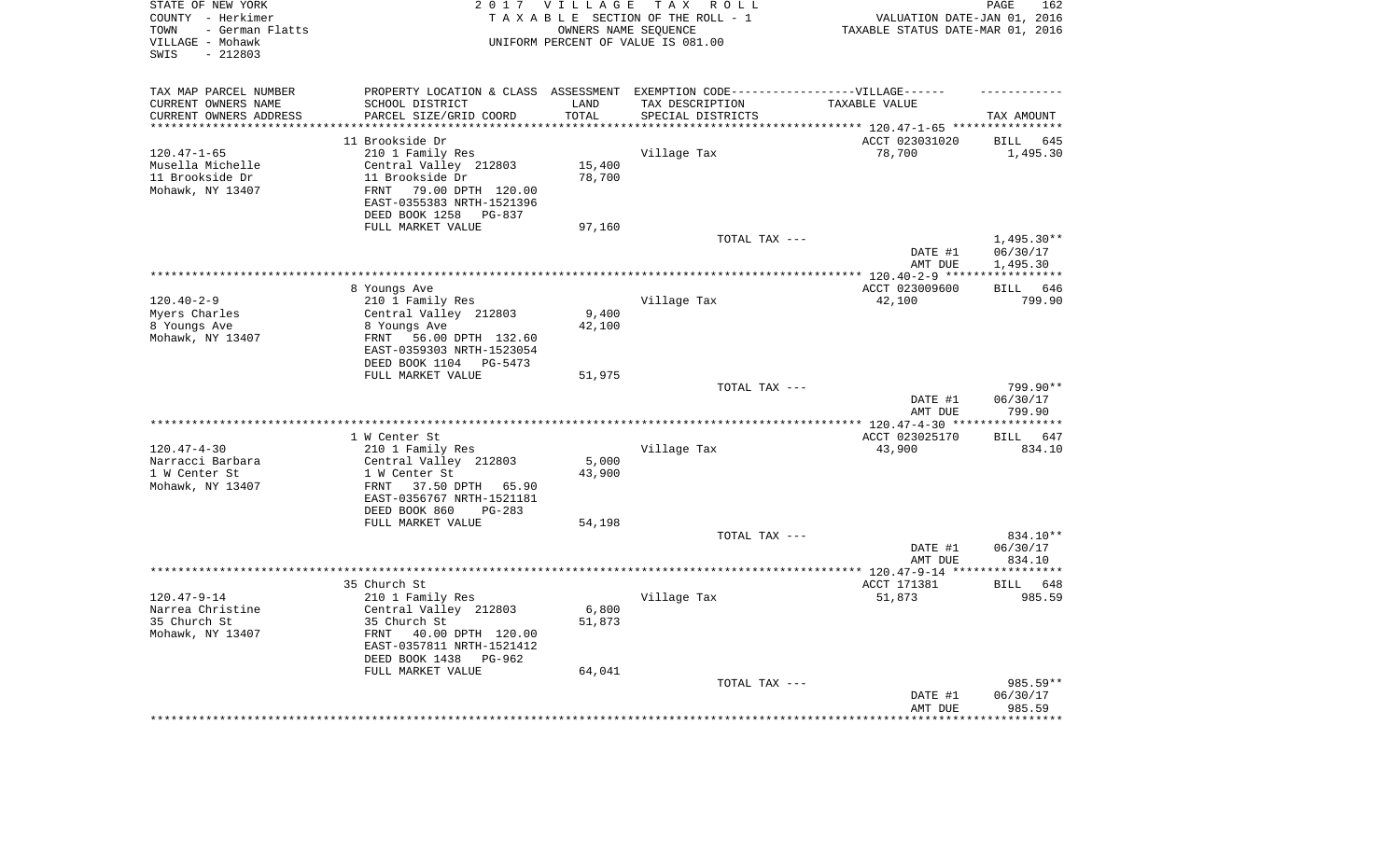| STATE OF NEW YORK<br>COUNTY - Herkimer<br>- German Flatts<br>TOWN<br>VILLAGE - Mohawk<br>SWIS<br>$-212803$ |                                                                                   | 2017 VILLAGE       | TAX ROLL<br>TAXABLE SECTION OF THE ROLL - 1<br>OWNERS NAME SEQUENCE<br>UNIFORM PERCENT OF VALUE IS 081.00 | VALUATION DATE-JAN 01, 2016<br>TAXABLE STATUS DATE-MAR 01, 2016 | PAGE<br>162                       |
|------------------------------------------------------------------------------------------------------------|-----------------------------------------------------------------------------------|--------------------|-----------------------------------------------------------------------------------------------------------|-----------------------------------------------------------------|-----------------------------------|
| TAX MAP PARCEL NUMBER                                                                                      | PROPERTY LOCATION & CLASS ASSESSMENT EXEMPTION CODE-----------------VILLAGE------ |                    |                                                                                                           |                                                                 |                                   |
| CURRENT OWNERS NAME                                                                                        | SCHOOL DISTRICT                                                                   | LAND               | TAX DESCRIPTION                                                                                           | TAXABLE VALUE                                                   |                                   |
| CURRENT OWNERS ADDRESS<br>********************                                                             | PARCEL SIZE/GRID COORD<br>***********************                                 | TOTAL<br>********* | SPECIAL DISTRICTS                                                                                         |                                                                 | TAX AMOUNT                        |
|                                                                                                            | 11 Brookside Dr                                                                   |                    |                                                                                                           | ACCT 023031020                                                  | <b>BILL</b><br>645                |
| $120.47 - 1 - 65$                                                                                          | 210 1 Family Res                                                                  |                    | Village Tax                                                                                               | 78,700                                                          | 1,495.30                          |
| Musella Michelle                                                                                           | Central Valley 212803                                                             | 15,400             |                                                                                                           |                                                                 |                                   |
| 11 Brookside Dr                                                                                            | 11 Brookside Dr                                                                   | 78,700             |                                                                                                           |                                                                 |                                   |
| Mohawk, NY 13407                                                                                           | 79.00 DPTH 120.00<br>FRNT                                                         |                    |                                                                                                           |                                                                 |                                   |
|                                                                                                            | EAST-0355383 NRTH-1521396                                                         |                    |                                                                                                           |                                                                 |                                   |
|                                                                                                            | DEED BOOK 1258<br>PG-837                                                          |                    |                                                                                                           |                                                                 |                                   |
|                                                                                                            | FULL MARKET VALUE                                                                 | 97,160             |                                                                                                           |                                                                 |                                   |
|                                                                                                            |                                                                                   |                    | TOTAL TAX ---                                                                                             |                                                                 | $1,495.30**$                      |
|                                                                                                            |                                                                                   |                    |                                                                                                           | DATE #1                                                         | 06/30/17                          |
|                                                                                                            |                                                                                   |                    | *************************************                                                                     | AMT DUE<br>******* 120.40-2-9 *****                             | 1,495.30<br>* * * * * * * * * * * |
|                                                                                                            | 8 Youngs Ave                                                                      |                    |                                                                                                           | ACCT 023009600                                                  | 646<br><b>BILL</b>                |
| $120.40 - 2 - 9$                                                                                           | 210 1 Family Res                                                                  |                    | Village Tax                                                                                               | 42,100                                                          | 799.90                            |
| Myers Charles                                                                                              | Central Valley 212803                                                             | 9,400              |                                                                                                           |                                                                 |                                   |
| 8 Youngs Ave                                                                                               | 8 Youngs Ave                                                                      | 42,100             |                                                                                                           |                                                                 |                                   |
| Mohawk, NY 13407                                                                                           | 56.00 DPTH 132.60<br>FRNT                                                         |                    |                                                                                                           |                                                                 |                                   |
|                                                                                                            | EAST-0359303 NRTH-1523054                                                         |                    |                                                                                                           |                                                                 |                                   |
|                                                                                                            | DEED BOOK 1104 PG-5473                                                            |                    |                                                                                                           |                                                                 |                                   |
|                                                                                                            | FULL MARKET VALUE                                                                 | 51,975             | TOTAL TAX ---                                                                                             |                                                                 | 799.90**                          |
|                                                                                                            |                                                                                   |                    |                                                                                                           | DATE #1                                                         | 06/30/17                          |
|                                                                                                            |                                                                                   |                    | *********************                                                                                     | AMT DUE<br>*** 120.47-4-30 **                                   | 799.90<br>**********              |
|                                                                                                            | 1 W Center St                                                                     |                    |                                                                                                           | ACCT 023025170                                                  | 647<br><b>BILL</b>                |
| $120.47 - 4 - 30$                                                                                          | 210 1 Family Res                                                                  |                    | Village Tax                                                                                               | 43,900                                                          | 834.10                            |
| Narracci Barbara                                                                                           | Central Valley 212803                                                             | 5,000              |                                                                                                           |                                                                 |                                   |
| 1 W Center St                                                                                              | 1 W Center St                                                                     | 43,900             |                                                                                                           |                                                                 |                                   |
| Mohawk, NY 13407                                                                                           | FRNT<br>37.50 DPTH<br>65.90                                                       |                    |                                                                                                           |                                                                 |                                   |
|                                                                                                            | EAST-0356767 NRTH-1521181                                                         |                    |                                                                                                           |                                                                 |                                   |
|                                                                                                            | DEED BOOK 860<br>$PG-283$                                                         |                    |                                                                                                           |                                                                 |                                   |
|                                                                                                            | FULL MARKET VALUE                                                                 | 54,198             |                                                                                                           |                                                                 |                                   |
|                                                                                                            |                                                                                   |                    | TOTAL TAX ---                                                                                             | DATE #1                                                         | 834.10**<br>06/30/17              |
|                                                                                                            |                                                                                   |                    |                                                                                                           | AMT DUE                                                         | 834.10                            |
|                                                                                                            |                                                                                   |                    |                                                                                                           | *************** 120.47-9-14 ****                                | **********                        |
|                                                                                                            | 35 Church St                                                                      |                    |                                                                                                           | ACCT 171381                                                     | BILL 648                          |
| $120.47 - 9 - 14$                                                                                          | 210 1 Family Res                                                                  |                    | Village Tax                                                                                               | 51,873                                                          | 985.59                            |
| Narrea Christine                                                                                           | Central Valley 212803                                                             | 6,800              |                                                                                                           |                                                                 |                                   |
| 35 Church St                                                                                               | 35 Church St                                                                      | 51,873             |                                                                                                           |                                                                 |                                   |
| Mohawk, NY 13407                                                                                           | 40.00 DPTH 120.00<br>FRNT                                                         |                    |                                                                                                           |                                                                 |                                   |
|                                                                                                            | EAST-0357811 NRTH-1521412<br>$PG-962$                                             |                    |                                                                                                           |                                                                 |                                   |
|                                                                                                            | DEED BOOK 1438<br>FULL MARKET VALUE                                               | 64,041             |                                                                                                           |                                                                 |                                   |
|                                                                                                            |                                                                                   |                    | TOTAL TAX ---                                                                                             |                                                                 | 985.59**                          |
|                                                                                                            |                                                                                   |                    |                                                                                                           | DATE #1                                                         | 06/30/17                          |
|                                                                                                            |                                                                                   |                    |                                                                                                           | AMT DUE                                                         | 985.59                            |
|                                                                                                            |                                                                                   |                    |                                                                                                           |                                                                 | *******                           |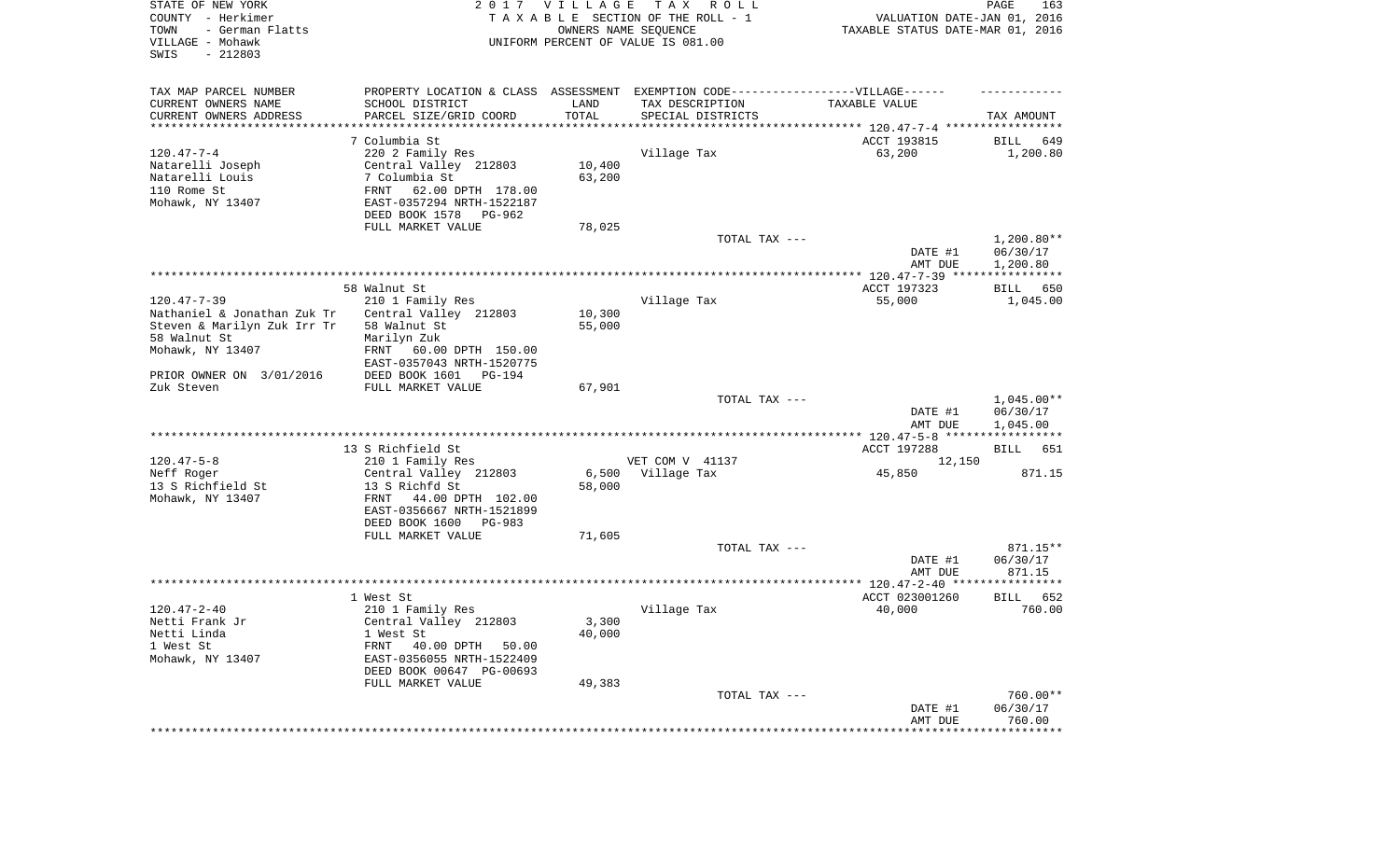| STATE OF NEW YORK<br>COUNTY - Herkimer<br>- German Flatts<br>TOWN<br>VILLAGE - Mohawk<br>SWIS<br>$-212803$ |                                                                                  | 2017 VILLAGE<br>OWNERS NAME SEQUENCE | T A X<br>R O L L<br>TAXABLE SECTION OF THE ROLL - 1<br>UNIFORM PERCENT OF VALUE IS 081.00 | VALUATION DATE-JAN 01, 2016<br>TAXABLE STATUS DATE-MAR 01, 2016 | PAGE<br>163                          |
|------------------------------------------------------------------------------------------------------------|----------------------------------------------------------------------------------|--------------------------------------|-------------------------------------------------------------------------------------------|-----------------------------------------------------------------|--------------------------------------|
| TAX MAP PARCEL NUMBER                                                                                      | PROPERTY LOCATION & CLASS ASSESSMENT EXEMPTION CODE----------------VILLAGE------ |                                      |                                                                                           |                                                                 |                                      |
| CURRENT OWNERS NAME                                                                                        | SCHOOL DISTRICT                                                                  | LAND                                 | TAX DESCRIPTION                                                                           | TAXABLE VALUE                                                   |                                      |
| CURRENT OWNERS ADDRESS<br>********************                                                             | PARCEL SIZE/GRID COORD                                                           | TOTAL<br>**********                  | SPECIAL DISTRICTS                                                                         |                                                                 | TAX AMOUNT                           |
|                                                                                                            | 7 Columbia St                                                                    |                                      |                                                                                           | ACCT 193815                                                     | 649<br>BILL                          |
| $120.47 - 7 - 4$                                                                                           | 220 2 Family Res                                                                 |                                      | Village Tax                                                                               | 63,200                                                          | 1,200.80                             |
| Natarelli Joseph                                                                                           | Central Valley 212803                                                            | 10,400                               |                                                                                           |                                                                 |                                      |
| Natarelli Louis                                                                                            | 7 Columbia St                                                                    | 63,200                               |                                                                                           |                                                                 |                                      |
| 110 Rome St                                                                                                | FRNT<br>62.00 DPTH 178.00                                                        |                                      |                                                                                           |                                                                 |                                      |
| Mohawk, NY 13407                                                                                           | EAST-0357294 NRTH-1522187                                                        |                                      |                                                                                           |                                                                 |                                      |
|                                                                                                            | DEED BOOK 1578<br>PG-962                                                         |                                      |                                                                                           |                                                                 |                                      |
|                                                                                                            | FULL MARKET VALUE                                                                | 78,025                               |                                                                                           |                                                                 |                                      |
|                                                                                                            |                                                                                  |                                      | TOTAL TAX ---                                                                             |                                                                 | $1,200.80**$                         |
|                                                                                                            |                                                                                  |                                      |                                                                                           | DATE #1                                                         | 06/30/17                             |
|                                                                                                            |                                                                                  |                                      |                                                                                           | AMT DUE                                                         | 1,200.80                             |
|                                                                                                            |                                                                                  |                                      |                                                                                           |                                                                 |                                      |
|                                                                                                            | 58 Walnut St                                                                     |                                      |                                                                                           | ACCT 197323                                                     | 650<br>BILL                          |
| $120.47 - 7 - 39$                                                                                          | 210 1 Family Res                                                                 |                                      | Village Tax                                                                               | 55,000                                                          | 1,045.00                             |
| Nathaniel & Jonathan Zuk Tr                                                                                | Central Valley 212803                                                            | 10,300                               |                                                                                           |                                                                 |                                      |
| Steven & Marilyn Zuk Irr Tr<br>58 Walnut St                                                                | 58 Walnut St<br>Marilyn Zuk                                                      | 55,000                               |                                                                                           |                                                                 |                                      |
| Mohawk, NY 13407                                                                                           | FRNT<br>60.00 DPTH 150.00                                                        |                                      |                                                                                           |                                                                 |                                      |
|                                                                                                            | EAST-0357043 NRTH-1520775                                                        |                                      |                                                                                           |                                                                 |                                      |
| PRIOR OWNER ON 3/01/2016                                                                                   | DEED BOOK 1601<br>PG-194                                                         |                                      |                                                                                           |                                                                 |                                      |
| Zuk Steven                                                                                                 | FULL MARKET VALUE                                                                | 67,901                               |                                                                                           |                                                                 |                                      |
|                                                                                                            |                                                                                  |                                      | TOTAL TAX ---                                                                             | DATE #1<br>AMT DUE                                              | $1,045.00**$<br>06/30/17<br>1,045.00 |
|                                                                                                            |                                                                                  |                                      |                                                                                           | ************** 120.47-5-8 ******************                    |                                      |
|                                                                                                            | 13 S Richfield St                                                                |                                      |                                                                                           | ACCT 197288                                                     | BILL 651                             |
| $120.47 - 5 - 8$                                                                                           | 210 1 Family Res                                                                 |                                      | VET COM V 41137                                                                           | 12,150                                                          |                                      |
| Neff Roger<br>13 S Richfield St                                                                            | Central Valley 212803<br>13 S Richfd St                                          | 6,500<br>58,000                      | Village Tax                                                                               | 45,850                                                          | 871.15                               |
| Mohawk, NY 13407                                                                                           | 44.00 DPTH 102.00<br>FRNT                                                        |                                      |                                                                                           |                                                                 |                                      |
|                                                                                                            | EAST-0356667 NRTH-1521899                                                        |                                      |                                                                                           |                                                                 |                                      |
|                                                                                                            | DEED BOOK 1600<br>PG-983                                                         |                                      |                                                                                           |                                                                 |                                      |
|                                                                                                            | FULL MARKET VALUE                                                                | 71,605                               |                                                                                           |                                                                 |                                      |
|                                                                                                            |                                                                                  |                                      | TOTAL TAX ---                                                                             |                                                                 | 871.15**                             |
|                                                                                                            |                                                                                  |                                      |                                                                                           | DATE #1                                                         | 06/30/17                             |
|                                                                                                            |                                                                                  |                                      |                                                                                           | AMT DUE                                                         | 871.15                               |
|                                                                                                            |                                                                                  |                                      |                                                                                           |                                                                 |                                      |
|                                                                                                            | 1 West St                                                                        |                                      |                                                                                           | ACCT 023001260                                                  | 652<br>BILL                          |
| $120.47 - 2 - 40$                                                                                          | 210 1 Family Res                                                                 |                                      | Village Tax                                                                               | 40,000                                                          | 760.00                               |
| Netti Frank Jr                                                                                             | Central Valley 212803                                                            | 3,300                                |                                                                                           |                                                                 |                                      |
| Netti Linda                                                                                                | 1 West St                                                                        | 40,000                               |                                                                                           |                                                                 |                                      |
| 1 West St                                                                                                  | 40.00 DPTH<br>FRNT<br>50.00                                                      |                                      |                                                                                           |                                                                 |                                      |
| Mohawk, NY 13407                                                                                           | EAST-0356055 NRTH-1522409                                                        |                                      |                                                                                           |                                                                 |                                      |
|                                                                                                            | DEED BOOK 00647 PG-00693<br>FULL MARKET VALUE                                    | 49,383                               |                                                                                           |                                                                 |                                      |
|                                                                                                            |                                                                                  |                                      | TOTAL TAX ---                                                                             |                                                                 | 760.00**                             |
|                                                                                                            |                                                                                  |                                      |                                                                                           | DATE #1                                                         | 06/30/17                             |
|                                                                                                            |                                                                                  |                                      |                                                                                           | AMT DUE                                                         | 760.00                               |
|                                                                                                            |                                                                                  |                                      |                                                                                           | ***********************************                             |                                      |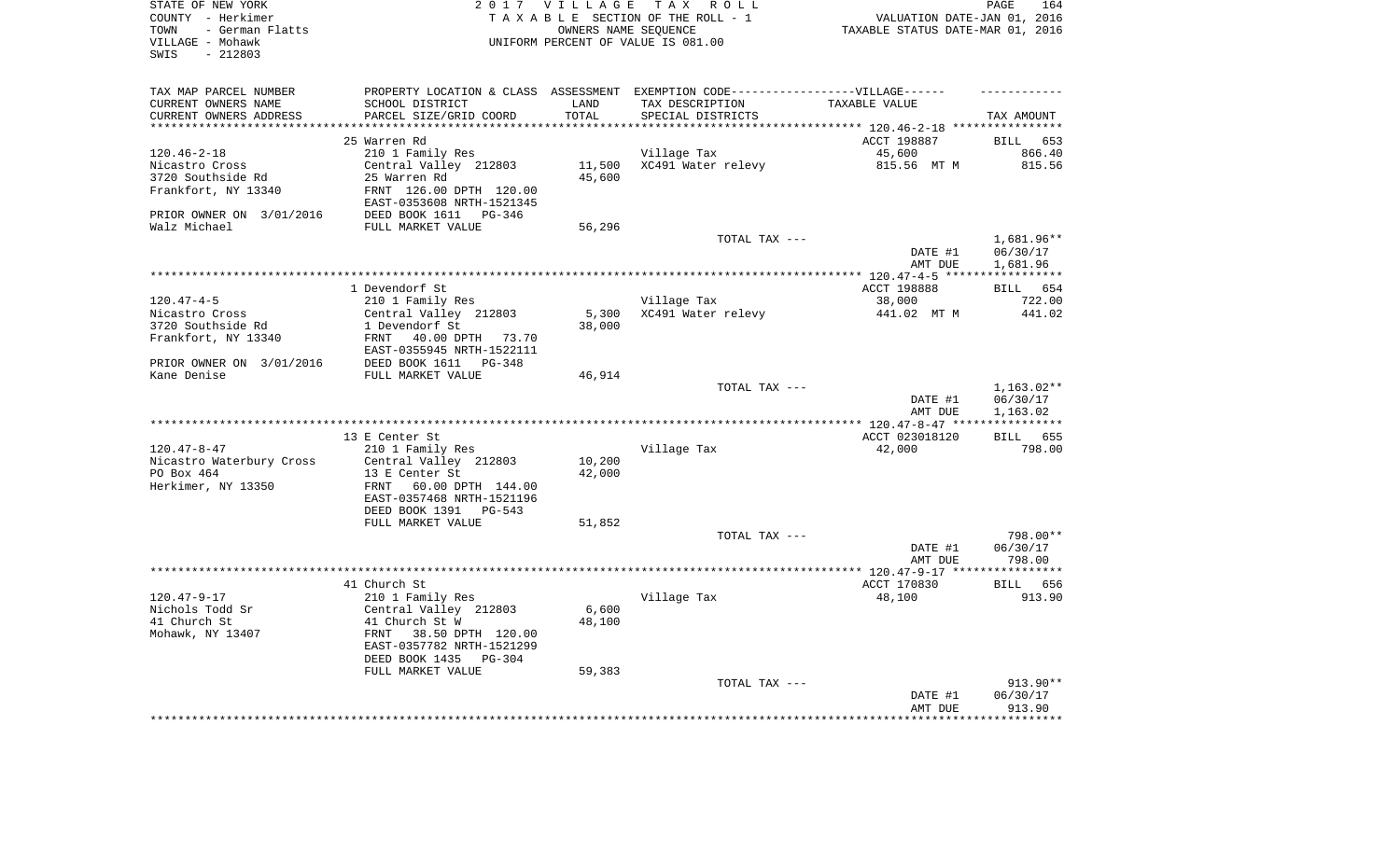| STATE OF NEW YORK<br>COUNTY - Herkimer<br>TOWN<br>- German Flatts<br>VILLAGE - Mohawk | 2 0 1 7                                                                           | <b>VILLAGE</b>   | TAX ROLL<br>TAXABLE SECTION OF THE ROLL - 1<br>OWNERS NAME SEQUENCE<br>UNIFORM PERCENT OF VALUE IS 081.00 | VALUATION DATE-JAN 01, 2016<br>TAXABLE STATUS DATE-MAR 01, 2016 | PAGE<br>164          |
|---------------------------------------------------------------------------------------|-----------------------------------------------------------------------------------|------------------|-----------------------------------------------------------------------------------------------------------|-----------------------------------------------------------------|----------------------|
| $-212803$<br>SWIS                                                                     |                                                                                   |                  |                                                                                                           |                                                                 |                      |
| TAX MAP PARCEL NUMBER                                                                 | PROPERTY LOCATION & CLASS ASSESSMENT EXEMPTION CODE-----------------VILLAGE------ |                  |                                                                                                           |                                                                 |                      |
| CURRENT OWNERS NAME                                                                   | SCHOOL DISTRICT                                                                   | LAND             | TAX DESCRIPTION                                                                                           | TAXABLE VALUE                                                   |                      |
| CURRENT OWNERS ADDRESS                                                                | PARCEL SIZE/GRID COORD                                                            | TOTAL            | SPECIAL DISTRICTS                                                                                         |                                                                 | TAX AMOUNT           |
| **********************                                                                | ***************************                                                       | *************    |                                                                                                           |                                                                 |                      |
|                                                                                       | 25 Warren Rd                                                                      |                  |                                                                                                           | ACCT 198887                                                     | <b>BILL</b><br>653   |
| $120.46 - 2 - 18$                                                                     | 210 1 Family Res                                                                  |                  | Village Tax                                                                                               | 45,600                                                          | 866.40               |
| Nicastro Cross<br>3720 Southside Rd                                                   | Central Valley 212803<br>25 Warren Rd                                             | 11,500<br>45,600 | XC491 Water relevy                                                                                        | 815.56 MT M                                                     | 815.56               |
| Frankfort, NY 13340                                                                   | FRNT 126.00 DPTH 120.00                                                           |                  |                                                                                                           |                                                                 |                      |
|                                                                                       | EAST-0353608 NRTH-1521345                                                         |                  |                                                                                                           |                                                                 |                      |
| PRIOR OWNER ON 3/01/2016<br>Walz Michael                                              | DEED BOOK 1611<br>PG-346<br>FULL MARKET VALUE                                     | 56,296           |                                                                                                           |                                                                 |                      |
|                                                                                       |                                                                                   |                  | TOTAL TAX ---                                                                                             |                                                                 | 1,681.96**           |
|                                                                                       |                                                                                   |                  |                                                                                                           | DATE #1<br>AMT DUE                                              | 06/30/17<br>1,681.96 |
|                                                                                       |                                                                                   |                  |                                                                                                           | ******** 120.47-4-5 ***                                         | ***********          |
|                                                                                       | 1 Devendorf St                                                                    |                  |                                                                                                           | ACCT 198888                                                     | <b>BILL</b><br>654   |
| $120.47 - 4 - 5$                                                                      | 210 1 Family Res                                                                  |                  | Village Tax                                                                                               | 38,000                                                          | 722.00               |
| Nicastro Cross                                                                        | Central Valley 212803                                                             | 5,300            | XC491 Water relevy                                                                                        | 441.02 MT M                                                     | 441.02               |
| 3720 Southside Rd                                                                     | 1 Devendorf St                                                                    | 38,000           |                                                                                                           |                                                                 |                      |
| Frankfort, NY 13340                                                                   | FRNT<br>40.00 DPTH 73.70                                                          |                  |                                                                                                           |                                                                 |                      |
|                                                                                       | EAST-0355945 NRTH-1522111                                                         |                  |                                                                                                           |                                                                 |                      |
| PRIOR OWNER ON 3/01/2016                                                              | DEED BOOK 1611<br>PG-348                                                          |                  |                                                                                                           |                                                                 |                      |
| Kane Denise                                                                           | FULL MARKET VALUE                                                                 | 46,914           |                                                                                                           |                                                                 |                      |
|                                                                                       |                                                                                   |                  | TOTAL TAX ---                                                                                             |                                                                 | 1,163.02**           |
|                                                                                       |                                                                                   |                  |                                                                                                           | DATE #1<br>AMT DUE                                              | 06/30/17<br>1,163.02 |
|                                                                                       |                                                                                   |                  |                                                                                                           | **** $120.47 - 8 - 47$ **                                       | ***********          |
|                                                                                       | 13 E Center St                                                                    |                  |                                                                                                           | ACCT 023018120                                                  | 655<br>BILL          |
| $120.47 - 8 - 47$                                                                     | 210 1 Family Res                                                                  |                  | Village Tax                                                                                               | 42,000                                                          | 798.00               |
| Nicastro Waterbury Cross                                                              | Central Valley 212803                                                             | 10,200           |                                                                                                           |                                                                 |                      |
| PO Box 464                                                                            | 13 E Center St                                                                    | 42,000           |                                                                                                           |                                                                 |                      |
| Herkimer, NY 13350                                                                    | FRNT<br>60.00 DPTH 144.00                                                         |                  |                                                                                                           |                                                                 |                      |
|                                                                                       | EAST-0357468 NRTH-1521196                                                         |                  |                                                                                                           |                                                                 |                      |
|                                                                                       | DEED BOOK 1391<br>PG-543                                                          |                  |                                                                                                           |                                                                 |                      |
|                                                                                       | FULL MARKET VALUE                                                                 | 51,852           |                                                                                                           |                                                                 |                      |
|                                                                                       |                                                                                   |                  | TOTAL TAX ---                                                                                             | DATE #1                                                         | 798.00**<br>06/30/17 |
|                                                                                       |                                                                                   |                  |                                                                                                           | AMT DUE                                                         | 798.00               |
|                                                                                       |                                                                                   |                  |                                                                                                           | **************** 120.47-9-17 ***                                | **********           |
|                                                                                       | 41 Church St                                                                      |                  |                                                                                                           | ACCT 170830                                                     | BILL 656             |
| $120.47 - 9 - 17$                                                                     | 210 1 Family Res                                                                  |                  | Village Tax                                                                                               | 48,100                                                          | 913.90               |
| Nichols Todd Sr                                                                       | Central Valley 212803                                                             | 6,600            |                                                                                                           |                                                                 |                      |
| 41 Church St                                                                          | 41 Church St W                                                                    | 48,100           |                                                                                                           |                                                                 |                      |
| Mohawk, NY 13407                                                                      | 38.50 DPTH 120.00<br>FRNT                                                         |                  |                                                                                                           |                                                                 |                      |
|                                                                                       | EAST-0357782 NRTH-1521299                                                         |                  |                                                                                                           |                                                                 |                      |
|                                                                                       | DEED BOOK 1435<br>$PG-304$                                                        |                  |                                                                                                           |                                                                 |                      |
|                                                                                       | FULL MARKET VALUE                                                                 | 59,383           | TOTAL TAX ---                                                                                             |                                                                 | 913.90**             |
|                                                                                       |                                                                                   |                  |                                                                                                           | DATE #1                                                         | 06/30/17             |
|                                                                                       |                                                                                   |                  |                                                                                                           | AMT DUE                                                         | 913.90               |
|                                                                                       |                                                                                   |                  |                                                                                                           |                                                                 |                      |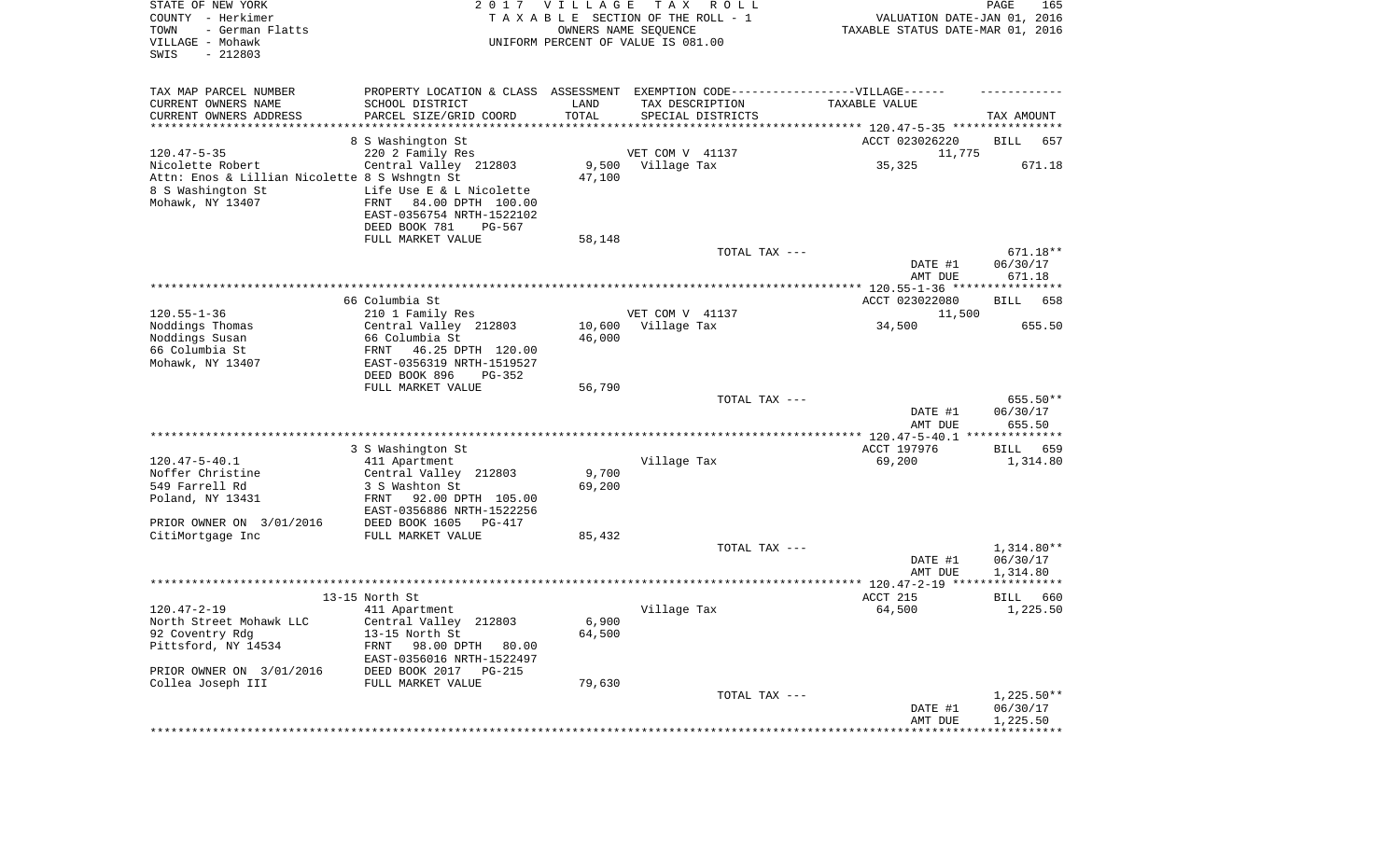| STATE OF NEW YORK<br>COUNTY - Herkimer<br>- German Flatts<br>TOWN<br>VILLAGE - Mohawk<br>SWIS<br>$-212803$ |                                                                                    | 2017 VILLAGE  | T A X<br>R O L L<br>TAXABLE SECTION OF THE ROLL - 1<br>OWNERS NAME SEQUENCE<br>UNIFORM PERCENT OF VALUE IS 081.00 |                                              | VALUATION DATE-JAN 01, 2016<br>TAXABLE STATUS DATE-MAR 01, 2016 | PAGE                     | 165    |
|------------------------------------------------------------------------------------------------------------|------------------------------------------------------------------------------------|---------------|-------------------------------------------------------------------------------------------------------------------|----------------------------------------------|-----------------------------------------------------------------|--------------------------|--------|
| TAX MAP PARCEL NUMBER                                                                                      | PROPERTY LOCATION & CLASS ASSESSMENT EXEMPTION CODE----------------VILLAGE------   |               |                                                                                                                   |                                              |                                                                 |                          |        |
| CURRENT OWNERS NAME                                                                                        | SCHOOL DISTRICT                                                                    | LAND<br>TOTAL | TAX DESCRIPTION                                                                                                   | TAXABLE VALUE                                |                                                                 |                          |        |
| CURRENT OWNERS ADDRESS<br>***********************                                                          | PARCEL SIZE/GRID COORD                                                             |               | SPECIAL DISTRICTS                                                                                                 |                                              |                                                                 | TAX AMOUNT               |        |
|                                                                                                            | 8 S Washington St                                                                  |               |                                                                                                                   |                                              | ACCT 023026220                                                  | BILL                     | 657    |
| $120.47 - 5 - 35$                                                                                          | 220 2 Family Res                                                                   |               | VET COM V 41137                                                                                                   |                                              | 11,775                                                          |                          |        |
| Nicolette Robert                                                                                           | Central Valley 212803                                                              | 9,500         | Village Tax                                                                                                       |                                              | 35,325                                                          |                          | 671.18 |
| Attn: Enos & Lillian Nicolette 8 S Wshngtn St                                                              |                                                                                    | 47,100        |                                                                                                                   |                                              |                                                                 |                          |        |
| 8 S Washington St<br>Mohawk, NY 13407                                                                      | Life Use E & L Nicolette<br>84.00 DPTH 100.00<br>FRNT<br>EAST-0356754 NRTH-1522102 |               |                                                                                                                   |                                              |                                                                 |                          |        |
|                                                                                                            | DEED BOOK 781<br>PG-567<br>FULL MARKET VALUE                                       | 58,148        |                                                                                                                   |                                              |                                                                 |                          |        |
|                                                                                                            |                                                                                    |               |                                                                                                                   | TOTAL TAX ---                                |                                                                 | 671.18**                 |        |
|                                                                                                            |                                                                                    |               |                                                                                                                   |                                              | DATE #1<br>AMT DUE                                              | 06/30/17<br>671.18       |        |
|                                                                                                            |                                                                                    |               |                                                                                                                   |                                              |                                                                 |                          |        |
| $120.55 - 1 - 36$                                                                                          | 66 Columbia St<br>210 1 Family Res                                                 |               | VET COM V 41137                                                                                                   |                                              | ACCT 023022080<br>11,500                                        | BILL                     | 658    |
| Noddings Thomas                                                                                            | Central Valley 212803                                                              | 10,600        | Village Tax                                                                                                       |                                              | 34,500                                                          |                          | 655.50 |
| Noddings Susan                                                                                             | 66 Columbia St                                                                     | 46,000        |                                                                                                                   |                                              |                                                                 |                          |        |
| 66 Columbia St<br>Mohawk, NY 13407                                                                         | FRNT<br>46.25 DPTH 120.00<br>EAST-0356319 NRTH-1519527                             |               |                                                                                                                   |                                              |                                                                 |                          |        |
|                                                                                                            | DEED BOOK 896<br>PG-352                                                            |               |                                                                                                                   |                                              |                                                                 |                          |        |
|                                                                                                            | FULL MARKET VALUE                                                                  | 56,790        |                                                                                                                   | TOTAL TAX ---                                |                                                                 | 655.50**                 |        |
|                                                                                                            |                                                                                    |               |                                                                                                                   |                                              | DATE #1<br>AMT DUE                                              | 06/30/17<br>655.50       |        |
|                                                                                                            |                                                                                    |               |                                                                                                                   | ************** 120.47-5-40.1 *************** |                                                                 |                          |        |
|                                                                                                            | 3 S Washington St                                                                  |               |                                                                                                                   |                                              | ACCT 197976                                                     | BILL                     | 659    |
| $120.47 - 5 - 40.1$<br>Noffer Christine                                                                    | 411 Apartment<br>Central Valley 212803                                             | 9,700         | Village Tax                                                                                                       |                                              | 69,200                                                          | 1,314.80                 |        |
| 549 Farrell Rd                                                                                             | 3 S Washton St                                                                     | 69,200        |                                                                                                                   |                                              |                                                                 |                          |        |
| Poland, NY 13431                                                                                           | FRNT<br>92.00 DPTH 105.00                                                          |               |                                                                                                                   |                                              |                                                                 |                          |        |
|                                                                                                            | EAST-0356886 NRTH-1522256                                                          |               |                                                                                                                   |                                              |                                                                 |                          |        |
| PRIOR OWNER ON 3/01/2016                                                                                   | DEED BOOK 1605<br>PG-417                                                           |               |                                                                                                                   |                                              |                                                                 |                          |        |
| CitiMortgage Inc                                                                                           | FULL MARKET VALUE                                                                  | 85,432        |                                                                                                                   |                                              |                                                                 |                          |        |
|                                                                                                            |                                                                                    |               |                                                                                                                   | TOTAL TAX ---                                | DATE #1                                                         | $1,314.80**$<br>06/30/17 |        |
|                                                                                                            |                                                                                    |               |                                                                                                                   |                                              | AMT DUE                                                         | 1,314.80                 |        |
|                                                                                                            |                                                                                    |               |                                                                                                                   |                                              |                                                                 |                          |        |
|                                                                                                            | 13-15 North St                                                                     |               |                                                                                                                   | ACCT 215                                     |                                                                 | BILL                     | 660    |
| $120.47 - 2 - 19$                                                                                          | 411 Apartment                                                                      |               | Village Tax                                                                                                       |                                              | 64,500                                                          | 1,225.50                 |        |
| North Street Mohawk LLC                                                                                    | Central Valley 212803<br>13-15 North St                                            | 6,900         |                                                                                                                   |                                              |                                                                 |                          |        |
| 92 Coventry Rdg<br>Pittsford, NY 14534                                                                     | 98.00 DPTH 80.00<br>FRNT                                                           | 64,500        |                                                                                                                   |                                              |                                                                 |                          |        |
|                                                                                                            | EAST-0356016 NRTH-1522497                                                          |               |                                                                                                                   |                                              |                                                                 |                          |        |
| PRIOR OWNER ON 3/01/2016                                                                                   | DEED BOOK 2017 PG-215                                                              |               |                                                                                                                   |                                              |                                                                 |                          |        |
| Collea Joseph III                                                                                          | FULL MARKET VALUE                                                                  | 79,630        |                                                                                                                   |                                              |                                                                 |                          |        |
|                                                                                                            |                                                                                    |               |                                                                                                                   | TOTAL TAX ---                                |                                                                 | $1,225.50**$             |        |
|                                                                                                            |                                                                                    |               |                                                                                                                   |                                              | DATE #1<br>AMT DUE                                              | 06/30/17<br>1,225.50     |        |
|                                                                                                            |                                                                                    |               |                                                                                                                   |                                              | ***********************************                             |                          |        |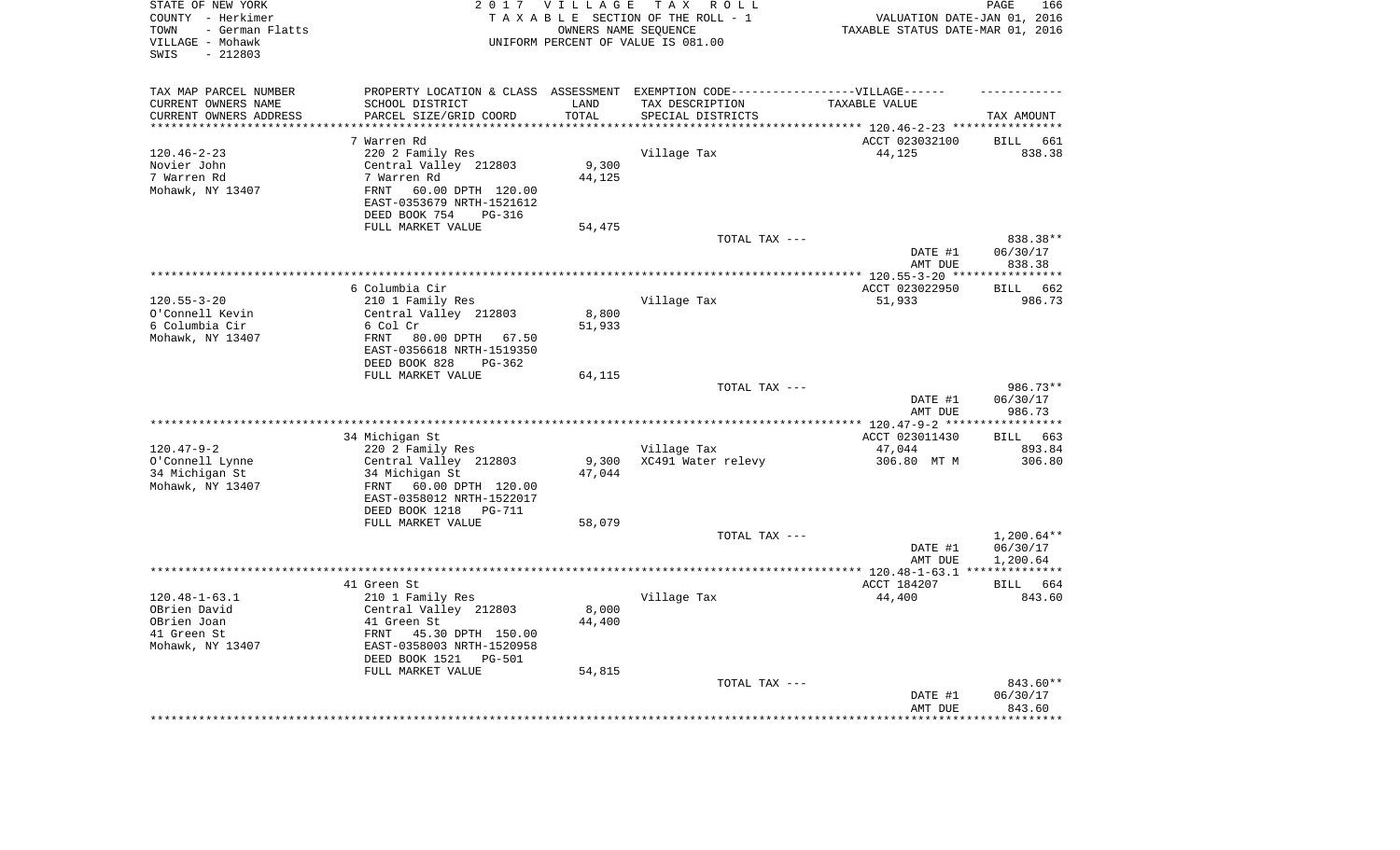| STATE OF NEW YORK<br>COUNTY - Herkimer<br>- German Flatts<br>TOWN<br>VILLAGE - Mohawk<br>$-212803$<br>SWIS |                                                                                  | 2017 VILLAGE<br>OWNERS NAME SEQUENCE | T A X<br>R O L L<br>TAXABLE SECTION OF THE ROLL - 1<br>UNIFORM PERCENT OF VALUE IS 081.00 | VALUATION DATE-JAN 01, 2016<br>TAXABLE STATUS DATE-MAR 01, 2016 | PAGE<br>166          |
|------------------------------------------------------------------------------------------------------------|----------------------------------------------------------------------------------|--------------------------------------|-------------------------------------------------------------------------------------------|-----------------------------------------------------------------|----------------------|
| TAX MAP PARCEL NUMBER                                                                                      |                                                                                  |                                      | PROPERTY LOCATION & CLASS ASSESSMENT EXEMPTION CODE-----------------VILLAGE------         |                                                                 |                      |
| CURRENT OWNERS NAME                                                                                        | SCHOOL DISTRICT                                                                  | LAND                                 | TAX DESCRIPTION                                                                           | TAXABLE VALUE                                                   |                      |
| CURRENT OWNERS ADDRESS<br>********************                                                             | PARCEL SIZE/GRID COORD<br>***********************                                | TOTAL<br>*********                   | SPECIAL DISTRICTS                                                                         | **************************** 120.46-2-23 ****************       | TAX AMOUNT           |
|                                                                                                            | 7 Warren Rd                                                                      |                                      |                                                                                           | ACCT 023032100                                                  | <b>BILL</b><br>661   |
| $120.46 - 2 - 23$                                                                                          | 220 2 Family Res                                                                 |                                      | Village Tax                                                                               | 44,125                                                          | 838.38               |
| Novier John                                                                                                | Central Valley 212803                                                            | 9,300                                |                                                                                           |                                                                 |                      |
| 7 Warren Rd                                                                                                | 7 Warren Rd                                                                      | 44,125                               |                                                                                           |                                                                 |                      |
| Mohawk, NY 13407                                                                                           | 60.00 DPTH 120.00<br><b>FRNT</b><br>EAST-0353679 NRTH-1521612                    |                                      |                                                                                           |                                                                 |                      |
|                                                                                                            | DEED BOOK 754<br>PG-316                                                          |                                      |                                                                                           |                                                                 |                      |
|                                                                                                            | FULL MARKET VALUE                                                                | 54,475                               |                                                                                           |                                                                 |                      |
|                                                                                                            |                                                                                  |                                      | TOTAL TAX ---                                                                             | DATE #1                                                         | 838.38**<br>06/30/17 |
|                                                                                                            |                                                                                  |                                      |                                                                                           | AMT DUE                                                         | 838.38               |
|                                                                                                            |                                                                                  |                                      |                                                                                           | *********** 120.55-3-20 ****                                    | ************         |
|                                                                                                            | 6 Columbia Cir                                                                   |                                      |                                                                                           | ACCT 023022950                                                  | <b>BILL</b><br>662   |
| $120.55 - 3 - 20$                                                                                          | 210 1 Family Res                                                                 |                                      | Village Tax                                                                               | 51,933                                                          | 986.73               |
| O'Connell Kevin                                                                                            | Central Valley 212803                                                            | 8,800                                |                                                                                           |                                                                 |                      |
| 6 Columbia Cir                                                                                             | 6 Col Cr                                                                         | 51,933                               |                                                                                           |                                                                 |                      |
| Mohawk, NY 13407                                                                                           | FRNT<br>80.00 DPTH 67.50<br>EAST-0356618 NRTH-1519350<br>DEED BOOK 828<br>PG-362 |                                      |                                                                                           |                                                                 |                      |
|                                                                                                            | FULL MARKET VALUE                                                                | 64,115                               |                                                                                           |                                                                 |                      |
|                                                                                                            |                                                                                  |                                      | TOTAL TAX ---                                                                             |                                                                 | 986.73**             |
|                                                                                                            |                                                                                  |                                      |                                                                                           | DATE #1<br>AMT DUE                                              | 06/30/17<br>986.73   |
|                                                                                                            |                                                                                  |                                      |                                                                                           | ********** 120.47-9-2 ***                                       | **********           |
|                                                                                                            | 34 Michigan St                                                                   |                                      |                                                                                           | ACCT 023011430                                                  | 663<br>BILL          |
| $120.47 - 9 - 2$<br>O'Connell Lynne                                                                        | 220 2 Family Res<br>Central Valley 212803                                        | 9,300                                | Village Tax<br>XC491 Water relevy                                                         | 47,044<br>306.80 MT M                                           | 893.84<br>306.80     |
| 34 Michigan St                                                                                             | 34 Michigan St                                                                   | 47,044                               |                                                                                           |                                                                 |                      |
| Mohawk, NY 13407                                                                                           | 60.00 DPTH 120.00<br>FRNT<br>EAST-0358012 NRTH-1522017                           |                                      |                                                                                           |                                                                 |                      |
|                                                                                                            | DEED BOOK 1218<br>PG-711                                                         |                                      |                                                                                           |                                                                 |                      |
|                                                                                                            | FULL MARKET VALUE                                                                | 58,079                               |                                                                                           |                                                                 |                      |
|                                                                                                            |                                                                                  |                                      | TOTAL TAX ---                                                                             |                                                                 | $1,200.64**$         |
|                                                                                                            |                                                                                  |                                      |                                                                                           | DATE #1<br>AMT DUE                                              | 06/30/17<br>1,200.64 |
|                                                                                                            |                                                                                  |                                      |                                                                                           |                                                                 |                      |
|                                                                                                            | 41 Green St                                                                      |                                      |                                                                                           | ACCT 184207                                                     | <b>BILL</b><br>664   |
| $120.48 - 1 - 63.1$                                                                                        | 210 1 Family Res                                                                 |                                      | Village Tax                                                                               | 44,400                                                          | 843.60               |
| OBrien David                                                                                               | Central Valley 212803                                                            | 8,000                                |                                                                                           |                                                                 |                      |
| OBrien Joan                                                                                                | 41 Green St                                                                      | 44,400                               |                                                                                           |                                                                 |                      |
| 41 Green St                                                                                                | FRNT<br>45.30 DPTH 150.00                                                        |                                      |                                                                                           |                                                                 |                      |
| Mohawk, NY 13407                                                                                           | EAST-0358003 NRTH-1520958                                                        |                                      |                                                                                           |                                                                 |                      |
|                                                                                                            | DEED BOOK 1521<br><b>PG-501</b><br>FULL MARKET VALUE                             | 54,815                               |                                                                                           |                                                                 |                      |
|                                                                                                            |                                                                                  |                                      | TOTAL TAX ---                                                                             |                                                                 | 843.60**             |
|                                                                                                            |                                                                                  |                                      |                                                                                           | DATE #1                                                         | 06/30/17             |
|                                                                                                            |                                                                                  |                                      |                                                                                           | AMT DUE                                                         | 843.60               |
|                                                                                                            |                                                                                  |                                      |                                                                                           |                                                                 | ********             |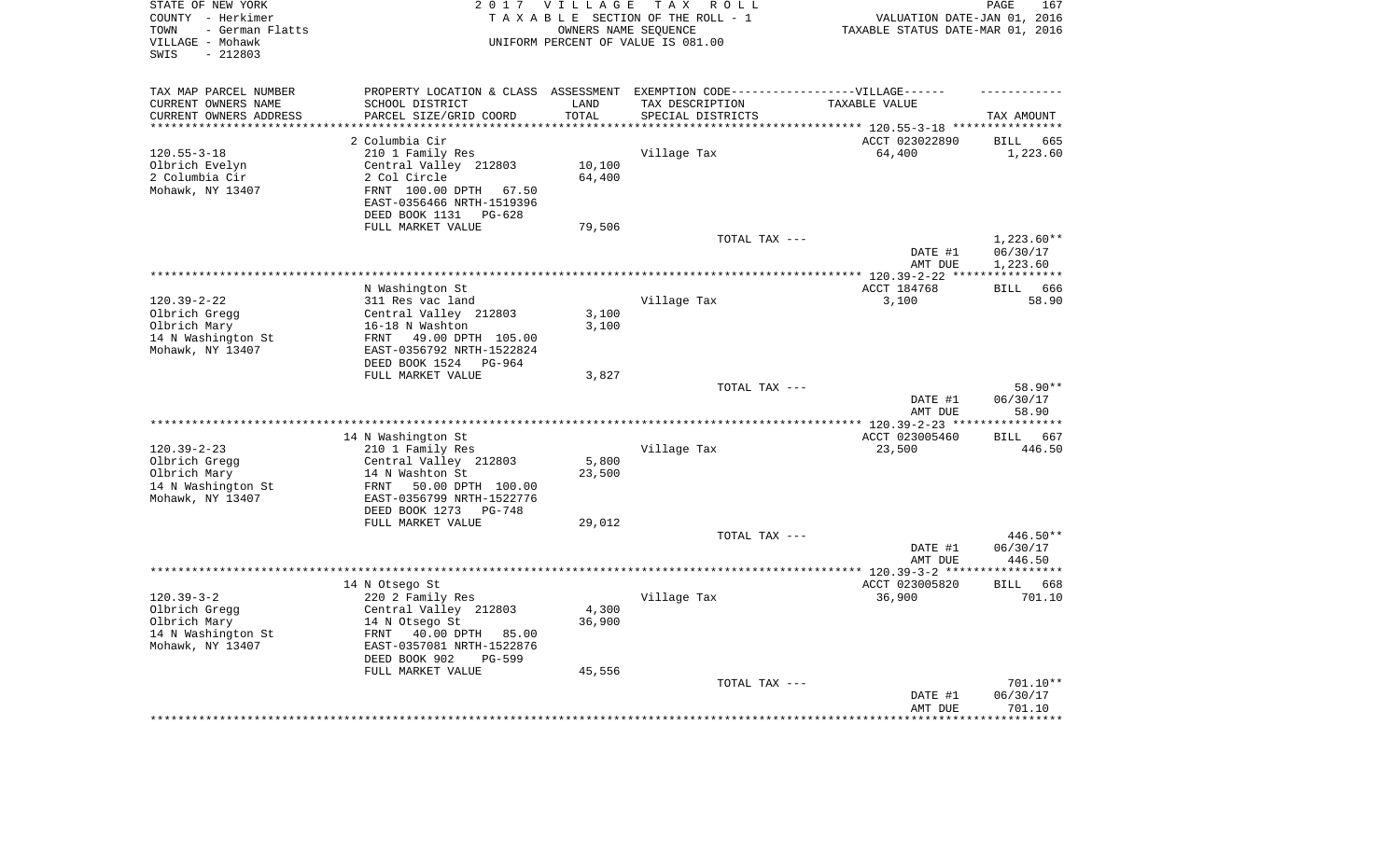| STATE OF NEW YORK<br>COUNTY - Herkimer<br>- German Flatts<br>TOWN<br>VILLAGE - Mohawk<br>$-212803$<br>SWIS | 2 0 1 7                                                                           | <b>VILLAGE</b><br>OWNERS NAME SEQUENCE | T A X<br>R O L L<br>TAXABLE SECTION OF THE ROLL - 1<br>UNIFORM PERCENT OF VALUE IS 081.00 | VALUATION DATE-JAN 01, 2016<br>TAXABLE STATUS DATE-MAR 01, 2016 | PAGE<br>167                  |
|------------------------------------------------------------------------------------------------------------|-----------------------------------------------------------------------------------|----------------------------------------|-------------------------------------------------------------------------------------------|-----------------------------------------------------------------|------------------------------|
| TAX MAP PARCEL NUMBER                                                                                      | PROPERTY LOCATION & CLASS ASSESSMENT EXEMPTION CODE-----------------VILLAGE------ |                                        |                                                                                           |                                                                 |                              |
| CURRENT OWNERS NAME                                                                                        | SCHOOL DISTRICT                                                                   | LAND                                   | TAX DESCRIPTION                                                                           | TAXABLE VALUE                                                   |                              |
| CURRENT OWNERS ADDRESS                                                                                     | PARCEL SIZE/GRID COORD<br>************************                                | TOTAL<br>**********                    | SPECIAL DISTRICTS                                                                         |                                                                 | TAX AMOUNT                   |
| *********************                                                                                      |                                                                                   |                                        |                                                                                           |                                                                 |                              |
|                                                                                                            | 2 Columbia Cir                                                                    |                                        |                                                                                           | ACCT 023022890                                                  | <b>BILL</b><br>665           |
| $120.55 - 3 - 18$                                                                                          | 210 1 Family Res                                                                  |                                        | Village Tax                                                                               | 64,400                                                          | 1,223.60                     |
| Olbrich Evelyn<br>2 Columbia Cir                                                                           | Central Valley 212803<br>2 Col Circle                                             | 10,100<br>64,400                       |                                                                                           |                                                                 |                              |
| Mohawk, NY 13407                                                                                           | FRNT 100.00 DPTH<br>67.50                                                         |                                        |                                                                                           |                                                                 |                              |
|                                                                                                            | EAST-0356466 NRTH-1519396                                                         |                                        |                                                                                           |                                                                 |                              |
|                                                                                                            | DEED BOOK 1131<br>PG-628<br>FULL MARKET VALUE                                     | 79,506                                 |                                                                                           |                                                                 |                              |
|                                                                                                            |                                                                                   |                                        | TOTAL TAX ---                                                                             |                                                                 | $1,223.60**$                 |
|                                                                                                            |                                                                                   |                                        |                                                                                           | DATE #1                                                         | 06/30/17                     |
|                                                                                                            |                                                                                   |                                        |                                                                                           | AMT DUE                                                         | 1,223.60                     |
|                                                                                                            |                                                                                   |                                        |                                                                                           | *** $120.39 - 2 - 22$ ***                                       | **********                   |
|                                                                                                            | N Washington St                                                                   |                                        |                                                                                           | ACCT 184768                                                     | 666<br><b>BILL</b>           |
| $120.39 - 2 - 22$                                                                                          | 311 Res vac land                                                                  |                                        | Village Tax                                                                               | 3,100                                                           | 58.90                        |
| Olbrich Gregg                                                                                              | Central Valley 212803<br>16-18 N Washton                                          | 3,100                                  |                                                                                           |                                                                 |                              |
| Olbrich Mary<br>14 N Washington St                                                                         | FRNT<br>49.00 DPTH 105.00                                                         | 3,100                                  |                                                                                           |                                                                 |                              |
| Mohawk, NY 13407                                                                                           | EAST-0356792 NRTH-1522824                                                         |                                        |                                                                                           |                                                                 |                              |
|                                                                                                            | DEED BOOK 1524<br>PG-964                                                          |                                        |                                                                                           |                                                                 |                              |
|                                                                                                            | FULL MARKET VALUE                                                                 | 3,827                                  |                                                                                           |                                                                 |                              |
|                                                                                                            |                                                                                   |                                        | TOTAL TAX ---                                                                             | DATE #1                                                         | 58.90**<br>06/30/17          |
|                                                                                                            |                                                                                   |                                        |                                                                                           | AMT DUE                                                         | 58.90<br>********            |
|                                                                                                            | 14 N Washington St                                                                |                                        |                                                                                           | ******** 120.39-2-23 ***<br>ACCT 023005460                      | 667<br><b>BILL</b>           |
| $120.39 - 2 - 23$                                                                                          | 210 1 Family Res                                                                  |                                        | Village Tax                                                                               | 23,500                                                          | 446.50                       |
| Olbrich Gregg                                                                                              | Central Valley 212803                                                             | 5,800                                  |                                                                                           |                                                                 |                              |
| Olbrich Mary                                                                                               | 14 N Washton St                                                                   | 23,500                                 |                                                                                           |                                                                 |                              |
| 14 N Washington St                                                                                         | 50.00 DPTH 100.00<br>FRNT                                                         |                                        |                                                                                           |                                                                 |                              |
| Mohawk, NY 13407                                                                                           | EAST-0356799 NRTH-1522776                                                         |                                        |                                                                                           |                                                                 |                              |
|                                                                                                            | DEED BOOK 1273<br>PG-748                                                          |                                        |                                                                                           |                                                                 |                              |
|                                                                                                            | FULL MARKET VALUE                                                                 | 29,012                                 |                                                                                           |                                                                 |                              |
|                                                                                                            |                                                                                   |                                        | TOTAL TAX ---                                                                             |                                                                 | 446.50**                     |
|                                                                                                            |                                                                                   |                                        |                                                                                           | DATE #1                                                         | 06/30/17                     |
|                                                                                                            |                                                                                   |                                        |                                                                                           | AMT DUE                                                         | 446.50                       |
|                                                                                                            |                                                                                   |                                        |                                                                                           |                                                                 | **********                   |
| $120.39 - 3 - 2$                                                                                           | 14 N Otsego St                                                                    |                                        | Village Tax                                                                               | ACCT 023005820<br>36,900                                        | <b>BILL</b><br>668<br>701.10 |
| Olbrich Gregg                                                                                              | 220 2 Family Res<br>Central Valley 212803                                         | 4,300                                  |                                                                                           |                                                                 |                              |
| Olbrich Mary                                                                                               | 14 N Otsego St                                                                    | 36,900                                 |                                                                                           |                                                                 |                              |
| 14 N Washington St                                                                                         | 40.00 DPTH<br>FRNT<br>85.00                                                       |                                        |                                                                                           |                                                                 |                              |
| Mohawk, NY 13407                                                                                           | EAST-0357081 NRTH-1522876                                                         |                                        |                                                                                           |                                                                 |                              |
|                                                                                                            | DEED BOOK 902<br>PG-599                                                           |                                        |                                                                                           |                                                                 |                              |
|                                                                                                            | FULL MARKET VALUE                                                                 | 45,556                                 |                                                                                           |                                                                 |                              |
|                                                                                                            |                                                                                   |                                        | TOTAL TAX ---                                                                             |                                                                 | 701.10**                     |
|                                                                                                            |                                                                                   |                                        |                                                                                           | DATE #1                                                         | 06/30/17                     |
|                                                                                                            |                                                                                   |                                        |                                                                                           | AMT DUE                                                         | 701.10                       |
|                                                                                                            |                                                                                   |                                        |                                                                                           |                                                                 | ********                     |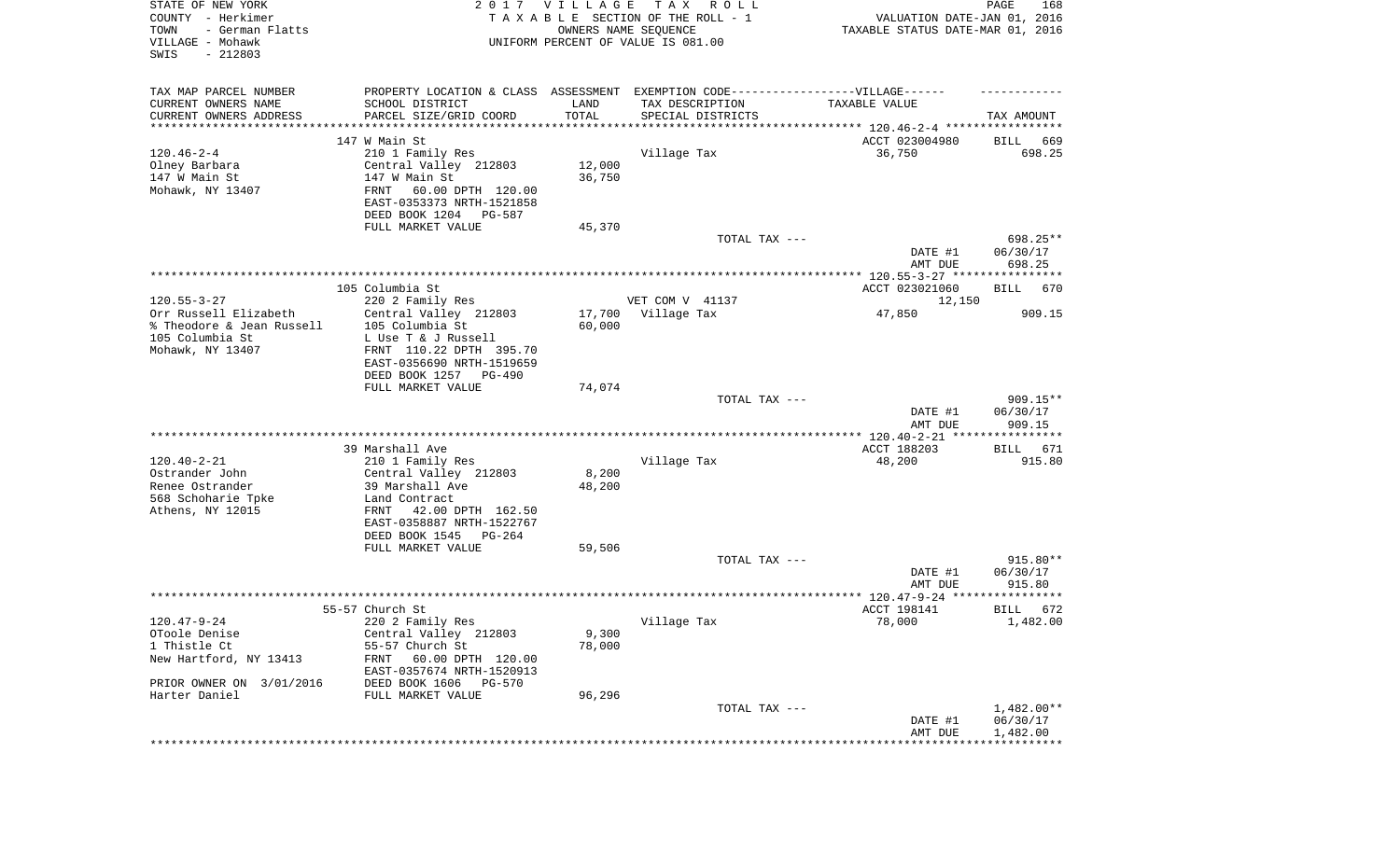| STATE OF NEW YORK<br>COUNTY - Herkimer<br>TOWN<br>- German Flatts<br>VILLAGE - Mohawk<br>$-212803$<br>SWIS |                                                      | 2017 VILLAGE | T A X<br>R O L L<br>TAXABLE SECTION OF THE ROLL - 1<br>OWNERS NAME SEQUENCE<br>UNIFORM PERCENT OF VALUE IS 081.00 | VALUATION DATE-JAN 01, 2016<br>TAXABLE STATUS DATE-MAR 01, 2016 | PAGE<br>168          |
|------------------------------------------------------------------------------------------------------------|------------------------------------------------------|--------------|-------------------------------------------------------------------------------------------------------------------|-----------------------------------------------------------------|----------------------|
| TAX MAP PARCEL NUMBER                                                                                      |                                                      |              | PROPERTY LOCATION & CLASS ASSESSMENT EXEMPTION CODE----------------VILLAGE------                                  |                                                                 |                      |
| CURRENT OWNERS NAME                                                                                        | SCHOOL DISTRICT                                      | LAND         | TAX DESCRIPTION                                                                                                   | TAXABLE VALUE                                                   |                      |
| CURRENT OWNERS ADDRESS<br>*********************                                                            | PARCEL SIZE/GRID COORD<br>****************           | TOTAL        | SPECIAL DISTRICTS<br>********************************* 120.46-2-4 *****************                               |                                                                 | TAX AMOUNT           |
|                                                                                                            | 147 W Main St                                        |              |                                                                                                                   | ACCT 023004980                                                  | BILL<br>669          |
| $120.46 - 2 - 4$                                                                                           | 210 1 Family Res                                     |              | Village Tax                                                                                                       | 36,750                                                          | 698.25               |
| Olney Barbara                                                                                              | Central Valley 212803                                | 12,000       |                                                                                                                   |                                                                 |                      |
| 147 W Main St                                                                                              | 147 W Main St                                        | 36,750       |                                                                                                                   |                                                                 |                      |
| Mohawk, NY 13407                                                                                           | FRNT<br>60.00 DPTH 120.00                            |              |                                                                                                                   |                                                                 |                      |
|                                                                                                            | EAST-0353373 NRTH-1521858                            |              |                                                                                                                   |                                                                 |                      |
|                                                                                                            | DEED BOOK 1204<br>PG-587                             |              |                                                                                                                   |                                                                 |                      |
|                                                                                                            | FULL MARKET VALUE                                    | 45,370       |                                                                                                                   |                                                                 |                      |
|                                                                                                            |                                                      |              | TOTAL TAX ---                                                                                                     | DATE #1                                                         | 698.25**<br>06/30/17 |
|                                                                                                            |                                                      |              |                                                                                                                   | AMT DUE                                                         | 698.25               |
|                                                                                                            |                                                      |              |                                                                                                                   |                                                                 |                      |
|                                                                                                            | 105 Columbia St                                      |              |                                                                                                                   | ACCT 023021060                                                  | <b>BILL</b><br>670   |
| $120.55 - 3 - 27$                                                                                          | 220 2 Family Res                                     |              | VET COM V 41137                                                                                                   | 12,150                                                          |                      |
| Orr Russell Elizabeth                                                                                      | Central Valley 212803                                | 17,700       | Village Tax                                                                                                       | 47,850                                                          | 909.15               |
| % Theodore & Jean Russell                                                                                  | 105 Columbia St                                      | 60,000       |                                                                                                                   |                                                                 |                      |
| 105 Columbia St                                                                                            | L Use T & J Russell                                  |              |                                                                                                                   |                                                                 |                      |
| Mohawk, NY 13407                                                                                           | FRNT 110.22 DPTH 395.70<br>EAST-0356690 NRTH-1519659 |              |                                                                                                                   |                                                                 |                      |
|                                                                                                            | DEED BOOK 1257<br>$PG-490$                           |              |                                                                                                                   |                                                                 |                      |
|                                                                                                            | FULL MARKET VALUE                                    | 74,074       |                                                                                                                   |                                                                 |                      |
|                                                                                                            |                                                      |              | TOTAL TAX ---                                                                                                     |                                                                 | $909.15**$           |
|                                                                                                            |                                                      |              |                                                                                                                   | DATE #1                                                         | 06/30/17             |
|                                                                                                            |                                                      |              |                                                                                                                   | AMT DUE                                                         | 909.15               |
|                                                                                                            | 39 Marshall Ave                                      |              |                                                                                                                   | ************* 120.40-2-21 *****************<br>ACCT 188203      | 671<br>BILL          |
| $120.40 - 2 - 21$                                                                                          | 210 1 Family Res                                     |              | Village Tax                                                                                                       | 48,200                                                          | 915.80               |
| Ostrander John                                                                                             | Central Valley 212803                                | 8,200        |                                                                                                                   |                                                                 |                      |
| Renee Ostrander                                                                                            | 39 Marshall Ave                                      | 48,200       |                                                                                                                   |                                                                 |                      |
| 568 Schoharie Tpke                                                                                         | Land Contract                                        |              |                                                                                                                   |                                                                 |                      |
| Athens, NY 12015                                                                                           | FRNT<br>42.00 DPTH 162.50                            |              |                                                                                                                   |                                                                 |                      |
|                                                                                                            | EAST-0358887 NRTH-1522767                            |              |                                                                                                                   |                                                                 |                      |
|                                                                                                            | DEED BOOK 1545 PG-264                                |              |                                                                                                                   |                                                                 |                      |
|                                                                                                            | FULL MARKET VALUE                                    | 59,506       | TOTAL TAX ---                                                                                                     |                                                                 | 915.80**             |
|                                                                                                            |                                                      |              |                                                                                                                   | DATE #1                                                         | 06/30/17             |
|                                                                                                            |                                                      |              |                                                                                                                   | AMT DUE                                                         | 915.80               |
|                                                                                                            |                                                      |              |                                                                                                                   |                                                                 |                      |
|                                                                                                            | 55-57 Church St                                      |              |                                                                                                                   | ACCT 198141                                                     | 672<br>BILL          |
| 120.47-9-24                                                                                                | 220 2 Family Res                                     |              | Village Tax                                                                                                       | 78,000                                                          | 1,482.00             |
| OToole Denise<br>1 Thistle Ct                                                                              | Central Valley 212803                                | 9,300        |                                                                                                                   |                                                                 |                      |
| New Hartford, NY 13413                                                                                     | 55-57 Church St<br>60.00 DPTH 120.00<br>FRNT         | 78,000       |                                                                                                                   |                                                                 |                      |
|                                                                                                            | EAST-0357674 NRTH-1520913                            |              |                                                                                                                   |                                                                 |                      |
| PRIOR OWNER ON 3/01/2016                                                                                   | DEED BOOK 1606 PG-570                                |              |                                                                                                                   |                                                                 |                      |
| Harter Daniel                                                                                              | FULL MARKET VALUE                                    | 96,296       |                                                                                                                   |                                                                 |                      |
|                                                                                                            |                                                      |              | TOTAL TAX ---                                                                                                     |                                                                 | $1,482.00**$         |
|                                                                                                            |                                                      |              |                                                                                                                   | DATE #1                                                         | 06/30/17             |
|                                                                                                            |                                                      |              |                                                                                                                   | AMT DUE                                                         | 1,482.00             |
|                                                                                                            |                                                      |              |                                                                                                                   |                                                                 |                      |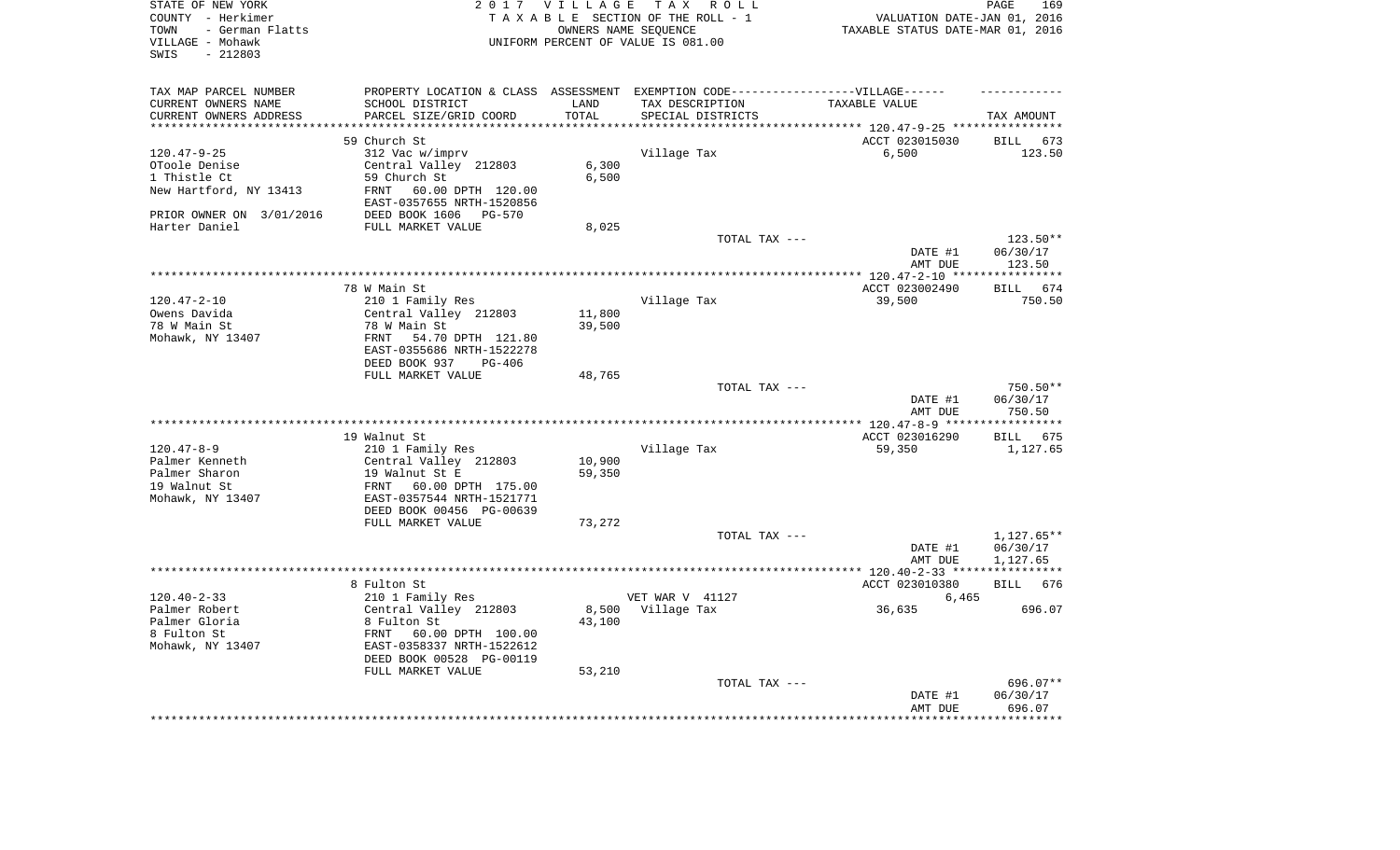| STATE OF NEW YORK<br>COUNTY - Herkimer<br>- German Flatts<br>TOWN<br>VILLAGE - Mohawk<br>$-212803$<br>SWIS |                                                       | 2017 VILLAGE           | TAX ROLL<br>TAXABLE SECTION OF THE ROLL - 1<br>OWNERS NAME SEQUENCE<br>UNIFORM PERCENT OF VALUE IS 081.00 | VALUATION DATE-JAN 01, 2016<br>TAXABLE STATUS DATE-MAR 01, 2016 | PAGE<br>169           |
|------------------------------------------------------------------------------------------------------------|-------------------------------------------------------|------------------------|-----------------------------------------------------------------------------------------------------------|-----------------------------------------------------------------|-----------------------|
| TAX MAP PARCEL NUMBER                                                                                      |                                                       |                        | PROPERTY LOCATION & CLASS ASSESSMENT EXEMPTION CODE-----------------VILLAGE------                         |                                                                 |                       |
| CURRENT OWNERS NAME                                                                                        | SCHOOL DISTRICT                                       | LAND                   | TAX DESCRIPTION                                                                                           | TAXABLE VALUE                                                   |                       |
| CURRENT OWNERS ADDRESS<br>**********************                                                           | PARCEL SIZE/GRID COORD<br>*************************** | TOTAL<br>************* | SPECIAL DISTRICTS                                                                                         |                                                                 | TAX AMOUNT            |
|                                                                                                            |                                                       |                        |                                                                                                           |                                                                 |                       |
|                                                                                                            | 59 Church St                                          |                        |                                                                                                           | ACCT 023015030                                                  | BILL<br>673           |
| $120.47 - 9 - 25$<br>OToole Denise                                                                         | 312 Vac w/imprv<br>Central Valley 212803              | 6,300                  | Village Tax                                                                                               | 6,500                                                           | 123.50                |
| 1 Thistle Ct                                                                                               | 59 Church St                                          | 6,500                  |                                                                                                           |                                                                 |                       |
| New Hartford, NY 13413                                                                                     | 60.00 DPTH 120.00<br><b>FRNT</b>                      |                        |                                                                                                           |                                                                 |                       |
|                                                                                                            | EAST-0357655 NRTH-1520856                             |                        |                                                                                                           |                                                                 |                       |
| PRIOR OWNER ON 3/01/2016                                                                                   | DEED BOOK 1606<br>$PG-570$                            |                        |                                                                                                           |                                                                 |                       |
| Harter Daniel                                                                                              | FULL MARKET VALUE                                     | 8,025                  |                                                                                                           |                                                                 |                       |
|                                                                                                            |                                                       |                        | TOTAL TAX ---                                                                                             |                                                                 | 123.50**              |
|                                                                                                            |                                                       |                        |                                                                                                           | DATE #1<br>AMT DUE                                              | 06/30/17<br>123.50    |
|                                                                                                            |                                                       |                        |                                                                                                           |                                                                 |                       |
|                                                                                                            | 78 W Main St                                          |                        |                                                                                                           | ACCT 023002490                                                  | <b>BILL</b><br>674    |
| $120.47 - 2 - 10$                                                                                          | 210 1 Family Res                                      |                        | Village Tax                                                                                               | 39,500                                                          | 750.50                |
| Owens Davida                                                                                               | Central Valley 212803                                 | 11,800                 |                                                                                                           |                                                                 |                       |
| 78 W Main St                                                                                               | 78 W Main St                                          | 39,500                 |                                                                                                           |                                                                 |                       |
| Mohawk, NY 13407                                                                                           | FRNT<br>54.70 DPTH 121.80                             |                        |                                                                                                           |                                                                 |                       |
|                                                                                                            | EAST-0355686 NRTH-1522278                             |                        |                                                                                                           |                                                                 |                       |
|                                                                                                            | DEED BOOK 937<br>PG-406                               | 48,765                 |                                                                                                           |                                                                 |                       |
|                                                                                                            | FULL MARKET VALUE                                     |                        | TOTAL TAX ---                                                                                             |                                                                 | 750.50**              |
|                                                                                                            |                                                       |                        |                                                                                                           | DATE #1                                                         | 06/30/17              |
|                                                                                                            |                                                       |                        |                                                                                                           | AMT DUE                                                         | 750.50                |
|                                                                                                            |                                                       |                        |                                                                                                           |                                                                 | * * * * * * * * * * * |
|                                                                                                            | 19 Walnut St                                          |                        |                                                                                                           | ACCT 023016290                                                  | 675<br>BILL           |
| $120.47 - 8 - 9$                                                                                           | 210 1 Family Res                                      |                        | Village Tax                                                                                               | 59,350                                                          | 1,127.65              |
| Palmer Kenneth<br>Palmer Sharon                                                                            | Central Valley 212803<br>19 Walnut St E               | 10,900<br>59,350       |                                                                                                           |                                                                 |                       |
| 19 Walnut St                                                                                               | 60.00 DPTH 175.00<br>FRNT                             |                        |                                                                                                           |                                                                 |                       |
| Mohawk, NY 13407                                                                                           | EAST-0357544 NRTH-1521771                             |                        |                                                                                                           |                                                                 |                       |
|                                                                                                            | DEED BOOK 00456 PG-00639                              |                        |                                                                                                           |                                                                 |                       |
|                                                                                                            | FULL MARKET VALUE                                     | 73,272                 |                                                                                                           |                                                                 |                       |
|                                                                                                            |                                                       |                        | TOTAL TAX ---                                                                                             |                                                                 | $1,127.65**$          |
|                                                                                                            |                                                       |                        |                                                                                                           | DATE #1                                                         | 06/30/17              |
|                                                                                                            |                                                       |                        |                                                                                                           | AMT DUE                                                         | 1,127.65              |
|                                                                                                            | 8 Fulton St                                           |                        |                                                                                                           | ACCT 023010380                                                  | <b>BILL</b><br>676    |
| $120.40 - 2 - 33$                                                                                          | 210 1 Family Res                                      |                        | VET WAR V 41127                                                                                           | 6,465                                                           |                       |
| Palmer Robert                                                                                              | Central Valley 212803                                 | 8,500                  | Village Tax                                                                                               | 36,635                                                          | 696.07                |
| Palmer Gloria                                                                                              | 8 Fulton St                                           | 43,100                 |                                                                                                           |                                                                 |                       |
| 8 Fulton St                                                                                                | FRNT<br>60.00 DPTH 100.00                             |                        |                                                                                                           |                                                                 |                       |
| Mohawk, NY 13407                                                                                           | EAST-0358337 NRTH-1522612                             |                        |                                                                                                           |                                                                 |                       |
|                                                                                                            | DEED BOOK 00528 PG-00119                              |                        |                                                                                                           |                                                                 |                       |
|                                                                                                            | FULL MARKET VALUE                                     | 53,210                 | TOTAL TAX ---                                                                                             |                                                                 | 696.07**              |
|                                                                                                            |                                                       |                        |                                                                                                           | DATE #1                                                         | 06/30/17              |
|                                                                                                            |                                                       |                        |                                                                                                           | AMT DUE                                                         | 696.07                |
|                                                                                                            |                                                       |                        |                                                                                                           |                                                                 | ************          |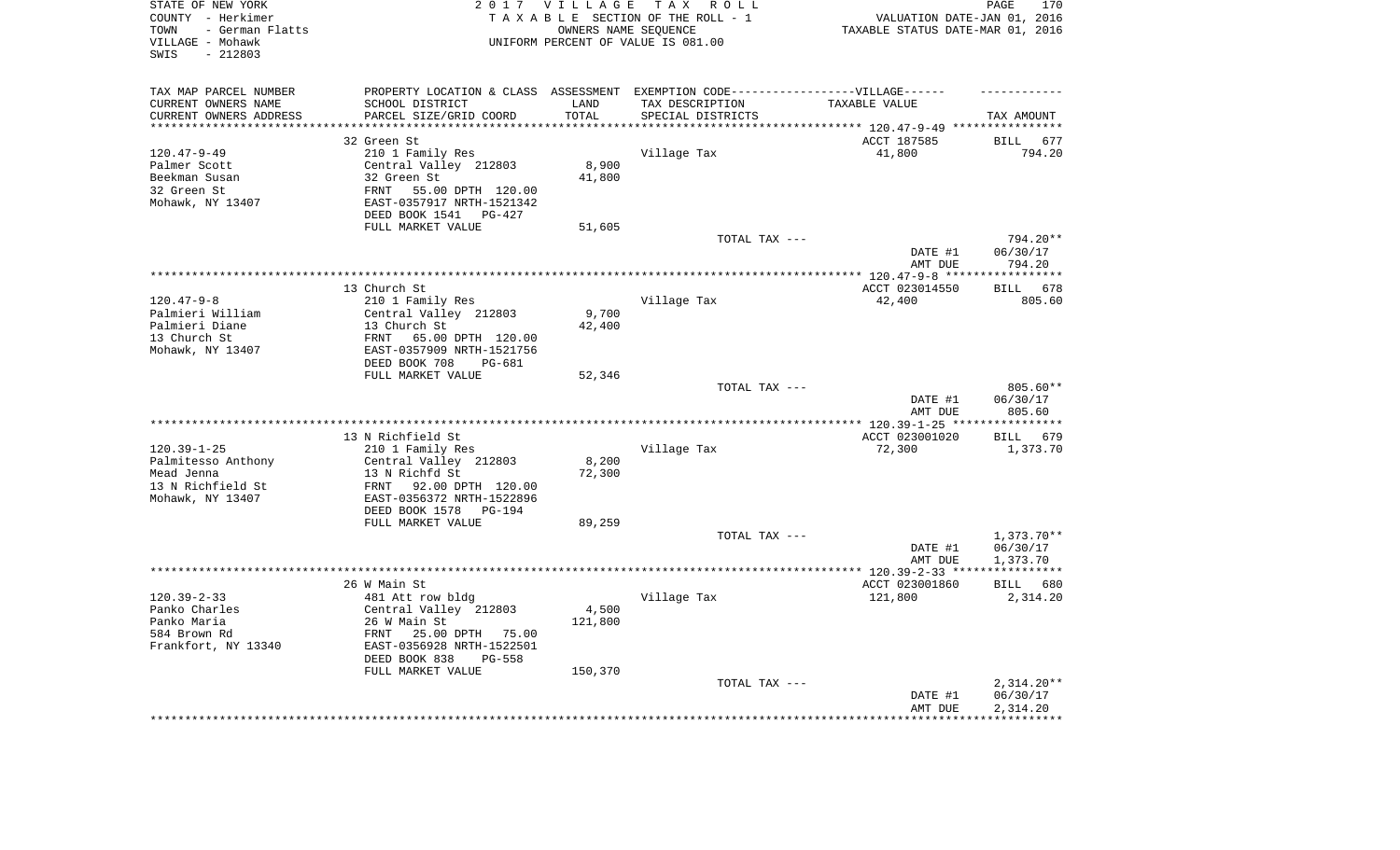| STATE OF NEW YORK<br>COUNTY - Herkimer<br>- German Flatts<br>TOWN<br>VILLAGE - Mohawk<br>$-212803$<br>SWIS |                                                                                   | 2017 VILLAGE         | TAX ROLL<br>TAXABLE SECTION OF THE ROLL - 1<br>OWNERS NAME SEQUENCE<br>UNIFORM PERCENT OF VALUE IS 081.00 | VALUATION DATE-JAN 01, 2016<br>TAXABLE STATUS DATE-MAR 01, 2016      | 170<br>PAGE                      |
|------------------------------------------------------------------------------------------------------------|-----------------------------------------------------------------------------------|----------------------|-----------------------------------------------------------------------------------------------------------|----------------------------------------------------------------------|----------------------------------|
| TAX MAP PARCEL NUMBER                                                                                      | PROPERTY LOCATION & CLASS ASSESSMENT EXEMPTION CODE-----------------VILLAGE------ |                      |                                                                                                           |                                                                      |                                  |
| CURRENT OWNERS NAME                                                                                        | SCHOOL DISTRICT                                                                   | LAND                 | TAX DESCRIPTION                                                                                           | TAXABLE VALUE                                                        |                                  |
| CURRENT OWNERS ADDRESS<br>*********************                                                            | PARCEL SIZE/GRID COORD<br>***************************                             | TOTAL<br>*********** | SPECIAL DISTRICTS                                                                                         | ************************************** 120.47-9-49 ***************** | TAX AMOUNT                       |
|                                                                                                            | 32 Green St                                                                       |                      |                                                                                                           | ACCT 187585                                                          | BILL<br>677                      |
| $120.47 - 9 - 49$                                                                                          | 210 1 Family Res                                                                  |                      | Village Tax                                                                                               | 41,800                                                               | 794.20                           |
| Palmer Scott                                                                                               | Central Valley 212803                                                             | 8,900                |                                                                                                           |                                                                      |                                  |
| Beekman Susan                                                                                              | 32 Green St                                                                       | 41,800               |                                                                                                           |                                                                      |                                  |
| 32 Green St                                                                                                | FRNT<br>55.00 DPTH 120.00                                                         |                      |                                                                                                           |                                                                      |                                  |
| Mohawk, NY 13407                                                                                           | EAST-0357917 NRTH-1521342                                                         |                      |                                                                                                           |                                                                      |                                  |
|                                                                                                            | DEED BOOK 1541 PG-427                                                             |                      |                                                                                                           |                                                                      |                                  |
|                                                                                                            | FULL MARKET VALUE                                                                 | 51,605               |                                                                                                           |                                                                      |                                  |
|                                                                                                            |                                                                                   |                      | TOTAL TAX ---                                                                                             |                                                                      | 794.20**                         |
|                                                                                                            |                                                                                   |                      |                                                                                                           | DATE #1                                                              | 06/30/17                         |
|                                                                                                            |                                                                                   |                      |                                                                                                           | AMT DUE                                                              | 794.20<br>************           |
|                                                                                                            | 13 Church St                                                                      |                      |                                                                                                           | ******** 120.47-9-8 *****<br>ACCT 023014550                          | 678<br><b>BILL</b>               |
| $120.47 - 9 - 8$                                                                                           | 210 1 Family Res                                                                  |                      | Village Tax                                                                                               | 42,400                                                               | 805.60                           |
| Palmieri William                                                                                           | Central Valley 212803                                                             | 9,700                |                                                                                                           |                                                                      |                                  |
| Palmieri Diane                                                                                             | 13 Church St                                                                      | 42,400               |                                                                                                           |                                                                      |                                  |
| 13 Church St                                                                                               | FRNT<br>65.00 DPTH 120.00                                                         |                      |                                                                                                           |                                                                      |                                  |
| Mohawk, NY 13407                                                                                           | EAST-0357909 NRTH-1521756                                                         |                      |                                                                                                           |                                                                      |                                  |
|                                                                                                            | DEED BOOK 708<br>$PG-681$                                                         |                      |                                                                                                           |                                                                      |                                  |
|                                                                                                            | FULL MARKET VALUE                                                                 | 52,346               |                                                                                                           |                                                                      |                                  |
|                                                                                                            |                                                                                   |                      | TOTAL TAX ---                                                                                             | DATE #1<br>AMT DUE                                                   | $805.60**$<br>06/30/17<br>805.60 |
|                                                                                                            | *****************************                                                     |                      | ************************                                                                                  | *** 120.39-1-25 **                                                   | * * * * * * * * * *              |
|                                                                                                            | 13 N Richfield St                                                                 |                      |                                                                                                           | ACCT 023001020                                                       | BILL 679                         |
| $120.39 - 1 - 25$                                                                                          | 210 1 Family Res                                                                  |                      | Village Tax                                                                                               | 72,300                                                               | 1,373.70                         |
| Palmitesso Anthony                                                                                         | Central Valley 212803                                                             | 8,200                |                                                                                                           |                                                                      |                                  |
| Mead Jenna                                                                                                 | 13 N Richfd St                                                                    | 72,300               |                                                                                                           |                                                                      |                                  |
| 13 N Richfield St                                                                                          | FRNT<br>92.00 DPTH 120.00                                                         |                      |                                                                                                           |                                                                      |                                  |
| Mohawk, NY 13407                                                                                           | EAST-0356372 NRTH-1522896                                                         |                      |                                                                                                           |                                                                      |                                  |
|                                                                                                            | DEED BOOK 1578<br>PG-194                                                          |                      |                                                                                                           |                                                                      |                                  |
|                                                                                                            | FULL MARKET VALUE                                                                 | 89,259               | TOTAL TAX ---                                                                                             |                                                                      | 1,373.70**                       |
|                                                                                                            |                                                                                   |                      |                                                                                                           | DATE #1                                                              | 06/30/17                         |
|                                                                                                            |                                                                                   |                      |                                                                                                           | AMT DUE                                                              | 1,373.70                         |
| *********************                                                                                      |                                                                                   |                      |                                                                                                           | **************** 120.39-2-33 *****************                       |                                  |
|                                                                                                            | 26 W Main St                                                                      |                      |                                                                                                           | ACCT 023001860                                                       | BILL 680                         |
| $120.39 - 2 - 33$                                                                                          | 481 Att row bldg                                                                  |                      | Village Tax                                                                                               | 121,800                                                              | 2,314.20                         |
| Panko Charles                                                                                              | Central Valley 212803                                                             | 4,500                |                                                                                                           |                                                                      |                                  |
| Panko Maria                                                                                                | 26 W Main St                                                                      | 121,800              |                                                                                                           |                                                                      |                                  |
| 584 Brown Rd<br>Frankfort, NY 13340                                                                        | 25.00 DPTH 75.00<br>FRNT<br>EAST-0356928 NRTH-1522501                             |                      |                                                                                                           |                                                                      |                                  |
|                                                                                                            | DEED BOOK 838<br>$PG-558$                                                         |                      |                                                                                                           |                                                                      |                                  |
|                                                                                                            | FULL MARKET VALUE                                                                 | 150,370              |                                                                                                           |                                                                      |                                  |
|                                                                                                            |                                                                                   |                      | TOTAL TAX ---                                                                                             |                                                                      | $2,314.20**$                     |
|                                                                                                            |                                                                                   |                      |                                                                                                           | DATE #1                                                              | 06/30/17                         |
|                                                                                                            |                                                                                   |                      |                                                                                                           | AMT DUE                                                              | 2,314.20                         |
|                                                                                                            |                                                                                   |                      |                                                                                                           |                                                                      | *********                        |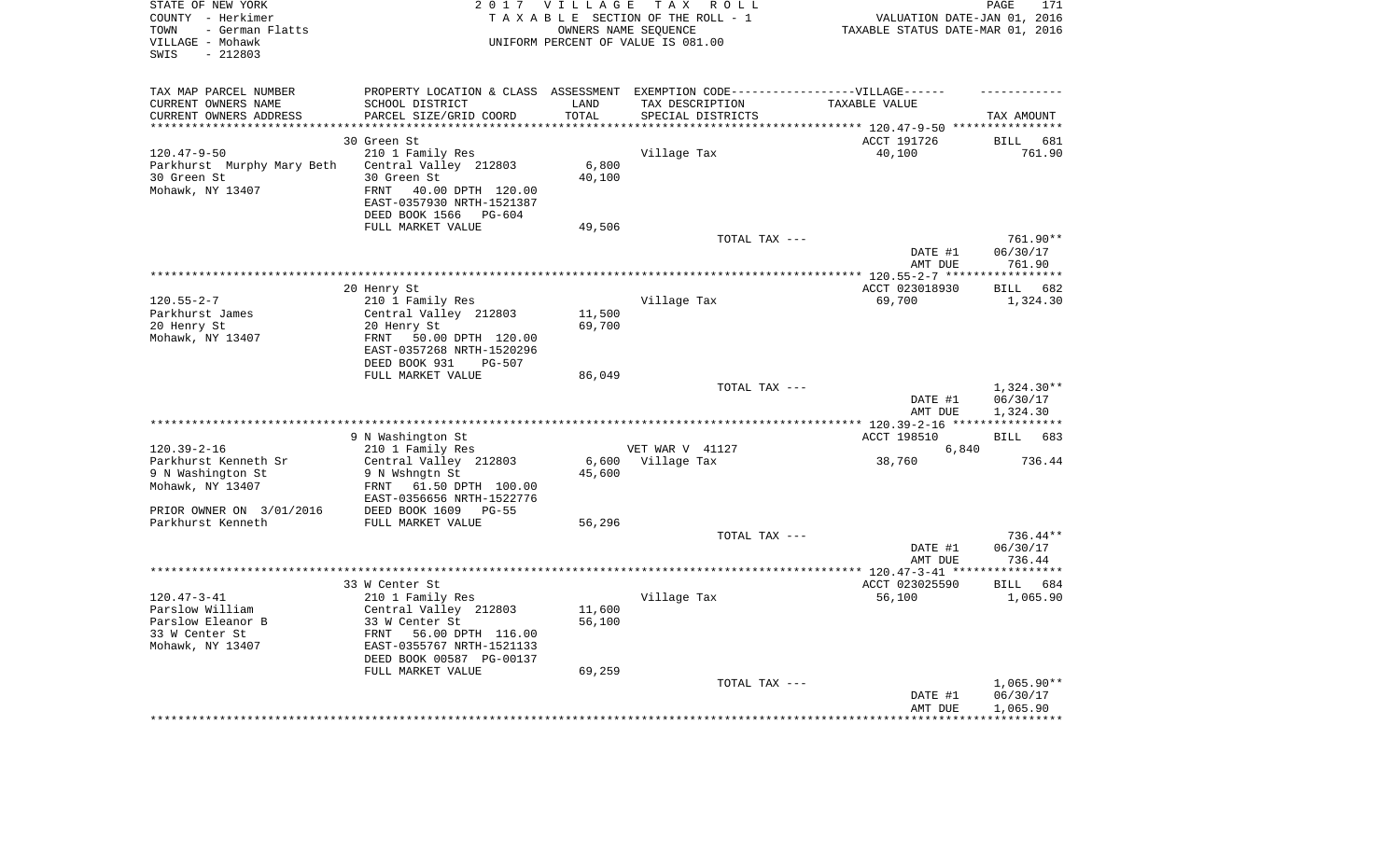| STATE OF NEW YORK<br>COUNTY - Herkimer<br>- German Flatts<br>TOWN<br>VILLAGE - Mohawk<br>$-212803$<br>SWIS |                                                                                  | 2017 VILLAGE<br>OWNERS NAME SEQUENCE | TAX ROLL<br>TAXABLE SECTION OF THE ROLL - 1<br>UNIFORM PERCENT OF VALUE IS 081.00 | VALUATION DATE-JAN 01, 2016<br>TAXABLE STATUS DATE-MAR 01, 2016 | PAGE<br>171                  |
|------------------------------------------------------------------------------------------------------------|----------------------------------------------------------------------------------|--------------------------------------|-----------------------------------------------------------------------------------|-----------------------------------------------------------------|------------------------------|
| TAX MAP PARCEL NUMBER                                                                                      | PROPERTY LOCATION & CLASS ASSESSMENT EXEMPTION CODE----------------VILLAGE------ |                                      |                                                                                   |                                                                 |                              |
| CURRENT OWNERS NAME                                                                                        | SCHOOL DISTRICT                                                                  | LAND                                 | TAX DESCRIPTION                                                                   | TAXABLE VALUE                                                   |                              |
| CURRENT OWNERS ADDRESS<br>*********************                                                            | PARCEL SIZE/GRID COORD<br>************************                               | TOTAL<br>*********                   | SPECIAL DISTRICTS                                                                 |                                                                 | TAX AMOUNT                   |
|                                                                                                            |                                                                                  |                                      |                                                                                   |                                                                 |                              |
| $120.47 - 9 - 50$                                                                                          | 30 Green St<br>210 1 Family Res                                                  |                                      | Village Tax                                                                       | ACCT 191726<br>40,100                                           | <b>BILL</b><br>681<br>761.90 |
| Parkhurst Murphy Mary Beth                                                                                 | Central Valley 212803                                                            | 6,800                                |                                                                                   |                                                                 |                              |
| 30 Green St                                                                                                | 30 Green St                                                                      | 40,100                               |                                                                                   |                                                                 |                              |
| Mohawk, NY 13407                                                                                           | FRNT<br>40.00 DPTH 120.00                                                        |                                      |                                                                                   |                                                                 |                              |
|                                                                                                            | EAST-0357930 NRTH-1521387                                                        |                                      |                                                                                   |                                                                 |                              |
|                                                                                                            | DEED BOOK 1566<br>PG-604                                                         |                                      |                                                                                   |                                                                 |                              |
|                                                                                                            | FULL MARKET VALUE                                                                | 49,506                               |                                                                                   |                                                                 |                              |
|                                                                                                            |                                                                                  |                                      | TOTAL TAX ---                                                                     |                                                                 | 761.90**                     |
|                                                                                                            |                                                                                  |                                      |                                                                                   | DATE #1                                                         | 06/30/17<br>761.90           |
|                                                                                                            |                                                                                  |                                      |                                                                                   | AMT DUE<br>************ 120.55-2-7 *****                        | ***********                  |
|                                                                                                            | 20 Henry St                                                                      |                                      |                                                                                   | ACCT 023018930                                                  | 682<br>BILL                  |
| $120.55 - 2 - 7$                                                                                           | 210 1 Family Res                                                                 |                                      | Village Tax                                                                       | 69,700                                                          | 1,324.30                     |
| Parkhurst James                                                                                            | Central Valley 212803                                                            | 11,500                               |                                                                                   |                                                                 |                              |
| 20 Henry St                                                                                                | 20 Henry St                                                                      | 69,700                               |                                                                                   |                                                                 |                              |
| Mohawk, NY 13407                                                                                           | FRNT<br>50.00 DPTH 120.00                                                        |                                      |                                                                                   |                                                                 |                              |
|                                                                                                            | EAST-0357268 NRTH-1520296<br>DEED BOOK 931<br>$PG-507$                           |                                      |                                                                                   |                                                                 |                              |
|                                                                                                            | FULL MARKET VALUE                                                                | 86,049                               |                                                                                   |                                                                 |                              |
|                                                                                                            |                                                                                  |                                      | TOTAL TAX ---                                                                     |                                                                 | $1,324.30**$                 |
|                                                                                                            |                                                                                  |                                      |                                                                                   | DATE #1<br>AMT DUE                                              | 06/30/17<br>1,324.30         |
|                                                                                                            |                                                                                  |                                      |                                                                                   | ****** 120.39-2-16 ****                                         | ************                 |
|                                                                                                            | 9 N Washington St                                                                |                                      |                                                                                   | ACCT 198510                                                     | 683<br>BILL                  |
| $120.39 - 2 - 16$                                                                                          | 210 1 Family Res                                                                 |                                      | VET WAR V 41127                                                                   | 6,840                                                           |                              |
| Parkhurst Kenneth Sr                                                                                       | Central Valley 212803                                                            | 6,600                                | Village Tax                                                                       | 38,760                                                          | 736.44                       |
| 9 N Washington St                                                                                          | 9 N Wshngtn St                                                                   | 45,600                               |                                                                                   |                                                                 |                              |
| Mohawk, NY 13407                                                                                           | 61.50 DPTH 100.00<br>FRNT<br>EAST-0356656 NRTH-1522776                           |                                      |                                                                                   |                                                                 |                              |
| PRIOR OWNER ON 3/01/2016                                                                                   | DEED BOOK 1609 PG-55                                                             |                                      |                                                                                   |                                                                 |                              |
| Parkhurst Kenneth                                                                                          | FULL MARKET VALUE                                                                | 56,296                               |                                                                                   |                                                                 |                              |
|                                                                                                            |                                                                                  |                                      | TOTAL TAX ---                                                                     |                                                                 | $736.44**$                   |
|                                                                                                            |                                                                                  |                                      |                                                                                   | DATE #1                                                         | 06/30/17                     |
|                                                                                                            |                                                                                  |                                      |                                                                                   | AMT DUE                                                         | 736.44                       |
|                                                                                                            |                                                                                  |                                      |                                                                                   |                                                                 |                              |
| $120.47 - 3 - 41$                                                                                          | 33 W Center St<br>210 1 Family Res                                               |                                      | Village Tax                                                                       | ACCT 023025590<br>56,100                                        | BILL<br>684<br>1,065.90      |
| Parslow William                                                                                            | Central Valley 212803                                                            | 11,600                               |                                                                                   |                                                                 |                              |
| Parslow Eleanor B                                                                                          | 33 W Center St                                                                   | 56,100                               |                                                                                   |                                                                 |                              |
| 33 W Center St                                                                                             | FRNT<br>56.00 DPTH 116.00                                                        |                                      |                                                                                   |                                                                 |                              |
| Mohawk, NY 13407                                                                                           | EAST-0355767 NRTH-1521133                                                        |                                      |                                                                                   |                                                                 |                              |
|                                                                                                            | DEED BOOK 00587 PG-00137                                                         |                                      |                                                                                   |                                                                 |                              |
|                                                                                                            | FULL MARKET VALUE                                                                | 69,259                               |                                                                                   |                                                                 |                              |
|                                                                                                            |                                                                                  |                                      | TOTAL TAX ---                                                                     |                                                                 | $1,065.90**$<br>06/30/17     |
|                                                                                                            |                                                                                  |                                      |                                                                                   | DATE #1<br>AMT DUE                                              | 1,065.90                     |
|                                                                                                            |                                                                                  |                                      |                                                                                   |                                                                 |                              |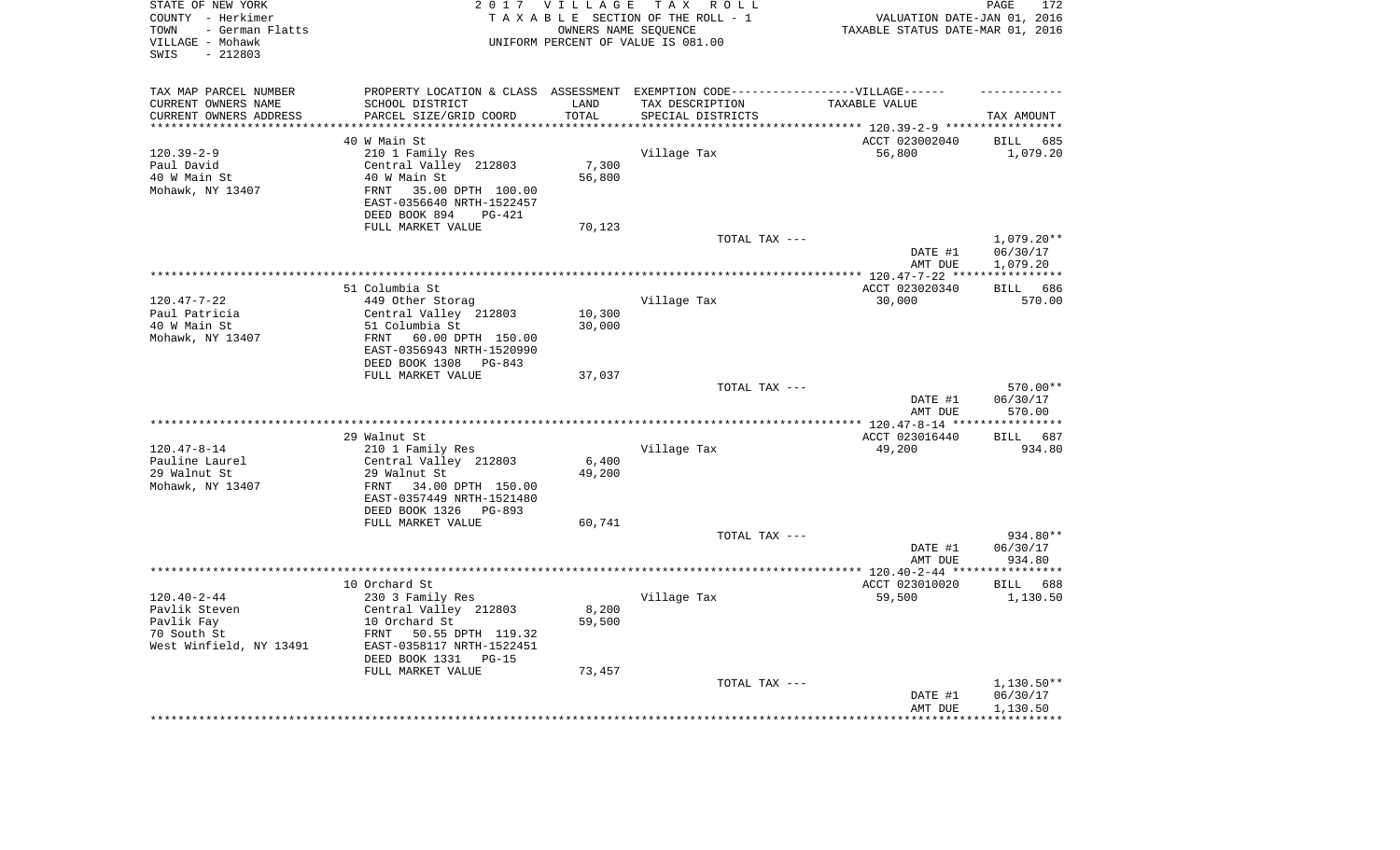| TAX MAP PARCEL NUMBER<br>PROPERTY LOCATION & CLASS ASSESSMENT EXEMPTION CODE-----------------VILLAGE------<br>SCHOOL DISTRICT<br>CURRENT OWNERS NAME<br>LAND<br>TAX DESCRIPTION<br>TAXABLE VALUE<br>TOTAL<br>CURRENT OWNERS ADDRESS<br>PARCEL SIZE/GRID COORD<br>SPECIAL DISTRICTS<br>TAX AMOUNT<br>********<br>********************************* 120.39-2-9 *****************<br>*********************<br>40 W Main St<br>ACCT 023002040<br><b>BILL</b><br>685<br>$120.39 - 2 - 9$<br>210 1 Family Res<br>Village Tax<br>56,800<br>1,079.20<br>Central Valley 212803<br>7,300<br>Paul David<br>40 W Main St<br>40 W Main St<br>56,800<br>35.00 DPTH 100.00<br>Mohawk, NY 13407<br><b>FRNT</b><br>EAST-0356640 NRTH-1522457<br>DEED BOOK 894<br><b>PG-421</b><br>FULL MARKET VALUE<br>70,123<br>TOTAL TAX ---<br>$1,079.20**$<br>DATE #1<br>06/30/17<br>AMT DUE<br>1,079.20<br>************* 120.47-7-22 ****<br>* * * * * * * * * * * *<br>51 Columbia St<br>ACCT 023020340<br>686<br>BILL<br>$120.47 - 7 - 22$<br>Village Tax<br>30,000<br>449 Other Storag<br>570.00<br>Paul Patricia<br>Central Valley 212803<br>10,300<br>40 W Main St<br>51 Columbia St<br>30,000<br>Mohawk, NY 13407<br>FRNT<br>60.00 DPTH 150.00<br>EAST-0356943 NRTH-1520990<br>DEED BOOK 1308<br>PG-843<br>FULL MARKET VALUE<br>37,037<br>570.00**<br>TOTAL TAX ---<br>DATE #1<br>06/30/17<br>AMT DUE<br>570.00<br>**********<br>29 Walnut St<br>ACCT 023016440<br>687<br><b>BILL</b><br>$120.47 - 8 - 14$<br>Village Tax<br>210 1 Family Res<br>49,200<br>934.80<br>Pauline Laurel<br>Central Valley 212803<br>6,400<br>29 Walnut St<br>29 Walnut St<br>49,200<br>Mohawk, NY 13407<br>34.00 DPTH 150.00<br>FRNT<br>EAST-0357449 NRTH-1521480<br>DEED BOOK 1326<br>PG-893<br>FULL MARKET VALUE<br>60,741<br>934.80**<br>TOTAL TAX ---<br>DATE #1<br>06/30/17<br>AMT DUE<br>934.80<br>*******************<br>**********<br>ACCT 023010020<br>10 Orchard St<br><b>BILL</b><br>688<br>$120.40 - 2 - 44$<br>230 3 Family Res<br>59,500<br>Village Tax<br>1,130.50<br>Pavlik Steven<br>Central Valley 212803<br>8,200<br>10 Orchard St<br>Pavlik Fay<br>59,500<br>70 South St<br><b>FRNT</b><br>50.55 DPTH 119.32<br>EAST-0358117 NRTH-1522451<br>West Winfield, NY 13491<br>DEED BOOK 1331<br>$PG-15$<br>FULL MARKET VALUE<br>73,457<br>TOTAL TAX ---<br>$1,130.50**$<br>06/30/17<br>DATE #1<br>AMT DUE<br>1,130.50<br>* * * * * * * * * | STATE OF NEW YORK<br>COUNTY - Herkimer<br>- German Flatts<br>TOWN<br>VILLAGE - Mohawk<br>$-212803$<br>SWIS | 2017 VILLAGE | TAX ROLL<br>TAXABLE SECTION OF THE ROLL - 1<br>OWNERS NAME SEQUENCE<br>UNIFORM PERCENT OF VALUE IS 081.00 | VALUATION DATE-JAN 01, 2016<br>TAXABLE STATUS DATE-MAR 01, 2016 | PAGE<br>172 |
|----------------------------------------------------------------------------------------------------------------------------------------------------------------------------------------------------------------------------------------------------------------------------------------------------------------------------------------------------------------------------------------------------------------------------------------------------------------------------------------------------------------------------------------------------------------------------------------------------------------------------------------------------------------------------------------------------------------------------------------------------------------------------------------------------------------------------------------------------------------------------------------------------------------------------------------------------------------------------------------------------------------------------------------------------------------------------------------------------------------------------------------------------------------------------------------------------------------------------------------------------------------------------------------------------------------------------------------------------------------------------------------------------------------------------------------------------------------------------------------------------------------------------------------------------------------------------------------------------------------------------------------------------------------------------------------------------------------------------------------------------------------------------------------------------------------------------------------------------------------------------------------------------------------------------------------------------------------------------------------------------------------------------------------------------------------------------------------------------------------------------------------------------------------------------------------------------------------------------------------------------------------------------------------------------------------------------------------------------------------------------------------------------------------|------------------------------------------------------------------------------------------------------------|--------------|-----------------------------------------------------------------------------------------------------------|-----------------------------------------------------------------|-------------|
|                                                                                                                                                                                                                                                                                                                                                                                                                                                                                                                                                                                                                                                                                                                                                                                                                                                                                                                                                                                                                                                                                                                                                                                                                                                                                                                                                                                                                                                                                                                                                                                                                                                                                                                                                                                                                                                                                                                                                                                                                                                                                                                                                                                                                                                                                                                                                                                                                |                                                                                                            |              |                                                                                                           |                                                                 |             |
|                                                                                                                                                                                                                                                                                                                                                                                                                                                                                                                                                                                                                                                                                                                                                                                                                                                                                                                                                                                                                                                                                                                                                                                                                                                                                                                                                                                                                                                                                                                                                                                                                                                                                                                                                                                                                                                                                                                                                                                                                                                                                                                                                                                                                                                                                                                                                                                                                |                                                                                                            |              |                                                                                                           |                                                                 |             |
|                                                                                                                                                                                                                                                                                                                                                                                                                                                                                                                                                                                                                                                                                                                                                                                                                                                                                                                                                                                                                                                                                                                                                                                                                                                                                                                                                                                                                                                                                                                                                                                                                                                                                                                                                                                                                                                                                                                                                                                                                                                                                                                                                                                                                                                                                                                                                                                                                |                                                                                                            |              |                                                                                                           |                                                                 |             |
|                                                                                                                                                                                                                                                                                                                                                                                                                                                                                                                                                                                                                                                                                                                                                                                                                                                                                                                                                                                                                                                                                                                                                                                                                                                                                                                                                                                                                                                                                                                                                                                                                                                                                                                                                                                                                                                                                                                                                                                                                                                                                                                                                                                                                                                                                                                                                                                                                |                                                                                                            |              |                                                                                                           |                                                                 |             |
|                                                                                                                                                                                                                                                                                                                                                                                                                                                                                                                                                                                                                                                                                                                                                                                                                                                                                                                                                                                                                                                                                                                                                                                                                                                                                                                                                                                                                                                                                                                                                                                                                                                                                                                                                                                                                                                                                                                                                                                                                                                                                                                                                                                                                                                                                                                                                                                                                |                                                                                                            |              |                                                                                                           |                                                                 |             |
|                                                                                                                                                                                                                                                                                                                                                                                                                                                                                                                                                                                                                                                                                                                                                                                                                                                                                                                                                                                                                                                                                                                                                                                                                                                                                                                                                                                                                                                                                                                                                                                                                                                                                                                                                                                                                                                                                                                                                                                                                                                                                                                                                                                                                                                                                                                                                                                                                |                                                                                                            |              |                                                                                                           |                                                                 |             |
|                                                                                                                                                                                                                                                                                                                                                                                                                                                                                                                                                                                                                                                                                                                                                                                                                                                                                                                                                                                                                                                                                                                                                                                                                                                                                                                                                                                                                                                                                                                                                                                                                                                                                                                                                                                                                                                                                                                                                                                                                                                                                                                                                                                                                                                                                                                                                                                                                |                                                                                                            |              |                                                                                                           |                                                                 |             |
|                                                                                                                                                                                                                                                                                                                                                                                                                                                                                                                                                                                                                                                                                                                                                                                                                                                                                                                                                                                                                                                                                                                                                                                                                                                                                                                                                                                                                                                                                                                                                                                                                                                                                                                                                                                                                                                                                                                                                                                                                                                                                                                                                                                                                                                                                                                                                                                                                |                                                                                                            |              |                                                                                                           |                                                                 |             |
|                                                                                                                                                                                                                                                                                                                                                                                                                                                                                                                                                                                                                                                                                                                                                                                                                                                                                                                                                                                                                                                                                                                                                                                                                                                                                                                                                                                                                                                                                                                                                                                                                                                                                                                                                                                                                                                                                                                                                                                                                                                                                                                                                                                                                                                                                                                                                                                                                |                                                                                                            |              |                                                                                                           |                                                                 |             |
|                                                                                                                                                                                                                                                                                                                                                                                                                                                                                                                                                                                                                                                                                                                                                                                                                                                                                                                                                                                                                                                                                                                                                                                                                                                                                                                                                                                                                                                                                                                                                                                                                                                                                                                                                                                                                                                                                                                                                                                                                                                                                                                                                                                                                                                                                                                                                                                                                |                                                                                                            |              |                                                                                                           |                                                                 |             |
|                                                                                                                                                                                                                                                                                                                                                                                                                                                                                                                                                                                                                                                                                                                                                                                                                                                                                                                                                                                                                                                                                                                                                                                                                                                                                                                                                                                                                                                                                                                                                                                                                                                                                                                                                                                                                                                                                                                                                                                                                                                                                                                                                                                                                                                                                                                                                                                                                |                                                                                                            |              |                                                                                                           |                                                                 |             |
|                                                                                                                                                                                                                                                                                                                                                                                                                                                                                                                                                                                                                                                                                                                                                                                                                                                                                                                                                                                                                                                                                                                                                                                                                                                                                                                                                                                                                                                                                                                                                                                                                                                                                                                                                                                                                                                                                                                                                                                                                                                                                                                                                                                                                                                                                                                                                                                                                |                                                                                                            |              |                                                                                                           |                                                                 |             |
|                                                                                                                                                                                                                                                                                                                                                                                                                                                                                                                                                                                                                                                                                                                                                                                                                                                                                                                                                                                                                                                                                                                                                                                                                                                                                                                                                                                                                                                                                                                                                                                                                                                                                                                                                                                                                                                                                                                                                                                                                                                                                                                                                                                                                                                                                                                                                                                                                |                                                                                                            |              |                                                                                                           |                                                                 |             |
|                                                                                                                                                                                                                                                                                                                                                                                                                                                                                                                                                                                                                                                                                                                                                                                                                                                                                                                                                                                                                                                                                                                                                                                                                                                                                                                                                                                                                                                                                                                                                                                                                                                                                                                                                                                                                                                                                                                                                                                                                                                                                                                                                                                                                                                                                                                                                                                                                |                                                                                                            |              |                                                                                                           |                                                                 |             |
|                                                                                                                                                                                                                                                                                                                                                                                                                                                                                                                                                                                                                                                                                                                                                                                                                                                                                                                                                                                                                                                                                                                                                                                                                                                                                                                                                                                                                                                                                                                                                                                                                                                                                                                                                                                                                                                                                                                                                                                                                                                                                                                                                                                                                                                                                                                                                                                                                |                                                                                                            |              |                                                                                                           |                                                                 |             |
|                                                                                                                                                                                                                                                                                                                                                                                                                                                                                                                                                                                                                                                                                                                                                                                                                                                                                                                                                                                                                                                                                                                                                                                                                                                                                                                                                                                                                                                                                                                                                                                                                                                                                                                                                                                                                                                                                                                                                                                                                                                                                                                                                                                                                                                                                                                                                                                                                |                                                                                                            |              |                                                                                                           |                                                                 |             |
|                                                                                                                                                                                                                                                                                                                                                                                                                                                                                                                                                                                                                                                                                                                                                                                                                                                                                                                                                                                                                                                                                                                                                                                                                                                                                                                                                                                                                                                                                                                                                                                                                                                                                                                                                                                                                                                                                                                                                                                                                                                                                                                                                                                                                                                                                                                                                                                                                |                                                                                                            |              |                                                                                                           |                                                                 |             |
|                                                                                                                                                                                                                                                                                                                                                                                                                                                                                                                                                                                                                                                                                                                                                                                                                                                                                                                                                                                                                                                                                                                                                                                                                                                                                                                                                                                                                                                                                                                                                                                                                                                                                                                                                                                                                                                                                                                                                                                                                                                                                                                                                                                                                                                                                                                                                                                                                |                                                                                                            |              |                                                                                                           |                                                                 |             |
|                                                                                                                                                                                                                                                                                                                                                                                                                                                                                                                                                                                                                                                                                                                                                                                                                                                                                                                                                                                                                                                                                                                                                                                                                                                                                                                                                                                                                                                                                                                                                                                                                                                                                                                                                                                                                                                                                                                                                                                                                                                                                                                                                                                                                                                                                                                                                                                                                |                                                                                                            |              |                                                                                                           |                                                                 |             |
|                                                                                                                                                                                                                                                                                                                                                                                                                                                                                                                                                                                                                                                                                                                                                                                                                                                                                                                                                                                                                                                                                                                                                                                                                                                                                                                                                                                                                                                                                                                                                                                                                                                                                                                                                                                                                                                                                                                                                                                                                                                                                                                                                                                                                                                                                                                                                                                                                |                                                                                                            |              |                                                                                                           |                                                                 |             |
|                                                                                                                                                                                                                                                                                                                                                                                                                                                                                                                                                                                                                                                                                                                                                                                                                                                                                                                                                                                                                                                                                                                                                                                                                                                                                                                                                                                                                                                                                                                                                                                                                                                                                                                                                                                                                                                                                                                                                                                                                                                                                                                                                                                                                                                                                                                                                                                                                |                                                                                                            |              |                                                                                                           |                                                                 |             |
|                                                                                                                                                                                                                                                                                                                                                                                                                                                                                                                                                                                                                                                                                                                                                                                                                                                                                                                                                                                                                                                                                                                                                                                                                                                                                                                                                                                                                                                                                                                                                                                                                                                                                                                                                                                                                                                                                                                                                                                                                                                                                                                                                                                                                                                                                                                                                                                                                |                                                                                                            |              |                                                                                                           |                                                                 |             |
|                                                                                                                                                                                                                                                                                                                                                                                                                                                                                                                                                                                                                                                                                                                                                                                                                                                                                                                                                                                                                                                                                                                                                                                                                                                                                                                                                                                                                                                                                                                                                                                                                                                                                                                                                                                                                                                                                                                                                                                                                                                                                                                                                                                                                                                                                                                                                                                                                |                                                                                                            |              |                                                                                                           |                                                                 |             |
|                                                                                                                                                                                                                                                                                                                                                                                                                                                                                                                                                                                                                                                                                                                                                                                                                                                                                                                                                                                                                                                                                                                                                                                                                                                                                                                                                                                                                                                                                                                                                                                                                                                                                                                                                                                                                                                                                                                                                                                                                                                                                                                                                                                                                                                                                                                                                                                                                |                                                                                                            |              |                                                                                                           |                                                                 |             |
|                                                                                                                                                                                                                                                                                                                                                                                                                                                                                                                                                                                                                                                                                                                                                                                                                                                                                                                                                                                                                                                                                                                                                                                                                                                                                                                                                                                                                                                                                                                                                                                                                                                                                                                                                                                                                                                                                                                                                                                                                                                                                                                                                                                                                                                                                                                                                                                                                |                                                                                                            |              |                                                                                                           |                                                                 |             |
|                                                                                                                                                                                                                                                                                                                                                                                                                                                                                                                                                                                                                                                                                                                                                                                                                                                                                                                                                                                                                                                                                                                                                                                                                                                                                                                                                                                                                                                                                                                                                                                                                                                                                                                                                                                                                                                                                                                                                                                                                                                                                                                                                                                                                                                                                                                                                                                                                |                                                                                                            |              |                                                                                                           |                                                                 |             |
|                                                                                                                                                                                                                                                                                                                                                                                                                                                                                                                                                                                                                                                                                                                                                                                                                                                                                                                                                                                                                                                                                                                                                                                                                                                                                                                                                                                                                                                                                                                                                                                                                                                                                                                                                                                                                                                                                                                                                                                                                                                                                                                                                                                                                                                                                                                                                                                                                |                                                                                                            |              |                                                                                                           |                                                                 |             |
|                                                                                                                                                                                                                                                                                                                                                                                                                                                                                                                                                                                                                                                                                                                                                                                                                                                                                                                                                                                                                                                                                                                                                                                                                                                                                                                                                                                                                                                                                                                                                                                                                                                                                                                                                                                                                                                                                                                                                                                                                                                                                                                                                                                                                                                                                                                                                                                                                |                                                                                                            |              |                                                                                                           |                                                                 |             |
|                                                                                                                                                                                                                                                                                                                                                                                                                                                                                                                                                                                                                                                                                                                                                                                                                                                                                                                                                                                                                                                                                                                                                                                                                                                                                                                                                                                                                                                                                                                                                                                                                                                                                                                                                                                                                                                                                                                                                                                                                                                                                                                                                                                                                                                                                                                                                                                                                |                                                                                                            |              |                                                                                                           |                                                                 |             |
|                                                                                                                                                                                                                                                                                                                                                                                                                                                                                                                                                                                                                                                                                                                                                                                                                                                                                                                                                                                                                                                                                                                                                                                                                                                                                                                                                                                                                                                                                                                                                                                                                                                                                                                                                                                                                                                                                                                                                                                                                                                                                                                                                                                                                                                                                                                                                                                                                |                                                                                                            |              |                                                                                                           |                                                                 |             |
|                                                                                                                                                                                                                                                                                                                                                                                                                                                                                                                                                                                                                                                                                                                                                                                                                                                                                                                                                                                                                                                                                                                                                                                                                                                                                                                                                                                                                                                                                                                                                                                                                                                                                                                                                                                                                                                                                                                                                                                                                                                                                                                                                                                                                                                                                                                                                                                                                |                                                                                                            |              |                                                                                                           |                                                                 |             |
|                                                                                                                                                                                                                                                                                                                                                                                                                                                                                                                                                                                                                                                                                                                                                                                                                                                                                                                                                                                                                                                                                                                                                                                                                                                                                                                                                                                                                                                                                                                                                                                                                                                                                                                                                                                                                                                                                                                                                                                                                                                                                                                                                                                                                                                                                                                                                                                                                |                                                                                                            |              |                                                                                                           |                                                                 |             |
|                                                                                                                                                                                                                                                                                                                                                                                                                                                                                                                                                                                                                                                                                                                                                                                                                                                                                                                                                                                                                                                                                                                                                                                                                                                                                                                                                                                                                                                                                                                                                                                                                                                                                                                                                                                                                                                                                                                                                                                                                                                                                                                                                                                                                                                                                                                                                                                                                |                                                                                                            |              |                                                                                                           |                                                                 |             |
|                                                                                                                                                                                                                                                                                                                                                                                                                                                                                                                                                                                                                                                                                                                                                                                                                                                                                                                                                                                                                                                                                                                                                                                                                                                                                                                                                                                                                                                                                                                                                                                                                                                                                                                                                                                                                                                                                                                                                                                                                                                                                                                                                                                                                                                                                                                                                                                                                |                                                                                                            |              |                                                                                                           |                                                                 |             |
|                                                                                                                                                                                                                                                                                                                                                                                                                                                                                                                                                                                                                                                                                                                                                                                                                                                                                                                                                                                                                                                                                                                                                                                                                                                                                                                                                                                                                                                                                                                                                                                                                                                                                                                                                                                                                                                                                                                                                                                                                                                                                                                                                                                                                                                                                                                                                                                                                |                                                                                                            |              |                                                                                                           |                                                                 |             |
|                                                                                                                                                                                                                                                                                                                                                                                                                                                                                                                                                                                                                                                                                                                                                                                                                                                                                                                                                                                                                                                                                                                                                                                                                                                                                                                                                                                                                                                                                                                                                                                                                                                                                                                                                                                                                                                                                                                                                                                                                                                                                                                                                                                                                                                                                                                                                                                                                |                                                                                                            |              |                                                                                                           |                                                                 |             |
|                                                                                                                                                                                                                                                                                                                                                                                                                                                                                                                                                                                                                                                                                                                                                                                                                                                                                                                                                                                                                                                                                                                                                                                                                                                                                                                                                                                                                                                                                                                                                                                                                                                                                                                                                                                                                                                                                                                                                                                                                                                                                                                                                                                                                                                                                                                                                                                                                |                                                                                                            |              |                                                                                                           |                                                                 |             |
|                                                                                                                                                                                                                                                                                                                                                                                                                                                                                                                                                                                                                                                                                                                                                                                                                                                                                                                                                                                                                                                                                                                                                                                                                                                                                                                                                                                                                                                                                                                                                                                                                                                                                                                                                                                                                                                                                                                                                                                                                                                                                                                                                                                                                                                                                                                                                                                                                |                                                                                                            |              |                                                                                                           |                                                                 |             |
|                                                                                                                                                                                                                                                                                                                                                                                                                                                                                                                                                                                                                                                                                                                                                                                                                                                                                                                                                                                                                                                                                                                                                                                                                                                                                                                                                                                                                                                                                                                                                                                                                                                                                                                                                                                                                                                                                                                                                                                                                                                                                                                                                                                                                                                                                                                                                                                                                |                                                                                                            |              |                                                                                                           |                                                                 |             |
|                                                                                                                                                                                                                                                                                                                                                                                                                                                                                                                                                                                                                                                                                                                                                                                                                                                                                                                                                                                                                                                                                                                                                                                                                                                                                                                                                                                                                                                                                                                                                                                                                                                                                                                                                                                                                                                                                                                                                                                                                                                                                                                                                                                                                                                                                                                                                                                                                |                                                                                                            |              |                                                                                                           |                                                                 |             |
|                                                                                                                                                                                                                                                                                                                                                                                                                                                                                                                                                                                                                                                                                                                                                                                                                                                                                                                                                                                                                                                                                                                                                                                                                                                                                                                                                                                                                                                                                                                                                                                                                                                                                                                                                                                                                                                                                                                                                                                                                                                                                                                                                                                                                                                                                                                                                                                                                |                                                                                                            |              |                                                                                                           |                                                                 |             |
|                                                                                                                                                                                                                                                                                                                                                                                                                                                                                                                                                                                                                                                                                                                                                                                                                                                                                                                                                                                                                                                                                                                                                                                                                                                                                                                                                                                                                                                                                                                                                                                                                                                                                                                                                                                                                                                                                                                                                                                                                                                                                                                                                                                                                                                                                                                                                                                                                |                                                                                                            |              |                                                                                                           |                                                                 |             |
|                                                                                                                                                                                                                                                                                                                                                                                                                                                                                                                                                                                                                                                                                                                                                                                                                                                                                                                                                                                                                                                                                                                                                                                                                                                                                                                                                                                                                                                                                                                                                                                                                                                                                                                                                                                                                                                                                                                                                                                                                                                                                                                                                                                                                                                                                                                                                                                                                |                                                                                                            |              |                                                                                                           |                                                                 |             |
|                                                                                                                                                                                                                                                                                                                                                                                                                                                                                                                                                                                                                                                                                                                                                                                                                                                                                                                                                                                                                                                                                                                                                                                                                                                                                                                                                                                                                                                                                                                                                                                                                                                                                                                                                                                                                                                                                                                                                                                                                                                                                                                                                                                                                                                                                                                                                                                                                |                                                                                                            |              |                                                                                                           |                                                                 |             |
|                                                                                                                                                                                                                                                                                                                                                                                                                                                                                                                                                                                                                                                                                                                                                                                                                                                                                                                                                                                                                                                                                                                                                                                                                                                                                                                                                                                                                                                                                                                                                                                                                                                                                                                                                                                                                                                                                                                                                                                                                                                                                                                                                                                                                                                                                                                                                                                                                |                                                                                                            |              |                                                                                                           |                                                                 |             |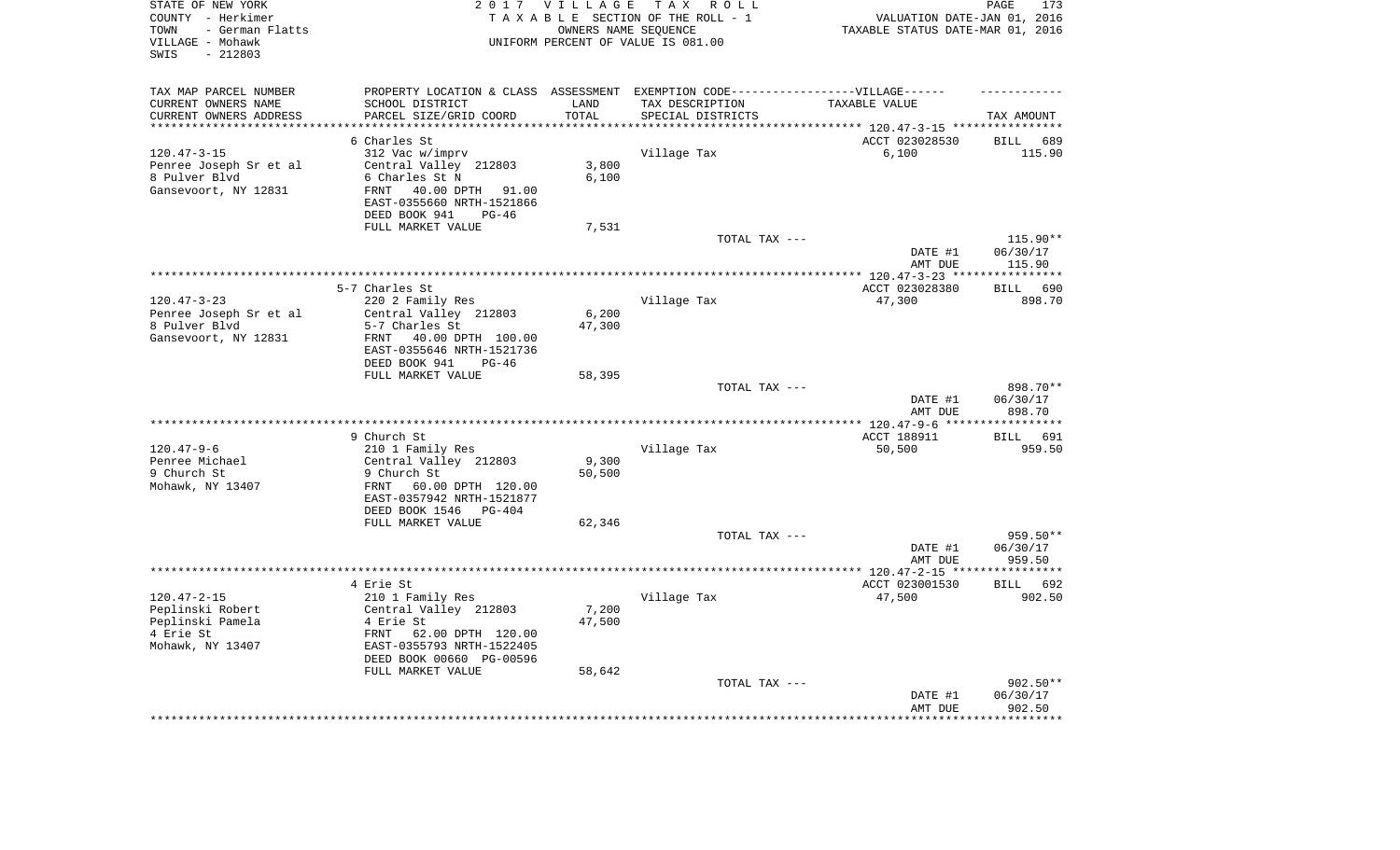| STATE OF NEW YORK<br>COUNTY - Herkimer<br>- German Flatts<br>TOWN<br>VILLAGE - Mohawk<br>$-212803$<br>SWIS |                                                                                   | 2017 VILLAGE      | TAX ROLL<br>TAXABLE SECTION OF THE ROLL - 1<br>OWNERS NAME SEQUENCE<br>UNIFORM PERCENT OF VALUE IS 081.00 | VALUATION DATE-JAN 01, 2016<br>TAXABLE STATUS DATE-MAR 01, 2016 | PAGE<br>173                 |
|------------------------------------------------------------------------------------------------------------|-----------------------------------------------------------------------------------|-------------------|-----------------------------------------------------------------------------------------------------------|-----------------------------------------------------------------|-----------------------------|
| TAX MAP PARCEL NUMBER                                                                                      | PROPERTY LOCATION & CLASS ASSESSMENT EXEMPTION CODE-----------------VILLAGE------ |                   |                                                                                                           |                                                                 |                             |
| CURRENT OWNERS NAME                                                                                        | SCHOOL DISTRICT                                                                   | LAND              | TAX DESCRIPTION                                                                                           | TAXABLE VALUE                                                   |                             |
| CURRENT OWNERS ADDRESS<br>********************                                                             | PARCEL SIZE/GRID COORD                                                            | TOTAL<br>******** | SPECIAL DISTRICTS                                                                                         | *************************** 120.47-3-15 ****************        | TAX AMOUNT                  |
|                                                                                                            | 6 Charles St                                                                      |                   |                                                                                                           | ACCT 023028530                                                  | <b>BILL</b><br>689          |
| $120.47 - 3 - 15$                                                                                          | 312 Vac w/imprv                                                                   |                   | Village Tax                                                                                               | 6,100                                                           | 115.90                      |
| Penree Joseph Sr et al                                                                                     | Central Valley 212803                                                             | 3,800             |                                                                                                           |                                                                 |                             |
| 8 Pulver Blvd                                                                                              | 6 Charles St N                                                                    | 6,100             |                                                                                                           |                                                                 |                             |
| Gansevoort, NY 12831                                                                                       | 40.00 DPTH 91.00<br>FRNT<br>EAST-0355660 NRTH-1521866                             |                   |                                                                                                           |                                                                 |                             |
|                                                                                                            | DEED BOOK 941<br>$PG-46$                                                          |                   |                                                                                                           |                                                                 |                             |
|                                                                                                            | FULL MARKET VALUE                                                                 | 7,531             |                                                                                                           |                                                                 |                             |
|                                                                                                            |                                                                                   |                   | TOTAL TAX ---                                                                                             | DATE #1                                                         | 115.90**<br>06/30/17        |
|                                                                                                            |                                                                                   |                   |                                                                                                           | AMT DUE                                                         | 115.90                      |
|                                                                                                            |                                                                                   |                   |                                                                                                           | ******* 120.47-3-23 ***                                         | * * * * * * * * * * *       |
|                                                                                                            | 5-7 Charles St                                                                    |                   |                                                                                                           | ACCT 023028380                                                  | 690<br><b>BILL</b>          |
| $120.47 - 3 - 23$                                                                                          | 220 2 Family Res                                                                  |                   | Village Tax                                                                                               | 47,300                                                          | 898.70                      |
| Penree Joseph Sr et al                                                                                     | Central Valley 212803                                                             | 6,200             |                                                                                                           |                                                                 |                             |
| 8 Pulver Blvd                                                                                              | 5-7 Charles St                                                                    | 47,300            |                                                                                                           |                                                                 |                             |
| Gansevoort, NY 12831                                                                                       | FRNT<br>40.00 DPTH 100.00<br>EAST-0355646 NRTH-1521736                            |                   |                                                                                                           |                                                                 |                             |
|                                                                                                            | DEED BOOK 941<br>$PG-46$                                                          |                   |                                                                                                           |                                                                 |                             |
|                                                                                                            | FULL MARKET VALUE                                                                 | 58,395            |                                                                                                           |                                                                 |                             |
|                                                                                                            |                                                                                   |                   | TOTAL TAX ---                                                                                             |                                                                 | 898.70**                    |
|                                                                                                            |                                                                                   |                   |                                                                                                           | DATE #1<br>AMT DUE                                              | 06/30/17<br>898.70          |
|                                                                                                            |                                                                                   |                   |                                                                                                           | ** 120.47-9-6 ***                                               | *********                   |
|                                                                                                            | 9 Church St                                                                       |                   |                                                                                                           | ACCT 188911                                                     | 691<br>BILL                 |
| $120.47 - 9 - 6$<br>Penree Michael                                                                         | 210 1 Family Res<br>Central Valley 212803                                         | 9,300             | Village Tax                                                                                               | 50,500                                                          | 959.50                      |
| 9 Church St                                                                                                | 9 Church St                                                                       | 50,500            |                                                                                                           |                                                                 |                             |
| Mohawk, NY 13407                                                                                           | 60.00 DPTH 120.00<br>FRNT<br>EAST-0357942 NRTH-1521877                            |                   |                                                                                                           |                                                                 |                             |
|                                                                                                            | DEED BOOK 1546<br>PG-404                                                          |                   |                                                                                                           |                                                                 |                             |
|                                                                                                            | FULL MARKET VALUE                                                                 | 62,346            |                                                                                                           |                                                                 |                             |
|                                                                                                            |                                                                                   |                   | TOTAL TAX ---                                                                                             |                                                                 | 959.50**                    |
|                                                                                                            |                                                                                   |                   |                                                                                                           | DATE #1                                                         | 06/30/17                    |
|                                                                                                            |                                                                                   |                   |                                                                                                           | AMT DUE<br>************ 120.47-2-15 ***                         | 959.50<br>* * * * * * * * * |
|                                                                                                            | 4 Erie St                                                                         |                   |                                                                                                           | ACCT 023001530                                                  | BILL<br>692                 |
| $120.47 - 2 - 15$                                                                                          | 210 1 Family Res                                                                  |                   | Village Tax                                                                                               | 47,500                                                          | 902.50                      |
| Peplinski Robert                                                                                           | Central Valley 212803                                                             | 7,200             |                                                                                                           |                                                                 |                             |
| Peplinski Pamela                                                                                           | 4 Erie St                                                                         | 47,500            |                                                                                                           |                                                                 |                             |
| 4 Erie St                                                                                                  | FRNT<br>62.00 DPTH 120.00                                                         |                   |                                                                                                           |                                                                 |                             |
| Mohawk, NY 13407                                                                                           | EAST-0355793 NRTH-1522405                                                         |                   |                                                                                                           |                                                                 |                             |
|                                                                                                            | DEED BOOK 00660 PG-00596<br>FULL MARKET VALUE                                     | 58,642            |                                                                                                           |                                                                 |                             |
|                                                                                                            |                                                                                   |                   | TOTAL TAX ---                                                                                             |                                                                 | $902.50**$                  |
|                                                                                                            |                                                                                   |                   |                                                                                                           | DATE #1                                                         | 06/30/17                    |
|                                                                                                            |                                                                                   |                   |                                                                                                           | AMT DUE                                                         | 902.50                      |
|                                                                                                            |                                                                                   |                   |                                                                                                           |                                                                 | ********                    |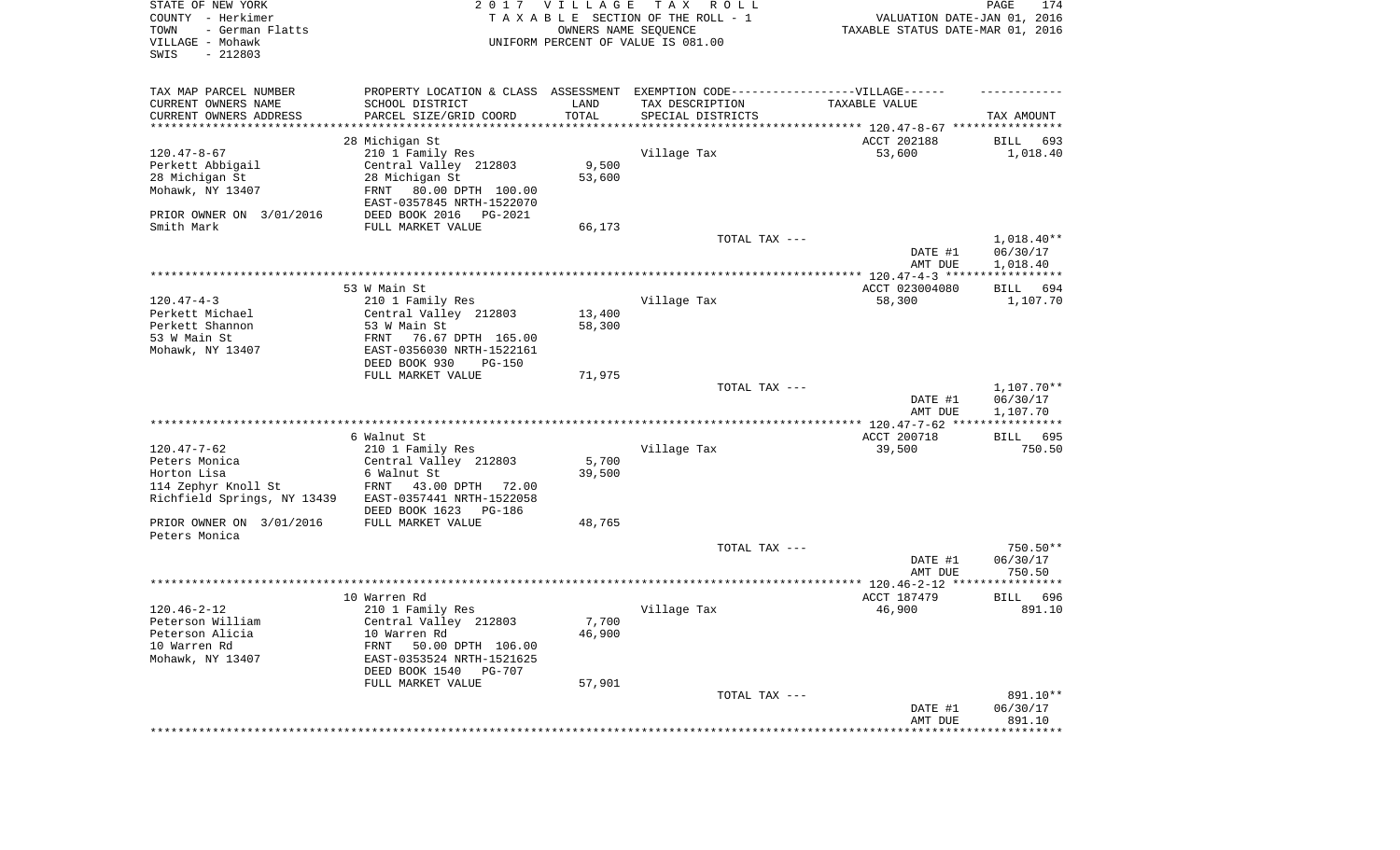| STATE OF NEW YORK<br>COUNTY - Herkimer<br>TOWN<br>- German Flatts<br>VILLAGE - Mohawk<br>SWIS<br>$-212803$ |                                                                                  | 2017 VILLAGE  | TAX ROLL<br>TAXABLE SECTION OF THE ROLL - 1<br>OWNERS NAME SEQUENCE<br>UNIFORM PERCENT OF VALUE IS 081.00 | VALUATION DATE-JAN 01, 2016<br>TAXABLE STATUS DATE-MAR 01, 2016 | PAGE<br>174              |
|------------------------------------------------------------------------------------------------------------|----------------------------------------------------------------------------------|---------------|-----------------------------------------------------------------------------------------------------------|-----------------------------------------------------------------|--------------------------|
| TAX MAP PARCEL NUMBER                                                                                      | PROPERTY LOCATION & CLASS ASSESSMENT EXEMPTION CODE----------------VILLAGE------ |               |                                                                                                           |                                                                 |                          |
| CURRENT OWNERS NAME<br>CURRENT OWNERS ADDRESS<br>***********************                                   | SCHOOL DISTRICT<br>PARCEL SIZE/GRID COORD                                        | LAND<br>TOTAL | TAX DESCRIPTION<br>SPECIAL DISTRICTS                                                                      | TAXABLE VALUE                                                   | TAX AMOUNT               |
|                                                                                                            | 28 Michigan St                                                                   |               |                                                                                                           | ACCT 202188                                                     | BILL<br>693              |
| $120.47 - 8 - 67$                                                                                          | 210 1 Family Res                                                                 |               | Village Tax                                                                                               | 53,600                                                          | 1,018.40                 |
| Perkett Abbigail                                                                                           | Central Valley 212803                                                            | 9,500         |                                                                                                           |                                                                 |                          |
| 28 Michigan St                                                                                             | 28 Michigan St                                                                   | 53,600        |                                                                                                           |                                                                 |                          |
| Mohawk, NY 13407                                                                                           | FRNT<br>80.00 DPTH 100.00                                                        |               |                                                                                                           |                                                                 |                          |
| PRIOR OWNER ON 3/01/2016                                                                                   | EAST-0357845 NRTH-1522070<br>DEED BOOK 2016<br>PG-2021                           |               |                                                                                                           |                                                                 |                          |
| Smith Mark                                                                                                 | FULL MARKET VALUE                                                                | 66,173        |                                                                                                           |                                                                 |                          |
|                                                                                                            |                                                                                  |               | TOTAL TAX ---                                                                                             | DATE #1                                                         | $1,018.40**$<br>06/30/17 |
|                                                                                                            |                                                                                  |               |                                                                                                           | AMT DUE                                                         | 1,018.40                 |
|                                                                                                            |                                                                                  |               |                                                                                                           |                                                                 |                          |
|                                                                                                            | 53 W Main St                                                                     |               |                                                                                                           | ACCT 023004080                                                  | BILL<br>694              |
| $120.47 - 4 - 3$<br>Perkett Michael                                                                        | 210 1 Family Res                                                                 | 13,400        | Village Tax                                                                                               | 58,300                                                          | 1,107.70                 |
| Perkett Shannon                                                                                            | Central Valley 212803<br>53 W Main St                                            | 58,300        |                                                                                                           |                                                                 |                          |
| 53 W Main St                                                                                               | FRNT<br>76.67 DPTH 165.00                                                        |               |                                                                                                           |                                                                 |                          |
| Mohawk, NY 13407                                                                                           | EAST-0356030 NRTH-1522161                                                        |               |                                                                                                           |                                                                 |                          |
|                                                                                                            | DEED BOOK 930<br>$PG-150$                                                        |               |                                                                                                           |                                                                 |                          |
|                                                                                                            | FULL MARKET VALUE                                                                | 71,975        | TOTAL TAX ---                                                                                             |                                                                 | $1,107.70**$             |
|                                                                                                            |                                                                                  |               |                                                                                                           | DATE #1<br>AMT DUE                                              | 06/30/17<br>1,107.70     |
|                                                                                                            |                                                                                  |               |                                                                                                           |                                                                 |                          |
|                                                                                                            | 6 Walnut St                                                                      |               |                                                                                                           | ACCT 200718                                                     | <b>BILL</b><br>695       |
| $120.47 - 7 - 62$                                                                                          | 210 1 Family Res                                                                 |               | Village Tax                                                                                               | 39,500                                                          | 750.50                   |
| Peters Monica                                                                                              | Central Valley 212803                                                            | 5,700         |                                                                                                           |                                                                 |                          |
| Horton Lisa                                                                                                | 6 Walnut St                                                                      | 39,500        |                                                                                                           |                                                                 |                          |
| 114 Zephyr Knoll St                                                                                        | FRNT<br>43.00 DPTH<br>72.00                                                      |               |                                                                                                           |                                                                 |                          |
| Richfield Springs, NY 13439                                                                                | EAST-0357441 NRTH-1522058                                                        |               |                                                                                                           |                                                                 |                          |
|                                                                                                            | DEED BOOK 1623<br>PG-186                                                         |               |                                                                                                           |                                                                 |                          |
| PRIOR OWNER ON 3/01/2016<br>Peters Monica                                                                  | FULL MARKET VALUE                                                                | 48,765        |                                                                                                           |                                                                 |                          |
|                                                                                                            |                                                                                  |               | TOTAL TAX ---                                                                                             |                                                                 | 750.50**                 |
|                                                                                                            |                                                                                  |               |                                                                                                           | DATE #1                                                         | 06/30/17                 |
|                                                                                                            |                                                                                  |               |                                                                                                           | AMT DUE                                                         | 750.50                   |
|                                                                                                            |                                                                                  |               |                                                                                                           |                                                                 |                          |
| $120.46 - 2 - 12$                                                                                          | 10 Warren Rd<br>210 1 Family Res                                                 |               |                                                                                                           | ACCT 187479                                                     | 696<br>BILL<br>891.10    |
| Peterson William                                                                                           | Central Valley 212803                                                            | 7,700         | Village Tax                                                                                               | 46,900                                                          |                          |
| Peterson Alicia                                                                                            | 10 Warren Rd                                                                     | 46,900        |                                                                                                           |                                                                 |                          |
| 10 Warren Rd                                                                                               | FRNT<br>50.00 DPTH 106.00                                                        |               |                                                                                                           |                                                                 |                          |
| Mohawk, NY 13407                                                                                           | EAST-0353524 NRTH-1521625                                                        |               |                                                                                                           |                                                                 |                          |
|                                                                                                            | DEED BOOK 1540<br>PG-707                                                         |               |                                                                                                           |                                                                 |                          |
|                                                                                                            | FULL MARKET VALUE                                                                | 57,901        |                                                                                                           |                                                                 |                          |
|                                                                                                            |                                                                                  |               | TOTAL TAX ---                                                                                             |                                                                 | 891.10**                 |
|                                                                                                            |                                                                                  |               |                                                                                                           | DATE #1                                                         | 06/30/17                 |
|                                                                                                            |                                                                                  |               |                                                                                                           | AMT DUE                                                         | 891.10                   |
|                                                                                                            |                                                                                  |               |                                                                                                           |                                                                 | **************           |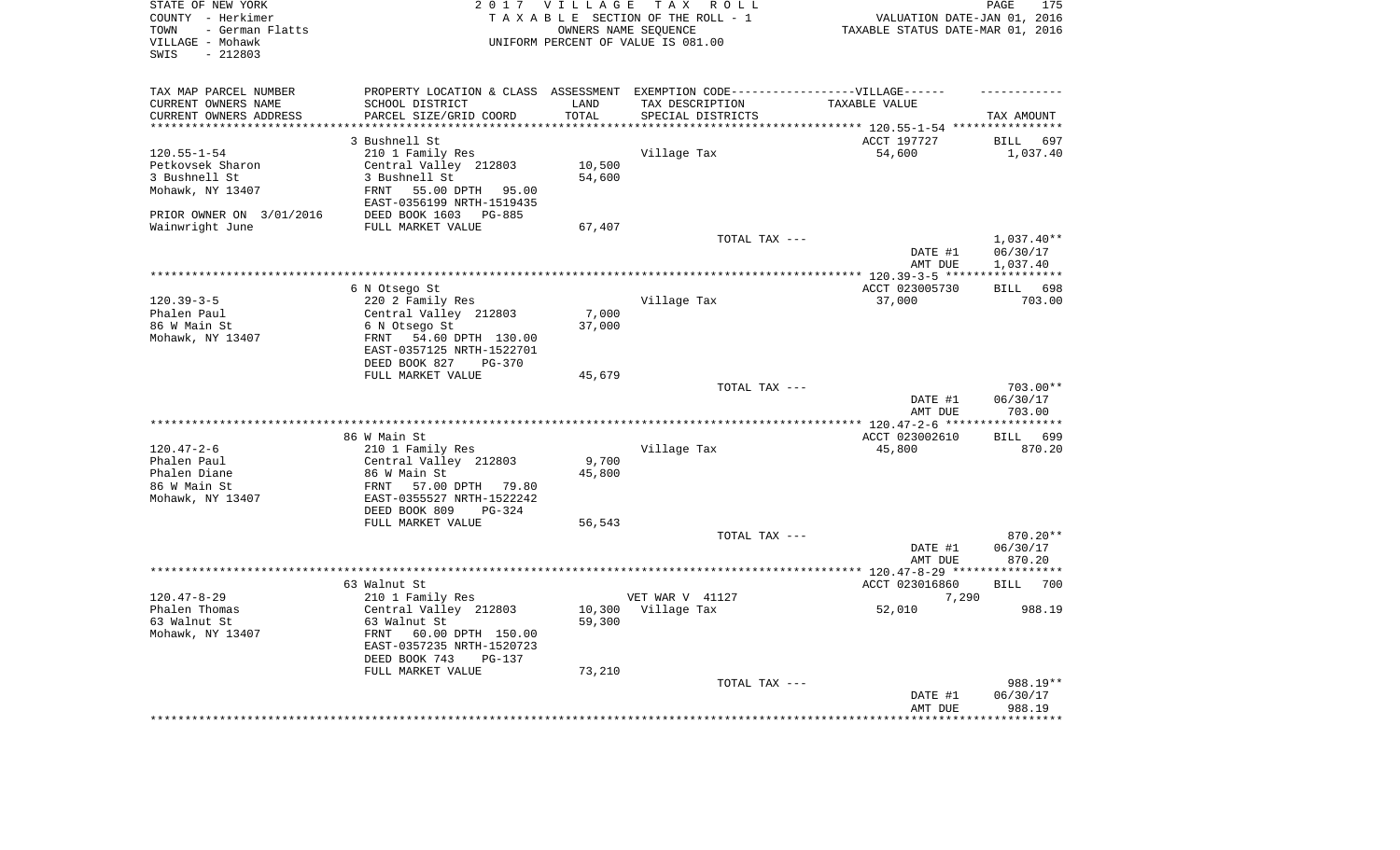| STATE OF NEW YORK<br>COUNTY - Herkimer<br>- German Flatts<br>TOWN<br>VILLAGE - Mohawk<br>$-212803$<br>SWIS |                                                       | 2017 VILLAGE      | T A X<br>R O L L<br>TAXABLE SECTION OF THE ROLL - 1<br>OWNERS NAME SEQUENCE<br>UNIFORM PERCENT OF VALUE IS 081.00 | VALUATION DATE-JAN 01, 2016<br>TAXABLE STATUS DATE-MAR 01, 2016 | PAGE<br>175              |
|------------------------------------------------------------------------------------------------------------|-------------------------------------------------------|-------------------|-------------------------------------------------------------------------------------------------------------------|-----------------------------------------------------------------|--------------------------|
| TAX MAP PARCEL NUMBER                                                                                      |                                                       |                   | PROPERTY LOCATION & CLASS ASSESSMENT EXEMPTION CODE-----------------VILLAGE------                                 |                                                                 |                          |
| CURRENT OWNERS NAME                                                                                        | SCHOOL DISTRICT                                       | LAND              | TAX DESCRIPTION                                                                                                   | TAXABLE VALUE                                                   |                          |
| CURRENT OWNERS ADDRESS<br>********************                                                             | PARCEL SIZE/GRID COORD                                | TOTAL<br>******** | SPECIAL DISTRICTS                                                                                                 | ******************************** 120.55-1-54 *****************  | TAX AMOUNT               |
|                                                                                                            | 3 Bushnell St                                         |                   |                                                                                                                   | ACCT 197727                                                     | <b>BILL</b><br>697       |
| $120.55 - 1 - 54$                                                                                          | 210 1 Family Res                                      |                   | Village Tax                                                                                                       | 54,600                                                          | 1,037.40                 |
| Petkovsek Sharon                                                                                           | Central Valley 212803                                 | 10,500            |                                                                                                                   |                                                                 |                          |
| 3 Bushnell St                                                                                              | 3 Bushnell St                                         | 54,600            |                                                                                                                   |                                                                 |                          |
| Mohawk, NY 13407                                                                                           | 55.00 DPTH 95.00<br>FRNT<br>EAST-0356199 NRTH-1519435 |                   |                                                                                                                   |                                                                 |                          |
| PRIOR OWNER ON 3/01/2016                                                                                   | DEED BOOK 1603<br>PG-885                              |                   |                                                                                                                   |                                                                 |                          |
| Wainwright June                                                                                            | FULL MARKET VALUE                                     | 67,407            |                                                                                                                   |                                                                 |                          |
|                                                                                                            |                                                       |                   | TOTAL TAX ---                                                                                                     | DATE #1                                                         | $1,037.40**$<br>06/30/17 |
|                                                                                                            |                                                       |                   |                                                                                                                   | AMT DUE<br>******* 120.39-3-5 *****                             | 1,037.40                 |
|                                                                                                            | 6 N Otsego St                                         |                   |                                                                                                                   | ACCT 023005730                                                  | 698<br><b>BILL</b>       |
| $120.39 - 3 - 5$                                                                                           | 220 2 Family Res                                      |                   | Village Tax                                                                                                       | 37,000                                                          | 703.00                   |
| Phalen Paul                                                                                                | Central Valley 212803                                 | 7,000             |                                                                                                                   |                                                                 |                          |
| 86 W Main St                                                                                               | 6 N Otsego St                                         | 37,000            |                                                                                                                   |                                                                 |                          |
| Mohawk, NY 13407                                                                                           | 54.60 DPTH 130.00<br>FRNT                             |                   |                                                                                                                   |                                                                 |                          |
|                                                                                                            | EAST-0357125 NRTH-1522701                             |                   |                                                                                                                   |                                                                 |                          |
|                                                                                                            | DEED BOOK 827<br>$PG-370$                             |                   |                                                                                                                   |                                                                 |                          |
|                                                                                                            | FULL MARKET VALUE                                     | 45,679            |                                                                                                                   |                                                                 |                          |
|                                                                                                            |                                                       |                   | TOTAL TAX ---                                                                                                     |                                                                 | $703.00**$               |
|                                                                                                            |                                                       |                   |                                                                                                                   | DATE #1<br>AMT DUE                                              | 06/30/17<br>703.00       |
|                                                                                                            |                                                       |                   |                                                                                                                   | ** 120.47-2-6 ***                                               |                          |
|                                                                                                            | 86 W Main St                                          |                   |                                                                                                                   | ACCT 023002610                                                  | 699<br>BILL              |
| $120.47 - 2 - 6$                                                                                           | 210 1 Family Res                                      |                   | Village Tax                                                                                                       | 45,800                                                          | 870.20                   |
| Phalen Paul                                                                                                | Central Valley 212803                                 | 9,700             |                                                                                                                   |                                                                 |                          |
| Phalen Diane                                                                                               | 86 W Main St                                          | 45,800            |                                                                                                                   |                                                                 |                          |
| 86 W Main St                                                                                               | FRNT<br>57.00 DPTH 79.80                              |                   |                                                                                                                   |                                                                 |                          |
| Mohawk, NY 13407                                                                                           | EAST-0355527 NRTH-1522242                             |                   |                                                                                                                   |                                                                 |                          |
|                                                                                                            | DEED BOOK 809<br>$PG-324$                             |                   |                                                                                                                   |                                                                 |                          |
|                                                                                                            | FULL MARKET VALUE                                     | 56,543            |                                                                                                                   |                                                                 |                          |
|                                                                                                            |                                                       |                   | TOTAL TAX ---                                                                                                     | DATE #1                                                         | 870.20**<br>06/30/17     |
|                                                                                                            |                                                       |                   |                                                                                                                   | AMT DUE                                                         | 870.20                   |
|                                                                                                            |                                                       |                   |                                                                                                                   | *********** 120.47-8-29 ******                                  | **********               |
|                                                                                                            | 63 Walnut St                                          |                   |                                                                                                                   | ACCT 023016860                                                  | <b>BILL</b><br>700       |
| $120.47 - 8 - 29$                                                                                          | 210 1 Family Res                                      |                   | VET WAR V 41127                                                                                                   | 7,290                                                           |                          |
| Phalen Thomas                                                                                              | Central Valley 212803                                 | 10,300            | Village Tax                                                                                                       | 52,010                                                          | 988.19                   |
| 63 Walnut St                                                                                               | 63 Walnut St                                          | 59,300            |                                                                                                                   |                                                                 |                          |
| Mohawk, NY 13407                                                                                           | FRNT<br>60.00 DPTH 150.00                             |                   |                                                                                                                   |                                                                 |                          |
|                                                                                                            | EAST-0357235 NRTH-1520723                             |                   |                                                                                                                   |                                                                 |                          |
|                                                                                                            | DEED BOOK 743<br>$PG-137$<br>FULL MARKET VALUE        | 73,210            |                                                                                                                   |                                                                 |                          |
|                                                                                                            |                                                       |                   | TOTAL TAX ---                                                                                                     |                                                                 | 988.19**                 |
|                                                                                                            |                                                       |                   |                                                                                                                   | DATE #1                                                         | 06/30/17                 |
|                                                                                                            |                                                       |                   |                                                                                                                   | AMT DUE                                                         | 988.19                   |
|                                                                                                            |                                                       |                   |                                                                                                                   |                                                                 |                          |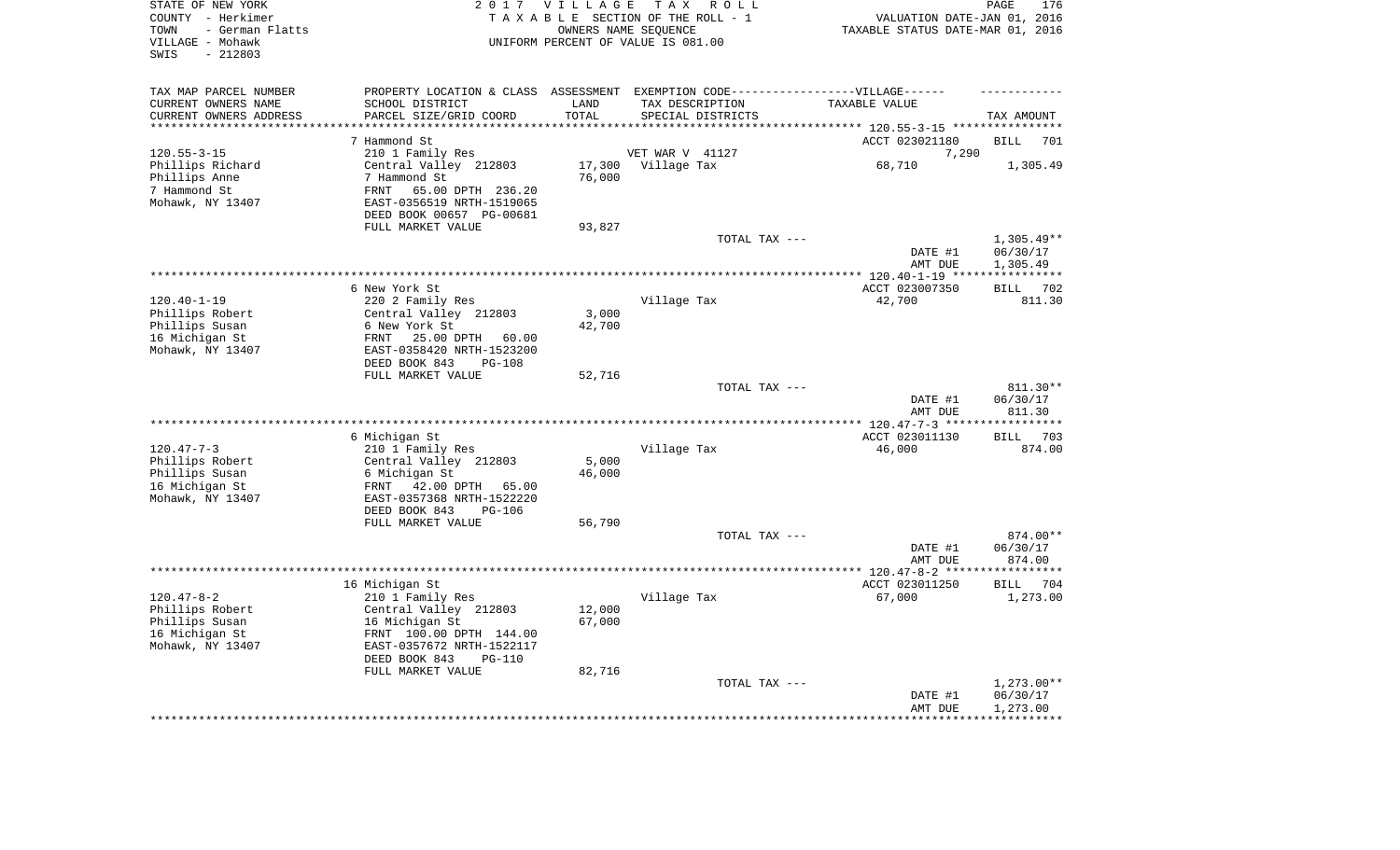| - German Flatts<br>OWNERS NAME SEQUENCE<br>TAXABLE STATUS DATE-MAR 01, 2016<br>TOWN<br>VILLAGE - Mohawk<br>UNIFORM PERCENT OF VALUE IS 081.00<br>$-212803$<br>SWIS                               |                      | VALUATION DATE-JAN 01, 2016 |
|--------------------------------------------------------------------------------------------------------------------------------------------------------------------------------------------------|----------------------|-----------------------------|
| TAX MAP PARCEL NUMBER<br>PROPERTY LOCATION & CLASS ASSESSMENT EXEMPTION CODE-----------------VILLAGE------<br>CURRENT OWNERS NAME<br>SCHOOL DISTRICT<br>LAND<br>TAX DESCRIPTION<br>TAXABLE VALUE |                      |                             |
| TOTAL<br>CURRENT OWNERS ADDRESS<br>PARCEL SIZE/GRID COORD<br>SPECIAL DISTRICTS                                                                                                                   | TAX AMOUNT           |                             |
| **********************<br>*********************<br>* * * * * * * * *<br>********************************** 120.55-3-15 ****************                                                          |                      |                             |
| 7 Hammond St<br>ACCT 023021180                                                                                                                                                                   | <b>BILL</b>          | 701                         |
| $120.55 - 3 - 15$<br>210 1 Family Res<br>VET WAR V 41127<br>7,290                                                                                                                                |                      |                             |
| Central Valley 212803<br>17,300<br>Phillips Richard<br>Village Tax<br>68,710<br>7 Hammond St                                                                                                     |                      | 1,305.49                    |
| Phillips Anne<br>76,000<br>7 Hammond St<br>65.00 DPTH 236.20<br>FRNT                                                                                                                             |                      |                             |
| Mohawk, NY 13407<br>EAST-0356519 NRTH-1519065                                                                                                                                                    |                      |                             |
| DEED BOOK 00657 PG-00681                                                                                                                                                                         |                      |                             |
| FULL MARKET VALUE<br>93,827                                                                                                                                                                      |                      |                             |
| TOTAL TAX ---                                                                                                                                                                                    | $1,305.49**$         |                             |
| DATE #1                                                                                                                                                                                          | 06/30/17             |                             |
| AMT DUE<br>********************************                                                                                                                                                      | 1,305.49             |                             |
| ******* 120.40-1-19 *****<br>6 New York St<br>ACCT 023007350                                                                                                                                     | <b>BILL</b>          | 702                         |
| $120.40 - 1 - 19$<br>42,700<br>220 2 Family Res<br>Village Tax                                                                                                                                   |                      | 811.30                      |
| Phillips Robert<br>Central Valley 212803<br>3,000                                                                                                                                                |                      |                             |
| Phillips Susan<br>6 New York St<br>42,700                                                                                                                                                        |                      |                             |
| 16 Michigan St<br>FRNT<br>25.00 DPTH<br>60.00                                                                                                                                                    |                      |                             |
| Mohawk, NY 13407<br>EAST-0358420 NRTH-1523200                                                                                                                                                    |                      |                             |
| DEED BOOK 843<br><b>PG-108</b>                                                                                                                                                                   |                      |                             |
| FULL MARKET VALUE<br>52,716                                                                                                                                                                      |                      |                             |
| TOTAL TAX ---<br>DATE #1                                                                                                                                                                         | 06/30/17             | 811.30**                    |
| AMT DUE                                                                                                                                                                                          | 811.30               |                             |
|                                                                                                                                                                                                  |                      |                             |
| 6 Michigan St<br>ACCT 023011130                                                                                                                                                                  | <b>BILL</b>          | 703                         |
| $120.47 - 7 - 3$<br>210 1 Family Res<br>Village Tax<br>46,000                                                                                                                                    |                      | 874.00                      |
| Phillips Robert<br>Central Valley 212803<br>5,000                                                                                                                                                |                      |                             |
| Phillips Susan<br>6 Michigan St<br>46,000                                                                                                                                                        |                      |                             |
| 16 Michigan St<br>42.00 DPTH<br>FRNT<br>65.00<br>Mohawk, NY 13407<br>EAST-0357368 NRTH-1522220                                                                                                   |                      |                             |
| DEED BOOK 843<br><b>PG-106</b>                                                                                                                                                                   |                      |                             |
| FULL MARKET VALUE<br>56,790                                                                                                                                                                      |                      |                             |
| TOTAL TAX ---                                                                                                                                                                                    |                      | 874.00**                    |
| DATE #1                                                                                                                                                                                          | 06/30/17             |                             |
| AMT DUE                                                                                                                                                                                          | 874.00               |                             |
|                                                                                                                                                                                                  | **********           |                             |
| ACCT 023011250<br>16 Michigan St                                                                                                                                                                 | <b>BILL</b>          | 704                         |
| $120.47 - 8 - 2$<br>67,000<br>210 1 Family Res<br>Village Tax<br>Phillips Robert<br>Central Valley 212803<br>12,000                                                                              |                      | 1,273.00                    |
| 16 Michigan St<br>67,000<br>Phillips Susan                                                                                                                                                       |                      |                             |
| 16 Michigan St<br>FRNT 100.00 DPTH 144.00                                                                                                                                                        |                      |                             |
| Mohawk, NY 13407<br>EAST-0357672 NRTH-1522117                                                                                                                                                    |                      |                             |
| DEED BOOK 843<br>$PG-110$                                                                                                                                                                        |                      |                             |
| FULL MARKET VALUE<br>82,716                                                                                                                                                                      |                      |                             |
| TOTAL TAX ---                                                                                                                                                                                    | $1,273.00**$         |                             |
| DATE #1<br>AMT DUE                                                                                                                                                                               | 06/30/17<br>1,273.00 |                             |
|                                                                                                                                                                                                  | ********             |                             |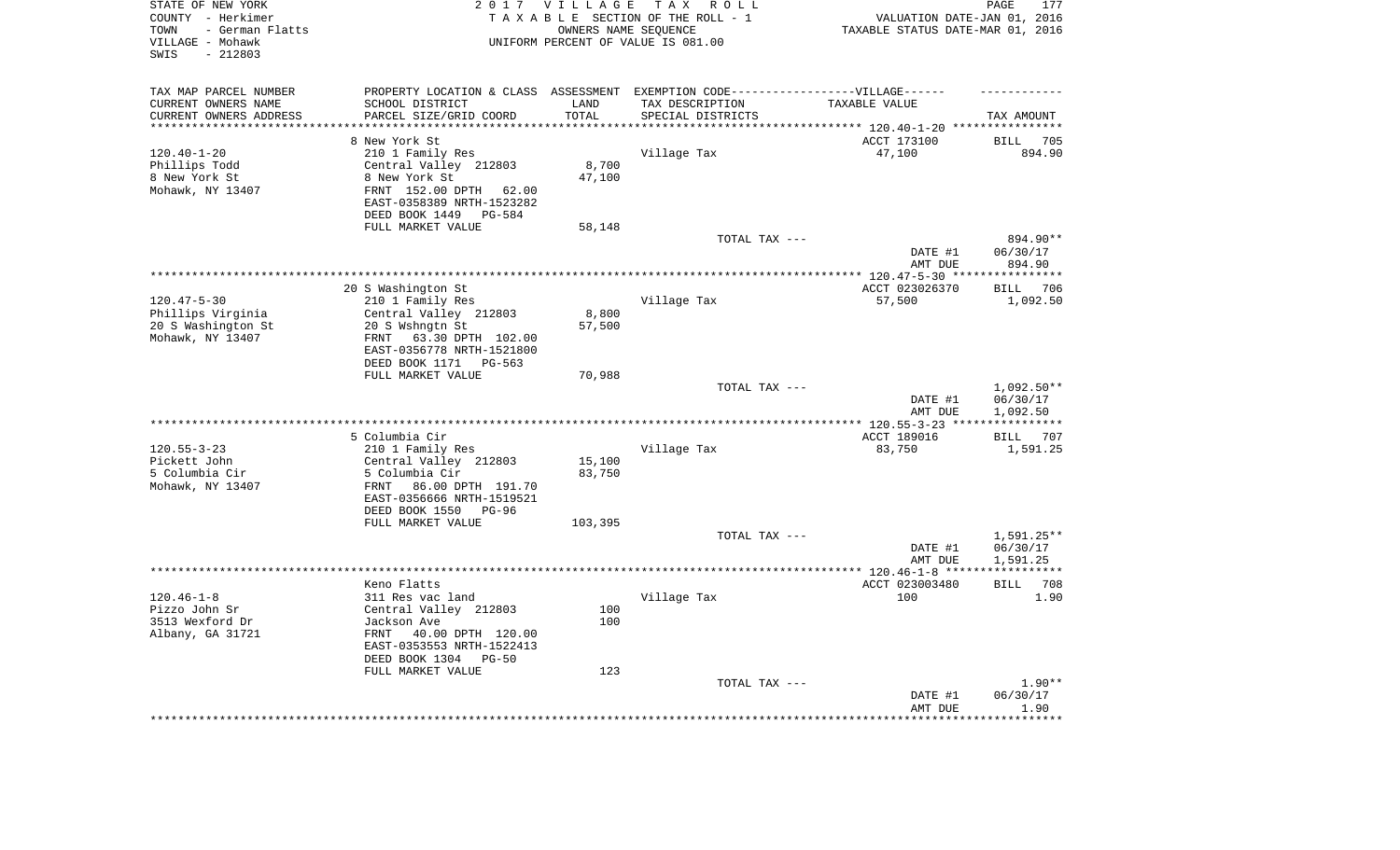| STATE OF NEW YORK<br>COUNTY - Herkimer<br>- German Flatts<br>TOWN<br>VILLAGE - Mohawk<br>$-212803$<br>SWIS |                                                                                   | 2017 VILLAGE<br>OWNERS NAME SEQUENCE | TAX ROLL<br>TAXABLE SECTION OF THE ROLL - 1<br>UNIFORM PERCENT OF VALUE IS 081.00 | VALUATION DATE-JAN 01, 2016<br>TAXABLE STATUS DATE-MAR 01, 2016 | 177<br>PAGE                |
|------------------------------------------------------------------------------------------------------------|-----------------------------------------------------------------------------------|--------------------------------------|-----------------------------------------------------------------------------------|-----------------------------------------------------------------|----------------------------|
| TAX MAP PARCEL NUMBER                                                                                      | PROPERTY LOCATION & CLASS ASSESSMENT EXEMPTION CODE-----------------VILLAGE------ |                                      |                                                                                   |                                                                 |                            |
| CURRENT OWNERS NAME                                                                                        | SCHOOL DISTRICT                                                                   | LAND                                 | TAX DESCRIPTION                                                                   | TAXABLE VALUE                                                   |                            |
| CURRENT OWNERS ADDRESS<br>*********************                                                            | PARCEL SIZE/GRID COORD<br>**********************                                  | TOTAL<br>*********                   | SPECIAL DISTRICTS                                                                 |                                                                 | TAX AMOUNT                 |
|                                                                                                            | 8 New York St                                                                     |                                      |                                                                                   | ACCT 173100                                                     | <b>BILL</b><br>705         |
| $120.40 - 1 - 20$                                                                                          | 210 1 Family Res                                                                  |                                      | Village Tax                                                                       | 47,100                                                          | 894.90                     |
| Phillips Todd                                                                                              | Central Valley 212803                                                             | 8,700                                |                                                                                   |                                                                 |                            |
| 8 New York St                                                                                              | 8 New York St                                                                     | 47,100                               |                                                                                   |                                                                 |                            |
| Mohawk, NY 13407                                                                                           | FRNT 152.00 DPTH 62.00                                                            |                                      |                                                                                   |                                                                 |                            |
|                                                                                                            | EAST-0358389 NRTH-1523282                                                         |                                      |                                                                                   |                                                                 |                            |
|                                                                                                            | DEED BOOK 1449<br>PG-584                                                          |                                      |                                                                                   |                                                                 |                            |
|                                                                                                            | FULL MARKET VALUE                                                                 | 58,148                               |                                                                                   |                                                                 |                            |
|                                                                                                            |                                                                                   |                                      | TOTAL TAX ---                                                                     |                                                                 | 894.90**                   |
|                                                                                                            |                                                                                   |                                      |                                                                                   | DATE #1<br>AMT DUE                                              | 06/30/17<br>894.90         |
|                                                                                                            |                                                                                   |                                      | *************************************                                             | ******** 120.47-5-30 ****                                       | * * * * * * * * * * * *    |
|                                                                                                            | 20 S Washington St                                                                |                                      |                                                                                   | ACCT 023026370                                                  | 706<br><b>BILL</b>         |
| $120.47 - 5 - 30$                                                                                          | 210 1 Family Res                                                                  |                                      | Village Tax                                                                       | 57,500                                                          | 1,092.50                   |
| Phillips Virginia                                                                                          | Central Valley 212803                                                             | 8,800                                |                                                                                   |                                                                 |                            |
| 20 S Washington St                                                                                         | 20 S Wshngtn St                                                                   | 57,500                               |                                                                                   |                                                                 |                            |
| Mohawk, NY 13407                                                                                           | 63.30 DPTH 102.00<br>FRNT                                                         |                                      |                                                                                   |                                                                 |                            |
|                                                                                                            | EAST-0356778 NRTH-1521800                                                         |                                      |                                                                                   |                                                                 |                            |
|                                                                                                            | DEED BOOK 1171<br>PG-563<br>FULL MARKET VALUE                                     | 70,988                               |                                                                                   |                                                                 |                            |
|                                                                                                            |                                                                                   |                                      | TOTAL TAX ---                                                                     |                                                                 | 1,092.50**                 |
|                                                                                                            |                                                                                   |                                      |                                                                                   | DATE #1                                                         | 06/30/17                   |
|                                                                                                            |                                                                                   |                                      |                                                                                   | AMT DUE                                                         | 1,092.50                   |
|                                                                                                            |                                                                                   |                                      | *********************                                                             | *** 120.55-3-23 **                                              |                            |
|                                                                                                            | 5 Columbia Cir                                                                    |                                      |                                                                                   | ACCT 189016                                                     | <b>BILL</b><br>707         |
| $120.55 - 3 - 23$                                                                                          | 210 1 Family Res                                                                  |                                      | Village Tax                                                                       | 83,750                                                          | 1,591.25                   |
| Pickett John                                                                                               | Central Valley 212803                                                             | 15,100                               |                                                                                   |                                                                 |                            |
| 5 Columbia Cir<br>Mohawk, NY 13407                                                                         | 5 Columbia Cir<br>FRNT<br>86.00 DPTH 191.70                                       | 83,750                               |                                                                                   |                                                                 |                            |
|                                                                                                            | EAST-0356666 NRTH-1519521                                                         |                                      |                                                                                   |                                                                 |                            |
|                                                                                                            | DEED BOOK 1550<br>PG-96                                                           |                                      |                                                                                   |                                                                 |                            |
|                                                                                                            | FULL MARKET VALUE                                                                 | 103,395                              |                                                                                   |                                                                 |                            |
|                                                                                                            |                                                                                   |                                      | TOTAL TAX ---                                                                     |                                                                 | 1,591.25**                 |
|                                                                                                            |                                                                                   |                                      |                                                                                   | DATE #1                                                         | 06/30/17                   |
|                                                                                                            |                                                                                   |                                      |                                                                                   | AMT DUE                                                         | 1,591.25                   |
| ************************                                                                                   |                                                                                   |                                      |                                                                                   | **************** 120.46-1-8 *****                               | ***********                |
| $120.46 - 1 - 8$                                                                                           | Keno Flatts<br>311 Res vac land                                                   |                                      | Village Tax                                                                       | ACCT 023003480<br>100                                           | 708<br><b>BILL</b><br>1.90 |
| Pizzo John Sr                                                                                              | Central Valley 212803                                                             | 100                                  |                                                                                   |                                                                 |                            |
| 3513 Wexford Dr                                                                                            | Jackson Ave                                                                       | 100                                  |                                                                                   |                                                                 |                            |
| Albany, GA 31721                                                                                           | FRNT<br>40.00 DPTH 120.00                                                         |                                      |                                                                                   |                                                                 |                            |
|                                                                                                            | EAST-0353553 NRTH-1522413                                                         |                                      |                                                                                   |                                                                 |                            |
|                                                                                                            | DEED BOOK 1304<br>$PG-50$                                                         |                                      |                                                                                   |                                                                 |                            |
|                                                                                                            | FULL MARKET VALUE                                                                 | 123                                  |                                                                                   |                                                                 |                            |
|                                                                                                            |                                                                                   |                                      | TOTAL TAX ---                                                                     |                                                                 | $1.90**$                   |
|                                                                                                            |                                                                                   |                                      |                                                                                   | DATE #1<br>AMT DUE                                              | 06/30/17<br>1.90           |
|                                                                                                            |                                                                                   |                                      |                                                                                   |                                                                 | ******                     |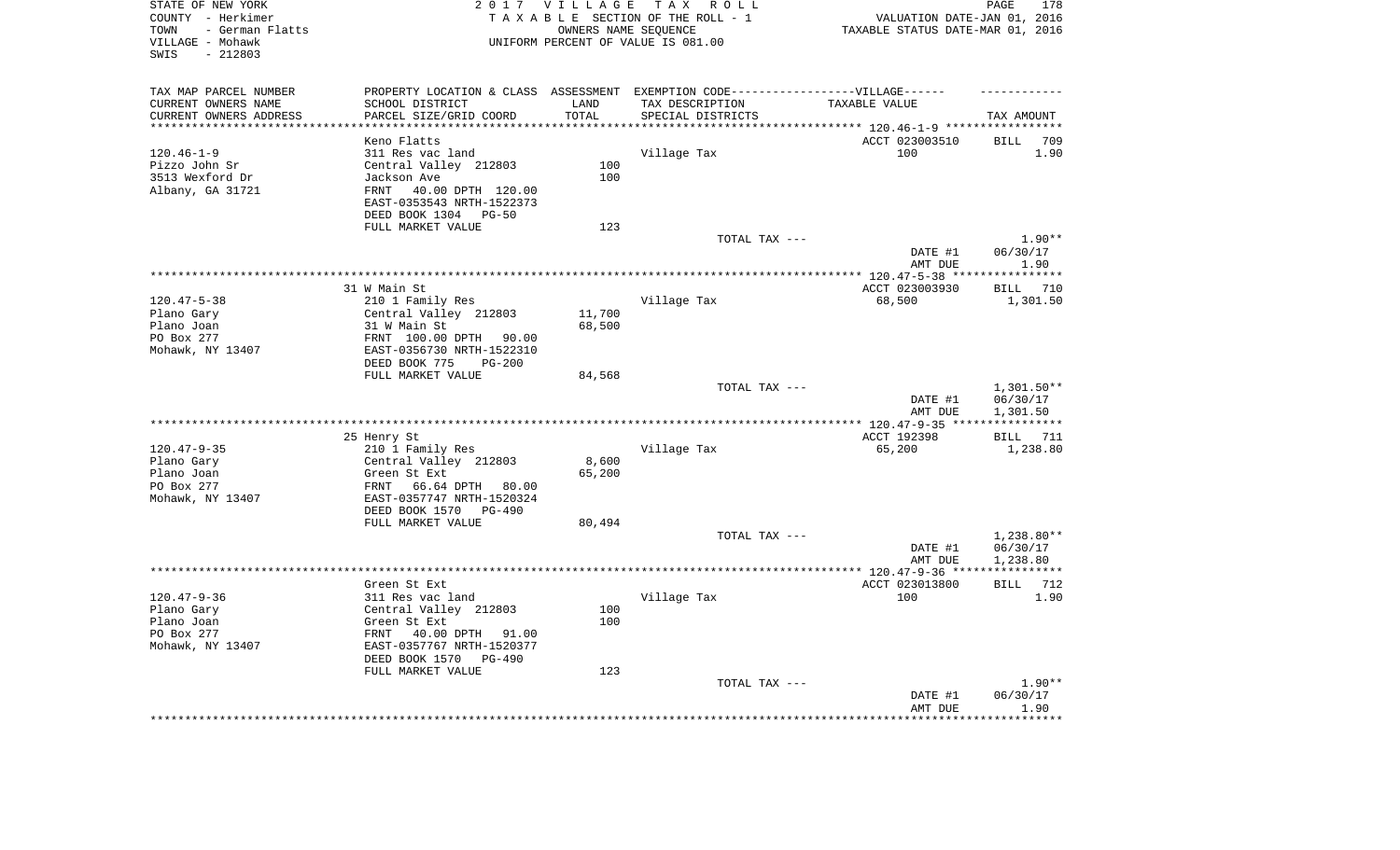| STATE OF NEW YORK<br>COUNTY - Herkimer<br>- German Flatts<br>TOWN<br>VILLAGE - Mohawk<br>$-212803$<br>SWIS |                                                                                   | 2017 VILLAGE       | TAX ROLL<br>TAXABLE SECTION OF THE ROLL - 1<br>OWNERS NAME SEQUENCE<br>UNIFORM PERCENT OF VALUE IS 081.00 | VALUATION DATE-JAN 01, 2016<br>TAXABLE STATUS DATE-MAR 01, 2016 | PAGE<br>178           |
|------------------------------------------------------------------------------------------------------------|-----------------------------------------------------------------------------------|--------------------|-----------------------------------------------------------------------------------------------------------|-----------------------------------------------------------------|-----------------------|
| TAX MAP PARCEL NUMBER                                                                                      | PROPERTY LOCATION & CLASS ASSESSMENT EXEMPTION CODE-----------------VILLAGE------ |                    |                                                                                                           |                                                                 |                       |
| CURRENT OWNERS NAME                                                                                        | SCHOOL DISTRICT                                                                   | LAND               | TAX DESCRIPTION                                                                                           | TAXABLE VALUE                                                   |                       |
| CURRENT OWNERS ADDRESS<br>********************                                                             | PARCEL SIZE/GRID COORD<br>*******************                                     | TOTAL<br>********* | SPECIAL DISTRICTS                                                                                         |                                                                 | TAX AMOUNT            |
|                                                                                                            | Keno Flatts                                                                       |                    |                                                                                                           | ACCT 023003510                                                  | <b>BILL</b><br>709    |
| $120.46 - 1 - 9$                                                                                           | 311 Res vac land                                                                  |                    | Village Tax                                                                                               | 100                                                             | 1.90                  |
| Pizzo John Sr                                                                                              | Central Valley 212803                                                             | 100                |                                                                                                           |                                                                 |                       |
| 3513 Wexford Dr                                                                                            | Jackson Ave                                                                       | 100                |                                                                                                           |                                                                 |                       |
| Albany, GA 31721                                                                                           | 40.00 DPTH 120.00<br>FRNT                                                         |                    |                                                                                                           |                                                                 |                       |
|                                                                                                            | EAST-0353543 NRTH-1522373<br>DEED BOOK 1304 PG-50                                 |                    |                                                                                                           |                                                                 |                       |
|                                                                                                            | FULL MARKET VALUE                                                                 | 123                |                                                                                                           |                                                                 |                       |
|                                                                                                            |                                                                                   |                    | TOTAL TAX ---                                                                                             |                                                                 | $1.90**$              |
|                                                                                                            |                                                                                   |                    |                                                                                                           | DATE #1<br>AMT DUE                                              | 06/30/17<br>1.90      |
|                                                                                                            |                                                                                   |                    |                                                                                                           | ************ 120.47-5-38 ***                                    | * * * * * * * * * * * |
|                                                                                                            | 31 W Main St                                                                      |                    |                                                                                                           | ACCT 023003930                                                  | 710<br>BILL           |
| $120.47 - 5 - 38$                                                                                          | 210 1 Family Res                                                                  |                    | Village Tax                                                                                               | 68,500                                                          | 1,301.50              |
| Plano Gary                                                                                                 | Central Valley 212803                                                             | 11,700             |                                                                                                           |                                                                 |                       |
| Plano Joan                                                                                                 | 31 W Main St                                                                      | 68,500             |                                                                                                           |                                                                 |                       |
| PO Box 277                                                                                                 | FRNT 100.00 DPTH 90.00                                                            |                    |                                                                                                           |                                                                 |                       |
| Mohawk, NY 13407                                                                                           | EAST-0356730 NRTH-1522310                                                         |                    |                                                                                                           |                                                                 |                       |
|                                                                                                            | DEED BOOK 775<br>$PG-200$<br>FULL MARKET VALUE                                    | 84,568             |                                                                                                           |                                                                 |                       |
|                                                                                                            |                                                                                   |                    | TOTAL TAX ---                                                                                             |                                                                 | 1,301.50**            |
|                                                                                                            |                                                                                   |                    |                                                                                                           | DATE #1<br>AMT DUE                                              | 06/30/17<br>1,301.50  |
|                                                                                                            |                                                                                   |                    |                                                                                                           | ***** 120.47-9-35 ***                                           | ***********           |
|                                                                                                            | 25 Henry St                                                                       |                    |                                                                                                           | ACCT 192398                                                     | <b>BILL</b> 711       |
| $120.47 - 9 - 35$                                                                                          | 210 1 Family Res                                                                  |                    | Village Tax                                                                                               | 65,200                                                          | 1,238.80              |
| Plano Gary                                                                                                 | Central Valley 212803                                                             | 8,600              |                                                                                                           |                                                                 |                       |
| Plano Joan                                                                                                 | Green St Ext                                                                      | 65,200             |                                                                                                           |                                                                 |                       |
| PO Box 277                                                                                                 | FRNT<br>66.64 DPTH 80.00                                                          |                    |                                                                                                           |                                                                 |                       |
| Mohawk, NY 13407                                                                                           | EAST-0357747 NRTH-1520324                                                         |                    |                                                                                                           |                                                                 |                       |
|                                                                                                            | DEED BOOK 1570 PG-490<br>FULL MARKET VALUE                                        |                    |                                                                                                           |                                                                 |                       |
|                                                                                                            |                                                                                   | 80,494             | TOTAL TAX ---                                                                                             |                                                                 | $1,238.80**$          |
|                                                                                                            |                                                                                   |                    |                                                                                                           | DATE #1                                                         | 06/30/17              |
|                                                                                                            |                                                                                   |                    |                                                                                                           | AMT DUE                                                         | 1,238.80              |
|                                                                                                            |                                                                                   |                    |                                                                                                           |                                                                 |                       |
|                                                                                                            | Green St Ext                                                                      |                    |                                                                                                           | ACCT 023013800                                                  | BILL<br>712           |
| $120.47 - 9 - 36$                                                                                          | 311 Res vac land                                                                  |                    | Village Tax                                                                                               | 100                                                             | 1.90                  |
| Plano Gary                                                                                                 | Central Valley 212803                                                             | 100                |                                                                                                           |                                                                 |                       |
| Plano Joan                                                                                                 | Green St Ext                                                                      | 100                |                                                                                                           |                                                                 |                       |
| PO Box 277                                                                                                 | FRNT 40.00 DPTH 91.00                                                             |                    |                                                                                                           |                                                                 |                       |
| Mohawk, NY 13407                                                                                           | EAST-0357767 NRTH-1520377                                                         |                    |                                                                                                           |                                                                 |                       |
|                                                                                                            | DEED BOOK 1570<br>PG-490<br>FULL MARKET VALUE                                     | 123                |                                                                                                           |                                                                 |                       |
|                                                                                                            |                                                                                   |                    | TOTAL TAX ---                                                                                             |                                                                 | $1.90**$              |
|                                                                                                            |                                                                                   |                    |                                                                                                           | DATE #1                                                         | 06/30/17              |
|                                                                                                            |                                                                                   |                    |                                                                                                           | AMT DUE                                                         | 1.90                  |
|                                                                                                            |                                                                                   |                    |                                                                                                           |                                                                 |                       |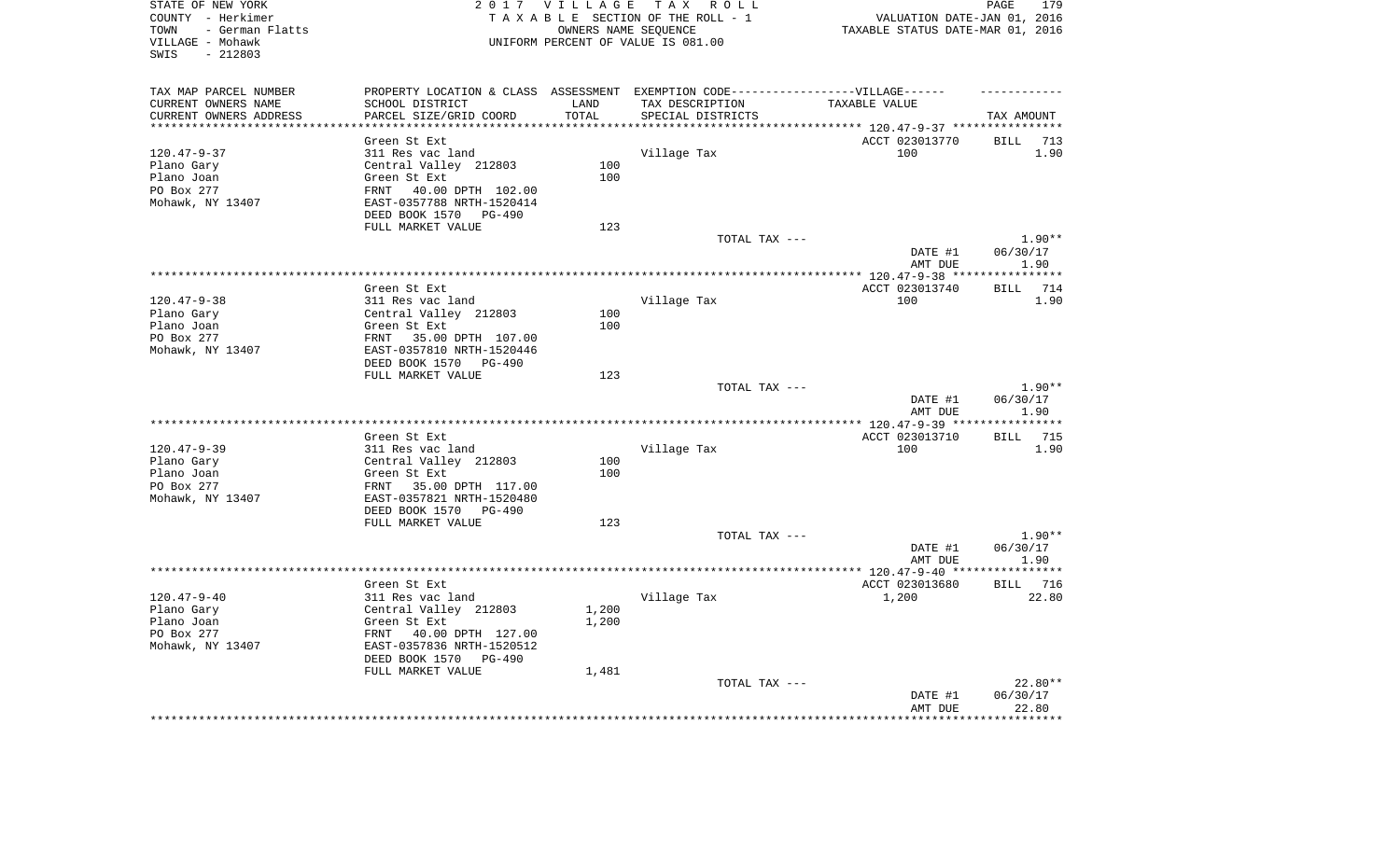| STATE OF NEW YORK<br>COUNTY - Herkimer<br>- German Flatts<br>TOWN<br>VILLAGE - Mohawk<br>SWIS<br>$-212803$ |                                                                                  | 2017 VILLAGE | TAX ROLL<br>TAXABLE SECTION OF THE ROLL - 1<br>OWNERS NAME SEQUENCE<br>UNIFORM PERCENT OF VALUE IS 081.00 | VALUATION DATE-JAN 01, 2016<br>TAXABLE STATUS DATE-MAR 01, 2016 | PAGE<br>179         |
|------------------------------------------------------------------------------------------------------------|----------------------------------------------------------------------------------|--------------|-----------------------------------------------------------------------------------------------------------|-----------------------------------------------------------------|---------------------|
|                                                                                                            |                                                                                  |              |                                                                                                           |                                                                 |                     |
| TAX MAP PARCEL NUMBER                                                                                      | PROPERTY LOCATION & CLASS ASSESSMENT EXEMPTION CODE----------------VILLAGE------ |              |                                                                                                           |                                                                 |                     |
| CURRENT OWNERS NAME                                                                                        | SCHOOL DISTRICT                                                                  | LAND         | TAX DESCRIPTION                                                                                           | TAXABLE VALUE                                                   |                     |
| CURRENT OWNERS ADDRESS                                                                                     | PARCEL SIZE/GRID COORD                                                           | TOTAL        | SPECIAL DISTRICTS                                                                                         |                                                                 | TAX AMOUNT          |
|                                                                                                            |                                                                                  |              |                                                                                                           | ********* 120.47-9-37 *****************                         |                     |
|                                                                                                            | Green St Ext                                                                     |              |                                                                                                           | ACCT 023013770                                                  | <b>BILL</b><br>713  |
| $120.47 - 9 - 37$                                                                                          | 311 Res vac land                                                                 |              | Village Tax                                                                                               | 100                                                             | 1.90                |
| Plano Gary                                                                                                 | Central Valley 212803                                                            | 100          |                                                                                                           |                                                                 |                     |
| Plano Joan                                                                                                 | Green St Ext                                                                     | 100          |                                                                                                           |                                                                 |                     |
| PO Box 277                                                                                                 | 40.00 DPTH 102.00<br>FRNT                                                        |              |                                                                                                           |                                                                 |                     |
| Mohawk, NY 13407                                                                                           | EAST-0357788 NRTH-1520414                                                        |              |                                                                                                           |                                                                 |                     |
|                                                                                                            | DEED BOOK 1570<br>PG-490                                                         |              |                                                                                                           |                                                                 |                     |
|                                                                                                            | FULL MARKET VALUE                                                                | 123          |                                                                                                           |                                                                 | $1.90**$            |
|                                                                                                            |                                                                                  |              | TOTAL TAX ---                                                                                             | DATE #1                                                         | 06/30/17            |
|                                                                                                            |                                                                                  |              |                                                                                                           | AMT DUE                                                         | 1.90                |
|                                                                                                            |                                                                                  |              |                                                                                                           |                                                                 | ***********         |
|                                                                                                            | Green St Ext                                                                     |              |                                                                                                           | ACCT 023013740                                                  | 714<br>BILL         |
| $120.47 - 9 - 38$                                                                                          | 311 Res vac land                                                                 |              | Village Tax                                                                                               | 100                                                             | 1.90                |
| Plano Gary                                                                                                 | Central Valley 212803                                                            | 100          |                                                                                                           |                                                                 |                     |
| Plano Joan                                                                                                 | Green St Ext                                                                     | 100          |                                                                                                           |                                                                 |                     |
| PO Box 277                                                                                                 | FRNT<br>35.00 DPTH 107.00                                                        |              |                                                                                                           |                                                                 |                     |
| Mohawk, NY 13407                                                                                           | EAST-0357810 NRTH-1520446                                                        |              |                                                                                                           |                                                                 |                     |
|                                                                                                            | DEED BOOK 1570<br>PG-490                                                         |              |                                                                                                           |                                                                 |                     |
|                                                                                                            | FULL MARKET VALUE                                                                | 123          |                                                                                                           |                                                                 |                     |
|                                                                                                            |                                                                                  |              | TOTAL TAX ---                                                                                             |                                                                 | $1.90**$            |
|                                                                                                            |                                                                                  |              |                                                                                                           | DATE #1                                                         | 06/30/17            |
|                                                                                                            |                                                                                  |              |                                                                                                           | AMT DUE                                                         | 1.90<br>*********** |
|                                                                                                            | Green St Ext                                                                     |              |                                                                                                           | ACCT 023013710                                                  | 715<br>BILL         |
| $120.47 - 9 - 39$                                                                                          | 311 Res vac land                                                                 |              | Village Tax                                                                                               | 100                                                             | 1.90                |
| Plano Gary                                                                                                 | Central Valley 212803                                                            | 100          |                                                                                                           |                                                                 |                     |
| Plano Joan                                                                                                 | Green St Ext                                                                     | 100          |                                                                                                           |                                                                 |                     |
| PO Box 277                                                                                                 | FRNT 35.00 DPTH 117.00                                                           |              |                                                                                                           |                                                                 |                     |
| Mohawk, NY 13407                                                                                           | EAST-0357821 NRTH-1520480                                                        |              |                                                                                                           |                                                                 |                     |
|                                                                                                            | DEED BOOK 1570<br>PG-490                                                         |              |                                                                                                           |                                                                 |                     |
|                                                                                                            | FULL MARKET VALUE                                                                | 123          |                                                                                                           |                                                                 |                     |
|                                                                                                            |                                                                                  |              | TOTAL TAX ---                                                                                             |                                                                 | $1.90**$            |
|                                                                                                            |                                                                                  |              |                                                                                                           | DATE #1                                                         | 06/30/17            |
|                                                                                                            |                                                                                  |              |                                                                                                           | AMT DUE                                                         | 1.90                |
|                                                                                                            |                                                                                  |              |                                                                                                           |                                                                 |                     |
|                                                                                                            | Green St Ext                                                                     |              |                                                                                                           | ACCT 023013680                                                  | <b>BILL</b><br>716  |
| $120.47 - 9 - 40$                                                                                          | 311 Res vac land                                                                 |              | Village Tax                                                                                               | 1,200                                                           | 22.80               |
| Plano Gary                                                                                                 | Central Valley 212803                                                            | 1,200        |                                                                                                           |                                                                 |                     |
| Plano Joan                                                                                                 | Green St Ext                                                                     | 1,200        |                                                                                                           |                                                                 |                     |
| PO Box 277<br>Mohawk, NY 13407                                                                             | FRNT 40.00 DPTH 127.00                                                           |              |                                                                                                           |                                                                 |                     |
|                                                                                                            | EAST-0357836 NRTH-1520512<br>DEED BOOK 1570<br>$PG-490$                          |              |                                                                                                           |                                                                 |                     |
|                                                                                                            | FULL MARKET VALUE                                                                | 1,481        |                                                                                                           |                                                                 |                     |
|                                                                                                            |                                                                                  |              | TOTAL TAX ---                                                                                             |                                                                 | 22.80**             |
|                                                                                                            |                                                                                  |              |                                                                                                           | DATE #1                                                         | 06/30/17            |
|                                                                                                            |                                                                                  |              |                                                                                                           | AMT DUE                                                         | 22.80               |
|                                                                                                            |                                                                                  |              |                                                                                                           |                                                                 | * * * * * * * *     |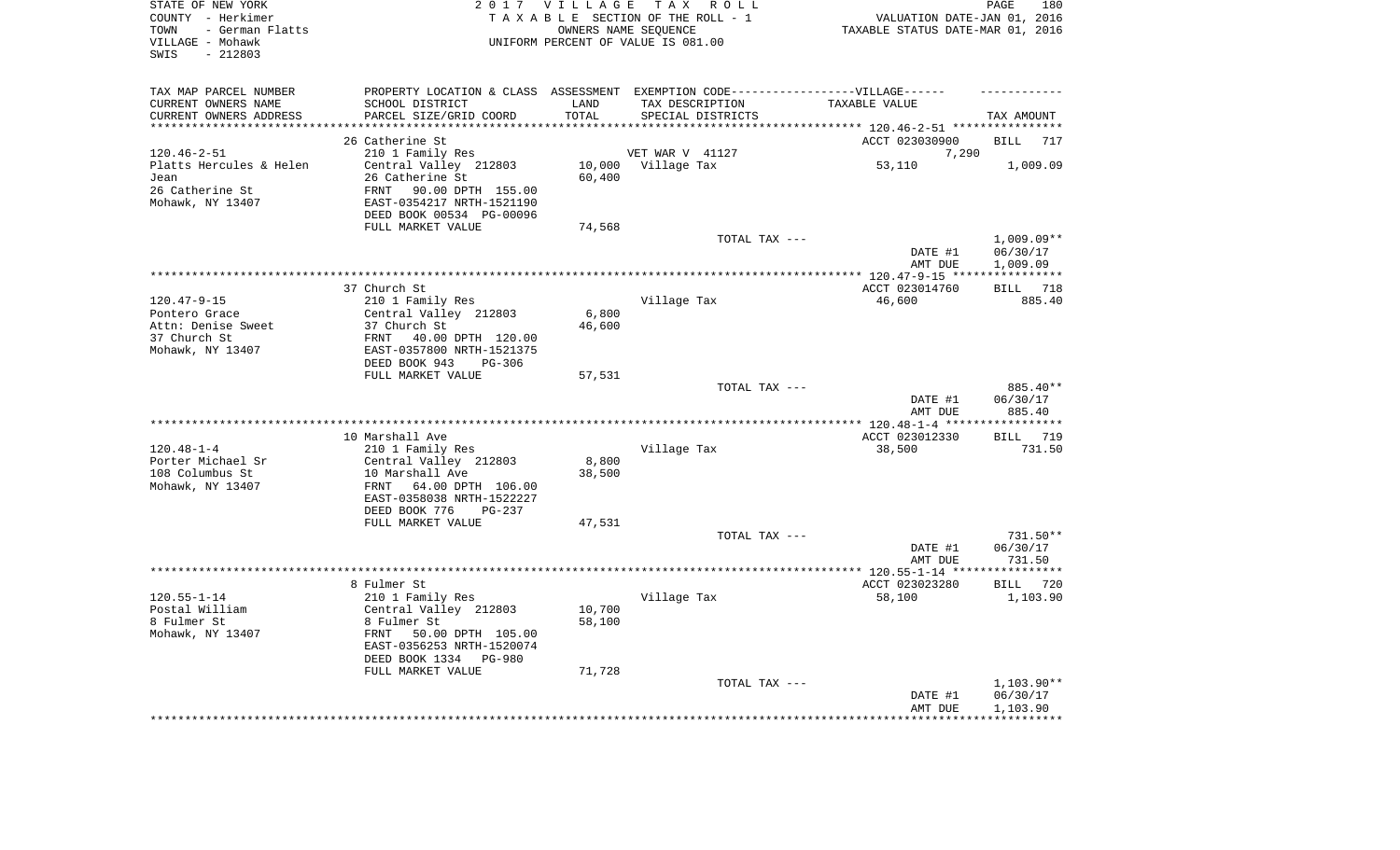| STATE OF NEW YORK<br>COUNTY - Herkimer<br>- German Flatts<br>TOWN<br>VILLAGE - Mohawk<br>SWIS<br>$-212803$ |                                                                                   | 2017 VILLAGE               | TAX ROLL<br>TAXABLE SECTION OF THE ROLL - 1<br>OWNERS NAME SEQUENCE<br>UNIFORM PERCENT OF VALUE IS 081.00 | VALUATION DATE-JAN 01, 2016<br>TAXABLE STATUS DATE-MAR 01, 2016      | PAGE<br>180          |
|------------------------------------------------------------------------------------------------------------|-----------------------------------------------------------------------------------|----------------------------|-----------------------------------------------------------------------------------------------------------|----------------------------------------------------------------------|----------------------|
| TAX MAP PARCEL NUMBER                                                                                      | PROPERTY LOCATION & CLASS ASSESSMENT EXEMPTION CODE-----------------VILLAGE------ |                            |                                                                                                           |                                                                      |                      |
| CURRENT OWNERS NAME                                                                                        | SCHOOL DISTRICT                                                                   | LAND                       | TAX DESCRIPTION                                                                                           | TAXABLE VALUE                                                        |                      |
| CURRENT OWNERS ADDRESS<br>*********************                                                            | PARCEL SIZE/GRID COORD<br>***********************                                 | TOTAL<br>* * * * * * * * * | SPECIAL DISTRICTS                                                                                         |                                                                      | TAX AMOUNT           |
|                                                                                                            |                                                                                   |                            |                                                                                                           | ************************************** 120.46-2-51 ***************** |                      |
|                                                                                                            | 26 Catherine St                                                                   |                            |                                                                                                           | ACCT 023030900                                                       | <b>BILL</b><br>717   |
| $120.46 - 2 - 51$<br>Platts Hercules & Helen                                                               | 210 1 Family Res                                                                  |                            | VET WAR V 41127                                                                                           | 7,290<br>53,110                                                      | 1,009.09             |
| Jean                                                                                                       | Central Valley 212803<br>26 Catherine St                                          | 10,000<br>60,400           | Village Tax                                                                                               |                                                                      |                      |
| 26 Catherine St                                                                                            | FRNT<br>90.00 DPTH 155.00                                                         |                            |                                                                                                           |                                                                      |                      |
| Mohawk, NY 13407                                                                                           | EAST-0354217 NRTH-1521190                                                         |                            |                                                                                                           |                                                                      |                      |
|                                                                                                            | DEED BOOK 00534 PG-00096                                                          |                            |                                                                                                           |                                                                      |                      |
|                                                                                                            | FULL MARKET VALUE                                                                 | 74,568                     |                                                                                                           |                                                                      |                      |
|                                                                                                            |                                                                                   |                            | TOTAL TAX ---                                                                                             |                                                                      | $1,009.09**$         |
|                                                                                                            |                                                                                   |                            |                                                                                                           | DATE #1                                                              | 06/30/17             |
|                                                                                                            |                                                                                   |                            |                                                                                                           | AMT DUE                                                              | 1,009.09             |
|                                                                                                            |                                                                                   |                            |                                                                                                           | ********* 120.47-9-15 *****************                              |                      |
|                                                                                                            | 37 Church St                                                                      |                            |                                                                                                           | ACCT 023014760                                                       | 718<br><b>BILL</b>   |
| $120.47 - 9 - 15$                                                                                          | 210 1 Family Res                                                                  |                            | Village Tax                                                                                               | 46,600                                                               | 885.40               |
| Pontero Grace                                                                                              | Central Valley 212803                                                             | 6,800                      |                                                                                                           |                                                                      |                      |
| Attn: Denise Sweet                                                                                         | 37 Church St                                                                      | 46,600                     |                                                                                                           |                                                                      |                      |
| 37 Church St                                                                                               | FRNT<br>40.00 DPTH 120.00<br>EAST-0357800 NRTH-1521375                            |                            |                                                                                                           |                                                                      |                      |
| Mohawk, NY 13407                                                                                           | DEED BOOK 943<br>$PG-306$                                                         |                            |                                                                                                           |                                                                      |                      |
|                                                                                                            | FULL MARKET VALUE                                                                 | 57,531                     |                                                                                                           |                                                                      |                      |
|                                                                                                            |                                                                                   |                            | TOTAL TAX ---                                                                                             |                                                                      | 885.40**             |
|                                                                                                            |                                                                                   |                            |                                                                                                           | DATE #1<br>AMT DUE                                                   | 06/30/17<br>885.40   |
|                                                                                                            |                                                                                   |                            | *********************                                                                                     | ** $120.48 - 1 - 4$ ***                                              | **********           |
|                                                                                                            | 10 Marshall Ave                                                                   |                            |                                                                                                           | ACCT 023012330                                                       | <b>BILL</b><br>719   |
| $120.48 - 1 - 4$                                                                                           | 210 1 Family Res                                                                  |                            | Village Tax                                                                                               | 38,500                                                               | 731.50               |
| Porter Michael Sr                                                                                          | Central Valley 212803                                                             | 8,800                      |                                                                                                           |                                                                      |                      |
| 108 Columbus St                                                                                            | 10 Marshall Ave                                                                   | 38,500                     |                                                                                                           |                                                                      |                      |
| Mohawk, NY 13407                                                                                           | FRNT 64.00 DPTH 106.00                                                            |                            |                                                                                                           |                                                                      |                      |
|                                                                                                            | EAST-0358038 NRTH-1522227                                                         |                            |                                                                                                           |                                                                      |                      |
|                                                                                                            | DEED BOOK 776<br>$PG-237$                                                         |                            |                                                                                                           |                                                                      |                      |
|                                                                                                            | FULL MARKET VALUE                                                                 | 47,531                     |                                                                                                           |                                                                      |                      |
|                                                                                                            |                                                                                   |                            | TOTAL TAX ---                                                                                             |                                                                      | 731.50**             |
|                                                                                                            |                                                                                   |                            |                                                                                                           | DATE #1<br>AMT DUE                                                   | 06/30/17<br>731.50   |
|                                                                                                            |                                                                                   |                            |                                                                                                           | ************** 120.55-1-14 *****                                     | **********           |
|                                                                                                            | 8 Fulmer St                                                                       |                            |                                                                                                           | ACCT 023023280                                                       | <b>BILL</b><br>720   |
| $120.55 - 1 - 14$                                                                                          | 210 1 Family Res                                                                  |                            | Village Tax                                                                                               | 58,100                                                               | 1,103.90             |
| Postal William                                                                                             | Central Valley 212803                                                             | 10,700                     |                                                                                                           |                                                                      |                      |
| 8 Fulmer St                                                                                                | 8 Fulmer St                                                                       | 58,100                     |                                                                                                           |                                                                      |                      |
| Mohawk, NY 13407                                                                                           | FRNT<br>50.00 DPTH 105.00                                                         |                            |                                                                                                           |                                                                      |                      |
|                                                                                                            | EAST-0356253 NRTH-1520074                                                         |                            |                                                                                                           |                                                                      |                      |
|                                                                                                            | DEED BOOK 1334<br><b>PG-980</b>                                                   |                            |                                                                                                           |                                                                      |                      |
|                                                                                                            | FULL MARKET VALUE                                                                 | 71,728                     |                                                                                                           |                                                                      |                      |
|                                                                                                            |                                                                                   |                            | TOTAL TAX ---                                                                                             |                                                                      | 1,103.90**           |
|                                                                                                            |                                                                                   |                            |                                                                                                           | DATE #1<br>AMT DUE                                                   | 06/30/17<br>1,103.90 |
|                                                                                                            |                                                                                   |                            |                                                                                                           |                                                                      |                      |
|                                                                                                            |                                                                                   |                            |                                                                                                           |                                                                      |                      |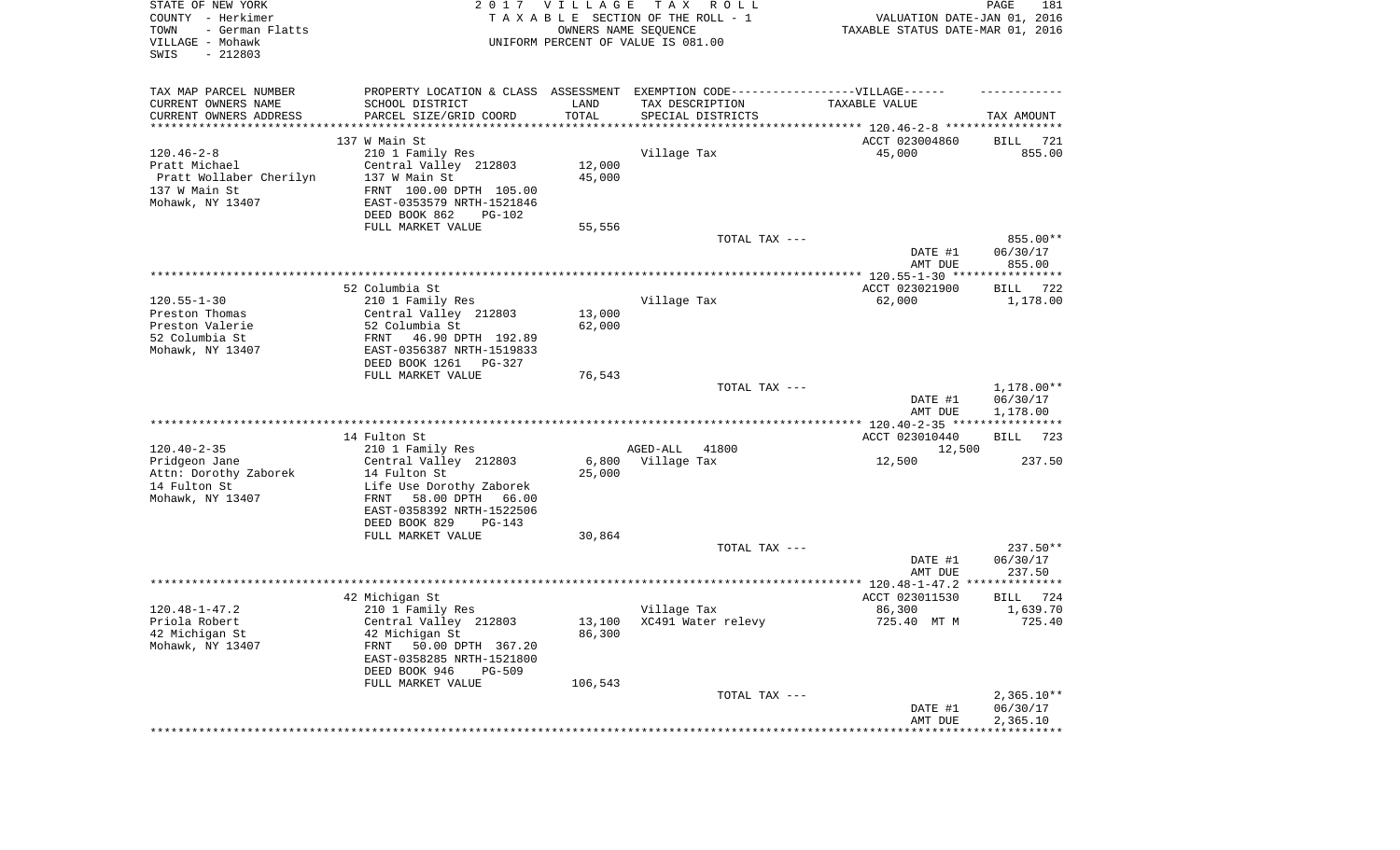| STATE OF NEW YORK<br>COUNTY - Herkimer<br>- German Flatts<br>TOWN<br>VILLAGE - Mohawk<br>SWIS<br>$-212803$ |                                                                                  | 2017 VILLAGE<br>OWNERS NAME SEQUENCE | T A X<br>R O L L<br>TAXABLE SECTION OF THE ROLL - 1<br>UNIFORM PERCENT OF VALUE IS 081.00 | VALUATION DATE-JAN 01, 2016<br>TAXABLE STATUS DATE-MAR 01, 2016 | PAGE<br>181          |
|------------------------------------------------------------------------------------------------------------|----------------------------------------------------------------------------------|--------------------------------------|-------------------------------------------------------------------------------------------|-----------------------------------------------------------------|----------------------|
| TAX MAP PARCEL NUMBER                                                                                      | PROPERTY LOCATION & CLASS ASSESSMENT EXEMPTION CODE----------------VILLAGE------ |                                      |                                                                                           |                                                                 |                      |
| CURRENT OWNERS NAME                                                                                        | SCHOOL DISTRICT                                                                  | LAND                                 | TAX DESCRIPTION                                                                           | TAXABLE VALUE                                                   |                      |
| CURRENT OWNERS ADDRESS<br>************************                                                         | PARCEL SIZE/GRID COORD                                                           | TOTAL                                | SPECIAL DISTRICTS                                                                         |                                                                 | TAX AMOUNT           |
|                                                                                                            | 137 W Main St                                                                    |                                      |                                                                                           | ACCT 023004860                                                  | 721<br>BILL          |
| $120.46 - 2 - 8$                                                                                           | 210 1 Family Res                                                                 |                                      | Village Tax                                                                               | 45,000                                                          | 855.00               |
| Pratt Michael                                                                                              | Central Valley 212803                                                            | 12,000                               |                                                                                           |                                                                 |                      |
| Pratt Wollaber Cherilyn                                                                                    | 137 W Main St                                                                    | 45,000                               |                                                                                           |                                                                 |                      |
| 137 W Main St<br>Mohawk, NY 13407                                                                          | FRNT 100.00 DPTH 105.00<br>EAST-0353579 NRTH-1521846                             |                                      |                                                                                           |                                                                 |                      |
|                                                                                                            | DEED BOOK 862<br>PG-102                                                          |                                      |                                                                                           |                                                                 |                      |
|                                                                                                            | FULL MARKET VALUE                                                                | 55,556                               |                                                                                           |                                                                 |                      |
|                                                                                                            |                                                                                  |                                      | TOTAL TAX ---                                                                             |                                                                 | 855.00**             |
|                                                                                                            |                                                                                  |                                      |                                                                                           | DATE #1<br>AMT DUE                                              | 06/30/17<br>855.00   |
|                                                                                                            |                                                                                  |                                      |                                                                                           |                                                                 |                      |
| $120.55 - 1 - 30$                                                                                          | 52 Columbia St                                                                   |                                      |                                                                                           | ACCT 023021900<br>62,000                                        | BILL<br>722          |
| Preston Thomas                                                                                             | 210 1 Family Res<br>Central Valley 212803                                        | 13,000                               | Village Tax                                                                               |                                                                 | 1,178.00             |
| Preston Valerie                                                                                            | 52 Columbia St                                                                   | 62,000                               |                                                                                           |                                                                 |                      |
| 52 Columbia St                                                                                             | 46.90 DPTH 192.89<br>FRNT                                                        |                                      |                                                                                           |                                                                 |                      |
| Mohawk, NY 13407                                                                                           | EAST-0356387 NRTH-1519833                                                        |                                      |                                                                                           |                                                                 |                      |
|                                                                                                            | DEED BOOK 1261<br>PG-327                                                         |                                      |                                                                                           |                                                                 |                      |
|                                                                                                            | FULL MARKET VALUE                                                                | 76,543                               | TOTAL TAX ---                                                                             |                                                                 | 1,178.00**           |
|                                                                                                            |                                                                                  |                                      |                                                                                           | DATE #1<br>AMT DUE                                              | 06/30/17<br>1,178.00 |
|                                                                                                            |                                                                                  |                                      |                                                                                           |                                                                 |                      |
|                                                                                                            | 14 Fulton St                                                                     |                                      |                                                                                           | ACCT 023010440                                                  | <b>BILL</b><br>723   |
| $120.40 - 2 - 35$                                                                                          | 210 1 Family Res                                                                 |                                      | AGED-ALL<br>41800                                                                         | 12,500                                                          |                      |
| Pridgeon Jane                                                                                              | Central Valley 212803                                                            | 6,800                                | Village Tax                                                                               | 12,500                                                          | 237.50               |
| Attn: Dorothy Zaborek<br>14 Fulton St                                                                      | 14 Fulton St<br>Life Use Dorothy Zaborek                                         | 25,000                               |                                                                                           |                                                                 |                      |
| Mohawk, NY 13407                                                                                           | FRNT<br>58.00 DPTH 66.00                                                         |                                      |                                                                                           |                                                                 |                      |
|                                                                                                            | EAST-0358392 NRTH-1522506                                                        |                                      |                                                                                           |                                                                 |                      |
|                                                                                                            | DEED BOOK 829<br>PG-143                                                          |                                      |                                                                                           |                                                                 |                      |
|                                                                                                            | FULL MARKET VALUE                                                                | 30,864                               |                                                                                           |                                                                 |                      |
|                                                                                                            |                                                                                  |                                      | TOTAL TAX ---                                                                             |                                                                 | $237.50**$           |
|                                                                                                            |                                                                                  |                                      |                                                                                           | DATE #1<br>AMT DUE                                              | 06/30/17<br>237.50   |
|                                                                                                            |                                                                                  |                                      |                                                                                           |                                                                 | **************       |
|                                                                                                            | 42 Michigan St                                                                   |                                      |                                                                                           | ACCT 023011530                                                  | BILL<br>724          |
| $120.48 - 1 - 47.2$                                                                                        | 210 1 Family Res                                                                 |                                      | Village Tax                                                                               | 86,300                                                          | 1,639.70             |
| Priola Robert                                                                                              | Central Valley 212803                                                            |                                      | 13,100 XC491 Water relevy                                                                 | 725.40 MT M                                                     | 725.40               |
| 42 Michigan St<br>Mohawk, NY 13407                                                                         | 42 Michigan St<br>50.00 DPTH 367.20<br>FRNT                                      | 86,300                               |                                                                                           |                                                                 |                      |
|                                                                                                            | EAST-0358285 NRTH-1521800                                                        |                                      |                                                                                           |                                                                 |                      |
|                                                                                                            | DEED BOOK 946<br>PG-509                                                          |                                      |                                                                                           |                                                                 |                      |
|                                                                                                            | FULL MARKET VALUE                                                                | 106,543                              |                                                                                           |                                                                 |                      |
|                                                                                                            |                                                                                  |                                      | TOTAL TAX ---                                                                             |                                                                 | $2,365.10**$         |
|                                                                                                            |                                                                                  |                                      |                                                                                           | DATE #1                                                         | 06/30/17             |
|                                                                                                            |                                                                                  |                                      |                                                                                           | AMT DUE                                                         | 2,365.10             |
|                                                                                                            |                                                                                  |                                      |                                                                                           |                                                                 |                      |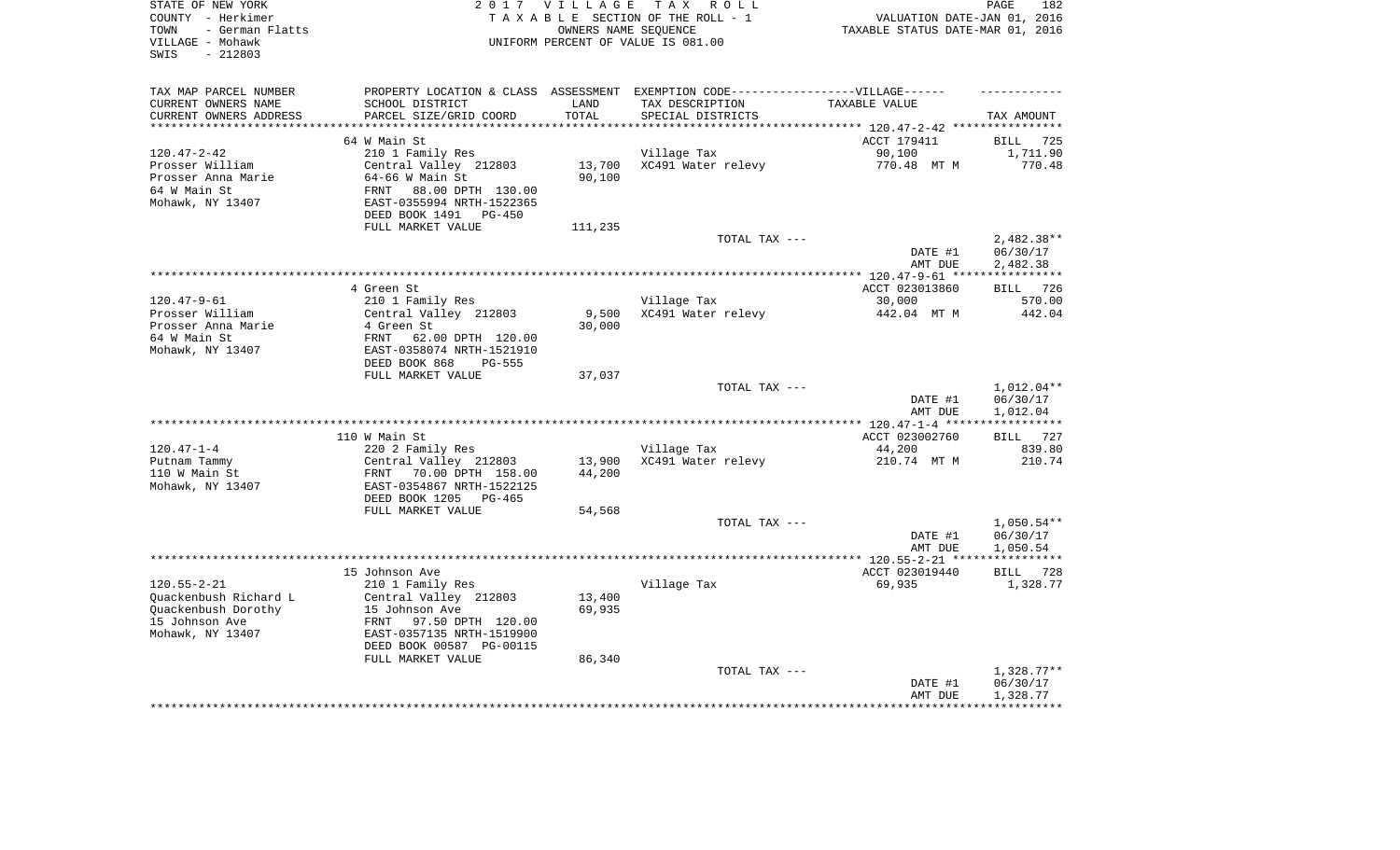| STATE OF NEW YORK<br>COUNTY - Herkimer<br>- German Flatts<br>TOWN<br>VILLAGE - Mohawk<br>$-212803$<br>SWIS |                                                         | 2017 VILLAGE    | TAX ROLL<br>TAXABLE SECTION OF THE ROLL - 1<br>OWNERS NAME SEOUENCE<br>UNIFORM PERCENT OF VALUE IS 081.00 | VALUATION DATE-JAN 01, 2016<br>TAXABLE STATUS DATE-MAR 01, 2016 | PAGE<br>182           |
|------------------------------------------------------------------------------------------------------------|---------------------------------------------------------|-----------------|-----------------------------------------------------------------------------------------------------------|-----------------------------------------------------------------|-----------------------|
| TAX MAP PARCEL NUMBER                                                                                      |                                                         |                 | PROPERTY LOCATION & CLASS ASSESSMENT EXEMPTION CODE-----------------VILLAGE------                         |                                                                 |                       |
| CURRENT OWNERS NAME                                                                                        | SCHOOL DISTRICT                                         | LAND            | TAX DESCRIPTION                                                                                           | TAXABLE VALUE                                                   |                       |
| CURRENT OWNERS ADDRESS                                                                                     | PARCEL SIZE/GRID COORD                                  | TOTAL           | SPECIAL DISTRICTS                                                                                         |                                                                 | TAX AMOUNT            |
|                                                                                                            | 64 W Main St                                            |                 |                                                                                                           | ********** 120.47-2-42 ***<br>ACCT 179411                       | <b>BILL</b><br>725    |
| $120.47 - 2 - 42$                                                                                          | 210 1 Family Res                                        |                 | Village Tax                                                                                               | 90,100                                                          | 1,711.90              |
| Prosser William                                                                                            | Central Valley 212803                                   | 13,700          | XC491 Water relevy                                                                                        | 770.48 MT M                                                     | 770.48                |
| Prosser Anna Marie                                                                                         | $64-66$ W Main St                                       | 90,100          |                                                                                                           |                                                                 |                       |
| 64 W Main St                                                                                               | FRNT<br>88.00 DPTH 130.00                               |                 |                                                                                                           |                                                                 |                       |
| Mohawk, NY 13407                                                                                           | EAST-0355994 NRTH-1522365                               |                 |                                                                                                           |                                                                 |                       |
|                                                                                                            | DEED BOOK 1491 PG-450                                   |                 |                                                                                                           |                                                                 |                       |
|                                                                                                            | FULL MARKET VALUE                                       | 111,235         | TOTAL TAX ---                                                                                             |                                                                 | $2,482.38**$          |
|                                                                                                            |                                                         |                 |                                                                                                           | DATE #1                                                         | 06/30/17              |
|                                                                                                            |                                                         |                 |                                                                                                           | AMT DUE                                                         | 2,482.38              |
|                                                                                                            | ************                                            |                 | **********************************                                                                        | ********* 120.47-9-61 ***                                       | * * * * * * * * * * * |
|                                                                                                            | 4 Green St                                              |                 |                                                                                                           | ACCT 023013860                                                  | BILL 726              |
| $120.47 - 9 - 61$                                                                                          | 210 1 Family Res                                        |                 | Village Tax                                                                                               | 30,000                                                          | 570.00                |
| Prosser William<br>Prosser Anna Marie                                                                      | Central Valley 212803<br>4 Green St                     | 9,500<br>30,000 | XC491 Water relevy                                                                                        | 442.04 MT M                                                     | 442.04                |
| 64 W Main St                                                                                               | FRNT<br>62.00 DPTH 120.00                               |                 |                                                                                                           |                                                                 |                       |
| Mohawk, NY 13407                                                                                           | EAST-0358074 NRTH-1521910                               |                 |                                                                                                           |                                                                 |                       |
|                                                                                                            | DEED BOOK 868<br>PG-555                                 |                 |                                                                                                           |                                                                 |                       |
|                                                                                                            | FULL MARKET VALUE                                       | 37,037          |                                                                                                           |                                                                 |                       |
|                                                                                                            |                                                         |                 | TOTAL TAX ---                                                                                             |                                                                 | $1,012.04**$          |
|                                                                                                            |                                                         |                 |                                                                                                           | DATE #1                                                         | 06/30/17<br>1,012.04  |
|                                                                                                            |                                                         |                 |                                                                                                           | AMT DUE                                                         |                       |
|                                                                                                            | 110 W Main St                                           |                 |                                                                                                           | ACCT 023002760                                                  | BILL 727              |
| $120.47 - 1 - 4$                                                                                           | 220 2 Family Res                                        |                 | Village Tax                                                                                               | 44,200                                                          | 839.80                |
| Putnam Tammy                                                                                               | Central Valley 212803                                   | 13,900          | XC491 Water relevy                                                                                        | 210.74 MT M                                                     | 210.74                |
| 110 W Main St                                                                                              | FRNT<br>70.00 DPTH 158.00                               | 44,200          |                                                                                                           |                                                                 |                       |
| Mohawk, NY 13407                                                                                           | EAST-0354867 NRTH-1522125<br>DEED BOOK 1205<br>$PG-465$ |                 |                                                                                                           |                                                                 |                       |
|                                                                                                            | FULL MARKET VALUE                                       | 54,568          |                                                                                                           |                                                                 |                       |
|                                                                                                            |                                                         |                 | TOTAL TAX ---                                                                                             |                                                                 | $1,050.54**$          |
|                                                                                                            |                                                         |                 |                                                                                                           | DATE #1                                                         | 06/30/17              |
|                                                                                                            |                                                         |                 |                                                                                                           | AMT DUE                                                         | 1,050.54              |
|                                                                                                            |                                                         |                 |                                                                                                           | ** 120.55-2-21 **'                                              | * * * * * * * * * * * |
|                                                                                                            | 15 Johnson Ave                                          |                 |                                                                                                           | ACCT 023019440                                                  | <b>BILL</b><br>728    |
| $120.55 - 2 - 21$<br>Ouackenbush Richard L                                                                 | 210 1 Family Res<br>Central Valley 212803               | 13,400          | Village Tax                                                                                               | 69,935                                                          | 1,328.77              |
| Quackenbush Dorothy                                                                                        | 15 Johnson Ave                                          | 69,935          |                                                                                                           |                                                                 |                       |
| 15 Johnson Ave                                                                                             | FRNT 97.50 DPTH 120.00                                  |                 |                                                                                                           |                                                                 |                       |
| Mohawk, NY 13407                                                                                           | EAST-0357135 NRTH-1519900                               |                 |                                                                                                           |                                                                 |                       |
|                                                                                                            | DEED BOOK 00587 PG-00115                                |                 |                                                                                                           |                                                                 |                       |
|                                                                                                            | FULL MARKET VALUE                                       | 86,340          |                                                                                                           |                                                                 |                       |
|                                                                                                            |                                                         |                 | TOTAL TAX ---                                                                                             |                                                                 | $1,328.77**$          |
|                                                                                                            |                                                         |                 |                                                                                                           | DATE #1<br>AMT DUE                                              | 06/30/17<br>1,328.77  |
|                                                                                                            |                                                         |                 |                                                                                                           |                                                                 |                       |
|                                                                                                            |                                                         |                 |                                                                                                           |                                                                 |                       |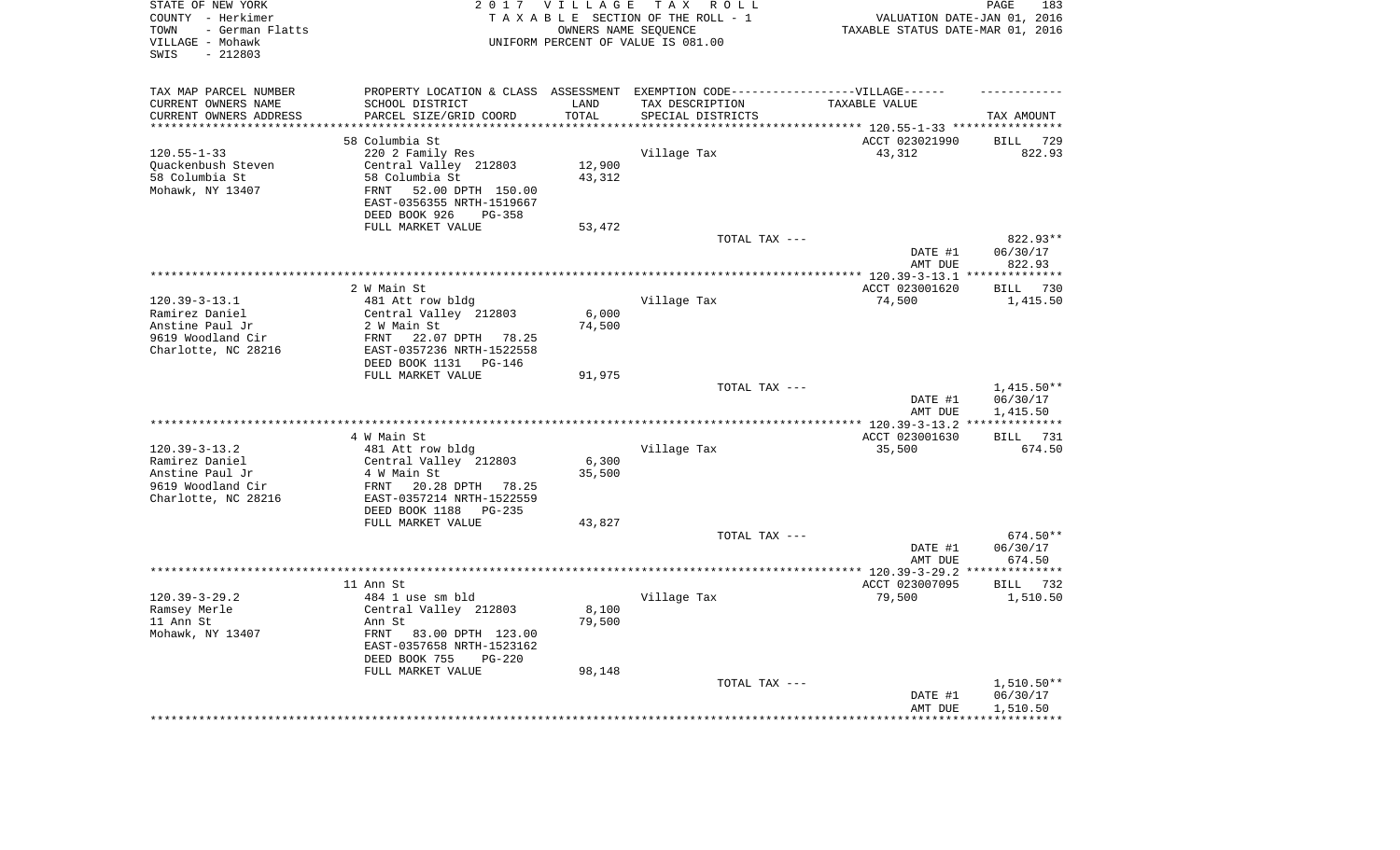| STATE OF NEW YORK<br>COUNTY - Herkimer<br>- German Flatts<br>TOWN<br>VILLAGE - Mohawk<br>$-212803$<br>SWIS |                                               | 2017 VILLAGE             | T A X<br>R O L L<br>TAXABLE SECTION OF THE ROLL - 1<br>OWNERS NAME SEQUENCE<br>UNIFORM PERCENT OF VALUE IS 081.00 | VALUATION DATE-JAN 01, 2016<br>TAXABLE STATUS DATE-MAR 01, 2016 | PAGE<br>183          |
|------------------------------------------------------------------------------------------------------------|-----------------------------------------------|--------------------------|-------------------------------------------------------------------------------------------------------------------|-----------------------------------------------------------------|----------------------|
| TAX MAP PARCEL NUMBER                                                                                      |                                               |                          | PROPERTY LOCATION & CLASS ASSESSMENT EXEMPTION CODE-----------------VILLAGE------                                 |                                                                 |                      |
| CURRENT OWNERS NAME                                                                                        | SCHOOL DISTRICT                               | LAND                     | TAX DESCRIPTION                                                                                                   | TAXABLE VALUE                                                   |                      |
| CURRENT OWNERS ADDRESS<br>********************                                                             | PARCEL SIZE/GRID COORD                        | TOTAL<br>* * * * * * * * | SPECIAL DISTRICTS                                                                                                 |                                                                 | TAX AMOUNT           |
|                                                                                                            |                                               |                          |                                                                                                                   | ******************************** 120.55-1-33 *****************  |                      |
|                                                                                                            | 58 Columbia St                                |                          |                                                                                                                   | ACCT 023021990                                                  | <b>BILL</b><br>729   |
| $120.55 - 1 - 33$                                                                                          | 220 2 Family Res                              | 12,900                   | Village Tax                                                                                                       | 43,312                                                          | 822.93               |
| Quackenbush Steven<br>58 Columbia St                                                                       | Central Valley 212803<br>58 Columbia St       | 43,312                   |                                                                                                                   |                                                                 |                      |
| Mohawk, NY 13407                                                                                           | 52.00 DPTH 150.00<br>FRNT                     |                          |                                                                                                                   |                                                                 |                      |
|                                                                                                            | EAST-0356355 NRTH-1519667                     |                          |                                                                                                                   |                                                                 |                      |
|                                                                                                            | DEED BOOK 926<br>PG-358                       |                          |                                                                                                                   |                                                                 |                      |
|                                                                                                            | FULL MARKET VALUE                             | 53,472                   |                                                                                                                   |                                                                 |                      |
|                                                                                                            |                                               |                          | TOTAL TAX ---                                                                                                     |                                                                 | 822.93**             |
|                                                                                                            |                                               |                          |                                                                                                                   | DATE #1                                                         | 06/30/17             |
|                                                                                                            |                                               |                          |                                                                                                                   | AMT DUE                                                         | 822.93               |
|                                                                                                            |                                               |                          |                                                                                                                   | ****** $120.39-3-13.1$                                          | ***********          |
|                                                                                                            | 2 W Main St                                   |                          |                                                                                                                   | ACCT 023001620                                                  | 730<br>BILL          |
| $120.39 - 3 - 13.1$                                                                                        | 481 Att row bldg                              |                          | Village Tax                                                                                                       | 74,500                                                          | 1,415.50             |
| Ramirez Daniel                                                                                             | Central Valley 212803                         | 6,000                    |                                                                                                                   |                                                                 |                      |
| Anstine Paul Jr                                                                                            | 2 W Main St                                   | 74,500                   |                                                                                                                   |                                                                 |                      |
| 9619 Woodland Cir                                                                                          | FRNT<br>22.07 DPTH 78.25                      |                          |                                                                                                                   |                                                                 |                      |
| Charlotte, NC 28216                                                                                        | EAST-0357236 NRTH-1522558                     |                          |                                                                                                                   |                                                                 |                      |
|                                                                                                            | DEED BOOK 1131<br>PG-146<br>FULL MARKET VALUE | 91,975                   |                                                                                                                   |                                                                 |                      |
|                                                                                                            |                                               |                          | TOTAL TAX ---                                                                                                     |                                                                 | 1,415.50**           |
|                                                                                                            |                                               |                          |                                                                                                                   | DATE #1                                                         | 06/30/17             |
|                                                                                                            |                                               |                          |                                                                                                                   | AMT DUE                                                         | 1,415.50             |
|                                                                                                            |                                               |                          |                                                                                                                   | ** 120.39-3-13.2                                                |                      |
|                                                                                                            | 4 W Main St                                   |                          |                                                                                                                   | ACCT 023001630                                                  | 731<br>BILL          |
| $120.39 - 3 - 13.2$                                                                                        | 481 Att row bldg                              |                          | Village Tax                                                                                                       | 35,500                                                          | 674.50               |
| Ramirez Daniel                                                                                             | Central Valley 212803                         | 6,300                    |                                                                                                                   |                                                                 |                      |
| Anstine Paul Jr                                                                                            | 4 W Main St                                   | 35,500                   |                                                                                                                   |                                                                 |                      |
| 9619 Woodland Cir                                                                                          | FRNT<br>20.28 DPTH 78.25                      |                          |                                                                                                                   |                                                                 |                      |
| Charlotte, NC 28216                                                                                        | EAST-0357214 NRTH-1522559                     |                          |                                                                                                                   |                                                                 |                      |
|                                                                                                            | DEED BOOK 1188<br>PG-235                      |                          |                                                                                                                   |                                                                 |                      |
|                                                                                                            | FULL MARKET VALUE                             | 43,827                   | TOTAL TAX ---                                                                                                     |                                                                 |                      |
|                                                                                                            |                                               |                          |                                                                                                                   | DATE #1                                                         | 674.50**<br>06/30/17 |
|                                                                                                            |                                               |                          |                                                                                                                   | AMT DUE                                                         | 674.50               |
|                                                                                                            |                                               |                          |                                                                                                                   | *********** 120.39-3-29.2 ***                                   | **********           |
|                                                                                                            | 11 Ann St                                     |                          |                                                                                                                   | ACCT 023007095                                                  | <b>BILL</b><br>732   |
| $120.39 - 3 - 29.2$                                                                                        | 484 1 use sm bld                              |                          | Village Tax                                                                                                       | 79,500                                                          | 1,510.50             |
| Ramsey Merle                                                                                               | Central Valley 212803                         | 8,100                    |                                                                                                                   |                                                                 |                      |
| 11 Ann St                                                                                                  | Ann St                                        | 79,500                   |                                                                                                                   |                                                                 |                      |
| Mohawk, NY 13407                                                                                           | FRNT<br>83.00 DPTH 123.00                     |                          |                                                                                                                   |                                                                 |                      |
|                                                                                                            | EAST-0357658 NRTH-1523162                     |                          |                                                                                                                   |                                                                 |                      |
|                                                                                                            | DEED BOOK 755<br>$PG-220$                     |                          |                                                                                                                   |                                                                 |                      |
|                                                                                                            | FULL MARKET VALUE                             | 98,148                   |                                                                                                                   |                                                                 |                      |
|                                                                                                            |                                               |                          | TOTAL TAX ---                                                                                                     |                                                                 | 1,510.50**           |
|                                                                                                            |                                               |                          |                                                                                                                   | DATE #1<br>AMT DUE                                              | 06/30/17<br>1,510.50 |
|                                                                                                            |                                               |                          |                                                                                                                   |                                                                 |                      |
|                                                                                                            |                                               |                          |                                                                                                                   |                                                                 |                      |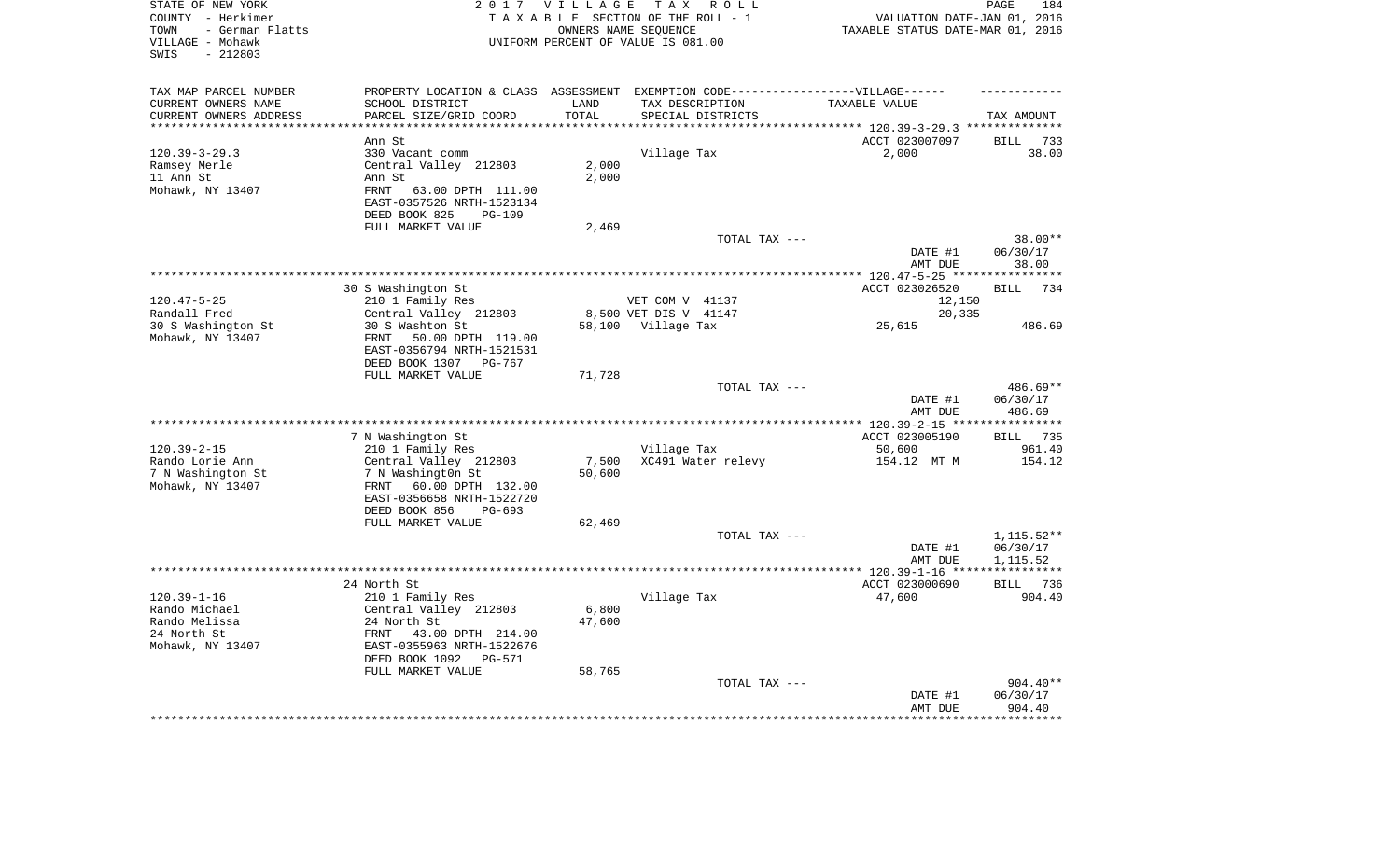| STATE OF NEW YORK<br>COUNTY - Herkimer<br>- German Flatts<br>TOWN<br>VILLAGE - Mohawk<br>$-212803$<br>SWIS |                                                                                                                                   | 2017 VILLAGE<br>OWNERS NAME SEQUENCE | T A X<br>R O L L<br>TAXABLE SECTION OF THE ROLL - 1<br>UNIFORM PERCENT OF VALUE IS 081.00 | VALUATION DATE-JAN 01, 2016<br>TAXABLE STATUS DATE-MAR 01, 2016            | PAGE<br>184                    |
|------------------------------------------------------------------------------------------------------------|-----------------------------------------------------------------------------------------------------------------------------------|--------------------------------------|-------------------------------------------------------------------------------------------|----------------------------------------------------------------------------|--------------------------------|
| TAX MAP PARCEL NUMBER                                                                                      |                                                                                                                                   |                                      | PROPERTY LOCATION & CLASS ASSESSMENT EXEMPTION CODE-----------------VILLAGE------         |                                                                            |                                |
| CURRENT OWNERS NAME                                                                                        | SCHOOL DISTRICT                                                                                                                   | LAND                                 | TAX DESCRIPTION                                                                           | TAXABLE VALUE                                                              |                                |
| CURRENT OWNERS ADDRESS<br>*********************                                                            | PARCEL SIZE/GRID COORD                                                                                                            | TOTAL<br>********                    | SPECIAL DISTRICTS                                                                         |                                                                            | TAX AMOUNT                     |
|                                                                                                            | Ann St                                                                                                                            |                                      |                                                                                           | *************************** 120.39-3-29.3 **************<br>ACCT 023007097 | 733<br><b>BILL</b>             |
| $120.39 - 3 - 29.3$                                                                                        | 330 Vacant comm                                                                                                                   |                                      | Village Tax                                                                               | 2,000                                                                      | 38.00                          |
| Ramsey Merle                                                                                               | Central Valley 212803                                                                                                             | 2,000                                |                                                                                           |                                                                            |                                |
| 11 Ann St                                                                                                  | Ann St                                                                                                                            | 2,000                                |                                                                                           |                                                                            |                                |
| Mohawk, NY 13407                                                                                           | <b>FRNT</b><br>63.00 DPTH 111.00<br>EAST-0357526 NRTH-1523134                                                                     |                                      |                                                                                           |                                                                            |                                |
|                                                                                                            | DEED BOOK 825<br><b>PG-109</b>                                                                                                    |                                      |                                                                                           |                                                                            |                                |
|                                                                                                            | FULL MARKET VALUE                                                                                                                 | 2,469                                | TOTAL TAX ---                                                                             |                                                                            | $38.00**$                      |
|                                                                                                            |                                                                                                                                   |                                      |                                                                                           | DATE #1<br>AMT DUE                                                         | 06/30/17<br>38.00              |
|                                                                                                            |                                                                                                                                   |                                      |                                                                                           | ********** 120.47-5-25 ***                                                 | ********                       |
|                                                                                                            | 30 S Washington St                                                                                                                |                                      |                                                                                           | ACCT 023026520                                                             | 734<br><b>BILL</b>             |
| $120.47 - 5 - 25$                                                                                          | 210 1 Family Res                                                                                                                  |                                      | VET COM V 41137                                                                           | 12,150                                                                     |                                |
| Randall Fred                                                                                               | Central Valley 212803                                                                                                             |                                      | 8,500 VET DIS V 41147                                                                     | 20,335                                                                     |                                |
| 30 S Washington St<br>Mohawk, NY 13407                                                                     | 30 S Washton St<br>FRNT<br>50.00 DPTH 119.00<br>EAST-0356794 NRTH-1521531<br>DEED BOOK 1307<br>PG-767                             |                                      | 58,100 Village Tax                                                                        | 25,615                                                                     | 486.69                         |
|                                                                                                            | FULL MARKET VALUE                                                                                                                 | 71,728                               |                                                                                           |                                                                            |                                |
|                                                                                                            |                                                                                                                                   |                                      | TOTAL TAX ---                                                                             | DATE #1<br>AMT DUE                                                         | 486.69**<br>06/30/17<br>486.69 |
|                                                                                                            |                                                                                                                                   |                                      |                                                                                           | ******** 120.39-2-15 **                                                    | * * * * * * * * * *            |
|                                                                                                            | 7 N Washington St                                                                                                                 |                                      |                                                                                           | ACCT 023005190                                                             | 735<br>BILL                    |
| $120.39 - 2 - 15$                                                                                          | 210 1 Family Res                                                                                                                  |                                      | Village Tax                                                                               | 50,600                                                                     | 961.40                         |
| Rando Lorie Ann<br>7 N Washington St                                                                       | Central Valley 212803<br>7 N Washingt0n St                                                                                        | 7,500<br>50,600                      | XC491 Water relevy                                                                        | 154.12 MT M                                                                | 154.12                         |
| Mohawk, NY 13407                                                                                           | 60.00 DPTH 132.00<br>FRNT<br>EAST-0356658 NRTH-1522720                                                                            |                                      |                                                                                           |                                                                            |                                |
|                                                                                                            | DEED BOOK 856<br>$PG-693$<br>FULL MARKET VALUE                                                                                    | 62,469                               |                                                                                           |                                                                            |                                |
|                                                                                                            |                                                                                                                                   |                                      | TOTAL TAX ---                                                                             |                                                                            | $1,115.52**$                   |
|                                                                                                            |                                                                                                                                   |                                      |                                                                                           | DATE #1                                                                    | 06/30/17                       |
|                                                                                                            |                                                                                                                                   |                                      |                                                                                           | AMT DUE                                                                    | 1, 115.52                      |
|                                                                                                            |                                                                                                                                   |                                      |                                                                                           | ***************** 120.39-1-16 ***                                          | * * * * * * * * * * *          |
|                                                                                                            | 24 North St                                                                                                                       |                                      |                                                                                           | ACCT 023000690                                                             | <b>BILL</b><br>736             |
| $120.39 - 1 - 16$                                                                                          | 210 1 Family Res                                                                                                                  |                                      | Village Tax                                                                               | 47,600                                                                     | 904.40                         |
| Rando Michael<br>Rando Melissa<br>24 North St<br>Mohawk, NY 13407                                          | Central Valley 212803<br>24 North St<br>FRNT<br>43.00 DPTH 214.00<br>EAST-0355963 NRTH-1522676<br>DEED BOOK 1092<br><b>PG-571</b> | 6,800<br>47,600                      |                                                                                           |                                                                            |                                |
|                                                                                                            | FULL MARKET VALUE                                                                                                                 | 58,765                               |                                                                                           |                                                                            |                                |
|                                                                                                            |                                                                                                                                   |                                      | TOTAL TAX ---                                                                             | DATE #1<br>AMT DUE                                                         | 904.40**<br>06/30/17<br>904.40 |
|                                                                                                            |                                                                                                                                   |                                      |                                                                                           |                                                                            | ********                       |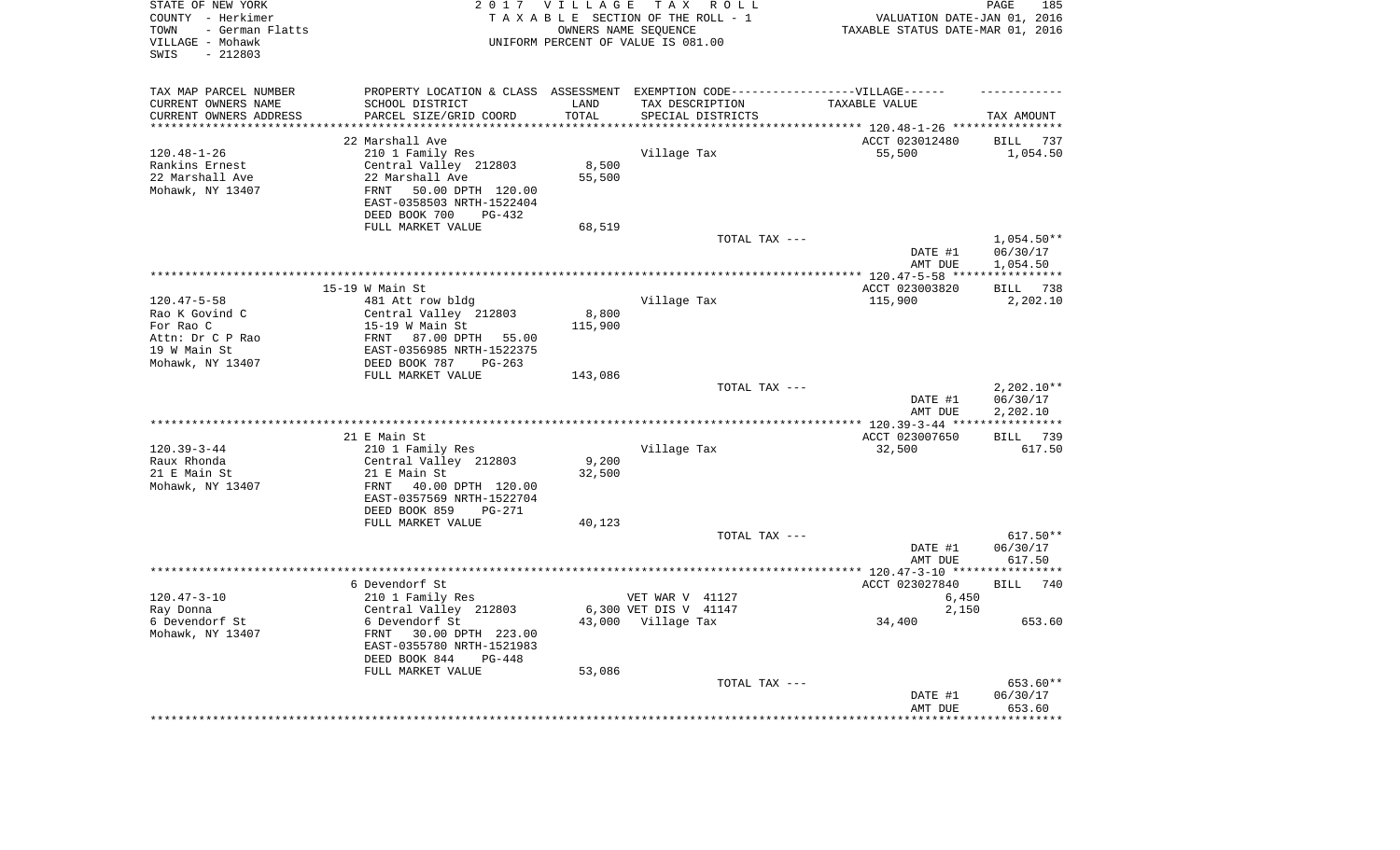| STATE OF NEW YORK<br>COUNTY - Herkimer<br>- German Flatts<br>TOWN<br>VILLAGE - Mohawk<br>$-212803$<br>SWIS |                                                                          | 2017 VILLAGE    | T A X<br>R O L L<br>TAXABLE SECTION OF THE ROLL - 1<br>OWNERS NAME SEQUENCE<br>UNIFORM PERCENT OF VALUE IS 081.00 | VALUATION DATE-JAN 01, 2016<br>TAXABLE STATUS DATE-MAR 01, 2016 | PAGE<br>185            |
|------------------------------------------------------------------------------------------------------------|--------------------------------------------------------------------------|-----------------|-------------------------------------------------------------------------------------------------------------------|-----------------------------------------------------------------|------------------------|
| TAX MAP PARCEL NUMBER                                                                                      |                                                                          |                 | PROPERTY LOCATION & CLASS ASSESSMENT EXEMPTION CODE-----------------VILLAGE------                                 |                                                                 |                        |
| CURRENT OWNERS NAME<br>CURRENT OWNERS ADDRESS                                                              | SCHOOL DISTRICT<br>PARCEL SIZE/GRID COORD                                | LAND<br>TOTAL   | TAX DESCRIPTION<br>SPECIAL DISTRICTS                                                                              | TAXABLE VALUE                                                   | TAX AMOUNT             |
| ********************                                                                                       |                                                                          | * * * * * * * * |                                                                                                                   | *************************** 120.48-1-26 *****************       |                        |
|                                                                                                            | 22 Marshall Ave                                                          |                 |                                                                                                                   | ACCT 023012480                                                  | <b>BILL</b><br>737     |
| $120.48 - 1 - 26$                                                                                          | 210 1 Family Res                                                         |                 | Village Tax                                                                                                       | 55,500                                                          | 1,054.50               |
| Rankins Ernest                                                                                             | Central Valley 212803                                                    | 8,500           |                                                                                                                   |                                                                 |                        |
| 22 Marshall Ave                                                                                            | 22 Marshall Ave                                                          | 55,500          |                                                                                                                   |                                                                 |                        |
| Mohawk, NY 13407                                                                                           | 50.00 DPTH 120.00<br>FRNT<br>EAST-0358503 NRTH-1522404                   |                 |                                                                                                                   |                                                                 |                        |
|                                                                                                            | DEED BOOK 700<br>$PG-432$<br>FULL MARKET VALUE                           |                 |                                                                                                                   |                                                                 |                        |
|                                                                                                            |                                                                          | 68,519          | TOTAL TAX ---                                                                                                     |                                                                 | $1,054.50**$           |
|                                                                                                            |                                                                          |                 |                                                                                                                   | DATE #1<br>AMT DUE                                              | 06/30/17<br>1,054.50   |
|                                                                                                            |                                                                          |                 |                                                                                                                   | *** $120.47 - 5 - 58$ ****                                      | ***********            |
|                                                                                                            | $15-19$ W Main St                                                        |                 |                                                                                                                   | ACCT 023003820                                                  | BILL 738               |
| $120.47 - 5 - 58$                                                                                          | 481 Att row bldg                                                         |                 | Village Tax                                                                                                       | 115,900                                                         | 2,202.10               |
| Rao K Govind C                                                                                             | Central Valley 212803                                                    | 8,800           |                                                                                                                   |                                                                 |                        |
| For Rao C                                                                                                  | $15-19$ W Main St                                                        | 115,900         |                                                                                                                   |                                                                 |                        |
| Attn: Dr C P Rao<br>19 W Main St                                                                           | FRNT 87.00 DPTH 55.00<br>EAST-0356985 NRTH-1522375                       |                 |                                                                                                                   |                                                                 |                        |
| Mohawk, NY 13407                                                                                           | DEED BOOK 787<br>$PG-263$                                                |                 |                                                                                                                   |                                                                 |                        |
|                                                                                                            | FULL MARKET VALUE                                                        | 143,086         |                                                                                                                   |                                                                 |                        |
|                                                                                                            |                                                                          |                 | TOTAL TAX ---                                                                                                     |                                                                 | $2,202.10**$           |
|                                                                                                            |                                                                          |                 |                                                                                                                   | DATE #1<br>AMT DUE                                              | 06/30/17<br>2,202.10   |
|                                                                                                            |                                                                          |                 |                                                                                                                   | ****** 120.39-3-44 **                                           | **********             |
| $120.39 - 3 - 44$                                                                                          | 21 E Main St                                                             |                 |                                                                                                                   | ACCT 023007650<br>32,500                                        | BILL 739<br>617.50     |
| Raux Rhonda                                                                                                | 210 1 Family Res<br>Central Valley 212803                                | 9,200           | Village Tax                                                                                                       |                                                                 |                        |
| 21 E Main St                                                                                               | 21 E Main St                                                             | 32,500          |                                                                                                                   |                                                                 |                        |
| Mohawk, NY 13407                                                                                           | 40.00 DPTH 120.00<br>FRNT<br>EAST-0357569 NRTH-1522704                   |                 |                                                                                                                   |                                                                 |                        |
|                                                                                                            | DEED BOOK 859<br>PG-271                                                  |                 |                                                                                                                   |                                                                 |                        |
|                                                                                                            | FULL MARKET VALUE                                                        | 40,123          |                                                                                                                   |                                                                 |                        |
|                                                                                                            |                                                                          |                 | TOTAL TAX ---                                                                                                     |                                                                 | $617.50**$<br>06/30/17 |
|                                                                                                            |                                                                          |                 |                                                                                                                   | DATE #1<br>AMT DUE                                              | 617.50                 |
|                                                                                                            | 6 Devendorf St                                                           |                 |                                                                                                                   | ACCT 023027840                                                  | BILL<br>740            |
| $120.47 - 3 - 10$                                                                                          | 210 1 Family Res                                                         |                 | VET WAR V 41127                                                                                                   | 6,450                                                           |                        |
| Ray Donna                                                                                                  | Central Valley 212803                                                    |                 | 6,300 VET DIS V 41147                                                                                             | 2,150                                                           |                        |
| 6 Devendorf St<br>Mohawk, NY 13407                                                                         | 6 Devendorf St<br>FRNT<br>30.00 DPTH 223.00<br>EAST-0355780 NRTH-1521983 |                 | 43,000 Village Tax                                                                                                | 34,400                                                          | 653.60                 |
|                                                                                                            | DEED BOOK 844<br>$PG-448$                                                |                 |                                                                                                                   |                                                                 |                        |
|                                                                                                            | FULL MARKET VALUE                                                        | 53,086          |                                                                                                                   |                                                                 |                        |
|                                                                                                            |                                                                          |                 | TOTAL TAX ---                                                                                                     |                                                                 | 653.60**               |
|                                                                                                            |                                                                          |                 |                                                                                                                   | DATE #1<br>AMT DUE                                              | 06/30/17<br>653.60     |
|                                                                                                            |                                                                          |                 |                                                                                                                   |                                                                 |                        |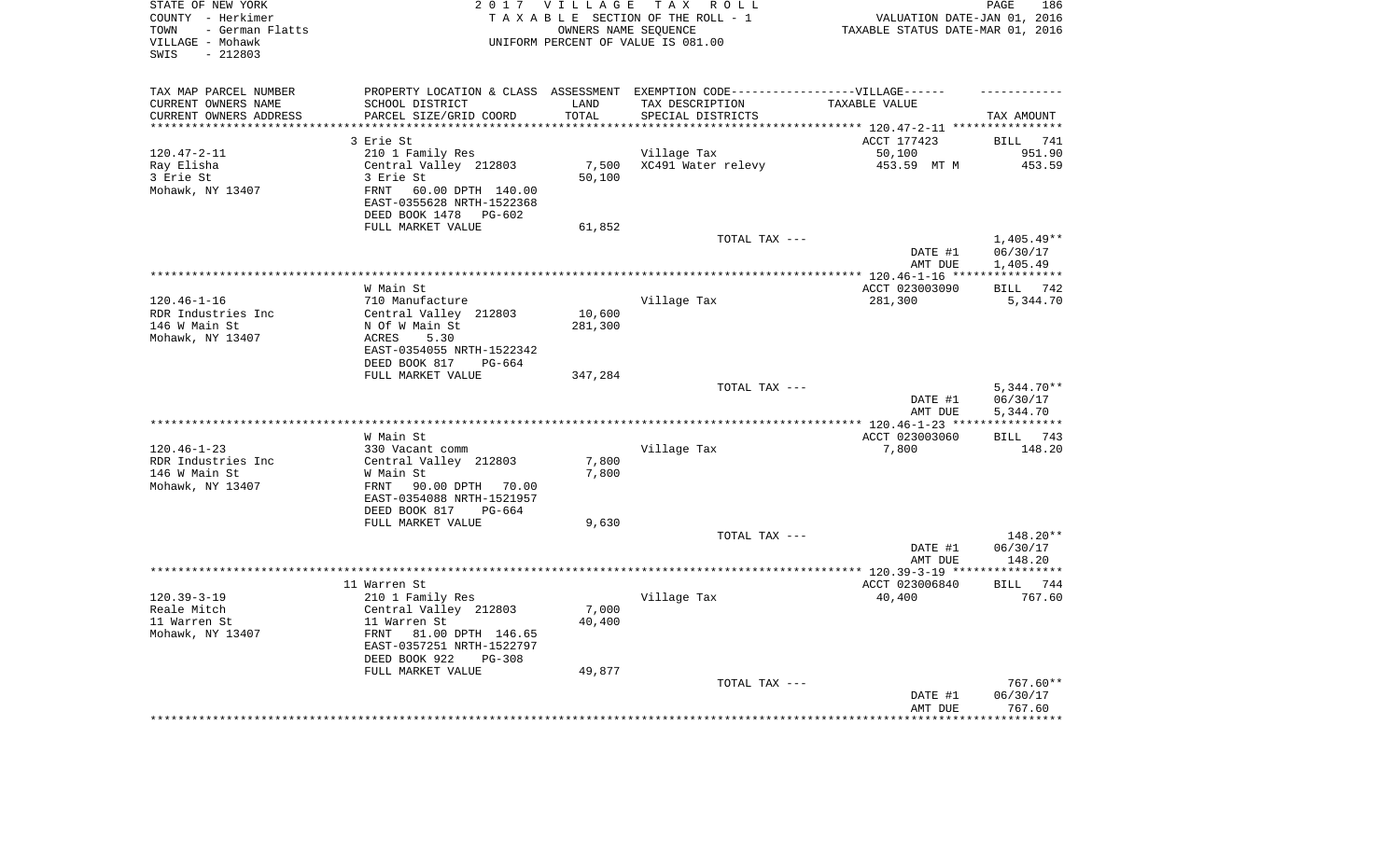| STATE OF NEW YORK<br>COUNTY - Herkimer<br>- German Flatts<br>TOWN<br>VILLAGE - Mohawk<br>$-212803$<br>SWIS |                                                                                                     | 2017 VILLAGE<br>OWNERS NAME SEQUENCE | TAX ROLL<br>TAXABLE SECTION OF THE ROLL - 1<br>UNIFORM PERCENT OF VALUE IS 081.00                    | VALUATION DATE-JAN 01, 2016<br>TAXABLE STATUS DATE-MAR 01, 2016 | PAGE<br>186                         |
|------------------------------------------------------------------------------------------------------------|-----------------------------------------------------------------------------------------------------|--------------------------------------|------------------------------------------------------------------------------------------------------|-----------------------------------------------------------------|-------------------------------------|
| TAX MAP PARCEL NUMBER<br>CURRENT OWNERS NAME                                                               | SCHOOL DISTRICT                                                                                     | LAND                                 | PROPERTY LOCATION & CLASS ASSESSMENT EXEMPTION CODE-----------------VILLAGE------<br>TAX DESCRIPTION | TAXABLE VALUE                                                   |                                     |
| CURRENT OWNERS ADDRESS<br>**********************                                                           | PARCEL SIZE/GRID COORD<br>***************************                                               | TOTAL<br>***************             | SPECIAL DISTRICTS                                                                                    |                                                                 | TAX AMOUNT                          |
|                                                                                                            | 3 Erie St                                                                                           |                                      |                                                                                                      | ACCT 177423                                                     | <b>BILL</b><br>741                  |
| $120.47 - 2 - 11$                                                                                          | 210 1 Family Res                                                                                    |                                      | Village Tax                                                                                          | 50,100                                                          | 951.90                              |
| Ray Elisha                                                                                                 | Central Valley 212803                                                                               | 7,500                                | XC491 Water relevy                                                                                   | 453.59 MT M                                                     | 453.59                              |
| 3 Erie St                                                                                                  | 3 Erie St                                                                                           | 50,100                               |                                                                                                      |                                                                 |                                     |
| Mohawk, NY 13407                                                                                           | 60.00 DPTH 140.00<br>FRNT<br>EAST-0355628 NRTH-1522368<br>DEED BOOK 1478 PG-602                     |                                      |                                                                                                      |                                                                 |                                     |
|                                                                                                            | FULL MARKET VALUE                                                                                   | 61,852                               |                                                                                                      |                                                                 |                                     |
|                                                                                                            |                                                                                                     |                                      | TOTAL TAX ---                                                                                        |                                                                 | $1,405.49**$                        |
|                                                                                                            |                                                                                                     |                                      |                                                                                                      | DATE #1<br>AMT DUE                                              | 06/30/17<br>1,405.49<br>*********** |
|                                                                                                            | W Main St                                                                                           |                                      |                                                                                                      | ACCT 023003090                                                  | 742<br>BILL                         |
| $120.46 - 1 - 16$                                                                                          | 710 Manufacture                                                                                     |                                      | Village Tax                                                                                          | 281,300                                                         | 5,344.70                            |
| RDR Industries Inc                                                                                         | Central Valley 212803                                                                               | 10,600                               |                                                                                                      |                                                                 |                                     |
| 146 W Main St                                                                                              | N Of W Main St                                                                                      | 281,300                              |                                                                                                      |                                                                 |                                     |
| Mohawk, NY 13407                                                                                           | ACRES<br>5.30                                                                                       |                                      |                                                                                                      |                                                                 |                                     |
|                                                                                                            | EAST-0354055 NRTH-1522342                                                                           |                                      |                                                                                                      |                                                                 |                                     |
|                                                                                                            | DEED BOOK 817<br>PG-664<br>FULL MARKET VALUE                                                        | 347,284                              |                                                                                                      |                                                                 |                                     |
|                                                                                                            |                                                                                                     |                                      | TOTAL TAX ---                                                                                        |                                                                 | $5,344.70**$                        |
|                                                                                                            |                                                                                                     |                                      |                                                                                                      | DATE #1<br>AMT DUE                                              | 06/30/17<br>5,344.70                |
|                                                                                                            |                                                                                                     |                                      |                                                                                                      |                                                                 | ***********                         |
|                                                                                                            | W Main St                                                                                           |                                      |                                                                                                      | ACCT 023003060                                                  | BILL 743                            |
| $120.46 - 1 - 23$<br>RDR Industries Inc                                                                    | 330 Vacant comm<br>Central Valley 212803                                                            | 7,800                                | Village Tax                                                                                          | 7,800                                                           | 148.20                              |
| 146 W Main St                                                                                              | W Main St                                                                                           | 7,800                                |                                                                                                      |                                                                 |                                     |
| Mohawk, NY 13407                                                                                           | 90.00 DPTH<br>FRNT<br>70.00<br>EAST-0354088 NRTH-1521957                                            |                                      |                                                                                                      |                                                                 |                                     |
|                                                                                                            | DEED BOOK 817<br>$PG-664$                                                                           |                                      |                                                                                                      |                                                                 |                                     |
|                                                                                                            | FULL MARKET VALUE                                                                                   | 9,630                                |                                                                                                      |                                                                 |                                     |
|                                                                                                            |                                                                                                     |                                      | TOTAL TAX ---                                                                                        | DATE #1                                                         | 148.20**<br>06/30/17                |
|                                                                                                            |                                                                                                     |                                      |                                                                                                      | AMT DUE                                                         | 148.20                              |
|                                                                                                            |                                                                                                     |                                      |                                                                                                      |                                                                 |                                     |
|                                                                                                            | 11 Warren St                                                                                        |                                      |                                                                                                      | ACCT 023006840                                                  | BILL 744                            |
| $120.39 - 3 - 19$                                                                                          | 210 1 Family Res                                                                                    |                                      | Village Tax                                                                                          | 40,400                                                          | 767.60                              |
| Reale Mitch                                                                                                | Central Valley 212803                                                                               | 7,000                                |                                                                                                      |                                                                 |                                     |
| 11 Warren St<br>Mohawk, NY 13407                                                                           | 11 Warren St<br>FRNT<br>81.00 DPTH 146.65<br>EAST-0357251 NRTH-1522797<br>DEED BOOK 922<br>$PG-308$ | 40,400                               |                                                                                                      |                                                                 |                                     |
|                                                                                                            | FULL MARKET VALUE                                                                                   | 49,877                               |                                                                                                      |                                                                 |                                     |
|                                                                                                            |                                                                                                     |                                      | TOTAL TAX ---                                                                                        |                                                                 | 767.60**                            |
|                                                                                                            |                                                                                                     |                                      |                                                                                                      | DATE #1                                                         | 06/30/17                            |
|                                                                                                            |                                                                                                     |                                      |                                                                                                      | AMT DUE                                                         | 767.60<br>***********               |
|                                                                                                            |                                                                                                     |                                      |                                                                                                      |                                                                 |                                     |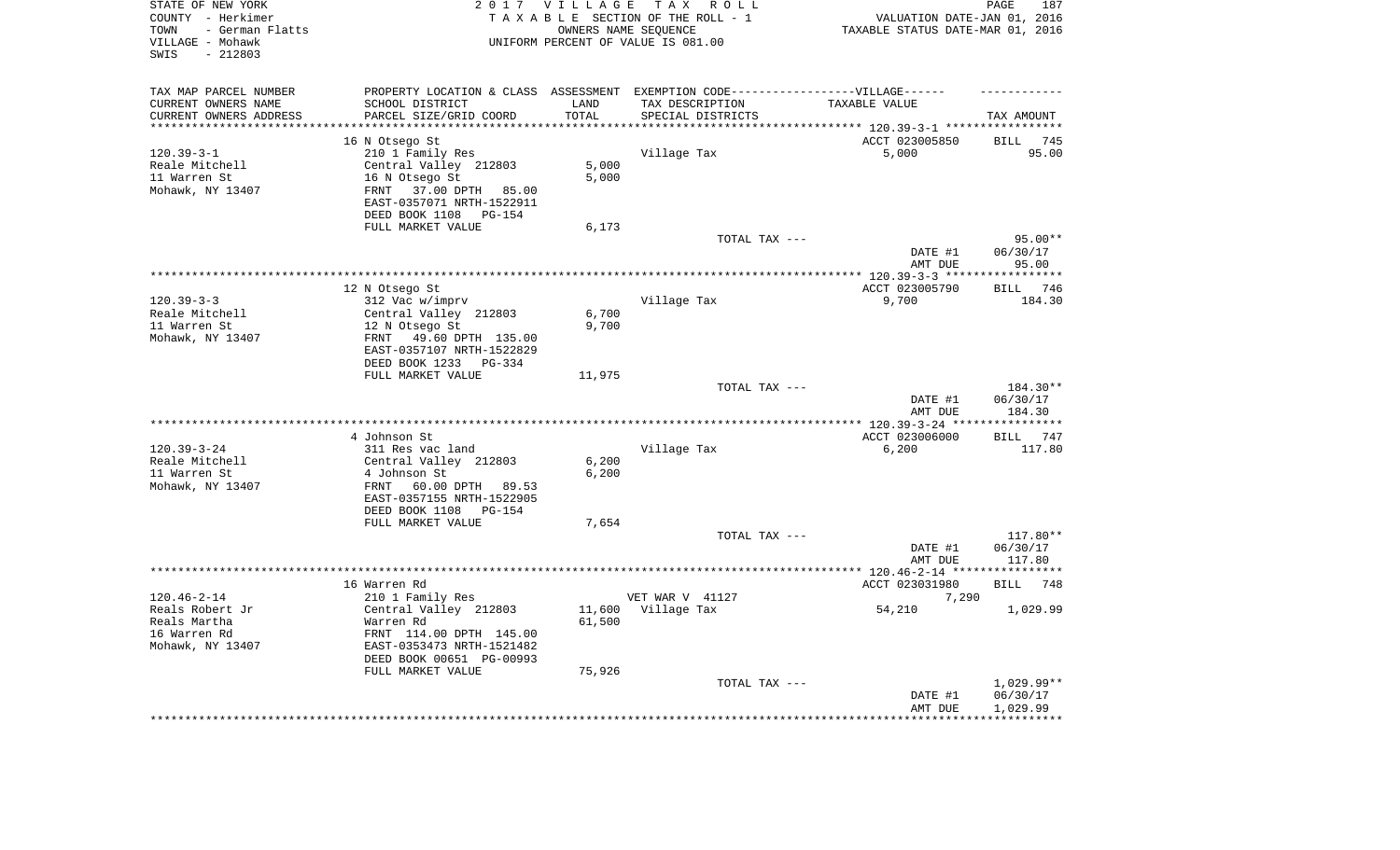| STATE OF NEW YORK<br>COUNTY - Herkimer<br>- German Flatts<br>TOWN<br>VILLAGE - Mohawk<br>$-212803$<br>SWIS |                                                       | 2017 VILLAGE<br>OWNERS NAME SEQUENCE | TAX ROLL<br>TAXABLE SECTION OF THE ROLL - 1<br>UNIFORM PERCENT OF VALUE IS 081.00 | TAXABLE STATUS DATE-MAR 01, 2016                                                  | 187<br>PAGE<br>VALUATION DATE-JAN 01, 2016 |
|------------------------------------------------------------------------------------------------------------|-------------------------------------------------------|--------------------------------------|-----------------------------------------------------------------------------------|-----------------------------------------------------------------------------------|--------------------------------------------|
| TAX MAP PARCEL NUMBER                                                                                      |                                                       |                                      |                                                                                   | PROPERTY LOCATION & CLASS ASSESSMENT EXEMPTION CODE-----------------VILLAGE------ |                                            |
| CURRENT OWNERS NAME                                                                                        | SCHOOL DISTRICT                                       | LAND                                 | TAX DESCRIPTION                                                                   | TAXABLE VALUE                                                                     |                                            |
| CURRENT OWNERS ADDRESS<br>*********************                                                            | PARCEL SIZE/GRID COORD<br>*************************** | TOTAL<br>**************              | SPECIAL DISTRICTS                                                                 | ************************************** 120.39-3-1 ******************              | TAX AMOUNT                                 |
|                                                                                                            | 16 N Otsego St                                        |                                      |                                                                                   | ACCT 023005850                                                                    | <b>BILL</b><br>745                         |
| $120.39 - 3 - 1$                                                                                           | 210 1 Family Res                                      |                                      | Village Tax                                                                       | 5,000                                                                             | 95.00                                      |
| Reale Mitchell                                                                                             | Central Valley 212803                                 | 5,000                                |                                                                                   |                                                                                   |                                            |
| 11 Warren St                                                                                               | 16 N Otsego St                                        | 5,000                                |                                                                                   |                                                                                   |                                            |
| Mohawk, NY 13407<br>FRNT                                                                                   | 37.00 DPTH 85.00                                      |                                      |                                                                                   |                                                                                   |                                            |
|                                                                                                            | EAST-0357071 NRTH-1522911                             |                                      |                                                                                   |                                                                                   |                                            |
|                                                                                                            | DEED BOOK 1108 PG-154                                 |                                      |                                                                                   |                                                                                   |                                            |
|                                                                                                            | FULL MARKET VALUE                                     | 6,173                                |                                                                                   |                                                                                   |                                            |
|                                                                                                            |                                                       |                                      | TOTAL TAX ---                                                                     |                                                                                   | $95.00**$                                  |
|                                                                                                            |                                                       |                                      |                                                                                   | DATE #1                                                                           | 06/30/17                                   |
|                                                                                                            |                                                       |                                      |                                                                                   | AMT DUE                                                                           | 95.00                                      |
|                                                                                                            |                                                       |                                      | *************************************                                             | ******** 120.39-3-3 *****                                                         | ***********                                |
| $120.39 - 3 - 3$                                                                                           | 12 N Otsego St<br>312 Vac w/imprv                     |                                      | Village Tax                                                                       | ACCT 023005790<br>9,700                                                           | 746<br><b>BILL</b><br>184.30               |
| Reale Mitchell                                                                                             | Central Valley 212803                                 | 6,700                                |                                                                                   |                                                                                   |                                            |
| 11 Warren St                                                                                               | 12 N Otsego St                                        | 9,700                                |                                                                                   |                                                                                   |                                            |
| Mohawk, NY 13407<br>FRNT                                                                                   | 49.60 DPTH 135.00                                     |                                      |                                                                                   |                                                                                   |                                            |
|                                                                                                            | EAST-0357107 NRTH-1522829                             |                                      |                                                                                   |                                                                                   |                                            |
|                                                                                                            | DEED BOOK 1233 PG-334                                 |                                      |                                                                                   |                                                                                   |                                            |
|                                                                                                            | FULL MARKET VALUE                                     | 11,975                               |                                                                                   |                                                                                   |                                            |
|                                                                                                            |                                                       |                                      | TOTAL TAX ---                                                                     | DATE #1                                                                           | 184.30**<br>06/30/17                       |
|                                                                                                            |                                                       |                                      |                                                                                   | AMT DUE                                                                           | 184.30<br>* * * * * * * * * *              |
|                                                                                                            | 4 Johnson St                                          |                                      |                                                                                   | *** $120.39 - 3 - 24$ **<br>ACCT 023006000                                        | BILL 747                                   |
| $120.39 - 3 - 24$                                                                                          | 311 Res vac land                                      |                                      | Village Tax                                                                       | 6,200                                                                             | 117.80                                     |
| Reale Mitchell                                                                                             | Central Valley 212803                                 | 6,200                                |                                                                                   |                                                                                   |                                            |
| 11 Warren St                                                                                               | 4 Johnson St                                          | 6,200                                |                                                                                   |                                                                                   |                                            |
| Mohawk, NY 13407<br>FRNT                                                                                   | 60.00 DPTH 89.53                                      |                                      |                                                                                   |                                                                                   |                                            |
|                                                                                                            | EAST-0357155 NRTH-1522905                             |                                      |                                                                                   |                                                                                   |                                            |
|                                                                                                            | DEED BOOK 1108 PG-154                                 |                                      |                                                                                   |                                                                                   |                                            |
|                                                                                                            | FULL MARKET VALUE                                     | 7,654                                |                                                                                   |                                                                                   |                                            |
|                                                                                                            |                                                       |                                      | TOTAL TAX ---                                                                     |                                                                                   | 117.80**                                   |
|                                                                                                            |                                                       |                                      |                                                                                   | DATE #1                                                                           | 06/30/17                                   |
| *********************                                                                                      |                                                       |                                      |                                                                                   | AMT DUE<br>************ 120.46-2-14 *****************                             | 117.80                                     |
| 16 Warren Rd                                                                                               |                                                       |                                      |                                                                                   | ACCT 023031980                                                                    | <b>BILL</b><br>748                         |
| $120.46 - 2 - 14$                                                                                          | 210 1 Family Res                                      |                                      | VET WAR V 41127                                                                   |                                                                                   | 7,290                                      |
| Reals Robert Jr                                                                                            | Central Valley 212803                                 | 11,600                               | Village Tax                                                                       | 54,210                                                                            | 1,029.99                                   |
| Reals Martha                                                                                               | Warren Rd                                             | 61,500                               |                                                                                   |                                                                                   |                                            |
| 16 Warren Rd                                                                                               | FRNT 114.00 DPTH 145.00                               |                                      |                                                                                   |                                                                                   |                                            |
| Mohawk, NY 13407                                                                                           | EAST-0353473 NRTH-1521482                             |                                      |                                                                                   |                                                                                   |                                            |
|                                                                                                            | DEED BOOK 00651 PG-00993                              |                                      |                                                                                   |                                                                                   |                                            |
|                                                                                                            | FULL MARKET VALUE                                     | 75,926                               |                                                                                   |                                                                                   |                                            |
|                                                                                                            |                                                       |                                      | TOTAL TAX ---                                                                     |                                                                                   | $1,029.99**$                               |
|                                                                                                            |                                                       |                                      |                                                                                   | DATE #1<br>AMT DUE                                                                | 06/30/17<br>1,029.99                       |
|                                                                                                            |                                                       |                                      |                                                                                   |                                                                                   |                                            |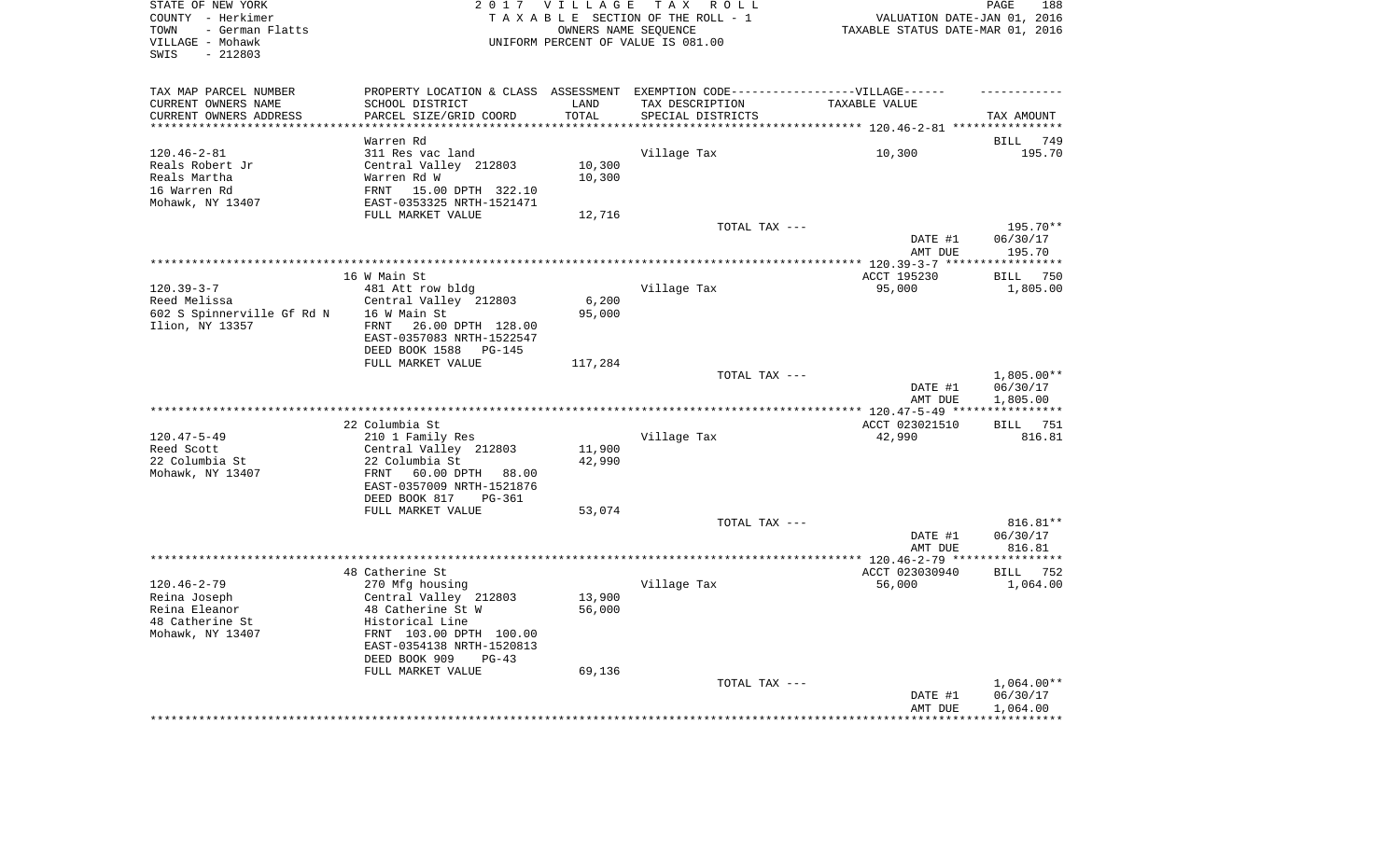| STATE OF NEW YORK<br>COUNTY - Herkimer<br>TOWN<br>- German Flatts<br>VILLAGE - Mohawk<br>$-212803$<br>SWIS |                                                                                                                                                                      | 2017 VILLAGE     | TAX ROLL<br>TAXABLE SECTION OF THE ROLL - 1<br>OWNERS NAME SEQUENCE<br>UNIFORM PERCENT OF VALUE IS 081.00 | VALUATION DATE-JAN 01, 2016<br>TAXABLE STATUS DATE-MAR 01, 2016 | PAGE<br>188                                         |
|------------------------------------------------------------------------------------------------------------|----------------------------------------------------------------------------------------------------------------------------------------------------------------------|------------------|-----------------------------------------------------------------------------------------------------------|-----------------------------------------------------------------|-----------------------------------------------------|
| TAX MAP PARCEL NUMBER<br>CURRENT OWNERS NAME                                                               | PROPERTY LOCATION & CLASS ASSESSMENT EXEMPTION CODE-----------------VILLAGE------<br>SCHOOL DISTRICT                                                                 | LAND             | TAX DESCRIPTION                                                                                           | TAXABLE VALUE                                                   |                                                     |
| CURRENT OWNERS ADDRESS                                                                                     | PARCEL SIZE/GRID COORD                                                                                                                                               | TOTAL            | SPECIAL DISTRICTS                                                                                         |                                                                 | TAX AMOUNT                                          |
| **********************                                                                                     | Warren Rd                                                                                                                                                            |                  |                                                                                                           |                                                                 | 749                                                 |
| $120.46 - 2 - 81$<br>Reals Robert Jr<br>Reals Martha<br>16 Warren Rd                                       | 311 Res vac land<br>Central Valley 212803<br>Warren Rd W<br>FRNT 15.00 DPTH 322.10                                                                                   | 10,300<br>10,300 | Village Tax                                                                                               | 10,300                                                          | <b>BILL</b><br>195.70                               |
| Mohawk, NY 13407                                                                                           | EAST-0353325 NRTH-1521471                                                                                                                                            |                  |                                                                                                           |                                                                 |                                                     |
|                                                                                                            | FULL MARKET VALUE                                                                                                                                                    | 12,716           | TOTAL TAX ---                                                                                             |                                                                 | 195.70**                                            |
|                                                                                                            |                                                                                                                                                                      |                  |                                                                                                           | DATE #1<br>AMT DUE                                              | 06/30/17<br>195.70                                  |
|                                                                                                            |                                                                                                                                                                      |                  |                                                                                                           |                                                                 |                                                     |
| $120.39 - 3 - 7$<br>Reed Melissa                                                                           | 16 W Main St<br>481 Att row bldg<br>Central Valley 212803                                                                                                            | 6,200            | Village Tax                                                                                               | ACCT 195230<br>95,000                                           | <b>BILL</b><br>750<br>1,805.00                      |
| 602 S Spinnerville Gf Rd N<br>Ilion, NY 13357                                                              | 16 W Main St<br>26.00 DPTH 128.00<br>FRNT<br>EAST-0357083 NRTH-1522547<br>DEED BOOK 1588<br><b>PG-145</b>                                                            | 95,000           |                                                                                                           |                                                                 |                                                     |
|                                                                                                            | FULL MARKET VALUE                                                                                                                                                    | 117,284          |                                                                                                           |                                                                 |                                                     |
|                                                                                                            |                                                                                                                                                                      |                  | TOTAL TAX ---                                                                                             | DATE #1<br>AMT DUE                                              | 1,805.00**<br>06/30/17<br>1,805.00                  |
|                                                                                                            |                                                                                                                                                                      |                  |                                                                                                           |                                                                 | ************                                        |
| $120.47 - 5 - 49$                                                                                          | 22 Columbia St<br>210 1 Family Res                                                                                                                                   |                  | Village Tax                                                                                               | ACCT 023021510<br>42,990                                        | 751<br>BILL<br>816.81                               |
| Reed Scott                                                                                                 | Central Valley 212803                                                                                                                                                | 11,900           |                                                                                                           |                                                                 |                                                     |
| 22 Columbia St<br>Mohawk, NY 13407                                                                         | 22 Columbia St<br>60.00 DPTH 88.00<br>FRNT<br>EAST-0357009 NRTH-1521876<br>DEED BOOK 817<br>PG-361                                                                   | 42,990           |                                                                                                           |                                                                 |                                                     |
|                                                                                                            | FULL MARKET VALUE                                                                                                                                                    | 53,074           |                                                                                                           |                                                                 |                                                     |
|                                                                                                            |                                                                                                                                                                      |                  | TOTAL TAX ---                                                                                             | DATE #1                                                         | 816.81**<br>06/30/17                                |
|                                                                                                            |                                                                                                                                                                      |                  |                                                                                                           | AMT DUE                                                         | 816.81                                              |
|                                                                                                            | 48 Catherine St                                                                                                                                                      |                  |                                                                                                           | ACCT 023030940                                                  | BILL 752                                            |
| $120.46 - 2 - 79$<br>Reina Joseph<br>Reina Eleanor<br>48 Catherine St<br>Mohawk, NY 13407                  | 270 Mfg housing<br>Central Valley 212803<br>48 Catherine St W<br>Historical Line<br>FRNT 103.00 DPTH 100.00<br>EAST-0354138 NRTH-1520813<br>DEED BOOK 909<br>$PG-43$ | 13,900<br>56,000 | Village Tax                                                                                               | 56,000                                                          | 1,064.00                                            |
|                                                                                                            | FULL MARKET VALUE                                                                                                                                                    | 69,136           | TOTAL TAX ---                                                                                             | DATE #1<br>AMT DUE                                              | $1,064.00**$<br>06/30/17<br>1,064.00<br>*********** |
|                                                                                                            |                                                                                                                                                                      |                  |                                                                                                           |                                                                 |                                                     |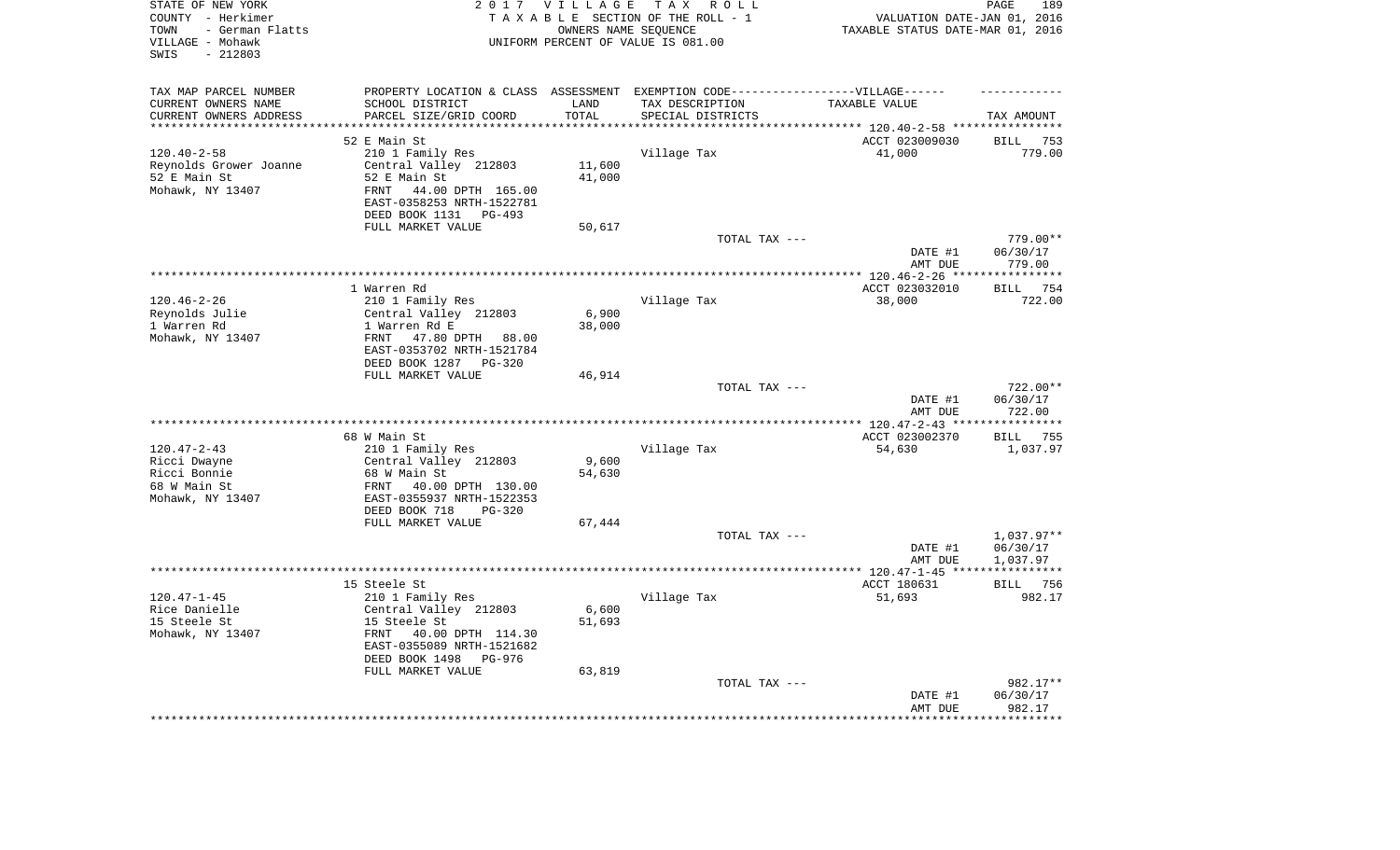| STATE OF NEW YORK<br>COUNTY - Herkimer<br>- German Flatts<br>TOWN<br>VILLAGE - Mohawk<br>$-212803$<br>SWIS |                                                               | 2017 VILLAGE        | T A X<br>R O L L<br>TAXABLE SECTION OF THE ROLL - 1<br>OWNERS NAME SEQUENCE<br>UNIFORM PERCENT OF VALUE IS 081.00 | VALUATION DATE-JAN 01, 2016<br>TAXABLE STATUS DATE-MAR 01, 2016 | PAGE<br>189               |
|------------------------------------------------------------------------------------------------------------|---------------------------------------------------------------|---------------------|-------------------------------------------------------------------------------------------------------------------|-----------------------------------------------------------------|---------------------------|
| TAX MAP PARCEL NUMBER                                                                                      |                                                               |                     | PROPERTY LOCATION & CLASS ASSESSMENT EXEMPTION CODE-----------------VILLAGE------                                 |                                                                 |                           |
| CURRENT OWNERS NAME                                                                                        | SCHOOL DISTRICT                                               | LAND                | TAX DESCRIPTION                                                                                                   | TAXABLE VALUE                                                   |                           |
| CURRENT OWNERS ADDRESS<br>*********************                                                            | PARCEL SIZE/GRID COORD<br>***************************         | TOTAL<br>********** | SPECIAL DISTRICTS                                                                                                 |                                                                 | TAX AMOUNT                |
|                                                                                                            | 52 E Main St                                                  |                     |                                                                                                                   | ACCT 023009030                                                  | <b>BILL</b><br>753        |
| $120.40 - 2 - 58$                                                                                          | 210 1 Family Res                                              |                     | Village Tax                                                                                                       | 41,000                                                          | 779.00                    |
| Reynolds Grower Joanne                                                                                     | Central Valley 212803                                         | 11,600              |                                                                                                                   |                                                                 |                           |
| 52 E Main St                                                                                               | 52 E Main St                                                  | 41,000              |                                                                                                                   |                                                                 |                           |
| Mohawk, NY 13407                                                                                           | 44.00 DPTH 165.00<br><b>FRNT</b><br>EAST-0358253 NRTH-1522781 |                     |                                                                                                                   |                                                                 |                           |
|                                                                                                            | DEED BOOK 1131<br>$PG-493$<br>FULL MARKET VALUE               |                     |                                                                                                                   |                                                                 |                           |
|                                                                                                            |                                                               | 50,617              | TOTAL TAX ---                                                                                                     |                                                                 | 779.00**                  |
|                                                                                                            |                                                               |                     |                                                                                                                   | DATE #1<br>AMT DUE                                              | 06/30/17<br>779.00        |
|                                                                                                            |                                                               |                     |                                                                                                                   |                                                                 |                           |
|                                                                                                            | 1 Warren Rd                                                   |                     |                                                                                                                   | ACCT 023032010                                                  | 754<br><b>BILL</b>        |
| $120.46 - 2 - 26$                                                                                          | 210 1 Family Res                                              |                     | Village Tax                                                                                                       | 38,000                                                          | 722.00                    |
| Reynolds Julie                                                                                             | Central Valley 212803                                         | 6,900               |                                                                                                                   |                                                                 |                           |
| 1 Warren Rd                                                                                                | 1 Warren Rd E                                                 | 38,000              |                                                                                                                   |                                                                 |                           |
| Mohawk, NY 13407                                                                                           | FRNT<br>47.80 DPTH 88.00                                      |                     |                                                                                                                   |                                                                 |                           |
|                                                                                                            | EAST-0353702 NRTH-1521784<br>DEED BOOK 1287 PG-320            |                     |                                                                                                                   |                                                                 |                           |
|                                                                                                            | FULL MARKET VALUE                                             | 46,914              |                                                                                                                   |                                                                 |                           |
|                                                                                                            |                                                               |                     | TOTAL TAX ---                                                                                                     |                                                                 | 722.00**                  |
|                                                                                                            |                                                               |                     |                                                                                                                   | DATE #1                                                         | 06/30/17                  |
|                                                                                                            |                                                               |                     |                                                                                                                   | AMT DUE                                                         | 722.00                    |
|                                                                                                            | 68 W Main St                                                  |                     |                                                                                                                   | ACCT 023002370                                                  | **********<br>755<br>BILL |
| $120.47 - 2 - 43$                                                                                          | 210 1 Family Res                                              |                     | Village Tax                                                                                                       | 54,630                                                          | 1,037.97                  |
| Ricci Dwayne                                                                                               | Central Valley 212803                                         | 9,600               |                                                                                                                   |                                                                 |                           |
| Ricci Bonnie                                                                                               | 68 W Main St                                                  | 54,630              |                                                                                                                   |                                                                 |                           |
| 68 W Main St                                                                                               | 40.00 DPTH 130.00<br>FRNT                                     |                     |                                                                                                                   |                                                                 |                           |
| Mohawk, NY 13407                                                                                           | EAST-0355937 NRTH-1522353                                     |                     |                                                                                                                   |                                                                 |                           |
|                                                                                                            | DEED BOOK 718<br>$PG-320$                                     |                     |                                                                                                                   |                                                                 |                           |
|                                                                                                            | FULL MARKET VALUE                                             | 67,444              | TOTAL TAX ---                                                                                                     |                                                                 | $1,037.97**$              |
|                                                                                                            |                                                               |                     |                                                                                                                   | DATE #1                                                         | 06/30/17                  |
|                                                                                                            |                                                               |                     |                                                                                                                   | AMT DUE                                                         | 1,037.97                  |
|                                                                                                            |                                                               |                     |                                                                                                                   |                                                                 |                           |
|                                                                                                            | 15 Steele St                                                  |                     |                                                                                                                   | ACCT 180631                                                     | 756<br><b>BILL</b>        |
| $120.47 - 1 - 45$                                                                                          | 210 1 Family Res                                              |                     | Village Tax                                                                                                       | 51,693                                                          | 982.17                    |
| Rice Danielle                                                                                              | Central Valley 212803                                         | 6,600               |                                                                                                                   |                                                                 |                           |
| 15 Steele St<br>Mohawk, NY 13407                                                                           | 15 Steele St<br>FRNT<br>40.00 DPTH 114.30                     | 51,693              |                                                                                                                   |                                                                 |                           |
|                                                                                                            | EAST-0355089 NRTH-1521682                                     |                     |                                                                                                                   |                                                                 |                           |
|                                                                                                            | DEED BOOK 1498<br>PG-976                                      |                     |                                                                                                                   |                                                                 |                           |
|                                                                                                            | FULL MARKET VALUE                                             | 63,819              |                                                                                                                   |                                                                 |                           |
|                                                                                                            |                                                               |                     | TOTAL TAX ---                                                                                                     |                                                                 | 982.17**                  |
|                                                                                                            |                                                               |                     |                                                                                                                   | DATE #1                                                         | 06/30/17                  |
|                                                                                                            |                                                               |                     |                                                                                                                   | AMT DUE                                                         | 982.17<br>***********     |
|                                                                                                            |                                                               |                     |                                                                                                                   |                                                                 |                           |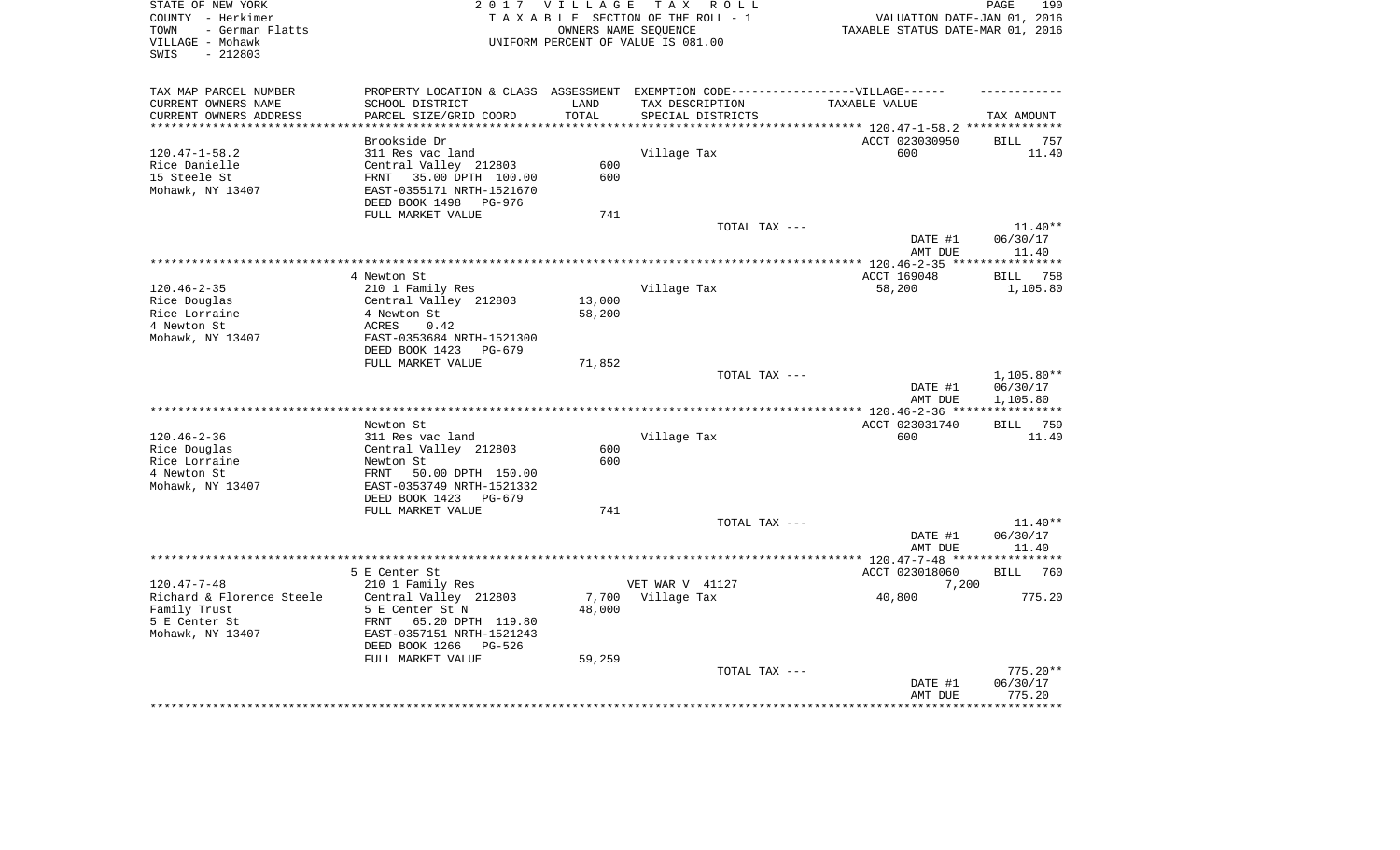| PROPERTY LOCATION & CLASS ASSESSMENT EXEMPTION CODE----------------VILLAGE------<br>SCHOOL DISTRICT<br>PARCEL SIZE/GRID COORD | LAND                                                                                                                                                                                                                                                                                                                                                                                                                                                                                                                                                                                                                                                                                          |                                                                           |                                                                             |                                                                                                                                                                                                            |
|-------------------------------------------------------------------------------------------------------------------------------|-----------------------------------------------------------------------------------------------------------------------------------------------------------------------------------------------------------------------------------------------------------------------------------------------------------------------------------------------------------------------------------------------------------------------------------------------------------------------------------------------------------------------------------------------------------------------------------------------------------------------------------------------------------------------------------------------|---------------------------------------------------------------------------|-----------------------------------------------------------------------------|------------------------------------------------------------------------------------------------------------------------------------------------------------------------------------------------------------|
|                                                                                                                               |                                                                                                                                                                                                                                                                                                                                                                                                                                                                                                                                                                                                                                                                                               |                                                                           |                                                                             |                                                                                                                                                                                                            |
|                                                                                                                               |                                                                                                                                                                                                                                                                                                                                                                                                                                                                                                                                                                                                                                                                                               |                                                                           |                                                                             |                                                                                                                                                                                                            |
|                                                                                                                               |                                                                                                                                                                                                                                                                                                                                                                                                                                                                                                                                                                                                                                                                                               | TAX DESCRIPTION                                                           | TAXABLE VALUE                                                               |                                                                                                                                                                                                            |
|                                                                                                                               | TOTAL                                                                                                                                                                                                                                                                                                                                                                                                                                                                                                                                                                                                                                                                                         | SPECIAL DISTRICTS                                                         |                                                                             | TAX AMOUNT                                                                                                                                                                                                 |
|                                                                                                                               |                                                                                                                                                                                                                                                                                                                                                                                                                                                                                                                                                                                                                                                                                               |                                                                           |                                                                             |                                                                                                                                                                                                            |
|                                                                                                                               |                                                                                                                                                                                                                                                                                                                                                                                                                                                                                                                                                                                                                                                                                               |                                                                           |                                                                             | BILL 757                                                                                                                                                                                                   |
|                                                                                                                               |                                                                                                                                                                                                                                                                                                                                                                                                                                                                                                                                                                                                                                                                                               |                                                                           |                                                                             | 11.40                                                                                                                                                                                                      |
|                                                                                                                               |                                                                                                                                                                                                                                                                                                                                                                                                                                                                                                                                                                                                                                                                                               |                                                                           |                                                                             |                                                                                                                                                                                                            |
|                                                                                                                               |                                                                                                                                                                                                                                                                                                                                                                                                                                                                                                                                                                                                                                                                                               |                                                                           |                                                                             |                                                                                                                                                                                                            |
|                                                                                                                               |                                                                                                                                                                                                                                                                                                                                                                                                                                                                                                                                                                                                                                                                                               |                                                                           |                                                                             |                                                                                                                                                                                                            |
|                                                                                                                               |                                                                                                                                                                                                                                                                                                                                                                                                                                                                                                                                                                                                                                                                                               |                                                                           |                                                                             |                                                                                                                                                                                                            |
|                                                                                                                               |                                                                                                                                                                                                                                                                                                                                                                                                                                                                                                                                                                                                                                                                                               |                                                                           |                                                                             | $11.40**$                                                                                                                                                                                                  |
|                                                                                                                               |                                                                                                                                                                                                                                                                                                                                                                                                                                                                                                                                                                                                                                                                                               |                                                                           | DATE #1                                                                     | 06/30/17                                                                                                                                                                                                   |
|                                                                                                                               |                                                                                                                                                                                                                                                                                                                                                                                                                                                                                                                                                                                                                                                                                               |                                                                           | AMT DUE                                                                     | 11.40                                                                                                                                                                                                      |
|                                                                                                                               |                                                                                                                                                                                                                                                                                                                                                                                                                                                                                                                                                                                                                                                                                               |                                                                           |                                                                             |                                                                                                                                                                                                            |
|                                                                                                                               |                                                                                                                                                                                                                                                                                                                                                                                                                                                                                                                                                                                                                                                                                               |                                                                           |                                                                             | BILL 758                                                                                                                                                                                                   |
|                                                                                                                               |                                                                                                                                                                                                                                                                                                                                                                                                                                                                                                                                                                                                                                                                                               |                                                                           |                                                                             | 1,105.80                                                                                                                                                                                                   |
|                                                                                                                               |                                                                                                                                                                                                                                                                                                                                                                                                                                                                                                                                                                                                                                                                                               |                                                                           |                                                                             |                                                                                                                                                                                                            |
|                                                                                                                               |                                                                                                                                                                                                                                                                                                                                                                                                                                                                                                                                                                                                                                                                                               |                                                                           |                                                                             |                                                                                                                                                                                                            |
|                                                                                                                               |                                                                                                                                                                                                                                                                                                                                                                                                                                                                                                                                                                                                                                                                                               |                                                                           |                                                                             |                                                                                                                                                                                                            |
| PG-679                                                                                                                        |                                                                                                                                                                                                                                                                                                                                                                                                                                                                                                                                                                                                                                                                                               |                                                                           |                                                                             |                                                                                                                                                                                                            |
|                                                                                                                               | 71,852                                                                                                                                                                                                                                                                                                                                                                                                                                                                                                                                                                                                                                                                                        |                                                                           |                                                                             |                                                                                                                                                                                                            |
|                                                                                                                               |                                                                                                                                                                                                                                                                                                                                                                                                                                                                                                                                                                                                                                                                                               |                                                                           |                                                                             | $1,105.80**$                                                                                                                                                                                               |
|                                                                                                                               |                                                                                                                                                                                                                                                                                                                                                                                                                                                                                                                                                                                                                                                                                               |                                                                           |                                                                             | 06/30/17                                                                                                                                                                                                   |
|                                                                                                                               |                                                                                                                                                                                                                                                                                                                                                                                                                                                                                                                                                                                                                                                                                               |                                                                           |                                                                             | 1,105.80                                                                                                                                                                                                   |
|                                                                                                                               |                                                                                                                                                                                                                                                                                                                                                                                                                                                                                                                                                                                                                                                                                               |                                                                           |                                                                             | BILL 759                                                                                                                                                                                                   |
|                                                                                                                               |                                                                                                                                                                                                                                                                                                                                                                                                                                                                                                                                                                                                                                                                                               |                                                                           |                                                                             | 11.40                                                                                                                                                                                                      |
|                                                                                                                               | 600                                                                                                                                                                                                                                                                                                                                                                                                                                                                                                                                                                                                                                                                                           |                                                                           |                                                                             |                                                                                                                                                                                                            |
|                                                                                                                               | 600                                                                                                                                                                                                                                                                                                                                                                                                                                                                                                                                                                                                                                                                                           |                                                                           |                                                                             |                                                                                                                                                                                                            |
| 50.00 DPTH 150.00                                                                                                             |                                                                                                                                                                                                                                                                                                                                                                                                                                                                                                                                                                                                                                                                                               |                                                                           |                                                                             |                                                                                                                                                                                                            |
|                                                                                                                               |                                                                                                                                                                                                                                                                                                                                                                                                                                                                                                                                                                                                                                                                                               |                                                                           |                                                                             |                                                                                                                                                                                                            |
|                                                                                                                               |                                                                                                                                                                                                                                                                                                                                                                                                                                                                                                                                                                                                                                                                                               |                                                                           |                                                                             |                                                                                                                                                                                                            |
|                                                                                                                               |                                                                                                                                                                                                                                                                                                                                                                                                                                                                                                                                                                                                                                                                                               |                                                                           |                                                                             | $11.40**$                                                                                                                                                                                                  |
|                                                                                                                               |                                                                                                                                                                                                                                                                                                                                                                                                                                                                                                                                                                                                                                                                                               |                                                                           |                                                                             | 06/30/17                                                                                                                                                                                                   |
|                                                                                                                               |                                                                                                                                                                                                                                                                                                                                                                                                                                                                                                                                                                                                                                                                                               |                                                                           |                                                                             | 11.40                                                                                                                                                                                                      |
|                                                                                                                               |                                                                                                                                                                                                                                                                                                                                                                                                                                                                                                                                                                                                                                                                                               |                                                                           |                                                                             |                                                                                                                                                                                                            |
|                                                                                                                               |                                                                                                                                                                                                                                                                                                                                                                                                                                                                                                                                                                                                                                                                                               |                                                                           | ACCT 023018060                                                              | 760<br>BILL                                                                                                                                                                                                |
|                                                                                                                               |                                                                                                                                                                                                                                                                                                                                                                                                                                                                                                                                                                                                                                                                                               |                                                                           |                                                                             |                                                                                                                                                                                                            |
|                                                                                                                               |                                                                                                                                                                                                                                                                                                                                                                                                                                                                                                                                                                                                                                                                                               |                                                                           |                                                                             | 775.20                                                                                                                                                                                                     |
|                                                                                                                               |                                                                                                                                                                                                                                                                                                                                                                                                                                                                                                                                                                                                                                                                                               |                                                                           |                                                                             |                                                                                                                                                                                                            |
|                                                                                                                               |                                                                                                                                                                                                                                                                                                                                                                                                                                                                                                                                                                                                                                                                                               |                                                                           |                                                                             |                                                                                                                                                                                                            |
|                                                                                                                               |                                                                                                                                                                                                                                                                                                                                                                                                                                                                                                                                                                                                                                                                                               |                                                                           |                                                                             |                                                                                                                                                                                                            |
|                                                                                                                               |                                                                                                                                                                                                                                                                                                                                                                                                                                                                                                                                                                                                                                                                                               |                                                                           |                                                                             |                                                                                                                                                                                                            |
|                                                                                                                               |                                                                                                                                                                                                                                                                                                                                                                                                                                                                                                                                                                                                                                                                                               |                                                                           |                                                                             | $775.20**$                                                                                                                                                                                                 |
|                                                                                                                               |                                                                                                                                                                                                                                                                                                                                                                                                                                                                                                                                                                                                                                                                                               |                                                                           | DATE #1                                                                     | 06/30/17                                                                                                                                                                                                   |
|                                                                                                                               |                                                                                                                                                                                                                                                                                                                                                                                                                                                                                                                                                                                                                                                                                               |                                                                           | AMT DUE                                                                     | 775.20<br>*********                                                                                                                                                                                        |
|                                                                                                                               | Brookside Dr<br>311 Res vac land<br>Central Valley 212803<br>35.00 DPTH 100.00<br>FRNT<br>EAST-0355171 NRTH-1521670<br>DEED BOOK 1498<br>PG-976<br>FULL MARKET VALUE<br>4 Newton St<br>210 1 Family Res<br>Central Valley 212803<br>4 Newton St<br>0.42<br>ACRES<br>EAST-0353684 NRTH-1521300<br>DEED BOOK 1423<br>FULL MARKET VALUE<br>Newton St<br>311 Res vac land<br>Central Valley 212803<br>Newton St<br>FRNT<br>EAST-0353749 NRTH-1521332<br>DEED BOOK 1423<br>PG-679<br>FULL MARKET VALUE<br>5 E Center St<br>210 1 Family Res<br>Central Valley 212803<br>5 E Center St N<br>65.20 DPTH 119.80<br>FRNT<br>EAST-0357151 NRTH-1521243<br>DEED BOOK 1266<br>PG-526<br>FULL MARKET VALUE | 600<br>600<br>741<br>13,000<br>58,200<br>741<br>7,700<br>48,000<br>59,259 | Village Tax<br>Village Tax<br>Village Tax<br>VET WAR V 41127<br>Village Tax | ACCT 023030950<br>600<br>TOTAL TAX ---<br>ACCT 169048<br>58,200<br>TOTAL TAX ---<br>DATE #1<br>AMT DUE<br>ACCT 023031740<br>600<br>TOTAL TAX ---<br>DATE #1<br>AMT DUE<br>7,200<br>40,800<br>TOTAL TAX --- |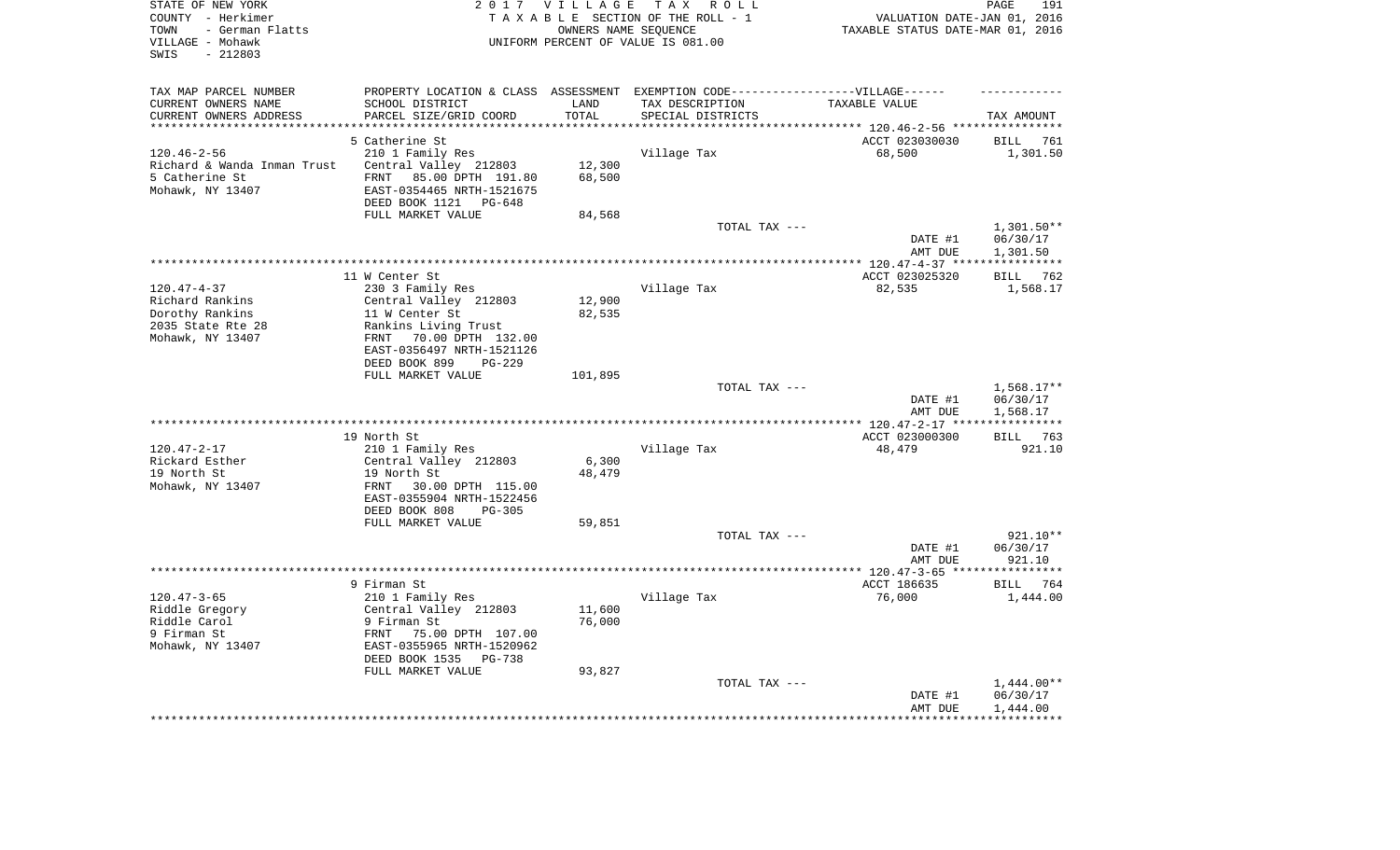| STATE OF NEW YORK<br>COUNTY - Herkimer<br>- German Flatts<br>TOWN<br>VILLAGE - Mohawk<br>SWIS<br>$-212803$ |                                                                                                                                                                     | 2017 VILLAGE               | TAX ROLL<br>TAXABLE SECTION OF THE ROLL - 1<br>OWNERS NAME SEQUENCE<br>UNIFORM PERCENT OF VALUE IS 081.00 | VALUATION DATE-JAN 01, 2016<br>TAXABLE STATUS DATE-MAR 01, 2016 | PAGE<br>191                          |
|------------------------------------------------------------------------------------------------------------|---------------------------------------------------------------------------------------------------------------------------------------------------------------------|----------------------------|-----------------------------------------------------------------------------------------------------------|-----------------------------------------------------------------|--------------------------------------|
| TAX MAP PARCEL NUMBER<br>CURRENT OWNERS NAME                                                               | SCHOOL DISTRICT                                                                                                                                                     | LAND                       | PROPERTY LOCATION & CLASS ASSESSMENT EXEMPTION CODE----------------VILLAGE------<br>TAX DESCRIPTION       | TAXABLE VALUE                                                   |                                      |
| CURRENT OWNERS ADDRESS<br>**********************                                                           | PARCEL SIZE/GRID COORD<br>****************************                                                                                                              | TOTAL<br>***************   | SPECIAL DISTRICTS                                                                                         |                                                                 | TAX AMOUNT                           |
|                                                                                                            | 5 Catherine St                                                                                                                                                      |                            |                                                                                                           | ACCT 023030030                                                  | BILL<br>761                          |
| $120.46 - 2 - 56$<br>Richard & Wanda Inman Trust<br>5 Catherine St<br>Mohawk, NY 13407                     | 210 1 Family Res<br>Central Valley 212803<br>85.00 DPTH 191.80<br>FRNT<br>EAST-0354465 NRTH-1521675<br>DEED BOOK 1121 PG-648                                        | 12,300<br>68,500           | Village Tax                                                                                               | 68,500                                                          | 1,301.50                             |
|                                                                                                            | FULL MARKET VALUE                                                                                                                                                   | 84,568                     |                                                                                                           |                                                                 |                                      |
|                                                                                                            |                                                                                                                                                                     |                            | TOTAL TAX ---                                                                                             | DATE #1<br>AMT DUE                                              | $1,301.50**$<br>06/30/17<br>1,301.50 |
|                                                                                                            |                                                                                                                                                                     |                            |                                                                                                           |                                                                 |                                      |
| $120.47 - 4 - 37$<br>Richard Rankins<br>Dorothy Rankins<br>2035 State Rte 28<br>Mohawk, NY 13407           | 11 W Center St<br>230 3 Family Res<br>Central Valley 212803<br>11 W Center St<br>Rankins Living Trust<br>70.00 DPTH 132.00<br>FRNT<br>EAST-0356497 NRTH-1521126     | 12,900<br>82,535           | Village Tax                                                                                               | ACCT 023025320<br>82,535                                        | BILL<br>762<br>1,568.17              |
|                                                                                                            | DEED BOOK 899<br>$PG-229$                                                                                                                                           |                            |                                                                                                           |                                                                 |                                      |
|                                                                                                            | FULL MARKET VALUE                                                                                                                                                   | 101,895                    |                                                                                                           |                                                                 |                                      |
|                                                                                                            |                                                                                                                                                                     |                            | TOTAL TAX ---                                                                                             | DATE #1<br>AMT DUE                                              | 1,568.17**<br>06/30/17<br>1,568.17   |
|                                                                                                            |                                                                                                                                                                     |                            |                                                                                                           |                                                                 | * * * * * * * * * * *                |
|                                                                                                            | 19 North St                                                                                                                                                         |                            |                                                                                                           | ACCT 023000300                                                  | BILL 763                             |
| $120.47 - 2 - 17$                                                                                          | 210 1 Family Res                                                                                                                                                    |                            | Village Tax                                                                                               | 48,479                                                          | 921.10                               |
| Rickard Esther<br>19 North St                                                                              | Central Valley 212803<br>19 North St                                                                                                                                | 6,300<br>48,479            |                                                                                                           |                                                                 |                                      |
| Mohawk, NY 13407                                                                                           | 30.00 DPTH 115.00<br>FRNT<br>EAST-0355904 NRTH-1522456<br>DEED BOOK 808<br>$PG-305$                                                                                 |                            |                                                                                                           |                                                                 |                                      |
|                                                                                                            | FULL MARKET VALUE                                                                                                                                                   | 59,851                     |                                                                                                           |                                                                 |                                      |
|                                                                                                            |                                                                                                                                                                     |                            | TOTAL TAX ---                                                                                             | DATE #1<br>AMT DUE                                              | 921.10**<br>06/30/17<br>921.10       |
|                                                                                                            |                                                                                                                                                                     |                            |                                                                                                           |                                                                 |                                      |
|                                                                                                            | 9 Firman St                                                                                                                                                         |                            |                                                                                                           | ACCT 186635                                                     | BILL 764                             |
| $120.47 - 3 - 65$<br>Riddle Gregory<br>Riddle Carol<br>9 Firman St<br>Mohawk, NY 13407                     | 210 1 Family Res<br>Central Valley 212803<br>9 Firman St<br>75.00 DPTH 107.00<br>FRNT<br>EAST-0355965 NRTH-1520962<br>DEED BOOK 1535<br>PG-738<br>FULL MARKET VALUE | 11,600<br>76,000<br>93,827 | Village Tax                                                                                               | 76,000                                                          | 1,444.00                             |
|                                                                                                            |                                                                                                                                                                     |                            | TOTAL TAX ---                                                                                             |                                                                 | $1,444.00**$                         |
|                                                                                                            |                                                                                                                                                                     |                            |                                                                                                           | DATE #1<br>AMT DUE                                              | 06/30/17<br>1,444.00<br>***********  |
|                                                                                                            |                                                                                                                                                                     |                            |                                                                                                           |                                                                 |                                      |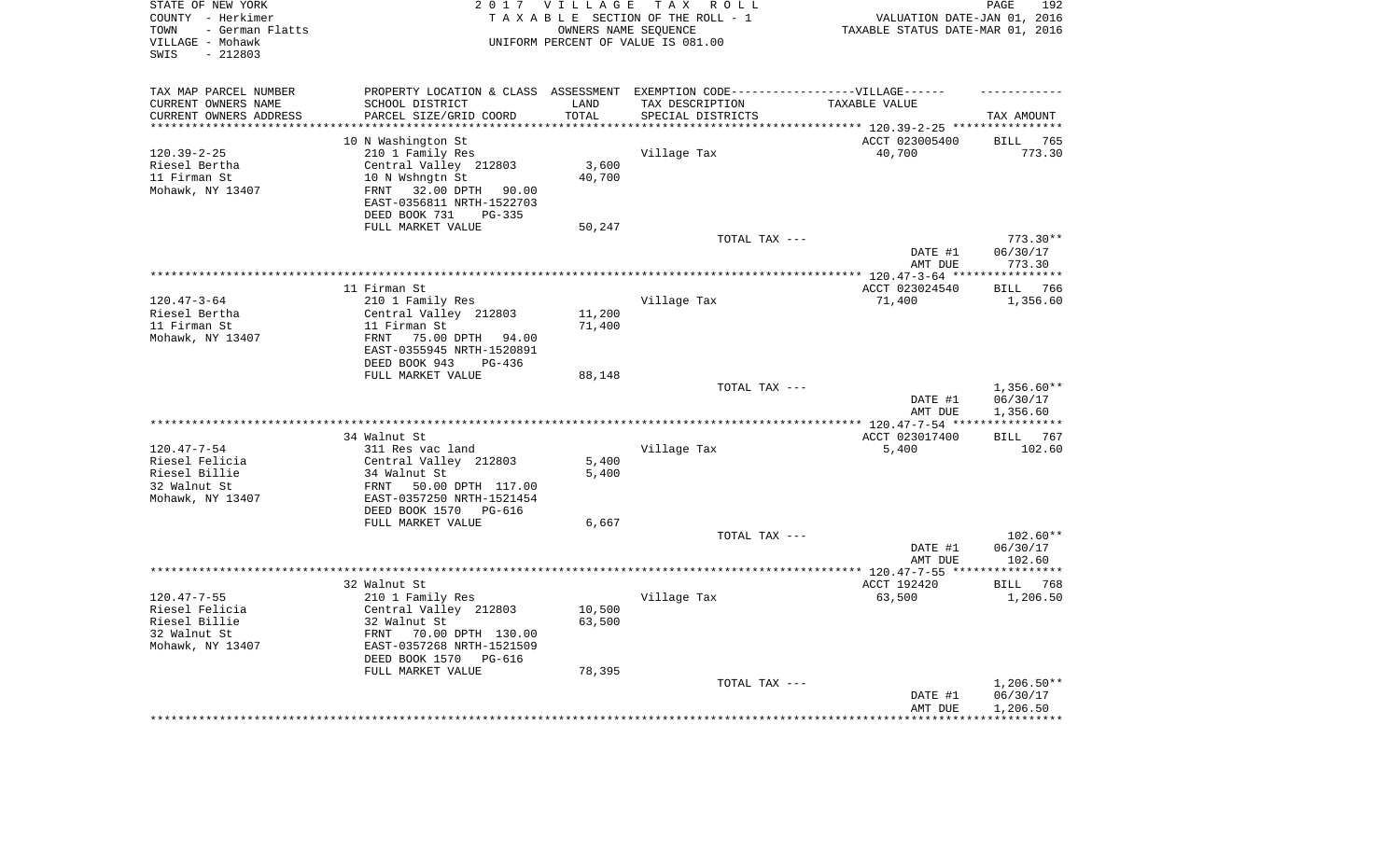| STATE OF NEW YORK<br>COUNTY - Herkimer<br>- German Flatts<br>TOWN<br>VILLAGE - Mohawk<br>$-212803$<br>SWIS |                                                                                   | 2017 VILLAGE      | TAX ROLL<br>TAXABLE SECTION OF THE ROLL - 1<br>OWNERS NAME SEQUENCE<br>UNIFORM PERCENT OF VALUE IS 081.00 | VALUATION DATE-JAN 01, 2016<br>TAXABLE STATUS DATE-MAR 01, 2016 | PAGE<br>192              |
|------------------------------------------------------------------------------------------------------------|-----------------------------------------------------------------------------------|-------------------|-----------------------------------------------------------------------------------------------------------|-----------------------------------------------------------------|--------------------------|
| TAX MAP PARCEL NUMBER                                                                                      | PROPERTY LOCATION & CLASS ASSESSMENT EXEMPTION CODE-----------------VILLAGE------ |                   |                                                                                                           |                                                                 |                          |
| CURRENT OWNERS NAME                                                                                        | SCHOOL DISTRICT                                                                   | LAND              | TAX DESCRIPTION                                                                                           | TAXABLE VALUE                                                   |                          |
| CURRENT OWNERS ADDRESS<br>********************                                                             | PARCEL SIZE/GRID COORD<br>*********************                                   | TOTAL<br>******** | SPECIAL DISTRICTS                                                                                         |                                                                 | TAX AMOUNT               |
|                                                                                                            | 10 N Washington St                                                                |                   |                                                                                                           | ACCT 023005400                                                  | <b>BILL</b><br>765       |
| $120.39 - 2 - 25$                                                                                          | 210 1 Family Res                                                                  |                   | Village Tax                                                                                               | 40,700                                                          | 773.30                   |
| Riesel Bertha                                                                                              | Central Valley 212803                                                             | 3,600             |                                                                                                           |                                                                 |                          |
| 11 Firman St                                                                                               | 10 N Wshngtn St                                                                   | 40,700            |                                                                                                           |                                                                 |                          |
| Mohawk, NY 13407                                                                                           | 32.00 DPTH 90.00<br>FRNT                                                          |                   |                                                                                                           |                                                                 |                          |
|                                                                                                            | EAST-0356811 NRTH-1522703                                                         |                   |                                                                                                           |                                                                 |                          |
|                                                                                                            | DEED BOOK 731<br>PG-335                                                           |                   |                                                                                                           |                                                                 |                          |
|                                                                                                            | FULL MARKET VALUE                                                                 | 50,247            |                                                                                                           |                                                                 |                          |
|                                                                                                            |                                                                                   |                   | TOTAL TAX ---                                                                                             | DATE #1                                                         | $773.30**$<br>06/30/17   |
|                                                                                                            |                                                                                   |                   |                                                                                                           | AMT DUE                                                         | 773.30                   |
|                                                                                                            |                                                                                   |                   |                                                                                                           | ********** 120.47-3-64 ***                                      | **********               |
|                                                                                                            | 11 Firman St                                                                      |                   |                                                                                                           | ACCT 023024540                                                  | 766<br><b>BILL</b>       |
| $120.47 - 3 - 64$                                                                                          | 210 1 Family Res                                                                  |                   | Village Tax                                                                                               | 71,400                                                          | 1,356.60                 |
| Riesel Bertha                                                                                              | Central Valley 212803                                                             | 11,200            |                                                                                                           |                                                                 |                          |
| 11 Firman St                                                                                               | 11 Firman St                                                                      | 71,400            |                                                                                                           |                                                                 |                          |
| Mohawk, NY 13407                                                                                           | FRNT<br>75.00 DPTH 94.00                                                          |                   |                                                                                                           |                                                                 |                          |
|                                                                                                            | EAST-0355945 NRTH-1520891                                                         |                   |                                                                                                           |                                                                 |                          |
|                                                                                                            | DEED BOOK 943<br>PG-436<br>FULL MARKET VALUE                                      | 88,148            |                                                                                                           |                                                                 |                          |
|                                                                                                            |                                                                                   |                   | TOTAL TAX ---                                                                                             |                                                                 | $1,356.60**$             |
|                                                                                                            |                                                                                   |                   |                                                                                                           | DATE #1                                                         | 06/30/17                 |
|                                                                                                            |                                                                                   |                   |                                                                                                           | AMT DUE                                                         | 1,356.60                 |
|                                                                                                            |                                                                                   |                   |                                                                                                           | *** 120.47-7-54 **                                              |                          |
|                                                                                                            | 34 Walnut St                                                                      |                   |                                                                                                           | ACCT 023017400                                                  | 767<br>BILL              |
| $120.47 - 7 - 54$                                                                                          | 311 Res vac land                                                                  |                   | Village Tax                                                                                               | 5,400                                                           | 102.60                   |
| Riesel Felicia<br>Riesel Billie                                                                            | Central Valley 212803<br>34 Walnut St                                             | 5,400<br>5,400    |                                                                                                           |                                                                 |                          |
| 32 Walnut St                                                                                               | FRNT<br>50.00 DPTH 117.00                                                         |                   |                                                                                                           |                                                                 |                          |
| Mohawk, NY 13407                                                                                           | EAST-0357250 NRTH-1521454                                                         |                   |                                                                                                           |                                                                 |                          |
|                                                                                                            | DEED BOOK 1570<br>PG-616                                                          |                   |                                                                                                           |                                                                 |                          |
|                                                                                                            | FULL MARKET VALUE                                                                 | 6,667             |                                                                                                           |                                                                 |                          |
|                                                                                                            |                                                                                   |                   | TOTAL TAX ---                                                                                             |                                                                 | $102.60**$               |
|                                                                                                            |                                                                                   |                   |                                                                                                           | DATE #1                                                         | 06/30/17                 |
|                                                                                                            |                                                                                   |                   |                                                                                                           | AMT DUE                                                         | 102.60                   |
|                                                                                                            |                                                                                   |                   |                                                                                                           | ************ 120.47-7-55 ***                                    | **********<br>768        |
| $120.47 - 7 - 55$                                                                                          | 32 Walnut St<br>210 1 Family Res                                                  |                   | Village Tax                                                                                               | ACCT 192420<br>63,500                                           | BILL<br>1,206.50         |
| Riesel Felicia                                                                                             | Central Valley 212803                                                             | 10,500            |                                                                                                           |                                                                 |                          |
| Riesel Billie                                                                                              | 32 Walnut St                                                                      | 63,500            |                                                                                                           |                                                                 |                          |
| 32 Walnut St                                                                                               | FRNT<br>70.00 DPTH 130.00                                                         |                   |                                                                                                           |                                                                 |                          |
| Mohawk, NY 13407                                                                                           | EAST-0357268 NRTH-1521509                                                         |                   |                                                                                                           |                                                                 |                          |
|                                                                                                            | DEED BOOK 1570<br>PG-616                                                          |                   |                                                                                                           |                                                                 |                          |
|                                                                                                            | FULL MARKET VALUE                                                                 | 78,395            |                                                                                                           |                                                                 |                          |
|                                                                                                            |                                                                                   |                   | TOTAL TAX ---                                                                                             | DATE #1                                                         | $1,206.50**$<br>06/30/17 |
|                                                                                                            |                                                                                   |                   |                                                                                                           | AMT DUE                                                         | 1,206.50                 |
|                                                                                                            |                                                                                   |                   |                                                                                                           |                                                                 |                          |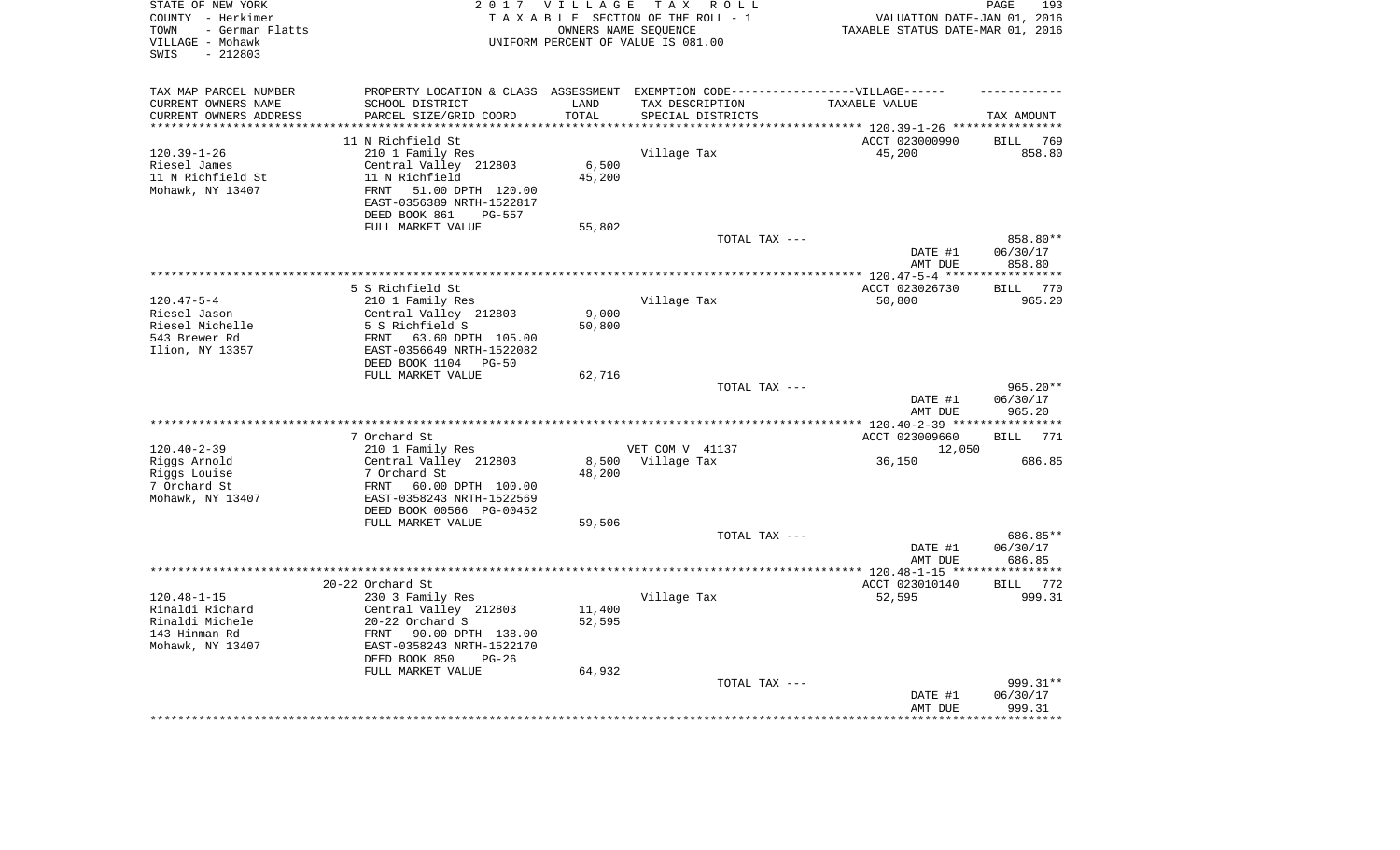| STATE OF NEW YORK<br>COUNTY - Herkimer<br>- German Flatts<br>TOWN<br>VILLAGE - Mohawk<br>$-212803$<br>SWIS |                                                             | 2017 VILLAGE     | T A X<br>R O L L<br>TAXABLE SECTION OF THE ROLL - 1<br>OWNERS NAME SEQUENCE<br>UNIFORM PERCENT OF VALUE IS 081.00 | VALUATION DATE-JAN 01, 2016<br>TAXABLE STATUS DATE-MAR 01, 2016 | PAGE<br>193                  |
|------------------------------------------------------------------------------------------------------------|-------------------------------------------------------------|------------------|-------------------------------------------------------------------------------------------------------------------|-----------------------------------------------------------------|------------------------------|
| TAX MAP PARCEL NUMBER                                                                                      |                                                             |                  | PROPERTY LOCATION & CLASS ASSESSMENT EXEMPTION CODE-----------------VILLAGE------                                 |                                                                 |                              |
| CURRENT OWNERS NAME                                                                                        | SCHOOL DISTRICT                                             | LAND             | TAX DESCRIPTION                                                                                                   | TAXABLE VALUE                                                   |                              |
| CURRENT OWNERS ADDRESS<br>********************                                                             | PARCEL SIZE/GRID COORD                                      | TOTAL<br>******* | SPECIAL DISTRICTS                                                                                                 |                                                                 | TAX AMOUNT                   |
|                                                                                                            |                                                             |                  |                                                                                                                   | ******************************** 120.39-1-26 *****************  |                              |
| $120.39 - 1 - 26$                                                                                          | 11 N Richfield St<br>210 1 Family Res                       |                  | Village Tax                                                                                                       | ACCT 023000990<br>45,200                                        | <b>BILL</b><br>769<br>858.80 |
| Riesel James                                                                                               | Central Valley 212803                                       | 6,500            |                                                                                                                   |                                                                 |                              |
| 11 N Richfield St                                                                                          | 11 N Richfield                                              | 45,200           |                                                                                                                   |                                                                 |                              |
| Mohawk, NY 13407                                                                                           | 51.00 DPTH 120.00<br><b>FRNT</b>                            |                  |                                                                                                                   |                                                                 |                              |
|                                                                                                            | EAST-0356389 NRTH-1522817                                   |                  |                                                                                                                   |                                                                 |                              |
|                                                                                                            | DEED BOOK 861<br>PG-557                                     |                  |                                                                                                                   |                                                                 |                              |
|                                                                                                            | FULL MARKET VALUE                                           | 55,802           |                                                                                                                   |                                                                 |                              |
|                                                                                                            |                                                             |                  | TOTAL TAX ---                                                                                                     |                                                                 | 858.80**                     |
|                                                                                                            |                                                             |                  |                                                                                                                   | DATE #1                                                         | 06/30/17                     |
|                                                                                                            |                                                             |                  |                                                                                                                   | AMT DUE                                                         | 858.80                       |
|                                                                                                            |                                                             |                  | *******************************                                                                                   | ******** 120.47-5-4 ****                                        | *******                      |
|                                                                                                            | 5 S Richfield St                                            |                  |                                                                                                                   | ACCT 023026730                                                  | 770<br><b>BILL</b>           |
| $120.47 - 5 - 4$                                                                                           | 210 1 Family Res                                            |                  | Village Tax                                                                                                       | 50,800                                                          | 965.20                       |
| Riesel Jason                                                                                               | Central Valley 212803                                       | 9,000            |                                                                                                                   |                                                                 |                              |
| Riesel Michelle                                                                                            | 5 S Richfield S                                             | 50,800           |                                                                                                                   |                                                                 |                              |
| 543 Brewer Rd                                                                                              | 63.60 DPTH 105.00<br>FRNT                                   |                  |                                                                                                                   |                                                                 |                              |
| Ilion, NY 13357                                                                                            | EAST-0356649 NRTH-1522082<br>DEED BOOK 1104<br><b>PG-50</b> |                  |                                                                                                                   |                                                                 |                              |
|                                                                                                            | FULL MARKET VALUE                                           | 62,716           |                                                                                                                   |                                                                 |                              |
|                                                                                                            |                                                             |                  | TOTAL TAX ---                                                                                                     |                                                                 | 965.20**                     |
|                                                                                                            |                                                             |                  |                                                                                                                   | DATE #1<br>AMT DUE                                              | 06/30/17<br>965.20           |
|                                                                                                            |                                                             |                  |                                                                                                                   | * $120.40 - 2 - 39$ **                                          |                              |
|                                                                                                            | 7 Orchard St                                                |                  |                                                                                                                   | ACCT 023009660                                                  | <b>BILL</b><br>771           |
| $120.40 - 2 - 39$                                                                                          | 210 1 Family Res                                            |                  | VET COM V 41137                                                                                                   | 12,050                                                          |                              |
| Riggs Arnold                                                                                               | Central Valley 212803                                       | 8,500            | Village Tax                                                                                                       | 36,150                                                          | 686.85                       |
| Riggs Louise                                                                                               | 7 Orchard St                                                | 48,200           |                                                                                                                   |                                                                 |                              |
| 7 Orchard St                                                                                               | FRNT<br>60.00 DPTH 100.00                                   |                  |                                                                                                                   |                                                                 |                              |
| Mohawk, NY 13407                                                                                           | EAST-0358243 NRTH-1522569                                   |                  |                                                                                                                   |                                                                 |                              |
|                                                                                                            | DEED BOOK 00566 PG-00452                                    |                  |                                                                                                                   |                                                                 |                              |
|                                                                                                            | FULL MARKET VALUE                                           | 59,506           |                                                                                                                   |                                                                 |                              |
|                                                                                                            |                                                             |                  | TOTAL TAX ---                                                                                                     |                                                                 | 686.85**                     |
|                                                                                                            |                                                             |                  |                                                                                                                   | DATE #1<br>AMT DUE                                              | 06/30/17<br>686.85           |
| ******************                                                                                         |                                                             |                  |                                                                                                                   | ********* 120.48-1-15 ****                                      | *********                    |
|                                                                                                            | 20-22 Orchard St                                            |                  |                                                                                                                   | ACCT 023010140                                                  | 772<br><b>BILL</b>           |
| $120.48 - 1 - 15$                                                                                          | 230 3 Family Res                                            |                  | Village Tax                                                                                                       | 52,595                                                          | 999.31                       |
| Rinaldi Richard                                                                                            | Central Valley 212803                                       | 11,400           |                                                                                                                   |                                                                 |                              |
| Rinaldi Michele                                                                                            | 20-22 Orchard S                                             | 52,595           |                                                                                                                   |                                                                 |                              |
| 143 Hinman Rd                                                                                              | FRNT<br>90.00 DPTH 138.00                                   |                  |                                                                                                                   |                                                                 |                              |
| Mohawk, NY 13407                                                                                           | EAST-0358243 NRTH-1522170                                   |                  |                                                                                                                   |                                                                 |                              |
|                                                                                                            | DEED BOOK 850<br>$PG-26$                                    |                  |                                                                                                                   |                                                                 |                              |
|                                                                                                            | FULL MARKET VALUE                                           | 64,932           |                                                                                                                   |                                                                 |                              |
|                                                                                                            |                                                             |                  | TOTAL TAX ---                                                                                                     |                                                                 | 999.31**                     |
|                                                                                                            |                                                             |                  |                                                                                                                   | DATE #1                                                         | 06/30/17                     |
|                                                                                                            |                                                             |                  |                                                                                                                   | AMT DUE                                                         | 999.31                       |
|                                                                                                            |                                                             |                  |                                                                                                                   |                                                                 |                              |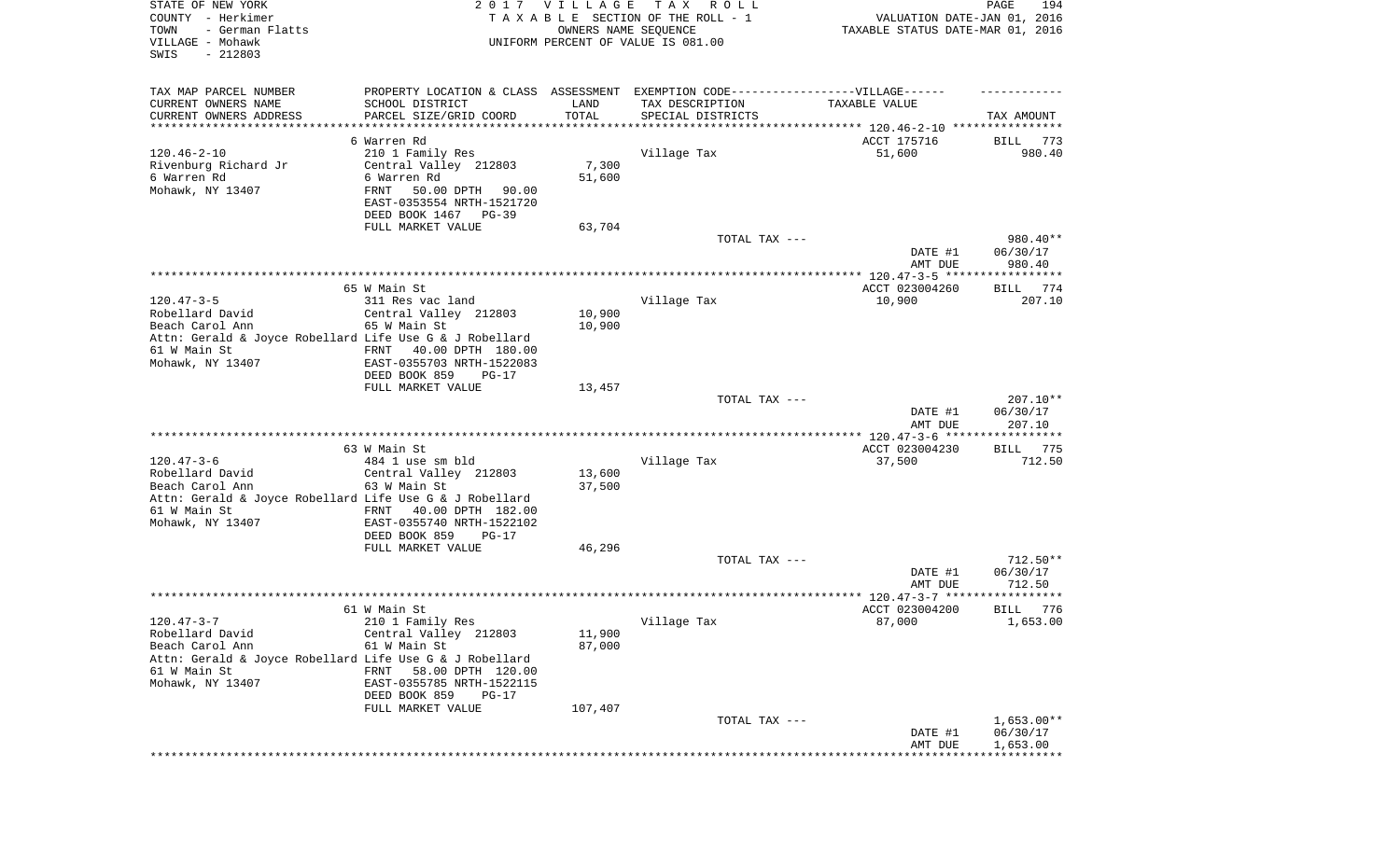| STATE OF NEW YORK<br>COUNTY - Herkimer<br>TOWN<br>- German Flatts<br>VILLAGE - Mohawk<br>SWIS<br>$-212803$                                            |                                                                                                                                                                                   | 2017 VILLAGE<br>OWNERS NAME SEQUENCE | TAX ROLL<br>TAXABLE SECTION OF THE ROLL - 1<br>UNIFORM PERCENT OF VALUE IS 081.00 | VALUATION DATE-JAN 01, 2016<br>TAXABLE STATUS DATE-MAR 01, 2016 | PAGE<br>194                          |
|-------------------------------------------------------------------------------------------------------------------------------------------------------|-----------------------------------------------------------------------------------------------------------------------------------------------------------------------------------|--------------------------------------|-----------------------------------------------------------------------------------|-----------------------------------------------------------------|--------------------------------------|
| TAX MAP PARCEL NUMBER<br>CURRENT OWNERS NAME<br>CURRENT OWNERS ADDRESS<br>***********************                                                     | PROPERTY LOCATION & CLASS ASSESSMENT EXEMPTION CODE-----------------VILLAGE------<br>SCHOOL DISTRICT<br>PARCEL SIZE/GRID COORD                                                    | LAND<br>TOTAL                        | TAX DESCRIPTION<br>SPECIAL DISTRICTS                                              | TAXABLE VALUE                                                   | TAX AMOUNT                           |
| $120.46 - 2 - 10$<br>Rivenburg Richard Jr<br>6 Warren Rd<br>Mohawk, NY 13407                                                                          | 6 Warren Rd<br>210 1 Family Res<br>Central Valley 212803<br>6 Warren Rd<br>FRNT<br>50.00 DPTH<br>90.00<br>EAST-0353554 NRTH-1521720<br>DEED BOOK 1467 PG-39<br>FULL MARKET VALUE  | 7,300<br>51,600<br>63,704            | Village Tax                                                                       | ACCT 175716<br>51,600                                           | 773<br>BILL<br>980.40                |
|                                                                                                                                                       |                                                                                                                                                                                   |                                      | TOTAL TAX ---                                                                     | DATE #1<br>AMT DUE                                              | 980.40**<br>06/30/17<br>980.40       |
| $120.47 - 3 - 5$<br>Robellard David<br>Beach Carol Ann<br>Attn: Gerald & Joyce Robellard Life Use G & J Robellard<br>61 W Main St<br>Mohawk, NY 13407 | 65 W Main St<br>311 Res vac land<br>Central Valley 212803<br>65 W Main St<br>40.00 DPTH 180.00<br>FRNT<br>EAST-0355703 NRTH-1522083<br>DEED BOOK 859<br>$PG-17$                   | 10,900<br>10,900                     | Village Tax                                                                       | ACCT 023004260<br>10,900                                        | BILL<br>774<br>207.10                |
|                                                                                                                                                       | FULL MARKET VALUE                                                                                                                                                                 | 13,457                               | TOTAL TAX ---                                                                     | DATE #1<br>AMT DUE                                              | $207.10**$<br>06/30/17<br>207.10     |
|                                                                                                                                                       |                                                                                                                                                                                   |                                      |                                                                                   | ************* 120.47-3-6 ******************                     |                                      |
| $120.47 - 3 - 6$<br>Robellard David<br>Beach Carol Ann<br>Attn: Gerald & Joyce Robellard Life Use G & J Robellard<br>61 W Main St<br>Mohawk, NY 13407 | 63 W Main St<br>484 1 use sm bld<br>Central Valley 212803<br>63 W Main St<br>FRNT<br>40.00 DPTH 182.00<br>EAST-0355740 NRTH-1522102<br>DEED BOOK 859<br>PG-17                     | 13,600<br>37,500                     | Village Tax                                                                       | ACCT 023004230<br>37,500                                        | 775<br>BILL<br>712.50                |
|                                                                                                                                                       | FULL MARKET VALUE                                                                                                                                                                 | 46,296                               | TOTAL TAX ---                                                                     | DATE #1                                                         | $712.50**$<br>06/30/17               |
|                                                                                                                                                       |                                                                                                                                                                                   |                                      |                                                                                   | AMT DUE                                                         | 712.50                               |
| $120.47 - 3 - 7$<br>Robellard David<br>Beach Carol Ann<br>Attn: Gerald & Joyce Robellard Life Use G & J Robellard<br>61 W Main St<br>Mohawk, NY 13407 | 61 W Main St<br>210 1 Family Res<br>Central Valley 212803<br>61 W Main St<br>FRNT 58.00 DPTH 120.00<br>EAST-0355785 NRTH-1522115<br>DEED BOOK 859<br>$PG-17$<br>FULL MARKET VALUE | 11,900<br>87,000<br>107,407          | Village Tax                                                                       | ACCT 023004200<br>87,000                                        | 776<br>BILL<br>1,653.00              |
|                                                                                                                                                       |                                                                                                                                                                                   |                                      | TOTAL TAX ---                                                                     | DATE #1<br>AMT DUE                                              | $1,653.00**$<br>06/30/17<br>1,653.00 |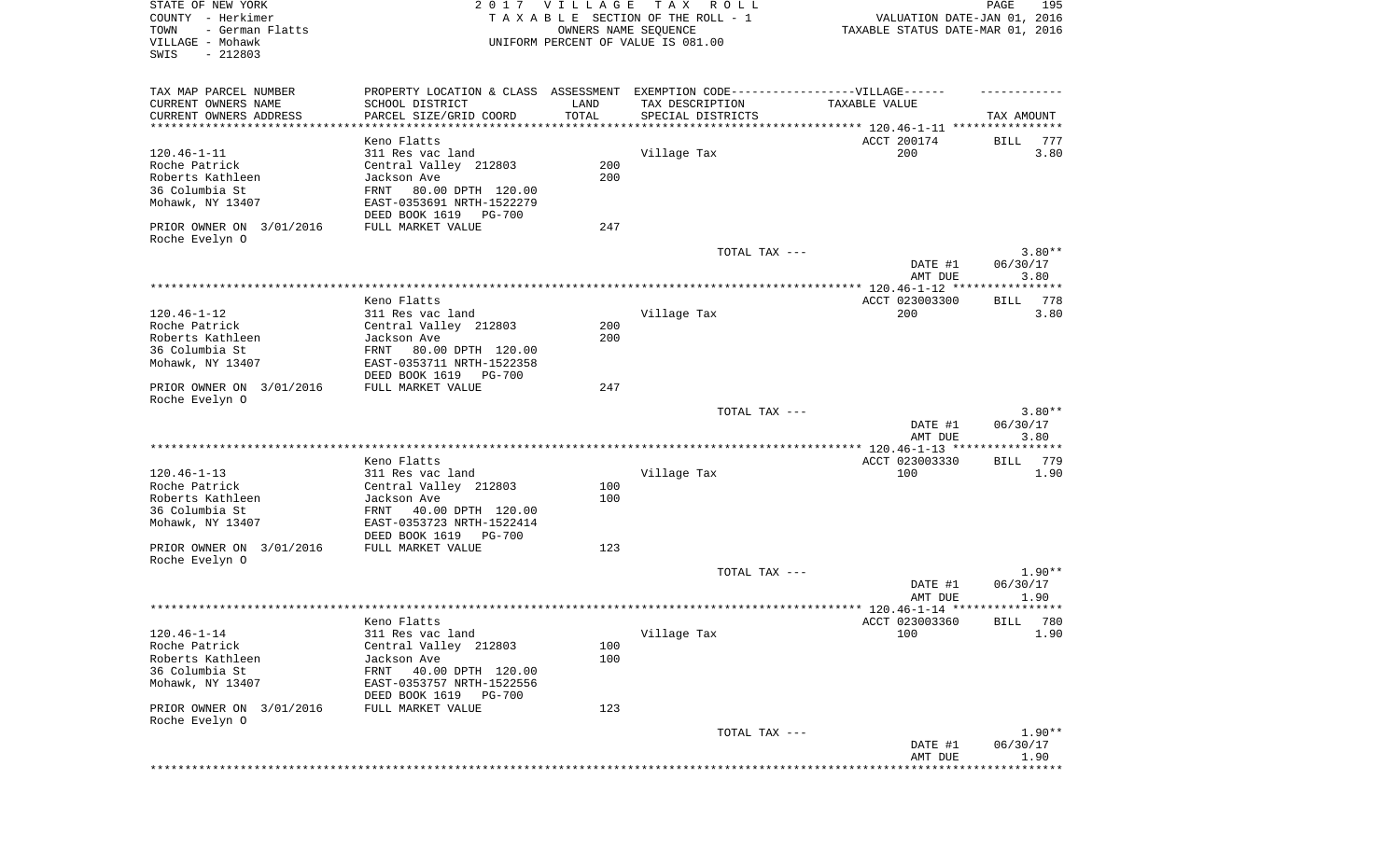| STATE OF NEW YORK<br>COUNTY - Herkimer<br>- German Flatts<br>TOWN<br>VILLAGE - Mohawk<br>SWIS<br>$-212803$ |                                                                                  | 2017 VILLAGE<br>OWNERS NAME SEQUENCE | T A X<br>R O L L<br>TAXABLE SECTION OF THE ROLL - 1<br>UNIFORM PERCENT OF VALUE IS 081.00 | VALUATION DATE-JAN 01, 2016<br>TAXABLE STATUS DATE-MAR 01, 2016 | 195<br>PAGE          |
|------------------------------------------------------------------------------------------------------------|----------------------------------------------------------------------------------|--------------------------------------|-------------------------------------------------------------------------------------------|-----------------------------------------------------------------|----------------------|
| TAX MAP PARCEL NUMBER                                                                                      | PROPERTY LOCATION & CLASS ASSESSMENT EXEMPTION CODE----------------VILLAGE------ |                                      |                                                                                           |                                                                 |                      |
| CURRENT OWNERS NAME                                                                                        | SCHOOL DISTRICT                                                                  | LAND                                 | TAX DESCRIPTION                                                                           | TAXABLE VALUE                                                   |                      |
| CURRENT OWNERS ADDRESS<br>***********************                                                          | PARCEL SIZE/GRID COORD                                                           | TOTAL                                | SPECIAL DISTRICTS                                                                         |                                                                 | TAX AMOUNT           |
|                                                                                                            | Keno Flatts                                                                      |                                      |                                                                                           | ACCT 200174                                                     | 777<br>BILL          |
| $120.46 - 1 - 11$                                                                                          | 311 Res vac land                                                                 |                                      | Village Tax                                                                               | 200                                                             | 3.80                 |
| Roche Patrick                                                                                              | Central Valley 212803                                                            | 200                                  |                                                                                           |                                                                 |                      |
| Roberts Kathleen                                                                                           | Jackson Ave                                                                      | 200                                  |                                                                                           |                                                                 |                      |
| 36 Columbia St<br>Mohawk, NY 13407                                                                         | FRNT<br>80.00 DPTH 120.00<br>EAST-0353691 NRTH-1522279                           |                                      |                                                                                           |                                                                 |                      |
|                                                                                                            | DEED BOOK 1619<br>PG-700                                                         |                                      |                                                                                           |                                                                 |                      |
| PRIOR OWNER ON 3/01/2016                                                                                   | FULL MARKET VALUE                                                                | 247                                  |                                                                                           |                                                                 |                      |
| Roche Evelyn O                                                                                             |                                                                                  |                                      |                                                                                           |                                                                 |                      |
|                                                                                                            |                                                                                  |                                      | TOTAL TAX ---                                                                             | DATE #1                                                         | $3.80**$<br>06/30/17 |
|                                                                                                            |                                                                                  |                                      |                                                                                           | AMT DUE                                                         | 3.80                 |
|                                                                                                            |                                                                                  |                                      |                                                                                           |                                                                 |                      |
|                                                                                                            | Keno Flatts                                                                      |                                      |                                                                                           | ACCT 023003300                                                  | 778<br>BILL          |
| $120.46 - 1 - 12$<br>Roche Patrick                                                                         | 311 Res vac land<br>Central Valley 212803                                        | 200                                  | Village Tax                                                                               | 200                                                             | 3.80                 |
| Roberts Kathleen                                                                                           | Jackson Ave                                                                      | 200                                  |                                                                                           |                                                                 |                      |
| 36 Columbia St                                                                                             | 80.00 DPTH 120.00<br>FRNT                                                        |                                      |                                                                                           |                                                                 |                      |
| Mohawk, NY 13407                                                                                           | EAST-0353711 NRTH-1522358                                                        |                                      |                                                                                           |                                                                 |                      |
| PRIOR OWNER ON 3/01/2016                                                                                   | DEED BOOK 1619<br>PG-700<br>FULL MARKET VALUE                                    | 247                                  |                                                                                           |                                                                 |                      |
| Roche Evelyn O                                                                                             |                                                                                  |                                      |                                                                                           |                                                                 |                      |
|                                                                                                            |                                                                                  |                                      | TOTAL TAX ---                                                                             |                                                                 | $3.80**$             |
|                                                                                                            |                                                                                  |                                      |                                                                                           | DATE #1                                                         | 06/30/17             |
|                                                                                                            |                                                                                  |                                      |                                                                                           | AMT DUE                                                         | 3.80                 |
|                                                                                                            | Keno Flatts                                                                      |                                      |                                                                                           | ACCT 023003330                                                  | 779<br>BILL          |
| $120.46 - 1 - 13$                                                                                          | 311 Res vac land                                                                 |                                      | Village Tax                                                                               | 100                                                             | 1.90                 |
| Roche Patrick                                                                                              | Central Valley 212803                                                            | 100                                  |                                                                                           |                                                                 |                      |
| Roberts Kathleen<br>36 Columbia St                                                                         | Jackson Ave<br>FRNT<br>40.00 DPTH 120.00                                         | 100                                  |                                                                                           |                                                                 |                      |
| Mohawk, NY 13407                                                                                           | EAST-0353723 NRTH-1522414                                                        |                                      |                                                                                           |                                                                 |                      |
|                                                                                                            | DEED BOOK 1619 PG-700                                                            |                                      |                                                                                           |                                                                 |                      |
| PRIOR OWNER ON 3/01/2016                                                                                   | FULL MARKET VALUE                                                                | 123                                  |                                                                                           |                                                                 |                      |
| Roche Evelyn O                                                                                             |                                                                                  |                                      | TOTAL TAX ---                                                                             |                                                                 | $1.90**$             |
|                                                                                                            |                                                                                  |                                      |                                                                                           | DATE #1                                                         | 06/30/17             |
|                                                                                                            |                                                                                  |                                      |                                                                                           | AMT DUE                                                         | 1.90                 |
|                                                                                                            |                                                                                  |                                      |                                                                                           |                                                                 |                      |
| $120.46 - 1 - 14$                                                                                          | Keno Flatts<br>311 Res vac land                                                  |                                      | Village Tax                                                                               | ACCT 023003360<br>100                                           | BILL 780<br>1.90     |
| Roche Patrick                                                                                              | Central Valley 212803                                                            | 100                                  |                                                                                           |                                                                 |                      |
| Roberts Kathleen                                                                                           | Jackson Ave                                                                      | 100                                  |                                                                                           |                                                                 |                      |
| 36 Columbia St                                                                                             | FRNT 40.00 DPTH 120.00                                                           |                                      |                                                                                           |                                                                 |                      |
| Mohawk, NY 13407                                                                                           | EAST-0353757 NRTH-1522556<br>DEED BOOK 1619<br>PG-700                            |                                      |                                                                                           |                                                                 |                      |
| PRIOR OWNER ON 3/01/2016                                                                                   | FULL MARKET VALUE                                                                | 123                                  |                                                                                           |                                                                 |                      |
| Roche Evelyn O                                                                                             |                                                                                  |                                      |                                                                                           |                                                                 |                      |
|                                                                                                            |                                                                                  |                                      | TOTAL TAX ---                                                                             |                                                                 | $1.90**$             |
|                                                                                                            |                                                                                  |                                      |                                                                                           | DATE #1<br>AMT DUE                                              | 06/30/17<br>1.90     |
|                                                                                                            |                                                                                  |                                      |                                                                                           | ***********************************                             |                      |
|                                                                                                            |                                                                                  |                                      |                                                                                           |                                                                 |                      |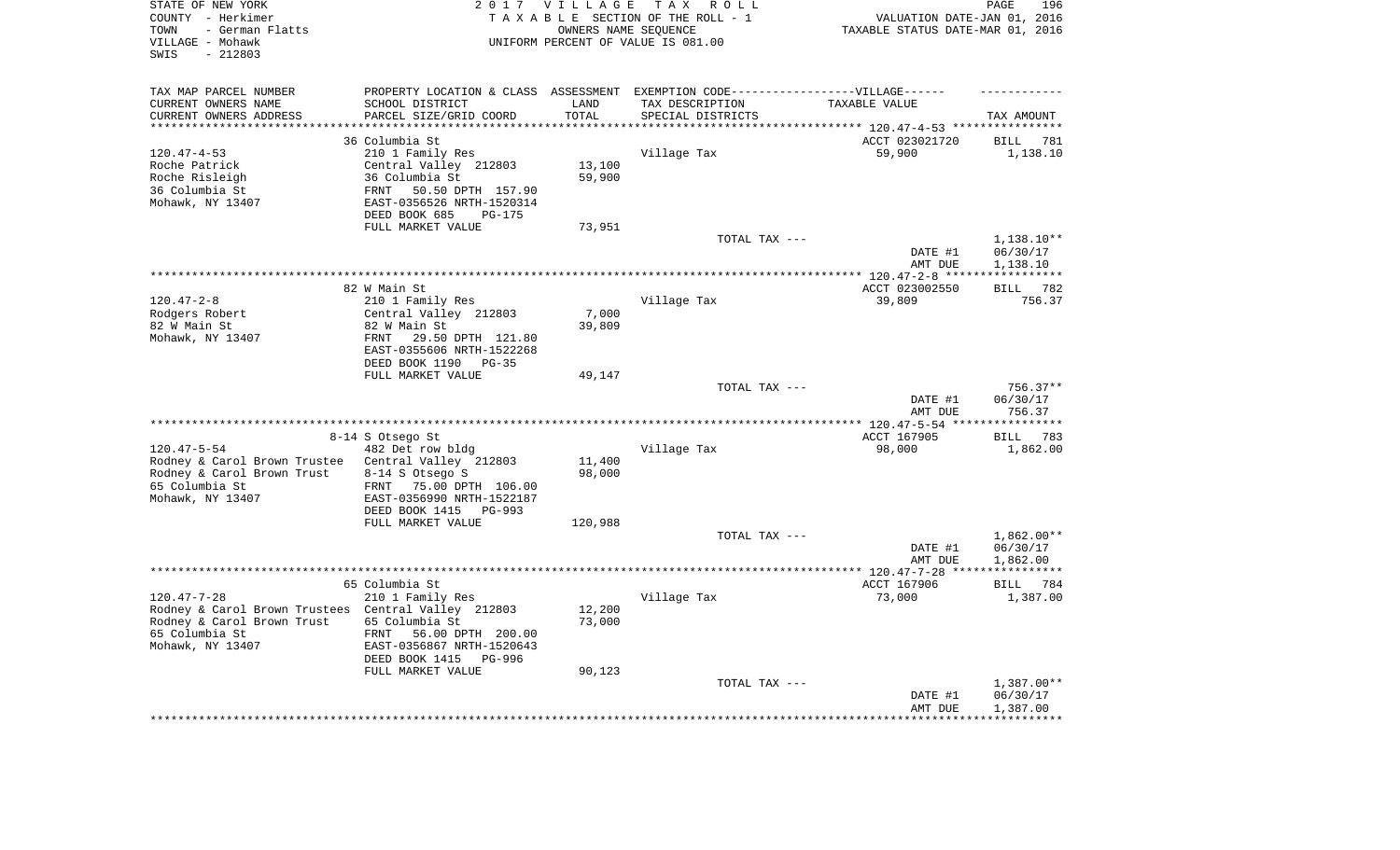| STATE OF NEW YORK<br>COUNTY - Herkimer<br>- German Flatts<br>TOWN<br>VILLAGE - Mohawk<br>$-212803$<br>SWIS |                                                                                   | 2017 VILLAGE<br>OWNERS NAME SEQUENCE | TAX ROLL<br>TAXABLE SECTION OF THE ROLL - 1<br>UNIFORM PERCENT OF VALUE IS 081.00 | VALUATION DATE-JAN 01, 2016<br>TAXABLE STATUS DATE-MAR 01, 2016 | 196<br>PAGE           |
|------------------------------------------------------------------------------------------------------------|-----------------------------------------------------------------------------------|--------------------------------------|-----------------------------------------------------------------------------------|-----------------------------------------------------------------|-----------------------|
| TAX MAP PARCEL NUMBER                                                                                      | PROPERTY LOCATION & CLASS ASSESSMENT EXEMPTION CODE-----------------VILLAGE------ |                                      |                                                                                   |                                                                 |                       |
| CURRENT OWNERS NAME                                                                                        | SCHOOL DISTRICT                                                                   | LAND                                 | TAX DESCRIPTION                                                                   | TAXABLE VALUE                                                   |                       |
| CURRENT OWNERS ADDRESS<br>*********************                                                            | PARCEL SIZE/GRID COORD<br>***************************                             | TOTAL<br>**********                  | SPECIAL DISTRICTS                                                                 |                                                                 | TAX AMOUNT            |
|                                                                                                            | 36 Columbia St                                                                    |                                      |                                                                                   | ACCT 023021720                                                  | <b>BILL</b><br>781    |
| $120.47 - 4 - 53$                                                                                          | 210 1 Family Res                                                                  |                                      | Village Tax                                                                       | 59,900                                                          | 1,138.10              |
| Roche Patrick                                                                                              | Central Valley 212803                                                             | 13,100                               |                                                                                   |                                                                 |                       |
| Roche Risleigh                                                                                             | 36 Columbia St                                                                    | 59,900                               |                                                                                   |                                                                 |                       |
| 36 Columbia St                                                                                             | 50.50 DPTH 157.90<br>FRNT                                                         |                                      |                                                                                   |                                                                 |                       |
| Mohawk, NY 13407                                                                                           | EAST-0356526 NRTH-1520314                                                         |                                      |                                                                                   |                                                                 |                       |
|                                                                                                            | DEED BOOK 685<br><b>PG-175</b>                                                    |                                      |                                                                                   |                                                                 |                       |
|                                                                                                            | FULL MARKET VALUE                                                                 | 73,951                               |                                                                                   |                                                                 |                       |
|                                                                                                            |                                                                                   |                                      | TOTAL TAX ---                                                                     |                                                                 | 1,138.10**            |
|                                                                                                            |                                                                                   |                                      |                                                                                   | DATE #1<br>AMT DUE                                              | 06/30/17<br>1,138.10  |
|                                                                                                            |                                                                                   |                                      |                                                                                   | ************ 120.47-2-8 ****                                    | * * * * * * * * * * * |
|                                                                                                            | 82 W Main St                                                                      |                                      |                                                                                   | ACCT 023002550                                                  | 782<br><b>BILL</b>    |
| $120.47 - 2 - 8$                                                                                           | 210 1 Family Res                                                                  |                                      | Village Tax                                                                       | 39,809                                                          | 756.37                |
| Rodgers Robert                                                                                             | Central Valley 212803                                                             | 7,000                                |                                                                                   |                                                                 |                       |
| 82 W Main St                                                                                               | 82 W Main St                                                                      | 39,809                               |                                                                                   |                                                                 |                       |
| Mohawk, NY 13407                                                                                           | FRNT<br>29.50 DPTH 121.80                                                         |                                      |                                                                                   |                                                                 |                       |
|                                                                                                            | EAST-0355606 NRTH-1522268<br>DEED BOOK 1190<br>$PG-35$                            |                                      |                                                                                   |                                                                 |                       |
|                                                                                                            | FULL MARKET VALUE                                                                 | 49,147                               |                                                                                   |                                                                 |                       |
|                                                                                                            |                                                                                   |                                      | TOTAL TAX ---                                                                     |                                                                 | $756.37**$            |
|                                                                                                            |                                                                                   |                                      |                                                                                   | DATE #1                                                         | 06/30/17              |
|                                                                                                            |                                                                                   |                                      |                                                                                   | AMT DUE                                                         | 756.37                |
|                                                                                                            |                                                                                   |                                      |                                                                                   |                                                                 | **********            |
|                                                                                                            | 8-14 S Otsego St                                                                  |                                      |                                                                                   | ACCT 167905                                                     | 783<br><b>BILL</b>    |
| $120.47 - 5 - 54$<br>Rodney & Carol Brown Trustee                                                          | 482 Det row bldg<br>Central Valley 212803                                         | 11,400                               | Village Tax                                                                       | 98,000                                                          | 1,862.00              |
| Rodney & Carol Brown Trust                                                                                 | 8-14 S Otsego S                                                                   | 98,000                               |                                                                                   |                                                                 |                       |
| 65 Columbia St                                                                                             | FRNT<br>75.00 DPTH 106.00                                                         |                                      |                                                                                   |                                                                 |                       |
| Mohawk, NY 13407                                                                                           | EAST-0356990 NRTH-1522187                                                         |                                      |                                                                                   |                                                                 |                       |
|                                                                                                            | DEED BOOK 1415<br>PG-993                                                          |                                      |                                                                                   |                                                                 |                       |
|                                                                                                            | FULL MARKET VALUE                                                                 | 120,988                              |                                                                                   |                                                                 |                       |
|                                                                                                            |                                                                                   |                                      | TOTAL TAX ---                                                                     |                                                                 | 1,862.00**            |
|                                                                                                            |                                                                                   |                                      |                                                                                   | DATE #1                                                         | 06/30/17              |
|                                                                                                            |                                                                                   |                                      |                                                                                   | AMT DUE                                                         | 1,862.00              |
|                                                                                                            | 65 Columbia St                                                                    |                                      |                                                                                   | ACCT 167906                                                     | <b>BILL</b><br>784    |
| $120.47 - 7 - 28$                                                                                          | 210 1 Family Res                                                                  |                                      | Village Tax                                                                       | 73,000                                                          | 1,387.00              |
| Rodney & Carol Brown Trustees Central Valley 212803                                                        |                                                                                   | 12,200                               |                                                                                   |                                                                 |                       |
| Rodney & Carol Brown Trust                                                                                 | 65 Columbia St                                                                    | 73,000                               |                                                                                   |                                                                 |                       |
| 65 Columbia St                                                                                             | FRNT<br>56.00 DPTH 200.00                                                         |                                      |                                                                                   |                                                                 |                       |
| Mohawk, NY 13407                                                                                           | EAST-0356867 NRTH-1520643                                                         |                                      |                                                                                   |                                                                 |                       |
|                                                                                                            | DEED BOOK 1415<br>PG-996<br>FULL MARKET VALUE                                     | 90,123                               |                                                                                   |                                                                 |                       |
|                                                                                                            |                                                                                   |                                      | TOTAL TAX ---                                                                     |                                                                 | 1,387.00**            |
|                                                                                                            |                                                                                   |                                      |                                                                                   | DATE #1                                                         | 06/30/17              |
|                                                                                                            |                                                                                   |                                      |                                                                                   | AMT DUE                                                         | 1,387.00              |
|                                                                                                            |                                                                                   |                                      |                                                                                   |                                                                 | **********            |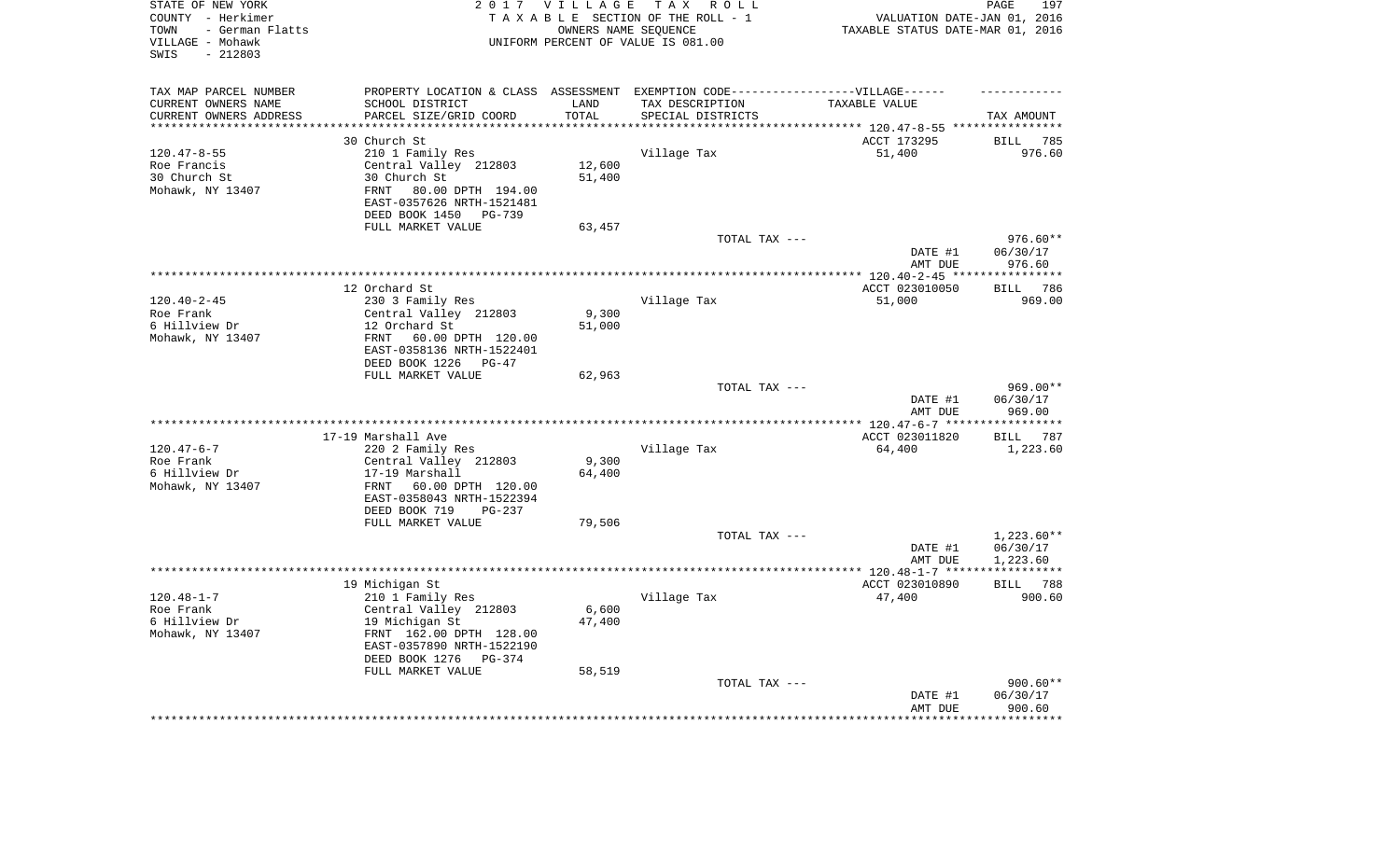| STATE OF NEW YORK<br>COUNTY - Herkimer<br>- German Flatts<br>TOWN<br>VILLAGE - Mohawk<br>$-212803$<br>SWIS | 2 0 1 7                                            | VILLAGE                | TAX ROLL<br>TAXABLE SECTION OF THE ROLL - 1<br>OWNERS NAME SEQUENCE<br>UNIFORM PERCENT OF VALUE IS 081.00 | VALUATION DATE-JAN 01, 2016<br>TAXABLE STATUS DATE-MAR 01, 2016 | PAGE<br>197           |
|------------------------------------------------------------------------------------------------------------|----------------------------------------------------|------------------------|-----------------------------------------------------------------------------------------------------------|-----------------------------------------------------------------|-----------------------|
| TAX MAP PARCEL NUMBER                                                                                      |                                                    |                        | PROPERTY LOCATION & CLASS ASSESSMENT EXEMPTION CODE-----------------VILLAGE------                         |                                                                 |                       |
| CURRENT OWNERS NAME                                                                                        | SCHOOL DISTRICT                                    | LAND                   | TAX DESCRIPTION                                                                                           | TAXABLE VALUE                                                   |                       |
| CURRENT OWNERS ADDRESS<br>**********************                                                           | PARCEL SIZE/GRID COORD<br>************************ | TOTAL<br>************* | SPECIAL DISTRICTS                                                                                         |                                                                 | TAX AMOUNT            |
|                                                                                                            | 30 Church St                                       |                        |                                                                                                           | ACCT 173295                                                     | <b>BILL</b><br>785    |
| $120.47 - 8 - 55$                                                                                          | 210 1 Family Res                                   |                        | Village Tax                                                                                               | 51,400                                                          | 976.60                |
| Roe Francis                                                                                                | Central Valley 212803                              | 12,600                 |                                                                                                           |                                                                 |                       |
| 30 Church St                                                                                               | 30 Church St                                       | 51,400                 |                                                                                                           |                                                                 |                       |
| Mohawk, NY 13407                                                                                           | 80.00 DPTH 194.00<br>FRNT                          |                        |                                                                                                           |                                                                 |                       |
|                                                                                                            | EAST-0357626 NRTH-1521481                          |                        |                                                                                                           |                                                                 |                       |
|                                                                                                            | DEED BOOK 1450<br><b>PG-739</b>                    |                        |                                                                                                           |                                                                 |                       |
|                                                                                                            | FULL MARKET VALUE                                  | 63,457                 |                                                                                                           |                                                                 |                       |
|                                                                                                            |                                                    |                        | TOTAL TAX ---                                                                                             |                                                                 | 976.60**              |
|                                                                                                            |                                                    |                        |                                                                                                           | DATE #1<br>AMT DUE                                              | 06/30/17<br>976.60    |
|                                                                                                            |                                                    |                        |                                                                                                           | *********** 120.40-2-45 *****                                   | ***********           |
|                                                                                                            | 12 Orchard St                                      |                        |                                                                                                           | ACCT 023010050                                                  | 786<br><b>BILL</b>    |
| $120.40 - 2 - 45$                                                                                          | 230 3 Family Res                                   |                        | Village Tax                                                                                               | 51,000                                                          | 969.00                |
| Roe Frank                                                                                                  | Central Valley 212803                              | 9,300                  |                                                                                                           |                                                                 |                       |
| 6 Hillview Dr                                                                                              | 12 Orchard St                                      | 51,000                 |                                                                                                           |                                                                 |                       |
| Mohawk, NY 13407                                                                                           | FRNT<br>60.00 DPTH 120.00                          |                        |                                                                                                           |                                                                 |                       |
|                                                                                                            | EAST-0358136 NRTH-1522401                          |                        |                                                                                                           |                                                                 |                       |
|                                                                                                            | DEED BOOK 1226<br>PG-47<br>FULL MARKET VALUE       | 62,963                 |                                                                                                           |                                                                 |                       |
|                                                                                                            |                                                    |                        | TOTAL TAX ---                                                                                             |                                                                 | $969.00**$            |
|                                                                                                            |                                                    |                        |                                                                                                           | DATE #1                                                         | 06/30/17              |
|                                                                                                            |                                                    |                        |                                                                                                           | AMT DUE                                                         | 969.00                |
|                                                                                                            |                                                    |                        |                                                                                                           | *************** 120.47-6-7 ***                                  | **********            |
|                                                                                                            | 17-19 Marshall Ave                                 |                        |                                                                                                           | ACCT 023011820                                                  | BILL 787              |
| $120.47 - 6 - 7$                                                                                           | 220 2 Family Res                                   |                        | Village Tax                                                                                               | 64,400                                                          | 1,223.60              |
| Roe Frank                                                                                                  | Central Valley 212803                              | 9,300                  |                                                                                                           |                                                                 |                       |
| 6 Hillview Dr<br>Mohawk, NY 13407                                                                          | 17-19 Marshall<br>FRNT<br>60.00 DPTH 120.00        | 64,400                 |                                                                                                           |                                                                 |                       |
|                                                                                                            | EAST-0358043 NRTH-1522394                          |                        |                                                                                                           |                                                                 |                       |
|                                                                                                            | DEED BOOK 719<br>$PG-237$                          |                        |                                                                                                           |                                                                 |                       |
|                                                                                                            | FULL MARKET VALUE                                  | 79,506                 |                                                                                                           |                                                                 |                       |
|                                                                                                            |                                                    |                        | TOTAL TAX ---                                                                                             |                                                                 | $1,223.60**$          |
|                                                                                                            |                                                    |                        |                                                                                                           | DATE #1                                                         | 06/30/17              |
|                                                                                                            |                                                    |                        |                                                                                                           | AMT DUE                                                         | 1,223.60              |
|                                                                                                            |                                                    |                        |                                                                                                           |                                                                 | * * * * * * * * * * * |
|                                                                                                            | 19 Michigan St                                     |                        |                                                                                                           | ACCT 023010890                                                  | BILL 788              |
| $120.48 - 1 - 7$<br>Roe Frank                                                                              | 210 1 Family Res<br>Central Valley 212803          | 6,600                  | Village Tax                                                                                               | 47,400                                                          | 900.60                |
| 6 Hillview Dr                                                                                              | 19 Michigan St                                     | 47,400                 |                                                                                                           |                                                                 |                       |
| Mohawk, NY 13407                                                                                           | FRNT 162.00 DPTH 128.00                            |                        |                                                                                                           |                                                                 |                       |
|                                                                                                            | EAST-0357890 NRTH-1522190                          |                        |                                                                                                           |                                                                 |                       |
|                                                                                                            | DEED BOOK 1276<br>$PG-374$                         |                        |                                                                                                           |                                                                 |                       |
|                                                                                                            | FULL MARKET VALUE                                  | 58,519                 |                                                                                                           |                                                                 |                       |
|                                                                                                            |                                                    |                        | TOTAL TAX ---                                                                                             |                                                                 | $900.60**$            |
|                                                                                                            |                                                    |                        |                                                                                                           | DATE #1<br>AMT DUE                                              | 06/30/17              |
|                                                                                                            |                                                    |                        |                                                                                                           |                                                                 | 900.60<br>********    |
|                                                                                                            |                                                    |                        |                                                                                                           |                                                                 |                       |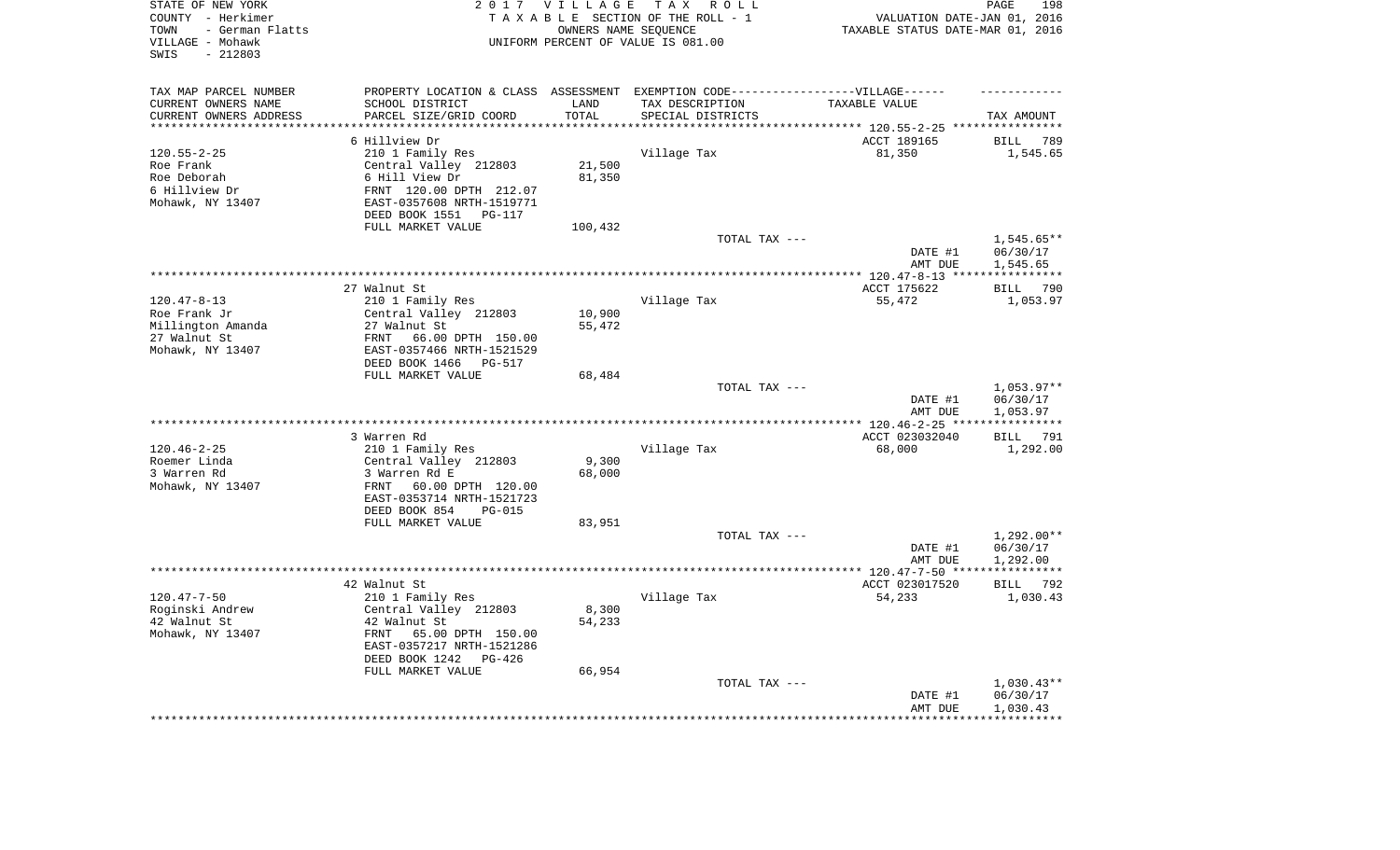| TAX MAP PARCEL NUMBER<br>PROPERTY LOCATION & CLASS ASSESSMENT EXEMPTION CODE-----------------VILLAGE------<br>CURRENT OWNERS NAME<br>SCHOOL DISTRICT<br>LAND<br>TAX DESCRIPTION<br>TAXABLE VALUE<br>CURRENT OWNERS ADDRESS<br>PARCEL SIZE/GRID COORD<br>TOTAL<br>SPECIAL DISTRICTS<br>TAX AMOUNT<br>********************<br>*********<br>********************************* 120.55-2-25 ****************<br>6 Hillview Dr<br>ACCT 189165<br><b>BILL</b><br>789<br>$120.55 - 2 - 25$<br>210 1 Family Res<br>Village Tax<br>81,350<br>1,545.65<br>Roe Frank<br>Central Valley 212803<br>21,500<br>6 Hill View Dr<br>81,350<br>Roe Deborah<br>6 Hillview Dr<br>FRNT 120.00 DPTH 212.07<br>Mohawk, NY 13407<br>EAST-0357608 NRTH-1519771<br>DEED BOOK 1551<br>PG-117<br>FULL MARKET VALUE<br>100,432<br>$1,545.65**$<br>TOTAL TAX ---<br>DATE #1<br>06/30/17<br>AMT DUE<br>1,545.65<br>*********** 120.47-8-13 ****<br>27 Walnut St<br>ACCT 175622<br><b>BILL</b><br>790<br>$120.47 - 8 - 13$<br>210 1 Family Res<br>Village Tax<br>55,472<br>1,053.97<br>10,900<br>Roe Frank Jr<br>Central Valley 212803<br>Millington Amanda<br>27 Walnut St<br>55,472<br>27 Walnut St<br>FRNT<br>66.00 DPTH 150.00<br>Mohawk, NY 13407<br>EAST-0357466 NRTH-1521529<br>DEED BOOK 1466<br>PG-517<br>FULL MARKET VALUE<br>68,484<br>$1,053.97**$<br>TOTAL TAX ---<br>06/30/17<br>DATE #1<br>AMT DUE<br>1,053.97<br>********************<br>*** $120.46 - 2 - 25$ **<br>3 Warren Rd<br>ACCT 023032040<br>BILL 791<br>$120.46 - 2 - 25$<br>Village Tax<br>68,000<br>210 1 Family Res<br>1,292.00<br>Roemer Linda<br>Central Valley 212803<br>9,300<br>3 Warren Rd<br>3 Warren Rd E<br>68,000<br>Mohawk, NY 13407<br>FRNT<br>60.00 DPTH 120.00<br>EAST-0353714 NRTH-1521723<br>DEED BOOK 854<br><b>PG-015</b><br>FULL MARKET VALUE<br>83,951<br>$1,292.00**$<br>TOTAL TAX ---<br>06/30/17<br>DATE #1<br>1,292.00<br>AMT DUE<br>42 Walnut St<br>ACCT 023017520<br>BILL 792<br>$120.47 - 7 - 50$<br>210 1 Family Res<br>Village Tax<br>54,233<br>1,030.43<br>Roginski Andrew<br>8,300<br>Central Valley 212803<br>42 Walnut St<br>42 Walnut St<br>54,233<br>65.00 DPTH 150.00<br>Mohawk, NY 13407<br>FRNT<br>EAST-0357217 NRTH-1521286<br>DEED BOOK 1242<br>PG-426<br>FULL MARKET VALUE<br>66,954<br>TOTAL TAX ---<br>$1,030.43**$<br>06/30/17<br>DATE #1<br>1,030.43<br>AMT DUE | STATE OF NEW YORK<br>COUNTY - Herkimer<br>- German Flatts<br>TOWN<br>VILLAGE - Mohawk<br>$-212803$<br>SWIS | 2017 VILLAGE | TAX ROLL<br>TAXABLE SECTION OF THE ROLL - 1<br>OWNERS NAME SEQUENCE<br>UNIFORM PERCENT OF VALUE IS 081.00 | VALUATION DATE-JAN 01, 2016<br>TAXABLE STATUS DATE-MAR 01, 2016 | 198<br>PAGE |
|---------------------------------------------------------------------------------------------------------------------------------------------------------------------------------------------------------------------------------------------------------------------------------------------------------------------------------------------------------------------------------------------------------------------------------------------------------------------------------------------------------------------------------------------------------------------------------------------------------------------------------------------------------------------------------------------------------------------------------------------------------------------------------------------------------------------------------------------------------------------------------------------------------------------------------------------------------------------------------------------------------------------------------------------------------------------------------------------------------------------------------------------------------------------------------------------------------------------------------------------------------------------------------------------------------------------------------------------------------------------------------------------------------------------------------------------------------------------------------------------------------------------------------------------------------------------------------------------------------------------------------------------------------------------------------------------------------------------------------------------------------------------------------------------------------------------------------------------------------------------------------------------------------------------------------------------------------------------------------------------------------------------------------------------------------------------------------------------------------------------------------------------------------------------------------------------------------------------------------------------------------------------------------------------------------------------------------------------------------|------------------------------------------------------------------------------------------------------------|--------------|-----------------------------------------------------------------------------------------------------------|-----------------------------------------------------------------|-------------|
|                                                                                                                                                                                                                                                                                                                                                                                                                                                                                                                                                                                                                                                                                                                                                                                                                                                                                                                                                                                                                                                                                                                                                                                                                                                                                                                                                                                                                                                                                                                                                                                                                                                                                                                                                                                                                                                                                                                                                                                                                                                                                                                                                                                                                                                                                                                                                         |                                                                                                            |              |                                                                                                           |                                                                 |             |
|                                                                                                                                                                                                                                                                                                                                                                                                                                                                                                                                                                                                                                                                                                                                                                                                                                                                                                                                                                                                                                                                                                                                                                                                                                                                                                                                                                                                                                                                                                                                                                                                                                                                                                                                                                                                                                                                                                                                                                                                                                                                                                                                                                                                                                                                                                                                                         |                                                                                                            |              |                                                                                                           |                                                                 |             |
|                                                                                                                                                                                                                                                                                                                                                                                                                                                                                                                                                                                                                                                                                                                                                                                                                                                                                                                                                                                                                                                                                                                                                                                                                                                                                                                                                                                                                                                                                                                                                                                                                                                                                                                                                                                                                                                                                                                                                                                                                                                                                                                                                                                                                                                                                                                                                         |                                                                                                            |              |                                                                                                           |                                                                 |             |
|                                                                                                                                                                                                                                                                                                                                                                                                                                                                                                                                                                                                                                                                                                                                                                                                                                                                                                                                                                                                                                                                                                                                                                                                                                                                                                                                                                                                                                                                                                                                                                                                                                                                                                                                                                                                                                                                                                                                                                                                                                                                                                                                                                                                                                                                                                                                                         |                                                                                                            |              |                                                                                                           |                                                                 |             |
|                                                                                                                                                                                                                                                                                                                                                                                                                                                                                                                                                                                                                                                                                                                                                                                                                                                                                                                                                                                                                                                                                                                                                                                                                                                                                                                                                                                                                                                                                                                                                                                                                                                                                                                                                                                                                                                                                                                                                                                                                                                                                                                                                                                                                                                                                                                                                         |                                                                                                            |              |                                                                                                           |                                                                 |             |
|                                                                                                                                                                                                                                                                                                                                                                                                                                                                                                                                                                                                                                                                                                                                                                                                                                                                                                                                                                                                                                                                                                                                                                                                                                                                                                                                                                                                                                                                                                                                                                                                                                                                                                                                                                                                                                                                                                                                                                                                                                                                                                                                                                                                                                                                                                                                                         |                                                                                                            |              |                                                                                                           |                                                                 |             |
|                                                                                                                                                                                                                                                                                                                                                                                                                                                                                                                                                                                                                                                                                                                                                                                                                                                                                                                                                                                                                                                                                                                                                                                                                                                                                                                                                                                                                                                                                                                                                                                                                                                                                                                                                                                                                                                                                                                                                                                                                                                                                                                                                                                                                                                                                                                                                         |                                                                                                            |              |                                                                                                           |                                                                 |             |
|                                                                                                                                                                                                                                                                                                                                                                                                                                                                                                                                                                                                                                                                                                                                                                                                                                                                                                                                                                                                                                                                                                                                                                                                                                                                                                                                                                                                                                                                                                                                                                                                                                                                                                                                                                                                                                                                                                                                                                                                                                                                                                                                                                                                                                                                                                                                                         |                                                                                                            |              |                                                                                                           |                                                                 |             |
|                                                                                                                                                                                                                                                                                                                                                                                                                                                                                                                                                                                                                                                                                                                                                                                                                                                                                                                                                                                                                                                                                                                                                                                                                                                                                                                                                                                                                                                                                                                                                                                                                                                                                                                                                                                                                                                                                                                                                                                                                                                                                                                                                                                                                                                                                                                                                         |                                                                                                            |              |                                                                                                           |                                                                 |             |
|                                                                                                                                                                                                                                                                                                                                                                                                                                                                                                                                                                                                                                                                                                                                                                                                                                                                                                                                                                                                                                                                                                                                                                                                                                                                                                                                                                                                                                                                                                                                                                                                                                                                                                                                                                                                                                                                                                                                                                                                                                                                                                                                                                                                                                                                                                                                                         |                                                                                                            |              |                                                                                                           |                                                                 |             |
|                                                                                                                                                                                                                                                                                                                                                                                                                                                                                                                                                                                                                                                                                                                                                                                                                                                                                                                                                                                                                                                                                                                                                                                                                                                                                                                                                                                                                                                                                                                                                                                                                                                                                                                                                                                                                                                                                                                                                                                                                                                                                                                                                                                                                                                                                                                                                         |                                                                                                            |              |                                                                                                           |                                                                 |             |
|                                                                                                                                                                                                                                                                                                                                                                                                                                                                                                                                                                                                                                                                                                                                                                                                                                                                                                                                                                                                                                                                                                                                                                                                                                                                                                                                                                                                                                                                                                                                                                                                                                                                                                                                                                                                                                                                                                                                                                                                                                                                                                                                                                                                                                                                                                                                                         |                                                                                                            |              |                                                                                                           |                                                                 |             |
|                                                                                                                                                                                                                                                                                                                                                                                                                                                                                                                                                                                                                                                                                                                                                                                                                                                                                                                                                                                                                                                                                                                                                                                                                                                                                                                                                                                                                                                                                                                                                                                                                                                                                                                                                                                                                                                                                                                                                                                                                                                                                                                                                                                                                                                                                                                                                         |                                                                                                            |              |                                                                                                           |                                                                 |             |
|                                                                                                                                                                                                                                                                                                                                                                                                                                                                                                                                                                                                                                                                                                                                                                                                                                                                                                                                                                                                                                                                                                                                                                                                                                                                                                                                                                                                                                                                                                                                                                                                                                                                                                                                                                                                                                                                                                                                                                                                                                                                                                                                                                                                                                                                                                                                                         |                                                                                                            |              |                                                                                                           |                                                                 |             |
|                                                                                                                                                                                                                                                                                                                                                                                                                                                                                                                                                                                                                                                                                                                                                                                                                                                                                                                                                                                                                                                                                                                                                                                                                                                                                                                                                                                                                                                                                                                                                                                                                                                                                                                                                                                                                                                                                                                                                                                                                                                                                                                                                                                                                                                                                                                                                         |                                                                                                            |              |                                                                                                           |                                                                 |             |
|                                                                                                                                                                                                                                                                                                                                                                                                                                                                                                                                                                                                                                                                                                                                                                                                                                                                                                                                                                                                                                                                                                                                                                                                                                                                                                                                                                                                                                                                                                                                                                                                                                                                                                                                                                                                                                                                                                                                                                                                                                                                                                                                                                                                                                                                                                                                                         |                                                                                                            |              |                                                                                                           |                                                                 |             |
|                                                                                                                                                                                                                                                                                                                                                                                                                                                                                                                                                                                                                                                                                                                                                                                                                                                                                                                                                                                                                                                                                                                                                                                                                                                                                                                                                                                                                                                                                                                                                                                                                                                                                                                                                                                                                                                                                                                                                                                                                                                                                                                                                                                                                                                                                                                                                         |                                                                                                            |              |                                                                                                           |                                                                 |             |
|                                                                                                                                                                                                                                                                                                                                                                                                                                                                                                                                                                                                                                                                                                                                                                                                                                                                                                                                                                                                                                                                                                                                                                                                                                                                                                                                                                                                                                                                                                                                                                                                                                                                                                                                                                                                                                                                                                                                                                                                                                                                                                                                                                                                                                                                                                                                                         |                                                                                                            |              |                                                                                                           |                                                                 |             |
|                                                                                                                                                                                                                                                                                                                                                                                                                                                                                                                                                                                                                                                                                                                                                                                                                                                                                                                                                                                                                                                                                                                                                                                                                                                                                                                                                                                                                                                                                                                                                                                                                                                                                                                                                                                                                                                                                                                                                                                                                                                                                                                                                                                                                                                                                                                                                         |                                                                                                            |              |                                                                                                           |                                                                 |             |
|                                                                                                                                                                                                                                                                                                                                                                                                                                                                                                                                                                                                                                                                                                                                                                                                                                                                                                                                                                                                                                                                                                                                                                                                                                                                                                                                                                                                                                                                                                                                                                                                                                                                                                                                                                                                                                                                                                                                                                                                                                                                                                                                                                                                                                                                                                                                                         |                                                                                                            |              |                                                                                                           |                                                                 |             |
|                                                                                                                                                                                                                                                                                                                                                                                                                                                                                                                                                                                                                                                                                                                                                                                                                                                                                                                                                                                                                                                                                                                                                                                                                                                                                                                                                                                                                                                                                                                                                                                                                                                                                                                                                                                                                                                                                                                                                                                                                                                                                                                                                                                                                                                                                                                                                         |                                                                                                            |              |                                                                                                           |                                                                 |             |
|                                                                                                                                                                                                                                                                                                                                                                                                                                                                                                                                                                                                                                                                                                                                                                                                                                                                                                                                                                                                                                                                                                                                                                                                                                                                                                                                                                                                                                                                                                                                                                                                                                                                                                                                                                                                                                                                                                                                                                                                                                                                                                                                                                                                                                                                                                                                                         |                                                                                                            |              |                                                                                                           |                                                                 |             |
|                                                                                                                                                                                                                                                                                                                                                                                                                                                                                                                                                                                                                                                                                                                                                                                                                                                                                                                                                                                                                                                                                                                                                                                                                                                                                                                                                                                                                                                                                                                                                                                                                                                                                                                                                                                                                                                                                                                                                                                                                                                                                                                                                                                                                                                                                                                                                         |                                                                                                            |              |                                                                                                           |                                                                 |             |
|                                                                                                                                                                                                                                                                                                                                                                                                                                                                                                                                                                                                                                                                                                                                                                                                                                                                                                                                                                                                                                                                                                                                                                                                                                                                                                                                                                                                                                                                                                                                                                                                                                                                                                                                                                                                                                                                                                                                                                                                                                                                                                                                                                                                                                                                                                                                                         |                                                                                                            |              |                                                                                                           |                                                                 |             |
|                                                                                                                                                                                                                                                                                                                                                                                                                                                                                                                                                                                                                                                                                                                                                                                                                                                                                                                                                                                                                                                                                                                                                                                                                                                                                                                                                                                                                                                                                                                                                                                                                                                                                                                                                                                                                                                                                                                                                                                                                                                                                                                                                                                                                                                                                                                                                         |                                                                                                            |              |                                                                                                           |                                                                 |             |
|                                                                                                                                                                                                                                                                                                                                                                                                                                                                                                                                                                                                                                                                                                                                                                                                                                                                                                                                                                                                                                                                                                                                                                                                                                                                                                                                                                                                                                                                                                                                                                                                                                                                                                                                                                                                                                                                                                                                                                                                                                                                                                                                                                                                                                                                                                                                                         |                                                                                                            |              |                                                                                                           |                                                                 |             |
|                                                                                                                                                                                                                                                                                                                                                                                                                                                                                                                                                                                                                                                                                                                                                                                                                                                                                                                                                                                                                                                                                                                                                                                                                                                                                                                                                                                                                                                                                                                                                                                                                                                                                                                                                                                                                                                                                                                                                                                                                                                                                                                                                                                                                                                                                                                                                         |                                                                                                            |              |                                                                                                           |                                                                 |             |
|                                                                                                                                                                                                                                                                                                                                                                                                                                                                                                                                                                                                                                                                                                                                                                                                                                                                                                                                                                                                                                                                                                                                                                                                                                                                                                                                                                                                                                                                                                                                                                                                                                                                                                                                                                                                                                                                                                                                                                                                                                                                                                                                                                                                                                                                                                                                                         |                                                                                                            |              |                                                                                                           |                                                                 |             |
|                                                                                                                                                                                                                                                                                                                                                                                                                                                                                                                                                                                                                                                                                                                                                                                                                                                                                                                                                                                                                                                                                                                                                                                                                                                                                                                                                                                                                                                                                                                                                                                                                                                                                                                                                                                                                                                                                                                                                                                                                                                                                                                                                                                                                                                                                                                                                         |                                                                                                            |              |                                                                                                           |                                                                 |             |
|                                                                                                                                                                                                                                                                                                                                                                                                                                                                                                                                                                                                                                                                                                                                                                                                                                                                                                                                                                                                                                                                                                                                                                                                                                                                                                                                                                                                                                                                                                                                                                                                                                                                                                                                                                                                                                                                                                                                                                                                                                                                                                                                                                                                                                                                                                                                                         |                                                                                                            |              |                                                                                                           |                                                                 |             |
|                                                                                                                                                                                                                                                                                                                                                                                                                                                                                                                                                                                                                                                                                                                                                                                                                                                                                                                                                                                                                                                                                                                                                                                                                                                                                                                                                                                                                                                                                                                                                                                                                                                                                                                                                                                                                                                                                                                                                                                                                                                                                                                                                                                                                                                                                                                                                         |                                                                                                            |              |                                                                                                           |                                                                 |             |
|                                                                                                                                                                                                                                                                                                                                                                                                                                                                                                                                                                                                                                                                                                                                                                                                                                                                                                                                                                                                                                                                                                                                                                                                                                                                                                                                                                                                                                                                                                                                                                                                                                                                                                                                                                                                                                                                                                                                                                                                                                                                                                                                                                                                                                                                                                                                                         |                                                                                                            |              |                                                                                                           |                                                                 |             |
|                                                                                                                                                                                                                                                                                                                                                                                                                                                                                                                                                                                                                                                                                                                                                                                                                                                                                                                                                                                                                                                                                                                                                                                                                                                                                                                                                                                                                                                                                                                                                                                                                                                                                                                                                                                                                                                                                                                                                                                                                                                                                                                                                                                                                                                                                                                                                         |                                                                                                            |              |                                                                                                           |                                                                 |             |
|                                                                                                                                                                                                                                                                                                                                                                                                                                                                                                                                                                                                                                                                                                                                                                                                                                                                                                                                                                                                                                                                                                                                                                                                                                                                                                                                                                                                                                                                                                                                                                                                                                                                                                                                                                                                                                                                                                                                                                                                                                                                                                                                                                                                                                                                                                                                                         |                                                                                                            |              |                                                                                                           |                                                                 |             |
|                                                                                                                                                                                                                                                                                                                                                                                                                                                                                                                                                                                                                                                                                                                                                                                                                                                                                                                                                                                                                                                                                                                                                                                                                                                                                                                                                                                                                                                                                                                                                                                                                                                                                                                                                                                                                                                                                                                                                                                                                                                                                                                                                                                                                                                                                                                                                         |                                                                                                            |              |                                                                                                           |                                                                 |             |
|                                                                                                                                                                                                                                                                                                                                                                                                                                                                                                                                                                                                                                                                                                                                                                                                                                                                                                                                                                                                                                                                                                                                                                                                                                                                                                                                                                                                                                                                                                                                                                                                                                                                                                                                                                                                                                                                                                                                                                                                                                                                                                                                                                                                                                                                                                                                                         |                                                                                                            |              |                                                                                                           |                                                                 |             |
|                                                                                                                                                                                                                                                                                                                                                                                                                                                                                                                                                                                                                                                                                                                                                                                                                                                                                                                                                                                                                                                                                                                                                                                                                                                                                                                                                                                                                                                                                                                                                                                                                                                                                                                                                                                                                                                                                                                                                                                                                                                                                                                                                                                                                                                                                                                                                         |                                                                                                            |              |                                                                                                           |                                                                 |             |
|                                                                                                                                                                                                                                                                                                                                                                                                                                                                                                                                                                                                                                                                                                                                                                                                                                                                                                                                                                                                                                                                                                                                                                                                                                                                                                                                                                                                                                                                                                                                                                                                                                                                                                                                                                                                                                                                                                                                                                                                                                                                                                                                                                                                                                                                                                                                                         |                                                                                                            |              |                                                                                                           |                                                                 |             |
|                                                                                                                                                                                                                                                                                                                                                                                                                                                                                                                                                                                                                                                                                                                                                                                                                                                                                                                                                                                                                                                                                                                                                                                                                                                                                                                                                                                                                                                                                                                                                                                                                                                                                                                                                                                                                                                                                                                                                                                                                                                                                                                                                                                                                                                                                                                                                         |                                                                                                            |              |                                                                                                           |                                                                 |             |
|                                                                                                                                                                                                                                                                                                                                                                                                                                                                                                                                                                                                                                                                                                                                                                                                                                                                                                                                                                                                                                                                                                                                                                                                                                                                                                                                                                                                                                                                                                                                                                                                                                                                                                                                                                                                                                                                                                                                                                                                                                                                                                                                                                                                                                                                                                                                                         |                                                                                                            |              |                                                                                                           |                                                                 |             |
|                                                                                                                                                                                                                                                                                                                                                                                                                                                                                                                                                                                                                                                                                                                                                                                                                                                                                                                                                                                                                                                                                                                                                                                                                                                                                                                                                                                                                                                                                                                                                                                                                                                                                                                                                                                                                                                                                                                                                                                                                                                                                                                                                                                                                                                                                                                                                         |                                                                                                            |              |                                                                                                           |                                                                 |             |
|                                                                                                                                                                                                                                                                                                                                                                                                                                                                                                                                                                                                                                                                                                                                                                                                                                                                                                                                                                                                                                                                                                                                                                                                                                                                                                                                                                                                                                                                                                                                                                                                                                                                                                                                                                                                                                                                                                                                                                                                                                                                                                                                                                                                                                                                                                                                                         |                                                                                                            |              |                                                                                                           |                                                                 |             |
|                                                                                                                                                                                                                                                                                                                                                                                                                                                                                                                                                                                                                                                                                                                                                                                                                                                                                                                                                                                                                                                                                                                                                                                                                                                                                                                                                                                                                                                                                                                                                                                                                                                                                                                                                                                                                                                                                                                                                                                                                                                                                                                                                                                                                                                                                                                                                         |                                                                                                            |              |                                                                                                           |                                                                 |             |
|                                                                                                                                                                                                                                                                                                                                                                                                                                                                                                                                                                                                                                                                                                                                                                                                                                                                                                                                                                                                                                                                                                                                                                                                                                                                                                                                                                                                                                                                                                                                                                                                                                                                                                                                                                                                                                                                                                                                                                                                                                                                                                                                                                                                                                                                                                                                                         |                                                                                                            |              |                                                                                                           |                                                                 |             |
|                                                                                                                                                                                                                                                                                                                                                                                                                                                                                                                                                                                                                                                                                                                                                                                                                                                                                                                                                                                                                                                                                                                                                                                                                                                                                                                                                                                                                                                                                                                                                                                                                                                                                                                                                                                                                                                                                                                                                                                                                                                                                                                                                                                                                                                                                                                                                         |                                                                                                            |              |                                                                                                           |                                                                 |             |
|                                                                                                                                                                                                                                                                                                                                                                                                                                                                                                                                                                                                                                                                                                                                                                                                                                                                                                                                                                                                                                                                                                                                                                                                                                                                                                                                                                                                                                                                                                                                                                                                                                                                                                                                                                                                                                                                                                                                                                                                                                                                                                                                                                                                                                                                                                                                                         |                                                                                                            |              |                                                                                                           |                                                                 |             |
|                                                                                                                                                                                                                                                                                                                                                                                                                                                                                                                                                                                                                                                                                                                                                                                                                                                                                                                                                                                                                                                                                                                                                                                                                                                                                                                                                                                                                                                                                                                                                                                                                                                                                                                                                                                                                                                                                                                                                                                                                                                                                                                                                                                                                                                                                                                                                         |                                                                                                            |              |                                                                                                           |                                                                 |             |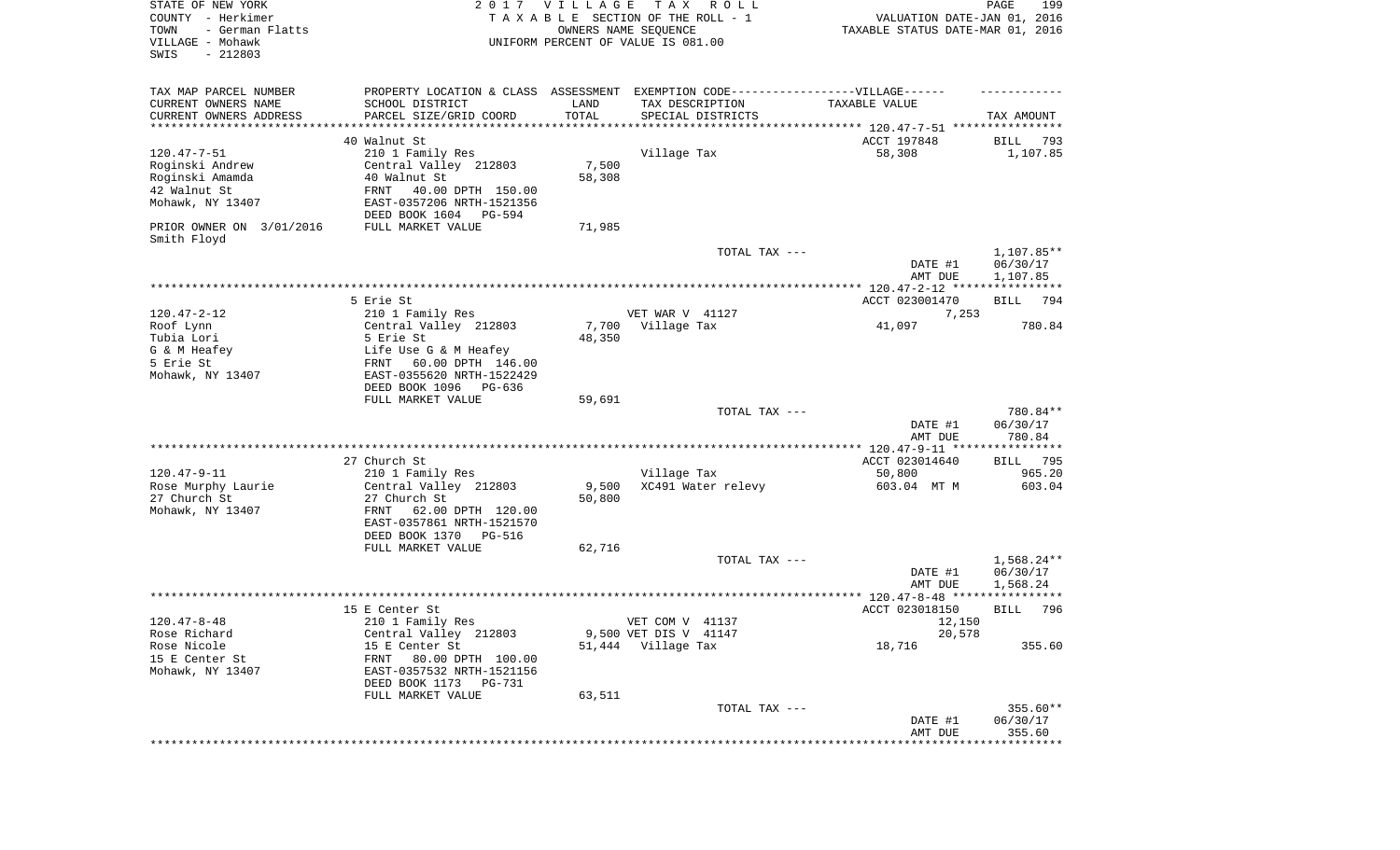| STATE OF NEW YORK<br>COUNTY - Herkimer<br>TOWN<br>- German Flatts<br>VILLAGE - Mohawk<br>SWIS<br>$-212803$ |                                                                                                      | 2017 VILLAGE | T A X<br>R O L L<br>TAXABLE SECTION OF THE ROLL - 1<br>OWNERS NAME SEQUENCE<br>UNIFORM PERCENT OF VALUE IS 081.00 | VALUATION DATE-JAN 01, 2016<br>TAXABLE STATUS DATE-MAR 01, 2016 | PAGE<br>199             |
|------------------------------------------------------------------------------------------------------------|------------------------------------------------------------------------------------------------------|--------------|-------------------------------------------------------------------------------------------------------------------|-----------------------------------------------------------------|-------------------------|
| TAX MAP PARCEL NUMBER<br>CURRENT OWNERS NAME                                                               | PROPERTY LOCATION & CLASS ASSESSMENT EXEMPTION CODE-----------------VILLAGE------<br>SCHOOL DISTRICT | LAND         | TAX DESCRIPTION                                                                                                   | TAXABLE VALUE                                                   |                         |
| CURRENT OWNERS ADDRESS                                                                                     | PARCEL SIZE/GRID COORD                                                                               | TOTAL        | SPECIAL DISTRICTS                                                                                                 |                                                                 | TAX AMOUNT              |
| **********************                                                                                     | ************************                                                                             |              |                                                                                                                   |                                                                 |                         |
| $120.47 - 7 - 51$                                                                                          | 40 Walnut St<br>210 1 Family Res                                                                     |              | Village Tax                                                                                                       | ACCT 197848<br>58,308                                           | 793<br>BILL<br>1,107.85 |
| Roginski Andrew                                                                                            | Central Valley 212803                                                                                | 7,500        |                                                                                                                   |                                                                 |                         |
| Roginski Amamda                                                                                            | 40 Walnut St                                                                                         | 58,308       |                                                                                                                   |                                                                 |                         |
| 42 Walnut St                                                                                               | FRNT<br>40.00 DPTH 150.00                                                                            |              |                                                                                                                   |                                                                 |                         |
| Mohawk, NY 13407                                                                                           | EAST-0357206 NRTH-1521356<br>DEED BOOK 1604 PG-594                                                   |              |                                                                                                                   |                                                                 |                         |
| PRIOR OWNER ON 3/01/2016<br>Smith Floyd                                                                    | FULL MARKET VALUE                                                                                    | 71,985       |                                                                                                                   |                                                                 |                         |
|                                                                                                            |                                                                                                      |              | TOTAL TAX ---                                                                                                     | DATE #1                                                         | 1,107.85**<br>06/30/17  |
|                                                                                                            |                                                                                                      |              |                                                                                                                   | AMT DUE                                                         | 1,107.85                |
|                                                                                                            | 5 Erie St                                                                                            |              |                                                                                                                   | ACCT 023001470                                                  | 794<br>BILL             |
| $120.47 - 2 - 12$                                                                                          | 210 1 Family Res                                                                                     |              | VET WAR V 41127                                                                                                   | 7,253                                                           |                         |
| Roof Lynn                                                                                                  | Central Valley 212803                                                                                | 7,700        | Village Tax                                                                                                       | 41,097                                                          | 780.84                  |
| Tubia Lori                                                                                                 | 5 Erie St                                                                                            | 48,350       |                                                                                                                   |                                                                 |                         |
| G & M Heafey                                                                                               | Life Use G & M Heafey                                                                                |              |                                                                                                                   |                                                                 |                         |
| 5 Erie St                                                                                                  | FRNT<br>60.00 DPTH 146.00                                                                            |              |                                                                                                                   |                                                                 |                         |
| Mohawk, NY 13407                                                                                           | EAST-0355620 NRTH-1522429<br>DEED BOOK 1096 PG-636                                                   |              |                                                                                                                   |                                                                 |                         |
|                                                                                                            | FULL MARKET VALUE                                                                                    | 59,691       |                                                                                                                   |                                                                 |                         |
|                                                                                                            |                                                                                                      |              | TOTAL TAX ---                                                                                                     |                                                                 | 780.84**                |
|                                                                                                            |                                                                                                      |              |                                                                                                                   | DATE #1                                                         | 06/30/17                |
|                                                                                                            |                                                                                                      |              |                                                                                                                   | AMT DUE                                                         | 780.84                  |
|                                                                                                            |                                                                                                      |              |                                                                                                                   |                                                                 |                         |
| $120.47 - 9 - 11$                                                                                          | 27 Church St                                                                                         |              |                                                                                                                   | ACCT 023014640                                                  | 795<br>BILL<br>965.20   |
| Rose Murphy Laurie                                                                                         | 210 1 Family Res<br>Central Valley 212803                                                            | 9,500        | Village Tax<br>XC491 Water relevy                                                                                 | 50,800<br>603.04 MT M                                           | 603.04                  |
| 27 Church St                                                                                               | 27 Church St                                                                                         | 50,800       |                                                                                                                   |                                                                 |                         |
| Mohawk, NY 13407                                                                                           | FRNT<br>62.00 DPTH 120.00                                                                            |              |                                                                                                                   |                                                                 |                         |
|                                                                                                            | EAST-0357861 NRTH-1521570                                                                            |              |                                                                                                                   |                                                                 |                         |
|                                                                                                            | DEED BOOK 1370 PG-516                                                                                |              |                                                                                                                   |                                                                 |                         |
|                                                                                                            | FULL MARKET VALUE                                                                                    | 62,716       |                                                                                                                   |                                                                 |                         |
|                                                                                                            |                                                                                                      |              | TOTAL TAX ---                                                                                                     | DATE #1                                                         | 1,568.24**<br>06/30/17  |
|                                                                                                            |                                                                                                      |              |                                                                                                                   | AMT DUE                                                         | 1,568.24                |
|                                                                                                            |                                                                                                      |              |                                                                                                                   |                                                                 | ****                    |
|                                                                                                            | 15 E Center St                                                                                       |              |                                                                                                                   | ACCT 023018150                                                  | 796<br>BILL             |
| $120.47 - 8 - 48$                                                                                          | 210 1 Family Res                                                                                     |              | VET COM V 41137                                                                                                   | 12,150                                                          |                         |
| Rose Richard                                                                                               | Central Valley 212803                                                                                |              | 9,500 VET DIS V 41147                                                                                             | 20,578                                                          |                         |
| Rose Nicole                                                                                                | 15 E Center St                                                                                       |              | 51,444 Village Tax                                                                                                | 18,716                                                          | 355.60                  |
| 15 E Center St<br>Mohawk, NY 13407                                                                         | 80.00 DPTH 100.00<br>FRNT<br>EAST-0357532 NRTH-1521156<br>DEED BOOK 1173 PG-731                      |              |                                                                                                                   |                                                                 |                         |
|                                                                                                            | FULL MARKET VALUE                                                                                    | 63,511       |                                                                                                                   |                                                                 |                         |
|                                                                                                            |                                                                                                      |              | TOTAL TAX ---                                                                                                     |                                                                 | 355.60**                |
|                                                                                                            |                                                                                                      |              |                                                                                                                   | DATE #1                                                         | 06/30/17                |
|                                                                                                            |                                                                                                      |              |                                                                                                                   | AMT DUE                                                         | 355.60                  |
|                                                                                                            |                                                                                                      |              |                                                                                                                   |                                                                 | ************            |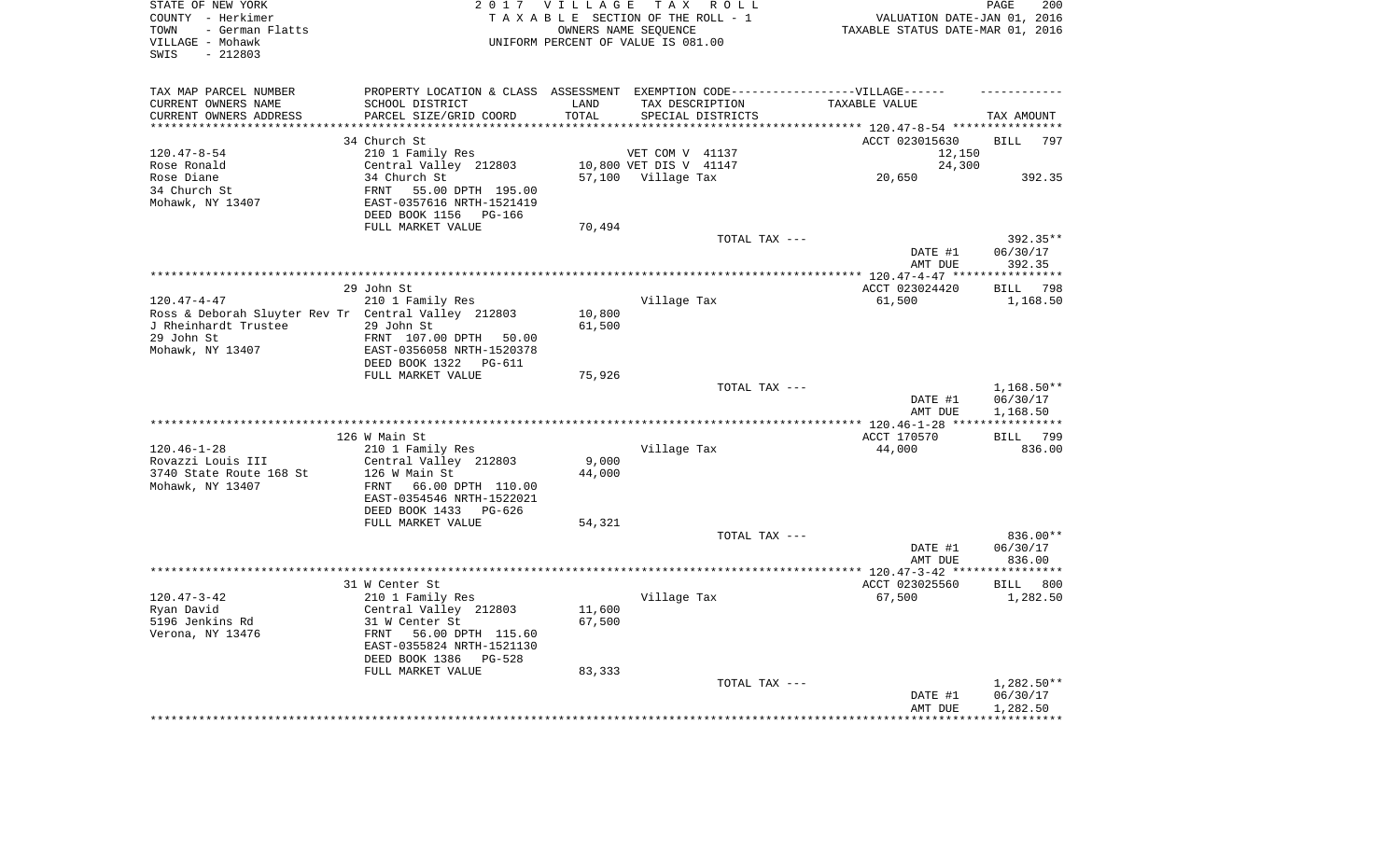| STATE OF NEW YORK<br>COUNTY - Herkimer<br>- German Flatts<br>TOWN<br>VILLAGE - Mohawk<br>$-212803$<br>SWIS |                                                                                   | 2017 VILLAGE<br>TAXABLE SECTION OF THE ROLL - 1<br>UNIFORM PERCENT OF VALUE IS 081.00 | OWNERS NAME SEQUENCE   | TAX ROLL          | TAXABLE STATUS DATE-MAR 01, 2016                     | PAGE<br>VALUATION DATE-JAN 01, 2016 | 200                |
|------------------------------------------------------------------------------------------------------------|-----------------------------------------------------------------------------------|---------------------------------------------------------------------------------------|------------------------|-------------------|------------------------------------------------------|-------------------------------------|--------------------|
| TAX MAP PARCEL NUMBER                                                                                      | PROPERTY LOCATION & CLASS ASSESSMENT EXEMPTION CODE-----------------VILLAGE------ |                                                                                       |                        |                   |                                                      |                                     |                    |
| CURRENT OWNERS NAME                                                                                        | SCHOOL DISTRICT                                                                   | LAND                                                                                  | TAX DESCRIPTION        |                   | TAXABLE VALUE                                        |                                     |                    |
| CURRENT OWNERS ADDRESS<br>*********************                                                            | PARCEL SIZE/GRID COORD<br>***************************                             | TOTAL<br>**********                                                                   |                        | SPECIAL DISTRICTS |                                                      |                                     | TAX AMOUNT         |
|                                                                                                            | 34 Church St                                                                      |                                                                                       |                        |                   |                                                      |                                     |                    |
| $120.47 - 8 - 54$                                                                                          | 210 1 Family Res                                                                  |                                                                                       | VET COM V 41137        |                   | ACCT 023015630                                       | 12,150                              | <b>BILL</b><br>797 |
| Rose Ronald                                                                                                | Central Valley 212803                                                             |                                                                                       | 10,800 VET DIS V 41147 |                   |                                                      | 24,300                              |                    |
| Rose Diane                                                                                                 | 34 Church St                                                                      |                                                                                       | 57,100 Village Tax     |                   | 20,650                                               |                                     | 392.35             |
| 34 Church St                                                                                               | 55.00 DPTH 195.00<br>FRNT                                                         |                                                                                       |                        |                   |                                                      |                                     |                    |
| Mohawk, NY 13407                                                                                           | EAST-0357616 NRTH-1521419                                                         |                                                                                       |                        |                   |                                                      |                                     |                    |
|                                                                                                            | DEED BOOK 1156<br>PG-166                                                          |                                                                                       |                        |                   |                                                      |                                     |                    |
|                                                                                                            | FULL MARKET VALUE                                                                 | 70,494                                                                                |                        |                   |                                                      |                                     |                    |
|                                                                                                            |                                                                                   |                                                                                       |                        | TOTAL TAX ---     |                                                      |                                     | 392.35**           |
|                                                                                                            |                                                                                   |                                                                                       |                        |                   |                                                      | DATE #1                             | 06/30/17           |
|                                                                                                            |                                                                                   |                                                                                       |                        |                   | AMT DUE<br>*********** 120.47-4-47 ***************** |                                     | 392.35             |
|                                                                                                            | 29 John St                                                                        |                                                                                       |                        |                   | ACCT 023024420                                       |                                     | 798<br><b>BILL</b> |
| $120.47 - 4 - 47$                                                                                          | 210 1 Family Res                                                                  |                                                                                       | Village Tax            |                   | 61,500                                               |                                     | 1,168.50           |
| Ross & Deborah Sluyter Rev Tr Central Valley 212803                                                        |                                                                                   | 10,800                                                                                |                        |                   |                                                      |                                     |                    |
| J Rheinhardt Trustee                                                                                       | 29 John St                                                                        | 61,500                                                                                |                        |                   |                                                      |                                     |                    |
| 29 John St                                                                                                 | FRNT 107.00 DPTH<br>50.00                                                         |                                                                                       |                        |                   |                                                      |                                     |                    |
| Mohawk, NY 13407                                                                                           | EAST-0356058 NRTH-1520378                                                         |                                                                                       |                        |                   |                                                      |                                     |                    |
|                                                                                                            | DEED BOOK 1322 PG-611                                                             |                                                                                       |                        |                   |                                                      |                                     |                    |
|                                                                                                            | FULL MARKET VALUE                                                                 | 75,926                                                                                |                        | TOTAL TAX ---     |                                                      |                                     | $1,168.50**$       |
|                                                                                                            |                                                                                   |                                                                                       |                        |                   | DATE #1                                              |                                     | 06/30/17           |
|                                                                                                            |                                                                                   |                                                                                       |                        |                   | AMT DUE                                              |                                     | 1,168.50           |
|                                                                                                            |                                                                                   |                                                                                       | *********************  |                   | ** 120.46-1-28 **                                    |                                     |                    |
|                                                                                                            | 126 W Main St                                                                     |                                                                                       |                        |                   | ACCT 170570                                          |                                     | 799<br>BILL        |
| $120.46 - 1 - 28$                                                                                          | 210 1 Family Res                                                                  |                                                                                       | Village Tax            |                   | 44,000                                               |                                     | 836.00             |
| Rovazzi Louis III                                                                                          | Central Valley 212803                                                             | 9,000                                                                                 |                        |                   |                                                      |                                     |                    |
| 3740 State Route 168 St                                                                                    | 126 W Main St                                                                     | 44,000                                                                                |                        |                   |                                                      |                                     |                    |
| Mohawk, NY 13407                                                                                           | FRNT<br>66.00 DPTH 110.00                                                         |                                                                                       |                        |                   |                                                      |                                     |                    |
|                                                                                                            | EAST-0354546 NRTH-1522021<br>DEED BOOK 1433 PG-626                                |                                                                                       |                        |                   |                                                      |                                     |                    |
|                                                                                                            | FULL MARKET VALUE                                                                 | 54,321                                                                                |                        |                   |                                                      |                                     |                    |
|                                                                                                            |                                                                                   |                                                                                       |                        | TOTAL TAX ---     |                                                      |                                     | 836.00**           |
|                                                                                                            |                                                                                   |                                                                                       |                        |                   | DATE #1                                              |                                     | 06/30/17           |
|                                                                                                            |                                                                                   |                                                                                       |                        |                   | AMT DUE                                              |                                     | 836.00             |
|                                                                                                            |                                                                                   |                                                                                       |                        |                   | **************** 120.47-3-42 *****************       |                                     |                    |
|                                                                                                            | 31 W Center St                                                                    |                                                                                       |                        |                   | ACCT 023025560                                       |                                     | BILL 800           |
| $120.47 - 3 - 42$                                                                                          | 210 1 Family Res                                                                  |                                                                                       | Village Tax            |                   | 67,500                                               |                                     | 1,282.50           |
| Ryan David                                                                                                 | Central Valley 212803                                                             | 11,600                                                                                |                        |                   |                                                      |                                     |                    |
| 5196 Jenkins Rd<br>Verona, NY 13476                                                                        | 31 W Center St<br>FRNT<br>56.00 DPTH 115.60                                       | 67,500                                                                                |                        |                   |                                                      |                                     |                    |
|                                                                                                            | EAST-0355824 NRTH-1521130                                                         |                                                                                       |                        |                   |                                                      |                                     |                    |
|                                                                                                            | DEED BOOK 1386<br>$PG-528$                                                        |                                                                                       |                        |                   |                                                      |                                     |                    |
|                                                                                                            | FULL MARKET VALUE                                                                 | 83,333                                                                                |                        |                   |                                                      |                                     |                    |
|                                                                                                            |                                                                                   |                                                                                       |                        | TOTAL TAX ---     |                                                      |                                     | 1,282.50**         |
|                                                                                                            |                                                                                   |                                                                                       |                        |                   | DATE #1                                              |                                     | 06/30/17           |
|                                                                                                            |                                                                                   |                                                                                       |                        |                   | AMT DUE                                              |                                     | 1,282.50           |
|                                                                                                            |                                                                                   |                                                                                       |                        |                   |                                                      |                                     |                    |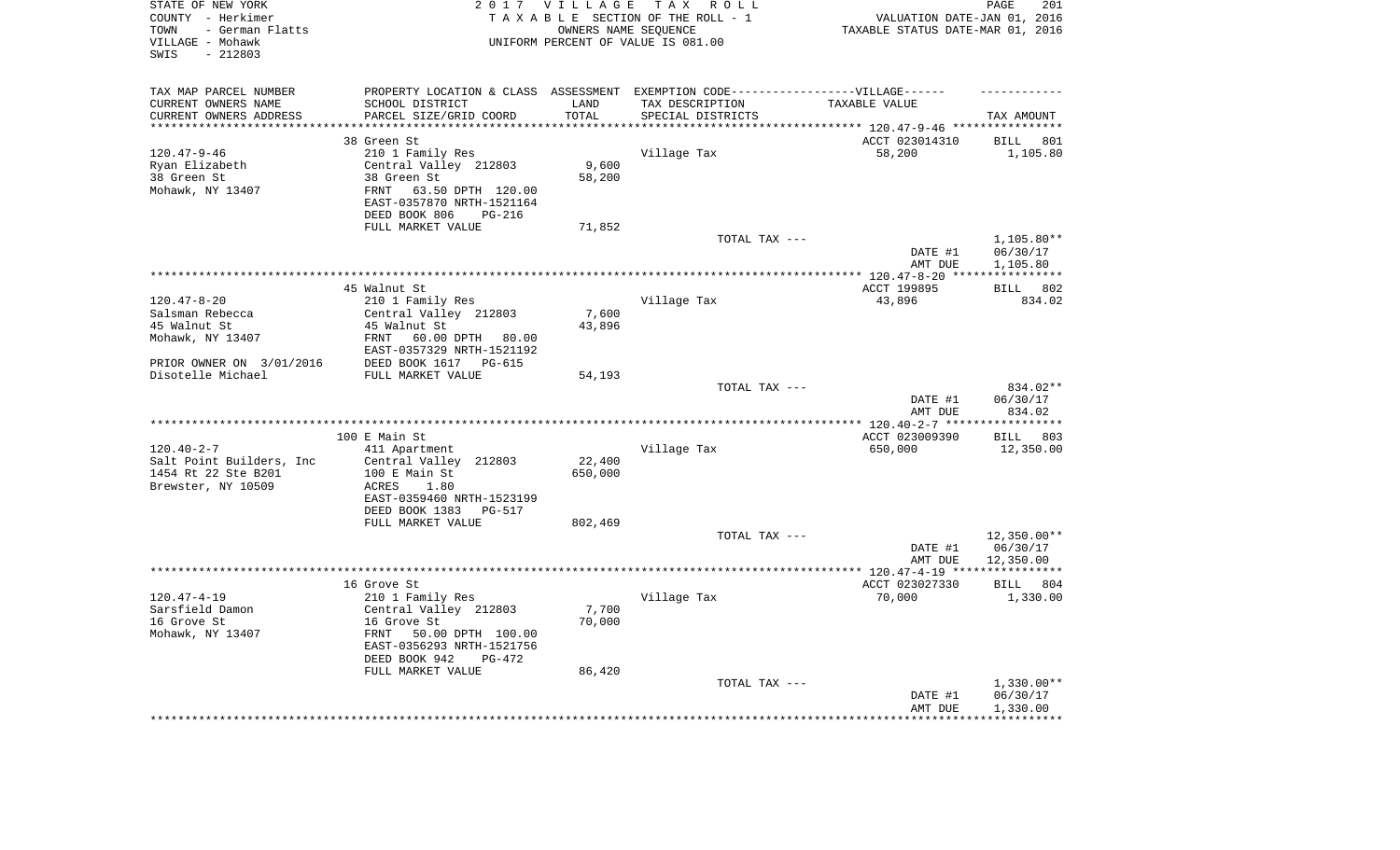| STATE OF NEW YORK<br>COUNTY - Herkimer<br>- German Flatts<br>TOWN<br>VILLAGE - Mohawk<br>$-212803$<br>SWIS |                                                                                   | 2017 VILLAGE       | TAX ROLL<br>TAXABLE SECTION OF THE ROLL - 1<br>OWNERS NAME SEQUENCE<br>UNIFORM PERCENT OF VALUE IS 081.00 | VALUATION DATE-JAN 01, 2016<br>TAXABLE STATUS DATE-MAR 01, 2016 | 201<br>PAGE                       |
|------------------------------------------------------------------------------------------------------------|-----------------------------------------------------------------------------------|--------------------|-----------------------------------------------------------------------------------------------------------|-----------------------------------------------------------------|-----------------------------------|
| TAX MAP PARCEL NUMBER                                                                                      | PROPERTY LOCATION & CLASS ASSESSMENT EXEMPTION CODE-----------------VILLAGE------ |                    |                                                                                                           |                                                                 |                                   |
| CURRENT OWNERS NAME                                                                                        | SCHOOL DISTRICT                                                                   | LAND               | TAX DESCRIPTION                                                                                           | TAXABLE VALUE                                                   |                                   |
| CURRENT OWNERS ADDRESS<br>********************                                                             | PARCEL SIZE/GRID COORD<br>************************                                | TOTAL<br>********* | SPECIAL DISTRICTS                                                                                         |                                                                 | TAX AMOUNT                        |
|                                                                                                            | 38 Green St                                                                       |                    |                                                                                                           | ACCT 023014310                                                  | <b>BILL</b><br>801                |
| $120.47 - 9 - 46$                                                                                          | 210 1 Family Res                                                                  |                    | Village Tax                                                                                               | 58,200                                                          | 1,105.80                          |
| Ryan Elizabeth                                                                                             | Central Valley 212803                                                             | 9,600              |                                                                                                           |                                                                 |                                   |
| 38 Green St                                                                                                | 38 Green St                                                                       | 58,200             |                                                                                                           |                                                                 |                                   |
| Mohawk, NY 13407                                                                                           | FRNT<br>63.50 DPTH 120.00                                                         |                    |                                                                                                           |                                                                 |                                   |
|                                                                                                            | EAST-0357870 NRTH-1521164                                                         |                    |                                                                                                           |                                                                 |                                   |
|                                                                                                            | DEED BOOK 806<br>$PG-216$                                                         |                    |                                                                                                           |                                                                 |                                   |
|                                                                                                            | FULL MARKET VALUE                                                                 | 71,852             |                                                                                                           |                                                                 |                                   |
|                                                                                                            |                                                                                   |                    | TOTAL TAX ---                                                                                             |                                                                 | $1,105.80**$                      |
|                                                                                                            |                                                                                   |                    |                                                                                                           | DATE #1                                                         | 06/30/17                          |
|                                                                                                            |                                                                                   |                    |                                                                                                           | AMT DUE                                                         | 1,105.80                          |
|                                                                                                            | 45 Walnut St                                                                      |                    |                                                                                                           | ************ 120.47-8-20 ****<br>ACCT 199895                    | ***********<br><b>BILL</b><br>802 |
| $120.47 - 8 - 20$                                                                                          | 210 1 Family Res                                                                  |                    | Village Tax                                                                                               | 43,896                                                          | 834.02                            |
| Salsman Rebecca                                                                                            | Central Valley 212803                                                             | 7,600              |                                                                                                           |                                                                 |                                   |
| 45 Walnut St                                                                                               | 45 Walnut St                                                                      | 43,896             |                                                                                                           |                                                                 |                                   |
| Mohawk, NY 13407                                                                                           | FRNT<br>60.00 DPTH 80.00                                                          |                    |                                                                                                           |                                                                 |                                   |
|                                                                                                            | EAST-0357329 NRTH-1521192                                                         |                    |                                                                                                           |                                                                 |                                   |
| PRIOR OWNER ON 3/01/2016                                                                                   | DEED BOOK 1617 PG-615                                                             |                    |                                                                                                           |                                                                 |                                   |
| Disotelle Michael                                                                                          | FULL MARKET VALUE                                                                 | 54,193             |                                                                                                           |                                                                 |                                   |
|                                                                                                            |                                                                                   |                    | TOTAL TAX ---                                                                                             |                                                                 | 834.02**                          |
|                                                                                                            |                                                                                   |                    |                                                                                                           | DATE #1                                                         | 06/30/17                          |
|                                                                                                            |                                                                                   |                    |                                                                                                           | AMT DUE<br>$***$ 120.40-2-7 ****                                | 834.02<br>**********              |
|                                                                                                            | 100 E Main St                                                                     |                    |                                                                                                           | ACCT 023009390                                                  | 803<br>BILL                       |
| $120.40 - 2 - 7$                                                                                           | 411 Apartment                                                                     |                    | Village Tax                                                                                               | 650,000                                                         | 12,350.00                         |
| Salt Point Builders, Inc                                                                                   | Central Valley 212803                                                             | 22,400             |                                                                                                           |                                                                 |                                   |
| 1454 Rt 22 Ste B201                                                                                        | 100 E Main St                                                                     | 650,000            |                                                                                                           |                                                                 |                                   |
| Brewster, NY 10509                                                                                         | ACRES<br>1.80                                                                     |                    |                                                                                                           |                                                                 |                                   |
|                                                                                                            | EAST-0359460 NRTH-1523199                                                         |                    |                                                                                                           |                                                                 |                                   |
|                                                                                                            | DEED BOOK 1383 PG-517                                                             |                    |                                                                                                           |                                                                 |                                   |
|                                                                                                            | FULL MARKET VALUE                                                                 | 802,469            |                                                                                                           |                                                                 |                                   |
|                                                                                                            |                                                                                   |                    | TOTAL TAX ---                                                                                             |                                                                 | 12,350.00**<br>06/30/17           |
|                                                                                                            |                                                                                   |                    |                                                                                                           | DATE #1<br>AMT DUE                                              | 12,350.00                         |
|                                                                                                            |                                                                                   |                    |                                                                                                           |                                                                 |                                   |
|                                                                                                            | 16 Grove St                                                                       |                    |                                                                                                           | ACCT 023027330                                                  | BILL 804                          |
| $120.47 - 4 - 19$                                                                                          | 210 1 Family Res                                                                  |                    | Village Tax                                                                                               | 70,000                                                          | 1,330.00                          |
| Sarsfield Damon                                                                                            | Central Valley 212803                                                             | 7,700              |                                                                                                           |                                                                 |                                   |
| 16 Grove St                                                                                                | 16 Grove St                                                                       | 70,000             |                                                                                                           |                                                                 |                                   |
| Mohawk, NY 13407                                                                                           | 50.00 DPTH 100.00<br>FRNT                                                         |                    |                                                                                                           |                                                                 |                                   |
|                                                                                                            | EAST-0356293 NRTH-1521756                                                         |                    |                                                                                                           |                                                                 |                                   |
|                                                                                                            | DEED BOOK 942<br>PG-472                                                           |                    |                                                                                                           |                                                                 |                                   |
|                                                                                                            | FULL MARKET VALUE                                                                 | 86,420             | TOTAL TAX ---                                                                                             |                                                                 | $1,330.00**$                      |
|                                                                                                            |                                                                                   |                    |                                                                                                           | DATE #1                                                         | 06/30/17                          |
|                                                                                                            |                                                                                   |                    |                                                                                                           | AMT DUE                                                         | 1,330.00                          |
|                                                                                                            |                                                                                   |                    |                                                                                                           |                                                                 |                                   |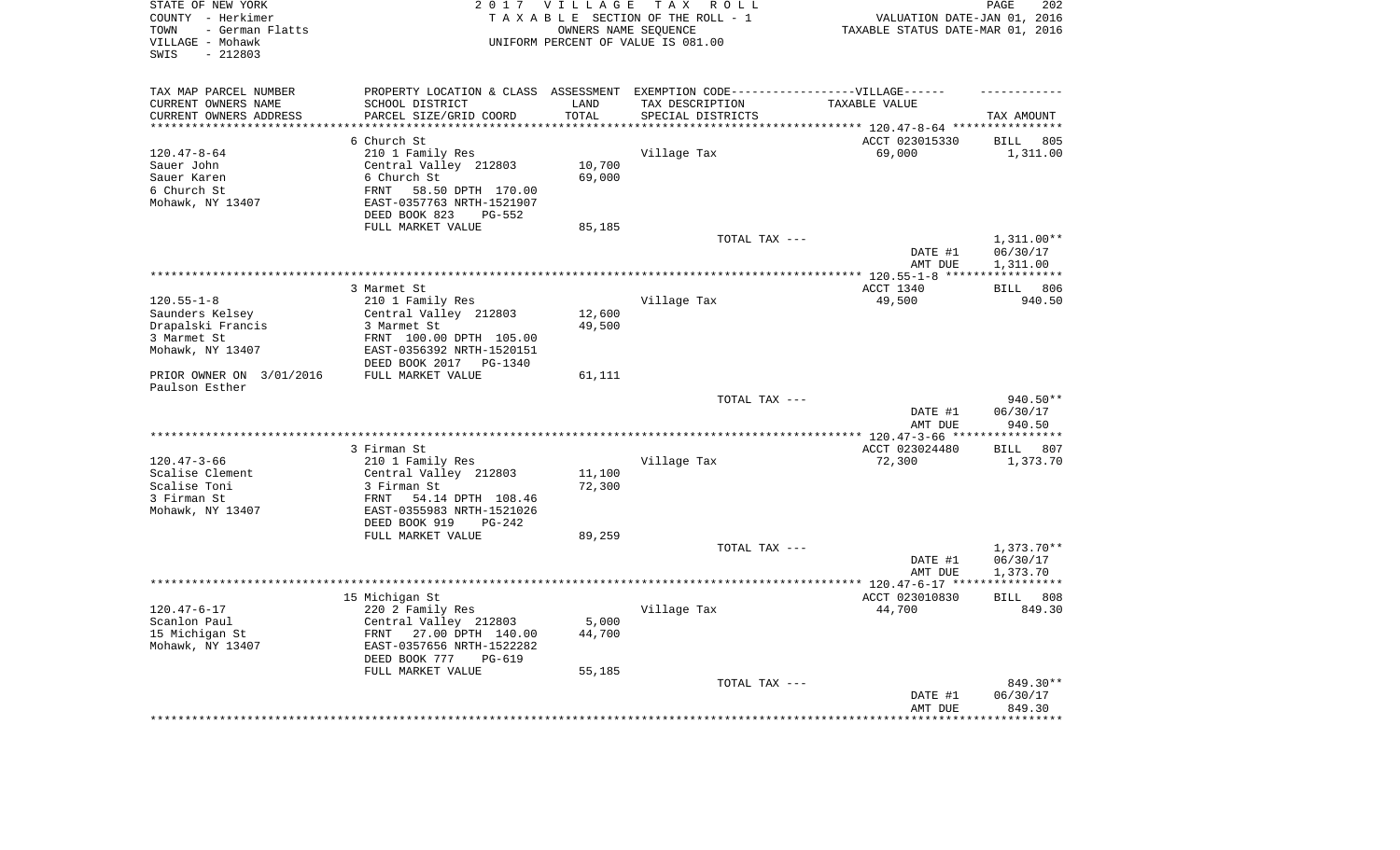| TAX MAP PARCEL NUMBER<br>PROPERTY LOCATION & CLASS ASSESSMENT EXEMPTION CODE-----------------VILLAGE------<br>SCHOOL DISTRICT<br>CURRENT OWNERS NAME<br>LAND<br>TAX DESCRIPTION<br>TAXABLE VALUE<br>PARCEL SIZE/GRID COORD<br>TOTAL<br>CURRENT OWNERS ADDRESS<br>SPECIAL DISTRICTS<br>TAX AMOUNT<br>*********************<br>**************************<br>**********<br>6 Church St<br>ACCT 023015330<br><b>BILL</b><br>805<br>$120.47 - 8 - 64$<br>210 1 Family Res<br>Village Tax<br>69,000<br>1,311.00<br>10,700<br>Sauer John<br>Central Valley 212803<br>Sauer Karen<br>6 Church St<br>69,000<br>6 Church St<br>58.50 DPTH 170.00<br>FRNT<br>Mohawk, NY 13407<br>EAST-0357763 NRTH-1521907<br>DEED BOOK 823<br>$PG-552$<br>FULL MARKET VALUE<br>85,185<br>TOTAL TAX ---<br>1,311.00**<br>DATE #1<br>06/30/17<br>1,311.00<br>AMT DUE<br>************ 120.55-1-8 *****<br>***********<br>3 Marmet St<br>ACCT 1340<br>806<br><b>BILL</b><br>$120.55 - 1 - 8$<br>49,500<br>210 1 Family Res<br>Village Tax<br>940.50<br>Saunders Kelsey<br>Central Valley 212803<br>12,600<br>Drapalski Francis<br>49,500<br>3 Marmet St<br>3 Marmet St<br>FRNT 100.00 DPTH 105.00<br>Mohawk, NY 13407<br>EAST-0356392 NRTH-1520151<br>DEED BOOK 2017 PG-1340<br>PRIOR OWNER ON 3/01/2016<br>FULL MARKET VALUE<br>61,111<br>Paulson Esther<br>940.50**<br>TOTAL TAX ---<br>DATE #1<br>06/30/17<br>AMT DUE<br>940.50<br>* * * * * * * * * *<br>ACCT 023024480<br>3 Firman St<br><b>BILL</b><br>807<br>$120.47 - 3 - 66$<br>210 1 Family Res<br>Village Tax<br>72,300<br>1,373.70<br>Scalise Clement<br>Central Valley 212803<br>11,100<br>Scalise Toni<br>72,300<br>3 Firman St<br>3 Firman St<br>54.14 DPTH 108.46<br>FRNT<br>Mohawk, NY 13407<br>EAST-0355983 NRTH-1521026<br>DEED BOOK 919<br>$PG-242$<br>FULL MARKET VALUE<br>89,259<br>TOTAL TAX ---<br>1,373.70**<br>06/30/17<br>DATE #1<br>1,373.70<br>AMT DUE<br>***********************<br>** 120.47-6-17 **<br>**********<br>15 Michigan St<br>808<br>ACCT 023010830<br><b>BILL</b><br>$120.47 - 6 - 17$<br>220 2 Family Res<br>Village Tax<br>44,700<br>849.30<br>Scanlon Paul<br>5,000<br>Central Valley 212803<br>44,700<br>15 Michigan St<br>FRNT<br>27.00 DPTH 140.00<br>Mohawk, NY 13407<br>EAST-0357656 NRTH-1522282<br>DEED BOOK 777<br>PG-619<br>FULL MARKET VALUE<br>55,185<br>849.30**<br>TOTAL TAX ---<br>DATE #1<br>06/30/17<br>AMT DUE<br>849.30<br>******** | STATE OF NEW YORK<br>COUNTY - Herkimer<br>- German Flatts<br>TOWN<br>VILLAGE - Mohawk<br>$-212803$<br>SWIS | 2 0 1 7 | <b>VILLAGE</b><br>OWNERS NAME SEQUENCE | TAX ROLL<br>TAXABLE SECTION OF THE ROLL - 1<br>UNIFORM PERCENT OF VALUE IS 081.00 | VALUATION DATE-JAN 01, 2016<br>TAXABLE STATUS DATE-MAR 01, 2016 | 202<br>PAGE |
|-----------------------------------------------------------------------------------------------------------------------------------------------------------------------------------------------------------------------------------------------------------------------------------------------------------------------------------------------------------------------------------------------------------------------------------------------------------------------------------------------------------------------------------------------------------------------------------------------------------------------------------------------------------------------------------------------------------------------------------------------------------------------------------------------------------------------------------------------------------------------------------------------------------------------------------------------------------------------------------------------------------------------------------------------------------------------------------------------------------------------------------------------------------------------------------------------------------------------------------------------------------------------------------------------------------------------------------------------------------------------------------------------------------------------------------------------------------------------------------------------------------------------------------------------------------------------------------------------------------------------------------------------------------------------------------------------------------------------------------------------------------------------------------------------------------------------------------------------------------------------------------------------------------------------------------------------------------------------------------------------------------------------------------------------------------------------------------------------------------------------------------------------------------------------------------------------------------------------------------------------------------------------------------------------------------------------------------------------------------------------------------------------------------------------|------------------------------------------------------------------------------------------------------------|---------|----------------------------------------|-----------------------------------------------------------------------------------|-----------------------------------------------------------------|-------------|
|                                                                                                                                                                                                                                                                                                                                                                                                                                                                                                                                                                                                                                                                                                                                                                                                                                                                                                                                                                                                                                                                                                                                                                                                                                                                                                                                                                                                                                                                                                                                                                                                                                                                                                                                                                                                                                                                                                                                                                                                                                                                                                                                                                                                                                                                                                                                                                                                                       |                                                                                                            |         |                                        |                                                                                   |                                                                 |             |
|                                                                                                                                                                                                                                                                                                                                                                                                                                                                                                                                                                                                                                                                                                                                                                                                                                                                                                                                                                                                                                                                                                                                                                                                                                                                                                                                                                                                                                                                                                                                                                                                                                                                                                                                                                                                                                                                                                                                                                                                                                                                                                                                                                                                                                                                                                                                                                                                                       |                                                                                                            |         |                                        |                                                                                   |                                                                 |             |
|                                                                                                                                                                                                                                                                                                                                                                                                                                                                                                                                                                                                                                                                                                                                                                                                                                                                                                                                                                                                                                                                                                                                                                                                                                                                                                                                                                                                                                                                                                                                                                                                                                                                                                                                                                                                                                                                                                                                                                                                                                                                                                                                                                                                                                                                                                                                                                                                                       |                                                                                                            |         |                                        |                                                                                   |                                                                 |             |
|                                                                                                                                                                                                                                                                                                                                                                                                                                                                                                                                                                                                                                                                                                                                                                                                                                                                                                                                                                                                                                                                                                                                                                                                                                                                                                                                                                                                                                                                                                                                                                                                                                                                                                                                                                                                                                                                                                                                                                                                                                                                                                                                                                                                                                                                                                                                                                                                                       |                                                                                                            |         |                                        |                                                                                   |                                                                 |             |
|                                                                                                                                                                                                                                                                                                                                                                                                                                                                                                                                                                                                                                                                                                                                                                                                                                                                                                                                                                                                                                                                                                                                                                                                                                                                                                                                                                                                                                                                                                                                                                                                                                                                                                                                                                                                                                                                                                                                                                                                                                                                                                                                                                                                                                                                                                                                                                                                                       |                                                                                                            |         |                                        |                                                                                   |                                                                 |             |
|                                                                                                                                                                                                                                                                                                                                                                                                                                                                                                                                                                                                                                                                                                                                                                                                                                                                                                                                                                                                                                                                                                                                                                                                                                                                                                                                                                                                                                                                                                                                                                                                                                                                                                                                                                                                                                                                                                                                                                                                                                                                                                                                                                                                                                                                                                                                                                                                                       |                                                                                                            |         |                                        |                                                                                   |                                                                 |             |
|                                                                                                                                                                                                                                                                                                                                                                                                                                                                                                                                                                                                                                                                                                                                                                                                                                                                                                                                                                                                                                                                                                                                                                                                                                                                                                                                                                                                                                                                                                                                                                                                                                                                                                                                                                                                                                                                                                                                                                                                                                                                                                                                                                                                                                                                                                                                                                                                                       |                                                                                                            |         |                                        |                                                                                   |                                                                 |             |
|                                                                                                                                                                                                                                                                                                                                                                                                                                                                                                                                                                                                                                                                                                                                                                                                                                                                                                                                                                                                                                                                                                                                                                                                                                                                                                                                                                                                                                                                                                                                                                                                                                                                                                                                                                                                                                                                                                                                                                                                                                                                                                                                                                                                                                                                                                                                                                                                                       |                                                                                                            |         |                                        |                                                                                   |                                                                 |             |
|                                                                                                                                                                                                                                                                                                                                                                                                                                                                                                                                                                                                                                                                                                                                                                                                                                                                                                                                                                                                                                                                                                                                                                                                                                                                                                                                                                                                                                                                                                                                                                                                                                                                                                                                                                                                                                                                                                                                                                                                                                                                                                                                                                                                                                                                                                                                                                                                                       |                                                                                                            |         |                                        |                                                                                   |                                                                 |             |
|                                                                                                                                                                                                                                                                                                                                                                                                                                                                                                                                                                                                                                                                                                                                                                                                                                                                                                                                                                                                                                                                                                                                                                                                                                                                                                                                                                                                                                                                                                                                                                                                                                                                                                                                                                                                                                                                                                                                                                                                                                                                                                                                                                                                                                                                                                                                                                                                                       |                                                                                                            |         |                                        |                                                                                   |                                                                 |             |
|                                                                                                                                                                                                                                                                                                                                                                                                                                                                                                                                                                                                                                                                                                                                                                                                                                                                                                                                                                                                                                                                                                                                                                                                                                                                                                                                                                                                                                                                                                                                                                                                                                                                                                                                                                                                                                                                                                                                                                                                                                                                                                                                                                                                                                                                                                                                                                                                                       |                                                                                                            |         |                                        |                                                                                   |                                                                 |             |
|                                                                                                                                                                                                                                                                                                                                                                                                                                                                                                                                                                                                                                                                                                                                                                                                                                                                                                                                                                                                                                                                                                                                                                                                                                                                                                                                                                                                                                                                                                                                                                                                                                                                                                                                                                                                                                                                                                                                                                                                                                                                                                                                                                                                                                                                                                                                                                                                                       |                                                                                                            |         |                                        |                                                                                   |                                                                 |             |
|                                                                                                                                                                                                                                                                                                                                                                                                                                                                                                                                                                                                                                                                                                                                                                                                                                                                                                                                                                                                                                                                                                                                                                                                                                                                                                                                                                                                                                                                                                                                                                                                                                                                                                                                                                                                                                                                                                                                                                                                                                                                                                                                                                                                                                                                                                                                                                                                                       |                                                                                                            |         |                                        |                                                                                   |                                                                 |             |
|                                                                                                                                                                                                                                                                                                                                                                                                                                                                                                                                                                                                                                                                                                                                                                                                                                                                                                                                                                                                                                                                                                                                                                                                                                                                                                                                                                                                                                                                                                                                                                                                                                                                                                                                                                                                                                                                                                                                                                                                                                                                                                                                                                                                                                                                                                                                                                                                                       |                                                                                                            |         |                                        |                                                                                   |                                                                 |             |
|                                                                                                                                                                                                                                                                                                                                                                                                                                                                                                                                                                                                                                                                                                                                                                                                                                                                                                                                                                                                                                                                                                                                                                                                                                                                                                                                                                                                                                                                                                                                                                                                                                                                                                                                                                                                                                                                                                                                                                                                                                                                                                                                                                                                                                                                                                                                                                                                                       |                                                                                                            |         |                                        |                                                                                   |                                                                 |             |
|                                                                                                                                                                                                                                                                                                                                                                                                                                                                                                                                                                                                                                                                                                                                                                                                                                                                                                                                                                                                                                                                                                                                                                                                                                                                                                                                                                                                                                                                                                                                                                                                                                                                                                                                                                                                                                                                                                                                                                                                                                                                                                                                                                                                                                                                                                                                                                                                                       |                                                                                                            |         |                                        |                                                                                   |                                                                 |             |
|                                                                                                                                                                                                                                                                                                                                                                                                                                                                                                                                                                                                                                                                                                                                                                                                                                                                                                                                                                                                                                                                                                                                                                                                                                                                                                                                                                                                                                                                                                                                                                                                                                                                                                                                                                                                                                                                                                                                                                                                                                                                                                                                                                                                                                                                                                                                                                                                                       |                                                                                                            |         |                                        |                                                                                   |                                                                 |             |
|                                                                                                                                                                                                                                                                                                                                                                                                                                                                                                                                                                                                                                                                                                                                                                                                                                                                                                                                                                                                                                                                                                                                                                                                                                                                                                                                                                                                                                                                                                                                                                                                                                                                                                                                                                                                                                                                                                                                                                                                                                                                                                                                                                                                                                                                                                                                                                                                                       |                                                                                                            |         |                                        |                                                                                   |                                                                 |             |
|                                                                                                                                                                                                                                                                                                                                                                                                                                                                                                                                                                                                                                                                                                                                                                                                                                                                                                                                                                                                                                                                                                                                                                                                                                                                                                                                                                                                                                                                                                                                                                                                                                                                                                                                                                                                                                                                                                                                                                                                                                                                                                                                                                                                                                                                                                                                                                                                                       |                                                                                                            |         |                                        |                                                                                   |                                                                 |             |
|                                                                                                                                                                                                                                                                                                                                                                                                                                                                                                                                                                                                                                                                                                                                                                                                                                                                                                                                                                                                                                                                                                                                                                                                                                                                                                                                                                                                                                                                                                                                                                                                                                                                                                                                                                                                                                                                                                                                                                                                                                                                                                                                                                                                                                                                                                                                                                                                                       |                                                                                                            |         |                                        |                                                                                   |                                                                 |             |
|                                                                                                                                                                                                                                                                                                                                                                                                                                                                                                                                                                                                                                                                                                                                                                                                                                                                                                                                                                                                                                                                                                                                                                                                                                                                                                                                                                                                                                                                                                                                                                                                                                                                                                                                                                                                                                                                                                                                                                                                                                                                                                                                                                                                                                                                                                                                                                                                                       |                                                                                                            |         |                                        |                                                                                   |                                                                 |             |
|                                                                                                                                                                                                                                                                                                                                                                                                                                                                                                                                                                                                                                                                                                                                                                                                                                                                                                                                                                                                                                                                                                                                                                                                                                                                                                                                                                                                                                                                                                                                                                                                                                                                                                                                                                                                                                                                                                                                                                                                                                                                                                                                                                                                                                                                                                                                                                                                                       |                                                                                                            |         |                                        |                                                                                   |                                                                 |             |
|                                                                                                                                                                                                                                                                                                                                                                                                                                                                                                                                                                                                                                                                                                                                                                                                                                                                                                                                                                                                                                                                                                                                                                                                                                                                                                                                                                                                                                                                                                                                                                                                                                                                                                                                                                                                                                                                                                                                                                                                                                                                                                                                                                                                                                                                                                                                                                                                                       |                                                                                                            |         |                                        |                                                                                   |                                                                 |             |
|                                                                                                                                                                                                                                                                                                                                                                                                                                                                                                                                                                                                                                                                                                                                                                                                                                                                                                                                                                                                                                                                                                                                                                                                                                                                                                                                                                                                                                                                                                                                                                                                                                                                                                                                                                                                                                                                                                                                                                                                                                                                                                                                                                                                                                                                                                                                                                                                                       |                                                                                                            |         |                                        |                                                                                   |                                                                 |             |
|                                                                                                                                                                                                                                                                                                                                                                                                                                                                                                                                                                                                                                                                                                                                                                                                                                                                                                                                                                                                                                                                                                                                                                                                                                                                                                                                                                                                                                                                                                                                                                                                                                                                                                                                                                                                                                                                                                                                                                                                                                                                                                                                                                                                                                                                                                                                                                                                                       |                                                                                                            |         |                                        |                                                                                   |                                                                 |             |
|                                                                                                                                                                                                                                                                                                                                                                                                                                                                                                                                                                                                                                                                                                                                                                                                                                                                                                                                                                                                                                                                                                                                                                                                                                                                                                                                                                                                                                                                                                                                                                                                                                                                                                                                                                                                                                                                                                                                                                                                                                                                                                                                                                                                                                                                                                                                                                                                                       |                                                                                                            |         |                                        |                                                                                   |                                                                 |             |
|                                                                                                                                                                                                                                                                                                                                                                                                                                                                                                                                                                                                                                                                                                                                                                                                                                                                                                                                                                                                                                                                                                                                                                                                                                                                                                                                                                                                                                                                                                                                                                                                                                                                                                                                                                                                                                                                                                                                                                                                                                                                                                                                                                                                                                                                                                                                                                                                                       |                                                                                                            |         |                                        |                                                                                   |                                                                 |             |
|                                                                                                                                                                                                                                                                                                                                                                                                                                                                                                                                                                                                                                                                                                                                                                                                                                                                                                                                                                                                                                                                                                                                                                                                                                                                                                                                                                                                                                                                                                                                                                                                                                                                                                                                                                                                                                                                                                                                                                                                                                                                                                                                                                                                                                                                                                                                                                                                                       |                                                                                                            |         |                                        |                                                                                   |                                                                 |             |
|                                                                                                                                                                                                                                                                                                                                                                                                                                                                                                                                                                                                                                                                                                                                                                                                                                                                                                                                                                                                                                                                                                                                                                                                                                                                                                                                                                                                                                                                                                                                                                                                                                                                                                                                                                                                                                                                                                                                                                                                                                                                                                                                                                                                                                                                                                                                                                                                                       |                                                                                                            |         |                                        |                                                                                   |                                                                 |             |
|                                                                                                                                                                                                                                                                                                                                                                                                                                                                                                                                                                                                                                                                                                                                                                                                                                                                                                                                                                                                                                                                                                                                                                                                                                                                                                                                                                                                                                                                                                                                                                                                                                                                                                                                                                                                                                                                                                                                                                                                                                                                                                                                                                                                                                                                                                                                                                                                                       |                                                                                                            |         |                                        |                                                                                   |                                                                 |             |
|                                                                                                                                                                                                                                                                                                                                                                                                                                                                                                                                                                                                                                                                                                                                                                                                                                                                                                                                                                                                                                                                                                                                                                                                                                                                                                                                                                                                                                                                                                                                                                                                                                                                                                                                                                                                                                                                                                                                                                                                                                                                                                                                                                                                                                                                                                                                                                                                                       |                                                                                                            |         |                                        |                                                                                   |                                                                 |             |
|                                                                                                                                                                                                                                                                                                                                                                                                                                                                                                                                                                                                                                                                                                                                                                                                                                                                                                                                                                                                                                                                                                                                                                                                                                                                                                                                                                                                                                                                                                                                                                                                                                                                                                                                                                                                                                                                                                                                                                                                                                                                                                                                                                                                                                                                                                                                                                                                                       |                                                                                                            |         |                                        |                                                                                   |                                                                 |             |
|                                                                                                                                                                                                                                                                                                                                                                                                                                                                                                                                                                                                                                                                                                                                                                                                                                                                                                                                                                                                                                                                                                                                                                                                                                                                                                                                                                                                                                                                                                                                                                                                                                                                                                                                                                                                                                                                                                                                                                                                                                                                                                                                                                                                                                                                                                                                                                                                                       |                                                                                                            |         |                                        |                                                                                   |                                                                 |             |
|                                                                                                                                                                                                                                                                                                                                                                                                                                                                                                                                                                                                                                                                                                                                                                                                                                                                                                                                                                                                                                                                                                                                                                                                                                                                                                                                                                                                                                                                                                                                                                                                                                                                                                                                                                                                                                                                                                                                                                                                                                                                                                                                                                                                                                                                                                                                                                                                                       |                                                                                                            |         |                                        |                                                                                   |                                                                 |             |
|                                                                                                                                                                                                                                                                                                                                                                                                                                                                                                                                                                                                                                                                                                                                                                                                                                                                                                                                                                                                                                                                                                                                                                                                                                                                                                                                                                                                                                                                                                                                                                                                                                                                                                                                                                                                                                                                                                                                                                                                                                                                                                                                                                                                                                                                                                                                                                                                                       |                                                                                                            |         |                                        |                                                                                   |                                                                 |             |
|                                                                                                                                                                                                                                                                                                                                                                                                                                                                                                                                                                                                                                                                                                                                                                                                                                                                                                                                                                                                                                                                                                                                                                                                                                                                                                                                                                                                                                                                                                                                                                                                                                                                                                                                                                                                                                                                                                                                                                                                                                                                                                                                                                                                                                                                                                                                                                                                                       |                                                                                                            |         |                                        |                                                                                   |                                                                 |             |
|                                                                                                                                                                                                                                                                                                                                                                                                                                                                                                                                                                                                                                                                                                                                                                                                                                                                                                                                                                                                                                                                                                                                                                                                                                                                                                                                                                                                                                                                                                                                                                                                                                                                                                                                                                                                                                                                                                                                                                                                                                                                                                                                                                                                                                                                                                                                                                                                                       |                                                                                                            |         |                                        |                                                                                   |                                                                 |             |
|                                                                                                                                                                                                                                                                                                                                                                                                                                                                                                                                                                                                                                                                                                                                                                                                                                                                                                                                                                                                                                                                                                                                                                                                                                                                                                                                                                                                                                                                                                                                                                                                                                                                                                                                                                                                                                                                                                                                                                                                                                                                                                                                                                                                                                                                                                                                                                                                                       |                                                                                                            |         |                                        |                                                                                   |                                                                 |             |
|                                                                                                                                                                                                                                                                                                                                                                                                                                                                                                                                                                                                                                                                                                                                                                                                                                                                                                                                                                                                                                                                                                                                                                                                                                                                                                                                                                                                                                                                                                                                                                                                                                                                                                                                                                                                                                                                                                                                                                                                                                                                                                                                                                                                                                                                                                                                                                                                                       |                                                                                                            |         |                                        |                                                                                   |                                                                 |             |
|                                                                                                                                                                                                                                                                                                                                                                                                                                                                                                                                                                                                                                                                                                                                                                                                                                                                                                                                                                                                                                                                                                                                                                                                                                                                                                                                                                                                                                                                                                                                                                                                                                                                                                                                                                                                                                                                                                                                                                                                                                                                                                                                                                                                                                                                                                                                                                                                                       |                                                                                                            |         |                                        |                                                                                   |                                                                 |             |
|                                                                                                                                                                                                                                                                                                                                                                                                                                                                                                                                                                                                                                                                                                                                                                                                                                                                                                                                                                                                                                                                                                                                                                                                                                                                                                                                                                                                                                                                                                                                                                                                                                                                                                                                                                                                                                                                                                                                                                                                                                                                                                                                                                                                                                                                                                                                                                                                                       |                                                                                                            |         |                                        |                                                                                   |                                                                 |             |
|                                                                                                                                                                                                                                                                                                                                                                                                                                                                                                                                                                                                                                                                                                                                                                                                                                                                                                                                                                                                                                                                                                                                                                                                                                                                                                                                                                                                                                                                                                                                                                                                                                                                                                                                                                                                                                                                                                                                                                                                                                                                                                                                                                                                                                                                                                                                                                                                                       |                                                                                                            |         |                                        |                                                                                   |                                                                 |             |
|                                                                                                                                                                                                                                                                                                                                                                                                                                                                                                                                                                                                                                                                                                                                                                                                                                                                                                                                                                                                                                                                                                                                                                                                                                                                                                                                                                                                                                                                                                                                                                                                                                                                                                                                                                                                                                                                                                                                                                                                                                                                                                                                                                                                                                                                                                                                                                                                                       |                                                                                                            |         |                                        |                                                                                   |                                                                 |             |
|                                                                                                                                                                                                                                                                                                                                                                                                                                                                                                                                                                                                                                                                                                                                                                                                                                                                                                                                                                                                                                                                                                                                                                                                                                                                                                                                                                                                                                                                                                                                                                                                                                                                                                                                                                                                                                                                                                                                                                                                                                                                                                                                                                                                                                                                                                                                                                                                                       |                                                                                                            |         |                                        |                                                                                   |                                                                 |             |
|                                                                                                                                                                                                                                                                                                                                                                                                                                                                                                                                                                                                                                                                                                                                                                                                                                                                                                                                                                                                                                                                                                                                                                                                                                                                                                                                                                                                                                                                                                                                                                                                                                                                                                                                                                                                                                                                                                                                                                                                                                                                                                                                                                                                                                                                                                                                                                                                                       |                                                                                                            |         |                                        |                                                                                   |                                                                 |             |
|                                                                                                                                                                                                                                                                                                                                                                                                                                                                                                                                                                                                                                                                                                                                                                                                                                                                                                                                                                                                                                                                                                                                                                                                                                                                                                                                                                                                                                                                                                                                                                                                                                                                                                                                                                                                                                                                                                                                                                                                                                                                                                                                                                                                                                                                                                                                                                                                                       |                                                                                                            |         |                                        |                                                                                   |                                                                 |             |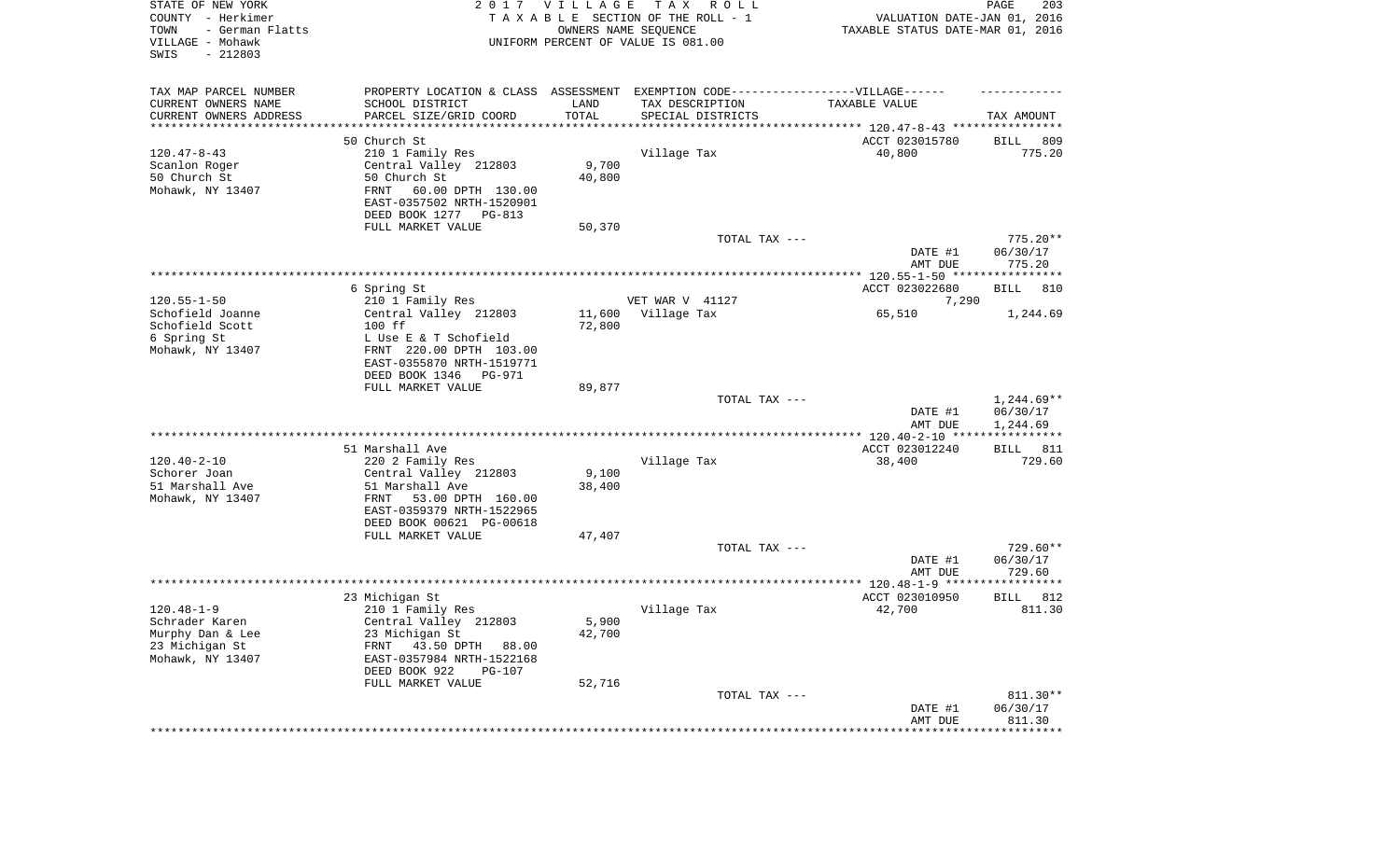| STATE OF NEW YORK<br>COUNTY - Herkimer<br>- German Flatts<br>TOWN<br>VILLAGE - Mohawk<br>SWIS<br>$-212803$ |                                                                                  | 2017 VILLAGE | T A X<br>R O L L<br>TAXABLE SECTION OF THE ROLL - 1<br>OWNERS NAME SEQUENCE<br>UNIFORM PERCENT OF VALUE IS 081.00 | VALUATION DATE-JAN 01, 2016<br>TAXABLE STATUS DATE-MAR 01, 2016      | PAGE<br>203              |
|------------------------------------------------------------------------------------------------------------|----------------------------------------------------------------------------------|--------------|-------------------------------------------------------------------------------------------------------------------|----------------------------------------------------------------------|--------------------------|
| TAX MAP PARCEL NUMBER                                                                                      | PROPERTY LOCATION & CLASS ASSESSMENT EXEMPTION CODE----------------VILLAGE------ |              |                                                                                                                   |                                                                      |                          |
| CURRENT OWNERS NAME                                                                                        | SCHOOL DISTRICT                                                                  | LAND         | TAX DESCRIPTION                                                                                                   | TAXABLE VALUE                                                        |                          |
| CURRENT OWNERS ADDRESS<br>********************                                                             | PARCEL SIZE/GRID COORD                                                           | TOTAL        | SPECIAL DISTRICTS                                                                                                 | ************************************** 120.47-8-43 ***************** | TAX AMOUNT               |
|                                                                                                            | 50 Church St                                                                     |              |                                                                                                                   | ACCT 023015780                                                       | 809<br>BILL              |
| $120.47 - 8 - 43$                                                                                          | 210 1 Family Res                                                                 |              | Village Tax                                                                                                       | 40,800                                                               | 775.20                   |
| Scanlon Roger                                                                                              | Central Valley 212803                                                            | 9,700        |                                                                                                                   |                                                                      |                          |
| 50 Church St                                                                                               | 50 Church St                                                                     | 40,800       |                                                                                                                   |                                                                      |                          |
| Mohawk, NY 13407                                                                                           | FRNT<br>60.00 DPTH 130.00                                                        |              |                                                                                                                   |                                                                      |                          |
|                                                                                                            | EAST-0357502 NRTH-1520901<br>DEED BOOK 1277<br>PG-813                            |              |                                                                                                                   |                                                                      |                          |
|                                                                                                            | FULL MARKET VALUE                                                                | 50,370       |                                                                                                                   |                                                                      |                          |
|                                                                                                            |                                                                                  |              | TOTAL TAX ---                                                                                                     |                                                                      | $775.20**$               |
|                                                                                                            |                                                                                  |              |                                                                                                                   | DATE #1                                                              | 06/30/17                 |
|                                                                                                            |                                                                                  |              |                                                                                                                   | AMT DUE                                                              | 775.20                   |
|                                                                                                            | 6 Spring St                                                                      |              |                                                                                                                   | ACCT 023022680                                                       | BILL<br>810              |
| $120.55 - 1 - 50$                                                                                          | 210 1 Family Res                                                                 |              | VET WAR V 41127                                                                                                   | 7,290                                                                |                          |
| Schofield Joanne                                                                                           | Central Valley 212803                                                            | 11,600       | Village Tax                                                                                                       | 65,510                                                               | 1,244.69                 |
| Schofield Scott                                                                                            | 100 ff                                                                           | 72,800       |                                                                                                                   |                                                                      |                          |
| 6 Spring St                                                                                                | L Use E & T Schofield                                                            |              |                                                                                                                   |                                                                      |                          |
| Mohawk, NY 13407                                                                                           | FRNT 220.00 DPTH 103.00<br>EAST-0355870 NRTH-1519771                             |              |                                                                                                                   |                                                                      |                          |
|                                                                                                            | DEED BOOK 1346<br>PG-971                                                         |              |                                                                                                                   |                                                                      |                          |
|                                                                                                            | FULL MARKET VALUE                                                                | 89,877       |                                                                                                                   |                                                                      |                          |
|                                                                                                            |                                                                                  |              | TOTAL TAX ---                                                                                                     | DATE #1                                                              | $1,244.69**$<br>06/30/17 |
|                                                                                                            |                                                                                  |              |                                                                                                                   | AMT DUE                                                              | 1,244.69                 |
|                                                                                                            | 51 Marshall Ave                                                                  |              |                                                                                                                   | ************* 120.40-2-10 *****************<br>ACCT 023012240        | BILL<br>811              |
| $120.40 - 2 - 10$                                                                                          | 220 2 Family Res                                                                 |              | Village Tax                                                                                                       | 38,400                                                               | 729.60                   |
| Schorer Joan                                                                                               | Central Valley 212803                                                            | 9,100        |                                                                                                                   |                                                                      |                          |
| 51 Marshall Ave                                                                                            | 51 Marshall Ave                                                                  | 38,400       |                                                                                                                   |                                                                      |                          |
| Mohawk, NY 13407                                                                                           | FRNT<br>53.00 DPTH 160.00                                                        |              |                                                                                                                   |                                                                      |                          |
|                                                                                                            | EAST-0359379 NRTH-1522965                                                        |              |                                                                                                                   |                                                                      |                          |
|                                                                                                            | DEED BOOK 00621 PG-00618<br>FULL MARKET VALUE                                    | 47,407       |                                                                                                                   |                                                                      |                          |
|                                                                                                            |                                                                                  |              | TOTAL TAX ---                                                                                                     |                                                                      | 729.60**                 |
|                                                                                                            |                                                                                  |              |                                                                                                                   | DATE #1                                                              | 06/30/17                 |
|                                                                                                            |                                                                                  |              |                                                                                                                   | AMT DUE                                                              | 729.60                   |
|                                                                                                            |                                                                                  |              |                                                                                                                   |                                                                      |                          |
| $120.48 - 1 - 9$                                                                                           | 23 Michigan St                                                                   |              | Village Tax                                                                                                       | ACCT 023010950<br>42,700                                             | 812<br>BILL<br>811.30    |
| Schrader Karen                                                                                             | 210 1 Family Res<br>Central Valley 212803                                        | 5,900        |                                                                                                                   |                                                                      |                          |
| Murphy Dan & Lee                                                                                           | 23 Michigan St                                                                   | 42,700       |                                                                                                                   |                                                                      |                          |
| 23 Michigan St                                                                                             | FRNT<br>43.50 DPTH<br>88.00                                                      |              |                                                                                                                   |                                                                      |                          |
| Mohawk, NY 13407                                                                                           | EAST-0357984 NRTH-1522168                                                        |              |                                                                                                                   |                                                                      |                          |
|                                                                                                            | DEED BOOK 922<br>PG-107                                                          |              |                                                                                                                   |                                                                      |                          |
|                                                                                                            | FULL MARKET VALUE                                                                | 52,716       | TOTAL TAX ---                                                                                                     |                                                                      | 811.30**                 |
|                                                                                                            |                                                                                  |              |                                                                                                                   | DATE #1                                                              | 06/30/17                 |
|                                                                                                            |                                                                                  |              |                                                                                                                   | AMT DUE                                                              | 811.30                   |
|                                                                                                            |                                                                                  |              | ******************************                                                                                    | ******************                                                   | **************           |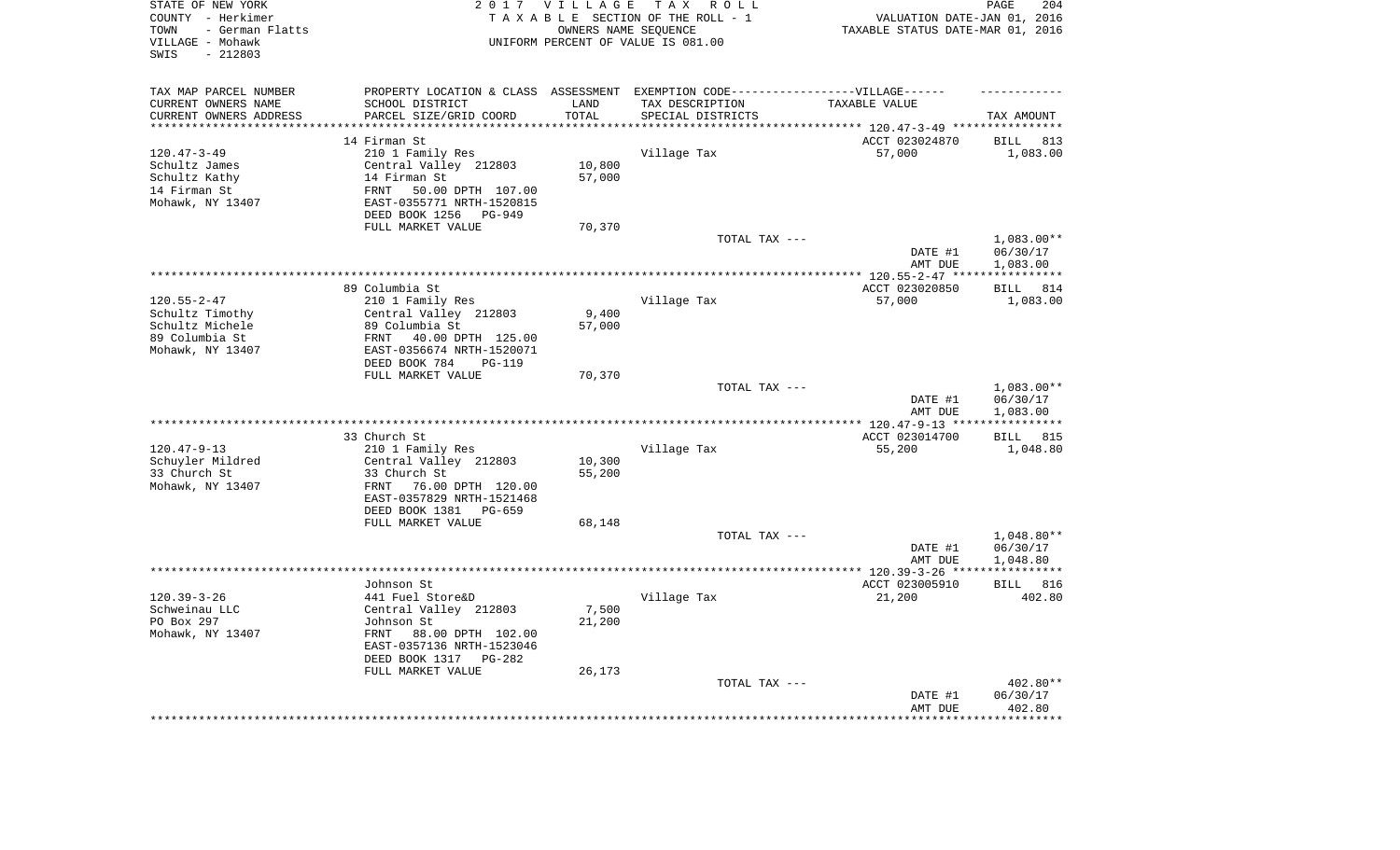| STATE OF NEW YORK<br>COUNTY - Herkimer<br>- German Flatts<br>TOWN<br>VILLAGE - Mohawk<br>$-212803$<br>SWIS |                                                                                   | 2017 VILLAGE       | TAX ROLL<br>TAXABLE SECTION OF THE ROLL - 1<br>OWNERS NAME SEQUENCE<br>UNIFORM PERCENT OF VALUE IS 081.00 | VALUATION DATE-JAN 01, 2016<br>TAXABLE STATUS DATE-MAR 01, 2016 | 204<br>PAGE              |
|------------------------------------------------------------------------------------------------------------|-----------------------------------------------------------------------------------|--------------------|-----------------------------------------------------------------------------------------------------------|-----------------------------------------------------------------|--------------------------|
| TAX MAP PARCEL NUMBER                                                                                      | PROPERTY LOCATION & CLASS ASSESSMENT EXEMPTION CODE-----------------VILLAGE------ |                    |                                                                                                           |                                                                 |                          |
| CURRENT OWNERS NAME                                                                                        | SCHOOL DISTRICT                                                                   | LAND               | TAX DESCRIPTION                                                                                           | TAXABLE VALUE                                                   |                          |
| CURRENT OWNERS ADDRESS<br>********************                                                             | PARCEL SIZE/GRID COORD<br>**************************                              | TOTAL<br>********* | SPECIAL DISTRICTS                                                                                         |                                                                 | TAX AMOUNT               |
|                                                                                                            | 14 Firman St                                                                      |                    |                                                                                                           | ACCT 023024870                                                  | <b>BILL</b><br>813       |
| $120.47 - 3 - 49$                                                                                          | 210 1 Family Res                                                                  |                    | Village Tax                                                                                               | 57,000                                                          | 1,083.00                 |
| Schultz James                                                                                              | Central Valley 212803                                                             | 10,800             |                                                                                                           |                                                                 |                          |
| Schultz Kathy                                                                                              | 14 Firman St                                                                      | 57,000             |                                                                                                           |                                                                 |                          |
| 14 Firman St                                                                                               | 50.00 DPTH 107.00<br>FRNT                                                         |                    |                                                                                                           |                                                                 |                          |
| Mohawk, NY 13407                                                                                           | EAST-0355771 NRTH-1520815                                                         |                    |                                                                                                           |                                                                 |                          |
|                                                                                                            | DEED BOOK 1256<br>PG-949                                                          |                    |                                                                                                           |                                                                 |                          |
|                                                                                                            | FULL MARKET VALUE                                                                 | 70,370             |                                                                                                           |                                                                 |                          |
|                                                                                                            |                                                                                   |                    | TOTAL TAX ---                                                                                             |                                                                 | $1,083.00**$             |
|                                                                                                            |                                                                                   |                    |                                                                                                           | DATE #1                                                         | 06/30/17                 |
|                                                                                                            |                                                                                   |                    |                                                                                                           | AMT DUE                                                         | 1,083.00                 |
|                                                                                                            |                                                                                   |                    | **************************************                                                                    | *** 120.55-2-47 ****                                            | * * * * * * * * * * *    |
|                                                                                                            | 89 Columbia St                                                                    |                    |                                                                                                           | ACCT 023020850                                                  | <b>BILL</b><br>814       |
| $120.55 - 2 - 47$<br>Schultz Timothy                                                                       | 210 1 Family Res<br>Central Valley 212803                                         | 9,400              | Village Tax                                                                                               | 57,000                                                          | 1,083.00                 |
| Schultz Michele                                                                                            | 89 Columbia St                                                                    | 57,000             |                                                                                                           |                                                                 |                          |
| 89 Columbia St                                                                                             | FRNT<br>40.00 DPTH 125.00                                                         |                    |                                                                                                           |                                                                 |                          |
| Mohawk, NY 13407                                                                                           | EAST-0356674 NRTH-1520071                                                         |                    |                                                                                                           |                                                                 |                          |
|                                                                                                            | DEED BOOK 784<br><b>PG-119</b>                                                    |                    |                                                                                                           |                                                                 |                          |
|                                                                                                            | FULL MARKET VALUE                                                                 | 70,370             |                                                                                                           |                                                                 |                          |
|                                                                                                            |                                                                                   |                    | TOTAL TAX ---                                                                                             |                                                                 | 1,083.00**               |
|                                                                                                            |                                                                                   |                    |                                                                                                           | DATE #1                                                         | 06/30/17                 |
|                                                                                                            |                                                                                   |                    | *********************                                                                                     | AMT DUE                                                         | 1,083.00                 |
|                                                                                                            | 33 Church St                                                                      |                    |                                                                                                           | *** 120.47-9-13 **<br>ACCT 023014700                            | 815<br><b>BILL</b>       |
| $120.47 - 9 - 13$                                                                                          | 210 1 Family Res                                                                  |                    | Village Tax                                                                                               | 55,200                                                          | 1,048.80                 |
| Schuyler Mildred                                                                                           | Central Valley 212803                                                             | 10,300             |                                                                                                           |                                                                 |                          |
| 33 Church St                                                                                               | 33 Church St                                                                      | 55,200             |                                                                                                           |                                                                 |                          |
| Mohawk, NY 13407                                                                                           | FRNT<br>76.00 DPTH 120.00                                                         |                    |                                                                                                           |                                                                 |                          |
|                                                                                                            | EAST-0357829 NRTH-1521468                                                         |                    |                                                                                                           |                                                                 |                          |
|                                                                                                            | DEED BOOK 1381<br>PG-659                                                          |                    |                                                                                                           |                                                                 |                          |
|                                                                                                            | FULL MARKET VALUE                                                                 | 68,148             |                                                                                                           |                                                                 |                          |
|                                                                                                            |                                                                                   |                    | TOTAL TAX ---                                                                                             |                                                                 | $1,048.80**$             |
|                                                                                                            |                                                                                   |                    |                                                                                                           | DATE #1                                                         | 06/30/17                 |
|                                                                                                            |                                                                                   |                    |                                                                                                           | AMT DUE                                                         | 1,048.80<br>************ |
|                                                                                                            | Johnson St                                                                        |                    |                                                                                                           | **************** 120.39-3-26 ****<br>ACCT 023005910             | BILL 816                 |
| $120.39 - 3 - 26$                                                                                          | 441 Fuel Store&D                                                                  |                    | Village Tax                                                                                               | 21,200                                                          | 402.80                   |
| Schweinau LLC                                                                                              | Central Valley 212803                                                             | 7,500              |                                                                                                           |                                                                 |                          |
| PO Box 297                                                                                                 | Johnson St                                                                        | 21,200             |                                                                                                           |                                                                 |                          |
| Mohawk, NY 13407                                                                                           | FRNT<br>88.00 DPTH 102.00                                                         |                    |                                                                                                           |                                                                 |                          |
|                                                                                                            | EAST-0357136 NRTH-1523046                                                         |                    |                                                                                                           |                                                                 |                          |
|                                                                                                            | DEED BOOK 1317<br>$PG-282$                                                        |                    |                                                                                                           |                                                                 |                          |
|                                                                                                            | FULL MARKET VALUE                                                                 | 26,173             |                                                                                                           |                                                                 |                          |
|                                                                                                            |                                                                                   |                    | TOTAL TAX ---                                                                                             |                                                                 | 402.80**                 |
|                                                                                                            |                                                                                   |                    |                                                                                                           | DATE #1<br>AMT DUE                                              | 06/30/17<br>402.80       |
|                                                                                                            |                                                                                   |                    |                                                                                                           |                                                                 | ********                 |
|                                                                                                            |                                                                                   |                    |                                                                                                           |                                                                 |                          |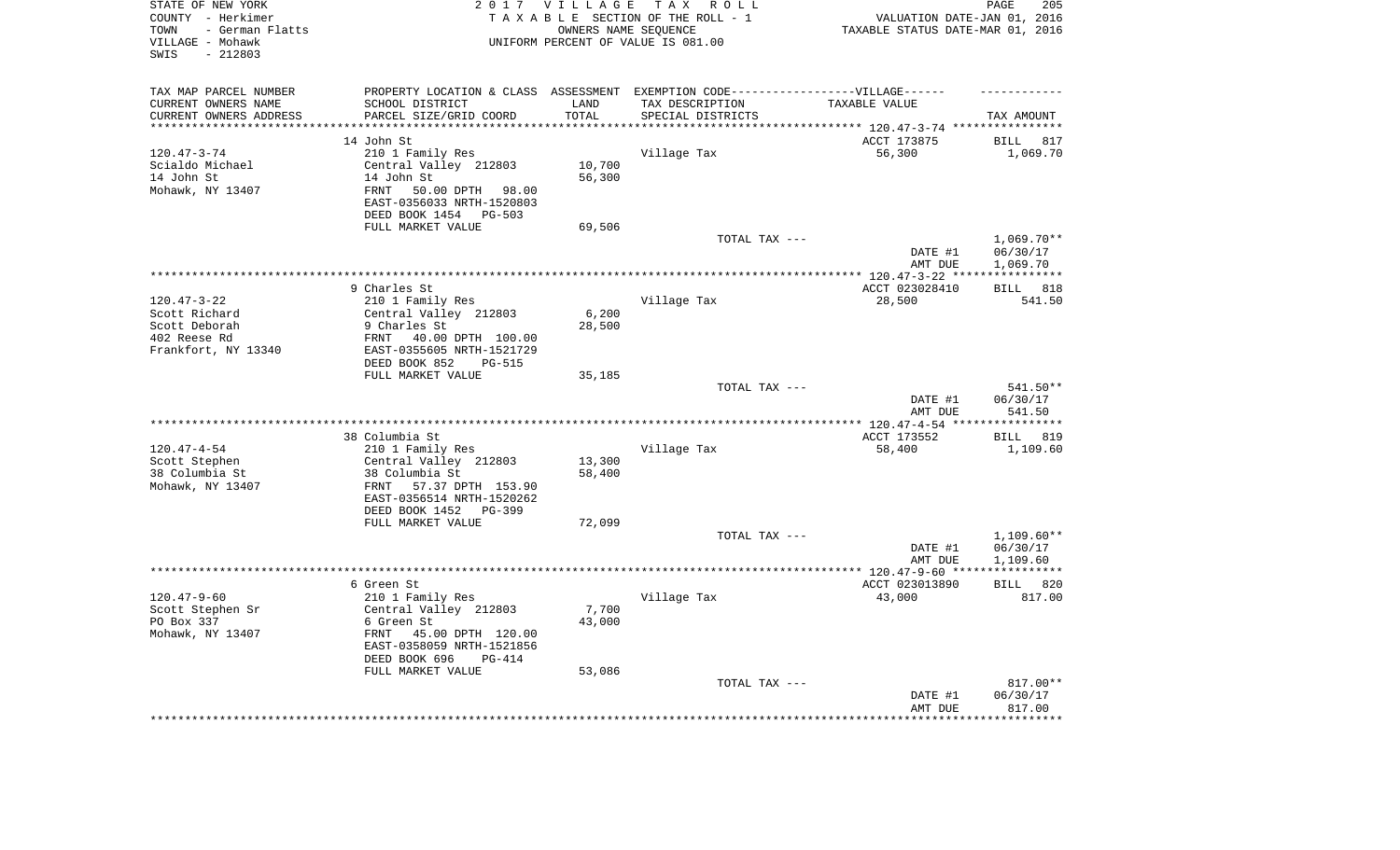| STATE OF NEW YORK<br>COUNTY - Herkimer<br>- German Flatts<br>TOWN<br>VILLAGE - Mohawk<br>$-212803$<br>SWIS |                                                                                   | 2017 VILLAGE       | TAX ROLL<br>TAXABLE SECTION OF THE ROLL - 1<br>OWNERS NAME SEQUENCE<br>UNIFORM PERCENT OF VALUE IS 081.00 | VALUATION DATE-JAN 01, 2016<br>TAXABLE STATUS DATE-MAR 01, 2016 | 205<br>PAGE             |
|------------------------------------------------------------------------------------------------------------|-----------------------------------------------------------------------------------|--------------------|-----------------------------------------------------------------------------------------------------------|-----------------------------------------------------------------|-------------------------|
| TAX MAP PARCEL NUMBER                                                                                      | PROPERTY LOCATION & CLASS ASSESSMENT EXEMPTION CODE-----------------VILLAGE------ |                    |                                                                                                           |                                                                 |                         |
| CURRENT OWNERS NAME                                                                                        | SCHOOL DISTRICT                                                                   | LAND               | TAX DESCRIPTION                                                                                           | TAXABLE VALUE                                                   |                         |
| CURRENT OWNERS ADDRESS<br>*********************                                                            | PARCEL SIZE/GRID COORD<br>**************************                              | TOTAL<br>********* | SPECIAL DISTRICTS                                                                                         |                                                                 | TAX AMOUNT              |
|                                                                                                            | 14 John St                                                                        |                    |                                                                                                           | ACCT 173875                                                     | <b>BILL</b><br>817      |
| $120.47 - 3 - 74$                                                                                          | 210 1 Family Res                                                                  |                    | Village Tax                                                                                               | 56,300                                                          | 1,069.70                |
| Scialdo Michael                                                                                            | Central Valley 212803                                                             | 10,700             |                                                                                                           |                                                                 |                         |
| 14 John St                                                                                                 | 14 John St                                                                        | 56,300             |                                                                                                           |                                                                 |                         |
| Mohawk, NY 13407                                                                                           | 50.00 DPTH<br>FRNT<br>98.00                                                       |                    |                                                                                                           |                                                                 |                         |
|                                                                                                            | EAST-0356033 NRTH-1520803                                                         |                    |                                                                                                           |                                                                 |                         |
|                                                                                                            | DEED BOOK 1454 PG-503                                                             |                    |                                                                                                           |                                                                 |                         |
|                                                                                                            | FULL MARKET VALUE                                                                 | 69,506             |                                                                                                           |                                                                 |                         |
|                                                                                                            |                                                                                   |                    | TOTAL TAX ---                                                                                             |                                                                 | $1,069.70**$            |
|                                                                                                            |                                                                                   |                    |                                                                                                           | DATE #1                                                         | 06/30/17                |
|                                                                                                            |                                                                                   |                    | **************************************                                                                    | AMT DUE<br>******* 120.47-3-22 ****                             | 1,069.70<br>*********** |
|                                                                                                            | 9 Charles St                                                                      |                    |                                                                                                           | ACCT 023028410                                                  | 818<br><b>BILL</b>      |
| $120.47 - 3 - 22$                                                                                          | 210 1 Family Res                                                                  |                    | Village Tax                                                                                               | 28,500                                                          | 541.50                  |
| Scott Richard                                                                                              | Central Valley 212803                                                             | 6,200              |                                                                                                           |                                                                 |                         |
| Scott Deborah                                                                                              | 9 Charles St                                                                      | 28,500             |                                                                                                           |                                                                 |                         |
| 402 Reese Rd                                                                                               | FRNT<br>40.00 DPTH 100.00                                                         |                    |                                                                                                           |                                                                 |                         |
| Frankfort, NY 13340                                                                                        | EAST-0355605 NRTH-1521729                                                         |                    |                                                                                                           |                                                                 |                         |
|                                                                                                            | DEED BOOK 852<br><b>PG-515</b>                                                    |                    |                                                                                                           |                                                                 |                         |
|                                                                                                            | FULL MARKET VALUE                                                                 | 35,185             | TOTAL TAX ---                                                                                             |                                                                 | 541.50**                |
|                                                                                                            |                                                                                   |                    |                                                                                                           | DATE #1                                                         | 06/30/17                |
|                                                                                                            |                                                                                   |                    |                                                                                                           | AMT DUE                                                         | 541.50                  |
|                                                                                                            |                                                                                   |                    | *********************                                                                                     | *** 120.47-4-54 **                                              | **********              |
|                                                                                                            | 38 Columbia St                                                                    |                    |                                                                                                           | ACCT 173552                                                     | 819<br><b>BILL</b>      |
| $120.47 - 4 - 54$                                                                                          | 210 1 Family Res                                                                  |                    | Village Tax                                                                                               | 58,400                                                          | 1,109.60                |
| Scott Stephen                                                                                              | Central Valley 212803                                                             | 13,300             |                                                                                                           |                                                                 |                         |
| 38 Columbia St                                                                                             | 38 Columbia St                                                                    | 58,400             |                                                                                                           |                                                                 |                         |
| Mohawk, NY 13407                                                                                           | FRNT<br>57.37 DPTH 153.90<br>EAST-0356514 NRTH-1520262                            |                    |                                                                                                           |                                                                 |                         |
|                                                                                                            | DEED BOOK 1452 PG-399                                                             |                    |                                                                                                           |                                                                 |                         |
|                                                                                                            | FULL MARKET VALUE                                                                 | 72,099             |                                                                                                           |                                                                 |                         |
|                                                                                                            |                                                                                   |                    | TOTAL TAX ---                                                                                             |                                                                 | $1,109.60**$            |
|                                                                                                            |                                                                                   |                    |                                                                                                           | DATE #1                                                         | 06/30/17                |
|                                                                                                            |                                                                                   |                    |                                                                                                           | AMT DUE                                                         | 1,109.60                |
|                                                                                                            |                                                                                   |                    |                                                                                                           | **************** 120.47-9-60 ****                               | ************            |
|                                                                                                            | 6 Green St                                                                        |                    |                                                                                                           | ACCT 023013890                                                  | BILL 820                |
| $120.47 - 9 - 60$<br>Scott Stephen Sr                                                                      | 210 1 Family Res<br>Central Valley 212803                                         | 7,700              | Village Tax                                                                                               | 43,000                                                          | 817.00                  |
| PO Box 337                                                                                                 | 6 Green St                                                                        | 43,000             |                                                                                                           |                                                                 |                         |
| Mohawk, NY 13407                                                                                           | FRNT<br>45.00 DPTH 120.00                                                         |                    |                                                                                                           |                                                                 |                         |
|                                                                                                            | EAST-0358059 NRTH-1521856                                                         |                    |                                                                                                           |                                                                 |                         |
|                                                                                                            | DEED BOOK 696<br>$PG-414$                                                         |                    |                                                                                                           |                                                                 |                         |
|                                                                                                            | FULL MARKET VALUE                                                                 | 53,086             |                                                                                                           |                                                                 |                         |
|                                                                                                            |                                                                                   |                    | TOTAL TAX ---                                                                                             |                                                                 | 817.00**                |
|                                                                                                            |                                                                                   |                    |                                                                                                           | DATE #1                                                         | 06/30/17                |
|                                                                                                            |                                                                                   |                    |                                                                                                           | AMT DUE                                                         | 817.00<br>*******       |
|                                                                                                            |                                                                                   |                    |                                                                                                           |                                                                 |                         |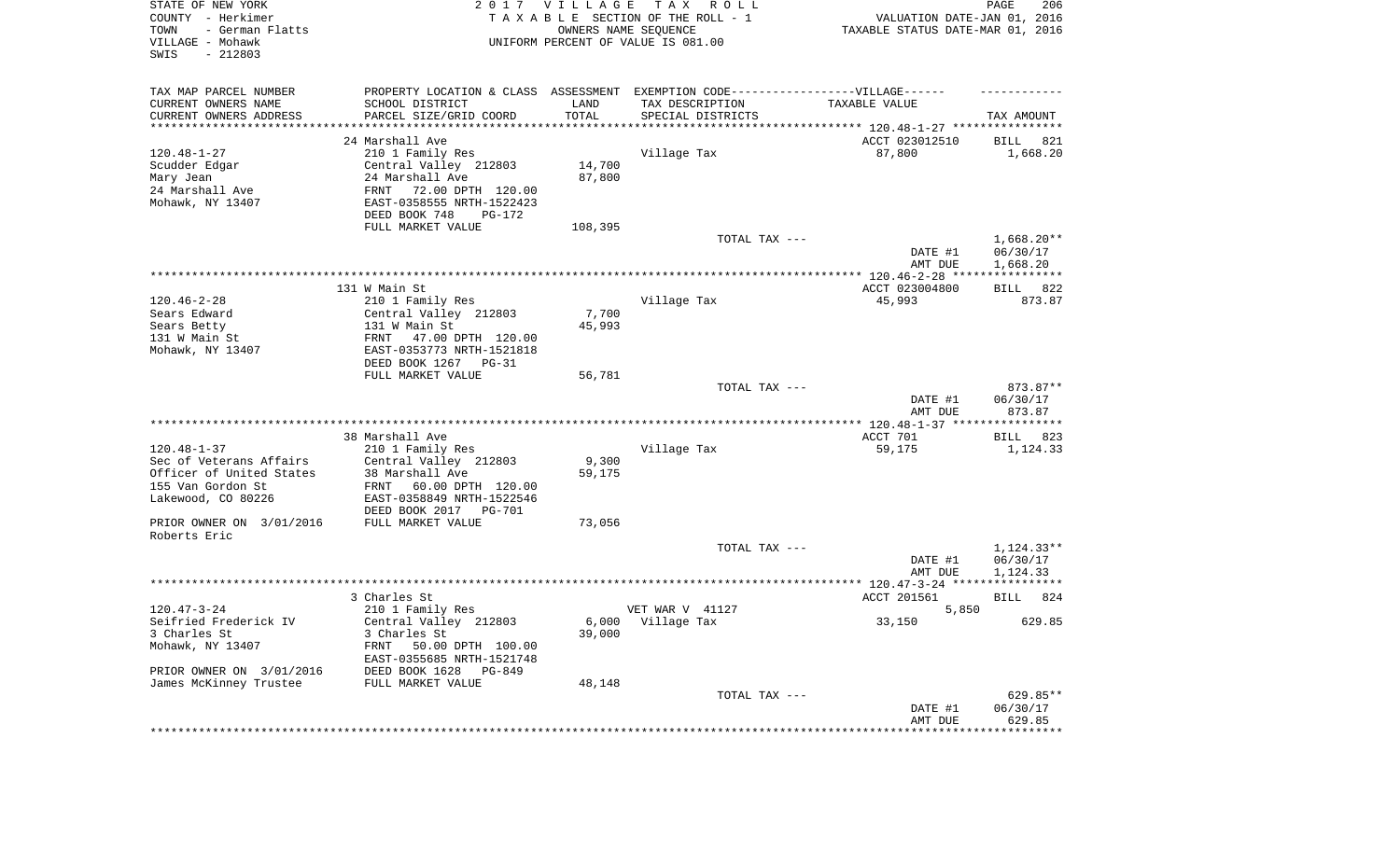| STATE OF NEW YORK<br>COUNTY - Herkimer<br>TOWN<br>- German Flatts<br>VILLAGE - Mohawk<br>SWIS<br>$-212803$          |                                                                                                                                                                                           | 2017 VILLAGE                | T A X<br>R O L L<br>TAXABLE SECTION OF THE ROLL - 1<br>OWNERS NAME SEQUENCE<br>UNIFORM PERCENT OF VALUE IS 081.00 | VALUATION DATE-JAN 01, 2016<br>TAXABLE STATUS DATE-MAR 01, 2016 | PAGE<br>206                          |
|---------------------------------------------------------------------------------------------------------------------|-------------------------------------------------------------------------------------------------------------------------------------------------------------------------------------------|-----------------------------|-------------------------------------------------------------------------------------------------------------------|-----------------------------------------------------------------|--------------------------------------|
| TAX MAP PARCEL NUMBER<br>CURRENT OWNERS NAME<br>CURRENT OWNERS ADDRESS<br>*********************                     | PROPERTY LOCATION & CLASS ASSESSMENT EXEMPTION CODE----------------VILLAGE------<br>SCHOOL DISTRICT<br>PARCEL SIZE/GRID COORD<br>****************************                             | LAND<br>TOTAL               | TAX DESCRIPTION<br>SPECIAL DISTRICTS                                                                              | TAXABLE VALUE                                                   | TAX AMOUNT                           |
| $120.48 - 1 - 27$<br>Scudder Edgar<br>Mary Jean<br>24 Marshall Ave<br>Mohawk, NY 13407                              | 24 Marshall Ave<br>210 1 Family Res<br>Central Valley 212803<br>24 Marshall Ave<br>FRNT<br>72.00 DPTH 120.00<br>EAST-0358555 NRTH-1522423<br>DEED BOOK 748<br>PG-172<br>FULL MARKET VALUE | 14,700<br>87,800<br>108,395 | Village Tax                                                                                                       | ACCT 023012510<br>87,800                                        | 821<br>BILL<br>1,668.20              |
|                                                                                                                     |                                                                                                                                                                                           |                             | TOTAL TAX ---                                                                                                     | DATE #1<br>AMT DUE                                              | $1,668.20**$<br>06/30/17<br>1,668.20 |
|                                                                                                                     |                                                                                                                                                                                           |                             |                                                                                                                   |                                                                 |                                      |
| $120.46 - 2 - 28$<br>Sears Edward<br>Sears Betty<br>131 W Main St<br>Mohawk, NY 13407                               | 131 W Main St<br>210 1 Family Res<br>Central Valley 212803<br>131 W Main St<br>FRNT 47.00 DPTH 120.00<br>EAST-0353773 NRTH-1521818<br>DEED BOOK 1267 PG-31<br>FULL MARKET VALUE           | 7,700<br>45,993             | Village Tax                                                                                                       | ACCT 023004800<br>45,993                                        | 822<br>BILL<br>873.87                |
|                                                                                                                     |                                                                                                                                                                                           | 56,781                      | TOTAL TAX ---                                                                                                     | DATE #1<br>AMT DUE                                              | 873.87**<br>06/30/17<br>873.87       |
|                                                                                                                     |                                                                                                                                                                                           |                             |                                                                                                                   |                                                                 |                                      |
| $120.48 - 1 - 37$<br>Sec of Veterans Affairs<br>Officer of United States<br>155 Van Gordon St<br>Lakewood, CO 80226 | 38 Marshall Ave<br>210 1 Family Res<br>Central Valley 212803<br>38 Marshall Ave<br>FRNT<br>60.00 DPTH 120.00<br>EAST-0358849 NRTH-1522546<br>DEED BOOK 2017 PG-701                        | 9,300<br>59,175             | Village Tax                                                                                                       | ACCT 701<br>59,175                                              | BILL<br>823<br>1,124.33              |
| PRIOR OWNER ON 3/01/2016<br>Roberts Eric                                                                            | FULL MARKET VALUE                                                                                                                                                                         | 73,056                      |                                                                                                                   |                                                                 |                                      |
|                                                                                                                     |                                                                                                                                                                                           |                             | TOTAL TAX ---                                                                                                     | DATE #1<br>AMT DUE                                              | 1,124.33**<br>06/30/17<br>1,124.33   |
|                                                                                                                     |                                                                                                                                                                                           |                             |                                                                                                                   |                                                                 |                                      |
|                                                                                                                     | 3 Charles St                                                                                                                                                                              |                             | VET WAR V 41127                                                                                                   | ACCT 201561                                                     | 824<br>BILL                          |
| $120.47 - 3 - 24$<br>Seifried Frederick IV<br>3 Charles St<br>Mohawk, NY 13407<br>PRIOR OWNER ON 3/01/2016          | 210 1 Family Res<br>Central Valley 212803<br>3 Charles St<br>FRNT<br>50.00 DPTH 100.00<br>EAST-0355685 NRTH-1521748<br>DEED BOOK 1628<br>PG-849                                           | 39,000                      | 6,000 Village Tax                                                                                                 | 5,850<br>33,150                                                 | 629.85                               |
| James McKinney Trustee                                                                                              | FULL MARKET VALUE                                                                                                                                                                         | 48,148                      | TOTAL TAX ---                                                                                                     | DATE #1                                                         | 629.85**<br>06/30/17                 |
|                                                                                                                     |                                                                                                                                                                                           |                             |                                                                                                                   | AMT DUE                                                         | 629.85                               |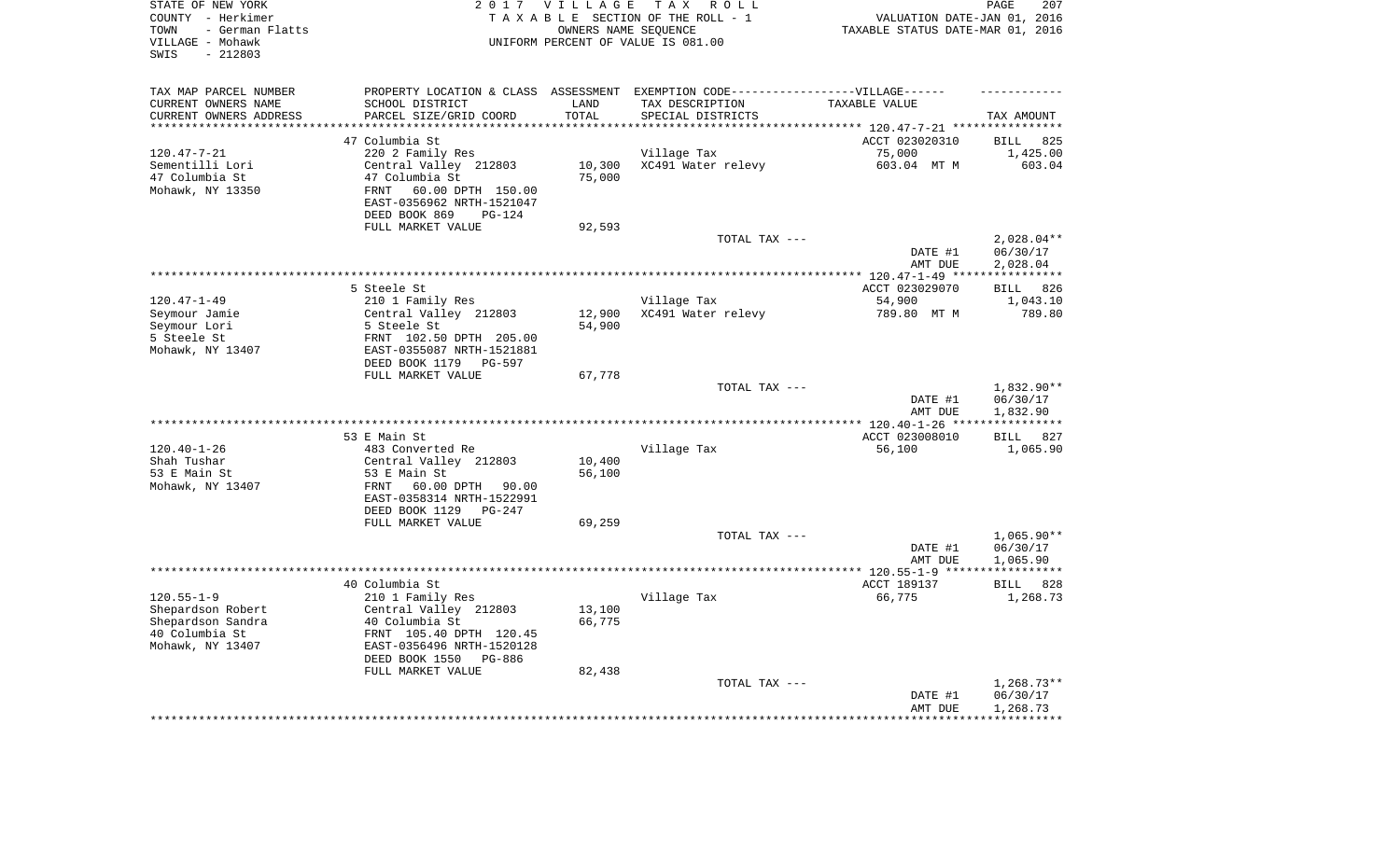| TAX MAP PARCEL NUMBER<br>PROPERTY LOCATION & CLASS ASSESSMENT EXEMPTION CODE-----------------VILLAGE------<br>SCHOOL DISTRICT<br>CURRENT OWNERS NAME<br>LAND<br>TAX DESCRIPTION<br>TAXABLE VALUE<br>PARCEL SIZE/GRID COORD<br>TOTAL<br>CURRENT OWNERS ADDRESS<br>SPECIAL DISTRICTS<br>TAX AMOUNT<br>********************<br>* * * * * * * * *<br>**********************<br>47 Columbia St<br>ACCT 023020310<br><b>BILL</b><br>825<br>$120.47 - 7 - 21$<br>220 2 Family Res<br>Village Tax<br>75,000<br>1,425.00<br>Central Valley 212803<br>XC491 Water relevy<br>603.04 MT M<br>Sementilli Lori<br>10,300<br>603.04<br>47 Columbia St<br>47 Columbia St<br>75,000<br>60.00 DPTH 150.00<br>Mohawk, NY 13350<br><b>FRNT</b><br>EAST-0356962 NRTH-1521047<br>DEED BOOK 869<br>$PG-124$<br>FULL MARKET VALUE<br>92,593<br>TOTAL TAX ---<br>$2,028.04**$<br>DATE #1<br>06/30/17<br>AMT DUE<br>2,028.04<br>*********** 120.47-1-49 *****************<br>5 Steele St<br>ACCT 023029070<br>826<br>BILL<br>$120.47 - 1 - 49$<br>210 1 Family Res<br>Village Tax<br>54,900<br>1,043.10<br>Seymour Jamie<br>Central Valley 212803<br>12,900<br>XC491 Water relevy<br>789.80 MT M<br>789.80<br>Seymour Lori<br>5 Steele St<br>54,900<br>FRNT 102.50 DPTH 205.00<br>5 Steele St<br>Mohawk, NY 13407<br>EAST-0355087 NRTH-1521881<br>DEED BOOK 1179 PG-597<br>FULL MARKET VALUE<br>67,778<br>1,832.90**<br>TOTAL TAX ---<br>06/30/17<br>DATE #1<br>AMT DUE<br>1,832.90<br>* * * * * * * * * * *<br>53 E Main St<br>ACCT 023008010<br>827<br>BILL<br>$120.40 - 1 - 26$<br>483 Converted Re<br>Village Tax<br>56,100<br>1,065.90<br>Shah Tushar<br>Central Valley 212803<br>10,400<br>53 E Main St<br>53 E Main St<br>56,100<br>Mohawk, NY 13407<br>FRNT<br>60.00 DPTH<br>90.00<br>EAST-0358314 NRTH-1522991<br>DEED BOOK 1129<br>PG-247<br>FULL MARKET VALUE<br>69,259<br>$1,065.90**$<br>TOTAL TAX ---<br>DATE #1<br>06/30/17<br>AMT DUE<br>1,065.90<br>************<br>ACCT 189137<br>40 Columbia St<br><b>BILL</b><br>828<br>$120.55 - 1 - 9$<br>66,775<br>210 1 Family Res<br>Village Tax<br>1,268.73<br>Shepardson Robert<br>Central Valley 212803<br>13,100<br>Shepardson Sandra<br>40 Columbia St<br>66,775<br>40 Columbia St<br>FRNT 105.40 DPTH 120.45<br>Mohawk, NY 13407<br>EAST-0356496 NRTH-1520128<br>DEED BOOK 1550<br>PG-886<br>FULL MARKET VALUE<br>82,438<br>TOTAL TAX ---<br>$1,268.73**$<br>06/30/17<br>DATE #1<br>AMT DUE<br>1,268.73<br>* * * * * * * * * * * | STATE OF NEW YORK<br>COUNTY - Herkimer<br>- German Flatts<br>TOWN<br>VILLAGE - Mohawk<br>$-212803$<br>SWIS | 2017 VILLAGE<br>OWNERS NAME SEQUENCE | T A X<br>R O L L<br>TAXABLE SECTION OF THE ROLL - 1<br>UNIFORM PERCENT OF VALUE IS 081.00 | VALUATION DATE-JAN 01, 2016<br>TAXABLE STATUS DATE-MAR 01, 2016 | PAGE<br>207 |
|-----------------------------------------------------------------------------------------------------------------------------------------------------------------------------------------------------------------------------------------------------------------------------------------------------------------------------------------------------------------------------------------------------------------------------------------------------------------------------------------------------------------------------------------------------------------------------------------------------------------------------------------------------------------------------------------------------------------------------------------------------------------------------------------------------------------------------------------------------------------------------------------------------------------------------------------------------------------------------------------------------------------------------------------------------------------------------------------------------------------------------------------------------------------------------------------------------------------------------------------------------------------------------------------------------------------------------------------------------------------------------------------------------------------------------------------------------------------------------------------------------------------------------------------------------------------------------------------------------------------------------------------------------------------------------------------------------------------------------------------------------------------------------------------------------------------------------------------------------------------------------------------------------------------------------------------------------------------------------------------------------------------------------------------------------------------------------------------------------------------------------------------------------------------------------------------------------------------------------------------------------------------------------------------------------------------------------------------------------------------------------------------------------------------------------------------------------------------------|------------------------------------------------------------------------------------------------------------|--------------------------------------|-------------------------------------------------------------------------------------------|-----------------------------------------------------------------|-------------|
|                                                                                                                                                                                                                                                                                                                                                                                                                                                                                                                                                                                                                                                                                                                                                                                                                                                                                                                                                                                                                                                                                                                                                                                                                                                                                                                                                                                                                                                                                                                                                                                                                                                                                                                                                                                                                                                                                                                                                                                                                                                                                                                                                                                                                                                                                                                                                                                                                                                                       |                                                                                                            |                                      |                                                                                           |                                                                 |             |
|                                                                                                                                                                                                                                                                                                                                                                                                                                                                                                                                                                                                                                                                                                                                                                                                                                                                                                                                                                                                                                                                                                                                                                                                                                                                                                                                                                                                                                                                                                                                                                                                                                                                                                                                                                                                                                                                                                                                                                                                                                                                                                                                                                                                                                                                                                                                                                                                                                                                       |                                                                                                            |                                      |                                                                                           |                                                                 |             |
|                                                                                                                                                                                                                                                                                                                                                                                                                                                                                                                                                                                                                                                                                                                                                                                                                                                                                                                                                                                                                                                                                                                                                                                                                                                                                                                                                                                                                                                                                                                                                                                                                                                                                                                                                                                                                                                                                                                                                                                                                                                                                                                                                                                                                                                                                                                                                                                                                                                                       |                                                                                                            |                                      |                                                                                           |                                                                 |             |
|                                                                                                                                                                                                                                                                                                                                                                                                                                                                                                                                                                                                                                                                                                                                                                                                                                                                                                                                                                                                                                                                                                                                                                                                                                                                                                                                                                                                                                                                                                                                                                                                                                                                                                                                                                                                                                                                                                                                                                                                                                                                                                                                                                                                                                                                                                                                                                                                                                                                       |                                                                                                            |                                      |                                                                                           |                                                                 |             |
|                                                                                                                                                                                                                                                                                                                                                                                                                                                                                                                                                                                                                                                                                                                                                                                                                                                                                                                                                                                                                                                                                                                                                                                                                                                                                                                                                                                                                                                                                                                                                                                                                                                                                                                                                                                                                                                                                                                                                                                                                                                                                                                                                                                                                                                                                                                                                                                                                                                                       |                                                                                                            |                                      |                                                                                           |                                                                 |             |
|                                                                                                                                                                                                                                                                                                                                                                                                                                                                                                                                                                                                                                                                                                                                                                                                                                                                                                                                                                                                                                                                                                                                                                                                                                                                                                                                                                                                                                                                                                                                                                                                                                                                                                                                                                                                                                                                                                                                                                                                                                                                                                                                                                                                                                                                                                                                                                                                                                                                       |                                                                                                            |                                      |                                                                                           |                                                                 |             |
|                                                                                                                                                                                                                                                                                                                                                                                                                                                                                                                                                                                                                                                                                                                                                                                                                                                                                                                                                                                                                                                                                                                                                                                                                                                                                                                                                                                                                                                                                                                                                                                                                                                                                                                                                                                                                                                                                                                                                                                                                                                                                                                                                                                                                                                                                                                                                                                                                                                                       |                                                                                                            |                                      |                                                                                           |                                                                 |             |
|                                                                                                                                                                                                                                                                                                                                                                                                                                                                                                                                                                                                                                                                                                                                                                                                                                                                                                                                                                                                                                                                                                                                                                                                                                                                                                                                                                                                                                                                                                                                                                                                                                                                                                                                                                                                                                                                                                                                                                                                                                                                                                                                                                                                                                                                                                                                                                                                                                                                       |                                                                                                            |                                      |                                                                                           |                                                                 |             |
|                                                                                                                                                                                                                                                                                                                                                                                                                                                                                                                                                                                                                                                                                                                                                                                                                                                                                                                                                                                                                                                                                                                                                                                                                                                                                                                                                                                                                                                                                                                                                                                                                                                                                                                                                                                                                                                                                                                                                                                                                                                                                                                                                                                                                                                                                                                                                                                                                                                                       |                                                                                                            |                                      |                                                                                           |                                                                 |             |
|                                                                                                                                                                                                                                                                                                                                                                                                                                                                                                                                                                                                                                                                                                                                                                                                                                                                                                                                                                                                                                                                                                                                                                                                                                                                                                                                                                                                                                                                                                                                                                                                                                                                                                                                                                                                                                                                                                                                                                                                                                                                                                                                                                                                                                                                                                                                                                                                                                                                       |                                                                                                            |                                      |                                                                                           |                                                                 |             |
|                                                                                                                                                                                                                                                                                                                                                                                                                                                                                                                                                                                                                                                                                                                                                                                                                                                                                                                                                                                                                                                                                                                                                                                                                                                                                                                                                                                                                                                                                                                                                                                                                                                                                                                                                                                                                                                                                                                                                                                                                                                                                                                                                                                                                                                                                                                                                                                                                                                                       |                                                                                                            |                                      |                                                                                           |                                                                 |             |
|                                                                                                                                                                                                                                                                                                                                                                                                                                                                                                                                                                                                                                                                                                                                                                                                                                                                                                                                                                                                                                                                                                                                                                                                                                                                                                                                                                                                                                                                                                                                                                                                                                                                                                                                                                                                                                                                                                                                                                                                                                                                                                                                                                                                                                                                                                                                                                                                                                                                       |                                                                                                            |                                      |                                                                                           |                                                                 |             |
|                                                                                                                                                                                                                                                                                                                                                                                                                                                                                                                                                                                                                                                                                                                                                                                                                                                                                                                                                                                                                                                                                                                                                                                                                                                                                                                                                                                                                                                                                                                                                                                                                                                                                                                                                                                                                                                                                                                                                                                                                                                                                                                                                                                                                                                                                                                                                                                                                                                                       |                                                                                                            |                                      |                                                                                           |                                                                 |             |
|                                                                                                                                                                                                                                                                                                                                                                                                                                                                                                                                                                                                                                                                                                                                                                                                                                                                                                                                                                                                                                                                                                                                                                                                                                                                                                                                                                                                                                                                                                                                                                                                                                                                                                                                                                                                                                                                                                                                                                                                                                                                                                                                                                                                                                                                                                                                                                                                                                                                       |                                                                                                            |                                      |                                                                                           |                                                                 |             |
|                                                                                                                                                                                                                                                                                                                                                                                                                                                                                                                                                                                                                                                                                                                                                                                                                                                                                                                                                                                                                                                                                                                                                                                                                                                                                                                                                                                                                                                                                                                                                                                                                                                                                                                                                                                                                                                                                                                                                                                                                                                                                                                                                                                                                                                                                                                                                                                                                                                                       |                                                                                                            |                                      |                                                                                           |                                                                 |             |
|                                                                                                                                                                                                                                                                                                                                                                                                                                                                                                                                                                                                                                                                                                                                                                                                                                                                                                                                                                                                                                                                                                                                                                                                                                                                                                                                                                                                                                                                                                                                                                                                                                                                                                                                                                                                                                                                                                                                                                                                                                                                                                                                                                                                                                                                                                                                                                                                                                                                       |                                                                                                            |                                      |                                                                                           |                                                                 |             |
|                                                                                                                                                                                                                                                                                                                                                                                                                                                                                                                                                                                                                                                                                                                                                                                                                                                                                                                                                                                                                                                                                                                                                                                                                                                                                                                                                                                                                                                                                                                                                                                                                                                                                                                                                                                                                                                                                                                                                                                                                                                                                                                                                                                                                                                                                                                                                                                                                                                                       |                                                                                                            |                                      |                                                                                           |                                                                 |             |
|                                                                                                                                                                                                                                                                                                                                                                                                                                                                                                                                                                                                                                                                                                                                                                                                                                                                                                                                                                                                                                                                                                                                                                                                                                                                                                                                                                                                                                                                                                                                                                                                                                                                                                                                                                                                                                                                                                                                                                                                                                                                                                                                                                                                                                                                                                                                                                                                                                                                       |                                                                                                            |                                      |                                                                                           |                                                                 |             |
|                                                                                                                                                                                                                                                                                                                                                                                                                                                                                                                                                                                                                                                                                                                                                                                                                                                                                                                                                                                                                                                                                                                                                                                                                                                                                                                                                                                                                                                                                                                                                                                                                                                                                                                                                                                                                                                                                                                                                                                                                                                                                                                                                                                                                                                                                                                                                                                                                                                                       |                                                                                                            |                                      |                                                                                           |                                                                 |             |
|                                                                                                                                                                                                                                                                                                                                                                                                                                                                                                                                                                                                                                                                                                                                                                                                                                                                                                                                                                                                                                                                                                                                                                                                                                                                                                                                                                                                                                                                                                                                                                                                                                                                                                                                                                                                                                                                                                                                                                                                                                                                                                                                                                                                                                                                                                                                                                                                                                                                       |                                                                                                            |                                      |                                                                                           |                                                                 |             |
|                                                                                                                                                                                                                                                                                                                                                                                                                                                                                                                                                                                                                                                                                                                                                                                                                                                                                                                                                                                                                                                                                                                                                                                                                                                                                                                                                                                                                                                                                                                                                                                                                                                                                                                                                                                                                                                                                                                                                                                                                                                                                                                                                                                                                                                                                                                                                                                                                                                                       |                                                                                                            |                                      |                                                                                           |                                                                 |             |
|                                                                                                                                                                                                                                                                                                                                                                                                                                                                                                                                                                                                                                                                                                                                                                                                                                                                                                                                                                                                                                                                                                                                                                                                                                                                                                                                                                                                                                                                                                                                                                                                                                                                                                                                                                                                                                                                                                                                                                                                                                                                                                                                                                                                                                                                                                                                                                                                                                                                       |                                                                                                            |                                      |                                                                                           |                                                                 |             |
|                                                                                                                                                                                                                                                                                                                                                                                                                                                                                                                                                                                                                                                                                                                                                                                                                                                                                                                                                                                                                                                                                                                                                                                                                                                                                                                                                                                                                                                                                                                                                                                                                                                                                                                                                                                                                                                                                                                                                                                                                                                                                                                                                                                                                                                                                                                                                                                                                                                                       |                                                                                                            |                                      |                                                                                           |                                                                 |             |
|                                                                                                                                                                                                                                                                                                                                                                                                                                                                                                                                                                                                                                                                                                                                                                                                                                                                                                                                                                                                                                                                                                                                                                                                                                                                                                                                                                                                                                                                                                                                                                                                                                                                                                                                                                                                                                                                                                                                                                                                                                                                                                                                                                                                                                                                                                                                                                                                                                                                       |                                                                                                            |                                      |                                                                                           |                                                                 |             |
|                                                                                                                                                                                                                                                                                                                                                                                                                                                                                                                                                                                                                                                                                                                                                                                                                                                                                                                                                                                                                                                                                                                                                                                                                                                                                                                                                                                                                                                                                                                                                                                                                                                                                                                                                                                                                                                                                                                                                                                                                                                                                                                                                                                                                                                                                                                                                                                                                                                                       |                                                                                                            |                                      |                                                                                           |                                                                 |             |
|                                                                                                                                                                                                                                                                                                                                                                                                                                                                                                                                                                                                                                                                                                                                                                                                                                                                                                                                                                                                                                                                                                                                                                                                                                                                                                                                                                                                                                                                                                                                                                                                                                                                                                                                                                                                                                                                                                                                                                                                                                                                                                                                                                                                                                                                                                                                                                                                                                                                       |                                                                                                            |                                      |                                                                                           |                                                                 |             |
|                                                                                                                                                                                                                                                                                                                                                                                                                                                                                                                                                                                                                                                                                                                                                                                                                                                                                                                                                                                                                                                                                                                                                                                                                                                                                                                                                                                                                                                                                                                                                                                                                                                                                                                                                                                                                                                                                                                                                                                                                                                                                                                                                                                                                                                                                                                                                                                                                                                                       |                                                                                                            |                                      |                                                                                           |                                                                 |             |
|                                                                                                                                                                                                                                                                                                                                                                                                                                                                                                                                                                                                                                                                                                                                                                                                                                                                                                                                                                                                                                                                                                                                                                                                                                                                                                                                                                                                                                                                                                                                                                                                                                                                                                                                                                                                                                                                                                                                                                                                                                                                                                                                                                                                                                                                                                                                                                                                                                                                       |                                                                                                            |                                      |                                                                                           |                                                                 |             |
|                                                                                                                                                                                                                                                                                                                                                                                                                                                                                                                                                                                                                                                                                                                                                                                                                                                                                                                                                                                                                                                                                                                                                                                                                                                                                                                                                                                                                                                                                                                                                                                                                                                                                                                                                                                                                                                                                                                                                                                                                                                                                                                                                                                                                                                                                                                                                                                                                                                                       |                                                                                                            |                                      |                                                                                           |                                                                 |             |
|                                                                                                                                                                                                                                                                                                                                                                                                                                                                                                                                                                                                                                                                                                                                                                                                                                                                                                                                                                                                                                                                                                                                                                                                                                                                                                                                                                                                                                                                                                                                                                                                                                                                                                                                                                                                                                                                                                                                                                                                                                                                                                                                                                                                                                                                                                                                                                                                                                                                       |                                                                                                            |                                      |                                                                                           |                                                                 |             |
|                                                                                                                                                                                                                                                                                                                                                                                                                                                                                                                                                                                                                                                                                                                                                                                                                                                                                                                                                                                                                                                                                                                                                                                                                                                                                                                                                                                                                                                                                                                                                                                                                                                                                                                                                                                                                                                                                                                                                                                                                                                                                                                                                                                                                                                                                                                                                                                                                                                                       |                                                                                                            |                                      |                                                                                           |                                                                 |             |
|                                                                                                                                                                                                                                                                                                                                                                                                                                                                                                                                                                                                                                                                                                                                                                                                                                                                                                                                                                                                                                                                                                                                                                                                                                                                                                                                                                                                                                                                                                                                                                                                                                                                                                                                                                                                                                                                                                                                                                                                                                                                                                                                                                                                                                                                                                                                                                                                                                                                       |                                                                                                            |                                      |                                                                                           |                                                                 |             |
|                                                                                                                                                                                                                                                                                                                                                                                                                                                                                                                                                                                                                                                                                                                                                                                                                                                                                                                                                                                                                                                                                                                                                                                                                                                                                                                                                                                                                                                                                                                                                                                                                                                                                                                                                                                                                                                                                                                                                                                                                                                                                                                                                                                                                                                                                                                                                                                                                                                                       |                                                                                                            |                                      |                                                                                           |                                                                 |             |
|                                                                                                                                                                                                                                                                                                                                                                                                                                                                                                                                                                                                                                                                                                                                                                                                                                                                                                                                                                                                                                                                                                                                                                                                                                                                                                                                                                                                                                                                                                                                                                                                                                                                                                                                                                                                                                                                                                                                                                                                                                                                                                                                                                                                                                                                                                                                                                                                                                                                       |                                                                                                            |                                      |                                                                                           |                                                                 |             |
|                                                                                                                                                                                                                                                                                                                                                                                                                                                                                                                                                                                                                                                                                                                                                                                                                                                                                                                                                                                                                                                                                                                                                                                                                                                                                                                                                                                                                                                                                                                                                                                                                                                                                                                                                                                                                                                                                                                                                                                                                                                                                                                                                                                                                                                                                                                                                                                                                                                                       |                                                                                                            |                                      |                                                                                           |                                                                 |             |
|                                                                                                                                                                                                                                                                                                                                                                                                                                                                                                                                                                                                                                                                                                                                                                                                                                                                                                                                                                                                                                                                                                                                                                                                                                                                                                                                                                                                                                                                                                                                                                                                                                                                                                                                                                                                                                                                                                                                                                                                                                                                                                                                                                                                                                                                                                                                                                                                                                                                       |                                                                                                            |                                      |                                                                                           |                                                                 |             |
|                                                                                                                                                                                                                                                                                                                                                                                                                                                                                                                                                                                                                                                                                                                                                                                                                                                                                                                                                                                                                                                                                                                                                                                                                                                                                                                                                                                                                                                                                                                                                                                                                                                                                                                                                                                                                                                                                                                                                                                                                                                                                                                                                                                                                                                                                                                                                                                                                                                                       |                                                                                                            |                                      |                                                                                           |                                                                 |             |
|                                                                                                                                                                                                                                                                                                                                                                                                                                                                                                                                                                                                                                                                                                                                                                                                                                                                                                                                                                                                                                                                                                                                                                                                                                                                                                                                                                                                                                                                                                                                                                                                                                                                                                                                                                                                                                                                                                                                                                                                                                                                                                                                                                                                                                                                                                                                                                                                                                                                       |                                                                                                            |                                      |                                                                                           |                                                                 |             |
|                                                                                                                                                                                                                                                                                                                                                                                                                                                                                                                                                                                                                                                                                                                                                                                                                                                                                                                                                                                                                                                                                                                                                                                                                                                                                                                                                                                                                                                                                                                                                                                                                                                                                                                                                                                                                                                                                                                                                                                                                                                                                                                                                                                                                                                                                                                                                                                                                                                                       |                                                                                                            |                                      |                                                                                           |                                                                 |             |
|                                                                                                                                                                                                                                                                                                                                                                                                                                                                                                                                                                                                                                                                                                                                                                                                                                                                                                                                                                                                                                                                                                                                                                                                                                                                                                                                                                                                                                                                                                                                                                                                                                                                                                                                                                                                                                                                                                                                                                                                                                                                                                                                                                                                                                                                                                                                                                                                                                                                       |                                                                                                            |                                      |                                                                                           |                                                                 |             |
|                                                                                                                                                                                                                                                                                                                                                                                                                                                                                                                                                                                                                                                                                                                                                                                                                                                                                                                                                                                                                                                                                                                                                                                                                                                                                                                                                                                                                                                                                                                                                                                                                                                                                                                                                                                                                                                                                                                                                                                                                                                                                                                                                                                                                                                                                                                                                                                                                                                                       |                                                                                                            |                                      |                                                                                           |                                                                 |             |
|                                                                                                                                                                                                                                                                                                                                                                                                                                                                                                                                                                                                                                                                                                                                                                                                                                                                                                                                                                                                                                                                                                                                                                                                                                                                                                                                                                                                                                                                                                                                                                                                                                                                                                                                                                                                                                                                                                                                                                                                                                                                                                                                                                                                                                                                                                                                                                                                                                                                       |                                                                                                            |                                      |                                                                                           |                                                                 |             |
|                                                                                                                                                                                                                                                                                                                                                                                                                                                                                                                                                                                                                                                                                                                                                                                                                                                                                                                                                                                                                                                                                                                                                                                                                                                                                                                                                                                                                                                                                                                                                                                                                                                                                                                                                                                                                                                                                                                                                                                                                                                                                                                                                                                                                                                                                                                                                                                                                                                                       |                                                                                                            |                                      |                                                                                           |                                                                 |             |
|                                                                                                                                                                                                                                                                                                                                                                                                                                                                                                                                                                                                                                                                                                                                                                                                                                                                                                                                                                                                                                                                                                                                                                                                                                                                                                                                                                                                                                                                                                                                                                                                                                                                                                                                                                                                                                                                                                                                                                                                                                                                                                                                                                                                                                                                                                                                                                                                                                                                       |                                                                                                            |                                      |                                                                                           |                                                                 |             |
|                                                                                                                                                                                                                                                                                                                                                                                                                                                                                                                                                                                                                                                                                                                                                                                                                                                                                                                                                                                                                                                                                                                                                                                                                                                                                                                                                                                                                                                                                                                                                                                                                                                                                                                                                                                                                                                                                                                                                                                                                                                                                                                                                                                                                                                                                                                                                                                                                                                                       |                                                                                                            |                                      |                                                                                           |                                                                 |             |
|                                                                                                                                                                                                                                                                                                                                                                                                                                                                                                                                                                                                                                                                                                                                                                                                                                                                                                                                                                                                                                                                                                                                                                                                                                                                                                                                                                                                                                                                                                                                                                                                                                                                                                                                                                                                                                                                                                                                                                                                                                                                                                                                                                                                                                                                                                                                                                                                                                                                       |                                                                                                            |                                      |                                                                                           |                                                                 |             |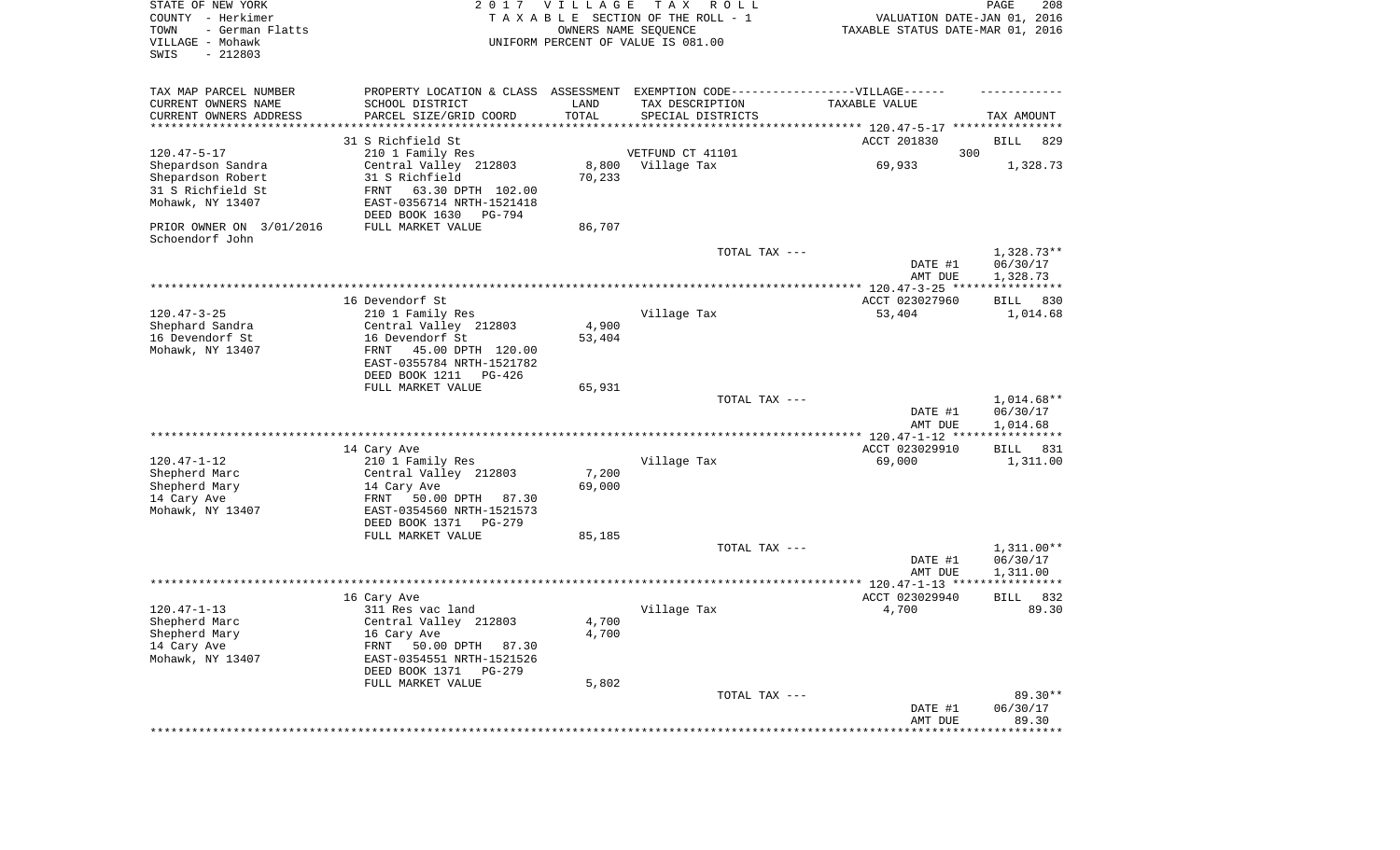| STATE OF NEW YORK<br>COUNTY - Herkimer<br>TOWN<br>- German Flatts<br>VILLAGE - Mohawk<br>SWIS<br>$-212803$ |                                                                                    | 2017 VILLAGE  | T A X<br>R O L L<br>TAXABLE SECTION OF THE ROLL - 1<br>OWNERS NAME SEQUENCE<br>UNIFORM PERCENT OF VALUE IS 081.00         | VALUATION DATE-JAN 01, 2016<br>TAXABLE STATUS DATE-MAR 01, 2016 | PAGE<br>208              |
|------------------------------------------------------------------------------------------------------------|------------------------------------------------------------------------------------|---------------|---------------------------------------------------------------------------------------------------------------------------|-----------------------------------------------------------------|--------------------------|
| TAX MAP PARCEL NUMBER<br>CURRENT OWNERS NAME<br>CURRENT OWNERS ADDRESS                                     | SCHOOL DISTRICT<br>PARCEL SIZE/GRID COORD                                          | LAND<br>TOTAL | PROPERTY LOCATION & CLASS ASSESSMENT EXEMPTION CODE-----------------VILLAGE------<br>TAX DESCRIPTION<br>SPECIAL DISTRICTS | TAXABLE VALUE                                                   | TAX AMOUNT               |
| ********************                                                                                       |                                                                                    |               |                                                                                                                           | *************************** 120.47-5-17 ******                  |                          |
|                                                                                                            | 31 S Richfield St                                                                  |               |                                                                                                                           | ACCT 201830                                                     | 829<br>BILL              |
| $120.47 - 5 - 17$                                                                                          | 210 1 Family Res                                                                   |               | VETFUND CT 41101                                                                                                          | 300                                                             |                          |
| Shepardson Sandra                                                                                          | Central Valley 212803                                                              | 8,800         | Village Tax                                                                                                               | 69,933                                                          | 1,328.73                 |
| Shepardson Robert                                                                                          | 31 S Richfield                                                                     | 70,233        |                                                                                                                           |                                                                 |                          |
| 31 S Richfield St<br>Mohawk, NY 13407                                                                      | FRNT<br>63.30 DPTH 102.00<br>EAST-0356714 NRTH-1521418<br>DEED BOOK 1630<br>PG-794 |               |                                                                                                                           |                                                                 |                          |
| PRIOR OWNER ON 3/01/2016<br>Schoendorf John                                                                | FULL MARKET VALUE                                                                  | 86,707        |                                                                                                                           |                                                                 |                          |
|                                                                                                            |                                                                                    |               | TOTAL TAX ---                                                                                                             | DATE #1                                                         | $1,328.73**$<br>06/30/17 |
|                                                                                                            |                                                                                    |               |                                                                                                                           | AMT DUE                                                         | 1,328.73                 |
|                                                                                                            |                                                                                    |               |                                                                                                                           |                                                                 |                          |
|                                                                                                            | 16 Devendorf St                                                                    |               |                                                                                                                           | ACCT 023027960                                                  | BILL<br>830              |
| $120.47 - 3 - 25$                                                                                          | 210 1 Family Res                                                                   |               | Village Tax                                                                                                               | 53,404                                                          | 1,014.68                 |
| Shephard Sandra                                                                                            | Central Valley 212803                                                              | 4,900         |                                                                                                                           |                                                                 |                          |
| 16 Devendorf St                                                                                            | 16 Devendorf St                                                                    | 53,404        |                                                                                                                           |                                                                 |                          |
| Mohawk, NY 13407                                                                                           | FRNT<br>45.00 DPTH 120.00<br>EAST-0355784 NRTH-1521782                             |               |                                                                                                                           |                                                                 |                          |
|                                                                                                            | DEED BOOK 1211<br>$PG-426$                                                         |               |                                                                                                                           |                                                                 |                          |
|                                                                                                            | FULL MARKET VALUE                                                                  | 65,931        |                                                                                                                           |                                                                 | 1,014.68**               |
|                                                                                                            |                                                                                    |               | TOTAL TAX ---                                                                                                             | DATE #1<br>AMT DUE                                              | 06/30/17<br>1,014.68     |
|                                                                                                            |                                                                                    |               |                                                                                                                           | ************* 120.47-1-12 ****                                  | ************             |
|                                                                                                            | 14 Cary Ave                                                                        |               |                                                                                                                           | ACCT 023029910                                                  | 831<br>BILL              |
| $120.47 - 1 - 12$                                                                                          | 210 1 Family Res                                                                   |               | Village Tax                                                                                                               | 69,000                                                          | 1,311.00                 |
| Shepherd Marc                                                                                              | Central Valley 212803                                                              | 7,200         |                                                                                                                           |                                                                 |                          |
| Shepherd Mary                                                                                              | 14 Cary Ave                                                                        | 69,000        |                                                                                                                           |                                                                 |                          |
| 14 Cary Ave                                                                                                | FRNT<br>50.00 DPTH<br>87.30                                                        |               |                                                                                                                           |                                                                 |                          |
| Mohawk, NY 13407                                                                                           | EAST-0354560 NRTH-1521573                                                          |               |                                                                                                                           |                                                                 |                          |
|                                                                                                            | DEED BOOK 1371<br>PG-279                                                           |               |                                                                                                                           |                                                                 |                          |
|                                                                                                            | FULL MARKET VALUE                                                                  | 85,185        |                                                                                                                           |                                                                 |                          |
|                                                                                                            |                                                                                    |               | TOTAL TAX ---                                                                                                             |                                                                 | $1,311.00**$             |
|                                                                                                            |                                                                                    |               |                                                                                                                           | DATE #1                                                         | 06/30/17                 |
|                                                                                                            |                                                                                    |               |                                                                                                                           | AMT DUE                                                         | 1,311.00                 |
|                                                                                                            | 16 Cary Ave                                                                        |               |                                                                                                                           | ACCT 023029940                                                  | 832<br>BILL              |
| $120.47 - 1 - 13$                                                                                          | 311 Res vac land                                                                   |               | Village Tax                                                                                                               | 4,700                                                           | 89.30                    |
| Shepherd Marc                                                                                              | Central Valley 212803                                                              | 4,700         |                                                                                                                           |                                                                 |                          |
| Shepherd Mary                                                                                              | 16 Cary Ave                                                                        | 4,700         |                                                                                                                           |                                                                 |                          |
| 14 Cary Ave                                                                                                | FRNT<br>50.00 DPTH 87.30                                                           |               |                                                                                                                           |                                                                 |                          |
| Mohawk, NY 13407                                                                                           | EAST-0354551 NRTH-1521526                                                          |               |                                                                                                                           |                                                                 |                          |
|                                                                                                            | DEED BOOK 1371<br>PG-279                                                           |               |                                                                                                                           |                                                                 |                          |
|                                                                                                            | FULL MARKET VALUE                                                                  | 5,802         |                                                                                                                           |                                                                 |                          |
|                                                                                                            |                                                                                    |               | TOTAL TAX ---                                                                                                             |                                                                 | $89.30**$                |
|                                                                                                            |                                                                                    |               |                                                                                                                           | DATE #1<br>AMT DUE                                              | 06/30/17<br>89.30        |
|                                                                                                            |                                                                                    |               |                                                                                                                           | **************                                                  | ************             |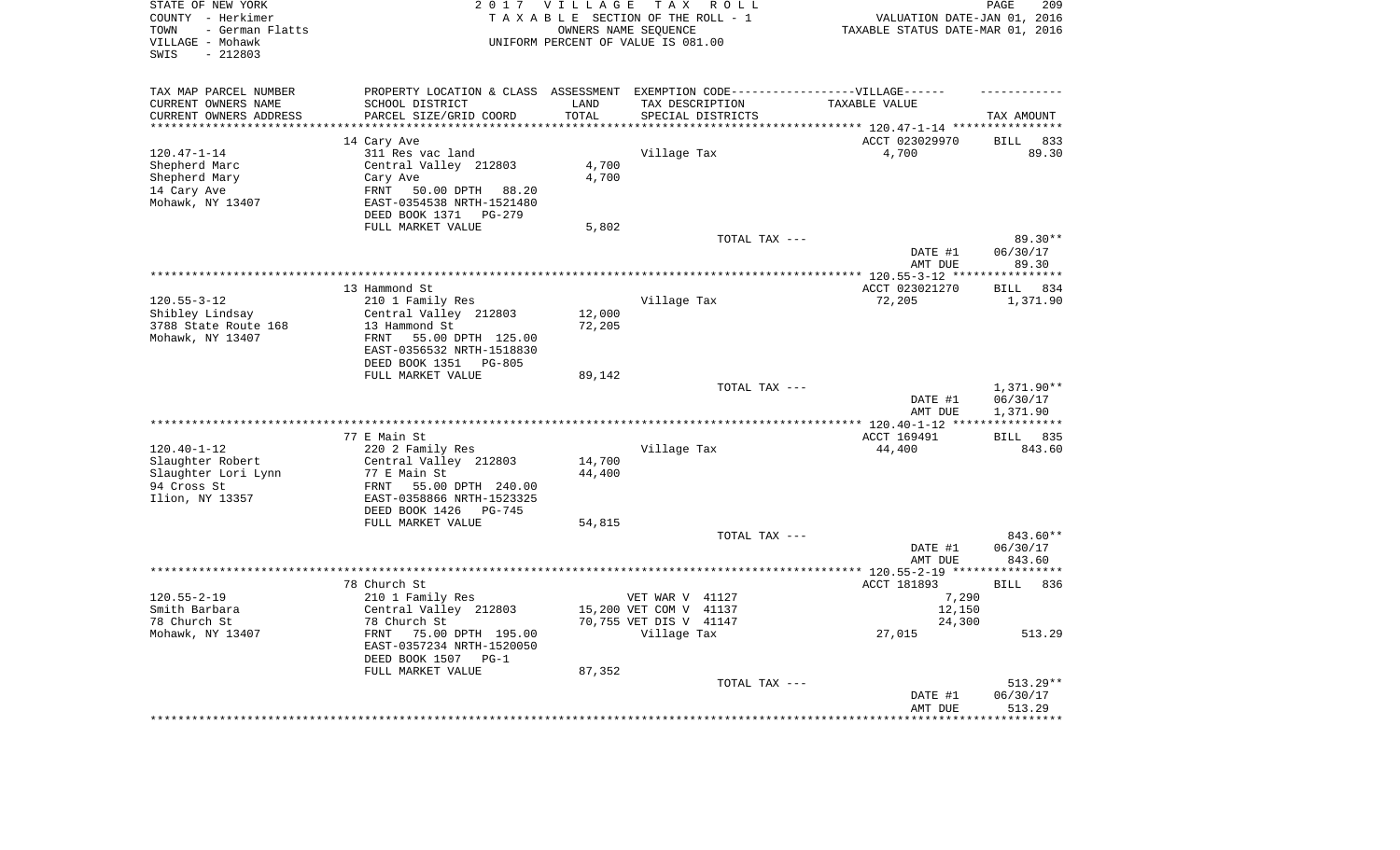| STATE OF NEW YORK<br>COUNTY - Herkimer<br>- German Flatts<br>TOWN<br>VILLAGE - Mohawk<br>$-212803$<br>SWIS |                                                                                   | 2017 VILLAGE<br>OWNERS NAME SEQUENCE | TAX ROLL<br>TAXABLE SECTION OF THE ROLL - 1<br>UNIFORM PERCENT OF VALUE IS 081.00 | VALUATION DATE-JAN 01, 2016<br>TAXABLE STATUS DATE-MAR 01, 2016 | 209<br>PAGE           |
|------------------------------------------------------------------------------------------------------------|-----------------------------------------------------------------------------------|--------------------------------------|-----------------------------------------------------------------------------------|-----------------------------------------------------------------|-----------------------|
| TAX MAP PARCEL NUMBER                                                                                      | PROPERTY LOCATION & CLASS ASSESSMENT EXEMPTION CODE-----------------VILLAGE------ |                                      |                                                                                   |                                                                 |                       |
| CURRENT OWNERS NAME                                                                                        | SCHOOL DISTRICT                                                                   | LAND                                 | TAX DESCRIPTION                                                                   | TAXABLE VALUE                                                   |                       |
| CURRENT OWNERS ADDRESS<br>********************                                                             | PARCEL SIZE/GRID COORD<br>***********************                                 | TOTAL<br>**********                  | SPECIAL DISTRICTS                                                                 |                                                                 | TAX AMOUNT            |
|                                                                                                            |                                                                                   |                                      |                                                                                   |                                                                 | 833                   |
| $120.47 - 1 - 14$                                                                                          | 14 Cary Ave<br>311 Res vac land                                                   |                                      | Village Tax                                                                       | ACCT 023029970<br>4,700                                         | <b>BILL</b><br>89.30  |
| Shepherd Marc                                                                                              | Central Valley 212803                                                             | 4,700                                |                                                                                   |                                                                 |                       |
| Shepherd Mary                                                                                              | Cary Ave                                                                          | 4,700                                |                                                                                   |                                                                 |                       |
| 14 Cary Ave                                                                                                | FRNT<br>50.00 DPTH<br>88.20                                                       |                                      |                                                                                   |                                                                 |                       |
| Mohawk, NY 13407                                                                                           | EAST-0354538 NRTH-1521480                                                         |                                      |                                                                                   |                                                                 |                       |
|                                                                                                            | DEED BOOK 1371 PG-279                                                             |                                      |                                                                                   |                                                                 |                       |
|                                                                                                            | FULL MARKET VALUE                                                                 | 5,802                                |                                                                                   |                                                                 |                       |
|                                                                                                            |                                                                                   |                                      | TOTAL TAX ---                                                                     |                                                                 | 89.30**               |
|                                                                                                            |                                                                                   |                                      |                                                                                   | DATE #1                                                         | 06/30/17              |
|                                                                                                            |                                                                                   |                                      |                                                                                   | AMT DUE<br>************ 120.55-3-12 ***                         | 89.30<br>**********   |
|                                                                                                            | 13 Hammond St                                                                     |                                      |                                                                                   | ACCT 023021270                                                  | 834<br><b>BILL</b>    |
| $120.55 - 3 - 12$                                                                                          | 210 1 Family Res                                                                  |                                      | Village Tax                                                                       | 72,205                                                          | 1,371.90              |
| Shibley Lindsay                                                                                            | Central Valley 212803                                                             | 12,000                               |                                                                                   |                                                                 |                       |
| 3788 State Route 168                                                                                       | 13 Hammond St                                                                     | 72,205                               |                                                                                   |                                                                 |                       |
| Mohawk, NY 13407                                                                                           | FRNT<br>55.00 DPTH 125.00                                                         |                                      |                                                                                   |                                                                 |                       |
|                                                                                                            | EAST-0356532 NRTH-1518830                                                         |                                      |                                                                                   |                                                                 |                       |
|                                                                                                            | DEED BOOK 1351<br>PG-805                                                          |                                      |                                                                                   |                                                                 |                       |
|                                                                                                            | FULL MARKET VALUE                                                                 | 89,142                               | TOTAL TAX ---                                                                     |                                                                 | 1,371.90**            |
|                                                                                                            |                                                                                   |                                      |                                                                                   | DATE #1                                                         | 06/30/17              |
|                                                                                                            |                                                                                   |                                      |                                                                                   | AMT DUE                                                         | 1,371.90              |
|                                                                                                            |                                                                                   |                                      | **********************                                                            | *** 120.40-1-12 ***                                             | * * * * * * * * * * * |
|                                                                                                            | 77 E Main St                                                                      |                                      |                                                                                   | ACCT 169491                                                     | BILL 835              |
| $120.40 - 1 - 12$                                                                                          | 220 2 Family Res                                                                  |                                      | Village Tax                                                                       | 44,400                                                          | 843.60                |
| Slaughter Robert<br>Slaughter Lori Lynn                                                                    | Central Valley 212803<br>77 E Main St                                             | 14,700<br>44,400                     |                                                                                   |                                                                 |                       |
| 94 Cross St                                                                                                | FRNT<br>55.00 DPTH 240.00                                                         |                                      |                                                                                   |                                                                 |                       |
| Ilion, NY 13357                                                                                            | EAST-0358866 NRTH-1523325                                                         |                                      |                                                                                   |                                                                 |                       |
|                                                                                                            | DEED BOOK 1426 PG-745                                                             |                                      |                                                                                   |                                                                 |                       |
|                                                                                                            | FULL MARKET VALUE                                                                 | 54,815                               |                                                                                   |                                                                 |                       |
|                                                                                                            |                                                                                   |                                      | TOTAL TAX ---                                                                     |                                                                 | 843.60**              |
|                                                                                                            |                                                                                   |                                      |                                                                                   | DATE #1                                                         | 06/30/17              |
|                                                                                                            |                                                                                   |                                      |                                                                                   | AMT DUE                                                         | 843.60                |
|                                                                                                            | 78 Church St                                                                      |                                      |                                                                                   | ACCT 181893                                                     | <b>BILL</b><br>836    |
| $120.55 - 2 - 19$                                                                                          | 210 1 Family Res                                                                  |                                      | VET WAR V 41127                                                                   | 7,290                                                           |                       |
| Smith Barbara                                                                                              | Central Valley 212803                                                             |                                      | 15,200 VET COM V 41137                                                            | 12,150                                                          |                       |
| 78 Church St                                                                                               | 78 Church St                                                                      |                                      | 70,755 VET DIS V 41147                                                            | 24,300                                                          |                       |
| Mohawk, NY 13407                                                                                           | 75.00 DPTH 195.00<br>FRNT                                                         |                                      | Village Tax                                                                       | 27,015                                                          | 513.29                |
|                                                                                                            | EAST-0357234 NRTH-1520050                                                         |                                      |                                                                                   |                                                                 |                       |
|                                                                                                            | DEED BOOK 1507<br>$PG-1$                                                          |                                      |                                                                                   |                                                                 |                       |
|                                                                                                            | FULL MARKET VALUE                                                                 | 87,352                               |                                                                                   |                                                                 |                       |
|                                                                                                            |                                                                                   |                                      | TOTAL TAX ---                                                                     | DATE #1                                                         | 513.29**<br>06/30/17  |
|                                                                                                            |                                                                                   |                                      |                                                                                   | AMT DUE                                                         | 513.29                |
|                                                                                                            |                                                                                   |                                      |                                                                                   |                                                                 | * * * * * * * *       |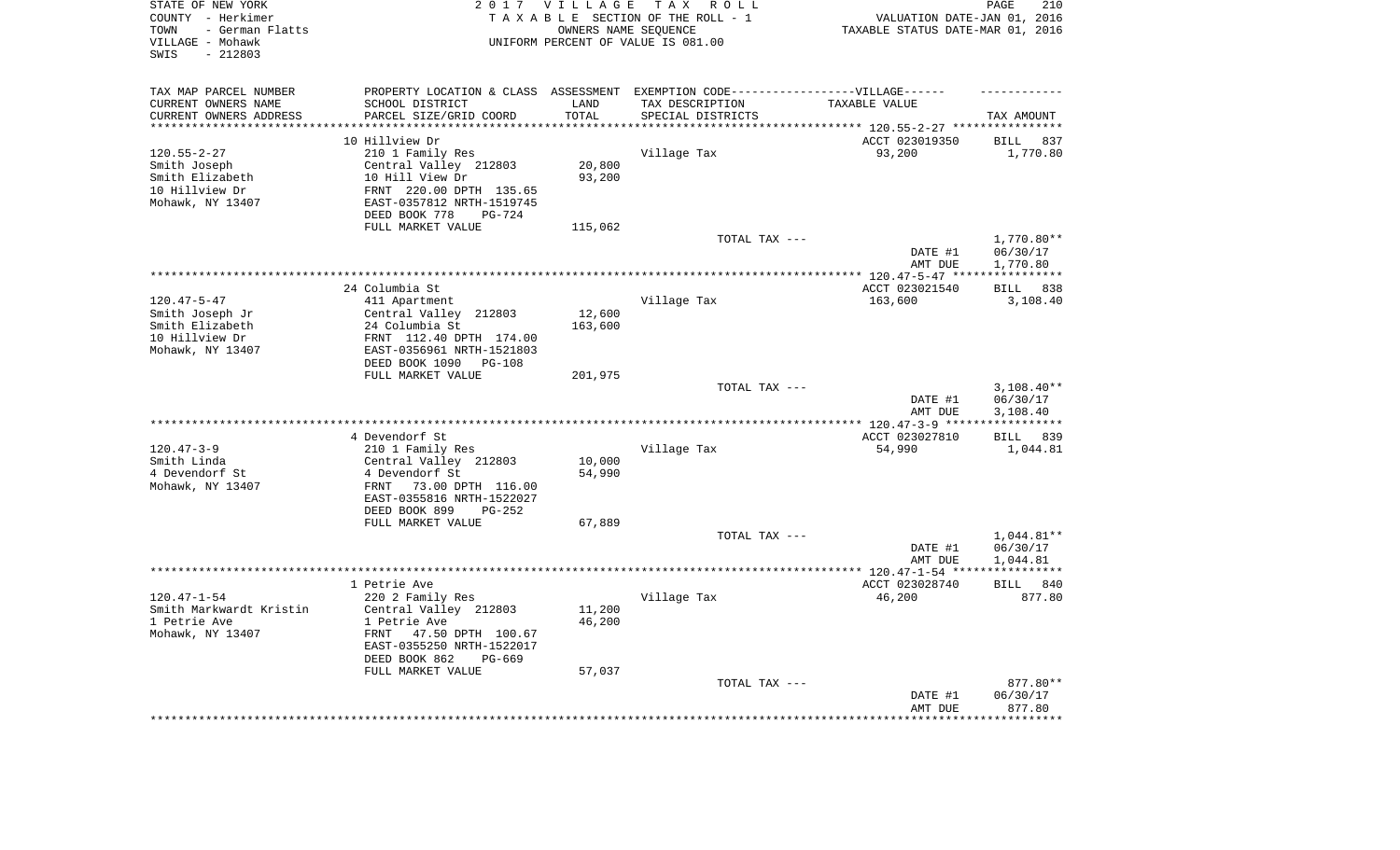| STATE OF NEW YORK<br>COUNTY - Herkimer<br>- German Flatts<br>TOWN<br>VILLAGE - Mohawk<br>$-212803$<br>SWIS |                                                      | 2017 VILLAGE | T A X<br>R O L L<br>TAXABLE SECTION OF THE ROLL - 1<br>OWNERS NAME SEQUENCE<br>UNIFORM PERCENT OF VALUE IS 081.00 | VALUATION DATE-JAN 01, 2016<br>TAXABLE STATUS DATE-MAR 01, 2016 | PAGE<br>210           |
|------------------------------------------------------------------------------------------------------------|------------------------------------------------------|--------------|-------------------------------------------------------------------------------------------------------------------|-----------------------------------------------------------------|-----------------------|
| TAX MAP PARCEL NUMBER                                                                                      |                                                      |              | PROPERTY LOCATION & CLASS ASSESSMENT EXEMPTION CODE-----------------VILLAGE------                                 |                                                                 |                       |
| CURRENT OWNERS NAME                                                                                        | SCHOOL DISTRICT                                      | LAND         | TAX DESCRIPTION                                                                                                   | TAXABLE VALUE                                                   |                       |
| CURRENT OWNERS ADDRESS                                                                                     | PARCEL SIZE/GRID COORD                               | TOTAL        | SPECIAL DISTRICTS                                                                                                 |                                                                 | TAX AMOUNT            |
| ********************                                                                                       |                                                      | ********     |                                                                                                                   | *************************** 120.55-2-27 ****************        |                       |
|                                                                                                            | 10 Hillview Dr                                       |              |                                                                                                                   | ACCT 023019350                                                  | <b>BILL</b><br>837    |
| $120.55 - 2 - 27$                                                                                          | 210 1 Family Res                                     |              | Village Tax                                                                                                       | 93,200                                                          | 1,770.80              |
| Smith Joseph                                                                                               | Central Valley 212803                                | 20,800       |                                                                                                                   |                                                                 |                       |
| Smith Elizabeth                                                                                            | 10 Hill View Dr                                      | 93,200       |                                                                                                                   |                                                                 |                       |
| 10 Hillview Dr<br>Mohawk, NY 13407                                                                         | FRNT 220.00 DPTH 135.65<br>EAST-0357812 NRTH-1519745 |              |                                                                                                                   |                                                                 |                       |
|                                                                                                            | DEED BOOK 778<br>PG-724                              |              |                                                                                                                   |                                                                 |                       |
|                                                                                                            | FULL MARKET VALUE                                    | 115,062      |                                                                                                                   |                                                                 |                       |
|                                                                                                            |                                                      |              | TOTAL TAX ---                                                                                                     |                                                                 | 1,770.80**            |
|                                                                                                            |                                                      |              |                                                                                                                   | DATE #1                                                         | 06/30/17              |
|                                                                                                            |                                                      |              |                                                                                                                   | AMT DUE                                                         | 1,770.80              |
|                                                                                                            |                                                      |              |                                                                                                                   | *** 120.47-5-47 ***                                             | * * * * * * * * * * * |
|                                                                                                            | 24 Columbia St                                       |              |                                                                                                                   | ACCT 023021540                                                  | 838<br><b>BILL</b>    |
| $120.47 - 5 - 47$                                                                                          | 411 Apartment                                        |              | Village Tax                                                                                                       | 163,600                                                         | 3,108.40              |
| Smith Joseph Jr                                                                                            | Central Valley 212803                                | 12,600       |                                                                                                                   |                                                                 |                       |
| Smith Elizabeth                                                                                            | 24 Columbia St                                       | 163,600      |                                                                                                                   |                                                                 |                       |
| 10 Hillview Dr                                                                                             | FRNT 112.40 DPTH 174.00                              |              |                                                                                                                   |                                                                 |                       |
| Mohawk, NY 13407                                                                                           | EAST-0356961 NRTH-1521803                            |              |                                                                                                                   |                                                                 |                       |
|                                                                                                            | DEED BOOK 1090<br>PG-108<br>FULL MARKET VALUE        |              |                                                                                                                   |                                                                 |                       |
|                                                                                                            |                                                      | 201,975      | TOTAL TAX ---                                                                                                     |                                                                 | $3,108.40**$          |
|                                                                                                            |                                                      |              |                                                                                                                   | DATE #1                                                         | 06/30/17              |
|                                                                                                            |                                                      |              |                                                                                                                   | AMT DUE                                                         | 3,108.40              |
|                                                                                                            |                                                      |              |                                                                                                                   | *** 120.47-3-9 ***                                              |                       |
|                                                                                                            | 4 Devendorf St                                       |              |                                                                                                                   | ACCT 023027810                                                  | 839<br>BILL           |
| $120.47 - 3 - 9$                                                                                           | 210 1 Family Res                                     |              | Village Tax                                                                                                       | 54,990                                                          | 1,044.81              |
| Smith Linda                                                                                                | Central Valley 212803                                | 10,000       |                                                                                                                   |                                                                 |                       |
| 4 Devendorf St                                                                                             | 4 Devendorf St                                       | 54,990       |                                                                                                                   |                                                                 |                       |
| Mohawk, NY 13407                                                                                           | FRNT<br>73.00 DPTH 116.00                            |              |                                                                                                                   |                                                                 |                       |
|                                                                                                            | EAST-0355816 NRTH-1522027                            |              |                                                                                                                   |                                                                 |                       |
|                                                                                                            | DEED BOOK 899<br>$PG-252$                            |              |                                                                                                                   |                                                                 |                       |
|                                                                                                            | FULL MARKET VALUE                                    | 67,889       | TOTAL TAX ---                                                                                                     |                                                                 | $1,044.81**$          |
|                                                                                                            |                                                      |              |                                                                                                                   | DATE #1                                                         | 06/30/17              |
|                                                                                                            |                                                      |              |                                                                                                                   | AMT DUE                                                         | 1,044.81              |
|                                                                                                            |                                                      |              |                                                                                                                   | ************ 120.47-1-54 ****                                   | * * * * * * * * * * * |
|                                                                                                            | 1 Petrie Ave                                         |              |                                                                                                                   | ACCT 023028740                                                  | BILL<br>840           |
| $120.47 - 1 - 54$                                                                                          | 220 2 Family Res                                     |              | Village Tax                                                                                                       | 46,200                                                          | 877.80                |
| Smith Markwardt Kristin                                                                                    | Central Valley 212803                                | 11,200       |                                                                                                                   |                                                                 |                       |
| 1 Petrie Ave                                                                                               | 1 Petrie Ave                                         | 46,200       |                                                                                                                   |                                                                 |                       |
| Mohawk, NY 13407                                                                                           | FRNT<br>47.50 DPTH 100.67                            |              |                                                                                                                   |                                                                 |                       |
|                                                                                                            | EAST-0355250 NRTH-1522017                            |              |                                                                                                                   |                                                                 |                       |
|                                                                                                            | DEED BOOK 862<br>PG-669                              |              |                                                                                                                   |                                                                 |                       |
|                                                                                                            | FULL MARKET VALUE                                    | 57,037       |                                                                                                                   |                                                                 |                       |
|                                                                                                            |                                                      |              | TOTAL TAX ---                                                                                                     | DATE #1                                                         | 877.80**<br>06/30/17  |
|                                                                                                            |                                                      |              |                                                                                                                   | AMT DUE                                                         | 877.80                |
|                                                                                                            |                                                      |              |                                                                                                                   |                                                                 | ********              |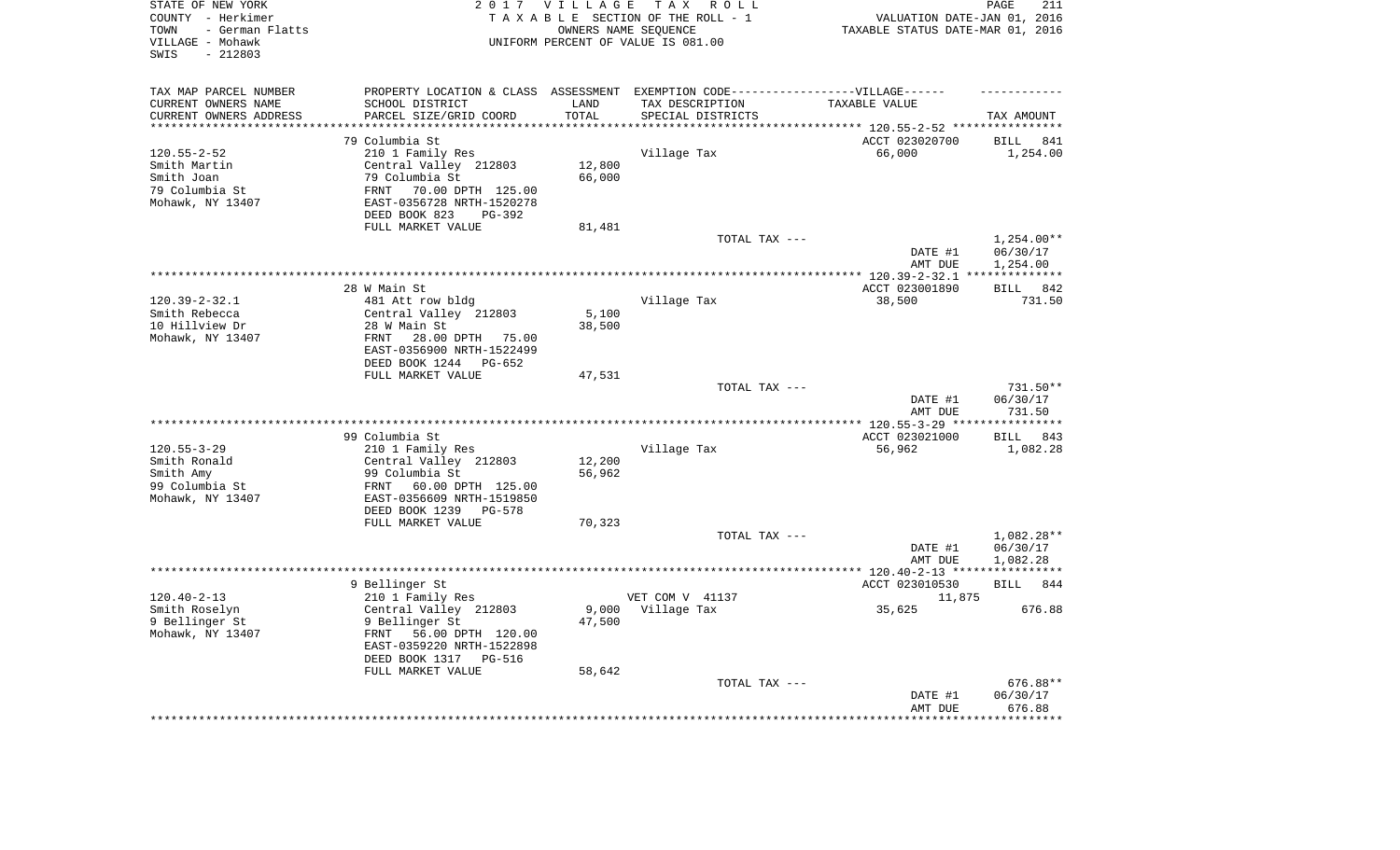| STATE OF NEW YORK<br>COUNTY - Herkimer<br>- German Flatts<br>TOWN<br>VILLAGE - Mohawk<br>$-212803$<br>SWIS |                                                        | 2017 VILLAGE<br>OWNERS NAME SEQUENCE | TAX ROLL<br>TAXABLE SECTION OF THE ROLL - 1<br>UNIFORM PERCENT OF VALUE IS 081.00                    | VALUATION DATE-JAN 01, 2016<br>TAXABLE STATUS DATE-MAR 01, 2016 | PAGE<br>211          |
|------------------------------------------------------------------------------------------------------------|--------------------------------------------------------|--------------------------------------|------------------------------------------------------------------------------------------------------|-----------------------------------------------------------------|----------------------|
| TAX MAP PARCEL NUMBER<br>CURRENT OWNERS NAME                                                               | SCHOOL DISTRICT                                        | LAND                                 | PROPERTY LOCATION & CLASS ASSESSMENT EXEMPTION CODE-----------------VILLAGE------<br>TAX DESCRIPTION | TAXABLE VALUE                                                   |                      |
| CURRENT OWNERS ADDRESS                                                                                     | PARCEL SIZE/GRID COORD                                 | TOTAL                                | SPECIAL DISTRICTS                                                                                    |                                                                 | TAX AMOUNT           |
| *********************                                                                                      | ****************************                           | *************                        |                                                                                                      |                                                                 |                      |
|                                                                                                            | 79 Columbia St                                         |                                      |                                                                                                      | ACCT 023020700                                                  | <b>BILL</b><br>841   |
| $120.55 - 2 - 52$                                                                                          | 210 1 Family Res                                       |                                      | Village Tax                                                                                          | 66,000                                                          | 1,254.00             |
| Smith Martin                                                                                               | Central Valley 212803                                  | 12,800                               |                                                                                                      |                                                                 |                      |
| Smith Joan<br>79 Columbia St                                                                               | 79 Columbia St<br>70.00 DPTH 125.00<br>FRNT            | 66,000                               |                                                                                                      |                                                                 |                      |
| Mohawk, NY 13407                                                                                           | EAST-0356728 NRTH-1520278<br>DEED BOOK 823<br>$PG-392$ |                                      |                                                                                                      |                                                                 |                      |
|                                                                                                            | FULL MARKET VALUE                                      | 81,481                               |                                                                                                      |                                                                 |                      |
|                                                                                                            |                                                        |                                      | TOTAL TAX ---                                                                                        |                                                                 | $1,254.00**$         |
|                                                                                                            |                                                        |                                      |                                                                                                      | DATE #1<br>AMT DUE                                              | 06/30/17<br>1,254.00 |
|                                                                                                            |                                                        |                                      |                                                                                                      |                                                                 | ***********          |
|                                                                                                            | 28 W Main St                                           |                                      |                                                                                                      | ACCT 023001890                                                  | BILL 842             |
| $120.39 - 2 - 32.1$                                                                                        | 481 Att row bldg                                       |                                      | Village Tax                                                                                          | 38,500                                                          | 731.50               |
| Smith Rebecca<br>10 Hillview Dr                                                                            | Central Valley 212803<br>28 W Main St                  | 5,100<br>38,500                      |                                                                                                      |                                                                 |                      |
| Mohawk, NY 13407                                                                                           | 28.00 DPTH 75.00<br>FRNT                               |                                      |                                                                                                      |                                                                 |                      |
|                                                                                                            | EAST-0356900 NRTH-1522499<br>DEED BOOK 1244<br>PG-652  |                                      |                                                                                                      |                                                                 |                      |
|                                                                                                            | FULL MARKET VALUE                                      | 47,531                               |                                                                                                      |                                                                 |                      |
|                                                                                                            |                                                        |                                      | TOTAL TAX ---                                                                                        |                                                                 | 731.50**             |
|                                                                                                            |                                                        |                                      |                                                                                                      | DATE #1<br>AMT DUE                                              | 06/30/17<br>731.50   |
|                                                                                                            |                                                        |                                      |                                                                                                      |                                                                 | **********           |
|                                                                                                            | 99 Columbia St                                         |                                      |                                                                                                      | ACCT 023021000                                                  | 843<br>BILL          |
| $120.55 - 3 - 29$                                                                                          | 210 1 Family Res                                       |                                      | Village Tax                                                                                          | 56,962                                                          | 1,082.28             |
| Smith Ronald                                                                                               | Central Valley 212803                                  | 12,200                               |                                                                                                      |                                                                 |                      |
| Smith Amy<br>99 Columbia St                                                                                | 99 Columbia St<br>60.00 DPTH 125.00<br>FRNT            | 56,962                               |                                                                                                      |                                                                 |                      |
| Mohawk, NY 13407                                                                                           | EAST-0356609 NRTH-1519850                              |                                      |                                                                                                      |                                                                 |                      |
|                                                                                                            | DEED BOOK 1239<br><b>PG-578</b>                        |                                      |                                                                                                      |                                                                 |                      |
|                                                                                                            | FULL MARKET VALUE                                      | 70,323                               |                                                                                                      |                                                                 |                      |
|                                                                                                            |                                                        |                                      | TOTAL TAX ---                                                                                        |                                                                 | 1,082.28**           |
|                                                                                                            |                                                        |                                      |                                                                                                      | DATE #1                                                         | 06/30/17             |
|                                                                                                            |                                                        |                                      |                                                                                                      | AMT DUE                                                         | 1,082.28             |
|                                                                                                            | 9 Bellinger St                                         |                                      |                                                                                                      | ACCT 023010530                                                  | 844<br>BILL          |
| $120.40 - 2 - 13$                                                                                          | 210 1 Family Res                                       |                                      | VET COM V 41137                                                                                      | 11,875                                                          |                      |
| Smith Roselyn                                                                                              | Central Valley 212803                                  | 9,000                                | Village Tax                                                                                          | 35,625                                                          | 676.88               |
| 9 Bellinger St                                                                                             | 9 Bellinger St                                         | 47,500                               |                                                                                                      |                                                                 |                      |
| Mohawk, NY 13407                                                                                           | 56.00 DPTH 120.00<br>FRNT                              |                                      |                                                                                                      |                                                                 |                      |
|                                                                                                            | EAST-0359220 NRTH-1522898                              |                                      |                                                                                                      |                                                                 |                      |
|                                                                                                            | DEED BOOK 1317<br>PG-516                               |                                      |                                                                                                      |                                                                 |                      |
|                                                                                                            | FULL MARKET VALUE                                      | 58,642                               | TOTAL TAX ---                                                                                        |                                                                 | 676.88**             |
|                                                                                                            |                                                        |                                      |                                                                                                      | DATE #1                                                         | 06/30/17             |
|                                                                                                            |                                                        |                                      |                                                                                                      | AMT DUE                                                         | 676.88               |
|                                                                                                            |                                                        |                                      |                                                                                                      | ***************                                                 | ************         |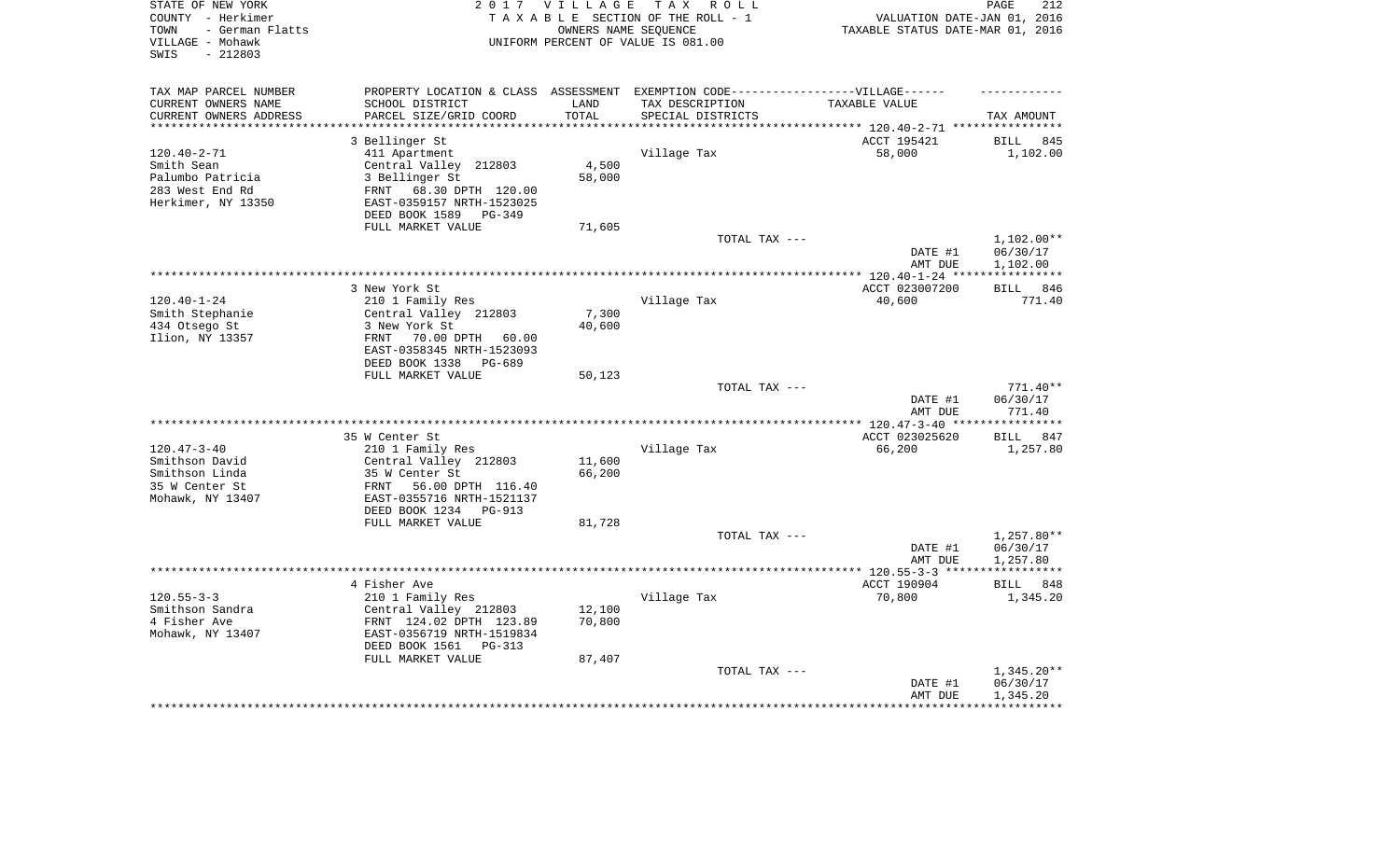| STATE OF NEW YORK<br>COUNTY - Herkimer<br>- German Flatts<br>TOWN<br>VILLAGE - Mohawk<br>$-212803$<br>SWIS |                                                                                   | 2017 VILLAGE<br>OWNERS NAME SEQUENCE | TAX ROLL<br>TAXABLE SECTION OF THE ROLL - 1<br>UNIFORM PERCENT OF VALUE IS 081.00 | VALUATION DATE-JAN 01, 2016<br>TAXABLE STATUS DATE-MAR 01, 2016     | 212<br>PAGE                    |
|------------------------------------------------------------------------------------------------------------|-----------------------------------------------------------------------------------|--------------------------------------|-----------------------------------------------------------------------------------|---------------------------------------------------------------------|--------------------------------|
| TAX MAP PARCEL NUMBER                                                                                      | PROPERTY LOCATION & CLASS ASSESSMENT EXEMPTION CODE-----------------VILLAGE------ |                                      |                                                                                   |                                                                     |                                |
| CURRENT OWNERS NAME                                                                                        | SCHOOL DISTRICT                                                                   | LAND                                 | TAX DESCRIPTION                                                                   | TAXABLE VALUE                                                       |                                |
| CURRENT OWNERS ADDRESS<br>******************                                                               | PARCEL SIZE/GRID COORD                                                            | TOTAL<br>* * * * * * * * * *         | SPECIAL DISTRICTS                                                                 |                                                                     | TAX AMOUNT                     |
|                                                                                                            |                                                                                   |                                      |                                                                                   | *************************** 120.40-2-71 ************<br>ACCT 195421 |                                |
| $120.40 - 2 - 71$                                                                                          | 3 Bellinger St<br>411 Apartment                                                   |                                      | Village Tax                                                                       | 58,000                                                              | <b>BILL</b><br>845<br>1,102.00 |
| Smith Sean                                                                                                 | Central Valley 212803                                                             | 4,500                                |                                                                                   |                                                                     |                                |
| Palumbo Patricia                                                                                           | 3 Bellinger St                                                                    | 58,000                               |                                                                                   |                                                                     |                                |
| 283 West End Rd                                                                                            | FRNT<br>68.30 DPTH 120.00                                                         |                                      |                                                                                   |                                                                     |                                |
| Herkimer, NY 13350                                                                                         | EAST-0359157 NRTH-1523025                                                         |                                      |                                                                                   |                                                                     |                                |
|                                                                                                            | DEED BOOK 1589 PG-349                                                             |                                      |                                                                                   |                                                                     |                                |
|                                                                                                            | FULL MARKET VALUE                                                                 | 71,605                               |                                                                                   |                                                                     |                                |
|                                                                                                            |                                                                                   |                                      | TOTAL TAX ---                                                                     |                                                                     | $1,102.00**$                   |
|                                                                                                            |                                                                                   |                                      |                                                                                   | DATE #1                                                             | 06/30/17                       |
|                                                                                                            |                                                                                   |                                      |                                                                                   | AMT DUE                                                             | 1,102.00<br>************       |
|                                                                                                            | 3 New York St                                                                     |                                      |                                                                                   | ACCT 023007200                                                      | BILL 846                       |
| $120.40 - 1 - 24$                                                                                          | 210 1 Family Res                                                                  |                                      | Village Tax                                                                       | 40,600                                                              | 771.40                         |
| Smith Stephanie                                                                                            | Central Valley 212803                                                             | 7,300                                |                                                                                   |                                                                     |                                |
| 434 Otsego St                                                                                              | 3 New York St                                                                     | 40,600                               |                                                                                   |                                                                     |                                |
| Ilion, NY 13357                                                                                            | FRNT<br>70.00 DPTH<br>60.00                                                       |                                      |                                                                                   |                                                                     |                                |
|                                                                                                            | EAST-0358345 NRTH-1523093                                                         |                                      |                                                                                   |                                                                     |                                |
|                                                                                                            | DEED BOOK 1338<br>PG-689                                                          |                                      |                                                                                   |                                                                     |                                |
|                                                                                                            | FULL MARKET VALUE                                                                 | 50,123                               |                                                                                   |                                                                     |                                |
|                                                                                                            |                                                                                   |                                      | TOTAL TAX ---                                                                     |                                                                     | $771.40**$                     |
|                                                                                                            |                                                                                   |                                      |                                                                                   | DATE #1<br>AMT DUE                                                  | 06/30/17<br>771.40             |
|                                                                                                            |                                                                                   |                                      | *************************                                                         | $***$ 120.47-3-40 **                                                | ********                       |
|                                                                                                            | 35 W Center St                                                                    |                                      |                                                                                   | ACCT 023025620                                                      | <b>BILL</b><br>847             |
| $120.47 - 3 - 40$                                                                                          | 210 1 Family Res                                                                  |                                      | Village Tax                                                                       | 66,200                                                              | 1,257.80                       |
| Smithson David                                                                                             | Central Valley 212803                                                             | 11,600                               |                                                                                   |                                                                     |                                |
| Smithson Linda                                                                                             | 35 W Center St                                                                    | 66,200                               |                                                                                   |                                                                     |                                |
| 35 W Center St                                                                                             | 56.00 DPTH 116.40<br>FRNT                                                         |                                      |                                                                                   |                                                                     |                                |
| Mohawk, NY 13407                                                                                           | EAST-0355716 NRTH-1521137                                                         |                                      |                                                                                   |                                                                     |                                |
|                                                                                                            | DEED BOOK 1234 PG-913                                                             |                                      |                                                                                   |                                                                     |                                |
|                                                                                                            | FULL MARKET VALUE                                                                 | 81,728                               | TOTAL TAX ---                                                                     |                                                                     | 1,257.80**                     |
|                                                                                                            |                                                                                   |                                      |                                                                                   | DATE #1                                                             | 06/30/17                       |
|                                                                                                            |                                                                                   |                                      |                                                                                   | AMT DUE                                                             | 1,257.80                       |
|                                                                                                            |                                                                                   |                                      |                                                                                   | ***** 120.55-3-3 ****                                               | ***********                    |
|                                                                                                            | 4 Fisher Ave                                                                      |                                      |                                                                                   | ACCT 190904                                                         | BILL 848                       |
| $120.55 - 3 - 3$                                                                                           | 210 1 Family Res                                                                  |                                      | Village Tax                                                                       | 70,800                                                              | 1,345.20                       |
| Smithson Sandra                                                                                            | Central Valley 212803                                                             | 12,100                               |                                                                                   |                                                                     |                                |
| 4 Fisher Ave                                                                                               | FRNT 124.02 DPTH 123.89                                                           | 70,800                               |                                                                                   |                                                                     |                                |
| Mohawk, NY 13407                                                                                           | EAST-0356719 NRTH-1519834                                                         |                                      |                                                                                   |                                                                     |                                |
|                                                                                                            | DEED BOOK 1561<br>PG-313<br>FULL MARKET VALUE                                     |                                      |                                                                                   |                                                                     |                                |
|                                                                                                            |                                                                                   | 87,407                               | TOTAL TAX ---                                                                     |                                                                     | $1,345.20**$                   |
|                                                                                                            |                                                                                   |                                      |                                                                                   | DATE #1                                                             | 06/30/17                       |
|                                                                                                            |                                                                                   |                                      |                                                                                   | AMT DUE                                                             | 1,345.20                       |
|                                                                                                            |                                                                                   |                                      |                                                                                   |                                                                     |                                |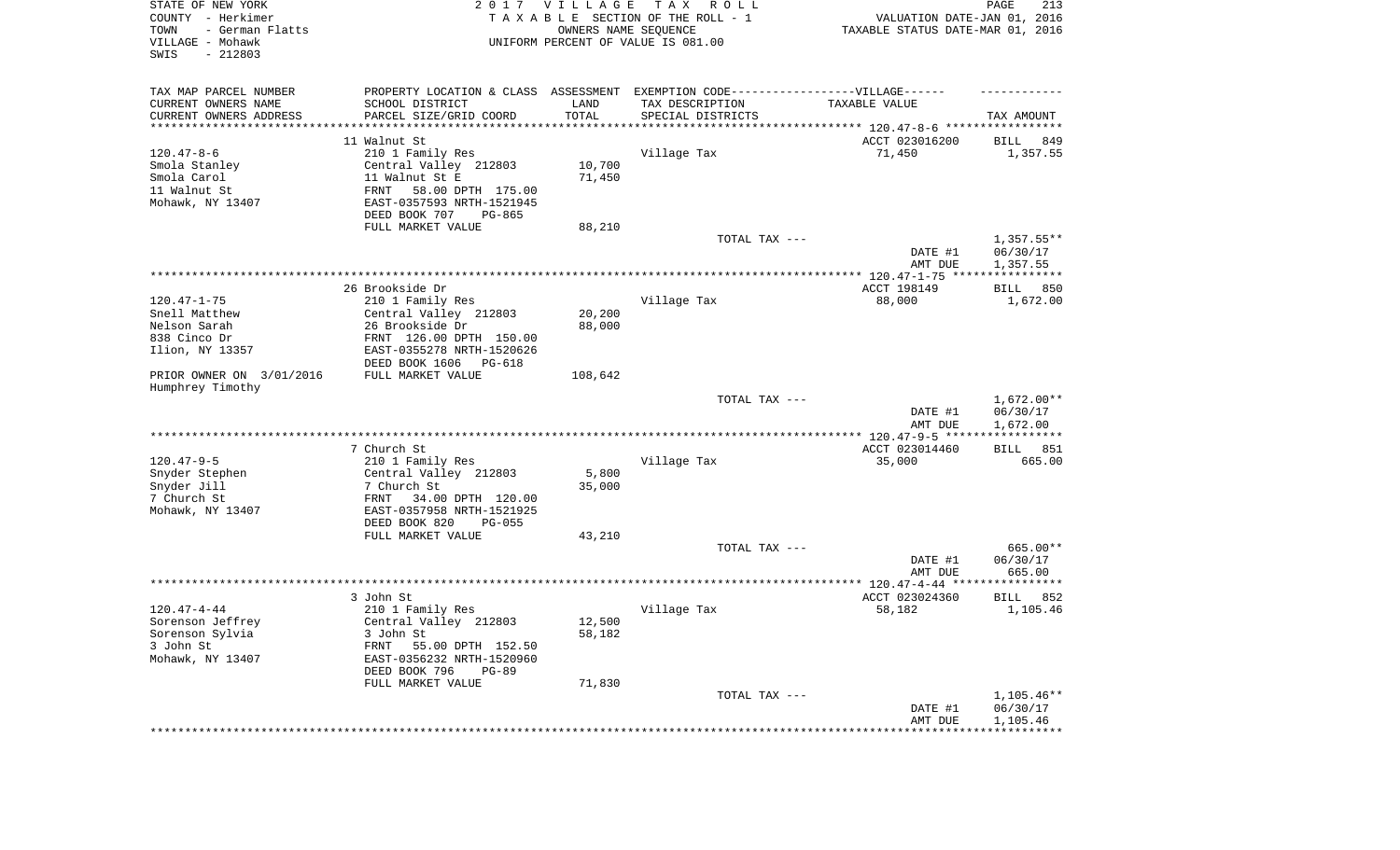| STATE OF NEW YORK<br>COUNTY - Herkimer<br>- German Flatts<br>TOWN<br>VILLAGE - Mohawk<br>SWIS<br>$-212803$ |                                                        | 2017 VILLAGE<br>OWNERS NAME SEQUENCE | T A X<br>R O L L<br>TAXABLE SECTION OF THE ROLL - 1<br>UNIFORM PERCENT OF VALUE IS 081.00 | VALUATION DATE-JAN 01, 2016<br>TAXABLE STATUS DATE-MAR 01, 2016 | 213<br>PAGE                          |
|------------------------------------------------------------------------------------------------------------|--------------------------------------------------------|--------------------------------------|-------------------------------------------------------------------------------------------|-----------------------------------------------------------------|--------------------------------------|
| TAX MAP PARCEL NUMBER                                                                                      |                                                        |                                      | PROPERTY LOCATION & CLASS ASSESSMENT EXEMPTION CODE----------------VILLAGE------          |                                                                 |                                      |
| CURRENT OWNERS NAME                                                                                        | SCHOOL DISTRICT                                        | LAND                                 | TAX DESCRIPTION                                                                           | TAXABLE VALUE                                                   |                                      |
| CURRENT OWNERS ADDRESS<br>*********************                                                            | PARCEL SIZE/GRID COORD                                 | TOTAL<br>* * * * * * * * * * *       | SPECIAL DISTRICTS                                                                         |                                                                 | TAX AMOUNT                           |
|                                                                                                            | 11 Walnut St                                           |                                      |                                                                                           | ACCT 023016200                                                  | 849<br>BILL                          |
| $120.47 - 8 - 6$                                                                                           | 210 1 Family Res                                       |                                      | Village Tax                                                                               | 71,450                                                          | 1,357.55                             |
| Smola Stanley                                                                                              | Central Valley 212803                                  | 10,700                               |                                                                                           |                                                                 |                                      |
| Smola Carol                                                                                                | 11 Walnut St E                                         | 71,450                               |                                                                                           |                                                                 |                                      |
| 11 Walnut St<br>Mohawk, NY 13407                                                                           | FRNT<br>58.00 DPTH 175.00<br>EAST-0357593 NRTH-1521945 |                                      |                                                                                           |                                                                 |                                      |
|                                                                                                            | DEED BOOK 707<br>PG-865                                |                                      |                                                                                           |                                                                 |                                      |
|                                                                                                            | FULL MARKET VALUE                                      | 88,210                               | TOTAL TAX ---                                                                             |                                                                 | $1,357.55**$                         |
|                                                                                                            |                                                        |                                      |                                                                                           | DATE #1<br>AMT DUE                                              | 06/30/17<br>1,357.55                 |
|                                                                                                            |                                                        |                                      |                                                                                           |                                                                 |                                      |
|                                                                                                            | 26 Brookside Dr                                        |                                      |                                                                                           | ACCT 198149                                                     | 850<br>BILL                          |
| $120.47 - 1 - 75$                                                                                          | 210 1 Family Res                                       |                                      | Village Tax                                                                               | 88,000                                                          | 1,672.00                             |
| Snell Matthew<br>Nelson Sarah                                                                              | Central Valley 212803<br>26 Brookside Dr               | 20,200<br>88,000                     |                                                                                           |                                                                 |                                      |
| 838 Cinco Dr                                                                                               | FRNT 126.00 DPTH 150.00                                |                                      |                                                                                           |                                                                 |                                      |
| Ilion, NY 13357                                                                                            | EAST-0355278 NRTH-1520626<br>DEED BOOK 1606<br>PG-618  |                                      |                                                                                           |                                                                 |                                      |
| PRIOR OWNER ON 3/01/2016                                                                                   | FULL MARKET VALUE                                      | 108,642                              |                                                                                           |                                                                 |                                      |
| Humphrey Timothy                                                                                           |                                                        |                                      |                                                                                           |                                                                 |                                      |
|                                                                                                            |                                                        |                                      | TOTAL TAX ---                                                                             | DATE #1<br>AMT DUE                                              | $1,672.00**$<br>06/30/17<br>1,672.00 |
|                                                                                                            |                                                        |                                      |                                                                                           | **************** 120.47-9-5 ******************                  |                                      |
|                                                                                                            | 7 Church St                                            |                                      |                                                                                           | ACCT 023014460                                                  | BILL 851                             |
| $120.47 - 9 - 5$<br>Snyder Stephen                                                                         | 210 1 Family Res<br>Central Valley 212803              | 5,800                                | Village Tax                                                                               | 35,000                                                          | 665.00                               |
| Snyder Jill                                                                                                | 7 Church St                                            | 35,000                               |                                                                                           |                                                                 |                                      |
| 7 Church St                                                                                                | 34.00 DPTH 120.00<br>FRNT                              |                                      |                                                                                           |                                                                 |                                      |
| Mohawk, NY 13407                                                                                           | EAST-0357958 NRTH-1521925                              |                                      |                                                                                           |                                                                 |                                      |
|                                                                                                            | DEED BOOK 820<br>$PG-055$                              |                                      |                                                                                           |                                                                 |                                      |
|                                                                                                            | FULL MARKET VALUE                                      | 43,210                               | TOTAL TAX ---                                                                             |                                                                 |                                      |
|                                                                                                            |                                                        |                                      |                                                                                           | DATE #1                                                         | 665.00**<br>06/30/17                 |
|                                                                                                            |                                                        |                                      |                                                                                           | AMT DUE                                                         | 665.00                               |
|                                                                                                            |                                                        |                                      |                                                                                           |                                                                 |                                      |
|                                                                                                            | 3 John St                                              |                                      |                                                                                           | ACCT 023024360                                                  | BILL<br>852                          |
| $120.47 - 4 - 44$                                                                                          | 210 1 Family Res                                       |                                      | Village Tax                                                                               | 58,182                                                          | 1,105.46                             |
| Sorenson Jeffrey<br>Sorenson Sylvia                                                                        | Central Valley 212803<br>3 John St                     | 12,500<br>58,182                     |                                                                                           |                                                                 |                                      |
| 3 John St                                                                                                  | FRNT<br>55.00 DPTH 152.50                              |                                      |                                                                                           |                                                                 |                                      |
| Mohawk, NY 13407                                                                                           | EAST-0356232 NRTH-1520960<br>DEED BOOK 796<br>PG-89    |                                      |                                                                                           |                                                                 |                                      |
|                                                                                                            | FULL MARKET VALUE                                      | 71,830                               |                                                                                           |                                                                 |                                      |
|                                                                                                            |                                                        |                                      | TOTAL TAX ---                                                                             | DATE #1                                                         | 1,105.46**<br>06/30/17               |
|                                                                                                            |                                                        |                                      |                                                                                           | AMT DUE<br>***********************************                  | 1,105.46                             |
|                                                                                                            |                                                        |                                      |                                                                                           |                                                                 |                                      |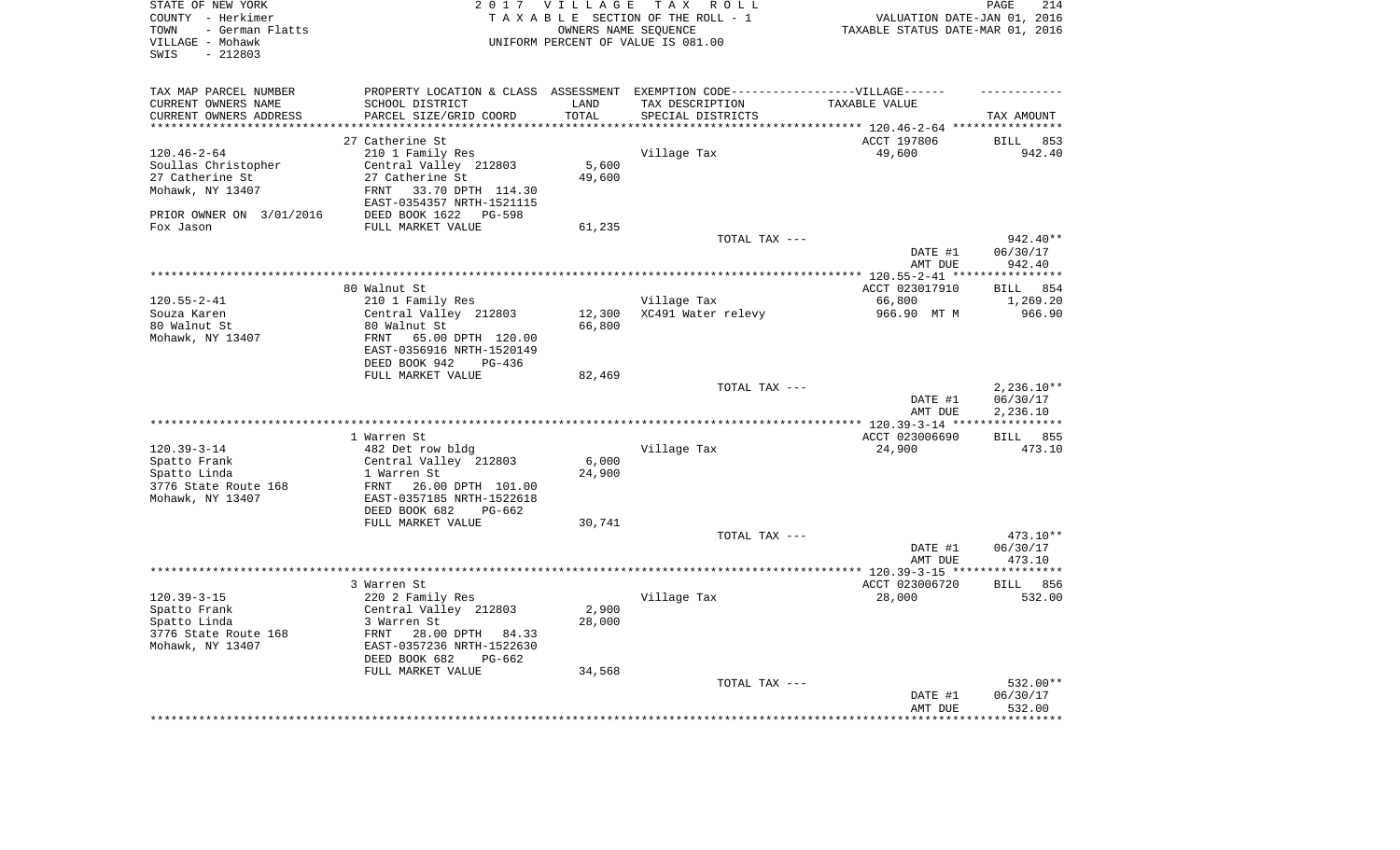| STATE OF NEW YORK<br>COUNTY - Herkimer<br>- German Flatts<br>TOWN<br>VILLAGE - Mohawk<br>SWIS<br>$-212803$ |                                                 | 2017 VILLAGE      | T A X<br>R O L L<br>TAXABLE SECTION OF THE ROLL - 1<br>OWNERS NAME SEQUENCE<br>UNIFORM PERCENT OF VALUE IS 081.00 | VALUATION DATE-JAN 01, 2016<br>TAXABLE STATUS DATE-MAR 01, 2016 | PAGE<br>214                      |
|------------------------------------------------------------------------------------------------------------|-------------------------------------------------|-------------------|-------------------------------------------------------------------------------------------------------------------|-----------------------------------------------------------------|----------------------------------|
| TAX MAP PARCEL NUMBER                                                                                      |                                                 |                   | PROPERTY LOCATION & CLASS ASSESSMENT EXEMPTION CODE-----------------VILLAGE------                                 |                                                                 |                                  |
| CURRENT OWNERS NAME                                                                                        | SCHOOL DISTRICT                                 | LAND              | TAX DESCRIPTION                                                                                                   | TAXABLE VALUE                                                   |                                  |
| CURRENT OWNERS ADDRESS<br>********************                                                             | PARCEL SIZE/GRID COORD<br>********************* | TOTAL<br>******** | SPECIAL DISTRICTS                                                                                                 | **************************** 120.46-2-64 ****************       | TAX AMOUNT                       |
|                                                                                                            | 27 Catherine St                                 |                   |                                                                                                                   | ACCT 197806                                                     | BILL<br>853                      |
| $120.46 - 2 - 64$                                                                                          | 210 1 Family Res                                |                   | Village Tax                                                                                                       | 49,600                                                          | 942.40                           |
| Soullas Christopher                                                                                        | Central Valley 212803                           | 5,600             |                                                                                                                   |                                                                 |                                  |
| 27 Catherine St                                                                                            | 27 Catherine St                                 | 49,600            |                                                                                                                   |                                                                 |                                  |
| Mohawk, NY 13407                                                                                           | <b>FRNT</b><br>33.70 DPTH 114.30                |                   |                                                                                                                   |                                                                 |                                  |
|                                                                                                            | EAST-0354357 NRTH-1521115                       |                   |                                                                                                                   |                                                                 |                                  |
| PRIOR OWNER ON 3/01/2016                                                                                   | DEED BOOK 1622<br>PG-598                        |                   |                                                                                                                   |                                                                 |                                  |
| Fox Jason                                                                                                  | FULL MARKET VALUE                               | 61,235            |                                                                                                                   |                                                                 |                                  |
|                                                                                                            |                                                 |                   | TOTAL TAX ---                                                                                                     |                                                                 | 942.40**                         |
|                                                                                                            |                                                 |                   |                                                                                                                   | DATE #1                                                         | 06/30/17<br>942.40               |
|                                                                                                            |                                                 |                   |                                                                                                                   | AMT DUE<br>******** 120.55-2-41 **                              | * * * * * * * * * * * *          |
|                                                                                                            | 80 Walnut St                                    |                   |                                                                                                                   | ACCT 023017910                                                  | 854<br><b>BILL</b>               |
| $120.55 - 2 - 41$                                                                                          | 210 1 Family Res                                |                   | Village Tax                                                                                                       | 66,800                                                          | 1,269.20                         |
| Souza Karen                                                                                                | Central Valley 212803                           | 12,300            | XC491 Water relevy                                                                                                | 966.90 MT M                                                     | 966.90                           |
| 80 Walnut St                                                                                               | 80 Walnut St                                    | 66,800            |                                                                                                                   |                                                                 |                                  |
| Mohawk, NY 13407                                                                                           | 65.00 DPTH 120.00<br>FRNT                       |                   |                                                                                                                   |                                                                 |                                  |
|                                                                                                            | EAST-0356916 NRTH-1520149                       |                   |                                                                                                                   |                                                                 |                                  |
|                                                                                                            | DEED BOOK 942<br>$PG-436$<br>FULL MARKET VALUE  | 82,469            |                                                                                                                   |                                                                 |                                  |
|                                                                                                            |                                                 |                   | TOTAL TAX ---                                                                                                     |                                                                 | $2,236.10**$                     |
|                                                                                                            |                                                 |                   |                                                                                                                   | DATE #1                                                         | 06/30/17                         |
|                                                                                                            |                                                 |                   |                                                                                                                   | AMT DUE                                                         | 2,236.10                         |
|                                                                                                            |                                                 |                   |                                                                                                                   | ** $120.39 - 3 - 14$ **                                         | ***********                      |
|                                                                                                            | 1 Warren St                                     |                   |                                                                                                                   | ACCT 023006690                                                  | 855<br>BILL                      |
| $120.39 - 3 - 14$                                                                                          | 482 Det row bldg                                |                   | Village Tax                                                                                                       | 24,900                                                          | 473.10                           |
| Spatto Frank                                                                                               | Central Valley 212803                           | 6,000             |                                                                                                                   |                                                                 |                                  |
| Spatto Linda<br>3776 State Route 168                                                                       | 1 Warren St<br>FRNT<br>26.00 DPTH 101.00        | 24,900            |                                                                                                                   |                                                                 |                                  |
| Mohawk, NY 13407                                                                                           | EAST-0357185 NRTH-1522618                       |                   |                                                                                                                   |                                                                 |                                  |
|                                                                                                            | DEED BOOK 682<br>$PG-662$                       |                   |                                                                                                                   |                                                                 |                                  |
|                                                                                                            | FULL MARKET VALUE                               | 30,741            |                                                                                                                   |                                                                 |                                  |
|                                                                                                            |                                                 |                   | TOTAL TAX ---                                                                                                     |                                                                 | 473.10**                         |
|                                                                                                            |                                                 |                   |                                                                                                                   | DATE #1                                                         | 06/30/17                         |
|                                                                                                            |                                                 |                   |                                                                                                                   | AMT DUE                                                         | 473.10                           |
|                                                                                                            | 3 Warren St                                     |                   |                                                                                                                   | ************* 120.39-3-15 ****                                  | **********<br><b>BILL</b><br>856 |
| $120.39 - 3 - 15$                                                                                          | 220 2 Family Res                                |                   | Village Tax                                                                                                       | ACCT 023006720<br>28,000                                        | 532.00                           |
| Spatto Frank                                                                                               | Central Valley 212803                           | 2,900             |                                                                                                                   |                                                                 |                                  |
| Spatto Linda                                                                                               | 3 Warren St                                     | 28,000            |                                                                                                                   |                                                                 |                                  |
| 3776 State Route 168                                                                                       | 28.00 DPTH 84.33<br>FRNT                        |                   |                                                                                                                   |                                                                 |                                  |
| Mohawk, NY 13407                                                                                           | EAST-0357236 NRTH-1522630                       |                   |                                                                                                                   |                                                                 |                                  |
|                                                                                                            | DEED BOOK 682<br>$PG-662$                       |                   |                                                                                                                   |                                                                 |                                  |
|                                                                                                            | FULL MARKET VALUE                               | 34,568            |                                                                                                                   |                                                                 |                                  |
|                                                                                                            |                                                 |                   | TOTAL TAX ---                                                                                                     | DATE #1                                                         | 532.00**<br>06/30/17             |
|                                                                                                            |                                                 |                   |                                                                                                                   | AMT DUE                                                         | 532.00                           |
|                                                                                                            |                                                 |                   |                                                                                                                   |                                                                 | *******                          |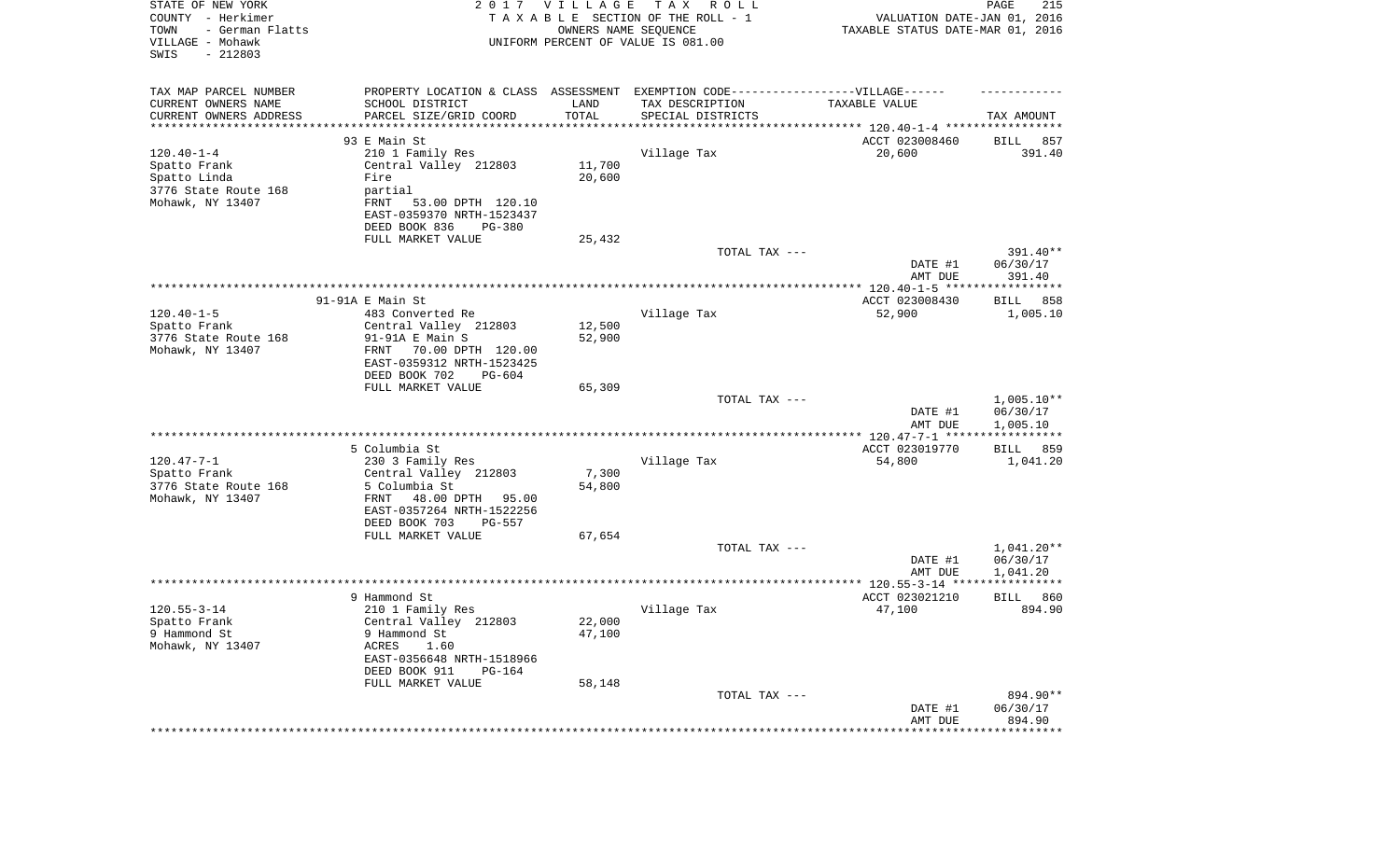| STATE OF NEW YORK<br>COUNTY - Herkimer<br>- German Flatts<br>TOWN<br>VILLAGE - Mohawk<br>SWIS<br>$-212803$ |                                                                   | 2017 VILLAGE<br>OWNERS NAME SEQUENCE | T A X<br>R O L L<br>TAXABLE SECTION OF THE ROLL - 1<br>UNIFORM PERCENT OF VALUE IS 081.00 | VALUATION DATE-JAN 01, 2016<br>TAXABLE STATUS DATE-MAR 01, 2016 | PAGE<br>215                    |
|------------------------------------------------------------------------------------------------------------|-------------------------------------------------------------------|--------------------------------------|-------------------------------------------------------------------------------------------|-----------------------------------------------------------------|--------------------------------|
| TAX MAP PARCEL NUMBER                                                                                      |                                                                   |                                      | PROPERTY LOCATION & CLASS ASSESSMENT EXEMPTION CODE----------------VILLAGE------          |                                                                 |                                |
| CURRENT OWNERS NAME<br>CURRENT OWNERS ADDRESS                                                              | SCHOOL DISTRICT<br>PARCEL SIZE/GRID COORD                         | LAND<br>TOTAL                        | TAX DESCRIPTION<br>SPECIAL DISTRICTS                                                      | TAXABLE VALUE                                                   | TAX AMOUNT                     |
| ********************                                                                                       |                                                                   |                                      | ********************************* 120.40-1-4 *****************                            |                                                                 |                                |
|                                                                                                            | 93 E Main St                                                      |                                      |                                                                                           | ACCT 023008460                                                  | 857<br>BILL                    |
| $120.40 - 1 - 4$                                                                                           | 210 1 Family Res                                                  |                                      | Village Tax                                                                               | 20,600                                                          | 391.40                         |
| Spatto Frank                                                                                               | Central Valley 212803                                             | 11,700                               |                                                                                           |                                                                 |                                |
| Spatto Linda                                                                                               | Fire                                                              | 20,600                               |                                                                                           |                                                                 |                                |
| 3776 State Route 168<br>Mohawk, NY 13407                                                                   | partial<br>FRNT<br>53.00 DPTH 120.10<br>EAST-0359370 NRTH-1523437 |                                      |                                                                                           |                                                                 |                                |
|                                                                                                            | DEED BOOK 836<br><b>PG-380</b>                                    |                                      |                                                                                           |                                                                 |                                |
|                                                                                                            | FULL MARKET VALUE                                                 | 25,432                               |                                                                                           |                                                                 |                                |
|                                                                                                            |                                                                   |                                      | TOTAL TAX ---                                                                             | DATE #1<br>AMT DUE                                              | 391.40**<br>06/30/17<br>391.40 |
|                                                                                                            |                                                                   |                                      |                                                                                           |                                                                 |                                |
|                                                                                                            | 91-91A E Main St                                                  |                                      |                                                                                           | ACCT 023008430                                                  | BILL 858                       |
| $120.40 - 1 - 5$                                                                                           | 483 Converted Re                                                  |                                      | Village Tax                                                                               | 52,900                                                          | 1,005.10                       |
| Spatto Frank                                                                                               | Central Valley 212803                                             | 12,500                               |                                                                                           |                                                                 |                                |
| 3776 State Route 168                                                                                       | $91-91A$ E Main S<br>70.00 DPTH 120.00                            | 52,900                               |                                                                                           |                                                                 |                                |
| Mohawk, NY 13407                                                                                           | FRNT<br>EAST-0359312 NRTH-1523425                                 |                                      |                                                                                           |                                                                 |                                |
|                                                                                                            | DEED BOOK 702<br>PG-604<br>FULL MARKET VALUE                      | 65,309                               |                                                                                           |                                                                 |                                |
|                                                                                                            |                                                                   |                                      | TOTAL TAX ---                                                                             |                                                                 | $1,005.10**$                   |
|                                                                                                            |                                                                   |                                      |                                                                                           | DATE #1<br>AMT DUE                                              | 06/30/17<br>1,005.10           |
|                                                                                                            |                                                                   |                                      |                                                                                           | **************** 120.47-7-1 ******************                  |                                |
|                                                                                                            | 5 Columbia St                                                     |                                      |                                                                                           | ACCT 023019770                                                  | BILL 859                       |
| $120.47 - 7 - 1$                                                                                           | 230 3 Family Res                                                  |                                      | Village Tax                                                                               | 54,800                                                          | 1,041.20                       |
| Spatto Frank<br>3776 State Route 168                                                                       | Central Valley 212803<br>5 Columbia St                            | 7,300<br>54,800                      |                                                                                           |                                                                 |                                |
| Mohawk, NY 13407                                                                                           | 48.00 DPTH<br>FRNT<br>95.00                                       |                                      |                                                                                           |                                                                 |                                |
|                                                                                                            | EAST-0357264 NRTH-1522256                                         |                                      |                                                                                           |                                                                 |                                |
|                                                                                                            | DEED BOOK 703<br>PG-557                                           |                                      |                                                                                           |                                                                 |                                |
|                                                                                                            | FULL MARKET VALUE                                                 | 67,654                               |                                                                                           |                                                                 |                                |
|                                                                                                            |                                                                   |                                      | TOTAL TAX ---                                                                             |                                                                 | $1,041.20**$                   |
|                                                                                                            |                                                                   |                                      |                                                                                           | DATE #1<br>AMT DUE                                              | 06/30/17<br>1,041.20           |
|                                                                                                            |                                                                   |                                      |                                                                                           |                                                                 |                                |
|                                                                                                            | 9 Hammond St                                                      |                                      |                                                                                           | ACCT 023021210                                                  | 860<br>BILL                    |
| $120.55 - 3 - 14$                                                                                          | 210 1 Family Res                                                  |                                      | Village Tax                                                                               | 47,100                                                          | 894.90                         |
| Spatto Frank                                                                                               | Central Valley 212803                                             | 22,000                               |                                                                                           |                                                                 |                                |
| 9 Hammond St<br>Mohawk, NY 13407                                                                           | 9 Hammond St<br>ACRES<br>1.60                                     | 47,100                               |                                                                                           |                                                                 |                                |
|                                                                                                            | EAST-0356648 NRTH-1518966                                         |                                      |                                                                                           |                                                                 |                                |
|                                                                                                            | DEED BOOK 911<br><b>PG-164</b>                                    |                                      |                                                                                           |                                                                 |                                |
|                                                                                                            | FULL MARKET VALUE                                                 | 58,148                               | TOTAL TAX ---                                                                             |                                                                 | 894.90**                       |
|                                                                                                            |                                                                   |                                      |                                                                                           | DATE #1<br>AMT DUE                                              | 06/30/17<br>894.90             |
|                                                                                                            |                                                                   |                                      |                                                                                           | *******************                                             | **************                 |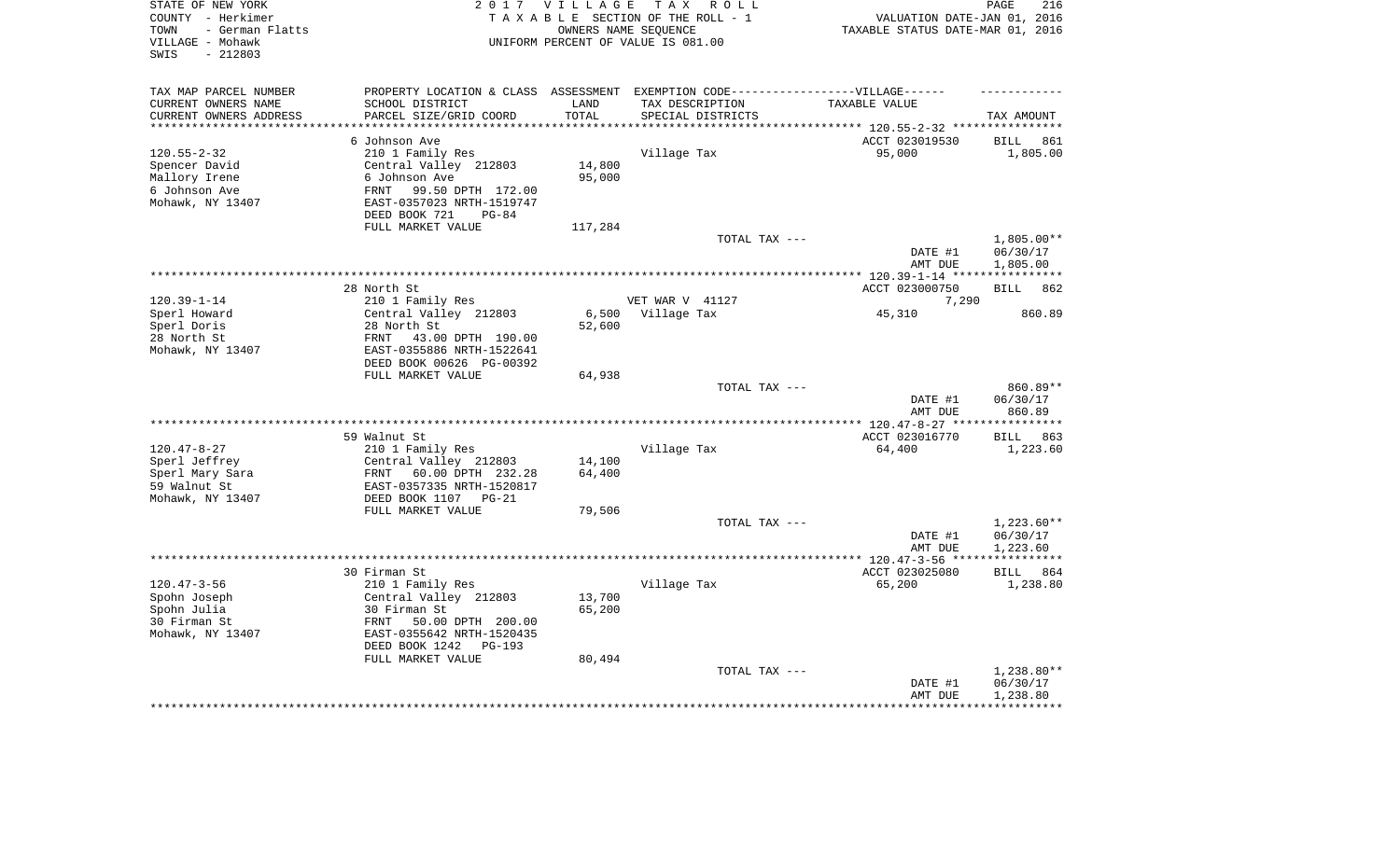| STATE OF NEW YORK<br>COUNTY - Herkimer<br>- German Flatts<br>TOWN |                                                        | 2017 VILLAGE     | TAX ROLL<br>TAXABLE SECTION OF THE ROLL - 1<br>OWNERS NAME SEOUENCE              | VALUATION DATE-JAN 01, 2016<br>TAXABLE STATUS DATE-MAR 01, 2016 | PAGE<br>216                    |
|-------------------------------------------------------------------|--------------------------------------------------------|------------------|----------------------------------------------------------------------------------|-----------------------------------------------------------------|--------------------------------|
| VILLAGE - Mohawk<br>$-212803$<br>SWIS                             |                                                        |                  | UNIFORM PERCENT OF VALUE IS 081.00                                               |                                                                 |                                |
| TAX MAP PARCEL NUMBER                                             |                                                        |                  | PROPERTY LOCATION & CLASS ASSESSMENT EXEMPTION CODE----------------VILLAGE------ |                                                                 |                                |
| CURRENT OWNERS NAME                                               | SCHOOL DISTRICT                                        | LAND             | TAX DESCRIPTION                                                                  | TAXABLE VALUE                                                   |                                |
| CURRENT OWNERS ADDRESS                                            | PARCEL SIZE/GRID COORD                                 | TOTAL            | SPECIAL DISTRICTS                                                                |                                                                 | TAX AMOUNT                     |
|                                                                   | 6 Johnson Ave                                          |                  |                                                                                  | ************ 120.55-2-32 ***********                            |                                |
| $120.55 - 2 - 32$                                                 | 210 1 Family Res                                       |                  | Village Tax                                                                      | ACCT 023019530<br>95,000                                        | <b>BILL</b><br>861<br>1,805.00 |
| Spencer David                                                     | Central Valley 212803                                  | 14,800           |                                                                                  |                                                                 |                                |
| Mallory Irene                                                     | 6 Johnson Ave                                          | 95,000           |                                                                                  |                                                                 |                                |
| 6 Johnson Ave                                                     | FRNT<br>99.50 DPTH 172.00                              |                  |                                                                                  |                                                                 |                                |
| Mohawk, NY 13407                                                  | EAST-0357023 NRTH-1519747                              |                  |                                                                                  |                                                                 |                                |
|                                                                   | DEED BOOK 721<br>$PG-84$                               |                  |                                                                                  |                                                                 |                                |
|                                                                   | FULL MARKET VALUE                                      | 117,284          |                                                                                  |                                                                 |                                |
|                                                                   |                                                        |                  | TOTAL TAX ---                                                                    |                                                                 | $1,805.00**$                   |
|                                                                   |                                                        |                  |                                                                                  | DATE #1                                                         | 06/30/17                       |
|                                                                   |                                                        |                  |                                                                                  | AMT DUE<br>************ 120.39-1-14 *****************           | 1,805.00                       |
|                                                                   | 28 North St                                            |                  |                                                                                  | ACCT 023000750                                                  | <b>BILL</b><br>862             |
| $120.39 - 1 - 14$                                                 | 210 1 Family Res                                       |                  | VET WAR V 41127                                                                  | 7,290                                                           |                                |
| Sperl Howard                                                      | Central Valley 212803                                  | 6,500            | Village Tax                                                                      | 45,310                                                          | 860.89                         |
| Sperl Doris                                                       | 28 North St                                            | 52,600           |                                                                                  |                                                                 |                                |
| 28 North St                                                       | 43.00 DPTH 190.00<br>FRNT                              |                  |                                                                                  |                                                                 |                                |
| Mohawk, NY 13407                                                  | EAST-0355886 NRTH-1522641                              |                  |                                                                                  |                                                                 |                                |
|                                                                   | DEED BOOK 00626 PG-00392                               |                  |                                                                                  |                                                                 |                                |
|                                                                   | FULL MARKET VALUE                                      | 64,938           | TOTAL TAX ---                                                                    |                                                                 | 860.89**                       |
|                                                                   |                                                        |                  |                                                                                  | DATE #1                                                         | 06/30/17                       |
|                                                                   |                                                        |                  |                                                                                  | AMT DUE                                                         | 860.89                         |
|                                                                   |                                                        |                  | ************************                                                         | $* 120.47 - 8 - 27$ **                                          | *********                      |
|                                                                   | 59 Walnut St                                           |                  |                                                                                  | ACCT 023016770                                                  | <b>BILL</b><br>863             |
| $120.47 - 8 - 27$                                                 | 210 1 Family Res                                       |                  | Village Tax                                                                      | 64,400                                                          | 1,223.60                       |
| Sperl Jeffrey                                                     | Central Valley 212803                                  | 14,100           |                                                                                  |                                                                 |                                |
| Sperl Mary Sara                                                   | 60.00 DPTH 232.28<br>FRNT                              | 64,400           |                                                                                  |                                                                 |                                |
| 59 Walnut St<br>Mohawk, NY 13407                                  | EAST-0357335 NRTH-1520817<br>DEED BOOK 1107<br>$PG-21$ |                  |                                                                                  |                                                                 |                                |
|                                                                   | FULL MARKET VALUE                                      | 79,506           |                                                                                  |                                                                 |                                |
|                                                                   |                                                        |                  | TOTAL TAX ---                                                                    |                                                                 | $1,223.60**$                   |
|                                                                   |                                                        |                  |                                                                                  | DATE #1                                                         | 06/30/17                       |
|                                                                   |                                                        |                  |                                                                                  | AMT DUE                                                         | 1,223.60                       |
|                                                                   |                                                        |                  |                                                                                  |                                                                 |                                |
|                                                                   | 30 Firman St                                           |                  |                                                                                  | ACCT 023025080                                                  | BILL 864                       |
| $120.47 - 3 - 56$                                                 | 210 1 Family Res                                       |                  | Village Tax                                                                      | 65,200                                                          | 1,238.80                       |
| Spohn Joseph<br>Spohn Julia                                       | Central Valley 212803<br>30 Firman St                  | 13,700<br>65,200 |                                                                                  |                                                                 |                                |
| 30 Firman St                                                      | 50.00 DPTH 200.00<br>FRNT                              |                  |                                                                                  |                                                                 |                                |
| Mohawk, NY 13407                                                  | EAST-0355642 NRTH-1520435                              |                  |                                                                                  |                                                                 |                                |
|                                                                   | DEED BOOK 1242<br>$PG-193$                             |                  |                                                                                  |                                                                 |                                |
|                                                                   | FULL MARKET VALUE                                      | 80,494           |                                                                                  |                                                                 |                                |
|                                                                   |                                                        |                  | TOTAL TAX ---                                                                    |                                                                 | $1,238.80**$                   |
|                                                                   |                                                        |                  |                                                                                  | DATE #1                                                         | 06/30/17                       |
|                                                                   |                                                        |                  |                                                                                  | AMT DUE                                                         | 1,238.80                       |
|                                                                   |                                                        |                  |                                                                                  |                                                                 |                                |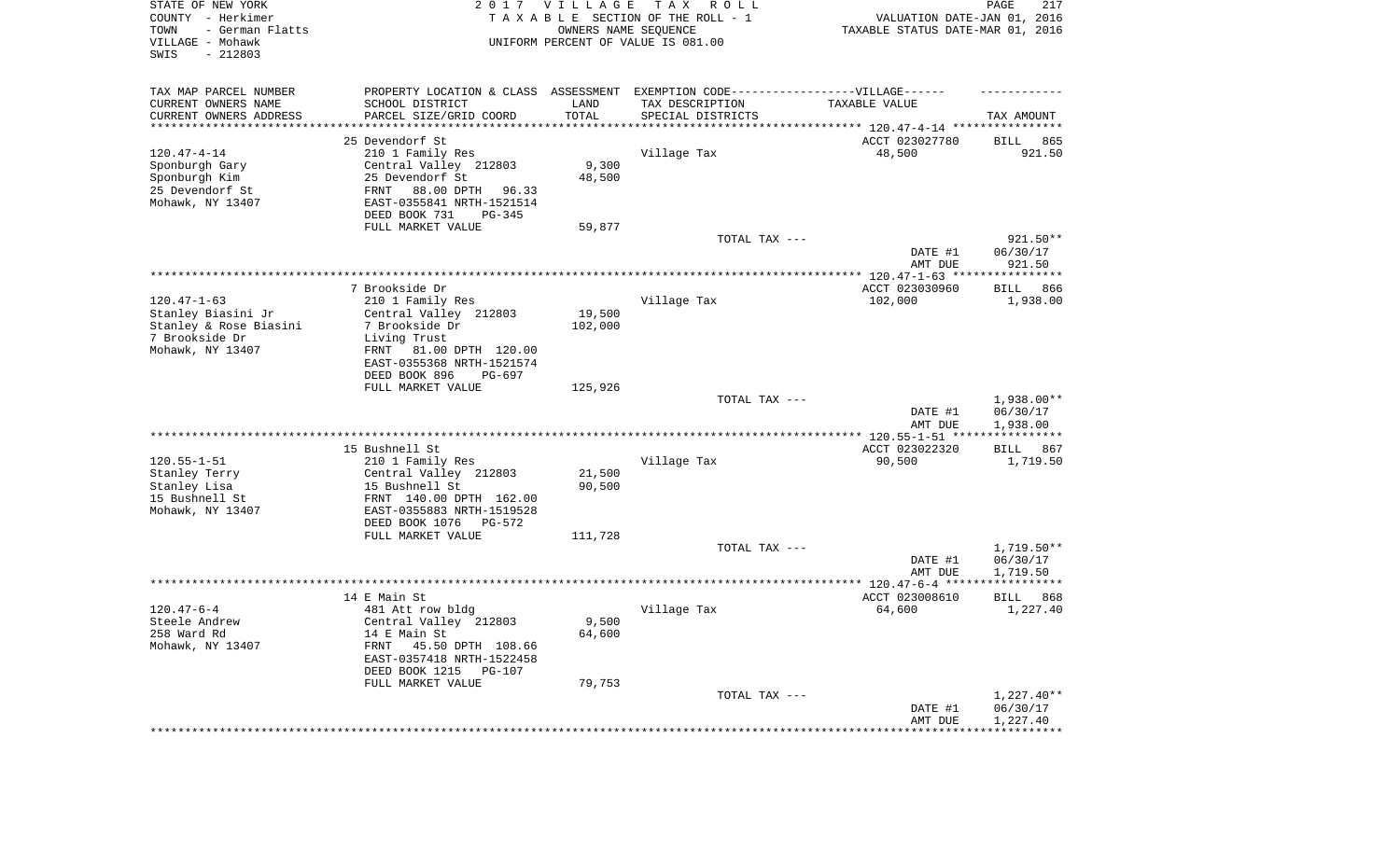| STATE OF NEW YORK<br>COUNTY - Herkimer<br>- German Flatts<br>TOWN<br>VILLAGE - Mohawk<br>SWIS<br>$-212803$ |                                                                                  | 2017 VILLAGE      | T A X<br>R O L L<br>TAXABLE SECTION OF THE ROLL - 1<br>OWNERS NAME SEQUENCE<br>UNIFORM PERCENT OF VALUE IS 081.00 | VALUATION DATE-JAN 01, 2016<br>TAXABLE STATUS DATE-MAR 01, 2016 | PAGE<br>217          |
|------------------------------------------------------------------------------------------------------------|----------------------------------------------------------------------------------|-------------------|-------------------------------------------------------------------------------------------------------------------|-----------------------------------------------------------------|----------------------|
| TAX MAP PARCEL NUMBER                                                                                      | PROPERTY LOCATION & CLASS ASSESSMENT EXEMPTION CODE----------------VILLAGE------ |                   |                                                                                                                   |                                                                 |                      |
| CURRENT OWNERS NAME                                                                                        | SCHOOL DISTRICT                                                                  | LAND              | TAX DESCRIPTION                                                                                                   | TAXABLE VALUE                                                   |                      |
| CURRENT OWNERS ADDRESS<br>********************                                                             | PARCEL SIZE/GRID COORD                                                           | TOTAL             | SPECIAL DISTRICTS                                                                                                 | ********************************* 120.47-4-14 ****************  | TAX AMOUNT           |
|                                                                                                            | 25 Devendorf St                                                                  |                   |                                                                                                                   | ACCT 023027780                                                  | 865<br>BILL          |
| $120.47 - 4 - 14$                                                                                          | 210 1 Family Res                                                                 |                   | Village Tax                                                                                                       | 48,500                                                          | 921.50               |
| Sponburgh Gary                                                                                             | Central Valley 212803                                                            | 9,300             |                                                                                                                   |                                                                 |                      |
| Sponburgh Kim                                                                                              | 25 Devendorf St<br>88.00 DPTH                                                    | 48,500            |                                                                                                                   |                                                                 |                      |
| 25 Devendorf St<br>Mohawk, NY 13407                                                                        | FRNT<br>96.33<br>EAST-0355841 NRTH-1521514                                       |                   |                                                                                                                   |                                                                 |                      |
|                                                                                                            | DEED BOOK 731<br>PG-345                                                          |                   |                                                                                                                   |                                                                 |                      |
|                                                                                                            | FULL MARKET VALUE                                                                | 59,877            |                                                                                                                   |                                                                 |                      |
|                                                                                                            |                                                                                  |                   | TOTAL TAX ---                                                                                                     |                                                                 | 921.50**             |
|                                                                                                            |                                                                                  |                   |                                                                                                                   | DATE #1<br>AMT DUE                                              | 06/30/17<br>921.50   |
|                                                                                                            |                                                                                  |                   |                                                                                                                   |                                                                 |                      |
|                                                                                                            | 7 Brookside Dr                                                                   |                   |                                                                                                                   | ACCT 023030960                                                  | 866<br>BILL          |
| $120.47 - 1 - 63$                                                                                          | 210 1 Family Res                                                                 |                   | Village Tax                                                                                                       | 102,000                                                         | 1,938.00             |
| Stanley Biasini Jr<br>Stanley & Rose Biasini                                                               | Central Valley 212803<br>7 Brookside Dr                                          | 19,500<br>102,000 |                                                                                                                   |                                                                 |                      |
| 7 Brookside Dr                                                                                             | Living Trust                                                                     |                   |                                                                                                                   |                                                                 |                      |
| Mohawk, NY 13407                                                                                           | 81.00 DPTH 120.00<br>FRNT                                                        |                   |                                                                                                                   |                                                                 |                      |
|                                                                                                            | EAST-0355368 NRTH-1521574                                                        |                   |                                                                                                                   |                                                                 |                      |
|                                                                                                            | DEED BOOK 896<br>PG-697                                                          |                   |                                                                                                                   |                                                                 |                      |
|                                                                                                            | FULL MARKET VALUE                                                                | 125,926           | TOTAL TAX ---                                                                                                     |                                                                 | 1,938.00**           |
|                                                                                                            |                                                                                  |                   |                                                                                                                   | DATE #1<br>AMT DUE                                              | 06/30/17<br>1,938.00 |
|                                                                                                            |                                                                                  |                   |                                                                                                                   | ************* 120.55-1-51 *****                                 | ***********          |
|                                                                                                            | 15 Bushnell St                                                                   |                   |                                                                                                                   | ACCT 023022320                                                  | BILL<br>867          |
| $120.55 - 1 - 51$<br>Stanley Terry                                                                         | 210 1 Family Res<br>Central Valley 212803                                        | 21,500            | Village Tax                                                                                                       | 90,500                                                          | 1,719.50             |
| Stanley Lisa                                                                                               | 15 Bushnell St                                                                   | 90,500            |                                                                                                                   |                                                                 |                      |
| 15 Bushnell St                                                                                             | FRNT 140.00 DPTH 162.00                                                          |                   |                                                                                                                   |                                                                 |                      |
| Mohawk, NY 13407                                                                                           | EAST-0355883 NRTH-1519528                                                        |                   |                                                                                                                   |                                                                 |                      |
|                                                                                                            | DEED BOOK 1076<br>PG-572<br>FULL MARKET VALUE                                    | 111,728           |                                                                                                                   |                                                                 |                      |
|                                                                                                            |                                                                                  |                   | TOTAL TAX ---                                                                                                     |                                                                 | $1,719.50**$         |
|                                                                                                            |                                                                                  |                   |                                                                                                                   | DATE #1                                                         | 06/30/17             |
|                                                                                                            |                                                                                  |                   |                                                                                                                   | AMT DUE                                                         | 1,719.50             |
|                                                                                                            | 14 E Main St                                                                     |                   |                                                                                                                   | ACCT 023008610                                                  | 868<br>BILL          |
| $120.47 - 6 - 4$                                                                                           | 481 Att row bldg                                                                 |                   | Village Tax                                                                                                       | 64,600                                                          | 1,227.40             |
| Steele Andrew                                                                                              | Central Valley 212803                                                            | 9,500             |                                                                                                                   |                                                                 |                      |
| 258 Ward Rd                                                                                                | 14 E Main St                                                                     | 64,600            |                                                                                                                   |                                                                 |                      |
| Mohawk, NY 13407                                                                                           | 45.50 DPTH 108.66<br>FRNT                                                        |                   |                                                                                                                   |                                                                 |                      |
|                                                                                                            | EAST-0357418 NRTH-1522458<br>DEED BOOK 1215<br>PG-107                            |                   |                                                                                                                   |                                                                 |                      |
|                                                                                                            | FULL MARKET VALUE                                                                | 79,753            |                                                                                                                   |                                                                 |                      |
|                                                                                                            |                                                                                  |                   | TOTAL TAX ---                                                                                                     |                                                                 | $1,227.40**$         |
|                                                                                                            |                                                                                  |                   |                                                                                                                   | DATE #1                                                         | 06/30/17             |
|                                                                                                            |                                                                                  |                   |                                                                                                                   | AMT DUE                                                         | 1,227.40             |
|                                                                                                            |                                                                                  |                   |                                                                                                                   |                                                                 |                      |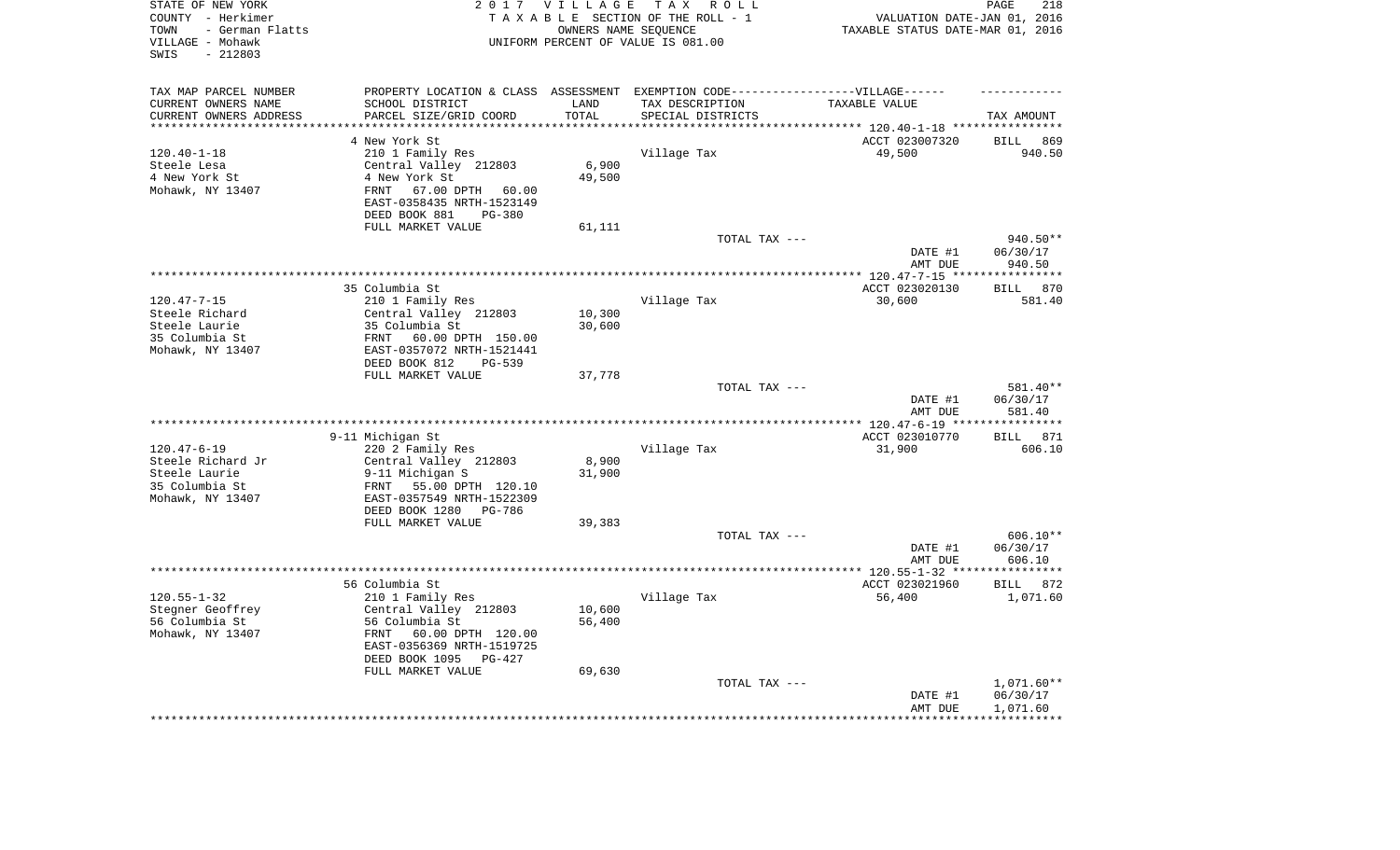| STATE OF NEW YORK<br>COUNTY - Herkimer<br>- German Flatts<br>TOWN<br>VILLAGE - Mohawk<br>$-212803$<br>SWIS | 2 0 1 7                                                     | VILLAGE<br>OWNERS NAME SEQUENCE | TAX ROLL<br>TAXABLE SECTION OF THE ROLL - 1<br>UNIFORM PERCENT OF VALUE IS 081.00 | VALUATION DATE-JAN 01, 2016<br>TAXABLE STATUS DATE-MAR 01, 2016 | 218<br>PAGE                    |
|------------------------------------------------------------------------------------------------------------|-------------------------------------------------------------|---------------------------------|-----------------------------------------------------------------------------------|-----------------------------------------------------------------|--------------------------------|
| TAX MAP PARCEL NUMBER                                                                                      |                                                             |                                 | PROPERTY LOCATION & CLASS ASSESSMENT EXEMPTION CODE-----------------VILLAGE------ |                                                                 |                                |
| CURRENT OWNERS NAME                                                                                        | SCHOOL DISTRICT                                             | LAND                            | TAX DESCRIPTION                                                                   | TAXABLE VALUE                                                   |                                |
| CURRENT OWNERS ADDRESS                                                                                     | PARCEL SIZE/GRID COORD                                      | TOTAL                           | SPECIAL DISTRICTS                                                                 |                                                                 | TAX AMOUNT                     |
| *********************                                                                                      | ************************                                    | ***********                     |                                                                                   |                                                                 |                                |
|                                                                                                            | 4 New York St                                               |                                 |                                                                                   | ACCT 023007320                                                  | <b>BILL</b><br>869             |
| $120.40 - 1 - 18$<br>Steele Lesa                                                                           | 210 1 Family Res<br>Central Valley 212803                   | 6,900                           | Village Tax                                                                       | 49,500                                                          | 940.50                         |
| 4 New York St                                                                                              | 4 New York St                                               | 49,500                          |                                                                                   |                                                                 |                                |
| Mohawk, NY 13407                                                                                           | 67.00 DPTH<br>FRNT<br>60.00                                 |                                 |                                                                                   |                                                                 |                                |
|                                                                                                            | EAST-0358435 NRTH-1523149<br>DEED BOOK 881<br><b>PG-380</b> |                                 |                                                                                   |                                                                 |                                |
|                                                                                                            | FULL MARKET VALUE                                           | 61,111                          |                                                                                   |                                                                 |                                |
|                                                                                                            |                                                             |                                 | TOTAL TAX ---                                                                     |                                                                 | 940.50**                       |
|                                                                                                            |                                                             |                                 |                                                                                   | DATE #1<br>AMT DUE                                              | 06/30/17<br>940.50             |
|                                                                                                            |                                                             |                                 |                                                                                   |                                                                 |                                |
|                                                                                                            | 35 Columbia St                                              |                                 |                                                                                   | ACCT 023020130                                                  | 870<br><b>BILL</b>             |
| $120.47 - 7 - 15$                                                                                          | 210 1 Family Res                                            |                                 | Village Tax                                                                       | 30,600                                                          | 581.40                         |
| Steele Richard                                                                                             | Central Valley 212803                                       | 10,300                          |                                                                                   |                                                                 |                                |
| Steele Laurie                                                                                              | 35 Columbia St                                              | 30,600                          |                                                                                   |                                                                 |                                |
| 35 Columbia St                                                                                             | 60.00 DPTH 150.00<br>FRNT                                   |                                 |                                                                                   |                                                                 |                                |
| Mohawk, NY 13407                                                                                           | EAST-0357072 NRTH-1521441<br>DEED BOOK 812<br>$PG-539$      |                                 |                                                                                   |                                                                 |                                |
|                                                                                                            | FULL MARKET VALUE                                           | 37,778                          |                                                                                   |                                                                 |                                |
|                                                                                                            |                                                             |                                 | TOTAL TAX ---                                                                     | DATE #1                                                         | 581.40**<br>06/30/17<br>581.40 |
|                                                                                                            |                                                             |                                 |                                                                                   | AMT DUE                                                         | ***********                    |
|                                                                                                            | 9-11 Michigan St                                            |                                 |                                                                                   | ACCT 023010770                                                  | 871<br><b>BILL</b>             |
| $120.47 - 6 - 19$                                                                                          | 220 2 Family Res                                            |                                 | Village Tax                                                                       | 31,900                                                          | 606.10                         |
| Steele Richard Jr                                                                                          | Central Valley 212803                                       | 8,900                           |                                                                                   |                                                                 |                                |
| Steele Laurie                                                                                              | 9-11 Michigan S                                             | 31,900                          |                                                                                   |                                                                 |                                |
| 35 Columbia St                                                                                             | 55.00 DPTH 120.10<br>FRNT                                   |                                 |                                                                                   |                                                                 |                                |
| Mohawk, NY 13407                                                                                           | EAST-0357549 NRTH-1522309                                   |                                 |                                                                                   |                                                                 |                                |
|                                                                                                            | DEED BOOK 1280<br>PG-786                                    |                                 |                                                                                   |                                                                 |                                |
|                                                                                                            | FULL MARKET VALUE                                           | 39,383                          |                                                                                   |                                                                 |                                |
|                                                                                                            |                                                             |                                 | TOTAL TAX ---                                                                     |                                                                 | $606.10**$                     |
|                                                                                                            |                                                             |                                 |                                                                                   | DATE #1                                                         | 06/30/17                       |
|                                                                                                            |                                                             |                                 |                                                                                   | AMT DUE                                                         | 606.10                         |
|                                                                                                            | 56 Columbia St                                              |                                 |                                                                                   | ACCT 023021960                                                  | <b>BILL</b><br>872             |
| $120.55 - 1 - 32$                                                                                          | 210 1 Family Res                                            |                                 | Village Tax                                                                       | 56,400                                                          | 1,071.60                       |
| Stegner Geoffrey                                                                                           | Central Valley 212803                                       | 10,600                          |                                                                                   |                                                                 |                                |
| 56 Columbia St                                                                                             | 56 Columbia St                                              | 56,400                          |                                                                                   |                                                                 |                                |
| Mohawk, NY 13407                                                                                           | FRNT<br>60.00 DPTH 120.00                                   |                                 |                                                                                   |                                                                 |                                |
|                                                                                                            | EAST-0356369 NRTH-1519725                                   |                                 |                                                                                   |                                                                 |                                |
|                                                                                                            | DEED BOOK 1095<br>PG-427                                    |                                 |                                                                                   |                                                                 |                                |
|                                                                                                            | FULL MARKET VALUE                                           | 69,630                          |                                                                                   |                                                                 |                                |
|                                                                                                            |                                                             |                                 | TOTAL TAX ---                                                                     |                                                                 | $1,071.60**$                   |
|                                                                                                            |                                                             |                                 |                                                                                   | DATE #1<br>AMT DUE                                              | 06/30/17<br>1,071.60           |
|                                                                                                            |                                                             |                                 |                                                                                   |                                                                 | * * * * * * * * * * * *        |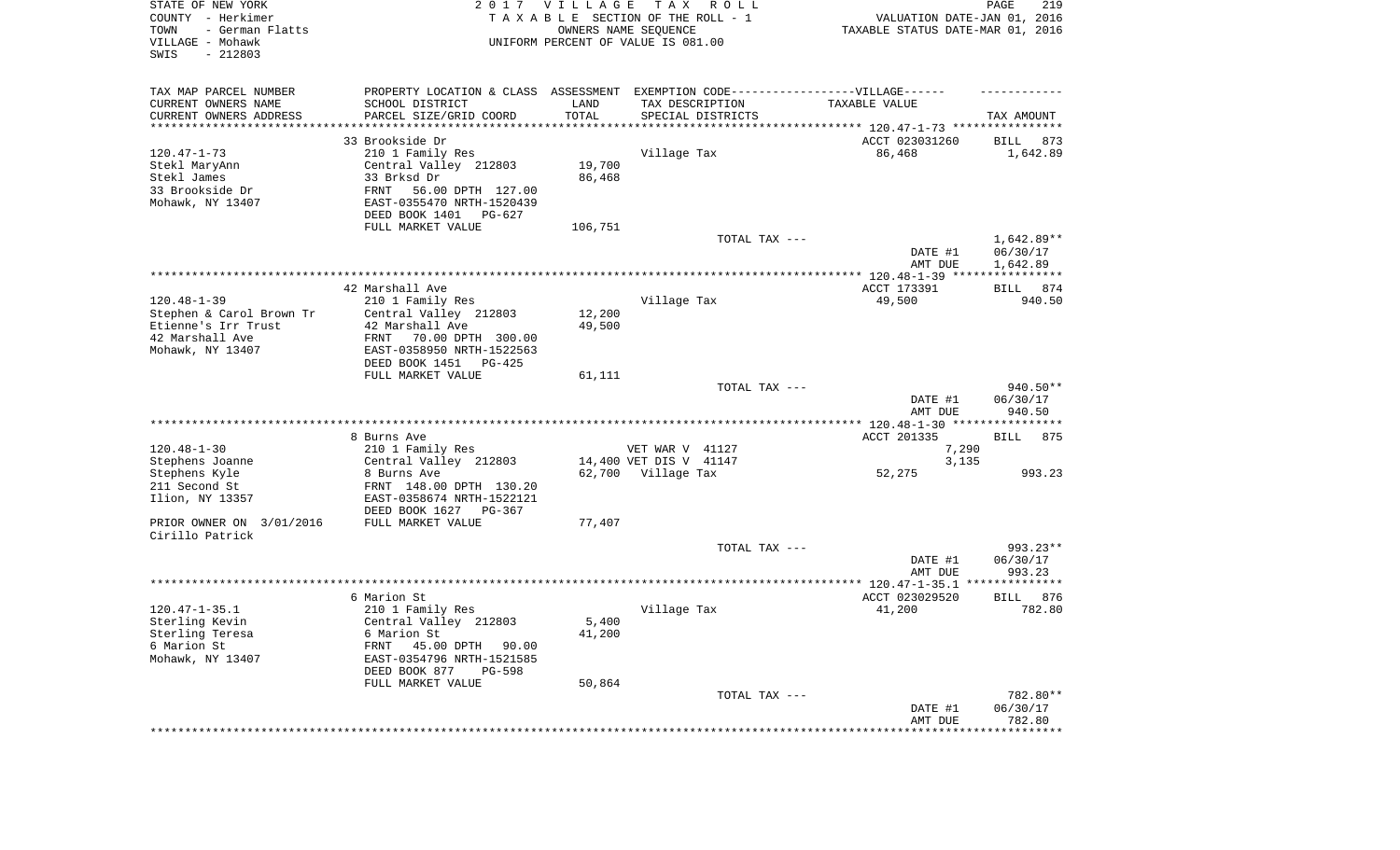| STATE OF NEW YORK<br>COUNTY - Herkimer<br>TOWN<br>- German Flatts<br>VILLAGE - Mohawk<br>SWIS<br>$-212803$  |                                                                                                                                                                                            | 2017 VILLAGE                | T A X<br>R O L L<br>TAXABLE SECTION OF THE ROLL - 1<br>OWNERS NAME SEQUENCE<br>UNIFORM PERCENT OF VALUE IS 081.00 | VALUATION DATE-JAN 01, 2016<br>TAXABLE STATUS DATE-MAR 01, 2016                 | PAGE<br>219                        |
|-------------------------------------------------------------------------------------------------------------|--------------------------------------------------------------------------------------------------------------------------------------------------------------------------------------------|-----------------------------|-------------------------------------------------------------------------------------------------------------------|---------------------------------------------------------------------------------|------------------------------------|
| TAX MAP PARCEL NUMBER<br>CURRENT OWNERS NAME<br>CURRENT OWNERS ADDRESS<br>********************              | PROPERTY LOCATION & CLASS ASSESSMENT EXEMPTION CODE-----------------VILLAGE------<br>SCHOOL DISTRICT<br>PARCEL SIZE/GRID COORD                                                             | LAND<br>TOTAL<br>********** | TAX DESCRIPTION<br>SPECIAL DISTRICTS                                                                              | TAXABLE VALUE<br>********************************* 120.47-1-73 **************** | TAX AMOUNT                         |
| $120.47 - 1 - 73$<br>Stekl MaryAnn<br>Stekl James<br>33 Brookside Dr<br>Mohawk, NY 13407                    | 33 Brookside Dr<br>210 1 Family Res<br>Central Valley 212803<br>33 Brksd Dr<br>FRNT<br>56.00 DPTH 127.00<br>EAST-0355470 NRTH-1520439<br>DEED BOOK 1401<br>PG-627<br>FULL MARKET VALUE     | 19,700<br>86,468<br>106,751 | Village Tax                                                                                                       | ACCT 023031260<br>86,468                                                        | 873<br>BILL<br>1,642.89            |
|                                                                                                             |                                                                                                                                                                                            |                             | TOTAL TAX ---                                                                                                     | DATE #1<br>AMT DUE                                                              | 1,642.89**<br>06/30/17<br>1,642.89 |
|                                                                                                             |                                                                                                                                                                                            |                             |                                                                                                                   |                                                                                 |                                    |
| $120.48 - 1 - 39$<br>Stephen & Carol Brown Tr<br>Etienne's Irr Trust<br>42 Marshall Ave<br>Mohawk, NY 13407 | 42 Marshall Ave<br>210 1 Family Res<br>Central Valley 212803<br>42 Marshall Ave<br>FRNT<br>70.00 DPTH 300.00<br>EAST-0358950 NRTH-1522563<br>DEED BOOK 1451<br>PG-425<br>FULL MARKET VALUE | 12,200<br>49,500<br>61,111  | Village Tax                                                                                                       | ACCT 173391<br>49,500                                                           | 874<br>BILL<br>940.50              |
|                                                                                                             |                                                                                                                                                                                            |                             | TOTAL TAX ---                                                                                                     | DATE #1<br>AMT DUE                                                              | 940.50**<br>06/30/17<br>940.50     |
|                                                                                                             |                                                                                                                                                                                            |                             |                                                                                                                   |                                                                                 |                                    |
| $120.48 - 1 - 30$<br>Stephens Joanne<br>Stephens Kyle<br>211 Second St<br>Ilion, NY 13357                   | 8 Burns Ave<br>210 1 Family Res<br>Central Valley 212803<br>8 Burns Ave<br>FRNT 148.00 DPTH 130.20<br>EAST-0358674 NRTH-1522121                                                            |                             | VET WAR V 41127<br>14,400 VET DIS V 41147<br>62,700 Village Tax                                                   | ACCT 201335<br>7,290<br>3,135<br>52,275                                         | <b>BILL</b><br>875<br>993.23       |
| PRIOR OWNER ON 3/01/2016<br>Cirillo Patrick                                                                 | DEED BOOK 1627<br>PG-367<br>FULL MARKET VALUE                                                                                                                                              | 77,407                      |                                                                                                                   |                                                                                 |                                    |
|                                                                                                             |                                                                                                                                                                                            |                             | TOTAL TAX ---                                                                                                     | DATE #1<br>AMT DUE                                                              | 993.23**<br>06/30/17<br>993.23     |
|                                                                                                             |                                                                                                                                                                                            |                             |                                                                                                                   | ************** 120.47-1-35.1                                                    | **************                     |
| $120.47 - 1 - 35.1$<br>Sterling Kevin<br>Sterling Teresa<br>6 Marion St<br>Mohawk, NY 13407                 | 6 Marion St<br>210 1 Family Res<br>Central Valley 212803<br>6 Marion St<br>45.00 DPTH 90.00<br>FRNT<br>EAST-0354796 NRTH-1521585<br>DEED BOOK 877<br>PG-598                                | 5,400<br>41,200             | Village Tax                                                                                                       | ACCT 023029520<br>41,200                                                        | 876<br>BILL<br>782.80              |
|                                                                                                             | FULL MARKET VALUE                                                                                                                                                                          | 50,864                      | TOTAL TAX ---                                                                                                     | DATE #1<br>AMT DUE                                                              | 782.80**<br>06/30/17<br>782.80     |
|                                                                                                             |                                                                                                                                                                                            |                             |                                                                                                                   |                                                                                 |                                    |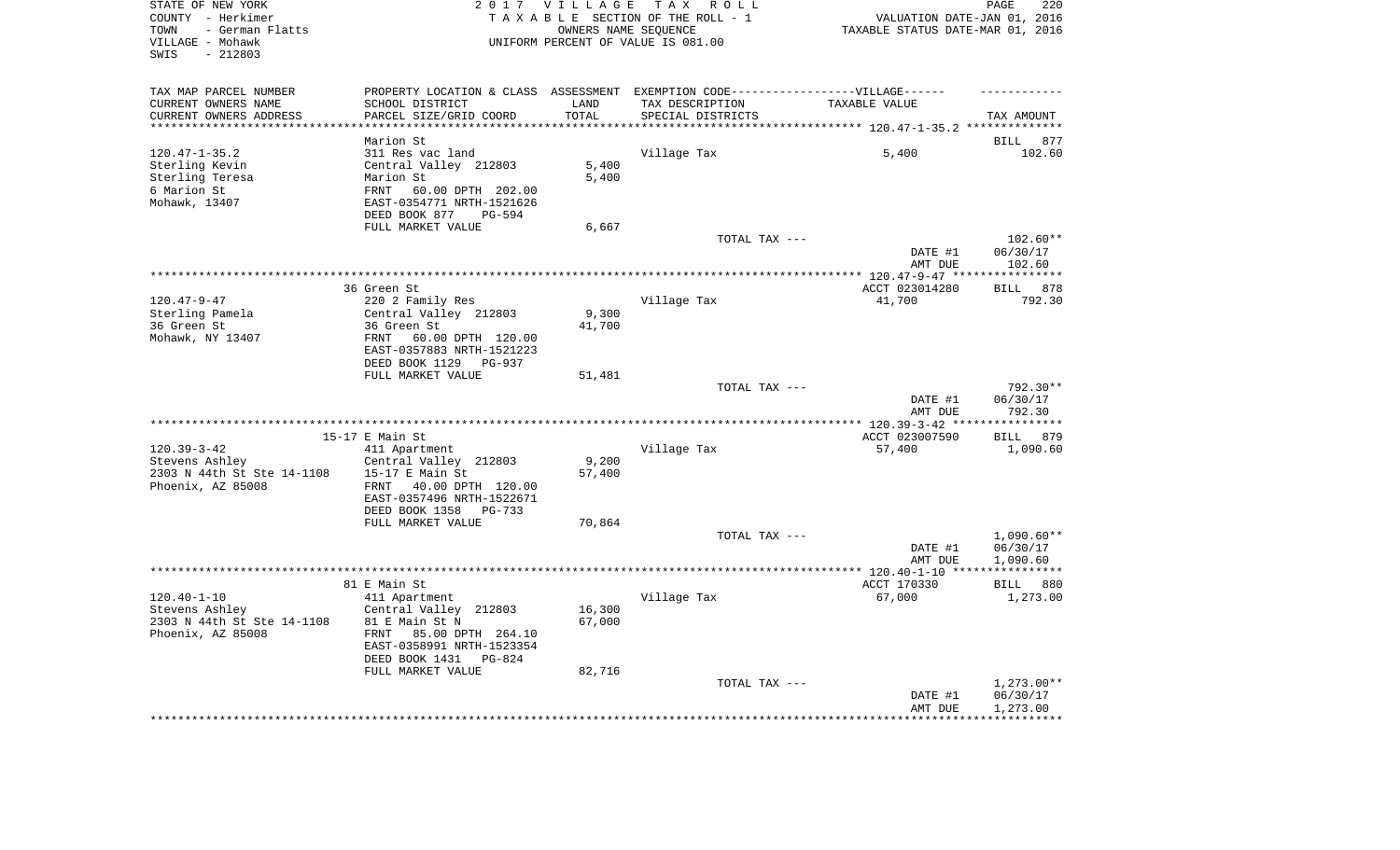| STATE OF NEW YORK<br>COUNTY - Herkimer<br>- German Flatts<br>TOWN<br>VILLAGE - Mohawk<br>SWIS<br>$-212803$ |                                                                                   | 2017 VILLAGE             | TAX ROLL<br>TAXABLE SECTION OF THE ROLL - 1<br>OWNERS NAME SEQUENCE<br>UNIFORM PERCENT OF VALUE IS 081.00 | VALUATION DATE-JAN 01, 2016<br>TAXABLE STATUS DATE-MAR 01, 2016 | 220<br>PAGE        |
|------------------------------------------------------------------------------------------------------------|-----------------------------------------------------------------------------------|--------------------------|-----------------------------------------------------------------------------------------------------------|-----------------------------------------------------------------|--------------------|
| TAX MAP PARCEL NUMBER                                                                                      | PROPERTY LOCATION & CLASS ASSESSMENT EXEMPTION CODE-----------------VILLAGE------ |                          |                                                                                                           |                                                                 |                    |
| CURRENT OWNERS NAME                                                                                        | SCHOOL DISTRICT                                                                   | LAND                     | TAX DESCRIPTION                                                                                           | TAXABLE VALUE                                                   |                    |
| CURRENT OWNERS ADDRESS<br>**********************                                                           | PARCEL SIZE/GRID COORD<br>************************                                | TOTAL<br>*************** | SPECIAL DISTRICTS                                                                                         |                                                                 | TAX AMOUNT         |
|                                                                                                            | Marion St                                                                         |                          |                                                                                                           |                                                                 | 877<br>BILL        |
| $120.47 - 1 - 35.2$                                                                                        | 311 Res vac land                                                                  |                          | Village Tax                                                                                               | 5,400                                                           | 102.60             |
| Sterling Kevin                                                                                             | Central Valley 212803                                                             | 5,400                    |                                                                                                           |                                                                 |                    |
| Sterling Teresa                                                                                            | Marion St                                                                         | 5,400                    |                                                                                                           |                                                                 |                    |
| 6 Marion St                                                                                                | 60.00 DPTH 202.00<br>FRNT                                                         |                          |                                                                                                           |                                                                 |                    |
| Mohawk, 13407                                                                                              | EAST-0354771 NRTH-1521626                                                         |                          |                                                                                                           |                                                                 |                    |
|                                                                                                            | DEED BOOK 877<br>PG-594                                                           |                          |                                                                                                           |                                                                 |                    |
|                                                                                                            | FULL MARKET VALUE                                                                 | 6,667                    |                                                                                                           |                                                                 |                    |
|                                                                                                            |                                                                                   |                          | TOTAL TAX ---                                                                                             |                                                                 | $102.60**$         |
|                                                                                                            |                                                                                   |                          |                                                                                                           | DATE #1<br>AMT DUE                                              | 06/30/17<br>102.60 |
|                                                                                                            |                                                                                   |                          |                                                                                                           | *********** 120.47-9-47 *****************                       |                    |
|                                                                                                            | 36 Green St                                                                       |                          |                                                                                                           | ACCT 023014280                                                  | 878<br><b>BILL</b> |
| $120.47 - 9 - 47$                                                                                          | 220 2 Family Res                                                                  |                          | Village Tax                                                                                               | 41,700                                                          | 792.30             |
| Sterling Pamela                                                                                            | Central Valley 212803                                                             | 9,300                    |                                                                                                           |                                                                 |                    |
| 36 Green St                                                                                                | 36 Green St                                                                       | 41,700                   |                                                                                                           |                                                                 |                    |
| Mohawk, NY 13407                                                                                           | FRNT<br>60.00 DPTH 120.00                                                         |                          |                                                                                                           |                                                                 |                    |
|                                                                                                            | EAST-0357883 NRTH-1521223<br>DEED BOOK 1129<br>PG-937                             |                          |                                                                                                           |                                                                 |                    |
|                                                                                                            | FULL MARKET VALUE                                                                 | 51,481                   |                                                                                                           |                                                                 |                    |
|                                                                                                            |                                                                                   |                          | TOTAL TAX ---                                                                                             |                                                                 | 792.30**           |
|                                                                                                            |                                                                                   |                          |                                                                                                           | DATE #1                                                         | 06/30/17           |
|                                                                                                            |                                                                                   |                          |                                                                                                           | AMT DUE                                                         | 792.30             |
|                                                                                                            |                                                                                   |                          |                                                                                                           | **** 120.39-3-42 ***                                            | **********         |
|                                                                                                            | 15-17 E Main St                                                                   |                          |                                                                                                           | ACCT 023007590                                                  | 879<br><b>BILL</b> |
| $120.39 - 3 - 42$<br>Stevens Ashley                                                                        | 411 Apartment<br>Central Valley 212803                                            | 9,200                    | Village Tax                                                                                               | 57,400                                                          | 1,090.60           |
| 2303 N 44th St Ste 14-1108                                                                                 | 15-17 E Main St                                                                   | 57,400                   |                                                                                                           |                                                                 |                    |
| Phoenix, AZ 85008                                                                                          | FRNT<br>40.00 DPTH 120.00                                                         |                          |                                                                                                           |                                                                 |                    |
|                                                                                                            | EAST-0357496 NRTH-1522671                                                         |                          |                                                                                                           |                                                                 |                    |
|                                                                                                            | DEED BOOK 1358 PG-733                                                             |                          |                                                                                                           |                                                                 |                    |
|                                                                                                            | FULL MARKET VALUE                                                                 | 70,864                   |                                                                                                           |                                                                 |                    |
|                                                                                                            |                                                                                   |                          | TOTAL TAX ---                                                                                             |                                                                 | $1,090.60**$       |
|                                                                                                            |                                                                                   |                          |                                                                                                           | DATE #1                                                         | 06/30/17           |
|                                                                                                            |                                                                                   |                          |                                                                                                           | AMT DUE                                                         | 1,090.60           |
|                                                                                                            | 81 E Main St                                                                      |                          |                                                                                                           | ACCT 170330                                                     | BILL 880           |
| $120.40 - 1 - 10$                                                                                          | 411 Apartment                                                                     |                          | Village Tax                                                                                               | 67,000                                                          | 1,273.00           |
| Stevens Ashley                                                                                             | Central Valley 212803                                                             | 16,300                   |                                                                                                           |                                                                 |                    |
| 2303 N 44th St Ste 14-1108                                                                                 | 81 E Main St N                                                                    | 67,000                   |                                                                                                           |                                                                 |                    |
| Phoenix, AZ 85008                                                                                          | FRNT 85.00 DPTH 264.10                                                            |                          |                                                                                                           |                                                                 |                    |
|                                                                                                            | EAST-0358991 NRTH-1523354                                                         |                          |                                                                                                           |                                                                 |                    |
|                                                                                                            | DEED BOOK 1431<br>$PG-824$<br>FULL MARKET VALUE                                   | 82,716                   |                                                                                                           |                                                                 |                    |
|                                                                                                            |                                                                                   |                          | TOTAL TAX ---                                                                                             |                                                                 | $1,273.00**$       |
|                                                                                                            |                                                                                   |                          |                                                                                                           | DATE #1                                                         | 06/30/17           |
|                                                                                                            |                                                                                   |                          |                                                                                                           | AMT DUE                                                         | 1,273.00           |
|                                                                                                            |                                                                                   |                          |                                                                                                           |                                                                 |                    |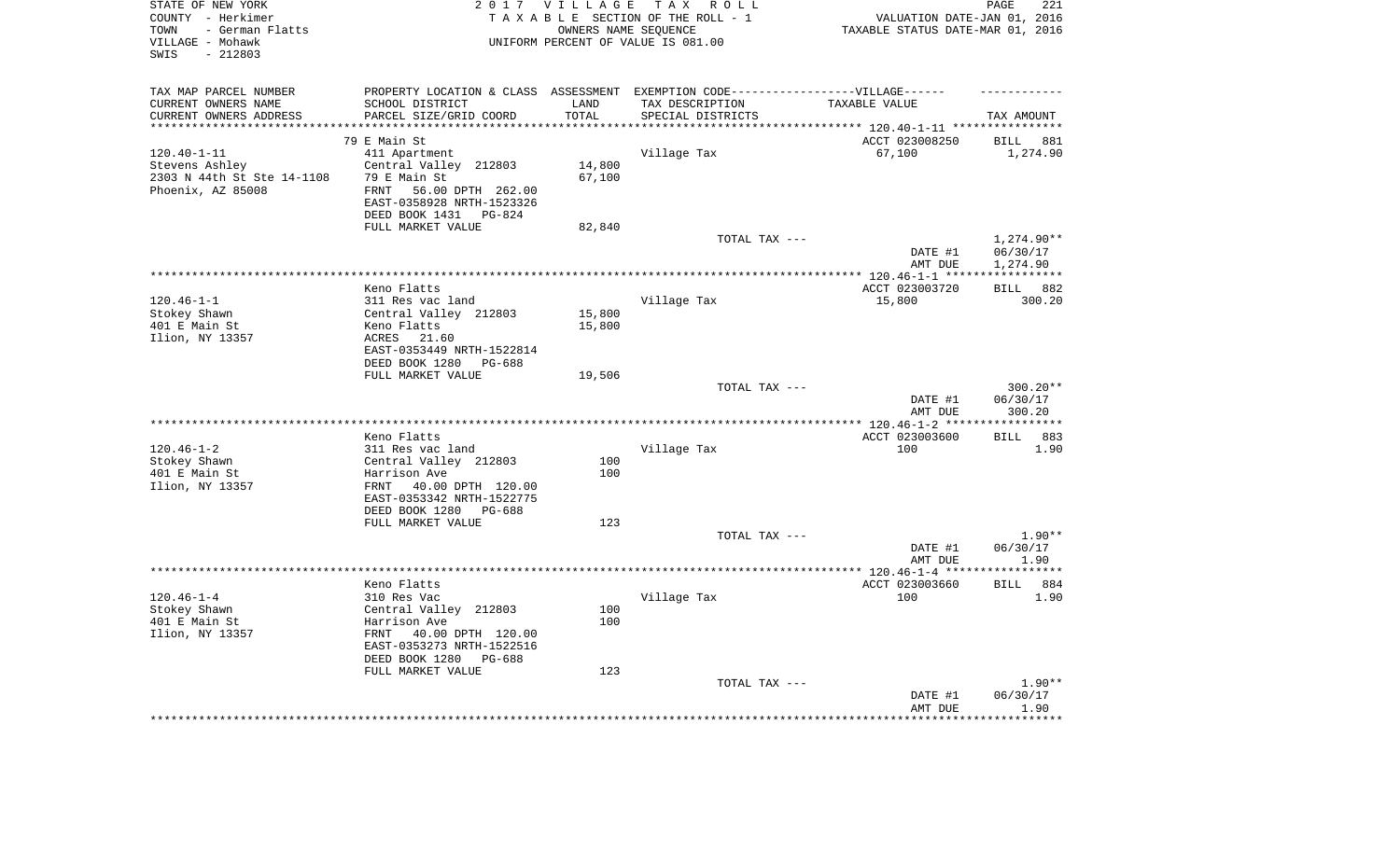| STATE OF NEW YORK<br>COUNTY - Herkimer<br>- German Flatts<br>TOWN<br>VILLAGE - Mohawk<br>$-212803$<br>SWIS |                                                                                   | 2017 VILLAGE      | TAX ROLL<br>TAXABLE SECTION OF THE ROLL - 1<br>OWNERS NAME SEQUENCE<br>UNIFORM PERCENT OF VALUE IS 081.00 | VALUATION DATE-JAN 01, 2016<br>TAXABLE STATUS DATE-MAR 01, 2016 | PAGE<br>221             |
|------------------------------------------------------------------------------------------------------------|-----------------------------------------------------------------------------------|-------------------|-----------------------------------------------------------------------------------------------------------|-----------------------------------------------------------------|-------------------------|
| TAX MAP PARCEL NUMBER                                                                                      | PROPERTY LOCATION & CLASS ASSESSMENT EXEMPTION CODE-----------------VILLAGE------ |                   |                                                                                                           |                                                                 |                         |
| CURRENT OWNERS NAME                                                                                        | SCHOOL DISTRICT                                                                   | LAND              | TAX DESCRIPTION                                                                                           | TAXABLE VALUE                                                   |                         |
| CURRENT OWNERS ADDRESS                                                                                     | PARCEL SIZE/GRID COORD                                                            | TOTAL<br>******** | SPECIAL DISTRICTS                                                                                         |                                                                 | TAX AMOUNT              |
| ********************                                                                                       | **********************                                                            |                   |                                                                                                           |                                                                 |                         |
|                                                                                                            | 79 E Main St                                                                      |                   |                                                                                                           | ACCT 023008250                                                  | <b>BILL</b><br>881      |
| $120.40 - 1 - 11$                                                                                          | 411 Apartment                                                                     |                   | Village Tax                                                                                               | 67,100                                                          | 1,274.90                |
| Stevens Ashley<br>2303 N 44th St Ste 14-1108                                                               | Central Valley 212803<br>79 E Main St                                             | 14,800<br>67,100  |                                                                                                           |                                                                 |                         |
| Phoenix, AZ 85008                                                                                          | 56.00 DPTH 262.00<br>FRNT                                                         |                   |                                                                                                           |                                                                 |                         |
|                                                                                                            | EAST-0358928 NRTH-1523326                                                         |                   |                                                                                                           |                                                                 |                         |
|                                                                                                            | DEED BOOK 1431<br>PG-824                                                          |                   |                                                                                                           |                                                                 |                         |
|                                                                                                            | FULL MARKET VALUE                                                                 | 82,840            |                                                                                                           |                                                                 |                         |
|                                                                                                            |                                                                                   |                   | TOTAL TAX ---                                                                                             |                                                                 | 1,274.90**              |
|                                                                                                            |                                                                                   |                   |                                                                                                           | DATE #1                                                         | 06/30/17                |
|                                                                                                            |                                                                                   |                   |                                                                                                           | AMT DUE                                                         | 1,274.90                |
|                                                                                                            |                                                                                   |                   |                                                                                                           | *********** 120.46-1-1 *****                                    | * * * * * * * * * * * * |
|                                                                                                            | Keno Flatts                                                                       |                   |                                                                                                           | ACCT 023003720                                                  | 882<br><b>BILL</b>      |
| $120.46 - 1 - 1$                                                                                           | 311 Res vac land                                                                  |                   | Village Tax                                                                                               | 15,800                                                          | 300.20                  |
| Stokey Shawn                                                                                               | Central Valley 212803                                                             | 15,800            |                                                                                                           |                                                                 |                         |
| 401 E Main St                                                                                              | Keno Flatts                                                                       | 15,800            |                                                                                                           |                                                                 |                         |
| Ilion, NY 13357                                                                                            | ACRES<br>21.60                                                                    |                   |                                                                                                           |                                                                 |                         |
|                                                                                                            | EAST-0353449 NRTH-1522814                                                         |                   |                                                                                                           |                                                                 |                         |
|                                                                                                            | DEED BOOK 1280<br>PG-688                                                          |                   |                                                                                                           |                                                                 |                         |
|                                                                                                            | FULL MARKET VALUE                                                                 | 19,506            | TOTAL TAX ---                                                                                             |                                                                 | $300.20**$              |
|                                                                                                            |                                                                                   |                   |                                                                                                           | DATE #1                                                         | 06/30/17                |
|                                                                                                            |                                                                                   |                   |                                                                                                           | AMT DUE                                                         | 300.20                  |
|                                                                                                            |                                                                                   |                   |                                                                                                           | **** 120.46-1-2 ***                                             | **********              |
|                                                                                                            | Keno Flatts                                                                       |                   |                                                                                                           | ACCT 023003600                                                  | 883<br>BILL             |
| $120.46 - 1 - 2$                                                                                           | 311 Res vac land                                                                  |                   | Village Tax                                                                                               | 100                                                             | 1.90                    |
| Stokey Shawn                                                                                               | Central Valley 212803                                                             | 100               |                                                                                                           |                                                                 |                         |
| 401 E Main St                                                                                              | Harrison Ave                                                                      | 100               |                                                                                                           |                                                                 |                         |
| Ilion, NY 13357                                                                                            | FRNT<br>40.00 DPTH 120.00                                                         |                   |                                                                                                           |                                                                 |                         |
|                                                                                                            | EAST-0353342 NRTH-1522775                                                         |                   |                                                                                                           |                                                                 |                         |
|                                                                                                            | DEED BOOK 1280 PG-688                                                             |                   |                                                                                                           |                                                                 |                         |
|                                                                                                            | FULL MARKET VALUE                                                                 | 123               |                                                                                                           |                                                                 |                         |
|                                                                                                            |                                                                                   |                   | TOTAL TAX ---                                                                                             |                                                                 | $1.90**$                |
|                                                                                                            |                                                                                   |                   |                                                                                                           | DATE #1                                                         | 06/30/17                |
|                                                                                                            |                                                                                   |                   |                                                                                                           | AMT DUE<br>************* 120.46-1-4 ****                        | 1.90<br>********        |
|                                                                                                            | Keno Flatts                                                                       |                   |                                                                                                           | ACCT 023003660                                                  | <b>BILL</b><br>884      |
| $120.46 - 1 - 4$                                                                                           | 310 Res Vac                                                                       |                   | Village Tax                                                                                               | 100                                                             | 1.90                    |
| Stokey Shawn                                                                                               | Central Valley 212803                                                             | 100               |                                                                                                           |                                                                 |                         |
| 401 E Main St                                                                                              | Harrison Ave                                                                      | 100               |                                                                                                           |                                                                 |                         |
| Ilion, NY 13357                                                                                            | FRNT<br>40.00 DPTH 120.00                                                         |                   |                                                                                                           |                                                                 |                         |
|                                                                                                            | EAST-0353273 NRTH-1522516                                                         |                   |                                                                                                           |                                                                 |                         |
|                                                                                                            | DEED BOOK 1280<br>PG-688                                                          |                   |                                                                                                           |                                                                 |                         |
|                                                                                                            | FULL MARKET VALUE                                                                 | 123               |                                                                                                           |                                                                 |                         |
|                                                                                                            |                                                                                   |                   | TOTAL TAX ---                                                                                             |                                                                 | $1.90**$                |
|                                                                                                            |                                                                                   |                   |                                                                                                           | DATE #1                                                         | 06/30/17                |
|                                                                                                            |                                                                                   |                   |                                                                                                           | AMT DUE                                                         | 1.90                    |
|                                                                                                            |                                                                                   |                   |                                                                                                           |                                                                 |                         |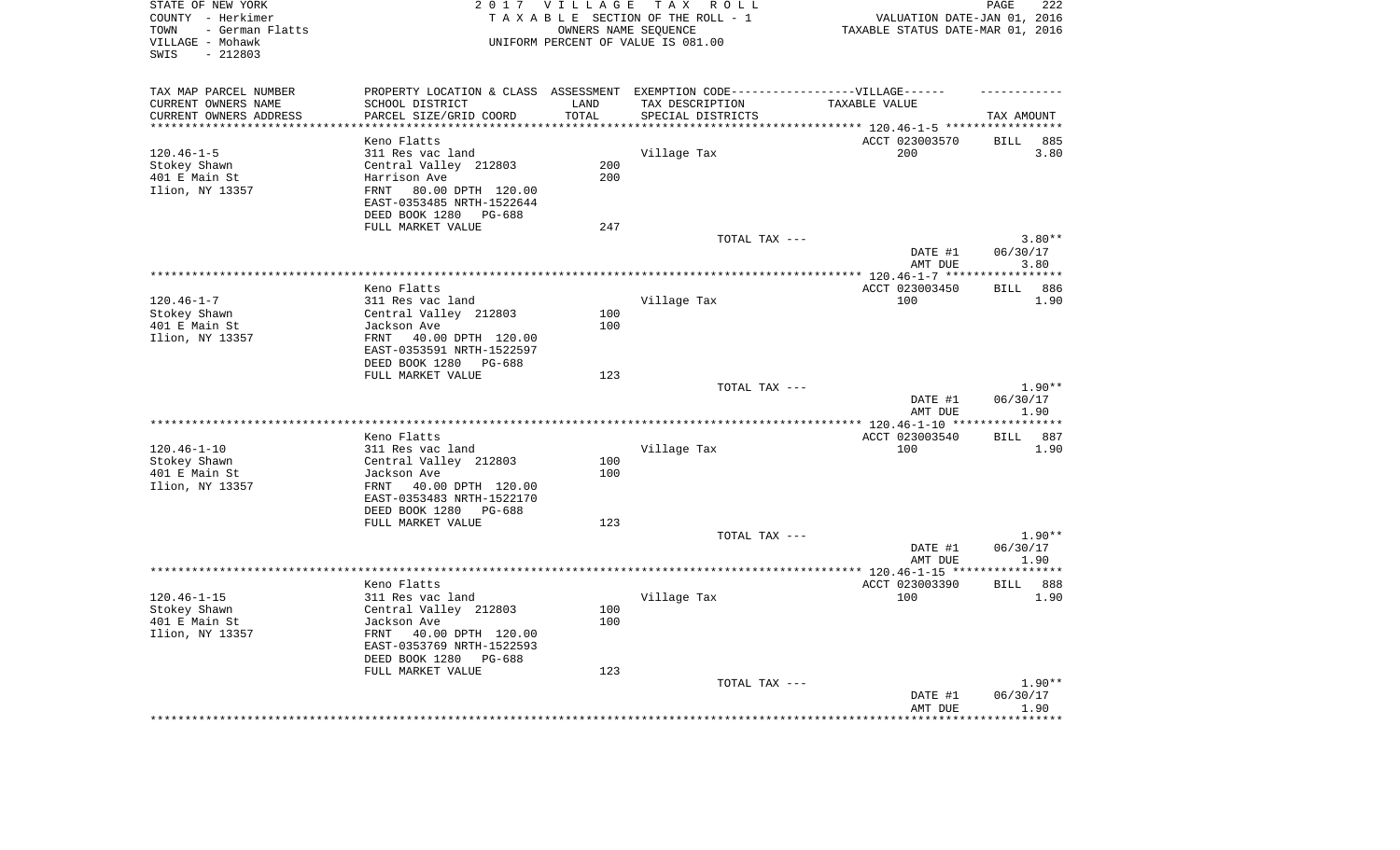| TAX MAP PARCEL NUMBER<br>PROPERTY LOCATION & CLASS ASSESSMENT EXEMPTION CODE-----------------VILLAGE------<br>CURRENT OWNERS NAME<br>SCHOOL DISTRICT<br>LAND<br>TAX DESCRIPTION<br>TAXABLE VALUE<br>CURRENT OWNERS ADDRESS<br>PARCEL SIZE/GRID COORD<br>TOTAL<br>SPECIAL DISTRICTS<br>TAX AMOUNT<br>*********************<br>*********<br>ACCT 023003570<br>Keno Flatts<br><b>BILL</b><br>885<br>$120.46 - 1 - 5$<br>Village Tax<br>200<br>3.80<br>311 Res vac land<br>Central Valley 212803<br>200<br>Stokey Shawn<br>200<br>401 E Main St<br>Harrison Ave<br>80.00 DPTH 120.00<br>Ilion, NY 13357<br>FRNT<br>EAST-0353485 NRTH-1522644<br>DEED BOOK 1280 PG-688<br>FULL MARKET VALUE<br>247<br>$3.80**$<br>TOTAL TAX ---<br>DATE #1<br>06/30/17<br>AMT DUE<br>3.80<br>**************** 120.46-1-7 ****<br>* * * * * * * * * *<br>Keno Flatts<br>ACCT 023003450<br>886<br><b>BILL</b><br>$120.46 - 1 - 7$<br>100<br>311 Res vac land<br>Village Tax<br>1.90<br>Stokey Shawn<br>Central Valley 212803<br>100<br>401 E Main St<br>100<br>Jackson Ave<br>Ilion, NY 13357<br>FRNT 40.00 DPTH 120.00<br>EAST-0353591 NRTH-1522597<br>DEED BOOK 1280 PG-688<br>FULL MARKET VALUE<br>123<br>$1.90**$<br>TOTAL TAX ---<br>06/30/17<br>DATE #1<br>1.90<br>AMT DUE<br>***********************<br>******** 120.46-1-10 **<br>* * * * * * * * *<br>Keno Flatts<br>ACCT 023003540<br>887<br>BILL<br>$120.46 - 1 - 10$<br>100<br>311 Res vac land<br>Village Tax<br>1.90<br>Stokey Shawn<br>Central Valley 212803<br>100<br>100<br>401 E Main St<br>Jackson Ave<br>Ilion, NY 13357<br>FRNT 40.00 DPTH 120.00<br>EAST-0353483 NRTH-1522170<br>DEED BOOK 1280 PG-688<br>FULL MARKET VALUE<br>123<br>TOTAL TAX ---<br>$1.90**$<br>06/30/17<br>DATE #1<br>1.90<br>AMT DUE<br>ACCT 023003390<br>888<br>Keno Flatts<br>BILL<br>$120.46 - 1 - 15$<br>Village Tax<br>100<br>1.90<br>311 Res vac land<br>Stokey Shawn<br>Central Valley 212803<br>100<br>401 E Main St<br>Jackson Ave<br>100<br>Ilion, NY 13357<br>FRNT 40.00 DPTH 120.00<br>EAST-0353769 NRTH-1522593<br>DEED BOOK 1280<br>PG-688<br>FULL MARKET VALUE<br>123<br>$1.90**$<br>TOTAL TAX ---<br>06/30/17<br>DATE #1<br>AMT DUE<br>1.90 | STATE OF NEW YORK<br>COUNTY - Herkimer<br>- German Flatts<br>TOWN<br>VILLAGE - Mohawk<br>$-212803$<br>SWIS |  | 2017 VILLAGE TAX ROLL<br>TAXABLE SECTION OF THE ROLL - 1<br>OWNERS NAME SEQUENCE<br>UNIFORM PERCENT OF VALUE IS 081.00 | VALUATION DATE-JAN 01, 2016<br>TAXABLE STATUS DATE-MAR 01, 2016 | PAGE<br>222 |
|---------------------------------------------------------------------------------------------------------------------------------------------------------------------------------------------------------------------------------------------------------------------------------------------------------------------------------------------------------------------------------------------------------------------------------------------------------------------------------------------------------------------------------------------------------------------------------------------------------------------------------------------------------------------------------------------------------------------------------------------------------------------------------------------------------------------------------------------------------------------------------------------------------------------------------------------------------------------------------------------------------------------------------------------------------------------------------------------------------------------------------------------------------------------------------------------------------------------------------------------------------------------------------------------------------------------------------------------------------------------------------------------------------------------------------------------------------------------------------------------------------------------------------------------------------------------------------------------------------------------------------------------------------------------------------------------------------------------------------------------------------------------------------------------------------------------------------------------------------------------------------------------------------------------------------------------------------------------------------------------------------------------------------------------------------------------------------------------------------------------------------------------------------------------------------|------------------------------------------------------------------------------------------------------------|--|------------------------------------------------------------------------------------------------------------------------|-----------------------------------------------------------------|-------------|
|                                                                                                                                                                                                                                                                                                                                                                                                                                                                                                                                                                                                                                                                                                                                                                                                                                                                                                                                                                                                                                                                                                                                                                                                                                                                                                                                                                                                                                                                                                                                                                                                                                                                                                                                                                                                                                                                                                                                                                                                                                                                                                                                                                                 |                                                                                                            |  |                                                                                                                        |                                                                 |             |
|                                                                                                                                                                                                                                                                                                                                                                                                                                                                                                                                                                                                                                                                                                                                                                                                                                                                                                                                                                                                                                                                                                                                                                                                                                                                                                                                                                                                                                                                                                                                                                                                                                                                                                                                                                                                                                                                                                                                                                                                                                                                                                                                                                                 |                                                                                                            |  |                                                                                                                        |                                                                 |             |
|                                                                                                                                                                                                                                                                                                                                                                                                                                                                                                                                                                                                                                                                                                                                                                                                                                                                                                                                                                                                                                                                                                                                                                                                                                                                                                                                                                                                                                                                                                                                                                                                                                                                                                                                                                                                                                                                                                                                                                                                                                                                                                                                                                                 |                                                                                                            |  |                                                                                                                        |                                                                 |             |
|                                                                                                                                                                                                                                                                                                                                                                                                                                                                                                                                                                                                                                                                                                                                                                                                                                                                                                                                                                                                                                                                                                                                                                                                                                                                                                                                                                                                                                                                                                                                                                                                                                                                                                                                                                                                                                                                                                                                                                                                                                                                                                                                                                                 |                                                                                                            |  |                                                                                                                        |                                                                 |             |
|                                                                                                                                                                                                                                                                                                                                                                                                                                                                                                                                                                                                                                                                                                                                                                                                                                                                                                                                                                                                                                                                                                                                                                                                                                                                                                                                                                                                                                                                                                                                                                                                                                                                                                                                                                                                                                                                                                                                                                                                                                                                                                                                                                                 |                                                                                                            |  |                                                                                                                        |                                                                 |             |
|                                                                                                                                                                                                                                                                                                                                                                                                                                                                                                                                                                                                                                                                                                                                                                                                                                                                                                                                                                                                                                                                                                                                                                                                                                                                                                                                                                                                                                                                                                                                                                                                                                                                                                                                                                                                                                                                                                                                                                                                                                                                                                                                                                                 |                                                                                                            |  |                                                                                                                        |                                                                 |             |
|                                                                                                                                                                                                                                                                                                                                                                                                                                                                                                                                                                                                                                                                                                                                                                                                                                                                                                                                                                                                                                                                                                                                                                                                                                                                                                                                                                                                                                                                                                                                                                                                                                                                                                                                                                                                                                                                                                                                                                                                                                                                                                                                                                                 |                                                                                                            |  |                                                                                                                        |                                                                 |             |
|                                                                                                                                                                                                                                                                                                                                                                                                                                                                                                                                                                                                                                                                                                                                                                                                                                                                                                                                                                                                                                                                                                                                                                                                                                                                                                                                                                                                                                                                                                                                                                                                                                                                                                                                                                                                                                                                                                                                                                                                                                                                                                                                                                                 |                                                                                                            |  |                                                                                                                        |                                                                 |             |
|                                                                                                                                                                                                                                                                                                                                                                                                                                                                                                                                                                                                                                                                                                                                                                                                                                                                                                                                                                                                                                                                                                                                                                                                                                                                                                                                                                                                                                                                                                                                                                                                                                                                                                                                                                                                                                                                                                                                                                                                                                                                                                                                                                                 |                                                                                                            |  |                                                                                                                        |                                                                 |             |
|                                                                                                                                                                                                                                                                                                                                                                                                                                                                                                                                                                                                                                                                                                                                                                                                                                                                                                                                                                                                                                                                                                                                                                                                                                                                                                                                                                                                                                                                                                                                                                                                                                                                                                                                                                                                                                                                                                                                                                                                                                                                                                                                                                                 |                                                                                                            |  |                                                                                                                        |                                                                 |             |
|                                                                                                                                                                                                                                                                                                                                                                                                                                                                                                                                                                                                                                                                                                                                                                                                                                                                                                                                                                                                                                                                                                                                                                                                                                                                                                                                                                                                                                                                                                                                                                                                                                                                                                                                                                                                                                                                                                                                                                                                                                                                                                                                                                                 |                                                                                                            |  |                                                                                                                        |                                                                 |             |
|                                                                                                                                                                                                                                                                                                                                                                                                                                                                                                                                                                                                                                                                                                                                                                                                                                                                                                                                                                                                                                                                                                                                                                                                                                                                                                                                                                                                                                                                                                                                                                                                                                                                                                                                                                                                                                                                                                                                                                                                                                                                                                                                                                                 |                                                                                                            |  |                                                                                                                        |                                                                 |             |
|                                                                                                                                                                                                                                                                                                                                                                                                                                                                                                                                                                                                                                                                                                                                                                                                                                                                                                                                                                                                                                                                                                                                                                                                                                                                                                                                                                                                                                                                                                                                                                                                                                                                                                                                                                                                                                                                                                                                                                                                                                                                                                                                                                                 |                                                                                                            |  |                                                                                                                        |                                                                 |             |
|                                                                                                                                                                                                                                                                                                                                                                                                                                                                                                                                                                                                                                                                                                                                                                                                                                                                                                                                                                                                                                                                                                                                                                                                                                                                                                                                                                                                                                                                                                                                                                                                                                                                                                                                                                                                                                                                                                                                                                                                                                                                                                                                                                                 |                                                                                                            |  |                                                                                                                        |                                                                 |             |
|                                                                                                                                                                                                                                                                                                                                                                                                                                                                                                                                                                                                                                                                                                                                                                                                                                                                                                                                                                                                                                                                                                                                                                                                                                                                                                                                                                                                                                                                                                                                                                                                                                                                                                                                                                                                                                                                                                                                                                                                                                                                                                                                                                                 |                                                                                                            |  |                                                                                                                        |                                                                 |             |
|                                                                                                                                                                                                                                                                                                                                                                                                                                                                                                                                                                                                                                                                                                                                                                                                                                                                                                                                                                                                                                                                                                                                                                                                                                                                                                                                                                                                                                                                                                                                                                                                                                                                                                                                                                                                                                                                                                                                                                                                                                                                                                                                                                                 |                                                                                                            |  |                                                                                                                        |                                                                 |             |
|                                                                                                                                                                                                                                                                                                                                                                                                                                                                                                                                                                                                                                                                                                                                                                                                                                                                                                                                                                                                                                                                                                                                                                                                                                                                                                                                                                                                                                                                                                                                                                                                                                                                                                                                                                                                                                                                                                                                                                                                                                                                                                                                                                                 |                                                                                                            |  |                                                                                                                        |                                                                 |             |
|                                                                                                                                                                                                                                                                                                                                                                                                                                                                                                                                                                                                                                                                                                                                                                                                                                                                                                                                                                                                                                                                                                                                                                                                                                                                                                                                                                                                                                                                                                                                                                                                                                                                                                                                                                                                                                                                                                                                                                                                                                                                                                                                                                                 |                                                                                                            |  |                                                                                                                        |                                                                 |             |
|                                                                                                                                                                                                                                                                                                                                                                                                                                                                                                                                                                                                                                                                                                                                                                                                                                                                                                                                                                                                                                                                                                                                                                                                                                                                                                                                                                                                                                                                                                                                                                                                                                                                                                                                                                                                                                                                                                                                                                                                                                                                                                                                                                                 |                                                                                                            |  |                                                                                                                        |                                                                 |             |
|                                                                                                                                                                                                                                                                                                                                                                                                                                                                                                                                                                                                                                                                                                                                                                                                                                                                                                                                                                                                                                                                                                                                                                                                                                                                                                                                                                                                                                                                                                                                                                                                                                                                                                                                                                                                                                                                                                                                                                                                                                                                                                                                                                                 |                                                                                                            |  |                                                                                                                        |                                                                 |             |
|                                                                                                                                                                                                                                                                                                                                                                                                                                                                                                                                                                                                                                                                                                                                                                                                                                                                                                                                                                                                                                                                                                                                                                                                                                                                                                                                                                                                                                                                                                                                                                                                                                                                                                                                                                                                                                                                                                                                                                                                                                                                                                                                                                                 |                                                                                                            |  |                                                                                                                        |                                                                 |             |
|                                                                                                                                                                                                                                                                                                                                                                                                                                                                                                                                                                                                                                                                                                                                                                                                                                                                                                                                                                                                                                                                                                                                                                                                                                                                                                                                                                                                                                                                                                                                                                                                                                                                                                                                                                                                                                                                                                                                                                                                                                                                                                                                                                                 |                                                                                                            |  |                                                                                                                        |                                                                 |             |
|                                                                                                                                                                                                                                                                                                                                                                                                                                                                                                                                                                                                                                                                                                                                                                                                                                                                                                                                                                                                                                                                                                                                                                                                                                                                                                                                                                                                                                                                                                                                                                                                                                                                                                                                                                                                                                                                                                                                                                                                                                                                                                                                                                                 |                                                                                                            |  |                                                                                                                        |                                                                 |             |
|                                                                                                                                                                                                                                                                                                                                                                                                                                                                                                                                                                                                                                                                                                                                                                                                                                                                                                                                                                                                                                                                                                                                                                                                                                                                                                                                                                                                                                                                                                                                                                                                                                                                                                                                                                                                                                                                                                                                                                                                                                                                                                                                                                                 |                                                                                                            |  |                                                                                                                        |                                                                 |             |
|                                                                                                                                                                                                                                                                                                                                                                                                                                                                                                                                                                                                                                                                                                                                                                                                                                                                                                                                                                                                                                                                                                                                                                                                                                                                                                                                                                                                                                                                                                                                                                                                                                                                                                                                                                                                                                                                                                                                                                                                                                                                                                                                                                                 |                                                                                                            |  |                                                                                                                        |                                                                 |             |
|                                                                                                                                                                                                                                                                                                                                                                                                                                                                                                                                                                                                                                                                                                                                                                                                                                                                                                                                                                                                                                                                                                                                                                                                                                                                                                                                                                                                                                                                                                                                                                                                                                                                                                                                                                                                                                                                                                                                                                                                                                                                                                                                                                                 |                                                                                                            |  |                                                                                                                        |                                                                 |             |
|                                                                                                                                                                                                                                                                                                                                                                                                                                                                                                                                                                                                                                                                                                                                                                                                                                                                                                                                                                                                                                                                                                                                                                                                                                                                                                                                                                                                                                                                                                                                                                                                                                                                                                                                                                                                                                                                                                                                                                                                                                                                                                                                                                                 |                                                                                                            |  |                                                                                                                        |                                                                 |             |
|                                                                                                                                                                                                                                                                                                                                                                                                                                                                                                                                                                                                                                                                                                                                                                                                                                                                                                                                                                                                                                                                                                                                                                                                                                                                                                                                                                                                                                                                                                                                                                                                                                                                                                                                                                                                                                                                                                                                                                                                                                                                                                                                                                                 |                                                                                                            |  |                                                                                                                        |                                                                 |             |
|                                                                                                                                                                                                                                                                                                                                                                                                                                                                                                                                                                                                                                                                                                                                                                                                                                                                                                                                                                                                                                                                                                                                                                                                                                                                                                                                                                                                                                                                                                                                                                                                                                                                                                                                                                                                                                                                                                                                                                                                                                                                                                                                                                                 |                                                                                                            |  |                                                                                                                        |                                                                 |             |
|                                                                                                                                                                                                                                                                                                                                                                                                                                                                                                                                                                                                                                                                                                                                                                                                                                                                                                                                                                                                                                                                                                                                                                                                                                                                                                                                                                                                                                                                                                                                                                                                                                                                                                                                                                                                                                                                                                                                                                                                                                                                                                                                                                                 |                                                                                                            |  |                                                                                                                        |                                                                 |             |
|                                                                                                                                                                                                                                                                                                                                                                                                                                                                                                                                                                                                                                                                                                                                                                                                                                                                                                                                                                                                                                                                                                                                                                                                                                                                                                                                                                                                                                                                                                                                                                                                                                                                                                                                                                                                                                                                                                                                                                                                                                                                                                                                                                                 |                                                                                                            |  |                                                                                                                        |                                                                 |             |
|                                                                                                                                                                                                                                                                                                                                                                                                                                                                                                                                                                                                                                                                                                                                                                                                                                                                                                                                                                                                                                                                                                                                                                                                                                                                                                                                                                                                                                                                                                                                                                                                                                                                                                                                                                                                                                                                                                                                                                                                                                                                                                                                                                                 |                                                                                                            |  |                                                                                                                        |                                                                 |             |
|                                                                                                                                                                                                                                                                                                                                                                                                                                                                                                                                                                                                                                                                                                                                                                                                                                                                                                                                                                                                                                                                                                                                                                                                                                                                                                                                                                                                                                                                                                                                                                                                                                                                                                                                                                                                                                                                                                                                                                                                                                                                                                                                                                                 |                                                                                                            |  |                                                                                                                        |                                                                 |             |
|                                                                                                                                                                                                                                                                                                                                                                                                                                                                                                                                                                                                                                                                                                                                                                                                                                                                                                                                                                                                                                                                                                                                                                                                                                                                                                                                                                                                                                                                                                                                                                                                                                                                                                                                                                                                                                                                                                                                                                                                                                                                                                                                                                                 |                                                                                                            |  |                                                                                                                        |                                                                 |             |
|                                                                                                                                                                                                                                                                                                                                                                                                                                                                                                                                                                                                                                                                                                                                                                                                                                                                                                                                                                                                                                                                                                                                                                                                                                                                                                                                                                                                                                                                                                                                                                                                                                                                                                                                                                                                                                                                                                                                                                                                                                                                                                                                                                                 |                                                                                                            |  |                                                                                                                        |                                                                 |             |
|                                                                                                                                                                                                                                                                                                                                                                                                                                                                                                                                                                                                                                                                                                                                                                                                                                                                                                                                                                                                                                                                                                                                                                                                                                                                                                                                                                                                                                                                                                                                                                                                                                                                                                                                                                                                                                                                                                                                                                                                                                                                                                                                                                                 |                                                                                                            |  |                                                                                                                        |                                                                 |             |
|                                                                                                                                                                                                                                                                                                                                                                                                                                                                                                                                                                                                                                                                                                                                                                                                                                                                                                                                                                                                                                                                                                                                                                                                                                                                                                                                                                                                                                                                                                                                                                                                                                                                                                                                                                                                                                                                                                                                                                                                                                                                                                                                                                                 |                                                                                                            |  |                                                                                                                        |                                                                 |             |
|                                                                                                                                                                                                                                                                                                                                                                                                                                                                                                                                                                                                                                                                                                                                                                                                                                                                                                                                                                                                                                                                                                                                                                                                                                                                                                                                                                                                                                                                                                                                                                                                                                                                                                                                                                                                                                                                                                                                                                                                                                                                                                                                                                                 |                                                                                                            |  |                                                                                                                        |                                                                 |             |
|                                                                                                                                                                                                                                                                                                                                                                                                                                                                                                                                                                                                                                                                                                                                                                                                                                                                                                                                                                                                                                                                                                                                                                                                                                                                                                                                                                                                                                                                                                                                                                                                                                                                                                                                                                                                                                                                                                                                                                                                                                                                                                                                                                                 |                                                                                                            |  |                                                                                                                        |                                                                 |             |
|                                                                                                                                                                                                                                                                                                                                                                                                                                                                                                                                                                                                                                                                                                                                                                                                                                                                                                                                                                                                                                                                                                                                                                                                                                                                                                                                                                                                                                                                                                                                                                                                                                                                                                                                                                                                                                                                                                                                                                                                                                                                                                                                                                                 |                                                                                                            |  |                                                                                                                        |                                                                 |             |
|                                                                                                                                                                                                                                                                                                                                                                                                                                                                                                                                                                                                                                                                                                                                                                                                                                                                                                                                                                                                                                                                                                                                                                                                                                                                                                                                                                                                                                                                                                                                                                                                                                                                                                                                                                                                                                                                                                                                                                                                                                                                                                                                                                                 |                                                                                                            |  |                                                                                                                        |                                                                 |             |
|                                                                                                                                                                                                                                                                                                                                                                                                                                                                                                                                                                                                                                                                                                                                                                                                                                                                                                                                                                                                                                                                                                                                                                                                                                                                                                                                                                                                                                                                                                                                                                                                                                                                                                                                                                                                                                                                                                                                                                                                                                                                                                                                                                                 |                                                                                                            |  |                                                                                                                        |                                                                 |             |
|                                                                                                                                                                                                                                                                                                                                                                                                                                                                                                                                                                                                                                                                                                                                                                                                                                                                                                                                                                                                                                                                                                                                                                                                                                                                                                                                                                                                                                                                                                                                                                                                                                                                                                                                                                                                                                                                                                                                                                                                                                                                                                                                                                                 |                                                                                                            |  |                                                                                                                        |                                                                 |             |
|                                                                                                                                                                                                                                                                                                                                                                                                                                                                                                                                                                                                                                                                                                                                                                                                                                                                                                                                                                                                                                                                                                                                                                                                                                                                                                                                                                                                                                                                                                                                                                                                                                                                                                                                                                                                                                                                                                                                                                                                                                                                                                                                                                                 |                                                                                                            |  |                                                                                                                        |                                                                 |             |
|                                                                                                                                                                                                                                                                                                                                                                                                                                                                                                                                                                                                                                                                                                                                                                                                                                                                                                                                                                                                                                                                                                                                                                                                                                                                                                                                                                                                                                                                                                                                                                                                                                                                                                                                                                                                                                                                                                                                                                                                                                                                                                                                                                                 |                                                                                                            |  |                                                                                                                        |                                                                 |             |
|                                                                                                                                                                                                                                                                                                                                                                                                                                                                                                                                                                                                                                                                                                                                                                                                                                                                                                                                                                                                                                                                                                                                                                                                                                                                                                                                                                                                                                                                                                                                                                                                                                                                                                                                                                                                                                                                                                                                                                                                                                                                                                                                                                                 |                                                                                                            |  |                                                                                                                        |                                                                 |             |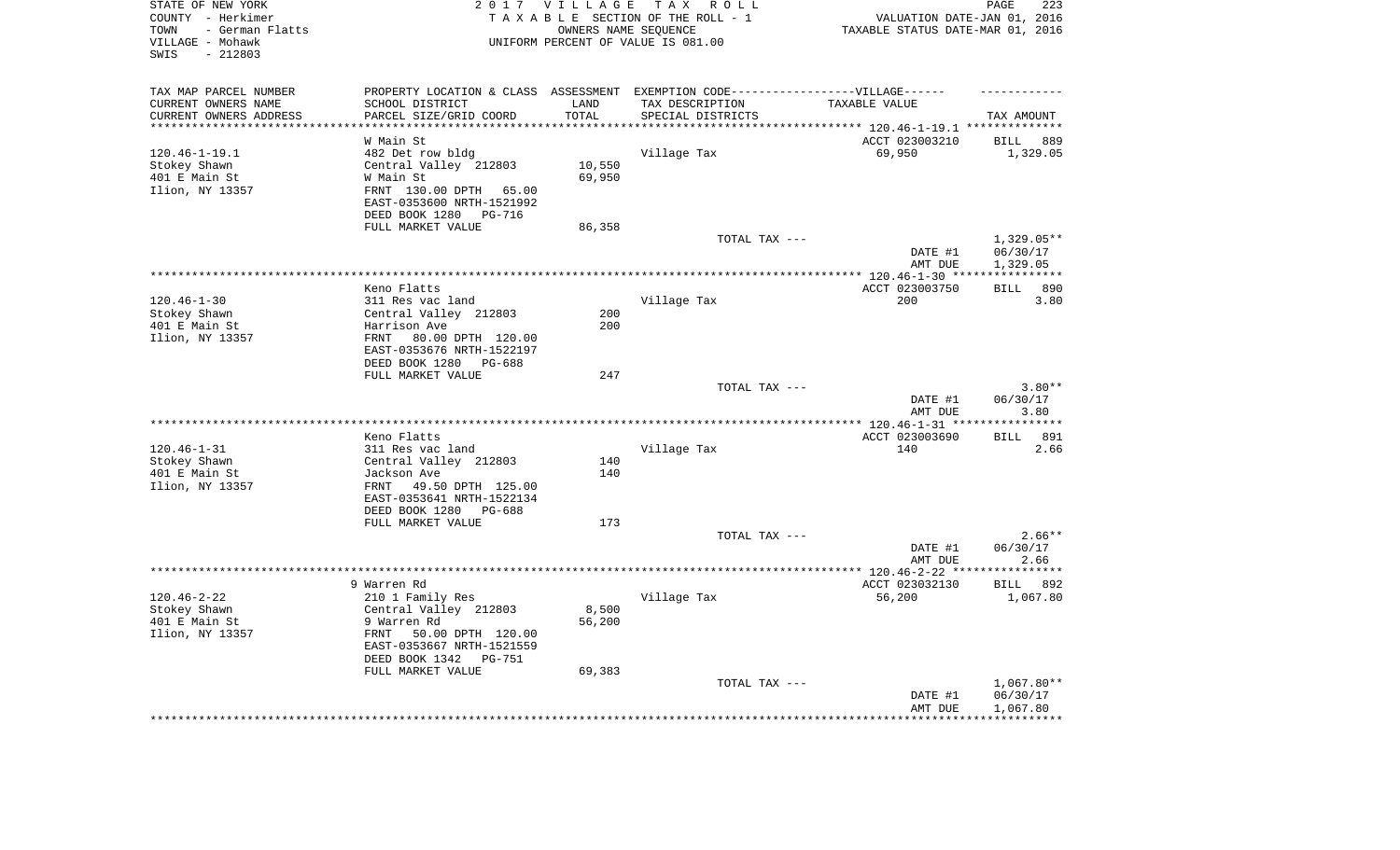| STATE OF NEW YORK<br>COUNTY - Herkimer<br>- German Flatts<br>TOWN<br>VILLAGE - Mohawk<br>$-212803$<br>SWIS |                                                                                   | 2017 VILLAGE      | TAX ROLL<br>TAXABLE SECTION OF THE ROLL - 1<br>OWNERS NAME SEQUENCE<br>UNIFORM PERCENT OF VALUE IS 081.00 | VALUATION DATE-JAN 01, 2016<br>TAXABLE STATUS DATE-MAR 01, 2016 | PAGE<br>223          |
|------------------------------------------------------------------------------------------------------------|-----------------------------------------------------------------------------------|-------------------|-----------------------------------------------------------------------------------------------------------|-----------------------------------------------------------------|----------------------|
| TAX MAP PARCEL NUMBER                                                                                      | PROPERTY LOCATION & CLASS ASSESSMENT EXEMPTION CODE-----------------VILLAGE------ |                   |                                                                                                           |                                                                 |                      |
| CURRENT OWNERS NAME                                                                                        | SCHOOL DISTRICT                                                                   | LAND              | TAX DESCRIPTION                                                                                           | TAXABLE VALUE                                                   |                      |
| CURRENT OWNERS ADDRESS<br>*********************                                                            | PARCEL SIZE/GRID COORD<br>********************                                    | TOTAL<br>******** | SPECIAL DISTRICTS                                                                                         |                                                                 | TAX AMOUNT           |
|                                                                                                            |                                                                                   |                   |                                                                                                           | *************************** 120.46-1-19.1 **************        |                      |
|                                                                                                            | W Main St                                                                         |                   |                                                                                                           | ACCT 023003210                                                  | <b>BILL</b><br>889   |
| $120.46 - 1 - 19.1$<br>Stokey Shawn                                                                        | 482 Det row bldg<br>Central Valley 212803                                         | 10,550            | Village Tax                                                                                               | 69,950                                                          | 1,329.05             |
| 401 E Main St                                                                                              | W Main St                                                                         | 69,950            |                                                                                                           |                                                                 |                      |
| Ilion, NY 13357                                                                                            | FRNT 130.00 DPTH 65.00                                                            |                   |                                                                                                           |                                                                 |                      |
|                                                                                                            | EAST-0353600 NRTH-1521992<br>DEED BOOK 1280<br>PG-716                             |                   |                                                                                                           |                                                                 |                      |
|                                                                                                            | FULL MARKET VALUE                                                                 | 86,358            |                                                                                                           |                                                                 |                      |
|                                                                                                            |                                                                                   |                   | TOTAL TAX ---                                                                                             |                                                                 | $1,329.05**$         |
|                                                                                                            |                                                                                   |                   |                                                                                                           | DATE #1<br>AMT DUE                                              | 06/30/17<br>1,329.05 |
|                                                                                                            |                                                                                   |                   |                                                                                                           | ************ 120.46-1-30 ****                                   | ***********          |
|                                                                                                            | Keno Flatts                                                                       |                   |                                                                                                           | ACCT 023003750                                                  | 890<br><b>BILL</b>   |
| $120.46 - 1 - 30$                                                                                          | 311 Res vac land                                                                  |                   | Village Tax                                                                                               | 200                                                             | 3.80                 |
| Stokey Shawn                                                                                               | Central Valley 212803                                                             | 200               |                                                                                                           |                                                                 |                      |
| 401 E Main St                                                                                              | Harrison Ave                                                                      | 200               |                                                                                                           |                                                                 |                      |
| Ilion, NY 13357                                                                                            | FRNT<br>80.00 DPTH 120.00<br>EAST-0353676 NRTH-1522197                            |                   |                                                                                                           |                                                                 |                      |
|                                                                                                            | DEED BOOK 1280<br>PG-688                                                          |                   |                                                                                                           |                                                                 |                      |
|                                                                                                            | FULL MARKET VALUE                                                                 | 247               |                                                                                                           |                                                                 |                      |
|                                                                                                            |                                                                                   |                   | TOTAL TAX ---                                                                                             |                                                                 | $3.80**$             |
|                                                                                                            |                                                                                   |                   |                                                                                                           | DATE #1<br>AMT DUE                                              | 06/30/17<br>3.80     |
|                                                                                                            |                                                                                   |                   |                                                                                                           | *** 120.46-1-31 **                                              | *********            |
|                                                                                                            | Keno Flatts                                                                       |                   |                                                                                                           | ACCT 023003690                                                  | 891<br>BILL          |
| $120.46 - 1 - 31$                                                                                          | 311 Res vac land                                                                  |                   | Village Tax                                                                                               | 140                                                             | 2.66                 |
| Stokey Shawn                                                                                               | Central Valley 212803                                                             | 140               |                                                                                                           |                                                                 |                      |
| 401 E Main St                                                                                              | Jackson Ave                                                                       | 140               |                                                                                                           |                                                                 |                      |
| Ilion, NY 13357                                                                                            | FRNT<br>49.50 DPTH 125.00                                                         |                   |                                                                                                           |                                                                 |                      |
|                                                                                                            | EAST-0353641 NRTH-1522134<br>DEED BOOK 1280<br>PG-688                             |                   |                                                                                                           |                                                                 |                      |
|                                                                                                            | FULL MARKET VALUE                                                                 | 173               |                                                                                                           |                                                                 |                      |
|                                                                                                            |                                                                                   |                   | TOTAL TAX ---                                                                                             |                                                                 | $2.66**$             |
|                                                                                                            |                                                                                   |                   |                                                                                                           | DATE #1                                                         | 06/30/17             |
|                                                                                                            |                                                                                   |                   |                                                                                                           | AMT DUE                                                         | 2.66                 |
|                                                                                                            |                                                                                   |                   |                                                                                                           | ************ 120.46-2-22 ****                                   | * * * * * * * *      |
|                                                                                                            | 9 Warren Rd                                                                       |                   |                                                                                                           | ACCT 023032130                                                  | BILL<br>892          |
| $120.46 - 2 - 22$                                                                                          | 210 1 Family Res                                                                  |                   | Village Tax                                                                                               | 56,200                                                          | 1,067.80             |
| Stokey Shawn                                                                                               | Central Valley 212803                                                             | 8,500             |                                                                                                           |                                                                 |                      |
| 401 E Main St                                                                                              | 9 Warren Rd<br>FRNT                                                               | 56,200            |                                                                                                           |                                                                 |                      |
| Ilion, NY 13357                                                                                            | 50.00 DPTH 120.00<br>EAST-0353667 NRTH-1521559                                    |                   |                                                                                                           |                                                                 |                      |
|                                                                                                            | DEED BOOK 1342<br>$PG-751$                                                        |                   |                                                                                                           |                                                                 |                      |
|                                                                                                            | FULL MARKET VALUE                                                                 | 69,383            |                                                                                                           |                                                                 |                      |
|                                                                                                            |                                                                                   |                   | TOTAL TAX ---                                                                                             |                                                                 | 1,067.80**           |
|                                                                                                            |                                                                                   |                   |                                                                                                           | DATE #1                                                         | 06/30/17             |
|                                                                                                            |                                                                                   |                   |                                                                                                           | AMT DUE                                                         | 1,067.80             |
|                                                                                                            |                                                                                   |                   |                                                                                                           |                                                                 |                      |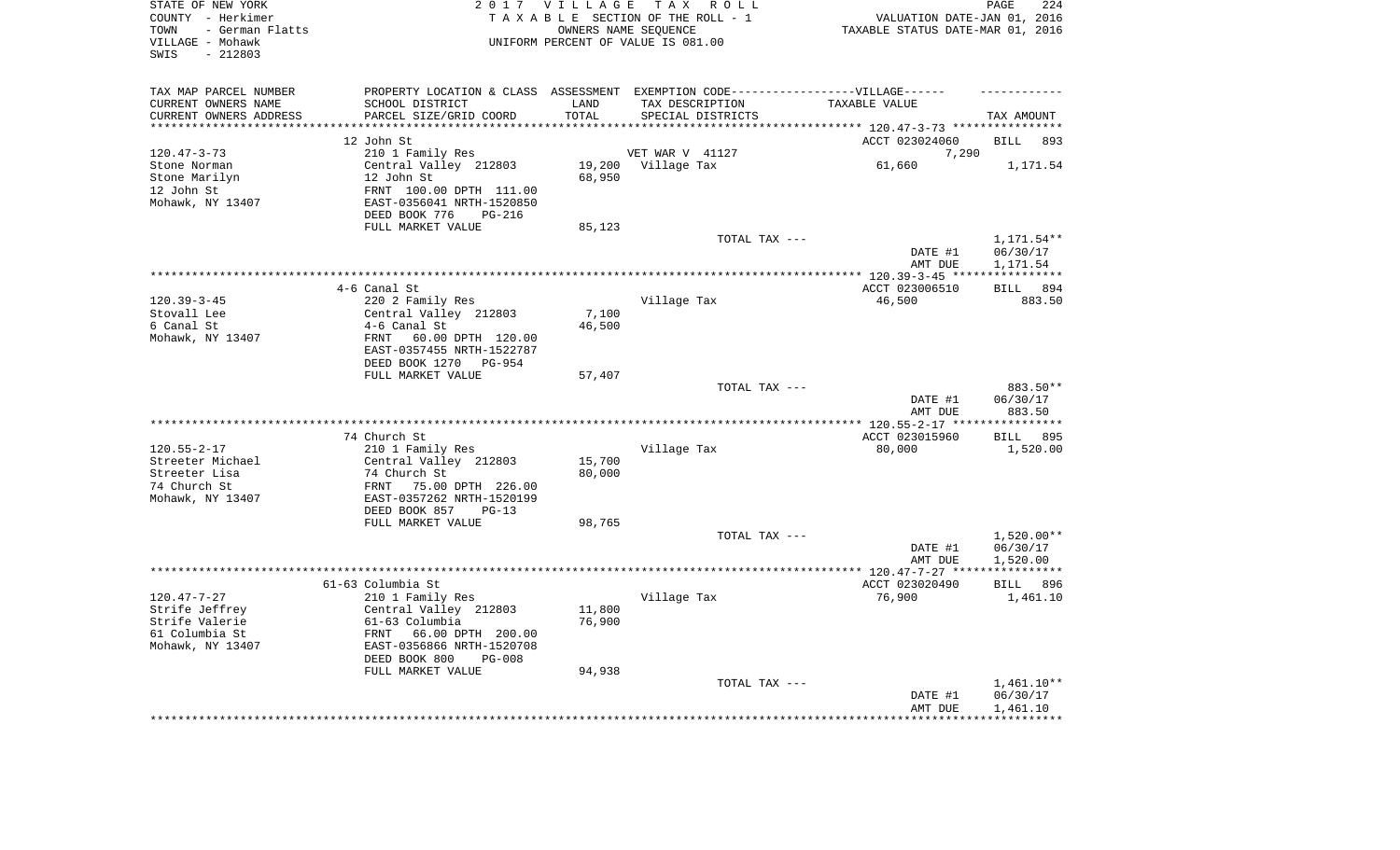| STATE OF NEW YORK<br>COUNTY - Herkimer<br>- German Flatts<br>TOWN<br>VILLAGE - Mohawk<br>$-212803$<br>SWIS |                                                       | 2017 VILLAGE     | TAX ROLL<br>TAXABLE SECTION OF THE ROLL - 1<br>OWNERS NAME SEQUENCE<br>UNIFORM PERCENT OF VALUE IS 081.00 | VALUATION DATE-JAN 01, 2016<br>TAXABLE STATUS DATE-MAR 01, 2016 | PAGE<br>224          |
|------------------------------------------------------------------------------------------------------------|-------------------------------------------------------|------------------|-----------------------------------------------------------------------------------------------------------|-----------------------------------------------------------------|----------------------|
| TAX MAP PARCEL NUMBER<br>CURRENT OWNERS NAME                                                               | SCHOOL DISTRICT                                       | LAND             | PROPERTY LOCATION & CLASS ASSESSMENT EXEMPTION CODE-----------------VILLAGE------<br>TAX DESCRIPTION      | TAXABLE VALUE                                                   |                      |
| CURRENT OWNERS ADDRESS                                                                                     | PARCEL SIZE/GRID COORD                                | TOTAL            | SPECIAL DISTRICTS                                                                                         |                                                                 | TAX AMOUNT           |
| **********************                                                                                     |                                                       |                  |                                                                                                           |                                                                 |                      |
|                                                                                                            | 12 John St                                            |                  |                                                                                                           | ACCT 023024060                                                  | <b>BILL</b><br>893   |
| $120.47 - 3 - 73$                                                                                          | 210 1 Family Res                                      |                  | VET WAR V 41127                                                                                           | 7,290                                                           |                      |
| Stone Norman<br>Stone Marilyn                                                                              | Central Valley 212803<br>12 John St                   | 19,200<br>68,950 | Village Tax                                                                                               | 61,660                                                          | 1,171.54             |
| 12 John St                                                                                                 | FRNT 100.00 DPTH 111.00                               |                  |                                                                                                           |                                                                 |                      |
| Mohawk, NY 13407                                                                                           | EAST-0356041 NRTH-1520850<br>DEED BOOK 776<br>PG-216  |                  |                                                                                                           |                                                                 |                      |
|                                                                                                            | FULL MARKET VALUE                                     | 85,123           |                                                                                                           |                                                                 |                      |
|                                                                                                            |                                                       |                  | TOTAL TAX ---                                                                                             |                                                                 | 1,171.54**           |
|                                                                                                            |                                                       |                  |                                                                                                           | DATE #1<br>AMT DUE                                              | 06/30/17<br>1,171.54 |
|                                                                                                            |                                                       |                  |                                                                                                           |                                                                 |                      |
|                                                                                                            | 4-6 Canal St                                          |                  |                                                                                                           | ACCT 023006510                                                  | <b>BILL</b><br>894   |
| $120.39 - 3 - 45$                                                                                          | 220 2 Family Res                                      |                  | Village Tax                                                                                               | 46,500                                                          | 883.50               |
| Stovall Lee<br>6 Canal St                                                                                  | Central Valley 212803<br>4-6 Canal St                 | 7,100<br>46,500  |                                                                                                           |                                                                 |                      |
| Mohawk, NY 13407                                                                                           | 60.00 DPTH 120.00<br>FRNT                             |                  |                                                                                                           |                                                                 |                      |
|                                                                                                            | EAST-0357455 NRTH-1522787<br>DEED BOOK 1270<br>PG-954 |                  |                                                                                                           |                                                                 |                      |
|                                                                                                            | FULL MARKET VALUE                                     | 57,407           |                                                                                                           |                                                                 |                      |
|                                                                                                            |                                                       |                  | TOTAL TAX ---                                                                                             |                                                                 | 883.50**             |
|                                                                                                            |                                                       |                  |                                                                                                           | DATE #1<br>AMT DUE                                              | 06/30/17<br>883.50   |
|                                                                                                            |                                                       |                  |                                                                                                           |                                                                 | ***********          |
|                                                                                                            | 74 Church St                                          |                  |                                                                                                           | ACCT 023015960                                                  | 895<br><b>BILL</b>   |
| $120.55 - 2 - 17$                                                                                          | 210 1 Family Res                                      |                  | Village Tax                                                                                               | 80,000                                                          | 1,520.00             |
| Streeter Michael<br>Streeter Lisa                                                                          | Central Valley 212803<br>74 Church St                 | 15,700<br>80,000 |                                                                                                           |                                                                 |                      |
| 74 Church St                                                                                               | 75.00 DPTH 226.00<br>FRNT                             |                  |                                                                                                           |                                                                 |                      |
| Mohawk, NY 13407                                                                                           | EAST-0357262 NRTH-1520199                             |                  |                                                                                                           |                                                                 |                      |
|                                                                                                            | DEED BOOK 857<br>$PG-13$                              |                  |                                                                                                           |                                                                 |                      |
|                                                                                                            | FULL MARKET VALUE                                     | 98,765           |                                                                                                           |                                                                 |                      |
|                                                                                                            |                                                       |                  | TOTAL TAX ---                                                                                             |                                                                 | $1,520.00**$         |
|                                                                                                            |                                                       |                  |                                                                                                           | DATE #1                                                         | 06/30/17             |
|                                                                                                            |                                                       |                  |                                                                                                           | AMT DUE                                                         | 1,520.00             |
|                                                                                                            | 61-63 Columbia St                                     |                  |                                                                                                           | ACCT 023020490                                                  | <b>BILL</b><br>896   |
| $120.47 - 7 - 27$                                                                                          | 210 1 Family Res                                      |                  | Village Tax                                                                                               | 76,900                                                          | 1,461.10             |
| Strife Jeffrey                                                                                             | Central Valley 212803                                 | 11,800           |                                                                                                           |                                                                 |                      |
| Strife Valerie                                                                                             | 61-63 Columbia                                        | 76,900           |                                                                                                           |                                                                 |                      |
| 61 Columbia St                                                                                             | FRNT<br>66.00 DPTH 200.00                             |                  |                                                                                                           |                                                                 |                      |
| Mohawk, NY 13407                                                                                           | EAST-0356866 NRTH-1520708                             |                  |                                                                                                           |                                                                 |                      |
|                                                                                                            | DEED BOOK 800<br>$PG-008$                             |                  |                                                                                                           |                                                                 |                      |
|                                                                                                            | FULL MARKET VALUE                                     | 94,938           |                                                                                                           |                                                                 | 1,461.10**           |
|                                                                                                            |                                                       |                  | TOTAL TAX ---                                                                                             | DATE #1                                                         | 06/30/17             |
|                                                                                                            |                                                       |                  |                                                                                                           | AMT DUE                                                         | 1,461.10             |
|                                                                                                            |                                                       |                  |                                                                                                           |                                                                 | ***********          |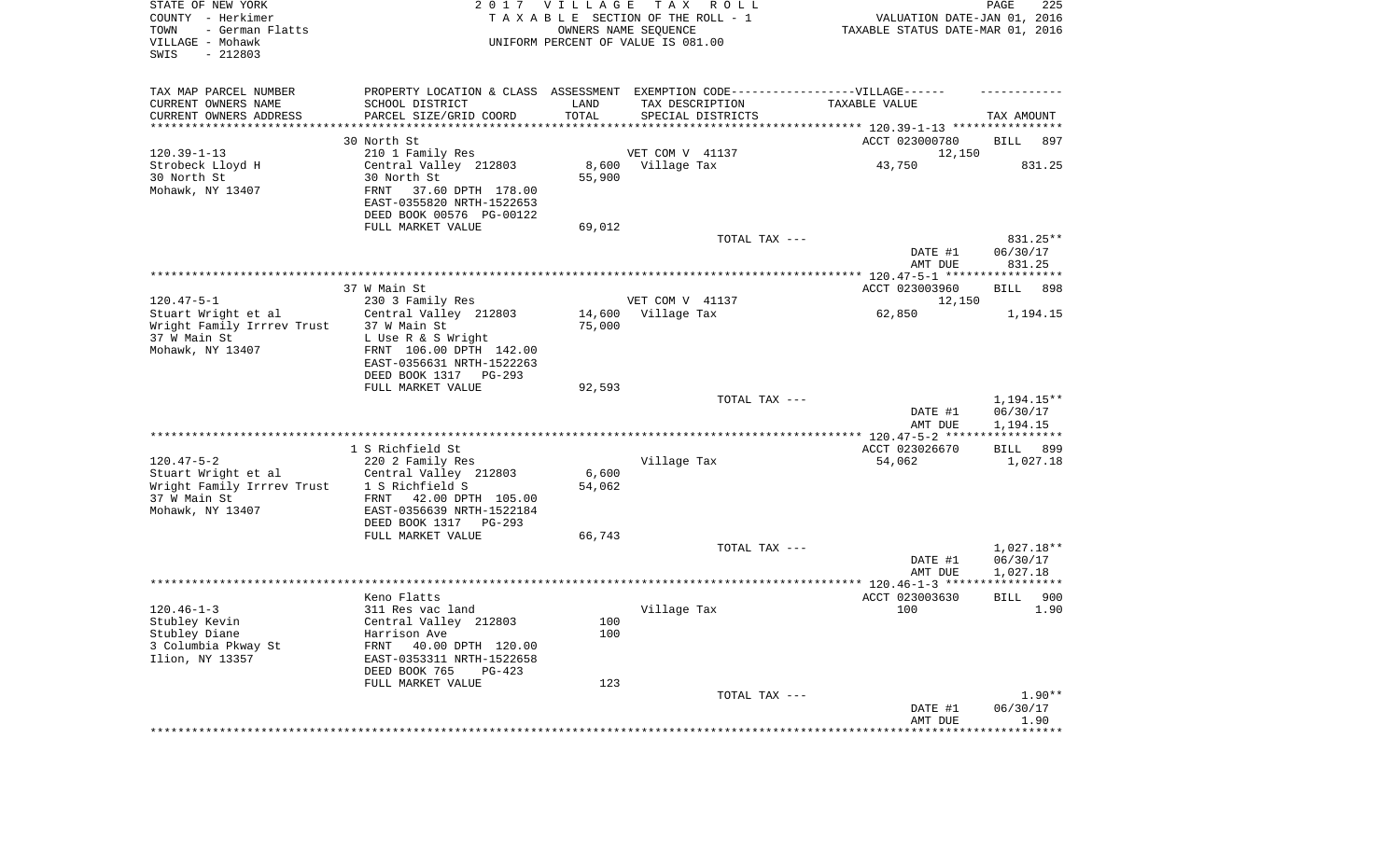| STATE OF NEW YORK<br>COUNTY - Herkimer<br>TOWN<br>- German Flatts<br>VILLAGE - Mohawk<br>SWIS<br>$-212803$ |                                                                                  | 2017 VILLAGE  | T A X<br>R O L L<br>TAXABLE SECTION OF THE ROLL - 1<br>OWNERS NAME SEQUENCE<br>UNIFORM PERCENT OF VALUE IS 081.00 | VALUATION DATE-JAN 01, 2016<br>TAXABLE STATUS DATE-MAR 01, 2016 | PAGE<br>225         |
|------------------------------------------------------------------------------------------------------------|----------------------------------------------------------------------------------|---------------|-------------------------------------------------------------------------------------------------------------------|-----------------------------------------------------------------|---------------------|
| TAX MAP PARCEL NUMBER                                                                                      | PROPERTY LOCATION & CLASS ASSESSMENT EXEMPTION CODE----------------VILLAGE------ |               |                                                                                                                   |                                                                 |                     |
| CURRENT OWNERS NAME<br>CURRENT OWNERS ADDRESS                                                              | SCHOOL DISTRICT<br>PARCEL SIZE/GRID COORD                                        | LAND<br>TOTAL | TAX DESCRIPTION<br>SPECIAL DISTRICTS                                                                              | TAXABLE VALUE                                                   | TAX AMOUNT          |
| ********************                                                                                       | *******************                                                              |               |                                                                                                                   |                                                                 |                     |
|                                                                                                            | 30 North St                                                                      |               |                                                                                                                   | ACCT 023000780                                                  | <b>BILL</b><br>897  |
| $120.39 - 1 - 13$                                                                                          | 210 1 Family Res                                                                 |               | VET COM V 41137                                                                                                   | 12,150                                                          |                     |
| Strobeck Lloyd H                                                                                           | Central Valley 212803                                                            |               | 8,600 Village Tax                                                                                                 | 43,750                                                          | 831.25              |
| 30 North St<br>Mohawk, NY 13407                                                                            | 30 North St<br>FRNT<br>37.60 DPTH 178.00                                         | 55,900        |                                                                                                                   |                                                                 |                     |
|                                                                                                            | EAST-0355820 NRTH-1522653                                                        |               |                                                                                                                   |                                                                 |                     |
|                                                                                                            | DEED BOOK 00576 PG-00122                                                         |               |                                                                                                                   |                                                                 |                     |
|                                                                                                            | FULL MARKET VALUE                                                                | 69,012        |                                                                                                                   |                                                                 |                     |
|                                                                                                            |                                                                                  |               | TOTAL TAX ---                                                                                                     |                                                                 | 831.25**            |
|                                                                                                            |                                                                                  |               |                                                                                                                   | DATE #1<br>AMT DUE                                              | 06/30/17<br>831.25  |
|                                                                                                            |                                                                                  |               |                                                                                                                   |                                                                 |                     |
|                                                                                                            | 37 W Main St                                                                     |               |                                                                                                                   | ACCT 023003960                                                  | <b>BILL</b><br>898  |
| $120.47 - 5 - 1$                                                                                           | 230 3 Family Res                                                                 |               | VET COM V 41137                                                                                                   | 12,150                                                          |                     |
| Stuart Wright et al                                                                                        | Central Valley 212803                                                            | 14,600        | Village Tax                                                                                                       | 62,850                                                          | 1,194.15            |
| Wright Family Irrrev Trust<br>37 W Main St                                                                 | 37 W Main St<br>L Use R & S Wright                                               | 75,000        |                                                                                                                   |                                                                 |                     |
| Mohawk, NY 13407                                                                                           | FRNT 106.00 DPTH 142.00                                                          |               |                                                                                                                   |                                                                 |                     |
|                                                                                                            | EAST-0356631 NRTH-1522263                                                        |               |                                                                                                                   |                                                                 |                     |
|                                                                                                            | DEED BOOK 1317<br>PG-293                                                         |               |                                                                                                                   |                                                                 |                     |
|                                                                                                            | FULL MARKET VALUE                                                                | 92,593        | TOTAL TAX ---                                                                                                     |                                                                 | 1,194.15**          |
|                                                                                                            |                                                                                  |               |                                                                                                                   | DATE #1                                                         | 06/30/17            |
|                                                                                                            |                                                                                  |               |                                                                                                                   | AMT DUE                                                         | 1,194.15            |
|                                                                                                            |                                                                                  |               |                                                                                                                   | ***************** 120.47-5-2 ******************                 |                     |
| $120.47 - 5 - 2$                                                                                           | 1 S Richfield St                                                                 |               |                                                                                                                   | ACCT 023026670                                                  | <b>BILL</b><br>899  |
| Stuart Wright et al                                                                                        | 220 2 Family Res<br>Central Valley 212803                                        | 6,600         | Village Tax                                                                                                       | 54,062                                                          | 1,027.18            |
| Wright Family Irrrev Trust                                                                                 | 1 S Richfield S                                                                  | 54,062        |                                                                                                                   |                                                                 |                     |
| 37 W Main St                                                                                               | FRNT 42.00 DPTH 105.00                                                           |               |                                                                                                                   |                                                                 |                     |
| Mohawk, NY 13407                                                                                           | EAST-0356639 NRTH-1522184                                                        |               |                                                                                                                   |                                                                 |                     |
|                                                                                                            | DEED BOOK 1317 PG-293<br>FULL MARKET VALUE                                       | 66,743        |                                                                                                                   |                                                                 |                     |
|                                                                                                            |                                                                                  |               | TOTAL TAX ---                                                                                                     |                                                                 | 1,027.18**          |
|                                                                                                            |                                                                                  |               |                                                                                                                   | DATE #1                                                         | 06/30/17            |
|                                                                                                            |                                                                                  |               |                                                                                                                   | AMT DUE                                                         | 1,027.18            |
|                                                                                                            | Keno Flatts                                                                      |               |                                                                                                                   | ACCT 023003630                                                  | 900<br>BILL         |
| $120.46 - 1 - 3$                                                                                           | 311 Res vac land                                                                 |               | Village Tax                                                                                                       | 100                                                             | 1.90                |
| Stubley Kevin                                                                                              | Central Valley 212803                                                            | 100           |                                                                                                                   |                                                                 |                     |
| Stubley Diane                                                                                              | Harrison Ave                                                                     | 100           |                                                                                                                   |                                                                 |                     |
| 3 Columbia Pkway St                                                                                        | 40.00 DPTH 120.00<br>FRNT                                                        |               |                                                                                                                   |                                                                 |                     |
| Ilion, NY 13357                                                                                            | EAST-0353311 NRTH-1522658<br>DEED BOOK 765<br>$PG-423$                           |               |                                                                                                                   |                                                                 |                     |
|                                                                                                            | FULL MARKET VALUE                                                                | 123           |                                                                                                                   |                                                                 |                     |
|                                                                                                            |                                                                                  |               | TOTAL TAX ---                                                                                                     |                                                                 | $1.90**$            |
|                                                                                                            |                                                                                  |               |                                                                                                                   | DATE #1                                                         | 06/30/17            |
|                                                                                                            |                                                                                  |               |                                                                                                                   | AMT DUE<br>*****************                                    | 1.90<br>*********** |
|                                                                                                            |                                                                                  |               |                                                                                                                   |                                                                 |                     |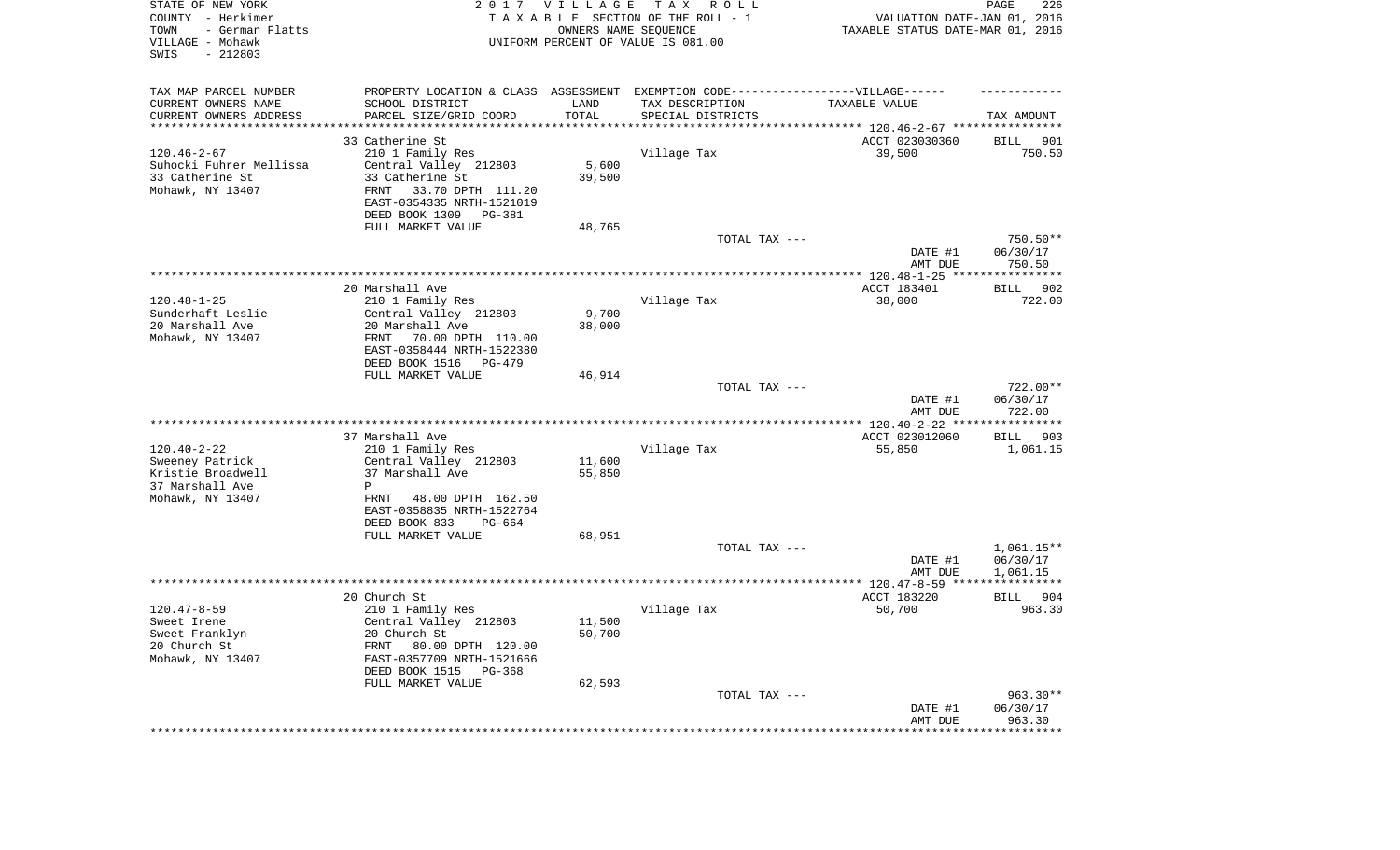| STATE OF NEW YORK<br>COUNTY - Herkimer<br>- German Flatts<br>TOWN<br>VILLAGE - Mohawk<br>SWIS<br>$-212803$ |                                                                                   | 2017 VILLAGE     | T A X<br>R O L L<br>TAXABLE SECTION OF THE ROLL - 1<br>OWNERS NAME SEQUENCE<br>UNIFORM PERCENT OF VALUE IS 081.00 | VALUATION DATE-JAN 01, 2016<br>TAXABLE STATUS DATE-MAR 01, 2016 | PAGE<br>226             |
|------------------------------------------------------------------------------------------------------------|-----------------------------------------------------------------------------------|------------------|-------------------------------------------------------------------------------------------------------------------|-----------------------------------------------------------------|-------------------------|
| TAX MAP PARCEL NUMBER                                                                                      | PROPERTY LOCATION & CLASS ASSESSMENT EXEMPTION CODE-----------------VILLAGE------ |                  |                                                                                                                   |                                                                 |                         |
| CURRENT OWNERS NAME<br>CURRENT OWNERS ADDRESS                                                              | SCHOOL DISTRICT<br>PARCEL SIZE/GRID COORD                                         | LAND<br>TOTAL    | TAX DESCRIPTION<br>SPECIAL DISTRICTS                                                                              | TAXABLE VALUE                                                   | TAX AMOUNT              |
| ********************                                                                                       |                                                                                   |                  |                                                                                                                   |                                                                 |                         |
|                                                                                                            | 33 Catherine St                                                                   |                  |                                                                                                                   | ACCT 023030360                                                  | 901<br>BILL             |
| $120.46 - 2 - 67$                                                                                          | 210 1 Family Res                                                                  |                  | Village Tax                                                                                                       | 39,500                                                          | 750.50                  |
| Suhocki Fuhrer Mellissa<br>33 Catherine St                                                                 | Central Valley 212803<br>33 Catherine St                                          | 5,600            |                                                                                                                   |                                                                 |                         |
| Mohawk, NY 13407                                                                                           | FRNT<br>33.70 DPTH 111.20                                                         | 39,500           |                                                                                                                   |                                                                 |                         |
|                                                                                                            | EAST-0354335 NRTH-1521019                                                         |                  |                                                                                                                   |                                                                 |                         |
|                                                                                                            | DEED BOOK 1309<br>PG-381                                                          |                  |                                                                                                                   |                                                                 |                         |
|                                                                                                            | FULL MARKET VALUE                                                                 | 48,765           |                                                                                                                   |                                                                 |                         |
|                                                                                                            |                                                                                   |                  | TOTAL TAX ---                                                                                                     |                                                                 | 750.50**                |
|                                                                                                            |                                                                                   |                  |                                                                                                                   | DATE #1                                                         | 06/30/17                |
|                                                                                                            |                                                                                   |                  |                                                                                                                   | AMT DUE                                                         | 750.50                  |
|                                                                                                            | 20 Marshall Ave                                                                   |                  |                                                                                                                   | ACCT 183401                                                     | 902<br>BILL             |
| $120.48 - 1 - 25$                                                                                          | 210 1 Family Res                                                                  |                  | Village Tax                                                                                                       | 38,000                                                          | 722.00                  |
| Sunderhaft Leslie                                                                                          | Central Valley 212803                                                             | 9,700            |                                                                                                                   |                                                                 |                         |
| 20 Marshall Ave                                                                                            | 20 Marshall Ave                                                                   | 38,000           |                                                                                                                   |                                                                 |                         |
| Mohawk, NY 13407                                                                                           | FRNT<br>70.00 DPTH 110.00                                                         |                  |                                                                                                                   |                                                                 |                         |
|                                                                                                            | EAST-0358444 NRTH-1522380<br>DEED BOOK 1516<br>PG-479                             |                  |                                                                                                                   |                                                                 |                         |
|                                                                                                            | FULL MARKET VALUE                                                                 | 46,914           |                                                                                                                   |                                                                 |                         |
|                                                                                                            |                                                                                   |                  | TOTAL TAX ---                                                                                                     |                                                                 | 722.00**                |
|                                                                                                            |                                                                                   |                  |                                                                                                                   | DATE #1                                                         | 06/30/17                |
|                                                                                                            |                                                                                   |                  |                                                                                                                   | AMT DUE                                                         | 722.00                  |
|                                                                                                            |                                                                                   |                  |                                                                                                                   |                                                                 |                         |
| $120.40 - 2 - 22$                                                                                          | 37 Marshall Ave<br>210 1 Family Res                                               |                  | Village Tax                                                                                                       | ACCT 023012060<br>55,850                                        | BILL<br>903<br>1,061.15 |
| Sweeney Patrick                                                                                            | Central Valley 212803                                                             | 11,600           |                                                                                                                   |                                                                 |                         |
| Kristie Broadwell                                                                                          | 37 Marshall Ave                                                                   | 55,850           |                                                                                                                   |                                                                 |                         |
| 37 Marshall Ave                                                                                            | $\mathbf{P}$                                                                      |                  |                                                                                                                   |                                                                 |                         |
| Mohawk, NY 13407                                                                                           | FRNT<br>48.00 DPTH 162.50                                                         |                  |                                                                                                                   |                                                                 |                         |
|                                                                                                            | EAST-0358835 NRTH-1522764                                                         |                  |                                                                                                                   |                                                                 |                         |
|                                                                                                            | DEED BOOK 833<br>PG-664                                                           |                  |                                                                                                                   |                                                                 |                         |
|                                                                                                            | FULL MARKET VALUE                                                                 | 68,951           | TOTAL TAX ---                                                                                                     |                                                                 | $1,061.15**$            |
|                                                                                                            |                                                                                   |                  |                                                                                                                   | DATE #1                                                         | 06/30/17                |
|                                                                                                            |                                                                                   |                  |                                                                                                                   | AMT DUE                                                         | 1,061.15                |
|                                                                                                            |                                                                                   |                  |                                                                                                                   |                                                                 |                         |
|                                                                                                            | 20 Church St                                                                      |                  |                                                                                                                   | ACCT 183220                                                     | 904<br>BILL             |
| $120.47 - 8 - 59$                                                                                          | 210 1 Family Res                                                                  |                  | Village Tax                                                                                                       | 50,700                                                          | 963.30                  |
| Sweet Irene<br>Sweet Franklyn                                                                              | Central Valley 212803<br>20 Church St                                             | 11,500<br>50,700 |                                                                                                                   |                                                                 |                         |
| 20 Church St                                                                                               | FRNT<br>80.00 DPTH 120.00                                                         |                  |                                                                                                                   |                                                                 |                         |
| Mohawk, NY 13407                                                                                           | EAST-0357709 NRTH-1521666                                                         |                  |                                                                                                                   |                                                                 |                         |
|                                                                                                            | DEED BOOK 1515 PG-368                                                             |                  |                                                                                                                   |                                                                 |                         |
|                                                                                                            | FULL MARKET VALUE                                                                 | 62,593           |                                                                                                                   |                                                                 |                         |
|                                                                                                            |                                                                                   |                  | TOTAL TAX ---                                                                                                     |                                                                 | $963.30**$              |
|                                                                                                            |                                                                                   |                  |                                                                                                                   | DATE #1<br>AMT DUE                                              | 06/30/17<br>963.30      |
|                                                                                                            |                                                                                   |                  |                                                                                                                   | ********************                                            | **************          |
|                                                                                                            |                                                                                   |                  |                                                                                                                   |                                                                 |                         |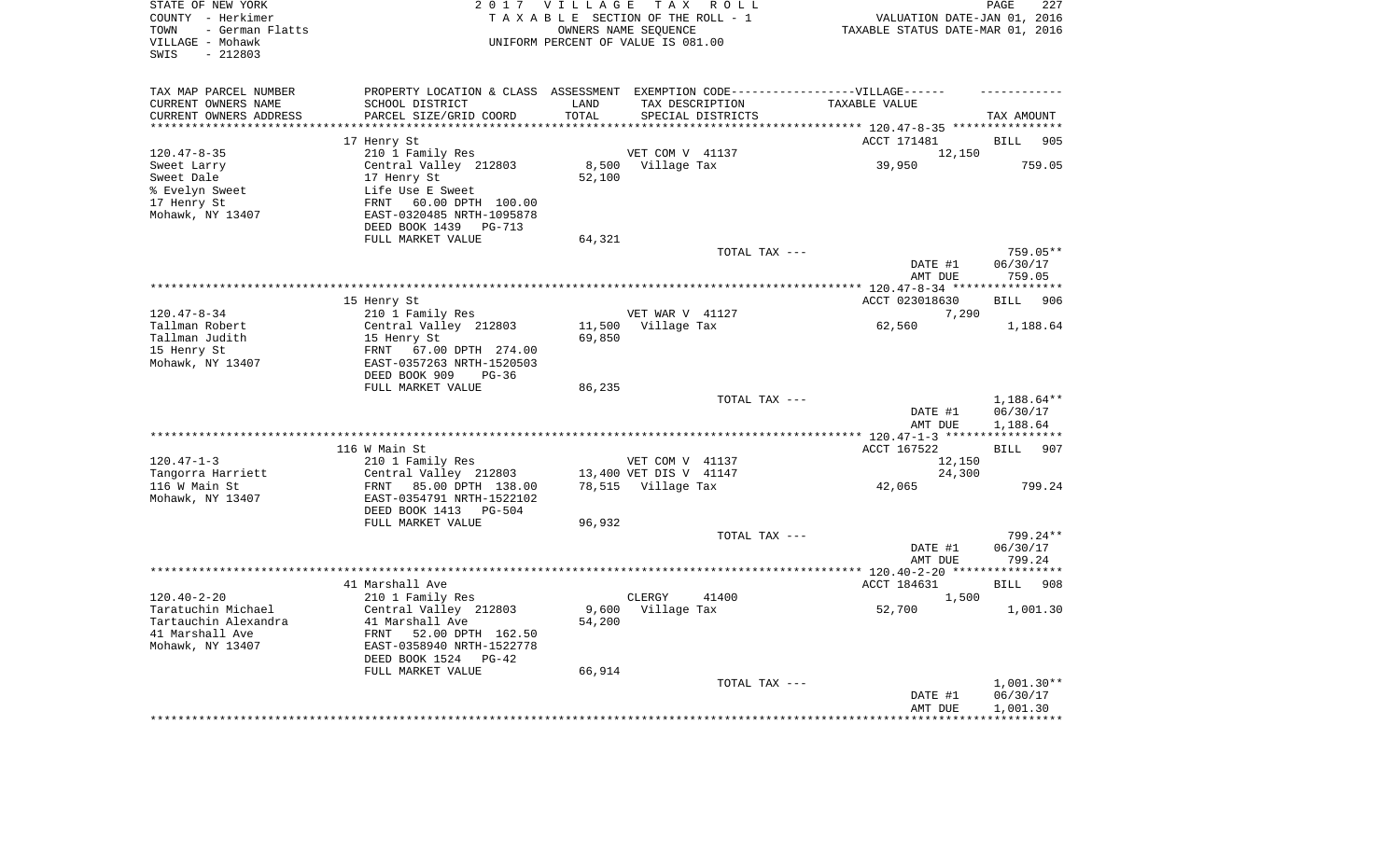| STATE OF NEW YORK<br>COUNTY - Herkimer<br>- German Flatts<br>TOWN<br>VILLAGE - Mohawk<br>$-212803$<br>SWIS |                                                                                                     | 2017 VILLAGE | TAX ROLL<br>TAXABLE SECTION OF THE ROLL - 1<br>OWNERS NAME SEQUENCE<br>UNIFORM PERCENT OF VALUE IS 081.00 | VALUATION DATE-JAN 01, 2016<br>TAXABLE STATUS DATE-MAR 01, 2016 | PAGE<br>227        |
|------------------------------------------------------------------------------------------------------------|-----------------------------------------------------------------------------------------------------|--------------|-----------------------------------------------------------------------------------------------------------|-----------------------------------------------------------------|--------------------|
| TAX MAP PARCEL NUMBER<br>CURRENT OWNERS NAME                                                               | PROPERTY LOCATION & CLASS ASSESSMENT EXEMPTION CODE----------------VILLAGE------<br>SCHOOL DISTRICT | LAND         | TAX DESCRIPTION                                                                                           | TAXABLE VALUE                                                   |                    |
| CURRENT OWNERS ADDRESS<br>***********************                                                          | PARCEL SIZE/GRID COORD                                                                              | TOTAL        | SPECIAL DISTRICTS                                                                                         |                                                                 | TAX AMOUNT         |
|                                                                                                            |                                                                                                     |              |                                                                                                           | ACCT 171481                                                     | 905                |
| $120.47 - 8 - 35$                                                                                          | 17 Henry St<br>210 1 Family Res                                                                     |              | VET COM V 41137                                                                                           | 12,150                                                          | <b>BILL</b>        |
| Sweet Larry                                                                                                | Central Valley 212803                                                                               |              | 8,500 Village Tax                                                                                         | 39,950                                                          | 759.05             |
| Sweet Dale                                                                                                 | 17 Henry St                                                                                         | 52,100       |                                                                                                           |                                                                 |                    |
| % Evelyn Sweet                                                                                             | Life Use E Sweet                                                                                    |              |                                                                                                           |                                                                 |                    |
| 17 Henry St                                                                                                | FRNT<br>60.00 DPTH 100.00                                                                           |              |                                                                                                           |                                                                 |                    |
| Mohawk, NY 13407                                                                                           | EAST-0320485 NRTH-1095878                                                                           |              |                                                                                                           |                                                                 |                    |
|                                                                                                            | DEED BOOK 1439 PG-713                                                                               |              |                                                                                                           |                                                                 |                    |
|                                                                                                            | FULL MARKET VALUE                                                                                   | 64,321       | TOTAL TAX ---                                                                                             |                                                                 | $759.05**$         |
|                                                                                                            |                                                                                                     |              |                                                                                                           | DATE #1<br>AMT DUE                                              | 06/30/17<br>759.05 |
|                                                                                                            |                                                                                                     |              |                                                                                                           |                                                                 |                    |
|                                                                                                            | 15 Henry St                                                                                         |              |                                                                                                           | ACCT 023018630                                                  | BILL<br>906        |
| $120.47 - 8 - 34$                                                                                          | 210 1 Family Res                                                                                    |              | VET WAR V 41127                                                                                           | 7,290                                                           |                    |
| Tallman Robert                                                                                             | Central Valley 212803                                                                               | 11,500       | Village Tax                                                                                               | 62,560                                                          | 1,188.64           |
| Tallman Judith                                                                                             | 15 Henry St                                                                                         | 69,850       |                                                                                                           |                                                                 |                    |
| 15 Henry St<br>Mohawk, NY 13407                                                                            | FRNT<br>67.00 DPTH 274.00<br>EAST-0357263 NRTH-1520503                                              |              |                                                                                                           |                                                                 |                    |
|                                                                                                            | DEED BOOK 909<br>$PG-36$                                                                            |              |                                                                                                           |                                                                 |                    |
|                                                                                                            | FULL MARKET VALUE                                                                                   | 86,235       |                                                                                                           |                                                                 |                    |
|                                                                                                            |                                                                                                     |              | TOTAL TAX ---                                                                                             |                                                                 | 1,188.64**         |
|                                                                                                            |                                                                                                     |              |                                                                                                           | DATE #1                                                         | 06/30/17           |
|                                                                                                            |                                                                                                     |              |                                                                                                           | AMT DUE                                                         | 1,188.64           |
|                                                                                                            | 116 W Main St                                                                                       |              |                                                                                                           | ACCT 167522                                                     |                    |
| $120.47 - 1 - 3$                                                                                           | 210 1 Family Res                                                                                    |              | VET COM V 41137                                                                                           | 12,150                                                          | BILL<br>907        |
| Tangorra Harriett                                                                                          | Central Valley 212803                                                                               |              | 13,400 VET DIS V 41147                                                                                    | 24,300                                                          |                    |
| 116 W Main St                                                                                              | FRNT<br>85.00 DPTH 138.00                                                                           |              | 78,515 Village Tax                                                                                        | 42,065                                                          | 799.24             |
| Mohawk, NY 13407                                                                                           | EAST-0354791 NRTH-1522102                                                                           |              |                                                                                                           |                                                                 |                    |
|                                                                                                            | DEED BOOK 1413 PG-504                                                                               |              |                                                                                                           |                                                                 |                    |
|                                                                                                            | FULL MARKET VALUE                                                                                   | 96,932       |                                                                                                           |                                                                 |                    |
|                                                                                                            |                                                                                                     |              | TOTAL TAX ---                                                                                             |                                                                 | 799.24**           |
|                                                                                                            |                                                                                                     |              |                                                                                                           | DATE #1                                                         | 06/30/17           |
|                                                                                                            |                                                                                                     |              |                                                                                                           | AMT DUE                                                         | 799.24             |
|                                                                                                            | 41 Marshall Ave                                                                                     |              |                                                                                                           | ACCT 184631                                                     | <b>BILL</b><br>908 |
| $120.40 - 2 - 20$                                                                                          | 210 1 Family Res                                                                                    |              | CLERGY<br>41400                                                                                           | 1,500                                                           |                    |
| Taratuchin Michael                                                                                         | Central Valley 212803                                                                               |              | 9,600 Village Tax                                                                                         | 52,700                                                          | 1,001.30           |
| Tartauchin Alexandra                                                                                       | 41 Marshall Ave                                                                                     | 54,200       |                                                                                                           |                                                                 |                    |
| 41 Marshall Ave                                                                                            | FRNT 52.00 DPTH 162.50                                                                              |              |                                                                                                           |                                                                 |                    |
| Mohawk, NY 13407                                                                                           | EAST-0358940 NRTH-1522778                                                                           |              |                                                                                                           |                                                                 |                    |
|                                                                                                            | DEED BOOK 1524<br>$PG-42$<br>FULL MARKET VALUE                                                      | 66,914       |                                                                                                           |                                                                 |                    |
|                                                                                                            |                                                                                                     |              | TOTAL TAX ---                                                                                             |                                                                 | $1,001.30**$       |
|                                                                                                            |                                                                                                     |              |                                                                                                           | DATE #1                                                         | 06/30/17           |
|                                                                                                            |                                                                                                     |              |                                                                                                           | AMT DUE                                                         | 1,001.30           |
|                                                                                                            |                                                                                                     |              |                                                                                                           |                                                                 |                    |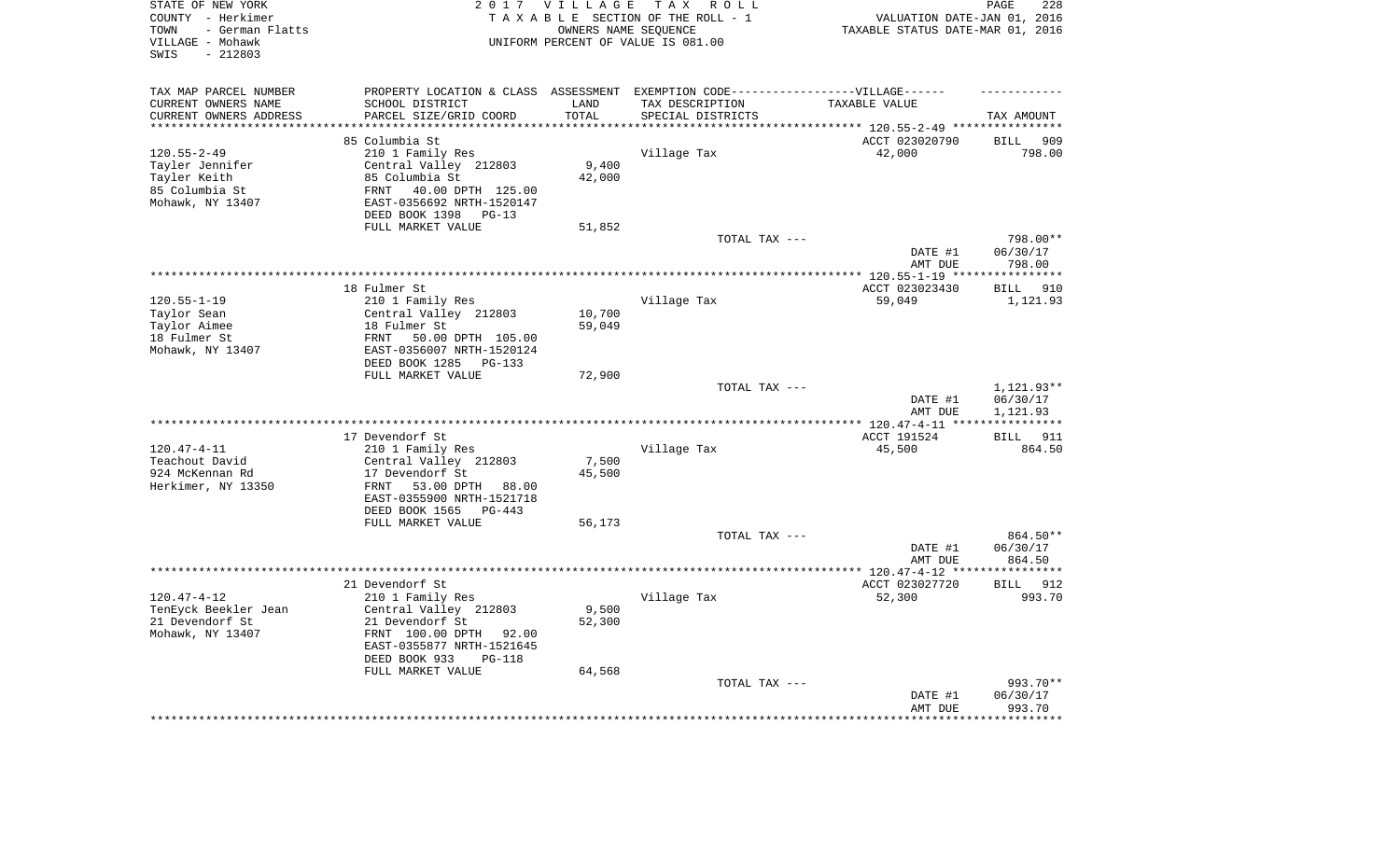| STATE OF NEW YORK<br>COUNTY - Herkimer<br>- German Flatts<br>TOWN<br>VILLAGE - Mohawk<br>$-212803$<br>SWIS | 2 0 1 7                                                                           | VILLAGE            | T A X<br>R O L L<br>TAXABLE SECTION OF THE ROLL - 1<br>OWNERS NAME SEQUENCE<br>UNIFORM PERCENT OF VALUE IS 081.00 | VALUATION DATE-JAN 01, 2016<br>TAXABLE STATUS DATE-MAR 01, 2016 | 228<br>PAGE                   |
|------------------------------------------------------------------------------------------------------------|-----------------------------------------------------------------------------------|--------------------|-------------------------------------------------------------------------------------------------------------------|-----------------------------------------------------------------|-------------------------------|
| TAX MAP PARCEL NUMBER                                                                                      | PROPERTY LOCATION & CLASS ASSESSMENT EXEMPTION CODE-----------------VILLAGE------ |                    |                                                                                                                   |                                                                 |                               |
| CURRENT OWNERS NAME                                                                                        | SCHOOL DISTRICT                                                                   | LAND               | TAX DESCRIPTION                                                                                                   | TAXABLE VALUE                                                   |                               |
| CURRENT OWNERS ADDRESS                                                                                     | PARCEL SIZE/GRID COORD                                                            | TOTAL<br>********* | SPECIAL DISTRICTS                                                                                                 |                                                                 | TAX AMOUNT                    |
| ********************                                                                                       | *********************                                                             |                    |                                                                                                                   |                                                                 |                               |
|                                                                                                            | 85 Columbia St                                                                    |                    |                                                                                                                   | ACCT 023020790                                                  | 909<br><b>BILL</b>            |
| $120.55 - 2 - 49$                                                                                          | 210 1 Family Res                                                                  |                    | Village Tax                                                                                                       | 42,000                                                          | 798.00                        |
| Tayler Jennifer<br>Tayler Keith                                                                            | Central Valley 212803<br>85 Columbia St                                           | 9,400<br>42,000    |                                                                                                                   |                                                                 |                               |
| 85 Columbia St                                                                                             | 40.00 DPTH 125.00<br>FRNT                                                         |                    |                                                                                                                   |                                                                 |                               |
| Mohawk, NY 13407                                                                                           | EAST-0356692 NRTH-1520147                                                         |                    |                                                                                                                   |                                                                 |                               |
|                                                                                                            | DEED BOOK 1398<br>$PG-13$                                                         |                    |                                                                                                                   |                                                                 |                               |
|                                                                                                            | FULL MARKET VALUE                                                                 | 51,852             |                                                                                                                   |                                                                 |                               |
|                                                                                                            |                                                                                   |                    | TOTAL TAX ---                                                                                                     |                                                                 | 798.00**                      |
|                                                                                                            |                                                                                   |                    |                                                                                                                   | DATE #1                                                         | 06/30/17                      |
|                                                                                                            |                                                                                   |                    |                                                                                                                   | AMT DUE                                                         | 798.00                        |
|                                                                                                            |                                                                                   |                    | **********************************                                                                                | *** 120.55-1-19 ****                                            | ***********                   |
|                                                                                                            | 18 Fulmer St                                                                      |                    |                                                                                                                   | ACCT 023023430                                                  | <b>BILL</b><br>910            |
| $120.55 - 1 - 19$                                                                                          | 210 1 Family Res                                                                  |                    | Village Tax                                                                                                       | 59,049                                                          | 1,121.93                      |
| Taylor Sean                                                                                                | Central Valley 212803                                                             | 10,700             |                                                                                                                   |                                                                 |                               |
| Taylor Aimee                                                                                               | 18 Fulmer St                                                                      | 59,049             |                                                                                                                   |                                                                 |                               |
| 18 Fulmer St                                                                                               | FRNT<br>50.00 DPTH 105.00                                                         |                    |                                                                                                                   |                                                                 |                               |
| Mohawk, NY 13407                                                                                           | EAST-0356007 NRTH-1520124                                                         |                    |                                                                                                                   |                                                                 |                               |
|                                                                                                            | DEED BOOK 1285<br>PG-133                                                          |                    |                                                                                                                   |                                                                 |                               |
|                                                                                                            | FULL MARKET VALUE                                                                 | 72,900             |                                                                                                                   |                                                                 |                               |
|                                                                                                            |                                                                                   |                    | TOTAL TAX ---                                                                                                     | DATE #1                                                         | 1,121.93**<br>06/30/17        |
|                                                                                                            |                                                                                   |                    |                                                                                                                   | AMT DUE                                                         | 1,121.93                      |
|                                                                                                            |                                                                                   |                    |                                                                                                                   | ** $120.47 - 4 - 11$ **                                         |                               |
|                                                                                                            | 17 Devendorf St                                                                   |                    |                                                                                                                   | ACCT 191524                                                     | 911<br><b>BILL</b>            |
| $120.47 - 4 - 11$                                                                                          | 210 1 Family Res                                                                  |                    | Village Tax                                                                                                       | 45,500                                                          | 864.50                        |
| Teachout David                                                                                             | Central Valley 212803                                                             | 7,500              |                                                                                                                   |                                                                 |                               |
| 924 McKennan Rd                                                                                            | 17 Devendorf St                                                                   | 45,500             |                                                                                                                   |                                                                 |                               |
| Herkimer, NY 13350                                                                                         | FRNT<br>53.00 DPTH<br>88.00                                                       |                    |                                                                                                                   |                                                                 |                               |
|                                                                                                            | EAST-0355900 NRTH-1521718                                                         |                    |                                                                                                                   |                                                                 |                               |
|                                                                                                            | DEED BOOK 1565<br>$PG-443$                                                        |                    |                                                                                                                   |                                                                 |                               |
|                                                                                                            | FULL MARKET VALUE                                                                 | 56,173             |                                                                                                                   |                                                                 |                               |
|                                                                                                            |                                                                                   |                    | TOTAL TAX ---                                                                                                     |                                                                 | 864.50**                      |
|                                                                                                            |                                                                                   |                    |                                                                                                                   | DATE #1                                                         | 06/30/17                      |
|                                                                                                            |                                                                                   |                    |                                                                                                                   | AMT DUE                                                         | 864.50<br>* * * * * * * * * * |
|                                                                                                            |                                                                                   |                    |                                                                                                                   | ************ 120.47-4-12 ****                                   |                               |
| $120.47 - 4 - 12$                                                                                          | 21 Devendorf St<br>210 1 Family Res                                               |                    | Village Tax                                                                                                       | ACCT 023027720<br>52,300                                        | <b>BILL</b><br>912<br>993.70  |
| TenEyck Beekler Jean                                                                                       | Central Valley 212803                                                             | 9,500              |                                                                                                                   |                                                                 |                               |
| 21 Devendorf St                                                                                            | 21 Devendorf St                                                                   | 52,300             |                                                                                                                   |                                                                 |                               |
| Mohawk, NY 13407                                                                                           | FRNT 100.00 DPTH<br>92.00                                                         |                    |                                                                                                                   |                                                                 |                               |
|                                                                                                            | EAST-0355877 NRTH-1521645                                                         |                    |                                                                                                                   |                                                                 |                               |
|                                                                                                            | DEED BOOK 933<br>$PG-118$                                                         |                    |                                                                                                                   |                                                                 |                               |
|                                                                                                            | FULL MARKET VALUE                                                                 | 64,568             |                                                                                                                   |                                                                 |                               |
|                                                                                                            |                                                                                   |                    | TOTAL TAX ---                                                                                                     |                                                                 | 993.70**                      |
|                                                                                                            |                                                                                   |                    |                                                                                                                   | DATE #1                                                         | 06/30/17                      |
|                                                                                                            |                                                                                   |                    |                                                                                                                   | AMT DUE                                                         | 993.70                        |
|                                                                                                            |                                                                                   |                    |                                                                                                                   |                                                                 | ********                      |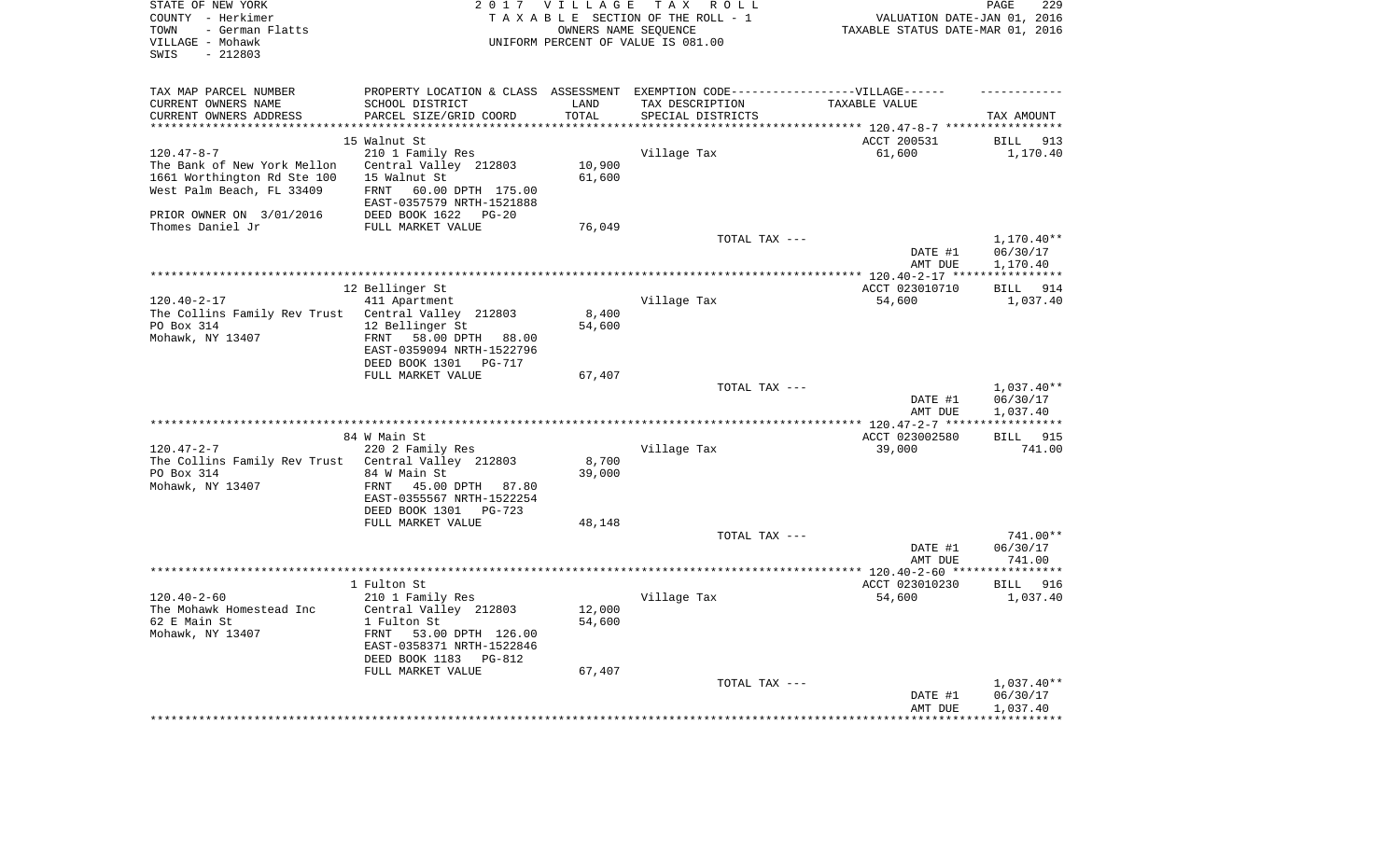| STATE OF NEW YORK<br>COUNTY - Herkimer<br>- German Flatts<br>TOWN<br>VILLAGE - Mohawk<br>$-212803$<br>SWIS |                                                                                  | 2017 VILLAGE<br>OWNERS NAME SEQUENCE | TAX ROLL<br>TAXABLE SECTION OF THE ROLL - 1<br>UNIFORM PERCENT OF VALUE IS 081.00 | VALUATION DATE-JAN 01, 2016<br>TAXABLE STATUS DATE-MAR 01, 2016 | PAGE<br>229           |
|------------------------------------------------------------------------------------------------------------|----------------------------------------------------------------------------------|--------------------------------------|-----------------------------------------------------------------------------------|-----------------------------------------------------------------|-----------------------|
| TAX MAP PARCEL NUMBER                                                                                      | PROPERTY LOCATION & CLASS ASSESSMENT EXEMPTION CODE----------------VILLAGE------ |                                      |                                                                                   |                                                                 |                       |
| CURRENT OWNERS NAME                                                                                        | SCHOOL DISTRICT                                                                  | LAND                                 | TAX DESCRIPTION                                                                   | TAXABLE VALUE                                                   |                       |
| CURRENT OWNERS ADDRESS<br>*********************                                                            | PARCEL SIZE/GRID COORD<br>**************************                             | TOTAL<br>*********                   | SPECIAL DISTRICTS                                                                 |                                                                 | TAX AMOUNT            |
|                                                                                                            | 15 Walnut St                                                                     |                                      |                                                                                   | ACCT 200531                                                     | <b>BILL</b><br>913    |
| $120.47 - 8 - 7$                                                                                           | 210 1 Family Res                                                                 |                                      | Village Tax                                                                       | 61,600                                                          | 1,170.40              |
| The Bank of New York Mellon                                                                                | Central Valley 212803                                                            | 10,900                               |                                                                                   |                                                                 |                       |
| 1661 Worthington Rd Ste 100                                                                                | 15 Walnut St                                                                     | 61,600                               |                                                                                   |                                                                 |                       |
| West Palm Beach, FL 33409                                                                                  | <b>FRNT</b><br>60.00 DPTH 175.00<br>EAST-0357579 NRTH-1521888                    |                                      |                                                                                   |                                                                 |                       |
| PRIOR OWNER ON 3/01/2016                                                                                   | DEED BOOK 1622<br>$PG-20$                                                        |                                      |                                                                                   |                                                                 |                       |
| Thomes Daniel Jr                                                                                           | FULL MARKET VALUE                                                                | 76,049                               |                                                                                   |                                                                 |                       |
|                                                                                                            |                                                                                  |                                      | TOTAL TAX ---                                                                     |                                                                 | 1,170.40**            |
|                                                                                                            |                                                                                  |                                      |                                                                                   | DATE #1<br>AMT DUE                                              | 06/30/17<br>1,170.40  |
|                                                                                                            |                                                                                  |                                      |                                                                                   | ************ 120.40-2-17 ***                                    | * * * * * * * * * * * |
|                                                                                                            | 12 Bellinger St                                                                  |                                      |                                                                                   | ACCT 023010710                                                  | BILL<br>914           |
| $120.40 - 2 - 17$                                                                                          | 411 Apartment                                                                    |                                      | Village Tax                                                                       | 54,600                                                          | 1,037.40              |
| The Collins Family Rev Trust                                                                               | Central Valley 212803                                                            | 8,400                                |                                                                                   |                                                                 |                       |
| PO Box 314                                                                                                 | 12 Bellinger St                                                                  | 54,600                               |                                                                                   |                                                                 |                       |
| Mohawk, NY 13407                                                                                           | 58.00 DPTH 88.00<br>FRNT                                                         |                                      |                                                                                   |                                                                 |                       |
|                                                                                                            | EAST-0359094 NRTH-1522796<br>DEED BOOK 1301<br><b>PG-717</b>                     |                                      |                                                                                   |                                                                 |                       |
|                                                                                                            | FULL MARKET VALUE                                                                | 67,407                               |                                                                                   |                                                                 |                       |
|                                                                                                            |                                                                                  |                                      | TOTAL TAX ---                                                                     |                                                                 | $1,037.40**$          |
|                                                                                                            |                                                                                  |                                      |                                                                                   | DATE #1<br>AMT DUE                                              | 06/30/17<br>1,037.40  |
|                                                                                                            |                                                                                  |                                      | ***********************                                                           | **** 120.47-2-7 ***                                             | * * * * * * * * * *   |
|                                                                                                            | 84 W Main St                                                                     |                                      |                                                                                   | ACCT 023002580                                                  | BILL 915              |
| $120.47 - 2 - 7$                                                                                           | 220 2 Family Res                                                                 |                                      | Village Tax                                                                       | 39,000                                                          | 741.00                |
| The Collins Family Rev Trust                                                                               | Central Valley 212803                                                            | 8,700                                |                                                                                   |                                                                 |                       |
| PO Box 314<br>Mohawk, NY 13407                                                                             | 84 W Main St<br>FRNT<br>45.00 DPTH 87.80<br>EAST-0355567 NRTH-1522254            | 39,000                               |                                                                                   |                                                                 |                       |
|                                                                                                            | DEED BOOK 1301<br>PG-723                                                         |                                      |                                                                                   |                                                                 |                       |
|                                                                                                            | FULL MARKET VALUE                                                                | 48,148                               |                                                                                   |                                                                 |                       |
|                                                                                                            |                                                                                  |                                      | TOTAL TAX ---                                                                     |                                                                 | 741.00**              |
|                                                                                                            |                                                                                  |                                      |                                                                                   | DATE #1                                                         | 06/30/17              |
|                                                                                                            |                                                                                  |                                      |                                                                                   | AMT DUE<br>*************** 120.40-2-60 *****                    | 741.00<br>*********** |
|                                                                                                            | 1 Fulton St                                                                      |                                      |                                                                                   | ACCT 023010230                                                  | <b>BILL</b><br>916    |
| $120.40 - 2 - 60$                                                                                          | 210 1 Family Res                                                                 |                                      | Village Tax                                                                       | 54,600                                                          | 1,037.40              |
| The Mohawk Homestead Inc                                                                                   | Central Valley 212803                                                            | 12,000                               |                                                                                   |                                                                 |                       |
| 62 E Main St                                                                                               | 1 Fulton St                                                                      | 54,600                               |                                                                                   |                                                                 |                       |
| Mohawk, NY 13407                                                                                           | FRNT<br>53.00 DPTH 126.00                                                        |                                      |                                                                                   |                                                                 |                       |
|                                                                                                            | EAST-0358371 NRTH-1522846                                                        |                                      |                                                                                   |                                                                 |                       |
|                                                                                                            | DEED BOOK 1183<br>$PG-812$<br>FULL MARKET VALUE                                  | 67,407                               |                                                                                   |                                                                 |                       |
|                                                                                                            |                                                                                  |                                      | TOTAL TAX ---                                                                     |                                                                 | $1,037.40**$          |
|                                                                                                            |                                                                                  |                                      |                                                                                   | DATE #1                                                         | 06/30/17              |
|                                                                                                            |                                                                                  |                                      |                                                                                   | AMT DUE                                                         | 1,037.40              |
|                                                                                                            |                                                                                  |                                      |                                                                                   |                                                                 |                       |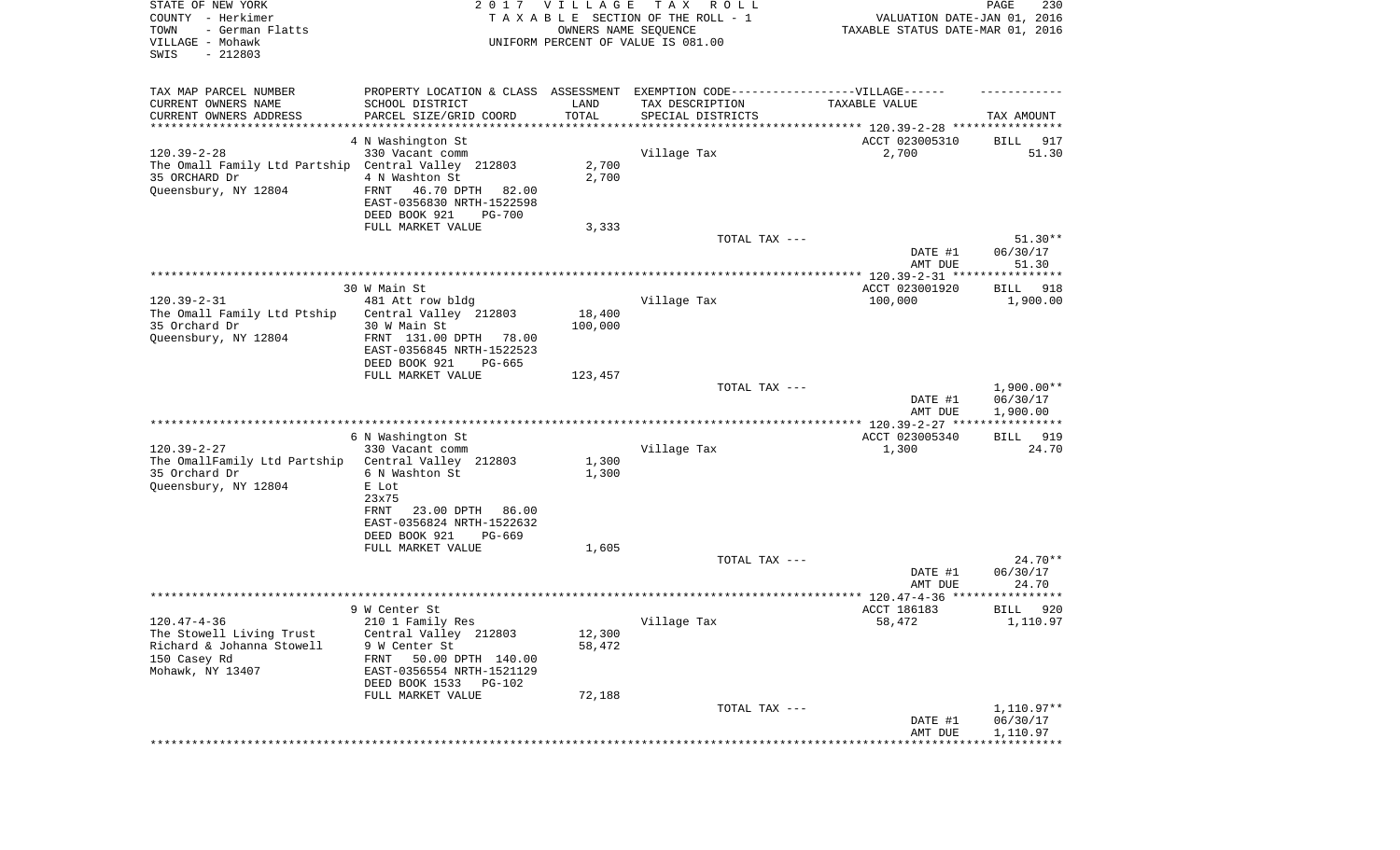| STATE OF NEW YORK<br>COUNTY - Herkimer<br>- German Flatts<br>TOWN<br>VILLAGE - Mohawk<br>$-212803$<br>SWIS        |                                                                                                                                  | 2017 VILLAGE<br>OWNERS NAME SEQUENCE | T A X<br>R O L L<br>TAXABLE SECTION OF THE ROLL - 1<br>UNIFORM PERCENT OF VALUE IS 081.00           | VALUATION DATE-JAN 01, 2016<br>TAXABLE STATUS DATE-MAR 01, 2016 | PAGE<br>230                          |
|-------------------------------------------------------------------------------------------------------------------|----------------------------------------------------------------------------------------------------------------------------------|--------------------------------------|-----------------------------------------------------------------------------------------------------|-----------------------------------------------------------------|--------------------------------------|
| TAX MAP PARCEL NUMBER<br>CURRENT OWNERS NAME<br>CURRENT OWNERS ADDRESS                                            | SCHOOL DISTRICT<br>PARCEL SIZE/GRID COORD                                                                                        | LAND<br>TOTAL                        | PROPERTY LOCATION & CLASS ASSESSMENT EXEMPTION CODE----------------VILLAGE------<br>TAX DESCRIPTION | TAXABLE VALUE                                                   | TAX AMOUNT                           |
| ***********************                                                                                           |                                                                                                                                  |                                      | SPECIAL DISTRICTS                                                                                   |                                                                 |                                      |
| $120.39 - 2 - 28$<br>The Omall Family Ltd Partship Central Valley 212803<br>35 ORCHARD Dr<br>Queensbury, NY 12804 | 4 N Washington St<br>330 Vacant comm<br>4 N Washton St<br>FRNT<br>46.70 DPTH<br>82.00<br>EAST-0356830 NRTH-1522598               | 2,700<br>2,700                       | Village Tax                                                                                         | ACCT 023005310<br>2,700                                         | 917<br>BILL<br>51.30                 |
|                                                                                                                   | DEED BOOK 921<br><b>PG-700</b><br>FULL MARKET VALUE                                                                              | 3,333                                |                                                                                                     |                                                                 |                                      |
|                                                                                                                   |                                                                                                                                  |                                      | TOTAL TAX ---                                                                                       | DATE #1<br>AMT DUE                                              | $51.30**$<br>06/30/17<br>51.30       |
|                                                                                                                   |                                                                                                                                  |                                      |                                                                                                     |                                                                 |                                      |
| $120.39 - 2 - 31$<br>The Omall Family Ltd Ptship<br>35 Orchard Dr<br>Queensbury, NY 12804                         | 30 W Main St<br>481 Att row bldg<br>Central Valley 212803<br>30 W Main St<br>FRNT 131.00 DPTH 78.00<br>EAST-0356845 NRTH-1522523 | 18,400<br>100,000                    | Village Tax                                                                                         | ACCT 023001920<br>100,000                                       | BILL<br>918<br>1,900.00              |
|                                                                                                                   | DEED BOOK 921<br>PG-665<br>FULL MARKET VALUE                                                                                     | 123,457                              |                                                                                                     |                                                                 |                                      |
|                                                                                                                   |                                                                                                                                  |                                      | TOTAL TAX ---                                                                                       | DATE #1<br>AMT DUE                                              | $1,900.00**$<br>06/30/17<br>1,900.00 |
|                                                                                                                   |                                                                                                                                  |                                      |                                                                                                     |                                                                 |                                      |
| $120.39 - 2 - 27$<br>The OmallFamily Ltd Partship<br>35 Orchard Dr                                                | 6 N Washington St<br>330 Vacant comm<br>Central Valley 212803<br>6 N Washton St                                                  | 1,300<br>1,300                       | Village Tax                                                                                         | ACCT 023005340<br>1,300                                         | BILL 919<br>24.70                    |
| Queensbury, NY 12804                                                                                              | E Lot<br>23x75<br>FRNT<br>23.00 DPTH 86.00<br>EAST-0356824 NRTH-1522632<br>DEED BOOK 921<br>PG-669                               |                                      |                                                                                                     |                                                                 |                                      |
|                                                                                                                   | FULL MARKET VALUE                                                                                                                | 1,605                                | TOTAL TAX ---                                                                                       |                                                                 | 24.70**                              |
|                                                                                                                   |                                                                                                                                  |                                      |                                                                                                     | DATE #1<br>AMT DUE                                              | 06/30/17<br>24.70                    |
|                                                                                                                   |                                                                                                                                  |                                      |                                                                                                     |                                                                 | ****************                     |
| 120.47-4-36<br>The Stowell Living Trust                                                                           | 9 W Center St<br>210 1 Family Res<br>Central Valley 212803                                                                       | 12,300                               | Village Tax                                                                                         | ACCT 186183<br>58,472                                           | 920<br>BILL<br>1,110.97              |
| Richard & Johanna Stowell<br>150 Casey Rd<br>Mohawk, NY 13407                                                     | 9 W Center St<br>50.00 DPTH 140.00<br>FRNT<br>EAST-0356554 NRTH-1521129<br>DEED BOOK 1533<br>PG-102                              | 58,472                               |                                                                                                     |                                                                 |                                      |
|                                                                                                                   | FULL MARKET VALUE                                                                                                                | 72,188                               | TOTAL TAX ---                                                                                       | DATE #1                                                         | $1,110.97**$<br>06/30/17             |
|                                                                                                                   |                                                                                                                                  |                                      |                                                                                                     | AMT DUE                                                         | 1,110.97                             |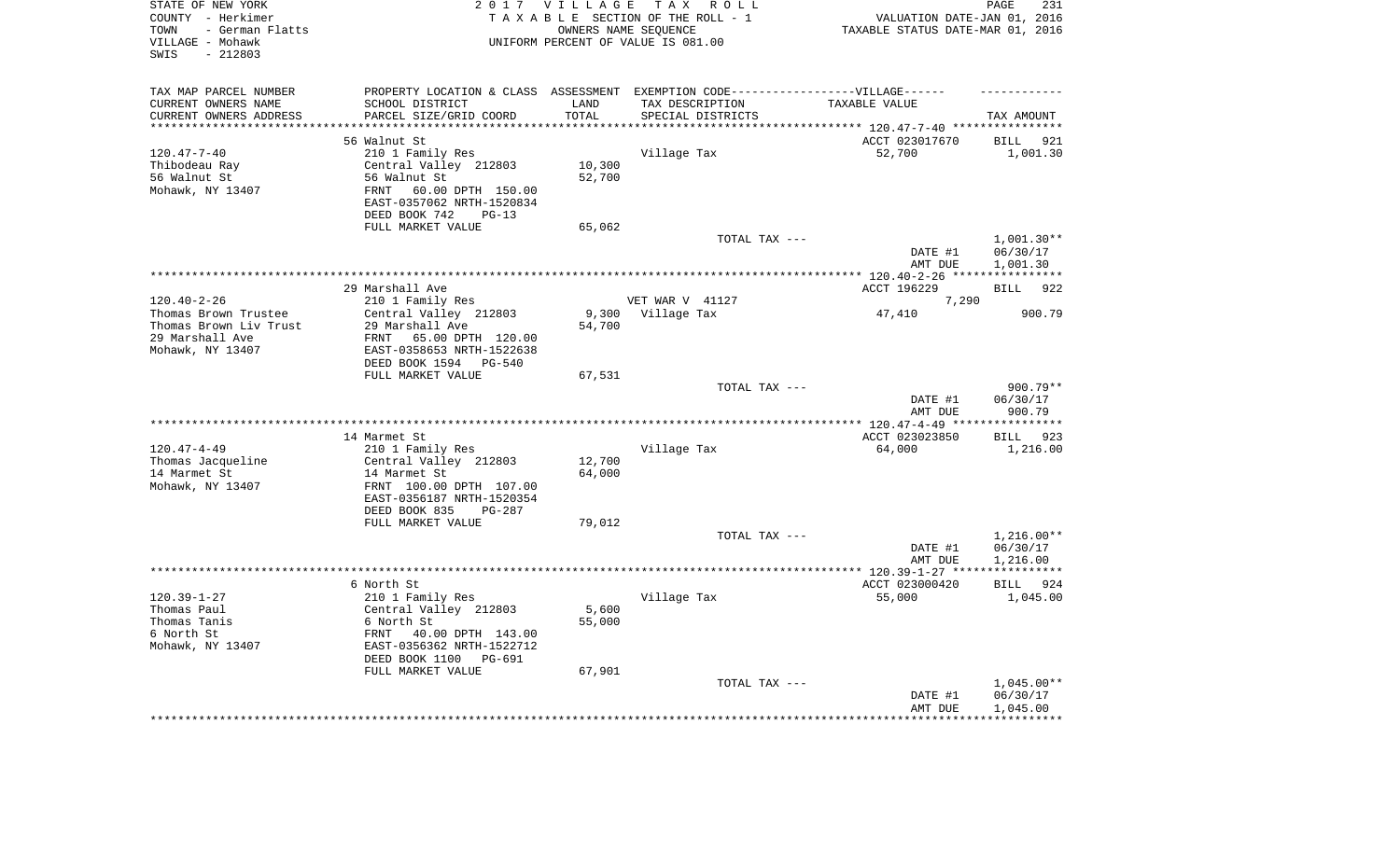| STATE OF NEW YORK<br>COUNTY - Herkimer<br>- German Flatts<br>TOWN<br>VILLAGE - Mohawk<br>$-212803$<br>SWIS |                                                       | 2017 VILLAGE      | T A X<br>R O L L<br>TAXABLE SECTION OF THE ROLL - 1<br>OWNERS NAME SEQUENCE<br>UNIFORM PERCENT OF VALUE IS 081.00 | VALUATION DATE-JAN 01, 2016<br>TAXABLE STATUS DATE-MAR 01, 2016 | PAGE<br>231            |
|------------------------------------------------------------------------------------------------------------|-------------------------------------------------------|-------------------|-------------------------------------------------------------------------------------------------------------------|-----------------------------------------------------------------|------------------------|
| TAX MAP PARCEL NUMBER                                                                                      |                                                       |                   | PROPERTY LOCATION & CLASS ASSESSMENT EXEMPTION CODE-----------------VILLAGE------                                 |                                                                 |                        |
| CURRENT OWNERS NAME                                                                                        | SCHOOL DISTRICT                                       | LAND              | TAX DESCRIPTION                                                                                                   | TAXABLE VALUE                                                   |                        |
| CURRENT OWNERS ADDRESS<br>********************                                                             | PARCEL SIZE/GRID COORD                                | TOTAL<br>******** | SPECIAL DISTRICTS                                                                                                 |                                                                 | TAX AMOUNT             |
|                                                                                                            |                                                       |                   |                                                                                                                   | *************************** 120.47-7-40 ****************        |                        |
|                                                                                                            | 56 Walnut St                                          |                   |                                                                                                                   | ACCT 023017670                                                  | <b>BILL</b><br>921     |
| $120.47 - 7 - 40$                                                                                          | 210 1 Family Res                                      |                   | Village Tax                                                                                                       | 52,700                                                          | 1,001.30               |
| Thibodeau Ray<br>56 Walnut St                                                                              | Central Valley 212803<br>56 Walnut St                 | 10,300<br>52,700  |                                                                                                                   |                                                                 |                        |
| Mohawk, NY 13407                                                                                           | 60.00 DPTH 150.00<br>FRNT                             |                   |                                                                                                                   |                                                                 |                        |
|                                                                                                            | EAST-0357062 NRTH-1520834                             |                   |                                                                                                                   |                                                                 |                        |
|                                                                                                            | DEED BOOK 742<br>$PG-13$<br>FULL MARKET VALUE         | 65,062            |                                                                                                                   |                                                                 |                        |
|                                                                                                            |                                                       |                   | TOTAL TAX ---                                                                                                     |                                                                 | $1,001.30**$           |
|                                                                                                            |                                                       |                   |                                                                                                                   | DATE #1<br>AMT DUE                                              | 06/30/17<br>1,001.30   |
|                                                                                                            |                                                       |                   |                                                                                                                   | ********* 120.40-2-26 *****************                         |                        |
|                                                                                                            | 29 Marshall Ave                                       |                   |                                                                                                                   | ACCT 196229                                                     | 922<br><b>BILL</b>     |
| $120.40 - 2 - 26$                                                                                          | 210 1 Family Res                                      |                   | VET WAR V 41127                                                                                                   | 7,290                                                           |                        |
| Thomas Brown Trustee                                                                                       | Central Valley 212803                                 | 9,300             | Village Tax                                                                                                       | 47,410                                                          | 900.79                 |
| Thomas Brown Liv Trust                                                                                     | 29 Marshall Ave                                       | 54,700            |                                                                                                                   |                                                                 |                        |
| 29 Marshall Ave                                                                                            | FRNT<br>65.00 DPTH 120.00                             |                   |                                                                                                                   |                                                                 |                        |
| Mohawk, NY 13407                                                                                           | EAST-0358653 NRTH-1522638<br>DEED BOOK 1594<br>PG-540 |                   |                                                                                                                   |                                                                 |                        |
|                                                                                                            | FULL MARKET VALUE                                     | 67,531            |                                                                                                                   |                                                                 |                        |
|                                                                                                            |                                                       |                   | TOTAL TAX ---                                                                                                     | DATE #1                                                         | $900.79**$<br>06/30/17 |
|                                                                                                            |                                                       |                   |                                                                                                                   | AMT DUE                                                         | 900.79                 |
|                                                                                                            |                                                       |                   |                                                                                                                   | ** $120.47 - 4 - 49$ **                                         | *********              |
|                                                                                                            | 14 Marmet St                                          |                   |                                                                                                                   | ACCT 023023850                                                  | 923<br>BILL            |
| $120.47 - 4 - 49$<br>Thomas Jacqueline                                                                     | 210 1 Family Res<br>Central Valley 212803             | 12,700            | Village Tax                                                                                                       | 64,000                                                          | 1,216.00               |
| 14 Marmet St                                                                                               | 14 Marmet St                                          | 64,000            |                                                                                                                   |                                                                 |                        |
| Mohawk, NY 13407                                                                                           | FRNT 100.00 DPTH 107.00                               |                   |                                                                                                                   |                                                                 |                        |
|                                                                                                            | EAST-0356187 NRTH-1520354                             |                   |                                                                                                                   |                                                                 |                        |
|                                                                                                            | DEED BOOK 835<br>$PG-287$                             |                   |                                                                                                                   |                                                                 |                        |
|                                                                                                            | FULL MARKET VALUE                                     | 79,012            |                                                                                                                   |                                                                 |                        |
|                                                                                                            |                                                       |                   | TOTAL TAX ---                                                                                                     |                                                                 | $1,216.00**$           |
|                                                                                                            |                                                       |                   |                                                                                                                   | DATE #1                                                         | 06/30/17               |
|                                                                                                            |                                                       |                   |                                                                                                                   | AMT DUE                                                         | 1,216.00               |
|                                                                                                            |                                                       |                   |                                                                                                                   | ************* 120.39-1-27 ****                                  | ************           |
|                                                                                                            | 6 North St                                            |                   |                                                                                                                   | ACCT 023000420                                                  | BILL 924               |
| $120.39 - 1 - 27$<br>Thomas Paul                                                                           | 210 1 Family Res<br>Central Valley 212803             | 5,600             | Village Tax                                                                                                       | 55,000                                                          | 1,045.00               |
| Thomas Tanis                                                                                               | 6 North St                                            | 55,000            |                                                                                                                   |                                                                 |                        |
| 6 North St                                                                                                 | FRNT<br>40.00 DPTH 143.00                             |                   |                                                                                                                   |                                                                 |                        |
| Mohawk, NY 13407                                                                                           | EAST-0356362 NRTH-1522712                             |                   |                                                                                                                   |                                                                 |                        |
|                                                                                                            | DEED BOOK 1100<br>PG-691                              |                   |                                                                                                                   |                                                                 |                        |
|                                                                                                            | FULL MARKET VALUE                                     | 67,901            |                                                                                                                   |                                                                 |                        |
|                                                                                                            |                                                       |                   | TOTAL TAX ---                                                                                                     |                                                                 | $1,045.00**$           |
|                                                                                                            |                                                       |                   |                                                                                                                   | DATE #1                                                         | 06/30/17               |
|                                                                                                            |                                                       |                   |                                                                                                                   | AMT DUE                                                         | 1,045.00               |
|                                                                                                            |                                                       |                   |                                                                                                                   |                                                                 |                        |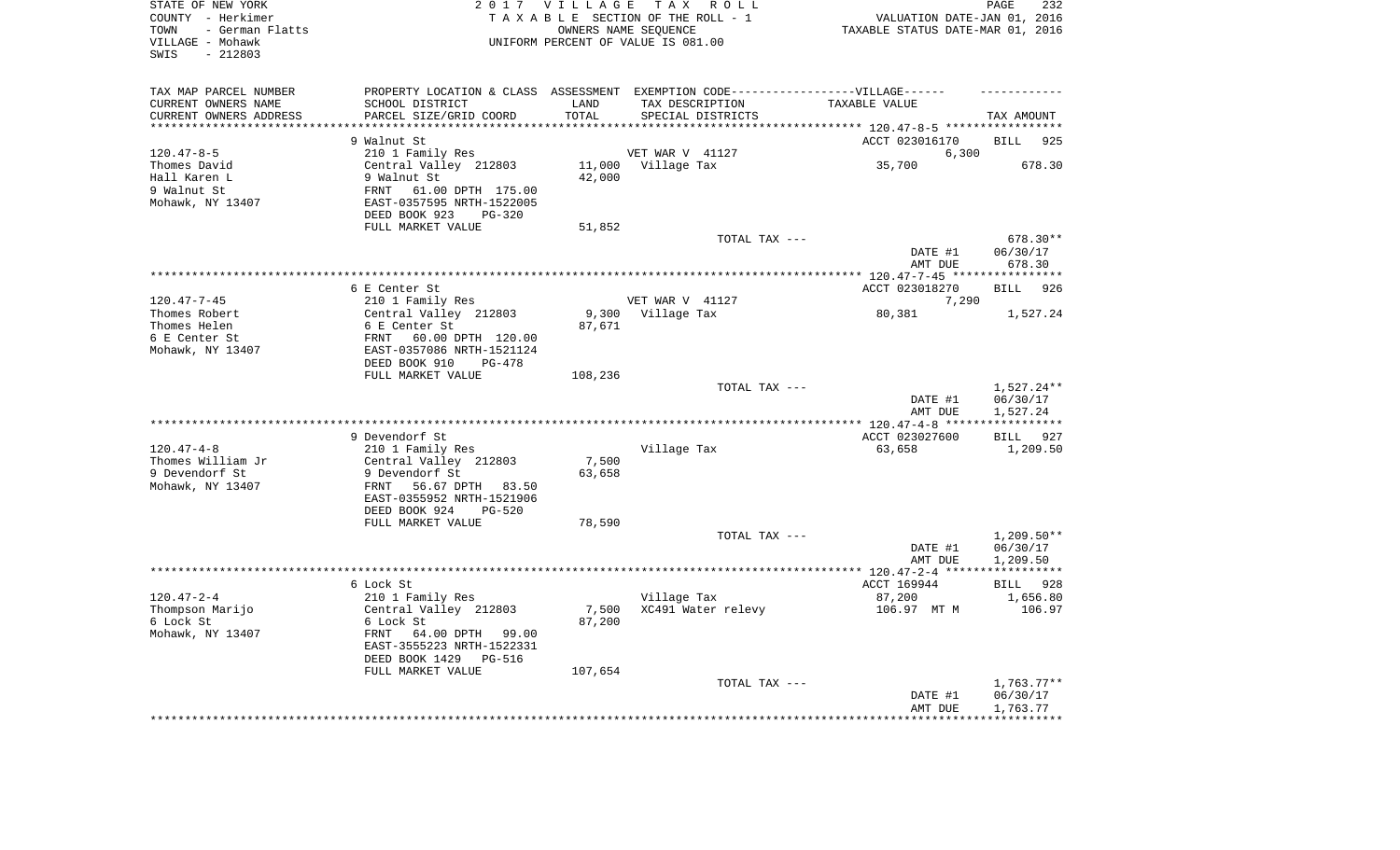| STATE OF NEW YORK<br>COUNTY - Herkimer<br>- German Flatts<br>TOWN<br>VILLAGE - Mohawk<br>$-212803$<br>SWIS |                                                        | 2017 VILLAGE               | TAX ROLL<br>TAXABLE SECTION OF THE ROLL - 1<br>OWNERS NAME SEQUENCE<br>UNIFORM PERCENT OF VALUE IS 081.00 | VALUATION DATE-JAN 01, 2016<br>TAXABLE STATUS DATE-MAR 01, 2016 | PAGE<br>232          |
|------------------------------------------------------------------------------------------------------------|--------------------------------------------------------|----------------------------|-----------------------------------------------------------------------------------------------------------|-----------------------------------------------------------------|----------------------|
| TAX MAP PARCEL NUMBER<br>CURRENT OWNERS NAME                                                               | SCHOOL DISTRICT                                        | LAND                       | PROPERTY LOCATION & CLASS ASSESSMENT EXEMPTION CODE-----------------VILLAGE------<br>TAX DESCRIPTION      | TAXABLE VALUE                                                   |                      |
| CURRENT OWNERS ADDRESS<br>*********************                                                            | PARCEL SIZE/GRID COORD<br>***********************      | TOTAL<br>* * * * * * * * * | SPECIAL DISTRICTS                                                                                         |                                                                 | TAX AMOUNT           |
|                                                                                                            |                                                        |                            |                                                                                                           |                                                                 |                      |
| $120.47 - 8 - 5$                                                                                           | 9 Walnut St<br>210 1 Family Res                        |                            | VET WAR V 41127                                                                                           | ACCT 023016170<br>6,300                                         | <b>BILL</b><br>925   |
| Thomes David                                                                                               | Central Valley 212803                                  | 11,000                     | Village Tax                                                                                               | 35,700                                                          | 678.30               |
| Hall Karen L                                                                                               | 9 Walnut St                                            | 42,000                     |                                                                                                           |                                                                 |                      |
| 9 Walnut St                                                                                                | 61.00 DPTH 175.00<br>FRNT                              |                            |                                                                                                           |                                                                 |                      |
| Mohawk, NY 13407                                                                                           | EAST-0357595 NRTH-1522005<br>DEED BOOK 923<br>PG-320   |                            |                                                                                                           |                                                                 |                      |
|                                                                                                            | FULL MARKET VALUE                                      | 51,852                     |                                                                                                           |                                                                 |                      |
|                                                                                                            |                                                        |                            | TOTAL TAX ---                                                                                             |                                                                 | 678.30**             |
|                                                                                                            |                                                        |                            |                                                                                                           | DATE #1<br>AMT DUE                                              | 06/30/17<br>678.30   |
|                                                                                                            |                                                        |                            |                                                                                                           | *** 120.47-7-45 *****************                               |                      |
|                                                                                                            | 6 E Center St                                          |                            |                                                                                                           | ACCT 023018270                                                  | <b>BILL</b><br>926   |
| $120.47 - 7 - 45$                                                                                          | 210 1 Family Res                                       |                            | VET WAR V 41127                                                                                           | 7,290                                                           |                      |
| Thomes Robert                                                                                              | Central Valley 212803                                  | 9,300                      | Village Tax                                                                                               | 80,381                                                          | 1,527.24             |
| Thomes Helen                                                                                               | 6 E Center St                                          | 87,671                     |                                                                                                           |                                                                 |                      |
| 6 E Center St                                                                                              | 60.00 DPTH 120.00<br>FRNT                              |                            |                                                                                                           |                                                                 |                      |
| Mohawk, NY 13407                                                                                           | EAST-0357086 NRTH-1521124                              |                            |                                                                                                           |                                                                 |                      |
|                                                                                                            | DEED BOOK 910<br>PG-478<br>FULL MARKET VALUE           | 108,236                    |                                                                                                           |                                                                 |                      |
|                                                                                                            |                                                        |                            | TOTAL TAX ---                                                                                             |                                                                 | 1,527.24**           |
|                                                                                                            |                                                        |                            |                                                                                                           | DATE #1<br>AMT DUE                                              | 06/30/17<br>1,527.24 |
|                                                                                                            |                                                        |                            |                                                                                                           | ****** 120.47-4-8 ***                                           | ***********          |
|                                                                                                            | 9 Devendorf St                                         |                            |                                                                                                           | ACCT 023027600                                                  | 927<br><b>BILL</b>   |
| $120.47 - 4 - 8$                                                                                           | 210 1 Family Res                                       |                            | Village Tax                                                                                               | 63,658                                                          | 1,209.50             |
| Thomes William Jr                                                                                          | Central Valley 212803                                  | 7,500                      |                                                                                                           |                                                                 |                      |
| 9 Devendorf St                                                                                             | 9 Devendorf St                                         | 63,658                     |                                                                                                           |                                                                 |                      |
| Mohawk, NY 13407                                                                                           | FRNT<br>56.67 DPTH 83.50                               |                            |                                                                                                           |                                                                 |                      |
|                                                                                                            | EAST-0355952 NRTH-1521906<br>DEED BOOK 924<br>$PG-520$ |                            |                                                                                                           |                                                                 |                      |
|                                                                                                            | FULL MARKET VALUE                                      | 78,590                     |                                                                                                           |                                                                 |                      |
|                                                                                                            |                                                        |                            | TOTAL TAX ---                                                                                             |                                                                 | $1,209.50**$         |
|                                                                                                            |                                                        |                            |                                                                                                           | DATE #1                                                         | 06/30/17             |
|                                                                                                            |                                                        |                            |                                                                                                           | AMT DUE                                                         | 1,209.50             |
|                                                                                                            |                                                        |                            |                                                                                                           |                                                                 |                      |
|                                                                                                            | 6 Lock St                                              |                            |                                                                                                           | ACCT 169944                                                     | BILL<br>928          |
| $120.47 - 2 - 4$                                                                                           | 210 1 Family Res                                       |                            | Village Tax                                                                                               | 87,200                                                          | 1,656.80             |
| Thompson Marijo<br>6 Lock St                                                                               | Central Valley 212803<br>6 Lock St                     | 7,500<br>87,200            | XC491 Water relevy                                                                                        | 106.97 MT M                                                     | 106.97               |
| Mohawk, NY 13407                                                                                           | FRNT<br>64.00 DPTH<br>99.00                            |                            |                                                                                                           |                                                                 |                      |
|                                                                                                            | EAST-3555223 NRTH-1522331                              |                            |                                                                                                           |                                                                 |                      |
|                                                                                                            | DEED BOOK 1429<br><b>PG-516</b>                        |                            |                                                                                                           |                                                                 |                      |
|                                                                                                            | FULL MARKET VALUE                                      | 107,654                    |                                                                                                           |                                                                 |                      |
|                                                                                                            |                                                        |                            | TOTAL TAX ---                                                                                             |                                                                 | $1,763.77**$         |
|                                                                                                            |                                                        |                            |                                                                                                           | DATE #1                                                         | 06/30/17             |
|                                                                                                            |                                                        |                            |                                                                                                           | AMT DUE                                                         | 1,763.77             |
|                                                                                                            |                                                        |                            |                                                                                                           |                                                                 |                      |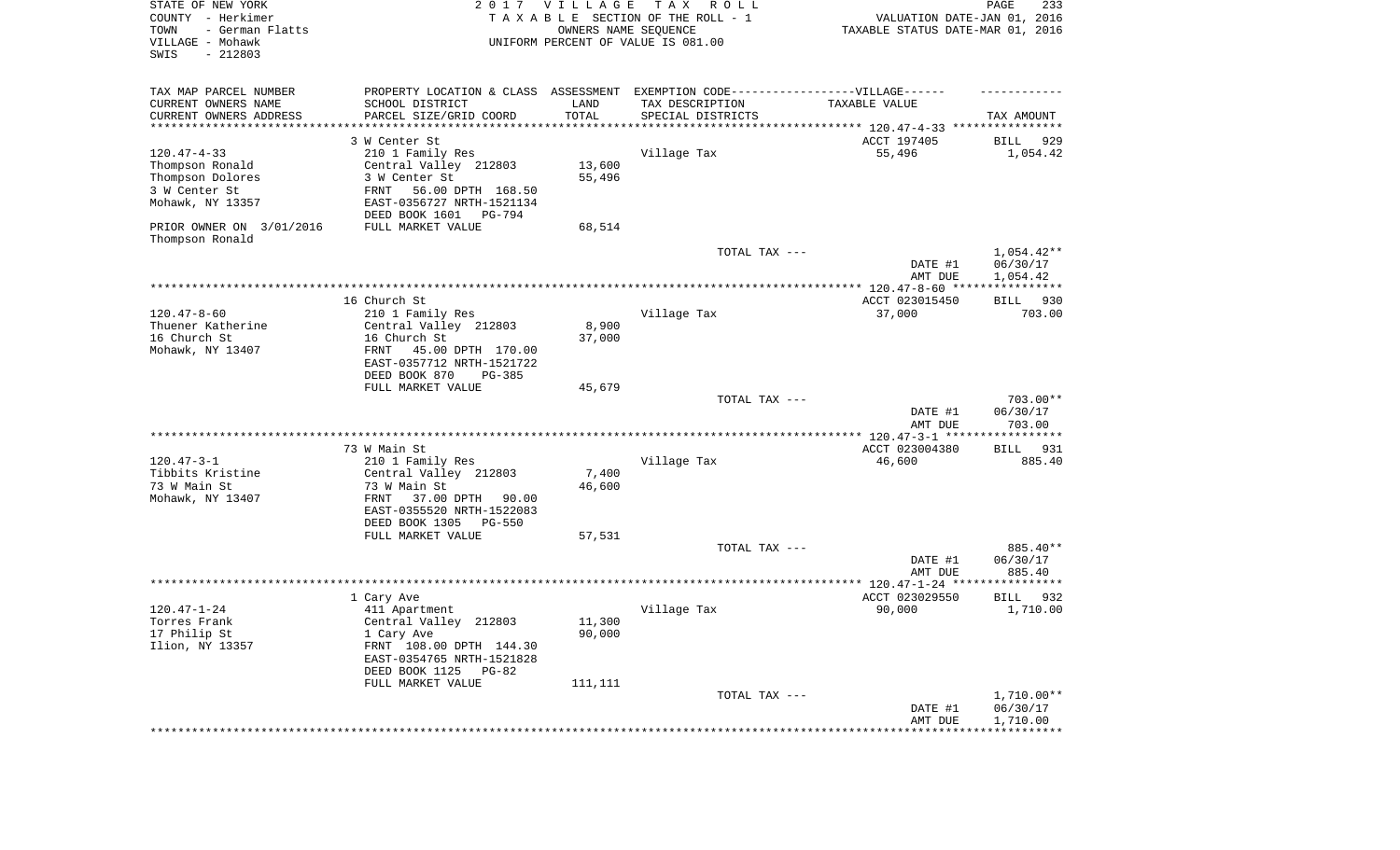| STATE OF NEW YORK<br>COUNTY - Herkimer<br>- German Flatts<br>TOWN<br>VILLAGE - Mohawk<br>SWIS<br>$-212803$ | 2017                                                 | VILLAGE | T A X<br>R O L L<br>TAXABLE SECTION OF THE ROLL - 1<br>OWNERS NAME SEQUENCE<br>UNIFORM PERCENT OF VALUE IS 081.00 | VALUATION DATE-JAN 01, 2016<br>TAXABLE STATUS DATE-MAR 01, 2016 | 233<br>PAGE                                   |
|------------------------------------------------------------------------------------------------------------|------------------------------------------------------|---------|-------------------------------------------------------------------------------------------------------------------|-----------------------------------------------------------------|-----------------------------------------------|
| TAX MAP PARCEL NUMBER                                                                                      | PROPERTY LOCATION & CLASS ASSESSMENT                 |         | EXEMPTION CODE------------------VILLAGE------                                                                     |                                                                 |                                               |
| CURRENT OWNERS NAME                                                                                        | SCHOOL DISTRICT                                      | LAND    | TAX DESCRIPTION                                                                                                   | TAXABLE VALUE                                                   |                                               |
| CURRENT OWNERS ADDRESS<br>*********************                                                            | PARCEL SIZE/GRID COORD                               | TOTAL   | SPECIAL DISTRICTS                                                                                                 | **************************** 120.47-4-33 ****************       | TAX AMOUNT                                    |
|                                                                                                            | 3 W Center St                                        |         |                                                                                                                   | ACCT 197405                                                     | BILL<br>929                                   |
| $120.47 - 4 - 33$                                                                                          | 210 1 Family Res                                     |         | Village Tax                                                                                                       | 55,496                                                          | 1,054.42                                      |
| Thompson Ronald                                                                                            | Central Valley 212803                                | 13,600  |                                                                                                                   |                                                                 |                                               |
| Thompson Dolores                                                                                           | 3 W Center St                                        | 55,496  |                                                                                                                   |                                                                 |                                               |
| 3 W Center St                                                                                              | FRNT<br>56.00 DPTH 168.50                            |         |                                                                                                                   |                                                                 |                                               |
| Mohawk, NY 13357                                                                                           | EAST-0356727 NRTH-1521134                            |         |                                                                                                                   |                                                                 |                                               |
|                                                                                                            | DEED BOOK 1601<br>PG-794                             |         |                                                                                                                   |                                                                 |                                               |
| PRIOR OWNER ON 3/01/2016<br>Thompson Ronald                                                                | FULL MARKET VALUE                                    | 68,514  |                                                                                                                   |                                                                 |                                               |
|                                                                                                            |                                                      |         | TOTAL TAX ---                                                                                                     |                                                                 | $1,054.42**$                                  |
|                                                                                                            |                                                      |         |                                                                                                                   | DATE #1<br>AMT DUE                                              | 06/30/17<br>1,054.42<br>* * * * * * * * * * * |
|                                                                                                            | 16 Church St.                                        |         |                                                                                                                   | ACCT 023015450                                                  | 930                                           |
| $120.47 - 8 - 60$                                                                                          | 210 1 Family Res                                     |         | Village Tax                                                                                                       | 37,000                                                          | BILL<br>703.00                                |
| Thuener Katherine                                                                                          | Central Valley 212803                                | 8,900   |                                                                                                                   |                                                                 |                                               |
| 16 Church St                                                                                               | 16 Church St                                         | 37,000  |                                                                                                                   |                                                                 |                                               |
| Mohawk, NY 13407                                                                                           | FRNT<br>45.00 DPTH 170.00                            |         |                                                                                                                   |                                                                 |                                               |
|                                                                                                            | EAST-0357712 NRTH-1521722                            |         |                                                                                                                   |                                                                 |                                               |
|                                                                                                            | DEED BOOK 870<br>PG-385                              |         |                                                                                                                   |                                                                 |                                               |
|                                                                                                            | FULL MARKET VALUE                                    | 45,679  |                                                                                                                   |                                                                 |                                               |
|                                                                                                            |                                                      |         | TOTAL TAX ---                                                                                                     | DATE #1                                                         | 703.00**<br>06/30/17                          |
|                                                                                                            |                                                      |         |                                                                                                                   | AMT DUE                                                         | 703.00                                        |
|                                                                                                            |                                                      |         |                                                                                                                   | ************* 120.47-3-1 ******                                 | ***********                                   |
|                                                                                                            | 73 W Main St                                         |         |                                                                                                                   | ACCT 023004380                                                  | 931<br>BILL                                   |
| $120.47 - 3 - 1$                                                                                           | 210 1 Family Res                                     |         | Village Tax                                                                                                       | 46,600                                                          | 885.40                                        |
| Tibbits Kristine                                                                                           | Central Valley 212803                                | 7,400   |                                                                                                                   |                                                                 |                                               |
| 73 W Main St                                                                                               | 73 W Main St                                         | 46,600  |                                                                                                                   |                                                                 |                                               |
| Mohawk, NY 13407                                                                                           | FRNT<br>37.00 DPTH<br>90.00                          |         |                                                                                                                   |                                                                 |                                               |
|                                                                                                            | EAST-0355520 NRTH-1522083                            |         |                                                                                                                   |                                                                 |                                               |
|                                                                                                            | DEED BOOK 1305<br>PG-550<br>FULL MARKET VALUE        | 57,531  |                                                                                                                   |                                                                 |                                               |
|                                                                                                            |                                                      |         | TOTAL TAX ---                                                                                                     |                                                                 | 885.40**                                      |
|                                                                                                            |                                                      |         |                                                                                                                   | DATE #1                                                         | 06/30/17                                      |
|                                                                                                            |                                                      |         |                                                                                                                   | AMT DUE                                                         | 885.40                                        |
|                                                                                                            | ***********************************                  |         |                                                                                                                   |                                                                 |                                               |
|                                                                                                            | 1 Cary Ave                                           |         |                                                                                                                   | ACCT 023029550                                                  | 932<br>BILL                                   |
| $120.47 - 1 - 24$                                                                                          | 411 Apartment                                        |         | Village Tax                                                                                                       | 90,000                                                          | 1,710.00                                      |
| Torres Frank                                                                                               | Central Valley 212803                                | 11,300  |                                                                                                                   |                                                                 |                                               |
| 17 Philip St                                                                                               | 1 Cary Ave                                           | 90,000  |                                                                                                                   |                                                                 |                                               |
| Ilion, NY 13357                                                                                            | FRNT 108.00 DPTH 144.30<br>EAST-0354765 NRTH-1521828 |         |                                                                                                                   |                                                                 |                                               |
|                                                                                                            | DEED BOOK 1125<br>PG-82                              |         |                                                                                                                   |                                                                 |                                               |
|                                                                                                            | FULL MARKET VALUE                                    | 111,111 |                                                                                                                   |                                                                 |                                               |
|                                                                                                            |                                                      |         | TOTAL TAX ---                                                                                                     |                                                                 | $1,710.00**$                                  |
|                                                                                                            |                                                      |         |                                                                                                                   | DATE #1                                                         | 06/30/17                                      |
|                                                                                                            |                                                      |         |                                                                                                                   | AMT DUE                                                         | 1,710.00                                      |
|                                                                                                            |                                                      |         | ******************************                                                                                    | *******************                                             | ***********                                   |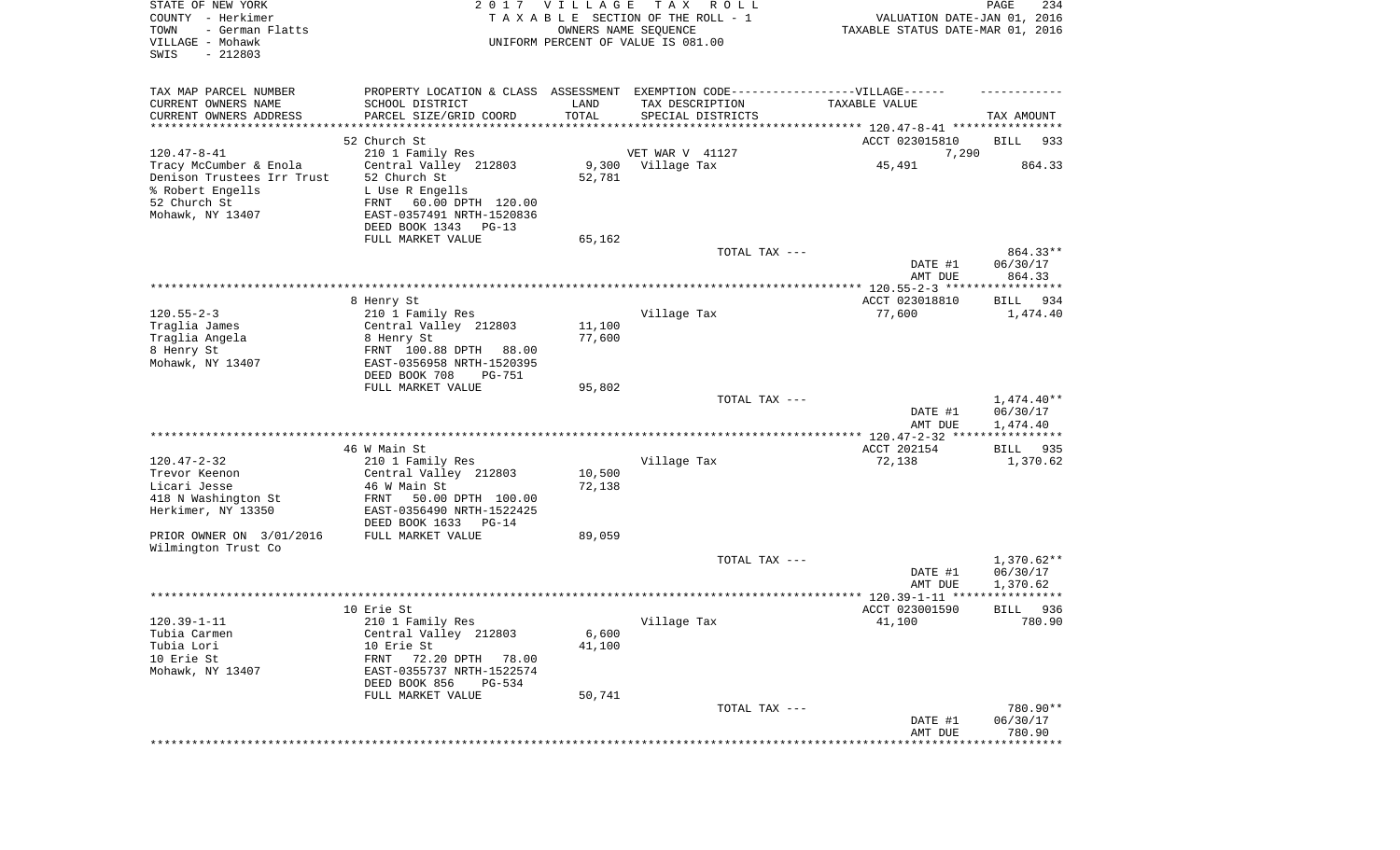| STATE OF NEW YORK<br>COUNTY - Herkimer<br>TOWN<br>- German Flatts<br>VILLAGE - Mohawk<br>SWIS<br>$-212803$ |                                                                                  | 2017 VILLAGE<br>OWNERS NAME SEQUENCE | T A X<br>R O L L<br>TAXABLE SECTION OF THE ROLL - 1<br>UNIFORM PERCENT OF VALUE IS 081.00 | VALUATION DATE-JAN 01, 2016<br>TAXABLE STATUS DATE-MAR 01, 2016 | PAGE<br>234              |
|------------------------------------------------------------------------------------------------------------|----------------------------------------------------------------------------------|--------------------------------------|-------------------------------------------------------------------------------------------|-----------------------------------------------------------------|--------------------------|
| TAX MAP PARCEL NUMBER                                                                                      | PROPERTY LOCATION & CLASS ASSESSMENT EXEMPTION CODE----------------VILLAGE------ |                                      |                                                                                           |                                                                 |                          |
| CURRENT OWNERS NAME                                                                                        | SCHOOL DISTRICT                                                                  | LAND                                 | TAX DESCRIPTION                                                                           | TAXABLE VALUE                                                   |                          |
| CURRENT OWNERS ADDRESS<br>********************                                                             | PARCEL SIZE/GRID COORD<br>****************                                       | TOTAL                                | SPECIAL DISTRICTS                                                                         |                                                                 | TAX AMOUNT               |
|                                                                                                            | 52 Church St                                                                     |                                      |                                                                                           |                                                                 |                          |
| $120.47 - 8 - 41$                                                                                          | 210 1 Family Res                                                                 |                                      | VET WAR V 41127                                                                           | ACCT 023015810<br>7,290                                         | <b>BILL</b><br>933       |
| Tracy McCumber & Enola                                                                                     | Central Valley 212803                                                            |                                      | 9,300 Village Tax                                                                         | 45,491                                                          | 864.33                   |
| Denison Trustees Irr Trust                                                                                 | 52 Church St                                                                     | 52,781                               |                                                                                           |                                                                 |                          |
| % Robert Engells                                                                                           | L Use R Engells                                                                  |                                      |                                                                                           |                                                                 |                          |
| 52 Church St                                                                                               | 60.00 DPTH 120.00<br>FRNT                                                        |                                      |                                                                                           |                                                                 |                          |
| Mohawk, NY 13407                                                                                           | EAST-0357491 NRTH-1520836                                                        |                                      |                                                                                           |                                                                 |                          |
|                                                                                                            | DEED BOOK 1343<br>PG-13                                                          |                                      |                                                                                           |                                                                 |                          |
|                                                                                                            | FULL MARKET VALUE                                                                | 65,162                               |                                                                                           |                                                                 | 864.33**                 |
|                                                                                                            |                                                                                  |                                      | TOTAL TAX ---                                                                             | DATE #1                                                         | 06/30/17                 |
|                                                                                                            |                                                                                  |                                      |                                                                                           | AMT DUE                                                         | 864.33                   |
|                                                                                                            |                                                                                  |                                      |                                                                                           |                                                                 |                          |
|                                                                                                            | 8 Henry St                                                                       |                                      |                                                                                           | ACCT 023018810                                                  | BILL<br>934              |
| $120.55 - 2 - 3$                                                                                           | 210 1 Family Res                                                                 |                                      | Village Tax                                                                               | 77,600                                                          | 1,474.40                 |
| Traglia James                                                                                              | Central Valley 212803                                                            | 11,100                               |                                                                                           |                                                                 |                          |
| Traglia Angela<br>8 Henry St                                                                               | 8 Henry St                                                                       | 77,600                               |                                                                                           |                                                                 |                          |
| Mohawk, NY 13407                                                                                           | FRNT 100.88 DPTH<br>88.00<br>EAST-0356958 NRTH-1520395                           |                                      |                                                                                           |                                                                 |                          |
|                                                                                                            | DEED BOOK 708<br>PG-751                                                          |                                      |                                                                                           |                                                                 |                          |
|                                                                                                            | FULL MARKET VALUE                                                                | 95,802                               |                                                                                           |                                                                 |                          |
|                                                                                                            |                                                                                  |                                      | TOTAL TAX ---                                                                             |                                                                 | $1,474.40**$             |
|                                                                                                            |                                                                                  |                                      |                                                                                           | DATE #1                                                         | 06/30/17                 |
|                                                                                                            |                                                                                  |                                      |                                                                                           | AMT DUE<br>************ 120.47-2-32 *****************           | 1,474.40                 |
|                                                                                                            | 46 W Main St                                                                     |                                      |                                                                                           | ACCT 202154                                                     | BILL<br>935              |
| $120.47 - 2 - 32$                                                                                          | 210 1 Family Res                                                                 |                                      | Village Tax                                                                               | 72,138                                                          | 1,370.62                 |
| Trevor Keenon                                                                                              | Central Valley 212803                                                            | 10,500                               |                                                                                           |                                                                 |                          |
| Licari Jesse                                                                                               | 46 W Main St                                                                     | 72,138                               |                                                                                           |                                                                 |                          |
| 418 N Washington St                                                                                        | FRNT<br>50.00 DPTH 100.00                                                        |                                      |                                                                                           |                                                                 |                          |
| Herkimer, NY 13350                                                                                         | EAST-0356490 NRTH-1522425                                                        |                                      |                                                                                           |                                                                 |                          |
|                                                                                                            | DEED BOOK 1633<br>$PG-14$                                                        |                                      |                                                                                           |                                                                 |                          |
| PRIOR OWNER ON 3/01/2016<br>Wilmington Trust Co                                                            | FULL MARKET VALUE                                                                | 89,059                               |                                                                                           |                                                                 |                          |
|                                                                                                            |                                                                                  |                                      | TOTAL TAX ---                                                                             |                                                                 | $1,370.62**$             |
|                                                                                                            |                                                                                  |                                      |                                                                                           | DATE #1                                                         | 06/30/17                 |
|                                                                                                            |                                                                                  |                                      |                                                                                           | AMT DUE                                                         | 1,370.62                 |
|                                                                                                            |                                                                                  |                                      |                                                                                           |                                                                 | *****                    |
|                                                                                                            | 10 Erie St                                                                       |                                      |                                                                                           | ACCT 023001590                                                  | 936<br>BILL              |
| $120.39 - 1 - 11$                                                                                          | 210 1 Family Res                                                                 |                                      | Village Tax                                                                               | 41,100                                                          | 780.90                   |
| Tubia Carmen<br>Tubia Lori                                                                                 | Central Valley 212803<br>10 Erie St                                              | 6,600<br>41,100                      |                                                                                           |                                                                 |                          |
| 10 Erie St                                                                                                 | FRNT<br>72.20 DPTH 78.00                                                         |                                      |                                                                                           |                                                                 |                          |
| Mohawk, NY 13407                                                                                           | EAST-0355737 NRTH-1522574                                                        |                                      |                                                                                           |                                                                 |                          |
|                                                                                                            | DEED BOOK 856<br>PG-534                                                          |                                      |                                                                                           |                                                                 |                          |
|                                                                                                            | FULL MARKET VALUE                                                                | 50,741                               |                                                                                           |                                                                 |                          |
|                                                                                                            |                                                                                  |                                      | TOTAL TAX ---                                                                             |                                                                 | 780.90**                 |
|                                                                                                            |                                                                                  |                                      |                                                                                           | DATE #1                                                         | 06/30/17                 |
|                                                                                                            |                                                                                  |                                      |                                                                                           | AMT DUE                                                         | 780.90<br>************** |
|                                                                                                            |                                                                                  |                                      |                                                                                           |                                                                 |                          |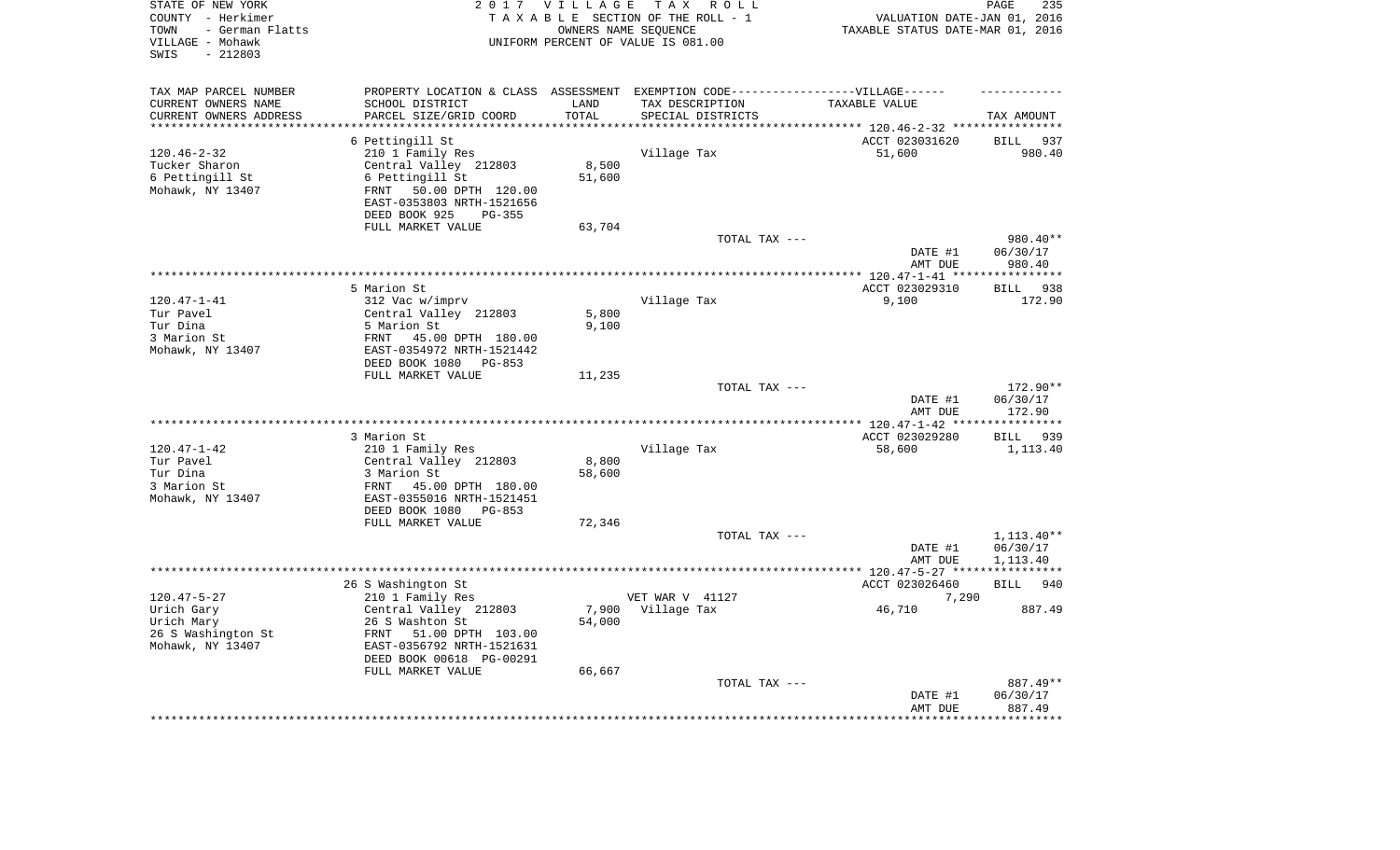| STATE OF NEW YORK<br>COUNTY - Herkimer<br>- German Flatts<br>TOWN<br>VILLAGE - Mohawk<br>$-212803$<br>SWIS |                                                        | 2017 VILLAGE       | T A X<br>R O L L<br>TAXABLE SECTION OF THE ROLL - 1<br>OWNERS NAME SEQUENCE<br>UNIFORM PERCENT OF VALUE IS 081.00 | VALUATION DATE-JAN 01, 2016<br>TAXABLE STATUS DATE-MAR 01, 2016             | PAGE<br>235                       |
|------------------------------------------------------------------------------------------------------------|--------------------------------------------------------|--------------------|-------------------------------------------------------------------------------------------------------------------|-----------------------------------------------------------------------------|-----------------------------------|
| TAX MAP PARCEL NUMBER                                                                                      |                                                        |                    | PROPERTY LOCATION & CLASS ASSESSMENT EXEMPTION CODE-----------------VILLAGE------                                 |                                                                             |                                   |
| CURRENT OWNERS NAME                                                                                        | SCHOOL DISTRICT                                        | LAND               | TAX DESCRIPTION                                                                                                   | TAXABLE VALUE                                                               |                                   |
| CURRENT OWNERS ADDRESS<br>********************                                                             | PARCEL SIZE/GRID COORD<br>*********************        | TOTAL<br>********* | SPECIAL DISTRICTS                                                                                                 |                                                                             | TAX AMOUNT                        |
|                                                                                                            | 6 Pettingill St                                        |                    |                                                                                                                   | **************************** 120.46-2-32 ****************<br>ACCT 023031620 | <b>BILL</b><br>937                |
| $120.46 - 2 - 32$                                                                                          | 210 1 Family Res                                       |                    | Village Tax                                                                                                       | 51,600                                                                      | 980.40                            |
| Tucker Sharon                                                                                              | Central Valley 212803                                  | 8,500              |                                                                                                                   |                                                                             |                                   |
| 6 Pettingill St                                                                                            | 6 Pettingill St                                        | 51,600             |                                                                                                                   |                                                                             |                                   |
| Mohawk, NY 13407                                                                                           | 50.00 DPTH 120.00<br>FRNT                              |                    |                                                                                                                   |                                                                             |                                   |
|                                                                                                            | EAST-0353803 NRTH-1521656                              |                    |                                                                                                                   |                                                                             |                                   |
|                                                                                                            | DEED BOOK 925<br>PG-355                                |                    |                                                                                                                   |                                                                             |                                   |
|                                                                                                            | FULL MARKET VALUE                                      | 63,704             |                                                                                                                   |                                                                             |                                   |
|                                                                                                            |                                                        |                    | TOTAL TAX ---                                                                                                     |                                                                             | 980.40**                          |
|                                                                                                            |                                                        |                    |                                                                                                                   | DATE #1                                                                     | 06/30/17                          |
|                                                                                                            |                                                        |                    |                                                                                                                   | AMT DUE<br>********* 120.47-1-41 ***                                        | 980.40<br>* * * * * * * * * * * * |
|                                                                                                            | 5 Marion St                                            |                    |                                                                                                                   | ACCT 023029310                                                              | 938<br><b>BILL</b>                |
| $120.47 - 1 - 41$                                                                                          | 312 Vac w/imprv                                        |                    | Village Tax                                                                                                       | 9,100                                                                       | 172.90                            |
| Tur Pavel                                                                                                  | Central Valley 212803                                  | 5,800              |                                                                                                                   |                                                                             |                                   |
| Tur Dina                                                                                                   | 5 Marion St                                            | 9,100              |                                                                                                                   |                                                                             |                                   |
| 3 Marion St                                                                                                | FRNT<br>45.00 DPTH 180.00                              |                    |                                                                                                                   |                                                                             |                                   |
| Mohawk, NY 13407                                                                                           | EAST-0354972 NRTH-1521442                              |                    |                                                                                                                   |                                                                             |                                   |
|                                                                                                            | DEED BOOK 1080<br>PG-853                               |                    |                                                                                                                   |                                                                             |                                   |
|                                                                                                            | FULL MARKET VALUE                                      | 11,235             | TOTAL TAX ---                                                                                                     |                                                                             | 172.90**                          |
|                                                                                                            |                                                        |                    |                                                                                                                   | DATE #1                                                                     | 06/30/17                          |
|                                                                                                            |                                                        |                    |                                                                                                                   | AMT DUE                                                                     | 172.90                            |
|                                                                                                            |                                                        |                    |                                                                                                                   | **** 120.47-1-42 **                                                         | *********                         |
|                                                                                                            | 3 Marion St                                            |                    |                                                                                                                   | ACCT 023029280                                                              | 939<br>BILL                       |
| $120.47 - 1 - 42$                                                                                          | 210 1 Family Res                                       |                    | Village Tax                                                                                                       | 58,600                                                                      | 1,113.40                          |
| Tur Pavel                                                                                                  | Central Valley 212803                                  | 8,800              |                                                                                                                   |                                                                             |                                   |
| Tur Dina                                                                                                   | 3 Marion St                                            | 58,600             |                                                                                                                   |                                                                             |                                   |
| 3 Marion St<br>Mohawk, NY 13407                                                                            | FRNT<br>45.00 DPTH 180.00<br>EAST-0355016 NRTH-1521451 |                    |                                                                                                                   |                                                                             |                                   |
|                                                                                                            | DEED BOOK 1080<br>PG-853                               |                    |                                                                                                                   |                                                                             |                                   |
|                                                                                                            | FULL MARKET VALUE                                      | 72,346             |                                                                                                                   |                                                                             |                                   |
|                                                                                                            |                                                        |                    | TOTAL TAX ---                                                                                                     |                                                                             | 1,113.40**                        |
|                                                                                                            |                                                        |                    |                                                                                                                   | DATE #1                                                                     | 06/30/17                          |
|                                                                                                            |                                                        |                    |                                                                                                                   | AMT DUE                                                                     | 1,113.40                          |
|                                                                                                            |                                                        |                    |                                                                                                                   | ************ 120.47-5-27 *****************                                  |                                   |
|                                                                                                            | 26 S Washington St                                     |                    |                                                                                                                   | ACCT 023026460                                                              | <b>BILL</b><br>940                |
| $120.47 - 5 - 27$                                                                                          | 210 1 Family Res                                       |                    | VET WAR V 41127                                                                                                   | 7,290                                                                       |                                   |
| Urich Gary<br>Urich Mary                                                                                   | Central Valley 212803<br>26 S Washton St               | 7,900<br>54,000    | Village Tax                                                                                                       | 46,710                                                                      | 887.49                            |
| 26 S Washington St                                                                                         | FRNT<br>51.00 DPTH 103.00                              |                    |                                                                                                                   |                                                                             |                                   |
| Mohawk, NY 13407                                                                                           | EAST-0356792 NRTH-1521631                              |                    |                                                                                                                   |                                                                             |                                   |
|                                                                                                            | DEED BOOK 00618 PG-00291                               |                    |                                                                                                                   |                                                                             |                                   |
|                                                                                                            | FULL MARKET VALUE                                      | 66,667             |                                                                                                                   |                                                                             |                                   |
|                                                                                                            |                                                        |                    | TOTAL TAX ---                                                                                                     |                                                                             | 887.49**                          |
|                                                                                                            |                                                        |                    |                                                                                                                   | DATE #1                                                                     | 06/30/17                          |
|                                                                                                            |                                                        |                    |                                                                                                                   | AMT DUE                                                                     | 887.49                            |
|                                                                                                            |                                                        |                    |                                                                                                                   |                                                                             |                                   |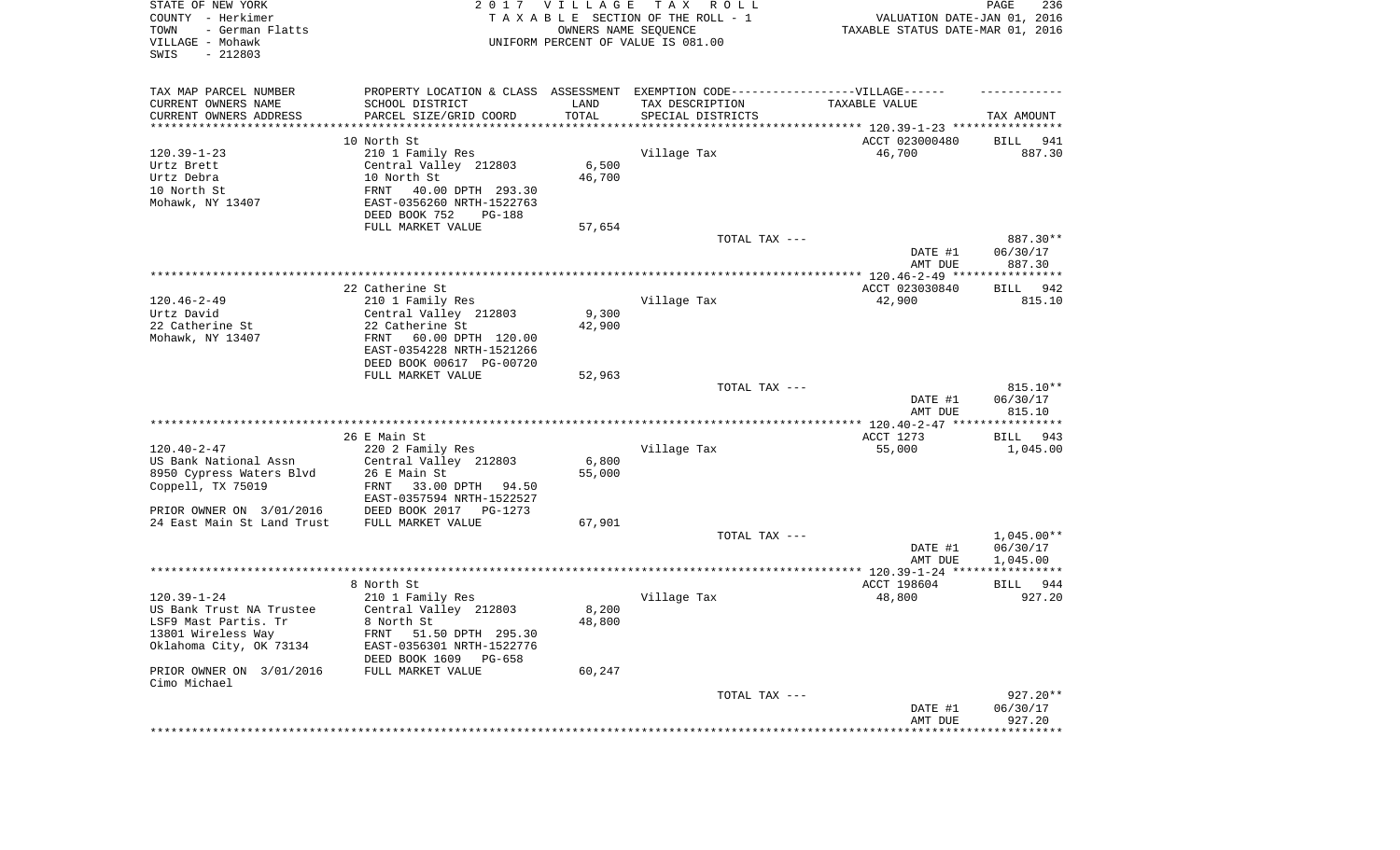|                                                  |                                                                                  |                      |                                    | DATE #1<br>AMT DUE<br>*********************                     | 06/30/17<br>927.20<br>************** |
|--------------------------------------------------|----------------------------------------------------------------------------------|----------------------|------------------------------------|-----------------------------------------------------------------|--------------------------------------|
|                                                  |                                                                                  |                      | TOTAL TAX ---                      |                                                                 | $927.20**$                           |
| PRIOR OWNER ON 3/01/2016<br>Cimo Michael         | FULL MARKET VALUE                                                                | 60,247               |                                    |                                                                 |                                      |
| 13801 Wireless Way<br>Oklahoma City, OK 73134    | FRNT 51.50 DPTH 295.30<br>EAST-0356301 NRTH-1522776<br>DEED BOOK 1609<br>PG-658  |                      |                                    |                                                                 |                                      |
| US Bank Trust NA Trustee<br>LSF9 Mast Partis. Tr | Central Valley 212803<br>8 North St                                              | 8,200<br>48,800      |                                    |                                                                 |                                      |
| $120.39 - 1 - 24$                                | 210 1 Family Res                                                                 |                      | Village Tax                        | 48,800                                                          | 927.20                               |
|                                                  | 8 North St                                                                       |                      |                                    | ACCT 198604                                                     | BILL<br>944                          |
|                                                  |                                                                                  |                      |                                    |                                                                 |                                      |
|                                                  |                                                                                  |                      |                                    | DATE #1<br>AMT DUE                                              | 06/30/17<br>1,045.00                 |
|                                                  |                                                                                  |                      | TOTAL TAX ---                      |                                                                 | $1,045.00**$                         |
| 24 East Main St Land Trust                       | FULL MARKET VALUE                                                                | 67,901               |                                    |                                                                 |                                      |
| PRIOR OWNER ON 3/01/2016                         | DEED BOOK 2017<br>PG-1273                                                        |                      |                                    |                                                                 |                                      |
| Coppell, TX 75019                                | FRNT<br>33.00 DPTH<br>94.50<br>EAST-0357594 NRTH-1522527                         |                      |                                    |                                                                 |                                      |
| 8950 Cypress Waters Blvd                         | 26 E Main St                                                                     | 55,000               |                                    |                                                                 |                                      |
| US Bank National Assn                            | Central Valley 212803                                                            | 6,800                |                                    |                                                                 |                                      |
| $120.40 - 2 - 47$                                | 220 2 Family Res                                                                 |                      | Village Tax                        | 55,000                                                          | 1,045.00                             |
|                                                  | 26 E Main St                                                                     |                      |                                    | ACCT 1273                                                       | BILL 943                             |
|                                                  |                                                                                  |                      |                                    | AMT DUE                                                         | 815.10                               |
|                                                  |                                                                                  |                      |                                    | DATE #1                                                         | 06/30/17                             |
|                                                  | FULL MARKET VALUE                                                                | 52,963               | TOTAL TAX ---                      |                                                                 | 815.10**                             |
|                                                  | DEED BOOK 00617 PG-00720                                                         |                      |                                    |                                                                 |                                      |
|                                                  | EAST-0354228 NRTH-1521266                                                        |                      |                                    |                                                                 |                                      |
| Mohawk, NY 13407                                 | 60.00 DPTH 120.00<br>FRNT                                                        |                      |                                    |                                                                 |                                      |
| Urtz David<br>22 Catherine St                    | Central Valley 212803<br>22 Catherine St                                         | 9,300<br>42,900      |                                    |                                                                 |                                      |
| $120.46 - 2 - 49$                                | 210 1 Family Res                                                                 |                      | Village Tax                        | 42,900                                                          | 815.10                               |
|                                                  | 22 Catherine St                                                                  |                      |                                    | ACCT 023030840                                                  | 942<br>BILL                          |
|                                                  |                                                                                  |                      |                                    |                                                                 |                                      |
|                                                  |                                                                                  |                      |                                    | DATE #1<br>AMT DUE                                              | 06/30/17<br>887.30                   |
|                                                  |                                                                                  |                      | TOTAL TAX ---                      |                                                                 | 887.30**                             |
|                                                  | FULL MARKET VALUE                                                                | 57,654               |                                    |                                                                 |                                      |
| Mohawk, NY 13407                                 | EAST-0356260 NRTH-1522763<br>DEED BOOK 752<br>PG-188                             |                      |                                    |                                                                 |                                      |
| 10 North St                                      | FRNT<br>40.00 DPTH 293.30                                                        |                      |                                    |                                                                 |                                      |
| Urtz Debra                                       | 10 North St                                                                      | 46,700               |                                    |                                                                 |                                      |
| Urtz Brett                                       | Central Valley 212803                                                            | 6,500                |                                    |                                                                 |                                      |
| $120.39 - 1 - 23$                                | 10 North St<br>210 1 Family Res                                                  |                      | Village Tax                        | ACCT 023000480<br>46,700                                        | BILL<br>941<br>887.30                |
| **********************                           |                                                                                  |                      |                                    |                                                                 |                                      |
| CURRENT OWNERS ADDRESS                           | PARCEL SIZE/GRID COORD                                                           | TOTAL                | SPECIAL DISTRICTS                  |                                                                 | TAX AMOUNT                           |
| CURRENT OWNERS NAME                              | SCHOOL DISTRICT                                                                  | LAND                 | TAX DESCRIPTION                    | TAXABLE VALUE                                                   |                                      |
| TAX MAP PARCEL NUMBER                            | PROPERTY LOCATION & CLASS ASSESSMENT EXEMPTION CODE----------------VILLAGE------ |                      |                                    |                                                                 |                                      |
|                                                  |                                                                                  |                      |                                    |                                                                 |                                      |
| SWIS<br>$-212803$                                |                                                                                  |                      |                                    |                                                                 |                                      |
| VILLAGE - Mohawk                                 |                                                                                  |                      | UNIFORM PERCENT OF VALUE IS 081.00 |                                                                 |                                      |
| COUNTY - Herkimer<br>TOWN<br>- German Flatts     |                                                                                  | OWNERS NAME SEQUENCE | TAXABLE SECTION OF THE ROLL - 1    | VALUATION DATE-JAN 01, 2016<br>TAXABLE STATUS DATE-MAR 01, 2016 |                                      |
| STATE OF NEW YORK                                |                                                                                  | 2017 VILLAGE         | T A X<br>R O L L                   |                                                                 | PAGE<br>236                          |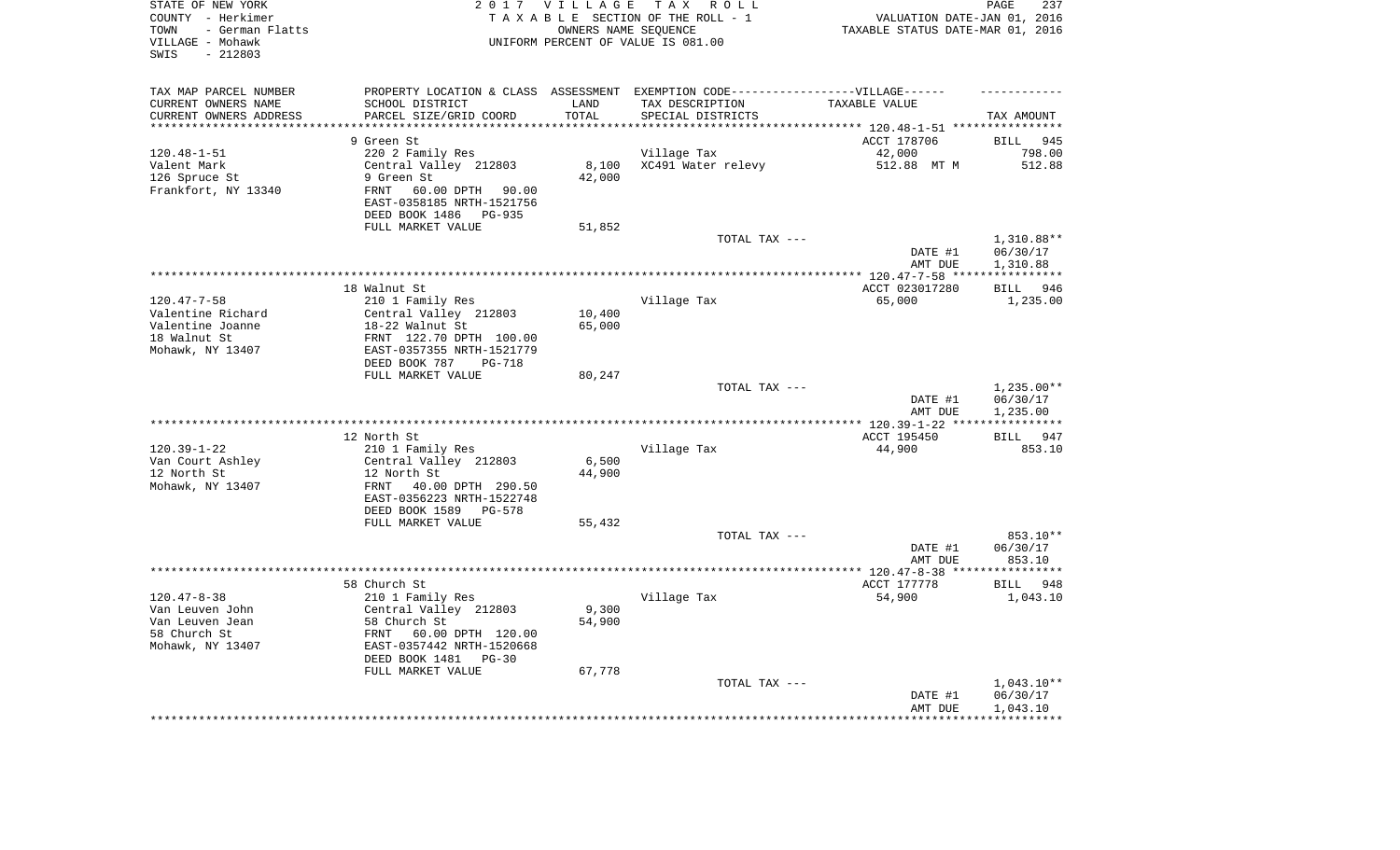| STATE OF NEW YORK<br>COUNTY - Herkimer<br>- German Flatts<br>TOWN<br>VILLAGE - Mohawk<br>$-212803$<br>SWIS |                                                             | 2017 VILLAGE<br>OWNERS NAME SEQUENCE | T A X<br>R O L L<br>TAXABLE SECTION OF THE ROLL - 1<br>UNIFORM PERCENT OF VALUE IS 081.00            | VALUATION DATE-JAN 01, 2016<br>TAXABLE STATUS DATE-MAR 01, 2016 | PAGE<br>237                  |
|------------------------------------------------------------------------------------------------------------|-------------------------------------------------------------|--------------------------------------|------------------------------------------------------------------------------------------------------|-----------------------------------------------------------------|------------------------------|
| TAX MAP PARCEL NUMBER<br>CURRENT OWNERS NAME                                                               | SCHOOL DISTRICT                                             | LAND                                 | PROPERTY LOCATION & CLASS ASSESSMENT EXEMPTION CODE-----------------VILLAGE------<br>TAX DESCRIPTION | TAXABLE VALUE                                                   |                              |
| CURRENT OWNERS ADDRESS<br>***********************                                                          | PARCEL SIZE/GRID COORD<br>***************************       | TOTAL<br>****************            | SPECIAL DISTRICTS                                                                                    |                                                                 | TAX AMOUNT                   |
|                                                                                                            |                                                             |                                      |                                                                                                      |                                                                 |                              |
| $120.48 - 1 - 51$                                                                                          | 9 Green St                                                  |                                      |                                                                                                      | ACCT 178706                                                     | <b>BILL</b><br>945<br>798.00 |
| Valent Mark                                                                                                | 220 2 Family Res<br>Central Valley 212803                   | 8,100                                | Village Tax<br>XC491 Water relevy                                                                    | 42,000<br>512.88 MT M                                           | 512.88                       |
| 126 Spruce St                                                                                              | 9 Green St                                                  | 42,000                               |                                                                                                      |                                                                 |                              |
| Frankfort, NY 13340                                                                                        | 60.00 DPTH<br>FRNT<br>90.00                                 |                                      |                                                                                                      |                                                                 |                              |
|                                                                                                            | EAST-0358185 NRTH-1521756<br>DEED BOOK 1486<br>PG-935       |                                      |                                                                                                      |                                                                 |                              |
|                                                                                                            | FULL MARKET VALUE                                           | 51,852                               |                                                                                                      |                                                                 |                              |
|                                                                                                            |                                                             |                                      | TOTAL TAX ---                                                                                        |                                                                 | 1,310.88**                   |
|                                                                                                            |                                                             |                                      |                                                                                                      | DATE #1<br>AMT DUE                                              | 06/30/17<br>1,310.88         |
|                                                                                                            |                                                             |                                      |                                                                                                      |                                                                 | * * * * * * * * * * *        |
|                                                                                                            | 18 Walnut St                                                |                                      |                                                                                                      | ACCT 023017280                                                  | <b>BILL</b><br>946           |
| $120.47 - 7 - 58$                                                                                          | 210 1 Family Res                                            |                                      | Village Tax                                                                                          | 65,000                                                          | 1,235.00                     |
| Valentine Richard                                                                                          | Central Valley 212803                                       | 10,400                               |                                                                                                      |                                                                 |                              |
| Valentine Joanne                                                                                           | 18-22 Walnut St                                             | 65,000                               |                                                                                                      |                                                                 |                              |
| 18 Walnut St                                                                                               | FRNT 122.70 DPTH 100.00                                     |                                      |                                                                                                      |                                                                 |                              |
| Mohawk, NY 13407                                                                                           | EAST-0357355 NRTH-1521779<br>DEED BOOK 787<br><b>PG-718</b> |                                      |                                                                                                      |                                                                 |                              |
|                                                                                                            | FULL MARKET VALUE                                           | 80,247                               |                                                                                                      |                                                                 |                              |
|                                                                                                            |                                                             |                                      | TOTAL TAX ---                                                                                        |                                                                 | 1,235.00**                   |
|                                                                                                            |                                                             |                                      |                                                                                                      | DATE #1<br>AMT DUE                                              | 06/30/17<br>1,235.00         |
|                                                                                                            |                                                             |                                      |                                                                                                      |                                                                 | ***********                  |
|                                                                                                            | 12 North St                                                 |                                      |                                                                                                      | ACCT 195450                                                     | 947<br>BILL                  |
| $120.39 - 1 - 22$                                                                                          | 210 1 Family Res                                            |                                      | Village Tax                                                                                          | 44,900                                                          | 853.10                       |
| Van Court Ashley                                                                                           | Central Valley 212803                                       | 6,500                                |                                                                                                      |                                                                 |                              |
| 12 North St<br>Mohawk, NY 13407                                                                            | 12 North St<br>40.00 DPTH 290.50<br>FRNT                    | 44,900                               |                                                                                                      |                                                                 |                              |
|                                                                                                            | EAST-0356223 NRTH-1522748                                   |                                      |                                                                                                      |                                                                 |                              |
|                                                                                                            | DEED BOOK 1589<br>PG-578                                    |                                      |                                                                                                      |                                                                 |                              |
|                                                                                                            | FULL MARKET VALUE                                           | 55,432                               |                                                                                                      |                                                                 |                              |
|                                                                                                            |                                                             |                                      | TOTAL TAX ---                                                                                        |                                                                 | 853.10**                     |
|                                                                                                            |                                                             |                                      |                                                                                                      | DATE #1                                                         | 06/30/17                     |
|                                                                                                            |                                                             |                                      |                                                                                                      | AMT DUE                                                         | 853.10                       |
|                                                                                                            |                                                             |                                      |                                                                                                      |                                                                 |                              |
|                                                                                                            | 58 Church St                                                |                                      |                                                                                                      | ACCT 177778                                                     | BILL<br>948                  |
| $120.47 - 8 - 38$                                                                                          | 210 1 Family Res                                            |                                      | Village Tax                                                                                          | 54,900                                                          | 1,043.10                     |
| Van Leuven John<br>Van Leuven Jean                                                                         | Central Valley 212803<br>58 Church St                       | 9,300<br>54,900                      |                                                                                                      |                                                                 |                              |
| 58 Church St                                                                                               | FRNT<br>60.00 DPTH 120.00                                   |                                      |                                                                                                      |                                                                 |                              |
| Mohawk, NY 13407                                                                                           | EAST-0357442 NRTH-1520668                                   |                                      |                                                                                                      |                                                                 |                              |
|                                                                                                            | DEED BOOK 1481<br>$PG-30$                                   |                                      |                                                                                                      |                                                                 |                              |
|                                                                                                            | FULL MARKET VALUE                                           | 67,778                               |                                                                                                      |                                                                 |                              |
|                                                                                                            |                                                             |                                      | TOTAL TAX ---                                                                                        |                                                                 | $1,043.10**$                 |
|                                                                                                            |                                                             |                                      |                                                                                                      | DATE #1                                                         | 06/30/17                     |
|                                                                                                            |                                                             |                                      |                                                                                                      | AMT DUE                                                         | 1,043.10                     |
|                                                                                                            |                                                             |                                      |                                                                                                      |                                                                 | ***********                  |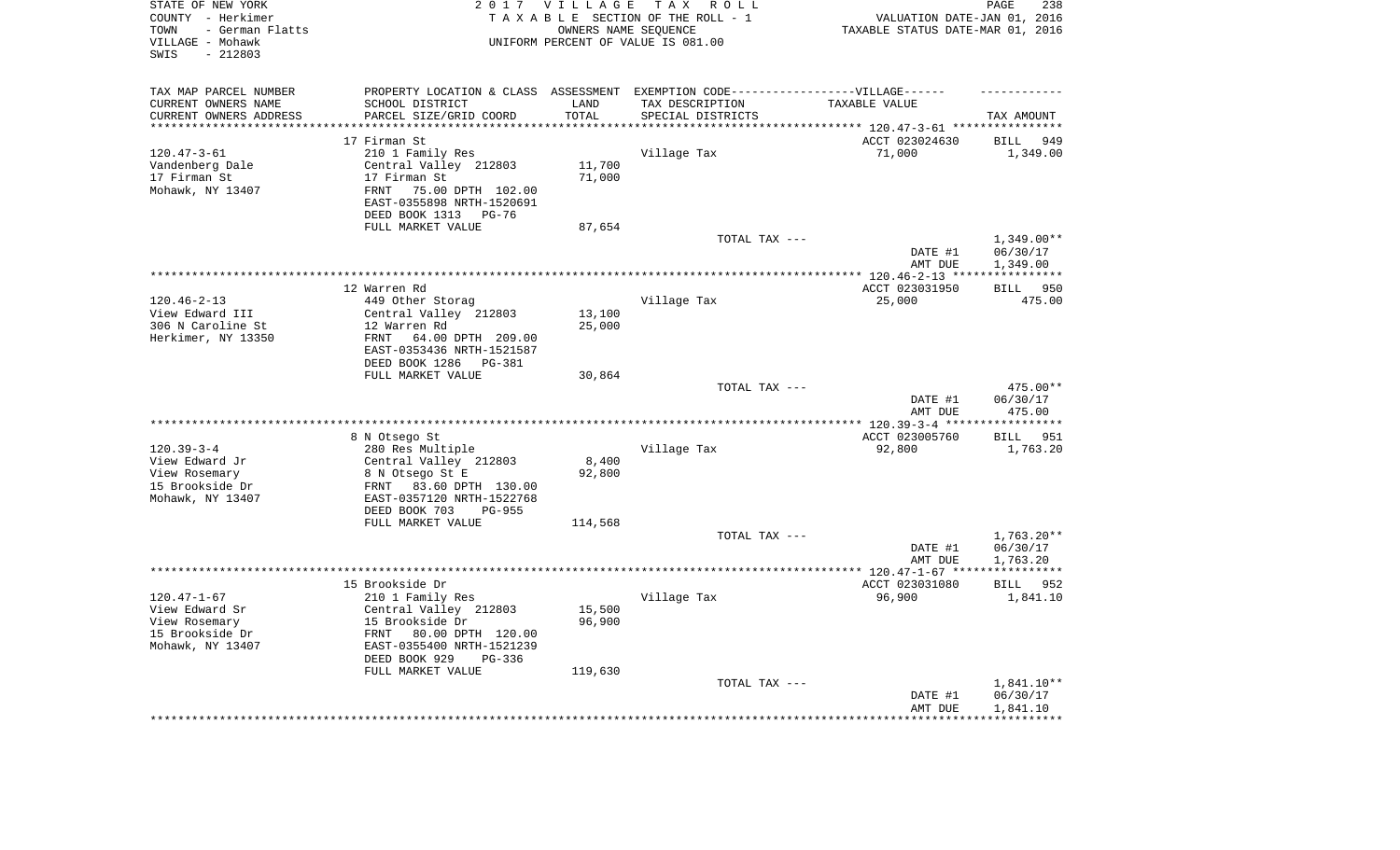| STATE OF NEW YORK<br>COUNTY - Herkimer<br>- German Flatts<br>TOWN<br>VILLAGE - Mohawk<br>$-212803$<br>SWIS |                                                        | 2017 VILLAGE<br>OWNERS NAME SEQUENCE | TAX ROLL<br>TAXABLE SECTION OF THE ROLL - 1<br>UNIFORM PERCENT OF VALUE IS 081.00 | VALUATION DATE-JAN 01, 2016<br>TAXABLE STATUS DATE-MAR 01, 2016 | PAGE<br>238                    |
|------------------------------------------------------------------------------------------------------------|--------------------------------------------------------|--------------------------------------|-----------------------------------------------------------------------------------|-----------------------------------------------------------------|--------------------------------|
| TAX MAP PARCEL NUMBER                                                                                      |                                                        |                                      | PROPERTY LOCATION & CLASS ASSESSMENT EXEMPTION CODE-----------------VILLAGE------ |                                                                 |                                |
| CURRENT OWNERS NAME                                                                                        | SCHOOL DISTRICT                                        | LAND                                 | TAX DESCRIPTION                                                                   | TAXABLE VALUE                                                   |                                |
| CURRENT OWNERS ADDRESS<br>*********************                                                            | PARCEL SIZE/GRID COORD<br>***************************  | TOTAL<br>**************              | SPECIAL DISTRICTS                                                                 |                                                                 | TAX AMOUNT                     |
|                                                                                                            |                                                        |                                      |                                                                                   |                                                                 |                                |
| $120.47 - 3 - 61$                                                                                          | 17 Firman St<br>210 1 Family Res                       |                                      | Village Tax                                                                       | ACCT 023024630<br>71,000                                        | <b>BILL</b><br>949<br>1,349.00 |
| Vandenberg Dale                                                                                            | Central Valley 212803                                  | 11,700                               |                                                                                   |                                                                 |                                |
| 17 Firman St                                                                                               | 17 Firman St                                           | 71,000                               |                                                                                   |                                                                 |                                |
| Mohawk, NY 13407                                                                                           | 75.00 DPTH 102.00<br><b>FRNT</b>                       |                                      |                                                                                   |                                                                 |                                |
|                                                                                                            | EAST-0355898 NRTH-1520691                              |                                      |                                                                                   |                                                                 |                                |
|                                                                                                            | DEED BOOK 1313<br><b>PG-76</b>                         |                                      |                                                                                   |                                                                 |                                |
|                                                                                                            | FULL MARKET VALUE                                      | 87,654                               |                                                                                   |                                                                 |                                |
|                                                                                                            |                                                        |                                      | TOTAL TAX ---                                                                     | DATE #1                                                         | $1,349.00**$<br>06/30/17       |
|                                                                                                            |                                                        |                                      |                                                                                   | AMT DUE                                                         | 1,349.00                       |
|                                                                                                            |                                                        |                                      |                                                                                   |                                                                 | ***********                    |
|                                                                                                            | 12 Warren Rd                                           |                                      |                                                                                   | ACCT 023031950                                                  | 950<br>BILL                    |
| $120.46 - 2 - 13$                                                                                          | 449 Other Storag                                       |                                      | Village Tax                                                                       | 25,000                                                          | 475.00                         |
| View Edward III                                                                                            | Central Valley 212803                                  | 13,100                               |                                                                                   |                                                                 |                                |
| 306 N Caroline St                                                                                          | 12 Warren Rd                                           | 25,000                               |                                                                                   |                                                                 |                                |
| Herkimer, NY 13350                                                                                         | FRNT<br>64.00 DPTH 209.00                              |                                      |                                                                                   |                                                                 |                                |
|                                                                                                            | EAST-0353436 NRTH-1521587                              |                                      |                                                                                   |                                                                 |                                |
|                                                                                                            | DEED BOOK 1286<br>PG-381<br>FULL MARKET VALUE          | 30,864                               |                                                                                   |                                                                 |                                |
|                                                                                                            |                                                        |                                      | TOTAL TAX ---                                                                     |                                                                 | 475.00**                       |
|                                                                                                            |                                                        |                                      |                                                                                   | DATE #1                                                         | 06/30/17                       |
|                                                                                                            |                                                        |                                      |                                                                                   | AMT DUE                                                         | 475.00                         |
|                                                                                                            |                                                        |                                      |                                                                                   |                                                                 | * * * * * * * * * * *          |
|                                                                                                            | 8 N Otsego St                                          |                                      |                                                                                   | ACCT 023005760                                                  | BILL 951                       |
| $120.39 - 3 - 4$                                                                                           | 280 Res Multiple                                       |                                      | Village Tax                                                                       | 92,800                                                          | 1,763.20                       |
| View Edward Jr                                                                                             | Central Valley 212803                                  | 8,400                                |                                                                                   |                                                                 |                                |
| View Rosemary<br>15 Brookside Dr                                                                           | 8 N Otsego St E                                        | 92,800                               |                                                                                   |                                                                 |                                |
| Mohawk, NY 13407                                                                                           | 83.60 DPTH 130.00<br>FRNT<br>EAST-0357120 NRTH-1522768 |                                      |                                                                                   |                                                                 |                                |
|                                                                                                            | DEED BOOK 703<br>PG-955                                |                                      |                                                                                   |                                                                 |                                |
|                                                                                                            | FULL MARKET VALUE                                      | 114,568                              |                                                                                   |                                                                 |                                |
|                                                                                                            |                                                        |                                      | TOTAL TAX ---                                                                     |                                                                 | $1,763.20**$                   |
|                                                                                                            |                                                        |                                      |                                                                                   | DATE #1                                                         | 06/30/17                       |
|                                                                                                            |                                                        |                                      |                                                                                   | AMT DUE                                                         | 1,763.20                       |
|                                                                                                            |                                                        |                                      |                                                                                   |                                                                 | ************                   |
|                                                                                                            | 15 Brookside Dr                                        |                                      |                                                                                   | ACCT 023031080                                                  | BILL 952                       |
| $120.47 - 1 - 67$<br>View Edward Sr                                                                        | 210 1 Family Res<br>Central Valley 212803              | 15,500                               | Village Tax                                                                       | 96,900                                                          | 1,841.10                       |
| View Rosemary                                                                                              | 15 Brookside Dr                                        | 96,900                               |                                                                                   |                                                                 |                                |
| 15 Brookside Dr                                                                                            | FRNT<br>80.00 DPTH 120.00                              |                                      |                                                                                   |                                                                 |                                |
| Mohawk, NY 13407                                                                                           | EAST-0355400 NRTH-1521239                              |                                      |                                                                                   |                                                                 |                                |
|                                                                                                            | DEED BOOK 929<br>PG-336                                |                                      |                                                                                   |                                                                 |                                |
|                                                                                                            | FULL MARKET VALUE                                      | 119,630                              |                                                                                   |                                                                 |                                |
|                                                                                                            |                                                        |                                      | TOTAL TAX ---                                                                     |                                                                 | 1,841.10**                     |
|                                                                                                            |                                                        |                                      |                                                                                   | DATE #1                                                         | 06/30/17                       |
|                                                                                                            |                                                        |                                      |                                                                                   | AMT DUE<br>****************                                     | 1,841.10<br>************       |
|                                                                                                            |                                                        |                                      |                                                                                   |                                                                 |                                |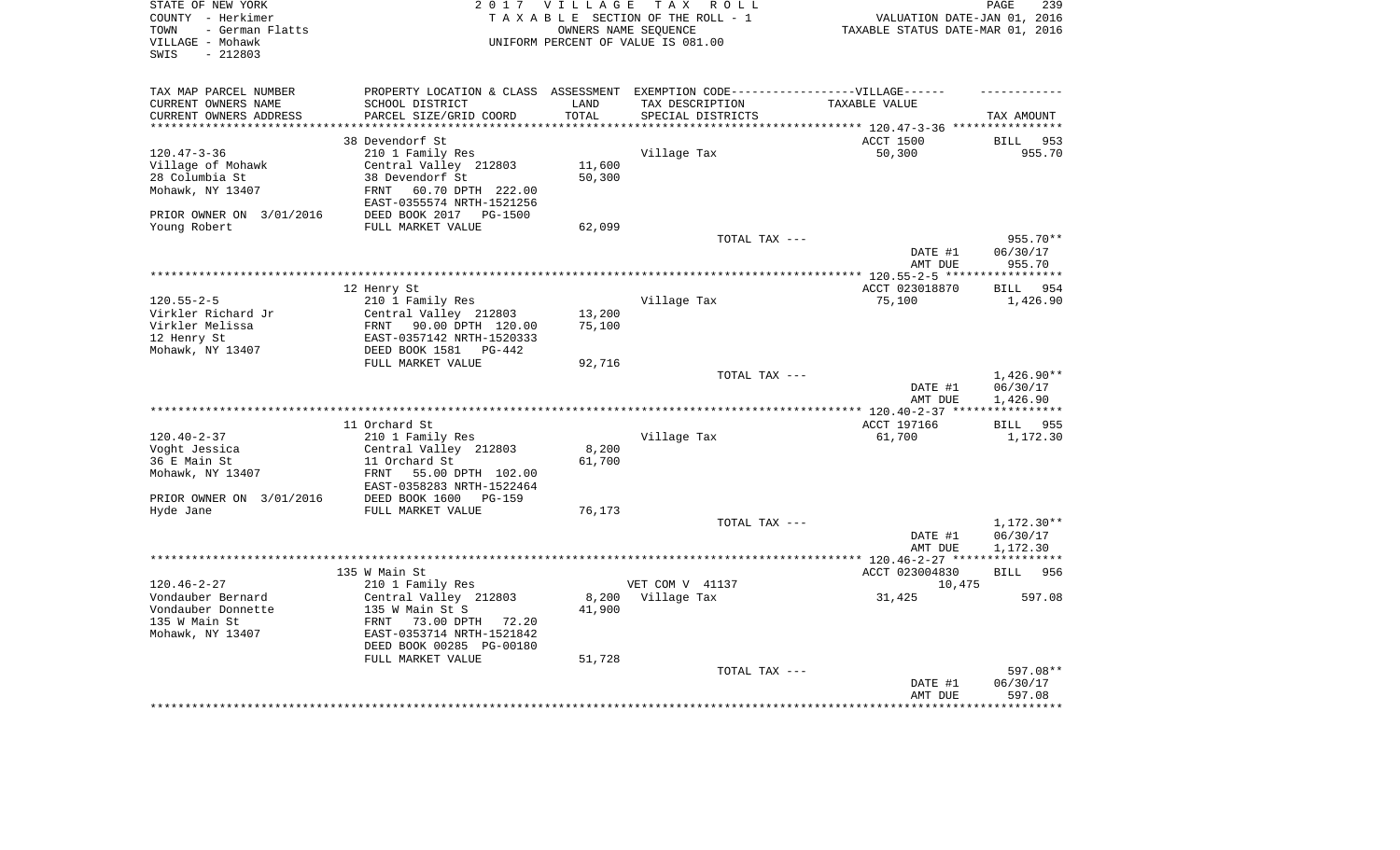| STATE OF NEW YORK<br>COUNTY - Herkimer<br>- German Flatts<br>TOWN<br>VILLAGE - Mohawk<br>$-212803$<br>SWIS |                                                                                                                                                                     | 2017 VILLAGE<br>OWNERS NAME SEOUENCE | TAX ROLL<br>TAXABLE SECTION OF THE ROLL - 1<br>UNIFORM PERCENT OF VALUE IS 081.00                                         | VALUATION DATE-JAN 01, 2016<br>TAXABLE STATUS DATE-MAR 01, 2016     | PAGE<br>239                          |
|------------------------------------------------------------------------------------------------------------|---------------------------------------------------------------------------------------------------------------------------------------------------------------------|--------------------------------------|---------------------------------------------------------------------------------------------------------------------------|---------------------------------------------------------------------|--------------------------------------|
| TAX MAP PARCEL NUMBER<br>CURRENT OWNERS NAME<br>CURRENT OWNERS ADDRESS<br>******************               | SCHOOL DISTRICT<br>PARCEL SIZE/GRID COORD                                                                                                                           | LAND<br>TOTAL<br>**********          | PROPERTY LOCATION & CLASS ASSESSMENT EXEMPTION CODE-----------------VILLAGE------<br>TAX DESCRIPTION<br>SPECIAL DISTRICTS | TAXABLE VALUE<br>·************************* 120.47-3-36 *********** | TAX AMOUNT                           |
|                                                                                                            | 38 Devendorf St                                                                                                                                                     |                                      |                                                                                                                           | ACCT 1500                                                           | BILL<br>953                          |
| $120.47 - 3 - 36$<br>Village of Mohawk<br>28 Columbia St<br>Mohawk, NY 13407<br>PRIOR OWNER ON 3/01/2016   | 210 1 Family Res<br>Central Valley 212803<br>38 Devendorf St<br>60.70 DPTH 222.00<br>FRNT<br>EAST-0355574 NRTH-1521256<br>DEED BOOK 2017 PG-1500                    | 11,600<br>50,300                     | Village Tax                                                                                                               | 50,300                                                              | 955.70                               |
| Young Robert                                                                                               | FULL MARKET VALUE                                                                                                                                                   | 62,099                               |                                                                                                                           |                                                                     | 955.70**                             |
|                                                                                                            |                                                                                                                                                                     |                                      | TOTAL TAX ---                                                                                                             | DATE #1<br>AMT DUE                                                  | 06/30/17<br>955.70                   |
|                                                                                                            |                                                                                                                                                                     |                                      |                                                                                                                           |                                                                     |                                      |
| $120.55 - 2 - 5$<br>Virkler Richard Jr<br>Virkler Melissa<br>12 Henry St<br>Mohawk, NY 13407               | 12 Henry St<br>210 1 Family Res<br>Central Valley 212803<br>FRNT 90.00 DPTH 120.00<br>EAST-0357142 NRTH-1520333<br>DEED BOOK 1581 PG-442<br>FULL MARKET VALUE       | 13,200<br>75,100<br>92,716           | Village Tax                                                                                                               | ACCT 023018870<br>75,100                                            | BILL<br>954<br>1,426.90              |
|                                                                                                            |                                                                                                                                                                     |                                      | TOTAL TAX ---                                                                                                             | DATE #1<br>AMT DUE                                                  | $1,426.90**$<br>06/30/17<br>1,426.90 |
|                                                                                                            |                                                                                                                                                                     |                                      |                                                                                                                           |                                                                     |                                      |
| $120.40 - 2 - 37$<br>Voght Jessica<br>36 E Main St<br>Mohawk, NY 13407<br>PRIOR OWNER ON 3/01/2016         | 11 Orchard St<br>210 1 Family Res<br>Central Valley 212803<br>11 Orchard St<br>55.00 DPTH 102.00<br>FRNT<br>EAST-0358283 NRTH-1522464<br>DEED BOOK 1600<br>$PG-159$ | 8,200<br>61,700                      | Village Tax                                                                                                               | ACCT 197166<br>61,700                                               | BILL<br>955<br>1,172.30              |
| Hyde Jane                                                                                                  | FULL MARKET VALUE                                                                                                                                                   | 76,173                               |                                                                                                                           |                                                                     |                                      |
|                                                                                                            |                                                                                                                                                                     |                                      | TOTAL TAX ---                                                                                                             | DATE #1<br>AMT DUE                                                  | 1,172.30**<br>06/30/17<br>1,172.30   |
|                                                                                                            | 135 W Main St                                                                                                                                                       |                                      |                                                                                                                           | ACCT 023004830                                                      | BILL 956                             |
| $120.46 - 2 - 27$<br>Vondauber Bernard<br>Vondauber Donnette<br>135 W Main St<br>Mohawk, NY 13407          | 210 1 Family Res<br>Central Valley 212803<br>135 W Main St S<br>73.00 DPTH 72.20<br>FRNT<br>EAST-0353714 NRTH-1521842<br>DEED BOOK 00285 PG-00180                   | 8,200<br>41,900                      | VET COM V 41137<br>Village Tax                                                                                            | 10,475<br>31,425                                                    | 597.08                               |
|                                                                                                            | FULL MARKET VALUE                                                                                                                                                   | 51,728                               | TOTAL TAX ---                                                                                                             | DATE #1<br>AMT DUE                                                  | 597.08**<br>06/30/17<br>597.08       |
|                                                                                                            |                                                                                                                                                                     |                                      |                                                                                                                           |                                                                     |                                      |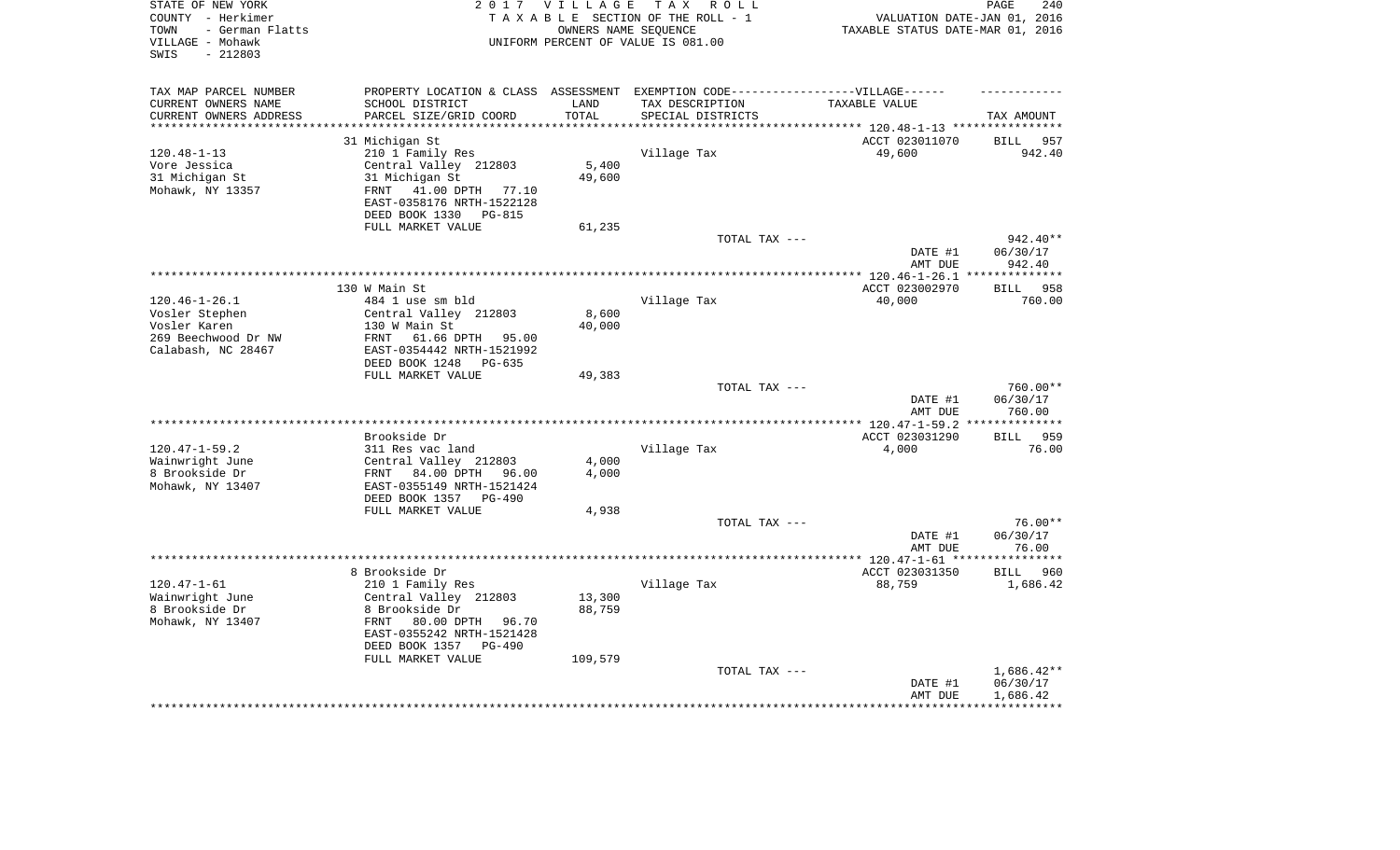| STATE OF NEW YORK<br>COUNTY - Herkimer<br>- German Flatts<br>TOWN<br>VILLAGE - Mohawk<br>$-212803$<br>SWIS |                                                                                                                                                                           | 2017 VILLAGE     | TAX ROLL<br>TAXABLE SECTION OF THE ROLL - 1<br>OWNERS NAME SEOUENCE<br>UNIFORM PERCENT OF VALUE IS 081.00 | VALUATION DATE-JAN 01, 2016<br>TAXABLE STATUS DATE-MAR 01, 2016 | PAGE<br>240                                  |
|------------------------------------------------------------------------------------------------------------|---------------------------------------------------------------------------------------------------------------------------------------------------------------------------|------------------|-----------------------------------------------------------------------------------------------------------|-----------------------------------------------------------------|----------------------------------------------|
| TAX MAP PARCEL NUMBER<br>CURRENT OWNERS NAME<br>CURRENT OWNERS ADDRESS                                     | PROPERTY LOCATION & CLASS ASSESSMENT EXEMPTION CODE----------------VILLAGE------<br>SCHOOL DISTRICT<br>PARCEL SIZE/GRID COORD                                             | LAND<br>TOTAL    | TAX DESCRIPTION<br>SPECIAL DISTRICTS                                                                      | TAXABLE VALUE                                                   | TAX AMOUNT                                   |
|                                                                                                            |                                                                                                                                                                           |                  |                                                                                                           | ********* 120.48-1-13 ***********<br>ACCT 023011070             | 957<br>BILL                                  |
| $120.48 - 1 - 13$<br>Vore Jessica<br>31 Michigan St<br>Mohawk, NY 13357                                    | 31 Michigan St<br>210 1 Family Res<br>Central Valley 212803<br>31 Michigan St<br>FRNT<br>41.00 DPTH 77.10<br>EAST-0358176 NRTH-1522128<br>DEED BOOK 1330 PG-815           | 5,400<br>49,600  | Village Tax                                                                                               | 49,600                                                          | 942.40                                       |
|                                                                                                            | FULL MARKET VALUE                                                                                                                                                         | 61,235           | TOTAL TAX ---                                                                                             |                                                                 | 942.40**                                     |
|                                                                                                            |                                                                                                                                                                           |                  |                                                                                                           | DATE #1<br>AMT DUE                                              | 06/30/17<br>942.40                           |
|                                                                                                            | 130 W Main St                                                                                                                                                             |                  | ********************************                                                                          | ******* $120.46 - 1 - 26.1$<br>ACCT 023002970                   | **********<br>958<br><b>BILL</b>             |
| $120.46 - 1 - 26.1$<br>Vosler Stephen<br>Vosler Karen<br>269 Beechwood Dr NW<br>Calabash, NC 28467         | 484 1 use sm bld<br>Central Valley 212803<br>130 W Main St<br>FRNT<br>61.66 DPTH 95.00<br>EAST-0354442 NRTH-1521992<br>DEED BOOK 1248<br>PG-635                           | 8,600<br>40,000  | Village Tax                                                                                               | 40,000                                                          | 760.00                                       |
|                                                                                                            | FULL MARKET VALUE                                                                                                                                                         | 49,383           |                                                                                                           |                                                                 |                                              |
|                                                                                                            |                                                                                                                                                                           |                  | TOTAL TAX ---                                                                                             | DATE #1<br>AMT DUE                                              | 760.00**<br>06/30/17<br>760.00<br>********** |
|                                                                                                            | Brookside Dr                                                                                                                                                              |                  |                                                                                                           | ACCT 023031290                                                  | <b>BILL</b><br>959                           |
| $120.47 - 1 - 59.2$                                                                                        | 311 Res vac land                                                                                                                                                          |                  | Village Tax                                                                                               | 4,000                                                           | 76.00                                        |
| Wainwright June<br>8 Brookside Dr<br>Mohawk, NY 13407                                                      | Central Valley 212803<br>84.00 DPTH 96.00<br>FRNT<br>EAST-0355149 NRTH-1521424<br>DEED BOOK 1357<br>$PG-490$                                                              | 4,000<br>4,000   |                                                                                                           |                                                                 |                                              |
|                                                                                                            | FULL MARKET VALUE                                                                                                                                                         | 4,938            |                                                                                                           |                                                                 |                                              |
|                                                                                                            |                                                                                                                                                                           |                  | TOTAL TAX ---                                                                                             | DATE #1<br>AMT DUE                                              | $76.00**$<br>06/30/17<br>76.00               |
|                                                                                                            |                                                                                                                                                                           |                  | ************************                                                                                  | **** 120.47-1-61 **                                             | *********                                    |
| $120.47 - 1 - 61$<br>Wainwright June<br>8 Brookside Dr<br>Mohawk, NY 13407                                 | 8 Brookside Dr<br>210 1 Family Res<br>Central Valley 212803<br>8 Brookside Dr<br>FRNT<br>80.00 DPTH 96.70<br>EAST-0355242 NRTH-1521428<br>DEED BOOK 1357<br><b>PG-490</b> | 13,300<br>88,759 | Village Tax                                                                                               | ACCT 023031350<br>88,759                                        | <b>BILL</b><br>960<br>1,686.42               |
|                                                                                                            | FULL MARKET VALUE                                                                                                                                                         | 109,579          | TOTAL TAX ---                                                                                             |                                                                 | $1,686.42**$                                 |
|                                                                                                            |                                                                                                                                                                           |                  |                                                                                                           | DATE #1<br>AMT DUE                                              | 06/30/17<br>1,686.42                         |
|                                                                                                            |                                                                                                                                                                           |                  |                                                                                                           |                                                                 |                                              |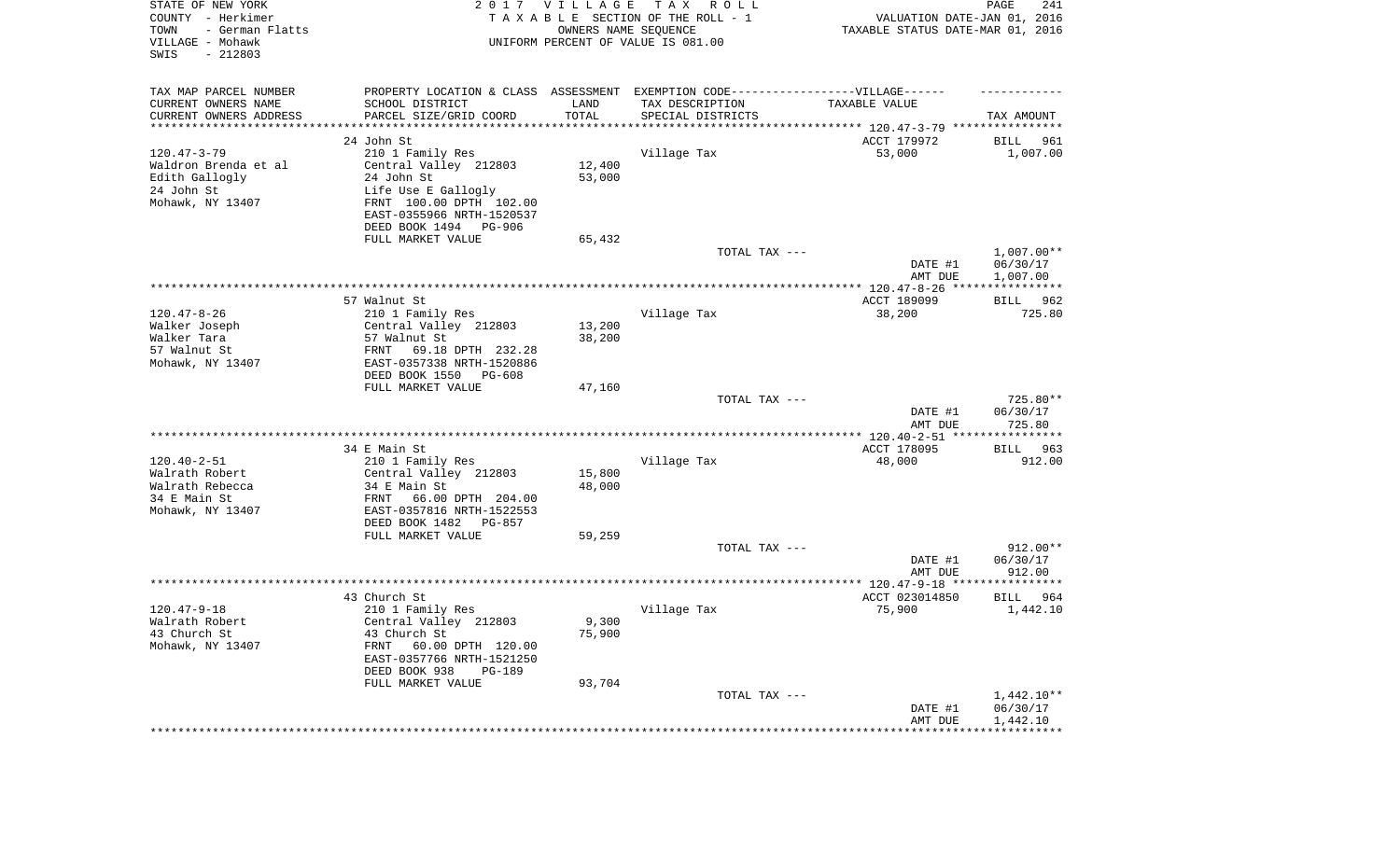| STATE OF NEW YORK<br>COUNTY - Herkimer<br>TOWN<br>- German Flatts<br>VILLAGE - Mohawk<br>SWIS<br>$-212803$ |                                                       | 2017 VILLAGE        | T A X<br>R O L L<br>TAXABLE SECTION OF THE ROLL - 1<br>OWNERS NAME SEQUENCE<br>UNIFORM PERCENT OF VALUE IS 081.00 | VALUATION DATE-JAN 01, 2016<br>TAXABLE STATUS DATE-MAR 01, 2016 | 241<br>PAGE        |
|------------------------------------------------------------------------------------------------------------|-------------------------------------------------------|---------------------|-------------------------------------------------------------------------------------------------------------------|-----------------------------------------------------------------|--------------------|
| TAX MAP PARCEL NUMBER<br>CURRENT OWNERS NAME                                                               | SCHOOL DISTRICT                                       | LAND                | PROPERTY LOCATION & CLASS ASSESSMENT EXEMPTION CODE----------------VILLAGE------<br>TAX DESCRIPTION               | TAXABLE VALUE                                                   |                    |
| CURRENT OWNERS ADDRESS<br>*********************                                                            | PARCEL SIZE/GRID COORD<br>******************          | TOTAL<br>********** | SPECIAL DISTRICTS<br>********************************* 120.47-3-79 ****************                               |                                                                 | TAX AMOUNT         |
|                                                                                                            | 24 John St                                            |                     |                                                                                                                   | ACCT 179972                                                     | BILL<br>961        |
| $120.47 - 3 - 79$                                                                                          | 210 1 Family Res                                      |                     | Village Tax                                                                                                       | 53,000                                                          | 1,007.00           |
| Waldron Brenda et al                                                                                       | Central Valley 212803                                 | 12,400              |                                                                                                                   |                                                                 |                    |
| Edith Gallogly                                                                                             | 24 John St                                            | 53,000              |                                                                                                                   |                                                                 |                    |
| 24 John St                                                                                                 | Life Use E Gallogly                                   |                     |                                                                                                                   |                                                                 |                    |
| Mohawk, NY 13407                                                                                           | FRNT 100.00 DPTH 102.00                               |                     |                                                                                                                   |                                                                 |                    |
|                                                                                                            | EAST-0355966 NRTH-1520537                             |                     |                                                                                                                   |                                                                 |                    |
|                                                                                                            | DEED BOOK 1494 PG-906                                 |                     |                                                                                                                   |                                                                 |                    |
|                                                                                                            | FULL MARKET VALUE                                     | 65,432              | TOTAL TAX ---                                                                                                     |                                                                 | $1,007.00**$       |
|                                                                                                            |                                                       |                     |                                                                                                                   | DATE #1                                                         | 06/30/17           |
|                                                                                                            |                                                       |                     |                                                                                                                   | AMT DUE                                                         | 1,007.00           |
|                                                                                                            |                                                       |                     |                                                                                                                   |                                                                 |                    |
|                                                                                                            | 57 Walnut St                                          |                     |                                                                                                                   | ACCT 189099                                                     | BILL 962           |
| $120.47 - 8 - 26$                                                                                          | 210 1 Family Res                                      |                     | Village Tax                                                                                                       | 38,200                                                          | 725.80             |
| Walker Joseph                                                                                              | Central Valley 212803                                 | 13,200              |                                                                                                                   |                                                                 |                    |
| Walker Tara<br>57 Walnut St                                                                                | 57 Walnut St<br>FRNT<br>69.18 DPTH 232.28             | 38,200              |                                                                                                                   |                                                                 |                    |
| Mohawk, NY 13407                                                                                           | EAST-0357338 NRTH-1520886                             |                     |                                                                                                                   |                                                                 |                    |
|                                                                                                            | DEED BOOK 1550<br>PG-608                              |                     |                                                                                                                   |                                                                 |                    |
|                                                                                                            | FULL MARKET VALUE                                     | 47,160              |                                                                                                                   |                                                                 |                    |
|                                                                                                            |                                                       |                     | TOTAL TAX ---                                                                                                     |                                                                 | 725.80**           |
|                                                                                                            |                                                       |                     |                                                                                                                   | DATE #1<br>AMT DUE                                              | 06/30/17<br>725.80 |
|                                                                                                            |                                                       |                     |                                                                                                                   | **************** 120.40-2-51 *****************                  |                    |
|                                                                                                            | 34 E Main St                                          |                     |                                                                                                                   | ACCT 178095                                                     | 963<br>BILL        |
| $120.40 - 2 - 51$                                                                                          | 210 1 Family Res                                      |                     | Village Tax                                                                                                       | 48,000                                                          | 912.00             |
| Walrath Robert                                                                                             | Central Valley 212803                                 | 15,800              |                                                                                                                   |                                                                 |                    |
| Walrath Rebecca                                                                                            | 34 E Main St                                          | 48,000              |                                                                                                                   |                                                                 |                    |
| 34 E Main St                                                                                               | FRNT<br>66.00 DPTH 204.00                             |                     |                                                                                                                   |                                                                 |                    |
| Mohawk, NY 13407                                                                                           | EAST-0357816 NRTH-1522553<br>DEED BOOK 1482<br>PG-857 |                     |                                                                                                                   |                                                                 |                    |
|                                                                                                            | FULL MARKET VALUE                                     | 59,259              |                                                                                                                   |                                                                 |                    |
|                                                                                                            |                                                       |                     | TOTAL TAX ---                                                                                                     |                                                                 | 912.00**           |
|                                                                                                            |                                                       |                     |                                                                                                                   | DATE #1                                                         | 06/30/17           |
|                                                                                                            |                                                       |                     |                                                                                                                   | AMT DUE                                                         | 912.00             |
|                                                                                                            |                                                       |                     |                                                                                                                   |                                                                 |                    |
|                                                                                                            | 43 Church St                                          |                     |                                                                                                                   | ACCT 023014850                                                  | 964<br>BILL        |
| $120.47 - 9 - 18$                                                                                          | 210 1 Family Res                                      | 9,300               | Village Tax                                                                                                       | 75,900                                                          | 1,442.10           |
| Walrath Robert<br>43 Church St                                                                             | Central Valley 212803<br>43 Church St                 | 75,900              |                                                                                                                   |                                                                 |                    |
| Mohawk, NY 13407                                                                                           | FRNT<br>60.00 DPTH 120.00                             |                     |                                                                                                                   |                                                                 |                    |
|                                                                                                            | EAST-0357766 NRTH-1521250                             |                     |                                                                                                                   |                                                                 |                    |
|                                                                                                            | DEED BOOK 938<br>PG-189                               |                     |                                                                                                                   |                                                                 |                    |
|                                                                                                            | FULL MARKET VALUE                                     | 93,704              |                                                                                                                   |                                                                 |                    |
|                                                                                                            |                                                       |                     | TOTAL TAX ---                                                                                                     |                                                                 | $1,442.10**$       |
|                                                                                                            |                                                       |                     |                                                                                                                   | DATE #1                                                         | 06/30/17           |
|                                                                                                            |                                                       |                     | ***************************                                                                                       | AMT DUE<br>*******************************                      | 1,442.10           |
|                                                                                                            |                                                       |                     |                                                                                                                   |                                                                 |                    |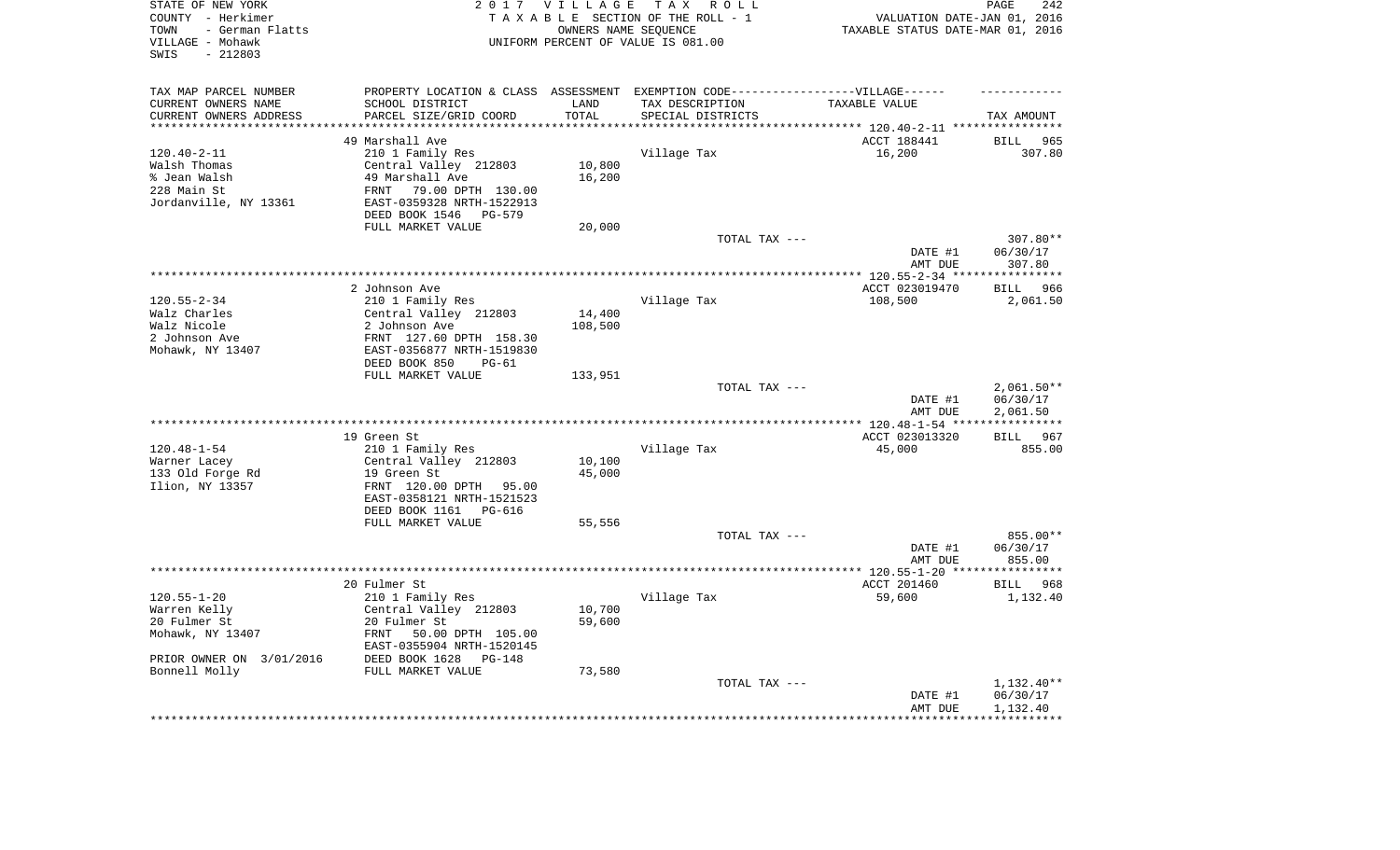| STATE OF NEW YORK<br>COUNTY - Herkimer<br>- German Flatts<br>TOWN<br>VILLAGE - Mohawk<br>$-212803$<br>SWIS | 2 0 1 7                                                                           | VILLAGE<br>OWNERS NAME SEQUENCE | TAX ROLL<br>TAXABLE SECTION OF THE ROLL - 1<br>UNIFORM PERCENT OF VALUE IS 081.00 | VALUATION DATE-JAN 01, 2016<br>TAXABLE STATUS DATE-MAR 01, 2016 | PAGE<br>242                       |
|------------------------------------------------------------------------------------------------------------|-----------------------------------------------------------------------------------|---------------------------------|-----------------------------------------------------------------------------------|-----------------------------------------------------------------|-----------------------------------|
| TAX MAP PARCEL NUMBER                                                                                      | PROPERTY LOCATION & CLASS ASSESSMENT EXEMPTION CODE-----------------VILLAGE------ |                                 |                                                                                   |                                                                 |                                   |
| CURRENT OWNERS NAME                                                                                        | SCHOOL DISTRICT                                                                   | LAND                            | TAX DESCRIPTION                                                                   | TAXABLE VALUE                                                   |                                   |
| CURRENT OWNERS ADDRESS<br>**********************                                                           | PARCEL SIZE/GRID COORD<br>***************************                             | TOTAL<br>***************        | SPECIAL DISTRICTS                                                                 |                                                                 | TAX AMOUNT                        |
|                                                                                                            | 49 Marshall Ave                                                                   |                                 |                                                                                   | ACCT 188441                                                     | <b>BILL</b><br>965                |
| $120.40 - 2 - 11$                                                                                          | 210 1 Family Res                                                                  |                                 | Village Tax                                                                       | 16,200                                                          | 307.80                            |
| Walsh Thomas                                                                                               | Central Valley 212803                                                             | 10,800                          |                                                                                   |                                                                 |                                   |
| % Jean Walsh                                                                                               | 49 Marshall Ave                                                                   | 16,200                          |                                                                                   |                                                                 |                                   |
| 228 Main St                                                                                                | 79.00 DPTH 130.00<br>FRNT                                                         |                                 |                                                                                   |                                                                 |                                   |
| Jordanville, NY 13361                                                                                      | EAST-0359328 NRTH-1522913                                                         |                                 |                                                                                   |                                                                 |                                   |
|                                                                                                            | DEED BOOK 1546<br>PG-579                                                          |                                 |                                                                                   |                                                                 |                                   |
|                                                                                                            | FULL MARKET VALUE                                                                 | 20,000                          |                                                                                   |                                                                 |                                   |
|                                                                                                            |                                                                                   |                                 | TOTAL TAX ---                                                                     | DATE #1                                                         | 307.80**<br>06/30/17              |
|                                                                                                            |                                                                                   |                                 |                                                                                   | AMT DUE                                                         | 307.80                            |
|                                                                                                            |                                                                                   |                                 |                                                                                   | *********** 120.55-2-34 *****                                   | ***********                       |
|                                                                                                            | 2 Johnson Ave                                                                     |                                 |                                                                                   | ACCT 023019470                                                  | 966<br>BILL                       |
| $120.55 - 2 - 34$                                                                                          | 210 1 Family Res                                                                  |                                 | Village Tax                                                                       | 108,500                                                         | 2,061.50                          |
| Walz Charles                                                                                               | Central Valley 212803                                                             | 14,400                          |                                                                                   |                                                                 |                                   |
| Walz Nicole                                                                                                | 2 Johnson Ave                                                                     | 108,500                         |                                                                                   |                                                                 |                                   |
| 2 Johnson Ave                                                                                              | FRNT 127.60 DPTH 158.30                                                           |                                 |                                                                                   |                                                                 |                                   |
| Mohawk, NY 13407                                                                                           | EAST-0356877 NRTH-1519830<br>DEED BOOK 850<br>$PG-61$                             |                                 |                                                                                   |                                                                 |                                   |
|                                                                                                            | FULL MARKET VALUE                                                                 | 133,951                         |                                                                                   |                                                                 |                                   |
|                                                                                                            |                                                                                   |                                 | TOTAL TAX ---                                                                     |                                                                 | $2,061.50**$                      |
|                                                                                                            |                                                                                   |                                 |                                                                                   | DATE #1                                                         | 06/30/17                          |
|                                                                                                            |                                                                                   |                                 |                                                                                   | AMT DUE                                                         | 2,061.50<br>* * * * * * * * * * * |
|                                                                                                            | 19 Green St                                                                       |                                 |                                                                                   |                                                                 | BILL 967                          |
| $120.48 - 1 - 54$                                                                                          | 210 1 Family Res                                                                  |                                 | Village Tax                                                                       | ACCT 023013320<br>45,000                                        | 855.00                            |
| Warner Lacey                                                                                               | Central Valley 212803                                                             | 10,100                          |                                                                                   |                                                                 |                                   |
| 133 Old Forge Rd                                                                                           | 19 Green St                                                                       | 45,000                          |                                                                                   |                                                                 |                                   |
| Ilion, NY 13357                                                                                            | FRNT 120.00 DPTH<br>95.00                                                         |                                 |                                                                                   |                                                                 |                                   |
|                                                                                                            | EAST-0358121 NRTH-1521523                                                         |                                 |                                                                                   |                                                                 |                                   |
|                                                                                                            | DEED BOOK 1161<br>PG-616                                                          |                                 |                                                                                   |                                                                 |                                   |
|                                                                                                            | FULL MARKET VALUE                                                                 | 55,556                          |                                                                                   |                                                                 |                                   |
|                                                                                                            |                                                                                   |                                 | TOTAL TAX ---                                                                     | DATE #1                                                         | 855.00**<br>06/30/17              |
|                                                                                                            |                                                                                   |                                 |                                                                                   | AMT DUE                                                         | 855.00                            |
|                                                                                                            |                                                                                   |                                 |                                                                                   |                                                                 |                                   |
|                                                                                                            | 20 Fulmer St                                                                      |                                 |                                                                                   | ACCT 201460                                                     | <b>BILL</b><br>968                |
| $120.55 - 1 - 20$                                                                                          | 210 1 Family Res                                                                  |                                 | Village Tax                                                                       | 59,600                                                          | 1,132.40                          |
| Warren Kelly                                                                                               | Central Valley 212803                                                             | 10,700                          |                                                                                   |                                                                 |                                   |
| 20 Fulmer St                                                                                               | 20 Fulmer St                                                                      | 59,600                          |                                                                                   |                                                                 |                                   |
| Mohawk, NY 13407                                                                                           | <b>FRNT</b><br>50.00 DPTH 105.00                                                  |                                 |                                                                                   |                                                                 |                                   |
|                                                                                                            | EAST-0355904 NRTH-1520145                                                         |                                 |                                                                                   |                                                                 |                                   |
| PRIOR OWNER ON 3/01/2016<br>Bonnell Molly                                                                  | DEED BOOK 1628<br>$PG-148$<br>FULL MARKET VALUE                                   | 73,580                          |                                                                                   |                                                                 |                                   |
|                                                                                                            |                                                                                   |                                 | TOTAL TAX ---                                                                     |                                                                 | 1,132.40**                        |
|                                                                                                            |                                                                                   |                                 |                                                                                   | DATE #1                                                         | 06/30/17                          |
|                                                                                                            |                                                                                   |                                 |                                                                                   | AMT DUE                                                         | 1,132.40                          |
|                                                                                                            |                                                                                   |                                 |                                                                                   |                                                                 | **********                        |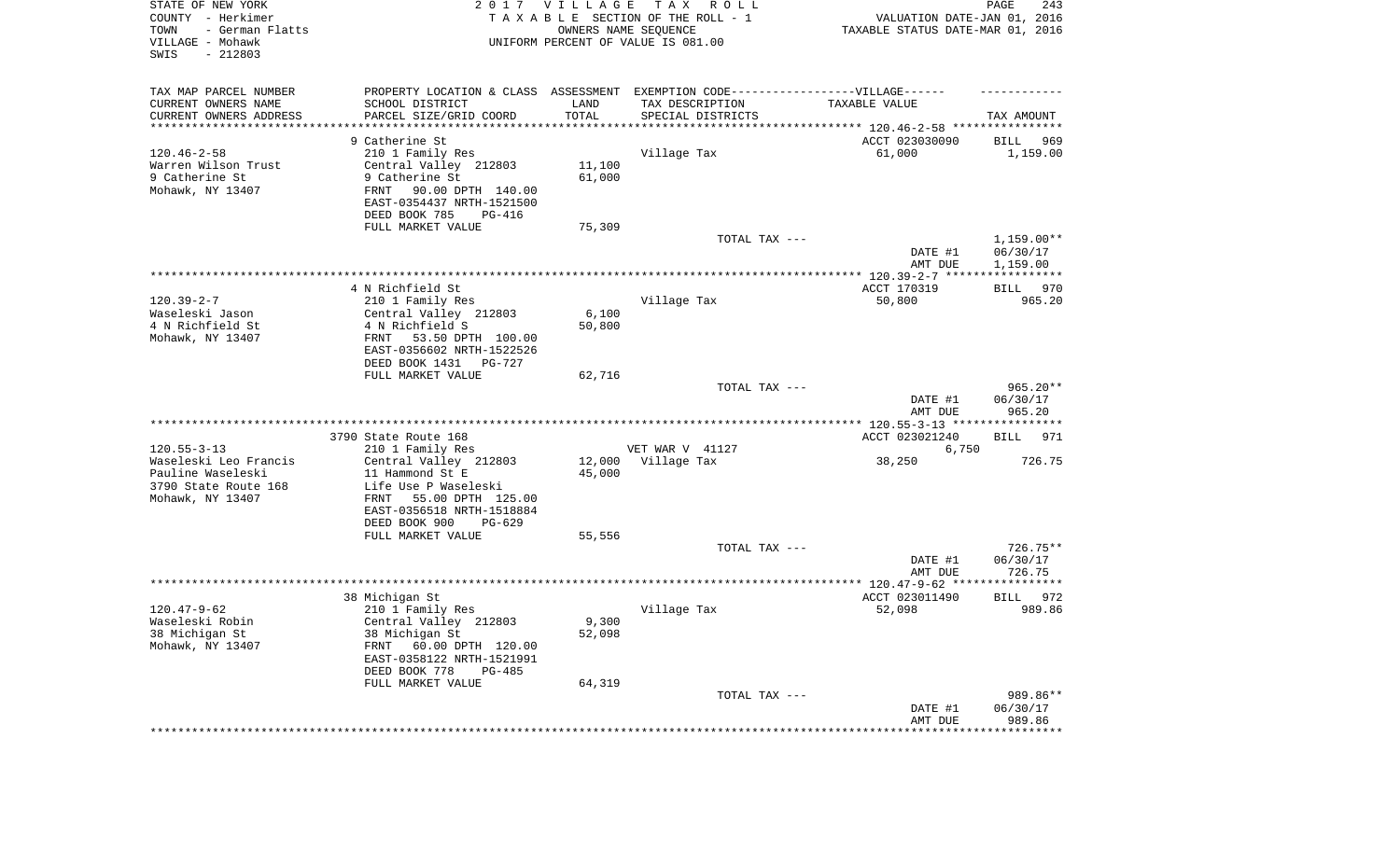| STATE OF NEW YORK<br>COUNTY - Herkimer<br>- German Flatts<br>TOWN<br>VILLAGE - Mohawk<br>SWIS<br>$-212803$ |                                                                                  | 2017 VILLAGE    | T A X<br>R O L L<br>TAXABLE SECTION OF THE ROLL - 1<br>OWNERS NAME SEQUENCE<br>UNIFORM PERCENT OF VALUE IS 081.00 | VALUATION DATE-JAN 01, 2016<br>TAXABLE STATUS DATE-MAR 01, 2016 | PAGE<br>243                          |
|------------------------------------------------------------------------------------------------------------|----------------------------------------------------------------------------------|-----------------|-------------------------------------------------------------------------------------------------------------------|-----------------------------------------------------------------|--------------------------------------|
| TAX MAP PARCEL NUMBER                                                                                      | PROPERTY LOCATION & CLASS ASSESSMENT EXEMPTION CODE----------------VILLAGE------ |                 |                                                                                                                   |                                                                 |                                      |
| CURRENT OWNERS NAME                                                                                        | SCHOOL DISTRICT                                                                  | LAND<br>TOTAL   | TAX DESCRIPTION                                                                                                   | TAXABLE VALUE                                                   |                                      |
| CURRENT OWNERS ADDRESS<br>********************                                                             | PARCEL SIZE/GRID COORD                                                           |                 | SPECIAL DISTRICTS                                                                                                 |                                                                 | TAX AMOUNT                           |
|                                                                                                            | 9 Catherine St                                                                   |                 |                                                                                                                   | ACCT 023030090                                                  | 969<br>BILL                          |
| $120.46 - 2 - 58$                                                                                          | 210 1 Family Res                                                                 |                 | Village Tax                                                                                                       | 61,000                                                          | 1,159.00                             |
| Warren Wilson Trust                                                                                        | Central Valley 212803                                                            | 11,100          |                                                                                                                   |                                                                 |                                      |
| 9 Catherine St<br>Mohawk, NY 13407                                                                         | 9 Catherine St<br>FRNT<br>90.00 DPTH 140.00                                      | 61,000          |                                                                                                                   |                                                                 |                                      |
|                                                                                                            | EAST-0354437 NRTH-1521500                                                        |                 |                                                                                                                   |                                                                 |                                      |
|                                                                                                            | DEED BOOK 785<br>PG-416                                                          |                 |                                                                                                                   |                                                                 |                                      |
|                                                                                                            | FULL MARKET VALUE                                                                | 75,309          |                                                                                                                   |                                                                 |                                      |
|                                                                                                            |                                                                                  |                 | TOTAL TAX ---                                                                                                     | DATE #1<br>AMT DUE                                              | $1,159.00**$<br>06/30/17<br>1,159.00 |
|                                                                                                            |                                                                                  |                 |                                                                                                                   |                                                                 |                                      |
|                                                                                                            | 4 N Richfield St                                                                 |                 |                                                                                                                   | ACCT 170319                                                     | 970<br>BILL                          |
| $120.39 - 2 - 7$                                                                                           | 210 1 Family Res                                                                 |                 | Village Tax                                                                                                       | 50,800                                                          | 965.20                               |
| Waseleski Jason<br>4 N Richfield St                                                                        | Central Valley 212803<br>4 N Richfield S                                         | 6,100<br>50,800 |                                                                                                                   |                                                                 |                                      |
| Mohawk, NY 13407                                                                                           | FRNT<br>53.50 DPTH 100.00                                                        |                 |                                                                                                                   |                                                                 |                                      |
|                                                                                                            | EAST-0356602 NRTH-1522526                                                        |                 |                                                                                                                   |                                                                 |                                      |
|                                                                                                            | DEED BOOK 1431<br>PG-727                                                         |                 |                                                                                                                   |                                                                 |                                      |
|                                                                                                            | FULL MARKET VALUE                                                                | 62,716          | TOTAL TAX ---                                                                                                     |                                                                 | $965.20**$                           |
|                                                                                                            |                                                                                  |                 |                                                                                                                   | DATE #1<br>AMT DUE                                              | 06/30/17<br>965.20                   |
|                                                                                                            |                                                                                  |                 |                                                                                                                   |                                                                 |                                      |
|                                                                                                            | 3790 State Route 168                                                             |                 |                                                                                                                   | ACCT 023021240                                                  | BILL<br>971                          |
| $120.55 - 3 - 13$<br>Waseleski Leo Francis                                                                 | 210 1 Family Res<br>Central Valley 212803                                        | 12,000          | VET WAR V 41127<br>Village Tax                                                                                    | 6,750                                                           | 726.75                               |
| Pauline Waseleski                                                                                          | 11 Hammond St E                                                                  | 45,000          |                                                                                                                   | 38,250                                                          |                                      |
| 3790 State Route 168                                                                                       | Life Use P Waseleski                                                             |                 |                                                                                                                   |                                                                 |                                      |
| Mohawk, NY 13407                                                                                           | 55.00 DPTH 125.00<br>FRNT                                                        |                 |                                                                                                                   |                                                                 |                                      |
|                                                                                                            | EAST-0356518 NRTH-1518884                                                        |                 |                                                                                                                   |                                                                 |                                      |
|                                                                                                            | DEED BOOK 900<br>$PG-629$<br>FULL MARKET VALUE                                   | 55,556          |                                                                                                                   |                                                                 |                                      |
|                                                                                                            |                                                                                  |                 | TOTAL TAX ---                                                                                                     |                                                                 | $726.75**$                           |
|                                                                                                            |                                                                                  |                 |                                                                                                                   | DATE #1                                                         | 06/30/17                             |
|                                                                                                            |                                                                                  |                 |                                                                                                                   | AMT DUE                                                         | 726.75                               |
|                                                                                                            | 38 Michigan St                                                                   |                 |                                                                                                                   | ACCT 023011490                                                  | 972<br>BILL                          |
| $120.47 - 9 - 62$                                                                                          | 210 1 Family Res                                                                 |                 | Village Tax                                                                                                       | 52,098                                                          | 989.86                               |
| Waseleski Robin                                                                                            | Central Valley 212803                                                            | 9,300           |                                                                                                                   |                                                                 |                                      |
| 38 Michigan St                                                                                             | 38 Michigan St                                                                   | 52,098          |                                                                                                                   |                                                                 |                                      |
| Mohawk, NY 13407                                                                                           | 60.00 DPTH 120.00<br>FRNT<br>EAST-0358122 NRTH-1521991                           |                 |                                                                                                                   |                                                                 |                                      |
|                                                                                                            | DEED BOOK 778<br>PG-485                                                          |                 |                                                                                                                   |                                                                 |                                      |
|                                                                                                            | FULL MARKET VALUE                                                                | 64,319          |                                                                                                                   |                                                                 |                                      |
|                                                                                                            |                                                                                  |                 | TOTAL TAX ---                                                                                                     |                                                                 | 989.86**                             |
|                                                                                                            |                                                                                  |                 |                                                                                                                   | DATE #1                                                         | 06/30/17                             |
|                                                                                                            |                                                                                  |                 |                                                                                                                   | AMT DUE<br>******************                                   | 989.86<br>**************             |
|                                                                                                            |                                                                                  |                 |                                                                                                                   |                                                                 |                                      |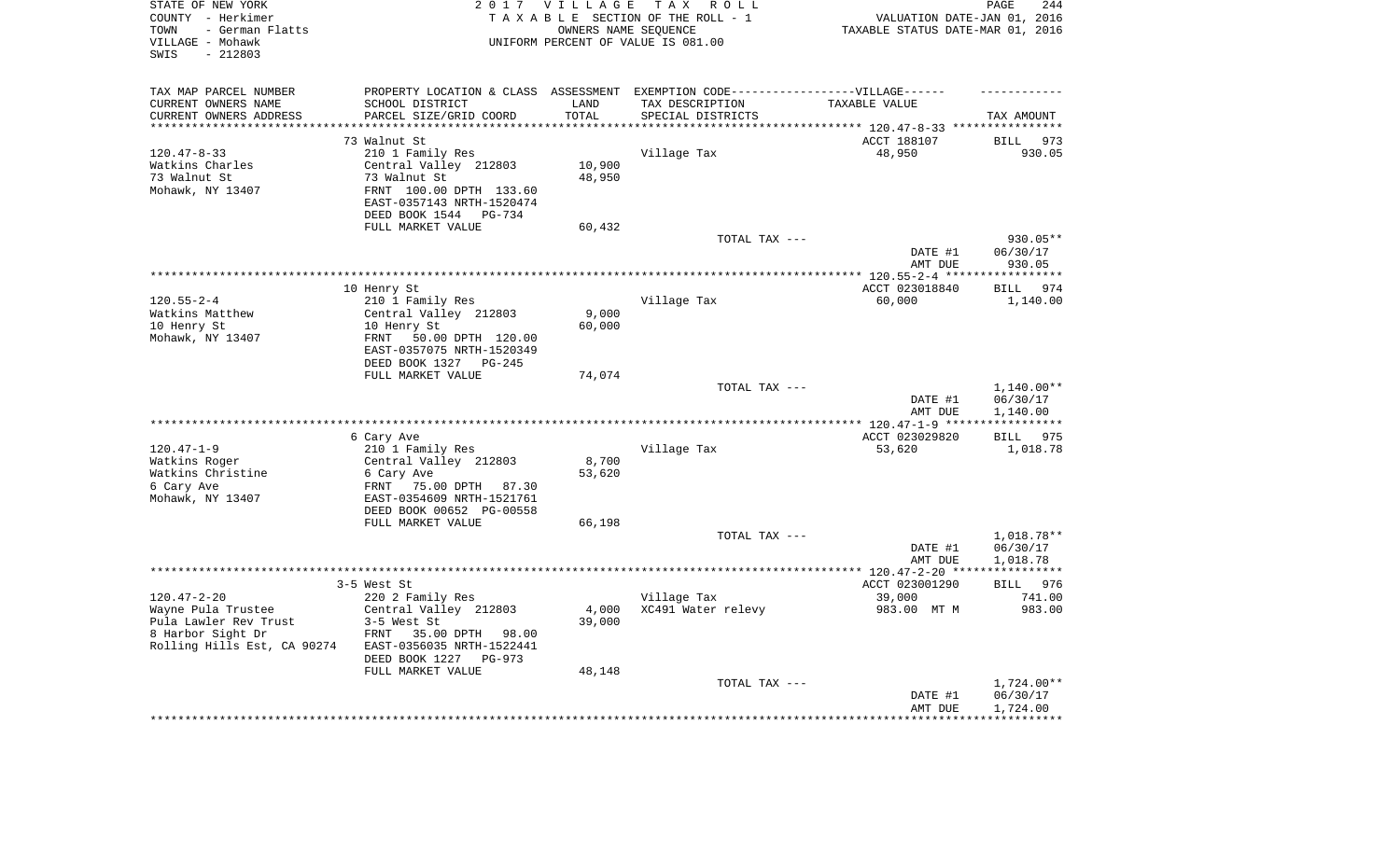| STATE OF NEW YORK<br>COUNTY - Herkimer<br>- German Flatts<br>TOWN<br>VILLAGE - Mohawk<br>$-212803$<br>SWIS |                                                       | 2017 VILLAGE<br>OWNERS NAME SEQUENCE | TAX ROLL<br>TAXABLE SECTION OF THE ROLL - 1<br>UNIFORM PERCENT OF VALUE IS 081.00                    | VALUATION DATE-JAN 01, 2016<br>TAXABLE STATUS DATE-MAR 01, 2016 | PAGE<br>244              |
|------------------------------------------------------------------------------------------------------------|-------------------------------------------------------|--------------------------------------|------------------------------------------------------------------------------------------------------|-----------------------------------------------------------------|--------------------------|
| TAX MAP PARCEL NUMBER<br>CURRENT OWNERS NAME                                                               | SCHOOL DISTRICT                                       | LAND                                 | PROPERTY LOCATION & CLASS ASSESSMENT EXEMPTION CODE-----------------VILLAGE------<br>TAX DESCRIPTION | TAXABLE VALUE                                                   |                          |
| CURRENT OWNERS ADDRESS                                                                                     | PARCEL SIZE/GRID COORD                                | TOTAL                                | SPECIAL DISTRICTS                                                                                    |                                                                 | TAX AMOUNT               |
| **********************                                                                                     |                                                       |                                      |                                                                                                      |                                                                 |                          |
|                                                                                                            | 73 Walnut St                                          |                                      |                                                                                                      | ACCT 188107                                                     | 973<br>BILL              |
| $120.47 - 8 - 33$                                                                                          | 210 1 Family Res                                      |                                      | Village Tax                                                                                          | 48,950                                                          | 930.05                   |
| Watkins Charles<br>73 Walnut St                                                                            | Central Valley 212803<br>73 Walnut St                 | 10,900<br>48,950                     |                                                                                                      |                                                                 |                          |
| Mohawk, NY 13407                                                                                           | FRNT 100.00 DPTH 133.60                               |                                      |                                                                                                      |                                                                 |                          |
|                                                                                                            | EAST-0357143 NRTH-1520474<br>DEED BOOK 1544 PG-734    |                                      |                                                                                                      |                                                                 |                          |
|                                                                                                            | FULL MARKET VALUE                                     | 60,432                               |                                                                                                      |                                                                 |                          |
|                                                                                                            |                                                       |                                      | TOTAL TAX ---                                                                                        |                                                                 | 930.05**                 |
|                                                                                                            |                                                       |                                      |                                                                                                      | DATE #1<br>AMT DUE                                              | 06/30/17<br>930.05       |
|                                                                                                            |                                                       |                                      |                                                                                                      |                                                                 | ************             |
|                                                                                                            | 10 Henry St                                           |                                      |                                                                                                      | ACCT 023018840                                                  | 974<br>BILL              |
| $120.55 - 2 - 4$<br>Watkins Matthew                                                                        | 210 1 Family Res<br>Central Valley 212803             | 9,000                                | Village Tax                                                                                          | 60,000                                                          | 1,140.00                 |
| 10 Henry St                                                                                                | 10 Henry St                                           | 60,000                               |                                                                                                      |                                                                 |                          |
| Mohawk, NY 13407                                                                                           | FRNT<br>50.00 DPTH 120.00                             |                                      |                                                                                                      |                                                                 |                          |
|                                                                                                            | EAST-0357075 NRTH-1520349<br>DEED BOOK 1327 PG-245    |                                      |                                                                                                      |                                                                 |                          |
|                                                                                                            | FULL MARKET VALUE                                     | 74,074                               |                                                                                                      |                                                                 |                          |
|                                                                                                            |                                                       |                                      | TOTAL TAX ---                                                                                        |                                                                 | 1,140.00**               |
|                                                                                                            |                                                       |                                      |                                                                                                      | DATE #1<br>AMT DUE                                              | 06/30/17<br>1,140.00     |
|                                                                                                            |                                                       |                                      |                                                                                                      |                                                                 | * * * * * * * * * * *    |
|                                                                                                            | 6 Cary Ave                                            |                                      |                                                                                                      | ACCT 023029820                                                  | BILL 975                 |
| $120.47 - 1 - 9$<br>Watkins Roger                                                                          | 210 1 Family Res<br>Central Valley 212803             | 8,700                                | Village Tax                                                                                          | 53,620                                                          | 1,018.78                 |
| Watkins Christine                                                                                          | 6 Cary Ave                                            | 53,620                               |                                                                                                      |                                                                 |                          |
| 6 Cary Ave                                                                                                 | 75.00 DPTH 87.30<br>FRNT                              |                                      |                                                                                                      |                                                                 |                          |
| Mohawk, NY 13407                                                                                           | EAST-0354609 NRTH-1521761                             |                                      |                                                                                                      |                                                                 |                          |
|                                                                                                            | DEED BOOK 00652 PG-00558                              |                                      |                                                                                                      |                                                                 |                          |
|                                                                                                            | FULL MARKET VALUE                                     | 66,198                               |                                                                                                      |                                                                 |                          |
|                                                                                                            |                                                       |                                      | TOTAL TAX ---                                                                                        |                                                                 | 1,018.78**               |
|                                                                                                            |                                                       |                                      |                                                                                                      | DATE #1<br>AMT DUE                                              | 06/30/17<br>1,018.78     |
|                                                                                                            |                                                       |                                      |                                                                                                      |                                                                 | ************             |
|                                                                                                            | 3-5 West St                                           |                                      |                                                                                                      | ACCT 023001290                                                  | BILL 976                 |
| $120.47 - 2 - 20$                                                                                          | 220 2 Family Res                                      |                                      | Village Tax                                                                                          | 39,000                                                          | 741.00                   |
| Wayne Pula Trustee                                                                                         | Central Valley 212803                                 | 4,000                                | XC491 Water relevy                                                                                   | 983.00 MT M                                                     | 983.00                   |
| Pula Lawler Rev Trust                                                                                      | 3-5 West St                                           | 39,000                               |                                                                                                      |                                                                 |                          |
| 8 Harbor Sight Dr<br>Rolling Hills Est, CA 90274                                                           | FRNT<br>35.00 DPTH 98.00<br>EAST-0356035 NRTH-1522441 |                                      |                                                                                                      |                                                                 |                          |
|                                                                                                            | DEED BOOK 1227<br>$PG-973$                            |                                      |                                                                                                      |                                                                 |                          |
|                                                                                                            | FULL MARKET VALUE                                     | 48,148                               |                                                                                                      |                                                                 |                          |
|                                                                                                            |                                                       |                                      | TOTAL TAX ---                                                                                        |                                                                 | $1,724.00**$             |
|                                                                                                            |                                                       |                                      |                                                                                                      | DATE #1                                                         | 06/30/17                 |
|                                                                                                            |                                                       |                                      |                                                                                                      | AMT DUE<br>******************                                   | 1,724.00<br>************ |
|                                                                                                            |                                                       |                                      |                                                                                                      |                                                                 |                          |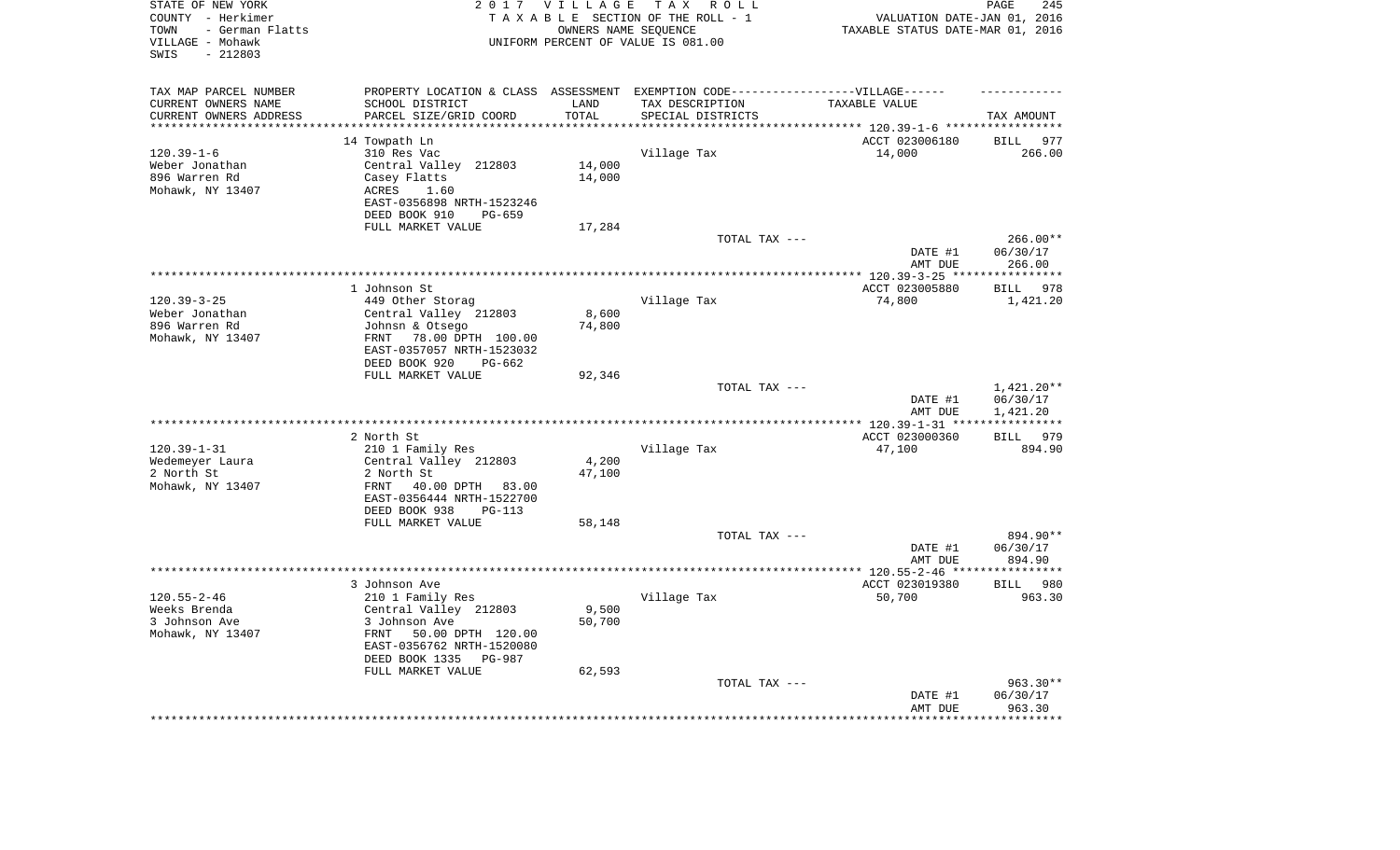| STATE OF NEW YORK<br>COUNTY - Herkimer<br>- German Flatts<br>TOWN<br>VILLAGE - Mohawk<br>$-212803$<br>SWIS |                                                                                   | 2017 VILLAGE        | TAX ROLL<br>TAXABLE SECTION OF THE ROLL - 1<br>OWNERS NAME SEQUENCE<br>UNIFORM PERCENT OF VALUE IS 081.00 | VALUATION DATE-JAN 01, 2016<br>TAXABLE STATUS DATE-MAR 01, 2016 | 245<br>PAGE                    |
|------------------------------------------------------------------------------------------------------------|-----------------------------------------------------------------------------------|---------------------|-----------------------------------------------------------------------------------------------------------|-----------------------------------------------------------------|--------------------------------|
| TAX MAP PARCEL NUMBER                                                                                      | PROPERTY LOCATION & CLASS ASSESSMENT EXEMPTION CODE-----------------VILLAGE------ |                     |                                                                                                           |                                                                 |                                |
| CURRENT OWNERS NAME                                                                                        | SCHOOL DISTRICT                                                                   | LAND                | TAX DESCRIPTION                                                                                           | TAXABLE VALUE                                                   |                                |
| CURRENT OWNERS ADDRESS<br>********************                                                             | PARCEL SIZE/GRID COORD<br>************************                                | TOTAL<br>********** | SPECIAL DISTRICTS                                                                                         |                                                                 | TAX AMOUNT                     |
|                                                                                                            | 14 Towpath Ln                                                                     |                     |                                                                                                           | ACCT 023006180                                                  | 977<br><b>BILL</b>             |
| $120.39 - 1 - 6$                                                                                           | 310 Res Vac                                                                       |                     | Village Tax                                                                                               | 14,000                                                          | 266.00                         |
| Weber Jonathan                                                                                             | Central Valley 212803                                                             | 14,000              |                                                                                                           |                                                                 |                                |
| 896 Warren Rd                                                                                              | Casey Flatts                                                                      | 14,000              |                                                                                                           |                                                                 |                                |
| Mohawk, NY 13407                                                                                           | 1.60<br>ACRES                                                                     |                     |                                                                                                           |                                                                 |                                |
|                                                                                                            | EAST-0356898 NRTH-1523246                                                         |                     |                                                                                                           |                                                                 |                                |
|                                                                                                            | DEED BOOK 910<br>PG-659                                                           |                     |                                                                                                           |                                                                 |                                |
|                                                                                                            | FULL MARKET VALUE                                                                 | 17,284              |                                                                                                           |                                                                 |                                |
|                                                                                                            |                                                                                   |                     | TOTAL TAX ---                                                                                             |                                                                 | $266.00**$                     |
|                                                                                                            |                                                                                   |                     |                                                                                                           | DATE #1                                                         | 06/30/17                       |
|                                                                                                            |                                                                                   |                     |                                                                                                           | AMT DUE                                                         | 266.00                         |
|                                                                                                            |                                                                                   |                     |                                                                                                           | *** 120.39-3-25 ****                                            | ***********                    |
| $120.39 - 3 - 25$                                                                                          | 1 Johnson St<br>449 Other Storag                                                  |                     | Village Tax                                                                                               | ACCT 023005880<br>74,800                                        | 978<br><b>BILL</b><br>1,421.20 |
| Weber Jonathan                                                                                             | Central Valley 212803                                                             | 8,600               |                                                                                                           |                                                                 |                                |
| 896 Warren Rd                                                                                              | Johnsn & Otsego                                                                   | 74,800              |                                                                                                           |                                                                 |                                |
| Mohawk, NY 13407                                                                                           | 78.00 DPTH 100.00<br>FRNT                                                         |                     |                                                                                                           |                                                                 |                                |
|                                                                                                            | EAST-0357057 NRTH-1523032                                                         |                     |                                                                                                           |                                                                 |                                |
|                                                                                                            | DEED BOOK 920<br>$PG-662$                                                         |                     |                                                                                                           |                                                                 |                                |
|                                                                                                            | FULL MARKET VALUE                                                                 | 92,346              |                                                                                                           |                                                                 |                                |
|                                                                                                            |                                                                                   |                     | TOTAL TAX ---                                                                                             | DATE #1                                                         | 1,421.20**<br>06/30/17         |
|                                                                                                            |                                                                                   |                     | *********************                                                                                     | AMT DUE                                                         | 1,421.20                       |
|                                                                                                            | 2 North St                                                                        |                     |                                                                                                           | *** 120.39-1-31 **<br>ACCT 023000360                            | ***********<br>BILL 979        |
| $120.39 - 1 - 31$                                                                                          | 210 1 Family Res                                                                  |                     | Village Tax                                                                                               | 47,100                                                          | 894.90                         |
| Wedemeyer Laura                                                                                            | Central Valley 212803                                                             | 4,200               |                                                                                                           |                                                                 |                                |
| 2 North St                                                                                                 | 2 North St                                                                        | 47,100              |                                                                                                           |                                                                 |                                |
| Mohawk, NY 13407                                                                                           | FRNT<br>40.00 DPTH<br>83.00                                                       |                     |                                                                                                           |                                                                 |                                |
|                                                                                                            | EAST-0356444 NRTH-1522700                                                         |                     |                                                                                                           |                                                                 |                                |
|                                                                                                            | DEED BOOK 938<br>$PG-113$                                                         |                     |                                                                                                           |                                                                 |                                |
|                                                                                                            | FULL MARKET VALUE                                                                 | 58,148              |                                                                                                           |                                                                 |                                |
|                                                                                                            |                                                                                   |                     | TOTAL TAX ---                                                                                             |                                                                 | 894.90**                       |
|                                                                                                            |                                                                                   |                     |                                                                                                           | DATE #1                                                         | 06/30/17                       |
|                                                                                                            |                                                                                   |                     |                                                                                                           | AMT DUE<br>**************** 120.55-2-46 ****                    | 894.90<br>* * * * * * * * * *  |
|                                                                                                            | 3 Johnson Ave                                                                     |                     |                                                                                                           | ACCT 023019380                                                  | <b>BILL</b><br>980             |
| $120.55 - 2 - 46$                                                                                          | 210 1 Family Res                                                                  |                     | Village Tax                                                                                               | 50,700                                                          | 963.30                         |
| Weeks Brenda                                                                                               | Central Valley 212803                                                             | 9,500               |                                                                                                           |                                                                 |                                |
| 3 Johnson Ave                                                                                              | 3 Johnson Ave                                                                     | 50,700              |                                                                                                           |                                                                 |                                |
| Mohawk, NY 13407                                                                                           | FRNT<br>50.00 DPTH 120.00                                                         |                     |                                                                                                           |                                                                 |                                |
|                                                                                                            | EAST-0356762 NRTH-1520080                                                         |                     |                                                                                                           |                                                                 |                                |
|                                                                                                            | DEED BOOK 1335<br>PG-987                                                          |                     |                                                                                                           |                                                                 |                                |
|                                                                                                            | FULL MARKET VALUE                                                                 | 62,593              |                                                                                                           |                                                                 |                                |
|                                                                                                            |                                                                                   |                     | TOTAL TAX ---                                                                                             |                                                                 | $963.30**$                     |
|                                                                                                            |                                                                                   |                     |                                                                                                           | DATE #1                                                         | 06/30/17                       |
|                                                                                                            |                                                                                   |                     |                                                                                                           | AMT DUE                                                         | 963.30<br>********             |
|                                                                                                            |                                                                                   |                     |                                                                                                           |                                                                 |                                |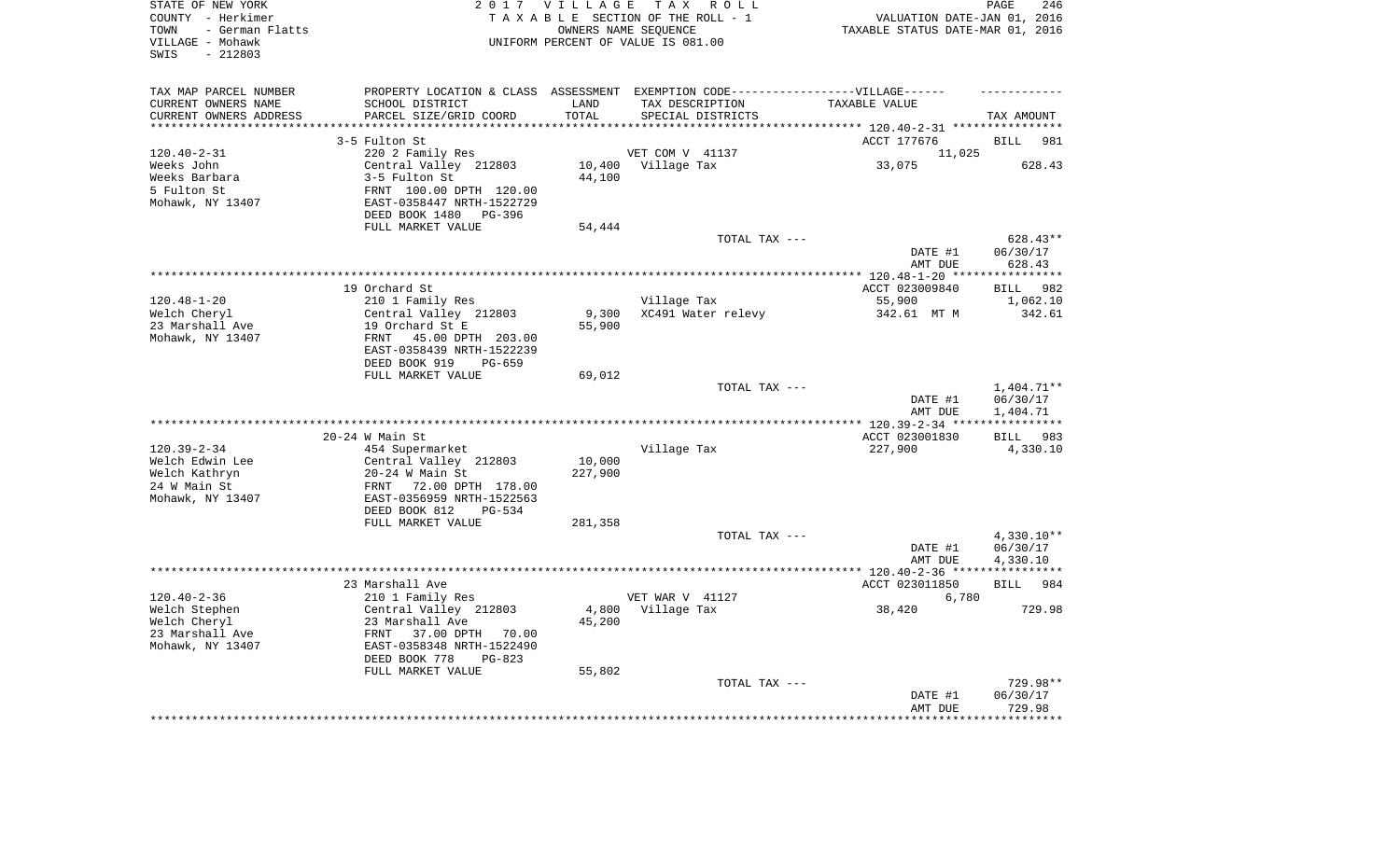| STATE OF NEW YORK<br>COUNTY - Herkimer<br>- German Flatts<br>TOWN<br>VILLAGE - Mohawk<br>$-212803$<br>SWIS |                                                         | 2017 VILLAGE | TAX ROLL<br>TAXABLE SECTION OF THE ROLL - 1<br>OWNERS NAME SEQUENCE<br>UNIFORM PERCENT OF VALUE IS 081.00 | VALUATION DATE-JAN 01, 2016<br>TAXABLE STATUS DATE-MAR 01, 2016 | PAGE<br>246            |
|------------------------------------------------------------------------------------------------------------|---------------------------------------------------------|--------------|-----------------------------------------------------------------------------------------------------------|-----------------------------------------------------------------|------------------------|
| TAX MAP PARCEL NUMBER                                                                                      |                                                         |              | PROPERTY LOCATION & CLASS ASSESSMENT EXEMPTION CODE-----------------VILLAGE------                         |                                                                 |                        |
| CURRENT OWNERS NAME                                                                                        | SCHOOL DISTRICT                                         | LAND         | TAX DESCRIPTION                                                                                           | TAXABLE VALUE                                                   |                        |
| CURRENT OWNERS ADDRESS<br>***********************                                                          | PARCEL SIZE/GRID COORD                                  | TOTAL        | SPECIAL DISTRICTS                                                                                         |                                                                 | TAX AMOUNT             |
|                                                                                                            | 3-5 Fulton St                                           |              |                                                                                                           |                                                                 | 981                    |
| $120.40 - 2 - 31$                                                                                          | 220 2 Family Res                                        |              | VET COM V 41137                                                                                           | ACCT 177676<br>11,025                                           | <b>BILL</b>            |
| Weeks John                                                                                                 | Central Valley 212803                                   | 10,400       | Village Tax                                                                                               | 33,075                                                          | 628.43                 |
| Weeks Barbara                                                                                              | 3-5 Fulton St                                           | 44,100       |                                                                                                           |                                                                 |                        |
| 5 Fulton St                                                                                                | FRNT 100.00 DPTH 120.00                                 |              |                                                                                                           |                                                                 |                        |
| Mohawk, NY 13407                                                                                           | EAST-0358447 NRTH-1522729<br>DEED BOOK 1480<br>$PG-396$ |              |                                                                                                           |                                                                 |                        |
|                                                                                                            | FULL MARKET VALUE                                       | 54,444       |                                                                                                           |                                                                 |                        |
|                                                                                                            |                                                         |              | TOTAL TAX ---                                                                                             |                                                                 | 628.43**               |
|                                                                                                            |                                                         |              |                                                                                                           | DATE #1<br>AMT DUE                                              | 06/30/17<br>628.43     |
|                                                                                                            |                                                         |              |                                                                                                           | ************ 120.48-1-20 *****************                      |                        |
|                                                                                                            | 19 Orchard St                                           |              |                                                                                                           | ACCT 023009840                                                  | 982<br><b>BILL</b>     |
| $120.48 - 1 - 20$<br>Welch Cheryl                                                                          | 210 1 Family Res<br>Central Valley 212803               | 9,300        | Village Tax<br>XC491 Water relevy                                                                         | 55,900<br>342.61 MT M                                           | 1,062.10<br>342.61     |
| 23 Marshall Ave                                                                                            | 19 Orchard St E                                         | 55,900       |                                                                                                           |                                                                 |                        |
| Mohawk, NY 13407                                                                                           | 45.00 DPTH 203.00<br>FRNT                               |              |                                                                                                           |                                                                 |                        |
|                                                                                                            | EAST-0358439 NRTH-1522239                               |              |                                                                                                           |                                                                 |                        |
|                                                                                                            | DEED BOOK 919<br>PG-659                                 |              |                                                                                                           |                                                                 |                        |
|                                                                                                            | FULL MARKET VALUE                                       | 69,012       |                                                                                                           |                                                                 |                        |
|                                                                                                            |                                                         |              | TOTAL TAX ---                                                                                             | DATE #1                                                         | 1,404.71**<br>06/30/17 |
|                                                                                                            |                                                         |              |                                                                                                           | AMT DUE                                                         | 1,404.71               |
|                                                                                                            |                                                         |              |                                                                                                           |                                                                 | * * * * * * * * * * *  |
|                                                                                                            | $20-24$ W Main St                                       |              |                                                                                                           | ACCT 023001830                                                  | 983<br><b>BILL</b>     |
| $120.39 - 2 - 34$                                                                                          | 454 Supermarket                                         |              | Village Tax                                                                                               | 227,900                                                         | 4,330.10               |
| Welch Edwin Lee                                                                                            | Central Valley 212803                                   | 10,000       |                                                                                                           |                                                                 |                        |
| Welch Kathryn                                                                                              | $20-24$ W Main St                                       | 227,900      |                                                                                                           |                                                                 |                        |
| 24 W Main St<br>Mohawk, NY 13407                                                                           | 72.00 DPTH 178.00<br>FRNT<br>EAST-0356959 NRTH-1522563  |              |                                                                                                           |                                                                 |                        |
|                                                                                                            | DEED BOOK 812<br>PG-534                                 |              |                                                                                                           |                                                                 |                        |
|                                                                                                            | FULL MARKET VALUE                                       | 281,358      |                                                                                                           |                                                                 |                        |
|                                                                                                            |                                                         |              | TOTAL TAX ---                                                                                             |                                                                 | $4.330.10**$           |
|                                                                                                            |                                                         |              |                                                                                                           | DATE #1                                                         | 06/30/17               |
|                                                                                                            |                                                         |              |                                                                                                           | AMT DUE                                                         | 4,330.10               |
|                                                                                                            |                                                         |              |                                                                                                           |                                                                 |                        |
|                                                                                                            | 23 Marshall Ave                                         |              |                                                                                                           | ACCT 023011850                                                  | <b>BILL</b><br>984     |
| $120.40 - 2 - 36$<br>Welch Stephen                                                                         | 210 1 Family Res<br>Central Valley 212803               |              | VET WAR V 41127<br>4,800 Village Tax                                                                      | 6,780                                                           | 729.98                 |
| Welch Cheryl                                                                                               | 23 Marshall Ave                                         | 45,200       |                                                                                                           | 38,420                                                          |                        |
| 23 Marshall Ave                                                                                            | FRNT<br>37.00 DPTH<br>70.00                             |              |                                                                                                           |                                                                 |                        |
| Mohawk, NY 13407                                                                                           | EAST-0358348 NRTH-1522490                               |              |                                                                                                           |                                                                 |                        |
|                                                                                                            | DEED BOOK 778<br>$PG-823$                               |              |                                                                                                           |                                                                 |                        |
|                                                                                                            | FULL MARKET VALUE                                       | 55,802       |                                                                                                           |                                                                 |                        |
|                                                                                                            |                                                         |              | TOTAL TAX ---                                                                                             |                                                                 | 729.98**               |
|                                                                                                            |                                                         |              |                                                                                                           | DATE #1<br>AMT DUE                                              | 06/30/17<br>729.98     |
|                                                                                                            |                                                         |              |                                                                                                           |                                                                 | ***********            |
|                                                                                                            |                                                         |              |                                                                                                           |                                                                 |                        |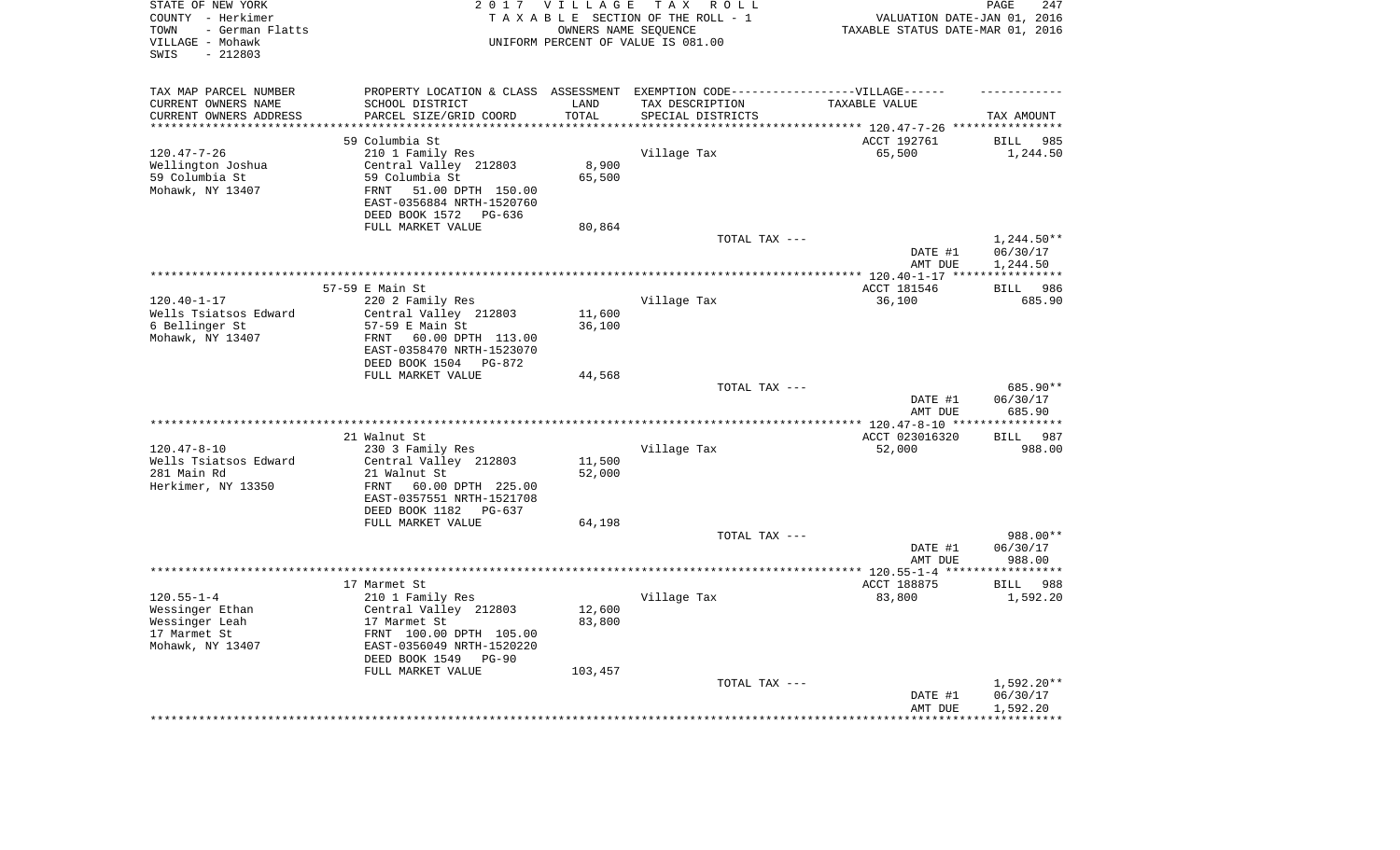| STATE OF NEW YORK<br>COUNTY - Herkimer<br>- German Flatts<br>TOWN<br>VILLAGE - Mohawk<br>$-212803$<br>SWIS |                                                                                   | 2017 VILLAGE        | TAX ROLL<br>TAXABLE SECTION OF THE ROLL - 1<br>OWNERS NAME SEQUENCE<br>UNIFORM PERCENT OF VALUE IS 081.00 | VALUATION DATE-JAN 01, 2016<br>TAXABLE STATUS DATE-MAR 01, 2016 | 247<br>PAGE                    |
|------------------------------------------------------------------------------------------------------------|-----------------------------------------------------------------------------------|---------------------|-----------------------------------------------------------------------------------------------------------|-----------------------------------------------------------------|--------------------------------|
| TAX MAP PARCEL NUMBER                                                                                      | PROPERTY LOCATION & CLASS ASSESSMENT EXEMPTION CODE-----------------VILLAGE------ |                     |                                                                                                           |                                                                 |                                |
| CURRENT OWNERS NAME                                                                                        | SCHOOL DISTRICT                                                                   | LAND                | TAX DESCRIPTION                                                                                           | TAXABLE VALUE                                                   |                                |
| CURRENT OWNERS ADDRESS<br>********************                                                             | PARCEL SIZE/GRID COORD<br>***********************                                 | TOTAL<br>********** | SPECIAL DISTRICTS                                                                                         |                                                                 | TAX AMOUNT                     |
|                                                                                                            |                                                                                   |                     |                                                                                                           |                                                                 |                                |
| $120.47 - 7 - 26$                                                                                          | 59 Columbia St<br>210 1 Family Res                                                |                     | Village Tax                                                                                               | ACCT 192761<br>65,500                                           | <b>BILL</b><br>985<br>1,244.50 |
| Wellington Joshua                                                                                          | Central Valley 212803                                                             | 8,900               |                                                                                                           |                                                                 |                                |
| 59 Columbia St                                                                                             | 59 Columbia St                                                                    | 65,500              |                                                                                                           |                                                                 |                                |
| Mohawk, NY 13407                                                                                           | 51.00 DPTH 150.00<br>FRNT                                                         |                     |                                                                                                           |                                                                 |                                |
|                                                                                                            | EAST-0356884 NRTH-1520760                                                         |                     |                                                                                                           |                                                                 |                                |
|                                                                                                            | DEED BOOK 1572 PG-636                                                             |                     |                                                                                                           |                                                                 |                                |
|                                                                                                            | FULL MARKET VALUE                                                                 | 80,864              |                                                                                                           |                                                                 |                                |
|                                                                                                            |                                                                                   |                     | TOTAL TAX ---                                                                                             |                                                                 | $1,244.50**$                   |
|                                                                                                            |                                                                                   |                     |                                                                                                           | DATE #1                                                         | 06/30/17                       |
|                                                                                                            |                                                                                   |                     |                                                                                                           | AMT DUE                                                         | 1,244.50                       |
|                                                                                                            |                                                                                   |                     |                                                                                                           | ******* 120.40-1-17 ****                                        | * * * * * * * * * * *          |
|                                                                                                            | 57-59 E Main St                                                                   |                     |                                                                                                           | ACCT 181546                                                     | 986<br><b>BILL</b>             |
| $120.40 - 1 - 17$<br>Wells Tsiatsos Edward                                                                 | 220 2 Family Res<br>Central Valley 212803                                         | 11,600              | Village Tax                                                                                               | 36,100                                                          | 685.90                         |
| 6 Bellinger St                                                                                             | 57-59 E Main St                                                                   | 36,100              |                                                                                                           |                                                                 |                                |
| Mohawk, NY 13407                                                                                           | 60.00 DPTH 113.00<br>FRNT                                                         |                     |                                                                                                           |                                                                 |                                |
|                                                                                                            | EAST-0358470 NRTH-1523070                                                         |                     |                                                                                                           |                                                                 |                                |
|                                                                                                            | DEED BOOK 1504 PG-872                                                             |                     |                                                                                                           |                                                                 |                                |
|                                                                                                            | FULL MARKET VALUE                                                                 | 44,568              |                                                                                                           |                                                                 |                                |
|                                                                                                            |                                                                                   |                     | TOTAL TAX ---                                                                                             | DATE #1                                                         | 685.90**<br>06/30/17           |
|                                                                                                            |                                                                                   |                     | ***********************                                                                                   | AMT DUE<br>*** $120.47 - 8 - 10$ **                             | 685.90                         |
|                                                                                                            | 21 Walnut St                                                                      |                     |                                                                                                           | ACCT 023016320                                                  | 987<br><b>BILL</b>             |
| $120.47 - 8 - 10$                                                                                          | 230 3 Family Res                                                                  |                     | Village Tax                                                                                               | 52,000                                                          | 988.00                         |
| Wells Tsiatsos Edward                                                                                      | Central Valley 212803                                                             | 11,500              |                                                                                                           |                                                                 |                                |
| 281 Main Rd                                                                                                | 21 Walnut St                                                                      | 52,000              |                                                                                                           |                                                                 |                                |
| Herkimer, NY 13350                                                                                         | FRNT<br>60.00 DPTH 225.00                                                         |                     |                                                                                                           |                                                                 |                                |
|                                                                                                            | EAST-0357551 NRTH-1521708                                                         |                     |                                                                                                           |                                                                 |                                |
|                                                                                                            | DEED BOOK 1182 PG-637                                                             |                     |                                                                                                           |                                                                 |                                |
|                                                                                                            | FULL MARKET VALUE                                                                 | 64,198              |                                                                                                           |                                                                 |                                |
|                                                                                                            |                                                                                   |                     | TOTAL TAX ---                                                                                             |                                                                 | 988.00**                       |
|                                                                                                            |                                                                                   |                     |                                                                                                           | DATE #1<br>AMT DUE                                              | 06/30/17<br>988.00             |
|                                                                                                            |                                                                                   |                     |                                                                                                           | **************** 120.55-1-4 *****                               | **********                     |
|                                                                                                            | 17 Marmet St                                                                      |                     |                                                                                                           | ACCT 188875                                                     | <b>BILL</b><br>988             |
| $120.55 - 1 - 4$                                                                                           | 210 1 Family Res                                                                  |                     | Village Tax                                                                                               | 83,800                                                          | 1,592.20                       |
| Wessinger Ethan                                                                                            | Central Valley 212803                                                             | 12,600              |                                                                                                           |                                                                 |                                |
| Wessinger Leah                                                                                             | 17 Marmet St                                                                      | 83,800              |                                                                                                           |                                                                 |                                |
| 17 Marmet St                                                                                               | FRNT 100.00 DPTH 105.00                                                           |                     |                                                                                                           |                                                                 |                                |
| Mohawk, NY 13407                                                                                           | EAST-0356049 NRTH-1520220                                                         |                     |                                                                                                           |                                                                 |                                |
|                                                                                                            | DEED BOOK 1549<br>$PG-90$                                                         |                     |                                                                                                           |                                                                 |                                |
|                                                                                                            | FULL MARKET VALUE                                                                 | 103,457             | TOTAL TAX ---                                                                                             |                                                                 | $1,592.20**$                   |
|                                                                                                            |                                                                                   |                     |                                                                                                           | DATE #1                                                         | 06/30/17                       |
|                                                                                                            |                                                                                   |                     |                                                                                                           | AMT DUE                                                         | 1,592.20                       |
|                                                                                                            |                                                                                   |                     |                                                                                                           |                                                                 |                                |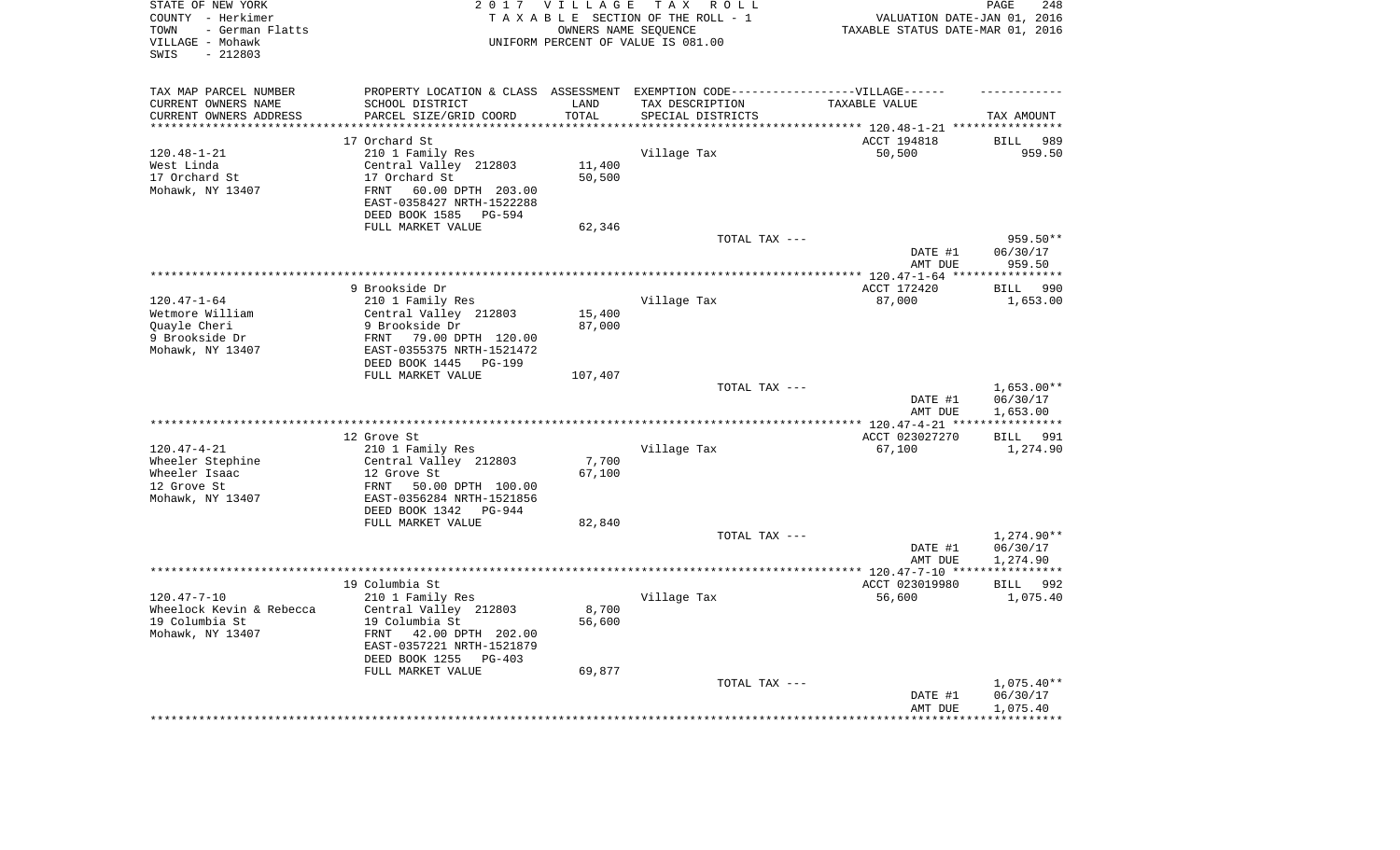| STATE OF NEW YORK<br>COUNTY - Herkimer<br>- German Flatts<br>TOWN<br>VILLAGE - Mohawk<br>$-212803$<br>SWIS |                                                         | 2017 VILLAGE      | TAX ROLL<br>TAXABLE SECTION OF THE ROLL - 1<br>OWNERS NAME SEQUENCE<br>UNIFORM PERCENT OF VALUE IS 081.00 | VALUATION DATE-JAN 01, 2016<br>TAXABLE STATUS DATE-MAR 01, 2016 | PAGE<br>248             |
|------------------------------------------------------------------------------------------------------------|---------------------------------------------------------|-------------------|-----------------------------------------------------------------------------------------------------------|-----------------------------------------------------------------|-------------------------|
| TAX MAP PARCEL NUMBER                                                                                      |                                                         |                   | PROPERTY LOCATION & CLASS ASSESSMENT EXEMPTION CODE-----------------VILLAGE------                         |                                                                 |                         |
| CURRENT OWNERS NAME                                                                                        | SCHOOL DISTRICT                                         | LAND              | TAX DESCRIPTION                                                                                           | TAXABLE VALUE                                                   |                         |
| CURRENT OWNERS ADDRESS<br>********************                                                             | PARCEL SIZE/GRID COORD<br>********************          | TOTAL<br>******** | SPECIAL DISTRICTS                                                                                         |                                                                 | TAX AMOUNT              |
|                                                                                                            | 17 Orchard St                                           |                   |                                                                                                           | ACCT 194818                                                     | <b>BILL</b><br>989      |
| $120.48 - 1 - 21$                                                                                          | 210 1 Family Res                                        |                   | Village Tax                                                                                               | 50,500                                                          | 959.50                  |
| West Linda                                                                                                 | Central Valley 212803                                   | 11,400            |                                                                                                           |                                                                 |                         |
| 17 Orchard St                                                                                              | 17 Orchard St                                           | 50,500            |                                                                                                           |                                                                 |                         |
| Mohawk, NY 13407                                                                                           | 60.00 DPTH 203.00<br>FRNT                               |                   |                                                                                                           |                                                                 |                         |
|                                                                                                            | EAST-0358427 NRTH-1522288                               |                   |                                                                                                           |                                                                 |                         |
|                                                                                                            | DEED BOOK 1585<br>PG-594                                |                   |                                                                                                           |                                                                 |                         |
|                                                                                                            | FULL MARKET VALUE                                       | 62,346            | TOTAL TAX ---                                                                                             |                                                                 | 959.50**                |
|                                                                                                            |                                                         |                   |                                                                                                           | DATE #1                                                         | 06/30/17                |
|                                                                                                            |                                                         |                   |                                                                                                           | AMT DUE                                                         | 959.50                  |
|                                                                                                            |                                                         |                   |                                                                                                           | ******** 120.47-1-64 **                                         | * * * * * * * * * * *   |
|                                                                                                            | 9 Brookside Dr                                          |                   |                                                                                                           | ACCT 172420                                                     | 990<br><b>BILL</b>      |
| $120.47 - 1 - 64$                                                                                          | 210 1 Family Res                                        |                   | Village Tax                                                                                               | 87,000                                                          | 1,653.00                |
| Wetmore William                                                                                            | Central Valley 212803                                   | 15,400            |                                                                                                           |                                                                 |                         |
| Quayle Cheri                                                                                               | 9 Brookside Dr                                          | 87,000            |                                                                                                           |                                                                 |                         |
| 9 Brookside Dr<br>Mohawk, NY 13407                                                                         | 79.00 DPTH 120.00<br>FRNT<br>EAST-0355375 NRTH-1521472  |                   |                                                                                                           |                                                                 |                         |
|                                                                                                            | DEED BOOK 1445<br>PG-199                                |                   |                                                                                                           |                                                                 |                         |
|                                                                                                            | FULL MARKET VALUE                                       | 107,407           |                                                                                                           |                                                                 |                         |
|                                                                                                            |                                                         |                   | TOTAL TAX ---                                                                                             |                                                                 | $1,653.00**$            |
|                                                                                                            |                                                         |                   |                                                                                                           | DATE #1                                                         | 06/30/17                |
|                                                                                                            |                                                         |                   |                                                                                                           | AMT DUE                                                         | 1,653.00                |
|                                                                                                            |                                                         |                   |                                                                                                           | ** 120.47-4-21 **                                               |                         |
| $120.47 - 4 - 21$                                                                                          | 12 Grove St<br>210 1 Family Res                         |                   | Village Tax                                                                                               | ACCT 023027270<br>67,100                                        | 991<br>BILL<br>1,274.90 |
| Wheeler Stephine                                                                                           | Central Valley 212803                                   | 7,700             |                                                                                                           |                                                                 |                         |
| Wheeler Isaac                                                                                              | 12 Grove St                                             | 67,100            |                                                                                                           |                                                                 |                         |
| 12 Grove St                                                                                                | FRNT<br>50.00 DPTH 100.00                               |                   |                                                                                                           |                                                                 |                         |
| Mohawk, NY 13407                                                                                           | EAST-0356284 NRTH-1521856                               |                   |                                                                                                           |                                                                 |                         |
|                                                                                                            | DEED BOOK 1342 PG-944                                   |                   |                                                                                                           |                                                                 |                         |
|                                                                                                            | FULL MARKET VALUE                                       | 82,840            |                                                                                                           |                                                                 |                         |
|                                                                                                            |                                                         |                   | TOTAL TAX ---                                                                                             |                                                                 | 1,274.90**              |
|                                                                                                            |                                                         |                   |                                                                                                           | DATE #1<br>AMT DUE                                              | 06/30/17<br>1,274.90    |
|                                                                                                            |                                                         |                   |                                                                                                           | ************* 120.47-7-10 ****                                  | * * * * * * * * * * * * |
|                                                                                                            | 19 Columbia St                                          |                   |                                                                                                           | ACCT 023019980                                                  | <b>BILL</b><br>992      |
| $120.47 - 7 - 10$                                                                                          | 210 1 Family Res                                        |                   | Village Tax                                                                                               | 56,600                                                          | 1,075.40                |
| Wheelock Kevin & Rebecca                                                                                   | Central Valley 212803                                   | 8,700             |                                                                                                           |                                                                 |                         |
| 19 Columbia St                                                                                             | 19 Columbia St                                          | 56,600            |                                                                                                           |                                                                 |                         |
| Mohawk, NY 13407                                                                                           | FRNT<br>42.00 DPTH 202.00                               |                   |                                                                                                           |                                                                 |                         |
|                                                                                                            | EAST-0357221 NRTH-1521879<br>DEED BOOK 1255<br>$PG-403$ |                   |                                                                                                           |                                                                 |                         |
|                                                                                                            | FULL MARKET VALUE                                       | 69,877            |                                                                                                           |                                                                 |                         |
|                                                                                                            |                                                         |                   | TOTAL TAX ---                                                                                             |                                                                 | $1,075.40**$            |
|                                                                                                            |                                                         |                   |                                                                                                           | DATE #1                                                         | 06/30/17                |
|                                                                                                            |                                                         |                   |                                                                                                           | AMT DUE                                                         | 1,075.40                |
|                                                                                                            |                                                         |                   |                                                                                                           |                                                                 |                         |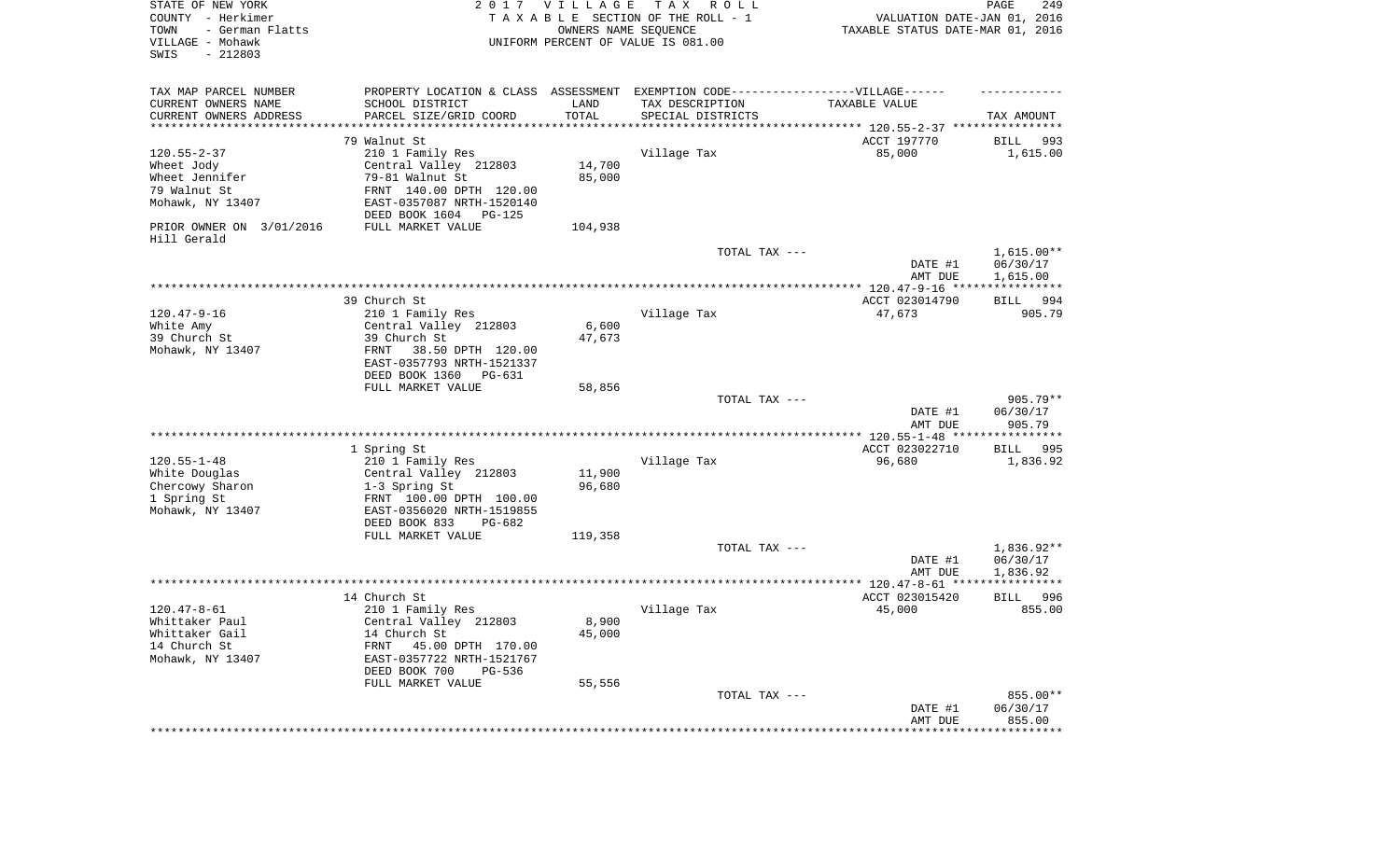| STATE OF NEW YORK<br>COUNTY - Herkimer<br>- German Flatts<br>TOWN<br>VILLAGE - Mohawk<br>SWIS<br>$-212803$        | 2017                                                                                                                                                                                  | <b>VILLAGE</b><br>OWNERS NAME SEQUENCE | T A X<br>R O L L<br>TAXABLE SECTION OF THE ROLL - 1<br>UNIFORM PERCENT OF VALUE IS 081.00                                | VALUATION DATE-JAN 01, 2016<br>TAXABLE STATUS DATE-MAR 01, 2016 | 249<br>PAGE                          |
|-------------------------------------------------------------------------------------------------------------------|---------------------------------------------------------------------------------------------------------------------------------------------------------------------------------------|----------------------------------------|--------------------------------------------------------------------------------------------------------------------------|-----------------------------------------------------------------|--------------------------------------|
| TAX MAP PARCEL NUMBER<br>CURRENT OWNERS NAME<br>CURRENT OWNERS ADDRESS<br>*********************                   | SCHOOL DISTRICT<br>PARCEL SIZE/GRID COORD<br>*******************                                                                                                                      | LAND<br>TOTAL<br>* * * * * * * * * * * | PROPERTY LOCATION & CLASS ASSESSMENT EXEMPTION CODE----------------VILLAGE------<br>TAX DESCRIPTION<br>SPECIAL DISTRICTS | TAXABLE VALUE                                                   | TAX AMOUNT                           |
| $120.55 - 2 - 37$<br>Wheet Jody<br>Wheet Jennifer<br>79 Walnut St<br>Mohawk, NY 13407<br>PRIOR OWNER ON 3/01/2016 | 79 Walnut St<br>210 1 Family Res<br>Central Valley 212803<br>79-81 Walnut St<br>FRNT 140.00 DPTH 120.00<br>EAST-0357087 NRTH-1520140<br>DEED BOOK 1604<br>PG-125<br>FULL MARKET VALUE | 14,700<br>85,000<br>104,938            | Village Tax                                                                                                              | ACCT 197770<br>85,000                                           | 993<br>BILL<br>1,615.00              |
| Hill Gerald                                                                                                       |                                                                                                                                                                                       |                                        | TOTAL TAX ---                                                                                                            | DATE #1<br>AMT DUE                                              | $1,615.00**$<br>06/30/17<br>1,615.00 |
|                                                                                                                   |                                                                                                                                                                                       |                                        |                                                                                                                          |                                                                 |                                      |
| $120.47 - 9 - 16$<br>White Amy<br>39 Church St<br>Mohawk, NY 13407                                                | 39 Church St<br>210 1 Family Res<br>Central Valley 212803<br>39 Church St<br>38.50 DPTH 120.00<br>FRNT<br>EAST-0357793 NRTH-1521337<br>DEED BOOK 1360<br>PG-631                       | 6,600<br>47,673                        | Village Tax                                                                                                              | ACCT 023014790<br>47,673                                        | BILL 994<br>905.79                   |
|                                                                                                                   | FULL MARKET VALUE                                                                                                                                                                     | 58,856                                 |                                                                                                                          |                                                                 |                                      |
|                                                                                                                   |                                                                                                                                                                                       |                                        | TOTAL TAX ---                                                                                                            | DATE #1<br>AMT DUE                                              | $905.79**$<br>06/30/17<br>905.79     |
|                                                                                                                   |                                                                                                                                                                                       |                                        |                                                                                                                          |                                                                 |                                      |
| $120.55 - 1 - 48$<br>White Douglas<br>Chercowy Sharon<br>1 Spring St<br>Mohawk, NY 13407                          | 1 Spring St<br>210 1 Family Res<br>Central Valley 212803<br>1-3 Spring St<br>FRNT 100.00 DPTH 100.00<br>EAST-0356020 NRTH-1519855<br>DEED BOOK 833<br>PG-682<br>FULL MARKET VALUE     | 11,900<br>96,680<br>119,358            | Village Tax                                                                                                              | ACCT 023022710<br>96,680                                        | 995<br>BILL<br>1,836.92              |
|                                                                                                                   |                                                                                                                                                                                       |                                        | TOTAL TAX ---                                                                                                            | DATE #1<br>AMT DUE                                              | 1,836.92**<br>06/30/17<br>1,836.92   |
|                                                                                                                   |                                                                                                                                                                                       |                                        |                                                                                                                          |                                                                 |                                      |
| $120.47 - 8 - 61$<br>Whittaker Paul<br>Whittaker Gail<br>14 Church St<br>Mohawk, NY 13407                         | 14 Church St<br>210 1 Family Res<br>Central Valley 212803<br>14 Church St<br>FRNT<br>45.00 DPTH 170.00<br>EAST-0357722 NRTH-1521767<br>DEED BOOK 700<br>PG-536<br>FULL MARKET VALUE   | 8,900<br>45,000<br>55,556              | Village Tax                                                                                                              | ACCT 023015420<br>45,000                                        | 996<br><b>BILL</b><br>855.00         |
|                                                                                                                   |                                                                                                                                                                                       |                                        | TOTAL TAX ---                                                                                                            | DATE #1<br>AMT DUE                                              | 855.00**<br>06/30/17<br>855.00       |
|                                                                                                                   |                                                                                                                                                                                       |                                        |                                                                                                                          | *********************                                           | **************                       |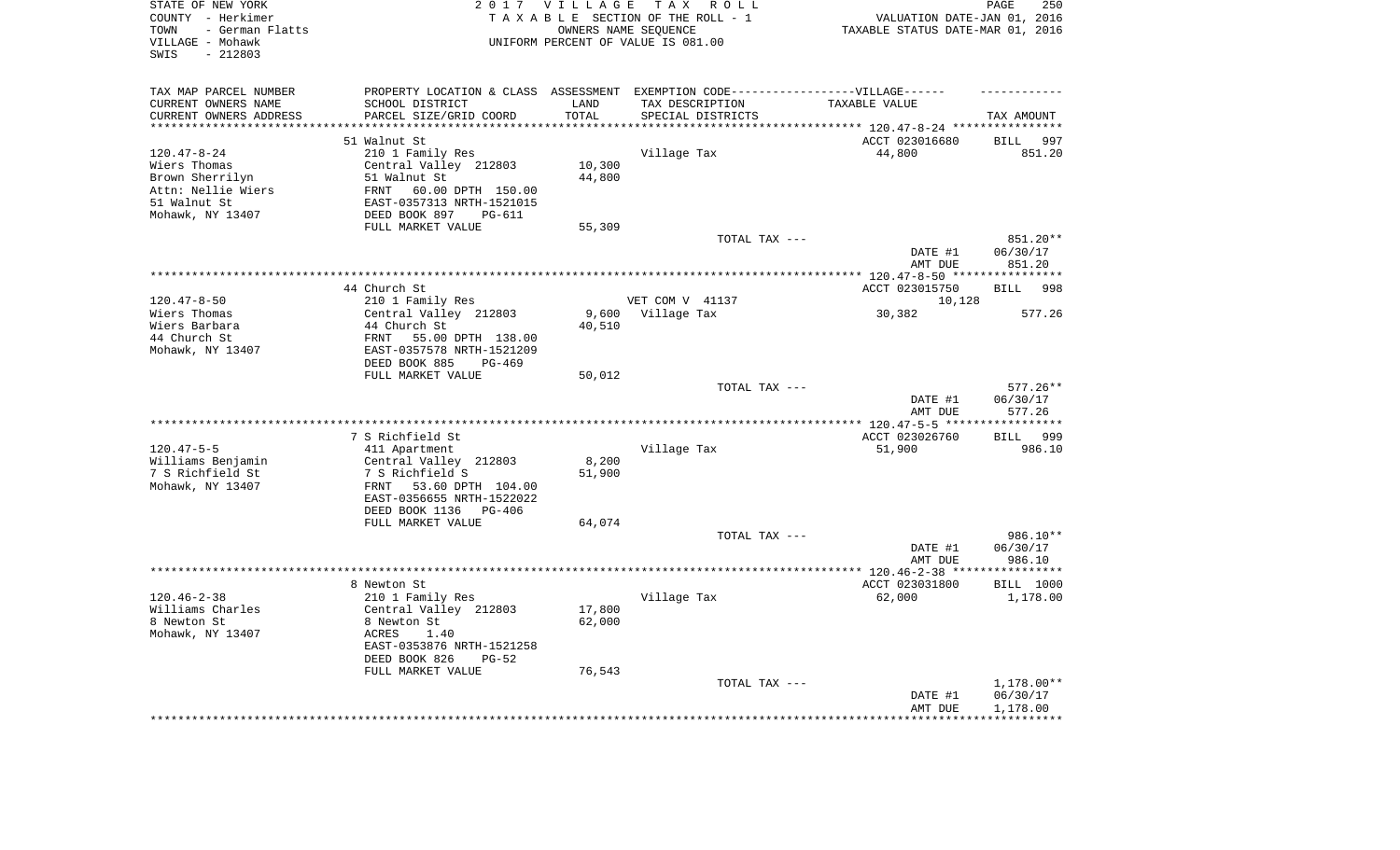| STATE OF NEW YORK<br>COUNTY - Herkimer<br>- German Flatts<br>TOWN<br>VILLAGE - Mohawk<br>$-212803$<br>SWIS |                                                                                   | 2017 VILLAGE<br>OWNERS NAME SEQUENCE | TAX ROLL<br>TAXABLE SECTION OF THE ROLL - 1<br>UNIFORM PERCENT OF VALUE IS 081.00 | VALUATION DATE-JAN 01, 2016<br>TAXABLE STATUS DATE-MAR 01, 2016 | 250<br>PAGE                      |
|------------------------------------------------------------------------------------------------------------|-----------------------------------------------------------------------------------|--------------------------------------|-----------------------------------------------------------------------------------|-----------------------------------------------------------------|----------------------------------|
| TAX MAP PARCEL NUMBER                                                                                      | PROPERTY LOCATION & CLASS ASSESSMENT EXEMPTION CODE-----------------VILLAGE------ |                                      |                                                                                   |                                                                 |                                  |
| CURRENT OWNERS NAME                                                                                        | SCHOOL DISTRICT                                                                   | LAND                                 | TAX DESCRIPTION                                                                   | TAXABLE VALUE                                                   |                                  |
| CURRENT OWNERS ADDRESS<br>*********************                                                            | PARCEL SIZE/GRID COORD<br>************************                                | TOTAL<br>*********                   | SPECIAL DISTRICTS                                                                 |                                                                 | TAX AMOUNT                       |
|                                                                                                            | 51 Walnut St                                                                      |                                      |                                                                                   | ACCT 023016680                                                  | 997<br><b>BILL</b>               |
| $120.47 - 8 - 24$                                                                                          | 210 1 Family Res                                                                  |                                      | Village Tax                                                                       | 44,800                                                          | 851.20                           |
| Wiers Thomas                                                                                               | Central Valley 212803                                                             | 10,300                               |                                                                                   |                                                                 |                                  |
| Brown Sherrilyn                                                                                            | 51 Walnut St                                                                      | 44,800                               |                                                                                   |                                                                 |                                  |
| Attn: Nellie Wiers                                                                                         | 60.00 DPTH 150.00<br>FRNT                                                         |                                      |                                                                                   |                                                                 |                                  |
| 51 Walnut St                                                                                               | EAST-0357313 NRTH-1521015                                                         |                                      |                                                                                   |                                                                 |                                  |
| Mohawk, NY 13407                                                                                           | DEED BOOK 897<br>PG-611                                                           |                                      |                                                                                   |                                                                 |                                  |
|                                                                                                            | FULL MARKET VALUE                                                                 | 55,309                               |                                                                                   |                                                                 |                                  |
|                                                                                                            |                                                                                   |                                      | TOTAL TAX ---                                                                     |                                                                 | 851.20**                         |
|                                                                                                            |                                                                                   |                                      |                                                                                   | DATE #1                                                         | 06/30/17                         |
|                                                                                                            |                                                                                   |                                      |                                                                                   | AMT DUE<br>******** 120.47-8-50 *****************               | 851.20                           |
|                                                                                                            | 44 Church St                                                                      |                                      |                                                                                   | ACCT 023015750                                                  | <b>BILL</b><br>998               |
| $120.47 - 8 - 50$                                                                                          | 210 1 Family Res                                                                  |                                      | VET COM V 41137                                                                   | 10,128                                                          |                                  |
| Wiers Thomas                                                                                               | Central Valley 212803                                                             | 9,600                                | Village Tax                                                                       | 30,382                                                          | 577.26                           |
| Wiers Barbara                                                                                              | 44 Church St                                                                      | 40,510                               |                                                                                   |                                                                 |                                  |
| 44 Church St                                                                                               | 55.00 DPTH 138.00<br>FRNT                                                         |                                      |                                                                                   |                                                                 |                                  |
| Mohawk, NY 13407                                                                                           | EAST-0357578 NRTH-1521209                                                         |                                      |                                                                                   |                                                                 |                                  |
|                                                                                                            | DEED BOOK 885<br>$PG-469$                                                         |                                      |                                                                                   |                                                                 |                                  |
|                                                                                                            | FULL MARKET VALUE                                                                 | 50,012                               |                                                                                   |                                                                 |                                  |
|                                                                                                            |                                                                                   |                                      | TOTAL TAX ---                                                                     | DATE #1<br>AMT DUE                                              | $577.26**$<br>06/30/17<br>577.26 |
|                                                                                                            |                                                                                   |                                      | ***********************                                                           | *** 120.47-5-5 ***                                              | *********                        |
|                                                                                                            | 7 S Richfield St                                                                  |                                      |                                                                                   | ACCT 023026760                                                  | 999<br><b>BILL</b>               |
| $120.47 - 5 - 5$                                                                                           | 411 Apartment                                                                     |                                      | Village Tax                                                                       | 51,900                                                          | 986.10                           |
| Williams Benjamin                                                                                          | Central Valley 212803                                                             | 8,200                                |                                                                                   |                                                                 |                                  |
| 7 S Richfield St                                                                                           | 7 S Richfield S                                                                   | 51,900                               |                                                                                   |                                                                 |                                  |
| Mohawk, NY 13407                                                                                           | FRNT<br>53.60 DPTH 104.00                                                         |                                      |                                                                                   |                                                                 |                                  |
|                                                                                                            | EAST-0356655 NRTH-1522022                                                         |                                      |                                                                                   |                                                                 |                                  |
|                                                                                                            | DEED BOOK 1136<br>PG-406                                                          |                                      |                                                                                   |                                                                 |                                  |
|                                                                                                            | FULL MARKET VALUE                                                                 | 64,074                               |                                                                                   |                                                                 |                                  |
|                                                                                                            |                                                                                   |                                      | TOTAL TAX ---                                                                     |                                                                 | 986.10**                         |
|                                                                                                            |                                                                                   |                                      |                                                                                   | DATE #1<br>AMT DUE                                              | 06/30/17<br>986.10               |
|                                                                                                            |                                                                                   |                                      |                                                                                   | *************** 120.46-2-38 *****************                   |                                  |
|                                                                                                            | 8 Newton St                                                                       |                                      |                                                                                   | ACCT 023031800                                                  | <b>BILL</b> 1000                 |
| $120.46 - 2 - 38$                                                                                          | 210 1 Family Res                                                                  |                                      | Village Tax                                                                       | 62,000                                                          | 1,178.00                         |
| Williams Charles                                                                                           | Central Valley 212803                                                             | 17,800                               |                                                                                   |                                                                 |                                  |
| 8 Newton St                                                                                                | 8 Newton St                                                                       | 62,000                               |                                                                                   |                                                                 |                                  |
| Mohawk, NY 13407                                                                                           | ACRES<br>1.40                                                                     |                                      |                                                                                   |                                                                 |                                  |
|                                                                                                            | EAST-0353876 NRTH-1521258                                                         |                                      |                                                                                   |                                                                 |                                  |
|                                                                                                            | DEED BOOK 826<br>$PG-52$                                                          |                                      |                                                                                   |                                                                 |                                  |
|                                                                                                            | FULL MARKET VALUE                                                                 | 76,543                               | TOTAL TAX ---                                                                     |                                                                 | 1,178.00**                       |
|                                                                                                            |                                                                                   |                                      |                                                                                   | DATE #1                                                         | 06/30/17                         |
|                                                                                                            |                                                                                   |                                      |                                                                                   | AMT DUE                                                         | 1,178.00                         |
|                                                                                                            |                                                                                   |                                      |                                                                                   |                                                                 |                                  |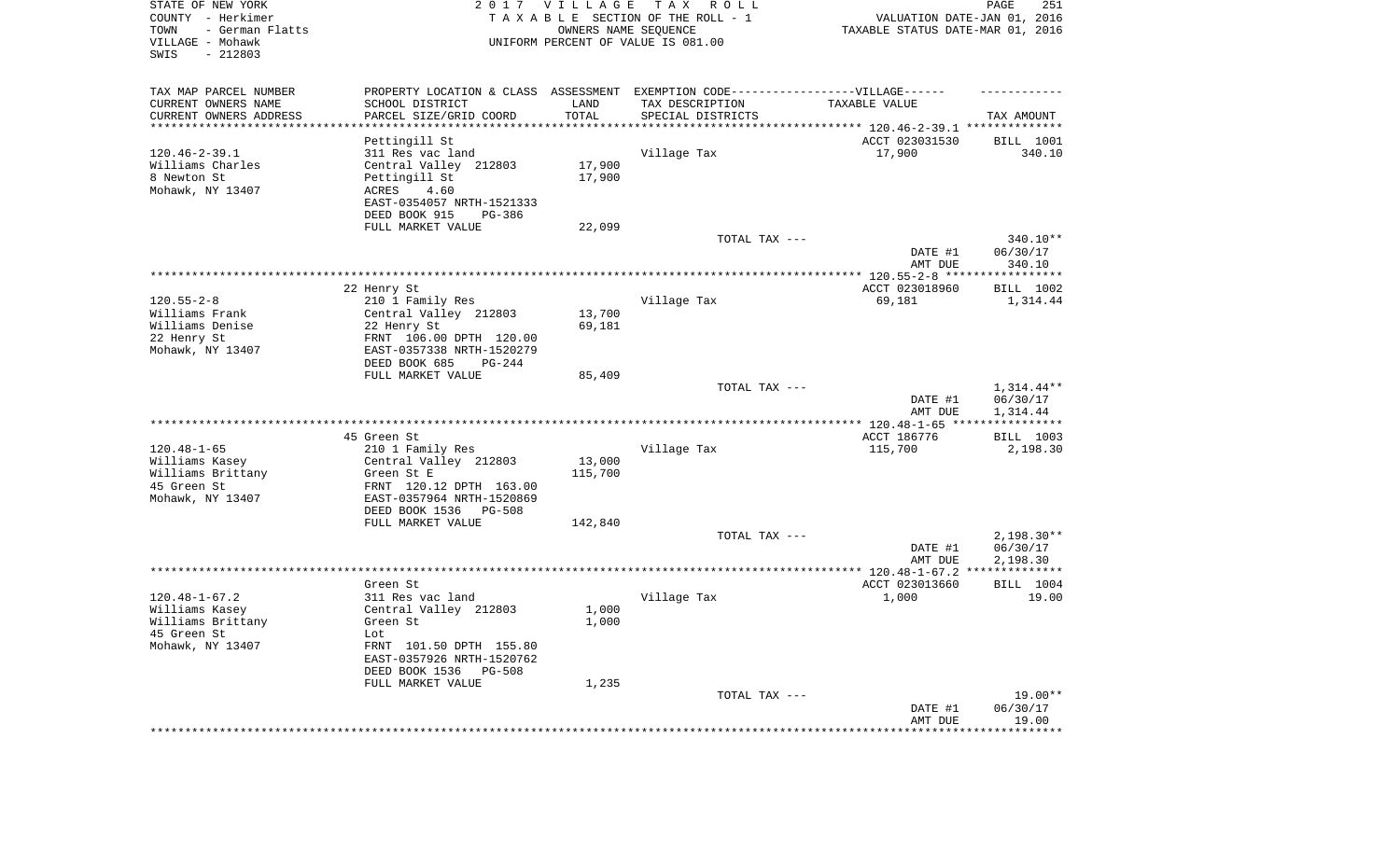| TAX MAP PARCEL NUMBER<br>PROPERTY LOCATION & CLASS ASSESSMENT EXEMPTION CODE----------------VILLAGE------                                                                          |        |
|------------------------------------------------------------------------------------------------------------------------------------------------------------------------------------|--------|
|                                                                                                                                                                                    |        |
| CURRENT OWNERS NAME<br>SCHOOL DISTRICT<br>LAND<br>TAX DESCRIPTION<br>TAXABLE VALUE<br>TOTAL<br>CURRENT OWNERS ADDRESS<br>PARCEL SIZE/GRID COORD<br>SPECIAL DISTRICTS<br>TAX AMOUNT |        |
| *********************<br>* * * * * * * * * * *<br>************************************* 120.46-2-39.1 **************                                                               |        |
| Pettingill St<br>ACCT 023031530<br>BILL 1001                                                                                                                                       |        |
| $120.46 - 2 - 39.1$<br>17,900<br>311 Res vac land<br>Village Tax                                                                                                                   | 340.10 |
| 17,900<br>Williams Charles<br>Central Valley 212803<br>8 Newton St<br>Pettingill St<br>17,900                                                                                      |        |
| Mohawk, NY 13407<br>ACRES<br>4.60                                                                                                                                                  |        |
| EAST-0354057 NRTH-1521333                                                                                                                                                          |        |
| DEED BOOK 915<br>PG-386                                                                                                                                                            |        |
| FULL MARKET VALUE<br>22,099                                                                                                                                                        |        |
| TOTAL TAX ---<br>340.10**<br>06/30/17<br>DATE #1                                                                                                                                   |        |
| AMT DUE<br>340.10                                                                                                                                                                  |        |
| ACCT 023018960<br>BILL 1002<br>22 Henry St                                                                                                                                         |        |
| $120.55 - 2 - 8$<br>Village Tax<br>210 1 Family Res<br>69,181<br>1,314.44                                                                                                          |        |
| Williams Frank<br>Central Valley 212803<br>13,700                                                                                                                                  |        |
| 69,181<br>Williams Denise<br>22 Henry St                                                                                                                                           |        |
| 22 Henry St<br>FRNT 106.00 DPTH 120.00                                                                                                                                             |        |
| Mohawk, NY 13407<br>EAST-0357338 NRTH-1520279<br>DEED BOOK 685<br>$PG-244$                                                                                                         |        |
| FULL MARKET VALUE<br>85,409                                                                                                                                                        |        |
| TOTAL TAX ---<br>$1,314.44**$                                                                                                                                                      |        |
| DATE #1<br>06/30/17                                                                                                                                                                |        |
| 1,314.44<br>AMT DUE                                                                                                                                                                |        |
|                                                                                                                                                                                    |        |
| ACCT 186776<br>45 Green St<br>BILL 1003<br>$120.48 - 1 - 65$<br>Village Tax<br>210 1 Family Res<br>115,700<br>2,198.30                                                             |        |
| Williams Kasey<br>Central Valley 212803<br>13,000                                                                                                                                  |        |
| 115,700<br>Williams Brittany<br>Green St E                                                                                                                                         |        |
| 45 Green St<br>FRNT 120.12 DPTH 163.00                                                                                                                                             |        |
| Mohawk, NY 13407<br>EAST-0357964 NRTH-1520869                                                                                                                                      |        |
| DEED BOOK 1536<br>PG-508                                                                                                                                                           |        |
| FULL MARKET VALUE<br>142,840<br>TOTAL TAX ---<br>$2,198.30**$                                                                                                                      |        |
| DATE #1<br>06/30/17                                                                                                                                                                |        |
| AMT DUE<br>2,198.30                                                                                                                                                                |        |
|                                                                                                                                                                                    |        |
| Green St.<br>ACCT 023013660<br>BILL 1004                                                                                                                                           |        |
| $120.48 - 1 - 67.2$<br>311 Res vac land<br>Village Tax<br>1,000                                                                                                                    | 19.00  |
| Central Valley 212803<br>1,000<br>Williams Kasey<br>1,000<br>Williams Brittany<br>Green St                                                                                         |        |
| 45 Green St<br>Lot                                                                                                                                                                 |        |
| Mohawk, NY 13407<br>FRNT 101.50 DPTH 155.80                                                                                                                                        |        |
| EAST-0357926 NRTH-1520762                                                                                                                                                          |        |
| DEED BOOK 1536 PG-508                                                                                                                                                              |        |
| FULL MARKET VALUE<br>1,235                                                                                                                                                         |        |
| $19.00**$<br>TOTAL TAX ---<br>DATE #1<br>06/30/17                                                                                                                                  |        |
| 19.00<br>AMT DUE                                                                                                                                                                   |        |
| ***********<br>********************                                                                                                                                                |        |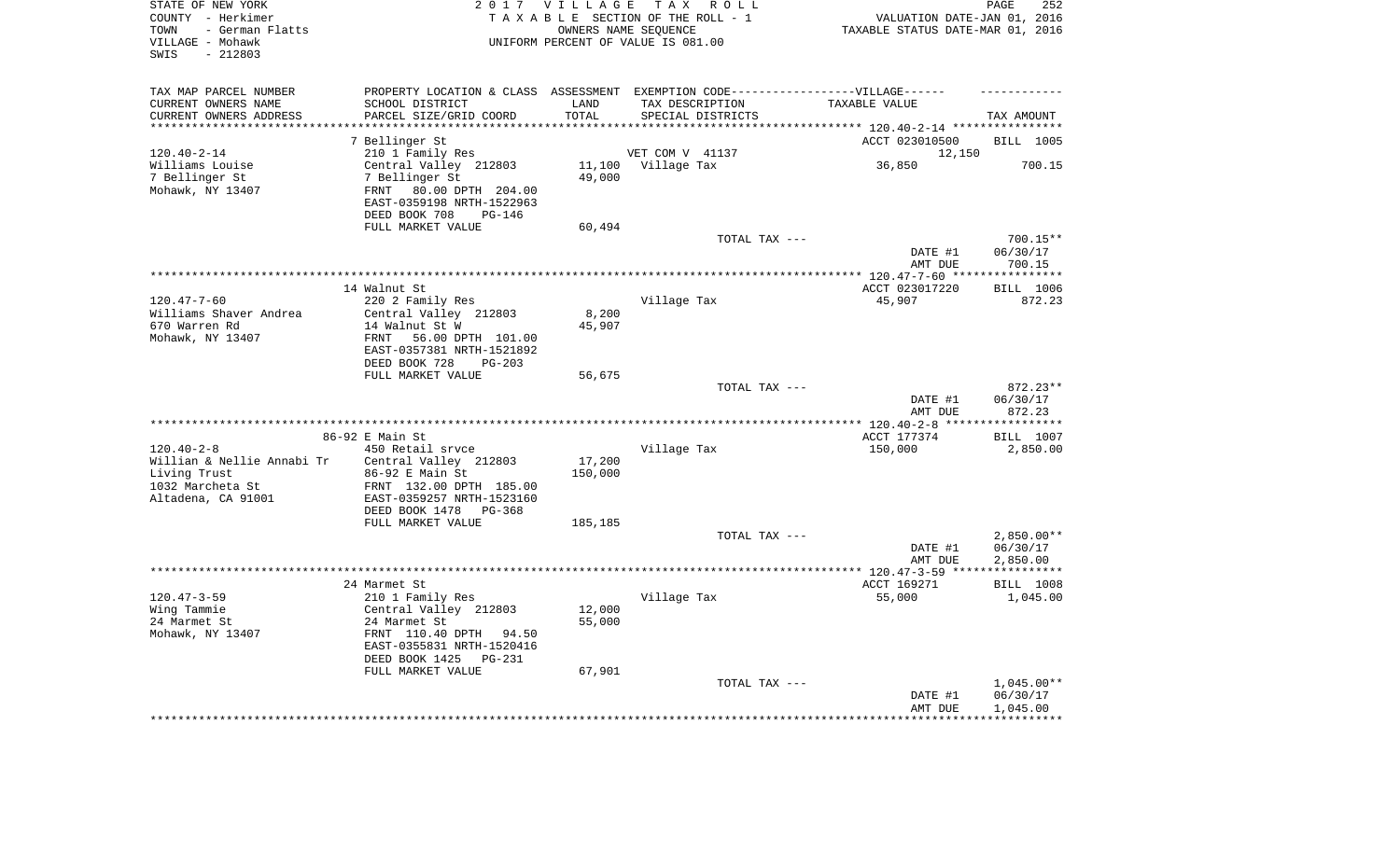| STATE OF NEW YORK<br>COUNTY - Herkimer<br>- German Flatts<br>TOWN<br>VILLAGE - Mohawk<br>$-212803$<br>SWIS |                                                                                   | 2017 VILLAGE      | T A X<br>R O L L<br>TAXABLE SECTION OF THE ROLL - 1<br>OWNERS NAME SEQUENCE<br>UNIFORM PERCENT OF VALUE IS 081.00 | VALUATION DATE-JAN 01, 2016<br>TAXABLE STATUS DATE-MAR 01, 2016 | PAGE<br>252          |
|------------------------------------------------------------------------------------------------------------|-----------------------------------------------------------------------------------|-------------------|-------------------------------------------------------------------------------------------------------------------|-----------------------------------------------------------------|----------------------|
| TAX MAP PARCEL NUMBER                                                                                      | PROPERTY LOCATION & CLASS ASSESSMENT EXEMPTION CODE-----------------VILLAGE------ |                   |                                                                                                                   |                                                                 |                      |
| CURRENT OWNERS NAME                                                                                        | SCHOOL DISTRICT                                                                   | LAND              | TAX DESCRIPTION                                                                                                   | TAXABLE VALUE                                                   |                      |
| CURRENT OWNERS ADDRESS                                                                                     | PARCEL SIZE/GRID COORD                                                            | TOTAL             | SPECIAL DISTRICTS                                                                                                 |                                                                 | TAX AMOUNT           |
| *********************                                                                                      | ***********************                                                           | * * * * * * * * * |                                                                                                                   | **************************** 120.40-2-14 *****************      |                      |
|                                                                                                            | 7 Bellinger St                                                                    |                   |                                                                                                                   | ACCT 023010500                                                  | BILL 1005            |
| $120.40 - 2 - 14$                                                                                          | 210 1 Family Res                                                                  | 11,100            | VET COM V 41137                                                                                                   | 12,150<br>36,850                                                | 700.15               |
| Williams Louise<br>7 Bellinger St                                                                          | Central Valley 212803<br>7 Bellinger St                                           | 49,000            | Village Tax                                                                                                       |                                                                 |                      |
| Mohawk, NY 13407                                                                                           | 80.00 DPTH 204.00<br>FRNT                                                         |                   |                                                                                                                   |                                                                 |                      |
|                                                                                                            | EAST-0359198 NRTH-1522963                                                         |                   |                                                                                                                   |                                                                 |                      |
|                                                                                                            | DEED BOOK 708<br>PG-146                                                           |                   |                                                                                                                   |                                                                 |                      |
|                                                                                                            | FULL MARKET VALUE                                                                 | 60,494            |                                                                                                                   |                                                                 |                      |
|                                                                                                            |                                                                                   |                   | TOTAL TAX ---                                                                                                     |                                                                 | 700.15**             |
|                                                                                                            |                                                                                   |                   |                                                                                                                   | DATE #1                                                         | 06/30/17             |
|                                                                                                            |                                                                                   |                   |                                                                                                                   | AMT DUE                                                         | 700.15               |
|                                                                                                            |                                                                                   |                   |                                                                                                                   | *** $120.47 - 7 - 60$ ****                                      | ***********          |
|                                                                                                            | 14 Walnut St                                                                      |                   |                                                                                                                   | ACCT 023017220                                                  | BILL 1006            |
| $120.47 - 7 - 60$<br>Williams Shaver Andrea                                                                | 220 2 Family Res<br>Central Valley 212803                                         | 8,200             | Village Tax                                                                                                       | 45,907                                                          | 872.23               |
| 670 Warren Rd                                                                                              | 14 Walnut St W                                                                    | 45,907            |                                                                                                                   |                                                                 |                      |
| Mohawk, NY 13407                                                                                           | FRNT<br>56.00 DPTH 101.00                                                         |                   |                                                                                                                   |                                                                 |                      |
|                                                                                                            | EAST-0357381 NRTH-1521892                                                         |                   |                                                                                                                   |                                                                 |                      |
|                                                                                                            | DEED BOOK 728<br>$PG-203$                                                         |                   |                                                                                                                   |                                                                 |                      |
|                                                                                                            | FULL MARKET VALUE                                                                 | 56,675            |                                                                                                                   |                                                                 |                      |
|                                                                                                            |                                                                                   |                   | TOTAL TAX ---                                                                                                     |                                                                 | 872.23**             |
|                                                                                                            |                                                                                   |                   |                                                                                                                   | DATE #1                                                         | 06/30/17             |
|                                                                                                            |                                                                                   |                   |                                                                                                                   | AMT DUE                                                         | 872.23<br>********** |
|                                                                                                            | 86-92 E Main St                                                                   |                   |                                                                                                                   | $40 - 2 - 8$<br>ACCT 177374                                     | BILL 1007            |
| $120.40 - 2 - 8$                                                                                           | 450 Retail srvce                                                                  |                   | Village Tax                                                                                                       | 150,000                                                         | 2,850.00             |
| Willian & Nellie Annabi Tr                                                                                 | Central Valley 212803                                                             | 17,200            |                                                                                                                   |                                                                 |                      |
| Living Trust                                                                                               | 86-92 E Main St                                                                   | 150,000           |                                                                                                                   |                                                                 |                      |
| 1032 Marcheta St                                                                                           | FRNT 132.00 DPTH 185.00                                                           |                   |                                                                                                                   |                                                                 |                      |
| Altadena, CA 91001                                                                                         | EAST-0359257 NRTH-1523160                                                         |                   |                                                                                                                   |                                                                 |                      |
|                                                                                                            | DEED BOOK 1478<br>$PG-368$                                                        |                   |                                                                                                                   |                                                                 |                      |
|                                                                                                            | FULL MARKET VALUE                                                                 | 185,185           |                                                                                                                   |                                                                 |                      |
|                                                                                                            |                                                                                   |                   | TOTAL TAX ---                                                                                                     |                                                                 | $2,850.00**$         |
|                                                                                                            |                                                                                   |                   |                                                                                                                   | DATE #1<br>AMT DUE                                              | 06/30/17<br>2,850.00 |
| *******************                                                                                        |                                                                                   |                   |                                                                                                                   | *************** 120.47-3-59 *****************                   |                      |
|                                                                                                            | 24 Marmet St                                                                      |                   |                                                                                                                   | ACCT 169271                                                     | <b>BILL 1008</b>     |
| $120.47 - 3 - 59$                                                                                          | 210 1 Family Res                                                                  |                   | Village Tax                                                                                                       | 55,000                                                          | 1,045.00             |
| Wing Tammie                                                                                                | Central Valley 212803                                                             | 12,000            |                                                                                                                   |                                                                 |                      |
| 24 Marmet St                                                                                               | 24 Marmet St                                                                      | 55,000            |                                                                                                                   |                                                                 |                      |
| Mohawk, NY 13407                                                                                           | FRNT 110.40 DPTH<br>94.50                                                         |                   |                                                                                                                   |                                                                 |                      |
|                                                                                                            | EAST-0355831 NRTH-1520416                                                         |                   |                                                                                                                   |                                                                 |                      |
|                                                                                                            | DEED BOOK 1425<br>$PG-231$                                                        |                   |                                                                                                                   |                                                                 |                      |
|                                                                                                            | FULL MARKET VALUE                                                                 | 67,901            | TOTAL TAX ---                                                                                                     |                                                                 | $1,045.00**$         |
|                                                                                                            |                                                                                   |                   |                                                                                                                   | DATE #1                                                         | 06/30/17             |
|                                                                                                            |                                                                                   |                   |                                                                                                                   | AMT DUE                                                         | 1,045.00             |
|                                                                                                            |                                                                                   |                   |                                                                                                                   |                                                                 |                      |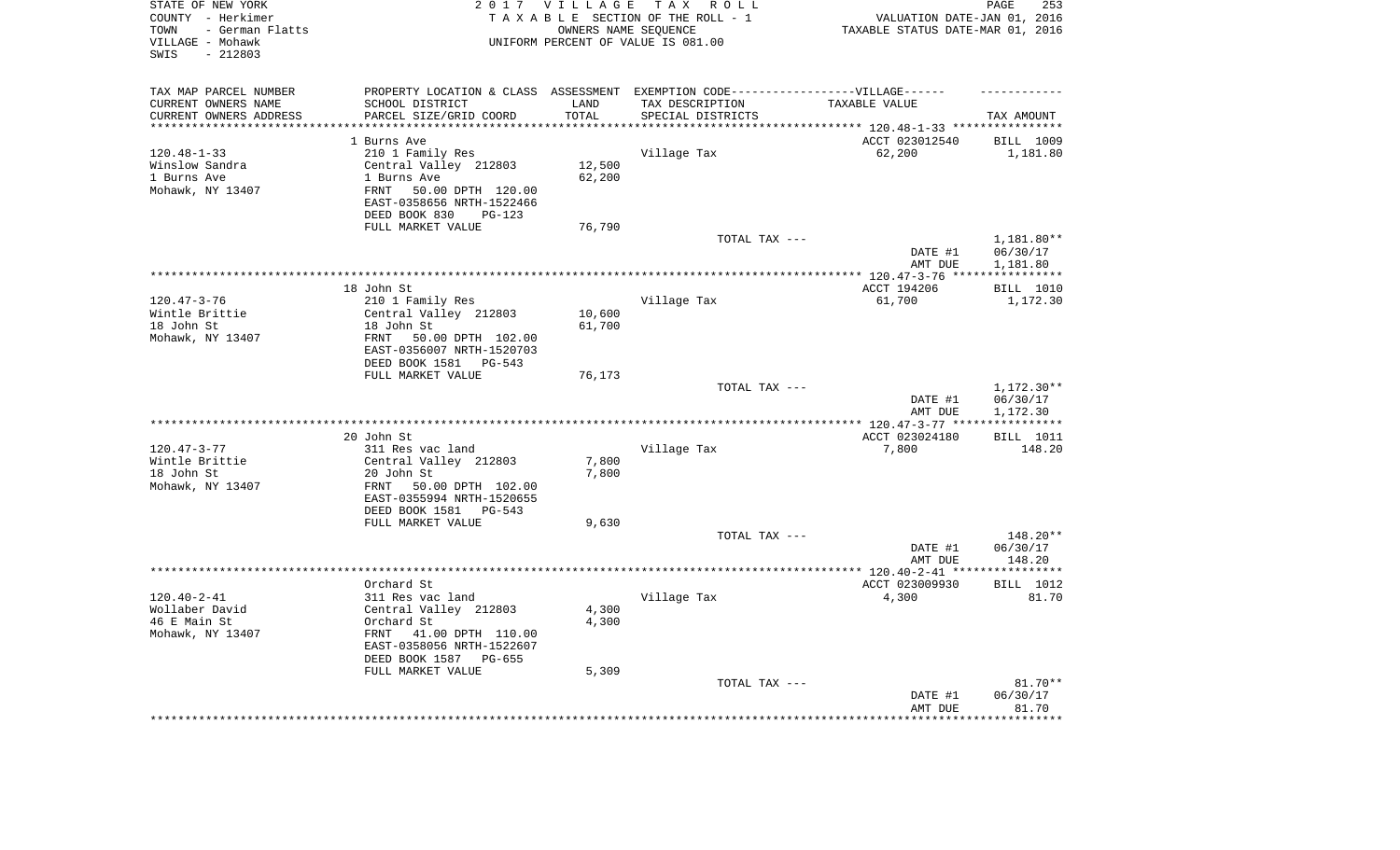| STATE OF NEW YORK<br>COUNTY - Herkimer<br>- German Flatts<br>TOWN<br>VILLAGE - Mohawk<br>$-212803$<br>SWIS |                                                                                  | 2017 VILLAGE      | TAX ROLL<br>TAXABLE SECTION OF THE ROLL - 1<br>OWNERS NAME SEQUENCE<br>UNIFORM PERCENT OF VALUE IS 081.00 | VALUATION DATE-JAN 01, 2016<br>TAXABLE STATUS DATE-MAR 01, 2016 | PAGE<br>253           |
|------------------------------------------------------------------------------------------------------------|----------------------------------------------------------------------------------|-------------------|-----------------------------------------------------------------------------------------------------------|-----------------------------------------------------------------|-----------------------|
| TAX MAP PARCEL NUMBER                                                                                      | PROPERTY LOCATION & CLASS ASSESSMENT EXEMPTION CODE----------------VILLAGE------ |                   |                                                                                                           |                                                                 |                       |
| CURRENT OWNERS NAME                                                                                        | SCHOOL DISTRICT                                                                  | LAND              | TAX DESCRIPTION                                                                                           | TAXABLE VALUE                                                   |                       |
| CURRENT OWNERS ADDRESS<br>********************                                                             | PARCEL SIZE/GRID COORD                                                           | TOTAL<br>******** | SPECIAL DISTRICTS                                                                                         |                                                                 | TAX AMOUNT            |
|                                                                                                            |                                                                                  |                   |                                                                                                           |                                                                 |                       |
|                                                                                                            | 1 Burns Ave                                                                      |                   |                                                                                                           | ACCT 023012540                                                  | BILL 1009             |
| $120.48 - 1 - 33$<br>Winslow Sandra                                                                        | 210 1 Family Res<br>Central Valley 212803                                        | 12,500            | Village Tax                                                                                               | 62,200                                                          | 1,181.80              |
| 1 Burns Ave                                                                                                | 1 Burns Ave                                                                      | 62,200            |                                                                                                           |                                                                 |                       |
| Mohawk, NY 13407                                                                                           | 50.00 DPTH 120.00<br>FRNT                                                        |                   |                                                                                                           |                                                                 |                       |
|                                                                                                            | EAST-0358656 NRTH-1522466<br>DEED BOOK 830<br>PG-123                             |                   |                                                                                                           |                                                                 |                       |
|                                                                                                            | FULL MARKET VALUE                                                                | 76,790            |                                                                                                           |                                                                 |                       |
|                                                                                                            |                                                                                  |                   | TOTAL TAX ---                                                                                             |                                                                 | 1,181.80**            |
|                                                                                                            |                                                                                  |                   |                                                                                                           | DATE #1<br>AMT DUE                                              | 06/30/17<br>1,181.80  |
|                                                                                                            |                                                                                  |                   |                                                                                                           | ******** 120.47-3-76 ***                                        | * * * * * * * * * * * |
|                                                                                                            | 18 John St                                                                       |                   |                                                                                                           | ACCT 194206                                                     | <b>BILL 1010</b>      |
| $120.47 - 3 - 76$                                                                                          | 210 1 Family Res                                                                 |                   | Village Tax                                                                                               | 61,700                                                          | 1,172.30              |
| Wintle Brittie                                                                                             | Central Valley 212803                                                            | 10,600            |                                                                                                           |                                                                 |                       |
| 18 John St                                                                                                 | 18 John St                                                                       | 61,700            |                                                                                                           |                                                                 |                       |
| Mohawk, NY 13407                                                                                           | FRNT<br>50.00 DPTH 102.00<br>EAST-0356007 NRTH-1520703                           |                   |                                                                                                           |                                                                 |                       |
|                                                                                                            | DEED BOOK 1581<br>PG-543                                                         |                   |                                                                                                           |                                                                 |                       |
|                                                                                                            | FULL MARKET VALUE                                                                | 76,173            | TOTAL TAX ---                                                                                             |                                                                 | 1,172.30**            |
|                                                                                                            |                                                                                  |                   |                                                                                                           | DATE #1<br>AMT DUE                                              | 06/30/17<br>1,172.30  |
|                                                                                                            |                                                                                  |                   |                                                                                                           | *** 120.47-3-77 **                                              | * * * * * * * * * * * |
|                                                                                                            | 20 John St                                                                       |                   |                                                                                                           | ACCT 023024180                                                  | <b>BILL</b> 1011      |
| $120.47 - 3 - 77$                                                                                          | 311 Res vac land                                                                 |                   | Village Tax                                                                                               | 7,800                                                           | 148.20                |
| Wintle Brittie                                                                                             | Central Valley 212803                                                            | 7,800             |                                                                                                           |                                                                 |                       |
| 18 John St                                                                                                 | 20 John St                                                                       | 7,800             |                                                                                                           |                                                                 |                       |
| Mohawk, NY 13407                                                                                           | FRNT<br>50.00 DPTH 102.00<br>EAST-0355994 NRTH-1520655                           |                   |                                                                                                           |                                                                 |                       |
|                                                                                                            | DEED BOOK 1581 PG-543                                                            |                   |                                                                                                           |                                                                 |                       |
|                                                                                                            | FULL MARKET VALUE                                                                | 9,630             |                                                                                                           |                                                                 |                       |
|                                                                                                            |                                                                                  |                   | TOTAL TAX ---                                                                                             |                                                                 | 148.20**              |
|                                                                                                            |                                                                                  |                   |                                                                                                           | DATE #1                                                         | 06/30/17              |
|                                                                                                            |                                                                                  |                   |                                                                                                           | AMT DUE<br>************** 120.40-2-41 ****                      | 148.20<br>**********  |
|                                                                                                            | Orchard St                                                                       |                   |                                                                                                           | ACCT 023009930                                                  | BILL 1012             |
| $120.40 - 2 - 41$                                                                                          | 311 Res vac land                                                                 |                   | Village Tax                                                                                               | 4,300                                                           | 81.70                 |
| Wollaber David                                                                                             | Central Valley 212803                                                            | 4,300             |                                                                                                           |                                                                 |                       |
| 46 E Main St                                                                                               | Orchard St                                                                       | 4,300             |                                                                                                           |                                                                 |                       |
| Mohawk, NY 13407                                                                                           | FRNT<br>41.00 DPTH 110.00                                                        |                   |                                                                                                           |                                                                 |                       |
|                                                                                                            | EAST-0358056 NRTH-1522607                                                        |                   |                                                                                                           |                                                                 |                       |
|                                                                                                            | DEED BOOK 1587<br>$PG-655$                                                       |                   |                                                                                                           |                                                                 |                       |
|                                                                                                            | FULL MARKET VALUE                                                                | 5,309             |                                                                                                           |                                                                 |                       |
|                                                                                                            |                                                                                  |                   | TOTAL TAX ---                                                                                             |                                                                 | $81.70**$             |
|                                                                                                            |                                                                                  |                   |                                                                                                           | DATE #1                                                         | 06/30/17              |
|                                                                                                            |                                                                                  |                   |                                                                                                           | AMT DUE                                                         | 81.70<br>*******      |
|                                                                                                            |                                                                                  |                   |                                                                                                           |                                                                 |                       |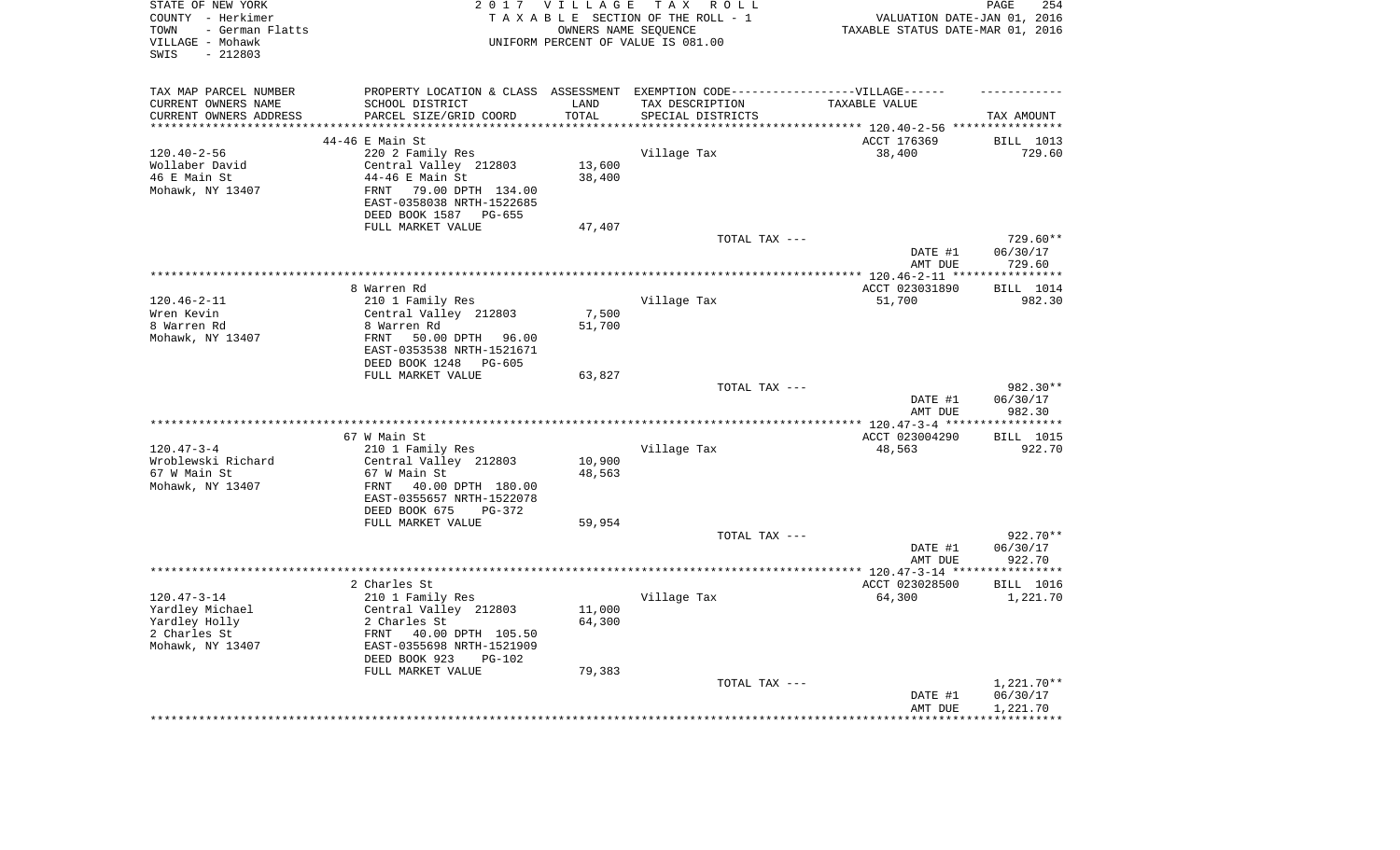| STATE OF NEW YORK<br>COUNTY - Herkimer<br>- German Flatts<br>TOWN<br>VILLAGE - Mohawk<br>$-212803$<br>SWIS | 2 0 1 7                                                  | VILLAGE<br>OWNERS NAME SEQUENCE | TAX ROLL<br>TAXABLE SECTION OF THE ROLL - 1<br>UNIFORM PERCENT OF VALUE IS 081.00 | VALUATION DATE-JAN 01, 2016<br>TAXABLE STATUS DATE-MAR 01, 2016 | PAGE<br>254           |
|------------------------------------------------------------------------------------------------------------|----------------------------------------------------------|---------------------------------|-----------------------------------------------------------------------------------|-----------------------------------------------------------------|-----------------------|
| TAX MAP PARCEL NUMBER                                                                                      |                                                          |                                 | PROPERTY LOCATION & CLASS ASSESSMENT EXEMPTION CODE-----------------VILLAGE------ |                                                                 |                       |
| CURRENT OWNERS NAME                                                                                        | SCHOOL DISTRICT                                          | LAND                            | TAX DESCRIPTION                                                                   | TAXABLE VALUE                                                   |                       |
| CURRENT OWNERS ADDRESS<br>***********************                                                          | PARCEL SIZE/GRID COORD<br>****************************** | TOTAL<br>***************        | SPECIAL DISTRICTS                                                                 |                                                                 | TAX AMOUNT            |
|                                                                                                            |                                                          |                                 |                                                                                   |                                                                 |                       |
|                                                                                                            | 44-46 E Main St                                          |                                 |                                                                                   | ACCT 176369                                                     | BILL 1013             |
| $120.40 - 2 - 56$<br>Wollaber David                                                                        | 220 2 Family Res<br>Central Valley 212803                | 13,600                          | Village Tax                                                                       | 38,400                                                          | 729.60                |
| 46 E Main St                                                                                               | 44-46 E Main St                                          | 38,400                          |                                                                                   |                                                                 |                       |
| Mohawk, NY 13407                                                                                           | 79.00 DPTH 134.00<br><b>FRNT</b>                         |                                 |                                                                                   |                                                                 |                       |
|                                                                                                            | EAST-0358038 NRTH-1522685<br>DEED BOOK 1587<br>PG-655    |                                 |                                                                                   |                                                                 |                       |
|                                                                                                            | FULL MARKET VALUE                                        | 47,407                          |                                                                                   |                                                                 |                       |
|                                                                                                            |                                                          |                                 | TOTAL TAX ---                                                                     |                                                                 | $729.60**$            |
|                                                                                                            |                                                          |                                 |                                                                                   | DATE #1<br>AMT DUE                                              | 06/30/17<br>729.60    |
|                                                                                                            |                                                          |                                 |                                                                                   |                                                                 |                       |
|                                                                                                            | 8 Warren Rd                                              |                                 |                                                                                   | ACCT 023031890                                                  | BILL 1014             |
| $120.46 - 2 - 11$                                                                                          | 210 1 Family Res                                         |                                 | Village Tax                                                                       | 51,700                                                          | 982.30                |
| Wren Kevin                                                                                                 | Central Valley 212803                                    | 7,500                           |                                                                                   |                                                                 |                       |
| 8 Warren Rd                                                                                                | 8 Warren Rd                                              | 51,700                          |                                                                                   |                                                                 |                       |
| Mohawk, NY 13407                                                                                           | FRNT<br>50.00 DPTH 96.00<br>EAST-0353538 NRTH-1521671    |                                 |                                                                                   |                                                                 |                       |
|                                                                                                            | DEED BOOK 1248 PG-605                                    |                                 |                                                                                   |                                                                 |                       |
|                                                                                                            | FULL MARKET VALUE                                        | 63,827                          |                                                                                   |                                                                 |                       |
|                                                                                                            |                                                          |                                 | TOTAL TAX ---                                                                     |                                                                 | 982.30**              |
|                                                                                                            |                                                          |                                 |                                                                                   | DATE #1<br>AMT DUE                                              | 06/30/17<br>982.30    |
|                                                                                                            |                                                          |                                 |                                                                                   |                                                                 | ***********           |
|                                                                                                            | 67 W Main St                                             |                                 |                                                                                   | ACCT 023004290                                                  | BILL 1015             |
| $120.47 - 3 - 4$                                                                                           | 210 1 Family Res                                         |                                 | Village Tax                                                                       | 48,563                                                          | 922.70                |
| Wroblewski Richard<br>67 W Main St                                                                         | Central Valley 212803<br>67 W Main St                    | 10,900<br>48,563                |                                                                                   |                                                                 |                       |
| Mohawk, NY 13407                                                                                           | 40.00 DPTH 180.00<br>FRNT                                |                                 |                                                                                   |                                                                 |                       |
|                                                                                                            | EAST-0355657 NRTH-1522078                                |                                 |                                                                                   |                                                                 |                       |
|                                                                                                            | DEED BOOK 675<br>$PG-372$                                |                                 |                                                                                   |                                                                 |                       |
|                                                                                                            | FULL MARKET VALUE                                        | 59,954                          |                                                                                   |                                                                 |                       |
|                                                                                                            |                                                          |                                 | TOTAL TAX ---                                                                     |                                                                 | 922.70**              |
|                                                                                                            |                                                          |                                 |                                                                                   | DATE #1                                                         | 06/30/17              |
|                                                                                                            |                                                          |                                 |                                                                                   | AMT DUE                                                         | 922.70                |
|                                                                                                            |                                                          |                                 |                                                                                   |                                                                 |                       |
| $120.47 - 3 - 14$                                                                                          | 2 Charles St<br>210 1 Family Res                         |                                 | Village Tax                                                                       | ACCT 023028500<br>64,300                                        | BILL 1016<br>1,221.70 |
| Yardley Michael                                                                                            | Central Valley 212803                                    | 11,000                          |                                                                                   |                                                                 |                       |
| Yardley Holly                                                                                              | 2 Charles St                                             | 64,300                          |                                                                                   |                                                                 |                       |
| 2 Charles St                                                                                               | FRNT<br>40.00 DPTH 105.50                                |                                 |                                                                                   |                                                                 |                       |
| Mohawk, NY 13407                                                                                           | EAST-0355698 NRTH-1521909                                |                                 |                                                                                   |                                                                 |                       |
|                                                                                                            | DEED BOOK 923<br>PG-102                                  |                                 |                                                                                   |                                                                 |                       |
|                                                                                                            | FULL MARKET VALUE                                        | 79,383                          |                                                                                   |                                                                 |                       |
|                                                                                                            |                                                          |                                 | TOTAL TAX ---                                                                     |                                                                 | $1,221.70**$          |
|                                                                                                            |                                                          |                                 |                                                                                   | DATE #1<br>AMT DUE                                              | 06/30/17<br>1,221.70  |
|                                                                                                            |                                                          |                                 |                                                                                   |                                                                 | ************          |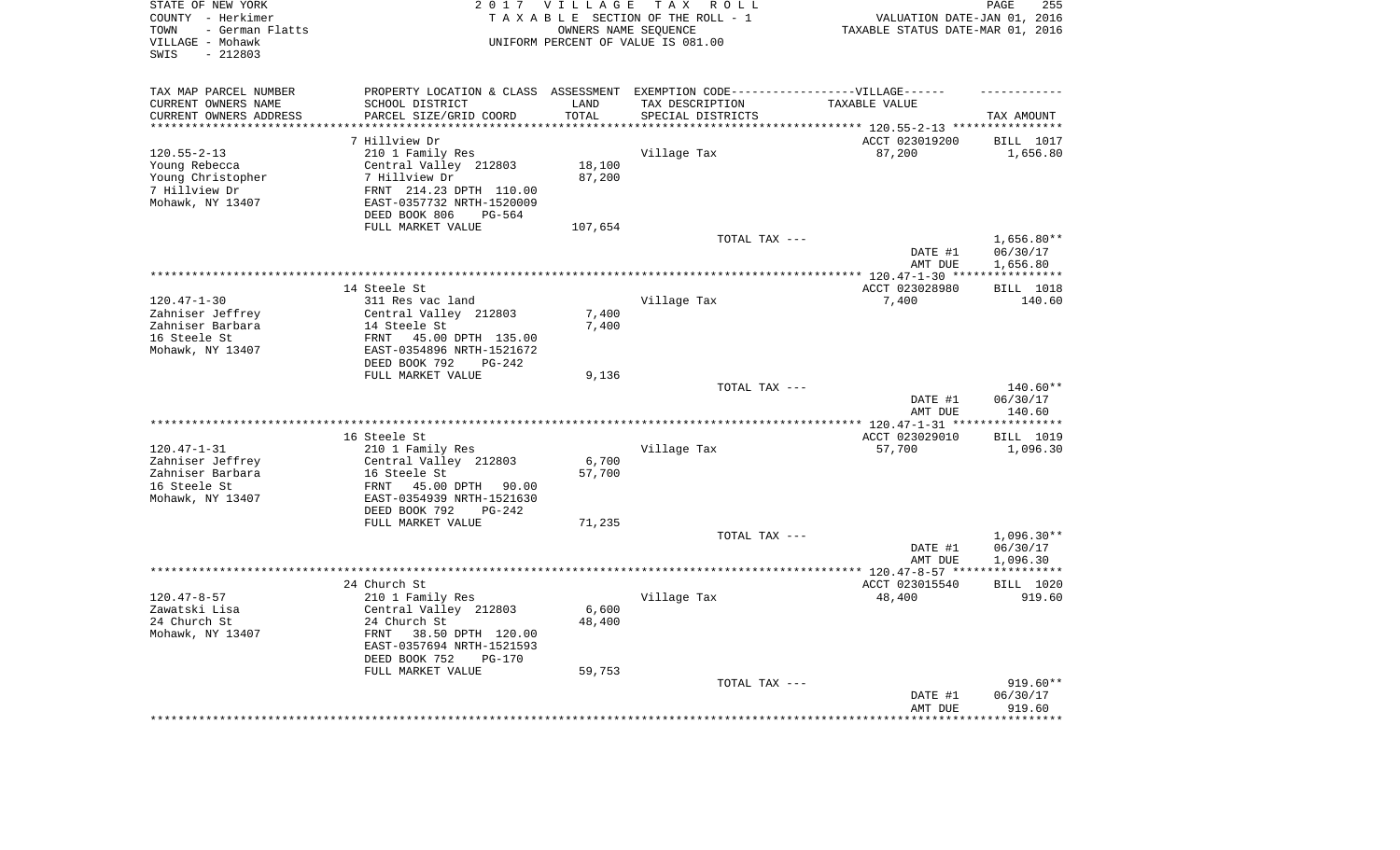| STATE OF NEW YORK<br>COUNTY - Herkimer<br>- German Flatts<br>TOWN<br>VILLAGE - Mohawk<br>SWIS<br>$-212803$ |                                                                                   | 2017 VILLAGE       | TAX ROLL<br>TAXABLE SECTION OF THE ROLL - 1<br>OWNERS NAME SEQUENCE<br>UNIFORM PERCENT OF VALUE IS 081.00 | VALUATION DATE-JAN 01, 2016<br>TAXABLE STATUS DATE-MAR 01, 2016 | PAGE<br>255          |
|------------------------------------------------------------------------------------------------------------|-----------------------------------------------------------------------------------|--------------------|-----------------------------------------------------------------------------------------------------------|-----------------------------------------------------------------|----------------------|
| TAX MAP PARCEL NUMBER                                                                                      | PROPERTY LOCATION & CLASS ASSESSMENT EXEMPTION CODE-----------------VILLAGE------ |                    |                                                                                                           |                                                                 |                      |
| CURRENT OWNERS NAME                                                                                        | SCHOOL DISTRICT                                                                   | LAND               | TAX DESCRIPTION                                                                                           | TAXABLE VALUE                                                   |                      |
| CURRENT OWNERS ADDRESS                                                                                     | PARCEL SIZE/GRID COORD<br>**********************                                  | TOTAL<br>********* | SPECIAL DISTRICTS                                                                                         |                                                                 | TAX AMOUNT           |
| ********************                                                                                       |                                                                                   |                    |                                                                                                           |                                                                 |                      |
|                                                                                                            | 7 Hillview Dr                                                                     |                    |                                                                                                           | ACCT 023019200                                                  | BILL 1017            |
| $120.55 - 2 - 13$                                                                                          | 210 1 Family Res                                                                  | 18,100             | Village Tax                                                                                               | 87,200                                                          | 1,656.80             |
| Young Rebecca<br>Young Christopher                                                                         | Central Valley 212803<br>7 Hillview Dr                                            | 87,200             |                                                                                                           |                                                                 |                      |
| 7 Hillview Dr                                                                                              | FRNT 214.23 DPTH 110.00                                                           |                    |                                                                                                           |                                                                 |                      |
| Mohawk, NY 13407                                                                                           | EAST-0357732 NRTH-1520009                                                         |                    |                                                                                                           |                                                                 |                      |
|                                                                                                            | DEED BOOK 806<br>PG-564                                                           |                    |                                                                                                           |                                                                 |                      |
|                                                                                                            | FULL MARKET VALUE                                                                 | 107,654            |                                                                                                           |                                                                 |                      |
|                                                                                                            |                                                                                   |                    | TOTAL TAX ---                                                                                             |                                                                 | $1,656.80**$         |
|                                                                                                            |                                                                                   |                    |                                                                                                           | DATE #1                                                         | 06/30/17             |
|                                                                                                            |                                                                                   |                    |                                                                                                           | AMT DUE                                                         | 1,656.80             |
|                                                                                                            |                                                                                   |                    |                                                                                                           | *** $120.47 - 1 - 30$ ****                                      | ***********          |
|                                                                                                            | 14 Steele St                                                                      |                    |                                                                                                           | ACCT 023028980                                                  | BILL 1018            |
| $120.47 - 1 - 30$<br>Zahniser Jeffrey                                                                      | 311 Res vac land<br>Central Valley 212803                                         | 7,400              | Village Tax                                                                                               | 7,400                                                           | 140.60               |
| Zahniser Barbara                                                                                           | 14 Steele St                                                                      | 7,400              |                                                                                                           |                                                                 |                      |
| 16 Steele St                                                                                               | FRNT<br>45.00 DPTH 135.00                                                         |                    |                                                                                                           |                                                                 |                      |
| Mohawk, NY 13407                                                                                           | EAST-0354896 NRTH-1521672                                                         |                    |                                                                                                           |                                                                 |                      |
|                                                                                                            | DEED BOOK 792<br>$PG-242$                                                         |                    |                                                                                                           |                                                                 |                      |
|                                                                                                            | FULL MARKET VALUE                                                                 | 9,136              |                                                                                                           |                                                                 |                      |
|                                                                                                            |                                                                                   |                    | TOTAL TAX ---                                                                                             | DATE #1                                                         | 140.60**<br>06/30/17 |
|                                                                                                            |                                                                                   |                    | *********************                                                                                     | AMT DUE<br>*** 120.47-1-31 **                                   | 140.60<br>********** |
|                                                                                                            | 16 Steele St                                                                      |                    |                                                                                                           | ACCT 023029010                                                  | <b>BILL</b> 1019     |
| $120.47 - 1 - 31$                                                                                          | 210 1 Family Res                                                                  |                    | Village Tax                                                                                               | 57,700                                                          | 1,096.30             |
| Zahniser Jeffrey                                                                                           | Central Valley 212803                                                             | 6,700              |                                                                                                           |                                                                 |                      |
| Zahniser Barbara                                                                                           | 16 Steele St                                                                      | 57,700             |                                                                                                           |                                                                 |                      |
| 16 Steele St                                                                                               | FRNT<br>45.00 DPTH<br>90.00                                                       |                    |                                                                                                           |                                                                 |                      |
| Mohawk, NY 13407                                                                                           | EAST-0354939 NRTH-1521630                                                         |                    |                                                                                                           |                                                                 |                      |
|                                                                                                            | DEED BOOK 792<br>$PG-242$                                                         |                    |                                                                                                           |                                                                 |                      |
|                                                                                                            | FULL MARKET VALUE                                                                 | 71,235             |                                                                                                           |                                                                 |                      |
|                                                                                                            |                                                                                   |                    | TOTAL TAX ---                                                                                             |                                                                 | $1,096.30**$         |
|                                                                                                            |                                                                                   |                    |                                                                                                           | DATE #1<br>AMT DUE                                              | 06/30/17<br>1,096.30 |
| ********************                                                                                       |                                                                                   |                    |                                                                                                           | ************ 120.47-8-57 ****                                   | ***********          |
|                                                                                                            | 24 Church St                                                                      |                    |                                                                                                           | ACCT 023015540                                                  | BILL 1020            |
| $120.47 - 8 - 57$                                                                                          | 210 1 Family Res                                                                  |                    | Village Tax                                                                                               | 48,400                                                          | 919.60               |
| Zawatski Lisa                                                                                              | Central Valley 212803                                                             | 6,600              |                                                                                                           |                                                                 |                      |
| 24 Church St                                                                                               | 24 Church St                                                                      | 48,400             |                                                                                                           |                                                                 |                      |
| Mohawk, NY 13407                                                                                           | 38.50 DPTH 120.00<br>FRNT                                                         |                    |                                                                                                           |                                                                 |                      |
|                                                                                                            | EAST-0357694 NRTH-1521593                                                         |                    |                                                                                                           |                                                                 |                      |
|                                                                                                            | DEED BOOK 752<br>$PG-170$                                                         |                    |                                                                                                           |                                                                 |                      |
|                                                                                                            | FULL MARKET VALUE                                                                 | 59,753             | TOTAL TAX ---                                                                                             |                                                                 | $919.60**$           |
|                                                                                                            |                                                                                   |                    |                                                                                                           | DATE #1                                                         | 06/30/17             |
|                                                                                                            |                                                                                   |                    |                                                                                                           | AMT DUE                                                         | 919.60               |
|                                                                                                            |                                                                                   |                    |                                                                                                           |                                                                 | ********             |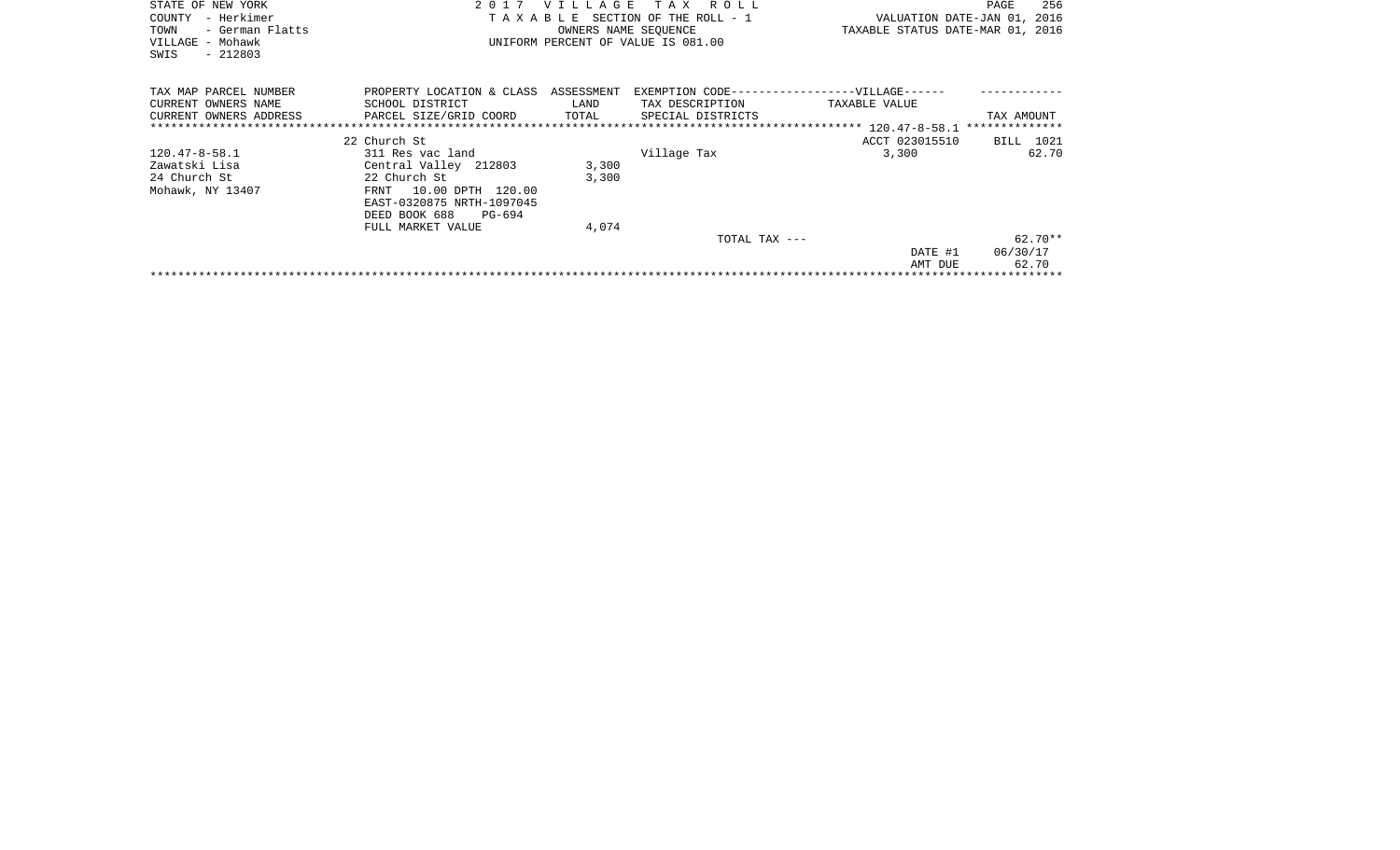| STATE OF NEW YORK<br>- Herkimer<br>COUNTY<br>TOWN<br>- German Flatts<br>VILLAGE - Mohawk<br>$-212803$<br>SWIS | T A X<br>2 0 1 7<br><b>VILLAGE</b><br>R O L L<br>TAXABLE SECTION OF THE ROLL - 1<br>OWNERS NAME SEQUENCE<br>UNIFORM PERCENT OF VALUE IS 081.00                      |                         |                                      | VALUATION DATE-JAN 01, 2016<br>TAXABLE STATUS DATE-MAR 01, 2016 | 256<br>PAGE                    |
|---------------------------------------------------------------------------------------------------------------|---------------------------------------------------------------------------------------------------------------------------------------------------------------------|-------------------------|--------------------------------------|-----------------------------------------------------------------|--------------------------------|
| TAX MAP PARCEL NUMBER<br>CURRENT OWNERS NAME<br>CURRENT OWNERS ADDRESS                                        | PROPERTY LOCATION & CLASS ASSESSMENT<br>SCHOOL DISTRICT<br>PARCEL SIZE/GRID COORD                                                                                   | LAND<br>TOTAL           | TAX DESCRIPTION<br>SPECIAL DISTRICTS | EXEMPTION CODE------------------VILLAGE------<br>TAXABLE VALUE  | TAX AMOUNT                     |
|                                                                                                               | 22 Church St                                                                                                                                                        |                         |                                      | ACCT 023015510                                                  | BILL 1021                      |
| 120.47-8-58.1<br>Zawatski Lisa<br>24 Church St<br>Mohawk, NY 13407                                            | 311 Res vac land<br>Central Valley 212803<br>22 Church St<br>10.00 DPTH 120.00<br>FRNT<br>EAST-0320875 NRTH-1097045<br>DEED BOOK 688<br>PG-694<br>FULL MARKET VALUE | 3,300<br>3,300<br>4,074 | Village Tax                          | 3,300                                                           | 62.70                          |
|                                                                                                               |                                                                                                                                                                     |                         | TOTAL TAX ---                        | DATE #1<br>AMT DUE                                              | $62.70**$<br>06/30/17<br>62.70 |
|                                                                                                               |                                                                                                                                                                     |                         |                                      |                                                                 |                                |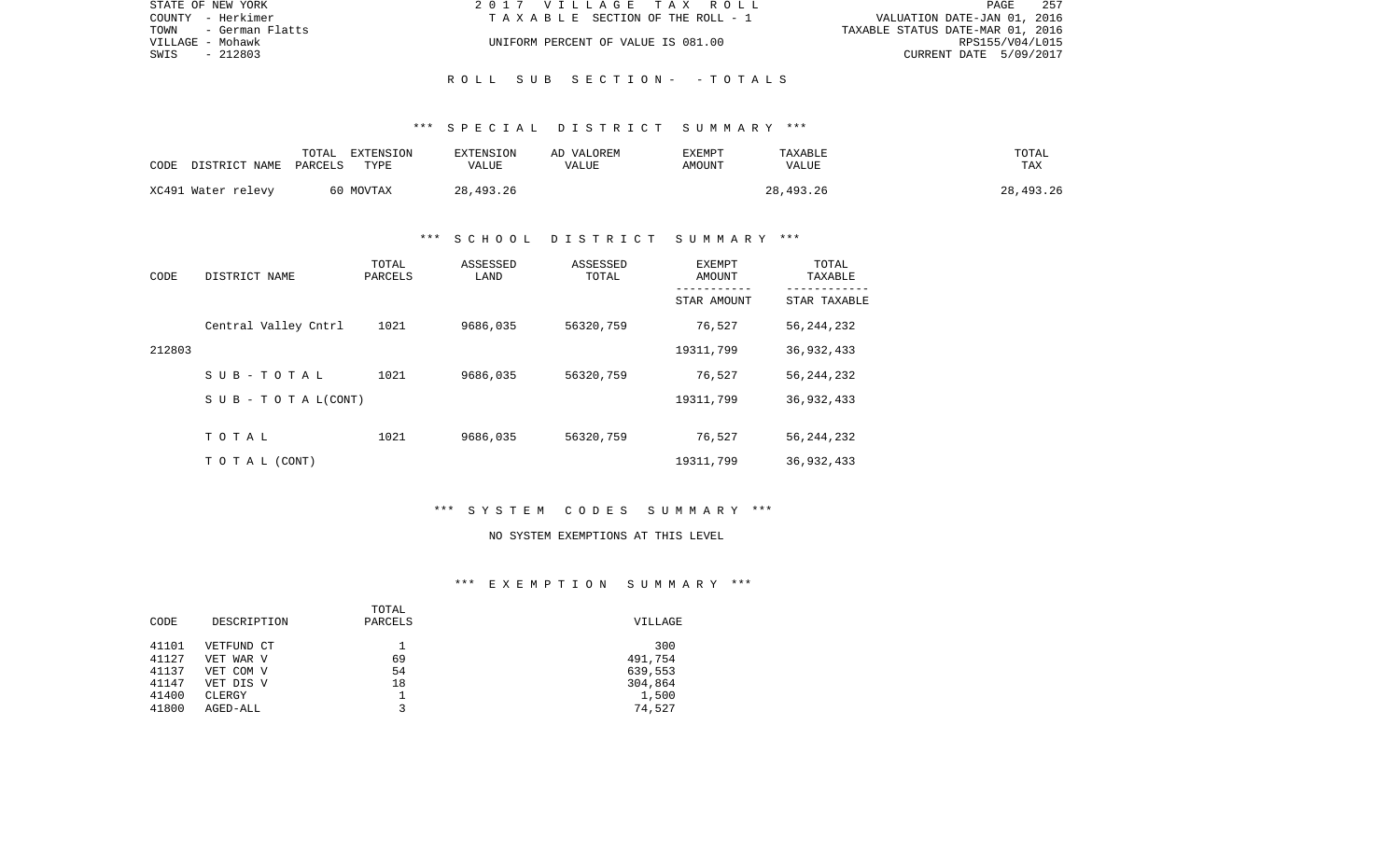| STATE OF NEW YORK    | 2017 VILLAGE TAX ROLL              | 257<br>PAGE                      |
|----------------------|------------------------------------|----------------------------------|
| COUNTY - Herkimer    | TAXABLE SECTION OF THE ROLL - 1    | VALUATION DATE-JAN 01, 2016      |
| TOWN - German Flatts |                                    | TAXABLE STATUS DATE-MAR 01, 2016 |
| VILLAGE - Mohawk     | UNIFORM PERCENT OF VALUE IS 081.00 | RPS155/V04/L015                  |
| SWIS<br>- 212803     |                                    | CURRENT DATE 5/09/2017           |
|                      |                                    |                                  |

R O L L S U B S E C T I O N - - T O T A L S

| CODE | DISTRICT NAME      | TOTAL<br>PARCELS | EXTENSION<br>TYPE | EXTENSION<br>VALUE | AD VALOREM<br>VALUE | <b>EXEMPT</b><br>AMOUNT | TAXABLE<br>VALUE | TOTAL<br><b>TAX</b> |
|------|--------------------|------------------|-------------------|--------------------|---------------------|-------------------------|------------------|---------------------|
|      | XC491 Water relevy |                  | 60 MOVTAX         | 28,493.26          |                     |                         | 28,493.26        | 28,493.26           |

## \*\*\* S C H O O L D I S T R I C T S U M M A R Y \*\*\*

| CODE   | DISTRICT NAME                | TOTAL<br>PARCELS | ASSESSED<br>LAND | ASSESSED<br>TOTAL | EXEMPT<br>AMOUNT<br>----------- | TOTAL<br>TAXABLE<br>---------- |
|--------|------------------------------|------------------|------------------|-------------------|---------------------------------|--------------------------------|
|        |                              |                  |                  |                   | STAR AMOUNT                     | STAR TAXABLE                   |
|        | Central Valley Cntrl         | 1021             | 9686,035         | 56320,759         | 76,527                          | 56, 244, 232                   |
| 212803 |                              |                  |                  |                   | 19311,799                       | 36,932,433                     |
|        | SUB-TOTAL                    | 1021             | 9686,035         | 56320,759         | 76,527                          | 56, 244, 232                   |
|        | $S \cup B - T O T A L(CONT)$ |                  |                  |                   | 19311,799                       | 36,932,433                     |
|        |                              |                  |                  |                   |                                 |                                |
|        | TOTAL                        | 1021             | 9686,035         | 56320,759         | 76,527                          | 56, 244, 232                   |
|        | TO TAL (CONT)                |                  |                  |                   | 19311,799                       | 36,932,433                     |

## \*\*\* S Y S T E M C O D E S S U M M A R Y \*\*\*

#### NO SYSTEM EXEMPTIONS AT THIS LEVEL

|       |             | TOTAL   |         |
|-------|-------------|---------|---------|
| CODE  | DESCRIPTION | PARCELS | VILLAGE |
| 41101 | VETFUND CT  |         | 300     |
| 41127 | VET WAR V   | 69      | 491,754 |
| 41137 | VET COM V   | 54      | 639,553 |
| 41147 | VET DIS V   | 18      | 304,864 |
| 41400 | CLERGY      |         | 1,500   |
| 41800 | AGED-ALL    | ิว      | 74,527  |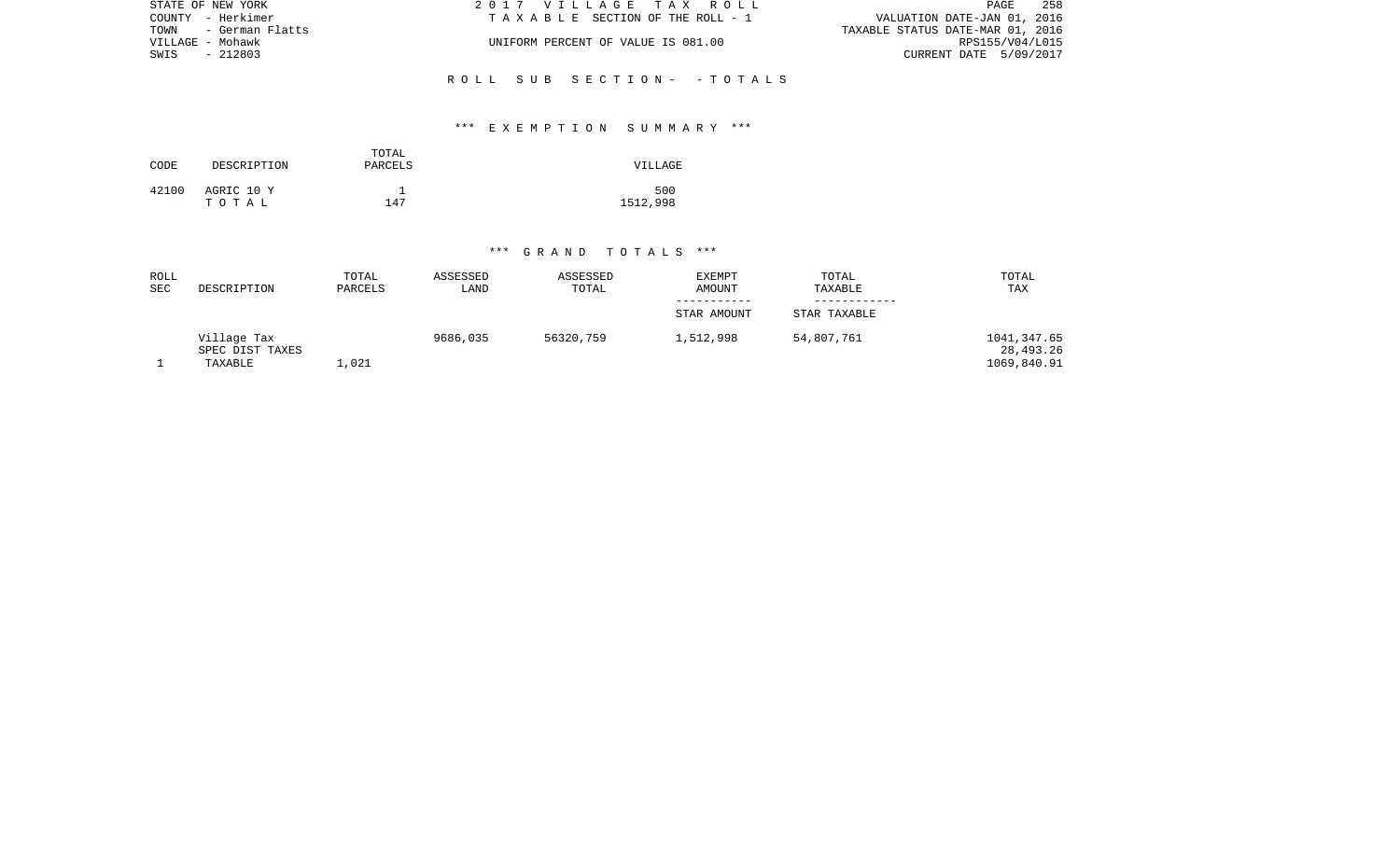| STATE OF NEW YORK    | 2017 VILLAGE TAX ROLL              | 258<br>PAGE                      |
|----------------------|------------------------------------|----------------------------------|
| COUNTY - Herkimer    | TAXABLE SECTION OF THE ROLL - 1    | VALUATION DATE-JAN 01, 2016      |
| TOWN - German Flatts |                                    | TAXABLE STATUS DATE-MAR 01, 2016 |
| VILLAGE - Mohawk     | UNIFORM PERCENT OF VALUE IS 081.00 | RPS155/V04/L015                  |
| SWIS<br>- 212803     |                                    | CURRENT DATE 5/09/2017           |
|                      |                                    |                                  |
|                      | ROLL SUB SECTION- -TOTALS          |                                  |

## \*\*\* E X E M P T I O N S U M M A R Y \*\*\*

| CODE  | DESCRIPTION         | TOTAL<br>PARCELS | VILLAGE         |
|-------|---------------------|------------------|-----------------|
| 42100 | AGRIC 10 Y<br>тотаь | 147              | 500<br>1512,998 |

| ROLL<br><b>SEC</b> | DESCRIPTION                               | TOTAL<br>PARCELS | ASSESSED<br>LAND | ASSESSED<br>TOTAL | <b>EXEMPT</b><br><b>AMOUNT</b> | TOTAL<br>TAXABLE | TOTAL<br>TAX                            |
|--------------------|-------------------------------------------|------------------|------------------|-------------------|--------------------------------|------------------|-----------------------------------------|
|                    |                                           |                  |                  |                   |                                |                  |                                         |
|                    |                                           |                  |                  |                   | STAR AMOUNT                    | STAR TAXABLE     |                                         |
|                    | Village Tax<br>SPEC DIST TAXES<br>TAXABLE | 1,021            | 9686,035         | 56320,759         | 1,512,998                      | 54,807,761       | 1041,347.65<br>28,493.26<br>1069,840.91 |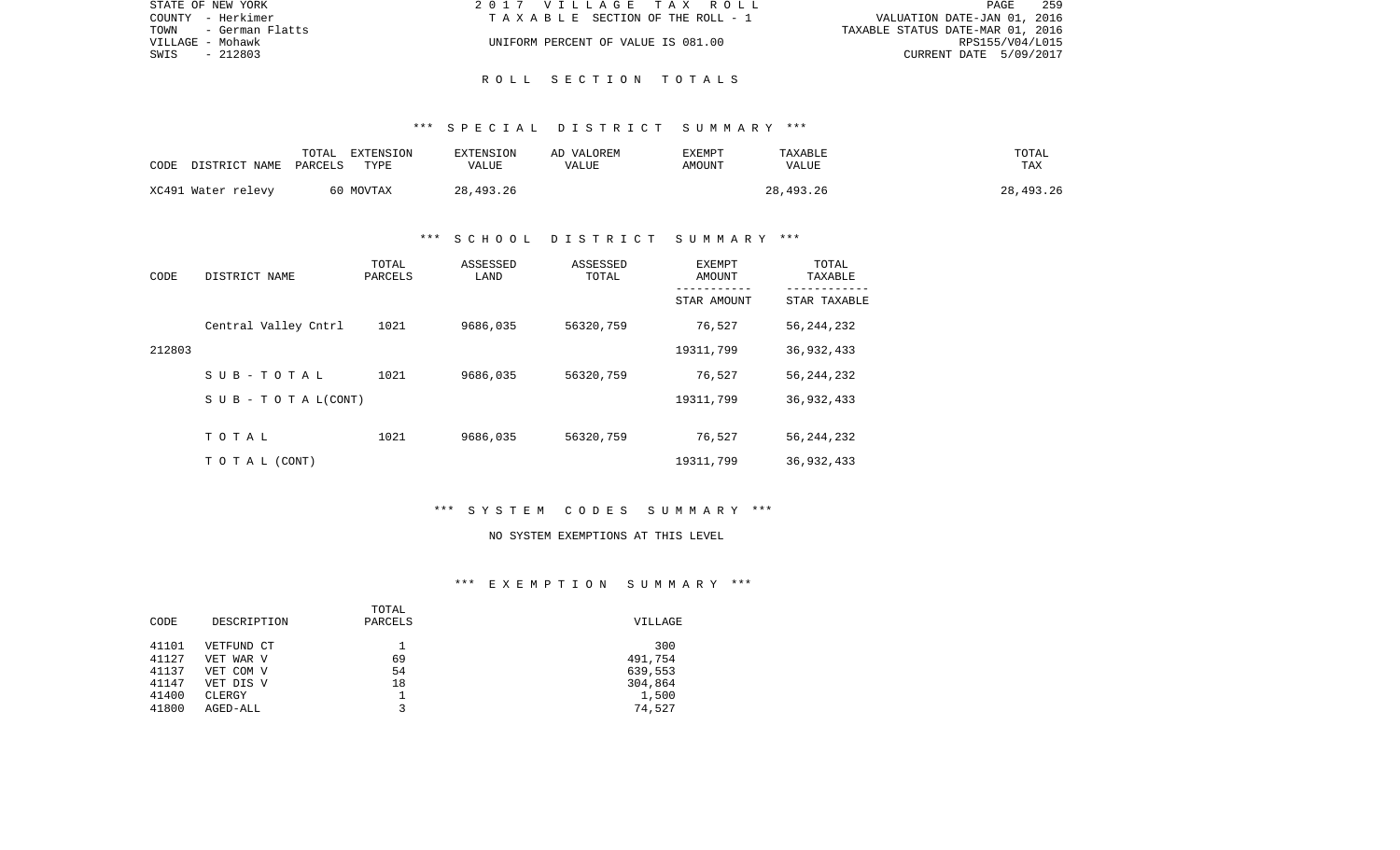| STATE OF NEW YORK       | 2017 VILLAGE TAX ROLL              |                                  | PAGE            | 259 |
|-------------------------|------------------------------------|----------------------------------|-----------------|-----|
| COUNTY - Herkimer       | TAXABLE SECTION OF THE ROLL - 1    | VALUATION DATE-JAN 01, 2016      |                 |     |
| TOWN<br>- German Flatts |                                    | TAXABLE STATUS DATE-MAR 01, 2016 |                 |     |
| VILLAGE - Mohawk        | UNIFORM PERCENT OF VALUE IS 081.00 |                                  | RPS155/V04/L015 |     |
| SWIS<br>- 212803        |                                    | CURRENT DATE 5/09/2017           |                 |     |
|                         |                                    |                                  |                 |     |

R O L L S E C T I O N T O T A L S

| CODE | DISTRICT NAME      | TOTAL<br>PARCELS | EXTENSION<br>TYPE | EXTENSION<br>VALUE | AD VALOREM<br>VALUE | <b>EXEMPT</b><br>AMOUNT | TAXABLE<br>VALUE | TOTAL<br><b>TAX</b> |
|------|--------------------|------------------|-------------------|--------------------|---------------------|-------------------------|------------------|---------------------|
|      | XC491 Water relevy |                  | 60 MOVTAX         | 28,493.26          |                     |                         | 28,493.26        | 28,493.26           |

## \*\*\* S C H O O L D I S T R I C T S U M M A R Y \*\*\*

| CODE   | DISTRICT NAME                    | TOTAL<br>PARCELS | ASSESSED<br>LAND | ASSESSED<br>TOTAL | <b>EXEMPT</b><br>AMOUNT | TOTAL<br>TAXABLE |
|--------|----------------------------------|------------------|------------------|-------------------|-------------------------|------------------|
|        |                                  |                  |                  |                   | STAR AMOUNT             | STAR TAXABLE     |
|        | Central Valley Cntrl             | 1021             | 9686,035         | 56320,759         | 76,527                  | 56, 244, 232     |
| 212803 |                                  |                  |                  |                   | 19311,799               | 36,932,433       |
|        | SUB-TOTAL                        | 1021             | 9686,035         | 56320,759         | 76,527                  | 56, 244, 232     |
|        | $S \cup B - T \cup T A L (CONT)$ |                  |                  |                   | 19311,799               | 36,932,433       |
|        |                                  |                  |                  |                   |                         |                  |
|        | TOTAL                            | 1021             | 9686,035         | 56320,759         | 76,527                  | 56, 244, 232     |
|        | TO TAL (CONT)                    |                  |                  |                   | 19311,799               | 36,932,433       |

## \*\*\* S Y S T E M C O D E S S U M M A R Y \*\*\*

#### NO SYSTEM EXEMPTIONS AT THIS LEVEL

|       |             | TOTAL   |         |
|-------|-------------|---------|---------|
| CODE  | DESCRIPTION | PARCELS | VILLAGE |
| 41101 | VETFUND CT  |         | 300     |
| 41127 | VET WAR V   | 69      | 491,754 |
| 41137 | VET COM V   | 54      | 639,553 |
| 41147 | VET DIS V   | 18      | 304,864 |
| 41400 | CLERGY      |         | 1,500   |
| 41800 | AGED-ALL    | ว       | 74,527  |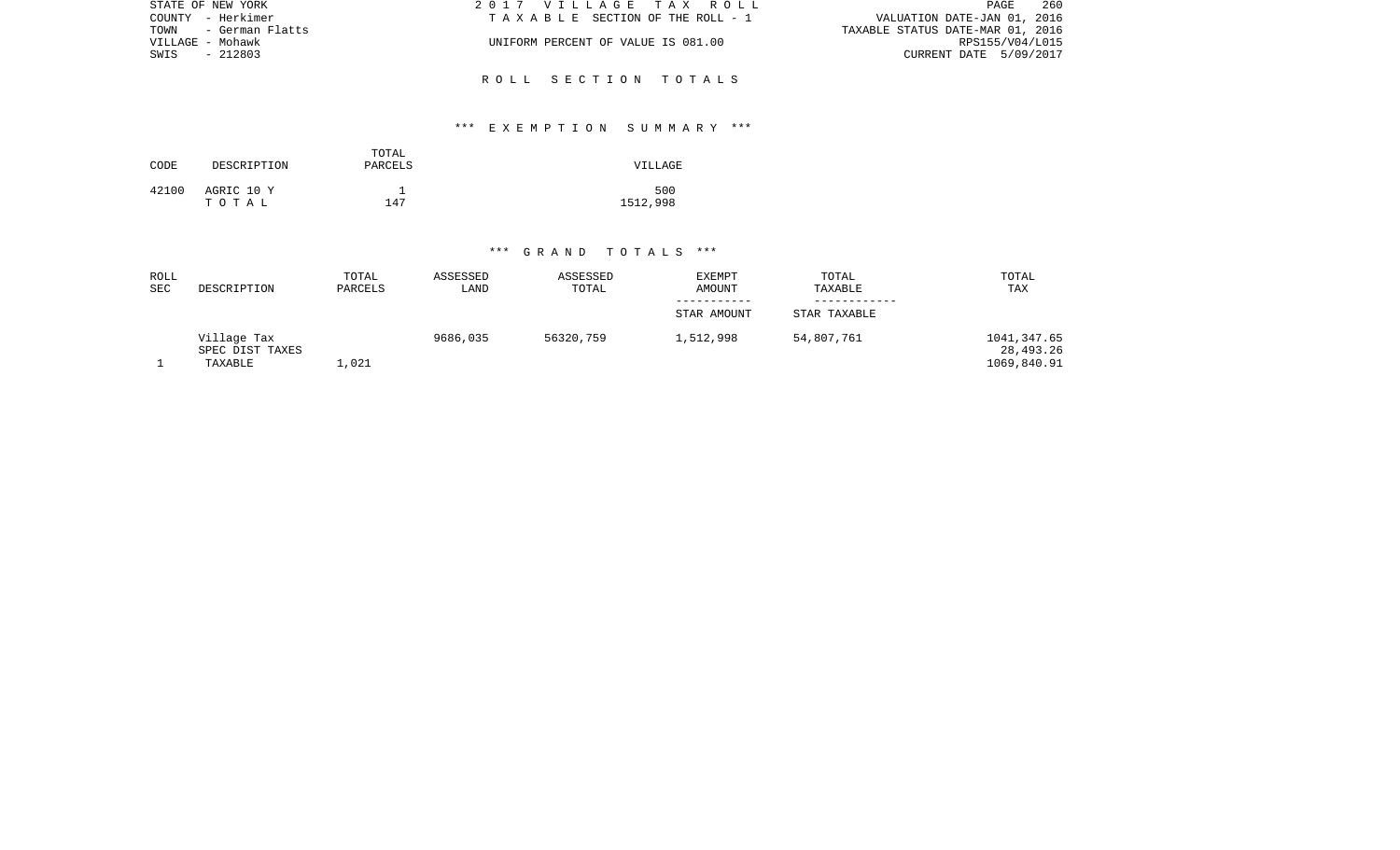| STATE OF NEW YORK    | 2017 VILLAGE TAX ROLL              | 260<br>PAGE                      |
|----------------------|------------------------------------|----------------------------------|
| COUNTY - Herkimer    | TAXABLE SECTION OF THE ROLL - 1    | VALUATION DATE-JAN 01, 2016      |
| TOWN - German Flatts |                                    | TAXABLE STATUS DATE-MAR 01, 2016 |
| VILLAGE - Mohawk     | UNIFORM PERCENT OF VALUE IS 081.00 | RPS155/V04/L015                  |
| SWIS<br>$-212803$    |                                    | CURRENT DATE 5/09/2017           |
|                      | ROLL SECTION TOTALS                |                                  |
|                      |                                    |                                  |

## \*\*\* E X E M P T I O N S U M M A R Y \*\*\*

| CODE  | DESCRIPTION         | TOTAL<br>PARCELS | VILLAGE         |
|-------|---------------------|------------------|-----------------|
| 42100 | AGRIC 10 Y<br>тотаь | 147              | 500<br>1512,998 |

| ROLL<br><b>SEC</b> | DESCRIPTION     | TOTAL<br>PARCELS | ASSESSED<br>LAND | ASSESSED<br>TOTAL | <b>EXEMPT</b><br><b>AMOUNT</b> | TOTAL<br>TAXABLE | TOTAL<br>TAX |
|--------------------|-----------------|------------------|------------------|-------------------|--------------------------------|------------------|--------------|
|                    |                 |                  |                  |                   |                                |                  |              |
|                    |                 |                  |                  |                   | STAR AMOUNT                    | STAR TAXABLE     |              |
|                    |                 |                  |                  |                   |                                |                  |              |
|                    | Village Tax     |                  | 9686,035         | 56320,759         | 1,512,998                      | 54,807,761       | 1041,347.65  |
|                    | SPEC DIST TAXES |                  |                  |                   |                                |                  | 28,493.26    |
|                    | TAXABLE         | ,021             |                  |                   |                                |                  | 1069,840.91  |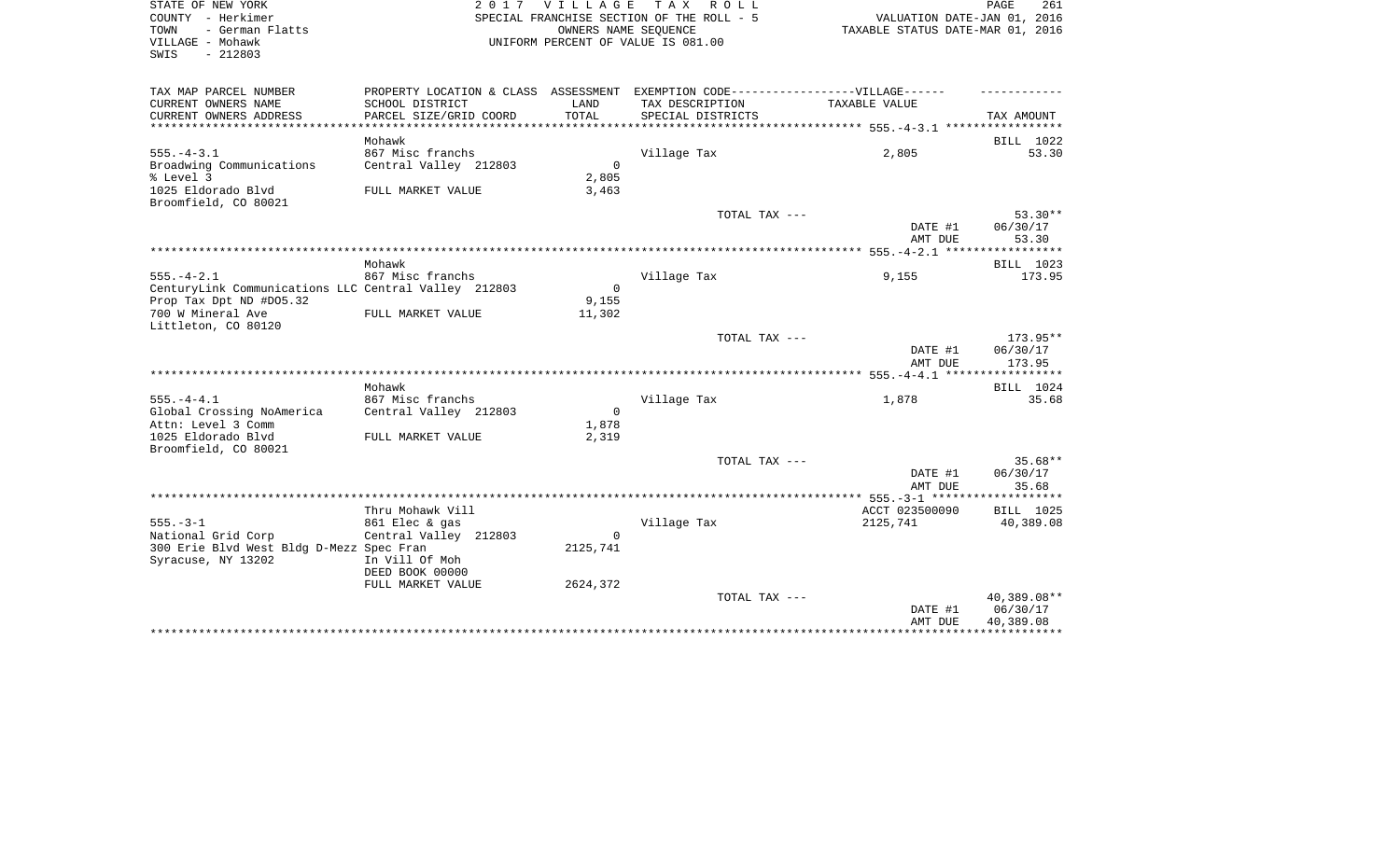| STATE OF NEW YORK       | 2017 VILLAGE TAX ROLL                     | 261<br>PAGE                      |
|-------------------------|-------------------------------------------|----------------------------------|
| COUNTY - Herkimer       | SPECIAL FRANCHISE SECTION OF THE ROLL - 5 | VALUATION DATE-JAN 01, 2016      |
| - German Flatts<br>TOWN | OWNERS NAME SEOUENCE                      | TAXABLE STATUS DATE-MAR 01, 2016 |
| VILLAGE – Mohawk        | UNIFORM PERCENT OF VALUE IS 081.00        |                                  |
| - 212803<br>SWIS        |                                           |                                  |

| TAX MAP PARCEL NUMBER                                | PROPERTY LOCATION & CLASS ASSESSMENT |          | EXEMPTION CODE------------------VILLAGE------ |                                                           |                    |
|------------------------------------------------------|--------------------------------------|----------|-----------------------------------------------|-----------------------------------------------------------|--------------------|
| CURRENT OWNERS NAME                                  | SCHOOL DISTRICT                      | LAND     | TAX DESCRIPTION                               | TAXABLE VALUE                                             |                    |
| CURRENT OWNERS ADDRESS                               | PARCEL SIZE/GRID COORD               | TOTAL    | SPECIAL DISTRICTS                             | ********************************* 555.-4-3.1 ************ | TAX AMOUNT         |
|                                                      |                                      |          |                                               |                                                           |                    |
| $555. - 4 - 3.1$                                     | Mohawk<br>867 Misc franchs           |          | Village Tax                                   | 2,805                                                     | BILL 1022<br>53.30 |
| Broadwing Communications                             | Central Valley 212803                | $\Omega$ |                                               |                                                           |                    |
| % Level 3                                            |                                      | 2,805    |                                               |                                                           |                    |
| 1025 Eldorado Blvd                                   | FULL MARKET VALUE                    | 3,463    |                                               |                                                           |                    |
| Broomfield, CO 80021                                 |                                      |          |                                               |                                                           |                    |
|                                                      |                                      |          | TOTAL TAX ---                                 |                                                           | $53.30**$          |
|                                                      |                                      |          |                                               | DATE #1                                                   | 06/30/17           |
|                                                      |                                      |          |                                               | AMT DUE                                                   | 53.30              |
|                                                      |                                      |          |                                               |                                                           |                    |
|                                                      | Mohawk                               |          |                                               |                                                           | BILL 1023          |
| $555. - 4 - 2.1$                                     | 867 Misc franchs                     |          | Village Tax                                   | 9,155                                                     | 173.95             |
| CenturyLink Communications LLC Central Valley 212803 |                                      | $\Omega$ |                                               |                                                           |                    |
| Prop Tax Dpt ND #D05.32                              |                                      | 9,155    |                                               |                                                           |                    |
| 700 W Mineral Ave                                    | FULL MARKET VALUE                    | 11,302   |                                               |                                                           |                    |
| Littleton, CO 80120                                  |                                      |          |                                               |                                                           |                    |
|                                                      |                                      |          | TOTAL TAX ---                                 |                                                           | 173.95**           |
|                                                      |                                      |          |                                               | DATE #1                                                   | 06/30/17           |
|                                                      |                                      |          |                                               | AMT DUE                                                   | 173.95             |
|                                                      | Mohawk                               |          |                                               |                                                           | BILL 1024          |
| $555. - 4 - 4.1$                                     | 867 Misc franchs                     |          | Village Tax                                   | 1,878                                                     | 35.68              |
| Global Crossing NoAmerica                            | Central Valley 212803                | $\Omega$ |                                               |                                                           |                    |
| Attn: Level 3 Comm                                   |                                      | 1,878    |                                               |                                                           |                    |
| 1025 Eldorado Blvd                                   | FULL MARKET VALUE                    | 2,319    |                                               |                                                           |                    |
| Broomfield, CO 80021                                 |                                      |          |                                               |                                                           |                    |
|                                                      |                                      |          | TOTAL TAX ---                                 |                                                           | $35.68**$          |
|                                                      |                                      |          |                                               | DATE #1                                                   | 06/30/17           |
|                                                      |                                      |          |                                               | AMT DUE                                                   | 35.68              |
|                                                      |                                      |          |                                               |                                                           |                    |
|                                                      | Thru Mohawk Vill                     |          |                                               | ACCT 023500090                                            | BILL 1025          |
| $555. - 3 - 1$                                       | 861 Elec & gas                       |          | Village Tax                                   | 2125,741                                                  | 40,389.08          |
| National Grid Corp                                   | Central Valley 212803                | $\Omega$ |                                               |                                                           |                    |
| 300 Erie Blvd West Bldg D-Mezz Spec Fran             |                                      | 2125,741 |                                               |                                                           |                    |
| Syracuse, NY 13202                                   | In Vill Of Moh                       |          |                                               |                                                           |                    |
|                                                      | DEED BOOK 00000                      |          |                                               |                                                           |                    |
|                                                      | FULL MARKET VALUE                    | 2624,372 | TOTAL TAX ---                                 |                                                           | 40,389.08**        |
|                                                      |                                      |          |                                               | DATE #1                                                   | 06/30/17           |
|                                                      |                                      |          |                                               | AMT DUE                                                   | 40,389.08          |
|                                                      |                                      |          |                                               |                                                           |                    |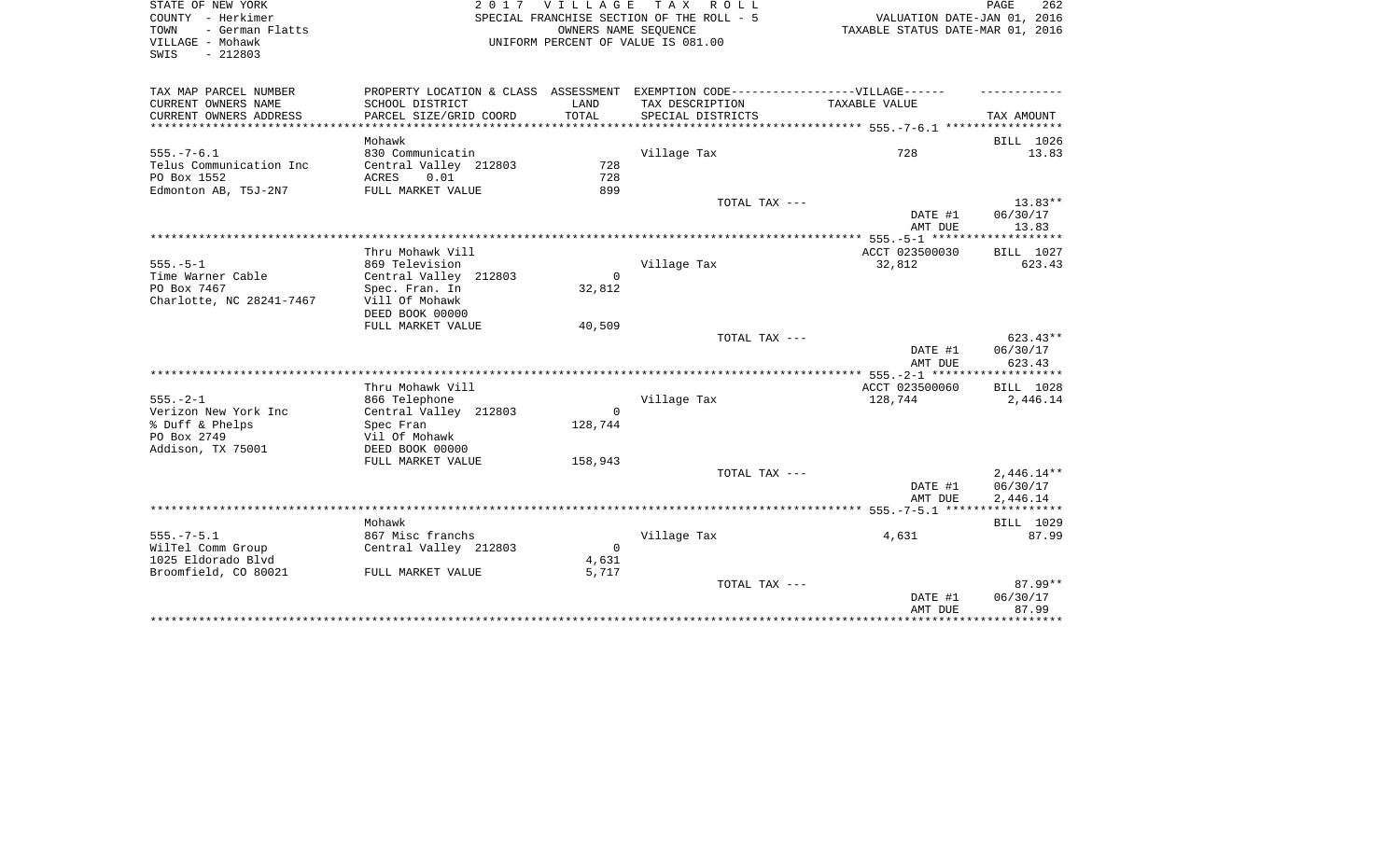| STATE OF NEW YORK                                |                                  |             | 2017 VILLAGE TAX ROLL                                                             |                                                           | PAGE<br>262  |
|--------------------------------------------------|----------------------------------|-------------|-----------------------------------------------------------------------------------|-----------------------------------------------------------|--------------|
| COUNTY - Herkimer                                |                                  |             | SPECIAL FRANCHISE SECTION OF THE ROLL - 5                                         | VALUATION DATE-JAN 01, 2016                               |              |
| TOWN<br>- German Flatts                          |                                  |             | OWNERS NAME SEOUENCE                                                              | TAXABLE STATUS DATE-MAR 01, 2016                          |              |
| VILLAGE - Mohawk                                 |                                  |             | UNIFORM PERCENT OF VALUE IS 081.00                                                |                                                           |              |
| $-212803$<br>SWIS                                |                                  |             |                                                                                   |                                                           |              |
|                                                  |                                  |             |                                                                                   |                                                           |              |
| TAX MAP PARCEL NUMBER                            |                                  |             | PROPERTY LOCATION & CLASS ASSESSMENT EXEMPTION CODE-----------------VILLAGE------ |                                                           |              |
| CURRENT OWNERS NAME                              | SCHOOL DISTRICT                  | LAND        | TAX DESCRIPTION                                                                   | TAXABLE VALUE                                             |              |
| CURRENT OWNERS ADDRESS<br>********************** | PARCEL SIZE/GRID COORD           | TOTAL       | SPECIAL DISTRICTS                                                                 | **************************** 555.-7-6.1 ***************** | TAX AMOUNT   |
|                                                  | Mohawk                           |             |                                                                                   |                                                           | BILL 1026    |
| $555. - 7 - 6.1$                                 | 830 Communicatin                 |             | Village Tax                                                                       | 728                                                       | 13.83        |
| Telus Communication Inc                          | Central Valley 212803            | 728         |                                                                                   |                                                           |              |
| PO Box 1552                                      | ACRES<br>0.01                    | 728         |                                                                                   |                                                           |              |
| Edmonton AB, T5J-2N7                             | FULL MARKET VALUE                | 899         |                                                                                   |                                                           |              |
|                                                  |                                  |             | TOTAL TAX ---                                                                     |                                                           | 13.83**      |
|                                                  |                                  |             |                                                                                   | DATE #1                                                   | 06/30/17     |
|                                                  |                                  |             |                                                                                   | AMT DUE                                                   | 13.83        |
|                                                  |                                  |             |                                                                                   | **************** 555.-5-1 *******                         | ************ |
|                                                  | Thru Mohawk Vill                 |             |                                                                                   | ACCT 023500030                                            | BILL 1027    |
| $555. - 5 - 1$                                   | 869 Television                   |             | Village Tax                                                                       | 32,812                                                    | 623.43       |
| Time Warner Cable                                | Central Valley 212803            | $\Omega$    |                                                                                   |                                                           |              |
| PO Box 7467                                      | Spec. Fran. In                   | 32,812      |                                                                                   |                                                           |              |
| Charlotte, NC 28241-7467                         | Vill Of Mohawk                   |             |                                                                                   |                                                           |              |
|                                                  | DEED BOOK 00000                  |             |                                                                                   |                                                           |              |
|                                                  | FULL MARKET VALUE                | 40,509      |                                                                                   |                                                           |              |
|                                                  |                                  |             | TOTAL TAX ---                                                                     |                                                           | $623.43**$   |
|                                                  |                                  |             |                                                                                   | DATE #1                                                   | 06/30/17     |
|                                                  |                                  |             |                                                                                   | AMT DUE                                                   | 623.43       |
|                                                  |                                  |             |                                                                                   |                                                           |              |
|                                                  | Thru Mohawk Vill                 |             |                                                                                   | ACCT 023500060                                            | BILL 1028    |
| $555. - 2 - 1$                                   | 866 Telephone                    |             | Village Tax                                                                       | 128,744                                                   | 2,446.14     |
| Verizon New York Inc                             | Central Valley 212803            | $\mathbf 0$ |                                                                                   |                                                           |              |
| % Duff & Phelps<br>PO Box 2749                   | Spec Fran                        | 128,744     |                                                                                   |                                                           |              |
|                                                  | Vil Of Mohawk<br>DEED BOOK 00000 |             |                                                                                   |                                                           |              |
| Addison, TX 75001                                | FULL MARKET VALUE                | 158,943     |                                                                                   |                                                           |              |
|                                                  |                                  |             | TOTAL TAX ---                                                                     |                                                           | $2,446.14**$ |
|                                                  |                                  |             |                                                                                   | DATE #1                                                   | 06/30/17     |
|                                                  |                                  |             |                                                                                   | AMT DUE                                                   | 2,446.14     |
|                                                  |                                  |             |                                                                                   |                                                           |              |
|                                                  | Mohawk                           |             |                                                                                   |                                                           | BILL 1029    |
| $555. - 7 - 5.1$                                 | 867 Misc franchs                 |             | Village Tax                                                                       | 4,631                                                     | 87.99        |
| WilTel Comm Group                                | Central Valley 212803            | $\Omega$    |                                                                                   |                                                           |              |
| 1025 Eldorado Blvd                               |                                  | 4,631       |                                                                                   |                                                           |              |
| Broomfield, CO 80021                             | FULL MARKET VALUE                | 5,717       |                                                                                   |                                                           |              |
|                                                  |                                  |             | TOTAL TAX ---                                                                     |                                                           | 87.99**      |
|                                                  |                                  |             |                                                                                   | DATE #1                                                   | 06/30/17     |

\*\*\*\*\*\*\*\*\*\*\*\*\*\*\*\*\*\*\*\*\*\*\*\*\*\*\*\*\*\*\*\*\*\*\*\*\*\*\*\*\*\*\*\*\*\*\*\*\*\*\*\*\*\*\*\*\*\*\*\*\*\*\*\*\*\*\*\*\*\*\*\*\*\*\*\*\*\*\*\*\*\*\*\*\*\*\*\*\*\*\*\*\*\*\*\*\*\*\*\*\*\*\*\*\*\*\*\*\*\*\*\*\*\*\*\*\*\*\*\*\*\*\*\*\*\*\*\*\*\*\*\*

AMT DUE 87.99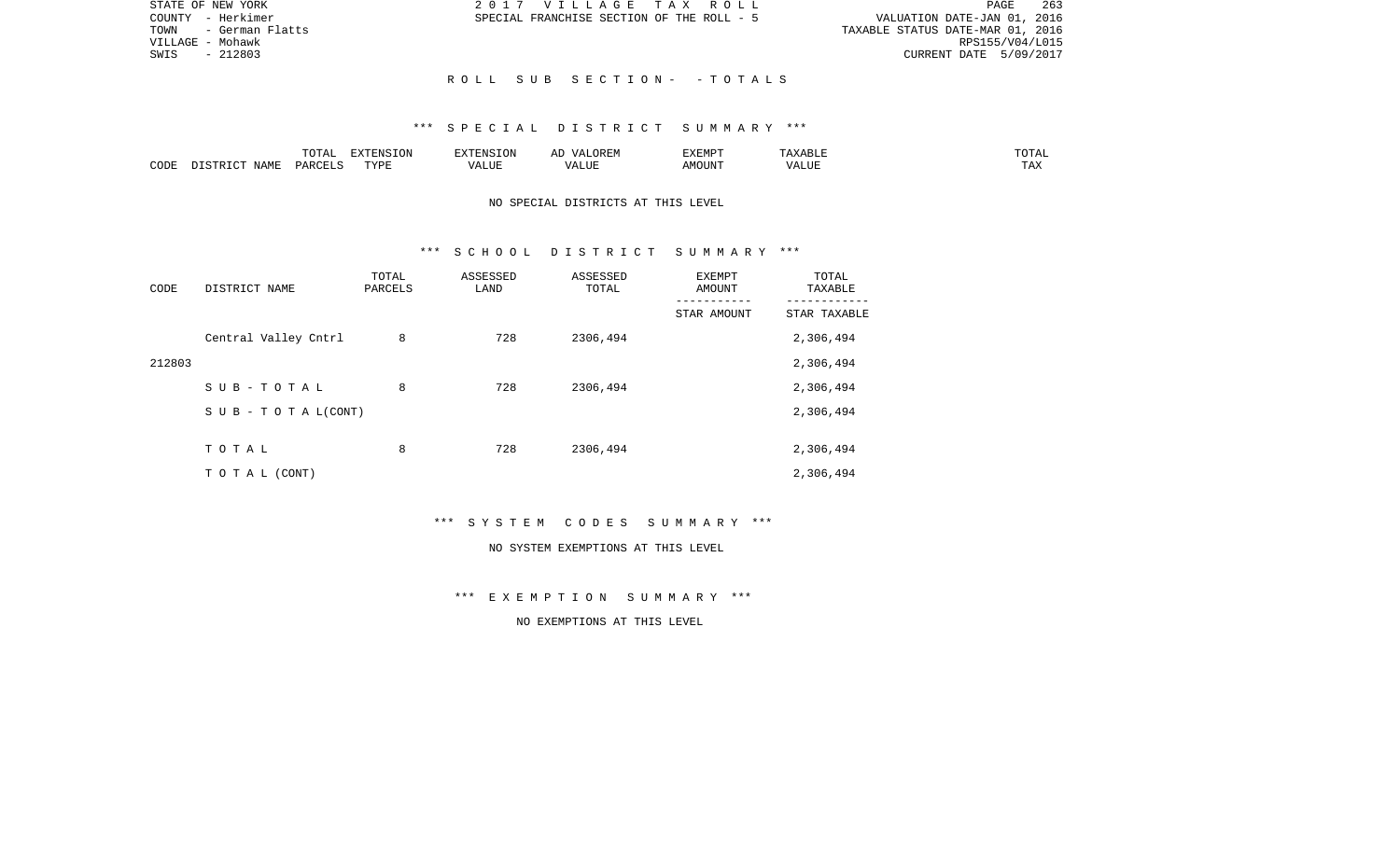| STATE OF NEW YORK       | 2017 VILLAGE TAX ROLL                     | 263<br>PAGE                      |
|-------------------------|-------------------------------------------|----------------------------------|
| COUNTY - Herkimer       | SPECIAL FRANCHISE SECTION OF THE ROLL - 5 | VALUATION DATE-JAN 01, 2016      |
| - German Flatts<br>TOWN |                                           | TAXABLE STATUS DATE-MAR 01, 2016 |
| VILLAGE – Mohawk        |                                           | RPS155/V04/L015                  |
| $-212803$<br>SWIS       |                                           | CURRENT DATE 5/09/2017           |
|                         |                                           |                                  |
|                         | ROLL SUB SECTION- -TOTALS                 |                                  |

|      |                            | .∪⊥⊓⊥         | $\blacksquare$<br>11 L<br>LUIN |               |            | EXEMPT       | ABL.                  | $m \wedge m$<br>. |
|------|----------------------------|---------------|--------------------------------|---------------|------------|--------------|-----------------------|-------------------|
| CODE | <b>ABST</b><br>. .<br>NAMP | <b>DARCFT</b> | TVDT                           | $\mathcal{L}$ | ,,,<br>שחד | OUN".<br>۱M۲ | $- - - - - -$<br>ALUI | $- - -$<br>. Ал   |

## NO SPECIAL DISTRICTS AT THIS LEVEL

### \*\*\* S C H O O L D I S T R I C T S U M M A R Y \*\*\*

| CODE   | DISTRICT NAME                    | TOTAL<br>PARCELS | ASSESSED<br>LAND | ASSESSED<br>TOTAL | EXEMPT<br>AMOUNT | TOTAL<br>TAXABLE |
|--------|----------------------------------|------------------|------------------|-------------------|------------------|------------------|
|        |                                  |                  |                  |                   | STAR AMOUNT      | STAR TAXABLE     |
|        | Central Valley Cntrl             | 8                | 728              | 2306,494          |                  | 2,306,494        |
| 212803 |                                  |                  |                  |                   |                  | 2,306,494        |
|        | SUB-TOTAL                        | 8                | 728              | 2306,494          |                  | 2,306,494        |
|        | $S \cup B - T \cup T A L (CONT)$ |                  |                  |                   |                  | 2,306,494        |
|        |                                  |                  |                  |                   |                  |                  |
|        | TOTAL                            | 8                | 728              | 2306,494          |                  | 2,306,494        |
|        | T O T A L (CONT)                 |                  |                  |                   |                  | 2,306,494        |

\*\*\* S Y S T E M C O D E S S U M M A R Y \*\*\*

#### NO SYSTEM EXEMPTIONS AT THIS LEVEL

\*\*\* E X E M P T I O N S U M M A R Y \*\*\*

NO EXEMPTIONS AT THIS LEVEL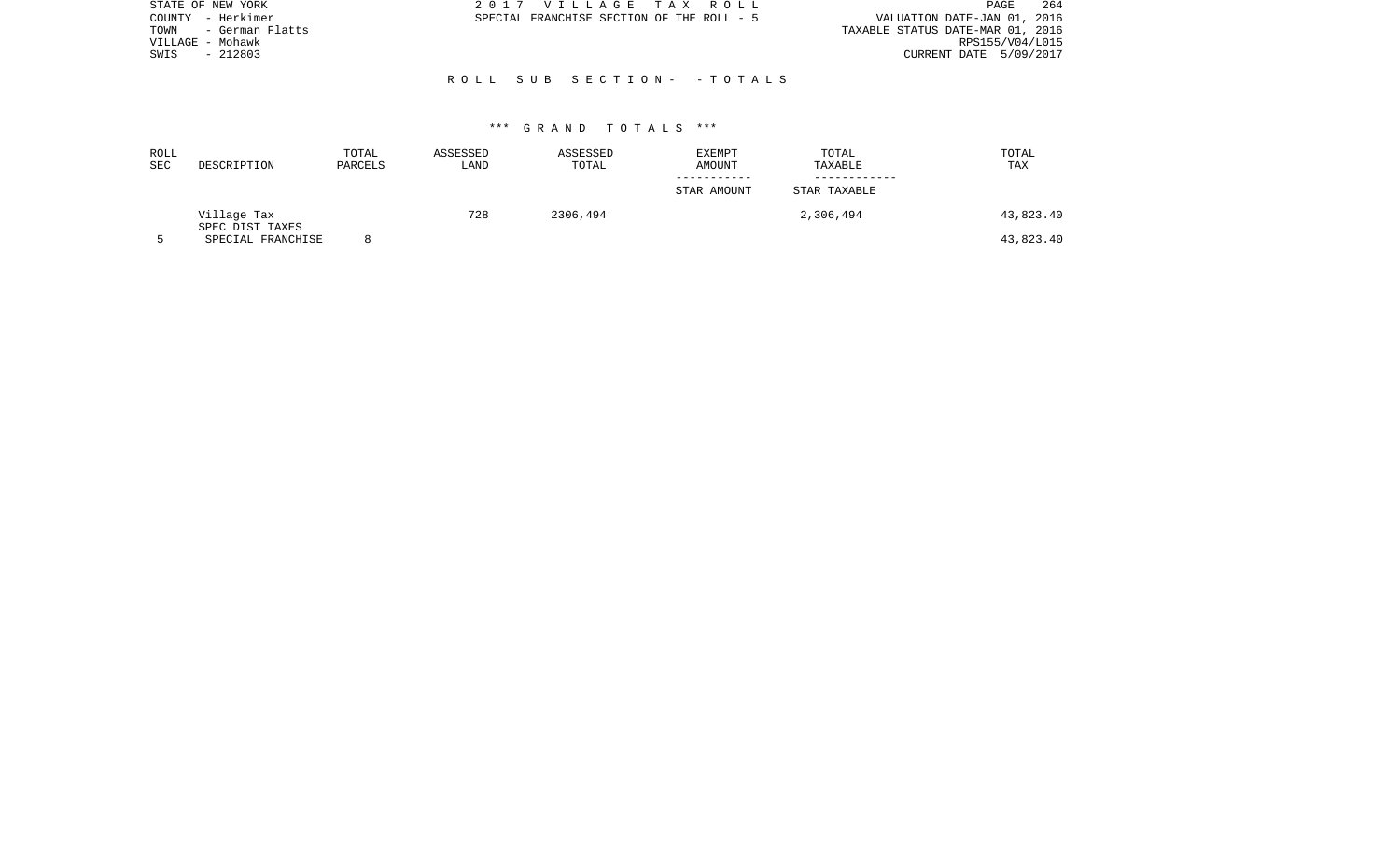| STATE OF NEW YORK       | 2017 VILLAGE TAX ROLL                     | -264<br>PAGE                     |
|-------------------------|-------------------------------------------|----------------------------------|
| - Herkimer<br>COUNTY    | SPECIAL FRANCHISE SECTION OF THE ROLL - 5 | VALUATION DATE-JAN 01, 2016      |
| - German Flatts<br>TOWN |                                           | TAXABLE STATUS DATE-MAR 01, 2016 |
| VILLAGE - Mohawk        |                                           | RPS155/V04/L015                  |
| $-212803$<br>SWIS       |                                           | CURRENT DATE 5/09/2017           |
|                         |                                           |                                  |
|                         | ROLL SUB SECTION- -TOTALS                 |                                  |
|                         |                                           |                                  |

| ROLL<br>SEC | DESCRIPTION                    | TOTAL<br>PARCELS | ASSESSED<br>LAND | ASSESSED<br>TOTAL | <b>EXEMPT</b><br>AMOUNT | TOTAL<br>TAXABLE | TOTAL<br>TAX |
|-------------|--------------------------------|------------------|------------------|-------------------|-------------------------|------------------|--------------|
|             |                                |                  |                  |                   | STAR AMOUNT             | STAR TAXABLE     |              |
|             | Village Tax<br>SPEC DIST TAXES |                  | 728              | 2306,494          |                         | 2,306,494        | 43,823.40    |
|             | SPECIAL FRANCHISE              |                  |                  |                   |                         |                  | 43,823.40    |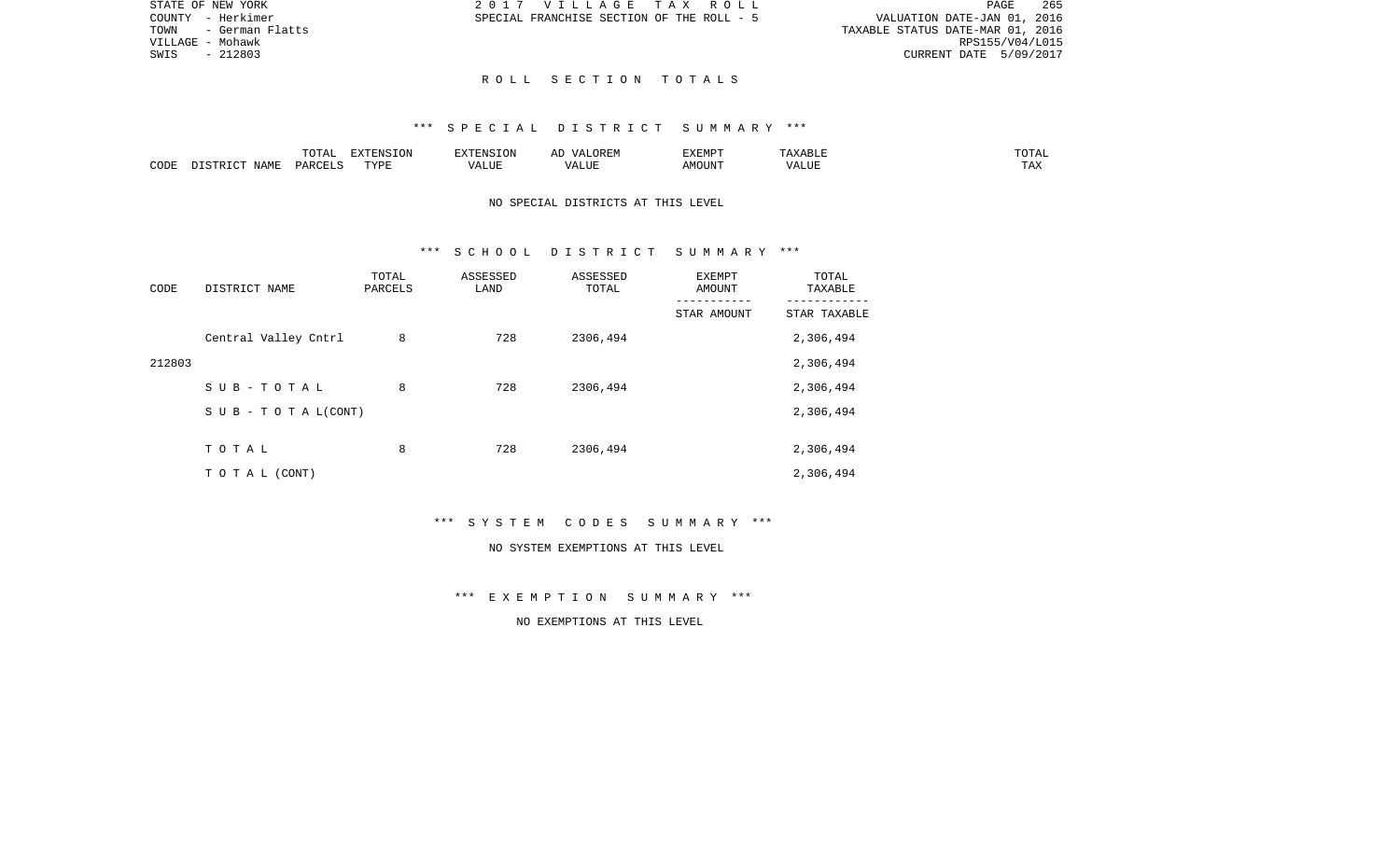PAGE 265 COUNTY - Herkimer SPECIAL FRANCHISE SECTION OF THE ROLL - 5 VALUATION DATE-JAN 01, 2016 TOWN - German Flatts TAXABLE STATUS DATE-MAR 01, 2016 VILLAGE - Mohawk RPS155/V04/L015 SWIS - 212803 CURRENT DATE 5/09/2017

STATE OF NEW YORK 2017 VILLAGE TAX ROLL

## R O L L S E C T I O N T O T A L S

# \*\*\* S P E C I A L D I S T R I C T S U M M A R Y \*\*\*

|      |       | -----<br>. U 1 1 1 1 | <b>EXTENSION</b> | , 22 H.W<br>$\cdots$ | EXEMPT |       | $T \cap T \cap T$<br>UTAL: |
|------|-------|----------------------|------------------|----------------------|--------|-------|----------------------------|
| CODE | NAME. | ∕ ⊄ ∆ ت              | TVDL<br>.        | LTTF                 | AMOUN' | ALIL. | $- - - -$<br>1 A A         |

## NO SPECIAL DISTRICTS AT THIS LEVEL

## \*\*\* S C H O O L D I S T R I C T S U M M A R Y \*\*\*

| CODE   | DISTRICT NAME        | TOTAL<br>PARCELS | ASSESSED<br>LAND | ASSESSED<br>TOTAL | EXEMPT<br>AMOUNT | TOTAL<br>TAXABLE |
|--------|----------------------|------------------|------------------|-------------------|------------------|------------------|
|        |                      |                  |                  |                   | STAR AMOUNT      | STAR TAXABLE     |
|        | Central Valley Cntrl | 8                | 728              | 2306,494          |                  | 2,306,494        |
| 212803 |                      |                  |                  |                   |                  | 2,306,494        |
|        | SUB-TOTAL            | 8                | 728              | 2306,494          |                  | 2,306,494        |
|        | SUB - TO TAL(CONT)   |                  |                  |                   |                  | 2,306,494        |
|        |                      |                  |                  |                   |                  |                  |
|        | TOTAL                | 8                | 728              | 2306,494          |                  | 2,306,494        |
|        | TO TAL (CONT)        |                  |                  |                   |                  | 2,306,494        |

\*\*\* S Y S T E M C O D E S S U M M A R Y \*\*\*

#### NO SYSTEM EXEMPTIONS AT THIS LEVEL

\*\*\* E X E M P T I O N S U M M A R Y \*\*\*

NO EXEMPTIONS AT THIS LEVEL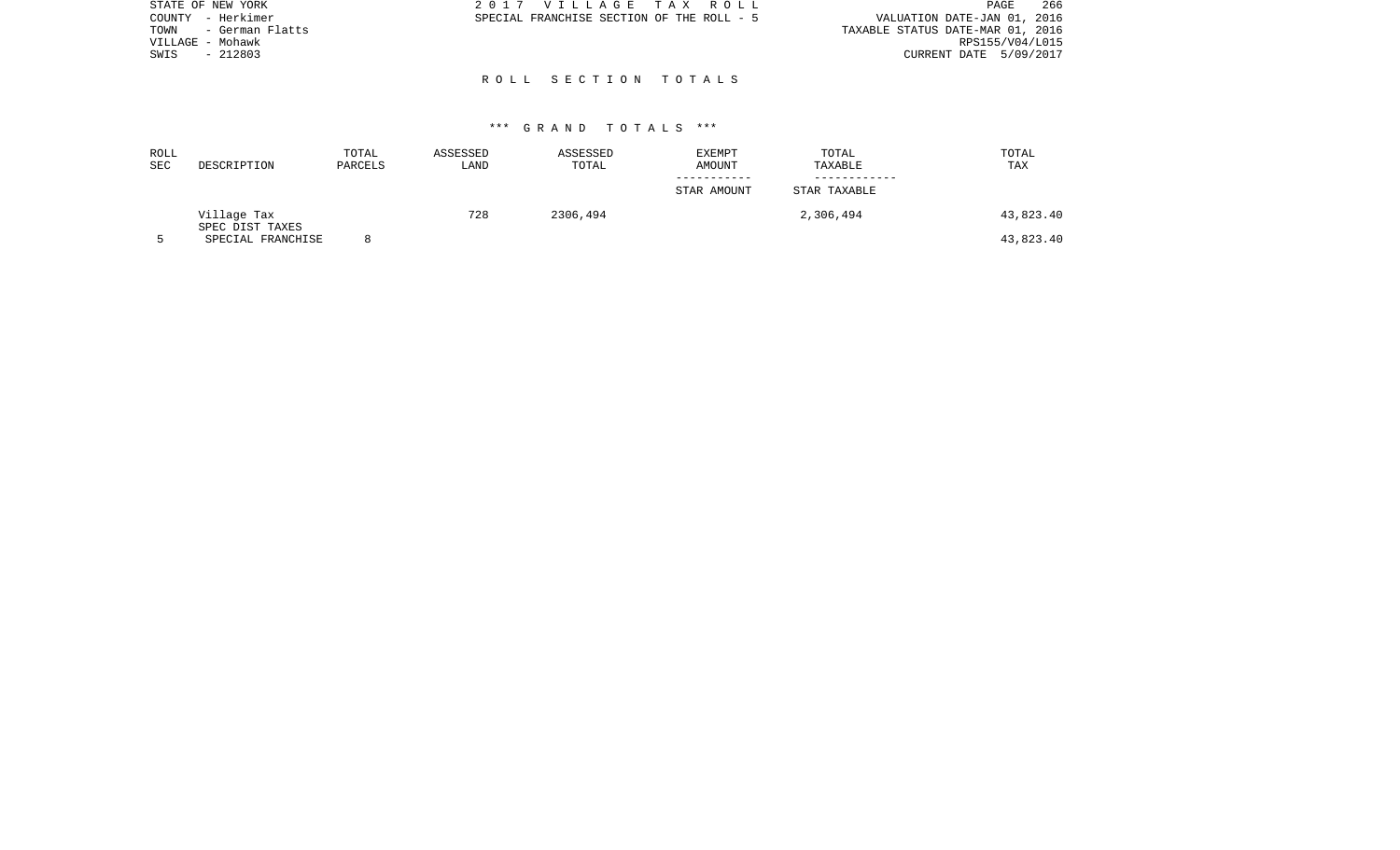| STATE OF NEW YORK       | 2017 VILLAGE TAX ROLL                     | 266<br>PAGE                      |
|-------------------------|-------------------------------------------|----------------------------------|
| - Herkimer<br>COUNTY    | SPECIAL FRANCHISE SECTION OF THE ROLL - 5 | VALUATION DATE-JAN 01, 2016      |
| - German Flatts<br>TOWN |                                           | TAXABLE STATUS DATE-MAR 01, 2016 |
| VILLAGE - Mohawk        |                                           | RPS155/V04/L015                  |
| $-212803$<br>SWIS       |                                           | CURRENT DATE 5/09/2017           |
|                         |                                           |                                  |
|                         | ROLL SECTION TOTALS                       |                                  |

| ROLL<br><b>SEC</b> | DESCRIPTION                    | TOTAL<br>PARCELS | ASSESSED<br>LAND | ASSESSED<br>TOTAL | EXEMPT<br>AMOUNT | TOTAL<br>TAXABLE | TOTAL<br>TAX |
|--------------------|--------------------------------|------------------|------------------|-------------------|------------------|------------------|--------------|
|                    |                                |                  |                  |                   | STAR AMOUNT      | STAR TAXABLE     |              |
|                    | Village Tax<br>SPEC DIST TAXES |                  | 728              | 2306,494          |                  | 2,306,494        | 43,823.40    |
|                    | SPECIAL FRANCHISE              |                  |                  |                   |                  |                  | 43,823.40    |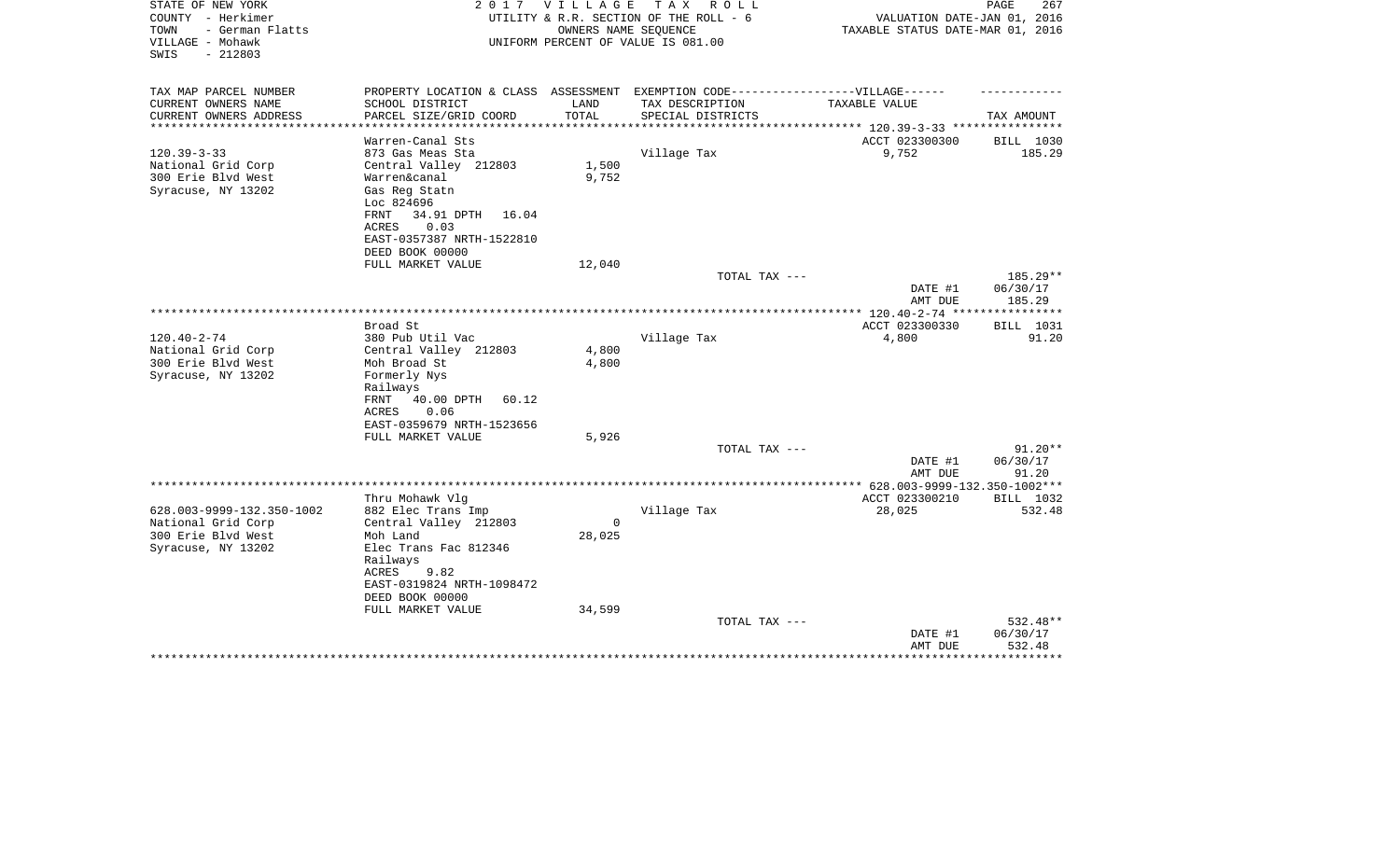| STATE OF NEW YORK<br>COUNTY - Herkimer<br>- German Flatts<br>TOWN<br>VILLAGE - Mohawk<br>$-212803$<br>SWIS | 2017                                                                                                                                                               |                | VILLAGE TAX ROLL<br>UTILITY & R.R. SECTION OF THE ROLL - 6<br>OWNERS NAME SEQUENCE<br>UNIFORM PERCENT OF VALUE IS 081.00 | VALUATION DATE-JAN 01, 2016<br>TAXABLE STATUS DATE-MAR 01, 2016 | PAGE<br>267                    |
|------------------------------------------------------------------------------------------------------------|--------------------------------------------------------------------------------------------------------------------------------------------------------------------|----------------|--------------------------------------------------------------------------------------------------------------------------|-----------------------------------------------------------------|--------------------------------|
| TAX MAP PARCEL NUMBER                                                                                      | PROPERTY LOCATION & CLASS ASSESSMENT EXEMPTION CODE-----------------VILLAGE------                                                                                  |                |                                                                                                                          |                                                                 |                                |
| CURRENT OWNERS NAME<br>CURRENT OWNERS ADDRESS                                                              | SCHOOL DISTRICT<br>PARCEL SIZE/GRID COORD                                                                                                                          | LAND<br>TOTAL  | TAX DESCRIPTION<br>SPECIAL DISTRICTS                                                                                     | TAXABLE VALUE                                                   | TAX AMOUNT                     |
| *********************                                                                                      |                                                                                                                                                                    |                |                                                                                                                          | *************************** 120.39-3-33 ****************        |                                |
| $120.39 - 3 - 33$<br>National Grid Corp<br>300 Erie Blvd West<br>Syracuse, NY 13202                        | Warren-Canal Sts<br>873 Gas Meas Sta<br>Central Valley 212803<br>Warren&canal<br>Gas Reg Statn<br>Loc 824696<br>FRNT<br>34.91 DPTH<br>16.04<br>0.03<br>ACRES       | 1,500<br>9,752 | Village Tax                                                                                                              | ACCT 023300300<br>9,752                                         | BILL 1030<br>185.29            |
|                                                                                                            | EAST-0357387 NRTH-1522810                                                                                                                                          |                |                                                                                                                          |                                                                 |                                |
|                                                                                                            | DEED BOOK 00000<br>FULL MARKET VALUE                                                                                                                               | 12,040         |                                                                                                                          |                                                                 |                                |
|                                                                                                            |                                                                                                                                                                    |                | TOTAL TAX ---                                                                                                            | DATE #1<br>AMT DUE                                              | 185.29**<br>06/30/17<br>185.29 |
|                                                                                                            |                                                                                                                                                                    |                |                                                                                                                          |                                                                 |                                |
|                                                                                                            | Broad St                                                                                                                                                           |                |                                                                                                                          | ACCT 023300330                                                  | BILL 1031                      |
| $120.40 - 2 - 74$<br>National Grid Corp<br>300 Erie Blvd West<br>Syracuse, NY 13202                        | 380 Pub Util Vac<br>Central Valley 212803<br>Moh Broad St<br>Formerly Nys<br>Railways<br>FRNT<br>40.00 DPTH<br>60.12<br>ACRES<br>0.06<br>EAST-0359679 NRTH-1523656 | 4,800<br>4,800 | Village Tax                                                                                                              | 4,800                                                           | 91.20                          |
|                                                                                                            | FULL MARKET VALUE                                                                                                                                                  | 5,926          |                                                                                                                          |                                                                 |                                |
|                                                                                                            |                                                                                                                                                                    |                | TOTAL TAX ---                                                                                                            | DATE #1<br>AMT DUE                                              | $91.20**$<br>06/30/17<br>91.20 |
|                                                                                                            |                                                                                                                                                                    |                |                                                                                                                          |                                                                 |                                |
| 628.003-9999-132.350-1002<br>National Grid Corp                                                            | Thru Mohawk Vlq<br>882 Elec Trans Imp<br>Central Valley 212803                                                                                                     | $\Omega$       | Village Tax                                                                                                              | ACCT 023300210<br>28,025                                        | BILL 1032<br>532.48            |
| 300 Erie Blvd West                                                                                         | Moh Land                                                                                                                                                           | 28,025         |                                                                                                                          |                                                                 |                                |
| Syracuse, NY 13202                                                                                         | Elec Trans Fac 812346<br>Railways<br>ACRES<br>9.82<br>EAST-0319824 NRTH-1098472<br>DEED BOOK 00000<br>FULL MARKET VALUE                                            | 34,599         |                                                                                                                          |                                                                 |                                |
|                                                                                                            |                                                                                                                                                                    |                | TOTAL TAX ---                                                                                                            |                                                                 | 532.48**                       |
|                                                                                                            |                                                                                                                                                                    |                |                                                                                                                          | DATE #1<br>AMT DUE                                              | 06/30/17<br>532.48             |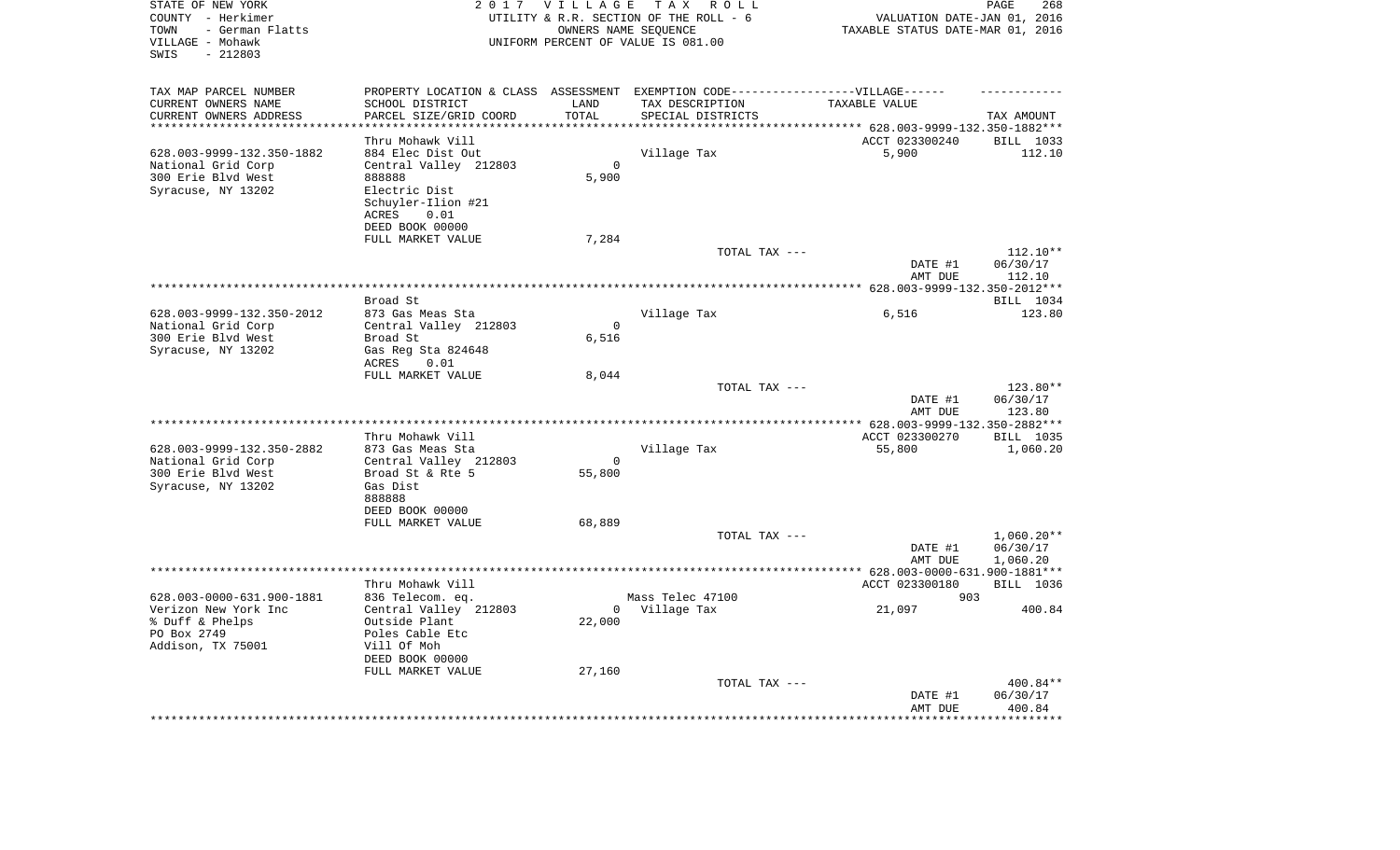| STATE OF NEW YORK<br>COUNTY - Herkimer<br>- German Flatts<br>TOWN<br>VILLAGE - Mohawk<br>$-212803$<br>SWIS |                                               | 2017 VILLAGE     | TAX ROLL<br>UTILITY & R.R. SECTION OF THE ROLL - 6<br>OWNERS NAME SEQUENCE<br>UNIFORM PERCENT OF VALUE IS 081.00 |                                                                           | PAGE<br>268<br>VALUATION DATE-JAN 01, 2016<br>TAXABLE STATUS DATE-MAR 01, 2016 |  |  |
|------------------------------------------------------------------------------------------------------------|-----------------------------------------------|------------------|------------------------------------------------------------------------------------------------------------------|---------------------------------------------------------------------------|--------------------------------------------------------------------------------|--|--|
| TAX MAP PARCEL NUMBER                                                                                      |                                               |                  | PROPERTY LOCATION & CLASS ASSESSMENT EXEMPTION CODE-----------------VILLAGE------                                |                                                                           |                                                                                |  |  |
| CURRENT OWNERS NAME                                                                                        | SCHOOL DISTRICT                               | LAND             | TAX DESCRIPTION                                                                                                  | TAXABLE VALUE                                                             |                                                                                |  |  |
| CURRENT OWNERS ADDRESS<br>*********************                                                            | PARCEL SIZE/GRID COORD<br>******************* | TOTAL<br>******* | SPECIAL DISTRICTS                                                                                                |                                                                           | TAX AMOUNT                                                                     |  |  |
|                                                                                                            |                                               |                  |                                                                                                                  | ************************** 628.003-9999-132.350-1882***<br>ACCT 023300240 |                                                                                |  |  |
| 628.003-9999-132.350-1882                                                                                  | Thru Mohawk Vill<br>884 Elec Dist Out         |                  | Village Tax                                                                                                      | 5,900                                                                     | BILL 1033<br>112.10                                                            |  |  |
| National Grid Corp                                                                                         | Central Valley 212803                         | $\Omega$         |                                                                                                                  |                                                                           |                                                                                |  |  |
| 300 Erie Blvd West                                                                                         | 888888                                        | 5,900            |                                                                                                                  |                                                                           |                                                                                |  |  |
| Syracuse, NY 13202                                                                                         | Electric Dist                                 |                  |                                                                                                                  |                                                                           |                                                                                |  |  |
|                                                                                                            | Schuyler-Ilion #21                            |                  |                                                                                                                  |                                                                           |                                                                                |  |  |
|                                                                                                            | ACRES<br>0.01                                 |                  |                                                                                                                  |                                                                           |                                                                                |  |  |
|                                                                                                            | DEED BOOK 00000                               |                  |                                                                                                                  |                                                                           |                                                                                |  |  |
|                                                                                                            | FULL MARKET VALUE                             | 7,284            |                                                                                                                  |                                                                           |                                                                                |  |  |
|                                                                                                            |                                               |                  | TOTAL TAX ---                                                                                                    |                                                                           | 112.10**                                                                       |  |  |
|                                                                                                            |                                               |                  |                                                                                                                  | DATE #1                                                                   | 06/30/17                                                                       |  |  |
|                                                                                                            |                                               |                  |                                                                                                                  | AMT DUE<br>********* 628.003-9999-132.350-2012***                         | 112.10                                                                         |  |  |
|                                                                                                            | Broad St                                      |                  |                                                                                                                  |                                                                           | BILL 1034                                                                      |  |  |
| 628.003-9999-132.350-2012                                                                                  | 873 Gas Meas Sta                              |                  | Village Tax                                                                                                      | 6,516                                                                     | 123.80                                                                         |  |  |
| National Grid Corp                                                                                         | Central Valley 212803                         | $\Omega$         |                                                                                                                  |                                                                           |                                                                                |  |  |
| 300 Erie Blvd West                                                                                         | Broad St                                      | 6,516            |                                                                                                                  |                                                                           |                                                                                |  |  |
| Syracuse, NY 13202                                                                                         | Gas Reg Sta 824648                            |                  |                                                                                                                  |                                                                           |                                                                                |  |  |
|                                                                                                            | 0.01<br>ACRES                                 |                  |                                                                                                                  |                                                                           |                                                                                |  |  |
|                                                                                                            | FULL MARKET VALUE                             | 8,044            |                                                                                                                  |                                                                           |                                                                                |  |  |
|                                                                                                            |                                               |                  | TOTAL TAX ---                                                                                                    |                                                                           | 123.80**                                                                       |  |  |
|                                                                                                            |                                               |                  |                                                                                                                  | DATE #1<br>AMT DUE                                                        | 06/30/17<br>123.80                                                             |  |  |
|                                                                                                            |                                               |                  |                                                                                                                  | ** 628.003-9999-132.350-2882***                                           |                                                                                |  |  |
|                                                                                                            | Thru Mohawk Vill                              |                  |                                                                                                                  | ACCT 023300270                                                            | <b>BILL 1035</b>                                                               |  |  |
| 628.003-9999-132.350-2882                                                                                  | 873 Gas Meas Sta                              |                  | Village Tax                                                                                                      | 55,800                                                                    | 1,060.20                                                                       |  |  |
| National Grid Corp                                                                                         | Central Valley 212803                         | $\mathbf{0}$     |                                                                                                                  |                                                                           |                                                                                |  |  |
| 300 Erie Blvd West                                                                                         | Broad St & Rte 5                              | 55,800           |                                                                                                                  |                                                                           |                                                                                |  |  |
| Syracuse, NY 13202                                                                                         | Gas Dist                                      |                  |                                                                                                                  |                                                                           |                                                                                |  |  |
|                                                                                                            | 888888                                        |                  |                                                                                                                  |                                                                           |                                                                                |  |  |
|                                                                                                            | DEED BOOK 00000                               |                  |                                                                                                                  |                                                                           |                                                                                |  |  |
|                                                                                                            | FULL MARKET VALUE                             | 68,889           | TOTAL TAX ---                                                                                                    |                                                                           | $1,060.20**$                                                                   |  |  |
|                                                                                                            |                                               |                  |                                                                                                                  | DATE #1                                                                   | 06/30/17                                                                       |  |  |
|                                                                                                            |                                               |                  |                                                                                                                  | AMT DUE                                                                   | 1,060.20                                                                       |  |  |
| *****************************                                                                              |                                               |                  |                                                                                                                  | ********** 628.003-0000-631.900-1881***                                   |                                                                                |  |  |
|                                                                                                            | Thru Mohawk Vill                              |                  |                                                                                                                  | ACCT 023300180                                                            | BILL 1036                                                                      |  |  |
| 628.003-0000-631.900-1881                                                                                  | 836 Telecom. eq.                              |                  | Mass Telec 47100                                                                                                 | 903                                                                       |                                                                                |  |  |
| Verizon New York Inc                                                                                       | Central Valley 212803                         | $\overline{0}$   | Village Tax                                                                                                      | 21,097                                                                    | 400.84                                                                         |  |  |
| % Duff & Phelps                                                                                            | Outside Plant                                 | 22,000           |                                                                                                                  |                                                                           |                                                                                |  |  |
| PO Box 2749                                                                                                | Poles Cable Etc                               |                  |                                                                                                                  |                                                                           |                                                                                |  |  |
| Addison, TX 75001                                                                                          | Vill Of Moh<br>DEED BOOK 00000                |                  |                                                                                                                  |                                                                           |                                                                                |  |  |
|                                                                                                            | FULL MARKET VALUE                             | 27,160           |                                                                                                                  |                                                                           |                                                                                |  |  |
|                                                                                                            |                                               |                  | TOTAL TAX ---                                                                                                    |                                                                           | 400.84**                                                                       |  |  |
|                                                                                                            |                                               |                  |                                                                                                                  | DATE #1                                                                   | 06/30/17                                                                       |  |  |
|                                                                                                            |                                               |                  |                                                                                                                  | AMT DUE                                                                   | 400.84                                                                         |  |  |
|                                                                                                            |                                               |                  |                                                                                                                  |                                                                           | *******:                                                                       |  |  |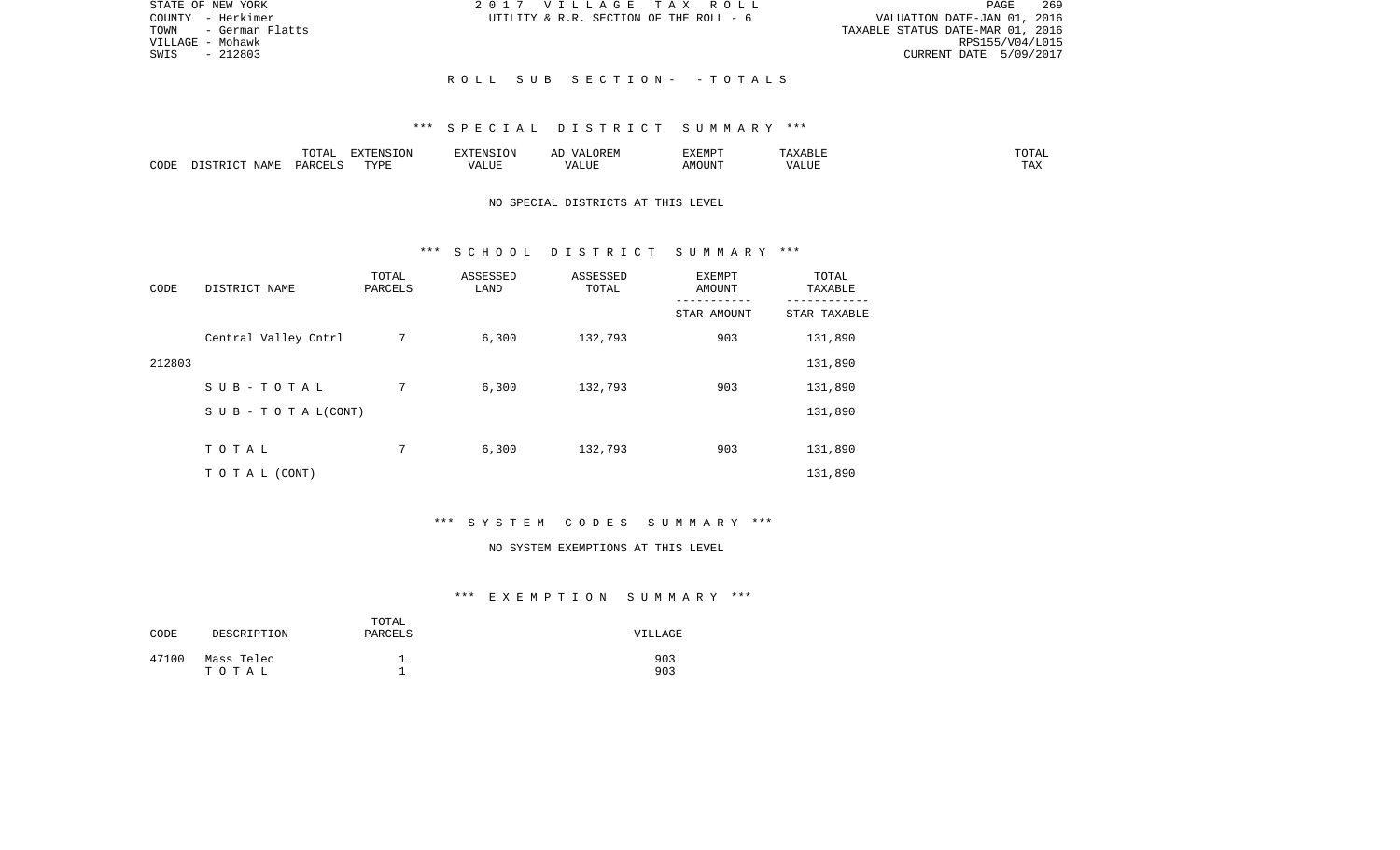| STATE OF NEW YORK      | 2017 VILLAGE TAX ROLL                  | 269<br>PAGE                      |
|------------------------|----------------------------------------|----------------------------------|
| COUNTY - Herkimer      | UTILITY & R.R. SECTION OF THE ROLL - 6 | VALUATION DATE-JAN 01, 2016      |
| TOWN   - German Flatts |                                        | TAXABLE STATUS DATE-MAR 01, 2016 |
| VILLAGE – Mohawk       |                                        | RPS155/V04/L015                  |
| SWIS<br>$-212803$      |                                        | CURRENT DATE 5/09/2017           |
|                        |                                        |                                  |
|                        | ROLL SUB SECTION- -TOTALS              |                                  |

|      |             |               | $\Box$<br>11 L<br>$\left( \right)$ |   | HIV | EXEMPT | .<br>n 1                   | $\overline{\phantom{a}}$ |
|------|-------------|---------------|------------------------------------|---|-----|--------|----------------------------|--------------------------|
| CODE | ΝΔМϜ<br>. . | <b>PARCEL</b> | TVDT                               | . | ,,, | AMOUNT | , <del>,</del> , , , , , , | ---<br>.A2               |

## NO SPECIAL DISTRICTS AT THIS LEVEL

### \*\*\* S C H O O L D I S T R I C T S U M M A R Y \*\*\*

| CODE   | DISTRICT NAME                    | TOTAL<br>PARCELS | ASSESSED<br>LAND | ASSESSED<br>TOTAL | <b>EXEMPT</b><br>AMOUNT | TOTAL<br>TAXABLE |
|--------|----------------------------------|------------------|------------------|-------------------|-------------------------|------------------|
|        |                                  |                  |                  |                   | STAR AMOUNT             | STAR TAXABLE     |
|        | Central Valley Cntrl             | 7                | 6,300            | 132,793           | 903                     | 131,890          |
| 212803 |                                  |                  |                  |                   |                         | 131,890          |
|        | SUB-TOTAL                        | 7                | 6,300            | 132,793           | 903                     | 131,890          |
|        | $S \cup B - T \cup T A L (CONT)$ |                  |                  |                   |                         | 131,890          |
|        |                                  |                  |                  |                   |                         |                  |
|        | TOTAL                            | 7                | 6,300            | 132,793           | 903                     | 131,890          |
|        | T O T A L (CONT)                 |                  |                  |                   |                         | 131,890          |

# \*\*\* S Y S T E M C O D E S S U M M A R Y \*\*\*

#### NO SYSTEM EXEMPTIONS AT THIS LEVEL

| CODE  | DESCRIPTION         | TOTAL<br>PARCELS | VILLAGE    |
|-------|---------------------|------------------|------------|
| 47100 | Mass Telec<br>тотаь |                  | 903<br>903 |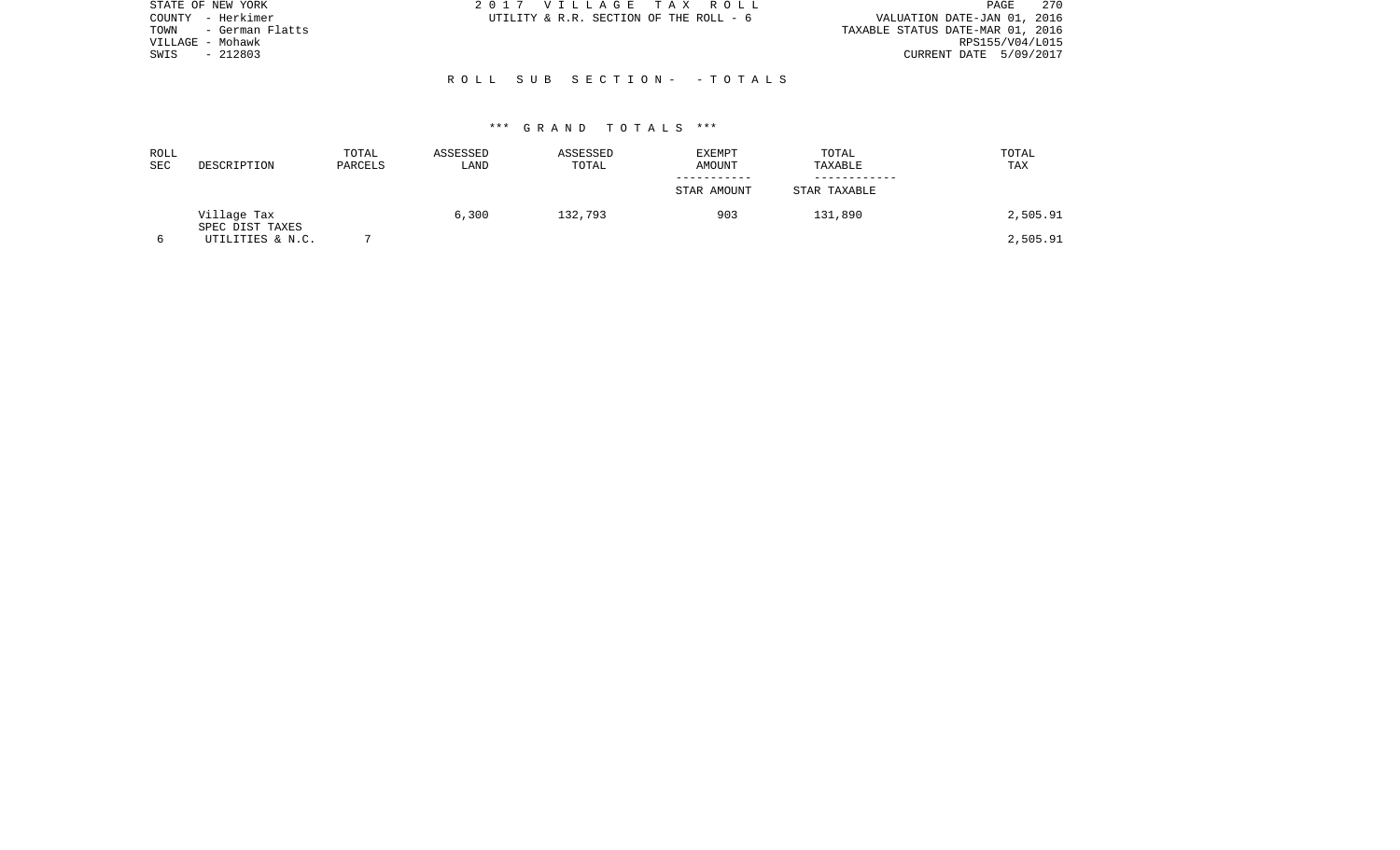| STATE OF NEW YORK       | 2017 VILLAGE TAX ROLL                  | 270<br>PAGE                      |
|-------------------------|----------------------------------------|----------------------------------|
| – Herkimer<br>COUNTY    | UTILITY & R.R. SECTION OF THE ROLL - 6 | VALUATION DATE-JAN 01, 2016      |
| - German Flatts<br>TOWN |                                        | TAXABLE STATUS DATE-MAR 01, 2016 |
| VILLAGE - Mohawk        |                                        | RPS155/V04/L015                  |
| $-212803$<br>SWIS       |                                        | CURRENT DATE 5/09/2017           |
|                         |                                        |                                  |
|                         | ROLL SUB SECTION- - TOTALS             |                                  |
|                         |                                        |                                  |

| ROLL<br><b>SEC</b> | DESCRIPTION                    | TOTAL<br>PARCELS | ASSESSED<br>LAND | ASSESSED<br>TOTAL | EXEMPT<br>AMOUNT | TOTAL<br>TAXABLE | TOTAL<br>TAX |
|--------------------|--------------------------------|------------------|------------------|-------------------|------------------|------------------|--------------|
|                    |                                |                  |                  |                   | STAR AMOUNT      | STAR TAXABLE     |              |
|                    | Village Tax<br>SPEC DIST TAXES |                  | 6,300            | 132,793           | 903              | 131,890          | 2,505.91     |
|                    | UTILITIES & N.C.               |                  |                  |                   |                  |                  | 2,505.91     |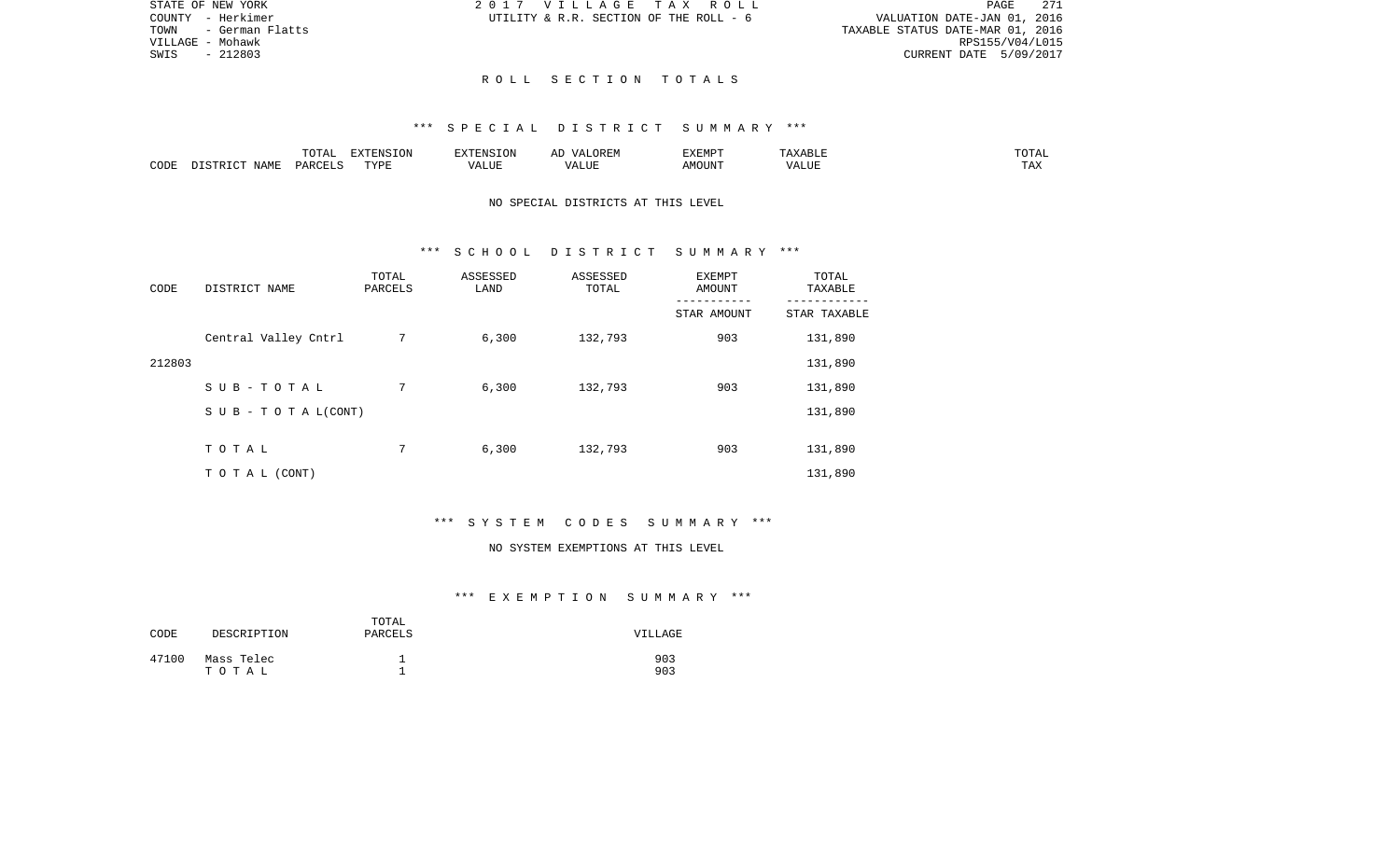|                                  |                             | PAGE 271        |
|----------------------------------|-----------------------------|-----------------|
|                                  | VALUATION DATE-JAN 01, 2016 |                 |
| TAXABLE STATUS DATE-MAR 01, 2016 |                             |                 |
|                                  |                             | RPS155/V04/L015 |
|                                  | CURRENT DATE 5/09/2017      |                 |

STATE OF NEW YORK 2017 VILLAGE TAX ROLL COUNTY - Herkimer  $UTILLITY \& R.R.$  SECTION OF THE ROLL - 6

TOWN - German Flatts VILLAGE - Mohawk SWIS - 212803

### R O L L S E C T I O N T O T A L S

### \*\*\* S P E C I A L D I S T R I C T S U M M A R Y \*\*\*

|      |              | $m \wedge m \wedge n$<br>◡∸⊷ | $\Box$<br>11 L<br>T ( )I/ | -------<br>$\cdots$ | $\cdot \cdot$ $\sim$ $\cdot$<br>∸<br>. . | <b>FYFMD</b> T<br>3 Z X 13<br>. |     | $T \cap T \cap T$<br>"UTAL |
|------|--------------|------------------------------|---------------------------|---------------------|------------------------------------------|---------------------------------|-----|----------------------------|
| CODE | NAME<br>- a- | $\ldots$ DORT $\sim$<br>◡▵   | TVDT                      | $\Delta$<br>LIUP    | <b>TTI</b>                               | LUIIOMA                         | 'ΔΙ | $\cdots$<br>⊥ A∡           |

## NO SPECIAL DISTRICTS AT THIS LEVEL

### \*\*\* S C H O O L D I S T R I C T S U M M A R Y \*\*\*

| CODE   | DISTRICT NAME        | TOTAL<br>PARCELS | ASSESSED<br>LAND | ASSESSED<br>TOTAL | EXEMPT<br>AMOUNT | TOTAL<br>TAXABLE |
|--------|----------------------|------------------|------------------|-------------------|------------------|------------------|
|        |                      |                  |                  |                   | STAR AMOUNT      | STAR TAXABLE     |
|        | Central Valley Cntrl | 7                | 6,300            | 132,793           | 903              | 131,890          |
| 212803 |                      |                  |                  |                   |                  | 131,890          |
|        | SUB-TOTAL            | 7                | 6,300            | 132,793           | 903              | 131,890          |
|        | SUB - TO TAL(CONT)   |                  |                  |                   |                  | 131,890          |
|        |                      |                  |                  |                   |                  |                  |
|        | TOTAL                | 7                | 6,300            | 132,793           | 903              | 131,890          |
|        | T O T A L (CONT)     |                  |                  |                   |                  | 131,890          |

# \*\*\* S Y S T E M C O D E S S U M M A R Y \*\*\*

#### NO SYSTEM EXEMPTIONS AT THIS LEVEL

| CODE  | DESCRIPTION         | TOTAL<br>PARCELS | VILLAGE    |
|-------|---------------------|------------------|------------|
| 47100 | Mass Telec<br>тотаь |                  | 903<br>903 |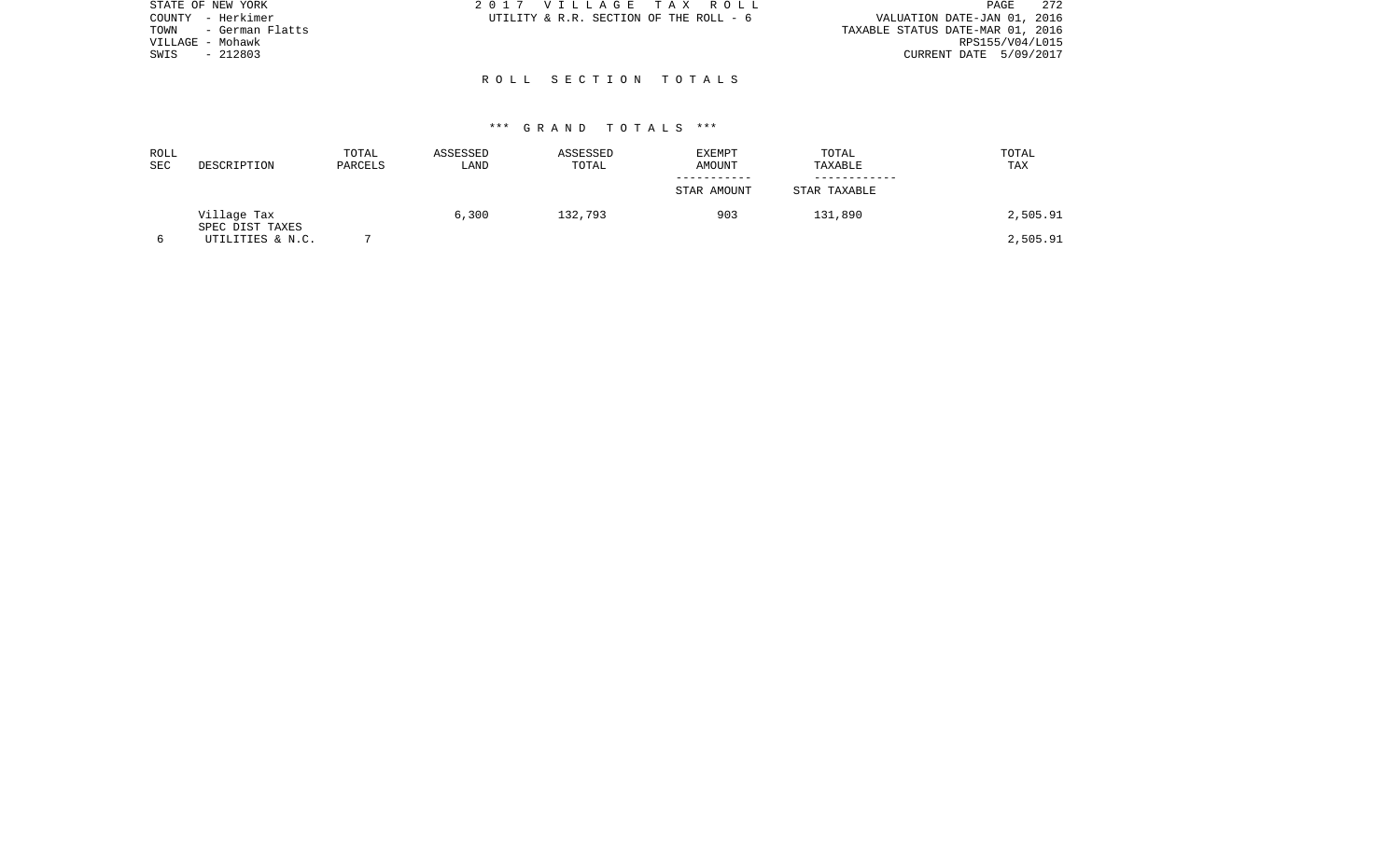| STATE OF NEW YORK       | 2017 VILLAGE TAX ROLL                  | 272<br>PAGE                      |
|-------------------------|----------------------------------------|----------------------------------|
| - Herkimer<br>COUNTY    | UTILITY & R.R. SECTION OF THE ROLL - 6 | VALUATION DATE-JAN 01, 2016      |
| - German Flatts<br>TOWN |                                        | TAXABLE STATUS DATE-MAR 01, 2016 |
| VILLAGE - Mohawk        |                                        | RPS155/V04/L015                  |
| $-212803$<br>SWIS       |                                        | CURRENT DATE 5/09/2017           |
|                         |                                        |                                  |
|                         | ROLL SECTION TOTALS                    |                                  |
|                         |                                        |                                  |

| ROLL<br>SEC | DESCRIPTION                    | TOTAL<br>PARCELS | ASSESSED<br>LAND | ASSESSED<br>TOTAL | EXEMPT<br>AMOUNT | TOTAL<br>TAXABLE | TOTAL<br>TAX |
|-------------|--------------------------------|------------------|------------------|-------------------|------------------|------------------|--------------|
|             |                                |                  |                  |                   | STAR AMOUNT      | STAR TAXABLE     |              |
|             | Village Tax<br>SPEC DIST TAXES |                  | 6,300            | 132,793           | 903              | 131,890          | 2,505.91     |
|             | UTILITIES & N.C.               |                  |                  |                   |                  |                  | 2,505.91     |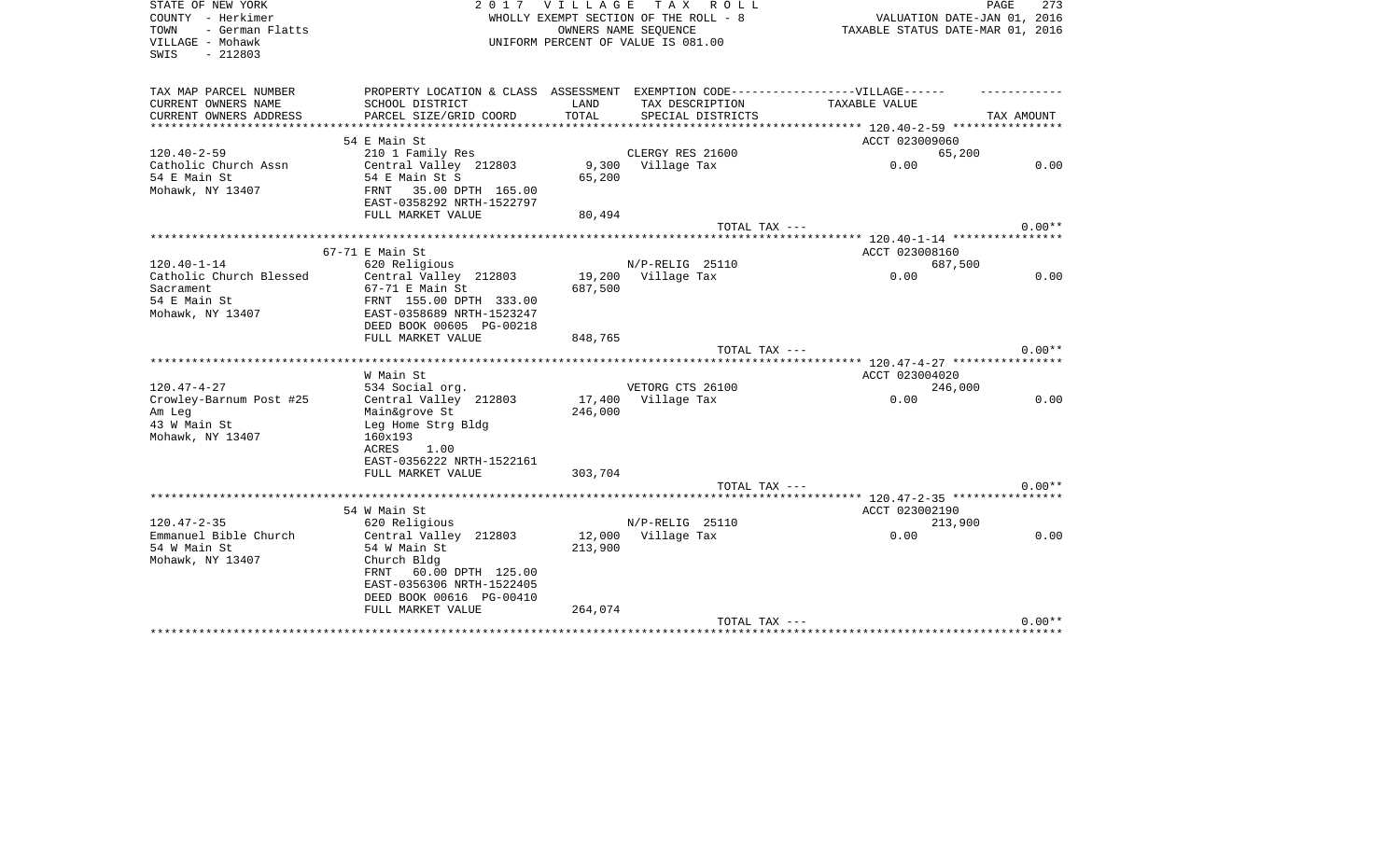| STATE OF NEW YORK<br>COUNTY - Herkimer<br>- German Flatts<br>TOWN | 2017                                                                              | <b>VILLAGE</b> | T A X<br>R O L L<br>WHOLLY EXEMPT SECTION OF THE ROLL - 8<br>OWNERS NAME SEOUENCE | VALUATION DATE-JAN 01, 2016<br>TAXABLE STATUS DATE-MAR 01, 2016 | PAGE<br>273 |
|-------------------------------------------------------------------|-----------------------------------------------------------------------------------|----------------|-----------------------------------------------------------------------------------|-----------------------------------------------------------------|-------------|
| VILLAGE - Mohawk<br>SWIS<br>$-212803$                             |                                                                                   |                | UNIFORM PERCENT OF VALUE IS 081.00                                                |                                                                 |             |
| TAX MAP PARCEL NUMBER                                             | PROPERTY LOCATION & CLASS ASSESSMENT EXEMPTION CODE-----------------VILLAGE------ |                |                                                                                   |                                                                 |             |
| CURRENT OWNERS NAME                                               | SCHOOL DISTRICT                                                                   | LAND           | TAX DESCRIPTION                                                                   | TAXABLE VALUE                                                   |             |
| CURRENT OWNERS ADDRESS                                            | PARCEL SIZE/GRID COORD                                                            | TOTAL          | SPECIAL DISTRICTS                                                                 |                                                                 | TAX AMOUNT  |
| **********************                                            | **************************                                                        |                |                                                                                   |                                                                 |             |
|                                                                   | 54 E Main St                                                                      |                |                                                                                   | ACCT 023009060                                                  |             |
| $120.40 - 2 - 59$                                                 | 210 1 Family Res                                                                  |                | CLERGY RES 21600                                                                  | 65,200                                                          |             |
| Catholic Church Assn                                              | Central Valley 212803                                                             | 9,300          | Village Tax                                                                       | 0.00                                                            | 0.00        |
| 54 E Main St<br>Mohawk, NY 13407                                  | 54 E Main St S<br>35.00 DPTH 165.00<br>FRNT<br>EAST-0358292 NRTH-1522797          | 65,200         |                                                                                   |                                                                 |             |
|                                                                   | FULL MARKET VALUE                                                                 | 80,494         |                                                                                   |                                                                 |             |
|                                                                   |                                                                                   |                | TOTAL TAX ---                                                                     |                                                                 | $0.00**$    |
|                                                                   |                                                                                   |                |                                                                                   |                                                                 |             |
|                                                                   | 67-71 E Main St                                                                   |                |                                                                                   | ACCT 023008160                                                  |             |
| $120.40 - 1 - 14$                                                 | 620 Religious                                                                     |                | N/P-RELIG 25110                                                                   | 687,500                                                         |             |
| Catholic Church Blessed                                           | Central Valley 212803                                                             | 19,200         | Village Tax                                                                       | 0.00                                                            | 0.00        |
| Sacrament                                                         | 67-71 E Main St                                                                   | 687,500        |                                                                                   |                                                                 |             |
| 54 E Main St                                                      | FRNT 155.00 DPTH 333.00                                                           |                |                                                                                   |                                                                 |             |
| Mohawk, NY 13407                                                  | EAST-0358689 NRTH-1523247                                                         |                |                                                                                   |                                                                 |             |
|                                                                   | DEED BOOK 00605 PG-00218                                                          |                |                                                                                   |                                                                 |             |
|                                                                   | FULL MARKET VALUE                                                                 | 848,765        |                                                                                   |                                                                 |             |
|                                                                   |                                                                                   |                | TOTAL TAX ---                                                                     |                                                                 | $0.00**$    |
|                                                                   |                                                                                   |                |                                                                                   | ****** 120.47-4-27 ****************                             |             |
|                                                                   | W Main St                                                                         |                |                                                                                   | ACCT 023004020                                                  |             |
| $120.47 - 4 - 27$                                                 | 534 Social org.                                                                   |                | VETORG CTS 26100                                                                  | 246,000                                                         |             |
| Crowley-Barnum Post #25                                           | Central Valley 212803                                                             | 17,400         | Village Tax                                                                       | 0.00                                                            | 0.00        |
| Am Leg                                                            | Main&grove St                                                                     | 246,000        |                                                                                   |                                                                 |             |
| 43 W Main St                                                      | Leg Home Strg Bldg                                                                |                |                                                                                   |                                                                 |             |
| Mohawk, NY 13407                                                  | 160x193<br>ACRES<br>1.00                                                          |                |                                                                                   |                                                                 |             |
|                                                                   | EAST-0356222 NRTH-1522161                                                         |                |                                                                                   |                                                                 |             |
|                                                                   | FULL MARKET VALUE                                                                 | 303,704        |                                                                                   |                                                                 |             |
|                                                                   |                                                                                   |                | TOTAL TAX ---                                                                     |                                                                 | $0.00**$    |
|                                                                   | ************************************                                              |                |                                                                                   | ******* 120.47-2-35 *****************                           |             |
|                                                                   | 54 W Main St                                                                      |                |                                                                                   | ACCT 023002190                                                  |             |
| $120.47 - 2 - 35$                                                 | 620 Religious                                                                     |                | N/P-RELIG 25110                                                                   | 213,900                                                         |             |
| Emmanuel Bible Church                                             | Central Valley 212803                                                             | 12,000         | Village Tax                                                                       | 0.00                                                            | 0.00        |
| 54 W Main St                                                      | 54 W Main St                                                                      | 213,900        |                                                                                   |                                                                 |             |
| Mohawk, NY 13407                                                  | Church Bldg                                                                       |                |                                                                                   |                                                                 |             |
|                                                                   | 60.00 DPTH 125.00<br>FRNT                                                         |                |                                                                                   |                                                                 |             |
|                                                                   | EAST-0356306 NRTH-1522405                                                         |                |                                                                                   |                                                                 |             |
|                                                                   | DEED BOOK 00616 PG-00410                                                          |                |                                                                                   |                                                                 |             |
|                                                                   | FULL MARKET VALUE                                                                 | 264,074        |                                                                                   |                                                                 |             |
|                                                                   |                                                                                   |                | TOTAL TAX ---                                                                     |                                                                 | $0.00**$    |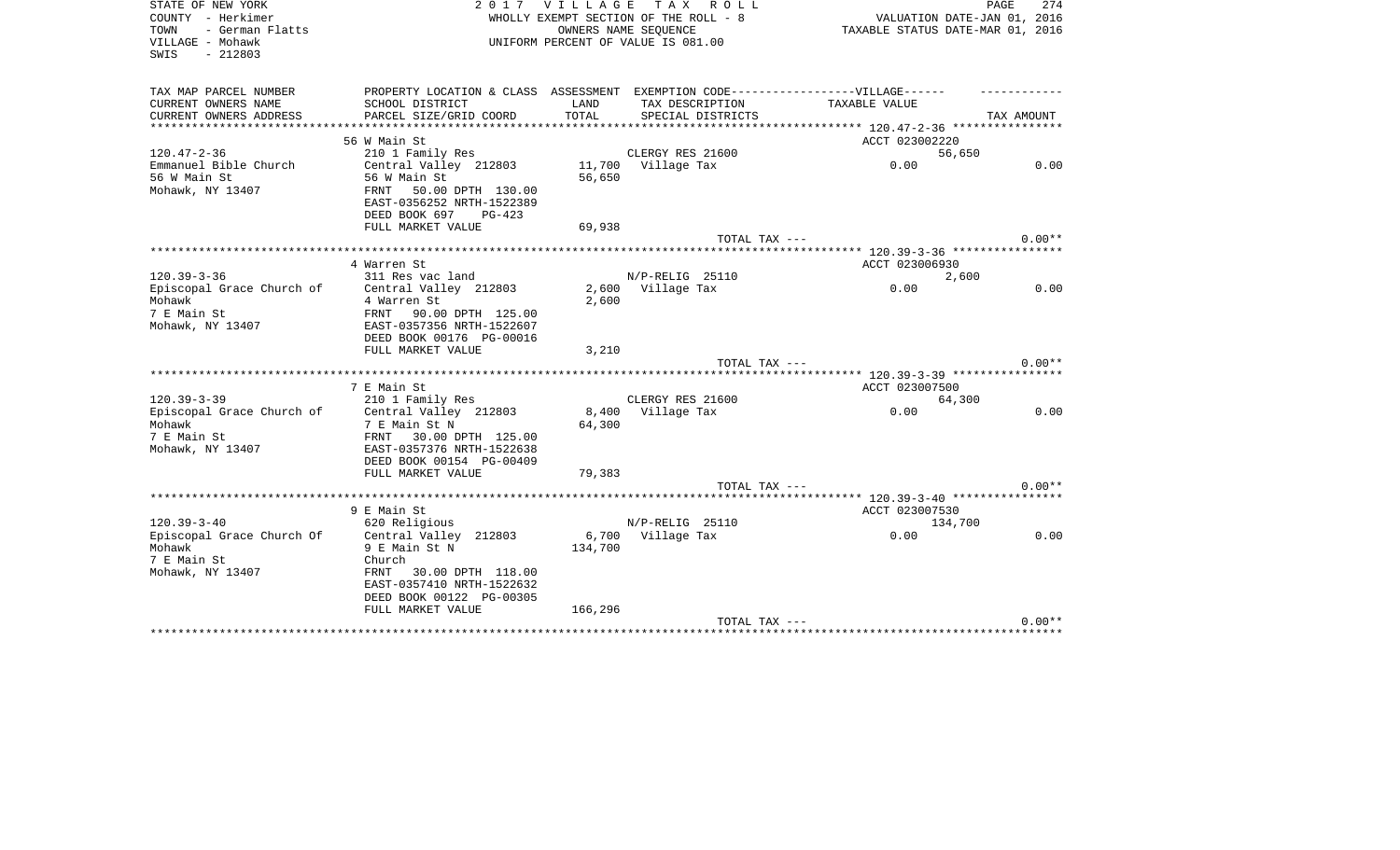| STATE OF NEW YORK<br>COUNTY - Herkimer<br>- German Flatts<br>TOWN<br>VILLAGE - Mohawk<br>$-212803$<br>SWIS | 2017                                                                                                                                | <b>VILLAGE</b> | TAX ROLL<br>WHOLLY EXEMPT SECTION OF THE ROLL - 8<br>OWNERS NAME SEQUENCE<br>UNIFORM PERCENT OF VALUE IS 081.00 | VALUATION DATE-JAN 01, 2016<br>TAXABLE STATUS DATE-MAR 01, 2016 | 274<br>PAGE |
|------------------------------------------------------------------------------------------------------------|-------------------------------------------------------------------------------------------------------------------------------------|----------------|-----------------------------------------------------------------------------------------------------------------|-----------------------------------------------------------------|-------------|
| TAX MAP PARCEL NUMBER<br>CURRENT OWNERS NAME                                                               | PROPERTY LOCATION & CLASS ASSESSMENT EXEMPTION CODE-----------------VILLAGE------<br>SCHOOL DISTRICT                                | LAND           | TAX DESCRIPTION                                                                                                 | TAXABLE VALUE                                                   |             |
| CURRENT OWNERS ADDRESS                                                                                     | PARCEL SIZE/GRID COORD                                                                                                              | TOTAL          | SPECIAL DISTRICTS                                                                                               |                                                                 | TAX AMOUNT  |
|                                                                                                            |                                                                                                                                     |                | ***************************                                                                                     | ****************** 120.47-2-36 *****************                |             |
|                                                                                                            | 56 W Main St                                                                                                                        |                |                                                                                                                 | ACCT 023002220                                                  |             |
| $120.47 - 2 - 36$                                                                                          | 210 1 Family Res                                                                                                                    |                | CLERGY RES 21600                                                                                                | 56,650                                                          |             |
| Emmanuel Bible Church<br>56 W Main St<br>Mohawk, NY 13407                                                  | Central Valley 212803<br>56 W Main St<br>FRNT<br>50.00 DPTH 130.00<br>EAST-0356252 NRTH-1522389<br>DEED BOOK 697<br>$PG-423$        | 56,650         | 11,700 Village Tax                                                                                              | 0.00                                                            | 0.00        |
|                                                                                                            | FULL MARKET VALUE                                                                                                                   | 69,938         |                                                                                                                 |                                                                 |             |
|                                                                                                            |                                                                                                                                     |                | TOTAL TAX ---                                                                                                   |                                                                 | $0.00**$    |
|                                                                                                            | 4 Warren St                                                                                                                         |                |                                                                                                                 |                                                                 |             |
| $120.39 - 3 - 36$                                                                                          | 311 Res vac land                                                                                                                    |                | N/P-RELIG 25110                                                                                                 | ACCT 023006930<br>2,600                                         |             |
| Episcopal Grace Church of                                                                                  | Central Valley 212803                                                                                                               |                | 2,600 Village Tax                                                                                               | 0.00                                                            | 0.00        |
| Mohawk<br>7 E Main St<br>Mohawk, NY 13407                                                                  | 4 Warren St<br>FRNT<br>90.00 DPTH 125.00<br>EAST-0357356 NRTH-1522607<br>DEED BOOK 00176 PG-00016                                   | 2,600          |                                                                                                                 |                                                                 |             |
|                                                                                                            | FULL MARKET VALUE                                                                                                                   | 3,210          |                                                                                                                 |                                                                 | $0.00**$    |
|                                                                                                            |                                                                                                                                     |                | TOTAL TAX ---                                                                                                   |                                                                 |             |
|                                                                                                            | 7 E Main St                                                                                                                         |                |                                                                                                                 | ACCT 023007500                                                  |             |
| $120.39 - 3 - 39$                                                                                          | 210 1 Family Res                                                                                                                    |                | CLERGY RES 21600                                                                                                | 64,300                                                          |             |
| Episcopal Grace Church of<br>Mohawk<br>7 E Main St<br>Mohawk, NY 13407                                     | Central Valley 212803<br>7 E Main St N<br>FRNT 30.00 DPTH 125.00<br>EAST-0357376 NRTH-1522638<br>DEED BOOK 00154 PG-00409           | 64,300         | 8,400 Village Tax                                                                                               | 0.00                                                            | 0.00        |
|                                                                                                            | FULL MARKET VALUE                                                                                                                   | 79,383         |                                                                                                                 |                                                                 |             |
|                                                                                                            |                                                                                                                                     |                | TOTAL TAX ---                                                                                                   |                                                                 | $0.00**$    |
|                                                                                                            |                                                                                                                                     |                |                                                                                                                 |                                                                 |             |
| $120.39 - 3 - 40$                                                                                          | 9 E Main St<br>620 Religious                                                                                                        |                | $N/P-RELLIG$ 25110                                                                                              | ACCT 023007530<br>134,700                                       |             |
| Episcopal Grace Church Of<br>Mohawk<br>7 E Main St<br>Mohawk, NY 13407                                     | Central Valley 212803<br>9 E Main St N<br>Church<br>FRNT 30.00 DPTH 118.00<br>EAST-0357410 NRTH-1522632<br>DEED BOOK 00122 PG-00305 | 134,700        | 6,700 Village Tax                                                                                               | 0.00                                                            | 0.00        |
|                                                                                                            | FULL MARKET VALUE                                                                                                                   | 166,296        | TOTAL TAX ---                                                                                                   |                                                                 | $0.00**$    |
|                                                                                                            |                                                                                                                                     |                |                                                                                                                 |                                                                 |             |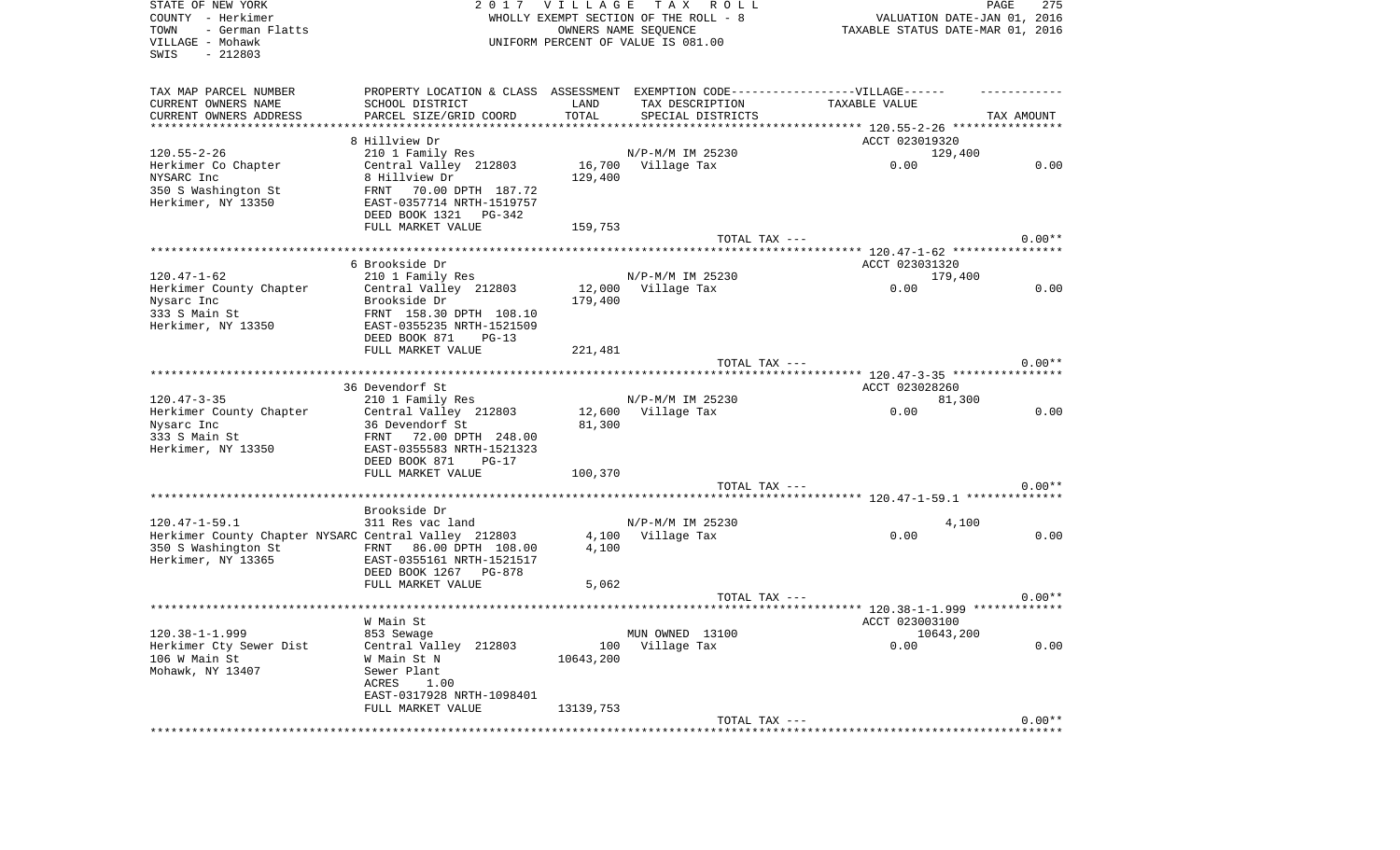| STATE OF NEW YORK<br>COUNTY - Herkimer               | 2017                                                                              | <b>VILLAGE</b> | T A X<br>R O L L<br>WHOLLY EXEMPT SECTION OF THE ROLL - 8 |                                                          | PAGE<br>275<br>VALUATION DATE-JAN 01, 2016 |
|------------------------------------------------------|-----------------------------------------------------------------------------------|----------------|-----------------------------------------------------------|----------------------------------------------------------|--------------------------------------------|
| - German Flatts<br>TOWN                              |                                                                                   |                | OWNERS NAME SEQUENCE                                      | TAXABLE STATUS DATE-MAR 01, 2016                         |                                            |
| VILLAGE - Mohawk<br>SWIS<br>$-212803$                |                                                                                   |                | UNIFORM PERCENT OF VALUE IS 081.00                        |                                                          |                                            |
| TAX MAP PARCEL NUMBER                                | PROPERTY LOCATION & CLASS ASSESSMENT EXEMPTION CODE-----------------VILLAGE------ |                |                                                           |                                                          |                                            |
| CURRENT OWNERS NAME                                  | SCHOOL DISTRICT                                                                   | LAND           | TAX DESCRIPTION                                           | TAXABLE VALUE                                            |                                            |
| CURRENT OWNERS ADDRESS                               | PARCEL SIZE/GRID COORD                                                            | TOTAL          | SPECIAL DISTRICTS                                         |                                                          | TAX AMOUNT                                 |
| **********************                               | **************************                                                        |                |                                                           |                                                          |                                            |
|                                                      | 8 Hillview Dr                                                                     |                |                                                           | ACCT 023019320                                           |                                            |
| $120.55 - 2 - 26$                                    | 210 1 Family Res                                                                  |                | N/P-M/M IM 25230                                          | 129,400                                                  |                                            |
| Herkimer Co Chapter                                  | Central Valley 212803                                                             | 16,700         | Village Tax                                               | 0.00                                                     | 0.00                                       |
| NYSARC Inc                                           | 8 Hillview Dr                                                                     | 129,400        |                                                           |                                                          |                                            |
| 350 S Washington St                                  | 70.00 DPTH 187.72<br>FRNT                                                         |                |                                                           |                                                          |                                            |
| Herkimer, NY 13350                                   | EAST-0357714 NRTH-1519757                                                         |                |                                                           |                                                          |                                            |
|                                                      | DEED BOOK 1321<br>PG-342<br>FULL MARKET VALUE                                     |                |                                                           |                                                          |                                            |
|                                                      |                                                                                   | 159,753        | TOTAL TAX ---                                             |                                                          | $0.00**$                                   |
|                                                      |                                                                                   |                |                                                           |                                                          |                                            |
|                                                      | 6 Brookside Dr                                                                    |                |                                                           | ACCT 023031320                                           |                                            |
| $120.47 - 1 - 62$                                    | 210 1 Family Res                                                                  |                | N/P-M/M IM 25230                                          | 179,400                                                  |                                            |
| Herkimer County Chapter                              | Central Valley 212803                                                             | 12,000         | Village Tax                                               | 0.00                                                     | 0.00                                       |
| Nysarc Inc                                           | Brookside Dr                                                                      | 179,400        |                                                           |                                                          |                                            |
| 333 S Main St                                        | FRNT 158.30 DPTH 108.10                                                           |                |                                                           |                                                          |                                            |
| Herkimer, NY 13350                                   | EAST-0355235 NRTH-1521509                                                         |                |                                                           |                                                          |                                            |
|                                                      | DEED BOOK 871<br>$PG-13$                                                          |                |                                                           |                                                          |                                            |
|                                                      | FULL MARKET VALUE                                                                 | 221,481        |                                                           |                                                          |                                            |
|                                                      |                                                                                   |                | TOTAL TAX ---                                             |                                                          | $0.00**$                                   |
|                                                      |                                                                                   |                |                                                           | ****** 120.47-3-35 *****************                     |                                            |
|                                                      | 36 Devendorf St                                                                   |                |                                                           | ACCT 023028260                                           |                                            |
| $120.47 - 3 - 35$                                    | 210 1 Family Res                                                                  |                | N/P-M/M IM 25230                                          | 81,300                                                   |                                            |
| Herkimer County Chapter                              | Central Valley 212803                                                             | 12,600         | Village Tax                                               | 0.00                                                     | 0.00                                       |
| Nysarc Inc<br>333 S Main St                          | 36 Devendorf St<br>FRNT 72.00 DPTH 248.00                                         | 81,300         |                                                           |                                                          |                                            |
| Herkimer, NY 13350                                   | EAST-0355583 NRTH-1521323                                                         |                |                                                           |                                                          |                                            |
|                                                      | DEED BOOK 871<br>$PG-17$                                                          |                |                                                           |                                                          |                                            |
|                                                      | FULL MARKET VALUE                                                                 | 100,370        |                                                           |                                                          |                                            |
|                                                      |                                                                                   |                | TOTAL TAX ---                                             |                                                          | $0.00**$                                   |
|                                                      | *****************************                                                     |                |                                                           | *************************** 120.47-1-59.1 ************** |                                            |
|                                                      | Brookside Dr                                                                      |                |                                                           |                                                          |                                            |
| $120.47 - 1 - 59.1$                                  | 311 Res vac land                                                                  |                | N/P-M/M IM 25230                                          | 4,100                                                    |                                            |
| Herkimer County Chapter NYSARC Central Valley 212803 |                                                                                   | 4,100          | Village Tax                                               | 0.00                                                     | 0.00                                       |
| 350 S Washington St                                  | 86.00 DPTH 108.00<br>FRNT                                                         | 4,100          |                                                           |                                                          |                                            |
| Herkimer, NY 13365                                   | EAST-0355161 NRTH-1521517                                                         |                |                                                           |                                                          |                                            |
|                                                      | DEED BOOK 1267 PG-878                                                             |                |                                                           |                                                          |                                            |
|                                                      | FULL MARKET VALUE                                                                 | 5,062          |                                                           |                                                          |                                            |
|                                                      |                                                                                   |                | TOTAL TAX ---                                             |                                                          | $0.00**$                                   |
|                                                      |                                                                                   |                |                                                           |                                                          |                                            |
| $120.38 - 1 - 1.999$                                 | W Main St<br>853 Sewage                                                           |                |                                                           | ACCT 023003100                                           |                                            |
| Herkimer Cty Sewer Dist                              | Central Valley 212803                                                             | 100            | MUN OWNED 13100<br>Village Tax                            | 10643,200<br>0.00                                        | 0.00                                       |
| 106 W Main St                                        | W Main St N                                                                       | 10643,200      |                                                           |                                                          |                                            |
| Mohawk, NY 13407                                     | Sewer Plant                                                                       |                |                                                           |                                                          |                                            |
|                                                      | ACRES<br>1.00                                                                     |                |                                                           |                                                          |                                            |
|                                                      | EAST-0317928 NRTH-1098401                                                         |                |                                                           |                                                          |                                            |
|                                                      | FULL MARKET VALUE                                                                 | 13139,753      |                                                           |                                                          |                                            |
|                                                      |                                                                                   |                | TOTAL TAX ---                                             |                                                          | $0.00**$                                   |
|                                                      |                                                                                   |                |                                                           |                                                          |                                            |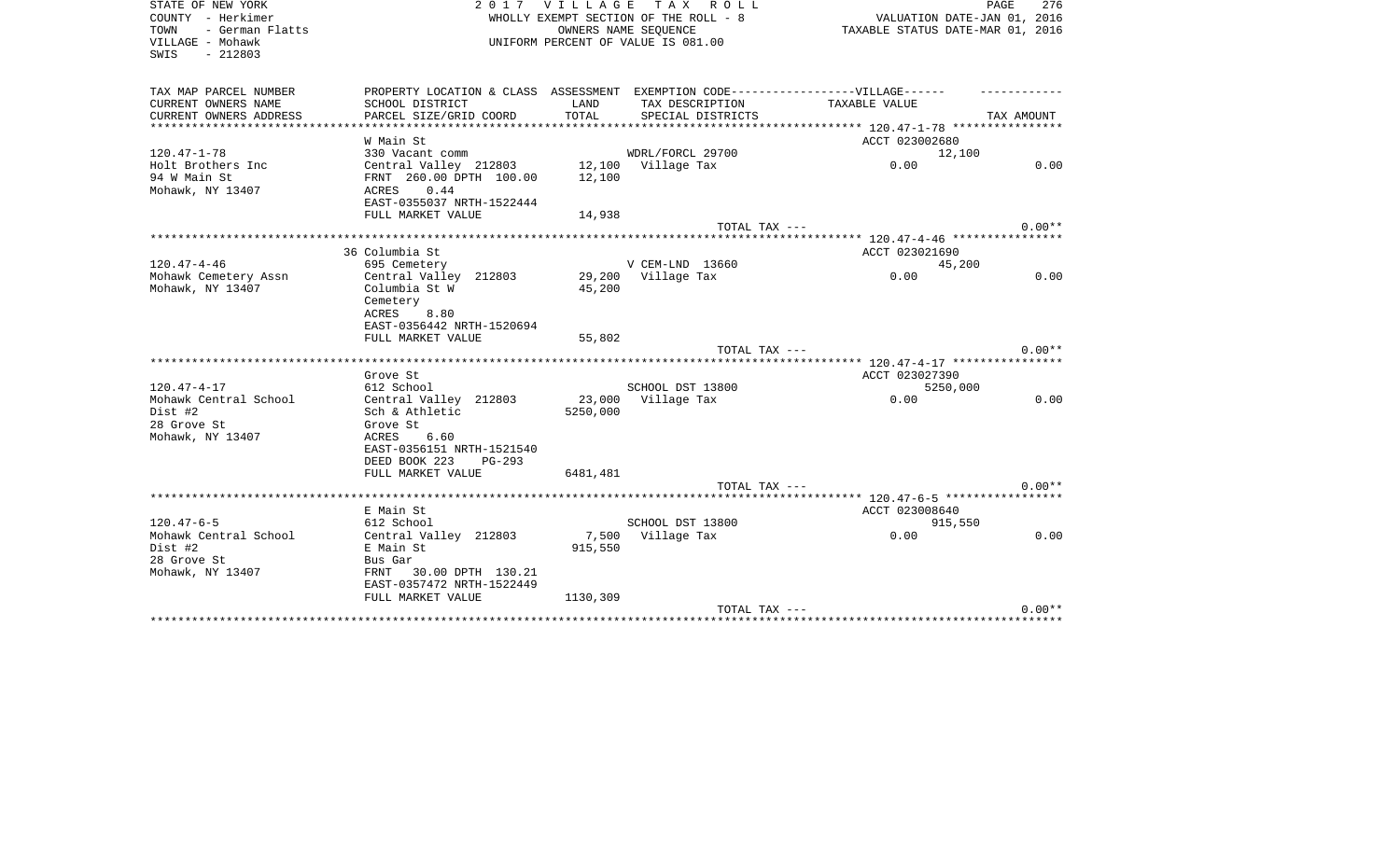| STATE OF NEW YORK       | 2017 VILLAGE                                                                      |                                  | PAGE<br>276        |                |            |
|-------------------------|-----------------------------------------------------------------------------------|----------------------------------|--------------------|----------------|------------|
| COUNTY - Herkimer       | WHOLLY EXEMPT SECTION OF THE ROLL - 8                                             | VALUATION DATE-JAN 01, 2016      |                    |                |            |
| TOWN<br>- German Flatts |                                                                                   | TAXABLE STATUS DATE-MAR 01, 2016 |                    |                |            |
| VILLAGE - Mohawk        | UNIFORM PERCENT OF VALUE IS 081.00                                                |                                  |                    |                |            |
| $-212803$<br>SWIS       |                                                                                   |                                  |                    |                |            |
|                         |                                                                                   |                                  |                    |                |            |
| TAX MAP PARCEL NUMBER   | PROPERTY LOCATION & CLASS ASSESSMENT EXEMPTION CODE-----------------VILLAGE------ |                                  |                    |                |            |
| CURRENT OWNERS NAME     | SCHOOL DISTRICT                                                                   | LAND                             | TAX DESCRIPTION    | TAXABLE VALUE  |            |
| CURRENT OWNERS ADDRESS  | PARCEL SIZE/GRID COORD                                                            | TOTAL                            | SPECIAL DISTRICTS  |                | TAX AMOUNT |
| *********************** | ********************                                                              |                                  |                    |                |            |
|                         | W Main St                                                                         |                                  |                    | ACCT 023002680 |            |
| $120.47 - 1 - 78$       | 330 Vacant comm                                                                   |                                  | WDRL/FORCL 29700   | 12,100         |            |
| Holt Brothers Inc       | Central Valley 212803                                                             |                                  | 12,100 Village Tax | 0.00           | 0.00       |
| 94 W Main St            | FRNT 260.00 DPTH 100.00                                                           | 12,100                           |                    |                |            |
|                         | ACRES<br>0.44                                                                     |                                  |                    |                |            |
| Mohawk, NY 13407        |                                                                                   |                                  |                    |                |            |
|                         | EAST-0355037 NRTH-1522444                                                         |                                  |                    |                |            |
|                         | FULL MARKET VALUE                                                                 | 14,938                           |                    |                | $0.00**$   |
|                         |                                                                                   |                                  | TOTAL TAX ---      |                |            |
|                         |                                                                                   |                                  |                    |                |            |
|                         | 36 Columbia St                                                                    |                                  |                    | ACCT 023021690 |            |
| $120.47 - 4 - 46$       | 695 Cemetery                                                                      |                                  | V CEM-LND 13660    | 45,200         |            |
| Mohawk Cemetery Assn    | Central Valley 212803                                                             | 29,200                           | Village Tax        | 0.00           | 0.00       |
| Mohawk, NY 13407        | Columbia St W                                                                     | 45,200                           |                    |                |            |
|                         | Cemetery                                                                          |                                  |                    |                |            |
|                         | ACRES<br>8.80                                                                     |                                  |                    |                |            |
|                         | EAST-0356442 NRTH-1520694                                                         |                                  |                    |                |            |
|                         | FULL MARKET VALUE                                                                 | 55,802                           |                    |                |            |
|                         |                                                                                   |                                  | TOTAL TAX ---      |                | $0.00**$   |
|                         |                                                                                   |                                  |                    |                |            |
|                         | Grove St                                                                          |                                  |                    | ACCT 023027390 |            |
| $120.47 - 4 - 17$       | 612 School                                                                        |                                  | SCHOOL DST 13800   | 5250,000       |            |
| Mohawk Central School   | Central Valley 212803                                                             | 23,000                           | Village Tax        | 0.00           | 0.00       |
| Dist #2                 | Sch & Athletic                                                                    | 5250,000                         |                    |                |            |
| 28 Grove St             | Grove St                                                                          |                                  |                    |                |            |
| Mohawk, NY 13407        | ACRES<br>6.60                                                                     |                                  |                    |                |            |
|                         | EAST-0356151 NRTH-1521540                                                         |                                  |                    |                |            |
|                         | DEED BOOK 223<br>$PG-293$                                                         |                                  |                    |                |            |
|                         | FULL MARKET VALUE                                                                 | 6481,481                         |                    |                |            |
|                         |                                                                                   |                                  | TOTAL TAX ---      |                | $0.00**$   |
|                         |                                                                                   |                                  |                    |                |            |
|                         | E Main St                                                                         |                                  |                    | ACCT 023008640 |            |
| $120.47 - 6 - 5$        | 612 School                                                                        |                                  | SCHOOL DST 13800   | 915,550        |            |
| Mohawk Central School   | Central Valley 212803                                                             | 7,500                            | Village Tax        | 0.00           | 0.00       |
| Dist #2                 | E Main St                                                                         | 915,550                          |                    |                |            |
| 28 Grove St             | Bus Gar                                                                           |                                  |                    |                |            |
| Mohawk, NY 13407        | 30.00 DPTH 130.21<br>FRNT                                                         |                                  |                    |                |            |
|                         | EAST-0357472 NRTH-1522449                                                         |                                  |                    |                |            |
|                         | FULL MARKET VALUE                                                                 | 1130,309                         |                    |                |            |
|                         |                                                                                   |                                  | TOTAL TAX ---      |                | $0.00**$   |
|                         |                                                                                   |                                  |                    |                |            |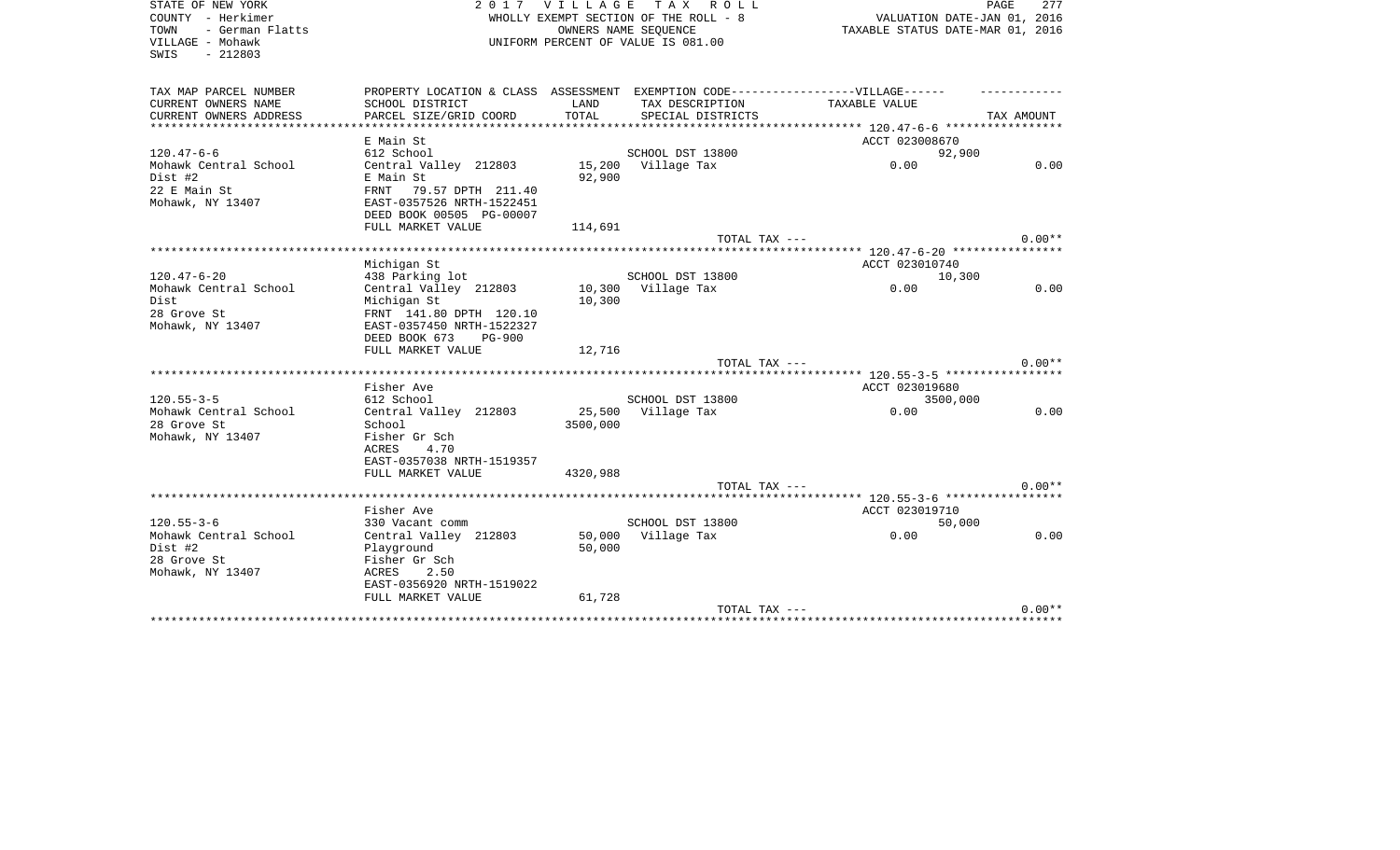| STATE OF NEW YORK                            | 2017                                                                             | VILLAGE                                                         | T A X<br>R O L L<br>WHOLLY EXEMPT SECTION OF THE ROLL - 8  |                                       | PAGE<br>277 |
|----------------------------------------------|----------------------------------------------------------------------------------|-----------------------------------------------------------------|------------------------------------------------------------|---------------------------------------|-------------|
| COUNTY - Herkimer<br>- German Flatts<br>TOWN |                                                                                  | VALUATION DATE-JAN 01, 2016<br>TAXABLE STATUS DATE-MAR 01, 2016 |                                                            |                                       |             |
| VILLAGE - Mohawk<br>$-212803$<br>SWIS        |                                                                                  |                                                                 | OWNERS NAME SEQUENCE<br>UNIFORM PERCENT OF VALUE IS 081.00 |                                       |             |
|                                              |                                                                                  |                                                                 |                                                            |                                       |             |
| TAX MAP PARCEL NUMBER                        | PROPERTY LOCATION & CLASS ASSESSMENT EXEMPTION CODE----------------VILLAGE------ |                                                                 |                                                            |                                       |             |
| CURRENT OWNERS NAME                          | SCHOOL DISTRICT                                                                  | LAND                                                            | TAX DESCRIPTION                                            | TAXABLE VALUE                         |             |
| CURRENT OWNERS ADDRESS                       | PARCEL SIZE/GRID COORD                                                           | TOTAL                                                           | SPECIAL DISTRICTS                                          |                                       | TAX AMOUNT  |
|                                              |                                                                                  |                                                                 |                                                            |                                       |             |
|                                              | E Main St                                                                        |                                                                 |                                                            | ACCT 023008670                        |             |
| $120.47 - 6 - 6$                             | 612 School                                                                       |                                                                 | SCHOOL DST 13800                                           | 92,900                                |             |
| Mohawk Central School                        | Central Valley 212803                                                            | 15,200                                                          | Village Tax                                                | 0.00                                  | 0.00        |
| Dist #2                                      | E Main St                                                                        | 92,900                                                          |                                                            |                                       |             |
| 22 E Main St<br>Mohawk, NY 13407             | FRNT<br>79.57 DPTH 211.40<br>EAST-0357526 NRTH-1522451                           |                                                                 |                                                            |                                       |             |
|                                              | DEED BOOK 00505 PG-00007                                                         |                                                                 |                                                            |                                       |             |
|                                              | FULL MARKET VALUE                                                                | 114,691                                                         |                                                            |                                       |             |
|                                              |                                                                                  |                                                                 | TOTAL TAX ---                                              |                                       | $0.00**$    |
|                                              | ********************                                                             |                                                                 |                                                            | ******* 120.47-6-20 ***************** |             |
|                                              | Michigan St                                                                      |                                                                 |                                                            | ACCT 023010740                        |             |
| $120.47 - 6 - 20$                            | 438 Parking lot                                                                  |                                                                 | SCHOOL DST 13800                                           | 10,300                                |             |
| Mohawk Central School                        | Central Valley 212803                                                            | 10,300                                                          | Village Tax                                                | 0.00                                  | 0.00        |
| Dist                                         | Michigan St                                                                      | 10,300                                                          |                                                            |                                       |             |
| 28 Grove St                                  | FRNT 141.80 DPTH 120.10                                                          |                                                                 |                                                            |                                       |             |
| Mohawk, NY 13407                             | EAST-0357450 NRTH-1522327                                                        |                                                                 |                                                            |                                       |             |
|                                              | DEED BOOK 673<br><b>PG-900</b>                                                   |                                                                 |                                                            |                                       |             |
|                                              | FULL MARKET VALUE                                                                | 12,716                                                          |                                                            |                                       |             |
|                                              |                                                                                  |                                                                 | TOTAL TAX ---                                              |                                       | $0.00**$    |
|                                              |                                                                                  |                                                                 |                                                            |                                       |             |
|                                              | Fisher Ave                                                                       |                                                                 |                                                            | ACCT 023019680                        |             |
| $120.55 - 3 - 5$                             | 612 School                                                                       |                                                                 | SCHOOL DST 13800                                           | 3500,000                              |             |
| Mohawk Central School                        | Central Valley 212803                                                            | 25,500                                                          | Village Tax                                                | 0.00                                  | 0.00        |
| 28 Grove St                                  | School                                                                           | 3500,000                                                        |                                                            |                                       |             |
| Mohawk, NY 13407                             | Fisher Gr Sch<br>ACRES<br>4.70                                                   |                                                                 |                                                            |                                       |             |
|                                              | EAST-0357038 NRTH-1519357                                                        |                                                                 |                                                            |                                       |             |
|                                              | FULL MARKET VALUE                                                                | 4320,988                                                        |                                                            |                                       |             |
|                                              |                                                                                  |                                                                 | TOTAL TAX ---                                              |                                       | $0.00**$    |
|                                              |                                                                                  |                                                                 |                                                            |                                       |             |
|                                              | Fisher Ave                                                                       |                                                                 |                                                            | ACCT 023019710                        |             |
| $120.55 - 3 - 6$                             | 330 Vacant comm                                                                  |                                                                 | SCHOOL DST 13800                                           | 50,000                                |             |
| Mohawk Central School                        | Central Valley 212803                                                            | 50,000                                                          | Village Tax                                                | 0.00                                  | 0.00        |
| Dist #2                                      | Playground                                                                       | 50,000                                                          |                                                            |                                       |             |
| 28 Grove St                                  | Fisher Gr Sch                                                                    |                                                                 |                                                            |                                       |             |
| Mohawk, NY 13407                             | ACRES<br>2.50                                                                    |                                                                 |                                                            |                                       |             |
|                                              | EAST-0356920 NRTH-1519022                                                        |                                                                 |                                                            |                                       |             |
|                                              | FULL MARKET VALUE                                                                | 61,728                                                          |                                                            |                                       |             |
|                                              |                                                                                  |                                                                 | TOTAL TAX ---                                              |                                       | $0.00**$    |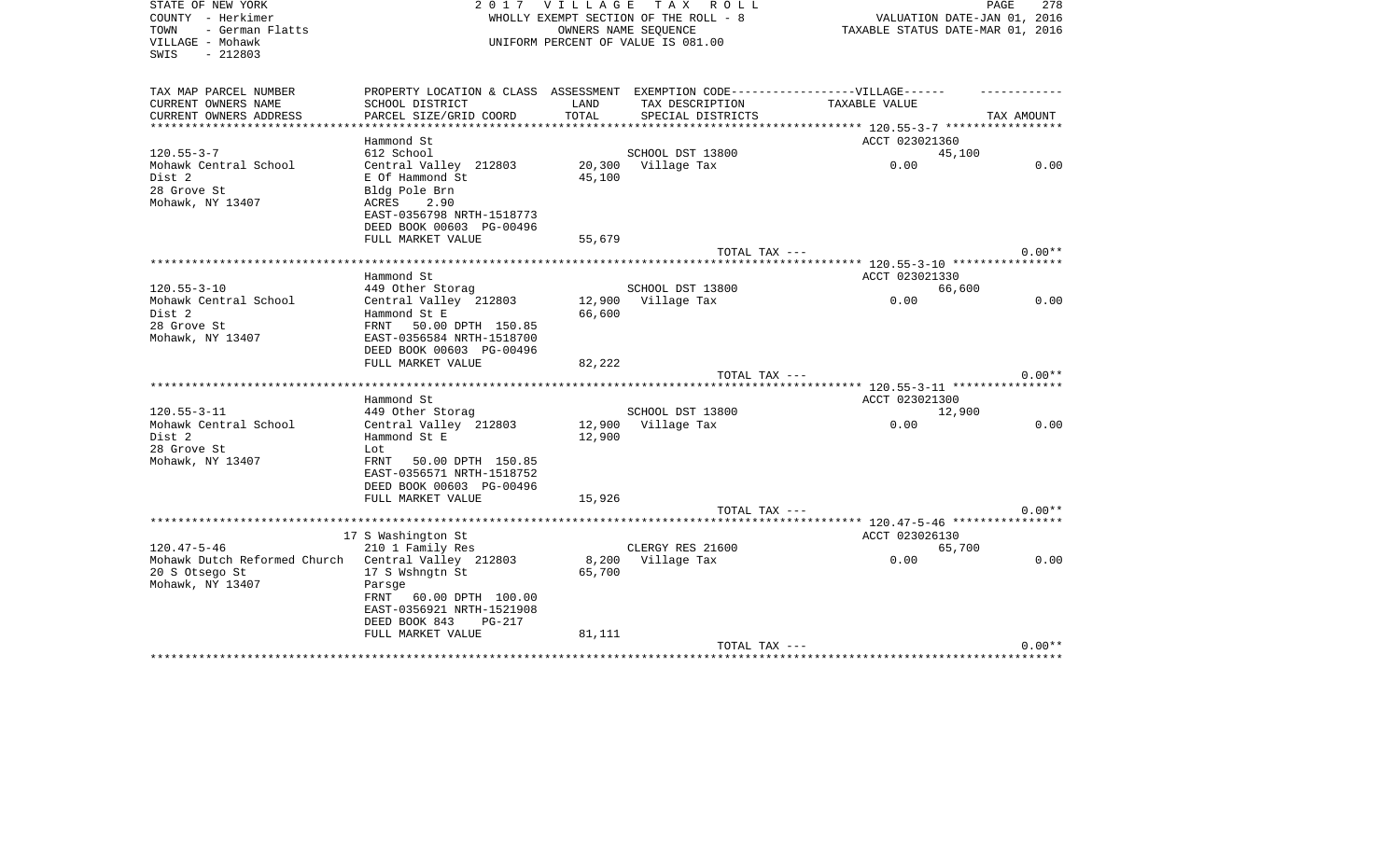| STATE OF NEW YORK<br>COUNTY - Herkimer                           | 2017                                                                              | <b>VILLAGE</b>   | TAX ROLL<br>WHOLLY EXEMPT SECTION OF THE ROLL - 8          | VALUATION DATE-JAN 01, 2016      | 278<br>PAGE |
|------------------------------------------------------------------|-----------------------------------------------------------------------------------|------------------|------------------------------------------------------------|----------------------------------|-------------|
| - German Flatts<br>TOWN<br>VILLAGE - Mohawk<br>SWIS<br>$-212803$ |                                                                                   |                  | OWNERS NAME SEQUENCE<br>UNIFORM PERCENT OF VALUE IS 081.00 | TAXABLE STATUS DATE-MAR 01, 2016 |             |
| TAX MAP PARCEL NUMBER                                            | PROPERTY LOCATION & CLASS ASSESSMENT EXEMPTION CODE-----------------VILLAGE------ |                  |                                                            |                                  |             |
| CURRENT OWNERS NAME                                              | SCHOOL DISTRICT                                                                   | LAND             | TAX DESCRIPTION                                            | TAXABLE VALUE                    |             |
| CURRENT OWNERS ADDRESS<br>*********************                  | PARCEL SIZE/GRID COORD                                                            | TOTAL            | SPECIAL DISTRICTS                                          |                                  | TAX AMOUNT  |
|                                                                  | Hammond St                                                                        |                  |                                                            | ACCT 023021360                   |             |
| $120.55 - 3 - 7$                                                 | 612 School                                                                        |                  | SCHOOL DST 13800                                           | 45,100                           |             |
| Mohawk Central School<br>Dist 2                                  | Central Valley 212803<br>E Of Hammond St                                          | 20,300<br>45,100 | Village Tax                                                | 0.00                             | 0.00        |
| 28 Grove St<br>Mohawk, NY 13407                                  | Bldg Pole Brn<br>ACRES<br>2.90<br>EAST-0356798 NRTH-1518773                       |                  |                                                            |                                  |             |
|                                                                  | DEED BOOK 00603 PG-00496<br>FULL MARKET VALUE                                     | 55,679           |                                                            |                                  |             |
|                                                                  |                                                                                   |                  | TOTAL TAX ---                                              |                                  | $0.00**$    |
|                                                                  |                                                                                   |                  |                                                            |                                  |             |
|                                                                  | Hammond St                                                                        |                  |                                                            | ACCT 023021330                   |             |
| $120.55 - 3 - 10$                                                | 449 Other Storag                                                                  |                  | SCHOOL DST 13800                                           | 66,600                           |             |
| Mohawk Central School                                            | Central Valley 212803                                                             | 12,900           | Village Tax                                                | 0.00                             | 0.00        |
| Dist 2                                                           | Hammond St E                                                                      | 66,600           |                                                            |                                  |             |
| 28 Grove St                                                      | FRNT<br>50.00 DPTH 150.85                                                         |                  |                                                            |                                  |             |
| Mohawk, NY 13407                                                 | EAST-0356584 NRTH-1518700<br>DEED BOOK 00603 PG-00496                             |                  |                                                            |                                  |             |
|                                                                  | FULL MARKET VALUE                                                                 | 82,222           |                                                            |                                  |             |
|                                                                  | ****************************                                                      |                  | TOTAL TAX ---                                              |                                  | $0.00**$    |
|                                                                  | Hammond St                                                                        |                  |                                                            | ACCT 023021300                   |             |
| $120.55 - 3 - 11$                                                | 449 Other Storag                                                                  |                  | SCHOOL DST 13800                                           | 12,900                           |             |
| Mohawk Central School                                            | Central Valley 212803                                                             | 12,900           | Village Tax                                                | 0.00                             | 0.00        |
| Dist 2                                                           | Hammond St E                                                                      | 12,900           |                                                            |                                  |             |
| 28 Grove St                                                      | Lot                                                                               |                  |                                                            |                                  |             |
| Mohawk, NY 13407                                                 | 50.00 DPTH 150.85<br>FRNT                                                         |                  |                                                            |                                  |             |
|                                                                  | EAST-0356571 NRTH-1518752                                                         |                  |                                                            |                                  |             |
|                                                                  | DEED BOOK 00603 PG-00496                                                          |                  |                                                            |                                  |             |
|                                                                  | FULL MARKET VALUE                                                                 | 15,926           |                                                            |                                  | $0.00**$    |
|                                                                  |                                                                                   |                  | TOTAL TAX ---                                              |                                  |             |
|                                                                  | 17 S Washington St                                                                |                  |                                                            | ACCT 023026130                   |             |
| $120.47 - 5 - 46$                                                | 210 1 Family Res                                                                  |                  | CLERGY RES 21600                                           | 65,700                           |             |
| Mohawk Dutch Reformed Church Central Valley 212803               |                                                                                   | 8,200            | Village Tax                                                | 0.00                             | 0.00        |
| 20 S Otsego St                                                   | 17 S Wshngtn St                                                                   | 65,700           |                                                            |                                  |             |
| Mohawk, NY 13407                                                 | Parsge                                                                            |                  |                                                            |                                  |             |
|                                                                  | FRNT 60.00 DPTH 100.00                                                            |                  |                                                            |                                  |             |
|                                                                  | EAST-0356921 NRTH-1521908                                                         |                  |                                                            |                                  |             |
|                                                                  | DEED BOOK 843<br><b>PG-217</b>                                                    |                  |                                                            |                                  |             |
|                                                                  | FULL MARKET VALUE                                                                 | 81,111           |                                                            |                                  |             |
|                                                                  |                                                                                   |                  | TOTAL TAX ---                                              |                                  | $0.00**$    |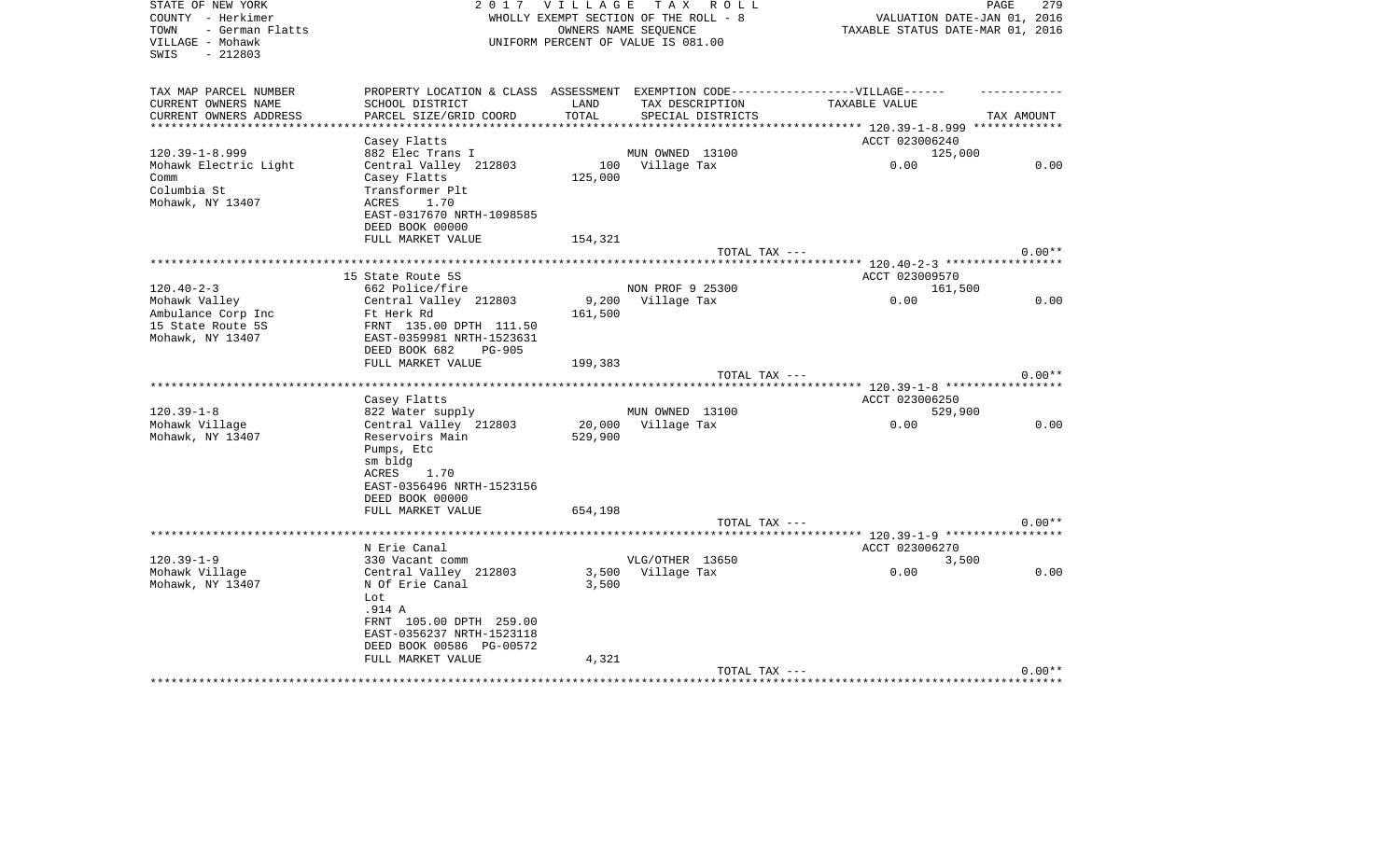| STATE OF NEW YORK       |                                                                                   | 2017 VILLAGE TAX                 | R O L L                                                       |                                          | PAGE<br>279                 |
|-------------------------|-----------------------------------------------------------------------------------|----------------------------------|---------------------------------------------------------------|------------------------------------------|-----------------------------|
| COUNTY - Herkimer       |                                                                                   |                                  | WHOLLY EXEMPT SECTION OF THE ROLL - 8<br>OWNERS NAME SEQUENCE |                                          | VALUATION DATE-JAN 01, 2016 |
| - German Flatts<br>TOWN |                                                                                   | TAXABLE STATUS DATE-MAR 01, 2016 |                                                               |                                          |                             |
| VILLAGE - Mohawk        |                                                                                   |                                  | UNIFORM PERCENT OF VALUE IS 081.00                            |                                          |                             |
| SWIS<br>$-212803$       |                                                                                   |                                  |                                                               |                                          |                             |
|                         |                                                                                   |                                  |                                                               |                                          |                             |
| TAX MAP PARCEL NUMBER   | PROPERTY LOCATION & CLASS ASSESSMENT EXEMPTION CODE-----------------VILLAGE------ |                                  |                                                               |                                          |                             |
| CURRENT OWNERS NAME     | SCHOOL DISTRICT                                                                   | LAND                             | TAX DESCRIPTION                                               | TAXABLE VALUE                            |                             |
| CURRENT OWNERS ADDRESS  | PARCEL SIZE/GRID COORD                                                            | TOTAL                            | SPECIAL DISTRICTS                                             |                                          | TAX AMOUNT                  |
| **********************  |                                                                                   |                                  |                                                               |                                          |                             |
|                         | Casey Flatts                                                                      |                                  |                                                               | ACCT 023006240                           |                             |
| $120.39 - 1 - 8.999$    | 882 Elec Trans I                                                                  |                                  | MUN OWNED 13100                                               | 125,000                                  |                             |
| Mohawk Electric Light   | Central Valley 212803                                                             |                                  | 100 Village Tax                                               | 0.00                                     | 0.00                        |
| Comm                    | Casey Flatts                                                                      | 125,000                          |                                                               |                                          |                             |
| Columbia St             | Transformer Plt                                                                   |                                  |                                                               |                                          |                             |
| Mohawk, NY 13407        | ACRES<br>1.70                                                                     |                                  |                                                               |                                          |                             |
|                         | EAST-0317670 NRTH-1098585                                                         |                                  |                                                               |                                          |                             |
|                         | DEED BOOK 00000                                                                   |                                  |                                                               |                                          |                             |
|                         | FULL MARKET VALUE                                                                 | 154,321                          |                                                               |                                          |                             |
|                         |                                                                                   |                                  | TOTAL TAX ---                                                 |                                          | $0.00**$                    |
|                         |                                                                                   |                                  |                                                               | ********** 120.40-2-3 ****************** |                             |
|                         | 15 State Route 5S                                                                 |                                  |                                                               | ACCT 023009570                           |                             |
| $120.40 - 2 - 3$        | 662 Police/fire                                                                   |                                  | NON PROF 9 25300                                              | 161,500                                  |                             |
| Mohawk Valley           | Central Valley 212803                                                             | 9,200                            | Village Tax                                                   | 0.00                                     | 0.00                        |
| Ambulance Corp Inc      | Ft Herk Rd                                                                        | 161,500                          |                                                               |                                          |                             |
| 15 State Route 5S       | FRNT 135.00 DPTH 111.50                                                           |                                  |                                                               |                                          |                             |
| Mohawk, NY 13407        | EAST-0359981 NRTH-1523631                                                         |                                  |                                                               |                                          |                             |
|                         | DEED BOOK 682<br><b>PG-905</b>                                                    |                                  |                                                               |                                          |                             |
|                         | FULL MARKET VALUE                                                                 | 199,383                          |                                                               |                                          |                             |
|                         |                                                                                   |                                  | TOTAL TAX ---                                                 |                                          | $0.00**$                    |
|                         |                                                                                   |                                  |                                                               |                                          |                             |
|                         | Casey Flatts                                                                      |                                  |                                                               | ACCT 023006250                           |                             |
| $120.39 - 1 - 8$        | 822 Water supply                                                                  |                                  | MUN OWNED 13100                                               | 529,900                                  |                             |
| Mohawk Village          | Central Valley 212803                                                             | 20,000                           | Village Tax                                                   | 0.00                                     | 0.00                        |
| Mohawk, NY 13407        | Reservoirs Main                                                                   | 529,900                          |                                                               |                                          |                             |
|                         | Pumps, Etc                                                                        |                                  |                                                               |                                          |                             |
|                         | sm bldg                                                                           |                                  |                                                               |                                          |                             |
|                         | ACRES<br>1.70                                                                     |                                  |                                                               |                                          |                             |
|                         | EAST-0356496 NRTH-1523156                                                         |                                  |                                                               |                                          |                             |
|                         | DEED BOOK 00000                                                                   |                                  |                                                               |                                          |                             |
|                         | FULL MARKET VALUE                                                                 | 654,198                          |                                                               |                                          |                             |
|                         |                                                                                   |                                  | TOTAL TAX ---                                                 |                                          | $0.00**$                    |
|                         |                                                                                   |                                  |                                                               |                                          |                             |
|                         | N Erie Canal                                                                      |                                  |                                                               | ACCT 023006270                           |                             |
| $120.39 - 1 - 9$        | 330 Vacant comm                                                                   |                                  | VLG/OTHER 13650                                               | 3,500                                    |                             |
| Mohawk Village          | Central Valley 212803                                                             |                                  | 3,500 Village Tax                                             | 0.00                                     | 0.00                        |
| Mohawk, NY 13407        | N Of Erie Canal                                                                   | 3,500                            |                                                               |                                          |                             |
|                         | Lot.                                                                              |                                  |                                                               |                                          |                             |
|                         | .914 A                                                                            |                                  |                                                               |                                          |                             |
|                         | FRNT 105.00 DPTH 259.00                                                           |                                  |                                                               |                                          |                             |
|                         | EAST-0356237 NRTH-1523118                                                         |                                  |                                                               |                                          |                             |
|                         | DEED BOOK 00586 PG-00572                                                          |                                  |                                                               |                                          |                             |
|                         | FULL MARKET VALUE                                                                 | 4,321                            | TOTAL TAX ---                                                 |                                          | $0.00**$                    |
|                         |                                                                                   |                                  |                                                               |                                          |                             |
|                         |                                                                                   |                                  |                                                               |                                          |                             |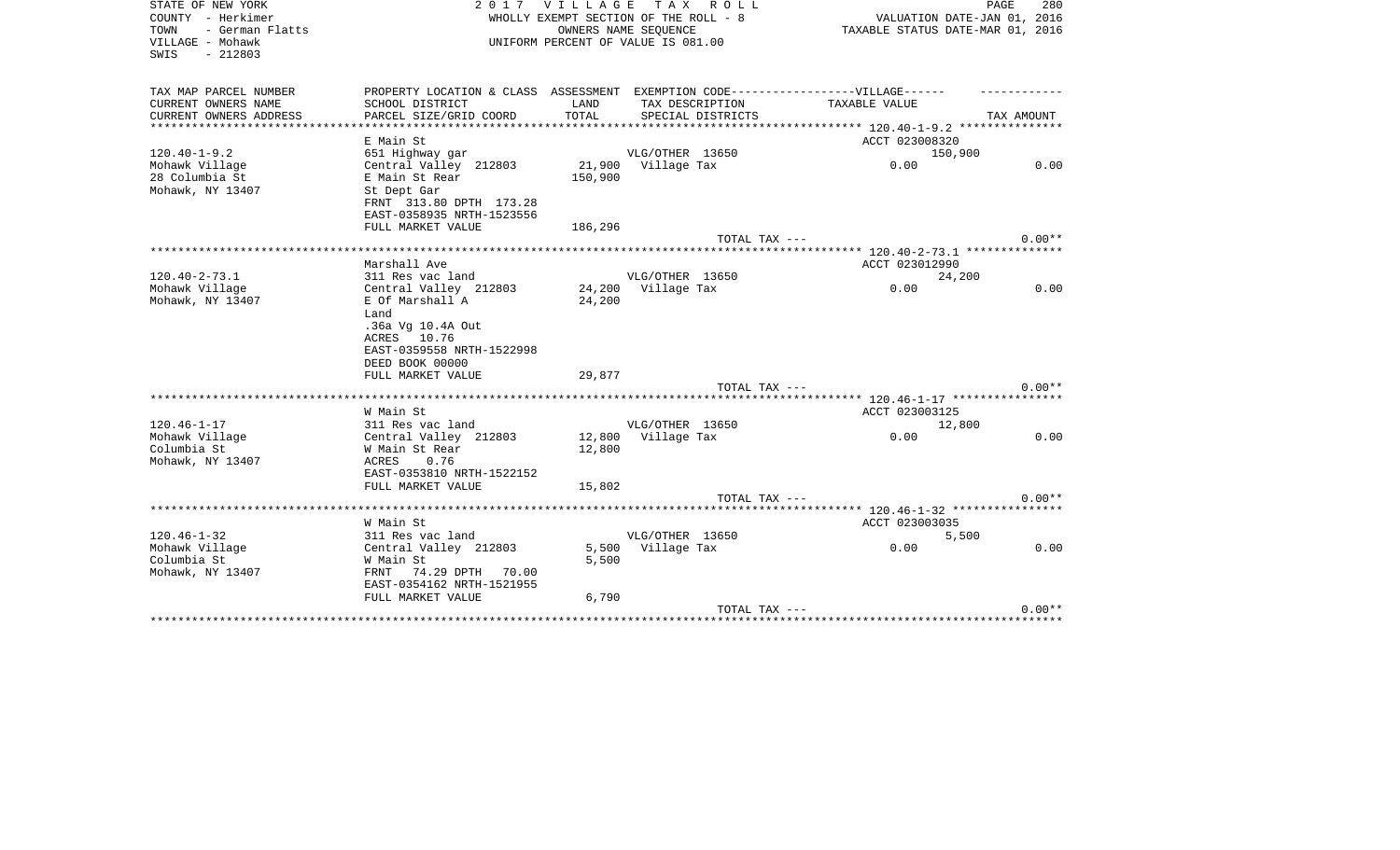| STATE OF NEW YORK<br>COUNTY - Herkimer                           | 2017                                                                                        | <b>VILLAGE</b><br>WHOLLY EXEMPT SECTION OF THE ROLL - 8    | T A X           | R O L L           | PAGE<br>VALUATION DATE-JAN 01, 2016                                        | 280        |
|------------------------------------------------------------------|---------------------------------------------------------------------------------------------|------------------------------------------------------------|-----------------|-------------------|----------------------------------------------------------------------------|------------|
| - German Flatts<br>TOWN<br>VILLAGE - Mohawk<br>$-212803$<br>SWIS |                                                                                             | OWNERS NAME SEQUENCE<br>UNIFORM PERCENT OF VALUE IS 081.00 |                 |                   | TAXABLE STATUS DATE-MAR 01, 2016                                           |            |
| TAX MAP PARCEL NUMBER                                            | PROPERTY LOCATION & CLASS ASSESSMENT EXEMPTION CODE-----------------VILLAGE------           |                                                            |                 |                   |                                                                            |            |
| CURRENT OWNERS NAME                                              | SCHOOL DISTRICT                                                                             | LAND                                                       | TAX DESCRIPTION |                   | TAXABLE VALUE                                                              |            |
| CURRENT OWNERS ADDRESS                                           | PARCEL SIZE/GRID COORD                                                                      | TOTAL                                                      |                 | SPECIAL DISTRICTS |                                                                            | TAX AMOUNT |
| *********************                                            |                                                                                             |                                                            |                 |                   |                                                                            |            |
|                                                                  | E Main St                                                                                   |                                                            |                 |                   | ACCT 023008320                                                             |            |
| $120.40 - 1 - 9.2$                                               | 651 Highway gar                                                                             |                                                            | VLG/OTHER 13650 |                   | 150,900                                                                    |            |
| Mohawk Village                                                   | Central Valley 212803                                                                       | 21,900                                                     | Village Tax     |                   | 0.00                                                                       | 0.00       |
| 28 Columbia St                                                   | E Main St Rear                                                                              | 150,900                                                    |                 |                   |                                                                            |            |
| Mohawk, NY 13407                                                 | St Dept Gar                                                                                 |                                                            |                 |                   |                                                                            |            |
|                                                                  | FRNT 313.80 DPTH 173.28                                                                     |                                                            |                 |                   |                                                                            |            |
|                                                                  | EAST-0358935 NRTH-1523556                                                                   |                                                            |                 |                   |                                                                            |            |
|                                                                  | FULL MARKET VALUE                                                                           | 186,296                                                    |                 |                   |                                                                            |            |
|                                                                  |                                                                                             |                                                            |                 | TOTAL TAX ---     |                                                                            | $0.00**$   |
|                                                                  | Marshall Ave                                                                                |                                                            |                 |                   | ************************** 120.40-2-73.1 ***************<br>ACCT 023012990 |            |
| $120.40 - 2 - 73.1$                                              | 311 Res vac land                                                                            |                                                            | VLG/OTHER 13650 |                   |                                                                            |            |
| Mohawk Village                                                   | Central Valley 212803                                                                       | 24,200                                                     | Village Tax     |                   | 24,200<br>0.00                                                             | 0.00       |
| Mohawk, NY 13407                                                 | E Of Marshall A                                                                             | 24,200                                                     |                 |                   |                                                                            |            |
|                                                                  | Land<br>.36a Vg 10.4A Out<br>10.76<br>ACRES<br>EAST-0359558 NRTH-1522998<br>DEED BOOK 00000 |                                                            |                 |                   |                                                                            |            |
|                                                                  | FULL MARKET VALUE                                                                           | 29,877                                                     |                 |                   |                                                                            |            |
|                                                                  |                                                                                             |                                                            |                 | TOTAL TAX ---     |                                                                            | $0.00**$   |
|                                                                  |                                                                                             |                                                            |                 |                   |                                                                            |            |
|                                                                  | W Main St                                                                                   |                                                            |                 |                   | ACCT 023003125                                                             |            |
| $120.46 - 1 - 17$                                                | 311 Res vac land                                                                            |                                                            | VLG/OTHER 13650 |                   | 12,800                                                                     | 0.00       |
| Mohawk Village<br>Columbia St                                    | Central Valley 212803<br>W Main St Rear                                                     | 12,800<br>12,800                                           | Village Tax     |                   | 0.00                                                                       |            |
| Mohawk, NY 13407                                                 | 0.76<br>ACRES                                                                               |                                                            |                 |                   |                                                                            |            |
|                                                                  | EAST-0353810 NRTH-1522152                                                                   |                                                            |                 |                   |                                                                            |            |
|                                                                  | FULL MARKET VALUE                                                                           | 15,802                                                     |                 |                   |                                                                            |            |
|                                                                  |                                                                                             |                                                            |                 | TOTAL TAX ---     |                                                                            | $0.00**$   |
|                                                                  |                                                                                             |                                                            |                 |                   | ***** 120.46-1-32 ****************                                         |            |
|                                                                  | W Main St                                                                                   |                                                            |                 |                   | ACCT 023003035                                                             |            |
| $120.46 - 1 - 32$                                                | 311 Res vac land                                                                            |                                                            | VLG/OTHER 13650 |                   | 5,500                                                                      |            |
| Mohawk Village                                                   | Central Valley 212803                                                                       | 5,500                                                      | Village Tax     |                   | 0.00                                                                       | 0.00       |
| Columbia St                                                      | W Main St                                                                                   | 5,500                                                      |                 |                   |                                                                            |            |
| Mohawk, NY 13407                                                 | 74.29 DPTH 70.00<br>FRNT                                                                    |                                                            |                 |                   |                                                                            |            |
|                                                                  | EAST-0354162 NRTH-1521955                                                                   |                                                            |                 |                   |                                                                            |            |
|                                                                  | FULL MARKET VALUE                                                                           | 6,790                                                      |                 |                   |                                                                            |            |
|                                                                  |                                                                                             |                                                            |                 | TOTAL TAX ---     |                                                                            | $0.00**$   |
|                                                                  |                                                                                             |                                                            |                 |                   | *************************************                                      |            |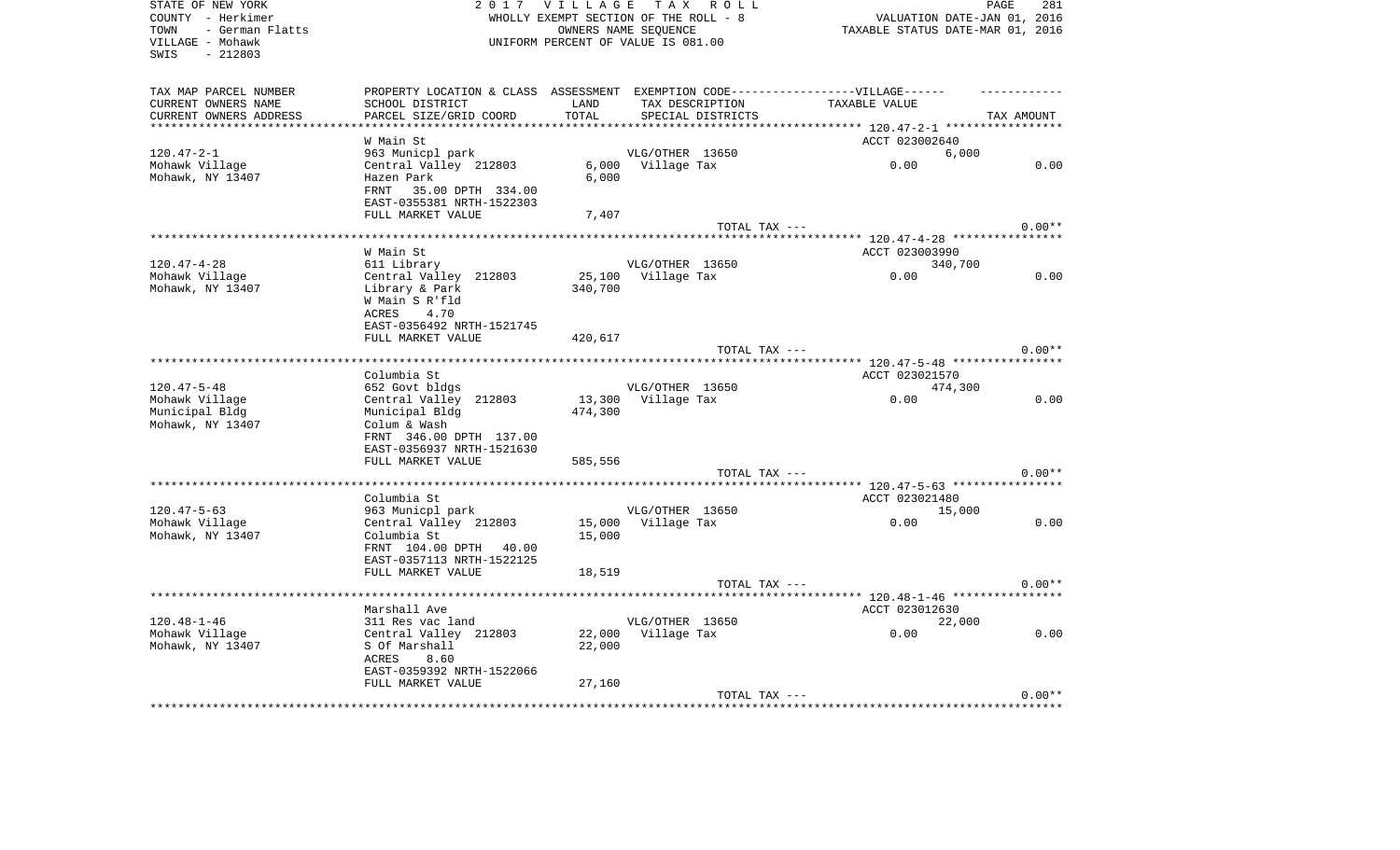| STATE OF NEW YORK       |                                                                                  | 2017 VILLAGE TAX ROLL                 |                      |                   |                                                          | PAGE                        | 281      |
|-------------------------|----------------------------------------------------------------------------------|---------------------------------------|----------------------|-------------------|----------------------------------------------------------|-----------------------------|----------|
| COUNTY - Herkimer       |                                                                                  | WHOLLY EXEMPT SECTION OF THE ROLL - 8 |                      |                   |                                                          | VALUATION DATE-JAN 01, 2016 |          |
| TOWN<br>- German Flatts |                                                                                  |                                       | OWNERS NAME SEQUENCE |                   | TAXABLE STATUS DATE-MAR 01, 2016                         |                             |          |
| VILLAGE - Mohawk        |                                                                                  | UNIFORM PERCENT OF VALUE IS 081.00    |                      |                   |                                                          |                             |          |
| $-212803$<br>SWIS       |                                                                                  |                                       |                      |                   |                                                          |                             |          |
|                         |                                                                                  |                                       |                      |                   |                                                          |                             |          |
| TAX MAP PARCEL NUMBER   | PROPERTY LOCATION & CLASS ASSESSMENT EXEMPTION CODE----------------VILLAGE------ |                                       |                      |                   |                                                          |                             |          |
| CURRENT OWNERS NAME     | SCHOOL DISTRICT                                                                  | LAND                                  | TAX DESCRIPTION      |                   | TAXABLE VALUE                                            |                             |          |
| CURRENT OWNERS ADDRESS  | PARCEL SIZE/GRID COORD                                                           | TOTAL                                 |                      | SPECIAL DISTRICTS |                                                          | TAX AMOUNT                  |          |
|                         |                                                                                  |                                       |                      |                   | *************************** 120.47-2-1 ***************** |                             |          |
|                         | W Main St                                                                        |                                       |                      |                   | ACCT 023002640                                           |                             |          |
| $120.47 - 2 - 1$        | 963 Municpl park                                                                 |                                       | VLG/OTHER 13650      |                   |                                                          | 6,000                       |          |
| Mohawk Village          | Central Valley 212803                                                            | 6,000                                 | Village Tax          |                   | 0.00                                                     |                             | 0.00     |
| Mohawk, NY 13407        | Hazen Park                                                                       | 6,000                                 |                      |                   |                                                          |                             |          |
|                         | FRNT<br>35.00 DPTH 334.00                                                        |                                       |                      |                   |                                                          |                             |          |
|                         | EAST-0355381 NRTH-1522303                                                        |                                       |                      |                   |                                                          |                             |          |
|                         | FULL MARKET VALUE                                                                | 7,407                                 |                      |                   |                                                          |                             |          |
|                         |                                                                                  |                                       |                      | TOTAL TAX ---     |                                                          |                             | $0.00**$ |
|                         |                                                                                  |                                       |                      |                   |                                                          |                             |          |
|                         | W Main St                                                                        |                                       |                      |                   | ACCT 023003990                                           |                             |          |
| $120.47 - 4 - 28$       | 611 Library                                                                      |                                       | VLG/OTHER 13650      |                   |                                                          | 340,700                     |          |
| Mohawk Village          | Central Valley 212803                                                            | 25,100                                | Village Tax          |                   | 0.00                                                     |                             | 0.00     |
| Mohawk, NY 13407        | Library & Park                                                                   | 340,700                               |                      |                   |                                                          |                             |          |
|                         | W Main S R'fld                                                                   |                                       |                      |                   |                                                          |                             |          |
|                         | 4.70<br>ACRES                                                                    |                                       |                      |                   |                                                          |                             |          |
|                         | EAST-0356492 NRTH-1521745                                                        |                                       |                      |                   |                                                          |                             |          |
|                         | FULL MARKET VALUE                                                                | 420,617                               |                      |                   |                                                          |                             |          |
|                         |                                                                                  |                                       |                      | TOTAL TAX ---     |                                                          |                             | $0.00**$ |
|                         |                                                                                  |                                       |                      |                   |                                                          |                             |          |
|                         | Columbia St                                                                      |                                       |                      |                   | ACCT 023021570                                           |                             |          |
| $120.47 - 5 - 48$       | 652 Govt bldgs                                                                   |                                       | VLG/OTHER 13650      |                   |                                                          | 474,300                     |          |
| Mohawk Village          | Central Valley 212803                                                            | 13,300                                | Village Tax          |                   | 0.00                                                     |                             | 0.00     |
| Municipal Bldg          | Municipal Bldg                                                                   | 474,300                               |                      |                   |                                                          |                             |          |
| Mohawk, NY 13407        | Colum & Wash                                                                     |                                       |                      |                   |                                                          |                             |          |
|                         | FRNT 346.00 DPTH 137.00                                                          |                                       |                      |                   |                                                          |                             |          |
|                         | EAST-0356937 NRTH-1521630                                                        |                                       |                      |                   |                                                          |                             |          |
|                         | FULL MARKET VALUE                                                                | 585,556                               |                      |                   |                                                          |                             |          |
|                         |                                                                                  |                                       |                      | TOTAL TAX ---     |                                                          |                             | $0.00**$ |
|                         |                                                                                  |                                       |                      |                   |                                                          |                             |          |
|                         | Columbia St                                                                      |                                       |                      |                   | ACCT 023021480                                           |                             |          |
| $120.47 - 5 - 63$       | 963 Municpl park                                                                 |                                       | VLG/OTHER 13650      |                   |                                                          | 15,000                      |          |
| Mohawk Village          | Central Valley 212803                                                            |                                       | 15,000 Village Tax   |                   | 0.00                                                     |                             | 0.00     |
| Mohawk, NY 13407        | Columbia St                                                                      | 15,000                                |                      |                   |                                                          |                             |          |
|                         | FRNT 104.00 DPTH 40.00                                                           |                                       |                      |                   |                                                          |                             |          |
|                         | EAST-0357113 NRTH-1522125                                                        |                                       |                      |                   |                                                          |                             |          |
|                         | FULL MARKET VALUE                                                                | 18,519                                |                      |                   |                                                          |                             |          |
|                         |                                                                                  |                                       |                      | TOTAL TAX ---     |                                                          |                             | $0.00**$ |
|                         |                                                                                  |                                       |                      |                   |                                                          |                             |          |
|                         | Marshall Ave                                                                     |                                       |                      |                   | ACCT 023012630                                           |                             |          |
| $120.48 - 1 - 46$       | 311 Res vac land                                                                 |                                       | VLG/OTHER 13650      |                   |                                                          | 22,000                      |          |
| Mohawk Village          | Central Valley 212803                                                            | 22,000                                | Village Tax          |                   | 0.00                                                     |                             | 0.00     |
| Mohawk, NY 13407        | S Of Marshall                                                                    | 22,000                                |                      |                   |                                                          |                             |          |
|                         | ACRES<br>8.60                                                                    |                                       |                      |                   |                                                          |                             |          |
|                         | EAST-0359392 NRTH-1522066                                                        |                                       |                      |                   |                                                          |                             |          |
|                         | FULL MARKET VALUE                                                                | 27,160                                |                      |                   |                                                          |                             |          |
|                         |                                                                                  |                                       |                      | TOTAL TAX ---     |                                                          |                             | $0.00**$ |
|                         |                                                                                  |                                       |                      |                   | *****************************                            |                             |          |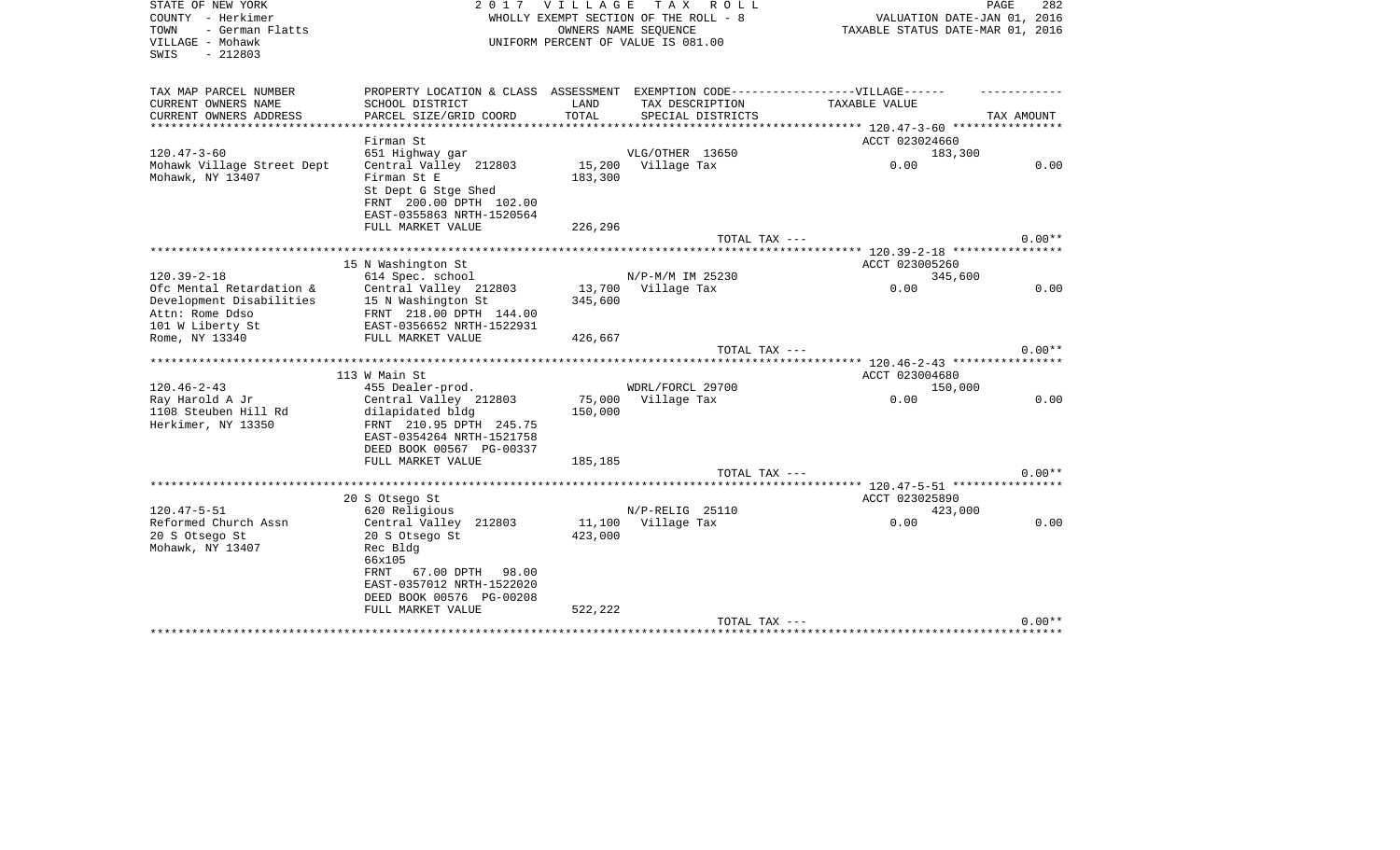| STATE OF NEW YORK<br>COUNTY - Herkimer<br>- German Flatts<br>TOWN<br>VILLAGE - Mohawk | 2017                                                                              | <b>VILLAGE</b> | T A X<br>R O L L<br>WHOLLY EXEMPT SECTION OF THE ROLL - 8<br>OWNERS NAME SEOUENCE<br>UNIFORM PERCENT OF VALUE IS 081.00 | VALUATION DATE-JAN 01, 2016<br>TAXABLE STATUS DATE-MAR 01, 2016 | PAGE<br>282 |  |
|---------------------------------------------------------------------------------------|-----------------------------------------------------------------------------------|----------------|-------------------------------------------------------------------------------------------------------------------------|-----------------------------------------------------------------|-------------|--|
| $-212803$<br>SWIS                                                                     |                                                                                   |                |                                                                                                                         |                                                                 |             |  |
| TAX MAP PARCEL NUMBER                                                                 | PROPERTY LOCATION & CLASS ASSESSMENT EXEMPTION CODE-----------------VILLAGE------ |                |                                                                                                                         |                                                                 |             |  |
| CURRENT OWNERS NAME                                                                   | SCHOOL DISTRICT                                                                   | LAND           | TAX DESCRIPTION                                                                                                         | <b>TAXABLE VALUE</b>                                            |             |  |
| CURRENT OWNERS ADDRESS                                                                | PARCEL SIZE/GRID COORD                                                            | TOTAL          | SPECIAL DISTRICTS                                                                                                       |                                                                 | TAX AMOUNT  |  |
| ************************                                                              |                                                                                   |                |                                                                                                                         |                                                                 |             |  |
|                                                                                       | Firman St                                                                         |                |                                                                                                                         | ACCT 023024660                                                  |             |  |
| $120.47 - 3 - 60$                                                                     | 651 Highway gar                                                                   |                | VLG/OTHER 13650                                                                                                         | 183,300                                                         |             |  |
| Mohawk Village Street Dept<br>Mohawk, NY 13407                                        | Central Valley 212803<br>Firman St E                                              | 15,200         | Village Tax                                                                                                             | 0.00                                                            | 0.00        |  |
|                                                                                       | St Dept G Stge Shed                                                               | 183,300        |                                                                                                                         |                                                                 |             |  |
|                                                                                       | FRNT 200.00 DPTH 102.00                                                           |                |                                                                                                                         |                                                                 |             |  |
|                                                                                       | EAST-0355863 NRTH-1520564                                                         |                |                                                                                                                         |                                                                 |             |  |
|                                                                                       | FULL MARKET VALUE                                                                 | 226,296        |                                                                                                                         |                                                                 |             |  |
|                                                                                       |                                                                                   |                | TOTAL TAX ---                                                                                                           |                                                                 | $0.00**$    |  |
|                                                                                       |                                                                                   |                |                                                                                                                         |                                                                 |             |  |
|                                                                                       | 15 N Washington St                                                                |                |                                                                                                                         | ACCT 023005260                                                  |             |  |
| $120.39 - 2 - 18$                                                                     | 614 Spec. school                                                                  |                | N/P-M/M IM 25230                                                                                                        | 345,600                                                         |             |  |
| Ofc Mental Retardation &                                                              | Central Valley 212803                                                             | 13,700         | Village Tax                                                                                                             | 0.00                                                            | 0.00        |  |
| Development Disabilities                                                              | 15 N Washington St                                                                | 345,600        |                                                                                                                         |                                                                 |             |  |
| Attn: Rome Ddso                                                                       | FRNT 218.00 DPTH 144.00                                                           |                |                                                                                                                         |                                                                 |             |  |
| 101 W Liberty St                                                                      | EAST-0356652 NRTH-1522931                                                         |                |                                                                                                                         |                                                                 |             |  |
| Rome, NY 13340                                                                        | FULL MARKET VALUE                                                                 | 426,667        |                                                                                                                         |                                                                 |             |  |
|                                                                                       |                                                                                   |                | TOTAL TAX ---                                                                                                           |                                                                 | $0.00**$    |  |
|                                                                                       | 113 W Main St                                                                     |                |                                                                                                                         | ACCT 023004680                                                  |             |  |
| $120.46 - 2 - 43$                                                                     | 455 Dealer-prod.                                                                  |                | WDRL/FORCL 29700                                                                                                        | 150,000                                                         |             |  |
| Ray Harold A Jr                                                                       | Central Valley 212803                                                             | 75,000         | Village Tax                                                                                                             | 0.00                                                            | 0.00        |  |
| 1108 Steuben Hill Rd                                                                  | dilapidated bldg                                                                  | 150,000        |                                                                                                                         |                                                                 |             |  |
| Herkimer, NY 13350                                                                    | FRNT 210.95 DPTH 245.75                                                           |                |                                                                                                                         |                                                                 |             |  |
|                                                                                       | EAST-0354264 NRTH-1521758                                                         |                |                                                                                                                         |                                                                 |             |  |
|                                                                                       | DEED BOOK 00567 PG-00337                                                          |                |                                                                                                                         |                                                                 |             |  |
|                                                                                       | FULL MARKET VALUE                                                                 | 185,185        |                                                                                                                         |                                                                 |             |  |
|                                                                                       |                                                                                   |                | TOTAL TAX ---                                                                                                           |                                                                 | $0.00**$    |  |
|                                                                                       |                                                                                   |                |                                                                                                                         |                                                                 |             |  |
|                                                                                       | 20 S Otsego St                                                                    |                |                                                                                                                         | ACCT 023025890                                                  |             |  |
| $120.47 - 5 - 51$                                                                     | 620 Religious                                                                     |                | N/P-RELIG 25110                                                                                                         | 423,000                                                         |             |  |
| Reformed Church Assn                                                                  | Central Valley 212803                                                             | 11,100         | Village Tax                                                                                                             | 0.00                                                            | 0.00        |  |
| 20 S Otsego St                                                                        | 20 S Otsego St                                                                    | 423,000        |                                                                                                                         |                                                                 |             |  |
| Mohawk, NY 13407                                                                      | Rec Bldg<br>66x105                                                                |                |                                                                                                                         |                                                                 |             |  |
|                                                                                       | FRNT<br>67.00 DPTH<br>98.00                                                       |                |                                                                                                                         |                                                                 |             |  |
|                                                                                       | EAST-0357012 NRTH-1522020                                                         |                |                                                                                                                         |                                                                 |             |  |
|                                                                                       | DEED BOOK 00576 PG-00208                                                          |                |                                                                                                                         |                                                                 |             |  |
|                                                                                       | FULL MARKET VALUE                                                                 | 522,222        |                                                                                                                         |                                                                 |             |  |
|                                                                                       |                                                                                   |                | TOTAL TAX ---                                                                                                           |                                                                 | $0.00**$    |  |
|                                                                                       |                                                                                   |                |                                                                                                                         |                                                                 |             |  |